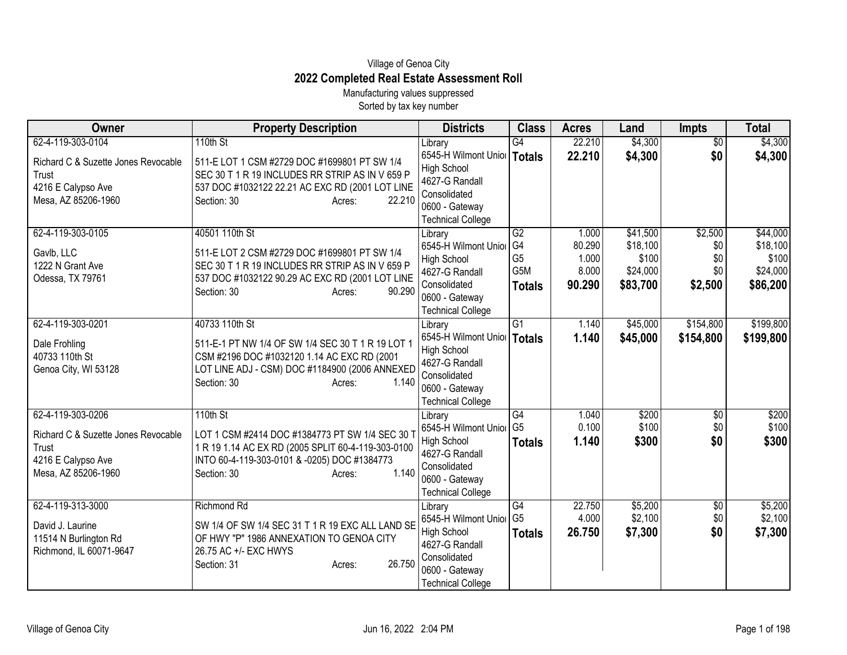## Village of Genoa City **2022 Completed Real Estate Assessment Roll**

Manufacturing values suppressed Sorted by tax key number

| Owner                                            | <b>Property Description</b>                                                                        | <b>Districts</b>                                    | <b>Class</b>    | <b>Acres</b> | Land     | Impts           | <b>Total</b> |
|--------------------------------------------------|----------------------------------------------------------------------------------------------------|-----------------------------------------------------|-----------------|--------------|----------|-----------------|--------------|
| 62-4-119-303-0104                                | 110th St                                                                                           | Library                                             | $\overline{G4}$ | 22.210       | \$4,300  | $\overline{50}$ | \$4,300      |
| Richard C & Suzette Jones Revocable              | 511-E LOT 1 CSM #2729 DOC #1699801 PT SW 1/4                                                       | 6545-H Wilmont Unior   Totals                       |                 | 22.210       | \$4,300  | \$0             | \$4,300      |
| Trust                                            | SEC 30 T 1 R 19 INCLUDES RR STRIP AS IN V 659 P                                                    | <b>High School</b>                                  |                 |              |          |                 |              |
| 4216 E Calypso Ave                               | 537 DOC #1032122 22.21 AC EXC RD (2001 LOT LINE                                                    | 4627-G Randall                                      |                 |              |          |                 |              |
| Mesa, AZ 85206-1960                              | Section: 30<br>22.210<br>Acres:                                                                    | Consolidated<br>0600 - Gateway                      |                 |              |          |                 |              |
|                                                  |                                                                                                    | <b>Technical College</b>                            |                 |              |          |                 |              |
| 62-4-119-303-0105                                | 40501 110th St                                                                                     | Library                                             | G2              | 1.000        | \$41,500 | \$2,500         | \$44,000     |
|                                                  |                                                                                                    | 6545-H Wilmont Unior                                | G <sub>4</sub>  | 80.290       | \$18,100 | \$0             | \$18,100     |
| Gavlb, LLC                                       | 511-E LOT 2 CSM #2729 DOC #1699801 PT SW 1/4                                                       | <b>High School</b>                                  | G <sub>5</sub>  | 1.000        | \$100    | \$0             | \$100        |
| 1222 N Grant Ave<br>Odessa, TX 79761             | SEC 30 T 1 R 19 INCLUDES RR STRIP AS IN V 659 P<br>537 DOC #1032122 90.29 AC EXC RD (2001 LOT LINE | 4627-G Randall                                      | G5M             | 8.000        | \$24,000 | \$0             | \$24,000     |
|                                                  | Section: 30<br>90.290<br>Acres:                                                                    | Consolidated                                        | <b>Totals</b>   | 90.290       | \$83,700 | \$2,500         | \$86,200     |
|                                                  |                                                                                                    | 0600 - Gateway                                      |                 |              |          |                 |              |
|                                                  |                                                                                                    | <b>Technical College</b>                            |                 |              |          |                 |              |
| 62-4-119-303-0201                                | 40733 110th St                                                                                     | Library                                             | $\overline{G1}$ | 1.140        | \$45,000 | \$154,800       | \$199,800    |
| Dale Frohling                                    | 511-E-1 PT NW 1/4 OF SW 1/4 SEC 30 T 1 R 19 LOT 1                                                  | 6545-H Wilmont Unior   Totals<br><b>High School</b> |                 | 1.140        | \$45,000 | \$154,800       | \$199,800    |
| 40733 110th St                                   | CSM #2196 DOC #1032120 1.14 AC EXC RD (2001                                                        | 4627-G Randall                                      |                 |              |          |                 |              |
| Genoa City, WI 53128                             | LOT LINE ADJ - CSM) DOC #1184900 (2006 ANNEXED                                                     | Consolidated                                        |                 |              |          |                 |              |
|                                                  | 1.140<br>Section: 30<br>Acres:                                                                     | 0600 - Gateway                                      |                 |              |          |                 |              |
|                                                  |                                                                                                    | <b>Technical College</b>                            |                 |              |          |                 |              |
| 62-4-119-303-0206                                | 110th St                                                                                           | Library                                             | G4              | 1.040        | \$200    | $\overline{50}$ | \$200        |
| Richard C & Suzette Jones Revocable              | LOT 1 CSM #2414 DOC #1384773 PT SW 1/4 SEC 30                                                      | 6545-H Wilmont Unior                                | G <sub>5</sub>  | 0.100        | \$100    | \$0             | \$100        |
| Trust                                            | 1 R 19 1.14 AC EX RD (2005 SPLIT 60-4-119-303-0100                                                 | <b>High School</b>                                  | <b>Totals</b>   | 1.140        | \$300    | \$0             | \$300        |
| 4216 E Calypso Ave                               | INTO 60-4-119-303-0101 & -0205) DOC #1384773                                                       | 4627-G Randall                                      |                 |              |          |                 |              |
| Mesa, AZ 85206-1960                              | 1.140<br>Section: 30<br>Acres:                                                                     | Consolidated<br>0600 - Gateway                      |                 |              |          |                 |              |
|                                                  |                                                                                                    | <b>Technical College</b>                            |                 |              |          |                 |              |
| 62-4-119-313-3000                                | <b>Richmond Rd</b>                                                                                 | Library                                             | G4              | 22.750       | \$5,200  | $\frac{1}{20}$  | \$5,200      |
|                                                  |                                                                                                    | 6545-H Wilmont Unior                                | G <sub>5</sub>  | 4.000        | \$2,100  | \$0             | \$2,100      |
| David J. Laurine                                 | SW 1/4 OF SW 1/4 SEC 31 T 1 R 19 EXC ALL LAND SE<br>OF HWY "P" 1986 ANNEXATION TO GENOA CITY       | <b>High School</b>                                  | <b>Totals</b>   | 26.750       | \$7,300  | \$0             | \$7,300      |
| 11514 N Burlington Rd<br>Richmond, IL 60071-9647 | 26.75 AC +/- EXC HWYS                                                                              | 4627-G Randall                                      |                 |              |          |                 |              |
|                                                  | 26.750<br>Section: 31<br>Acres:                                                                    | Consolidated                                        |                 |              |          |                 |              |
|                                                  |                                                                                                    | 0600 - Gateway                                      |                 |              |          |                 |              |
|                                                  |                                                                                                    | <b>Technical College</b>                            |                 |              |          |                 |              |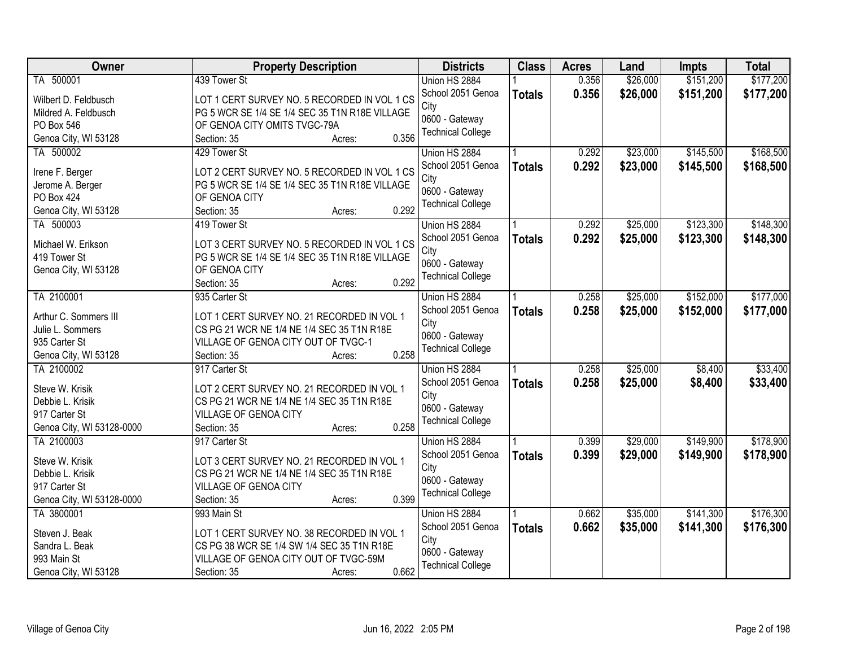| Owner                     | <b>Property Description</b>                    | <b>Districts</b>         | <b>Class</b>  | <b>Acres</b> | Land     | Impts     | <b>Total</b> |
|---------------------------|------------------------------------------------|--------------------------|---------------|--------------|----------|-----------|--------------|
| TA 500001                 | 439 Tower St                                   | Union HS 2884            |               | 0.356        | \$26,000 | \$151,200 | \$177,200    |
| Wilbert D. Feldbusch      | LOT 1 CERT SURVEY NO. 5 RECORDED IN VOL 1 CS   | School 2051 Genoa        | <b>Totals</b> | 0.356        | \$26,000 | \$151,200 | \$177,200    |
| Mildred A. Feldbusch      | PG 5 WCR SE 1/4 SE 1/4 SEC 35 T1N R18E VILLAGE | City                     |               |              |          |           |              |
| PO Box 546                | OF GENOA CITY OMITS TVGC-79A                   | 0600 - Gateway           |               |              |          |           |              |
| Genoa City, WI 53128      | 0.356<br>Section: 35<br>Acres:                 | <b>Technical College</b> |               |              |          |           |              |
| TA 500002                 | 429 Tower St                                   | Union HS 2884            |               | 0.292        | \$23,000 | \$145,500 | \$168,500    |
|                           |                                                | School 2051 Genoa        | <b>Totals</b> | 0.292        | \$23,000 | \$145,500 | \$168,500    |
| Irene F. Berger           | LOT 2 CERT SURVEY NO. 5 RECORDED IN VOL 1 CS   | City                     |               |              |          |           |              |
| Jerome A. Berger          | PG 5 WCR SE 1/4 SE 1/4 SEC 35 T1N R18E VILLAGE | 0600 - Gateway           |               |              |          |           |              |
| <b>PO Box 424</b>         | OF GENOA CITY                                  | <b>Technical College</b> |               |              |          |           |              |
| Genoa City, WI 53128      | 0.292<br>Section: 35<br>Acres:                 |                          |               |              |          |           |              |
| TA 500003                 | 419 Tower St                                   | Union HS 2884            |               | 0.292        | \$25,000 | \$123,300 | \$148,300    |
| Michael W. Erikson        | LOT 3 CERT SURVEY NO. 5 RECORDED IN VOL 1 CS   | School 2051 Genoa        | <b>Totals</b> | 0.292        | \$25,000 | \$123,300 | \$148,300    |
| 419 Tower St              | PG 5 WCR SE 1/4 SE 1/4 SEC 35 T1N R18E VILLAGE | City                     |               |              |          |           |              |
| Genoa City, WI 53128      | OF GENOA CITY                                  | 0600 - Gateway           |               |              |          |           |              |
|                           | 0.292<br>Section: 35<br>Acres:                 | <b>Technical College</b> |               |              |          |           |              |
| TA 2100001                | 935 Carter St                                  | Union HS 2884            |               | 0.258        | \$25,000 | \$152,000 | \$177,000    |
|                           |                                                | School 2051 Genoa        | <b>Totals</b> | 0.258        | \$25,000 | \$152,000 | \$177,000    |
| Arthur C. Sommers III     | LOT 1 CERT SURVEY NO. 21 RECORDED IN VOL 1     | City                     |               |              |          |           |              |
| Julie L. Sommers          | CS PG 21 WCR NE 1/4 NE 1/4 SEC 35 T1N R18E     | 0600 - Gateway           |               |              |          |           |              |
| 935 Carter St             | VILLAGE OF GENOA CITY OUT OF TVGC-1            | <b>Technical College</b> |               |              |          |           |              |
| Genoa City, WI 53128      | 0.258<br>Section: 35<br>Acres:                 |                          |               |              |          |           |              |
| TA 2100002                | 917 Carter St                                  | Union HS 2884            |               | 0.258        | \$25,000 | \$8,400   | \$33,400     |
| Steve W. Krisik           | LOT 2 CERT SURVEY NO. 21 RECORDED IN VOL 1     | School 2051 Genoa        | <b>Totals</b> | 0.258        | \$25,000 | \$8,400   | \$33,400     |
| Debbie L. Krisik          | CS PG 21 WCR NE 1/4 NE 1/4 SEC 35 T1N R18E     | City                     |               |              |          |           |              |
| 917 Carter St             | <b>VILLAGE OF GENOA CITY</b>                   | 0600 - Gateway           |               |              |          |           |              |
| Genoa City, WI 53128-0000 | 0.258<br>Section: 35<br>Acres:                 | <b>Technical College</b> |               |              |          |           |              |
| TA 2100003                | 917 Carter St                                  | Union HS 2884            |               | 0.399        | \$29,000 | \$149,900 | \$178,900    |
|                           |                                                | School 2051 Genoa        | <b>Totals</b> | 0.399        | \$29,000 | \$149,900 | \$178,900    |
| Steve W. Krisik           | LOT 3 CERT SURVEY NO. 21 RECORDED IN VOL 1     | City                     |               |              |          |           |              |
| Debbie L. Krisik          | CS PG 21 WCR NE 1/4 NE 1/4 SEC 35 T1N R18E     | 0600 - Gateway           |               |              |          |           |              |
| 917 Carter St             | VILLAGE OF GENOA CITY                          | <b>Technical College</b> |               |              |          |           |              |
| Genoa City, WI 53128-0000 | 0.399<br>Section: 35<br>Acres:                 |                          |               |              |          |           |              |
| TA 3800001                | 993 Main St                                    | Union HS 2884            |               | 0.662        | \$35,000 | \$141,300 | \$176,300    |
| Steven J. Beak            | LOT 1 CERT SURVEY NO. 38 RECORDED IN VOL 1     | School 2051 Genoa        | <b>Totals</b> | 0.662        | \$35,000 | \$141,300 | \$176,300    |
| Sandra L. Beak            | CS PG 38 WCR SE 1/4 SW 1/4 SEC 35 T1N R18E     | City                     |               |              |          |           |              |
| 993 Main St               | VILLAGE OF GENOA CITY OUT OF TVGC-59M          | 0600 - Gateway           |               |              |          |           |              |
| Genoa City, WI 53128      | 0.662<br>Section: 35<br>Acres:                 | <b>Technical College</b> |               |              |          |           |              |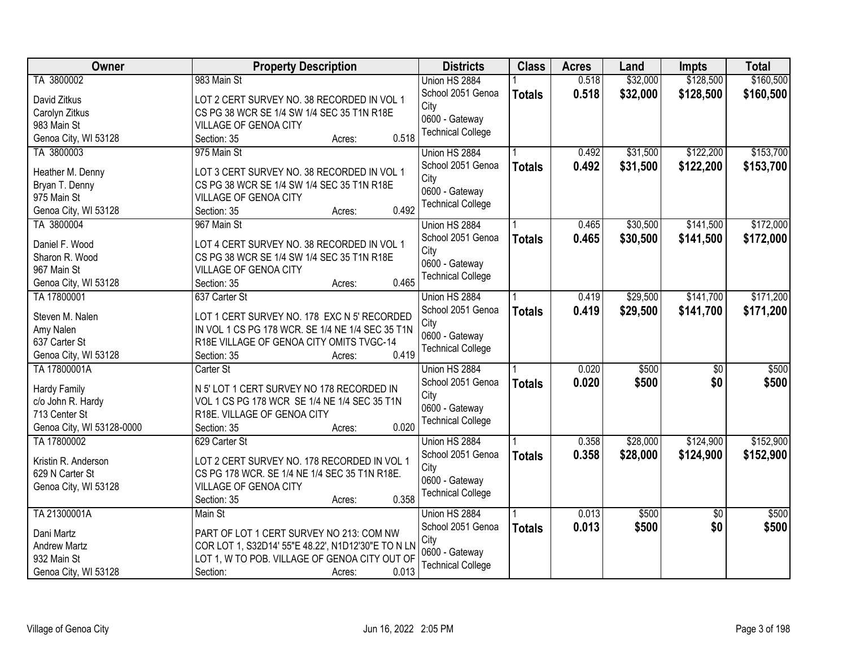| Owner                     | <b>Property Description</b>                        | <b>Districts</b>         | <b>Class</b>  | <b>Acres</b> | Land     | Impts           | <b>Total</b> |
|---------------------------|----------------------------------------------------|--------------------------|---------------|--------------|----------|-----------------|--------------|
| TA 3800002                | 983 Main St                                        | Union HS 2884            |               | 0.518        | \$32,000 | \$128,500       | \$160,500    |
| David Zitkus              | LOT 2 CERT SURVEY NO. 38 RECORDED IN VOL 1         | School 2051 Genoa        | <b>Totals</b> | 0.518        | \$32,000 | \$128,500       | \$160,500    |
| Carolyn Zitkus            | CS PG 38 WCR SE 1/4 SW 1/4 SEC 35 T1N R18E         | City                     |               |              |          |                 |              |
| 983 Main St               | VILLAGE OF GENOA CITY                              | 0600 - Gateway           |               |              |          |                 |              |
| Genoa City, WI 53128      | 0.518<br>Section: 35<br>Acres:                     | <b>Technical College</b> |               |              |          |                 |              |
| TA 3800003                | 975 Main St                                        | Union HS 2884            |               | 0.492        | \$31,500 | \$122,200       | \$153,700    |
|                           |                                                    | School 2051 Genoa        | <b>Totals</b> | 0.492        | \$31,500 | \$122,200       | \$153,700    |
| Heather M. Denny          | LOT 3 CERT SURVEY NO. 38 RECORDED IN VOL 1         | City                     |               |              |          |                 |              |
| Bryan T. Denny            | CS PG 38 WCR SE 1/4 SW 1/4 SEC 35 T1N R18E         | 0600 - Gateway           |               |              |          |                 |              |
| 975 Main St               | VILLAGE OF GENOA CITY                              | <b>Technical College</b> |               |              |          |                 |              |
| Genoa City, WI 53128      | 0.492<br>Section: 35<br>Acres:                     |                          |               |              |          |                 |              |
| TA 3800004                | 967 Main St                                        | Union HS 2884            |               | 0.465        | \$30,500 | \$141,500       | \$172,000    |
| Daniel F. Wood            | LOT 4 CERT SURVEY NO. 38 RECORDED IN VOL 1         | School 2051 Genoa        | <b>Totals</b> | 0.465        | \$30,500 | \$141,500       | \$172,000    |
| Sharon R. Wood            | CS PG 38 WCR SE 1/4 SW 1/4 SEC 35 T1N R18E         | City                     |               |              |          |                 |              |
| 967 Main St               | VILLAGE OF GENOA CITY                              | 0600 - Gateway           |               |              |          |                 |              |
| Genoa City, WI 53128      | 0.465<br>Section: 35<br>Acres:                     | <b>Technical College</b> |               |              |          |                 |              |
| TA 17800001               | 637 Carter St                                      | Union HS 2884            |               | 0.419        | \$29,500 | \$141,700       | \$171,200    |
|                           |                                                    | School 2051 Genoa        | <b>Totals</b> | 0.419        | \$29,500 | \$141,700       | \$171,200    |
| Steven M. Nalen           | LOT 1 CERT SURVEY NO. 178 EXC N 5' RECORDED        | City                     |               |              |          |                 |              |
| Amy Nalen                 | IN VOL 1 CS PG 178 WCR. SE 1/4 NE 1/4 SEC 35 T1N   | 0600 - Gateway           |               |              |          |                 |              |
| 637 Carter St             | R18E VILLAGE OF GENOA CITY OMITS TVGC-14           | <b>Technical College</b> |               |              |          |                 |              |
| Genoa City, WI 53128      | 0.419<br>Section: 35<br>Acres:                     |                          |               |              |          |                 |              |
| TA 17800001A              | Carter St                                          | Union HS 2884            |               | 0.020        | \$500    | $\overline{50}$ | \$500        |
| Hardy Family              | N 5' LOT 1 CERT SURVEY NO 178 RECORDED IN          | School 2051 Genoa        | <b>Totals</b> | 0.020        | \$500    | \$0             | \$500        |
| c/o John R. Hardy         | VOL 1 CS PG 178 WCR SE 1/4 NE 1/4 SEC 35 T1N       | City                     |               |              |          |                 |              |
| 713 Center St             | R18E. VILLAGE OF GENOA CITY                        | 0600 - Gateway           |               |              |          |                 |              |
| Genoa City, WI 53128-0000 | 0.020<br>Section: 35<br>Acres:                     | <b>Technical College</b> |               |              |          |                 |              |
| TA 17800002               | 629 Carter St                                      | Union HS 2884            |               | 0.358        | \$28,000 | \$124,900       | \$152,900    |
|                           |                                                    | School 2051 Genoa        | <b>Totals</b> | 0.358        | \$28,000 | \$124,900       | \$152,900    |
| Kristin R. Anderson       | LOT 2 CERT SURVEY NO. 178 RECORDED IN VOL 1        | City                     |               |              |          |                 |              |
| 629 N Carter St           | CS PG 178 WCR. SE 1/4 NE 1/4 SEC 35 T1N R18E.      | 0600 - Gateway           |               |              |          |                 |              |
| Genoa City, WI 53128      | VILLAGE OF GENOA CITY                              | <b>Technical College</b> |               |              |          |                 |              |
|                           | 0.358<br>Section: 35<br>Acres:                     |                          |               |              |          |                 |              |
| TA 21300001A              | Main St                                            | Union HS 2884            |               | 0.013        | \$500    | $\overline{50}$ | \$500        |
| Dani Martz                | PART OF LOT 1 CERT SURVEY NO 213: COM NW           | School 2051 Genoa        | <b>Totals</b> | 0.013        | \$500    | \$0             | \$500        |
| <b>Andrew Martz</b>       | COR LOT 1, S32D14' 55"E 48.22', N1D12'30"E TO N LN | City                     |               |              |          |                 |              |
| 932 Main St               | LOT 1, W TO POB. VILLAGE OF GENOA CITY OUT OF      | 0600 - Gateway           |               |              |          |                 |              |
| Genoa City, WI 53128      | 0.013<br>Section:<br>Acres:                        | <b>Technical College</b> |               |              |          |                 |              |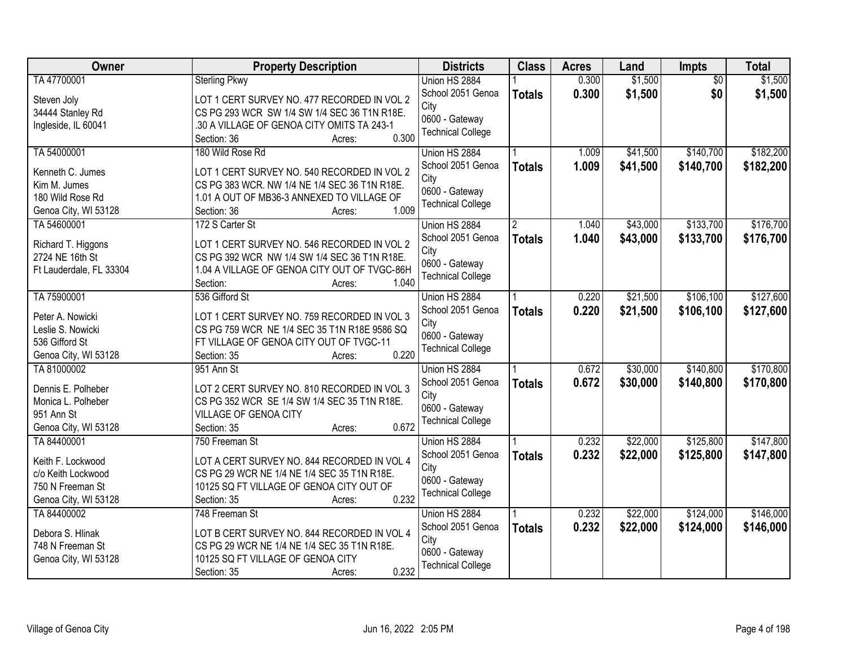| Owner<br><b>Districts</b><br><b>Class</b><br><b>Property Description</b><br><b>Acres</b><br>Land                 | Impts                      | <b>Total</b> |
|------------------------------------------------------------------------------------------------------------------|----------------------------|--------------|
| TA 47700001<br>0.300<br><b>Sterling Pkwy</b><br>Union HS 2884                                                    | \$1,500<br>$\overline{50}$ | \$1,500      |
| School 2051 Genoa<br>0.300<br><b>Totals</b><br>LOT 1 CERT SURVEY NO. 477 RECORDED IN VOL 2<br>Steven Joly        | \$1,500<br>\$0             | \$1,500      |
| City<br>CS PG 293 WCR SW 1/4 SW 1/4 SEC 36 T1N R18E.<br>34444 Stanley Rd                                         |                            |              |
| 0600 - Gateway<br>.30 A VILLAGE OF GENOA CITY OMITS TA 243-1<br>Ingleside, IL 60041                              |                            |              |
| <b>Technical College</b><br>0.300<br>Section: 36<br>Acres:                                                       |                            |              |
| TA 54000001<br>180 Wild Rose Rd<br>1.009<br>Union HS 2884                                                        | \$41,500<br>\$140,700      | \$182,200    |
| School 2051 Genoa<br>1.009<br><b>Totals</b>                                                                      | \$41,500<br>\$140,700      | \$182,200    |
| LOT 1 CERT SURVEY NO. 540 RECORDED IN VOL 2<br>Kenneth C. Jumes<br>City                                          |                            |              |
| Kim M. Jumes<br>CS PG 383 WCR. NW 1/4 NE 1/4 SEC 36 T1N R18E.<br>0600 - Gateway                                  |                            |              |
| 180 Wild Rose Rd<br>1.01 A OUT OF MB36-3 ANNEXED TO VILLAGE OF<br><b>Technical College</b>                       |                            |              |
| 1.009<br>Genoa City, WI 53128<br>Section: 36<br>Acres:                                                           |                            |              |
| TA 54600001<br>172 S Carter St<br>Union HS 2884<br>1.040                                                         | \$43,000<br>\$133,700      | \$176,700    |
| School 2051 Genoa<br>1.040<br><b>Totals</b><br>LOT 1 CERT SURVEY NO. 546 RECORDED IN VOL 2<br>Richard T. Higgons | \$133,700<br>\$43,000      | \$176,700    |
| City<br>2724 NE 16th St<br>CS PG 392 WCR NW 1/4 SW 1/4 SEC 36 T1N R18E.                                          |                            |              |
| 0600 - Gateway<br>1.04 A VILLAGE OF GENOA CITY OUT OF TVGC-86H<br>Ft Lauderdale, FL 33304                        |                            |              |
| <b>Technical College</b><br>1.040<br>Section:<br>Acres:                                                          |                            |              |
| TA 75900001<br>536 Gifford St<br>Union HS 2884<br>0.220                                                          | \$21,500<br>\$106,100      | \$127,600    |
| School 2051 Genoa<br>0.220<br><b>Totals</b>                                                                      | \$21,500<br>\$106,100      | \$127,600    |
| LOT 1 CERT SURVEY NO. 759 RECORDED IN VOL 3<br>Peter A. Nowicki<br>City                                          |                            |              |
| CS PG 759 WCR NE 1/4 SEC 35 T1N R18E 9586 SQ<br>Leslie S. Nowicki<br>0600 - Gateway                              |                            |              |
| 536 Gifford St<br>FT VILLAGE OF GENOA CITY OUT OF TVGC-11<br><b>Technical College</b>                            |                            |              |
| 0.220<br>Genoa City, WI 53128<br>Section: 35<br>Acres:                                                           |                            |              |
| TA 81000002<br>0.672<br>Union HS 2884<br>951 Ann St                                                              | \$140,800<br>\$30,000      | \$170,800    |
| 0.672<br>School 2051 Genoa<br><b>Totals</b><br>Dennis E. Polheber<br>LOT 2 CERT SURVEY NO. 810 RECORDED IN VOL 3 | \$30,000<br>\$140,800      | \$170,800    |
| City<br>Monica L. Polheber<br>CS PG 352 WCR SE 1/4 SW 1/4 SEC 35 T1N R18E.                                       |                            |              |
| 0600 - Gateway<br>951 Ann St<br>VILLAGE OF GENOA CITY                                                            |                            |              |
| <b>Technical College</b><br>0.672<br>Genoa City, WI 53128<br>Section: 35<br>Acres:                               |                            |              |
| TA 84400001<br>0.232<br>750 Freeman St<br>Union HS 2884                                                          | \$22,000<br>\$125,800      | \$147,800    |
| School 2051 Genoa<br>0.232<br><b>Totals</b>                                                                      | \$22,000<br>\$125,800      | \$147,800    |
| Keith F. Lockwood<br>LOT A CERT SURVEY NO. 844 RECORDED IN VOL 4<br>City                                         |                            |              |
| CS PG 29 WCR NE 1/4 NE 1/4 SEC 35 T1N R18E.<br>c/o Keith Lockwood<br>0600 - Gateway                              |                            |              |
| 750 N Freeman St<br>10125 SQ FT VILLAGE OF GENOA CITY OUT OF<br><b>Technical College</b>                         |                            |              |
| 0.232<br>Genoa City, WI 53128<br>Section: 35<br>Acres:                                                           |                            |              |
| TA 84400002<br>0.232<br>748 Freeman St<br>Union HS 2884                                                          | \$22,000<br>\$124,000      | \$146,000    |
| 0.232<br>School 2051 Genoa<br><b>Totals</b><br>Debora S. Hlinak<br>LOT B CERT SURVEY NO. 844 RECORDED IN VOL 4   | \$22,000<br>\$124,000      | \$146,000    |
| City<br>748 N Freeman St<br>CS PG 29 WCR NE 1/4 NE 1/4 SEC 35 T1N R18E.                                          |                            |              |
| 0600 - Gateway<br>10125 SQ FT VILLAGE OF GENOA CITY<br>Genoa City, WI 53128                                      |                            |              |
| <b>Technical College</b><br>0.232<br>Section: 35<br>Acres:                                                       |                            |              |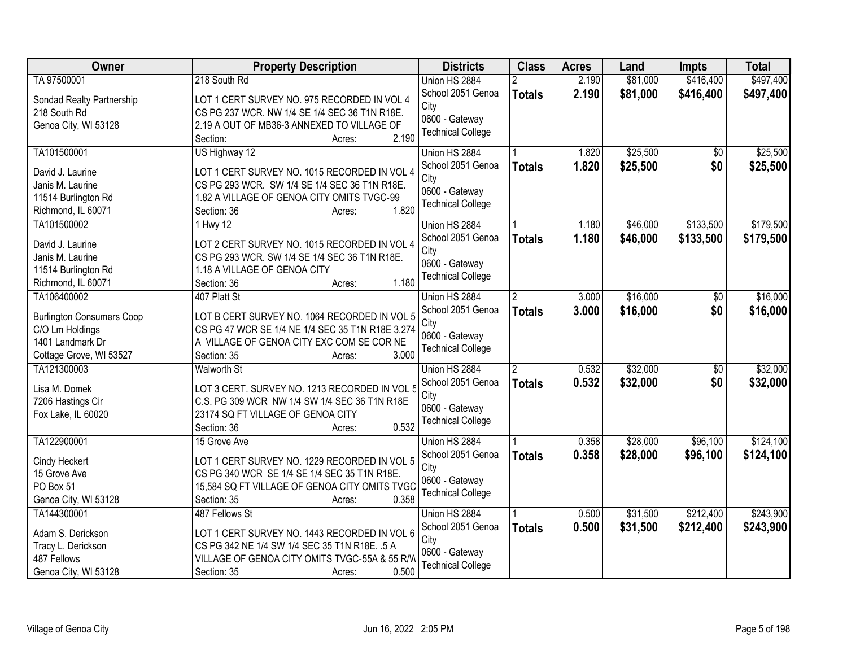| \$497,400<br>TA 97500001<br>218 South Rd<br>2.190<br>\$81,000<br>\$416,400<br>Union HS 2884<br>School 2051 Genoa<br>2.190<br>\$81,000<br>\$416,400<br>\$497,400<br><b>Totals</b><br>Sondad Realty Partnership<br>LOT 1 CERT SURVEY NO. 975 RECORDED IN VOL 4<br>City<br>218 South Rd<br>CS PG 237 WCR. NW 1/4 SE 1/4 SEC 36 T1N R18E.<br>0600 - Gateway<br>2.19 A OUT OF MB36-3 ANNEXED TO VILLAGE OF<br>Genoa City, WI 53128<br><b>Technical College</b><br>2.190<br>Section:<br>Acres:<br>\$25,500<br>TA101500001<br>US Highway 12<br>1.820<br>Union HS 2884<br>\$0<br>1.820<br>\$25,500<br>\$0<br>School 2051 Genoa<br>\$25,500<br><b>Totals</b><br>David J. Laurine<br>LOT 1 CERT SURVEY NO. 1015 RECORDED IN VOL 4<br>City<br>CS PG 293 WCR. SW 1/4 SE 1/4 SEC 36 T1N R18E.<br>Janis M. Laurine<br>0600 - Gateway<br>11514 Burlington Rd<br>1.82 A VILLAGE OF GENOA CITY OMITS TVGC-99<br><b>Technical College</b><br>1.820<br>Richmond, IL 60071<br>Section: 36<br>Acres:<br>\$133,500<br>TA101500002<br>$1$ Hwy $12$<br>1.180<br>\$46,000<br>Union HS 2884<br>School 2051 Genoa<br>1.180<br>\$46,000<br>\$133,500<br>\$179,500<br><b>Totals</b><br>LOT 2 CERT SURVEY NO. 1015 RECORDED IN VOL 4<br>David J. Laurine<br>City<br>Janis M. Laurine<br>CS PG 293 WCR. SW 1/4 SE 1/4 SEC 36 T1N R18E.<br>0600 - Gateway<br>11514 Burlington Rd<br>1.18 A VILLAGE OF GENOA CITY<br><b>Technical College</b><br>1.180<br>Richmond, IL 60071<br>Section: 36<br>Acres:<br>\$16,000<br>TA106400002<br>407 Platt St<br>Union HS 2884<br>3.000<br>$\overline{2}$<br>\$0<br>\$0<br>School 2051 Genoa<br>3.000<br>\$16,000<br>\$16,000<br><b>Totals</b><br>LOT B CERT SURVEY NO. 1064 RECORDED IN VOL 5<br><b>Burlington Consumers Coop</b><br>City<br>CS PG 47 WCR SE 1/4 NE 1/4 SEC 35 T1N R18E 3.274<br>C/O Lm Holdings<br>0600 - Gateway<br>A VILLAGE OF GENOA CITY EXC COM SE COR NE<br>1401 Landmark Dr<br><b>Technical College</b><br>3.000<br>Cottage Grove, WI 53527<br>Section: 35<br>Acres: |
|-------------------------------------------------------------------------------------------------------------------------------------------------------------------------------------------------------------------------------------------------------------------------------------------------------------------------------------------------------------------------------------------------------------------------------------------------------------------------------------------------------------------------------------------------------------------------------------------------------------------------------------------------------------------------------------------------------------------------------------------------------------------------------------------------------------------------------------------------------------------------------------------------------------------------------------------------------------------------------------------------------------------------------------------------------------------------------------------------------------------------------------------------------------------------------------------------------------------------------------------------------------------------------------------------------------------------------------------------------------------------------------------------------------------------------------------------------------------------------------------------------------------------------------------------------------------------------------------------------------------------------------------------------------------------------------------------------------------------------------------------------------------------------------------------------------------------------------------------------------------------------------------------------------------------------------------------------------------------------------------------|
|                                                                                                                                                                                                                                                                                                                                                                                                                                                                                                                                                                                                                                                                                                                                                                                                                                                                                                                                                                                                                                                                                                                                                                                                                                                                                                                                                                                                                                                                                                                                                                                                                                                                                                                                                                                                                                                                                                                                                                                                 |
|                                                                                                                                                                                                                                                                                                                                                                                                                                                                                                                                                                                                                                                                                                                                                                                                                                                                                                                                                                                                                                                                                                                                                                                                                                                                                                                                                                                                                                                                                                                                                                                                                                                                                                                                                                                                                                                                                                                                                                                                 |
| \$25,500<br>\$179,500<br>\$16,000                                                                                                                                                                                                                                                                                                                                                                                                                                                                                                                                                                                                                                                                                                                                                                                                                                                                                                                                                                                                                                                                                                                                                                                                                                                                                                                                                                                                                                                                                                                                                                                                                                                                                                                                                                                                                                                                                                                                                               |
|                                                                                                                                                                                                                                                                                                                                                                                                                                                                                                                                                                                                                                                                                                                                                                                                                                                                                                                                                                                                                                                                                                                                                                                                                                                                                                                                                                                                                                                                                                                                                                                                                                                                                                                                                                                                                                                                                                                                                                                                 |
|                                                                                                                                                                                                                                                                                                                                                                                                                                                                                                                                                                                                                                                                                                                                                                                                                                                                                                                                                                                                                                                                                                                                                                                                                                                                                                                                                                                                                                                                                                                                                                                                                                                                                                                                                                                                                                                                                                                                                                                                 |
|                                                                                                                                                                                                                                                                                                                                                                                                                                                                                                                                                                                                                                                                                                                                                                                                                                                                                                                                                                                                                                                                                                                                                                                                                                                                                                                                                                                                                                                                                                                                                                                                                                                                                                                                                                                                                                                                                                                                                                                                 |
|                                                                                                                                                                                                                                                                                                                                                                                                                                                                                                                                                                                                                                                                                                                                                                                                                                                                                                                                                                                                                                                                                                                                                                                                                                                                                                                                                                                                                                                                                                                                                                                                                                                                                                                                                                                                                                                                                                                                                                                                 |
|                                                                                                                                                                                                                                                                                                                                                                                                                                                                                                                                                                                                                                                                                                                                                                                                                                                                                                                                                                                                                                                                                                                                                                                                                                                                                                                                                                                                                                                                                                                                                                                                                                                                                                                                                                                                                                                                                                                                                                                                 |
|                                                                                                                                                                                                                                                                                                                                                                                                                                                                                                                                                                                                                                                                                                                                                                                                                                                                                                                                                                                                                                                                                                                                                                                                                                                                                                                                                                                                                                                                                                                                                                                                                                                                                                                                                                                                                                                                                                                                                                                                 |
|                                                                                                                                                                                                                                                                                                                                                                                                                                                                                                                                                                                                                                                                                                                                                                                                                                                                                                                                                                                                                                                                                                                                                                                                                                                                                                                                                                                                                                                                                                                                                                                                                                                                                                                                                                                                                                                                                                                                                                                                 |
|                                                                                                                                                                                                                                                                                                                                                                                                                                                                                                                                                                                                                                                                                                                                                                                                                                                                                                                                                                                                                                                                                                                                                                                                                                                                                                                                                                                                                                                                                                                                                                                                                                                                                                                                                                                                                                                                                                                                                                                                 |
|                                                                                                                                                                                                                                                                                                                                                                                                                                                                                                                                                                                                                                                                                                                                                                                                                                                                                                                                                                                                                                                                                                                                                                                                                                                                                                                                                                                                                                                                                                                                                                                                                                                                                                                                                                                                                                                                                                                                                                                                 |
|                                                                                                                                                                                                                                                                                                                                                                                                                                                                                                                                                                                                                                                                                                                                                                                                                                                                                                                                                                                                                                                                                                                                                                                                                                                                                                                                                                                                                                                                                                                                                                                                                                                                                                                                                                                                                                                                                                                                                                                                 |
|                                                                                                                                                                                                                                                                                                                                                                                                                                                                                                                                                                                                                                                                                                                                                                                                                                                                                                                                                                                                                                                                                                                                                                                                                                                                                                                                                                                                                                                                                                                                                                                                                                                                                                                                                                                                                                                                                                                                                                                                 |
|                                                                                                                                                                                                                                                                                                                                                                                                                                                                                                                                                                                                                                                                                                                                                                                                                                                                                                                                                                                                                                                                                                                                                                                                                                                                                                                                                                                                                                                                                                                                                                                                                                                                                                                                                                                                                                                                                                                                                                                                 |
|                                                                                                                                                                                                                                                                                                                                                                                                                                                                                                                                                                                                                                                                                                                                                                                                                                                                                                                                                                                                                                                                                                                                                                                                                                                                                                                                                                                                                                                                                                                                                                                                                                                                                                                                                                                                                                                                                                                                                                                                 |
|                                                                                                                                                                                                                                                                                                                                                                                                                                                                                                                                                                                                                                                                                                                                                                                                                                                                                                                                                                                                                                                                                                                                                                                                                                                                                                                                                                                                                                                                                                                                                                                                                                                                                                                                                                                                                                                                                                                                                                                                 |
|                                                                                                                                                                                                                                                                                                                                                                                                                                                                                                                                                                                                                                                                                                                                                                                                                                                                                                                                                                                                                                                                                                                                                                                                                                                                                                                                                                                                                                                                                                                                                                                                                                                                                                                                                                                                                                                                                                                                                                                                 |
|                                                                                                                                                                                                                                                                                                                                                                                                                                                                                                                                                                                                                                                                                                                                                                                                                                                                                                                                                                                                                                                                                                                                                                                                                                                                                                                                                                                                                                                                                                                                                                                                                                                                                                                                                                                                                                                                                                                                                                                                 |
|                                                                                                                                                                                                                                                                                                                                                                                                                                                                                                                                                                                                                                                                                                                                                                                                                                                                                                                                                                                                                                                                                                                                                                                                                                                                                                                                                                                                                                                                                                                                                                                                                                                                                                                                                                                                                                                                                                                                                                                                 |
|                                                                                                                                                                                                                                                                                                                                                                                                                                                                                                                                                                                                                                                                                                                                                                                                                                                                                                                                                                                                                                                                                                                                                                                                                                                                                                                                                                                                                                                                                                                                                                                                                                                                                                                                                                                                                                                                                                                                                                                                 |
| \$32,000<br>\$32,000<br>TA121300003<br>0.532<br>$\overline{50}$<br><b>Walworth St</b><br>Union HS 2884<br>$\overline{2}$                                                                                                                                                                                                                                                                                                                                                                                                                                                                                                                                                                                                                                                                                                                                                                                                                                                                                                                                                                                                                                                                                                                                                                                                                                                                                                                                                                                                                                                                                                                                                                                                                                                                                                                                                                                                                                                                        |
| 0.532<br>\$32,000<br>\$0<br>\$32,000<br>School 2051 Genoa<br><b>Totals</b>                                                                                                                                                                                                                                                                                                                                                                                                                                                                                                                                                                                                                                                                                                                                                                                                                                                                                                                                                                                                                                                                                                                                                                                                                                                                                                                                                                                                                                                                                                                                                                                                                                                                                                                                                                                                                                                                                                                      |
| LOT 3 CERT. SURVEY NO. 1213 RECORDED IN VOL 5<br>Lisa M. Domek<br>City                                                                                                                                                                                                                                                                                                                                                                                                                                                                                                                                                                                                                                                                                                                                                                                                                                                                                                                                                                                                                                                                                                                                                                                                                                                                                                                                                                                                                                                                                                                                                                                                                                                                                                                                                                                                                                                                                                                          |
| 7206 Hastings Cir<br>C.S. PG 309 WCR NW 1/4 SW 1/4 SEC 36 T1N R18E<br>0600 - Gateway                                                                                                                                                                                                                                                                                                                                                                                                                                                                                                                                                                                                                                                                                                                                                                                                                                                                                                                                                                                                                                                                                                                                                                                                                                                                                                                                                                                                                                                                                                                                                                                                                                                                                                                                                                                                                                                                                                            |
| 23174 SQ FT VILLAGE OF GENOA CITY<br>Fox Lake, IL 60020<br><b>Technical College</b>                                                                                                                                                                                                                                                                                                                                                                                                                                                                                                                                                                                                                                                                                                                                                                                                                                                                                                                                                                                                                                                                                                                                                                                                                                                                                                                                                                                                                                                                                                                                                                                                                                                                                                                                                                                                                                                                                                             |
| 0.532<br>Section: 36<br>Acres:                                                                                                                                                                                                                                                                                                                                                                                                                                                                                                                                                                                                                                                                                                                                                                                                                                                                                                                                                                                                                                                                                                                                                                                                                                                                                                                                                                                                                                                                                                                                                                                                                                                                                                                                                                                                                                                                                                                                                                  |
| \$28,000<br>\$96,100<br>\$124,100<br>TA122900001<br>0.358<br>15 Grove Ave<br>Union HS 2884                                                                                                                                                                                                                                                                                                                                                                                                                                                                                                                                                                                                                                                                                                                                                                                                                                                                                                                                                                                                                                                                                                                                                                                                                                                                                                                                                                                                                                                                                                                                                                                                                                                                                                                                                                                                                                                                                                      |
| School 2051 Genoa<br>0.358<br>\$28,000<br>\$96,100<br>\$124,100<br><b>Totals</b><br>LOT 1 CERT SURVEY NO. 1229 RECORDED IN VOL 5<br>Cindy Heckert                                                                                                                                                                                                                                                                                                                                                                                                                                                                                                                                                                                                                                                                                                                                                                                                                                                                                                                                                                                                                                                                                                                                                                                                                                                                                                                                                                                                                                                                                                                                                                                                                                                                                                                                                                                                                                               |
| City<br>CS PG 340 WCR SE 1/4 SE 1/4 SEC 35 T1N R18E.<br>15 Grove Ave                                                                                                                                                                                                                                                                                                                                                                                                                                                                                                                                                                                                                                                                                                                                                                                                                                                                                                                                                                                                                                                                                                                                                                                                                                                                                                                                                                                                                                                                                                                                                                                                                                                                                                                                                                                                                                                                                                                            |
| 0600 - Gateway<br>PO Box 51<br>15,584 SQ FT VILLAGE OF GENOA CITY OMITS TVGC                                                                                                                                                                                                                                                                                                                                                                                                                                                                                                                                                                                                                                                                                                                                                                                                                                                                                                                                                                                                                                                                                                                                                                                                                                                                                                                                                                                                                                                                                                                                                                                                                                                                                                                                                                                                                                                                                                                    |
| <b>Technical College</b><br>0.358<br>Genoa City, WI 53128<br>Section: 35<br>Acres:                                                                                                                                                                                                                                                                                                                                                                                                                                                                                                                                                                                                                                                                                                                                                                                                                                                                                                                                                                                                                                                                                                                                                                                                                                                                                                                                                                                                                                                                                                                                                                                                                                                                                                                                                                                                                                                                                                              |
| \$243,900<br>\$31,500<br>\$212,400<br>TA144300001<br>487 Fellows St<br>Union HS 2884<br>0.500                                                                                                                                                                                                                                                                                                                                                                                                                                                                                                                                                                                                                                                                                                                                                                                                                                                                                                                                                                                                                                                                                                                                                                                                                                                                                                                                                                                                                                                                                                                                                                                                                                                                                                                                                                                                                                                                                                   |
| 0.500<br>School 2051 Genoa<br>\$31,500<br>\$212,400<br>\$243,900<br><b>Totals</b><br>Adam S. Derickson<br>LOT 1 CERT SURVEY NO. 1443 RECORDED IN VOL 6                                                                                                                                                                                                                                                                                                                                                                                                                                                                                                                                                                                                                                                                                                                                                                                                                                                                                                                                                                                                                                                                                                                                                                                                                                                                                                                                                                                                                                                                                                                                                                                                                                                                                                                                                                                                                                          |
| City<br>Tracy L. Derickson<br>CS PG 342 NE 1/4 SW 1/4 SEC 35 T1N R18E. .5 A                                                                                                                                                                                                                                                                                                                                                                                                                                                                                                                                                                                                                                                                                                                                                                                                                                                                                                                                                                                                                                                                                                                                                                                                                                                                                                                                                                                                                                                                                                                                                                                                                                                                                                                                                                                                                                                                                                                     |
| 0600 - Gateway<br>487 Fellows<br>VILLAGE OF GENOA CITY OMITS TVGC-55A & 55 R/W                                                                                                                                                                                                                                                                                                                                                                                                                                                                                                                                                                                                                                                                                                                                                                                                                                                                                                                                                                                                                                                                                                                                                                                                                                                                                                                                                                                                                                                                                                                                                                                                                                                                                                                                                                                                                                                                                                                  |
| <b>Technical College</b><br>0.500<br>Genoa City, WI 53128<br>Section: 35<br>Acres:                                                                                                                                                                                                                                                                                                                                                                                                                                                                                                                                                                                                                                                                                                                                                                                                                                                                                                                                                                                                                                                                                                                                                                                                                                                                                                                                                                                                                                                                                                                                                                                                                                                                                                                                                                                                                                                                                                              |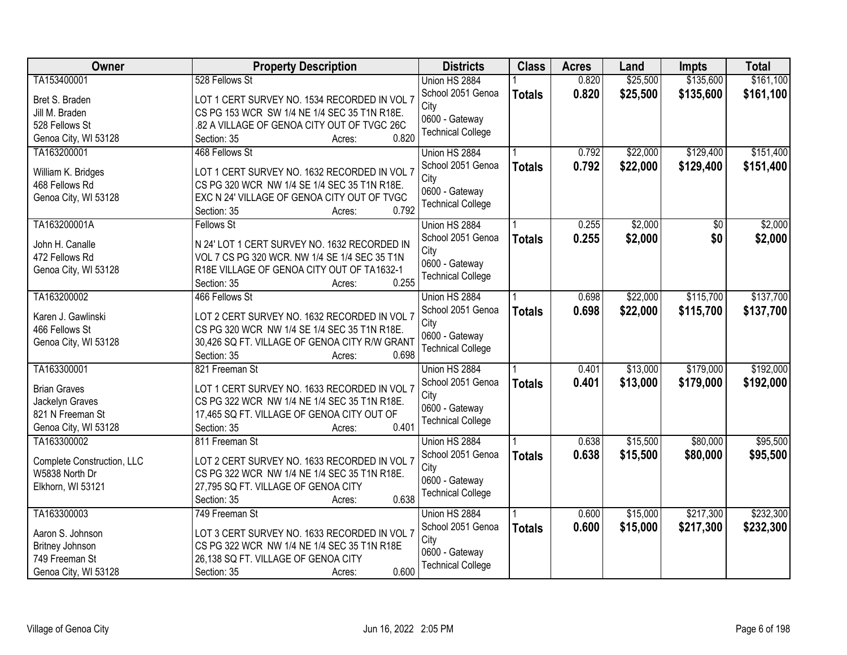| \$161,100<br>TA153400001<br>0.820<br>\$25,500<br>\$135,600<br>Union HS 2884<br>School 2051 Genoa<br>0.820<br>\$25,500<br>\$135,600<br>\$161,100<br><b>Totals</b><br>Bret S. Braden<br>LOT 1 CERT SURVEY NO. 1534 RECORDED IN VOL 7<br>City<br>CS PG 153 WCR SW 1/4 NE 1/4 SEC 35 T1N R18E.<br>Jill M. Braden<br>0600 - Gateway<br>528 Fellows St<br>.82 A VILLAGE OF GENOA CITY OUT OF TVGC 26C<br><b>Technical College</b><br>0.820<br>Genoa City, WI 53128<br>Section: 35<br>Acres:<br>\$129,400<br>TA163200001<br>468 Fellows St<br>0.792<br>\$22,000<br>Union HS 2884<br>0.792<br>\$129,400<br>School 2051 Genoa<br>\$22,000<br>\$151,400<br><b>Totals</b><br>William K. Bridges<br>LOT 1 CERT SURVEY NO. 1632 RECORDED IN VOL 7<br>City<br>468 Fellows Rd<br>CS PG 320 WCR NW 1/4 SE 1/4 SEC 35 T1N R18E.<br>0600 - Gateway<br>Genoa City, WI 53128<br>EXC N 24' VILLAGE OF GENOA CITY OUT OF TVGC<br><b>Technical College</b><br>0.792<br>Section: 35<br>Acres:<br>\$2,000<br>TA163200001A<br>0.255<br><b>Fellows St</b><br>Union HS 2884<br>\$0<br>\$2,000<br>School 2051 Genoa<br>0.255<br>\$0<br>\$2,000<br><b>Totals</b><br>N 24' LOT 1 CERT SURVEY NO. 1632 RECORDED IN<br>John H. Canalle<br>City<br>VOL 7 CS PG 320 WCR. NW 1/4 SE 1/4 SEC 35 T1N<br>472 Fellows Rd<br>0600 - Gateway<br>Genoa City, WI 53128<br>R18E VILLAGE OF GENOA CITY OUT OF TA1632-1<br><b>Technical College</b><br>0.255<br>Section: 35<br>Acres:<br>TA163200002<br>\$22,000<br>\$115,700<br>466 Fellows St<br>Union HS 2884<br>0.698<br>School 2051 Genoa<br>0.698<br>\$22,000<br>\$115,700<br>\$137,700<br><b>Totals</b><br>LOT 2 CERT SURVEY NO. 1632 RECORDED IN VOL 7<br>Karen J. Gawlinski<br>City<br>466 Fellows St<br>CS PG 320 WCR NW 1/4 SE 1/4 SEC 35 T1N R18E.<br>0600 - Gateway<br>Genoa City, WI 53128<br>30,426 SQ FT. VILLAGE OF GENOA CITY R/W GRANT<br><b>Technical College</b><br>0.698<br>Section: 35<br>Acres:<br>TA163300001<br>\$13,000<br>\$179,000<br>0.401<br>821 Freeman St<br>Union HS 2884<br>0.401<br>\$13,000<br>\$179,000<br>\$192,000<br>School 2051 Genoa<br><b>Totals</b><br><b>Brian Graves</b><br>LOT 1 CERT SURVEY NO. 1633 RECORDED IN VOL 7<br>City<br>Jackelyn Graves<br>CS PG 322 WCR NW 1/4 NE 1/4 SEC 35 T1N R18E.<br>0600 - Gateway<br>821 N Freeman St<br>17,465 SQ FT. VILLAGE OF GENOA CITY OUT OF<br><b>Technical College</b><br>Genoa City, WI 53128<br>0.401<br>Section: 35<br>Acres:<br>\$15,500<br>\$80,000<br>TA163300002<br>0.638<br>811 Freeman St<br>Union HS 2884<br>0.638<br>\$15,500<br>School 2051 Genoa<br>\$80,000<br>\$95,500<br><b>Totals</b><br>LOT 2 CERT SURVEY NO. 1633 RECORDED IN VOL 7<br>Complete Construction, LLC<br>City<br>CS PG 322 WCR NW 1/4 NE 1/4 SEC 35 T1N R18E.<br>W5838 North Dr<br>0600 - Gateway<br>27,795 SQ FT. VILLAGE OF GENOA CITY<br>Elkhorn, WI 53121<br><b>Technical College</b><br>0.638<br>Section: 35<br>Acres:<br>TA163300003<br>\$15,000<br>\$217,300<br>749 Freeman St<br>Union HS 2884<br>0.600<br>0.600<br>\$15,000<br>School 2051 Genoa<br>\$217,300<br>\$232,300<br><b>Totals</b><br>Aaron S. Johnson<br>LOT 3 CERT SURVEY NO. 1633 RECORDED IN VOL 7<br>City<br>Britney Johnson<br>CS PG 322 WCR NW 1/4 NE 1/4 SEC 35 T1N R18E<br>0600 - Gateway<br>749 Freeman St<br>26,138 SQ FT. VILLAGE OF GENOA CITY | <b>Owner</b> | <b>Property Description</b> | <b>Districts</b>         | <b>Class</b> | <b>Acres</b> | Land | <b>Impts</b> | <b>Total</b> |
|-----------------------------------------------------------------------------------------------------------------------------------------------------------------------------------------------------------------------------------------------------------------------------------------------------------------------------------------------------------------------------------------------------------------------------------------------------------------------------------------------------------------------------------------------------------------------------------------------------------------------------------------------------------------------------------------------------------------------------------------------------------------------------------------------------------------------------------------------------------------------------------------------------------------------------------------------------------------------------------------------------------------------------------------------------------------------------------------------------------------------------------------------------------------------------------------------------------------------------------------------------------------------------------------------------------------------------------------------------------------------------------------------------------------------------------------------------------------------------------------------------------------------------------------------------------------------------------------------------------------------------------------------------------------------------------------------------------------------------------------------------------------------------------------------------------------------------------------------------------------------------------------------------------------------------------------------------------------------------------------------------------------------------------------------------------------------------------------------------------------------------------------------------------------------------------------------------------------------------------------------------------------------------------------------------------------------------------------------------------------------------------------------------------------------------------------------------------------------------------------------------------------------------------------------------------------------------------------------------------------------------------------------------------------------------------------------------------------------------------------------------------------------------------------------------------------------------------------------------------------------------------------------------------------------------------------------------------------------------------------------------------------------------------------------------------------------------------------------------------------------------------------------------------------------------------------------------------------------------------------------------------------------------------------------------------|--------------|-----------------------------|--------------------------|--------------|--------------|------|--------------|--------------|
|                                                                                                                                                                                                                                                                                                                                                                                                                                                                                                                                                                                                                                                                                                                                                                                                                                                                                                                                                                                                                                                                                                                                                                                                                                                                                                                                                                                                                                                                                                                                                                                                                                                                                                                                                                                                                                                                                                                                                                                                                                                                                                                                                                                                                                                                                                                                                                                                                                                                                                                                                                                                                                                                                                                                                                                                                                                                                                                                                                                                                                                                                                                                                                                                                                                                                                           |              | 528 Fellows St              |                          |              |              |      |              |              |
|                                                                                                                                                                                                                                                                                                                                                                                                                                                                                                                                                                                                                                                                                                                                                                                                                                                                                                                                                                                                                                                                                                                                                                                                                                                                                                                                                                                                                                                                                                                                                                                                                                                                                                                                                                                                                                                                                                                                                                                                                                                                                                                                                                                                                                                                                                                                                                                                                                                                                                                                                                                                                                                                                                                                                                                                                                                                                                                                                                                                                                                                                                                                                                                                                                                                                                           |              |                             |                          |              |              |      |              |              |
| \$151,400<br>\$2,000<br>\$137,700<br>\$192,000<br>\$95,500<br>\$232,300                                                                                                                                                                                                                                                                                                                                                                                                                                                                                                                                                                                                                                                                                                                                                                                                                                                                                                                                                                                                                                                                                                                                                                                                                                                                                                                                                                                                                                                                                                                                                                                                                                                                                                                                                                                                                                                                                                                                                                                                                                                                                                                                                                                                                                                                                                                                                                                                                                                                                                                                                                                                                                                                                                                                                                                                                                                                                                                                                                                                                                                                                                                                                                                                                                   |              |                             |                          |              |              |      |              |              |
|                                                                                                                                                                                                                                                                                                                                                                                                                                                                                                                                                                                                                                                                                                                                                                                                                                                                                                                                                                                                                                                                                                                                                                                                                                                                                                                                                                                                                                                                                                                                                                                                                                                                                                                                                                                                                                                                                                                                                                                                                                                                                                                                                                                                                                                                                                                                                                                                                                                                                                                                                                                                                                                                                                                                                                                                                                                                                                                                                                                                                                                                                                                                                                                                                                                                                                           |              |                             |                          |              |              |      |              |              |
|                                                                                                                                                                                                                                                                                                                                                                                                                                                                                                                                                                                                                                                                                                                                                                                                                                                                                                                                                                                                                                                                                                                                                                                                                                                                                                                                                                                                                                                                                                                                                                                                                                                                                                                                                                                                                                                                                                                                                                                                                                                                                                                                                                                                                                                                                                                                                                                                                                                                                                                                                                                                                                                                                                                                                                                                                                                                                                                                                                                                                                                                                                                                                                                                                                                                                                           |              |                             |                          |              |              |      |              |              |
|                                                                                                                                                                                                                                                                                                                                                                                                                                                                                                                                                                                                                                                                                                                                                                                                                                                                                                                                                                                                                                                                                                                                                                                                                                                                                                                                                                                                                                                                                                                                                                                                                                                                                                                                                                                                                                                                                                                                                                                                                                                                                                                                                                                                                                                                                                                                                                                                                                                                                                                                                                                                                                                                                                                                                                                                                                                                                                                                                                                                                                                                                                                                                                                                                                                                                                           |              |                             |                          |              |              |      |              |              |
|                                                                                                                                                                                                                                                                                                                                                                                                                                                                                                                                                                                                                                                                                                                                                                                                                                                                                                                                                                                                                                                                                                                                                                                                                                                                                                                                                                                                                                                                                                                                                                                                                                                                                                                                                                                                                                                                                                                                                                                                                                                                                                                                                                                                                                                                                                                                                                                                                                                                                                                                                                                                                                                                                                                                                                                                                                                                                                                                                                                                                                                                                                                                                                                                                                                                                                           |              |                             |                          |              |              |      |              |              |
|                                                                                                                                                                                                                                                                                                                                                                                                                                                                                                                                                                                                                                                                                                                                                                                                                                                                                                                                                                                                                                                                                                                                                                                                                                                                                                                                                                                                                                                                                                                                                                                                                                                                                                                                                                                                                                                                                                                                                                                                                                                                                                                                                                                                                                                                                                                                                                                                                                                                                                                                                                                                                                                                                                                                                                                                                                                                                                                                                                                                                                                                                                                                                                                                                                                                                                           |              |                             |                          |              |              |      |              |              |
|                                                                                                                                                                                                                                                                                                                                                                                                                                                                                                                                                                                                                                                                                                                                                                                                                                                                                                                                                                                                                                                                                                                                                                                                                                                                                                                                                                                                                                                                                                                                                                                                                                                                                                                                                                                                                                                                                                                                                                                                                                                                                                                                                                                                                                                                                                                                                                                                                                                                                                                                                                                                                                                                                                                                                                                                                                                                                                                                                                                                                                                                                                                                                                                                                                                                                                           |              |                             |                          |              |              |      |              |              |
|                                                                                                                                                                                                                                                                                                                                                                                                                                                                                                                                                                                                                                                                                                                                                                                                                                                                                                                                                                                                                                                                                                                                                                                                                                                                                                                                                                                                                                                                                                                                                                                                                                                                                                                                                                                                                                                                                                                                                                                                                                                                                                                                                                                                                                                                                                                                                                                                                                                                                                                                                                                                                                                                                                                                                                                                                                                                                                                                                                                                                                                                                                                                                                                                                                                                                                           |              |                             |                          |              |              |      |              |              |
|                                                                                                                                                                                                                                                                                                                                                                                                                                                                                                                                                                                                                                                                                                                                                                                                                                                                                                                                                                                                                                                                                                                                                                                                                                                                                                                                                                                                                                                                                                                                                                                                                                                                                                                                                                                                                                                                                                                                                                                                                                                                                                                                                                                                                                                                                                                                                                                                                                                                                                                                                                                                                                                                                                                                                                                                                                                                                                                                                                                                                                                                                                                                                                                                                                                                                                           |              |                             |                          |              |              |      |              |              |
|                                                                                                                                                                                                                                                                                                                                                                                                                                                                                                                                                                                                                                                                                                                                                                                                                                                                                                                                                                                                                                                                                                                                                                                                                                                                                                                                                                                                                                                                                                                                                                                                                                                                                                                                                                                                                                                                                                                                                                                                                                                                                                                                                                                                                                                                                                                                                                                                                                                                                                                                                                                                                                                                                                                                                                                                                                                                                                                                                                                                                                                                                                                                                                                                                                                                                                           |              |                             |                          |              |              |      |              |              |
|                                                                                                                                                                                                                                                                                                                                                                                                                                                                                                                                                                                                                                                                                                                                                                                                                                                                                                                                                                                                                                                                                                                                                                                                                                                                                                                                                                                                                                                                                                                                                                                                                                                                                                                                                                                                                                                                                                                                                                                                                                                                                                                                                                                                                                                                                                                                                                                                                                                                                                                                                                                                                                                                                                                                                                                                                                                                                                                                                                                                                                                                                                                                                                                                                                                                                                           |              |                             |                          |              |              |      |              |              |
|                                                                                                                                                                                                                                                                                                                                                                                                                                                                                                                                                                                                                                                                                                                                                                                                                                                                                                                                                                                                                                                                                                                                                                                                                                                                                                                                                                                                                                                                                                                                                                                                                                                                                                                                                                                                                                                                                                                                                                                                                                                                                                                                                                                                                                                                                                                                                                                                                                                                                                                                                                                                                                                                                                                                                                                                                                                                                                                                                                                                                                                                                                                                                                                                                                                                                                           |              |                             |                          |              |              |      |              |              |
|                                                                                                                                                                                                                                                                                                                                                                                                                                                                                                                                                                                                                                                                                                                                                                                                                                                                                                                                                                                                                                                                                                                                                                                                                                                                                                                                                                                                                                                                                                                                                                                                                                                                                                                                                                                                                                                                                                                                                                                                                                                                                                                                                                                                                                                                                                                                                                                                                                                                                                                                                                                                                                                                                                                                                                                                                                                                                                                                                                                                                                                                                                                                                                                                                                                                                                           |              |                             |                          |              |              |      |              |              |
|                                                                                                                                                                                                                                                                                                                                                                                                                                                                                                                                                                                                                                                                                                                                                                                                                                                                                                                                                                                                                                                                                                                                                                                                                                                                                                                                                                                                                                                                                                                                                                                                                                                                                                                                                                                                                                                                                                                                                                                                                                                                                                                                                                                                                                                                                                                                                                                                                                                                                                                                                                                                                                                                                                                                                                                                                                                                                                                                                                                                                                                                                                                                                                                                                                                                                                           |              |                             |                          |              |              |      |              |              |
|                                                                                                                                                                                                                                                                                                                                                                                                                                                                                                                                                                                                                                                                                                                                                                                                                                                                                                                                                                                                                                                                                                                                                                                                                                                                                                                                                                                                                                                                                                                                                                                                                                                                                                                                                                                                                                                                                                                                                                                                                                                                                                                                                                                                                                                                                                                                                                                                                                                                                                                                                                                                                                                                                                                                                                                                                                                                                                                                                                                                                                                                                                                                                                                                                                                                                                           |              |                             |                          |              |              |      |              |              |
|                                                                                                                                                                                                                                                                                                                                                                                                                                                                                                                                                                                                                                                                                                                                                                                                                                                                                                                                                                                                                                                                                                                                                                                                                                                                                                                                                                                                                                                                                                                                                                                                                                                                                                                                                                                                                                                                                                                                                                                                                                                                                                                                                                                                                                                                                                                                                                                                                                                                                                                                                                                                                                                                                                                                                                                                                                                                                                                                                                                                                                                                                                                                                                                                                                                                                                           |              |                             |                          |              |              |      |              |              |
|                                                                                                                                                                                                                                                                                                                                                                                                                                                                                                                                                                                                                                                                                                                                                                                                                                                                                                                                                                                                                                                                                                                                                                                                                                                                                                                                                                                                                                                                                                                                                                                                                                                                                                                                                                                                                                                                                                                                                                                                                                                                                                                                                                                                                                                                                                                                                                                                                                                                                                                                                                                                                                                                                                                                                                                                                                                                                                                                                                                                                                                                                                                                                                                                                                                                                                           |              |                             |                          |              |              |      |              |              |
|                                                                                                                                                                                                                                                                                                                                                                                                                                                                                                                                                                                                                                                                                                                                                                                                                                                                                                                                                                                                                                                                                                                                                                                                                                                                                                                                                                                                                                                                                                                                                                                                                                                                                                                                                                                                                                                                                                                                                                                                                                                                                                                                                                                                                                                                                                                                                                                                                                                                                                                                                                                                                                                                                                                                                                                                                                                                                                                                                                                                                                                                                                                                                                                                                                                                                                           |              |                             |                          |              |              |      |              |              |
|                                                                                                                                                                                                                                                                                                                                                                                                                                                                                                                                                                                                                                                                                                                                                                                                                                                                                                                                                                                                                                                                                                                                                                                                                                                                                                                                                                                                                                                                                                                                                                                                                                                                                                                                                                                                                                                                                                                                                                                                                                                                                                                                                                                                                                                                                                                                                                                                                                                                                                                                                                                                                                                                                                                                                                                                                                                                                                                                                                                                                                                                                                                                                                                                                                                                                                           |              |                             |                          |              |              |      |              |              |
|                                                                                                                                                                                                                                                                                                                                                                                                                                                                                                                                                                                                                                                                                                                                                                                                                                                                                                                                                                                                                                                                                                                                                                                                                                                                                                                                                                                                                                                                                                                                                                                                                                                                                                                                                                                                                                                                                                                                                                                                                                                                                                                                                                                                                                                                                                                                                                                                                                                                                                                                                                                                                                                                                                                                                                                                                                                                                                                                                                                                                                                                                                                                                                                                                                                                                                           |              |                             |                          |              |              |      |              |              |
|                                                                                                                                                                                                                                                                                                                                                                                                                                                                                                                                                                                                                                                                                                                                                                                                                                                                                                                                                                                                                                                                                                                                                                                                                                                                                                                                                                                                                                                                                                                                                                                                                                                                                                                                                                                                                                                                                                                                                                                                                                                                                                                                                                                                                                                                                                                                                                                                                                                                                                                                                                                                                                                                                                                                                                                                                                                                                                                                                                                                                                                                                                                                                                                                                                                                                                           |              |                             |                          |              |              |      |              |              |
|                                                                                                                                                                                                                                                                                                                                                                                                                                                                                                                                                                                                                                                                                                                                                                                                                                                                                                                                                                                                                                                                                                                                                                                                                                                                                                                                                                                                                                                                                                                                                                                                                                                                                                                                                                                                                                                                                                                                                                                                                                                                                                                                                                                                                                                                                                                                                                                                                                                                                                                                                                                                                                                                                                                                                                                                                                                                                                                                                                                                                                                                                                                                                                                                                                                                                                           |              |                             |                          |              |              |      |              |              |
|                                                                                                                                                                                                                                                                                                                                                                                                                                                                                                                                                                                                                                                                                                                                                                                                                                                                                                                                                                                                                                                                                                                                                                                                                                                                                                                                                                                                                                                                                                                                                                                                                                                                                                                                                                                                                                                                                                                                                                                                                                                                                                                                                                                                                                                                                                                                                                                                                                                                                                                                                                                                                                                                                                                                                                                                                                                                                                                                                                                                                                                                                                                                                                                                                                                                                                           |              |                             |                          |              |              |      |              |              |
|                                                                                                                                                                                                                                                                                                                                                                                                                                                                                                                                                                                                                                                                                                                                                                                                                                                                                                                                                                                                                                                                                                                                                                                                                                                                                                                                                                                                                                                                                                                                                                                                                                                                                                                                                                                                                                                                                                                                                                                                                                                                                                                                                                                                                                                                                                                                                                                                                                                                                                                                                                                                                                                                                                                                                                                                                                                                                                                                                                                                                                                                                                                                                                                                                                                                                                           |              |                             |                          |              |              |      |              |              |
|                                                                                                                                                                                                                                                                                                                                                                                                                                                                                                                                                                                                                                                                                                                                                                                                                                                                                                                                                                                                                                                                                                                                                                                                                                                                                                                                                                                                                                                                                                                                                                                                                                                                                                                                                                                                                                                                                                                                                                                                                                                                                                                                                                                                                                                                                                                                                                                                                                                                                                                                                                                                                                                                                                                                                                                                                                                                                                                                                                                                                                                                                                                                                                                                                                                                                                           |              |                             |                          |              |              |      |              |              |
|                                                                                                                                                                                                                                                                                                                                                                                                                                                                                                                                                                                                                                                                                                                                                                                                                                                                                                                                                                                                                                                                                                                                                                                                                                                                                                                                                                                                                                                                                                                                                                                                                                                                                                                                                                                                                                                                                                                                                                                                                                                                                                                                                                                                                                                                                                                                                                                                                                                                                                                                                                                                                                                                                                                                                                                                                                                                                                                                                                                                                                                                                                                                                                                                                                                                                                           |              |                             |                          |              |              |      |              |              |
|                                                                                                                                                                                                                                                                                                                                                                                                                                                                                                                                                                                                                                                                                                                                                                                                                                                                                                                                                                                                                                                                                                                                                                                                                                                                                                                                                                                                                                                                                                                                                                                                                                                                                                                                                                                                                                                                                                                                                                                                                                                                                                                                                                                                                                                                                                                                                                                                                                                                                                                                                                                                                                                                                                                                                                                                                                                                                                                                                                                                                                                                                                                                                                                                                                                                                                           |              |                             |                          |              |              |      |              |              |
|                                                                                                                                                                                                                                                                                                                                                                                                                                                                                                                                                                                                                                                                                                                                                                                                                                                                                                                                                                                                                                                                                                                                                                                                                                                                                                                                                                                                                                                                                                                                                                                                                                                                                                                                                                                                                                                                                                                                                                                                                                                                                                                                                                                                                                                                                                                                                                                                                                                                                                                                                                                                                                                                                                                                                                                                                                                                                                                                                                                                                                                                                                                                                                                                                                                                                                           |              |                             |                          |              |              |      |              |              |
|                                                                                                                                                                                                                                                                                                                                                                                                                                                                                                                                                                                                                                                                                                                                                                                                                                                                                                                                                                                                                                                                                                                                                                                                                                                                                                                                                                                                                                                                                                                                                                                                                                                                                                                                                                                                                                                                                                                                                                                                                                                                                                                                                                                                                                                                                                                                                                                                                                                                                                                                                                                                                                                                                                                                                                                                                                                                                                                                                                                                                                                                                                                                                                                                                                                                                                           |              |                             |                          |              |              |      |              |              |
|                                                                                                                                                                                                                                                                                                                                                                                                                                                                                                                                                                                                                                                                                                                                                                                                                                                                                                                                                                                                                                                                                                                                                                                                                                                                                                                                                                                                                                                                                                                                                                                                                                                                                                                                                                                                                                                                                                                                                                                                                                                                                                                                                                                                                                                                                                                                                                                                                                                                                                                                                                                                                                                                                                                                                                                                                                                                                                                                                                                                                                                                                                                                                                                                                                                                                                           |              |                             |                          |              |              |      |              |              |
|                                                                                                                                                                                                                                                                                                                                                                                                                                                                                                                                                                                                                                                                                                                                                                                                                                                                                                                                                                                                                                                                                                                                                                                                                                                                                                                                                                                                                                                                                                                                                                                                                                                                                                                                                                                                                                                                                                                                                                                                                                                                                                                                                                                                                                                                                                                                                                                                                                                                                                                                                                                                                                                                                                                                                                                                                                                                                                                                                                                                                                                                                                                                                                                                                                                                                                           |              |                             |                          |              |              |      |              |              |
|                                                                                                                                                                                                                                                                                                                                                                                                                                                                                                                                                                                                                                                                                                                                                                                                                                                                                                                                                                                                                                                                                                                                                                                                                                                                                                                                                                                                                                                                                                                                                                                                                                                                                                                                                                                                                                                                                                                                                                                                                                                                                                                                                                                                                                                                                                                                                                                                                                                                                                                                                                                                                                                                                                                                                                                                                                                                                                                                                                                                                                                                                                                                                                                                                                                                                                           |              |                             |                          |              |              |      |              |              |
|                                                                                                                                                                                                                                                                                                                                                                                                                                                                                                                                                                                                                                                                                                                                                                                                                                                                                                                                                                                                                                                                                                                                                                                                                                                                                                                                                                                                                                                                                                                                                                                                                                                                                                                                                                                                                                                                                                                                                                                                                                                                                                                                                                                                                                                                                                                                                                                                                                                                                                                                                                                                                                                                                                                                                                                                                                                                                                                                                                                                                                                                                                                                                                                                                                                                                                           |              |                             |                          |              |              |      |              |              |
|                                                                                                                                                                                                                                                                                                                                                                                                                                                                                                                                                                                                                                                                                                                                                                                                                                                                                                                                                                                                                                                                                                                                                                                                                                                                                                                                                                                                                                                                                                                                                                                                                                                                                                                                                                                                                                                                                                                                                                                                                                                                                                                                                                                                                                                                                                                                                                                                                                                                                                                                                                                                                                                                                                                                                                                                                                                                                                                                                                                                                                                                                                                                                                                                                                                                                                           |              |                             |                          |              |              |      |              |              |
|                                                                                                                                                                                                                                                                                                                                                                                                                                                                                                                                                                                                                                                                                                                                                                                                                                                                                                                                                                                                                                                                                                                                                                                                                                                                                                                                                                                                                                                                                                                                                                                                                                                                                                                                                                                                                                                                                                                                                                                                                                                                                                                                                                                                                                                                                                                                                                                                                                                                                                                                                                                                                                                                                                                                                                                                                                                                                                                                                                                                                                                                                                                                                                                                                                                                                                           |              |                             |                          |              |              |      |              |              |
| 0.600<br>Genoa City, WI 53128<br>Section: 35<br>Acres:                                                                                                                                                                                                                                                                                                                                                                                                                                                                                                                                                                                                                                                                                                                                                                                                                                                                                                                                                                                                                                                                                                                                                                                                                                                                                                                                                                                                                                                                                                                                                                                                                                                                                                                                                                                                                                                                                                                                                                                                                                                                                                                                                                                                                                                                                                                                                                                                                                                                                                                                                                                                                                                                                                                                                                                                                                                                                                                                                                                                                                                                                                                                                                                                                                                    |              |                             | <b>Technical College</b> |              |              |      |              |              |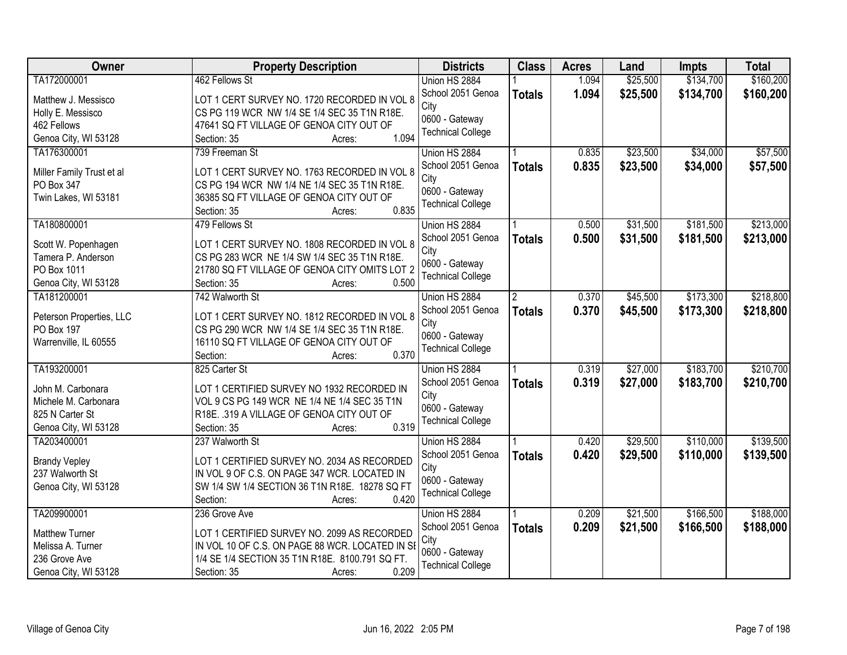| Owner                                   | <b>Property Description</b>                                                                  | <b>Districts</b>          | <b>Class</b>   | <b>Acres</b> | Land     | <b>Impts</b> | <b>Total</b> |
|-----------------------------------------|----------------------------------------------------------------------------------------------|---------------------------|----------------|--------------|----------|--------------|--------------|
| TA172000001                             | 462 Fellows St                                                                               | Union HS 2884             |                | 1.094        | \$25,500 | \$134,700    | \$160,200    |
| Matthew J. Messisco                     | LOT 1 CERT SURVEY NO. 1720 RECORDED IN VOL 8                                                 | School 2051 Genoa<br>City | <b>Totals</b>  | 1.094        | \$25,500 | \$134,700    | \$160,200    |
| Holly E. Messisco                       | CS PG 119 WCR NW 1/4 SE 1/4 SEC 35 T1N R18E.                                                 | 0600 - Gateway            |                |              |          |              |              |
| 462 Fellows                             | 47641 SQ FT VILLAGE OF GENOA CITY OUT OF                                                     | <b>Technical College</b>  |                |              |          |              |              |
| Genoa City, WI 53128                    | 1.094<br>Section: 35<br>Acres:                                                               |                           |                |              |          |              |              |
| TA176300001                             | 739 Freeman St                                                                               | Union HS 2884             |                | 0.835        | \$23,500 | \$34,000     | \$57,500     |
|                                         |                                                                                              | School 2051 Genoa         | <b>Totals</b>  | 0.835        | \$23,500 | \$34,000     | \$57,500     |
| Miller Family Trust et al<br>PO Box 347 | LOT 1 CERT SURVEY NO. 1763 RECORDED IN VOL 8<br>CS PG 194 WCR NW 1/4 NE 1/4 SEC 35 T1N R18E. | City                      |                |              |          |              |              |
| Twin Lakes, WI 53181                    | 36385 SQ FT VILLAGE OF GENOA CITY OUT OF                                                     | 0600 - Gateway            |                |              |          |              |              |
|                                         | 0.835<br>Section: 35<br>Acres:                                                               | <b>Technical College</b>  |                |              |          |              |              |
| TA180800001                             | 479 Fellows St                                                                               | Union HS 2884             |                | 0.500        | \$31,500 | \$181,500    | \$213,000    |
|                                         |                                                                                              | School 2051 Genoa         |                |              |          |              |              |
| Scott W. Popenhagen                     | LOT 1 CERT SURVEY NO. 1808 RECORDED IN VOL 8                                                 | City                      | <b>Totals</b>  | 0.500        | \$31,500 | \$181,500    | \$213,000    |
| Tamera P. Anderson                      | CS PG 283 WCR NE 1/4 SW 1/4 SEC 35 T1N R18E.                                                 | 0600 - Gateway            |                |              |          |              |              |
| PO Box 1011                             | 21780 SQ FT VILLAGE OF GENOA CITY OMITS LOT 2                                                | <b>Technical College</b>  |                |              |          |              |              |
| Genoa City, WI 53128                    | Section: 35<br>0.500<br>Acres:                                                               |                           |                |              |          |              |              |
| TA181200001                             | 742 Walworth St                                                                              | Union HS 2884             | $\overline{2}$ | 0.370        | \$45,500 | \$173,300    | \$218,800    |
| Peterson Properties, LLC                | LOT 1 CERT SURVEY NO. 1812 RECORDED IN VOL 8                                                 | School 2051 Genoa         | <b>Totals</b>  | 0.370        | \$45,500 | \$173,300    | \$218,800    |
| PO Box 197                              | CS PG 290 WCR NW 1/4 SE 1/4 SEC 35 T1N R18E.                                                 | City                      |                |              |          |              |              |
| Warrenville, IL 60555                   | 16110 SQ FT VILLAGE OF GENOA CITY OUT OF                                                     | 0600 - Gateway            |                |              |          |              |              |
|                                         | 0.370<br>Section:<br>Acres:                                                                  | <b>Technical College</b>  |                |              |          |              |              |
| TA193200001                             | 825 Carter St                                                                                | Union HS 2884             |                | 0.319        | \$27,000 | \$183,700    | \$210,700    |
|                                         |                                                                                              | School 2051 Genoa         | <b>Totals</b>  | 0.319        | \$27,000 | \$183,700    | \$210,700    |
| John M. Carbonara                       | LOT 1 CERTIFIED SURVEY NO 1932 RECORDED IN                                                   | City                      |                |              |          |              |              |
| Michele M. Carbonara                    | VOL 9 CS PG 149 WCR NE 1/4 NE 1/4 SEC 35 T1N                                                 | 0600 - Gateway            |                |              |          |              |              |
| 825 N Carter St                         | R18E. .319 A VILLAGE OF GENOA CITY OUT OF                                                    | <b>Technical College</b>  |                |              |          |              |              |
| Genoa City, WI 53128                    | 0.319<br>Section: 35<br>Acres:                                                               |                           |                |              |          |              |              |
| TA203400001                             | 237 Walworth St                                                                              | Union HS 2884             |                | 0.420        | \$29,500 | \$110,000    | \$139,500    |
| <b>Brandy Vepley</b>                    | LOT 1 CERTIFIED SURVEY NO. 2034 AS RECORDED                                                  | School 2051 Genoa         | <b>Totals</b>  | 0.420        | \$29,500 | \$110,000    | \$139,500    |
| 237 Walworth St                         | IN VOL 9 OF C.S. ON PAGE 347 WCR. LOCATED IN                                                 | City                      |                |              |          |              |              |
| Genoa City, WI 53128                    | SW 1/4 SW 1/4 SECTION 36 T1N R18E. 18278 SQ FT                                               | 0600 - Gateway            |                |              |          |              |              |
|                                         | 0.420<br>Section:<br>Acres:                                                                  | <b>Technical College</b>  |                |              |          |              |              |
| TA209900001                             | 236 Grove Ave                                                                                | Union HS 2884             |                | 0.209        | \$21,500 | \$166,500    | \$188,000    |
|                                         |                                                                                              | School 2051 Genoa         | <b>Totals</b>  | 0.209        | \$21,500 | \$166,500    | \$188,000    |
| <b>Matthew Turner</b>                   | LOT 1 CERTIFIED SURVEY NO. 2099 AS RECORDED                                                  | City                      |                |              |          |              |              |
| Melissa A. Turner                       | IN VOL 10 OF C.S. ON PAGE 88 WCR. LOCATED IN SE                                              | 0600 - Gateway            |                |              |          |              |              |
| 236 Grove Ave                           | 1/4 SE 1/4 SECTION 35 T1N R18E. 8100.791 SQ FT.                                              | <b>Technical College</b>  |                |              |          |              |              |
| Genoa City, WI 53128                    | 0.209<br>Section: 35<br>Acres:                                                               |                           |                |              |          |              |              |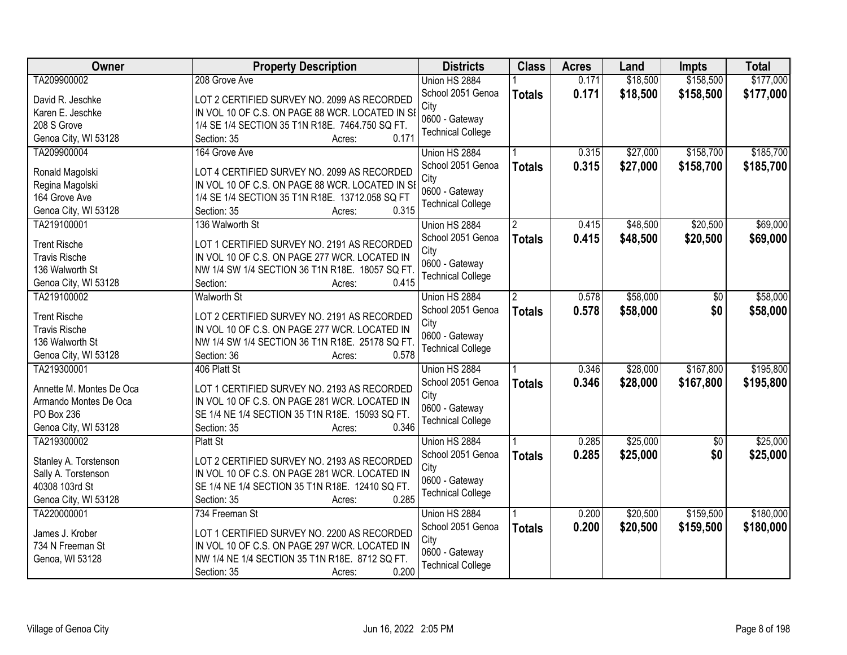| <b>Owner</b>             | <b>Property Description</b>                     | <b>Districts</b>          | <b>Class</b>   | <b>Acres</b> | Land     | <b>Impts</b>    | <b>Total</b> |
|--------------------------|-------------------------------------------------|---------------------------|----------------|--------------|----------|-----------------|--------------|
| TA209900002              | 208 Grove Ave                                   | Union HS 2884             |                | 0.171        | \$18,500 | \$158,500       | \$177,000    |
| David R. Jeschke         | LOT 2 CERTIFIED SURVEY NO. 2099 AS RECORDED     | School 2051 Genoa<br>City | <b>Totals</b>  | 0.171        | \$18,500 | \$158,500       | \$177,000    |
| Karen E. Jeschke         | IN VOL 10 OF C.S. ON PAGE 88 WCR. LOCATED IN SI | 0600 - Gateway            |                |              |          |                 |              |
| 208 S Grove              | 1/4 SE 1/4 SECTION 35 T1N R18E. 7464.750 SQ FT. | <b>Technical College</b>  |                |              |          |                 |              |
| Genoa City, WI 53128     | 0.171<br>Section: 35<br>Acres:                  |                           |                |              |          |                 |              |
| TA209900004              | 164 Grove Ave                                   | Union HS 2884             |                | 0.315        | \$27,000 | \$158,700       | \$185,700    |
| Ronald Magolski          | LOT 4 CERTIFIED SURVEY NO. 2099 AS RECORDED     | School 2051 Genoa         | <b>Totals</b>  | 0.315        | \$27,000 | \$158,700       | \$185,700    |
| Regina Magolski          | IN VOL 10 OF C.S. ON PAGE 88 WCR. LOCATED IN SI | City                      |                |              |          |                 |              |
| 164 Grove Ave            | 1/4 SE 1/4 SECTION 35 T1N R18E. 13712.058 SQ FT | 0600 - Gateway            |                |              |          |                 |              |
| Genoa City, WI 53128     | 0.315<br>Section: 35<br>Acres:                  | <b>Technical College</b>  |                |              |          |                 |              |
| TA219100001              | 136 Walworth St                                 |                           |                | 0.415        | \$48,500 | \$20,500        | \$69,000     |
|                          |                                                 | Union HS 2884             | 2              |              |          |                 |              |
| <b>Trent Rische</b>      | LOT 1 CERTIFIED SURVEY NO. 2191 AS RECORDED     | School 2051 Genoa         | <b>Totals</b>  | 0.415        | \$48,500 | \$20,500        | \$69,000     |
| <b>Travis Rische</b>     | IN VOL 10 OF C.S. ON PAGE 277 WCR. LOCATED IN   | City                      |                |              |          |                 |              |
| 136 Walworth St          | NW 1/4 SW 1/4 SECTION 36 T1N R18E. 18057 SQ FT. | 0600 - Gateway            |                |              |          |                 |              |
| Genoa City, WI 53128     | 0.415<br>Section:<br>Acres:                     | <b>Technical College</b>  |                |              |          |                 |              |
| TA219100002              | <b>Walworth St</b>                              | Union HS 2884             | $\overline{2}$ | 0.578        | \$58,000 | \$0             | \$58,000     |
|                          |                                                 | School 2051 Genoa         | <b>Totals</b>  | 0.578        | \$58,000 | \$0             | \$58,000     |
| <b>Trent Rische</b>      | LOT 2 CERTIFIED SURVEY NO. 2191 AS RECORDED     | City                      |                |              |          |                 |              |
| <b>Travis Rische</b>     | IN VOL 10 OF C.S. ON PAGE 277 WCR. LOCATED IN   | 0600 - Gateway            |                |              |          |                 |              |
| 136 Walworth St          | NW 1/4 SW 1/4 SECTION 36 T1N R18E. 25178 SQ FT. | <b>Technical College</b>  |                |              |          |                 |              |
| Genoa City, WI 53128     | 0.578<br>Section: 36<br>Acres:                  |                           |                |              |          |                 |              |
| TA219300001              | 406 Platt St                                    | Union HS 2884             |                | 0.346        | \$28,000 | \$167,800       | \$195,800    |
| Annette M. Montes De Oca | LOT 1 CERTIFIED SURVEY NO. 2193 AS RECORDED     | School 2051 Genoa         | <b>Totals</b>  | 0.346        | \$28,000 | \$167,800       | \$195,800    |
| Armando Montes De Oca    | IN VOL 10 OF C.S. ON PAGE 281 WCR. LOCATED IN   | City                      |                |              |          |                 |              |
| PO Box 236               | SE 1/4 NE 1/4 SECTION 35 T1N R18E. 15093 SQ FT. | 0600 - Gateway            |                |              |          |                 |              |
| Genoa City, WI 53128     | 0.346<br>Section: 35<br>Acres:                  | <b>Technical College</b>  |                |              |          |                 |              |
| TA219300002              | Platt St                                        | Union HS 2884             |                | 0.285        | \$25,000 | $\overline{50}$ | \$25,000     |
|                          |                                                 | School 2051 Genoa         | <b>Totals</b>  | 0.285        | \$25,000 | \$0             | \$25,000     |
| Stanley A. Torstenson    | LOT 2 CERTIFIED SURVEY NO. 2193 AS RECORDED     | City                      |                |              |          |                 |              |
| Sally A. Torstenson      | IN VOL 10 OF C.S. ON PAGE 281 WCR. LOCATED IN   | 0600 - Gateway            |                |              |          |                 |              |
| 40308 103rd St           | SE 1/4 NE 1/4 SECTION 35 T1N R18E. 12410 SQ FT. | <b>Technical College</b>  |                |              |          |                 |              |
| Genoa City, WI 53128     | 0.285<br>Section: 35<br>Acres:                  |                           |                |              |          |                 |              |
| TA220000001              | 734 Freeman St                                  | Union HS 2884             |                | 0.200        | \$20,500 | \$159,500       | \$180,000    |
| James J. Krober          | LOT 1 CERTIFIED SURVEY NO. 2200 AS RECORDED     | School 2051 Genoa         | <b>Totals</b>  | 0.200        | \$20,500 | \$159,500       | \$180,000    |
| 734 N Freeman St         | IN VOL 10 OF C.S. ON PAGE 297 WCR. LOCATED IN   | City                      |                |              |          |                 |              |
| Genoa, WI 53128          | NW 1/4 NE 1/4 SECTION 35 T1N R18E. 8712 SQ FT.  | 0600 - Gateway            |                |              |          |                 |              |
|                          | 0.200<br>Section: 35<br>Acres:                  | <b>Technical College</b>  |                |              |          |                 |              |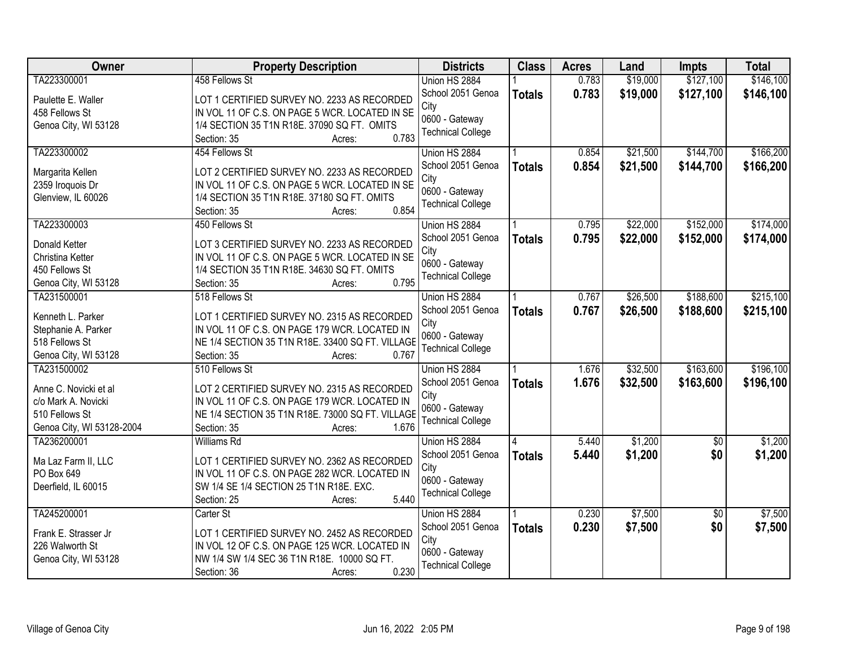| <b>Owner</b>              | <b>Property Description</b>                      | <b>Districts</b>         | <b>Class</b>  | <b>Acres</b> | Land     | Impts           | <b>Total</b> |
|---------------------------|--------------------------------------------------|--------------------------|---------------|--------------|----------|-----------------|--------------|
| TA223300001               | 458 Fellows St                                   | Union HS 2884            |               | 0.783        | \$19,000 | \$127,100       | \$146,100    |
| Paulette E. Waller        | LOT 1 CERTIFIED SURVEY NO. 2233 AS RECORDED      | School 2051 Genoa        | <b>Totals</b> | 0.783        | \$19,000 | \$127,100       | \$146,100    |
| 458 Fellows St            | IN VOL 11 OF C.S. ON PAGE 5 WCR. LOCATED IN SE   | City                     |               |              |          |                 |              |
| Genoa City, WI 53128      | 1/4 SECTION 35 T1N R18E. 37090 SQ FT. OMITS      | 0600 - Gateway           |               |              |          |                 |              |
|                           | 0.783<br>Section: 35<br>Acres:                   | <b>Technical College</b> |               |              |          |                 |              |
| TA223300002               | 454 Fellows St                                   | Union HS 2884            |               | 0.854        | \$21,500 | \$144,700       | \$166,200    |
| Margarita Kellen          | LOT 2 CERTIFIED SURVEY NO. 2233 AS RECORDED      | School 2051 Genoa        | <b>Totals</b> | 0.854        | \$21,500 | \$144,700       | \$166,200    |
| 2359 Iroquois Dr          | IN VOL 11 OF C.S. ON PAGE 5 WCR. LOCATED IN SE   | City                     |               |              |          |                 |              |
| Glenview, IL 60026        | 1/4 SECTION 35 T1N R18E. 37180 SQ FT. OMITS      | 0600 - Gateway           |               |              |          |                 |              |
|                           | 0.854<br>Section: 35<br>Acres:                   | <b>Technical College</b> |               |              |          |                 |              |
| TA223300003               | 450 Fellows St                                   | Union HS 2884            |               | 0.795        | \$22,000 | \$152,000       | \$174,000    |
| <b>Donald Ketter</b>      | LOT 3 CERTIFIED SURVEY NO. 2233 AS RECORDED      | School 2051 Genoa        | <b>Totals</b> | 0.795        | \$22,000 | \$152,000       | \$174,000    |
| Christina Ketter          | IN VOL 11 OF C.S. ON PAGE 5 WCR. LOCATED IN SE   | City                     |               |              |          |                 |              |
| 450 Fellows St            | 1/4 SECTION 35 T1N R18E. 34630 SQ FT. OMITS      | 0600 - Gateway           |               |              |          |                 |              |
| Genoa City, WI 53128      | 0.795<br>Section: 35<br>Acres:                   | <b>Technical College</b> |               |              |          |                 |              |
| TA231500001               | 518 Fellows St                                   | Union HS 2884            |               | 0.767        | \$26,500 | \$188,600       | \$215,100    |
|                           |                                                  | School 2051 Genoa        |               | 0.767        | \$26,500 | \$188,600       |              |
| Kenneth L. Parker         | LOT 1 CERTIFIED SURVEY NO. 2315 AS RECORDED      | City                     | <b>Totals</b> |              |          |                 | \$215,100    |
| Stephanie A. Parker       | IN VOL 11 OF C.S. ON PAGE 179 WCR. LOCATED IN    | 0600 - Gateway           |               |              |          |                 |              |
| 518 Fellows St            | NE 1/4 SECTION 35 T1N R18E. 33400 SQ FT. VILLAGE | <b>Technical College</b> |               |              |          |                 |              |
| Genoa City, WI 53128      | 0.767<br>Section: 35<br>Acres:                   |                          |               |              |          |                 |              |
| TA231500002               | 510 Fellows St                                   | Union HS 2884            |               | 1.676        | \$32,500 | \$163,600       | \$196,100    |
| Anne C. Novicki et al     | LOT 2 CERTIFIED SURVEY NO. 2315 AS RECORDED      | School 2051 Genoa        | <b>Totals</b> | 1.676        | \$32,500 | \$163,600       | \$196,100    |
| c/o Mark A. Novicki       | IN VOL 11 OF C.S. ON PAGE 179 WCR. LOCATED IN    | City                     |               |              |          |                 |              |
| 510 Fellows St            | NE 1/4 SECTION 35 T1N R18E. 73000 SQ FT. VILLAGE | 0600 - Gateway           |               |              |          |                 |              |
| Genoa City, WI 53128-2004 | 1.676<br>Section: 35<br>Acres:                   | <b>Technical College</b> |               |              |          |                 |              |
| TA236200001               | <b>Williams Rd</b>                               | Union HS 2884            |               | 5.440        | \$1,200  | $\overline{50}$ | \$1,200      |
|                           |                                                  | School 2051 Genoa        | <b>Totals</b> | 5.440        | \$1,200  | \$0             | \$1,200      |
| Ma Laz Farm II, LLC       | LOT 1 CERTIFIED SURVEY NO. 2362 AS RECORDED      | City                     |               |              |          |                 |              |
| PO Box 649                | IN VOL 11 OF C.S. ON PAGE 282 WCR. LOCATED IN    | 0600 - Gateway           |               |              |          |                 |              |
| Deerfield, IL 60015       | SW 1/4 SE 1/4 SECTION 25 T1N R18E. EXC.          | <b>Technical College</b> |               |              |          |                 |              |
|                           | 5.440<br>Section: 25<br>Acres:                   |                          |               |              |          |                 |              |
| TA245200001               | Carter St                                        | Union HS 2884            |               | 0.230        | \$7,500  | $\overline{50}$ | \$7,500      |
| Frank E. Strasser Jr      | LOT 1 CERTIFIED SURVEY NO. 2452 AS RECORDED      | School 2051 Genoa        | <b>Totals</b> | 0.230        | \$7,500  | \$0             | \$7,500      |
| 226 Walworth St           | IN VOL 12 OF C.S. ON PAGE 125 WCR. LOCATED IN    | City                     |               |              |          |                 |              |
| Genoa City, WI 53128      | NW 1/4 SW 1/4 SEC 36 T1N R18E. 10000 SQ FT.      | 0600 - Gateway           |               |              |          |                 |              |
|                           | 0.230<br>Section: 36<br>Acres:                   | <b>Technical College</b> |               |              |          |                 |              |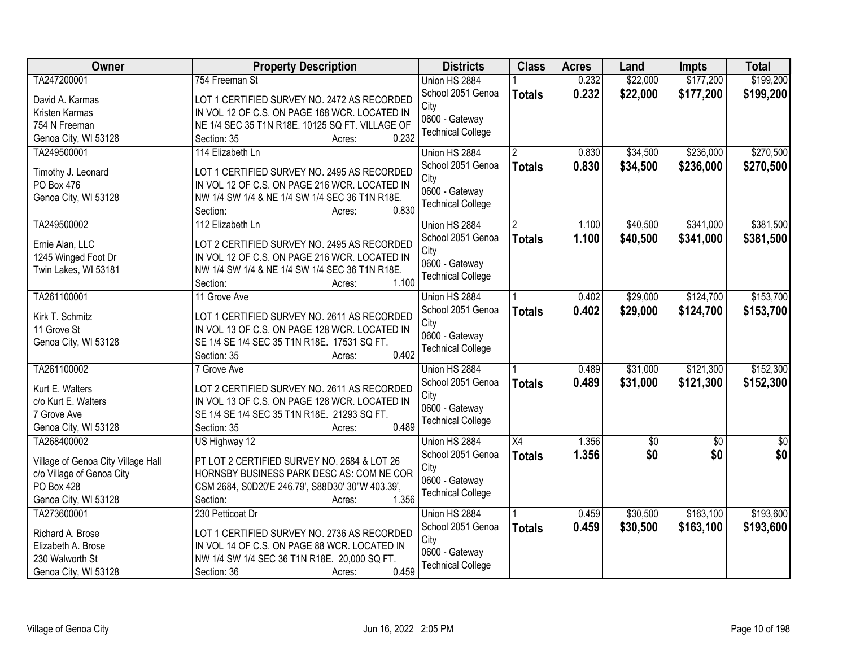| Owner                              | <b>Property Description</b>                                                                  | <b>Districts</b>          | <b>Class</b>   | <b>Acres</b> | Land            | Impts       | <b>Total</b> |
|------------------------------------|----------------------------------------------------------------------------------------------|---------------------------|----------------|--------------|-----------------|-------------|--------------|
| TA247200001                        | 754 Freeman St                                                                               | Union HS 2884             |                | 0.232        | \$22,000        | \$177,200   | \$199,200    |
| David A. Karmas                    | LOT 1 CERTIFIED SURVEY NO. 2472 AS RECORDED                                                  | School 2051 Genoa         | <b>Totals</b>  | 0.232        | \$22,000        | \$177,200   | \$199,200    |
| Kristen Karmas                     | IN VOL 12 OF C.S. ON PAGE 168 WCR. LOCATED IN                                                | City                      |                |              |                 |             |              |
| 754 N Freeman                      | NE 1/4 SEC 35 T1N R18E. 10125 SQ FT. VILLAGE OF                                              | 0600 - Gateway            |                |              |                 |             |              |
| Genoa City, WI 53128               | 0.232<br>Section: 35<br>Acres:                                                               | <b>Technical College</b>  |                |              |                 |             |              |
| TA249500001                        | 114 Elizabeth Ln                                                                             | Union HS 2884             | $\overline{2}$ | 0.830        | \$34,500        | \$236,000   | \$270,500    |
|                                    |                                                                                              | School 2051 Genoa         | <b>Totals</b>  | 0.830        | \$34,500        | \$236,000   | \$270,500    |
| Timothy J. Leonard                 | LOT 1 CERTIFIED SURVEY NO. 2495 AS RECORDED                                                  | City                      |                |              |                 |             |              |
| PO Box 476                         | IN VOL 12 OF C.S. ON PAGE 216 WCR. LOCATED IN                                                | 0600 - Gateway            |                |              |                 |             |              |
| Genoa City, WI 53128               | NW 1/4 SW 1/4 & NE 1/4 SW 1/4 SEC 36 T1N R18E.<br>0.830                                      | <b>Technical College</b>  |                |              |                 |             |              |
|                                    | Section:<br>Acres:                                                                           |                           |                |              |                 |             |              |
| TA249500002                        | 112 Elizabeth Ln                                                                             | Union HS 2884             | 2              | 1.100        | \$40,500        | \$341,000   | \$381,500    |
| Ernie Alan, LLC                    | LOT 2 CERTIFIED SURVEY NO. 2495 AS RECORDED                                                  | School 2051 Genoa         | <b>Totals</b>  | 1.100        | \$40,500        | \$341,000   | \$381,500    |
| 1245 Winged Foot Dr                | IN VOL 12 OF C.S. ON PAGE 216 WCR. LOCATED IN                                                | City                      |                |              |                 |             |              |
| Twin Lakes, WI 53181               | NW 1/4 SW 1/4 & NE 1/4 SW 1/4 SEC 36 T1N R18E.                                               | 0600 - Gateway            |                |              |                 |             |              |
|                                    | 1.100<br>Section:<br>Acres:                                                                  | <b>Technical College</b>  |                |              |                 |             |              |
| TA261100001                        | 11 Grove Ave                                                                                 | Union HS 2884             |                | 0.402        | \$29,000        | \$124,700   | \$153,700    |
|                                    |                                                                                              | School 2051 Genoa         | <b>Totals</b>  | 0.402        | \$29,000        | \$124,700   | \$153,700    |
| Kirk T. Schmitz<br>11 Grove St     | LOT 1 CERTIFIED SURVEY NO. 2611 AS RECORDED                                                  | City                      |                |              |                 |             |              |
|                                    | IN VOL 13 OF C.S. ON PAGE 128 WCR. LOCATED IN<br>SE 1/4 SE 1/4 SEC 35 T1N R18E. 17531 SQ FT. | 0600 - Gateway            |                |              |                 |             |              |
| Genoa City, WI 53128               | 0.402<br>Section: 35<br>Acres:                                                               | <b>Technical College</b>  |                |              |                 |             |              |
| TA261100002                        | 7 Grove Ave                                                                                  | Union HS 2884             |                | 0.489        | \$31,000        | \$121,300   | \$152,300    |
|                                    |                                                                                              |                           |                |              |                 |             |              |
| Kurt E. Walters                    | LOT 2 CERTIFIED SURVEY NO. 2611 AS RECORDED                                                  | School 2051 Genoa<br>City | <b>Totals</b>  | 0.489        | \$31,000        | \$121,300   | \$152,300    |
| c/o Kurt E. Walters                | IN VOL 13 OF C.S. ON PAGE 128 WCR. LOCATED IN                                                | 0600 - Gateway            |                |              |                 |             |              |
| 7 Grove Ave                        | SE 1/4 SE 1/4 SEC 35 T1N R18E. 21293 SQ FT.                                                  | <b>Technical College</b>  |                |              |                 |             |              |
| Genoa City, WI 53128               | 0.489<br>Section: 35<br>Acres:                                                               |                           |                |              |                 |             |              |
| TA268400002                        | US Highway 12                                                                                | Union HS 2884             | X4             | 1.356        | $\overline{50}$ | $\sqrt{$0}$ | $\sqrt{50}$  |
| Village of Genoa City Village Hall | PT LOT 2 CERTIFIED SURVEY NO. 2684 & LOT 26                                                  | School 2051 Genoa         | <b>Totals</b>  | 1.356        | \$0             | \$0         | \$0          |
| c/o Village of Genoa City          | HORNSBY BUSINESS PARK DESC AS: COM NE COR                                                    | City                      |                |              |                 |             |              |
| PO Box 428                         | CSM 2684, S0D20'E 246.79', S88D30' 30"W 403.39',                                             | 0600 - Gateway            |                |              |                 |             |              |
| Genoa City, WI 53128               | 1.356<br>Section:<br>Acres:                                                                  | <b>Technical College</b>  |                |              |                 |             |              |
| TA273600001                        | 230 Petticoat Dr                                                                             | Union HS 2884             |                | 0.459        | \$30,500        | \$163,100   | \$193,600    |
|                                    |                                                                                              | School 2051 Genoa         | <b>Totals</b>  | 0.459        | \$30,500        | \$163,100   | \$193,600    |
| Richard A. Brose                   | LOT 1 CERTIFIED SURVEY NO. 2736 AS RECORDED                                                  | City                      |                |              |                 |             |              |
| Elizabeth A. Brose                 | IN VOL 14 OF C.S. ON PAGE 88 WCR. LOCATED IN                                                 | 0600 - Gateway            |                |              |                 |             |              |
| 230 Walworth St                    | NW 1/4 SW 1/4 SEC 36 T1N R18E. 20,000 SQ FT.                                                 | <b>Technical College</b>  |                |              |                 |             |              |
| Genoa City, WI 53128               | 0.459<br>Section: 36<br>Acres:                                                               |                           |                |              |                 |             |              |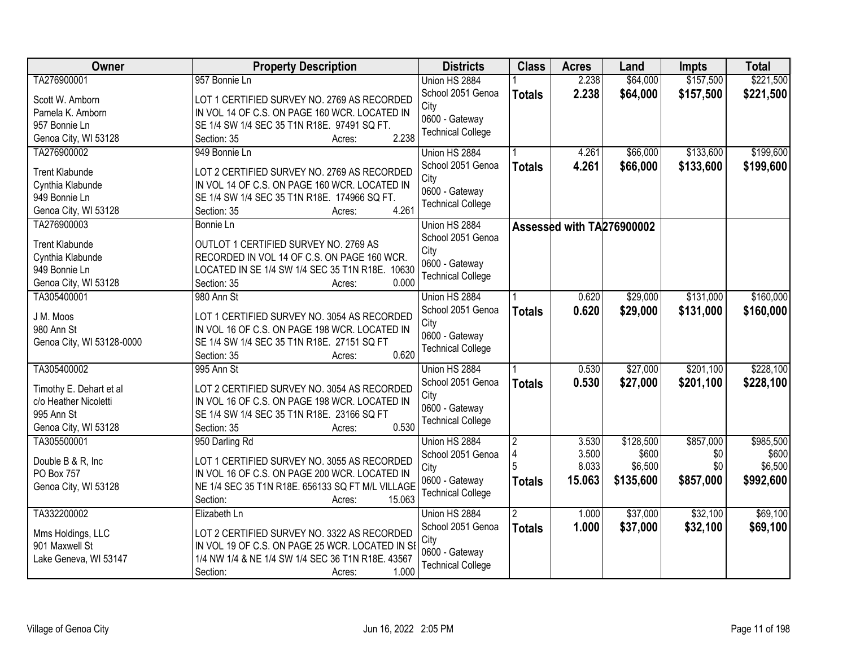| Owner                     | <b>Property Description</b>                         | <b>Districts</b>         | <b>Class</b>   | <b>Acres</b>              | Land      | <b>Impts</b> | <b>Total</b> |
|---------------------------|-----------------------------------------------------|--------------------------|----------------|---------------------------|-----------|--------------|--------------|
| TA276900001               | 957 Bonnie Ln                                       | Union HS 2884            |                | 2.238                     | \$64,000  | \$157,500    | \$221,500    |
| Scott W. Amborn           | LOT 1 CERTIFIED SURVEY NO. 2769 AS RECORDED         | School 2051 Genoa        | <b>Totals</b>  | 2.238                     | \$64,000  | \$157,500    | \$221,500    |
| Pamela K. Amborn          | IN VOL 14 OF C.S. ON PAGE 160 WCR. LOCATED IN       | City                     |                |                           |           |              |              |
| 957 Bonnie Ln             | SE 1/4 SW 1/4 SEC 35 T1N R18E. 97491 SQ FT.         | 0600 - Gateway           |                |                           |           |              |              |
| Genoa City, WI 53128      | 2.238<br>Section: 35<br>Acres:                      | <b>Technical College</b> |                |                           |           |              |              |
| TA276900002               | 949 Bonnie Ln                                       | Union HS 2884            |                | 4.261                     | \$66,000  | \$133,600    | \$199,600    |
|                           |                                                     | School 2051 Genoa        | <b>Totals</b>  | 4.261                     | \$66,000  | \$133,600    | \$199,600    |
| <b>Trent Klabunde</b>     | LOT 2 CERTIFIED SURVEY NO. 2769 AS RECORDED         | City                     |                |                           |           |              |              |
| Cynthia Klabunde          | IN VOL 14 OF C.S. ON PAGE 160 WCR. LOCATED IN       | 0600 - Gateway           |                |                           |           |              |              |
| 949 Bonnie Ln             | SE 1/4 SW 1/4 SEC 35 T1N R18E. 174966 SQ FT.        | <b>Technical College</b> |                |                           |           |              |              |
| Genoa City, WI 53128      | 4.261<br>Section: 35<br>Acres:                      |                          |                |                           |           |              |              |
| TA276900003               | Bonnie Ln                                           | Union HS 2884            |                | Assessed with TA276900002 |           |              |              |
| <b>Trent Klabunde</b>     | OUTLOT 1 CERTIFIED SURVEY NO. 2769 AS               | School 2051 Genoa        |                |                           |           |              |              |
| Cynthia Klabunde          | RECORDED IN VOL 14 OF C.S. ON PAGE 160 WCR.         | City                     |                |                           |           |              |              |
| 949 Bonnie Ln             | LOCATED IN SE 1/4 SW 1/4 SEC 35 T1N R18E. 10630     | 0600 - Gateway           |                |                           |           |              |              |
| Genoa City, WI 53128      | 0.000<br>Section: 35<br>Acres:                      | <b>Technical College</b> |                |                           |           |              |              |
| TA305400001               | 980 Ann St                                          | Union HS 2884            |                | 0.620                     | \$29,000  | \$131,000    | \$160,000    |
|                           |                                                     | School 2051 Genoa        | <b>Totals</b>  | 0.620                     | \$29,000  | \$131,000    | \$160,000    |
| J M. Moos                 | LOT 1 CERTIFIED SURVEY NO. 3054 AS RECORDED         | City                     |                |                           |           |              |              |
| 980 Ann St                | IN VOL 16 OF C.S. ON PAGE 198 WCR. LOCATED IN       | 0600 - Gateway           |                |                           |           |              |              |
| Genoa City, WI 53128-0000 | SE 1/4 SW 1/4 SEC 35 T1N R18E. 27151 SQ FT<br>0.620 | <b>Technical College</b> |                |                           |           |              |              |
| TA305400002               | Section: 35<br>Acres:<br>995 Ann St                 |                          |                | 0.530                     | \$27,000  | \$201,100    | \$228,100    |
|                           |                                                     | Union HS 2884            |                |                           |           |              |              |
| Timothy E. Dehart et al   | LOT 2 CERTIFIED SURVEY NO. 3054 AS RECORDED         | School 2051 Genoa        | <b>Totals</b>  | 0.530                     | \$27,000  | \$201,100    | \$228,100    |
| c/o Heather Nicoletti     | IN VOL 16 OF C.S. ON PAGE 198 WCR. LOCATED IN       | City<br>0600 - Gateway   |                |                           |           |              |              |
| 995 Ann St                | SE 1/4 SW 1/4 SEC 35 T1N R18E. 23166 SQ FT          |                          |                |                           |           |              |              |
| Genoa City, WI 53128      | 0.530<br>Section: 35<br>Acres:                      | <b>Technical College</b> |                |                           |           |              |              |
| TA305500001               | 950 Darling Rd                                      | Union HS 2884            | $\overline{2}$ | 3.530                     | \$128,500 | \$857,000    | \$985,500    |
| Double B & R, Inc         | LOT 1 CERTIFIED SURVEY NO. 3055 AS RECORDED         | School 2051 Genoa        | 4              | 3.500                     | \$600     | \$0          | \$600        |
| PO Box 757                | IN VOL 16 OF C.S. ON PAGE 200 WCR. LOCATED IN       | City                     |                | 8.033                     | \$6,500   | \$0          | \$6,500      |
| Genoa City, WI 53128      | NE 1/4 SEC 35 T1N R18E. 656133 SQ FT M/L VILLAGE    | 0600 - Gateway           | <b>Totals</b>  | 15.063                    | \$135,600 | \$857,000    | \$992,600    |
|                           | 15.063<br>Section:<br>Acres:                        | <b>Technical College</b> |                |                           |           |              |              |
| TA332200002               | Elizabeth Ln                                        | Union HS 2884            | 2              | 1.000                     | \$37,000  | \$32,100     | \$69,100     |
|                           |                                                     | School 2051 Genoa        | <b>Totals</b>  | 1.000                     | \$37,000  | \$32,100     | \$69,100     |
| Mms Holdings, LLC         | LOT 2 CERTIFIED SURVEY NO. 3322 AS RECORDED         | City                     |                |                           |           |              |              |
| 901 Maxwell St            | IN VOL 19 OF C.S. ON PAGE 25 WCR. LOCATED IN SE     | 0600 - Gateway           |                |                           |           |              |              |
| Lake Geneva, WI 53147     | 1/4 NW 1/4 & NE 1/4 SW 1/4 SEC 36 T1N R18E. 43567   | <b>Technical College</b> |                |                           |           |              |              |
|                           | 1.000<br>Section:<br>Acres:                         |                          |                |                           |           |              |              |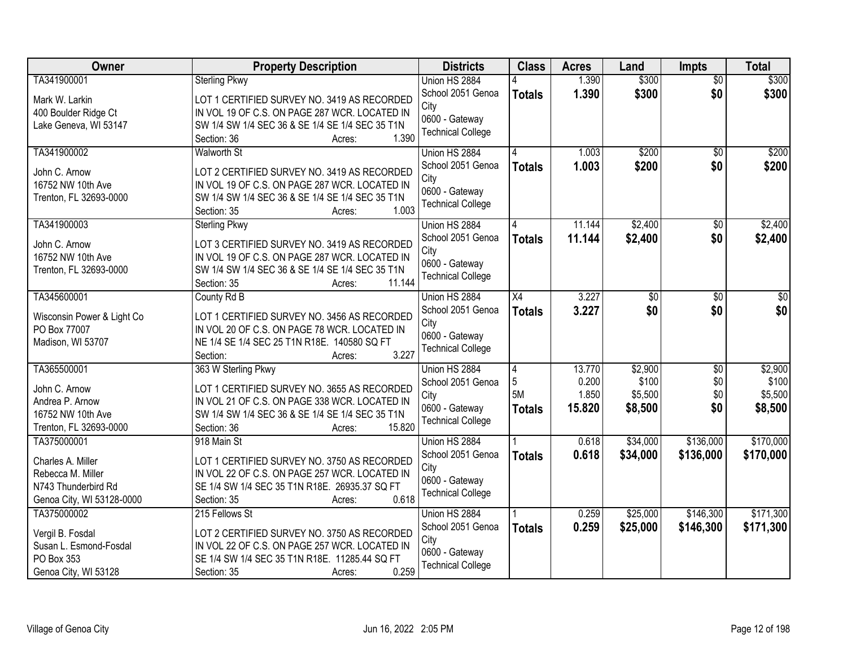| <b>Owner</b>                         | <b>Property Description</b>                                                                  | <b>Districts</b>         | <b>Class</b>   | <b>Acres</b> | Land     | Impts           | <b>Total</b> |
|--------------------------------------|----------------------------------------------------------------------------------------------|--------------------------|----------------|--------------|----------|-----------------|--------------|
| TA341900001                          | <b>Sterling Pkwy</b>                                                                         | Union HS 2884            |                | 1.390        | \$300    | $\overline{50}$ | \$300        |
| Mark W. Larkin                       | LOT 1 CERTIFIED SURVEY NO. 3419 AS RECORDED                                                  | School 2051 Genoa        | <b>Totals</b>  | 1.390        | \$300    | \$0             | \$300        |
| 400 Boulder Ridge Ct                 | IN VOL 19 OF C.S. ON PAGE 287 WCR. LOCATED IN                                                | City                     |                |              |          |                 |              |
| Lake Geneva, WI 53147                | SW 1/4 SW 1/4 SEC 36 & SE 1/4 SE 1/4 SEC 35 T1N                                              | 0600 - Gateway           |                |              |          |                 |              |
|                                      | 1.390<br>Section: 36<br>Acres:                                                               | <b>Technical College</b> |                |              |          |                 |              |
| TA341900002                          | <b>Walworth St</b>                                                                           | Union HS 2884            |                | 1.003        | \$200    | $\overline{50}$ | \$200        |
|                                      |                                                                                              | School 2051 Genoa        | <b>Totals</b>  | 1.003        | \$200    | \$0             | \$200        |
| John C. Arnow                        | LOT 2 CERTIFIED SURVEY NO. 3419 AS RECORDED                                                  | City                     |                |              |          |                 |              |
| 16752 NW 10th Ave                    | IN VOL 19 OF C.S. ON PAGE 287 WCR. LOCATED IN                                                | 0600 - Gateway           |                |              |          |                 |              |
| Trenton, FL 32693-0000               | SW 1/4 SW 1/4 SEC 36 & SE 1/4 SE 1/4 SEC 35 T1N<br>1.003                                     | <b>Technical College</b> |                |              |          |                 |              |
|                                      | Section: 35<br>Acres:                                                                        |                          |                |              |          |                 |              |
| TA341900003                          | <b>Sterling Pkwy</b>                                                                         | Union HS 2884            |                | 11.144       | \$2,400  | \$0             | \$2,400      |
| John C. Arnow                        | LOT 3 CERTIFIED SURVEY NO. 3419 AS RECORDED                                                  | School 2051 Genoa        | <b>Totals</b>  | 11.144       | \$2,400  | \$0             | \$2,400      |
| 16752 NW 10th Ave                    | IN VOL 19 OF C.S. ON PAGE 287 WCR. LOCATED IN                                                | City                     |                |              |          |                 |              |
| Trenton, FL 32693-0000               | SW 1/4 SW 1/4 SEC 36 & SE 1/4 SE 1/4 SEC 35 T1N                                              | 0600 - Gateway           |                |              |          |                 |              |
|                                      | 11.144<br>Section: 35<br>Acres:                                                              | <b>Technical College</b> |                |              |          |                 |              |
| TA345600001                          | County Rd B                                                                                  | Union HS 2884            | X4             | 3.227        | \$0      | \$0             | \$0          |
| Wisconsin Power & Light Co           | LOT 1 CERTIFIED SURVEY NO. 3456 AS RECORDED                                                  | School 2051 Genoa        | <b>Totals</b>  | 3.227        | \$0      | \$0             | \$0          |
| PO Box 77007                         | IN VOL 20 OF C.S. ON PAGE 78 WCR. LOCATED IN                                                 | City                     |                |              |          |                 |              |
| Madison, WI 53707                    | NE 1/4 SE 1/4 SEC 25 T1N R18E. 140580 SQ FT                                                  | 0600 - Gateway           |                |              |          |                 |              |
|                                      | 3.227<br>Section:<br>Acres:                                                                  | <b>Technical College</b> |                |              |          |                 |              |
| TA365500001                          | 363 W Sterling Pkwy                                                                          | Union HS 2884            | $\overline{4}$ | 13.770       | \$2,900  | $\overline{50}$ | \$2,900      |
|                                      |                                                                                              | School 2051 Genoa        | 5              | 0.200        | \$100    | \$0             | \$100        |
| John C. Arnow                        | LOT 1 CERTIFIED SURVEY NO. 3655 AS RECORDED                                                  | City                     | 5M             | 1.850        | \$5,500  | \$0             | \$5,500      |
| Andrea P. Arnow                      | IN VOL 21 OF C.S. ON PAGE 338 WCR. LOCATED IN                                                | 0600 - Gateway           | <b>Totals</b>  | 15.820       | \$8,500  | \$0             | \$8,500      |
| 16752 NW 10th Ave                    | SW 1/4 SW 1/4 SEC 36 & SE 1/4 SE 1/4 SEC 35 T1N                                              | <b>Technical College</b> |                |              |          |                 |              |
| Trenton, FL 32693-0000               | 15.820<br>Section: 36<br>Acres:                                                              |                          |                |              |          |                 |              |
| TA375000001                          | 918 Main St                                                                                  | Union HS 2884            |                | 0.618        | \$34,000 | \$136,000       | \$170,000    |
| Charles A. Miller                    | LOT 1 CERTIFIED SURVEY NO. 3750 AS RECORDED                                                  | School 2051 Genoa        | <b>Totals</b>  | 0.618        | \$34,000 | \$136,000       | \$170,000    |
| Rebecca M. Miller                    | IN VOL 22 OF C.S. ON PAGE 257 WCR. LOCATED IN                                                | City                     |                |              |          |                 |              |
| N743 Thunderbird Rd                  | SE 1/4 SW 1/4 SEC 35 T1N R18E. 26935.37 SQ FT                                                | 0600 - Gateway           |                |              |          |                 |              |
| Genoa City, WI 53128-0000            | 0.618<br>Section: 35<br>Acres:                                                               | <b>Technical College</b> |                |              |          |                 |              |
| TA375000002                          | 215 Fellows St                                                                               | Union HS 2884            |                | 0.259        | \$25,000 | \$146,300       | \$171,300    |
|                                      |                                                                                              | School 2051 Genoa        | <b>Totals</b>  | 0.259        | \$25,000 | \$146,300       | \$171,300    |
| Vergil B. Fosdal                     | LOT 2 CERTIFIED SURVEY NO. 3750 AS RECORDED<br>IN VOL 22 OF C.S. ON PAGE 257 WCR. LOCATED IN | City                     |                |              |          |                 |              |
| Susan L. Esmond-Fosdal<br>PO Box 353 | SE 1/4 SW 1/4 SEC 35 T1N R18E. 11285.44 SQ FT                                                | 0600 - Gateway           |                |              |          |                 |              |
|                                      |                                                                                              | <b>Technical College</b> |                |              |          |                 |              |
| Genoa City, WI 53128                 | 0.259<br>Section: 35<br>Acres:                                                               |                          |                |              |          |                 |              |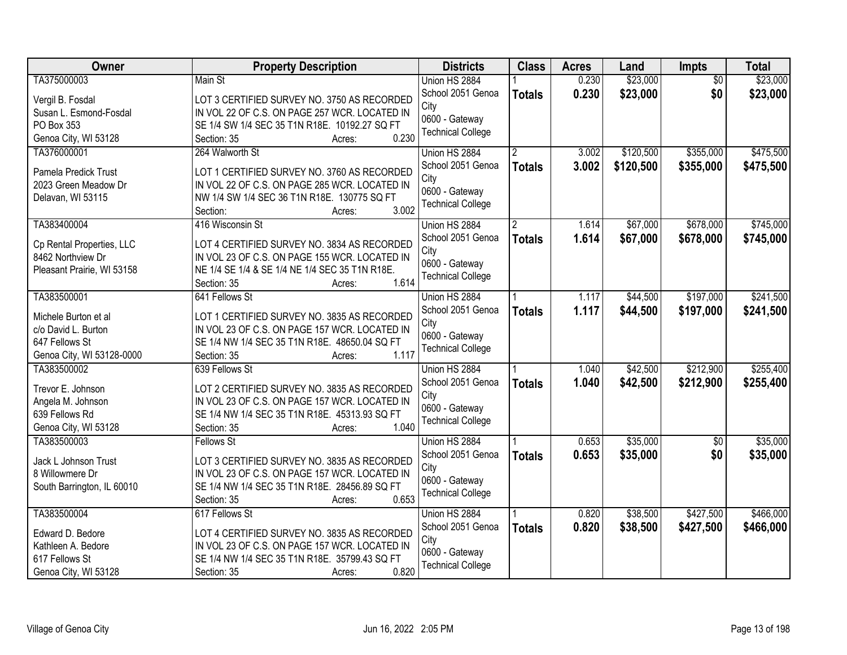| Owner                                 | <b>Property Description</b>                                                                    | <b>Districts</b>         | <b>Class</b>  | <b>Acres</b> | Land      | Impts           | <b>Total</b> |
|---------------------------------------|------------------------------------------------------------------------------------------------|--------------------------|---------------|--------------|-----------|-----------------|--------------|
| TA375000003                           | Main St                                                                                        | Union HS 2884            |               | 0.230        | \$23,000  | $\overline{50}$ | \$23,000     |
| Vergil B. Fosdal                      | LOT 3 CERTIFIED SURVEY NO. 3750 AS RECORDED                                                    | School 2051 Genoa        | <b>Totals</b> | 0.230        | \$23,000  | \$0             | \$23,000     |
| Susan L. Esmond-Fosdal                | IN VOL 22 OF C.S. ON PAGE 257 WCR. LOCATED IN                                                  | City                     |               |              |           |                 |              |
| PO Box 353                            | SE 1/4 SW 1/4 SEC 35 T1N R18E. 10192.27 SQ FT                                                  | 0600 - Gateway           |               |              |           |                 |              |
| Genoa City, WI 53128                  | 0.230<br>Section: 35<br>Acres:                                                                 | <b>Technical College</b> |               |              |           |                 |              |
| TA376000001                           | 264 Walworth St                                                                                | Union HS 2884            |               | 3.002        | \$120,500 | \$355,000       | \$475,500    |
| Pamela Predick Trust                  | LOT 1 CERTIFIED SURVEY NO. 3760 AS RECORDED                                                    | School 2051 Genoa        | <b>Totals</b> | 3.002        | \$120,500 | \$355,000       | \$475,500    |
| 2023 Green Meadow Dr                  | IN VOL 22 OF C.S. ON PAGE 285 WCR. LOCATED IN                                                  | City                     |               |              |           |                 |              |
| Delavan, WI 53115                     | NW 1/4 SW 1/4 SEC 36 T1N R18E. 130775 SQ FT                                                    | 0600 - Gateway           |               |              |           |                 |              |
|                                       | 3.002<br>Section:<br>Acres:                                                                    | <b>Technical College</b> |               |              |           |                 |              |
| TA383400004                           | 416 Wisconsin St                                                                               | Union HS 2884            |               | 1.614        | \$67,000  | \$678,000       | \$745,000    |
| Cp Rental Properties, LLC             | LOT 4 CERTIFIED SURVEY NO. 3834 AS RECORDED                                                    | School 2051 Genoa        | <b>Totals</b> | 1.614        | \$67,000  | \$678,000       | \$745,000    |
| 8462 Northview Dr                     | IN VOL 23 OF C.S. ON PAGE 155 WCR. LOCATED IN                                                  | City                     |               |              |           |                 |              |
| Pleasant Prairie, WI 53158            | NE 1/4 SE 1/4 & SE 1/4 NE 1/4 SEC 35 T1N R18E.                                                 | 0600 - Gateway           |               |              |           |                 |              |
|                                       | 1.614<br>Section: 35<br>Acres:                                                                 | <b>Technical College</b> |               |              |           |                 |              |
| TA383500001                           | 641 Fellows St                                                                                 | Union HS 2884            |               | 1.117        | \$44,500  | \$197,000       | \$241,500    |
|                                       |                                                                                                | School 2051 Genoa        | <b>Totals</b> | 1.117        | \$44,500  | \$197,000       | \$241,500    |
| Michele Burton et al                  | LOT 1 CERTIFIED SURVEY NO. 3835 AS RECORDED                                                    | City                     |               |              |           |                 |              |
| c/o David L. Burton<br>647 Fellows St | IN VOL 23 OF C.S. ON PAGE 157 WCR. LOCATED IN<br>SE 1/4 NW 1/4 SEC 35 T1N R18E. 48650.04 SQ FT | 0600 - Gateway           |               |              |           |                 |              |
| Genoa City, WI 53128-0000             | 1.117<br>Section: 35<br>Acres:                                                                 | <b>Technical College</b> |               |              |           |                 |              |
| TA383500002                           | 639 Fellows St                                                                                 | Union HS 2884            |               | 1.040        | \$42,500  | \$212,900       | \$255,400    |
|                                       |                                                                                                | School 2051 Genoa        | <b>Totals</b> | 1.040        | \$42,500  | \$212,900       | \$255,400    |
| Trevor E. Johnson                     | LOT 2 CERTIFIED SURVEY NO. 3835 AS RECORDED                                                    | City                     |               |              |           |                 |              |
| Angela M. Johnson                     | IN VOL 23 OF C.S. ON PAGE 157 WCR. LOCATED IN                                                  | 0600 - Gateway           |               |              |           |                 |              |
| 639 Fellows Rd                        | SE 1/4 NW 1/4 SEC 35 T1N R18E. 45313.93 SQ FT                                                  | <b>Technical College</b> |               |              |           |                 |              |
| Genoa City, WI 53128                  | 1.040<br>Section: 35<br>Acres:                                                                 |                          |               |              |           |                 |              |
| TA383500003                           | Fellows St                                                                                     | Union HS 2884            |               | 0.653        | \$35,000  | $\overline{50}$ | \$35,000     |
| Jack L Johnson Trust                  | LOT 3 CERTIFIED SURVEY NO. 3835 AS RECORDED                                                    | School 2051 Genoa        | <b>Totals</b> | 0.653        | \$35,000  | \$0             | \$35,000     |
| 8 Willowmere Dr                       | IN VOL 23 OF C.S. ON PAGE 157 WCR. LOCATED IN                                                  | City                     |               |              |           |                 |              |
| South Barrington, IL 60010            | SE 1/4 NW 1/4 SEC 35 T1N R18E. 28456.89 SQ FT                                                  | 0600 - Gateway           |               |              |           |                 |              |
|                                       | 0.653<br>Section: 35<br>Acres:                                                                 | <b>Technical College</b> |               |              |           |                 |              |
| TA383500004                           | 617 Fellows St                                                                                 | Union HS 2884            |               | 0.820        | \$38,500  | \$427,500       | \$466,000    |
| Edward D. Bedore                      | LOT 4 CERTIFIED SURVEY NO. 3835 AS RECORDED                                                    | School 2051 Genoa        | <b>Totals</b> | 0.820        | \$38,500  | \$427,500       | \$466,000    |
| Kathleen A. Bedore                    | IN VOL 23 OF C.S. ON PAGE 157 WCR. LOCATED IN                                                  | City                     |               |              |           |                 |              |
| 617 Fellows St                        | SE 1/4 NW 1/4 SEC 35 T1N R18E. 35799.43 SQ FT                                                  | 0600 - Gateway           |               |              |           |                 |              |
| Genoa City, WI 53128                  | 0.820<br>Section: 35<br>Acres:                                                                 | <b>Technical College</b> |               |              |           |                 |              |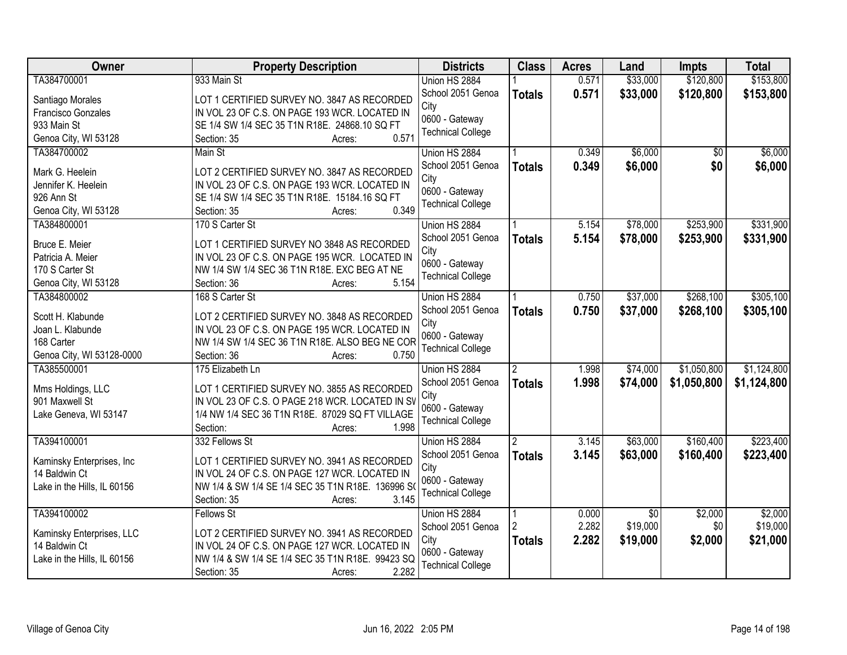| Owner                       | <b>Property Description</b>                                                                  | <b>Districts</b>         | <b>Class</b>   | <b>Acres</b> | Land            | <b>Impts</b>    | <b>Total</b> |
|-----------------------------|----------------------------------------------------------------------------------------------|--------------------------|----------------|--------------|-----------------|-----------------|--------------|
| TA384700001                 | 933 Main St                                                                                  | Union HS 2884            |                | 0.571        | \$33,000        | \$120,800       | \$153,800    |
| Santiago Morales            | LOT 1 CERTIFIED SURVEY NO. 3847 AS RECORDED                                                  | School 2051 Genoa        | <b>Totals</b>  | 0.571        | \$33,000        | \$120,800       | \$153,800    |
| Francisco Gonzales          | IN VOL 23 OF C.S. ON PAGE 193 WCR. LOCATED IN                                                | City                     |                |              |                 |                 |              |
| 933 Main St                 | SE 1/4 SW 1/4 SEC 35 T1N R18E. 24868.10 SQ FT                                                | 0600 - Gateway           |                |              |                 |                 |              |
| Genoa City, WI 53128        | 0.571<br>Section: 35<br>Acres:                                                               | <b>Technical College</b> |                |              |                 |                 |              |
| TA384700002                 | Main St                                                                                      | Union HS 2884            |                | 0.349        | \$6,000         | $\overline{30}$ | \$6,000      |
| Mark G. Heelein             |                                                                                              | School 2051 Genoa        | <b>Totals</b>  | 0.349        | \$6,000         | \$0             | \$6,000      |
| Jennifer K. Heelein         | LOT 2 CERTIFIED SURVEY NO. 3847 AS RECORDED<br>IN VOL 23 OF C.S. ON PAGE 193 WCR. LOCATED IN | City                     |                |              |                 |                 |              |
| 926 Ann St                  | SE 1/4 SW 1/4 SEC 35 T1N R18E. 15184.16 SQ FT                                                | 0600 - Gateway           |                |              |                 |                 |              |
| Genoa City, WI 53128        | 0.349<br>Section: 35<br>Acres:                                                               | <b>Technical College</b> |                |              |                 |                 |              |
| TA384800001                 | 170 S Carter St                                                                              | Union HS 2884            |                | 5.154        | \$78,000        | \$253,900       | \$331,900    |
|                             |                                                                                              | School 2051 Genoa        |                |              |                 |                 |              |
| Bruce E. Meier              | LOT 1 CERTIFIED SURVEY NO 3848 AS RECORDED                                                   | City                     | <b>Totals</b>  | 5.154        | \$78,000        | \$253,900       | \$331,900    |
| Patricia A. Meier           | IN VOL 23 OF C.S. ON PAGE 195 WCR. LOCATED IN                                                | 0600 - Gateway           |                |              |                 |                 |              |
| 170 S Carter St             | NW 1/4 SW 1/4 SEC 36 T1N R18E. EXC BEG AT NE                                                 | <b>Technical College</b> |                |              |                 |                 |              |
| Genoa City, WI 53128        | 5.154<br>Section: 36<br>Acres:                                                               |                          |                |              |                 |                 |              |
| TA384800002                 | 168 S Carter St                                                                              | Union HS 2884            |                | 0.750        | \$37,000        | \$268,100       | \$305,100    |
| Scott H. Klabunde           | LOT 2 CERTIFIED SURVEY NO. 3848 AS RECORDED                                                  | School 2051 Genoa        | <b>Totals</b>  | 0.750        | \$37,000        | \$268,100       | \$305,100    |
| Joan L. Klabunde            | IN VOL 23 OF C.S. ON PAGE 195 WCR. LOCATED IN                                                | City                     |                |              |                 |                 |              |
| 168 Carter                  | NW 1/4 SW 1/4 SEC 36 T1N R18E. ALSO BEG NE COR                                               | 0600 - Gateway           |                |              |                 |                 |              |
| Genoa City, WI 53128-0000   | 0.750<br>Section: 36<br>Acres:                                                               | <b>Technical College</b> |                |              |                 |                 |              |
| TA385500001                 | 175 Elizabeth Ln                                                                             | Union HS 2884            | $\overline{2}$ | 1.998        | \$74,000        | \$1,050,800     | \$1,124,800  |
|                             |                                                                                              | School 2051 Genoa        |                | 1.998        | \$74,000        |                 |              |
| Mms Holdings, LLC           | LOT 1 CERTIFIED SURVEY NO. 3855 AS RECORDED                                                  | City                     | <b>Totals</b>  |              |                 | \$1,050,800     | \$1,124,800  |
| 901 Maxwell St              | IN VOL 23 OF C.S. O PAGE 218 WCR. LOCATED IN SV                                              | 0600 - Gateway           |                |              |                 |                 |              |
| Lake Geneva, WI 53147       | 1/4 NW 1/4 SEC 36 T1N R18E. 87029 SQ FT VILLAGE                                              | <b>Technical College</b> |                |              |                 |                 |              |
|                             | 1.998<br>Section:<br>Acres:                                                                  |                          |                |              |                 |                 |              |
| TA394100001                 | 332 Fellows St                                                                               | Union HS 2884            | $\overline{2}$ | 3.145        | \$63,000        | \$160,400       | \$223,400    |
| Kaminsky Enterprises, Inc   | LOT 1 CERTIFIED SURVEY NO. 3941 AS RECORDED                                                  | School 2051 Genoa        | <b>Totals</b>  | 3.145        | \$63,000        | \$160,400       | \$223,400    |
| 14 Baldwin Ct               | IN VOL 24 OF C.S. ON PAGE 127 WCR. LOCATED IN                                                | City                     |                |              |                 |                 |              |
| Lake in the Hills, IL 60156 | NW 1/4 & SW 1/4 SE 1/4 SEC 35 T1N R18E. 136996 S                                             | 0600 - Gateway           |                |              |                 |                 |              |
|                             | 3.145<br>Section: 35<br>Acres:                                                               | <b>Technical College</b> |                |              |                 |                 |              |
| TA394100002                 | <b>Fellows St</b>                                                                            | Union HS 2884            |                | 0.000        | $\overline{50}$ | \$2,000         | \$2,000      |
|                             |                                                                                              | School 2051 Genoa        |                | 2.282        | \$19,000        | \$0             | \$19,000     |
| Kaminsky Enterprises, LLC   | LOT 2 CERTIFIED SURVEY NO. 3941 AS RECORDED                                                  | City                     | <b>Totals</b>  | 2.282        | \$19,000        | \$2,000         | \$21,000     |
| 14 Baldwin Ct               | IN VOL 24 OF C.S. ON PAGE 127 WCR. LOCATED IN                                                | 0600 - Gateway           |                |              |                 |                 |              |
| Lake in the Hills, IL 60156 | NW 1/4 & SW 1/4 SE 1/4 SEC 35 T1N R18E. 99423 SQ                                             | <b>Technical College</b> |                |              |                 |                 |              |
|                             | 2.282<br>Section: 35<br>Acres:                                                               |                          |                |              |                 |                 |              |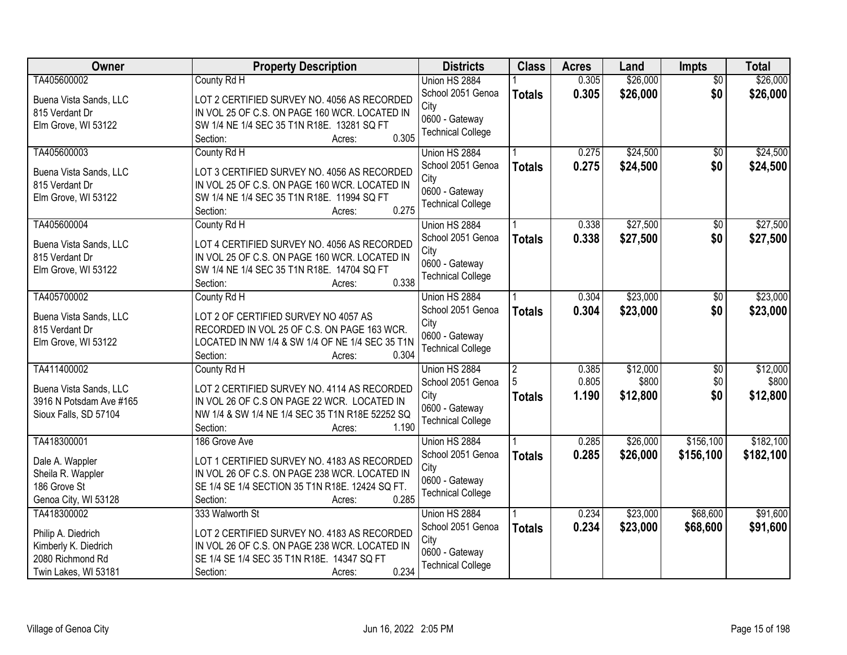| \$26,000<br>TA405600002<br>0.305<br>\$26,000<br>County Rd H<br>Union HS 2884<br>$\overline{50}$<br>\$26,000<br>School 2051 Genoa<br>0.305<br>\$0<br>\$26,000<br><b>Totals</b><br>LOT 2 CERTIFIED SURVEY NO. 4056 AS RECORDED<br>Buena Vista Sands, LLC<br>City<br>IN VOL 25 OF C.S. ON PAGE 160 WCR. LOCATED IN<br>815 Verdant Dr<br>0600 - Gateway<br>Elm Grove, WI 53122<br>SW 1/4 NE 1/4 SEC 35 T1N R18E. 13281 SQ FT<br><b>Technical College</b><br>0.305<br>Section:<br>Acres:<br>0.275 |
|----------------------------------------------------------------------------------------------------------------------------------------------------------------------------------------------------------------------------------------------------------------------------------------------------------------------------------------------------------------------------------------------------------------------------------------------------------------------------------------------|
|                                                                                                                                                                                                                                                                                                                                                                                                                                                                                              |
|                                                                                                                                                                                                                                                                                                                                                                                                                                                                                              |
|                                                                                                                                                                                                                                                                                                                                                                                                                                                                                              |
|                                                                                                                                                                                                                                                                                                                                                                                                                                                                                              |
|                                                                                                                                                                                                                                                                                                                                                                                                                                                                                              |
| \$24,500<br>\$24,500<br>TA405600003<br>County Rd H<br>$\overline{50}$<br>Union HS 2884                                                                                                                                                                                                                                                                                                                                                                                                       |
| 0.275<br>\$0<br>School 2051 Genoa<br>\$24,500<br>\$24,500<br><b>Totals</b><br>LOT 3 CERTIFIED SURVEY NO. 4056 AS RECORDED<br>Buena Vista Sands, LLC                                                                                                                                                                                                                                                                                                                                          |
| City<br>IN VOL 25 OF C.S. ON PAGE 160 WCR. LOCATED IN<br>815 Verdant Dr                                                                                                                                                                                                                                                                                                                                                                                                                      |
| 0600 - Gateway<br>Elm Grove, WI 53122<br>SW 1/4 NE 1/4 SEC 35 T1N R18E. 11994 SQ FT                                                                                                                                                                                                                                                                                                                                                                                                          |
| <b>Technical College</b><br>0.275<br>Section:<br>Acres:                                                                                                                                                                                                                                                                                                                                                                                                                                      |
| TA405600004<br>\$27,500<br>\$27,500<br>Union HS 2884<br>0.338<br>\$0<br>County Rd H                                                                                                                                                                                                                                                                                                                                                                                                          |
| School 2051 Genoa<br>0.338<br>\$27,500<br>\$0<br>\$27,500<br><b>Totals</b><br>LOT 4 CERTIFIED SURVEY NO. 4056 AS RECORDED<br>Buena Vista Sands, LLC                                                                                                                                                                                                                                                                                                                                          |
| City<br>IN VOL 25 OF C.S. ON PAGE 160 WCR. LOCATED IN<br>815 Verdant Dr                                                                                                                                                                                                                                                                                                                                                                                                                      |
| 0600 - Gateway<br>SW 1/4 NE 1/4 SEC 35 T1N R18E. 14704 SQ FT<br>Elm Grove, WI 53122                                                                                                                                                                                                                                                                                                                                                                                                          |
| <b>Technical College</b><br>0.338<br>Section:<br>Acres:                                                                                                                                                                                                                                                                                                                                                                                                                                      |
| \$23,000<br>\$23,000<br>TA405700002<br>County Rd H<br>Union HS 2884<br>0.304<br>\$0                                                                                                                                                                                                                                                                                                                                                                                                          |
| School 2051 Genoa<br>0.304<br>\$23,000<br>\$0<br>\$23,000<br><b>Totals</b><br>Buena Vista Sands, LLC<br>LOT 2 OF CERTIFIED SURVEY NO 4057 AS                                                                                                                                                                                                                                                                                                                                                 |
| City<br>815 Verdant Dr<br>RECORDED IN VOL 25 OF C.S. ON PAGE 163 WCR.                                                                                                                                                                                                                                                                                                                                                                                                                        |
| 0600 - Gateway<br>Elm Grove, WI 53122<br>LOCATED IN NW 1/4 & SW 1/4 OF NE 1/4 SEC 35 T1N                                                                                                                                                                                                                                                                                                                                                                                                     |
| <b>Technical College</b><br>0.304<br>Section:<br>Acres:                                                                                                                                                                                                                                                                                                                                                                                                                                      |
| \$12,000<br>TA411400002<br>\$12,000<br>$\overline{50}$<br>0.385<br>County Rd H<br>Union HS 2884<br>2                                                                                                                                                                                                                                                                                                                                                                                         |
| 0.805<br>\$800<br>\$0<br>\$800<br>School 2051 Genoa                                                                                                                                                                                                                                                                                                                                                                                                                                          |
| Buena Vista Sands, LLC<br>LOT 2 CERTIFIED SURVEY NO. 4114 AS RECORDED<br>\$0<br>\$12,800<br>1.190<br>\$12,800<br>City<br><b>Totals</b>                                                                                                                                                                                                                                                                                                                                                       |
| 3916 N Potsdam Ave #165<br>IN VOL 26 OF C.S ON PAGE 22 WCR. LOCATED IN<br>0600 - Gateway                                                                                                                                                                                                                                                                                                                                                                                                     |
| Sioux Falls, SD 57104<br>NW 1/4 & SW 1/4 NE 1/4 SEC 35 T1N R18E 52252 SQ<br><b>Technical College</b>                                                                                                                                                                                                                                                                                                                                                                                         |
| 1.190<br>Section:<br>Acres:                                                                                                                                                                                                                                                                                                                                                                                                                                                                  |
| \$26,000<br>\$156,100<br>\$182,100<br>TA418300001<br>0.285<br>186 Grove Ave<br>Union HS 2884                                                                                                                                                                                                                                                                                                                                                                                                 |
| 0.285<br>\$26,000<br>\$156,100<br>School 2051 Genoa<br>\$182,100<br><b>Totals</b><br>LOT 1 CERTIFIED SURVEY NO. 4183 AS RECORDED<br>Dale A. Wappler                                                                                                                                                                                                                                                                                                                                          |
| City<br>Sheila R. Wappler<br>IN VOL 26 OF C.S. ON PAGE 238 WCR. LOCATED IN                                                                                                                                                                                                                                                                                                                                                                                                                   |
| 0600 - Gateway<br>SE 1/4 SE 1/4 SECTION 35 T1N R18E. 12424 SQ FT.<br>186 Grove St                                                                                                                                                                                                                                                                                                                                                                                                            |
| <b>Technical College</b><br>Genoa City, WI 53128<br>0.285<br>Section:<br>Acres:                                                                                                                                                                                                                                                                                                                                                                                                              |
| \$68,600<br>\$91,600<br>\$23,000<br>TA418300002<br>333 Walworth St<br>Union HS 2884<br>0.234                                                                                                                                                                                                                                                                                                                                                                                                 |
| 0.234<br>\$23,000<br>\$68,600<br>\$91,600<br>School 2051 Genoa<br><b>Totals</b><br>LOT 2 CERTIFIED SURVEY NO. 4183 AS RECORDED<br>Philip A. Diedrich                                                                                                                                                                                                                                                                                                                                         |
| City<br>Kimberly K. Diedrich<br>IN VOL 26 OF C.S. ON PAGE 238 WCR. LOCATED IN                                                                                                                                                                                                                                                                                                                                                                                                                |
| 0600 - Gateway<br>2080 Richmond Rd<br>SE 1/4 SE 1/4 SEC 35 T1N R18E. 14347 SQ FT                                                                                                                                                                                                                                                                                                                                                                                                             |
| <b>Technical College</b><br>0.234<br>Twin Lakes, WI 53181<br>Section:<br>Acres:                                                                                                                                                                                                                                                                                                                                                                                                              |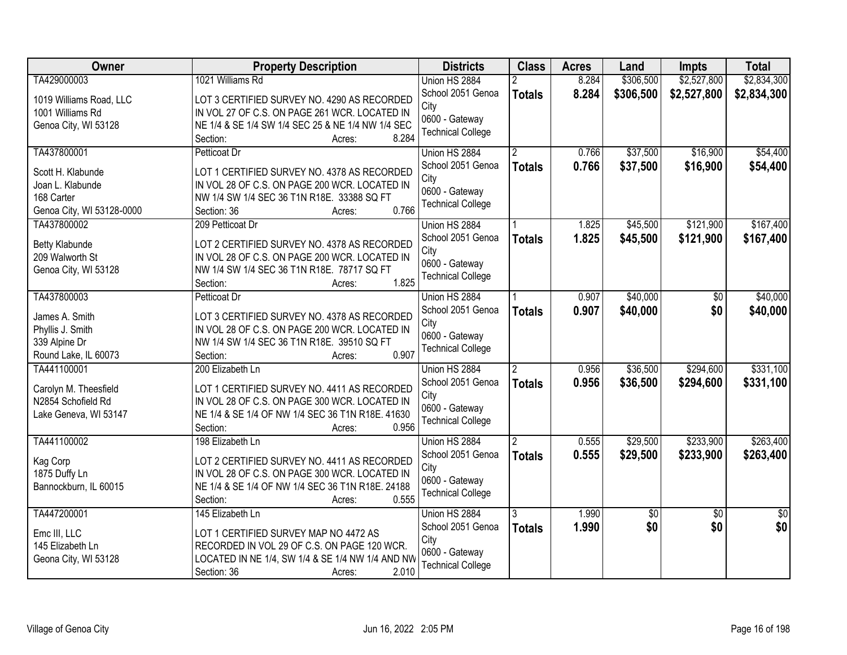| <b>Class</b><br>Owner<br><b>Property Description</b><br><b>Districts</b><br><b>Acres</b><br>Land<br><b>Impts</b>                                  | <b>Total</b>                   |
|---------------------------------------------------------------------------------------------------------------------------------------------------|--------------------------------|
| TA429000003<br>1021 Williams Rd<br>8.284<br>\$306,500<br>\$2,527,800<br>Union HS 2884                                                             | \$2,834,300                    |
| 8.284<br>School 2051 Genoa<br>\$306,500<br>\$2,527,800<br><b>Totals</b><br>LOT 3 CERTIFIED SURVEY NO. 4290 AS RECORDED<br>1019 Williams Road, LLC | \$2,834,300                    |
| City<br>IN VOL 27 OF C.S. ON PAGE 261 WCR. LOCATED IN<br>1001 Williams Rd                                                                         |                                |
| 0600 - Gateway<br>NE 1/4 & SE 1/4 SW 1/4 SEC 25 & NE 1/4 NW 1/4 SEC<br>Genoa City, WI 53128                                                       |                                |
| <b>Technical College</b><br>8.284<br>Section:<br>Acres:                                                                                           |                                |
| \$37,500<br>TA437800001<br>0.766<br>\$16,900<br>Petticoat Dr<br>Union HS 2884                                                                     | \$54,400                       |
| 0.766<br>School 2051 Genoa<br>\$37,500<br>\$16,900<br><b>Totals</b><br>LOT 1 CERTIFIED SURVEY NO. 4378 AS RECORDED<br>Scott H. Klabunde           | \$54,400                       |
| City<br>IN VOL 28 OF C.S. ON PAGE 200 WCR. LOCATED IN<br>Joan L. Klabunde                                                                         |                                |
| 0600 - Gateway<br>168 Carter<br>NW 1/4 SW 1/4 SEC 36 T1N R18E. 33388 SQ FT                                                                        |                                |
| <b>Technical College</b><br>0.766<br>Genoa City, WI 53128-0000<br>Section: 36<br>Acres:                                                           |                                |
| TA437800002<br>1.825<br>\$45,500<br>\$121,900<br>209 Petticoat Dr<br>Union HS 2884                                                                | \$167,400                      |
| School 2051 Genoa<br>1.825<br>\$45,500<br>\$121,900<br><b>Totals</b>                                                                              | \$167,400                      |
| LOT 2 CERTIFIED SURVEY NO. 4378 AS RECORDED<br><b>Betty Klabunde</b><br>City                                                                      |                                |
| 209 Walworth St<br>IN VOL 28 OF C.S. ON PAGE 200 WCR. LOCATED IN<br>0600 - Gateway                                                                |                                |
| Genoa City, WI 53128<br>NW 1/4 SW 1/4 SEC 36 T1N R18E. 78717 SQ FT<br><b>Technical College</b>                                                    |                                |
| 1.825<br>Section:<br>Acres:                                                                                                                       |                                |
| \$40,000<br>TA437800003<br>Union HS 2884<br>0.907<br>Petticoat Dr                                                                                 | \$40,000<br>$\sqrt[6]{}$       |
| School 2051 Genoa<br>0.907<br>\$40,000<br><b>Totals</b><br>James A. Smith<br>LOT 3 CERTIFIED SURVEY NO. 4378 AS RECORDED                          | \$0<br>\$40,000                |
| City<br>Phyllis J. Smith<br>IN VOL 28 OF C.S. ON PAGE 200 WCR. LOCATED IN                                                                         |                                |
| 0600 - Gateway<br>NW 1/4 SW 1/4 SEC 36 T1N R18E. 39510 SQ FT<br>339 Alpine Dr                                                                     |                                |
| <b>Technical College</b><br>0.907<br>Round Lake, IL 60073<br>Section:<br>Acres:                                                                   |                                |
| \$36,500<br>\$294,600<br>0.956<br>TA441100001<br>200 Elizabeth Ln<br>Union HS 2884                                                                | \$331,100                      |
| 0.956<br>\$36,500<br>\$294,600<br>School 2051 Genoa<br><b>Totals</b>                                                                              | \$331,100                      |
| Carolyn M. Theesfield<br>LOT 1 CERTIFIED SURVEY NO. 4411 AS RECORDED<br>City                                                                      |                                |
| N2854 Schofield Rd<br>IN VOL 28 OF C.S. ON PAGE 300 WCR. LOCATED IN<br>0600 - Gateway                                                             |                                |
| NE 1/4 & SE 1/4 OF NW 1/4 SEC 36 T1N R18E. 41630<br>Lake Geneva, WI 53147<br><b>Technical College</b><br>0.956                                    |                                |
| Section:<br>Acres:<br>\$29,500                                                                                                                    | \$263,400                      |
| \$233,900<br>TA441100002<br>198 Elizabeth Ln<br>$\overline{2}$<br>0.555<br>Union HS 2884<br>School 2051 Genoa                                     |                                |
| 0.555<br>\$29,500<br>\$233,900<br><b>Totals</b><br>Kag Corp<br>LOT 2 CERTIFIED SURVEY NO. 4411 AS RECORDED<br>City                                | \$263,400                      |
| 1875 Duffy Ln<br>IN VOL 28 OF C.S. ON PAGE 300 WCR. LOCATED IN<br>0600 - Gateway                                                                  |                                |
| Bannockburn, IL 60015<br>NE 1/4 & SE 1/4 OF NW 1/4 SEC 36 T1N R18E. 24188<br><b>Technical College</b>                                             |                                |
| 0.555<br>Section:<br>Acres:                                                                                                                       |                                |
| TA447200001<br>1.990<br>145 Elizabeth Ln<br>Union HS 2884<br>$\overline{50}$<br>3                                                                 | $\sqrt{50}$<br>$\overline{50}$ |
| 1.990<br>\$0<br>School 2051 Genoa<br><b>Totals</b><br>Emc III, LLC<br>LOT 1 CERTIFIED SURVEY MAP NO 4472 AS                                       | \$0 <br>\$0                    |
| City<br>145 Elizabeth Ln<br>RECORDED IN VOL 29 OF C.S. ON PAGE 120 WCR.                                                                           |                                |
| 0600 - Gateway<br>Geona City, WI 53128<br>LOCATED IN NE 1/4, SW 1/4 & SE 1/4 NW 1/4 AND NW                                                        |                                |
| <b>Technical College</b><br>2.010<br>Section: 36<br>Acres:                                                                                        |                                |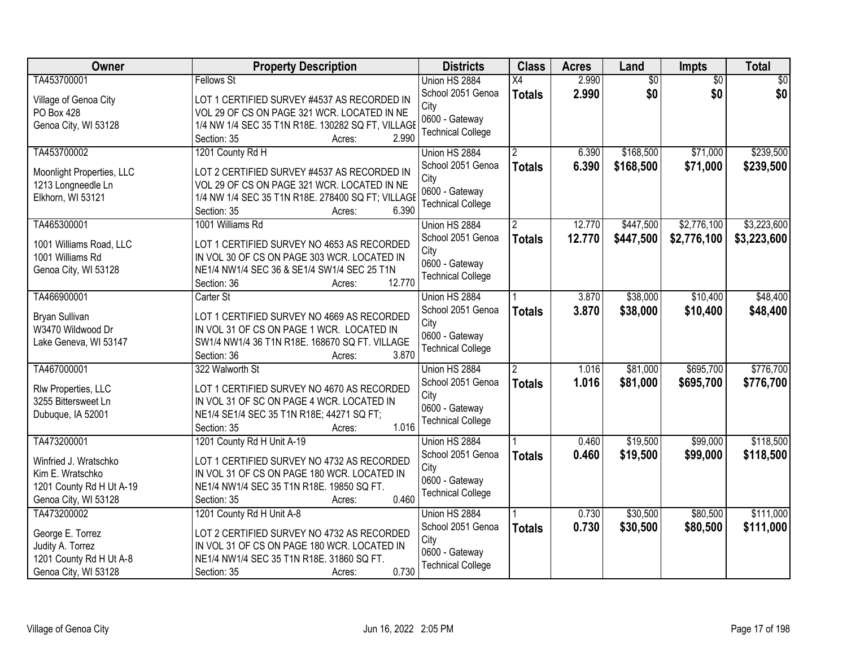| <b>Owner</b>                               | <b>Property Description</b>                                                             | <b>Districts</b>         | <b>Class</b>   | <b>Acres</b> | Land            | <b>Impts</b>    | <b>Total</b> |
|--------------------------------------------|-----------------------------------------------------------------------------------------|--------------------------|----------------|--------------|-----------------|-----------------|--------------|
| TA453700001                                | <b>Fellows St</b>                                                                       | Union HS 2884            | X4             | 2.990        | $\overline{50}$ | $\overline{50}$ | \$0          |
| Village of Genoa City                      | LOT 1 CERTIFIED SURVEY #4537 AS RECORDED IN                                             | School 2051 Genoa        | <b>Totals</b>  | 2.990        | \$0             | \$0             | \$0          |
| PO Box 428                                 | VOL 29 OF CS ON PAGE 321 WCR. LOCATED IN NE                                             | City                     |                |              |                 |                 |              |
| Genoa City, WI 53128                       | 1/4 NW 1/4 SEC 35 T1N R18E. 130282 SQ FT, VILLAGE                                       | 0600 - Gateway           |                |              |                 |                 |              |
|                                            | 2.990<br>Section: 35<br>Acres:                                                          | <b>Technical College</b> |                |              |                 |                 |              |
| TA453700002                                | 1201 County Rd H                                                                        | Union HS 2884            |                | 6.390        | \$168,500       | \$71,000        | \$239,500    |
| Moonlight Properties, LLC                  | LOT 2 CERTIFIED SURVEY #4537 AS RECORDED IN                                             | School 2051 Genoa        | <b>Totals</b>  | 6.390        | \$168,500       | \$71,000        | \$239,500    |
| 1213 Longneedle Ln                         | VOL 29 OF CS ON PAGE 321 WCR. LOCATED IN NE                                             | City                     |                |              |                 |                 |              |
| Elkhorn, WI 53121                          | 1/4 NW 1/4 SEC 35 T1N R18E. 278400 SQ FT; VILLAGE                                       | 0600 - Gateway           |                |              |                 |                 |              |
|                                            | 6.390<br>Section: 35<br>Acres:                                                          | <b>Technical College</b> |                |              |                 |                 |              |
| TA465300001                                | 1001 Williams Rd                                                                        | Union HS 2884            | 2              | 12.770       | \$447,500       | \$2,776,100     | \$3,223,600  |
| 1001 Williams Road, LLC                    | LOT 1 CERTIFIED SURVEY NO 4653 AS RECORDED                                              | School 2051 Genoa        | <b>Totals</b>  | 12.770       | \$447,500       | \$2,776,100     | \$3,223,600  |
| 1001 Williams Rd                           | IN VOL 30 OF CS ON PAGE 303 WCR. LOCATED IN                                             | City                     |                |              |                 |                 |              |
| Genoa City, WI 53128                       | NE1/4 NW1/4 SEC 36 & SE1/4 SW1/4 SEC 25 T1N                                             | 0600 - Gateway           |                |              |                 |                 |              |
|                                            | 12.770<br>Section: 36<br>Acres:                                                         | <b>Technical College</b> |                |              |                 |                 |              |
| TA466900001                                | Carter St                                                                               | Union HS 2884            |                | 3.870        | \$38,000        | \$10,400        | \$48,400     |
| Bryan Sullivan                             | LOT 1 CERTIFIED SURVEY NO 4669 AS RECORDED                                              | School 2051 Genoa        | <b>Totals</b>  | 3.870        | \$38,000        | \$10,400        | \$48,400     |
| W3470 Wildwood Dr                          | IN VOL 31 OF CS ON PAGE 1 WCR. LOCATED IN                                               | City                     |                |              |                 |                 |              |
| Lake Geneva, WI 53147                      | SW1/4 NW1/4 36 T1N R18E. 168670 SQ FT. VILLAGE                                          | 0600 - Gateway           |                |              |                 |                 |              |
|                                            | 3.870<br>Section: 36<br>Acres:                                                          | <b>Technical College</b> |                |              |                 |                 |              |
| TA467000001                                | 322 Walworth St                                                                         | Union HS 2884            | $\overline{2}$ | 1.016        | \$81,000        | \$695,700       | \$776,700    |
|                                            |                                                                                         | School 2051 Genoa        | <b>Totals</b>  | 1.016        | \$81,000        | \$695,700       | \$776,700    |
| Rlw Properties, LLC<br>3255 Bittersweet Ln | LOT 1 CERTIFIED SURVEY NO 4670 AS RECORDED<br>IN VOL 31 OF SC ON PAGE 4 WCR. LOCATED IN | City                     |                |              |                 |                 |              |
|                                            | NE1/4 SE1/4 SEC 35 T1N R18E; 44271 SQ FT;                                               | 0600 - Gateway           |                |              |                 |                 |              |
| Dubuque, IA 52001                          | 1.016<br>Section: 35<br>Acres:                                                          | <b>Technical College</b> |                |              |                 |                 |              |
| TA473200001                                | 1201 County Rd H Unit A-19                                                              | Union HS 2884            |                | 0.460        | \$19,500        | \$99,000        | \$118,500    |
|                                            |                                                                                         | School 2051 Genoa        | <b>Totals</b>  | 0.460        | \$19,500        | \$99,000        | \$118,500    |
| Winfried J. Wratschko                      | LOT 1 CERTIFIED SURVEY NO 4732 AS RECORDED                                              | City                     |                |              |                 |                 |              |
| Kim E. Wratschko                           | IN VOL 31 OF CS ON PAGE 180 WCR. LOCATED IN                                             | 0600 - Gateway           |                |              |                 |                 |              |
| 1201 County Rd H Ut A-19                   | NE1/4 NW1/4 SEC 35 T1N R18E. 19850 SQ FT.                                               | <b>Technical College</b> |                |              |                 |                 |              |
| Genoa City, WI 53128                       | 0.460<br>Section: 35<br>Acres:                                                          |                          |                |              |                 |                 |              |
| TA473200002                                | 1201 County Rd H Unit A-8                                                               | Union HS 2884            |                | 0.730        | \$30,500        | \$80,500        | \$111,000    |
| George E. Torrez                           | LOT 2 CERTIFIED SURVEY NO 4732 AS RECORDED                                              | School 2051 Genoa        | <b>Totals</b>  | 0.730        | \$30,500        | \$80,500        | \$111,000    |
| Judity A. Torrez                           | IN VOL 31 OF CS ON PAGE 180 WCR. LOCATED IN                                             | City                     |                |              |                 |                 |              |
| 1201 County Rd H Ut A-8                    | NE1/4 NW1/4 SEC 35 T1N R18E. 31860 SQ FT.                                               | 0600 - Gateway           |                |              |                 |                 |              |
| Genoa City, WI 53128                       | 0.730<br>Section: 35<br>Acres:                                                          | <b>Technical College</b> |                |              |                 |                 |              |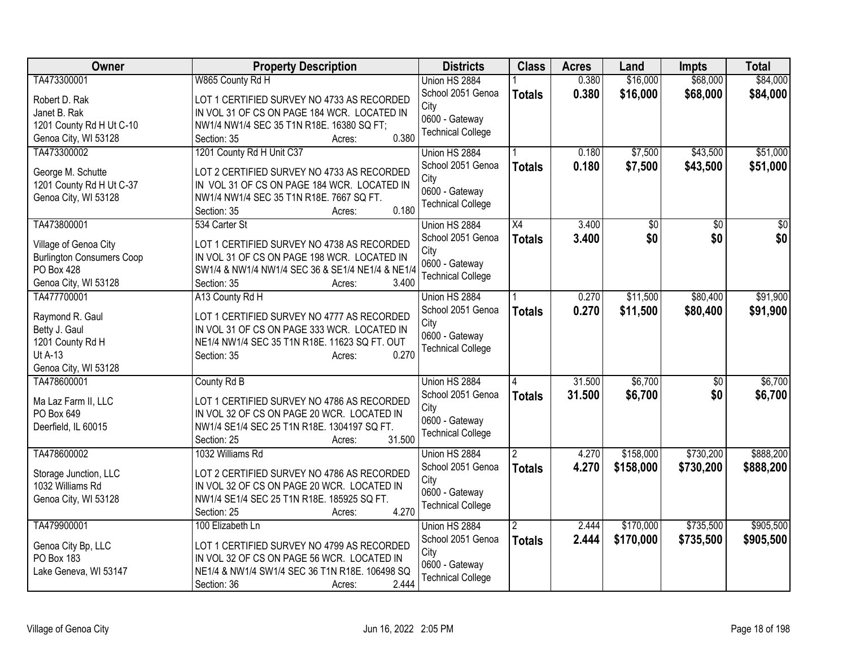| Owner                            | <b>Property Description</b>                         | <b>Districts</b>         | <b>Class</b>  | <b>Acres</b> | Land      | <b>Impts</b> | <b>Total</b> |
|----------------------------------|-----------------------------------------------------|--------------------------|---------------|--------------|-----------|--------------|--------------|
| TA473300001                      | W865 County Rd H                                    | Union HS 2884            |               | 0.380        | \$16,000  | \$68,000     | \$84,000     |
| Robert D. Rak                    | LOT 1 CERTIFIED SURVEY NO 4733 AS RECORDED          | School 2051 Genoa        | <b>Totals</b> | 0.380        | \$16,000  | \$68,000     | \$84,000     |
| Janet B. Rak                     | IN VOL 31 OF CS ON PAGE 184 WCR. LOCATED IN         | City                     |               |              |           |              |              |
| 1201 County Rd H Ut C-10         | NW1/4 NW1/4 SEC 35 T1N R18E. 16380 SQ FT;           | 0600 - Gateway           |               |              |           |              |              |
| Genoa City, WI 53128             | 0.380<br>Section: 35<br>Acres:                      | <b>Technical College</b> |               |              |           |              |              |
| TA473300002                      | 1201 County Rd H Unit C37                           | Union HS 2884            |               | 0.180        | \$7,500   | \$43,500     | \$51,000     |
|                                  |                                                     | School 2051 Genoa        | <b>Totals</b> | 0.180        | \$7,500   | \$43,500     | \$51,000     |
| George M. Schutte                | LOT 2 CERTIFIED SURVEY NO 4733 AS RECORDED          | City                     |               |              |           |              |              |
| 1201 County Rd H Ut C-37         | IN VOL 31 OF CS ON PAGE 184 WCR. LOCATED IN         | 0600 - Gateway           |               |              |           |              |              |
| Genoa City, WI 53128             | NW1/4 NW1/4 SEC 35 T1N R18E. 7667 SQ FT.            | <b>Technical College</b> |               |              |           |              |              |
|                                  | 0.180<br>Section: 35<br>Acres:                      |                          |               |              |           |              |              |
| TA473800001                      | 534 Carter St                                       | Union HS 2884            | X4            | 3.400        | \$0       | \$0          | \$0          |
| Village of Genoa City            | LOT 1 CERTIFIED SURVEY NO 4738 AS RECORDED          | School 2051 Genoa        | <b>Totals</b> | 3.400        | \$0       | \$0          | \$0          |
| <b>Burlington Consumers Coop</b> | IN VOL 31 OF CS ON PAGE 198 WCR. LOCATED IN         | City                     |               |              |           |              |              |
| <b>PO Box 428</b>                | SW1/4 & NW1/4 NW1/4 SEC 36 & SE1/4 NE1/4 & NE1/4    | 0600 - Gateway           |               |              |           |              |              |
| Genoa City, WI 53128             | 3.400<br>Section: 35<br>Acres:                      | <b>Technical College</b> |               |              |           |              |              |
| TA477700001                      | A13 County Rd H                                     | Union HS 2884            |               | 0.270        | \$11,500  | \$80,400     | \$91,900     |
|                                  |                                                     | School 2051 Genoa        | <b>Totals</b> | 0.270        | \$11,500  | \$80,400     | \$91,900     |
| Raymond R. Gaul                  | LOT 1 CERTIFIED SURVEY NO 4777 AS RECORDED          | City                     |               |              |           |              |              |
| Betty J. Gaul                    | IN VOL 31 OF CS ON PAGE 333 WCR. LOCATED IN         | 0600 - Gateway           |               |              |           |              |              |
| 1201 County Rd H                 | NE1/4 NW1/4 SEC 35 T1N R18E. 11623 SQ FT. OUT       | <b>Technical College</b> |               |              |           |              |              |
| Ut A-13                          | 0.270<br>Section: 35<br>Acres:                      |                          |               |              |           |              |              |
| Genoa City, WI 53128             |                                                     |                          |               |              |           |              |              |
| TA478600001                      | County Rd B                                         | Union HS 2884            |               | 31.500       | \$6,700   | \$0          | \$6,700      |
| Ma Laz Farm II, LLC              | LOT 1 CERTIFIED SURVEY NO 4786 AS RECORDED          | School 2051 Genoa        | <b>Totals</b> | 31.500       | \$6,700   | \$0          | \$6,700      |
| PO Box 649                       | IN VOL 32 OF CS ON PAGE 20 WCR. LOCATED IN          | City                     |               |              |           |              |              |
| Deerfield, IL 60015              | NW1/4 SE1/4 SEC 25 T1N R18E. 1304197 SQ FT.         | 0600 - Gateway           |               |              |           |              |              |
|                                  | 31.500<br>Section: 25<br>Acres:                     | <b>Technical College</b> |               |              |           |              |              |
| TA478600002                      | 1032 Williams Rd                                    | Union HS 2884            |               | 4.270        | \$158,000 | \$730,200    | \$888,200    |
|                                  |                                                     | School 2051 Genoa        | <b>Totals</b> | 4.270        | \$158,000 | \$730,200    | \$888,200    |
| Storage Junction, LLC            | LOT 2 CERTIFIED SURVEY NO 4786 AS RECORDED          | City                     |               |              |           |              |              |
| 1032 Williams Rd                 | IN VOL 32 OF CS ON PAGE 20 WCR. LOCATED IN          | 0600 - Gateway           |               |              |           |              |              |
| Genoa City, WI 53128             | NW1/4 SE1/4 SEC 25 T1N R18E. 185925 SQ FT.<br>4.270 | <b>Technical College</b> |               |              |           |              |              |
|                                  | Section: 25<br>Acres:                               |                          |               |              |           |              |              |
| TA479900001                      | 100 Elizabeth Ln                                    | Union HS 2884            |               | 2.444        | \$170,000 | \$735,500    | \$905,500    |
| Genoa City Bp, LLC               | LOT 1 CERTIFIED SURVEY NO 4799 AS RECORDED          | School 2051 Genoa        | <b>Totals</b> | 2.444        | \$170,000 | \$735,500    | \$905,500    |
| PO Box 183                       | IN VOL 32 OF CS ON PAGE 56 WCR. LOCATED IN          | City                     |               |              |           |              |              |
| Lake Geneva, WI 53147            | NE1/4 & NW1/4 SW1/4 SEC 36 T1N R18E. 106498 SQ      | 0600 - Gateway           |               |              |           |              |              |
|                                  | 2.444<br>Section: 36<br>Acres:                      | <b>Technical College</b> |               |              |           |              |              |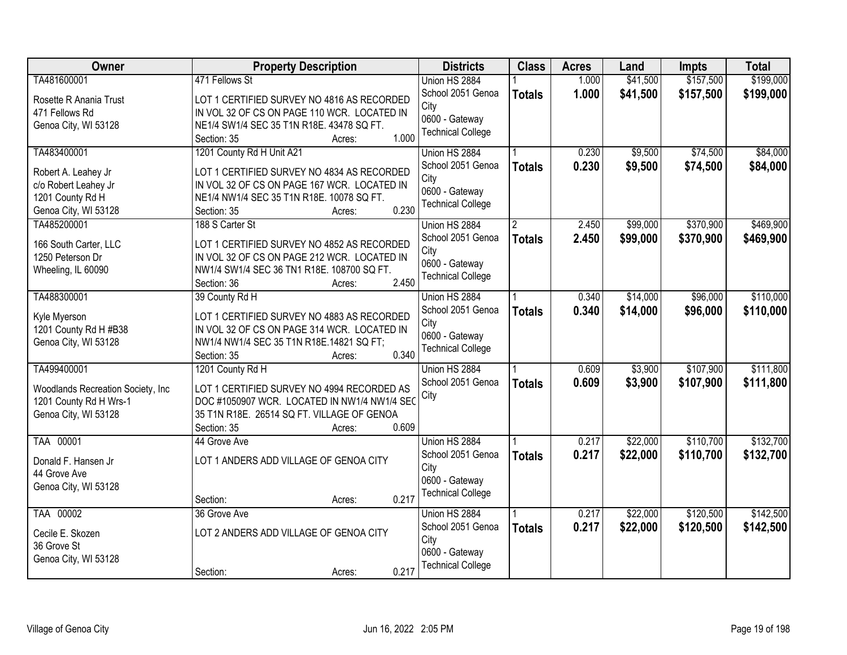| Owner                                  | <b>Property Description</b>                                                               | <b>Districts</b>         | <b>Class</b>  | <b>Acres</b> | Land     | <b>Impts</b> | <b>Total</b> |
|----------------------------------------|-------------------------------------------------------------------------------------------|--------------------------|---------------|--------------|----------|--------------|--------------|
| TA481600001                            | 471 Fellows St                                                                            | Union HS 2884            |               | 1.000        | \$41,500 | \$157,500    | \$199,000    |
| Rosette R Anania Trust                 | LOT 1 CERTIFIED SURVEY NO 4816 AS RECORDED                                                | School 2051 Genoa        | <b>Totals</b> | 1.000        | \$41,500 | \$157,500    | \$199,000    |
| 471 Fellows Rd                         | IN VOL 32 OF CS ON PAGE 110 WCR. LOCATED IN                                               | City                     |               |              |          |              |              |
| Genoa City, WI 53128                   | NE1/4 SW1/4 SEC 35 T1N R18E. 43478 SQ FT.                                                 | 0600 - Gateway           |               |              |          |              |              |
|                                        | 1.000<br>Section: 35<br>Acres:                                                            | <b>Technical College</b> |               |              |          |              |              |
| TA483400001                            | 1201 County Rd H Unit A21                                                                 | Union HS 2884            |               | 0.230        | \$9,500  | \$74,500     | \$84,000     |
| Robert A. Leahey Jr                    | LOT 1 CERTIFIED SURVEY NO 4834 AS RECORDED                                                | School 2051 Genoa        | <b>Totals</b> | 0.230        | \$9,500  | \$74,500     | \$84,000     |
| c/o Robert Leahey Jr                   | IN VOL 32 OF CS ON PAGE 167 WCR. LOCATED IN                                               | City                     |               |              |          |              |              |
| 1201 County Rd H                       | NE1/4 NW1/4 SEC 35 T1N R18E. 10078 SQ FT.                                                 | 0600 - Gateway           |               |              |          |              |              |
| Genoa City, WI 53128                   | 0.230<br>Section: 35<br>Acres:                                                            | <b>Technical College</b> |               |              |          |              |              |
| TA485200001                            | 188 S Carter St                                                                           | Union HS 2884            |               | 2.450        | \$99,000 | \$370,900    | \$469,900    |
|                                        |                                                                                           | School 2051 Genoa        | <b>Totals</b> | 2.450        | \$99,000 | \$370,900    | \$469,900    |
| 166 South Carter, LLC                  | LOT 1 CERTIFIED SURVEY NO 4852 AS RECORDED                                                | City                     |               |              |          |              |              |
| 1250 Peterson Dr<br>Wheeling, IL 60090 | IN VOL 32 OF CS ON PAGE 212 WCR. LOCATED IN<br>NW1/4 SW1/4 SEC 36 TN1 R18E. 108700 SQ FT. | 0600 - Gateway           |               |              |          |              |              |
|                                        | 2.450<br>Section: 36<br>Acres:                                                            | <b>Technical College</b> |               |              |          |              |              |
| TA488300001                            | 39 County Rd H                                                                            | Union HS 2884            |               | 0.340        | \$14,000 | \$96,000     | \$110,000    |
|                                        |                                                                                           | School 2051 Genoa        | <b>Totals</b> | 0.340        | \$14,000 | \$96,000     | \$110,000    |
| Kyle Myerson                           | LOT 1 CERTIFIED SURVEY NO 4883 AS RECORDED                                                | City                     |               |              |          |              |              |
| 1201 County Rd H #B38                  | IN VOL 32 OF CS ON PAGE 314 WCR. LOCATED IN                                               | 0600 - Gateway           |               |              |          |              |              |
| Genoa City, WI 53128                   | NW1/4 NW1/4 SEC 35 T1N R18E.14821 SQ FT;                                                  | <b>Technical College</b> |               |              |          |              |              |
|                                        | 0.340<br>Section: 35<br>Acres:                                                            |                          |               |              |          |              |              |
| TA499400001                            | 1201 County Rd H                                                                          | Union HS 2884            |               | 0.609        | \$3,900  | \$107,900    | \$111,800    |
| Woodlands Recreation Society, Inc.     | LOT 1 CERTIFIED SURVEY NO 4994 RECORDED AS                                                | School 2051 Genoa        | <b>Totals</b> | 0.609        | \$3,900  | \$107,900    | \$111,800    |
| 1201 County Rd H Wrs-1                 | DOC #1050907 WCR. LOCATED IN NW1/4 NW1/4 SEC                                              | City                     |               |              |          |              |              |
| Genoa City, WI 53128                   | 35 T1N R18E. 26514 SQ FT. VILLAGE OF GENOA                                                |                          |               |              |          |              |              |
|                                        | 0.609<br>Section: 35<br>Acres:                                                            |                          |               |              |          |              |              |
| TAA 00001                              | 44 Grove Ave                                                                              | Union HS 2884            |               | 0.217        | \$22,000 | \$110,700    | \$132,700    |
| Donald F. Hansen Jr                    | LOT 1 ANDERS ADD VILLAGE OF GENOA CITY                                                    | School 2051 Genoa        | <b>Totals</b> | 0.217        | \$22,000 | \$110,700    | \$132,700    |
| 44 Grove Ave                           |                                                                                           | City                     |               |              |          |              |              |
| Genoa City, WI 53128                   |                                                                                           | 0600 - Gateway           |               |              |          |              |              |
|                                        | 0.217<br>Section:<br>Acres:                                                               | <b>Technical College</b> |               |              |          |              |              |
| TAA 00002                              | 36 Grove Ave                                                                              | Union HS 2884            |               | 0.217        | \$22,000 | \$120,500    | \$142,500    |
| Cecile E. Skozen                       | LOT 2 ANDERS ADD VILLAGE OF GENOA CITY                                                    | School 2051 Genoa        | <b>Totals</b> | 0.217        | \$22,000 | \$120,500    | \$142,500    |
| 36 Grove St                            |                                                                                           | City                     |               |              |          |              |              |
| Genoa City, WI 53128                   |                                                                                           | 0600 - Gateway           |               |              |          |              |              |
|                                        | 0.217<br>Section:<br>Acres:                                                               | <b>Technical College</b> |               |              |          |              |              |
|                                        |                                                                                           |                          |               |              |          |              |              |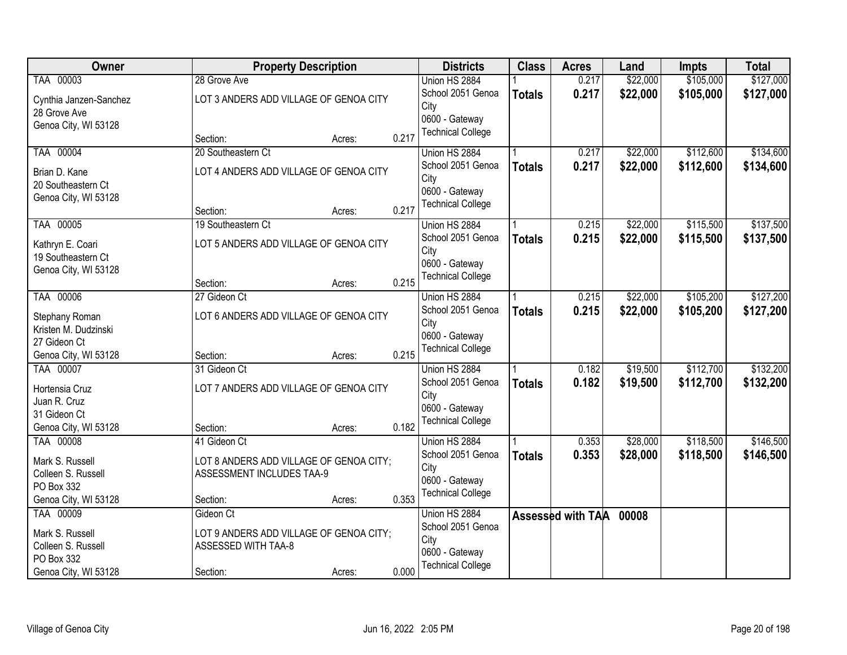| Owner                  |                                         | <b>Property Description</b> |       | <b>Districts</b>                           | <b>Class</b>  | <b>Acres</b>      | Land     | <b>Impts</b> | <b>Total</b> |
|------------------------|-----------------------------------------|-----------------------------|-------|--------------------------------------------|---------------|-------------------|----------|--------------|--------------|
| TAA 00003              | 28 Grove Ave                            |                             |       | Union HS 2884                              |               | 0.217             | \$22,000 | \$105,000    | \$127,000    |
| Cynthia Janzen-Sanchez | LOT 3 ANDERS ADD VILLAGE OF GENOA CITY  |                             |       | School 2051 Genoa                          | <b>Totals</b> | 0.217             | \$22,000 | \$105,000    | \$127,000    |
| 28 Grove Ave           |                                         |                             |       | City                                       |               |                   |          |              |              |
| Genoa City, WI 53128   |                                         |                             |       | 0600 - Gateway                             |               |                   |          |              |              |
|                        | Section:                                | Acres:                      | 0.217 | <b>Technical College</b>                   |               |                   |          |              |              |
| TAA 00004              | 20 Southeastern Ct                      |                             |       | Union HS 2884                              |               | 0.217             | \$22,000 | \$112,600    | \$134,600    |
| Brian D. Kane          | LOT 4 ANDERS ADD VILLAGE OF GENOA CITY  |                             |       | School 2051 Genoa                          | <b>Totals</b> | 0.217             | \$22,000 | \$112,600    | \$134,600    |
| 20 Southeastern Ct     |                                         |                             |       | City                                       |               |                   |          |              |              |
| Genoa City, WI 53128   |                                         |                             |       | 0600 - Gateway<br><b>Technical College</b> |               |                   |          |              |              |
|                        | Section:                                | Acres:                      | 0.217 |                                            |               |                   |          |              |              |
| TAA 00005              | 19 Southeastern Ct                      |                             |       | Union HS 2884                              |               | 0.215             | \$22,000 | \$115,500    | \$137,500    |
| Kathryn E. Coari       | LOT 5 ANDERS ADD VILLAGE OF GENOA CITY  |                             |       | School 2051 Genoa                          | <b>Totals</b> | 0.215             | \$22,000 | \$115,500    | \$137,500    |
| 19 Southeastern Ct     |                                         |                             |       | City                                       |               |                   |          |              |              |
| Genoa City, WI 53128   |                                         |                             |       | 0600 - Gateway<br><b>Technical College</b> |               |                   |          |              |              |
|                        | Section:                                | Acres:                      | 0.215 |                                            |               |                   |          |              |              |
| TAA 00006              | 27 Gideon Ct                            |                             |       | Union HS 2884                              |               | 0.215             | \$22,000 | \$105,200    | \$127,200    |
| Stephany Roman         | LOT 6 ANDERS ADD VILLAGE OF GENOA CITY  |                             |       | School 2051 Genoa                          | <b>Totals</b> | 0.215             | \$22,000 | \$105,200    | \$127,200    |
| Kristen M. Dudzinski   |                                         |                             |       | City                                       |               |                   |          |              |              |
| 27 Gideon Ct           |                                         |                             |       | 0600 - Gateway<br><b>Technical College</b> |               |                   |          |              |              |
| Genoa City, WI 53128   | Section:                                | Acres:                      | 0.215 |                                            |               |                   |          |              |              |
| TAA 00007              | 31 Gideon Ct                            |                             |       | Union HS 2884                              |               | 0.182             | \$19,500 | \$112,700    | \$132,200    |
| Hortensia Cruz         | LOT 7 ANDERS ADD VILLAGE OF GENOA CITY  |                             |       | School 2051 Genoa                          | <b>Totals</b> | 0.182             | \$19,500 | \$112,700    | \$132,200    |
| Juan R. Cruz           |                                         |                             |       | City<br>0600 - Gateway                     |               |                   |          |              |              |
| 31 Gideon Ct           |                                         |                             |       | <b>Technical College</b>                   |               |                   |          |              |              |
| Genoa City, WI 53128   | Section:                                | Acres:                      | 0.182 |                                            |               |                   |          |              |              |
| TAA 00008              | 41 Gideon Ct                            |                             |       | Union HS 2884                              |               | 0.353             | \$28,000 | \$118,500    | \$146,500    |
| Mark S. Russell        | LOT 8 ANDERS ADD VILLAGE OF GENOA CITY; |                             |       | School 2051 Genoa                          | <b>Totals</b> | 0.353             | \$28,000 | \$118,500    | \$146,500    |
| Colleen S. Russell     | ASSESSMENT INCLUDES TAA-9               |                             |       | City<br>0600 - Gateway                     |               |                   |          |              |              |
| PO Box 332             |                                         |                             |       | <b>Technical College</b>                   |               |                   |          |              |              |
| Genoa City, WI 53128   | Section:                                | Acres:                      | 0.353 |                                            |               |                   |          |              |              |
| TAA 00009              | Gideon Ct                               |                             |       | Union HS 2884                              |               | Assessed with TAA | 00008    |              |              |
| Mark S. Russell        | LOT 9 ANDERS ADD VILLAGE OF GENOA CITY; |                             |       | School 2051 Genoa                          |               |                   |          |              |              |
| Colleen S. Russell     | ASSESSED WITH TAA-8                     |                             |       | City<br>0600 - Gateway                     |               |                   |          |              |              |
| PO Box 332             |                                         |                             |       | <b>Technical College</b>                   |               |                   |          |              |              |
| Genoa City, WI 53128   | Section:                                | Acres:                      | 0.000 |                                            |               |                   |          |              |              |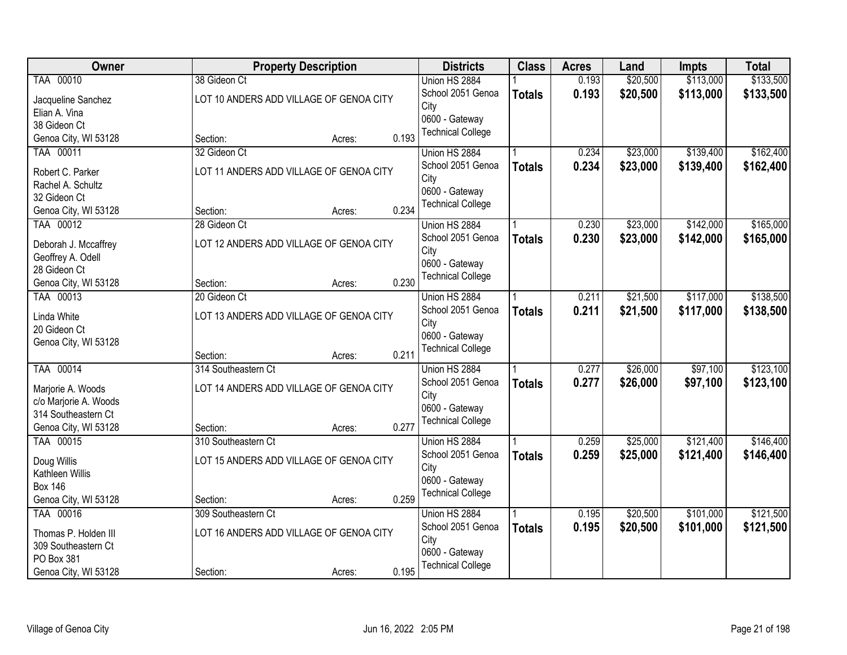| Owner                                     |                                         | <b>Property Description</b> |       | <b>Districts</b>                   | <b>Class</b>  | <b>Acres</b> | Land     | <b>Impts</b> | <b>Total</b> |
|-------------------------------------------|-----------------------------------------|-----------------------------|-------|------------------------------------|---------------|--------------|----------|--------------|--------------|
| TAA 00010                                 | 38 Gideon Ct                            |                             |       | Union HS 2884                      |               | 0.193        | \$20,500 | \$113,000    | \$133,500    |
| Jacqueline Sanchez                        | LOT 10 ANDERS ADD VILLAGE OF GENOA CITY |                             |       | School 2051 Genoa                  | <b>Totals</b> | 0.193        | \$20,500 | \$113,000    | \$133,500    |
| Elian A. Vina                             |                                         |                             |       | City                               |               |              |          |              |              |
| 38 Gideon Ct                              |                                         |                             |       | 0600 - Gateway                     |               |              |          |              |              |
| Genoa City, WI 53128                      | Section:                                | Acres:                      | 0.193 | <b>Technical College</b>           |               |              |          |              |              |
| TAA 00011                                 | 32 Gideon Ct                            |                             |       | Union HS 2884                      |               | 0.234        | \$23,000 | \$139,400    | \$162,400    |
| Robert C. Parker                          | LOT 11 ANDERS ADD VILLAGE OF GENOA CITY |                             |       | School 2051 Genoa                  | <b>Totals</b> | 0.234        | \$23,000 | \$139,400    | \$162,400    |
| Rachel A. Schultz                         |                                         |                             |       | City                               |               |              |          |              |              |
| 32 Gideon Ct                              |                                         |                             |       | 0600 - Gateway                     |               |              |          |              |              |
| Genoa City, WI 53128                      | Section:                                | Acres:                      | 0.234 | <b>Technical College</b>           |               |              |          |              |              |
| TAA 00012                                 | 28 Gideon Ct                            |                             |       | Union HS 2884                      |               | 0.230        | \$23,000 | \$142,000    | \$165,000    |
|                                           | LOT 12 ANDERS ADD VILLAGE OF GENOA CITY |                             |       | School 2051 Genoa                  | <b>Totals</b> | 0.230        | \$23,000 | \$142,000    | \$165,000    |
| Deborah J. Mccaffrey<br>Geoffrey A. Odell |                                         |                             |       | City                               |               |              |          |              |              |
| 28 Gideon Ct                              |                                         |                             |       | 0600 - Gateway                     |               |              |          |              |              |
| Genoa City, WI 53128                      | Section:                                | Acres:                      | 0.230 | <b>Technical College</b>           |               |              |          |              |              |
| TAA 00013                                 | 20 Gideon Ct                            |                             |       | Union HS 2884                      |               | 0.211        | \$21,500 | \$117,000    | \$138,500    |
|                                           |                                         |                             |       | School 2051 Genoa                  | <b>Totals</b> | 0.211        | \$21,500 | \$117,000    | \$138,500    |
| Linda White                               | LOT 13 ANDERS ADD VILLAGE OF GENOA CITY |                             |       | City                               |               |              |          |              |              |
| 20 Gideon Ct                              |                                         |                             |       | 0600 - Gateway                     |               |              |          |              |              |
| Genoa City, WI 53128                      | Section:                                | Acres:                      | 0.211 | <b>Technical College</b>           |               |              |          |              |              |
| TAA 00014                                 | 314 Southeastern Ct                     |                             |       | Union HS 2884                      |               | 0.277        | \$26,000 | \$97,100     | \$123,100    |
|                                           |                                         |                             |       | School 2051 Genoa                  | <b>Totals</b> | 0.277        | \$26,000 | \$97,100     | \$123,100    |
| Marjorie A. Woods                         | LOT 14 ANDERS ADD VILLAGE OF GENOA CITY |                             |       | City                               |               |              |          |              |              |
| c/o Marjorie A. Woods                     |                                         |                             |       | 0600 - Gateway                     |               |              |          |              |              |
| 314 Southeastern Ct                       |                                         |                             |       | <b>Technical College</b>           |               |              |          |              |              |
| Genoa City, WI 53128<br>TAA 00015         | Section:                                | Acres:                      | 0.277 |                                    |               | 0.259        | \$25,000 | \$121,400    | \$146,400    |
|                                           | 310 Southeastern Ct                     |                             |       | Union HS 2884<br>School 2051 Genoa |               | 0.259        | \$25,000 |              |              |
| Doug Willis                               | LOT 15 ANDERS ADD VILLAGE OF GENOA CITY |                             |       | City                               | <b>Totals</b> |              |          | \$121,400    | \$146,400    |
| Kathleen Willis                           |                                         |                             |       | 0600 - Gateway                     |               |              |          |              |              |
| <b>Box 146</b>                            |                                         |                             |       | <b>Technical College</b>           |               |              |          |              |              |
| Genoa City, WI 53128                      | Section:                                | Acres:                      | 0.259 |                                    |               |              |          |              |              |
| TAA 00016                                 | 309 Southeastern Ct                     |                             |       | Union HS 2884                      |               | 0.195        | \$20,500 | \$101,000    | \$121,500    |
| Thomas P. Holden III                      | LOT 16 ANDERS ADD VILLAGE OF GENOA CITY |                             |       | School 2051 Genoa                  | <b>Totals</b> | 0.195        | \$20,500 | \$101,000    | \$121,500    |
| 309 Southeastern Ct                       |                                         |                             |       | City                               |               |              |          |              |              |
| PO Box 381                                |                                         |                             |       | 0600 - Gateway                     |               |              |          |              |              |
| Genoa City, WI 53128                      | Section:                                | Acres:                      | 0.195 | <b>Technical College</b>           |               |              |          |              |              |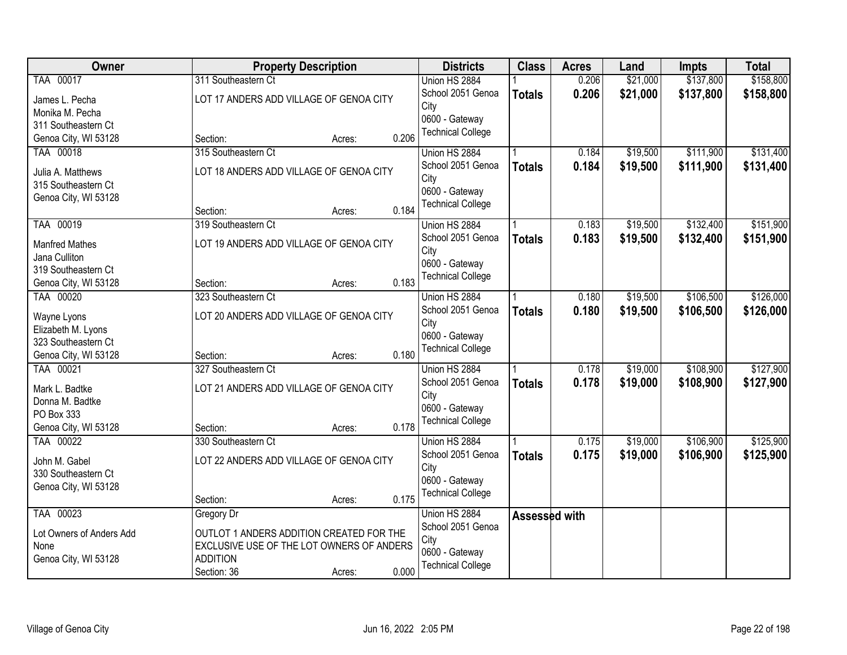| Owner                    | <b>Property Description</b>               |       | <b>Districts</b>         | <b>Class</b>  | <b>Acres</b> | Land     | <b>Impts</b> | <b>Total</b> |
|--------------------------|-------------------------------------------|-------|--------------------------|---------------|--------------|----------|--------------|--------------|
| TAA 00017                | 311 Southeastern Ct                       |       | Union HS 2884            |               | 0.206        | \$21,000 | \$137,800    | \$158,800    |
| James L. Pecha           | LOT 17 ANDERS ADD VILLAGE OF GENOA CITY   |       | School 2051 Genoa        | <b>Totals</b> | 0.206        | \$21,000 | \$137,800    | \$158,800    |
| Monika M. Pecha          |                                           |       | City                     |               |              |          |              |              |
| 311 Southeastern Ct      |                                           |       | 0600 - Gateway           |               |              |          |              |              |
| Genoa City, WI 53128     | Section:<br>Acres:                        | 0.206 | <b>Technical College</b> |               |              |          |              |              |
| TAA 00018                | 315 Southeastern Ct                       |       | Union HS 2884            |               | 0.184        | \$19,500 | \$111,900    | \$131,400    |
| Julia A. Matthews        | LOT 18 ANDERS ADD VILLAGE OF GENOA CITY   |       | School 2051 Genoa        | <b>Totals</b> | 0.184        | \$19,500 | \$111,900    | \$131,400    |
| 315 Southeastern Ct      |                                           |       | City                     |               |              |          |              |              |
| Genoa City, WI 53128     |                                           |       | 0600 - Gateway           |               |              |          |              |              |
|                          | Section:<br>Acres:                        | 0.184 | <b>Technical College</b> |               |              |          |              |              |
| TAA 00019                | 319 Southeastern Ct                       |       | Union HS 2884            |               | 0.183        | \$19,500 | \$132,400    | \$151,900    |
| <b>Manfred Mathes</b>    | LOT 19 ANDERS ADD VILLAGE OF GENOA CITY   |       | School 2051 Genoa        | <b>Totals</b> | 0.183        | \$19,500 | \$132,400    | \$151,900    |
| Jana Culliton            |                                           |       | City                     |               |              |          |              |              |
| 319 Southeastern Ct      |                                           |       | 0600 - Gateway           |               |              |          |              |              |
| Genoa City, WI 53128     | Section:<br>Acres:                        | 0.183 | <b>Technical College</b> |               |              |          |              |              |
| TAA 00020                | 323 Southeastern Ct                       |       | Union HS 2884            |               | 0.180        | \$19,500 | \$106,500    | \$126,000    |
|                          |                                           |       | School 2051 Genoa        | <b>Totals</b> | 0.180        | \$19,500 | \$106,500    | \$126,000    |
| Wayne Lyons              | LOT 20 ANDERS ADD VILLAGE OF GENOA CITY   |       | City                     |               |              |          |              |              |
| Elizabeth M. Lyons       |                                           |       | 0600 - Gateway           |               |              |          |              |              |
| 323 Southeastern Ct      |                                           |       | <b>Technical College</b> |               |              |          |              |              |
| Genoa City, WI 53128     | Section:<br>Acres:                        | 0.180 |                          |               |              |          |              |              |
| TAA 00021                | 327 Southeastern Ct                       |       | Union HS 2884            |               | 0.178        | \$19,000 | \$108,900    | \$127,900    |
| Mark L. Badtke           | LOT 21 ANDERS ADD VILLAGE OF GENOA CITY   |       | School 2051 Genoa        | <b>Totals</b> | 0.178        | \$19,000 | \$108,900    | \$127,900    |
| Donna M. Badtke          |                                           |       | City                     |               |              |          |              |              |
| PO Box 333               |                                           |       | 0600 - Gateway           |               |              |          |              |              |
| Genoa City, WI 53128     | Section:<br>Acres:                        | 0.178 | <b>Technical College</b> |               |              |          |              |              |
| TAA 00022                | 330 Southeastern Ct                       |       | Union HS 2884            |               | 0.175        | \$19,000 | \$106,900    | \$125,900    |
| John M. Gabel            | LOT 22 ANDERS ADD VILLAGE OF GENOA CITY   |       | School 2051 Genoa        | <b>Totals</b> | 0.175        | \$19,000 | \$106,900    | \$125,900    |
| 330 Southeastern Ct      |                                           |       | City                     |               |              |          |              |              |
| Genoa City, WI 53128     |                                           |       | 0600 - Gateway           |               |              |          |              |              |
|                          | Section:<br>Acres:                        | 0.175 | <b>Technical College</b> |               |              |          |              |              |
| TAA 00023                | Gregory Dr                                |       | Union HS 2884            | Assessed with |              |          |              |              |
| Lot Owners of Anders Add | OUTLOT 1 ANDERS ADDITION CREATED FOR THE  |       | School 2051 Genoa        |               |              |          |              |              |
| None                     | EXCLUSIVE USE OF THE LOT OWNERS OF ANDERS |       | City                     |               |              |          |              |              |
| Genoa City, WI 53128     | <b>ADDITION</b>                           |       | 0600 - Gateway           |               |              |          |              |              |
|                          | Section: 36<br>Acres:                     | 0.000 | <b>Technical College</b> |               |              |          |              |              |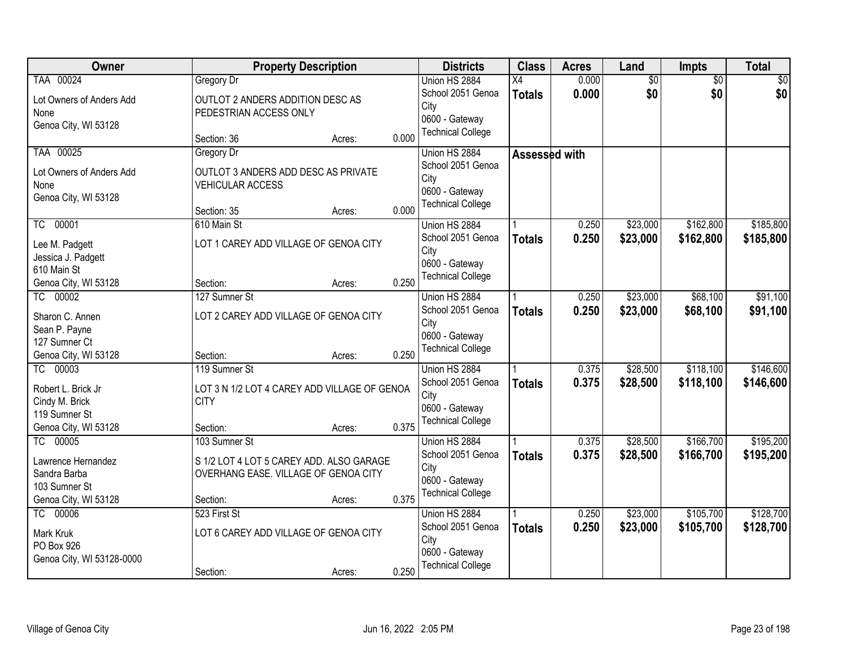| Owner                     |                                  | <b>Property Description</b>                  |       | <b>Districts</b>                           | <b>Class</b>  | <b>Acres</b> | Land            | <b>Impts</b>    | <b>Total</b> |
|---------------------------|----------------------------------|----------------------------------------------|-------|--------------------------------------------|---------------|--------------|-----------------|-----------------|--------------|
| TAA 00024                 | Gregory Dr                       |                                              |       | Union HS 2884                              | X4            | 0.000        | $\overline{50}$ | $\overline{50}$ | \$0          |
| Lot Owners of Anders Add  | OUTLOT 2 ANDERS ADDITION DESC AS |                                              |       | School 2051 Genoa                          | <b>Totals</b> | 0.000        | \$0             | \$0             | \$0          |
| None                      | PEDESTRIAN ACCESS ONLY           |                                              |       | City                                       |               |              |                 |                 |              |
| Genoa City, WI 53128      |                                  |                                              |       | 0600 - Gateway                             |               |              |                 |                 |              |
|                           | Section: 36                      | Acres:                                       | 0.000 | <b>Technical College</b>                   |               |              |                 |                 |              |
| TAA 00025                 | Gregory Dr                       |                                              |       | Union HS 2884                              | Assessed with |              |                 |                 |              |
| Lot Owners of Anders Add  |                                  | OUTLOT 3 ANDERS ADD DESC AS PRIVATE          |       | School 2051 Genoa                          |               |              |                 |                 |              |
| None                      | <b>VEHICULAR ACCESS</b>          |                                              |       | City                                       |               |              |                 |                 |              |
| Genoa City, WI 53128      |                                  |                                              |       | 0600 - Gateway<br><b>Technical College</b> |               |              |                 |                 |              |
|                           | Section: 35                      | Acres:                                       | 0.000 |                                            |               |              |                 |                 |              |
| TC 00001                  | 610 Main St                      |                                              |       | Union HS 2884                              |               | 0.250        | \$23,000        | \$162,800       | \$185,800    |
| Lee M. Padgett            |                                  | LOT 1 CAREY ADD VILLAGE OF GENOA CITY        |       | School 2051 Genoa                          | <b>Totals</b> | 0.250        | \$23,000        | \$162,800       | \$185,800    |
| Jessica J. Padgett        |                                  |                                              |       | City                                       |               |              |                 |                 |              |
| 610 Main St               |                                  |                                              |       | 0600 - Gateway<br><b>Technical College</b> |               |              |                 |                 |              |
| Genoa City, WI 53128      | Section:                         | Acres:                                       | 0.250 |                                            |               |              |                 |                 |              |
| TC 00002                  | 127 Sumner St                    |                                              |       | Union HS 2884                              |               | 0.250        | \$23,000        | \$68,100        | \$91,100     |
| Sharon C. Annen           |                                  | LOT 2 CAREY ADD VILLAGE OF GENOA CITY        |       | School 2051 Genoa                          | <b>Totals</b> | 0.250        | \$23,000        | \$68,100        | \$91,100     |
| Sean P. Payne             |                                  |                                              |       | City                                       |               |              |                 |                 |              |
| 127 Sumner Ct             |                                  |                                              |       | 0600 - Gateway                             |               |              |                 |                 |              |
| Genoa City, WI 53128      | Section:                         | Acres:                                       | 0.250 | <b>Technical College</b>                   |               |              |                 |                 |              |
| TC 00003                  | 119 Sumner St                    |                                              |       | Union HS 2884                              |               | 0.375        | \$28,500        | \$118,100       | \$146,600    |
| Robert L. Brick Jr        |                                  | LOT 3 N 1/2 LOT 4 CAREY ADD VILLAGE OF GENOA |       | School 2051 Genoa                          | <b>Totals</b> | 0.375        | \$28,500        | \$118,100       | \$146,600    |
| Cindy M. Brick            | <b>CITY</b>                      |                                              |       | City                                       |               |              |                 |                 |              |
| 119 Sumner St             |                                  |                                              |       | 0600 - Gateway                             |               |              |                 |                 |              |
| Genoa City, WI 53128      | Section:                         | Acres:                                       | 0.375 | <b>Technical College</b>                   |               |              |                 |                 |              |
| TC 00005                  | 103 Sumner St                    |                                              |       | Union HS 2884                              |               | 0.375        | \$28,500        | \$166,700       | \$195,200    |
| Lawrence Hernandez        |                                  | S 1/2 LOT 4 LOT 5 CAREY ADD. ALSO GARAGE     |       | School 2051 Genoa                          | <b>Totals</b> | 0.375        | \$28,500        | \$166,700       | \$195,200    |
| Sandra Barba              |                                  | OVERHANG EASE. VILLAGE OF GENOA CITY         |       | City                                       |               |              |                 |                 |              |
| 103 Sumner St             |                                  |                                              |       | 0600 - Gateway                             |               |              |                 |                 |              |
| Genoa City, WI 53128      | Section:                         | Acres:                                       | 0.375 | <b>Technical College</b>                   |               |              |                 |                 |              |
| TC 00006                  | 523 First St                     |                                              |       | Union HS 2884                              |               | 0.250        | \$23,000        | \$105,700       | \$128,700    |
| Mark Kruk                 |                                  | LOT 6 CAREY ADD VILLAGE OF GENOA CITY        |       | School 2051 Genoa                          | <b>Totals</b> | 0.250        | \$23,000        | \$105,700       | \$128,700    |
| PO Box 926                |                                  |                                              |       | City                                       |               |              |                 |                 |              |
| Genoa City, WI 53128-0000 |                                  |                                              |       | 0600 - Gateway                             |               |              |                 |                 |              |
|                           | Section:                         | Acres:                                       | 0.250 | <b>Technical College</b>                   |               |              |                 |                 |              |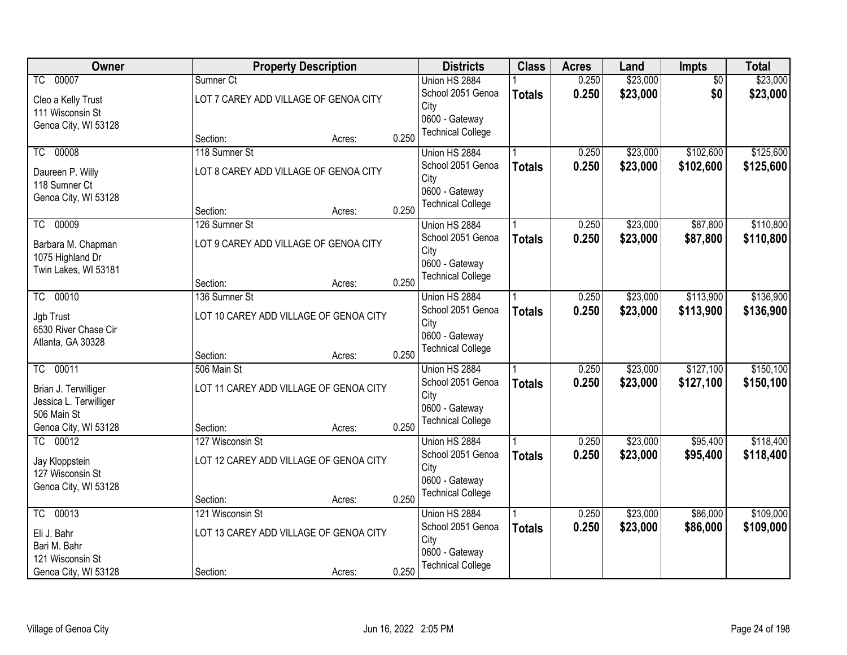| Owner                  |                  | <b>Property Description</b>            |       | <b>Districts</b>                           | <b>Class</b>  | <b>Acres</b> | Land     | Impts           | <b>Total</b> |
|------------------------|------------------|----------------------------------------|-------|--------------------------------------------|---------------|--------------|----------|-----------------|--------------|
| TC 00007               | Sumner Ct        |                                        |       | Union HS 2884                              |               | 0.250        | \$23,000 | $\overline{50}$ | \$23,000     |
| Cleo a Kelly Trust     |                  | LOT 7 CAREY ADD VILLAGE OF GENOA CITY  |       | School 2051 Genoa                          | <b>Totals</b> | 0.250        | \$23,000 | \$0             | \$23,000     |
| 111 Wisconsin St       |                  |                                        |       | City                                       |               |              |          |                 |              |
| Genoa City, WI 53128   |                  |                                        |       | 0600 - Gateway<br><b>Technical College</b> |               |              |          |                 |              |
|                        | Section:         | Acres:                                 | 0.250 |                                            |               |              |          |                 |              |
| 00008<br>TC            | 118 Sumner St    |                                        |       | Union HS 2884                              |               | 0.250        | \$23,000 | \$102,600       | \$125,600    |
| Daureen P. Willy       |                  | LOT 8 CAREY ADD VILLAGE OF GENOA CITY  |       | School 2051 Genoa                          | <b>Totals</b> | 0.250        | \$23,000 | \$102,600       | \$125,600    |
| 118 Sumner Ct          |                  |                                        |       | City<br>0600 - Gateway                     |               |              |          |                 |              |
| Genoa City, WI 53128   |                  |                                        |       | <b>Technical College</b>                   |               |              |          |                 |              |
|                        | Section:         | Acres:                                 | 0.250 |                                            |               |              |          |                 |              |
| TC 00009               | 126 Sumner St    |                                        |       | Union HS 2884                              |               | 0.250        | \$23,000 | \$87,800        | \$110,800    |
| Barbara M. Chapman     |                  | LOT 9 CAREY ADD VILLAGE OF GENOA CITY  |       | School 2051 Genoa                          | <b>Totals</b> | 0.250        | \$23,000 | \$87,800        | \$110,800    |
| 1075 Highland Dr       |                  |                                        |       | City<br>0600 - Gateway                     |               |              |          |                 |              |
| Twin Lakes, WI 53181   |                  |                                        |       | <b>Technical College</b>                   |               |              |          |                 |              |
|                        | Section:         | Acres:                                 | 0.250 |                                            |               |              |          |                 |              |
| TC 00010               | 136 Sumner St    |                                        |       | Union HS 2884                              |               | 0.250        | \$23,000 | \$113,900       | \$136,900    |
| Jgb Trust              |                  | LOT 10 CAREY ADD VILLAGE OF GENOA CITY |       | School 2051 Genoa                          | <b>Totals</b> | 0.250        | \$23,000 | \$113,900       | \$136,900    |
| 6530 River Chase Cir   |                  |                                        |       | City<br>0600 - Gateway                     |               |              |          |                 |              |
| Atlanta, GA 30328      |                  |                                        |       | <b>Technical College</b>                   |               |              |          |                 |              |
|                        | Section:         | Acres:                                 | 0.250 |                                            |               |              |          |                 |              |
| TC 00011               | 506 Main St      |                                        |       | Union HS 2884                              |               | 0.250        | \$23,000 | \$127,100       | \$150,100    |
| Brian J. Terwilliger   |                  | LOT 11 CAREY ADD VILLAGE OF GENOA CITY |       | School 2051 Genoa                          | <b>Totals</b> | 0.250        | \$23,000 | \$127,100       | \$150,100    |
| Jessica L. Terwilliger |                  |                                        |       | City<br>0600 - Gateway                     |               |              |          |                 |              |
| 506 Main St            |                  |                                        |       | <b>Technical College</b>                   |               |              |          |                 |              |
| Genoa City, WI 53128   | Section:         | Acres:                                 | 0.250 |                                            |               |              |          |                 |              |
| TC 00012               | 127 Wisconsin St |                                        |       | Union HS 2884                              |               | 0.250        | \$23,000 | \$95,400        | \$118,400    |
| Jay Kloppstein         |                  | LOT 12 CAREY ADD VILLAGE OF GENOA CITY |       | School 2051 Genoa                          | <b>Totals</b> | 0.250        | \$23,000 | \$95,400        | \$118,400    |
| 127 Wisconsin St       |                  |                                        |       | City<br>0600 - Gateway                     |               |              |          |                 |              |
| Genoa City, WI 53128   |                  |                                        |       | <b>Technical College</b>                   |               |              |          |                 |              |
|                        | Section:         | Acres:                                 | 0.250 |                                            |               |              |          |                 |              |
| 00013<br>TC            | 121 Wisconsin St |                                        |       | Union HS 2884                              |               | 0.250        | \$23,000 | \$86,000        | \$109,000    |
| Eli J. Bahr            |                  | LOT 13 CAREY ADD VILLAGE OF GENOA CITY |       | School 2051 Genoa                          | <b>Totals</b> | 0.250        | \$23,000 | \$86,000        | \$109,000    |
| Bari M. Bahr           |                  |                                        |       | City<br>0600 - Gateway                     |               |              |          |                 |              |
| 121 Wisconsin St       |                  |                                        |       | <b>Technical College</b>                   |               |              |          |                 |              |
| Genoa City, WI 53128   | Section:         | Acres:                                 | 0.250 |                                            |               |              |          |                 |              |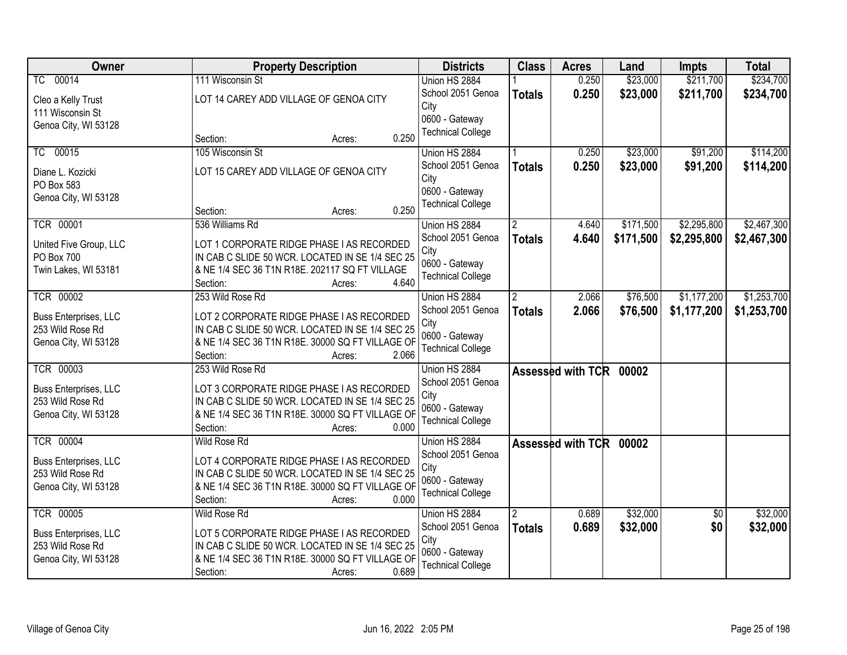| Owner                  | <b>Property Description</b>                      | <b>Districts</b>                           | <b>Class</b>         | <b>Acres</b>            | Land      | <b>Impts</b>    | <b>Total</b> |
|------------------------|--------------------------------------------------|--------------------------------------------|----------------------|-------------------------|-----------|-----------------|--------------|
| TC 00014               | 111 Wisconsin St                                 | Union HS 2884                              |                      | 0.250                   | \$23,000  | \$211,700       | \$234,700    |
| Cleo a Kelly Trust     | LOT 14 CAREY ADD VILLAGE OF GENOA CITY           | School 2051 Genoa                          | <b>Totals</b>        | 0.250                   | \$23,000  | \$211,700       | \$234,700    |
| 111 Wisconsin St       |                                                  | City                                       |                      |                         |           |                 |              |
| Genoa City, WI 53128   |                                                  | 0600 - Gateway                             |                      |                         |           |                 |              |
|                        | 0.250<br>Section:<br>Acres:                      | <b>Technical College</b>                   |                      |                         |           |                 |              |
| TC 00015               | 105 Wisconsin St                                 | Union HS 2884                              |                      | 0.250                   | \$23,000  | \$91,200        | \$114,200    |
| Diane L. Kozicki       | LOT 15 CAREY ADD VILLAGE OF GENOA CITY           | School 2051 Genoa                          | <b>Totals</b>        | 0.250                   | \$23,000  | \$91,200        | \$114,200    |
| PO Box 583             |                                                  | City                                       |                      |                         |           |                 |              |
| Genoa City, WI 53128   |                                                  | 0600 - Gateway                             |                      |                         |           |                 |              |
|                        | 0.250<br>Section:<br>Acres:                      | <b>Technical College</b>                   |                      |                         |           |                 |              |
| <b>TCR 00001</b>       | 536 Williams Rd                                  | Union HS 2884                              | $\overline{2}$       | 4.640                   | \$171,500 | \$2,295,800     | \$2,467,300  |
| United Five Group, LLC | LOT 1 CORPORATE RIDGE PHASE I AS RECORDED        | School 2051 Genoa                          | <b>Totals</b>        | 4.640                   | \$171,500 | \$2,295,800     | \$2,467,300  |
| PO Box 700             | IN CAB C SLIDE 50 WCR. LOCATED IN SE 1/4 SEC 25  | City                                       |                      |                         |           |                 |              |
| Twin Lakes, WI 53181   | & NE 1/4 SEC 36 T1N R18E. 202117 SQ FT VILLAGE   | 0600 - Gateway                             |                      |                         |           |                 |              |
|                        | 4.640<br>Section:<br>Acres:                      | <b>Technical College</b>                   |                      |                         |           |                 |              |
| <b>TCR 00002</b>       | 253 Wild Rose Rd                                 | Union HS 2884                              | $\mathbf{2}^{\circ}$ | 2.066                   | \$76,500  | \$1,177,200     | \$1,253,700  |
| Buss Enterprises, LLC  | LOT 2 CORPORATE RIDGE PHASE I AS RECORDED        | School 2051 Genoa                          | <b>Totals</b>        | 2.066                   | \$76,500  | \$1,177,200     | \$1,253,700  |
| 253 Wild Rose Rd       | IN CAB C SLIDE 50 WCR. LOCATED IN SE 1/4 SEC 25  | City                                       |                      |                         |           |                 |              |
| Genoa City, WI 53128   | & NE 1/4 SEC 36 T1N R18E. 30000 SQ FT VILLAGE OF | 0600 - Gateway                             |                      |                         |           |                 |              |
|                        | 2.066<br>Section:<br>Acres:                      | <b>Technical College</b>                   |                      |                         |           |                 |              |
| <b>TCR 00003</b>       | 253 Wild Rose Rd                                 | Union HS 2884                              |                      | Assessed with TCR 00002 |           |                 |              |
| Buss Enterprises, LLC  | LOT 3 CORPORATE RIDGE PHASE I AS RECORDED        | School 2051 Genoa                          |                      |                         |           |                 |              |
| 253 Wild Rose Rd       | IN CAB C SLIDE 50 WCR. LOCATED IN SE 1/4 SEC 25  | City                                       |                      |                         |           |                 |              |
| Genoa City, WI 53128   | & NE 1/4 SEC 36 T1N R18E. 30000 SQ FT VILLAGE OF | 0600 - Gateway                             |                      |                         |           |                 |              |
|                        | Section:<br>0.000<br>Acres:                      | <b>Technical College</b>                   |                      |                         |           |                 |              |
| <b>TCR 00004</b>       | Wild Rose Rd                                     | Union HS 2884                              |                      | Assessed with TCR 00002 |           |                 |              |
| Buss Enterprises, LLC  | LOT 4 CORPORATE RIDGE PHASE I AS RECORDED        | School 2051 Genoa                          |                      |                         |           |                 |              |
| 253 Wild Rose Rd       | IN CAB C SLIDE 50 WCR. LOCATED IN SE 1/4 SEC 25  | City                                       |                      |                         |           |                 |              |
| Genoa City, WI 53128   | & NE 1/4 SEC 36 T1N R18E. 30000 SQ FT VILLAGE OF | 0600 - Gateway<br><b>Technical College</b> |                      |                         |           |                 |              |
|                        | 0.000<br>Section:<br>Acres:                      |                                            |                      |                         |           |                 |              |
| <b>TCR 00005</b>       | <b>Wild Rose Rd</b>                              | Union HS 2884                              | 2                    | 0.689                   | \$32,000  | $\overline{30}$ | \$32,000     |
| Buss Enterprises, LLC  | LOT 5 CORPORATE RIDGE PHASE I AS RECORDED        | School 2051 Genoa                          | <b>Totals</b>        | 0.689                   | \$32,000  | \$0             | \$32,000     |
| 253 Wild Rose Rd       | IN CAB C SLIDE 50 WCR. LOCATED IN SE 1/4 SEC 25  | City                                       |                      |                         |           |                 |              |
| Genoa City, WI 53128   | & NE 1/4 SEC 36 T1N R18E. 30000 SQ FT VILLAGE OF | 0600 - Gateway                             |                      |                         |           |                 |              |
|                        | 0.689<br>Section:<br>Acres:                      | <b>Technical College</b>                   |                      |                         |           |                 |              |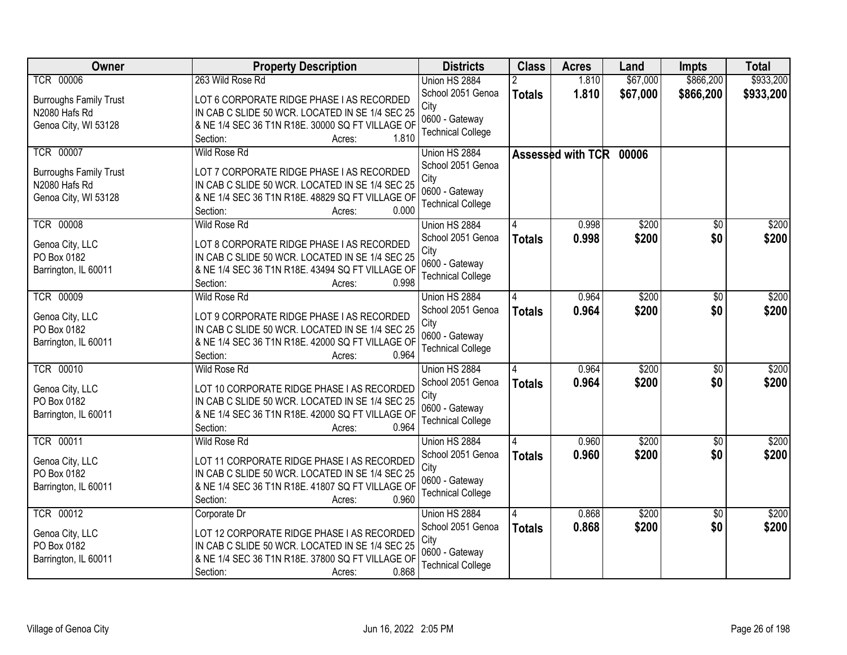| Owner                          | <b>Property Description</b>                                                                   | <b>Districts</b>         | <b>Class</b>  | <b>Acres</b>      | Land     | Impts           | <b>Total</b> |
|--------------------------------|-----------------------------------------------------------------------------------------------|--------------------------|---------------|-------------------|----------|-----------------|--------------|
| <b>TCR 00006</b>               | 263 Wild Rose Rd                                                                              | Union HS 2884            |               | 1.810             | \$67,000 | \$866,200       | \$933,200    |
| <b>Burroughs Family Trust</b>  | LOT 6 CORPORATE RIDGE PHASE I AS RECORDED                                                     | School 2051 Genoa        | <b>Totals</b> | 1.810             | \$67,000 | \$866,200       | \$933,200    |
| N2080 Hafs Rd                  | IN CAB C SLIDE 50 WCR. LOCATED IN SE 1/4 SEC 25                                               | City                     |               |                   |          |                 |              |
| Genoa City, WI 53128           | & NE 1/4 SEC 36 T1N R18E. 30000 SQ FT VILLAGE OF                                              | 0600 - Gateway           |               |                   |          |                 |              |
|                                | Section:<br>1.810<br>Acres:                                                                   | <b>Technical College</b> |               |                   |          |                 |              |
| <b>TCR 00007</b>               | <b>Wild Rose Rd</b>                                                                           | Union HS 2884            |               | Assessed with TCR | 00006    |                 |              |
| <b>Burroughs Family Trust</b>  | LOT 7 CORPORATE RIDGE PHASE I AS RECORDED                                                     | School 2051 Genoa        |               |                   |          |                 |              |
| N2080 Hafs Rd                  | IN CAB C SLIDE 50 WCR. LOCATED IN SE 1/4 SEC 25                                               | City                     |               |                   |          |                 |              |
| Genoa City, WI 53128           | & NE 1/4 SEC 36 T1N R18E. 48829 SQ FT VILLAGE OF                                              | 0600 - Gateway           |               |                   |          |                 |              |
|                                | 0.000<br>Section:<br>Acres:                                                                   | <b>Technical College</b> |               |                   |          |                 |              |
| <b>TCR 00008</b>               | Wild Rose Rd                                                                                  | Union HS 2884            |               | 0.998             | \$200    | $\overline{50}$ | \$200        |
| Genoa City, LLC                | LOT 8 CORPORATE RIDGE PHASE I AS RECORDED                                                     | School 2051 Genoa        | <b>Totals</b> | 0.998             | \$200    | \$0             | \$200        |
| PO Box 0182                    | IN CAB C SLIDE 50 WCR. LOCATED IN SE 1/4 SEC 25                                               | City                     |               |                   |          |                 |              |
| Barrington, IL 60011           | & NE 1/4 SEC 36 T1N R18E. 43494 SQ FT VILLAGE OF                                              | 0600 - Gateway           |               |                   |          |                 |              |
|                                | 0.998<br>Section:<br>Acres:                                                                   | <b>Technical College</b> |               |                   |          |                 |              |
| <b>TCR 00009</b>               | <b>Wild Rose Rd</b>                                                                           | Union HS 2884            |               | 0.964             | \$200    | \$0             | \$200        |
| Genoa City, LLC                | LOT 9 CORPORATE RIDGE PHASE I AS RECORDED                                                     | School 2051 Genoa        | <b>Totals</b> | 0.964             | \$200    | \$0             | \$200        |
| PO Box 0182                    | IN CAB C SLIDE 50 WCR. LOCATED IN SE 1/4 SEC 25                                               | City                     |               |                   |          |                 |              |
| Barrington, IL 60011           | & NE 1/4 SEC 36 T1N R18E. 42000 SQ FT VILLAGE OF                                              | 0600 - Gateway           |               |                   |          |                 |              |
|                                | 0.964<br>Section:<br>Acres:                                                                   | <b>Technical College</b> |               |                   |          |                 |              |
| <b>TCR 00010</b>               | <b>Wild Rose Rd</b>                                                                           | Union HS 2884            |               | 0.964             | \$200    | $\overline{50}$ | \$200        |
|                                |                                                                                               | School 2051 Genoa        | <b>Totals</b> | 0.964             | \$200    | \$0             | \$200        |
| Genoa City, LLC<br>PO Box 0182 | LOT 10 CORPORATE RIDGE PHASE I AS RECORDED<br>IN CAB C SLIDE 50 WCR. LOCATED IN SE 1/4 SEC 25 | City                     |               |                   |          |                 |              |
| Barrington, IL 60011           | & NE 1/4 SEC 36 T1N R18E. 42000 SQ FT VILLAGE OF                                              | 0600 - Gateway           |               |                   |          |                 |              |
|                                | Section:<br>0.964<br>Acres:                                                                   | <b>Technical College</b> |               |                   |          |                 |              |
| <b>TCR 00011</b>               | Wild Rose Rd                                                                                  | Union HS 2884            |               | 0.960             | \$200    | $\sqrt{6}$      | \$200        |
|                                |                                                                                               | School 2051 Genoa        | <b>Totals</b> | 0.960             | \$200    | \$0             | \$200        |
| Genoa City, LLC<br>PO Box 0182 | LOT 11 CORPORATE RIDGE PHASE I AS RECORDED<br>IN CAB C SLIDE 50 WCR. LOCATED IN SE 1/4 SEC 25 | City                     |               |                   |          |                 |              |
| Barrington, IL 60011           | & NE 1/4 SEC 36 T1N R18E. 41807 SQ FT VILLAGE OF                                              | 0600 - Gateway           |               |                   |          |                 |              |
|                                | 0.960<br>Section:<br>Acres:                                                                   | <b>Technical College</b> |               |                   |          |                 |              |
| <b>TCR 00012</b>               | Corporate Dr                                                                                  | Union HS 2884            |               | 0.868             | \$200    | $\overline{50}$ | \$200        |
|                                |                                                                                               | School 2051 Genoa        | <b>Totals</b> | 0.868             | \$200    | \$0             | \$200        |
| Genoa City, LLC                | LOT 12 CORPORATE RIDGE PHASE I AS RECORDED                                                    | City                     |               |                   |          |                 |              |
| PO Box 0182                    | IN CAB C SLIDE 50 WCR. LOCATED IN SE 1/4 SEC 25                                               | 0600 - Gateway           |               |                   |          |                 |              |
| Barrington, IL 60011           | & NE 1/4 SEC 36 T1N R18E. 37800 SQ FT VILLAGE OF                                              | <b>Technical College</b> |               |                   |          |                 |              |
|                                | 0.868<br>Section:<br>Acres:                                                                   |                          |               |                   |          |                 |              |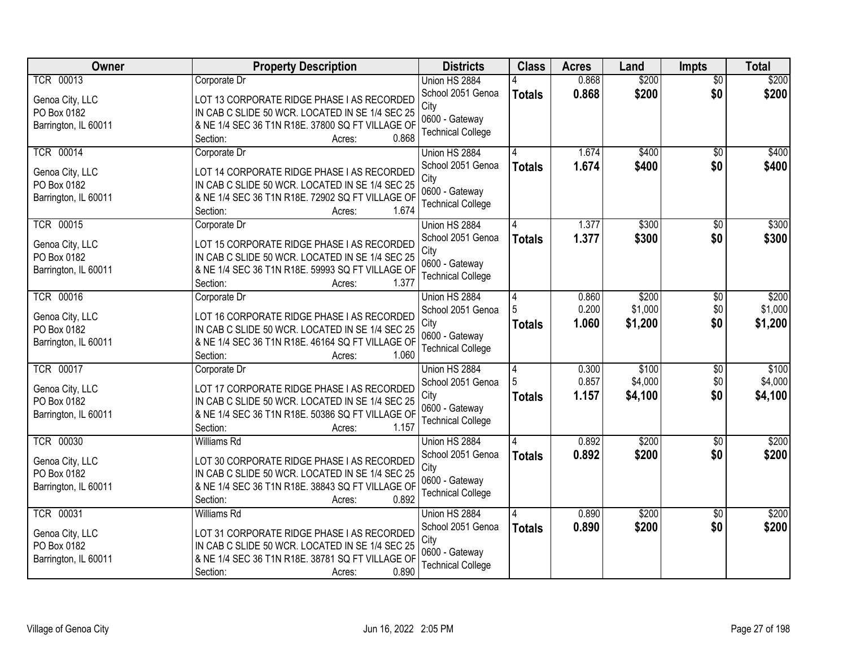| Owner                | <b>Property Description</b>                      | <b>Districts</b>         | <b>Class</b>  | <b>Acres</b> | Land    | <b>Impts</b>    | <b>Total</b> |
|----------------------|--------------------------------------------------|--------------------------|---------------|--------------|---------|-----------------|--------------|
| <b>TCR 00013</b>     | Corporate Dr                                     | Union HS 2884            |               | 0.868        | \$200   | $\overline{30}$ | \$200        |
| Genoa City, LLC      | LOT 13 CORPORATE RIDGE PHASE I AS RECORDED       | School 2051 Genoa        | <b>Totals</b> | 0.868        | \$200   | \$0             | \$200        |
| PO Box 0182          | IN CAB C SLIDE 50 WCR. LOCATED IN SE 1/4 SEC 25  | City                     |               |              |         |                 |              |
| Barrington, IL 60011 | & NE 1/4 SEC 36 T1N R18E. 37800 SQ FT VILLAGE OF | 0600 - Gateway           |               |              |         |                 |              |
|                      | 0.868<br>Section:<br>Acres:                      | <b>Technical College</b> |               |              |         |                 |              |
| <b>TCR 00014</b>     | Corporate Dr                                     | Union HS 2884            |               | 1.674        | \$400   | $\overline{50}$ | \$400        |
| Genoa City, LLC      | LOT 14 CORPORATE RIDGE PHASE I AS RECORDED       | School 2051 Genoa        | <b>Totals</b> | 1.674        | \$400   | \$0             | \$400        |
| PO Box 0182          | IN CAB C SLIDE 50 WCR. LOCATED IN SE 1/4 SEC 25  | City                     |               |              |         |                 |              |
| Barrington, IL 60011 | & NE 1/4 SEC 36 T1N R18E. 72902 SQ FT VILLAGE OF | 0600 - Gateway           |               |              |         |                 |              |
|                      | 1.674<br>Section:<br>Acres:                      | <b>Technical College</b> |               |              |         |                 |              |
| <b>TCR 00015</b>     | Corporate Dr                                     | Union HS 2884            |               | 1.377        | \$300   | \$0             | \$300        |
| Genoa City, LLC      | LOT 15 CORPORATE RIDGE PHASE I AS RECORDED       | School 2051 Genoa        | <b>Totals</b> | 1.377        | \$300   | \$0             | \$300        |
| PO Box 0182          | IN CAB C SLIDE 50 WCR. LOCATED IN SE 1/4 SEC 25  | City                     |               |              |         |                 |              |
| Barrington, IL 60011 | & NE 1/4 SEC 36 T1N R18E. 59993 SQ FT VILLAGE OF | 0600 - Gateway           |               |              |         |                 |              |
|                      | Section:<br>1.377<br>Acres:                      | <b>Technical College</b> |               |              |         |                 |              |
| <b>TCR 00016</b>     | Corporate Dr                                     | Union HS 2884            | 4             | 0.860        | \$200   | \$0             | \$200        |
| Genoa City, LLC      | LOT 16 CORPORATE RIDGE PHASE I AS RECORDED       | School 2051 Genoa        |               | 0.200        | \$1,000 | \$0             | \$1,000      |
| PO Box 0182          | IN CAB C SLIDE 50 WCR. LOCATED IN SE 1/4 SEC 25  | City                     | <b>Totals</b> | 1.060        | \$1,200 | \$0             | \$1,200      |
| Barrington, IL 60011 | & NE 1/4 SEC 36 T1N R18E. 46164 SQ FT VILLAGE OF | 0600 - Gateway           |               |              |         |                 |              |
|                      | Section:<br>1.060<br>Acres:                      | <b>Technical College</b> |               |              |         |                 |              |
| <b>TCR 00017</b>     | Corporate Dr                                     | Union HS 2884            | 4             | 0.300        | \$100   | $\overline{30}$ | \$100        |
| Genoa City, LLC      | LOT 17 CORPORATE RIDGE PHASE I AS RECORDED       | School 2051 Genoa        |               | 0.857        | \$4,000 | \$0             | \$4,000      |
| PO Box 0182          | IN CAB C SLIDE 50 WCR. LOCATED IN SE 1/4 SEC 25  | City                     | <b>Totals</b> | 1.157        | \$4,100 | \$0             | \$4,100      |
| Barrington, IL 60011 | & NE 1/4 SEC 36 T1N R18E. 50386 SQ FT VILLAGE OF | 0600 - Gateway           |               |              |         |                 |              |
|                      | 1.157<br>Section:<br>Acres:                      | <b>Technical College</b> |               |              |         |                 |              |
| <b>TCR 00030</b>     | Williams Rd                                      | Union HS 2884            |               | 0.892        | \$200   | $\sqrt{6}$      | \$200        |
| Genoa City, LLC      | LOT 30 CORPORATE RIDGE PHASE I AS RECORDED       | School 2051 Genoa        | <b>Totals</b> | 0.892        | \$200   | \$0             | \$200        |
| PO Box 0182          | IN CAB C SLIDE 50 WCR. LOCATED IN SE 1/4 SEC 25  | City                     |               |              |         |                 |              |
| Barrington, IL 60011 | & NE 1/4 SEC 36 T1N R18E. 38843 SQ FT VILLAGE OF | 0600 - Gateway           |               |              |         |                 |              |
|                      | Section:<br>0.892<br>Acres:                      | <b>Technical College</b> |               |              |         |                 |              |
| <b>TCR 00031</b>     | <b>Williams Rd</b>                               | Union HS 2884            |               | 0.890        | \$200   | $\overline{30}$ | \$200        |
| Genoa City, LLC      | LOT 31 CORPORATE RIDGE PHASE I AS RECORDED       | School 2051 Genoa        | <b>Totals</b> | 0.890        | \$200   | \$0             | \$200        |
| PO Box 0182          | IN CAB C SLIDE 50 WCR. LOCATED IN SE 1/4 SEC 25  | City                     |               |              |         |                 |              |
| Barrington, IL 60011 | & NE 1/4 SEC 36 T1N R18E. 38781 SQ FT VILLAGE OF | 0600 - Gateway           |               |              |         |                 |              |
|                      | 0.890<br>Section:<br>Acres:                      | <b>Technical College</b> |               |              |         |                 |              |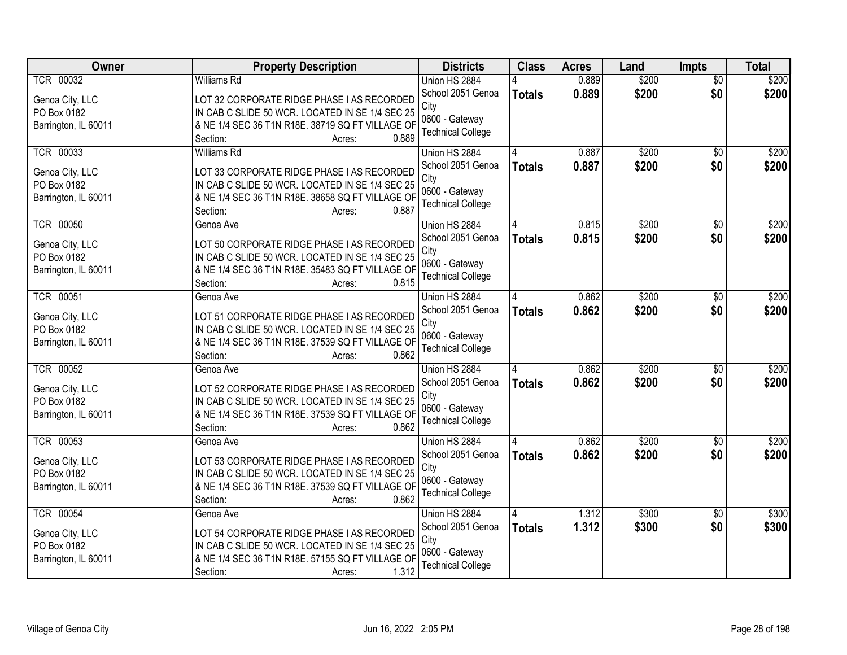| Owner                | <b>Property Description</b>                                                                         | <b>Districts</b>                           | <b>Class</b>  | <b>Acres</b> | Land  | <b>Impts</b>    | <b>Total</b> |
|----------------------|-----------------------------------------------------------------------------------------------------|--------------------------------------------|---------------|--------------|-------|-----------------|--------------|
| <b>TCR 00032</b>     | <b>Williams Rd</b>                                                                                  | Union HS 2884                              |               | 0.889        | \$200 | $\overline{50}$ | \$200        |
| Genoa City, LLC      | LOT 32 CORPORATE RIDGE PHASE I AS RECORDED                                                          | School 2051 Genoa                          | <b>Totals</b> | 0.889        | \$200 | \$0             | \$200        |
| PO Box 0182          | IN CAB C SLIDE 50 WCR. LOCATED IN SE 1/4 SEC 25                                                     | City                                       |               |              |       |                 |              |
| Barrington, IL 60011 | & NE 1/4 SEC 36 T1N R18E. 38719 SQ FT VILLAGE OF                                                    | 0600 - Gateway                             |               |              |       |                 |              |
|                      | 0.889<br>Section:<br>Acres:                                                                         | <b>Technical College</b>                   |               |              |       |                 |              |
| <b>TCR 00033</b>     | <b>Williams Rd</b>                                                                                  | Union HS 2884                              |               | 0.887        | \$200 | $\overline{50}$ | \$200        |
| Genoa City, LLC      | LOT 33 CORPORATE RIDGE PHASE I AS RECORDED                                                          | School 2051 Genoa                          | <b>Totals</b> | 0.887        | \$200 | \$0             | \$200        |
| PO Box 0182          | IN CAB C SLIDE 50 WCR. LOCATED IN SE 1/4 SEC 25                                                     | City                                       |               |              |       |                 |              |
| Barrington, IL 60011 | & NE 1/4 SEC 36 T1N R18E. 38658 SQ FT VILLAGE OF                                                    | 0600 - Gateway                             |               |              |       |                 |              |
|                      | 0.887<br>Section:<br>Acres:                                                                         | <b>Technical College</b>                   |               |              |       |                 |              |
| <b>TCR 00050</b>     | Genoa Ave                                                                                           | Union HS 2884                              |               | 0.815        | \$200 | \$0             | \$200        |
| Genoa City, LLC      | LOT 50 CORPORATE RIDGE PHASE I AS RECORDED                                                          | School 2051 Genoa                          | <b>Totals</b> | 0.815        | \$200 | \$0             | \$200        |
| PO Box 0182          | IN CAB C SLIDE 50 WCR. LOCATED IN SE 1/4 SEC 25                                                     | City                                       |               |              |       |                 |              |
| Barrington, IL 60011 | & NE 1/4 SEC 36 T1N R18E. 35483 SQ FT VILLAGE OF                                                    | 0600 - Gateway                             |               |              |       |                 |              |
|                      | 0.815<br>Section:<br>Acres:                                                                         | <b>Technical College</b>                   |               |              |       |                 |              |
| <b>TCR 00051</b>     | Genoa Ave                                                                                           | Union HS 2884                              | 4             | 0.862        | \$200 | $\sqrt[6]{3}$   | \$200        |
| Genoa City, LLC      | LOT 51 CORPORATE RIDGE PHASE I AS RECORDED                                                          | School 2051 Genoa                          | <b>Totals</b> | 0.862        | \$200 | \$0             | \$200        |
| PO Box 0182          | IN CAB C SLIDE 50 WCR. LOCATED IN SE 1/4 SEC 25                                                     | City                                       |               |              |       |                 |              |
| Barrington, IL 60011 | & NE 1/4 SEC 36 T1N R18E. 37539 SQ FT VILLAGE OF                                                    | 0600 - Gateway                             |               |              |       |                 |              |
|                      | 0.862<br>Section:<br>Acres:                                                                         | <b>Technical College</b>                   |               |              |       |                 |              |
| <b>TCR 00052</b>     | Genoa Ave                                                                                           | Union HS 2884                              | Δ             | 0.862        | \$200 | \$0             | \$200        |
|                      |                                                                                                     | School 2051 Genoa                          | <b>Totals</b> | 0.862        | \$200 | \$0             | \$200        |
| Genoa City, LLC      | LOT 52 CORPORATE RIDGE PHASE I AS RECORDED                                                          | City                                       |               |              |       |                 |              |
| PO Box 0182          | IN CAB C SLIDE 50 WCR. LOCATED IN SE 1/4 SEC 25<br>& NE 1/4 SEC 36 T1N R18E. 37539 SQ FT VILLAGE OF | 0600 - Gateway                             |               |              |       |                 |              |
| Barrington, IL 60011 | 0.862<br>Section:<br>Acres:                                                                         | <b>Technical College</b>                   |               |              |       |                 |              |
| <b>TCR 00053</b>     | Genoa Ave                                                                                           | Union HS 2884                              |               | 0.862        | \$200 | $\sqrt{6}$      | \$200        |
|                      |                                                                                                     | School 2051 Genoa                          | <b>Totals</b> | 0.862        | \$200 | \$0             | \$200        |
| Genoa City, LLC      | LOT 53 CORPORATE RIDGE PHASE I AS RECORDED                                                          | City                                       |               |              |       |                 |              |
| PO Box 0182          | IN CAB C SLIDE 50 WCR. LOCATED IN SE 1/4 SEC 25                                                     | 0600 - Gateway                             |               |              |       |                 |              |
| Barrington, IL 60011 | & NE 1/4 SEC 36 T1N R18E. 37539 SQ FT VILLAGE OF                                                    | <b>Technical College</b>                   |               |              |       |                 |              |
|                      | 0.862<br>Section:<br>Acres:                                                                         |                                            |               |              |       |                 |              |
| <b>TCR 00054</b>     | Genoa Ave                                                                                           | Union HS 2884                              | 4             | 1.312        | \$300 | $\overline{30}$ | \$300        |
| Genoa City, LLC      | LOT 54 CORPORATE RIDGE PHASE I AS RECORDED                                                          | School 2051 Genoa                          | <b>Totals</b> | 1.312        | \$300 | \$0             | \$300        |
| PO Box 0182          | IN CAB C SLIDE 50 WCR. LOCATED IN SE 1/4 SEC 25                                                     | City                                       |               |              |       |                 |              |
| Barrington, IL 60011 | & NE 1/4 SEC 36 T1N R18E. 57155 SQ FT VILLAGE OF                                                    | 0600 - Gateway<br><b>Technical College</b> |               |              |       |                 |              |
|                      | 1.312<br>Section:<br>Acres:                                                                         |                                            |               |              |       |                 |              |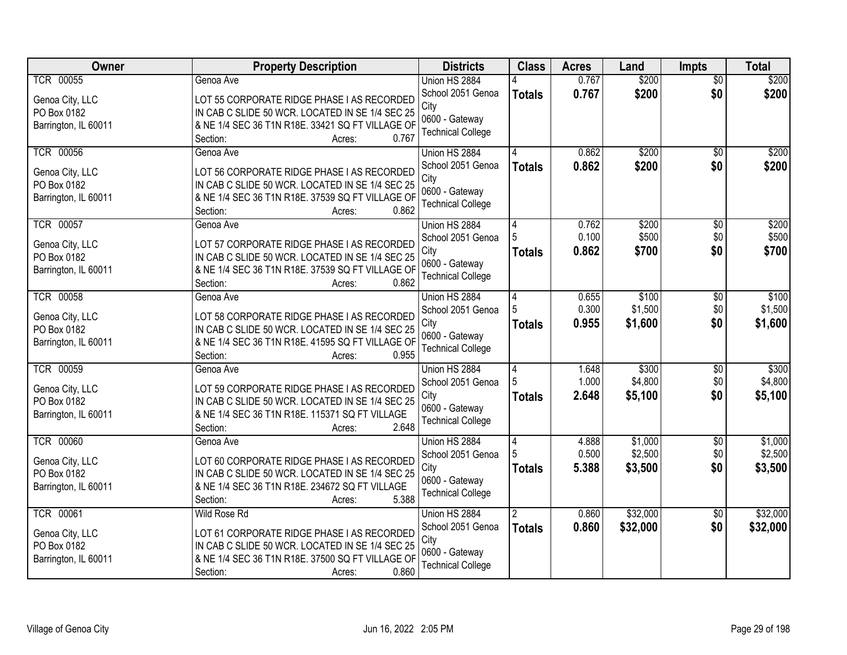| Owner                | <b>Property Description</b>                      | <b>Districts</b>         | <b>Class</b>   | <b>Acres</b> | Land     | <b>Impts</b>    | <b>Total</b> |
|----------------------|--------------------------------------------------|--------------------------|----------------|--------------|----------|-----------------|--------------|
| <b>TCR 00055</b>     | Genoa Ave                                        | Union HS 2884            |                | 0.767        | \$200    | $\overline{50}$ | \$200        |
| Genoa City, LLC      | LOT 55 CORPORATE RIDGE PHASE I AS RECORDED       | School 2051 Genoa        | <b>Totals</b>  | 0.767        | \$200    | \$0             | \$200        |
| PO Box 0182          | IN CAB C SLIDE 50 WCR. LOCATED IN SE 1/4 SEC 25  | City                     |                |              |          |                 |              |
| Barrington, IL 60011 | & NE 1/4 SEC 36 T1N R18E. 33421 SQ FT VILLAGE OF | 0600 - Gateway           |                |              |          |                 |              |
|                      | 0.767<br>Section:<br>Acres:                      | <b>Technical College</b> |                |              |          |                 |              |
| <b>TCR 00056</b>     | Genoa Ave                                        | Union HS 2884            |                | 0.862        | \$200    | \$0             | \$200        |
| Genoa City, LLC      | LOT 56 CORPORATE RIDGE PHASE I AS RECORDED       | School 2051 Genoa        | <b>Totals</b>  | 0.862        | \$200    | \$0             | \$200        |
| PO Box 0182          | IN CAB C SLIDE 50 WCR. LOCATED IN SE 1/4 SEC 25  | City                     |                |              |          |                 |              |
| Barrington, IL 60011 | & NE 1/4 SEC 36 T1N R18E. 37539 SQ FT VILLAGE OF | 0600 - Gateway           |                |              |          |                 |              |
|                      | 0.862<br>Section:<br>Acres:                      | <b>Technical College</b> |                |              |          |                 |              |
| <b>TCR 00057</b>     | Genoa Ave                                        | Union HS 2884            | 4              | 0.762        | \$200    | \$0             | \$200        |
| Genoa City, LLC      | LOT 57 CORPORATE RIDGE PHASE I AS RECORDED       | School 2051 Genoa        |                | 0.100        | \$500    | \$0             | \$500        |
| PO Box 0182          | IN CAB C SLIDE 50 WCR. LOCATED IN SE 1/4 SEC 25  | City                     | <b>Totals</b>  | 0.862        | \$700    | \$0             | \$700        |
| Barrington, IL 60011 | & NE 1/4 SEC 36 T1N R18E. 37539 SQ FT VILLAGE OF | 0600 - Gateway           |                |              |          |                 |              |
|                      | 0.862<br>Section:<br>Acres:                      | <b>Technical College</b> |                |              |          |                 |              |
| <b>TCR 00058</b>     | Genoa Ave                                        | Union HS 2884            | 4              | 0.655        | \$100    | $\sqrt[6]{3}$   | \$100        |
| Genoa City, LLC      | LOT 58 CORPORATE RIDGE PHASE I AS RECORDED       | School 2051 Genoa        |                | 0.300        | \$1,500  | \$0             | \$1,500      |
| PO Box 0182          | IN CAB C SLIDE 50 WCR. LOCATED IN SE 1/4 SEC 25  | City                     | <b>Totals</b>  | 0.955        | \$1,600  | \$0             | \$1,600      |
| Barrington, IL 60011 | & NE 1/4 SEC 36 T1N R18E. 41595 SQ FT VILLAGE OF | 0600 - Gateway           |                |              |          |                 |              |
|                      | Section:<br>0.955<br>Acres:                      | <b>Technical College</b> |                |              |          |                 |              |
| <b>TCR 00059</b>     | Genoa Ave                                        | Union HS 2884            | $\overline{4}$ | 1.648        | \$300    | $\overline{50}$ | \$300        |
| Genoa City, LLC      | LOT 59 CORPORATE RIDGE PHASE I AS RECORDED       | School 2051 Genoa        |                | 1.000        | \$4,800  | \$0             | \$4,800      |
| PO Box 0182          | IN CAB C SLIDE 50 WCR. LOCATED IN SE 1/4 SEC 25  | City                     | <b>Totals</b>  | 2.648        | \$5,100  | \$0             | \$5,100      |
| Barrington, IL 60011 | & NE 1/4 SEC 36 T1N R18E. 115371 SQ FT VILLAGE   | 0600 - Gateway           |                |              |          |                 |              |
|                      | 2.648<br>Section:<br>Acres:                      | <b>Technical College</b> |                |              |          |                 |              |
| <b>TCR 00060</b>     | Genoa Ave                                        | Union HS 2884            | 4              | 4.888        | \$1,000  | $\sqrt{6}$      | \$1,000      |
| Genoa City, LLC      | LOT 60 CORPORATE RIDGE PHASE I AS RECORDED       | School 2051 Genoa        |                | 0.500        | \$2,500  | \$0             | \$2,500      |
| PO Box 0182          | IN CAB C SLIDE 50 WCR. LOCATED IN SE 1/4 SEC 25  | City                     | <b>Totals</b>  | 5.388        | \$3,500  | \$0             | \$3,500      |
| Barrington, IL 60011 | & NE 1/4 SEC 36 T1N R18E. 234672 SQ FT VILLAGE   | 0600 - Gateway           |                |              |          |                 |              |
|                      | Section:<br>5.388<br>Acres:                      | <b>Technical College</b> |                |              |          |                 |              |
| <b>TCR 00061</b>     | <b>Wild Rose Rd</b>                              | Union HS 2884            | $\overline{2}$ | 0.860        | \$32,000 | $\overline{30}$ | \$32,000     |
| Genoa City, LLC      | LOT 61 CORPORATE RIDGE PHASE I AS RECORDED       | School 2051 Genoa        | <b>Totals</b>  | 0.860        | \$32,000 | \$0             | \$32,000     |
| PO Box 0182          | IN CAB C SLIDE 50 WCR. LOCATED IN SE 1/4 SEC 25  | City                     |                |              |          |                 |              |
| Barrington, IL 60011 | & NE 1/4 SEC 36 T1N R18E. 37500 SQ FT VILLAGE OF | 0600 - Gateway           |                |              |          |                 |              |
|                      | 0.860<br>Section:<br>Acres:                      | <b>Technical College</b> |                |              |          |                 |              |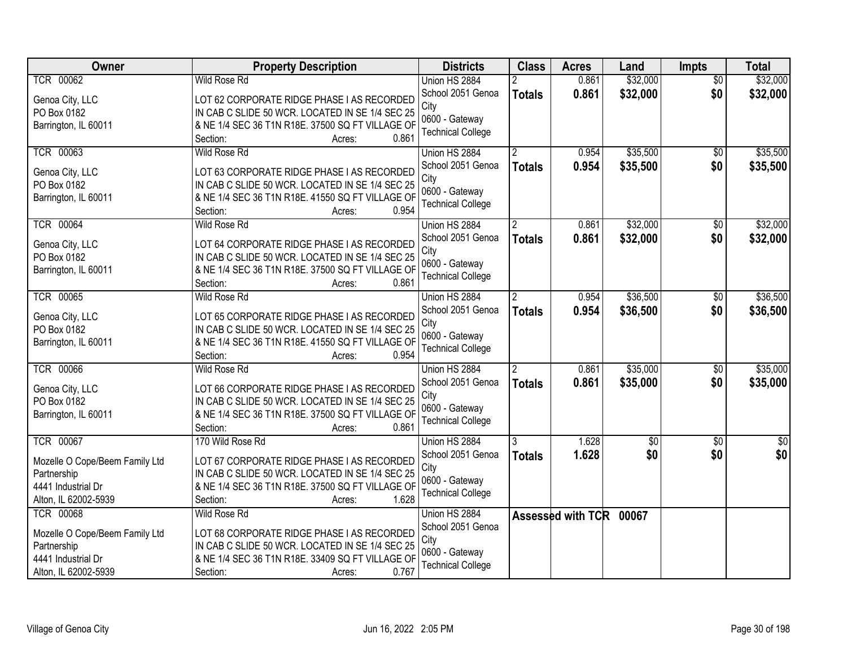| \$32,000<br><b>TCR 00062</b><br><b>Wild Rose Rd</b><br>0.861<br>\$32,000<br>Union HS 2884<br>$\overline{50}$<br>\$32,000<br>\$0<br>\$32,000<br>School 2051 Genoa<br>0.861<br><b>Totals</b><br>Genoa City, LLC<br>LOT 62 CORPORATE RIDGE PHASE I AS RECORDED<br>City<br>IN CAB C SLIDE 50 WCR. LOCATED IN SE 1/4 SEC 25<br>PO Box 0182<br>0600 - Gateway<br>& NE 1/4 SEC 36 T1N R18E. 37500 SQ FT VILLAGE OF<br>Barrington, IL 60011<br><b>Technical College</b><br>0.861<br>Section:<br>Acres:<br><b>TCR 00063</b><br>\$35,500<br>Wild Rose Rd<br>0.954<br>$\overline{30}$<br>Union HS 2884<br>0.954<br>\$0<br>School 2051 Genoa<br>\$35,500<br><b>Totals</b><br>Genoa City, LLC<br>LOT 63 CORPORATE RIDGE PHASE I AS RECORDED<br>City<br>PO Box 0182<br>IN CAB C SLIDE 50 WCR. LOCATED IN SE 1/4 SEC 25<br>0600 - Gateway<br>Barrington, IL 60011<br>& NE 1/4 SEC 36 T1N R18E. 41550 SQ FT VILLAGE OF<br><b>Technical College</b><br>0.954<br>Section:<br>Acres:<br><b>TCR 00064</b><br>\$32,000<br>Wild Rose Rd<br>Union HS 2884<br>0.861<br>\$0<br>School 2051 Genoa<br>\$32,000<br>\$0<br>0.861<br><b>Totals</b><br>Genoa City, LLC<br>LOT 64 CORPORATE RIDGE PHASE I AS RECORDED<br>City<br>IN CAB C SLIDE 50 WCR. LOCATED IN SE 1/4 SEC 25<br>PO Box 0182<br>0600 - Gateway<br>& NE 1/4 SEC 36 T1N R18E. 37500 SQ FT VILLAGE OF<br>Barrington, IL 60011<br><b>Technical College</b><br>0.861<br>Section:<br>Acres:<br>\$36,500<br><b>TCR 00065</b><br><b>Wild Rose Rd</b><br>Union HS 2884<br>0.954<br>\$0<br>$\mathbf{2}^{\circ}$<br>School 2051 Genoa<br>0.954<br>\$0<br>\$36,500<br><b>Totals</b><br>Genoa City, LLC<br>LOT 65 CORPORATE RIDGE PHASE I AS RECORDED<br>City<br>PO Box 0182<br>IN CAB C SLIDE 50 WCR. LOCATED IN SE 1/4 SEC 25<br>0600 - Gateway<br>& NE 1/4 SEC 36 T1N R18E. 41550 SQ FT VILLAGE OF<br>Barrington, IL 60011<br><b>Technical College</b><br>0.954<br>Section:<br>Acres:<br><b>TCR 00066</b><br>\$35,000<br>0.861<br>$\overline{50}$<br>Wild Rose Rd<br>Union HS 2884<br>2<br>\$35,000<br>School 2051 Genoa<br>0.861<br>\$0<br><b>Totals</b><br>Genoa City, LLC<br>LOT 66 CORPORATE RIDGE PHASE I AS RECORDED<br>City<br>PO Box 0182<br>IN CAB C SLIDE 50 WCR. LOCATED IN SE 1/4 SEC 25<br>0600 - Gateway<br>Barrington, IL 60011<br>& NE 1/4 SEC 36 T1N R18E. 37500 SQ FT VILLAGE OF<br><b>Technical College</b><br>Section:<br>0.861<br>Acres:<br><b>TCR 00067</b><br>1.628<br>170 Wild Rose Rd<br>\$0<br>$\overline{50}$<br>Union HS 2884<br>3<br>\$0<br>1.628<br>\$0<br>School 2051 Genoa<br><b>Totals</b><br>LOT 67 CORPORATE RIDGE PHASE I AS RECORDED<br>Mozelle O Cope/Beem Family Ltd<br>City<br>IN CAB C SLIDE 50 WCR. LOCATED IN SE 1/4 SEC 25<br>Partnership<br>0600 - Gateway<br>& NE 1/4 SEC 36 T1N R18E. 37500 SQ FT VILLAGE OF<br>4441 Industrial Dr<br><b>Technical College</b><br>Alton, IL 62002-5939<br>1.628<br>Section:<br>Acres:<br><b>TCR 00068</b><br><b>Wild Rose Rd</b><br>Union HS 2884<br>Assessed with TCR 00067<br>School 2051 Genoa<br>LOT 68 CORPORATE RIDGE PHASE I AS RECORDED<br>Mozelle O Cope/Beem Family Ltd<br>City<br>IN CAB C SLIDE 50 WCR. LOCATED IN SE 1/4 SEC 25<br>Partnership<br>0600 - Gateway<br>& NE 1/4 SEC 36 T1N R18E. 33409 SQ FT VILLAGE OF<br>4441 Industrial Dr | Owner | <b>Property Description</b> | <b>Districts</b>         | <b>Class</b> | <b>Acres</b> | Land | Impts | <b>Total</b> |
|-----------------------------------------------------------------------------------------------------------------------------------------------------------------------------------------------------------------------------------------------------------------------------------------------------------------------------------------------------------------------------------------------------------------------------------------------------------------------------------------------------------------------------------------------------------------------------------------------------------------------------------------------------------------------------------------------------------------------------------------------------------------------------------------------------------------------------------------------------------------------------------------------------------------------------------------------------------------------------------------------------------------------------------------------------------------------------------------------------------------------------------------------------------------------------------------------------------------------------------------------------------------------------------------------------------------------------------------------------------------------------------------------------------------------------------------------------------------------------------------------------------------------------------------------------------------------------------------------------------------------------------------------------------------------------------------------------------------------------------------------------------------------------------------------------------------------------------------------------------------------------------------------------------------------------------------------------------------------------------------------------------------------------------------------------------------------------------------------------------------------------------------------------------------------------------------------------------------------------------------------------------------------------------------------------------------------------------------------------------------------------------------------------------------------------------------------------------------------------------------------------------------------------------------------------------------------------------------------------------------------------------------------------------------------------------------------------------------------------------------------------------------------------------------------------------------------------------------------------------------------------------------------------------------------------------------------------------------------------------------------------------------------------------------------------------------------------------------------------------------------------------------------------------------------------------------------------------------------------------------------------------------|-------|-----------------------------|--------------------------|--------------|--------------|------|-------|--------------|
|                                                                                                                                                                                                                                                                                                                                                                                                                                                                                                                                                                                                                                                                                                                                                                                                                                                                                                                                                                                                                                                                                                                                                                                                                                                                                                                                                                                                                                                                                                                                                                                                                                                                                                                                                                                                                                                                                                                                                                                                                                                                                                                                                                                                                                                                                                                                                                                                                                                                                                                                                                                                                                                                                                                                                                                                                                                                                                                                                                                                                                                                                                                                                                                                                                                                 |       |                             |                          |              |              |      |       |              |
| \$35,500<br>\$35,500<br>\$32,000<br>\$32,000                                                                                                                                                                                                                                                                                                                                                                                                                                                                                                                                                                                                                                                                                                                                                                                                                                                                                                                                                                                                                                                                                                                                                                                                                                                                                                                                                                                                                                                                                                                                                                                                                                                                                                                                                                                                                                                                                                                                                                                                                                                                                                                                                                                                                                                                                                                                                                                                                                                                                                                                                                                                                                                                                                                                                                                                                                                                                                                                                                                                                                                                                                                                                                                                                    |       |                             |                          |              |              |      |       |              |
|                                                                                                                                                                                                                                                                                                                                                                                                                                                                                                                                                                                                                                                                                                                                                                                                                                                                                                                                                                                                                                                                                                                                                                                                                                                                                                                                                                                                                                                                                                                                                                                                                                                                                                                                                                                                                                                                                                                                                                                                                                                                                                                                                                                                                                                                                                                                                                                                                                                                                                                                                                                                                                                                                                                                                                                                                                                                                                                                                                                                                                                                                                                                                                                                                                                                 |       |                             |                          |              |              |      |       |              |
|                                                                                                                                                                                                                                                                                                                                                                                                                                                                                                                                                                                                                                                                                                                                                                                                                                                                                                                                                                                                                                                                                                                                                                                                                                                                                                                                                                                                                                                                                                                                                                                                                                                                                                                                                                                                                                                                                                                                                                                                                                                                                                                                                                                                                                                                                                                                                                                                                                                                                                                                                                                                                                                                                                                                                                                                                                                                                                                                                                                                                                                                                                                                                                                                                                                                 |       |                             |                          |              |              |      |       |              |
|                                                                                                                                                                                                                                                                                                                                                                                                                                                                                                                                                                                                                                                                                                                                                                                                                                                                                                                                                                                                                                                                                                                                                                                                                                                                                                                                                                                                                                                                                                                                                                                                                                                                                                                                                                                                                                                                                                                                                                                                                                                                                                                                                                                                                                                                                                                                                                                                                                                                                                                                                                                                                                                                                                                                                                                                                                                                                                                                                                                                                                                                                                                                                                                                                                                                 |       |                             |                          |              |              |      |       |              |
|                                                                                                                                                                                                                                                                                                                                                                                                                                                                                                                                                                                                                                                                                                                                                                                                                                                                                                                                                                                                                                                                                                                                                                                                                                                                                                                                                                                                                                                                                                                                                                                                                                                                                                                                                                                                                                                                                                                                                                                                                                                                                                                                                                                                                                                                                                                                                                                                                                                                                                                                                                                                                                                                                                                                                                                                                                                                                                                                                                                                                                                                                                                                                                                                                                                                 |       |                             |                          |              |              |      |       |              |
|                                                                                                                                                                                                                                                                                                                                                                                                                                                                                                                                                                                                                                                                                                                                                                                                                                                                                                                                                                                                                                                                                                                                                                                                                                                                                                                                                                                                                                                                                                                                                                                                                                                                                                                                                                                                                                                                                                                                                                                                                                                                                                                                                                                                                                                                                                                                                                                                                                                                                                                                                                                                                                                                                                                                                                                                                                                                                                                                                                                                                                                                                                                                                                                                                                                                 |       |                             |                          |              |              |      |       |              |
|                                                                                                                                                                                                                                                                                                                                                                                                                                                                                                                                                                                                                                                                                                                                                                                                                                                                                                                                                                                                                                                                                                                                                                                                                                                                                                                                                                                                                                                                                                                                                                                                                                                                                                                                                                                                                                                                                                                                                                                                                                                                                                                                                                                                                                                                                                                                                                                                                                                                                                                                                                                                                                                                                                                                                                                                                                                                                                                                                                                                                                                                                                                                                                                                                                                                 |       |                             |                          |              |              |      |       |              |
|                                                                                                                                                                                                                                                                                                                                                                                                                                                                                                                                                                                                                                                                                                                                                                                                                                                                                                                                                                                                                                                                                                                                                                                                                                                                                                                                                                                                                                                                                                                                                                                                                                                                                                                                                                                                                                                                                                                                                                                                                                                                                                                                                                                                                                                                                                                                                                                                                                                                                                                                                                                                                                                                                                                                                                                                                                                                                                                                                                                                                                                                                                                                                                                                                                                                 |       |                             |                          |              |              |      |       |              |
|                                                                                                                                                                                                                                                                                                                                                                                                                                                                                                                                                                                                                                                                                                                                                                                                                                                                                                                                                                                                                                                                                                                                                                                                                                                                                                                                                                                                                                                                                                                                                                                                                                                                                                                                                                                                                                                                                                                                                                                                                                                                                                                                                                                                                                                                                                                                                                                                                                                                                                                                                                                                                                                                                                                                                                                                                                                                                                                                                                                                                                                                                                                                                                                                                                                                 |       |                             |                          |              |              |      |       |              |
|                                                                                                                                                                                                                                                                                                                                                                                                                                                                                                                                                                                                                                                                                                                                                                                                                                                                                                                                                                                                                                                                                                                                                                                                                                                                                                                                                                                                                                                                                                                                                                                                                                                                                                                                                                                                                                                                                                                                                                                                                                                                                                                                                                                                                                                                                                                                                                                                                                                                                                                                                                                                                                                                                                                                                                                                                                                                                                                                                                                                                                                                                                                                                                                                                                                                 |       |                             |                          |              |              |      |       |              |
|                                                                                                                                                                                                                                                                                                                                                                                                                                                                                                                                                                                                                                                                                                                                                                                                                                                                                                                                                                                                                                                                                                                                                                                                                                                                                                                                                                                                                                                                                                                                                                                                                                                                                                                                                                                                                                                                                                                                                                                                                                                                                                                                                                                                                                                                                                                                                                                                                                                                                                                                                                                                                                                                                                                                                                                                                                                                                                                                                                                                                                                                                                                                                                                                                                                                 |       |                             |                          |              |              |      |       |              |
|                                                                                                                                                                                                                                                                                                                                                                                                                                                                                                                                                                                                                                                                                                                                                                                                                                                                                                                                                                                                                                                                                                                                                                                                                                                                                                                                                                                                                                                                                                                                                                                                                                                                                                                                                                                                                                                                                                                                                                                                                                                                                                                                                                                                                                                                                                                                                                                                                                                                                                                                                                                                                                                                                                                                                                                                                                                                                                                                                                                                                                                                                                                                                                                                                                                                 |       |                             |                          |              |              |      |       |              |
|                                                                                                                                                                                                                                                                                                                                                                                                                                                                                                                                                                                                                                                                                                                                                                                                                                                                                                                                                                                                                                                                                                                                                                                                                                                                                                                                                                                                                                                                                                                                                                                                                                                                                                                                                                                                                                                                                                                                                                                                                                                                                                                                                                                                                                                                                                                                                                                                                                                                                                                                                                                                                                                                                                                                                                                                                                                                                                                                                                                                                                                                                                                                                                                                                                                                 |       |                             |                          |              |              |      |       |              |
| \$36,500<br>\$36,500<br>\$35,000<br>\$35,000<br>$\overline{50}$<br>\$0                                                                                                                                                                                                                                                                                                                                                                                                                                                                                                                                                                                                                                                                                                                                                                                                                                                                                                                                                                                                                                                                                                                                                                                                                                                                                                                                                                                                                                                                                                                                                                                                                                                                                                                                                                                                                                                                                                                                                                                                                                                                                                                                                                                                                                                                                                                                                                                                                                                                                                                                                                                                                                                                                                                                                                                                                                                                                                                                                                                                                                                                                                                                                                                          |       |                             |                          |              |              |      |       |              |
|                                                                                                                                                                                                                                                                                                                                                                                                                                                                                                                                                                                                                                                                                                                                                                                                                                                                                                                                                                                                                                                                                                                                                                                                                                                                                                                                                                                                                                                                                                                                                                                                                                                                                                                                                                                                                                                                                                                                                                                                                                                                                                                                                                                                                                                                                                                                                                                                                                                                                                                                                                                                                                                                                                                                                                                                                                                                                                                                                                                                                                                                                                                                                                                                                                                                 |       |                             |                          |              |              |      |       |              |
|                                                                                                                                                                                                                                                                                                                                                                                                                                                                                                                                                                                                                                                                                                                                                                                                                                                                                                                                                                                                                                                                                                                                                                                                                                                                                                                                                                                                                                                                                                                                                                                                                                                                                                                                                                                                                                                                                                                                                                                                                                                                                                                                                                                                                                                                                                                                                                                                                                                                                                                                                                                                                                                                                                                                                                                                                                                                                                                                                                                                                                                                                                                                                                                                                                                                 |       |                             |                          |              |              |      |       |              |
|                                                                                                                                                                                                                                                                                                                                                                                                                                                                                                                                                                                                                                                                                                                                                                                                                                                                                                                                                                                                                                                                                                                                                                                                                                                                                                                                                                                                                                                                                                                                                                                                                                                                                                                                                                                                                                                                                                                                                                                                                                                                                                                                                                                                                                                                                                                                                                                                                                                                                                                                                                                                                                                                                                                                                                                                                                                                                                                                                                                                                                                                                                                                                                                                                                                                 |       |                             |                          |              |              |      |       |              |
|                                                                                                                                                                                                                                                                                                                                                                                                                                                                                                                                                                                                                                                                                                                                                                                                                                                                                                                                                                                                                                                                                                                                                                                                                                                                                                                                                                                                                                                                                                                                                                                                                                                                                                                                                                                                                                                                                                                                                                                                                                                                                                                                                                                                                                                                                                                                                                                                                                                                                                                                                                                                                                                                                                                                                                                                                                                                                                                                                                                                                                                                                                                                                                                                                                                                 |       |                             |                          |              |              |      |       |              |
|                                                                                                                                                                                                                                                                                                                                                                                                                                                                                                                                                                                                                                                                                                                                                                                                                                                                                                                                                                                                                                                                                                                                                                                                                                                                                                                                                                                                                                                                                                                                                                                                                                                                                                                                                                                                                                                                                                                                                                                                                                                                                                                                                                                                                                                                                                                                                                                                                                                                                                                                                                                                                                                                                                                                                                                                                                                                                                                                                                                                                                                                                                                                                                                                                                                                 |       |                             |                          |              |              |      |       |              |
|                                                                                                                                                                                                                                                                                                                                                                                                                                                                                                                                                                                                                                                                                                                                                                                                                                                                                                                                                                                                                                                                                                                                                                                                                                                                                                                                                                                                                                                                                                                                                                                                                                                                                                                                                                                                                                                                                                                                                                                                                                                                                                                                                                                                                                                                                                                                                                                                                                                                                                                                                                                                                                                                                                                                                                                                                                                                                                                                                                                                                                                                                                                                                                                                                                                                 |       |                             |                          |              |              |      |       |              |
|                                                                                                                                                                                                                                                                                                                                                                                                                                                                                                                                                                                                                                                                                                                                                                                                                                                                                                                                                                                                                                                                                                                                                                                                                                                                                                                                                                                                                                                                                                                                                                                                                                                                                                                                                                                                                                                                                                                                                                                                                                                                                                                                                                                                                                                                                                                                                                                                                                                                                                                                                                                                                                                                                                                                                                                                                                                                                                                                                                                                                                                                                                                                                                                                                                                                 |       |                             |                          |              |              |      |       |              |
|                                                                                                                                                                                                                                                                                                                                                                                                                                                                                                                                                                                                                                                                                                                                                                                                                                                                                                                                                                                                                                                                                                                                                                                                                                                                                                                                                                                                                                                                                                                                                                                                                                                                                                                                                                                                                                                                                                                                                                                                                                                                                                                                                                                                                                                                                                                                                                                                                                                                                                                                                                                                                                                                                                                                                                                                                                                                                                                                                                                                                                                                                                                                                                                                                                                                 |       |                             |                          |              |              |      |       |              |
|                                                                                                                                                                                                                                                                                                                                                                                                                                                                                                                                                                                                                                                                                                                                                                                                                                                                                                                                                                                                                                                                                                                                                                                                                                                                                                                                                                                                                                                                                                                                                                                                                                                                                                                                                                                                                                                                                                                                                                                                                                                                                                                                                                                                                                                                                                                                                                                                                                                                                                                                                                                                                                                                                                                                                                                                                                                                                                                                                                                                                                                                                                                                                                                                                                                                 |       |                             |                          |              |              |      |       |              |
|                                                                                                                                                                                                                                                                                                                                                                                                                                                                                                                                                                                                                                                                                                                                                                                                                                                                                                                                                                                                                                                                                                                                                                                                                                                                                                                                                                                                                                                                                                                                                                                                                                                                                                                                                                                                                                                                                                                                                                                                                                                                                                                                                                                                                                                                                                                                                                                                                                                                                                                                                                                                                                                                                                                                                                                                                                                                                                                                                                                                                                                                                                                                                                                                                                                                 |       |                             |                          |              |              |      |       |              |
|                                                                                                                                                                                                                                                                                                                                                                                                                                                                                                                                                                                                                                                                                                                                                                                                                                                                                                                                                                                                                                                                                                                                                                                                                                                                                                                                                                                                                                                                                                                                                                                                                                                                                                                                                                                                                                                                                                                                                                                                                                                                                                                                                                                                                                                                                                                                                                                                                                                                                                                                                                                                                                                                                                                                                                                                                                                                                                                                                                                                                                                                                                                                                                                                                                                                 |       |                             |                          |              |              |      |       |              |
|                                                                                                                                                                                                                                                                                                                                                                                                                                                                                                                                                                                                                                                                                                                                                                                                                                                                                                                                                                                                                                                                                                                                                                                                                                                                                                                                                                                                                                                                                                                                                                                                                                                                                                                                                                                                                                                                                                                                                                                                                                                                                                                                                                                                                                                                                                                                                                                                                                                                                                                                                                                                                                                                                                                                                                                                                                                                                                                                                                                                                                                                                                                                                                                                                                                                 |       |                             |                          |              |              |      |       |              |
|                                                                                                                                                                                                                                                                                                                                                                                                                                                                                                                                                                                                                                                                                                                                                                                                                                                                                                                                                                                                                                                                                                                                                                                                                                                                                                                                                                                                                                                                                                                                                                                                                                                                                                                                                                                                                                                                                                                                                                                                                                                                                                                                                                                                                                                                                                                                                                                                                                                                                                                                                                                                                                                                                                                                                                                                                                                                                                                                                                                                                                                                                                                                                                                                                                                                 |       |                             |                          |              |              |      |       |              |
|                                                                                                                                                                                                                                                                                                                                                                                                                                                                                                                                                                                                                                                                                                                                                                                                                                                                                                                                                                                                                                                                                                                                                                                                                                                                                                                                                                                                                                                                                                                                                                                                                                                                                                                                                                                                                                                                                                                                                                                                                                                                                                                                                                                                                                                                                                                                                                                                                                                                                                                                                                                                                                                                                                                                                                                                                                                                                                                                                                                                                                                                                                                                                                                                                                                                 |       |                             |                          |              |              |      |       |              |
|                                                                                                                                                                                                                                                                                                                                                                                                                                                                                                                                                                                                                                                                                                                                                                                                                                                                                                                                                                                                                                                                                                                                                                                                                                                                                                                                                                                                                                                                                                                                                                                                                                                                                                                                                                                                                                                                                                                                                                                                                                                                                                                                                                                                                                                                                                                                                                                                                                                                                                                                                                                                                                                                                                                                                                                                                                                                                                                                                                                                                                                                                                                                                                                                                                                                 |       |                             |                          |              |              |      |       |              |
|                                                                                                                                                                                                                                                                                                                                                                                                                                                                                                                                                                                                                                                                                                                                                                                                                                                                                                                                                                                                                                                                                                                                                                                                                                                                                                                                                                                                                                                                                                                                                                                                                                                                                                                                                                                                                                                                                                                                                                                                                                                                                                                                                                                                                                                                                                                                                                                                                                                                                                                                                                                                                                                                                                                                                                                                                                                                                                                                                                                                                                                                                                                                                                                                                                                                 |       |                             |                          |              |              |      |       |              |
|                                                                                                                                                                                                                                                                                                                                                                                                                                                                                                                                                                                                                                                                                                                                                                                                                                                                                                                                                                                                                                                                                                                                                                                                                                                                                                                                                                                                                                                                                                                                                                                                                                                                                                                                                                                                                                                                                                                                                                                                                                                                                                                                                                                                                                                                                                                                                                                                                                                                                                                                                                                                                                                                                                                                                                                                                                                                                                                                                                                                                                                                                                                                                                                                                                                                 |       |                             |                          |              |              |      |       |              |
|                                                                                                                                                                                                                                                                                                                                                                                                                                                                                                                                                                                                                                                                                                                                                                                                                                                                                                                                                                                                                                                                                                                                                                                                                                                                                                                                                                                                                                                                                                                                                                                                                                                                                                                                                                                                                                                                                                                                                                                                                                                                                                                                                                                                                                                                                                                                                                                                                                                                                                                                                                                                                                                                                                                                                                                                                                                                                                                                                                                                                                                                                                                                                                                                                                                                 |       |                             |                          |              |              |      |       |              |
|                                                                                                                                                                                                                                                                                                                                                                                                                                                                                                                                                                                                                                                                                                                                                                                                                                                                                                                                                                                                                                                                                                                                                                                                                                                                                                                                                                                                                                                                                                                                                                                                                                                                                                                                                                                                                                                                                                                                                                                                                                                                                                                                                                                                                                                                                                                                                                                                                                                                                                                                                                                                                                                                                                                                                                                                                                                                                                                                                                                                                                                                                                                                                                                                                                                                 |       |                             |                          |              |              |      |       |              |
|                                                                                                                                                                                                                                                                                                                                                                                                                                                                                                                                                                                                                                                                                                                                                                                                                                                                                                                                                                                                                                                                                                                                                                                                                                                                                                                                                                                                                                                                                                                                                                                                                                                                                                                                                                                                                                                                                                                                                                                                                                                                                                                                                                                                                                                                                                                                                                                                                                                                                                                                                                                                                                                                                                                                                                                                                                                                                                                                                                                                                                                                                                                                                                                                                                                                 |       |                             |                          |              |              |      |       |              |
| 0.767<br>Alton, IL 62002-5939<br>Section:<br>Acres:                                                                                                                                                                                                                                                                                                                                                                                                                                                                                                                                                                                                                                                                                                                                                                                                                                                                                                                                                                                                                                                                                                                                                                                                                                                                                                                                                                                                                                                                                                                                                                                                                                                                                                                                                                                                                                                                                                                                                                                                                                                                                                                                                                                                                                                                                                                                                                                                                                                                                                                                                                                                                                                                                                                                                                                                                                                                                                                                                                                                                                                                                                                                                                                                             |       |                             | <b>Technical College</b> |              |              |      |       |              |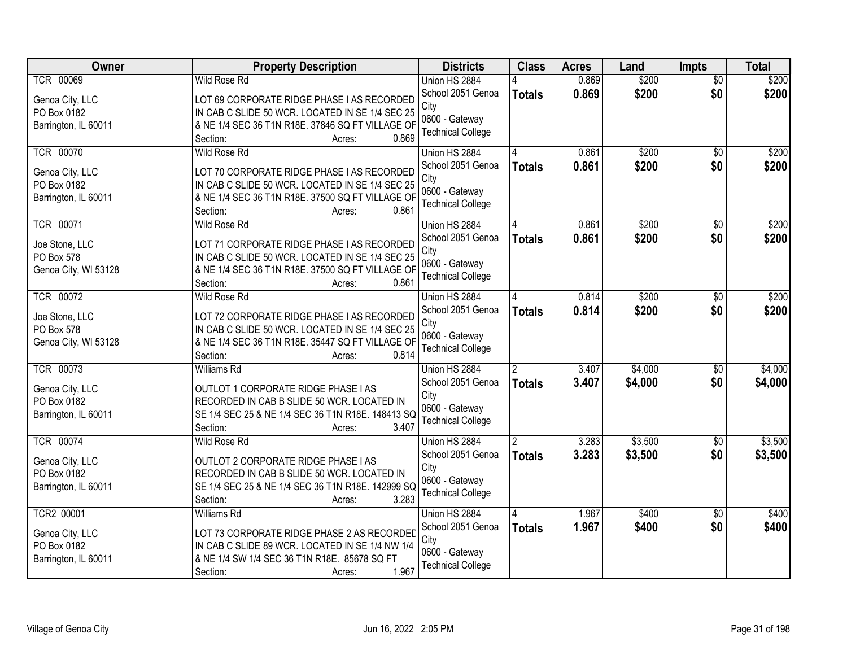| <b>Owner</b>                 | <b>Property Description</b>                                                                     | <b>Districts</b>                   | <b>Class</b>  | <b>Acres</b> | Land    | <b>Impts</b>    | <b>Total</b> |
|------------------------------|-------------------------------------------------------------------------------------------------|------------------------------------|---------------|--------------|---------|-----------------|--------------|
| <b>TCR 00069</b>             | <b>Wild Rose Rd</b>                                                                             | Union HS 2884                      |               | 0.869        | \$200   | $\overline{30}$ | \$200        |
| Genoa City, LLC              | LOT 69 CORPORATE RIDGE PHASE I AS RECORDED                                                      | School 2051 Genoa                  | <b>Totals</b> | 0.869        | \$200   | \$0             | \$200        |
| PO Box 0182                  | IN CAB C SLIDE 50 WCR. LOCATED IN SE 1/4 SEC 25                                                 | City                               |               |              |         |                 |              |
| Barrington, IL 60011         | & NE 1/4 SEC 36 T1N R18E. 37846 SQ FT VILLAGE OF                                                | 0600 - Gateway                     |               |              |         |                 |              |
|                              | 0.869<br>Section:<br>Acres:                                                                     | <b>Technical College</b>           |               |              |         |                 |              |
| <b>TCR 00070</b>             | <b>Wild Rose Rd</b>                                                                             | Union HS 2884                      |               | 0.861        | \$200   | $\overline{30}$ | \$200        |
| Genoa City, LLC              | LOT 70 CORPORATE RIDGE PHASE I AS RECORDED                                                      | School 2051 Genoa                  | <b>Totals</b> | 0.861        | \$200   | \$0             | \$200        |
| PO Box 0182                  | IN CAB C SLIDE 50 WCR. LOCATED IN SE 1/4 SEC 25                                                 | City                               |               |              |         |                 |              |
| Barrington, IL 60011         | & NE 1/4 SEC 36 T1N R18E. 37500 SQ FT VILLAGE OF                                                | 0600 - Gateway                     |               |              |         |                 |              |
|                              | 0.861<br>Section:<br>Acres:                                                                     | <b>Technical College</b>           |               |              |         |                 |              |
| <b>TCR 00071</b>             | Wild Rose Rd                                                                                    | Union HS 2884                      |               | 0.861        | \$200   | \$0             | \$200        |
| Joe Stone, LLC               | LOT 71 CORPORATE RIDGE PHASE I AS RECORDED                                                      | School 2051 Genoa                  | <b>Totals</b> | 0.861        | \$200   | \$0             | \$200        |
| PO Box 578                   | IN CAB C SLIDE 50 WCR. LOCATED IN SE 1/4 SEC 25                                                 | City                               |               |              |         |                 |              |
| Genoa City, WI 53128         | & NE 1/4 SEC 36 T1N R18E. 37500 SQ FT VILLAGE OF                                                | 0600 - Gateway                     |               |              |         |                 |              |
|                              | 0.861<br>Section:<br>Acres:                                                                     | <b>Technical College</b>           |               |              |         |                 |              |
| <b>TCR 00072</b>             | <b>Wild Rose Rd</b>                                                                             | Union HS 2884                      |               | 0.814        | \$200   | $\sqrt{6}$      | \$200        |
|                              |                                                                                                 | School 2051 Genoa                  | <b>Totals</b> | 0.814        | \$200   | \$0             | \$200        |
| Joe Stone, LLC<br>PO Box 578 | LOT 72 CORPORATE RIDGE PHASE I AS RECORDED<br>IN CAB C SLIDE 50 WCR. LOCATED IN SE 1/4 SEC 25   | City                               |               |              |         |                 |              |
| Genoa City, WI 53128         | & NE 1/4 SEC 36 T1N R18E. 35447 SQ FT VILLAGE OF                                                | 0600 - Gateway                     |               |              |         |                 |              |
|                              | 0.814<br>Section:<br>Acres:                                                                     | <b>Technical College</b>           |               |              |         |                 |              |
| <b>TCR 00073</b>             | <b>Williams Rd</b>                                                                              | Union HS 2884                      | $\mathcal{P}$ | 3.407        | \$4,000 | $\overline{50}$ | \$4,000      |
|                              |                                                                                                 | School 2051 Genoa                  | <b>Totals</b> | 3.407        | \$4,000 | \$0             | \$4,000      |
| Genoa City, LLC              | OUTLOT 1 CORPORATE RIDGE PHASE I AS                                                             | City                               |               |              |         |                 |              |
| PO Box 0182                  | RECORDED IN CAB B SLIDE 50 WCR. LOCATED IN<br>SE 1/4 SEC 25 & NE 1/4 SEC 36 T1N R18E. 148413 SQ | 0600 - Gateway                     |               |              |         |                 |              |
| Barrington, IL 60011         | Section:<br>3.407<br>Acres:                                                                     | <b>Technical College</b>           |               |              |         |                 |              |
| <b>TCR 00074</b>             | Wild Rose Rd                                                                                    | Union HS 2884                      |               | 3.283        | \$3,500 | $\sqrt{6}$      | \$3,500      |
|                              |                                                                                                 | School 2051 Genoa                  | <b>Totals</b> | 3.283        | \$3,500 | \$0             | \$3,500      |
| Genoa City, LLC              | OUTLOT 2 CORPORATE RIDGE PHASE I AS                                                             | City                               |               |              |         |                 |              |
| PO Box 0182                  | RECORDED IN CAB B SLIDE 50 WCR. LOCATED IN                                                      | 0600 - Gateway                     |               |              |         |                 |              |
| Barrington, IL 60011         | SE 1/4 SEC 25 & NE 1/4 SEC 36 T1N R18E. 142999 SQ                                               | <b>Technical College</b>           |               |              |         |                 |              |
| <b>TCR2 00001</b>            | 3.283<br>Section:<br>Acres:                                                                     |                                    |               |              |         |                 |              |
|                              | <b>Williams Rd</b>                                                                              | Union HS 2884<br>School 2051 Genoa |               | 1.967        | \$400   | $\overline{50}$ | \$400        |
| Genoa City, LLC              | LOT 73 CORPORATE RIDGE PHASE 2 AS RECORDED                                                      | City                               | <b>Totals</b> | 1.967        | \$400   | \$0             | \$400        |
| PO Box 0182                  | IN CAB C SLIDE 89 WCR. LOCATED IN SE 1/4 NW 1/4                                                 | 0600 - Gateway                     |               |              |         |                 |              |
| Barrington, IL 60011         | & NE 1/4 SW 1/4 SEC 36 T1N R18E. 85678 SQ FT                                                    | <b>Technical College</b>           |               |              |         |                 |              |
|                              | 1.967<br>Section:<br>Acres:                                                                     |                                    |               |              |         |                 |              |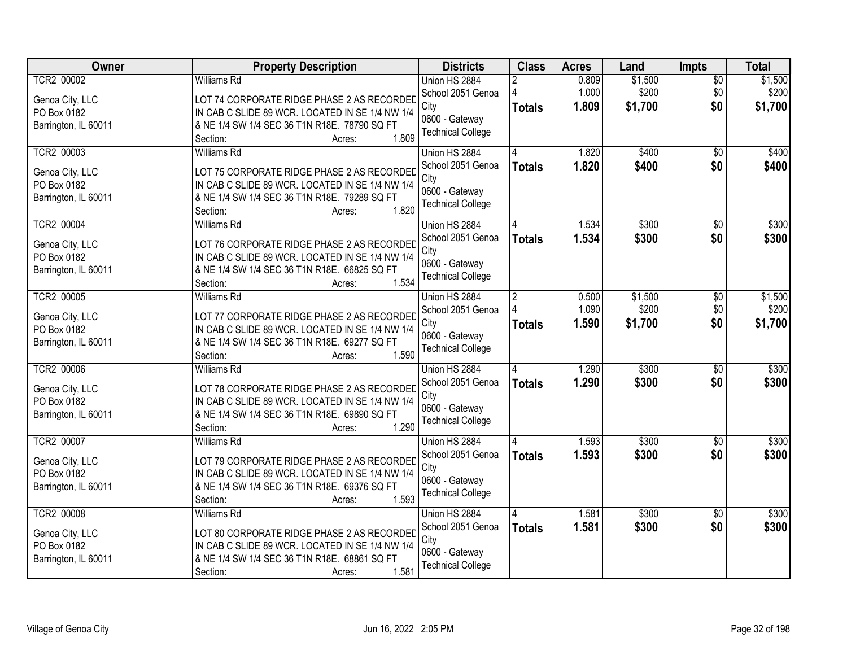| Owner                                                                       | <b>Property Description</b>                                                                                                                                                                        | <b>Districts</b>                                                                         | <b>Class</b>                    | <b>Acres</b>            | Land                        | <b>Impts</b>                  | <b>Total</b>                |
|-----------------------------------------------------------------------------|----------------------------------------------------------------------------------------------------------------------------------------------------------------------------------------------------|------------------------------------------------------------------------------------------|---------------------------------|-------------------------|-----------------------------|-------------------------------|-----------------------------|
| <b>TCR2 00002</b><br>Genoa City, LLC<br>PO Box 0182<br>Barrington, IL 60011 | <b>Williams Rd</b><br>LOT 74 CORPORATE RIDGE PHASE 2 AS RECORDED<br>IN CAB C SLIDE 89 WCR. LOCATED IN SE 1/4 NW 1/4<br>& NE 1/4 SW 1/4 SEC 36 T1N R18E. 78790 SQ FT<br>1.809<br>Section:<br>Acres: | Union HS 2884<br>School 2051 Genoa<br>City<br>0600 - Gateway<br><b>Technical College</b> | <b>Totals</b>                   | 0.809<br>1.000<br>1.809 | \$1,500<br>\$200<br>\$1,700 | $\overline{30}$<br>\$0<br>\$0 | \$1,500<br>\$200<br>\$1,700 |
| <b>TCR2 00003</b><br>Genoa City, LLC<br>PO Box 0182<br>Barrington, IL 60011 | <b>Williams Rd</b><br>LOT 75 CORPORATE RIDGE PHASE 2 AS RECORDED<br>IN CAB C SLIDE 89 WCR. LOCATED IN SE 1/4 NW 1/4<br>& NE 1/4 SW 1/4 SEC 36 T1N R18E. 79289 SQ FT<br>1.820<br>Section:<br>Acres: | Union HS 2884<br>School 2051 Genoa<br>City<br>0600 - Gateway<br><b>Technical College</b> | <b>Totals</b>                   | 1.820<br>1.820          | \$400<br>\$400              | $\overline{30}$<br>\$0        | \$400<br>\$400              |
| <b>TCR2 00004</b><br>Genoa City, LLC<br>PO Box 0182<br>Barrington, IL 60011 | <b>Williams Rd</b><br>LOT 76 CORPORATE RIDGE PHASE 2 AS RECORDED<br>IN CAB C SLIDE 89 WCR. LOCATED IN SE 1/4 NW 1/4<br>& NE 1/4 SW 1/4 SEC 36 T1N R18E. 66825 SQ FT<br>1.534<br>Section:<br>Acres: | Union HS 2884<br>School 2051 Genoa<br>City<br>0600 - Gateway<br><b>Technical College</b> | <b>Totals</b>                   | 1.534<br>1.534          | \$300<br>\$300              | \$0<br>\$0                    | \$300<br>\$300              |
| <b>TCR2 00005</b><br>Genoa City, LLC<br>PO Box 0182<br>Barrington, IL 60011 | <b>Williams Rd</b><br>LOT 77 CORPORATE RIDGE PHASE 2 AS RECORDED<br>IN CAB C SLIDE 89 WCR. LOCATED IN SE 1/4 NW 1/4<br>& NE 1/4 SW 1/4 SEC 36 T1N R18E. 69277 SQ FT<br>1.590<br>Section:<br>Acres: | Union HS 2884<br>School 2051 Genoa<br>City<br>0600 - Gateway<br><b>Technical College</b> | $\overline{2}$<br><b>Totals</b> | 0.500<br>1.090<br>1.590 | \$1,500<br>\$200<br>\$1,700 | \$0<br>\$0<br>\$0             | \$1,500<br>\$200<br>\$1,700 |
| <b>TCR2 00006</b><br>Genoa City, LLC<br>PO Box 0182<br>Barrington, IL 60011 | <b>Williams Rd</b><br>LOT 78 CORPORATE RIDGE PHASE 2 AS RECORDED<br>IN CAB C SLIDE 89 WCR. LOCATED IN SE 1/4 NW 1/4<br>& NE 1/4 SW 1/4 SEC 36 T1N R18E. 69890 SQ FT<br>1.290<br>Section:<br>Acres: | Union HS 2884<br>School 2051 Genoa<br>City<br>0600 - Gateway<br><b>Technical College</b> | <b>Totals</b>                   | 1.290<br>1.290          | \$300<br>\$300              | $\overline{50}$<br>\$0        | \$300<br>\$300              |
| <b>TCR2 00007</b><br>Genoa City, LLC<br>PO Box 0182<br>Barrington, IL 60011 | <b>Williams Rd</b><br>LOT 79 CORPORATE RIDGE PHASE 2 AS RECORDED<br>IN CAB C SLIDE 89 WCR. LOCATED IN SE 1/4 NW 1/4<br>& NE 1/4 SW 1/4 SEC 36 T1N R18E. 69376 SQ FT<br>1.593<br>Section:<br>Acres: | Union HS 2884<br>School 2051 Genoa<br>City<br>0600 - Gateway<br><b>Technical College</b> | <b>Totals</b>                   | 1.593<br>1.593          | \$300<br>\$300              | $\sqrt{6}$<br>\$0             | \$300<br>\$300              |
| <b>TCR2 00008</b><br>Genoa City, LLC<br>PO Box 0182<br>Barrington, IL 60011 | <b>Williams Rd</b><br>LOT 80 CORPORATE RIDGE PHASE 2 AS RECORDED<br>IN CAB C SLIDE 89 WCR. LOCATED IN SE 1/4 NW 1/4<br>& NE 1/4 SW 1/4 SEC 36 T1N R18E. 68861 SQ FT<br>1.581<br>Section:<br>Acres: | Union HS 2884<br>School 2051 Genoa<br>City<br>0600 - Gateway<br><b>Technical College</b> | <b>Totals</b>                   | 1.581<br>1.581          | \$300<br>\$300              | $\overline{50}$<br>\$0        | \$300<br>\$300              |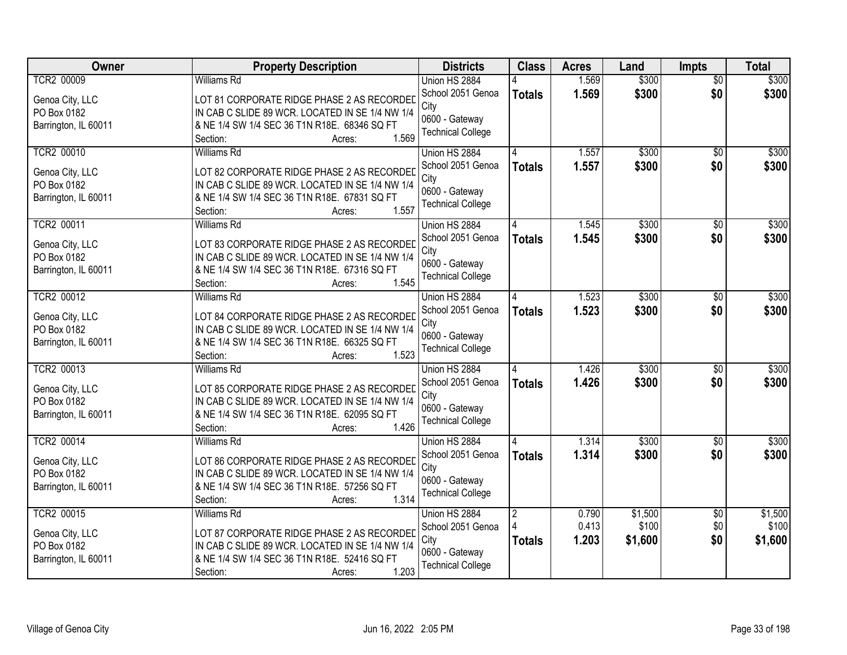| Owner                          | <b>Property Description</b>                                                                   | <b>Districts</b>         | <b>Class</b>   | <b>Acres</b> | Land    | <b>Impts</b>    | <b>Total</b> |
|--------------------------------|-----------------------------------------------------------------------------------------------|--------------------------|----------------|--------------|---------|-----------------|--------------|
| <b>TCR2 00009</b>              | <b>Williams Rd</b>                                                                            | Union HS 2884            |                | 1.569        | \$300   | $\overline{50}$ | \$300        |
| Genoa City, LLC                | LOT 81 CORPORATE RIDGE PHASE 2 AS RECORDED                                                    | School 2051 Genoa        | <b>Totals</b>  | 1.569        | \$300   | \$0             | \$300        |
| PO Box 0182                    | IN CAB C SLIDE 89 WCR. LOCATED IN SE 1/4 NW 1/4                                               | City                     |                |              |         |                 |              |
| Barrington, IL 60011           | & NE 1/4 SW 1/4 SEC 36 T1N R18E. 68346 SQ FT                                                  | 0600 - Gateway           |                |              |         |                 |              |
|                                | 1.569<br>Section:<br>Acres:                                                                   | <b>Technical College</b> |                |              |         |                 |              |
| <b>TCR2 00010</b>              | <b>Williams Rd</b>                                                                            | Union HS 2884            |                | 1.557        | \$300   | $\overline{50}$ | \$300        |
| Genoa City, LLC                | LOT 82 CORPORATE RIDGE PHASE 2 AS RECORDED                                                    | School 2051 Genoa        | <b>Totals</b>  | 1.557        | \$300   | \$0             | \$300        |
| PO Box 0182                    | IN CAB C SLIDE 89 WCR. LOCATED IN SE 1/4 NW 1/4                                               | City                     |                |              |         |                 |              |
| Barrington, IL 60011           | & NE 1/4 SW 1/4 SEC 36 T1N R18E. 67831 SQ FT                                                  | 0600 - Gateway           |                |              |         |                 |              |
|                                | 1.557<br>Section:<br>Acres:                                                                   | <b>Technical College</b> |                |              |         |                 |              |
| TCR2 00011                     | <b>Williams Rd</b>                                                                            | Union HS 2884            |                | 1.545        | \$300   | \$0             | \$300        |
| Genoa City, LLC                | LOT 83 CORPORATE RIDGE PHASE 2 AS RECORDED                                                    | School 2051 Genoa        | <b>Totals</b>  | 1.545        | \$300   | \$0             | \$300        |
| PO Box 0182                    | IN CAB C SLIDE 89 WCR. LOCATED IN SE 1/4 NW 1/4                                               | City                     |                |              |         |                 |              |
| Barrington, IL 60011           | & NE 1/4 SW 1/4 SEC 36 T1N R18E. 67316 SQ FT                                                  | 0600 - Gateway           |                |              |         |                 |              |
|                                | 1.545<br>Section:<br>Acres:                                                                   | <b>Technical College</b> |                |              |         |                 |              |
| TCR2 00012                     | <b>Williams Rd</b>                                                                            | Union HS 2884            |                | 1.523        | \$300   | $\sqrt[6]{3}$   | \$300        |
| Genoa City, LLC                | LOT 84 CORPORATE RIDGE PHASE 2 AS RECORDED                                                    | School 2051 Genoa        | <b>Totals</b>  | 1.523        | \$300   | \$0             | \$300        |
| PO Box 0182                    | IN CAB C SLIDE 89 WCR. LOCATED IN SE 1/4 NW 1/4                                               | City                     |                |              |         |                 |              |
| Barrington, IL 60011           | & NE 1/4 SW 1/4 SEC 36 T1N R18E. 66325 SQ FT                                                  | 0600 - Gateway           |                |              |         |                 |              |
|                                | 1.523<br>Section:<br>Acres:                                                                   | <b>Technical College</b> |                |              |         |                 |              |
| TCR2 00013                     | Williams Rd                                                                                   | Union HS 2884            |                | 1.426        | \$300   | \$0             | \$300        |
|                                |                                                                                               | School 2051 Genoa        | <b>Totals</b>  | 1.426        | \$300   | \$0             | \$300        |
| Genoa City, LLC<br>PO Box 0182 | LOT 85 CORPORATE RIDGE PHASE 2 AS RECORDED<br>IN CAB C SLIDE 89 WCR. LOCATED IN SE 1/4 NW 1/4 | City                     |                |              |         |                 |              |
| Barrington, IL 60011           | & NE 1/4 SW 1/4 SEC 36 T1N R18E. 62095 SQ FT                                                  | 0600 - Gateway           |                |              |         |                 |              |
|                                | 1.426<br>Section:<br>Acres:                                                                   | <b>Technical College</b> |                |              |         |                 |              |
| <b>TCR2 00014</b>              | Williams Rd                                                                                   | Union HS 2884            |                | 1.314        | \$300   | $\sqrt{6}$      | \$300        |
|                                |                                                                                               | School 2051 Genoa        | <b>Totals</b>  | 1.314        | \$300   | \$0             | \$300        |
| Genoa City, LLC<br>PO Box 0182 | LOT 86 CORPORATE RIDGE PHASE 2 AS RECORDED<br>IN CAB C SLIDE 89 WCR. LOCATED IN SE 1/4 NW 1/4 | City                     |                |              |         |                 |              |
| Barrington, IL 60011           | & NE 1/4 SW 1/4 SEC 36 T1N R18E. 57256 SQ FT                                                  | 0600 - Gateway           |                |              |         |                 |              |
|                                | 1.314<br>Section:<br>Acres:                                                                   | <b>Technical College</b> |                |              |         |                 |              |
| <b>TCR2 00015</b>              | <b>Williams Rd</b>                                                                            | Union HS 2884            | $\overline{2}$ | 0.790        | \$1,500 | $\overline{50}$ | \$1,500      |
|                                |                                                                                               | School 2051 Genoa        |                | 0.413        | \$100   | \$0             | \$100        |
| Genoa City, LLC                | LOT 87 CORPORATE RIDGE PHASE 2 AS RECORDED                                                    | City                     | <b>Totals</b>  | 1.203        | \$1,600 | \$0             | \$1,600      |
| PO Box 0182                    | IN CAB C SLIDE 89 WCR. LOCATED IN SE 1/4 NW 1/4                                               | 0600 - Gateway           |                |              |         |                 |              |
| Barrington, IL 60011           | & NE 1/4 SW 1/4 SEC 36 T1N R18E. 52416 SQ FT                                                  | <b>Technical College</b> |                |              |         |                 |              |
|                                | 1.203<br>Section:<br>Acres:                                                                   |                          |                |              |         |                 |              |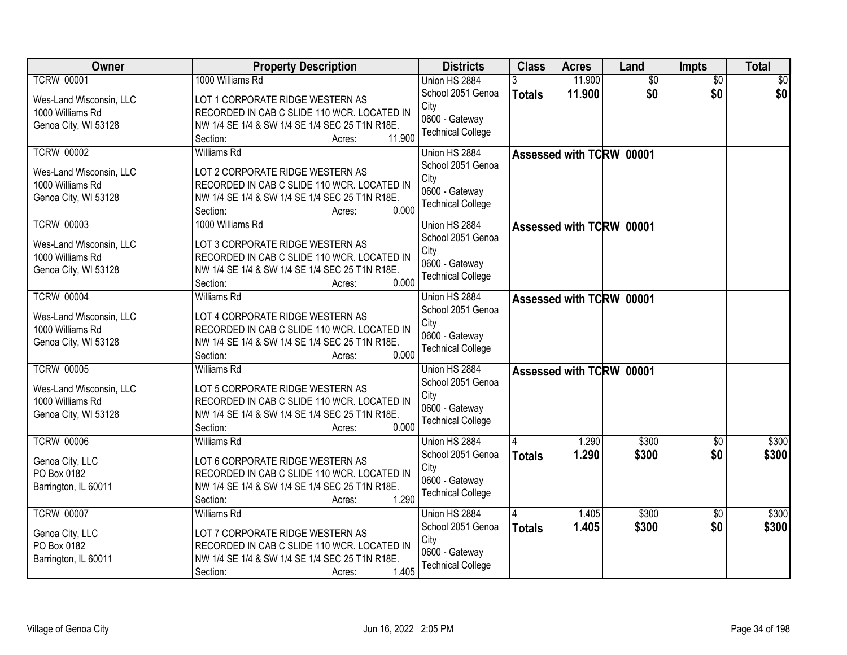| Owner                   | <b>Property Description</b>                    | <b>Districts</b>         | <b>Class</b>  | <b>Acres</b>             | Land            | <b>Impts</b>    | <b>Total</b> |
|-------------------------|------------------------------------------------|--------------------------|---------------|--------------------------|-----------------|-----------------|--------------|
| <b>TCRW 00001</b>       | 1000 Williams Rd                               | Union HS 2884            |               | 11.900                   | $\overline{50}$ | $\overline{50}$ | \$0          |
| Wes-Land Wisconsin, LLC | LOT 1 CORPORATE RIDGE WESTERN AS               | School 2051 Genoa        | <b>Totals</b> | 11.900                   | \$0             | \$0             | \$0          |
| 1000 Williams Rd        | RECORDED IN CAB C SLIDE 110 WCR. LOCATED IN    | City                     |               |                          |                 |                 |              |
| Genoa City, WI 53128    | NW 1/4 SE 1/4 & SW 1/4 SE 1/4 SEC 25 T1N R18E. | 0600 - Gateway           |               |                          |                 |                 |              |
|                         | 11.900<br>Section:<br>Acres:                   | <b>Technical College</b> |               |                          |                 |                 |              |
| <b>TCRW 00002</b>       | <b>Williams Rd</b>                             | Union HS 2884            |               | Assessed with TCRW 00001 |                 |                 |              |
|                         |                                                | School 2051 Genoa        |               |                          |                 |                 |              |
| Wes-Land Wisconsin, LLC | LOT 2 CORPORATE RIDGE WESTERN AS               | City                     |               |                          |                 |                 |              |
| 1000 Williams Rd        | RECORDED IN CAB C SLIDE 110 WCR. LOCATED IN    | 0600 - Gateway           |               |                          |                 |                 |              |
| Genoa City, WI 53128    | NW 1/4 SE 1/4 & SW 1/4 SE 1/4 SEC 25 T1N R18E. | <b>Technical College</b> |               |                          |                 |                 |              |
|                         | 0.000<br>Section:<br>Acres:                    |                          |               |                          |                 |                 |              |
| <b>TCRW 00003</b>       | 1000 Williams Rd                               | Union HS 2884            |               | Assessed with TCRW 00001 |                 |                 |              |
| Wes-Land Wisconsin, LLC | LOT 3 CORPORATE RIDGE WESTERN AS               | School 2051 Genoa        |               |                          |                 |                 |              |
| 1000 Williams Rd        | RECORDED IN CAB C SLIDE 110 WCR. LOCATED IN    | City                     |               |                          |                 |                 |              |
| Genoa City, WI 53128    | NW 1/4 SE 1/4 & SW 1/4 SE 1/4 SEC 25 T1N R18E. | 0600 - Gateway           |               |                          |                 |                 |              |
|                         | 0.000<br>Section:<br>Acres:                    | <b>Technical College</b> |               |                          |                 |                 |              |
| <b>TCRW 00004</b>       | <b>Williams Rd</b>                             | Union HS 2884            |               | Assessed with TCRW 00001 |                 |                 |              |
|                         |                                                | School 2051 Genoa        |               |                          |                 |                 |              |
| Wes-Land Wisconsin, LLC | LOT 4 CORPORATE RIDGE WESTERN AS               | City                     |               |                          |                 |                 |              |
| 1000 Williams Rd        | RECORDED IN CAB C SLIDE 110 WCR. LOCATED IN    | 0600 - Gateway           |               |                          |                 |                 |              |
| Genoa City, WI 53128    | NW 1/4 SE 1/4 & SW 1/4 SE 1/4 SEC 25 T1N R18E. | <b>Technical College</b> |               |                          |                 |                 |              |
|                         | 0.000<br>Section:<br>Acres:                    |                          |               |                          |                 |                 |              |
| <b>TCRW 00005</b>       | <b>Williams Rd</b>                             | Union HS 2884            |               | Assessed with TCRW 00001 |                 |                 |              |
| Wes-Land Wisconsin, LLC | LOT 5 CORPORATE RIDGE WESTERN AS               | School 2051 Genoa        |               |                          |                 |                 |              |
| 1000 Williams Rd        | RECORDED IN CAB C SLIDE 110 WCR. LOCATED IN    | City                     |               |                          |                 |                 |              |
| Genoa City, WI 53128    | NW 1/4 SE 1/4 & SW 1/4 SE 1/4 SEC 25 T1N R18E. | 0600 - Gateway           |               |                          |                 |                 |              |
|                         | 0.000<br>Section:<br>Acres:                    | <b>Technical College</b> |               |                          |                 |                 |              |
| <b>TCRW 00006</b>       | <b>Williams Rd</b>                             | Union HS 2884            |               | 1.290                    | \$300           | $\overline{50}$ | \$300        |
| Genoa City, LLC         | LOT 6 CORPORATE RIDGE WESTERN AS               | School 2051 Genoa        | <b>Totals</b> | 1.290                    | \$300           | \$0             | \$300        |
| PO Box 0182             | RECORDED IN CAB C SLIDE 110 WCR. LOCATED IN    | City                     |               |                          |                 |                 |              |
| Barrington, IL 60011    | NW 1/4 SE 1/4 & SW 1/4 SE 1/4 SEC 25 T1N R18E. | 0600 - Gateway           |               |                          |                 |                 |              |
|                         | 1.290<br>Section:<br>Acres:                    | <b>Technical College</b> |               |                          |                 |                 |              |
| <b>TCRW 00007</b>       | <b>Williams Rd</b>                             | Union HS 2884            |               | 1.405                    | \$300           | $\overline{50}$ | \$300        |
|                         |                                                | School 2051 Genoa        | <b>Totals</b> | 1.405                    | \$300           | \$0             | \$300        |
| Genoa City, LLC         | LOT 7 CORPORATE RIDGE WESTERN AS               | City                     |               |                          |                 |                 |              |
| PO Box 0182             | RECORDED IN CAB C SLIDE 110 WCR. LOCATED IN    | 0600 - Gateway           |               |                          |                 |                 |              |
| Barrington, IL 60011    | NW 1/4 SE 1/4 & SW 1/4 SE 1/4 SEC 25 T1N R18E. | <b>Technical College</b> |               |                          |                 |                 |              |
|                         | 1.405<br>Section:<br>Acres:                    |                          |               |                          |                 |                 |              |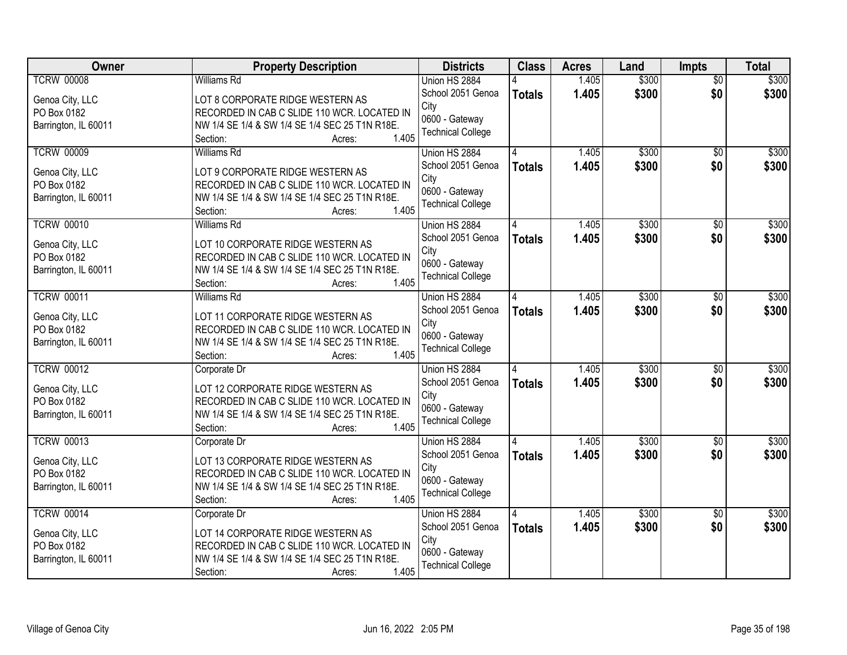| Owner                | <b>Property Description</b>                    | <b>Districts</b>         | <b>Class</b>  | <b>Acres</b> | Land  | <b>Impts</b>    | <b>Total</b> |
|----------------------|------------------------------------------------|--------------------------|---------------|--------------|-------|-----------------|--------------|
| <b>TCRW 00008</b>    | <b>Williams Rd</b>                             | Union HS 2884            |               | 1.405        | \$300 | $\overline{50}$ | \$300        |
| Genoa City, LLC      | LOT 8 CORPORATE RIDGE WESTERN AS               | School 2051 Genoa        | <b>Totals</b> | 1.405        | \$300 | \$0             | \$300        |
| PO Box 0182          | RECORDED IN CAB C SLIDE 110 WCR. LOCATED IN    | City                     |               |              |       |                 |              |
| Barrington, IL 60011 | NW 1/4 SE 1/4 & SW 1/4 SE 1/4 SEC 25 T1N R18E. | 0600 - Gateway           |               |              |       |                 |              |
|                      | 1.405<br>Section:<br>Acres:                    | <b>Technical College</b> |               |              |       |                 |              |
| <b>TCRW 00009</b>    | <b>Williams Rd</b>                             | Union HS 2884            |               | 1.405        | \$300 | $\overline{50}$ | \$300        |
| Genoa City, LLC      | LOT 9 CORPORATE RIDGE WESTERN AS               | School 2051 Genoa        | <b>Totals</b> | 1.405        | \$300 | \$0             | \$300        |
| PO Box 0182          | RECORDED IN CAB C SLIDE 110 WCR. LOCATED IN    | City                     |               |              |       |                 |              |
| Barrington, IL 60011 | NW 1/4 SE 1/4 & SW 1/4 SE 1/4 SEC 25 T1N R18E. | 0600 - Gateway           |               |              |       |                 |              |
|                      | 1.405<br>Section:<br>Acres:                    | <b>Technical College</b> |               |              |       |                 |              |
| <b>TCRW 00010</b>    | <b>Williams Rd</b>                             | Union HS 2884            |               | 1.405        | \$300 | \$0             | \$300        |
| Genoa City, LLC      | LOT 10 CORPORATE RIDGE WESTERN AS              | School 2051 Genoa        | <b>Totals</b> | 1.405        | \$300 | \$0             | \$300        |
| PO Box 0182          | RECORDED IN CAB C SLIDE 110 WCR. LOCATED IN    | City                     |               |              |       |                 |              |
| Barrington, IL 60011 | NW 1/4 SE 1/4 & SW 1/4 SE 1/4 SEC 25 T1N R18E. | 0600 - Gateway           |               |              |       |                 |              |
|                      | 1.405<br>Section:<br>Acres:                    | <b>Technical College</b> |               |              |       |                 |              |
| <b>TCRW 00011</b>    | <b>Williams Rd</b>                             | Union HS 2884            |               | 1.405        | \$300 | $\sqrt[6]{3}$   | \$300        |
|                      |                                                | School 2051 Genoa        | <b>Totals</b> | 1.405        | \$300 | \$0             | \$300        |
| Genoa City, LLC      | LOT 11 CORPORATE RIDGE WESTERN AS              | City                     |               |              |       |                 |              |
| PO Box 0182          | RECORDED IN CAB C SLIDE 110 WCR. LOCATED IN    | 0600 - Gateway           |               |              |       |                 |              |
| Barrington, IL 60011 | NW 1/4 SE 1/4 & SW 1/4 SE 1/4 SEC 25 T1N R18E. | <b>Technical College</b> |               |              |       |                 |              |
|                      | 1.405<br>Section:<br>Acres:                    |                          |               |              |       |                 |              |
| <b>TCRW 00012</b>    | Corporate Dr                                   | Union HS 2884            |               | 1.405        | \$300 | \$0             | \$300        |
| Genoa City, LLC      | LOT 12 CORPORATE RIDGE WESTERN AS              | School 2051 Genoa        | <b>Totals</b> | 1.405        | \$300 | \$0             | \$300        |
| PO Box 0182          | RECORDED IN CAB C SLIDE 110 WCR. LOCATED IN    | City<br>0600 - Gateway   |               |              |       |                 |              |
| Barrington, IL 60011 | NW 1/4 SE 1/4 & SW 1/4 SE 1/4 SEC 25 T1N R18E. | <b>Technical College</b> |               |              |       |                 |              |
|                      | 1.405<br>Section:<br>Acres:                    |                          |               |              |       |                 |              |
| <b>TCRW 00013</b>    | Corporate Dr                                   | Union HS 2884            |               | 1.405        | \$300 | $\sqrt{6}$      | \$300        |
| Genoa City, LLC      | LOT 13 CORPORATE RIDGE WESTERN AS              | School 2051 Genoa        | <b>Totals</b> | 1.405        | \$300 | \$0             | \$300        |
| PO Box 0182          | RECORDED IN CAB C SLIDE 110 WCR. LOCATED IN    | City                     |               |              |       |                 |              |
| Barrington, IL 60011 | NW 1/4 SE 1/4 & SW 1/4 SE 1/4 SEC 25 T1N R18E. | 0600 - Gateway           |               |              |       |                 |              |
|                      | 1.405<br>Section:<br>Acres:                    | <b>Technical College</b> |               |              |       |                 |              |
| <b>TCRW 00014</b>    | Corporate Dr                                   | Union HS 2884            | 4             | 1.405        | \$300 | $\overline{30}$ | \$300        |
| Genoa City, LLC      | LOT 14 CORPORATE RIDGE WESTERN AS              | School 2051 Genoa        | <b>Totals</b> | 1.405        | \$300 | \$0             | \$300        |
| PO Box 0182          | RECORDED IN CAB C SLIDE 110 WCR. LOCATED IN    | City                     |               |              |       |                 |              |
| Barrington, IL 60011 | NW 1/4 SE 1/4 & SW 1/4 SE 1/4 SEC 25 T1N R18E. | 0600 - Gateway           |               |              |       |                 |              |
|                      | 1.405<br>Section:<br>Acres:                    | <b>Technical College</b> |               |              |       |                 |              |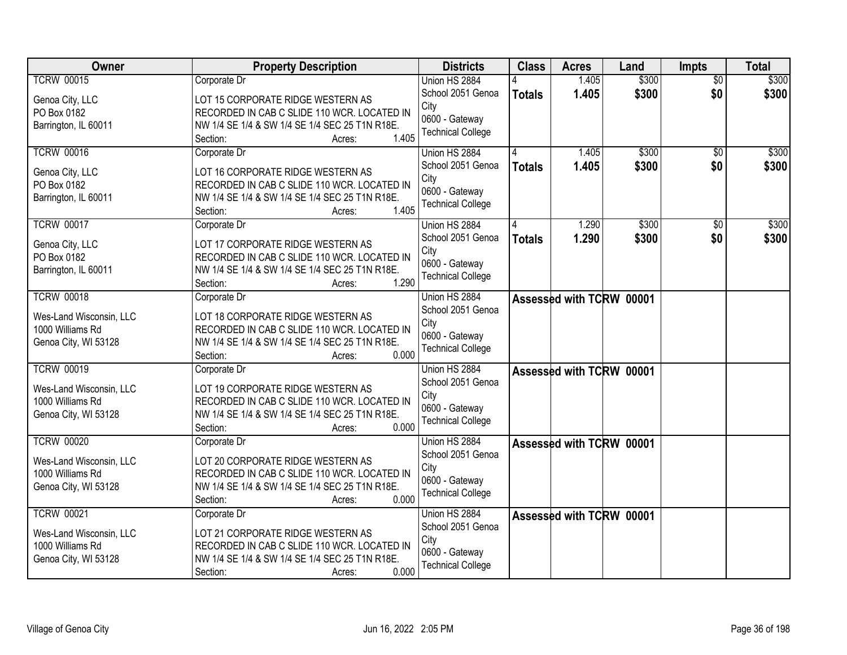| Owner                   | <b>Property Description</b>                    | <b>Districts</b>         | <b>Class</b>  | <b>Acres</b>             | Land  | <b>Impts</b>    | <b>Total</b> |
|-------------------------|------------------------------------------------|--------------------------|---------------|--------------------------|-------|-----------------|--------------|
| <b>TCRW 00015</b>       | Corporate Dr                                   | Union HS 2884            |               | 1.405                    | \$300 | $\overline{30}$ | \$300        |
| Genoa City, LLC         | LOT 15 CORPORATE RIDGE WESTERN AS              | School 2051 Genoa        | <b>Totals</b> | 1.405                    | \$300 | \$0             | \$300        |
| PO Box 0182             | RECORDED IN CAB C SLIDE 110 WCR. LOCATED IN    | City                     |               |                          |       |                 |              |
| Barrington, IL 60011    | NW 1/4 SE 1/4 & SW 1/4 SE 1/4 SEC 25 T1N R18E. | 0600 - Gateway           |               |                          |       |                 |              |
|                         | 1.405<br>Section:<br>Acres:                    | <b>Technical College</b> |               |                          |       |                 |              |
| <b>TCRW 00016</b>       | Corporate Dr                                   | Union HS 2884            |               | 1.405                    | \$300 | $\overline{50}$ | \$300        |
| Genoa City, LLC         | LOT 16 CORPORATE RIDGE WESTERN AS              | School 2051 Genoa        | <b>Totals</b> | 1.405                    | \$300 | \$0             | \$300        |
| PO Box 0182             | RECORDED IN CAB C SLIDE 110 WCR. LOCATED IN    | City                     |               |                          |       |                 |              |
| Barrington, IL 60011    | NW 1/4 SE 1/4 & SW 1/4 SE 1/4 SEC 25 T1N R18E. | 0600 - Gateway           |               |                          |       |                 |              |
|                         | 1.405<br>Section:<br>Acres:                    | <b>Technical College</b> |               |                          |       |                 |              |
| <b>TCRW 00017</b>       | Corporate Dr                                   | Union HS 2884            |               | 1.290                    | \$300 | \$0             | \$300        |
| Genoa City, LLC         | LOT 17 CORPORATE RIDGE WESTERN AS              | School 2051 Genoa        | <b>Totals</b> | 1.290                    | \$300 | \$0             | \$300        |
| PO Box 0182             | RECORDED IN CAB C SLIDE 110 WCR. LOCATED IN    | City                     |               |                          |       |                 |              |
| Barrington, IL 60011    | NW 1/4 SE 1/4 & SW 1/4 SE 1/4 SEC 25 T1N R18E. | 0600 - Gateway           |               |                          |       |                 |              |
|                         | 1.290<br>Section:<br>Acres:                    | <b>Technical College</b> |               |                          |       |                 |              |
| <b>TCRW 00018</b>       | Corporate Dr                                   | Union HS 2884            |               | Assessed with TCRW 00001 |       |                 |              |
|                         |                                                | School 2051 Genoa        |               |                          |       |                 |              |
| Wes-Land Wisconsin, LLC | LOT 18 CORPORATE RIDGE WESTERN AS              | City                     |               |                          |       |                 |              |
| 1000 Williams Rd        | RECORDED IN CAB C SLIDE 110 WCR. LOCATED IN    | 0600 - Gateway           |               |                          |       |                 |              |
| Genoa City, WI 53128    | NW 1/4 SE 1/4 & SW 1/4 SE 1/4 SEC 25 T1N R18E. | <b>Technical College</b> |               |                          |       |                 |              |
|                         | 0.000<br>Section:<br>Acres:                    |                          |               |                          |       |                 |              |
| <b>TCRW 00019</b>       | Corporate Dr                                   | Union HS 2884            |               | Assessed with TCRW 00001 |       |                 |              |
| Wes-Land Wisconsin, LLC | LOT 19 CORPORATE RIDGE WESTERN AS              | School 2051 Genoa        |               |                          |       |                 |              |
| 1000 Williams Rd        | RECORDED IN CAB C SLIDE 110 WCR. LOCATED IN    | City<br>0600 - Gateway   |               |                          |       |                 |              |
| Genoa City, WI 53128    | NW 1/4 SE 1/4 & SW 1/4 SE 1/4 SEC 25 T1N R18E. | <b>Technical College</b> |               |                          |       |                 |              |
|                         | 0.000<br>Section:<br>Acres:                    |                          |               |                          |       |                 |              |
| <b>TCRW 00020</b>       | Corporate Dr                                   | Union HS 2884            |               | Assessed with TCRW 00001 |       |                 |              |
| Wes-Land Wisconsin, LLC | LOT 20 CORPORATE RIDGE WESTERN AS              | School 2051 Genoa        |               |                          |       |                 |              |
| 1000 Williams Rd        | RECORDED IN CAB C SLIDE 110 WCR. LOCATED IN    | City                     |               |                          |       |                 |              |
| Genoa City, WI 53128    | NW 1/4 SE 1/4 & SW 1/4 SE 1/4 SEC 25 T1N R18E. | 0600 - Gateway           |               |                          |       |                 |              |
|                         | 0.000<br>Section:<br>Acres:                    | <b>Technical College</b> |               |                          |       |                 |              |
| <b>TCRW 00021</b>       | Corporate Dr                                   | Union HS 2884            |               | Assessed with TCRW 00001 |       |                 |              |
| Wes-Land Wisconsin, LLC | LOT 21 CORPORATE RIDGE WESTERN AS              | School 2051 Genoa        |               |                          |       |                 |              |
| 1000 Williams Rd        | RECORDED IN CAB C SLIDE 110 WCR. LOCATED IN    | City                     |               |                          |       |                 |              |
| Genoa City, WI 53128    | NW 1/4 SE 1/4 & SW 1/4 SE 1/4 SEC 25 T1N R18E. | 0600 - Gateway           |               |                          |       |                 |              |
|                         | 0.000<br>Section:<br>Acres:                    | <b>Technical College</b> |               |                          |       |                 |              |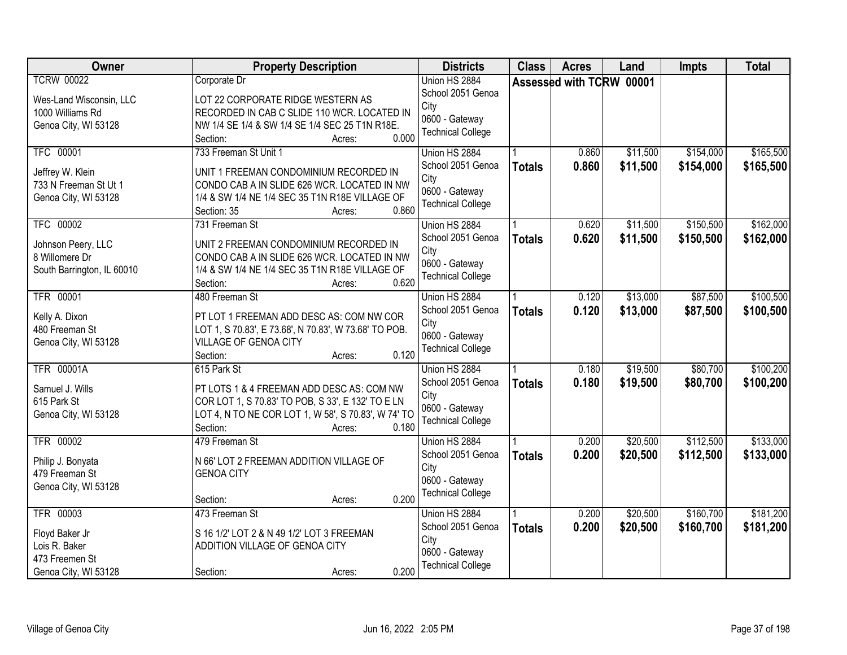| <b>Owner</b>                                                                                                                               | <b>Property Description</b>                                                                                                                                                                                                                                                                                                                  | <b>Districts</b>                                                                                                                                                   | <b>Class</b>                   | <b>Acres</b>                     | Land                                         | <b>Impts</b>                                     | <b>Total</b>                                     |
|--------------------------------------------------------------------------------------------------------------------------------------------|----------------------------------------------------------------------------------------------------------------------------------------------------------------------------------------------------------------------------------------------------------------------------------------------------------------------------------------------|--------------------------------------------------------------------------------------------------------------------------------------------------------------------|--------------------------------|----------------------------------|----------------------------------------------|--------------------------------------------------|--------------------------------------------------|
| <b>TCRW 00022</b><br>Wes-Land Wisconsin, LLC<br>1000 Williams Rd<br>Genoa City, WI 53128                                                   | Corporate Dr<br>LOT 22 CORPORATE RIDGE WESTERN AS<br>RECORDED IN CAB C SLIDE 110 WCR. LOCATED IN<br>NW 1/4 SE 1/4 & SW 1/4 SE 1/4 SEC 25 T1N R18E.                                                                                                                                                                                           | Union HS 2884<br>School 2051 Genoa<br>City<br>0600 - Gateway                                                                                                       |                                | Assessed with TCRW 00001         |                                              |                                                  |                                                  |
| <b>TFC 00001</b><br>Jeffrey W. Klein<br>733 N Freeman St Ut 1<br>Genoa City, WI 53128<br>TFC 00002<br>Johnson Peery, LLC<br>8 Willomere Dr | 0.000<br>Section:<br>Acres:<br>733 Freeman St Unit 1<br>UNIT 1 FREEMAN CONDOMINIUM RECORDED IN<br>CONDO CAB A IN SLIDE 626 WCR. LOCATED IN NW<br>1/4 & SW 1/4 NE 1/4 SEC 35 T1N R18E VILLAGE OF<br>0.860<br>Section: 35<br>Acres:<br>731 Freeman St<br>UNIT 2 FREEMAN CONDOMINIUM RECORDED IN<br>CONDO CAB A IN SLIDE 626 WCR. LOCATED IN NW | <b>Technical College</b><br>Union HS 2884<br>School 2051 Genoa<br>City<br>0600 - Gateway<br><b>Technical College</b><br>Union HS 2884<br>School 2051 Genoa<br>City | <b>Totals</b><br><b>Totals</b> | 0.860<br>0.860<br>0.620<br>0.620 | \$11,500<br>\$11,500<br>\$11,500<br>\$11,500 | \$154,000<br>\$154,000<br>\$150,500<br>\$150,500 | \$165,500<br>\$165,500<br>\$162,000<br>\$162,000 |
| South Barrington, IL 60010<br><b>TFR 00001</b><br>Kelly A. Dixon<br>480 Freeman St<br>Genoa City, WI 53128                                 | 1/4 & SW 1/4 NE 1/4 SEC 35 T1N R18E VILLAGE OF<br>0.620<br>Section:<br>Acres:<br>480 Freeman St<br>PT LOT 1 FREEMAN ADD DESC AS: COM NW COR<br>LOT 1, S 70.83', E 73.68', N 70.83', W 73.68' TO POB.<br>VILLAGE OF GENOA CITY<br>0.120<br>Section:<br>Acres:                                                                                 | 0600 - Gateway<br><b>Technical College</b><br>Union HS 2884<br>School 2051 Genoa<br>City<br>0600 - Gateway<br><b>Technical College</b>                             | <b>Totals</b>                  | 0.120<br>0.120                   | \$13,000<br>\$13,000                         | \$87,500<br>\$87,500                             | \$100,500<br>\$100,500                           |
| <b>TFR 00001A</b><br>Samuel J. Wills<br>615 Park St<br>Genoa City, WI 53128                                                                | 615 Park St<br>PT LOTS 1 & 4 FREEMAN ADD DESC AS: COM NW<br>COR LOT 1, S 70.83' TO POB, S 33', E 132' TO E LN<br>LOT 4, N TO NE COR LOT 1, W 58', S 70.83', W 74' TO<br>0.180<br>Section:<br>Acres:                                                                                                                                          | Union HS 2884<br>School 2051 Genoa<br>City<br>0600 - Gateway<br><b>Technical College</b>                                                                           | <b>Totals</b>                  | 0.180<br>0.180                   | \$19,500<br>\$19,500                         | \$80,700<br>\$80,700                             | \$100,200<br>\$100,200                           |
| <b>TFR 00002</b><br>Philip J. Bonyata<br>479 Freeman St<br>Genoa City, WI 53128                                                            | 479 Freeman St<br>N 66' LOT 2 FREEMAN ADDITION VILLAGE OF<br><b>GENOA CITY</b><br>0.200<br>Section:<br>Acres:                                                                                                                                                                                                                                | Union HS 2884<br>School 2051 Genoa<br>City<br>0600 - Gateway<br><b>Technical College</b>                                                                           | <b>Totals</b>                  | 0.200<br>0.200                   | \$20,500<br>\$20,500                         | \$112,500<br>\$112,500                           | \$133,000<br>\$133,000                           |
| <b>TFR 00003</b><br>Floyd Baker Jr<br>Lois R. Baker<br>473 Freemen St<br>Genoa City, WI 53128                                              | 473 Freeman St<br>S 16 1/2' LOT 2 & N 49 1/2' LOT 3 FREEMAN<br>ADDITION VILLAGE OF GENOA CITY<br>0.200<br>Section:<br>Acres:                                                                                                                                                                                                                 | Union HS 2884<br>School 2051 Genoa<br>City<br>0600 - Gateway<br><b>Technical College</b>                                                                           | <b>Totals</b>                  | 0.200<br>0.200                   | \$20,500<br>\$20,500                         | \$160,700<br>\$160,700                           | \$181,200<br>\$181,200                           |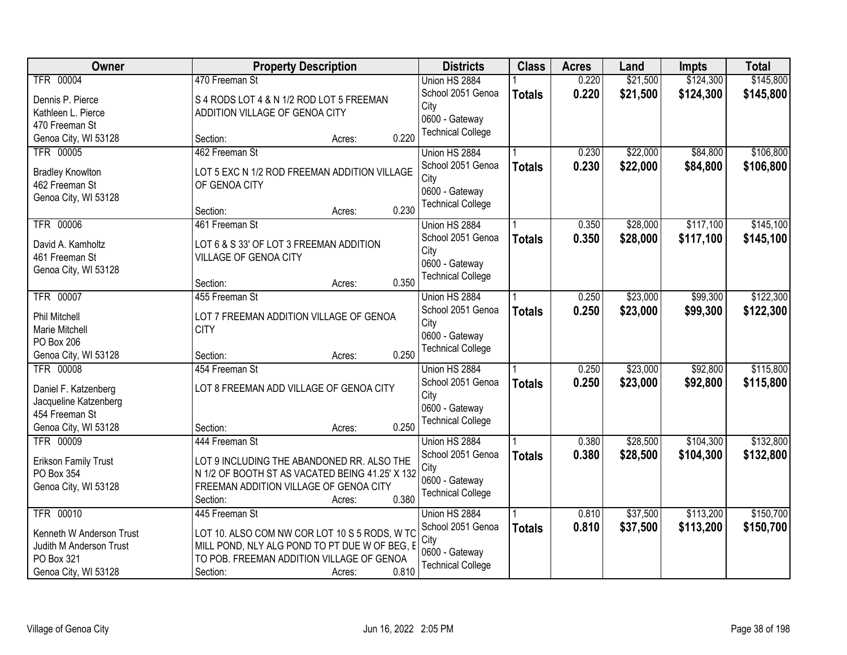| \$124,300<br>\$145,800<br><b>TFR 00004</b><br>470 Freeman St<br>Union HS 2884<br>0.220<br>\$21,500<br>School 2051 Genoa<br>0.220<br>\$21,500<br>\$124,300<br>\$145,800<br><b>Totals</b><br>S 4 RODS LOT 4 & N 1/2 ROD LOT 5 FREEMAN<br>Dennis P. Pierce<br>City<br>Kathleen L. Pierce<br>ADDITION VILLAGE OF GENOA CITY<br>0600 - Gateway<br>470 Freeman St<br><b>Technical College</b><br>0.220<br>Genoa City, WI 53128<br>Section:<br>Acres:<br><b>TFR 00005</b><br>462 Freeman St<br>\$22,000<br>\$84,800<br>0.230<br>Union HS 2884<br>School 2051 Genoa<br>0.230<br>\$22,000<br>\$84,800<br><b>Totals</b><br><b>Bradley Knowlton</b><br>LOT 5 EXC N 1/2 ROD FREEMAN ADDITION VILLAGE<br>City<br>462 Freeman St<br>OF GENOA CITY<br>0600 - Gateway<br>Genoa City, WI 53128<br><b>Technical College</b><br>0.230<br>Section:<br>Acres:<br>\$117,100<br>TFR 00006<br>461 Freeman St<br>Union HS 2884<br>0.350<br>\$28,000<br>School 2051 Genoa<br>\$117,100<br>0.350<br>\$28,000<br><b>Totals</b><br>David A. Kamholtz<br>LOT 6 & S 33' OF LOT 3 FREEMAN ADDITION<br>City<br>VILLAGE OF GENOA CITY<br>461 Freeman St<br>0600 - Gateway<br>Genoa City, WI 53128<br><b>Technical College</b><br>0.350<br>Section:<br>Acres:<br><b>TFR 00007</b><br>455 Freeman St<br>\$23,000<br>\$99,300<br>Union HS 2884<br>0.250<br>School 2051 Genoa<br>0.250<br>\$23,000<br>\$99,300<br><b>Totals</b><br>Phil Mitchell<br>LOT 7 FREEMAN ADDITION VILLAGE OF GENOA<br>City<br>Marie Mitchell<br><b>CITY</b><br>0600 - Gateway<br>PO Box 206<br><b>Technical College</b><br>0.250<br>Genoa City, WI 53128<br>Section:<br>Acres:<br>\$23,000<br>\$92,800<br><b>TFR 00008</b><br>454 Freeman St<br>0.250<br>Union HS 2884<br>0.250<br>\$23,000<br>\$92,800<br>School 2051 Genoa<br><b>Totals</b><br>Daniel F. Katzenberg<br>LOT 8 FREEMAN ADD VILLAGE OF GENOA CITY<br>City<br>Jacqueline Katzenberg<br>0600 - Gateway<br>454 Freeman St<br><b>Technical College</b><br>0.250<br>Genoa City, WI 53128<br>Section:<br>Acres:<br><b>TFR 00009</b><br>\$28,500<br>\$104,300<br>0.380<br>444 Freeman St<br>Union HS 2884<br>School 2051 Genoa<br>0.380<br>\$28,500<br>\$104,300<br><b>Totals</b><br>LOT 9 INCLUDING THE ABANDONED RR. ALSO THE<br><b>Erikson Family Trust</b><br>City<br>PO Box 354<br>N 1/2 OF BOOTH ST AS VACATED BEING 41.25' X 132<br>0600 - Gateway<br>Genoa City, WI 53128<br>FREEMAN ADDITION VILLAGE OF GENOA CITY<br><b>Technical College</b><br>0.380<br>Section:<br>Acres:<br><b>TFR 00010</b><br>\$37,500<br>\$113,200<br>445 Freeman St<br>Union HS 2884<br>0.810<br>School 2051 Genoa<br>0.810<br>\$37,500<br>\$113,200<br><b>Totals</b><br>LOT 10. ALSO COM NW COR LOT 10 S 5 RODS, W TC<br>Kenneth W Anderson Trust<br>City<br>MILL POND, NLY ALG POND TO PT DUE W OF BEG, E<br>Judith M Anderson Trust<br>0600 - Gateway<br>TO POB. FREEMAN ADDITION VILLAGE OF GENOA<br>PO Box 321<br><b>Technical College</b> | Owner                | <b>Property Description</b> | <b>Districts</b> | <b>Class</b> | <b>Acres</b> | Land | <b>Impts</b> | <b>Total</b> |
|------------------------------------------------------------------------------------------------------------------------------------------------------------------------------------------------------------------------------------------------------------------------------------------------------------------------------------------------------------------------------------------------------------------------------------------------------------------------------------------------------------------------------------------------------------------------------------------------------------------------------------------------------------------------------------------------------------------------------------------------------------------------------------------------------------------------------------------------------------------------------------------------------------------------------------------------------------------------------------------------------------------------------------------------------------------------------------------------------------------------------------------------------------------------------------------------------------------------------------------------------------------------------------------------------------------------------------------------------------------------------------------------------------------------------------------------------------------------------------------------------------------------------------------------------------------------------------------------------------------------------------------------------------------------------------------------------------------------------------------------------------------------------------------------------------------------------------------------------------------------------------------------------------------------------------------------------------------------------------------------------------------------------------------------------------------------------------------------------------------------------------------------------------------------------------------------------------------------------------------------------------------------------------------------------------------------------------------------------------------------------------------------------------------------------------------------------------------------------------------------------------------------------------------------------------------------------------------------------------------------------------------------------------------------------------------------------------------------------------------------------------------------------------------------------------------------------------------------------------------------------------------------------------------------------|----------------------|-----------------------------|------------------|--------------|--------------|------|--------------|--------------|
|                                                                                                                                                                                                                                                                                                                                                                                                                                                                                                                                                                                                                                                                                                                                                                                                                                                                                                                                                                                                                                                                                                                                                                                                                                                                                                                                                                                                                                                                                                                                                                                                                                                                                                                                                                                                                                                                                                                                                                                                                                                                                                                                                                                                                                                                                                                                                                                                                                                                                                                                                                                                                                                                                                                                                                                                                                                                                                                              |                      |                             |                  |              |              |      |              |              |
|                                                                                                                                                                                                                                                                                                                                                                                                                                                                                                                                                                                                                                                                                                                                                                                                                                                                                                                                                                                                                                                                                                                                                                                                                                                                                                                                                                                                                                                                                                                                                                                                                                                                                                                                                                                                                                                                                                                                                                                                                                                                                                                                                                                                                                                                                                                                                                                                                                                                                                                                                                                                                                                                                                                                                                                                                                                                                                                              |                      |                             |                  |              |              |      |              |              |
| \$106,800<br>\$106,800<br>\$145,100<br>\$145,100<br>\$122,300<br>\$122,300<br>\$115,800<br>\$115,800<br>\$132,800<br>\$132,800<br>\$150,700<br>\$150,700                                                                                                                                                                                                                                                                                                                                                                                                                                                                                                                                                                                                                                                                                                                                                                                                                                                                                                                                                                                                                                                                                                                                                                                                                                                                                                                                                                                                                                                                                                                                                                                                                                                                                                                                                                                                                                                                                                                                                                                                                                                                                                                                                                                                                                                                                                                                                                                                                                                                                                                                                                                                                                                                                                                                                                     |                      |                             |                  |              |              |      |              |              |
|                                                                                                                                                                                                                                                                                                                                                                                                                                                                                                                                                                                                                                                                                                                                                                                                                                                                                                                                                                                                                                                                                                                                                                                                                                                                                                                                                                                                                                                                                                                                                                                                                                                                                                                                                                                                                                                                                                                                                                                                                                                                                                                                                                                                                                                                                                                                                                                                                                                                                                                                                                                                                                                                                                                                                                                                                                                                                                                              |                      |                             |                  |              |              |      |              |              |
|                                                                                                                                                                                                                                                                                                                                                                                                                                                                                                                                                                                                                                                                                                                                                                                                                                                                                                                                                                                                                                                                                                                                                                                                                                                                                                                                                                                                                                                                                                                                                                                                                                                                                                                                                                                                                                                                                                                                                                                                                                                                                                                                                                                                                                                                                                                                                                                                                                                                                                                                                                                                                                                                                                                                                                                                                                                                                                                              |                      |                             |                  |              |              |      |              |              |
|                                                                                                                                                                                                                                                                                                                                                                                                                                                                                                                                                                                                                                                                                                                                                                                                                                                                                                                                                                                                                                                                                                                                                                                                                                                                                                                                                                                                                                                                                                                                                                                                                                                                                                                                                                                                                                                                                                                                                                                                                                                                                                                                                                                                                                                                                                                                                                                                                                                                                                                                                                                                                                                                                                                                                                                                                                                                                                                              |                      |                             |                  |              |              |      |              |              |
|                                                                                                                                                                                                                                                                                                                                                                                                                                                                                                                                                                                                                                                                                                                                                                                                                                                                                                                                                                                                                                                                                                                                                                                                                                                                                                                                                                                                                                                                                                                                                                                                                                                                                                                                                                                                                                                                                                                                                                                                                                                                                                                                                                                                                                                                                                                                                                                                                                                                                                                                                                                                                                                                                                                                                                                                                                                                                                                              |                      |                             |                  |              |              |      |              |              |
|                                                                                                                                                                                                                                                                                                                                                                                                                                                                                                                                                                                                                                                                                                                                                                                                                                                                                                                                                                                                                                                                                                                                                                                                                                                                                                                                                                                                                                                                                                                                                                                                                                                                                                                                                                                                                                                                                                                                                                                                                                                                                                                                                                                                                                                                                                                                                                                                                                                                                                                                                                                                                                                                                                                                                                                                                                                                                                                              |                      |                             |                  |              |              |      |              |              |
|                                                                                                                                                                                                                                                                                                                                                                                                                                                                                                                                                                                                                                                                                                                                                                                                                                                                                                                                                                                                                                                                                                                                                                                                                                                                                                                                                                                                                                                                                                                                                                                                                                                                                                                                                                                                                                                                                                                                                                                                                                                                                                                                                                                                                                                                                                                                                                                                                                                                                                                                                                                                                                                                                                                                                                                                                                                                                                                              |                      |                             |                  |              |              |      |              |              |
|                                                                                                                                                                                                                                                                                                                                                                                                                                                                                                                                                                                                                                                                                                                                                                                                                                                                                                                                                                                                                                                                                                                                                                                                                                                                                                                                                                                                                                                                                                                                                                                                                                                                                                                                                                                                                                                                                                                                                                                                                                                                                                                                                                                                                                                                                                                                                                                                                                                                                                                                                                                                                                                                                                                                                                                                                                                                                                                              |                      |                             |                  |              |              |      |              |              |
|                                                                                                                                                                                                                                                                                                                                                                                                                                                                                                                                                                                                                                                                                                                                                                                                                                                                                                                                                                                                                                                                                                                                                                                                                                                                                                                                                                                                                                                                                                                                                                                                                                                                                                                                                                                                                                                                                                                                                                                                                                                                                                                                                                                                                                                                                                                                                                                                                                                                                                                                                                                                                                                                                                                                                                                                                                                                                                                              |                      |                             |                  |              |              |      |              |              |
|                                                                                                                                                                                                                                                                                                                                                                                                                                                                                                                                                                                                                                                                                                                                                                                                                                                                                                                                                                                                                                                                                                                                                                                                                                                                                                                                                                                                                                                                                                                                                                                                                                                                                                                                                                                                                                                                                                                                                                                                                                                                                                                                                                                                                                                                                                                                                                                                                                                                                                                                                                                                                                                                                                                                                                                                                                                                                                                              |                      |                             |                  |              |              |      |              |              |
|                                                                                                                                                                                                                                                                                                                                                                                                                                                                                                                                                                                                                                                                                                                                                                                                                                                                                                                                                                                                                                                                                                                                                                                                                                                                                                                                                                                                                                                                                                                                                                                                                                                                                                                                                                                                                                                                                                                                                                                                                                                                                                                                                                                                                                                                                                                                                                                                                                                                                                                                                                                                                                                                                                                                                                                                                                                                                                                              |                      |                             |                  |              |              |      |              |              |
|                                                                                                                                                                                                                                                                                                                                                                                                                                                                                                                                                                                                                                                                                                                                                                                                                                                                                                                                                                                                                                                                                                                                                                                                                                                                                                                                                                                                                                                                                                                                                                                                                                                                                                                                                                                                                                                                                                                                                                                                                                                                                                                                                                                                                                                                                                                                                                                                                                                                                                                                                                                                                                                                                                                                                                                                                                                                                                                              |                      |                             |                  |              |              |      |              |              |
|                                                                                                                                                                                                                                                                                                                                                                                                                                                                                                                                                                                                                                                                                                                                                                                                                                                                                                                                                                                                                                                                                                                                                                                                                                                                                                                                                                                                                                                                                                                                                                                                                                                                                                                                                                                                                                                                                                                                                                                                                                                                                                                                                                                                                                                                                                                                                                                                                                                                                                                                                                                                                                                                                                                                                                                                                                                                                                                              |                      |                             |                  |              |              |      |              |              |
|                                                                                                                                                                                                                                                                                                                                                                                                                                                                                                                                                                                                                                                                                                                                                                                                                                                                                                                                                                                                                                                                                                                                                                                                                                                                                                                                                                                                                                                                                                                                                                                                                                                                                                                                                                                                                                                                                                                                                                                                                                                                                                                                                                                                                                                                                                                                                                                                                                                                                                                                                                                                                                                                                                                                                                                                                                                                                                                              |                      |                             |                  |              |              |      |              |              |
|                                                                                                                                                                                                                                                                                                                                                                                                                                                                                                                                                                                                                                                                                                                                                                                                                                                                                                                                                                                                                                                                                                                                                                                                                                                                                                                                                                                                                                                                                                                                                                                                                                                                                                                                                                                                                                                                                                                                                                                                                                                                                                                                                                                                                                                                                                                                                                                                                                                                                                                                                                                                                                                                                                                                                                                                                                                                                                                              |                      |                             |                  |              |              |      |              |              |
|                                                                                                                                                                                                                                                                                                                                                                                                                                                                                                                                                                                                                                                                                                                                                                                                                                                                                                                                                                                                                                                                                                                                                                                                                                                                                                                                                                                                                                                                                                                                                                                                                                                                                                                                                                                                                                                                                                                                                                                                                                                                                                                                                                                                                                                                                                                                                                                                                                                                                                                                                                                                                                                                                                                                                                                                                                                                                                                              |                      |                             |                  |              |              |      |              |              |
|                                                                                                                                                                                                                                                                                                                                                                                                                                                                                                                                                                                                                                                                                                                                                                                                                                                                                                                                                                                                                                                                                                                                                                                                                                                                                                                                                                                                                                                                                                                                                                                                                                                                                                                                                                                                                                                                                                                                                                                                                                                                                                                                                                                                                                                                                                                                                                                                                                                                                                                                                                                                                                                                                                                                                                                                                                                                                                                              |                      |                             |                  |              |              |      |              |              |
|                                                                                                                                                                                                                                                                                                                                                                                                                                                                                                                                                                                                                                                                                                                                                                                                                                                                                                                                                                                                                                                                                                                                                                                                                                                                                                                                                                                                                                                                                                                                                                                                                                                                                                                                                                                                                                                                                                                                                                                                                                                                                                                                                                                                                                                                                                                                                                                                                                                                                                                                                                                                                                                                                                                                                                                                                                                                                                                              |                      |                             |                  |              |              |      |              |              |
|                                                                                                                                                                                                                                                                                                                                                                                                                                                                                                                                                                                                                                                                                                                                                                                                                                                                                                                                                                                                                                                                                                                                                                                                                                                                                                                                                                                                                                                                                                                                                                                                                                                                                                                                                                                                                                                                                                                                                                                                                                                                                                                                                                                                                                                                                                                                                                                                                                                                                                                                                                                                                                                                                                                                                                                                                                                                                                                              |                      |                             |                  |              |              |      |              |              |
|                                                                                                                                                                                                                                                                                                                                                                                                                                                                                                                                                                                                                                                                                                                                                                                                                                                                                                                                                                                                                                                                                                                                                                                                                                                                                                                                                                                                                                                                                                                                                                                                                                                                                                                                                                                                                                                                                                                                                                                                                                                                                                                                                                                                                                                                                                                                                                                                                                                                                                                                                                                                                                                                                                                                                                                                                                                                                                                              |                      |                             |                  |              |              |      |              |              |
|                                                                                                                                                                                                                                                                                                                                                                                                                                                                                                                                                                                                                                                                                                                                                                                                                                                                                                                                                                                                                                                                                                                                                                                                                                                                                                                                                                                                                                                                                                                                                                                                                                                                                                                                                                                                                                                                                                                                                                                                                                                                                                                                                                                                                                                                                                                                                                                                                                                                                                                                                                                                                                                                                                                                                                                                                                                                                                                              |                      |                             |                  |              |              |      |              |              |
|                                                                                                                                                                                                                                                                                                                                                                                                                                                                                                                                                                                                                                                                                                                                                                                                                                                                                                                                                                                                                                                                                                                                                                                                                                                                                                                                                                                                                                                                                                                                                                                                                                                                                                                                                                                                                                                                                                                                                                                                                                                                                                                                                                                                                                                                                                                                                                                                                                                                                                                                                                                                                                                                                                                                                                                                                                                                                                                              |                      |                             |                  |              |              |      |              |              |
|                                                                                                                                                                                                                                                                                                                                                                                                                                                                                                                                                                                                                                                                                                                                                                                                                                                                                                                                                                                                                                                                                                                                                                                                                                                                                                                                                                                                                                                                                                                                                                                                                                                                                                                                                                                                                                                                                                                                                                                                                                                                                                                                                                                                                                                                                                                                                                                                                                                                                                                                                                                                                                                                                                                                                                                                                                                                                                                              |                      |                             |                  |              |              |      |              |              |
|                                                                                                                                                                                                                                                                                                                                                                                                                                                                                                                                                                                                                                                                                                                                                                                                                                                                                                                                                                                                                                                                                                                                                                                                                                                                                                                                                                                                                                                                                                                                                                                                                                                                                                                                                                                                                                                                                                                                                                                                                                                                                                                                                                                                                                                                                                                                                                                                                                                                                                                                                                                                                                                                                                                                                                                                                                                                                                                              |                      |                             |                  |              |              |      |              |              |
|                                                                                                                                                                                                                                                                                                                                                                                                                                                                                                                                                                                                                                                                                                                                                                                                                                                                                                                                                                                                                                                                                                                                                                                                                                                                                                                                                                                                                                                                                                                                                                                                                                                                                                                                                                                                                                                                                                                                                                                                                                                                                                                                                                                                                                                                                                                                                                                                                                                                                                                                                                                                                                                                                                                                                                                                                                                                                                                              |                      |                             |                  |              |              |      |              |              |
|                                                                                                                                                                                                                                                                                                                                                                                                                                                                                                                                                                                                                                                                                                                                                                                                                                                                                                                                                                                                                                                                                                                                                                                                                                                                                                                                                                                                                                                                                                                                                                                                                                                                                                                                                                                                                                                                                                                                                                                                                                                                                                                                                                                                                                                                                                                                                                                                                                                                                                                                                                                                                                                                                                                                                                                                                                                                                                                              |                      |                             |                  |              |              |      |              |              |
|                                                                                                                                                                                                                                                                                                                                                                                                                                                                                                                                                                                                                                                                                                                                                                                                                                                                                                                                                                                                                                                                                                                                                                                                                                                                                                                                                                                                                                                                                                                                                                                                                                                                                                                                                                                                                                                                                                                                                                                                                                                                                                                                                                                                                                                                                                                                                                                                                                                                                                                                                                                                                                                                                                                                                                                                                                                                                                                              |                      |                             |                  |              |              |      |              |              |
|                                                                                                                                                                                                                                                                                                                                                                                                                                                                                                                                                                                                                                                                                                                                                                                                                                                                                                                                                                                                                                                                                                                                                                                                                                                                                                                                                                                                                                                                                                                                                                                                                                                                                                                                                                                                                                                                                                                                                                                                                                                                                                                                                                                                                                                                                                                                                                                                                                                                                                                                                                                                                                                                                                                                                                                                                                                                                                                              |                      |                             |                  |              |              |      |              |              |
|                                                                                                                                                                                                                                                                                                                                                                                                                                                                                                                                                                                                                                                                                                                                                                                                                                                                                                                                                                                                                                                                                                                                                                                                                                                                                                                                                                                                                                                                                                                                                                                                                                                                                                                                                                                                                                                                                                                                                                                                                                                                                                                                                                                                                                                                                                                                                                                                                                                                                                                                                                                                                                                                                                                                                                                                                                                                                                                              |                      |                             |                  |              |              |      |              |              |
|                                                                                                                                                                                                                                                                                                                                                                                                                                                                                                                                                                                                                                                                                                                                                                                                                                                                                                                                                                                                                                                                                                                                                                                                                                                                                                                                                                                                                                                                                                                                                                                                                                                                                                                                                                                                                                                                                                                                                                                                                                                                                                                                                                                                                                                                                                                                                                                                                                                                                                                                                                                                                                                                                                                                                                                                                                                                                                                              |                      |                             |                  |              |              |      |              |              |
|                                                                                                                                                                                                                                                                                                                                                                                                                                                                                                                                                                                                                                                                                                                                                                                                                                                                                                                                                                                                                                                                                                                                                                                                                                                                                                                                                                                                                                                                                                                                                                                                                                                                                                                                                                                                                                                                                                                                                                                                                                                                                                                                                                                                                                                                                                                                                                                                                                                                                                                                                                                                                                                                                                                                                                                                                                                                                                                              |                      |                             |                  |              |              |      |              |              |
|                                                                                                                                                                                                                                                                                                                                                                                                                                                                                                                                                                                                                                                                                                                                                                                                                                                                                                                                                                                                                                                                                                                                                                                                                                                                                                                                                                                                                                                                                                                                                                                                                                                                                                                                                                                                                                                                                                                                                                                                                                                                                                                                                                                                                                                                                                                                                                                                                                                                                                                                                                                                                                                                                                                                                                                                                                                                                                                              |                      |                             |                  |              |              |      |              |              |
|                                                                                                                                                                                                                                                                                                                                                                                                                                                                                                                                                                                                                                                                                                                                                                                                                                                                                                                                                                                                                                                                                                                                                                                                                                                                                                                                                                                                                                                                                                                                                                                                                                                                                                                                                                                                                                                                                                                                                                                                                                                                                                                                                                                                                                                                                                                                                                                                                                                                                                                                                                                                                                                                                                                                                                                                                                                                                                                              |                      |                             |                  |              |              |      |              |              |
|                                                                                                                                                                                                                                                                                                                                                                                                                                                                                                                                                                                                                                                                                                                                                                                                                                                                                                                                                                                                                                                                                                                                                                                                                                                                                                                                                                                                                                                                                                                                                                                                                                                                                                                                                                                                                                                                                                                                                                                                                                                                                                                                                                                                                                                                                                                                                                                                                                                                                                                                                                                                                                                                                                                                                                                                                                                                                                                              | Genoa City, WI 53128 | 0.810<br>Section:<br>Acres: |                  |              |              |      |              |              |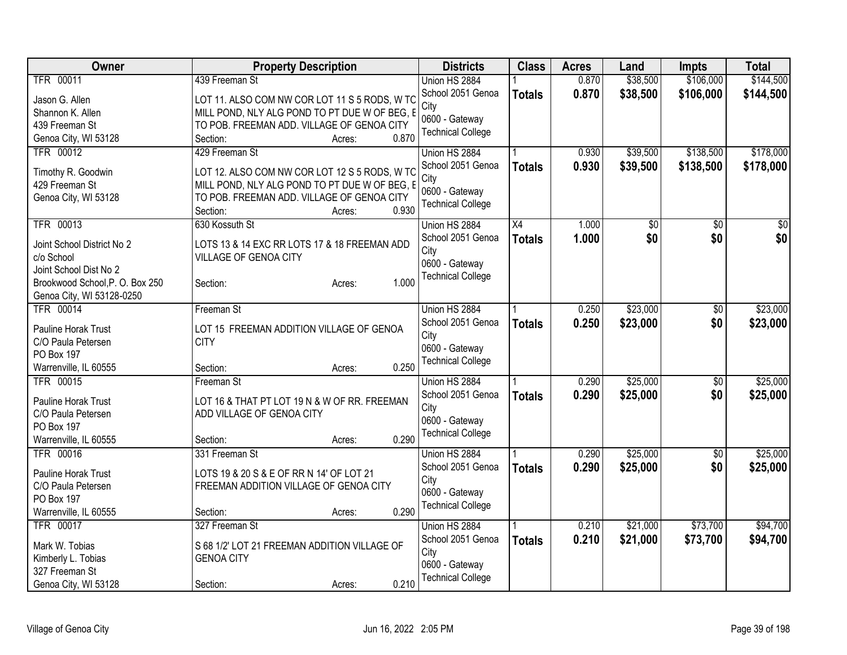| Owner                          | <b>Property Description</b>                   | <b>Districts</b>         | <b>Class</b>  | <b>Acres</b> | Land     | <b>Impts</b>    | <b>Total</b> |
|--------------------------------|-----------------------------------------------|--------------------------|---------------|--------------|----------|-----------------|--------------|
| <b>TFR 00011</b>               | 439 Freeman St                                | Union HS 2884            |               | 0.870        | \$38,500 | \$106,000       | \$144,500    |
| Jason G. Allen                 | LOT 11. ALSO COM NW COR LOT 11 S 5 RODS, W TC | School 2051 Genoa        | <b>Totals</b> | 0.870        | \$38,500 | \$106,000       | \$144,500    |
| Shannon K. Allen               | MILL POND, NLY ALG POND TO PT DUE W OF BEG, E | City                     |               |              |          |                 |              |
| 439 Freeman St                 | TO POB. FREEMAN ADD. VILLAGE OF GENOA CITY    | 0600 - Gateway           |               |              |          |                 |              |
| Genoa City, WI 53128           | 0.870<br>Section:<br>Acres:                   | <b>Technical College</b> |               |              |          |                 |              |
| <b>TFR 00012</b>               | 429 Freeman St                                | Union HS 2884            |               | 0.930        | \$39,500 | \$138,500       | \$178,000    |
|                                |                                               | School 2051 Genoa        | <b>Totals</b> | 0.930        | \$39,500 | \$138,500       | \$178,000    |
| Timothy R. Goodwin             | LOT 12. ALSO COM NW COR LOT 12 S 5 RODS, W TC | City                     |               |              |          |                 |              |
| 429 Freeman St                 | MILL POND, NLY ALG POND TO PT DUE W OF BEG, E | 0600 - Gateway           |               |              |          |                 |              |
| Genoa City, WI 53128           | TO POB. FREEMAN ADD. VILLAGE OF GENOA CITY    | <b>Technical College</b> |               |              |          |                 |              |
|                                | 0.930<br>Section:<br>Acres:                   |                          |               |              |          |                 |              |
| <b>TFR 00013</b>               | 630 Kossuth St                                | Union HS 2884            | X4            | 1.000        | \$0      | \$0             | \$0          |
| Joint School District No 2     | LOTS 13 & 14 EXC RR LOTS 17 & 18 FREEMAN ADD  | School 2051 Genoa        | <b>Totals</b> | 1.000        | \$0      | \$0             | \$0          |
| c/o School                     | VILLAGE OF GENOA CITY                         | City                     |               |              |          |                 |              |
| Joint School Dist No 2         |                                               | 0600 - Gateway           |               |              |          |                 |              |
| Brookwood School, P.O. Box 250 | 1.000<br>Section:<br>Acres:                   | <b>Technical College</b> |               |              |          |                 |              |
| Genoa City, WI 53128-0250      |                                               |                          |               |              |          |                 |              |
| <b>TFR 00014</b>               | Freeman St                                    | Union HS 2884            |               | 0.250        | \$23,000 | $\sqrt[6]{}$    | \$23,000     |
|                                |                                               | School 2051 Genoa        | <b>Totals</b> | 0.250        | \$23,000 | \$0             | \$23,000     |
| Pauline Horak Trust            | LOT 15 FREEMAN ADDITION VILLAGE OF GENOA      | City                     |               |              |          |                 |              |
| C/O Paula Petersen             | <b>CITY</b>                                   | 0600 - Gateway           |               |              |          |                 |              |
| PO Box 197                     |                                               | <b>Technical College</b> |               |              |          |                 |              |
| Warrenville, IL 60555          | 0.250<br>Section:<br>Acres:                   |                          |               |              |          |                 |              |
| <b>TFR 00015</b>               | Freeman St                                    | Union HS 2884            |               | 0.290        | \$25,000 | \$0             | \$25,000     |
| Pauline Horak Trust            | LOT 16 & THAT PT LOT 19 N & W OF RR. FREEMAN  | School 2051 Genoa        | <b>Totals</b> | 0.290        | \$25,000 | \$0             | \$25,000     |
| C/O Paula Petersen             | ADD VILLAGE OF GENOA CITY                     | City                     |               |              |          |                 |              |
| PO Box 197                     |                                               | 0600 - Gateway           |               |              |          |                 |              |
| Warrenville, IL 60555          | 0.290<br>Section:<br>Acres:                   | <b>Technical College</b> |               |              |          |                 |              |
| <b>TFR 00016</b>               | 331 Freeman St                                | Union HS 2884            |               | 0.290        | \$25,000 | $\overline{50}$ | \$25,000     |
|                                |                                               | School 2051 Genoa        | <b>Totals</b> | 0.290        | \$25,000 | \$0             | \$25,000     |
| Pauline Horak Trust            | LOTS 19 & 20 S & E OF RR N 14' OF LOT 21      | City                     |               |              |          |                 |              |
| C/O Paula Petersen             | FREEMAN ADDITION VILLAGE OF GENOA CITY        | 0600 - Gateway           |               |              |          |                 |              |
| PO Box 197                     |                                               | <b>Technical College</b> |               |              |          |                 |              |
| Warrenville, IL 60555          | 0.290<br>Section:<br>Acres:                   |                          |               |              |          |                 |              |
| TFR 00017                      | 327 Freeman St                                | Union HS 2884            |               | 0.210        | \$21,000 | \$73,700        | \$94,700     |
| Mark W. Tobias                 | S 68 1/2' LOT 21 FREEMAN ADDITION VILLAGE OF  | School 2051 Genoa        | <b>Totals</b> | 0.210        | \$21,000 | \$73,700        | \$94,700     |
| Kimberly L. Tobias             | <b>GENOA CITY</b>                             | City                     |               |              |          |                 |              |
| 327 Freeman St                 |                                               | 0600 - Gateway           |               |              |          |                 |              |
| Genoa City, WI 53128           | 0.210<br>Section:<br>Acres:                   | <b>Technical College</b> |               |              |          |                 |              |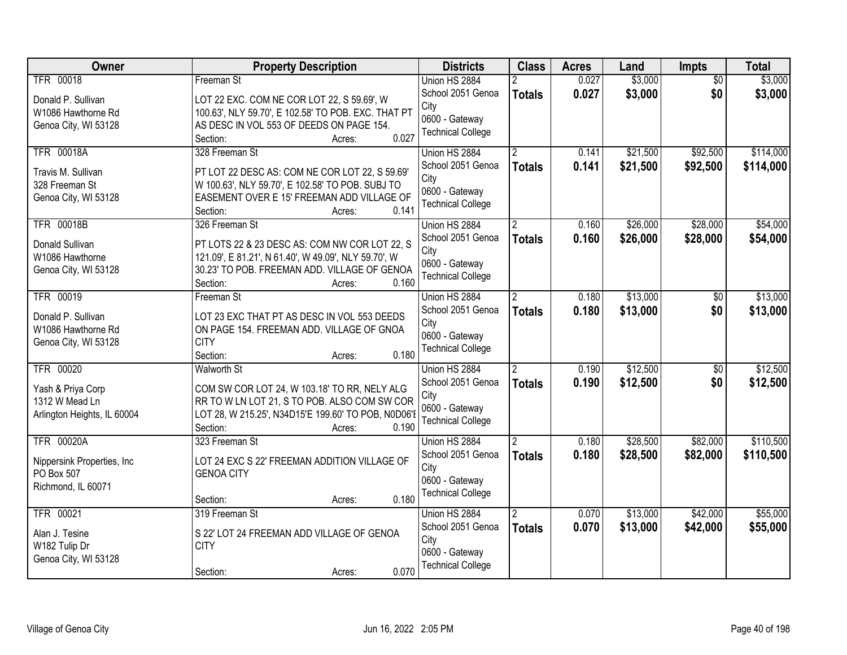| <b>Owner</b>                | <b>Property Description</b>                          | <b>Districts</b>         | <b>Class</b>   | <b>Acres</b> | Land     | Impts           | <b>Total</b> |
|-----------------------------|------------------------------------------------------|--------------------------|----------------|--------------|----------|-----------------|--------------|
| <b>TFR 00018</b>            | Freeman St                                           | Union HS 2884            |                | 0.027        | \$3,000  | $\overline{50}$ | \$3,000      |
| Donald P. Sullivan          | LOT 22 EXC. COM NE COR LOT 22, S 59.69', W           | School 2051 Genoa        | <b>Totals</b>  | 0.027        | \$3,000  | \$0             | \$3,000      |
| W1086 Hawthorne Rd          | 100.63', NLY 59.70', E 102.58' TO POB. EXC. THAT PT  | City                     |                |              |          |                 |              |
| Genoa City, WI 53128        | AS DESC IN VOL 553 OF DEEDS ON PAGE 154.             | 0600 - Gateway           |                |              |          |                 |              |
|                             | 0.027<br>Section:<br>Acres:                          | <b>Technical College</b> |                |              |          |                 |              |
| <b>TFR 00018A</b>           | 328 Freeman St                                       | Union HS 2884            |                | 0.141        | \$21,500 | \$92,500        | \$114,000    |
| Travis M. Sullivan          | PT LOT 22 DESC AS: COM NE COR LOT 22, S 59.69'       | School 2051 Genoa        | <b>Totals</b>  | 0.141        | \$21,500 | \$92,500        | \$114,000    |
| 328 Freeman St              | W 100.63', NLY 59.70', E 102.58' TO POB. SUBJ TO     | City                     |                |              |          |                 |              |
| Genoa City, WI 53128        | EASEMENT OVER E 15' FREEMAN ADD VILLAGE OF           | 0600 - Gateway           |                |              |          |                 |              |
|                             | 0.141<br>Section:<br>Acres:                          | <b>Technical College</b> |                |              |          |                 |              |
| <b>TFR 00018B</b>           | 326 Freeman St                                       | Union HS 2884            |                | 0.160        | \$26,000 | \$28,000        | \$54,000     |
| Donald Sullivan             | PT LOTS 22 & 23 DESC AS: COM NW COR LOT 22, S        | School 2051 Genoa        | <b>Totals</b>  | 0.160        | \$26,000 | \$28,000        | \$54,000     |
| W1086 Hawthorne             | 121.09', E 81.21', N 61.40', W 49.09', NLY 59.70', W | City                     |                |              |          |                 |              |
| Genoa City, WI 53128        | 30.23' TO POB. FREEMAN ADD. VILLAGE OF GENOA         | 0600 - Gateway           |                |              |          |                 |              |
|                             | Section:<br>0.160<br>Acres:                          | <b>Technical College</b> |                |              |          |                 |              |
| <b>TFR 00019</b>            | Freeman St                                           | Union HS 2884            | $\overline{2}$ | 0.180        | \$13,000 | \$0             | \$13,000     |
|                             |                                                      | School 2051 Genoa        | <b>Totals</b>  | 0.180        | \$13,000 | \$0             | \$13,000     |
| Donald P. Sullivan          | LOT 23 EXC THAT PT AS DESC IN VOL 553 DEEDS          | City                     |                |              |          |                 |              |
| W1086 Hawthorne Rd          | ON PAGE 154. FREEMAN ADD. VILLAGE OF GNOA            | 0600 - Gateway           |                |              |          |                 |              |
| Genoa City, WI 53128        | <b>CITY</b>                                          | <b>Technical College</b> |                |              |          |                 |              |
|                             | 0.180<br>Section:<br>Acres:                          |                          |                |              |          |                 |              |
| <b>TFR 00020</b>            | Walworth St                                          | Union HS 2884            | 2              | 0.190        | \$12,500 | $\overline{50}$ | \$12,500     |
| Yash & Priya Corp           | COM SW COR LOT 24, W 103.18' TO RR, NELY ALG         | School 2051 Genoa        | <b>Totals</b>  | 0.190        | \$12,500 | \$0             | \$12,500     |
| 1312 W Mead Ln              | RR TO W LN LOT 21, S TO POB. ALSO COM SW COR         | City<br>0600 - Gateway   |                |              |          |                 |              |
| Arlington Heights, IL 60004 | LOT 28, W 215.25', N34D15'E 199.60' TO POB, N0D06'I  | <b>Technical College</b> |                |              |          |                 |              |
|                             | Section:<br>0.190<br>Acres:                          |                          |                |              |          |                 |              |
| <b>TFR 00020A</b>           | 323 Freeman St                                       | Union HS 2884            |                | 0.180        | \$28,500 | \$82,000        | \$110,500    |
| Nippersink Properties, Inc. | LOT 24 EXC S 22' FREEMAN ADDITION VILLAGE OF         | School 2051 Genoa        | <b>Totals</b>  | 0.180        | \$28,500 | \$82,000        | \$110,500    |
| PO Box 507                  | <b>GENOA CITY</b>                                    | City                     |                |              |          |                 |              |
| Richmond, IL 60071          |                                                      | 0600 - Gateway           |                |              |          |                 |              |
|                             | 0.180<br>Section:<br>Acres:                          | <b>Technical College</b> |                |              |          |                 |              |
| <b>TFR 00021</b>            | 319 Freeman St                                       | Union HS 2884            | 2              | 0.070        | \$13,000 | \$42,000        | \$55,000     |
| Alan J. Tesine              | S 22' LOT 24 FREEMAN ADD VILLAGE OF GENOA            | School 2051 Genoa        | <b>Totals</b>  | 0.070        | \$13,000 | \$42,000        | \$55,000     |
| W182 Tulip Dr               | <b>CITY</b>                                          | City                     |                |              |          |                 |              |
| Genoa City, WI 53128        |                                                      | 0600 - Gateway           |                |              |          |                 |              |
|                             | 0.070<br>Section:<br>Acres:                          | <b>Technical College</b> |                |              |          |                 |              |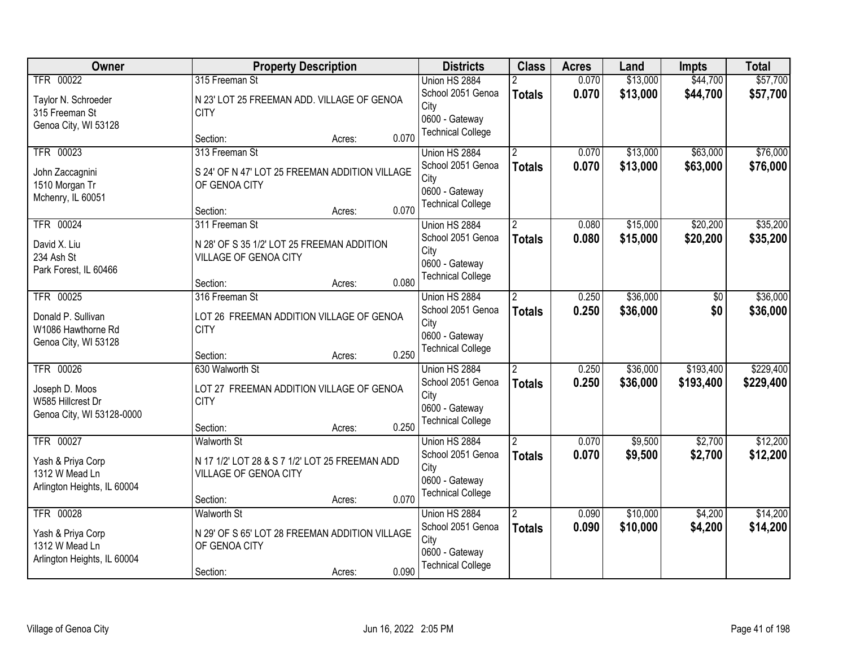| Owner                       |                                                | <b>Property Description</b> |       | <b>Districts</b>         | <b>Class</b>          | <b>Acres</b> | Land     | <b>Impts</b>   | <b>Total</b> |
|-----------------------------|------------------------------------------------|-----------------------------|-------|--------------------------|-----------------------|--------------|----------|----------------|--------------|
| TFR 00022                   | 315 Freeman St                                 |                             |       | Union HS 2884            |                       | 0.070        | \$13,000 | \$44,700       | \$57,700     |
| Taylor N. Schroeder         | N 23' LOT 25 FREEMAN ADD. VILLAGE OF GENOA     |                             |       | School 2051 Genoa        | <b>Totals</b>         | 0.070        | \$13,000 | \$44,700       | \$57,700     |
| 315 Freeman St              | <b>CITY</b>                                    |                             |       | City                     |                       |              |          |                |              |
| Genoa City, WI 53128        |                                                |                             |       | 0600 - Gateway           |                       |              |          |                |              |
|                             | Section:                                       | Acres:                      | 0.070 | <b>Technical College</b> |                       |              |          |                |              |
| TFR 00023                   | 313 Freeman St                                 |                             |       | Union HS 2884            |                       | 0.070        | \$13,000 | \$63,000       | \$76,000     |
| John Zaccagnini             | S 24' OF N 47' LOT 25 FREEMAN ADDITION VILLAGE |                             |       | School 2051 Genoa        | <b>Totals</b>         | 0.070        | \$13,000 | \$63,000       | \$76,000     |
| 1510 Morgan Tr              | OF GENOA CITY                                  |                             |       | City                     |                       |              |          |                |              |
| Mchenry, IL 60051           |                                                |                             |       | 0600 - Gateway           |                       |              |          |                |              |
|                             | Section:                                       | Acres:                      | 0.070 | <b>Technical College</b> |                       |              |          |                |              |
| TFR 00024                   | 311 Freeman St                                 |                             |       | Union HS 2884            | 2                     | 0.080        | \$15,000 | \$20,200       | \$35,200     |
| David X. Liu                | N 28' OF S 35 1/2' LOT 25 FREEMAN ADDITION     |                             |       | School 2051 Genoa        | <b>Totals</b>         | 0.080        | \$15,000 | \$20,200       | \$35,200     |
| 234 Ash St                  | VILLAGE OF GENOA CITY                          |                             |       | City                     |                       |              |          |                |              |
| Park Forest, IL 60466       |                                                |                             |       | 0600 - Gateway           |                       |              |          |                |              |
|                             | Section:                                       | Acres:                      | 0.080 | <b>Technical College</b> |                       |              |          |                |              |
| TFR 00025                   | 316 Freeman St                                 |                             |       | Union HS 2884            | $\mathbf{2}^{\prime}$ | 0.250        | \$36,000 | $\frac{1}{20}$ | \$36,000     |
| Donald P. Sullivan          | LOT 26 FREEMAN ADDITION VILLAGE OF GENOA       |                             |       | School 2051 Genoa        | <b>Totals</b>         | 0.250        | \$36,000 | \$0            | \$36,000     |
| W1086 Hawthorne Rd          | <b>CITY</b>                                    |                             |       | City                     |                       |              |          |                |              |
| Genoa City, WI 53128        |                                                |                             |       | 0600 - Gateway           |                       |              |          |                |              |
|                             | Section:                                       | Acres:                      | 0.250 | <b>Technical College</b> |                       |              |          |                |              |
| <b>TFR 00026</b>            | 630 Walworth St                                |                             |       | Union HS 2884            | $\overline{2}$        | 0.250        | \$36,000 | \$193,400      | \$229,400    |
| Joseph D. Moos              | LOT 27 FREEMAN ADDITION VILLAGE OF GENOA       |                             |       | School 2051 Genoa        | <b>Totals</b>         | 0.250        | \$36,000 | \$193,400      | \$229,400    |
| W585 Hillcrest Dr           | <b>CITY</b>                                    |                             |       | City                     |                       |              |          |                |              |
| Genoa City, WI 53128-0000   |                                                |                             |       | 0600 - Gateway           |                       |              |          |                |              |
|                             | Section:                                       | Acres:                      | 0.250 | <b>Technical College</b> |                       |              |          |                |              |
| TFR 00027                   | <b>Walworth St</b>                             |                             |       | Union HS 2884            | $\overline{2}$        | 0.070        | \$9,500  | \$2,700        | \$12,200     |
| Yash & Priya Corp           | N 17 1/2' LOT 28 & S 7 1/2' LOT 25 FREEMAN ADD |                             |       | School 2051 Genoa        | <b>Totals</b>         | 0.070        | \$9,500  | \$2,700        | \$12,200     |
| 1312 W Mead Ln              | VILLAGE OF GENOA CITY                          |                             |       | City                     |                       |              |          |                |              |
| Arlington Heights, IL 60004 |                                                |                             |       | 0600 - Gateway           |                       |              |          |                |              |
|                             | Section:                                       | Acres:                      | 0.070 | <b>Technical College</b> |                       |              |          |                |              |
| TFR 00028                   | <b>Walworth St</b>                             |                             |       | Union HS 2884            | $\overline{2}$        | 0.090        | \$10,000 | \$4,200        | \$14,200     |
| Yash & Priya Corp           | N 29' OF S 65' LOT 28 FREEMAN ADDITION VILLAGE |                             |       | School 2051 Genoa        | <b>Totals</b>         | 0.090        | \$10,000 | \$4,200        | \$14,200     |
| 1312 W Mead Ln              | OF GENOA CITY                                  |                             |       | City                     |                       |              |          |                |              |
| Arlington Heights, IL 60004 |                                                |                             |       | 0600 - Gateway           |                       |              |          |                |              |
|                             | Section:                                       | Acres:                      | 0.090 | <b>Technical College</b> |                       |              |          |                |              |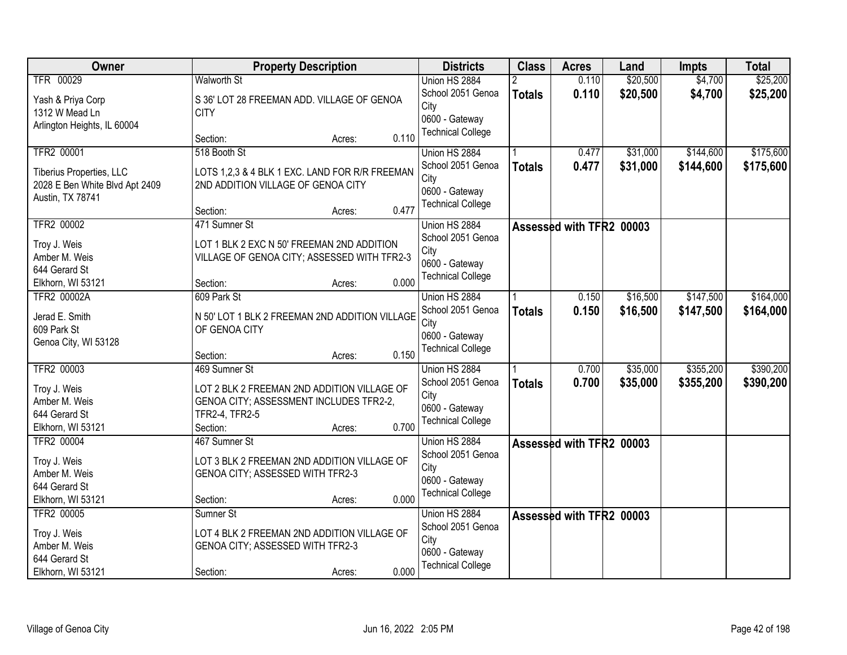| Owner                          | <b>Property Description</b>                                     | <b>Districts</b>         | <b>Class</b>  | <b>Acres</b>             | Land     | <b>Impts</b> | <b>Total</b> |
|--------------------------------|-----------------------------------------------------------------|--------------------------|---------------|--------------------------|----------|--------------|--------------|
| TFR 00029                      | <b>Walworth St</b>                                              | Union HS 2884            |               | 0.110                    | \$20,500 | \$4,700      | \$25,200     |
| Yash & Priya Corp              | S 36' LOT 28 FREEMAN ADD. VILLAGE OF GENOA                      | School 2051 Genoa        | <b>Totals</b> | 0.110                    | \$20,500 | \$4,700      | \$25,200     |
| 1312 W Mead Ln                 | <b>CITY</b>                                                     | City                     |               |                          |          |              |              |
| Arlington Heights, IL 60004    |                                                                 | 0600 - Gateway           |               |                          |          |              |              |
|                                | 0.110<br>Section:<br>Acres:                                     | <b>Technical College</b> |               |                          |          |              |              |
| TFR2 00001                     | 518 Booth St                                                    | Union HS 2884            |               | 0.477                    | \$31,000 | \$144,600    | \$175,600    |
| Tiberius Properties, LLC       | LOTS 1,2,3 & 4 BLK 1 EXC. LAND FOR R/R FREEMAN                  | School 2051 Genoa        | <b>Totals</b> | 0.477                    | \$31,000 | \$144,600    | \$175,600    |
| 2028 E Ben White Blvd Apt 2409 | 2ND ADDITION VILLAGE OF GENOA CITY                              | City                     |               |                          |          |              |              |
| Austin, TX 78741               |                                                                 | 0600 - Gateway           |               |                          |          |              |              |
|                                | 0.477<br>Section:<br>Acres:                                     | <b>Technical College</b> |               |                          |          |              |              |
| TFR2 00002                     | 471 Sumner St                                                   | Union HS 2884            |               | Assessed with TFR2 00003 |          |              |              |
| Troy J. Weis                   | LOT 1 BLK 2 EXC N 50' FREEMAN 2ND ADDITION                      | School 2051 Genoa        |               |                          |          |              |              |
| Amber M. Weis                  | VILLAGE OF GENOA CITY; ASSESSED WITH TFR2-3                     | City                     |               |                          |          |              |              |
| 644 Gerard St                  |                                                                 | 0600 - Gateway           |               |                          |          |              |              |
| Elkhorn, WI 53121              | 0.000<br>Section:<br>Acres:                                     | <b>Technical College</b> |               |                          |          |              |              |
| TFR2 00002A                    | 609 Park St                                                     | Union HS 2884            |               | 0.150                    | \$16,500 | \$147,500    | \$164,000    |
|                                |                                                                 | School 2051 Genoa        | <b>Totals</b> | 0.150                    | \$16,500 | \$147,500    | \$164,000    |
| Jerad E. Smith<br>609 Park St  | N 50' LOT 1 BLK 2 FREEMAN 2ND ADDITION VILLAGE<br>OF GENOA CITY | City                     |               |                          |          |              |              |
| Genoa City, WI 53128           |                                                                 | 0600 - Gateway           |               |                          |          |              |              |
|                                | 0.150<br>Section:<br>Acres:                                     | <b>Technical College</b> |               |                          |          |              |              |
| TFR2 00003                     | 469 Sumner St                                                   | Union HS 2884            |               | 0.700                    | \$35,000 | \$355,200    | \$390,200    |
|                                |                                                                 | School 2051 Genoa        | <b>Totals</b> | 0.700                    | \$35,000 | \$355,200    | \$390,200    |
| Troy J. Weis                   | LOT 2 BLK 2 FREEMAN 2ND ADDITION VILLAGE OF                     | City                     |               |                          |          |              |              |
| Amber M. Weis                  | GENOA CITY; ASSESSMENT INCLUDES TFR2-2,                         | 0600 - Gateway           |               |                          |          |              |              |
| 644 Gerard St                  | TFR2-4, TFR2-5                                                  | <b>Technical College</b> |               |                          |          |              |              |
| Elkhorn, WI 53121              | 0.700<br>Section:<br>Acres:                                     |                          |               |                          |          |              |              |
| TFR2 00004                     | 467 Sumner St                                                   | Union HS 2884            |               | Assessed with TFR2 00003 |          |              |              |
| Troy J. Weis                   | LOT 3 BLK 2 FREEMAN 2ND ADDITION VILLAGE OF                     | School 2051 Genoa        |               |                          |          |              |              |
| Amber M. Weis                  | GENOA CITY; ASSESSED WITH TFR2-3                                | City<br>0600 - Gateway   |               |                          |          |              |              |
| 644 Gerard St                  |                                                                 | <b>Technical College</b> |               |                          |          |              |              |
| Elkhorn, WI 53121              | 0.000<br>Section:<br>Acres:                                     |                          |               |                          |          |              |              |
| TFR2 00005                     | Sumner St                                                       | Union HS 2884            |               | Assessed with TFR2 00003 |          |              |              |
| Troy J. Weis                   | LOT 4 BLK 2 FREEMAN 2ND ADDITION VILLAGE OF                     | School 2051 Genoa        |               |                          |          |              |              |
| Amber M. Weis                  | GENOA CITY; ASSESSED WITH TFR2-3                                | City                     |               |                          |          |              |              |
| 644 Gerard St                  |                                                                 | 0600 - Gateway           |               |                          |          |              |              |
| Elkhorn, WI 53121              | 0.000<br>Section:<br>Acres:                                     | <b>Technical College</b> |               |                          |          |              |              |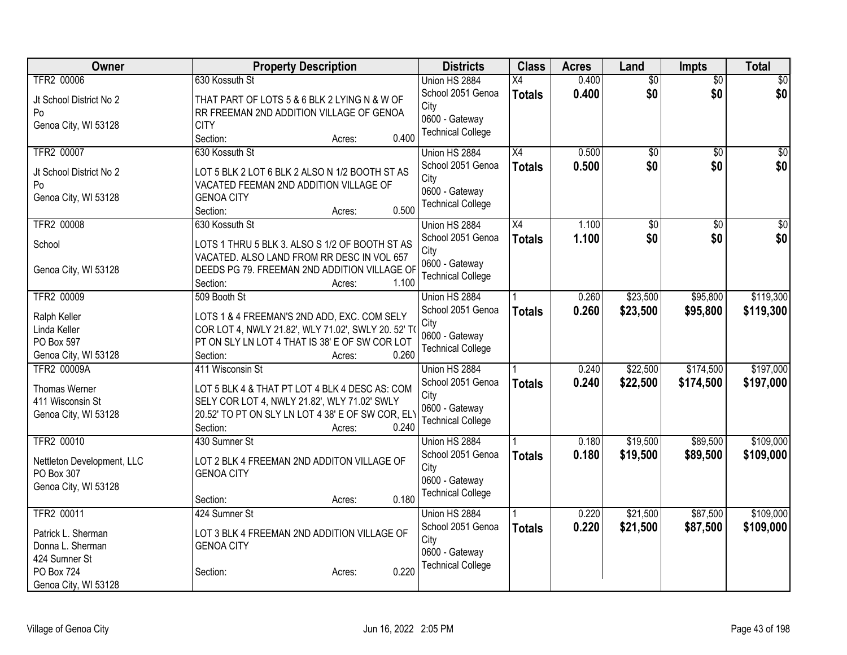| Owner                      | <b>Property Description</b>                        | <b>Districts</b>          | <b>Class</b>    | <b>Acres</b> | Land            | Impts           | <b>Total</b>    |
|----------------------------|----------------------------------------------------|---------------------------|-----------------|--------------|-----------------|-----------------|-----------------|
| <b>TFR2 00006</b>          | 630 Kossuth St                                     | Union HS 2884             | $\overline{X4}$ | 0.400        | $\overline{60}$ | $\overline{50}$ | \$0             |
| Jt School District No 2    | THAT PART OF LOTS 5 & 6 BLK 2 LYING N & W OF       | School 2051 Genoa         | <b>Totals</b>   | 0.400        | \$0             | \$0             | \$0             |
| Po                         | RR FREEMAN 2ND ADDITION VILLAGE OF GENOA           | City                      |                 |              |                 |                 |                 |
| Genoa City, WI 53128       | <b>CITY</b>                                        | 0600 - Gateway            |                 |              |                 |                 |                 |
|                            | 0.400<br>Section:<br>Acres:                        | <b>Technical College</b>  |                 |              |                 |                 |                 |
| TFR2 00007                 | 630 Kossuth St                                     | Union HS 2884             | $\overline{X4}$ | 0.500        | \$0             | \$0             | \$0             |
|                            |                                                    | School 2051 Genoa         | <b>Totals</b>   | 0.500        | \$0             | \$0             | \$0             |
| Jt School District No 2    | LOT 5 BLK 2 LOT 6 BLK 2 ALSO N 1/2 BOOTH ST AS     | City                      |                 |              |                 |                 |                 |
| Po                         | VACATED FEEMAN 2ND ADDITION VILLAGE OF             | 0600 - Gateway            |                 |              |                 |                 |                 |
| Genoa City, WI 53128       | <b>GENOA CITY</b><br>0.500                         | <b>Technical College</b>  |                 |              |                 |                 |                 |
|                            | Section:<br>Acres:                                 |                           |                 |              |                 |                 |                 |
| <b>TFR2 00008</b>          | 630 Kossuth St                                     | Union HS 2884             | $\overline{X4}$ | 1.100        | \$0             | $\overline{50}$ | $\overline{50}$ |
| School                     | LOTS 1 THRU 5 BLK 3. ALSO S 1/2 OF BOOTH ST AS     | School 2051 Genoa<br>City | <b>Totals</b>   | 1.100        | \$0             | \$0             | \$0             |
|                            | VACATED. ALSO LAND FROM RR DESC IN VOL 657         | 0600 - Gateway            |                 |              |                 |                 |                 |
| Genoa City, WI 53128       | DEEDS PG 79. FREEMAN 2ND ADDITION VILLAGE OF       | <b>Technical College</b>  |                 |              |                 |                 |                 |
|                            | 1.100<br>Section:<br>Acres:                        |                           |                 |              |                 |                 |                 |
| <b>TFR2 00009</b>          | 509 Booth St                                       | Union HS 2884             |                 | 0.260        | \$23,500        | \$95,800        | \$119,300       |
| Ralph Keller               | LOTS 1 & 4 FREEMAN'S 2ND ADD, EXC. COM SELY        | School 2051 Genoa         | <b>Totals</b>   | 0.260        | \$23,500        | \$95,800        | \$119,300       |
| Linda Keller               | COR LOT 4, NWLY 21.82', WLY 71.02', SWLY 20. 52' T | City                      |                 |              |                 |                 |                 |
| PO Box 597                 | PT ON SLY LN LOT 4 THAT IS 38' E OF SW COR LOT     | 0600 - Gateway            |                 |              |                 |                 |                 |
| Genoa City, WI 53128       | 0.260<br>Section:<br>Acres:                        | <b>Technical College</b>  |                 |              |                 |                 |                 |
| <b>TFR2 00009A</b>         | 411 Wisconsin St                                   | Union HS 2884             |                 | 0.240        | \$22,500        | \$174,500       | \$197,000       |
|                            |                                                    | School 2051 Genoa         | <b>Totals</b>   | 0.240        | \$22,500        | \$174,500       | \$197,000       |
| Thomas Werner              | LOT 5 BLK 4 & THAT PT LOT 4 BLK 4 DESC AS: COM     | City                      |                 |              |                 |                 |                 |
| 411 Wisconsin St           | SELY COR LOT 4, NWLY 21.82', WLY 71.02' SWLY       | 0600 - Gateway            |                 |              |                 |                 |                 |
| Genoa City, WI 53128       | 20.52' TO PT ON SLY LN LOT 4 38' E OF SW COR, ELY  | <b>Technical College</b>  |                 |              |                 |                 |                 |
|                            | 0.240<br>Section:<br>Acres:                        |                           |                 |              |                 |                 |                 |
| <b>TFR2 00010</b>          | 430 Sumner St                                      | Union HS 2884             |                 | 0.180        | \$19,500        | \$89,500        | \$109,000       |
| Nettleton Development, LLC | LOT 2 BLK 4 FREEMAN 2ND ADDITON VILLAGE OF         | School 2051 Genoa         | <b>Totals</b>   | 0.180        | \$19,500        | \$89,500        | \$109,000       |
| PO Box 307                 | <b>GENOA CITY</b>                                  | City                      |                 |              |                 |                 |                 |
| Genoa City, WI 53128       |                                                    | 0600 - Gateway            |                 |              |                 |                 |                 |
|                            | 0.180<br>Section:<br>Acres:                        | <b>Technical College</b>  |                 |              |                 |                 |                 |
| TFR2 00011                 | 424 Sumner St                                      | Union HS 2884             |                 | 0.220        | \$21,500        | \$87,500        | \$109,000       |
| Patrick L. Sherman         | LOT 3 BLK 4 FREEMAN 2ND ADDITION VILLAGE OF        | School 2051 Genoa         | <b>Totals</b>   | 0.220        | \$21,500        | \$87,500        | \$109,000       |
| Donna L. Sherman           | <b>GENOA CITY</b>                                  | City                      |                 |              |                 |                 |                 |
| 424 Sumner St              |                                                    | 0600 - Gateway            |                 |              |                 |                 |                 |
| <b>PO Box 724</b>          | 0.220<br>Section:<br>Acres:                        | <b>Technical College</b>  |                 |              |                 |                 |                 |
| Genoa City, WI 53128       |                                                    |                           |                 |              |                 |                 |                 |
|                            |                                                    |                           |                 |              |                 |                 |                 |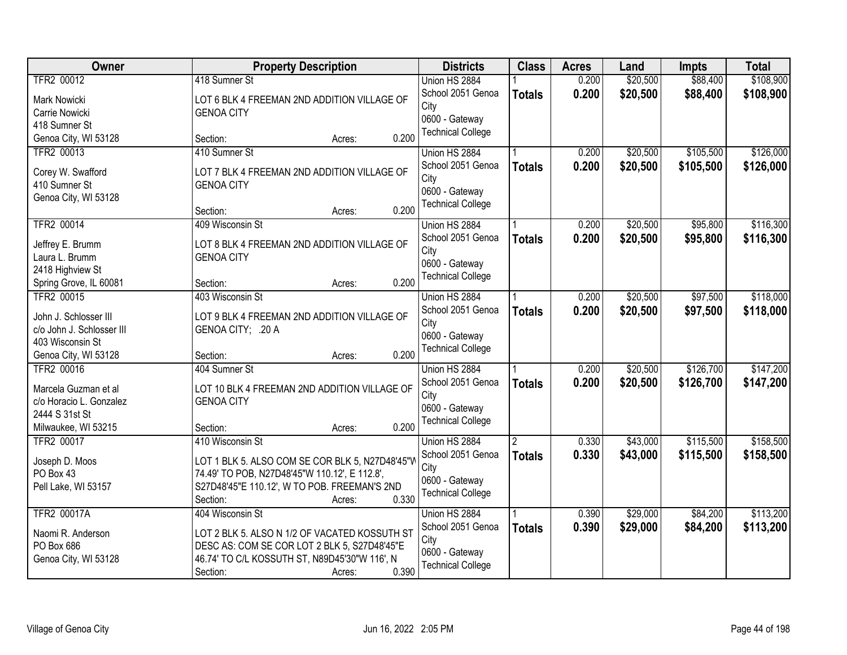| Owner                     | <b>Property Description</b>                     | <b>Districts</b>         | <b>Class</b>   | <b>Acres</b> | Land     | <b>Impts</b> | <b>Total</b> |
|---------------------------|-------------------------------------------------|--------------------------|----------------|--------------|----------|--------------|--------------|
| TFR2 00012                | 418 Sumner St                                   | Union HS 2884            |                | 0.200        | \$20,500 | \$88,400     | \$108,900    |
| Mark Nowicki              | LOT 6 BLK 4 FREEMAN 2ND ADDITION VILLAGE OF     | School 2051 Genoa        | <b>Totals</b>  | 0.200        | \$20,500 | \$88,400     | \$108,900    |
| Carrie Nowicki            | <b>GENOA CITY</b>                               | City                     |                |              |          |              |              |
| 418 Sumner St             |                                                 | 0600 - Gateway           |                |              |          |              |              |
| Genoa City, WI 53128      | 0.200<br>Section:<br>Acres:                     | <b>Technical College</b> |                |              |          |              |              |
| TFR2 00013                | 410 Sumner St                                   | Union HS 2884            |                | 0.200        | \$20,500 | \$105,500    | \$126,000    |
| Corey W. Swafford         | LOT 7 BLK 4 FREEMAN 2ND ADDITION VILLAGE OF     | School 2051 Genoa        | <b>Totals</b>  | 0.200        | \$20,500 | \$105,500    | \$126,000    |
| 410 Sumner St             | <b>GENOA CITY</b>                               | City                     |                |              |          |              |              |
| Genoa City, WI 53128      |                                                 | 0600 - Gateway           |                |              |          |              |              |
|                           | 0.200<br>Section:<br>Acres:                     | <b>Technical College</b> |                |              |          |              |              |
| TFR2 00014                | 409 Wisconsin St                                | Union HS 2884            |                | 0.200        | \$20,500 | \$95,800     | \$116,300    |
| Jeffrey E. Brumm          | LOT 8 BLK 4 FREEMAN 2ND ADDITION VILLAGE OF     | School 2051 Genoa        | <b>Totals</b>  | 0.200        | \$20,500 | \$95,800     | \$116,300    |
| Laura L. Brumm            | <b>GENOA CITY</b>                               | City                     |                |              |          |              |              |
| 2418 Highview St          |                                                 | 0600 - Gateway           |                |              |          |              |              |
| Spring Grove, IL 60081    | 0.200<br>Section:<br>Acres:                     | <b>Technical College</b> |                |              |          |              |              |
| TFR2 00015                | 403 Wisconsin St                                | Union HS 2884            |                | 0.200        | \$20,500 | \$97,500     | \$118,000    |
|                           |                                                 | School 2051 Genoa        | <b>Totals</b>  | 0.200        | \$20,500 | \$97,500     | \$118,000    |
| John J. Schlosser III     | LOT 9 BLK 4 FREEMAN 2ND ADDITION VILLAGE OF     | City                     |                |              |          |              |              |
| c/o John J. Schlosser III | GENOA CITY; .20 A                               | 0600 - Gateway           |                |              |          |              |              |
| 403 Wisconsin St          |                                                 | <b>Technical College</b> |                |              |          |              |              |
| Genoa City, WI 53128      | 0.200<br>Section:<br>Acres:                     |                          |                |              |          |              |              |
| TFR2 00016                | 404 Sumner St                                   | Union HS 2884            |                | 0.200        | \$20,500 | \$126,700    | \$147,200    |
| Marcela Guzman et al      | LOT 10 BLK 4 FREEMAN 2ND ADDITION VILLAGE OF    | School 2051 Genoa        | <b>Totals</b>  | 0.200        | \$20,500 | \$126,700    | \$147,200    |
| c/o Horacio L. Gonzalez   | <b>GENOA CITY</b>                               | City                     |                |              |          |              |              |
| 2444 S 31st St            |                                                 | 0600 - Gateway           |                |              |          |              |              |
| Milwaukee, WI 53215       | 0.200<br>Section:<br>Acres:                     | <b>Technical College</b> |                |              |          |              |              |
| TFR2 00017                | 410 Wisconsin St                                | Union HS 2884            | $\overline{2}$ | 0.330        | \$43,000 | \$115,500    | \$158,500    |
| Joseph D. Moos            | LOT 1 BLK 5. ALSO COM SE COR BLK 5, N27D48'45"V | School 2051 Genoa        | <b>Totals</b>  | 0.330        | \$43,000 | \$115,500    | \$158,500    |
| PO Box 43                 | 74.49' TO POB, N27D48'45"W 110.12', E 112.8',   | City                     |                |              |          |              |              |
| Pell Lake, WI 53157       | S27D48'45"E 110.12', W TO POB. FREEMAN'S 2ND    | 0600 - Gateway           |                |              |          |              |              |
|                           | 0.330<br>Section:<br>Acres:                     | <b>Technical College</b> |                |              |          |              |              |
| <b>TFR2 00017A</b>        | 404 Wisconsin St                                | Union HS 2884            |                | 0.390        | \$29,000 | \$84,200     | \$113,200    |
|                           |                                                 | School 2051 Genoa        | <b>Totals</b>  | 0.390        | \$29,000 | \$84,200     | \$113,200    |
| Naomi R. Anderson         | LOT 2 BLK 5. ALSO N 1/2 OF VACATED KOSSUTH ST   | City                     |                |              |          |              |              |
| PO Box 686                | DESC AS: COM SE COR LOT 2 BLK 5, S27D48'45"E    | 0600 - Gateway           |                |              |          |              |              |
| Genoa City, WI 53128      | 46.74' TO C/L KOSSUTH ST, N89D45'30"W 116', N   | <b>Technical College</b> |                |              |          |              |              |
|                           | 0.390<br>Section:<br>Acres:                     |                          |                |              |          |              |              |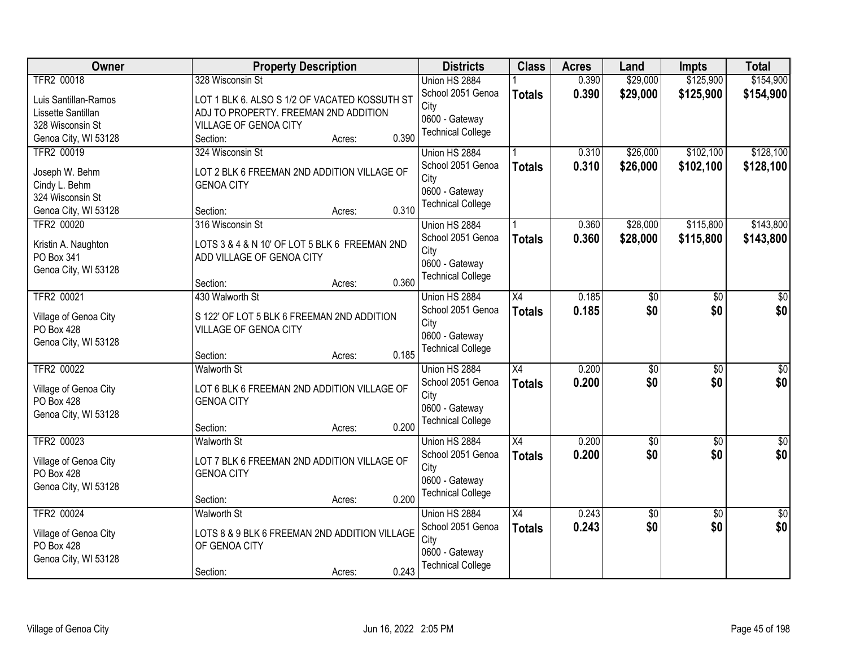| Owner                              | <b>Property Description</b>                   | <b>Districts</b>          | <b>Class</b>    | <b>Acres</b> | Land            | <b>Impts</b>    | <b>Total</b>    |
|------------------------------------|-----------------------------------------------|---------------------------|-----------------|--------------|-----------------|-----------------|-----------------|
| <b>TFR2 00018</b>                  | 328 Wisconsin St                              | Union HS 2884             |                 | 0.390        | \$29,000        | \$125,900       | \$154,900       |
| Luis Santillan-Ramos               | LOT 1 BLK 6. ALSO S 1/2 OF VACATED KOSSUTH ST | School 2051 Genoa         | <b>Totals</b>   | 0.390        | \$29,000        | \$125,900       | \$154,900       |
| Lissette Santillan                 | ADJ TO PROPERTY. FREEMAN 2ND ADDITION         | City                      |                 |              |                 |                 |                 |
| 328 Wisconsin St                   | VILLAGE OF GENOA CITY                         | 0600 - Gateway            |                 |              |                 |                 |                 |
| Genoa City, WI 53128               | 0.390<br>Section:<br>Acres:                   | <b>Technical College</b>  |                 |              |                 |                 |                 |
| TFR2 00019                         | 324 Wisconsin St                              | Union HS 2884             |                 | 0.310        | \$26,000        | \$102,100       | \$128,100       |
|                                    |                                               | School 2051 Genoa         | <b>Totals</b>   | 0.310        | \$26,000        | \$102,100       | \$128,100       |
| Joseph W. Behm                     | LOT 2 BLK 6 FREEMAN 2ND ADDITION VILLAGE OF   | City                      |                 |              |                 |                 |                 |
| Cindy L. Behm                      | <b>GENOA CITY</b>                             | 0600 - Gateway            |                 |              |                 |                 |                 |
| 324 Wisconsin St                   | 0.310                                         | <b>Technical College</b>  |                 |              |                 |                 |                 |
| Genoa City, WI 53128<br>TFR2 00020 | Section:<br>Acres:<br>316 Wisconsin St        |                           |                 | 0.360        | \$28,000        | \$115,800       | \$143,800       |
|                                    |                                               | Union HS 2884             |                 |              |                 |                 |                 |
| Kristin A. Naughton                | LOTS 3 & 4 & N 10' OF LOT 5 BLK 6 FREEMAN 2ND | School 2051 Genoa<br>City | <b>Totals</b>   | 0.360        | \$28,000        | \$115,800       | \$143,800       |
| PO Box 341                         | ADD VILLAGE OF GENOA CITY                     | 0600 - Gateway            |                 |              |                 |                 |                 |
| Genoa City, WI 53128               |                                               | <b>Technical College</b>  |                 |              |                 |                 |                 |
|                                    | 0.360<br>Section:<br>Acres:                   |                           |                 |              |                 |                 |                 |
| TFR2 00021                         | 430 Walworth St                               | Union HS 2884             | X4              | 0.185        | \$0             | \$0             | \$0             |
| Village of Genoa City              | S 122' OF LOT 5 BLK 6 FREEMAN 2ND ADDITION    | School 2051 Genoa         | <b>Totals</b>   | 0.185        | \$0             | \$0             | \$0             |
| PO Box 428                         | VILLAGE OF GENOA CITY                         | City                      |                 |              |                 |                 |                 |
| Genoa City, WI 53128               |                                               | 0600 - Gateway            |                 |              |                 |                 |                 |
|                                    | 0.185<br>Section:<br>Acres:                   | <b>Technical College</b>  |                 |              |                 |                 |                 |
| TFR2 00022                         | <b>Walworth St</b>                            | Union HS 2884             | $\overline{X4}$ | 0.200        | $\overline{50}$ | $\overline{50}$ | $\overline{50}$ |
|                                    |                                               | School 2051 Genoa         | <b>Totals</b>   | 0.200        | \$0             | \$0             | \$0             |
| Village of Genoa City              | LOT 6 BLK 6 FREEMAN 2ND ADDITION VILLAGE OF   | City                      |                 |              |                 |                 |                 |
| PO Box 428                         | <b>GENOA CITY</b>                             | 0600 - Gateway            |                 |              |                 |                 |                 |
| Genoa City, WI 53128               |                                               | <b>Technical College</b>  |                 |              |                 |                 |                 |
|                                    | 0.200<br>Section:<br>Acres:                   |                           |                 |              |                 |                 |                 |
| TFR2 00023                         | <b>Walworth St</b>                            | Union HS 2884             | $\overline{X4}$ | 0.200        | $\overline{60}$ | $\overline{50}$ | \$0             |
| Village of Genoa City              | LOT 7 BLK 6 FREEMAN 2ND ADDITION VILLAGE OF   | School 2051 Genoa         | <b>Totals</b>   | 0.200        | \$0             | \$0             | \$0             |
| PO Box 428                         | <b>GENOA CITY</b>                             | City                      |                 |              |                 |                 |                 |
| Genoa City, WI 53128               |                                               | 0600 - Gateway            |                 |              |                 |                 |                 |
|                                    | 0.200<br>Section:<br>Acres:                   | <b>Technical College</b>  |                 |              |                 |                 |                 |
| TFR2 00024                         | <b>Walworth St</b>                            | Union HS 2884             | $\overline{X4}$ | 0.243        | $\overline{50}$ | $\overline{30}$ | $\overline{50}$ |
|                                    |                                               | School 2051 Genoa         | <b>Totals</b>   | 0.243        | \$0             | \$0             | \$0             |
| Village of Genoa City              | LOTS 8 & 9 BLK 6 FREEMAN 2ND ADDITION VILLAGE | City                      |                 |              |                 |                 |                 |
| PO Box 428                         | OF GENOA CITY                                 | 0600 - Gateway            |                 |              |                 |                 |                 |
| Genoa City, WI 53128               |                                               | <b>Technical College</b>  |                 |              |                 |                 |                 |
|                                    | 0.243<br>Section:<br>Acres:                   |                           |                 |              |                 |                 |                 |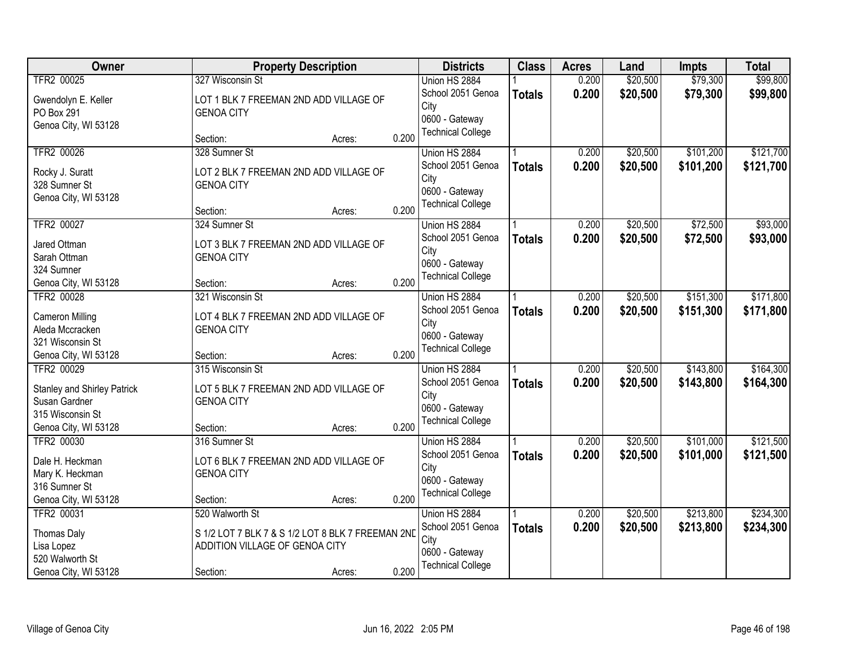| <b>Owner</b>                              |                                                             | <b>Property Description</b> |       | <b>Districts</b>         | <b>Class</b>  | <b>Acres</b> | Land     | <b>Impts</b> | <b>Total</b> |
|-------------------------------------------|-------------------------------------------------------------|-----------------------------|-------|--------------------------|---------------|--------------|----------|--------------|--------------|
| TFR2 00025                                | 327 Wisconsin St                                            |                             |       | Union HS 2884            |               | 0.200        | \$20,500 | \$79,300     | \$99,800     |
| Gwendolyn E. Keller                       | LOT 1 BLK 7 FREEMAN 2ND ADD VILLAGE OF                      |                             |       | School 2051 Genoa        | <b>Totals</b> | 0.200        | \$20,500 | \$79,300     | \$99,800     |
| PO Box 291                                | <b>GENOA CITY</b>                                           |                             |       | City                     |               |              |          |              |              |
| Genoa City, WI 53128                      |                                                             |                             |       | 0600 - Gateway           |               |              |          |              |              |
|                                           | Section:                                                    | Acres:                      | 0.200 | <b>Technical College</b> |               |              |          |              |              |
| TFR2 00026                                | 328 Sumner St                                               |                             |       | Union HS 2884            |               | 0.200        | \$20,500 | \$101,200    | \$121,700    |
| Rocky J. Suratt                           | LOT 2 BLK 7 FREEMAN 2ND ADD VILLAGE OF                      |                             |       | School 2051 Genoa        | <b>Totals</b> | 0.200        | \$20,500 | \$101,200    | \$121,700    |
| 328 Sumner St                             | <b>GENOA CITY</b>                                           |                             |       | City                     |               |              |          |              |              |
| Genoa City, WI 53128                      |                                                             |                             |       | 0600 - Gateway           |               |              |          |              |              |
|                                           | Section:                                                    | Acres:                      | 0.200 | <b>Technical College</b> |               |              |          |              |              |
| TFR2 00027                                | 324 Sumner St                                               |                             |       | Union HS 2884            |               | 0.200        | \$20,500 | \$72,500     | \$93,000     |
| Jared Ottman                              | LOT 3 BLK 7 FREEMAN 2ND ADD VILLAGE OF                      |                             |       | School 2051 Genoa        | <b>Totals</b> | 0.200        | \$20,500 | \$72,500     | \$93,000     |
| Sarah Ottman                              | <b>GENOA CITY</b>                                           |                             |       | City                     |               |              |          |              |              |
| 324 Sumner                                |                                                             |                             |       | 0600 - Gateway           |               |              |          |              |              |
| Genoa City, WI 53128                      | Section:                                                    | Acres:                      | 0.200 | <b>Technical College</b> |               |              |          |              |              |
| TFR2 00028                                | 321 Wisconsin St                                            |                             |       | Union HS 2884            |               | 0.200        | \$20,500 | \$151,300    | \$171,800    |
|                                           |                                                             |                             |       | School 2051 Genoa        | <b>Totals</b> | 0.200        | \$20,500 | \$151,300    | \$171,800    |
| <b>Cameron Milling</b><br>Aleda Mccracken | LOT 4 BLK 7 FREEMAN 2ND ADD VILLAGE OF<br><b>GENOA CITY</b> |                             |       | City                     |               |              |          |              |              |
| 321 Wisconsin St                          |                                                             |                             |       | 0600 - Gateway           |               |              |          |              |              |
| Genoa City, WI 53128                      | Section:                                                    | Acres:                      | 0.200 | <b>Technical College</b> |               |              |          |              |              |
| TFR2 00029                                | 315 Wisconsin St                                            |                             |       | Union HS 2884            |               | 0.200        | \$20,500 | \$143,800    | \$164,300    |
|                                           |                                                             |                             |       | School 2051 Genoa        | <b>Totals</b> | 0.200        | \$20,500 | \$143,800    | \$164,300    |
| <b>Stanley and Shirley Patrick</b>        | LOT 5 BLK 7 FREEMAN 2ND ADD VILLAGE OF                      |                             |       | City                     |               |              |          |              |              |
| Susan Gardner                             | <b>GENOA CITY</b>                                           |                             |       | 0600 - Gateway           |               |              |          |              |              |
| 315 Wisconsin St                          |                                                             |                             |       | <b>Technical College</b> |               |              |          |              |              |
| Genoa City, WI 53128                      | Section:                                                    | Acres:                      | 0.200 |                          |               |              |          |              |              |
| TFR2 00030                                | 316 Sumner St                                               |                             |       | Union HS 2884            |               | 0.200        | \$20,500 | \$101,000    | \$121,500    |
| Dale H. Heckman                           | LOT 6 BLK 7 FREEMAN 2ND ADD VILLAGE OF                      |                             |       | School 2051 Genoa        | <b>Totals</b> | 0.200        | \$20,500 | \$101,000    | \$121,500    |
| Mary K. Heckman                           | <b>GENOA CITY</b>                                           |                             |       | City<br>0600 - Gateway   |               |              |          |              |              |
| 316 Sumner St                             |                                                             |                             |       | <b>Technical College</b> |               |              |          |              |              |
| Genoa City, WI 53128                      | Section:                                                    | Acres:                      | 0.200 |                          |               |              |          |              |              |
| TFR2 00031                                | 520 Walworth St                                             |                             |       | Union HS 2884            |               | 0.200        | \$20,500 | \$213,800    | \$234,300    |
| <b>Thomas Daly</b>                        | S 1/2 LOT 7 BLK 7 & S 1/2 LOT 8 BLK 7 FREEMAN 2ND           |                             |       | School 2051 Genoa        | <b>Totals</b> | 0.200        | \$20,500 | \$213,800    | \$234,300    |
| Lisa Lopez                                | ADDITION VILLAGE OF GENOA CITY                              |                             |       | City                     |               |              |          |              |              |
| 520 Walworth St                           |                                                             |                             |       | 0600 - Gateway           |               |              |          |              |              |
| Genoa City, WI 53128                      | Section:                                                    | Acres:                      | 0.200 | <b>Technical College</b> |               |              |          |              |              |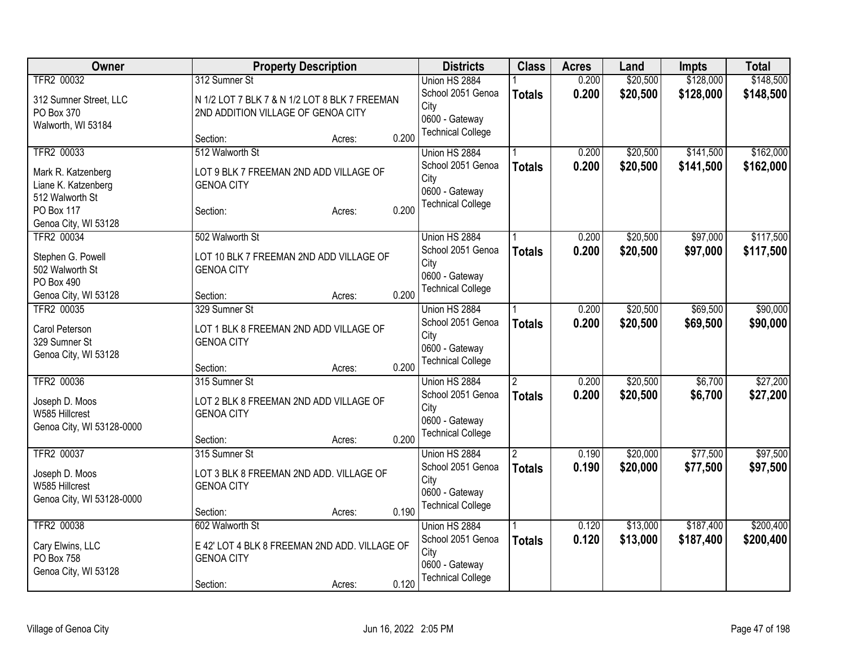| Owner                          | <b>Property Description</b>                   | <b>Districts</b>         | <b>Class</b>   | <b>Acres</b> | Land     | <b>Impts</b> | <b>Total</b> |
|--------------------------------|-----------------------------------------------|--------------------------|----------------|--------------|----------|--------------|--------------|
| TFR2 00032                     | 312 Sumner St                                 | Union HS 2884            |                | 0.200        | \$20,500 | \$128,000    | \$148,500    |
| 312 Sumner Street, LLC         | N 1/2 LOT 7 BLK 7 & N 1/2 LOT 8 BLK 7 FREEMAN | School 2051 Genoa        | <b>Totals</b>  | 0.200        | \$20,500 | \$128,000    | \$148,500    |
| PO Box 370                     | 2ND ADDITION VILLAGE OF GENOA CITY            | City                     |                |              |          |              |              |
| Walworth, WI 53184             |                                               | 0600 - Gateway           |                |              |          |              |              |
|                                | 0.200<br>Section:<br>Acres:                   | <b>Technical College</b> |                |              |          |              |              |
| TFR2 00033                     | 512 Walworth St                               | Union HS 2884            |                | 0.200        | \$20,500 | \$141,500    | \$162,000    |
| Mark R. Katzenberg             | LOT 9 BLK 7 FREEMAN 2ND ADD VILLAGE OF        | School 2051 Genoa        | <b>Totals</b>  | 0.200        | \$20,500 | \$141,500    | \$162,000    |
| Liane K. Katzenberg            | <b>GENOA CITY</b>                             | City                     |                |              |          |              |              |
| 512 Walworth St                |                                               | 0600 - Gateway           |                |              |          |              |              |
| PO Box 117                     | 0.200<br>Section:<br>Acres:                   | <b>Technical College</b> |                |              |          |              |              |
| Genoa City, WI 53128           |                                               |                          |                |              |          |              |              |
| TFR2 00034                     | 502 Walworth St                               | Union HS 2884            |                | 0.200        | \$20,500 | \$97,000     | \$117,500    |
|                                |                                               | School 2051 Genoa        | <b>Totals</b>  | 0.200        | \$20,500 | \$97,000     | \$117,500    |
| Stephen G. Powell              | LOT 10 BLK 7 FREEMAN 2ND ADD VILLAGE OF       | City                     |                |              |          |              |              |
| 502 Walworth St                | <b>GENOA CITY</b>                             | 0600 - Gateway           |                |              |          |              |              |
| PO Box 490                     |                                               | <b>Technical College</b> |                |              |          |              |              |
| Genoa City, WI 53128           | 0.200<br>Section:<br>Acres:                   |                          |                |              |          |              |              |
| TFR2 00035                     | 329 Sumner St                                 | Union HS 2884            |                | 0.200        | \$20,500 | \$69,500     | \$90,000     |
| Carol Peterson                 | LOT 1 BLK 8 FREEMAN 2ND ADD VILLAGE OF        | School 2051 Genoa        | <b>Totals</b>  | 0.200        | \$20,500 | \$69,500     | \$90,000     |
| 329 Sumner St                  | <b>GENOA CITY</b>                             | City                     |                |              |          |              |              |
| Genoa City, WI 53128           |                                               | 0600 - Gateway           |                |              |          |              |              |
|                                | 0.200<br>Section:<br>Acres:                   | <b>Technical College</b> |                |              |          |              |              |
| TFR2 00036                     | 315 Sumner St                                 | Union HS 2884            | $\overline{2}$ | 0.200        | \$20,500 | \$6,700      | \$27,200     |
|                                |                                               | School 2051 Genoa        | <b>Totals</b>  | 0.200        | \$20,500 | \$6,700      | \$27,200     |
| Joseph D. Moos                 | LOT 2 BLK 8 FREEMAN 2ND ADD VILLAGE OF        | City                     |                |              |          |              |              |
| W585 Hillcrest                 | <b>GENOA CITY</b>                             | 0600 - Gateway           |                |              |          |              |              |
| Genoa City, WI 53128-0000      |                                               | <b>Technical College</b> |                |              |          |              |              |
|                                | 0.200<br>Section:<br>Acres:                   |                          |                |              |          |              |              |
| TFR2 00037                     | 315 Sumner St                                 | Union HS 2884            | 2              | 0.190        | \$20,000 | \$77,500     | \$97,500     |
| Joseph D. Moos                 | LOT 3 BLK 8 FREEMAN 2ND ADD. VILLAGE OF       | School 2051 Genoa        | <b>Totals</b>  | 0.190        | \$20,000 | \$77,500     | \$97,500     |
| W585 Hillcrest                 | <b>GENOA CITY</b>                             | City                     |                |              |          |              |              |
| Genoa City, WI 53128-0000      |                                               | 0600 - Gateway           |                |              |          |              |              |
|                                | 0.190<br>Section:<br>Acres:                   | <b>Technical College</b> |                |              |          |              |              |
| TFR2 00038                     | 602 Walworth St                               | Union HS 2884            |                | 0.120        | \$13,000 | \$187,400    | \$200,400    |
|                                | E 42' LOT 4 BLK 8 FREEMAN 2ND ADD. VILLAGE OF | School 2051 Genoa        | <b>Totals</b>  | 0.120        | \$13,000 | \$187,400    | \$200,400    |
| Cary Elwins, LLC<br>PO Box 758 | <b>GENOA CITY</b>                             | City                     |                |              |          |              |              |
|                                |                                               | 0600 - Gateway           |                |              |          |              |              |
| Genoa City, WI 53128           | 0.120                                         | <b>Technical College</b> |                |              |          |              |              |
|                                | Section:<br>Acres:                            |                          |                |              |          |              |              |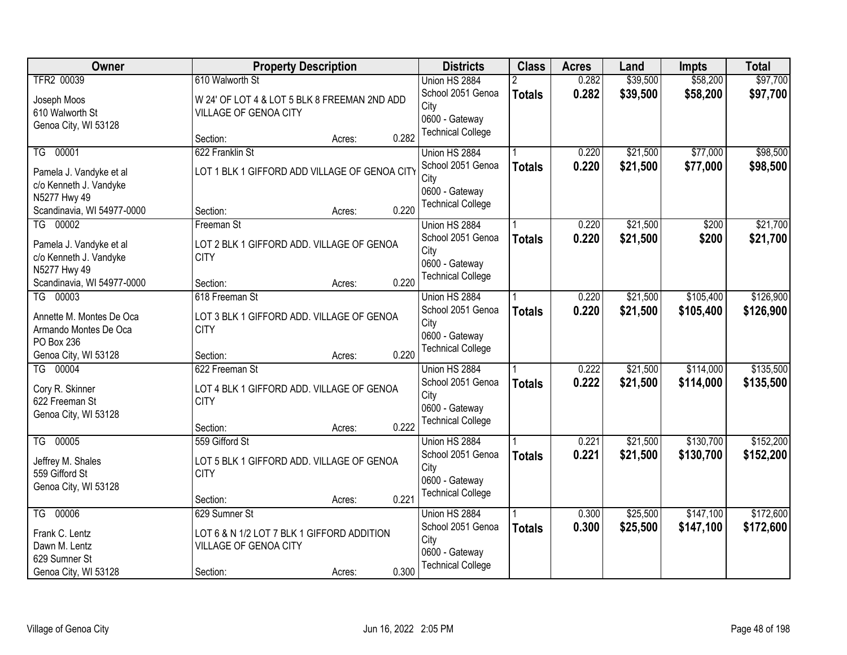| Owner                                             |                                                          | <b>Property Description</b>                |       | <b>Districts</b>         | <b>Class</b>  | <b>Acres</b> | Land     | <b>Impts</b> | <b>Total</b> |
|---------------------------------------------------|----------------------------------------------------------|--------------------------------------------|-------|--------------------------|---------------|--------------|----------|--------------|--------------|
| TFR2 00039                                        | 610 Walworth St                                          |                                            |       | Union HS 2884            |               | 0.282        | \$39,500 | \$58,200     | \$97,700     |
| Joseph Moos                                       | W 24' OF LOT 4 & LOT 5 BLK 8 FREEMAN 2ND ADD             |                                            |       | School 2051 Genoa        | <b>Totals</b> | 0.282        | \$39,500 | \$58,200     | \$97,700     |
| 610 Walworth St                                   | VILLAGE OF GENOA CITY                                    |                                            |       | City                     |               |              |          |              |              |
| Genoa City, WI 53128                              |                                                          |                                            |       | 0600 - Gateway           |               |              |          |              |              |
|                                                   | Section:                                                 | Acres:                                     | 0.282 | <b>Technical College</b> |               |              |          |              |              |
| TG 00001                                          | 622 Franklin St                                          |                                            |       | Union HS 2884            |               | 0.220        | \$21,500 | \$77,000     | \$98,500     |
| Pamela J. Vandyke et al                           | LOT 1 BLK 1 GIFFORD ADD VILLAGE OF GENOA CITY            |                                            |       | School 2051 Genoa        | <b>Totals</b> | 0.220        | \$21,500 | \$77,000     | \$98,500     |
| c/o Kenneth J. Vandyke                            |                                                          |                                            |       | City                     |               |              |          |              |              |
| N5277 Hwy 49                                      |                                                          |                                            |       | 0600 - Gateway           |               |              |          |              |              |
| Scandinavia, WI 54977-0000                        | Section:                                                 | Acres:                                     | 0.220 | <b>Technical College</b> |               |              |          |              |              |
| TG 00002                                          | Freeman St                                               |                                            |       | Union HS 2884            |               | 0.220        | \$21,500 | \$200        | \$21,700     |
| Pamela J. Vandyke et al                           | LOT 2 BLK 1 GIFFORD ADD. VILLAGE OF GENOA                |                                            |       | School 2051 Genoa        | <b>Totals</b> | 0.220        | \$21,500 | \$200        | \$21,700     |
| c/o Kenneth J. Vandyke                            | <b>CITY</b>                                              |                                            |       | City                     |               |              |          |              |              |
| N5277 Hwy 49                                      |                                                          |                                            |       | 0600 - Gateway           |               |              |          |              |              |
| Scandinavia, WI 54977-0000                        | Section:                                                 | Acres:                                     | 0.220 | <b>Technical College</b> |               |              |          |              |              |
| TG 00003                                          | 618 Freeman St                                           |                                            |       | Union HS 2884            |               | 0.220        | \$21,500 | \$105,400    | \$126,900    |
|                                                   |                                                          |                                            |       | School 2051 Genoa        | <b>Totals</b> | 0.220        | \$21,500 | \$105,400    | \$126,900    |
| Annette M. Montes De Oca<br>Armando Montes De Oca | LOT 3 BLK 1 GIFFORD ADD. VILLAGE OF GENOA<br><b>CITY</b> |                                            |       | City                     |               |              |          |              |              |
| PO Box 236                                        |                                                          |                                            |       | 0600 - Gateway           |               |              |          |              |              |
| Genoa City, WI 53128                              | Section:                                                 | Acres:                                     | 0.220 | <b>Technical College</b> |               |              |          |              |              |
| TG 00004                                          | 622 Freeman St                                           |                                            |       | Union HS 2884            |               | 0.222        | \$21,500 | \$114,000    | \$135,500    |
|                                                   |                                                          |                                            |       | School 2051 Genoa        | <b>Totals</b> | 0.222        | \$21,500 | \$114,000    | \$135,500    |
| Cory R. Skinner                                   | LOT 4 BLK 1 GIFFORD ADD. VILLAGE OF GENOA                |                                            |       | City                     |               |              |          |              |              |
| 622 Freeman St                                    | <b>CITY</b>                                              |                                            |       | 0600 - Gateway           |               |              |          |              |              |
| Genoa City, WI 53128                              |                                                          |                                            |       | <b>Technical College</b> |               |              |          |              |              |
| TG 00005                                          | Section:<br>559 Gifford St                               | Acres:                                     | 0.222 | Union HS 2884            |               | 0.221        | \$21,500 | \$130,700    | \$152,200    |
|                                                   |                                                          |                                            |       | School 2051 Genoa        |               | 0.221        | \$21,500 | \$130,700    |              |
| Jeffrey M. Shales                                 | LOT 5 BLK 1 GIFFORD ADD. VILLAGE OF GENOA                |                                            |       | City                     | <b>Totals</b> |              |          |              | \$152,200    |
| 559 Gifford St                                    | <b>CITY</b>                                              |                                            |       | 0600 - Gateway           |               |              |          |              |              |
| Genoa City, WI 53128                              |                                                          |                                            |       | <b>Technical College</b> |               |              |          |              |              |
|                                                   | Section:                                                 | Acres:                                     | 0.221 |                          |               |              |          |              |              |
| TG 00006                                          | 629 Sumner St                                            |                                            |       | Union HS 2884            |               | 0.300        | \$25,500 | \$147,100    | \$172,600    |
| Frank C. Lentz                                    |                                                          | LOT 6 & N 1/2 LOT 7 BLK 1 GIFFORD ADDITION |       | School 2051 Genoa        | <b>Totals</b> | 0.300        | \$25,500 | \$147,100    | \$172,600    |
| Dawn M. Lentz                                     | VILLAGE OF GENOA CITY                                    |                                            |       | City                     |               |              |          |              |              |
| 629 Sumner St                                     |                                                          |                                            |       | 0600 - Gateway           |               |              |          |              |              |
| Genoa City, WI 53128                              | Section:                                                 | Acres:                                     | 0.300 | <b>Technical College</b> |               |              |          |              |              |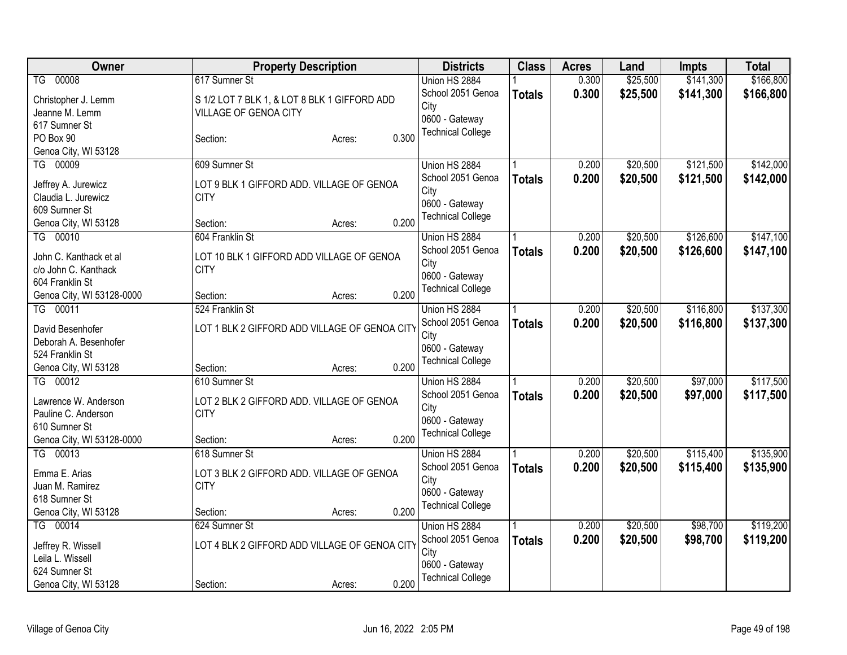| Owner                     | <b>Property Description</b>                   | <b>Districts</b>         | <b>Class</b>  | <b>Acres</b> | Land     | <b>Impts</b> | <b>Total</b> |
|---------------------------|-----------------------------------------------|--------------------------|---------------|--------------|----------|--------------|--------------|
| TG 00008                  | 617 Sumner St                                 | Union HS 2884            |               | 0.300        | \$25,500 | \$141,300    | \$166,800    |
| Christopher J. Lemm       | S 1/2 LOT 7 BLK 1, & LOT 8 BLK 1 GIFFORD ADD  | School 2051 Genoa        | <b>Totals</b> | 0.300        | \$25,500 | \$141,300    | \$166,800    |
| Jeanne M. Lemm            | VILLAGE OF GENOA CITY                         | City                     |               |              |          |              |              |
| 617 Sumner St             |                                               | 0600 - Gateway           |               |              |          |              |              |
| PO Box 90                 | 0.300<br>Section:<br>Acres:                   | <b>Technical College</b> |               |              |          |              |              |
| Genoa City, WI 53128      |                                               |                          |               |              |          |              |              |
| TG 00009                  | 609 Sumner St                                 | Union HS 2884            |               | 0.200        | \$20,500 | \$121,500    | \$142,000    |
|                           |                                               | School 2051 Genoa        | <b>Totals</b> | 0.200        | \$20,500 | \$121,500    | \$142,000    |
| Jeffrey A. Jurewicz       | LOT 9 BLK 1 GIFFORD ADD. VILLAGE OF GENOA     | City                     |               |              |          |              |              |
| Claudia L. Jurewicz       | <b>CITY</b>                                   | 0600 - Gateway           |               |              |          |              |              |
| 609 Sumner St             |                                               | <b>Technical College</b> |               |              |          |              |              |
| Genoa City, WI 53128      | 0.200<br>Section:<br>Acres:                   |                          |               |              |          |              |              |
| TG 00010                  | 604 Franklin St                               | Union HS 2884            |               | 0.200        | \$20,500 | \$126,600    | \$147,100    |
| John C. Kanthack et al    | LOT 10 BLK 1 GIFFORD ADD VILLAGE OF GENOA     | School 2051 Genoa        | <b>Totals</b> | 0.200        | \$20,500 | \$126,600    | \$147,100    |
| c/o John C. Kanthack      | <b>CITY</b>                                   | City                     |               |              |          |              |              |
| 604 Franklin St           |                                               | 0600 - Gateway           |               |              |          |              |              |
| Genoa City, WI 53128-0000 | 0.200<br>Section:<br>Acres:                   | <b>Technical College</b> |               |              |          |              |              |
| TG 00011                  | 524 Franklin St                               | Union HS 2884            |               | 0.200        | \$20,500 | \$116,800    | \$137,300    |
|                           |                                               | School 2051 Genoa        | <b>Totals</b> | 0.200        | \$20,500 | \$116,800    | \$137,300    |
| David Besenhofer          | LOT 1 BLK 2 GIFFORD ADD VILLAGE OF GENOA CITY | City                     |               |              |          |              |              |
| Deborah A. Besenhofer     |                                               | 0600 - Gateway           |               |              |          |              |              |
| 524 Franklin St           |                                               | <b>Technical College</b> |               |              |          |              |              |
| Genoa City, WI 53128      | 0.200<br>Section:<br>Acres:                   |                          |               |              |          |              |              |
| TG 00012                  | 610 Sumner St                                 | Union HS 2884            |               | 0.200        | \$20,500 | \$97,000     | \$117,500    |
| Lawrence W. Anderson      | LOT 2 BLK 2 GIFFORD ADD. VILLAGE OF GENOA     | School 2051 Genoa        | <b>Totals</b> | 0.200        | \$20,500 | \$97,000     | \$117,500    |
| Pauline C. Anderson       | <b>CITY</b>                                   | City                     |               |              |          |              |              |
| 610 Sumner St             |                                               | 0600 - Gateway           |               |              |          |              |              |
| Genoa City, WI 53128-0000 | 0.200<br>Section:<br>Acres:                   | <b>Technical College</b> |               |              |          |              |              |
| TG 00013                  | 618 Sumner St                                 | Union HS 2884            |               | 0.200        | \$20,500 | \$115,400    | \$135,900    |
|                           |                                               | School 2051 Genoa        | <b>Totals</b> | 0.200        | \$20,500 | \$115,400    | \$135,900    |
| Emma E. Arias             | LOT 3 BLK 2 GIFFORD ADD. VILLAGE OF GENOA     | City                     |               |              |          |              |              |
| Juan M. Ramirez           | <b>CITY</b>                                   | 0600 - Gateway           |               |              |          |              |              |
| 618 Sumner St             |                                               | <b>Technical College</b> |               |              |          |              |              |
| Genoa City, WI 53128      | 0.200<br>Section:<br>Acres:                   |                          |               |              |          |              |              |
| TG 00014                  | 624 Sumner St                                 | Union HS 2884            |               | 0.200        | \$20,500 | \$98,700     | \$119,200    |
| Jeffrey R. Wissell        | LOT 4 BLK 2 GIFFORD ADD VILLAGE OF GENOA CITY | School 2051 Genoa        | <b>Totals</b> | 0.200        | \$20,500 | \$98,700     | \$119,200    |
| Leila L. Wissell          |                                               | City                     |               |              |          |              |              |
| 624 Sumner St             |                                               | 0600 - Gateway           |               |              |          |              |              |
| Genoa City, WI 53128      | 0.200<br>Section:<br>Acres:                   | <b>Technical College</b> |               |              |          |              |              |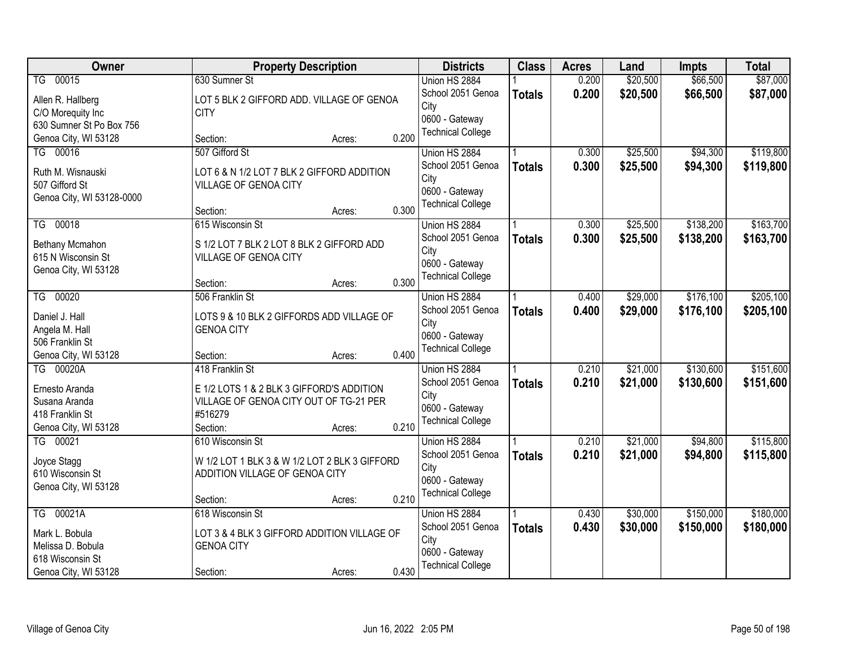| Owner                             | <b>Property Description</b>                                    |       | <b>Districts</b>                           | <b>Class</b>  | <b>Acres</b> | Land     | <b>Impts</b> | <b>Total</b> |
|-----------------------------------|----------------------------------------------------------------|-------|--------------------------------------------|---------------|--------------|----------|--------------|--------------|
| TG 00015                          | 630 Sumner St                                                  |       | Union HS 2884                              |               | 0.200        | \$20,500 | \$66,500     | \$87,000     |
| Allen R. Hallberg                 | LOT 5 BLK 2 GIFFORD ADD. VILLAGE OF GENOA                      |       | School 2051 Genoa                          | <b>Totals</b> | 0.200        | \$20,500 | \$66,500     | \$87,000     |
| C/O Morequity Inc                 | <b>CITY</b>                                                    |       | City                                       |               |              |          |              |              |
| 630 Sumner St Po Box 756          |                                                                |       | 0600 - Gateway                             |               |              |          |              |              |
| Genoa City, WI 53128              | Section:<br>Acres:                                             | 0.200 | <b>Technical College</b>                   |               |              |          |              |              |
| TG 00016                          | 507 Gifford St                                                 |       | Union HS 2884                              |               | 0.300        | \$25,500 | \$94,300     | \$119,800    |
| Ruth M. Wisnauski                 | LOT 6 & N 1/2 LOT 7 BLK 2 GIFFORD ADDITION                     |       | School 2051 Genoa                          | <b>Totals</b> | 0.300        | \$25,500 | \$94,300     | \$119,800    |
| 507 Gifford St                    | VILLAGE OF GENOA CITY                                          |       | City                                       |               |              |          |              |              |
| Genoa City, WI 53128-0000         |                                                                |       | 0600 - Gateway                             |               |              |          |              |              |
|                                   | Section:<br>Acres:                                             | 0.300 | <b>Technical College</b>                   |               |              |          |              |              |
| TG 00018                          | 615 Wisconsin St                                               |       | Union HS 2884                              |               | 0.300        | \$25,500 | \$138,200    | \$163,700    |
| Bethany Mcmahon                   | S 1/2 LOT 7 BLK 2 LOT 8 BLK 2 GIFFORD ADD                      |       | School 2051 Genoa                          | <b>Totals</b> | 0.300        | \$25,500 | \$138,200    | \$163,700    |
| 615 N Wisconsin St                | VILLAGE OF GENOA CITY                                          |       | City                                       |               |              |          |              |              |
| Genoa City, WI 53128              |                                                                |       | 0600 - Gateway                             |               |              |          |              |              |
|                                   | Section:<br>Acres:                                             | 0.300 | <b>Technical College</b>                   |               |              |          |              |              |
| TG 00020                          | 506 Franklin St                                                |       | Union HS 2884                              |               | 0.400        | \$29,000 | \$176,100    | \$205,100    |
|                                   |                                                                |       | School 2051 Genoa                          | <b>Totals</b> | 0.400        | \$29,000 | \$176,100    | \$205,100    |
| Daniel J. Hall                    | LOTS 9 & 10 BLK 2 GIFFORDS ADD VILLAGE OF<br><b>GENOA CITY</b> |       | City                                       |               |              |          |              |              |
| Angela M. Hall<br>506 Franklin St |                                                                |       | 0600 - Gateway                             |               |              |          |              |              |
| Genoa City, WI 53128              | Section:<br>Acres:                                             | 0.400 | <b>Technical College</b>                   |               |              |          |              |              |
| TG 00020A                         | 418 Franklin St                                                |       | Union HS 2884                              |               | 0.210        | \$21,000 | \$130,600    | \$151,600    |
|                                   |                                                                |       | School 2051 Genoa                          | <b>Totals</b> | 0.210        | \$21,000 | \$130,600    | \$151,600    |
| Ernesto Aranda                    | E 1/2 LOTS 1 & 2 BLK 3 GIFFORD'S ADDITION                      |       | City                                       |               |              |          |              |              |
| Susana Aranda                     | VILLAGE OF GENOA CITY OUT OF TG-21 PER                         |       | 0600 - Gateway                             |               |              |          |              |              |
| 418 Franklin St                   | #516279                                                        |       | <b>Technical College</b>                   |               |              |          |              |              |
| Genoa City, WI 53128              | Section:<br>Acres:                                             | 0.210 |                                            |               |              |          |              |              |
| 00021<br>$\overline{IG}$          | 610 Wisconsin St                                               |       | Union HS 2884                              |               | 0.210        | \$21,000 | \$94,800     | \$115,800    |
| Joyce Stagg                       | W 1/2 LOT 1 BLK 3 & W 1/2 LOT 2 BLK 3 GIFFORD                  |       | School 2051 Genoa                          | <b>Totals</b> | 0.210        | \$21,000 | \$94,800     | \$115,800    |
| 610 Wisconsin St                  | ADDITION VILLAGE OF GENOA CITY                                 |       | City                                       |               |              |          |              |              |
| Genoa City, WI 53128              |                                                                |       | 0600 - Gateway<br><b>Technical College</b> |               |              |          |              |              |
|                                   | Section:<br>Acres:                                             | 0.210 |                                            |               |              |          |              |              |
| TG 00021A                         | 618 Wisconsin St                                               |       | Union HS 2884                              |               | 0.430        | \$30,000 | \$150,000    | \$180,000    |
| Mark L. Bobula                    | LOT 3 & 4 BLK 3 GIFFORD ADDITION VILLAGE OF                    |       | School 2051 Genoa                          | <b>Totals</b> | 0.430        | \$30,000 | \$150,000    | \$180,000    |
| Melissa D. Bobula                 | <b>GENOA CITY</b>                                              |       | City                                       |               |              |          |              |              |
| 618 Wisconsin St                  |                                                                |       | 0600 - Gateway                             |               |              |          |              |              |
| Genoa City, WI 53128              | Section:<br>Acres:                                             | 0.430 | <b>Technical College</b>                   |               |              |          |              |              |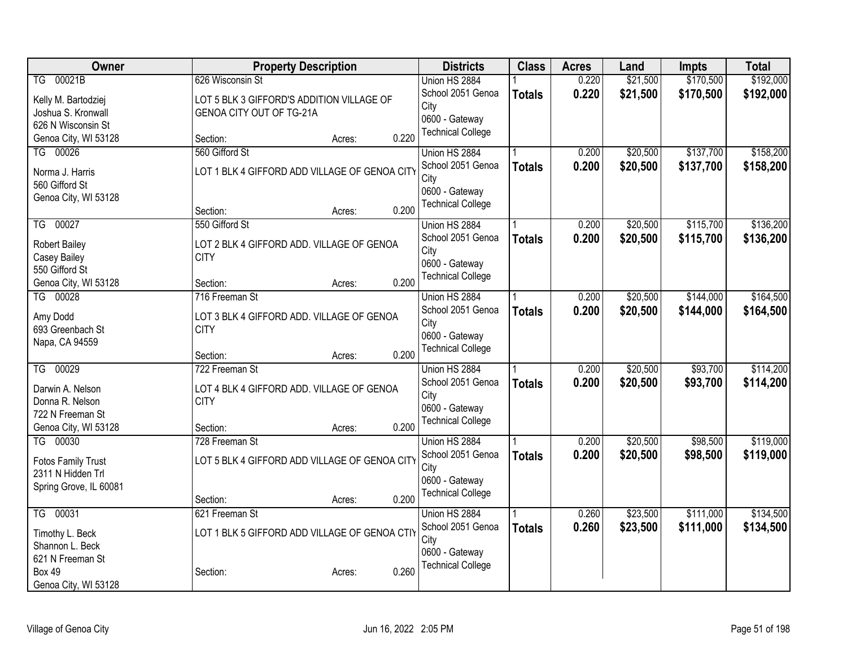| Owner                               | <b>Property Description</b>                              | <b>Districts</b>         | <b>Class</b>  | <b>Acres</b> | Land     | Impts     | <b>Total</b> |
|-------------------------------------|----------------------------------------------------------|--------------------------|---------------|--------------|----------|-----------|--------------|
| TG 00021B                           | 626 Wisconsin St                                         | Union HS 2884            |               | 0.220        | \$21,500 | \$170,500 | \$192,000    |
| Kelly M. Bartodziej                 | LOT 5 BLK 3 GIFFORD'S ADDITION VILLAGE OF                | School 2051 Genoa        | <b>Totals</b> | 0.220        | \$21,500 | \$170,500 | \$192,000    |
| Joshua S. Kronwall                  | GENOA CITY OUT OF TG-21A                                 | City                     |               |              |          |           |              |
| 626 N Wisconsin St                  |                                                          | 0600 - Gateway           |               |              |          |           |              |
| Genoa City, WI 53128                | 0.220<br>Section:<br>Acres:                              | <b>Technical College</b> |               |              |          |           |              |
| TG 00026                            | 560 Gifford St                                           | Union HS 2884            |               | 0.200        | \$20,500 | \$137,700 | \$158,200    |
| Norma J. Harris                     | LOT 1 BLK 4 GIFFORD ADD VILLAGE OF GENOA CITY            | School 2051 Genoa        | <b>Totals</b> | 0.200        | \$20,500 | \$137,700 | \$158,200    |
| 560 Gifford St                      |                                                          | City                     |               |              |          |           |              |
| Genoa City, WI 53128                |                                                          | 0600 - Gateway           |               |              |          |           |              |
|                                     | 0.200<br>Section:<br>Acres:                              | <b>Technical College</b> |               |              |          |           |              |
| TG 00027                            | 550 Gifford St                                           | Union HS 2884            |               | 0.200        | \$20,500 | \$115,700 | \$136,200    |
| <b>Robert Bailey</b>                | LOT 2 BLK 4 GIFFORD ADD. VILLAGE OF GENOA                | School 2051 Genoa        | <b>Totals</b> | 0.200        | \$20,500 | \$115,700 | \$136,200    |
| Casey Bailey                        | <b>CITY</b>                                              | City                     |               |              |          |           |              |
| 550 Gifford St                      |                                                          | 0600 - Gateway           |               |              |          |           |              |
| Genoa City, WI 53128                | 0.200<br>Section:<br>Acres:                              | <b>Technical College</b> |               |              |          |           |              |
| TG 00028                            | 716 Freeman St                                           | Union HS 2884            |               | 0.200        | \$20,500 | \$144,000 | \$164,500    |
|                                     |                                                          | School 2051 Genoa        | <b>Totals</b> | 0.200        | \$20,500 | \$144,000 | \$164,500    |
| Amy Dodd<br>693 Greenbach St        | LOT 3 BLK 4 GIFFORD ADD. VILLAGE OF GENOA<br><b>CITY</b> | City                     |               |              |          |           |              |
| Napa, CA 94559                      |                                                          | 0600 - Gateway           |               |              |          |           |              |
|                                     | 0.200<br>Section:<br>Acres:                              | <b>Technical College</b> |               |              |          |           |              |
| TG 00029                            | 722 Freeman St                                           | Union HS 2884            |               | 0.200        | \$20,500 | \$93,700  | \$114,200    |
|                                     |                                                          | School 2051 Genoa        | <b>Totals</b> | 0.200        | \$20,500 | \$93,700  | \$114,200    |
| Darwin A. Nelson<br>Donna R. Nelson | LOT 4 BLK 4 GIFFORD ADD. VILLAGE OF GENOA<br><b>CITY</b> | City                     |               |              |          |           |              |
| 722 N Freeman St                    |                                                          | 0600 - Gateway           |               |              |          |           |              |
| Genoa City, WI 53128                | 0.200<br>Section:<br>Acres:                              | <b>Technical College</b> |               |              |          |           |              |
| TG 00030                            | 728 Freeman St                                           | Union HS 2884            |               | 0.200        | \$20,500 | \$98,500  | \$119,000    |
|                                     |                                                          | School 2051 Genoa        | <b>Totals</b> | 0.200        | \$20,500 | \$98,500  | \$119,000    |
| <b>Fotos Family Trust</b>           | LOT 5 BLK 4 GIFFORD ADD VILLAGE OF GENOA CITY            | City                     |               |              |          |           |              |
| 2311 N Hidden Trl                   |                                                          | 0600 - Gateway           |               |              |          |           |              |
| Spring Grove, IL 60081              | 0.200<br>Section:<br>Acres:                              | <b>Technical College</b> |               |              |          |           |              |
| 00031<br>$\overline{\text{TS}}$     | 621 Freeman St                                           | Union HS 2884            |               | 0.260        | \$23,500 | \$111,000 | \$134,500    |
|                                     |                                                          | School 2051 Genoa        | <b>Totals</b> | 0.260        | \$23,500 | \$111,000 | \$134,500    |
| Timothy L. Beck                     | LOT 1 BLK 5 GIFFORD ADD VILLAGE OF GENOA CTIY            | City                     |               |              |          |           |              |
| Shannon L. Beck                     |                                                          | 0600 - Gateway           |               |              |          |           |              |
| 621 N Freeman St<br><b>Box 49</b>   | 0.260<br>Section:                                        | <b>Technical College</b> |               |              |          |           |              |
| Genoa City, WI 53128                | Acres:                                                   |                          |               |              |          |           |              |
|                                     |                                                          |                          |               |              |          |           |              |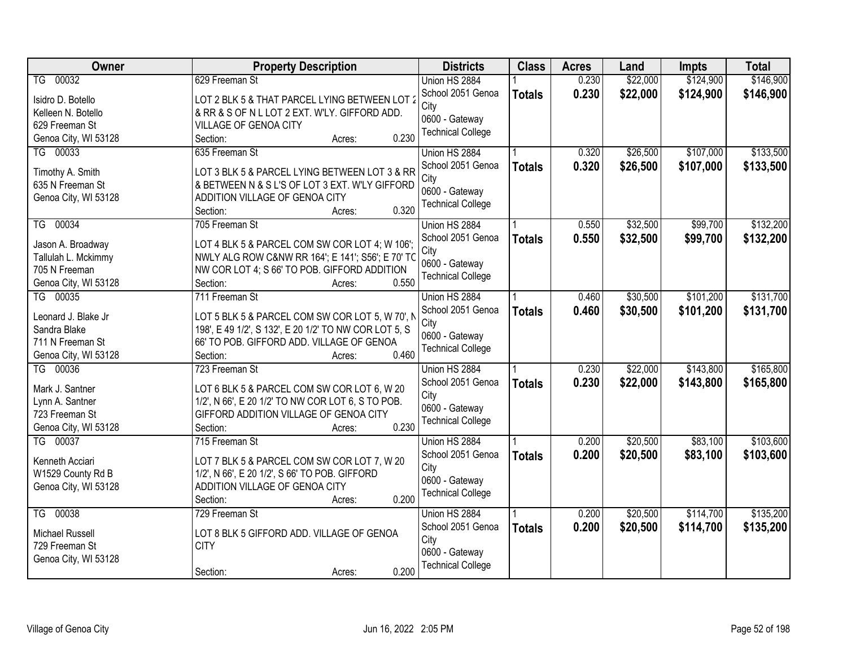| Owner                  | <b>Property Description</b>                           | <b>Districts</b>         | <b>Class</b>  | <b>Acres</b> | Land     | <b>Impts</b> | <b>Total</b> |
|------------------------|-------------------------------------------------------|--------------------------|---------------|--------------|----------|--------------|--------------|
| TG 00032               | 629 Freeman St                                        | Union HS 2884            |               | 0.230        | \$22,000 | \$124,900    | \$146,900    |
| Isidro D. Botello      | LOT 2 BLK 5 & THAT PARCEL LYING BETWEEN LOT 2         | School 2051 Genoa        | <b>Totals</b> | 0.230        | \$22,000 | \$124,900    | \$146,900    |
| Kelleen N. Botello     | & RR & S OF N L LOT 2 EXT. W'LY. GIFFORD ADD.         | City                     |               |              |          |              |              |
| 629 Freeman St         | VILLAGE OF GENOA CITY                                 | 0600 - Gateway           |               |              |          |              |              |
| Genoa City, WI 53128   | 0.230<br>Section:<br>Acres:                           | <b>Technical College</b> |               |              |          |              |              |
| TG 00033               | 635 Freeman St                                        | Union HS 2884            |               | 0.320        | \$26,500 | \$107,000    | \$133,500    |
|                        |                                                       | School 2051 Genoa        | <b>Totals</b> | 0.320        | \$26,500 | \$107,000    | \$133,500    |
| Timothy A. Smith       | LOT 3 BLK 5 & PARCEL LYING BETWEEN LOT 3 & RR         | City                     |               |              |          |              |              |
| 635 N Freeman St       | & BETWEEN N & S L'S OF LOT 3 EXT. W'LY GIFFORD        | 0600 - Gateway           |               |              |          |              |              |
| Genoa City, WI 53128   | ADDITION VILLAGE OF GENOA CITY                        | <b>Technical College</b> |               |              |          |              |              |
|                        | 0.320<br>Section:<br>Acres:                           |                          |               |              |          |              |              |
| 00034<br>TG            | 705 Freeman St                                        | Union HS 2884            |               | 0.550        | \$32,500 | \$99,700     | \$132,200    |
| Jason A. Broadway      | LOT 4 BLK 5 & PARCEL COM SW COR LOT 4; W 106';        | School 2051 Genoa        | <b>Totals</b> | 0.550        | \$32,500 | \$99,700     | \$132,200    |
| Tallulah L. Mckimmy    | NWLY ALG ROW C&NW RR 164'; E 141'; S56'; E 70' TC     | City                     |               |              |          |              |              |
| 705 N Freeman          | NW COR LOT 4; S 66' TO POB. GIFFORD ADDITION          | 0600 - Gateway           |               |              |          |              |              |
| Genoa City, WI 53128   | 0.550<br>Section:<br>Acres:                           | <b>Technical College</b> |               |              |          |              |              |
| TG 00035               | 711 Freeman St                                        | Union HS 2884            |               | 0.460        | \$30,500 | \$101,200    | \$131,700    |
|                        |                                                       | School 2051 Genoa        | <b>Totals</b> | 0.460        | \$30,500 | \$101,200    | \$131,700    |
| Leonard J. Blake Jr    | LOT 5 BLK 5 & PARCEL COM SW COR LOT 5, W 70', N       | City                     |               |              |          |              |              |
| Sandra Blake           | 198', E 49 1/2', S 132', E 20 1/2' TO NW COR LOT 5, S | 0600 - Gateway           |               |              |          |              |              |
| 711 N Freeman St       | 66' TO POB. GIFFORD ADD. VILLAGE OF GENOA             | <b>Technical College</b> |               |              |          |              |              |
| Genoa City, WI 53128   | 0.460<br>Section:<br>Acres:                           |                          |               |              |          |              |              |
| TG 00036               | 723 Freeman St                                        | Union HS 2884            |               | 0.230        | \$22,000 | \$143,800    | \$165,800    |
| Mark J. Santner        | LOT 6 BLK 5 & PARCEL COM SW COR LOT 6, W 20           | School 2051 Genoa        | <b>Totals</b> | 0.230        | \$22,000 | \$143,800    | \$165,800    |
| Lynn A. Santner        | 1/2', N 66', E 20 1/2' TO NW COR LOT 6, S TO POB.     | City                     |               |              |          |              |              |
| 723 Freeman St         | GIFFORD ADDITION VILLAGE OF GENOA CITY                | 0600 - Gateway           |               |              |          |              |              |
| Genoa City, WI 53128   | 0.230<br>Section:<br>Acres:                           | <b>Technical College</b> |               |              |          |              |              |
| TG 00037               | 715 Freeman St                                        | Union HS 2884            |               | 0.200        | \$20,500 | \$83,100     | \$103,600    |
|                        |                                                       | School 2051 Genoa        | <b>Totals</b> | 0.200        | \$20,500 | \$83,100     | \$103,600    |
| Kenneth Acciari        | LOT 7 BLK 5 & PARCEL COM SW COR LOT 7, W 20           | City                     |               |              |          |              |              |
| W1529 County Rd B      | 1/2', N 66', E 20 1/2', S 66' TO POB. GIFFORD         | 0600 - Gateway           |               |              |          |              |              |
| Genoa City, WI 53128   | ADDITION VILLAGE OF GENOA CITY                        | <b>Technical College</b> |               |              |          |              |              |
|                        | 0.200<br>Section:<br>Acres:                           |                          |               |              |          |              |              |
| TG 00038               | 729 Freeman St                                        | Union HS 2884            |               | 0.200        | \$20,500 | \$114,700    | \$135,200    |
| <b>Michael Russell</b> | LOT 8 BLK 5 GIFFORD ADD. VILLAGE OF GENOA             | School 2051 Genoa        | <b>Totals</b> | 0.200        | \$20,500 | \$114,700    | \$135,200    |
| 729 Freeman St         | <b>CITY</b>                                           | City                     |               |              |          |              |              |
| Genoa City, WI 53128   |                                                       | 0600 - Gateway           |               |              |          |              |              |
|                        | 0.200<br>Section:<br>Acres:                           | <b>Technical College</b> |               |              |          |              |              |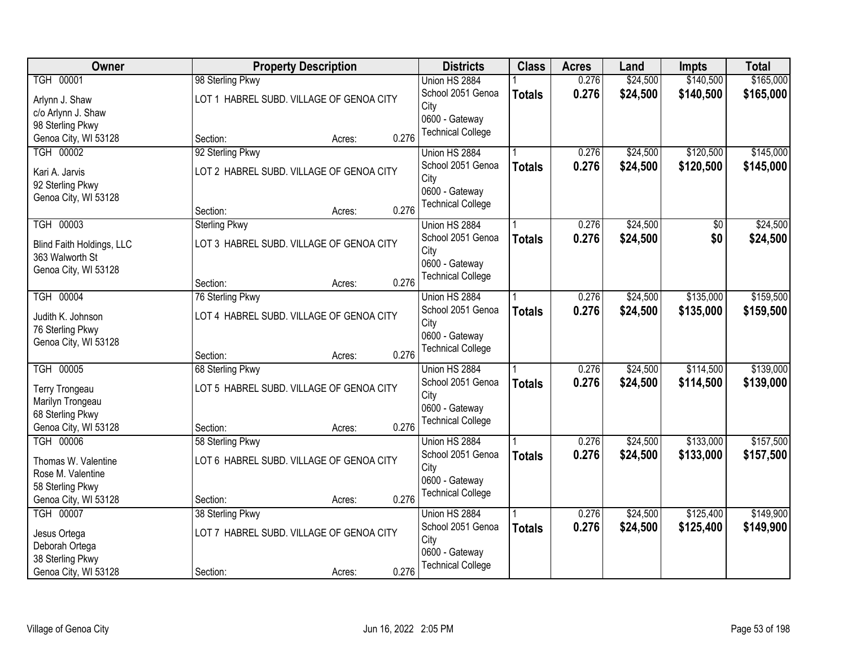| Owner                     |                      | <b>Property Description</b>              |       | <b>Districts</b>                           | <b>Class</b>  | <b>Acres</b> | Land     | <b>Impts</b> | <b>Total</b> |
|---------------------------|----------------------|------------------------------------------|-------|--------------------------------------------|---------------|--------------|----------|--------------|--------------|
| <b>TGH 00001</b>          | 98 Sterling Pkwy     |                                          |       | Union HS 2884                              |               | 0.276        | \$24,500 | \$140,500    | \$165,000    |
| Arlynn J. Shaw            |                      | LOT 1 HABREL SUBD. VILLAGE OF GENOA CITY |       | School 2051 Genoa                          | <b>Totals</b> | 0.276        | \$24,500 | \$140,500    | \$165,000    |
| c/o Arlynn J. Shaw        |                      |                                          |       | City                                       |               |              |          |              |              |
| 98 Sterling Pkwy          |                      |                                          |       | 0600 - Gateway                             |               |              |          |              |              |
| Genoa City, WI 53128      | Section:             | Acres:                                   | 0.276 | <b>Technical College</b>                   |               |              |          |              |              |
| TGH 00002                 | 92 Sterling Pkwy     |                                          |       | Union HS 2884                              |               | 0.276        | \$24,500 | \$120,500    | \$145,000    |
| Kari A. Jarvis            |                      | LOT 2 HABREL SUBD. VILLAGE OF GENOA CITY |       | School 2051 Genoa                          | <b>Totals</b> | 0.276        | \$24,500 | \$120,500    | \$145,000    |
| 92 Sterling Pkwy          |                      |                                          |       | City                                       |               |              |          |              |              |
| Genoa City, WI 53128      |                      |                                          |       | 0600 - Gateway<br><b>Technical College</b> |               |              |          |              |              |
|                           | Section:             | Acres:                                   | 0.276 |                                            |               |              |          |              |              |
| TGH 00003                 | <b>Sterling Pkwy</b> |                                          |       | Union HS 2884                              |               | 0.276        | \$24,500 | \$0          | \$24,500     |
| Blind Faith Holdings, LLC |                      | LOT 3 HABREL SUBD. VILLAGE OF GENOA CITY |       | School 2051 Genoa                          | <b>Totals</b> | 0.276        | \$24,500 | \$0          | \$24,500     |
| 363 Walworth St           |                      |                                          |       | City                                       |               |              |          |              |              |
| Genoa City, WI 53128      |                      |                                          |       | 0600 - Gateway                             |               |              |          |              |              |
|                           | Section:             | Acres:                                   | 0.276 | <b>Technical College</b>                   |               |              |          |              |              |
| <b>TGH 00004</b>          | 76 Sterling Pkwy     |                                          |       | Union HS 2884                              |               | 0.276        | \$24,500 | \$135,000    | \$159,500    |
| Judith K. Johnson         |                      | LOT 4 HABREL SUBD. VILLAGE OF GENOA CITY |       | School 2051 Genoa                          | <b>Totals</b> | 0.276        | \$24,500 | \$135,000    | \$159,500    |
| 76 Sterling Pkwy          |                      |                                          |       | City                                       |               |              |          |              |              |
| Genoa City, WI 53128      |                      |                                          |       | 0600 - Gateway                             |               |              |          |              |              |
|                           | Section:             | Acres:                                   | 0.276 | <b>Technical College</b>                   |               |              |          |              |              |
| <b>TGH 00005</b>          | 68 Sterling Pkwy     |                                          |       | Union HS 2884                              |               | 0.276        | \$24,500 | \$114,500    | \$139,000    |
| Terry Trongeau            |                      | LOT 5 HABREL SUBD. VILLAGE OF GENOA CITY |       | School 2051 Genoa                          | <b>Totals</b> | 0.276        | \$24,500 | \$114,500    | \$139,000    |
| Marilyn Trongeau          |                      |                                          |       | City                                       |               |              |          |              |              |
| 68 Sterling Pkwy          |                      |                                          |       | 0600 - Gateway                             |               |              |          |              |              |
| Genoa City, WI 53128      | Section:             | Acres:                                   | 0.276 | <b>Technical College</b>                   |               |              |          |              |              |
| <b>TGH 00006</b>          | 58 Sterling Pkwy     |                                          |       | Union HS 2884                              |               | 0.276        | \$24,500 | \$133,000    | \$157,500    |
| Thomas W. Valentine       |                      | LOT 6 HABREL SUBD. VILLAGE OF GENOA CITY |       | School 2051 Genoa                          | <b>Totals</b> | 0.276        | \$24,500 | \$133,000    | \$157,500    |
| Rose M. Valentine         |                      |                                          |       | City                                       |               |              |          |              |              |
| 58 Sterling Pkwy          |                      |                                          |       | 0600 - Gateway                             |               |              |          |              |              |
| Genoa City, WI 53128      | Section:             | Acres:                                   | 0.276 | <b>Technical College</b>                   |               |              |          |              |              |
| <b>TGH 00007</b>          | 38 Sterling Pkwy     |                                          |       | Union HS 2884                              |               | 0.276        | \$24,500 | \$125,400    | \$149,900    |
| Jesus Ortega              |                      | LOT 7 HABREL SUBD. VILLAGE OF GENOA CITY |       | School 2051 Genoa                          | <b>Totals</b> | 0.276        | \$24,500 | \$125,400    | \$149,900    |
| Deborah Ortega            |                      |                                          |       | City                                       |               |              |          |              |              |
| 38 Sterling Pkwy          |                      |                                          |       | 0600 - Gateway                             |               |              |          |              |              |
| Genoa City, WI 53128      | Section:             | Acres:                                   | 0.276 | <b>Technical College</b>                   |               |              |          |              |              |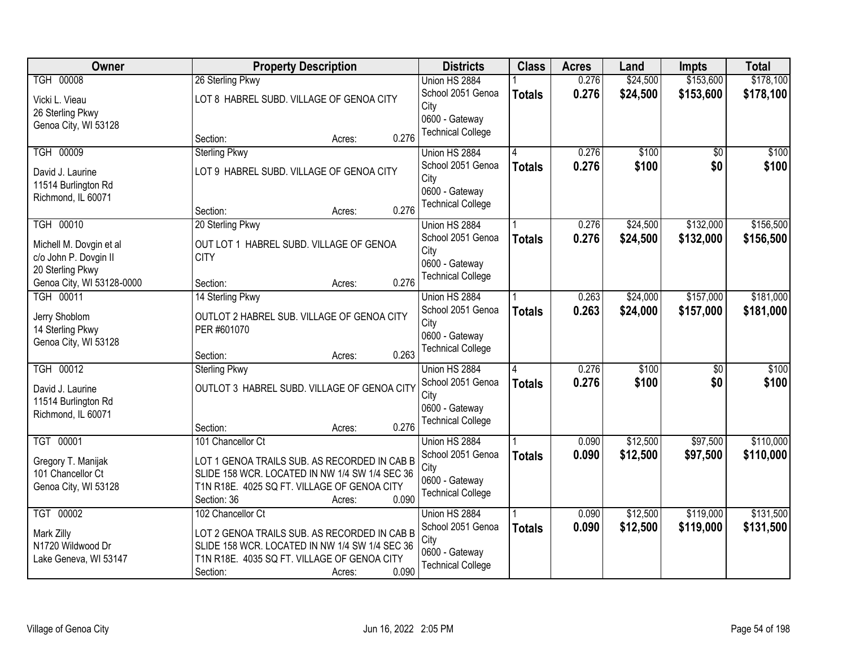| <b>Owner</b>              | <b>Property Description</b>                    | <b>Districts</b>                           | <b>Class</b>  | <b>Acres</b> | Land     | <b>Impts</b>    | <b>Total</b> |
|---------------------------|------------------------------------------------|--------------------------------------------|---------------|--------------|----------|-----------------|--------------|
| <b>TGH 00008</b>          | 26 Sterling Pkwy                               | Union HS 2884                              |               | 0.276        | \$24,500 | \$153,600       | \$178,100    |
| Vicki L. Vieau            | LOT 8 HABREL SUBD. VILLAGE OF GENOA CITY       | School 2051 Genoa                          | <b>Totals</b> | 0.276        | \$24,500 | \$153,600       | \$178,100    |
| 26 Sterling Pkwy          |                                                | City                                       |               |              |          |                 |              |
| Genoa City, WI 53128      |                                                | 0600 - Gateway<br><b>Technical College</b> |               |              |          |                 |              |
|                           | 0.276<br>Section:<br>Acres:                    |                                            |               |              |          |                 |              |
| <b>TGH 00009</b>          | <b>Sterling Pkwy</b>                           | Union HS 2884                              |               | 0.276        | \$100    | $\overline{50}$ | \$100        |
| David J. Laurine          | LOT 9 HABREL SUBD. VILLAGE OF GENOA CITY       | School 2051 Genoa                          | <b>Totals</b> | 0.276        | \$100    | \$0             | \$100        |
| 11514 Burlington Rd       |                                                | City                                       |               |              |          |                 |              |
| Richmond, IL 60071        |                                                | 0600 - Gateway<br><b>Technical College</b> |               |              |          |                 |              |
|                           | 0.276<br>Section:<br>Acres:                    |                                            |               |              |          |                 |              |
| TGH 00010                 | 20 Sterling Pkwy                               | Union HS 2884                              |               | 0.276        | \$24,500 | \$132,000       | \$156,500    |
| Michell M. Dovgin et al   | OUT LOT 1 HABREL SUBD. VILLAGE OF GENOA        | School 2051 Genoa                          | <b>Totals</b> | 0.276        | \$24,500 | \$132,000       | \$156,500    |
| c/o John P. Dovgin II     | <b>CITY</b>                                    | City                                       |               |              |          |                 |              |
| 20 Sterling Pkwy          |                                                | 0600 - Gateway<br><b>Technical College</b> |               |              |          |                 |              |
| Genoa City, WI 53128-0000 | 0.276<br>Section:<br>Acres:                    |                                            |               |              |          |                 |              |
| TGH 00011                 | 14 Sterling Pkwy                               | Union HS 2884                              |               | 0.263        | \$24,000 | \$157,000       | \$181,000    |
| Jerry Shoblom             | OUTLOT 2 HABREL SUB. VILLAGE OF GENOA CITY     | School 2051 Genoa                          | <b>Totals</b> | 0.263        | \$24,000 | \$157,000       | \$181,000    |
| 14 Sterling Pkwy          | PER #601070                                    | City<br>0600 - Gateway                     |               |              |          |                 |              |
| Genoa City, WI 53128      |                                                | <b>Technical College</b>                   |               |              |          |                 |              |
|                           | 0.263<br>Section:<br>Acres:                    |                                            |               |              |          |                 |              |
| <b>TGH 00012</b>          | <b>Sterling Pkwy</b>                           | Union HS 2884                              |               | 0.276        | \$100    | \$0             | \$100        |
| David J. Laurine          | OUTLOT 3 HABREL SUBD. VILLAGE OF GENOA CITY    | School 2051 Genoa                          | <b>Totals</b> | 0.276        | \$100    | \$0             | \$100        |
| 11514 Burlington Rd       |                                                | City<br>0600 - Gateway                     |               |              |          |                 |              |
| Richmond, IL 60071        |                                                | <b>Technical College</b>                   |               |              |          |                 |              |
|                           | 0.276<br>Section:<br>Acres:                    |                                            |               |              |          |                 |              |
| TGT 00001                 | 101 Chancellor Ct                              | Union HS 2884                              |               | 0.090        | \$12,500 | \$97,500        | \$110,000    |
| Gregory T. Manijak        | LOT 1 GENOA TRAILS SUB. AS RECORDED IN CAB B   | School 2051 Genoa                          | <b>Totals</b> | 0.090        | \$12,500 | \$97,500        | \$110,000    |
| 101 Chancellor Ct         | SLIDE 158 WCR. LOCATED IN NW 1/4 SW 1/4 SEC 36 | City<br>0600 - Gateway                     |               |              |          |                 |              |
| Genoa City, WI 53128      | T1N R18E. 4025 SQ FT. VILLAGE OF GENOA CITY    | <b>Technical College</b>                   |               |              |          |                 |              |
|                           | 0.090<br>Section: 36<br>Acres:                 |                                            |               |              |          |                 |              |
| TGT 00002                 | 102 Chancellor Ct                              | Union HS 2884                              |               | 0.090        | \$12,500 | \$119,000       | \$131,500    |
| Mark Zilly                | LOT 2 GENOA TRAILS SUB. AS RECORDED IN CAB B   | School 2051 Genoa                          | <b>Totals</b> | 0.090        | \$12,500 | \$119,000       | \$131,500    |
| N1720 Wildwood Dr         | SLIDE 158 WCR. LOCATED IN NW 1/4 SW 1/4 SEC 36 | City<br>0600 - Gateway                     |               |              |          |                 |              |
| Lake Geneva, WI 53147     | T1N R18E. 4035 SQ FT. VILLAGE OF GENOA CITY    | <b>Technical College</b>                   |               |              |          |                 |              |
|                           | 0.090<br>Section:<br>Acres:                    |                                            |               |              |          |                 |              |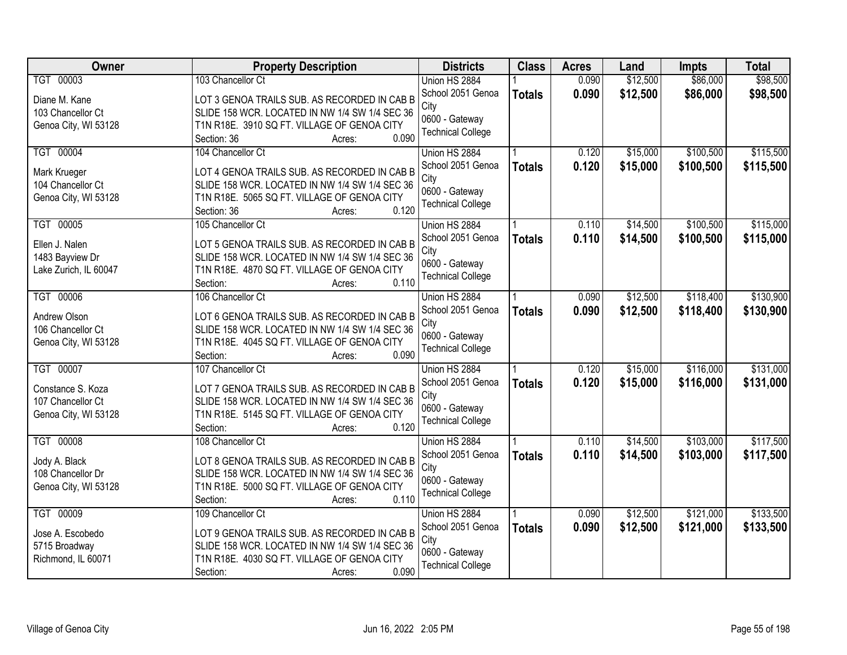| Owner                              | <b>Property Description</b>                                                                    | <b>Districts</b>         | <b>Class</b>  | <b>Acres</b> | Land     | <b>Impts</b> | <b>Total</b> |
|------------------------------------|------------------------------------------------------------------------------------------------|--------------------------|---------------|--------------|----------|--------------|--------------|
| TGT 00003                          | 103 Chancellor Ct                                                                              | Union HS 2884            |               | 0.090        | \$12,500 | \$86,000     | \$98,500     |
| Diane M. Kane                      | LOT 3 GENOA TRAILS SUB. AS RECORDED IN CAB B                                                   | School 2051 Genoa        | <b>Totals</b> | 0.090        | \$12,500 | \$86,000     | \$98,500     |
| 103 Chancellor Ct                  | SLIDE 158 WCR. LOCATED IN NW 1/4 SW 1/4 SEC 36                                                 | City                     |               |              |          |              |              |
| Genoa City, WI 53128               | T1N R18E. 3910 SQ FT. VILLAGE OF GENOA CITY                                                    | 0600 - Gateway           |               |              |          |              |              |
|                                    | 0.090<br>Section: 36<br>Acres:                                                                 | <b>Technical College</b> |               |              |          |              |              |
| TGT 00004                          | 104 Chancellor Ct                                                                              | Union HS 2884            |               | 0.120        | \$15,000 | \$100,500    | \$115,500    |
|                                    |                                                                                                | School 2051 Genoa        | <b>Totals</b> | 0.120        | \$15,000 | \$100,500    | \$115,500    |
| Mark Krueger                       | LOT 4 GENOA TRAILS SUB. AS RECORDED IN CAB B                                                   | City                     |               |              |          |              |              |
| 104 Chancellor Ct                  | SLIDE 158 WCR. LOCATED IN NW 1/4 SW 1/4 SEC 36                                                 | 0600 - Gateway           |               |              |          |              |              |
| Genoa City, WI 53128               | T1N R18E. 5065 SQ FT. VILLAGE OF GENOA CITY<br>0.120<br>Section: 36<br>Acres:                  | <b>Technical College</b> |               |              |          |              |              |
| TGT 00005                          | 105 Chancellor Ct                                                                              | Union HS 2884            |               | 0.110        | \$14,500 | \$100,500    | \$115,000    |
|                                    |                                                                                                | School 2051 Genoa        | <b>Totals</b> | 0.110        | \$14,500 | \$100,500    | \$115,000    |
| Ellen J. Nalen                     | LOT 5 GENOA TRAILS SUB. AS RECORDED IN CAB B                                                   | City                     |               |              |          |              |              |
| 1483 Bayview Dr                    | SLIDE 158 WCR. LOCATED IN NW 1/4 SW 1/4 SEC 36                                                 | 0600 - Gateway           |               |              |          |              |              |
| Lake Zurich, IL 60047              | T1N R18E. 4870 SQ FT. VILLAGE OF GENOA CITY                                                    | <b>Technical College</b> |               |              |          |              |              |
|                                    | 0.110<br>Section:<br>Acres:                                                                    |                          |               |              |          |              |              |
| TGT 00006                          | 106 Chancellor Ct                                                                              | Union HS 2884            |               | 0.090        | \$12,500 | \$118,400    | \$130,900    |
| Andrew Olson                       | LOT 6 GENOA TRAILS SUB. AS RECORDED IN CAB B                                                   | School 2051 Genoa        | <b>Totals</b> | 0.090        | \$12,500 | \$118,400    | \$130,900    |
| 106 Chancellor Ct                  | SLIDE 158 WCR. LOCATED IN NW 1/4 SW 1/4 SEC 36                                                 | City                     |               |              |          |              |              |
| Genoa City, WI 53128               | T1N R18E. 4045 SQ FT. VILLAGE OF GENOA CITY                                                    | 0600 - Gateway           |               |              |          |              |              |
|                                    | 0.090<br>Section:<br>Acres:                                                                    | <b>Technical College</b> |               |              |          |              |              |
| TGT 00007                          | 107 Chancellor Ct                                                                              | Union HS 2884            |               | 0.120        | \$15,000 | \$116,000    | \$131,000    |
| Constance S. Koza                  | LOT 7 GENOA TRAILS SUB. AS RECORDED IN CAB B                                                   | School 2051 Genoa        | <b>Totals</b> | 0.120        | \$15,000 | \$116,000    | \$131,000    |
| 107 Chancellor Ct                  | SLIDE 158 WCR. LOCATED IN NW 1/4 SW 1/4 SEC 36                                                 | City                     |               |              |          |              |              |
| Genoa City, WI 53128               | T1N R18E. 5145 SQ FT. VILLAGE OF GENOA CITY                                                    | 0600 - Gateway           |               |              |          |              |              |
|                                    | 0.120<br>Section:<br>Acres:                                                                    | <b>Technical College</b> |               |              |          |              |              |
| TGT 00008                          | 108 Chancellor Ct                                                                              | Union HS 2884            |               | 0.110        | \$14,500 | \$103,000    | \$117,500    |
|                                    |                                                                                                | School 2051 Genoa        | <b>Totals</b> | 0.110        | \$14,500 | \$103,000    | \$117,500    |
| Jody A. Black<br>108 Chancellor Dr | LOT 8 GENOA TRAILS SUB. AS RECORDED IN CAB B<br>SLIDE 158 WCR. LOCATED IN NW 1/4 SW 1/4 SEC 36 | City                     |               |              |          |              |              |
| Genoa City, WI 53128               | T1N R18E. 5000 SQ FT. VILLAGE OF GENOA CITY                                                    | 0600 - Gateway           |               |              |          |              |              |
|                                    | 0.110<br>Section:<br>Acres:                                                                    | <b>Technical College</b> |               |              |          |              |              |
| TGT 00009                          | 109 Chancellor Ct                                                                              | Union HS 2884            |               | 0.090        | \$12,500 | \$121,000    | \$133,500    |
|                                    |                                                                                                | School 2051 Genoa        | <b>Totals</b> | 0.090        | \$12,500 | \$121,000    | \$133,500    |
| Jose A. Escobedo                   | LOT 9 GENOA TRAILS SUB. AS RECORDED IN CAB B                                                   | City                     |               |              |          |              |              |
| 5715 Broadway                      | SLIDE 158 WCR. LOCATED IN NW 1/4 SW 1/4 SEC 36                                                 | 0600 - Gateway           |               |              |          |              |              |
| Richmond, IL 60071                 | T1N R18E. 4030 SQ FT. VILLAGE OF GENOA CITY                                                    | <b>Technical College</b> |               |              |          |              |              |
|                                    | 0.090<br>Section:<br>Acres:                                                                    |                          |               |              |          |              |              |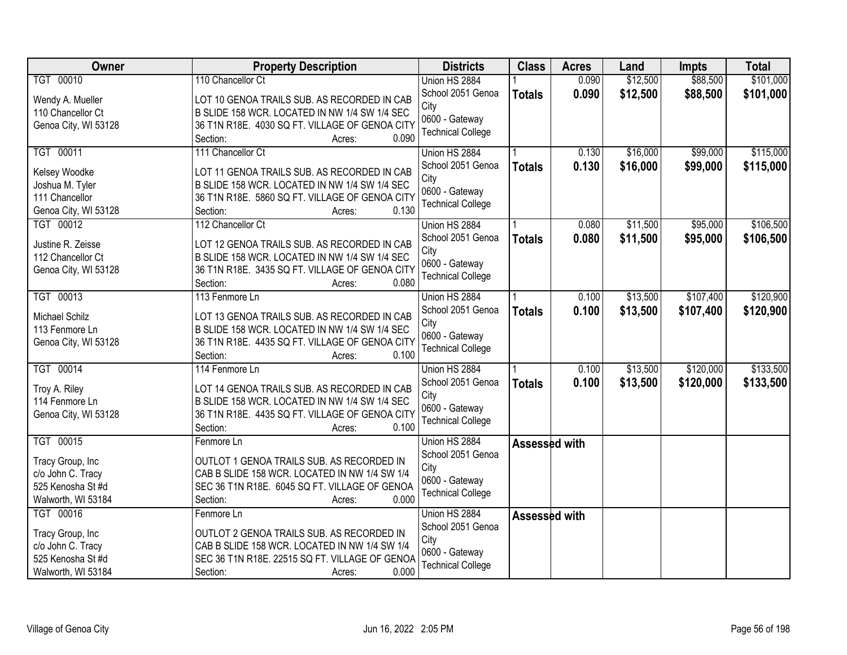| <b>Owner</b>         | <b>Property Description</b>                    | <b>Districts</b>         | <b>Class</b>  | <b>Acres</b> | Land     | <b>Impts</b> | <b>Total</b> |
|----------------------|------------------------------------------------|--------------------------|---------------|--------------|----------|--------------|--------------|
| TGT 00010            | 110 Chancellor Ct                              | Union HS 2884            |               | 0.090        | \$12,500 | \$88,500     | \$101,000    |
| Wendy A. Mueller     | LOT 10 GENOA TRAILS SUB. AS RECORDED IN CAB    | School 2051 Genoa        | <b>Totals</b> | 0.090        | \$12,500 | \$88,500     | \$101,000    |
| 110 Chancellor Ct    | B SLIDE 158 WCR. LOCATED IN NW 1/4 SW 1/4 SEC  | City                     |               |              |          |              |              |
| Genoa City, WI 53128 | 36 T1N R18E. 4030 SQ FT. VILLAGE OF GENOA CITY | 0600 - Gateway           |               |              |          |              |              |
|                      | 0.090<br>Section:<br>Acres:                    | <b>Technical College</b> |               |              |          |              |              |
| TGT 00011            | 111 Chancellor Ct                              | Union HS 2884            |               | 0.130        | \$16,000 | \$99,000     | \$115,000    |
|                      |                                                | School 2051 Genoa        | <b>Totals</b> | 0.130        | \$16,000 | \$99,000     | \$115,000    |
| Kelsey Woodke        | LOT 11 GENOA TRAILS SUB. AS RECORDED IN CAB    | City                     |               |              |          |              |              |
| Joshua M. Tyler      | B SLIDE 158 WCR. LOCATED IN NW 1/4 SW 1/4 SEC  | 0600 - Gateway           |               |              |          |              |              |
| 111 Chancellor       | 36 T1N R18E. 5860 SQ FT. VILLAGE OF GENOA CITY | <b>Technical College</b> |               |              |          |              |              |
| Genoa City, WI 53128 | 0.130<br>Section:<br>Acres:                    |                          |               |              |          |              |              |
| TGT 00012            | 112 Chancellor Ct                              | Union HS 2884            |               | 0.080        | \$11,500 | \$95,000     | \$106,500    |
| Justine R. Zeisse    | LOT 12 GENOA TRAILS SUB. AS RECORDED IN CAB    | School 2051 Genoa        | <b>Totals</b> | 0.080        | \$11,500 | \$95,000     | \$106,500    |
| 112 Chancellor Ct    | B SLIDE 158 WCR. LOCATED IN NW 1/4 SW 1/4 SEC  | City                     |               |              |          |              |              |
| Genoa City, WI 53128 | 36 T1N R18E. 3435 SQ FT. VILLAGE OF GENOA CITY | 0600 - Gateway           |               |              |          |              |              |
|                      | 0.080<br>Section:<br>Acres:                    | <b>Technical College</b> |               |              |          |              |              |
| TGT 00013            | 113 Fenmore Ln                                 | Union HS 2884            |               | 0.100        | \$13,500 | \$107,400    | \$120,900    |
|                      |                                                | School 2051 Genoa        | <b>Totals</b> | 0.100        | \$13,500 | \$107,400    | \$120,900    |
| Michael Schilz       | LOT 13 GENOA TRAILS SUB. AS RECORDED IN CAB    | City                     |               |              |          |              |              |
| 113 Fenmore Ln       | B SLIDE 158 WCR. LOCATED IN NW 1/4 SW 1/4 SEC  | 0600 - Gateway           |               |              |          |              |              |
| Genoa City, WI 53128 | 36 T1N R18E. 4435 SQ FT. VILLAGE OF GENOA CITY | <b>Technical College</b> |               |              |          |              |              |
|                      | Section:<br>0.100<br>Acres:                    |                          |               |              |          |              |              |
| TGT 00014            | 114 Fenmore Ln                                 | Union HS 2884            |               | 0.100        | \$13,500 | \$120,000    | \$133,500    |
| Troy A. Riley        | LOT 14 GENOA TRAILS SUB. AS RECORDED IN CAB    | School 2051 Genoa        | <b>Totals</b> | 0.100        | \$13,500 | \$120,000    | \$133,500    |
| 114 Fenmore Ln       | B SLIDE 158 WCR. LOCATED IN NW 1/4 SW 1/4 SEC  | City                     |               |              |          |              |              |
| Genoa City, WI 53128 | 36 T1N R18E. 4435 SQ FT. VILLAGE OF GENOA CITY | 0600 - Gateway           |               |              |          |              |              |
|                      | 0.100<br>Section:<br>Acres:                    | <b>Technical College</b> |               |              |          |              |              |
| TGT 00015            | Fenmore Ln                                     | Union HS 2884            | Assessed with |              |          |              |              |
|                      |                                                | School 2051 Genoa        |               |              |          |              |              |
| Tracy Group, Inc     | OUTLOT 1 GENOA TRAILS SUB. AS RECORDED IN      | City                     |               |              |          |              |              |
| c/o John C. Tracy    | CAB B SLIDE 158 WCR. LOCATED IN NW 1/4 SW 1/4  | 0600 - Gateway           |               |              |          |              |              |
| 525 Kenosha St #d    | SEC 36 T1N R18E. 6045 SQ FT. VILLAGE OF GENOA  | <b>Technical College</b> |               |              |          |              |              |
| Walworth, WI 53184   | Section:<br>0.000<br>Acres:                    |                          |               |              |          |              |              |
| TGT 00016            | Fenmore Ln                                     | Union HS 2884            | Assessed with |              |          |              |              |
| Tracy Group, Inc     | OUTLOT 2 GENOA TRAILS SUB. AS RECORDED IN      | School 2051 Genoa        |               |              |          |              |              |
| c/o John C. Tracy    | CAB B SLIDE 158 WCR. LOCATED IN NW 1/4 SW 1/4  | City                     |               |              |          |              |              |
| 525 Kenosha St #d    | SEC 36 T1N R18E. 22515 SQ FT. VILLAGE OF GENOA | 0600 - Gateway           |               |              |          |              |              |
| Walworth, WI 53184   | 0.000<br>Section:<br>Acres:                    | <b>Technical College</b> |               |              |          |              |              |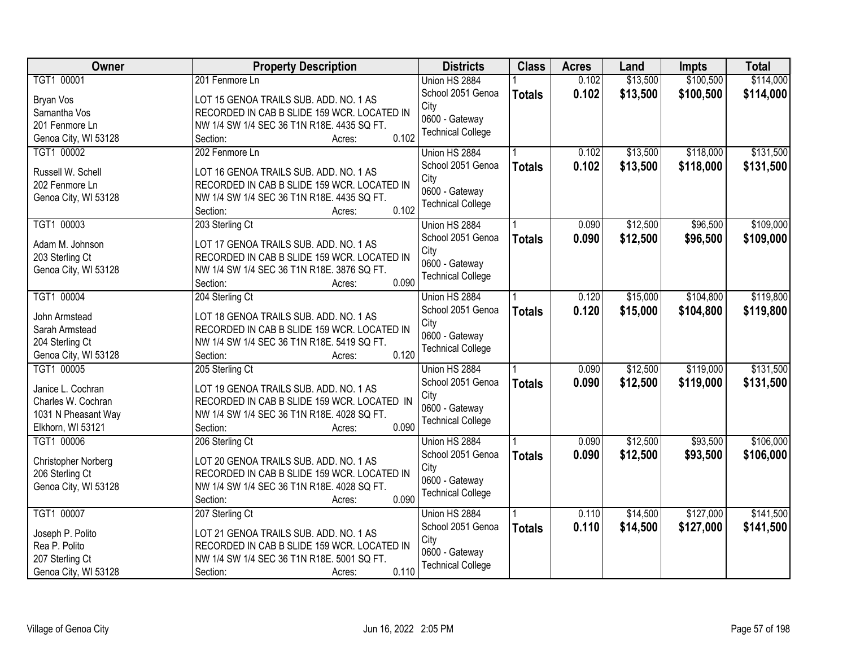| Owner                | <b>Property Description</b>                 | <b>Districts</b>         | <b>Class</b>  | <b>Acres</b> | Land     | Impts     | <b>Total</b> |
|----------------------|---------------------------------------------|--------------------------|---------------|--------------|----------|-----------|--------------|
| TGT1 00001           | 201 Fenmore Ln                              | Union HS 2884            |               | 0.102        | \$13,500 | \$100,500 | \$114,000    |
| Bryan Vos            | LOT 15 GENOA TRAILS SUB. ADD. NO. 1 AS      | School 2051 Genoa        | <b>Totals</b> | 0.102        | \$13,500 | \$100,500 | \$114,000    |
| Samantha Vos         | RECORDED IN CAB B SLIDE 159 WCR. LOCATED IN | City                     |               |              |          |           |              |
| 201 Fenmore Ln       | NW 1/4 SW 1/4 SEC 36 T1N R18E. 4435 SQ FT.  | 0600 - Gateway           |               |              |          |           |              |
| Genoa City, WI 53128 | 0.102<br>Section:<br>Acres:                 | <b>Technical College</b> |               |              |          |           |              |
| TGT1 00002           | 202 Fenmore Ln                              | Union HS 2884            |               | 0.102        | \$13,500 | \$118,000 | \$131,500    |
|                      |                                             | School 2051 Genoa        | <b>Totals</b> | 0.102        | \$13,500 | \$118,000 | \$131,500    |
| Russell W. Schell    | LOT 16 GENOA TRAILS SUB. ADD. NO. 1 AS      | City                     |               |              |          |           |              |
| 202 Fenmore Ln       | RECORDED IN CAB B SLIDE 159 WCR. LOCATED IN | 0600 - Gateway           |               |              |          |           |              |
| Genoa City, WI 53128 | NW 1/4 SW 1/4 SEC 36 T1N R18E. 4435 SQ FT.  | <b>Technical College</b> |               |              |          |           |              |
|                      | 0.102<br>Section:<br>Acres:                 |                          |               |              |          |           |              |
| TGT1 00003           | 203 Sterling Ct                             | Union HS 2884            |               | 0.090        | \$12,500 | \$96,500  | \$109,000    |
| Adam M. Johnson      | LOT 17 GENOA TRAILS SUB. ADD. NO. 1 AS      | School 2051 Genoa        | <b>Totals</b> | 0.090        | \$12,500 | \$96,500  | \$109,000    |
| 203 Sterling Ct      | RECORDED IN CAB B SLIDE 159 WCR. LOCATED IN | City                     |               |              |          |           |              |
| Genoa City, WI 53128 | NW 1/4 SW 1/4 SEC 36 T1N R18E. 3876 SQ FT.  | 0600 - Gateway           |               |              |          |           |              |
|                      | 0.090<br>Section:<br>Acres:                 | <b>Technical College</b> |               |              |          |           |              |
| TGT1 00004           | 204 Sterling Ct                             | Union HS 2884            |               | 0.120        | \$15,000 | \$104,800 | \$119,800    |
|                      |                                             | School 2051 Genoa        | <b>Totals</b> | 0.120        | \$15,000 | \$104,800 | \$119,800    |
| John Armstead        | LOT 18 GENOA TRAILS SUB. ADD. NO. 1 AS      | City                     |               |              |          |           |              |
| Sarah Armstead       | RECORDED IN CAB B SLIDE 159 WCR. LOCATED IN | 0600 - Gateway           |               |              |          |           |              |
| 204 Sterling Ct      | NW 1/4 SW 1/4 SEC 36 T1N R18E. 5419 SQ FT.  | <b>Technical College</b> |               |              |          |           |              |
| Genoa City, WI 53128 | 0.120<br>Section:<br>Acres:                 |                          |               |              |          |           |              |
| TGT1 00005           | 205 Sterling Ct                             | Union HS 2884            |               | 0.090        | \$12,500 | \$119,000 | \$131,500    |
| Janice L. Cochran    | LOT 19 GENOA TRAILS SUB. ADD. NO. 1 AS      | School 2051 Genoa        | <b>Totals</b> | 0.090        | \$12,500 | \$119,000 | \$131,500    |
| Charles W. Cochran   | RECORDED IN CAB B SLIDE 159 WCR. LOCATED IN | City                     |               |              |          |           |              |
| 1031 N Pheasant Way  | NW 1/4 SW 1/4 SEC 36 T1N R18E. 4028 SQ FT.  | 0600 - Gateway           |               |              |          |           |              |
| Elkhorn, WI 53121    | 0.090<br>Section:<br>Acres:                 | <b>Technical College</b> |               |              |          |           |              |
| TGT1 00006           | 206 Sterling Ct                             | Union HS 2884            |               | 0.090        | \$12,500 | \$93,500  | \$106,000    |
|                      |                                             | School 2051 Genoa        | <b>Totals</b> | 0.090        | \$12,500 | \$93,500  | \$106,000    |
| Christopher Norberg  | LOT 20 GENOA TRAILS SUB. ADD. NO. 1 AS      | City                     |               |              |          |           |              |
| 206 Sterling Ct      | RECORDED IN CAB B SLIDE 159 WCR. LOCATED IN | 0600 - Gateway           |               |              |          |           |              |
| Genoa City, WI 53128 | NW 1/4 SW 1/4 SEC 36 T1N R18E. 4028 SQ FT.  | <b>Technical College</b> |               |              |          |           |              |
|                      | 0.090<br>Section:<br>Acres:                 |                          |               |              |          |           |              |
| TGT1 00007           | 207 Sterling Ct                             | Union HS 2884            |               | 0.110        | \$14,500 | \$127,000 | \$141,500    |
| Joseph P. Polito     | LOT 21 GENOA TRAILS SUB. ADD. NO. 1 AS      | School 2051 Genoa        | <b>Totals</b> | 0.110        | \$14,500 | \$127,000 | \$141,500    |
| Rea P. Polito        | RECORDED IN CAB B SLIDE 159 WCR. LOCATED IN | City                     |               |              |          |           |              |
| 207 Sterling Ct      | NW 1/4 SW 1/4 SEC 36 T1N R18E. 5001 SQ FT.  | 0600 - Gateway           |               |              |          |           |              |
| Genoa City, WI 53128 | 0.110<br>Section:<br>Acres:                 | <b>Technical College</b> |               |              |          |           |              |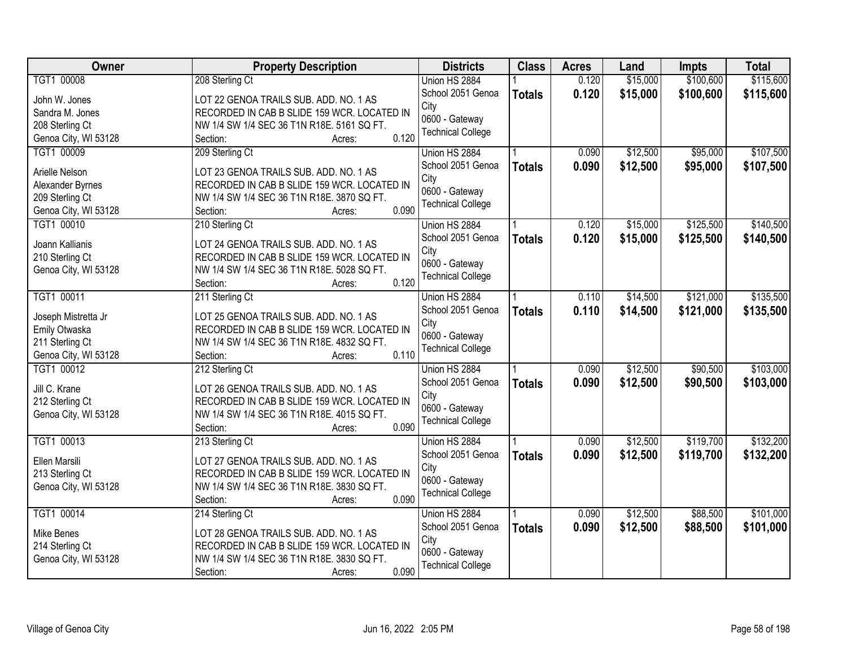| <b>Owner</b>         | <b>Property Description</b>                                                           | <b>Districts</b>         | <b>Class</b>  | <b>Acres</b> | Land     | Impts     | <b>Total</b> |
|----------------------|---------------------------------------------------------------------------------------|--------------------------|---------------|--------------|----------|-----------|--------------|
| TGT1 00008           | 208 Sterling Ct                                                                       | Union HS 2884            |               | 0.120        | \$15,000 | \$100,600 | \$115,600    |
| John W. Jones        | LOT 22 GENOA TRAILS SUB. ADD. NO. 1 AS                                                | School 2051 Genoa        | <b>Totals</b> | 0.120        | \$15,000 | \$100,600 | \$115,600    |
| Sandra M. Jones      | RECORDED IN CAB B SLIDE 159 WCR. LOCATED IN                                           | City                     |               |              |          |           |              |
| 208 Sterling Ct      | NW 1/4 SW 1/4 SEC 36 T1N R18E. 5161 SQ FT.                                            | 0600 - Gateway           |               |              |          |           |              |
| Genoa City, WI 53128 | 0.120<br>Section:<br>Acres:                                                           | <b>Technical College</b> |               |              |          |           |              |
| TGT1 00009           | 209 Sterling Ct                                                                       | Union HS 2884            |               | 0.090        | \$12,500 | \$95,000  | \$107,500    |
|                      |                                                                                       | School 2051 Genoa        | <b>Totals</b> | 0.090        | \$12,500 | \$95,000  | \$107,500    |
| Arielle Nelson       | LOT 23 GENOA TRAILS SUB. ADD. NO. 1 AS                                                | City                     |               |              |          |           |              |
| Alexander Byrnes     | RECORDED IN CAB B SLIDE 159 WCR. LOCATED IN                                           | 0600 - Gateway           |               |              |          |           |              |
| 209 Sterling Ct      | NW 1/4 SW 1/4 SEC 36 T1N R18E. 3870 SQ FT.                                            | <b>Technical College</b> |               |              |          |           |              |
| Genoa City, WI 53128 | 0.090<br>Section:<br>Acres:                                                           |                          |               |              |          |           |              |
| TGT1 00010           | 210 Sterling Ct                                                                       | Union HS 2884            |               | 0.120        | \$15,000 | \$125,500 | \$140,500    |
| Joann Kallianis      | LOT 24 GENOA TRAILS SUB. ADD. NO. 1 AS                                                | School 2051 Genoa        | <b>Totals</b> | 0.120        | \$15,000 | \$125,500 | \$140,500    |
| 210 Sterling Ct      | RECORDED IN CAB B SLIDE 159 WCR. LOCATED IN                                           | City                     |               |              |          |           |              |
| Genoa City, WI 53128 | NW 1/4 SW 1/4 SEC 36 T1N R18E. 5028 SQ FT.                                            | 0600 - Gateway           |               |              |          |           |              |
|                      | 0.120<br>Section:<br>Acres:                                                           | <b>Technical College</b> |               |              |          |           |              |
| TGT1 00011           | 211 Sterling Ct                                                                       | Union HS 2884            |               | 0.110        | \$14,500 | \$121,000 | \$135,500    |
|                      |                                                                                       | School 2051 Genoa        | <b>Totals</b> | 0.110        | \$14,500 | \$121,000 | \$135,500    |
| Joseph Mistretta Jr  | LOT 25 GENOA TRAILS SUB. ADD. NO. 1 AS                                                | City                     |               |              |          |           |              |
| Emily Otwaska        | RECORDED IN CAB B SLIDE 159 WCR. LOCATED IN                                           | 0600 - Gateway           |               |              |          |           |              |
| 211 Sterling Ct      | NW 1/4 SW 1/4 SEC 36 T1N R18E. 4832 SQ FT.                                            | <b>Technical College</b> |               |              |          |           |              |
| Genoa City, WI 53128 | 0.110<br>Section:<br>Acres:                                                           |                          |               |              |          |           |              |
| TGT1 00012           | 212 Sterling Ct                                                                       | Union HS 2884            |               | 0.090        | \$12,500 | \$90,500  | \$103,000    |
| Jill C. Krane        | LOT 26 GENOA TRAILS SUB. ADD. NO. 1 AS                                                | School 2051 Genoa        | <b>Totals</b> | 0.090        | \$12,500 | \$90,500  | \$103,000    |
| 212 Sterling Ct      | RECORDED IN CAB B SLIDE 159 WCR. LOCATED IN                                           | City                     |               |              |          |           |              |
| Genoa City, WI 53128 | NW 1/4 SW 1/4 SEC 36 T1N R18E. 4015 SQ FT.                                            | 0600 - Gateway           |               |              |          |           |              |
|                      | 0.090<br>Section:<br>Acres:                                                           | <b>Technical College</b> |               |              |          |           |              |
| TGT1 00013           | 213 Sterling Ct                                                                       | Union HS 2884            |               | 0.090        | \$12,500 | \$119,700 | \$132,200    |
|                      |                                                                                       | School 2051 Genoa        | <b>Totals</b> | 0.090        | \$12,500 | \$119,700 | \$132,200    |
| Ellen Marsili        | LOT 27 GENOA TRAILS SUB. ADD. NO. 1 AS<br>RECORDED IN CAB B SLIDE 159 WCR. LOCATED IN | City                     |               |              |          |           |              |
| 213 Sterling Ct      |                                                                                       | 0600 - Gateway           |               |              |          |           |              |
| Genoa City, WI 53128 | NW 1/4 SW 1/4 SEC 36 T1N R18E. 3830 SQ FT.<br>0.090                                   | <b>Technical College</b> |               |              |          |           |              |
|                      | Section:<br>Acres:                                                                    |                          |               |              |          |           | \$101,000    |
| TGT1 00014           | 214 Sterling Ct                                                                       | Union HS 2884            |               | 0.090        | \$12,500 | \$88,500  |              |
| <b>Mike Benes</b>    | LOT 28 GENOA TRAILS SUB. ADD. NO. 1 AS                                                | School 2051 Genoa        | <b>Totals</b> | 0.090        | \$12,500 | \$88,500  | \$101,000    |
| 214 Sterling Ct      | RECORDED IN CAB B SLIDE 159 WCR. LOCATED IN                                           | City<br>0600 - Gateway   |               |              |          |           |              |
| Genoa City, WI 53128 | NW 1/4 SW 1/4 SEC 36 T1N R18E. 3830 SQ FT.                                            |                          |               |              |          |           |              |
|                      | 0.090<br>Section:<br>Acres:                                                           | <b>Technical College</b> |               |              |          |           |              |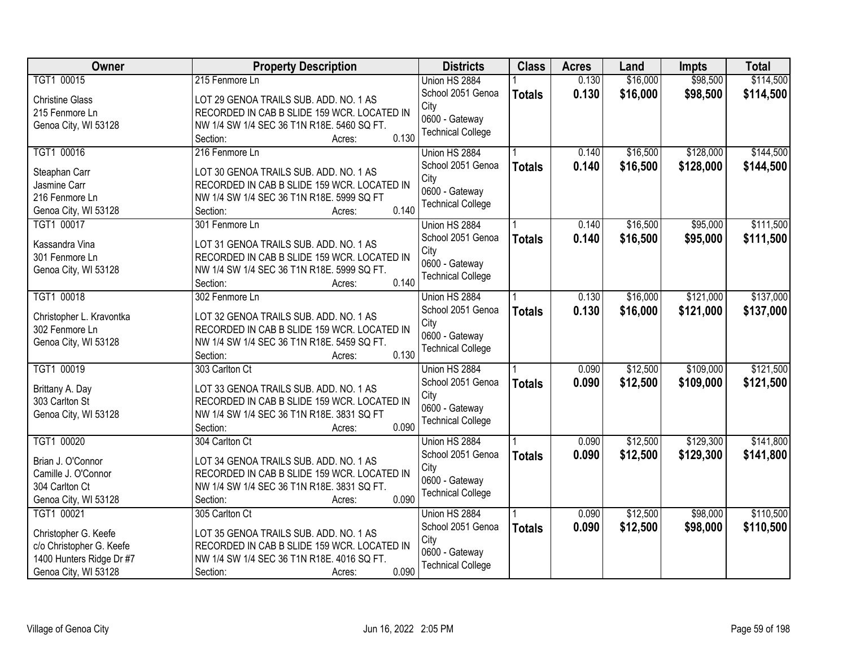| TGT1 00015<br>0.130<br>\$16,000<br>\$98,500<br>215 Fenmore Ln<br>Union HS 2884<br>School 2051 Genoa<br>0.130<br>\$16,000<br>\$98,500<br><b>Totals</b><br><b>Christine Glass</b><br>LOT 29 GENOA TRAILS SUB. ADD. NO. 1 AS<br>City<br>215 Fenmore Ln<br>RECORDED IN CAB B SLIDE 159 WCR. LOCATED IN<br>0600 - Gateway<br>NW 1/4 SW 1/4 SEC 36 T1N R18E. 5460 SQ FT.<br>Genoa City, WI 53128<br><b>Technical College</b><br>0.130<br>Section:<br>Acres:<br>\$128,000<br>TGT1 00016<br>216 Fenmore Ln<br>\$16,500<br>0.140<br>Union HS 2884<br>School 2051 Genoa<br>0.140<br>\$16,500<br>\$128,000<br><b>Totals</b><br>LOT 30 GENOA TRAILS SUB. ADD. NO. 1 AS<br>Steaphan Carr<br>City<br>Jasmine Carr<br>RECORDED IN CAB B SLIDE 159 WCR. LOCATED IN<br>0600 - Gateway<br>216 Fenmore Ln<br>NW 1/4 SW 1/4 SEC 36 T1N R18E. 5999 SQ FT<br><b>Technical College</b><br>0.140<br>Genoa City, WI 53128<br>Section:<br>Acres:<br>\$16,500<br>TGT1 00017<br>\$95,000<br>301 Fenmore Ln<br>Union HS 2884<br>0.140<br>School 2051 Genoa<br>\$16,500<br>\$95,000<br>0.140<br><b>Totals</b><br>LOT 31 GENOA TRAILS SUB. ADD. NO. 1 AS<br>Kassandra Vina<br>City<br>RECORDED IN CAB B SLIDE 159 WCR. LOCATED IN<br>301 Fenmore Ln<br>0600 - Gateway<br>NW 1/4 SW 1/4 SEC 36 T1N R18E. 5999 SQ FT.<br>Genoa City, WI 53128<br><b>Technical College</b><br>0.140<br>Section:<br>Acres:<br>TGT1 00018<br>\$16,000<br>\$121,000<br>302 Fenmore Ln<br>Union HS 2884<br>0.130<br>School 2051 Genoa<br>0.130<br>\$16,000<br>\$121,000<br><b>Totals</b><br>Christopher L. Kravontka<br>LOT 32 GENOA TRAILS SUB. ADD. NO. 1 AS<br>City<br>302 Fenmore Ln<br>RECORDED IN CAB B SLIDE 159 WCR. LOCATED IN<br>0600 - Gateway<br>Genoa City, WI 53128<br>NW 1/4 SW 1/4 SEC 36 T1N R18E. 5459 SQ FT.<br><b>Technical College</b><br>0.130<br>Section:<br>Acres:<br>TGT1 00019<br>\$12,500<br>\$109,000<br>0.090<br>303 Carlton Ct<br>Union HS 2884<br>0.090<br>\$12,500<br>\$109,000<br>School 2051 Genoa<br><b>Totals</b><br>LOT 33 GENOA TRAILS SUB. ADD. NO. 1 AS<br>Brittany A. Day<br>City<br>303 Carlton St<br>RECORDED IN CAB B SLIDE 159 WCR. LOCATED IN<br>0600 - Gateway<br>Genoa City, WI 53128<br>NW 1/4 SW 1/4 SEC 36 T1N R18E. 3831 SQ FT<br><b>Technical College</b><br>0.090<br>Section:<br>Acres:<br>\$12,500<br>\$129,300<br>TGT1 00020<br>0.090<br>304 Carlton Ct<br>Union HS 2884<br>\$12,500<br>School 2051 Genoa<br>0.090<br>\$129,300<br><b>Totals</b><br>Brian J. O'Connor<br>LOT 34 GENOA TRAILS SUB. ADD. NO. 1 AS<br>City<br>Camille J. O'Connor<br>RECORDED IN CAB B SLIDE 159 WCR. LOCATED IN<br>0600 - Gateway<br>304 Carlton Ct<br>NW 1/4 SW 1/4 SEC 36 T1N R18E. 3831 SQ FT.<br><b>Technical College</b><br>0.090<br>Genoa City, WI 53128<br>Section:<br>Acres:<br>\$12,500<br>TGT1 00021<br>\$98,000<br>305 Carlton Ct<br>0.090<br>Union HS 2884<br>0.090<br>\$12,500<br>\$98,000<br>School 2051 Genoa<br><b>Totals</b><br>LOT 35 GENOA TRAILS SUB. ADD. NO. 1 AS<br>Christopher G. Keefe<br>City<br>c/o Christopher G. Keefe<br>RECORDED IN CAB B SLIDE 159 WCR. LOCATED IN<br>0600 - Gateway<br>NW 1/4 SW 1/4 SEC 36 T1N R18E. 4016 SQ FT.<br>1400 Hunters Ridge Dr #7<br><b>Technical College</b> | Owner                | <b>Property Description</b> | <b>Districts</b> | <b>Class</b> | <b>Acres</b> | Land | <b>Impts</b> | <b>Total</b> |
|------------------------------------------------------------------------------------------------------------------------------------------------------------------------------------------------------------------------------------------------------------------------------------------------------------------------------------------------------------------------------------------------------------------------------------------------------------------------------------------------------------------------------------------------------------------------------------------------------------------------------------------------------------------------------------------------------------------------------------------------------------------------------------------------------------------------------------------------------------------------------------------------------------------------------------------------------------------------------------------------------------------------------------------------------------------------------------------------------------------------------------------------------------------------------------------------------------------------------------------------------------------------------------------------------------------------------------------------------------------------------------------------------------------------------------------------------------------------------------------------------------------------------------------------------------------------------------------------------------------------------------------------------------------------------------------------------------------------------------------------------------------------------------------------------------------------------------------------------------------------------------------------------------------------------------------------------------------------------------------------------------------------------------------------------------------------------------------------------------------------------------------------------------------------------------------------------------------------------------------------------------------------------------------------------------------------------------------------------------------------------------------------------------------------------------------------------------------------------------------------------------------------------------------------------------------------------------------------------------------------------------------------------------------------------------------------------------------------------------------------------------------------------------------------------------------------------------------------------------------------------------------------------------------------------------------------------------------------------------------------------------------------------------------------------------------------------------------------------------------------------------------------------------------------------------------------------------|----------------------|-----------------------------|------------------|--------------|--------------|------|--------------|--------------|
|                                                                                                                                                                                                                                                                                                                                                                                                                                                                                                                                                                                                                                                                                                                                                                                                                                                                                                                                                                                                                                                                                                                                                                                                                                                                                                                                                                                                                                                                                                                                                                                                                                                                                                                                                                                                                                                                                                                                                                                                                                                                                                                                                                                                                                                                                                                                                                                                                                                                                                                                                                                                                                                                                                                                                                                                                                                                                                                                                                                                                                                                                                                                                                                                            |                      |                             |                  |              |              |      |              | \$114,500    |
| \$144,500<br>\$144,500                                                                                                                                                                                                                                                                                                                                                                                                                                                                                                                                                                                                                                                                                                                                                                                                                                                                                                                                                                                                                                                                                                                                                                                                                                                                                                                                                                                                                                                                                                                                                                                                                                                                                                                                                                                                                                                                                                                                                                                                                                                                                                                                                                                                                                                                                                                                                                                                                                                                                                                                                                                                                                                                                                                                                                                                                                                                                                                                                                                                                                                                                                                                                                                     |                      |                             |                  |              |              |      |              | \$114,500    |
|                                                                                                                                                                                                                                                                                                                                                                                                                                                                                                                                                                                                                                                                                                                                                                                                                                                                                                                                                                                                                                                                                                                                                                                                                                                                                                                                                                                                                                                                                                                                                                                                                                                                                                                                                                                                                                                                                                                                                                                                                                                                                                                                                                                                                                                                                                                                                                                                                                                                                                                                                                                                                                                                                                                                                                                                                                                                                                                                                                                                                                                                                                                                                                                                            |                      |                             |                  |              |              |      |              |              |
|                                                                                                                                                                                                                                                                                                                                                                                                                                                                                                                                                                                                                                                                                                                                                                                                                                                                                                                                                                                                                                                                                                                                                                                                                                                                                                                                                                                                                                                                                                                                                                                                                                                                                                                                                                                                                                                                                                                                                                                                                                                                                                                                                                                                                                                                                                                                                                                                                                                                                                                                                                                                                                                                                                                                                                                                                                                                                                                                                                                                                                                                                                                                                                                                            |                      |                             |                  |              |              |      |              |              |
|                                                                                                                                                                                                                                                                                                                                                                                                                                                                                                                                                                                                                                                                                                                                                                                                                                                                                                                                                                                                                                                                                                                                                                                                                                                                                                                                                                                                                                                                                                                                                                                                                                                                                                                                                                                                                                                                                                                                                                                                                                                                                                                                                                                                                                                                                                                                                                                                                                                                                                                                                                                                                                                                                                                                                                                                                                                                                                                                                                                                                                                                                                                                                                                                            |                      |                             |                  |              |              |      |              |              |
|                                                                                                                                                                                                                                                                                                                                                                                                                                                                                                                                                                                                                                                                                                                                                                                                                                                                                                                                                                                                                                                                                                                                                                                                                                                                                                                                                                                                                                                                                                                                                                                                                                                                                                                                                                                                                                                                                                                                                                                                                                                                                                                                                                                                                                                                                                                                                                                                                                                                                                                                                                                                                                                                                                                                                                                                                                                                                                                                                                                                                                                                                                                                                                                                            |                      |                             |                  |              |              |      |              |              |
|                                                                                                                                                                                                                                                                                                                                                                                                                                                                                                                                                                                                                                                                                                                                                                                                                                                                                                                                                                                                                                                                                                                                                                                                                                                                                                                                                                                                                                                                                                                                                                                                                                                                                                                                                                                                                                                                                                                                                                                                                                                                                                                                                                                                                                                                                                                                                                                                                                                                                                                                                                                                                                                                                                                                                                                                                                                                                                                                                                                                                                                                                                                                                                                                            |                      |                             |                  |              |              |      |              |              |
|                                                                                                                                                                                                                                                                                                                                                                                                                                                                                                                                                                                                                                                                                                                                                                                                                                                                                                                                                                                                                                                                                                                                                                                                                                                                                                                                                                                                                                                                                                                                                                                                                                                                                                                                                                                                                                                                                                                                                                                                                                                                                                                                                                                                                                                                                                                                                                                                                                                                                                                                                                                                                                                                                                                                                                                                                                                                                                                                                                                                                                                                                                                                                                                                            |                      |                             |                  |              |              |      |              |              |
| \$111,500<br>\$111,500<br>\$137,000<br>\$137,000<br>\$121,500<br>\$121,500<br>\$141,800<br>\$141,800<br>\$110,500<br>\$110,500                                                                                                                                                                                                                                                                                                                                                                                                                                                                                                                                                                                                                                                                                                                                                                                                                                                                                                                                                                                                                                                                                                                                                                                                                                                                                                                                                                                                                                                                                                                                                                                                                                                                                                                                                                                                                                                                                                                                                                                                                                                                                                                                                                                                                                                                                                                                                                                                                                                                                                                                                                                                                                                                                                                                                                                                                                                                                                                                                                                                                                                                             |                      |                             |                  |              |              |      |              |              |
|                                                                                                                                                                                                                                                                                                                                                                                                                                                                                                                                                                                                                                                                                                                                                                                                                                                                                                                                                                                                                                                                                                                                                                                                                                                                                                                                                                                                                                                                                                                                                                                                                                                                                                                                                                                                                                                                                                                                                                                                                                                                                                                                                                                                                                                                                                                                                                                                                                                                                                                                                                                                                                                                                                                                                                                                                                                                                                                                                                                                                                                                                                                                                                                                            |                      |                             |                  |              |              |      |              |              |
|                                                                                                                                                                                                                                                                                                                                                                                                                                                                                                                                                                                                                                                                                                                                                                                                                                                                                                                                                                                                                                                                                                                                                                                                                                                                                                                                                                                                                                                                                                                                                                                                                                                                                                                                                                                                                                                                                                                                                                                                                                                                                                                                                                                                                                                                                                                                                                                                                                                                                                                                                                                                                                                                                                                                                                                                                                                                                                                                                                                                                                                                                                                                                                                                            |                      |                             |                  |              |              |      |              |              |
|                                                                                                                                                                                                                                                                                                                                                                                                                                                                                                                                                                                                                                                                                                                                                                                                                                                                                                                                                                                                                                                                                                                                                                                                                                                                                                                                                                                                                                                                                                                                                                                                                                                                                                                                                                                                                                                                                                                                                                                                                                                                                                                                                                                                                                                                                                                                                                                                                                                                                                                                                                                                                                                                                                                                                                                                                                                                                                                                                                                                                                                                                                                                                                                                            |                      |                             |                  |              |              |      |              |              |
|                                                                                                                                                                                                                                                                                                                                                                                                                                                                                                                                                                                                                                                                                                                                                                                                                                                                                                                                                                                                                                                                                                                                                                                                                                                                                                                                                                                                                                                                                                                                                                                                                                                                                                                                                                                                                                                                                                                                                                                                                                                                                                                                                                                                                                                                                                                                                                                                                                                                                                                                                                                                                                                                                                                                                                                                                                                                                                                                                                                                                                                                                                                                                                                                            |                      |                             |                  |              |              |      |              |              |
|                                                                                                                                                                                                                                                                                                                                                                                                                                                                                                                                                                                                                                                                                                                                                                                                                                                                                                                                                                                                                                                                                                                                                                                                                                                                                                                                                                                                                                                                                                                                                                                                                                                                                                                                                                                                                                                                                                                                                                                                                                                                                                                                                                                                                                                                                                                                                                                                                                                                                                                                                                                                                                                                                                                                                                                                                                                                                                                                                                                                                                                                                                                                                                                                            |                      |                             |                  |              |              |      |              |              |
|                                                                                                                                                                                                                                                                                                                                                                                                                                                                                                                                                                                                                                                                                                                                                                                                                                                                                                                                                                                                                                                                                                                                                                                                                                                                                                                                                                                                                                                                                                                                                                                                                                                                                                                                                                                                                                                                                                                                                                                                                                                                                                                                                                                                                                                                                                                                                                                                                                                                                                                                                                                                                                                                                                                                                                                                                                                                                                                                                                                                                                                                                                                                                                                                            |                      |                             |                  |              |              |      |              |              |
|                                                                                                                                                                                                                                                                                                                                                                                                                                                                                                                                                                                                                                                                                                                                                                                                                                                                                                                                                                                                                                                                                                                                                                                                                                                                                                                                                                                                                                                                                                                                                                                                                                                                                                                                                                                                                                                                                                                                                                                                                                                                                                                                                                                                                                                                                                                                                                                                                                                                                                                                                                                                                                                                                                                                                                                                                                                                                                                                                                                                                                                                                                                                                                                                            |                      |                             |                  |              |              |      |              |              |
|                                                                                                                                                                                                                                                                                                                                                                                                                                                                                                                                                                                                                                                                                                                                                                                                                                                                                                                                                                                                                                                                                                                                                                                                                                                                                                                                                                                                                                                                                                                                                                                                                                                                                                                                                                                                                                                                                                                                                                                                                                                                                                                                                                                                                                                                                                                                                                                                                                                                                                                                                                                                                                                                                                                                                                                                                                                                                                                                                                                                                                                                                                                                                                                                            |                      |                             |                  |              |              |      |              |              |
|                                                                                                                                                                                                                                                                                                                                                                                                                                                                                                                                                                                                                                                                                                                                                                                                                                                                                                                                                                                                                                                                                                                                                                                                                                                                                                                                                                                                                                                                                                                                                                                                                                                                                                                                                                                                                                                                                                                                                                                                                                                                                                                                                                                                                                                                                                                                                                                                                                                                                                                                                                                                                                                                                                                                                                                                                                                                                                                                                                                                                                                                                                                                                                                                            |                      |                             |                  |              |              |      |              |              |
|                                                                                                                                                                                                                                                                                                                                                                                                                                                                                                                                                                                                                                                                                                                                                                                                                                                                                                                                                                                                                                                                                                                                                                                                                                                                                                                                                                                                                                                                                                                                                                                                                                                                                                                                                                                                                                                                                                                                                                                                                                                                                                                                                                                                                                                                                                                                                                                                                                                                                                                                                                                                                                                                                                                                                                                                                                                                                                                                                                                                                                                                                                                                                                                                            |                      |                             |                  |              |              |      |              |              |
|                                                                                                                                                                                                                                                                                                                                                                                                                                                                                                                                                                                                                                                                                                                                                                                                                                                                                                                                                                                                                                                                                                                                                                                                                                                                                                                                                                                                                                                                                                                                                                                                                                                                                                                                                                                                                                                                                                                                                                                                                                                                                                                                                                                                                                                                                                                                                                                                                                                                                                                                                                                                                                                                                                                                                                                                                                                                                                                                                                                                                                                                                                                                                                                                            |                      |                             |                  |              |              |      |              |              |
|                                                                                                                                                                                                                                                                                                                                                                                                                                                                                                                                                                                                                                                                                                                                                                                                                                                                                                                                                                                                                                                                                                                                                                                                                                                                                                                                                                                                                                                                                                                                                                                                                                                                                                                                                                                                                                                                                                                                                                                                                                                                                                                                                                                                                                                                                                                                                                                                                                                                                                                                                                                                                                                                                                                                                                                                                                                                                                                                                                                                                                                                                                                                                                                                            |                      |                             |                  |              |              |      |              |              |
|                                                                                                                                                                                                                                                                                                                                                                                                                                                                                                                                                                                                                                                                                                                                                                                                                                                                                                                                                                                                                                                                                                                                                                                                                                                                                                                                                                                                                                                                                                                                                                                                                                                                                                                                                                                                                                                                                                                                                                                                                                                                                                                                                                                                                                                                                                                                                                                                                                                                                                                                                                                                                                                                                                                                                                                                                                                                                                                                                                                                                                                                                                                                                                                                            |                      |                             |                  |              |              |      |              |              |
|                                                                                                                                                                                                                                                                                                                                                                                                                                                                                                                                                                                                                                                                                                                                                                                                                                                                                                                                                                                                                                                                                                                                                                                                                                                                                                                                                                                                                                                                                                                                                                                                                                                                                                                                                                                                                                                                                                                                                                                                                                                                                                                                                                                                                                                                                                                                                                                                                                                                                                                                                                                                                                                                                                                                                                                                                                                                                                                                                                                                                                                                                                                                                                                                            |                      |                             |                  |              |              |      |              |              |
|                                                                                                                                                                                                                                                                                                                                                                                                                                                                                                                                                                                                                                                                                                                                                                                                                                                                                                                                                                                                                                                                                                                                                                                                                                                                                                                                                                                                                                                                                                                                                                                                                                                                                                                                                                                                                                                                                                                                                                                                                                                                                                                                                                                                                                                                                                                                                                                                                                                                                                                                                                                                                                                                                                                                                                                                                                                                                                                                                                                                                                                                                                                                                                                                            |                      |                             |                  |              |              |      |              |              |
|                                                                                                                                                                                                                                                                                                                                                                                                                                                                                                                                                                                                                                                                                                                                                                                                                                                                                                                                                                                                                                                                                                                                                                                                                                                                                                                                                                                                                                                                                                                                                                                                                                                                                                                                                                                                                                                                                                                                                                                                                                                                                                                                                                                                                                                                                                                                                                                                                                                                                                                                                                                                                                                                                                                                                                                                                                                                                                                                                                                                                                                                                                                                                                                                            |                      |                             |                  |              |              |      |              |              |
|                                                                                                                                                                                                                                                                                                                                                                                                                                                                                                                                                                                                                                                                                                                                                                                                                                                                                                                                                                                                                                                                                                                                                                                                                                                                                                                                                                                                                                                                                                                                                                                                                                                                                                                                                                                                                                                                                                                                                                                                                                                                                                                                                                                                                                                                                                                                                                                                                                                                                                                                                                                                                                                                                                                                                                                                                                                                                                                                                                                                                                                                                                                                                                                                            |                      |                             |                  |              |              |      |              |              |
|                                                                                                                                                                                                                                                                                                                                                                                                                                                                                                                                                                                                                                                                                                                                                                                                                                                                                                                                                                                                                                                                                                                                                                                                                                                                                                                                                                                                                                                                                                                                                                                                                                                                                                                                                                                                                                                                                                                                                                                                                                                                                                                                                                                                                                                                                                                                                                                                                                                                                                                                                                                                                                                                                                                                                                                                                                                                                                                                                                                                                                                                                                                                                                                                            |                      |                             |                  |              |              |      |              |              |
|                                                                                                                                                                                                                                                                                                                                                                                                                                                                                                                                                                                                                                                                                                                                                                                                                                                                                                                                                                                                                                                                                                                                                                                                                                                                                                                                                                                                                                                                                                                                                                                                                                                                                                                                                                                                                                                                                                                                                                                                                                                                                                                                                                                                                                                                                                                                                                                                                                                                                                                                                                                                                                                                                                                                                                                                                                                                                                                                                                                                                                                                                                                                                                                                            |                      |                             |                  |              |              |      |              |              |
|                                                                                                                                                                                                                                                                                                                                                                                                                                                                                                                                                                                                                                                                                                                                                                                                                                                                                                                                                                                                                                                                                                                                                                                                                                                                                                                                                                                                                                                                                                                                                                                                                                                                                                                                                                                                                                                                                                                                                                                                                                                                                                                                                                                                                                                                                                                                                                                                                                                                                                                                                                                                                                                                                                                                                                                                                                                                                                                                                                                                                                                                                                                                                                                                            |                      |                             |                  |              |              |      |              |              |
|                                                                                                                                                                                                                                                                                                                                                                                                                                                                                                                                                                                                                                                                                                                                                                                                                                                                                                                                                                                                                                                                                                                                                                                                                                                                                                                                                                                                                                                                                                                                                                                                                                                                                                                                                                                                                                                                                                                                                                                                                                                                                                                                                                                                                                                                                                                                                                                                                                                                                                                                                                                                                                                                                                                                                                                                                                                                                                                                                                                                                                                                                                                                                                                                            |                      |                             |                  |              |              |      |              |              |
|                                                                                                                                                                                                                                                                                                                                                                                                                                                                                                                                                                                                                                                                                                                                                                                                                                                                                                                                                                                                                                                                                                                                                                                                                                                                                                                                                                                                                                                                                                                                                                                                                                                                                                                                                                                                                                                                                                                                                                                                                                                                                                                                                                                                                                                                                                                                                                                                                                                                                                                                                                                                                                                                                                                                                                                                                                                                                                                                                                                                                                                                                                                                                                                                            |                      |                             |                  |              |              |      |              |              |
|                                                                                                                                                                                                                                                                                                                                                                                                                                                                                                                                                                                                                                                                                                                                                                                                                                                                                                                                                                                                                                                                                                                                                                                                                                                                                                                                                                                                                                                                                                                                                                                                                                                                                                                                                                                                                                                                                                                                                                                                                                                                                                                                                                                                                                                                                                                                                                                                                                                                                                                                                                                                                                                                                                                                                                                                                                                                                                                                                                                                                                                                                                                                                                                                            |                      |                             |                  |              |              |      |              |              |
|                                                                                                                                                                                                                                                                                                                                                                                                                                                                                                                                                                                                                                                                                                                                                                                                                                                                                                                                                                                                                                                                                                                                                                                                                                                                                                                                                                                                                                                                                                                                                                                                                                                                                                                                                                                                                                                                                                                                                                                                                                                                                                                                                                                                                                                                                                                                                                                                                                                                                                                                                                                                                                                                                                                                                                                                                                                                                                                                                                                                                                                                                                                                                                                                            |                      |                             |                  |              |              |      |              |              |
|                                                                                                                                                                                                                                                                                                                                                                                                                                                                                                                                                                                                                                                                                                                                                                                                                                                                                                                                                                                                                                                                                                                                                                                                                                                                                                                                                                                                                                                                                                                                                                                                                                                                                                                                                                                                                                                                                                                                                                                                                                                                                                                                                                                                                                                                                                                                                                                                                                                                                                                                                                                                                                                                                                                                                                                                                                                                                                                                                                                                                                                                                                                                                                                                            |                      |                             |                  |              |              |      |              |              |
|                                                                                                                                                                                                                                                                                                                                                                                                                                                                                                                                                                                                                                                                                                                                                                                                                                                                                                                                                                                                                                                                                                                                                                                                                                                                                                                                                                                                                                                                                                                                                                                                                                                                                                                                                                                                                                                                                                                                                                                                                                                                                                                                                                                                                                                                                                                                                                                                                                                                                                                                                                                                                                                                                                                                                                                                                                                                                                                                                                                                                                                                                                                                                                                                            |                      |                             |                  |              |              |      |              |              |
|                                                                                                                                                                                                                                                                                                                                                                                                                                                                                                                                                                                                                                                                                                                                                                                                                                                                                                                                                                                                                                                                                                                                                                                                                                                                                                                                                                                                                                                                                                                                                                                                                                                                                                                                                                                                                                                                                                                                                                                                                                                                                                                                                                                                                                                                                                                                                                                                                                                                                                                                                                                                                                                                                                                                                                                                                                                                                                                                                                                                                                                                                                                                                                                                            | Genoa City, WI 53128 | 0.090<br>Section:<br>Acres: |                  |              |              |      |              |              |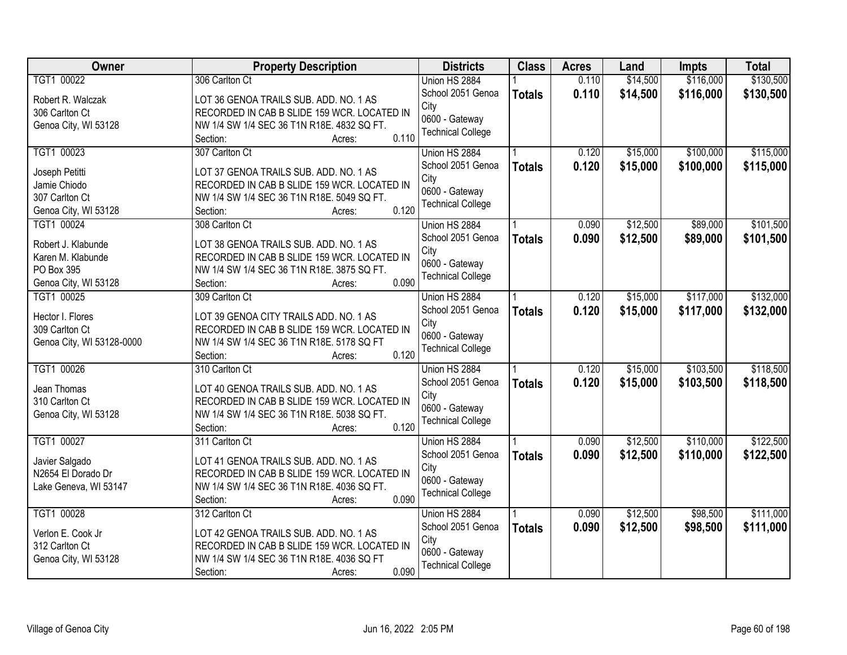| <b>Owner</b>              | <b>Property Description</b>                         | <b>Districts</b>         | <b>Class</b>  | <b>Acres</b> | Land     | <b>Impts</b> | <b>Total</b> |
|---------------------------|-----------------------------------------------------|--------------------------|---------------|--------------|----------|--------------|--------------|
| TGT1 00022                | 306 Carlton Ct                                      | Union HS 2884            |               | 0.110        | \$14,500 | \$116,000    | \$130,500    |
| Robert R. Walczak         | LOT 36 GENOA TRAILS SUB. ADD. NO. 1 AS              | School 2051 Genoa        | <b>Totals</b> | 0.110        | \$14,500 | \$116,000    | \$130,500    |
| 306 Carlton Ct            | RECORDED IN CAB B SLIDE 159 WCR. LOCATED IN         | City                     |               |              |          |              |              |
| Genoa City, WI 53128      | NW 1/4 SW 1/4 SEC 36 T1N R18E. 4832 SQ FT.          | 0600 - Gateway           |               |              |          |              |              |
|                           | 0.110<br>Section:<br>Acres:                         | <b>Technical College</b> |               |              |          |              |              |
| TGT1 00023                | 307 Carlton Ct                                      | Union HS 2884            |               | 0.120        | \$15,000 | \$100,000    | \$115,000    |
| Joseph Petitti            | LOT 37 GENOA TRAILS SUB. ADD. NO. 1 AS              | School 2051 Genoa        | <b>Totals</b> | 0.120        | \$15,000 | \$100,000    | \$115,000    |
| Jamie Chiodo              | RECORDED IN CAB B SLIDE 159 WCR. LOCATED IN         | City                     |               |              |          |              |              |
| 307 Carlton Ct            | NW 1/4 SW 1/4 SEC 36 T1N R18E. 5049 SQ FT.          | 0600 - Gateway           |               |              |          |              |              |
| Genoa City, WI 53128      | 0.120<br>Section:<br>Acres:                         | <b>Technical College</b> |               |              |          |              |              |
| TGT1 00024                | 308 Carlton Ct                                      | Union HS 2884            |               | 0.090        | \$12,500 | \$89,000     | \$101,500    |
|                           |                                                     | School 2051 Genoa        | <b>Totals</b> | 0.090        | \$12,500 | \$89,000     | \$101,500    |
| Robert J. Klabunde        | LOT 38 GENOA TRAILS SUB. ADD. NO. 1 AS              | City                     |               |              |          |              |              |
| Karen M. Klabunde         | RECORDED IN CAB B SLIDE 159 WCR. LOCATED IN         | 0600 - Gateway           |               |              |          |              |              |
| PO Box 395                | NW 1/4 SW 1/4 SEC 36 T1N R18E. 3875 SQ FT.          | <b>Technical College</b> |               |              |          |              |              |
| Genoa City, WI 53128      | 0.090<br>Section:<br>Acres:                         |                          |               |              |          |              |              |
| TGT1 00025                | 309 Carlton Ct                                      | Union HS 2884            |               | 0.120        | \$15,000 | \$117,000    | \$132,000    |
| Hector I. Flores          | LOT 39 GENOA CITY TRAILS ADD. NO. 1 AS              | School 2051 Genoa        | <b>Totals</b> | 0.120        | \$15,000 | \$117,000    | \$132,000    |
| 309 Carlton Ct            | RECORDED IN CAB B SLIDE 159 WCR. LOCATED IN         | City                     |               |              |          |              |              |
| Genoa City, WI 53128-0000 | NW 1/4 SW 1/4 SEC 36 T1N R18E. 5178 SQ FT           | 0600 - Gateway           |               |              |          |              |              |
|                           | 0.120<br>Section:<br>Acres:                         | <b>Technical College</b> |               |              |          |              |              |
| TGT1 00026                | 310 Carlton Ct                                      | Union HS 2884            |               | 0.120        | \$15,000 | \$103,500    | \$118,500    |
| Jean Thomas               | LOT 40 GENOA TRAILS SUB. ADD. NO. 1 AS              | School 2051 Genoa        | <b>Totals</b> | 0.120        | \$15,000 | \$103,500    | \$118,500    |
| 310 Carlton Ct            | RECORDED IN CAB B SLIDE 159 WCR. LOCATED IN         | City                     |               |              |          |              |              |
| Genoa City, WI 53128      | NW 1/4 SW 1/4 SEC 36 T1N R18E. 5038 SQ FT.          | 0600 - Gateway           |               |              |          |              |              |
|                           | 0.120<br>Section:<br>Acres:                         | <b>Technical College</b> |               |              |          |              |              |
| TGT1 00027                | 311 Carlton Ct                                      | Union HS 2884            |               | 0.090        | \$12,500 | \$110,000    | \$122,500    |
|                           |                                                     | School 2051 Genoa        | <b>Totals</b> | 0.090        | \$12,500 | \$110,000    | \$122,500    |
| Javier Salgado            | LOT 41 GENOA TRAILS SUB. ADD. NO. 1 AS              | City                     |               |              |          |              |              |
| N2654 El Dorado Dr        | RECORDED IN CAB B SLIDE 159 WCR. LOCATED IN         | 0600 - Gateway           |               |              |          |              |              |
| Lake Geneva, WI 53147     | NW 1/4 SW 1/4 SEC 36 T1N R18E. 4036 SQ FT.<br>0.090 | <b>Technical College</b> |               |              |          |              |              |
| TGT1 00028                | Section:<br>Acres:                                  |                          |               | 0.090        | \$12,500 | \$98,500     | \$111,000    |
|                           | 312 Carlton Ct                                      | Union HS 2884            |               |              |          |              |              |
| Verlon E. Cook Jr         | LOT 42 GENOA TRAILS SUB. ADD. NO. 1 AS              | School 2051 Genoa        | <b>Totals</b> | 0.090        | \$12,500 | \$98,500     | \$111,000    |
| 312 Carlton Ct            | RECORDED IN CAB B SLIDE 159 WCR. LOCATED IN         | City                     |               |              |          |              |              |
| Genoa City, WI 53128      | NW 1/4 SW 1/4 SEC 36 T1N R18E. 4036 SQ FT           | 0600 - Gateway           |               |              |          |              |              |
|                           | 0.090<br>Section:<br>Acres:                         | <b>Technical College</b> |               |              |          |              |              |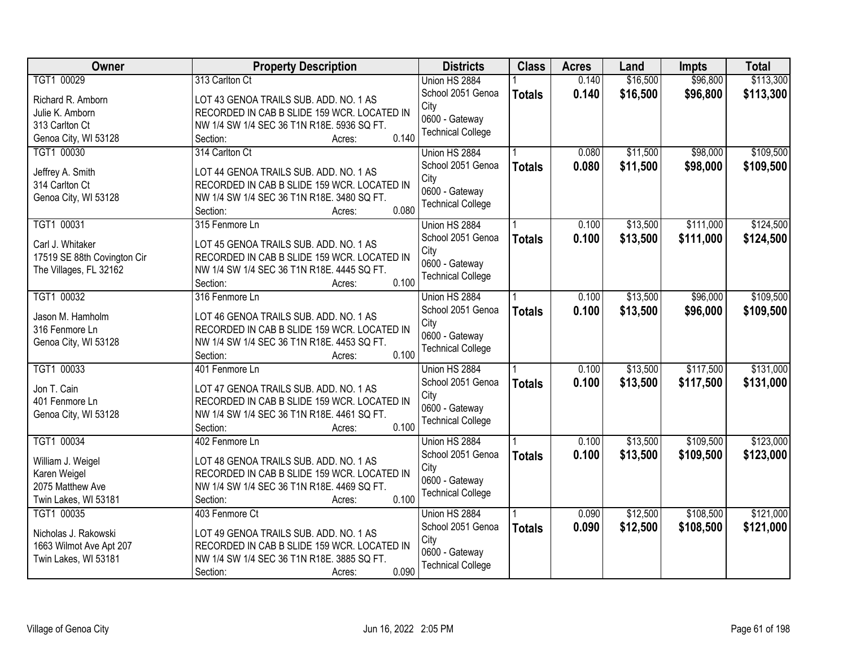| \$16,500<br>\$96,800<br>\$113,300<br>TGT1 00029<br>313 Carlton Ct<br>0.140<br>Union HS 2884<br>School 2051 Genoa<br>0.140<br>\$16,500<br>\$96,800<br>\$113,300<br><b>Totals</b><br>Richard R. Amborn<br>LOT 43 GENOA TRAILS SUB. ADD. NO. 1 AS<br>City<br>Julie K. Amborn<br>RECORDED IN CAB B SLIDE 159 WCR. LOCATED IN<br>0600 - Gateway<br>NW 1/4 SW 1/4 SEC 36 T1N R18E. 5936 SQ FT.<br>313 Carlton Ct<br><b>Technical College</b><br>0.140<br>Genoa City, WI 53128<br>Section:<br>Acres:<br>\$11,500<br>\$98,000<br>TGT1 00030<br>0.080<br>314 Carlton Ct<br>Union HS 2884<br>0.080<br>School 2051 Genoa<br>\$11,500<br>\$98,000<br><b>Totals</b><br>Jeffrey A. Smith<br>LOT 44 GENOA TRAILS SUB. ADD. NO. 1 AS<br>City<br>314 Carlton Ct<br>RECORDED IN CAB B SLIDE 159 WCR. LOCATED IN<br>0600 - Gateway<br>Genoa City, WI 53128<br>NW 1/4 SW 1/4 SEC 36 T1N R18E. 3480 SQ FT.<br><b>Technical College</b><br>0.080<br>Section:<br>Acres:<br>TGT1 00031<br>\$13,500<br>\$111,000<br>0.100<br>315 Fenmore Ln<br>Union HS 2884<br>School 2051 Genoa<br>\$13,500<br>\$111,000<br>0.100<br><b>Totals</b><br>Carl J. Whitaker<br>LOT 45 GENOA TRAILS SUB. ADD. NO. 1 AS<br>City<br>17519 SE 88th Covington Cir<br>RECORDED IN CAB B SLIDE 159 WCR. LOCATED IN<br>0600 - Gateway<br>NW 1/4 SW 1/4 SEC 36 T1N R18E. 4445 SQ FT.<br>The Villages, FL 32162<br><b>Technical College</b><br>0.100<br>Section:<br>Acres:<br>TGT1 00032<br>316 Fenmore Ln<br>\$13,500<br>\$96,000<br>Union HS 2884<br>0.100<br>School 2051 Genoa<br>0.100<br>\$13,500<br>\$96,000<br><b>Totals</b><br>Jason M. Hamholm<br>LOT 46 GENOA TRAILS SUB. ADD. NO. 1 AS<br>City<br>316 Fenmore Ln<br>RECORDED IN CAB B SLIDE 159 WCR. LOCATED IN<br>0600 - Gateway<br>NW 1/4 SW 1/4 SEC 36 T1N R18E. 4453 SQ FT.<br>Genoa City, WI 53128<br><b>Technical College</b><br>0.100<br>Section:<br>Acres:<br>TGT1 00033<br>\$13,500<br>\$117,500<br>401 Fenmore Ln<br>0.100<br>Union HS 2884<br>School 2051 Genoa<br>0.100<br>\$13,500<br>\$117,500<br><b>Totals</b><br>Jon T. Cain<br>LOT 47 GENOA TRAILS SUB. ADD. NO. 1 AS<br>City<br>401 Fenmore Ln<br>RECORDED IN CAB B SLIDE 159 WCR. LOCATED IN<br>0600 - Gateway<br>Genoa City, WI 53128<br>NW 1/4 SW 1/4 SEC 36 T1N R18E. 4461 SQ FT.<br><b>Technical College</b><br>0.100<br>Section:<br>Acres:<br>TGT1 00034<br>\$13,500<br>\$109,500<br>402 Fenmore Ln<br>0.100<br>Union HS 2884<br>\$13,500<br>School 2051 Genoa<br>0.100<br>\$109,500<br><b>Totals</b><br>LOT 48 GENOA TRAILS SUB. ADD. NO. 1 AS<br>William J. Weigel<br>City<br>Karen Weigel<br>RECORDED IN CAB B SLIDE 159 WCR. LOCATED IN<br>0600 - Gateway<br>NW 1/4 SW 1/4 SEC 36 T1N R18E. 4469 SQ FT.<br>2075 Matthew Ave<br><b>Technical College</b><br>0.100<br>Twin Lakes, WI 53181<br>Section:<br>Acres:<br>\$12,500<br>\$108,500<br>TGT1 00035<br>403 Fenmore Ct<br>0.090<br>Union HS 2884<br>0.090<br>\$12,500<br>School 2051 Genoa<br>\$108,500<br><b>Totals</b><br>Nicholas J. Rakowski<br>LOT 49 GENOA TRAILS SUB. ADD. NO. 1 AS<br>City<br>1663 Wilmot Ave Apt 207<br>RECORDED IN CAB B SLIDE 159 WCR. LOCATED IN<br>0600 - Gateway<br>NW 1/4 SW 1/4 SEC 36 T1N R18E. 3885 SQ FT.<br>Twin Lakes, WI 53181<br><b>Technical College</b> | Owner | <b>Property Description</b> | <b>Districts</b> | <b>Class</b> | <b>Acres</b> | Land | Impts | <b>Total</b> |
|------------------------------------------------------------------------------------------------------------------------------------------------------------------------------------------------------------------------------------------------------------------------------------------------------------------------------------------------------------------------------------------------------------------------------------------------------------------------------------------------------------------------------------------------------------------------------------------------------------------------------------------------------------------------------------------------------------------------------------------------------------------------------------------------------------------------------------------------------------------------------------------------------------------------------------------------------------------------------------------------------------------------------------------------------------------------------------------------------------------------------------------------------------------------------------------------------------------------------------------------------------------------------------------------------------------------------------------------------------------------------------------------------------------------------------------------------------------------------------------------------------------------------------------------------------------------------------------------------------------------------------------------------------------------------------------------------------------------------------------------------------------------------------------------------------------------------------------------------------------------------------------------------------------------------------------------------------------------------------------------------------------------------------------------------------------------------------------------------------------------------------------------------------------------------------------------------------------------------------------------------------------------------------------------------------------------------------------------------------------------------------------------------------------------------------------------------------------------------------------------------------------------------------------------------------------------------------------------------------------------------------------------------------------------------------------------------------------------------------------------------------------------------------------------------------------------------------------------------------------------------------------------------------------------------------------------------------------------------------------------------------------------------------------------------------------------------------------------------------------------------------------------------------------------------------------------------------------------------------|-------|-----------------------------|------------------|--------------|--------------|------|-------|--------------|
|                                                                                                                                                                                                                                                                                                                                                                                                                                                                                                                                                                                                                                                                                                                                                                                                                                                                                                                                                                                                                                                                                                                                                                                                                                                                                                                                                                                                                                                                                                                                                                                                                                                                                                                                                                                                                                                                                                                                                                                                                                                                                                                                                                                                                                                                                                                                                                                                                                                                                                                                                                                                                                                                                                                                                                                                                                                                                                                                                                                                                                                                                                                                                                                                                                    |       |                             |                  |              |              |      |       |              |
|                                                                                                                                                                                                                                                                                                                                                                                                                                                                                                                                                                                                                                                                                                                                                                                                                                                                                                                                                                                                                                                                                                                                                                                                                                                                                                                                                                                                                                                                                                                                                                                                                                                                                                                                                                                                                                                                                                                                                                                                                                                                                                                                                                                                                                                                                                                                                                                                                                                                                                                                                                                                                                                                                                                                                                                                                                                                                                                                                                                                                                                                                                                                                                                                                                    |       |                             |                  |              |              |      |       |              |
| \$109,500<br>\$109,500<br>\$124,500<br>\$124,500<br>\$109,500<br>\$109,500<br>\$131,000<br>\$131,000<br>\$123,000<br>\$123,000<br>\$121,000<br>\$121,000                                                                                                                                                                                                                                                                                                                                                                                                                                                                                                                                                                                                                                                                                                                                                                                                                                                                                                                                                                                                                                                                                                                                                                                                                                                                                                                                                                                                                                                                                                                                                                                                                                                                                                                                                                                                                                                                                                                                                                                                                                                                                                                                                                                                                                                                                                                                                                                                                                                                                                                                                                                                                                                                                                                                                                                                                                                                                                                                                                                                                                                                           |       |                             |                  |              |              |      |       |              |
|                                                                                                                                                                                                                                                                                                                                                                                                                                                                                                                                                                                                                                                                                                                                                                                                                                                                                                                                                                                                                                                                                                                                                                                                                                                                                                                                                                                                                                                                                                                                                                                                                                                                                                                                                                                                                                                                                                                                                                                                                                                                                                                                                                                                                                                                                                                                                                                                                                                                                                                                                                                                                                                                                                                                                                                                                                                                                                                                                                                                                                                                                                                                                                                                                                    |       |                             |                  |              |              |      |       |              |
|                                                                                                                                                                                                                                                                                                                                                                                                                                                                                                                                                                                                                                                                                                                                                                                                                                                                                                                                                                                                                                                                                                                                                                                                                                                                                                                                                                                                                                                                                                                                                                                                                                                                                                                                                                                                                                                                                                                                                                                                                                                                                                                                                                                                                                                                                                                                                                                                                                                                                                                                                                                                                                                                                                                                                                                                                                                                                                                                                                                                                                                                                                                                                                                                                                    |       |                             |                  |              |              |      |       |              |
|                                                                                                                                                                                                                                                                                                                                                                                                                                                                                                                                                                                                                                                                                                                                                                                                                                                                                                                                                                                                                                                                                                                                                                                                                                                                                                                                                                                                                                                                                                                                                                                                                                                                                                                                                                                                                                                                                                                                                                                                                                                                                                                                                                                                                                                                                                                                                                                                                                                                                                                                                                                                                                                                                                                                                                                                                                                                                                                                                                                                                                                                                                                                                                                                                                    |       |                             |                  |              |              |      |       |              |
|                                                                                                                                                                                                                                                                                                                                                                                                                                                                                                                                                                                                                                                                                                                                                                                                                                                                                                                                                                                                                                                                                                                                                                                                                                                                                                                                                                                                                                                                                                                                                                                                                                                                                                                                                                                                                                                                                                                                                                                                                                                                                                                                                                                                                                                                                                                                                                                                                                                                                                                                                                                                                                                                                                                                                                                                                                                                                                                                                                                                                                                                                                                                                                                                                                    |       |                             |                  |              |              |      |       |              |
|                                                                                                                                                                                                                                                                                                                                                                                                                                                                                                                                                                                                                                                                                                                                                                                                                                                                                                                                                                                                                                                                                                                                                                                                                                                                                                                                                                                                                                                                                                                                                                                                                                                                                                                                                                                                                                                                                                                                                                                                                                                                                                                                                                                                                                                                                                                                                                                                                                                                                                                                                                                                                                                                                                                                                                                                                                                                                                                                                                                                                                                                                                                                                                                                                                    |       |                             |                  |              |              |      |       |              |
|                                                                                                                                                                                                                                                                                                                                                                                                                                                                                                                                                                                                                                                                                                                                                                                                                                                                                                                                                                                                                                                                                                                                                                                                                                                                                                                                                                                                                                                                                                                                                                                                                                                                                                                                                                                                                                                                                                                                                                                                                                                                                                                                                                                                                                                                                                                                                                                                                                                                                                                                                                                                                                                                                                                                                                                                                                                                                                                                                                                                                                                                                                                                                                                                                                    |       |                             |                  |              |              |      |       |              |
|                                                                                                                                                                                                                                                                                                                                                                                                                                                                                                                                                                                                                                                                                                                                                                                                                                                                                                                                                                                                                                                                                                                                                                                                                                                                                                                                                                                                                                                                                                                                                                                                                                                                                                                                                                                                                                                                                                                                                                                                                                                                                                                                                                                                                                                                                                                                                                                                                                                                                                                                                                                                                                                                                                                                                                                                                                                                                                                                                                                                                                                                                                                                                                                                                                    |       |                             |                  |              |              |      |       |              |
|                                                                                                                                                                                                                                                                                                                                                                                                                                                                                                                                                                                                                                                                                                                                                                                                                                                                                                                                                                                                                                                                                                                                                                                                                                                                                                                                                                                                                                                                                                                                                                                                                                                                                                                                                                                                                                                                                                                                                                                                                                                                                                                                                                                                                                                                                                                                                                                                                                                                                                                                                                                                                                                                                                                                                                                                                                                                                                                                                                                                                                                                                                                                                                                                                                    |       |                             |                  |              |              |      |       |              |
|                                                                                                                                                                                                                                                                                                                                                                                                                                                                                                                                                                                                                                                                                                                                                                                                                                                                                                                                                                                                                                                                                                                                                                                                                                                                                                                                                                                                                                                                                                                                                                                                                                                                                                                                                                                                                                                                                                                                                                                                                                                                                                                                                                                                                                                                                                                                                                                                                                                                                                                                                                                                                                                                                                                                                                                                                                                                                                                                                                                                                                                                                                                                                                                                                                    |       |                             |                  |              |              |      |       |              |
|                                                                                                                                                                                                                                                                                                                                                                                                                                                                                                                                                                                                                                                                                                                                                                                                                                                                                                                                                                                                                                                                                                                                                                                                                                                                                                                                                                                                                                                                                                                                                                                                                                                                                                                                                                                                                                                                                                                                                                                                                                                                                                                                                                                                                                                                                                                                                                                                                                                                                                                                                                                                                                                                                                                                                                                                                                                                                                                                                                                                                                                                                                                                                                                                                                    |       |                             |                  |              |              |      |       |              |
|                                                                                                                                                                                                                                                                                                                                                                                                                                                                                                                                                                                                                                                                                                                                                                                                                                                                                                                                                                                                                                                                                                                                                                                                                                                                                                                                                                                                                                                                                                                                                                                                                                                                                                                                                                                                                                                                                                                                                                                                                                                                                                                                                                                                                                                                                                                                                                                                                                                                                                                                                                                                                                                                                                                                                                                                                                                                                                                                                                                                                                                                                                                                                                                                                                    |       |                             |                  |              |              |      |       |              |
|                                                                                                                                                                                                                                                                                                                                                                                                                                                                                                                                                                                                                                                                                                                                                                                                                                                                                                                                                                                                                                                                                                                                                                                                                                                                                                                                                                                                                                                                                                                                                                                                                                                                                                                                                                                                                                                                                                                                                                                                                                                                                                                                                                                                                                                                                                                                                                                                                                                                                                                                                                                                                                                                                                                                                                                                                                                                                                                                                                                                                                                                                                                                                                                                                                    |       |                             |                  |              |              |      |       |              |
|                                                                                                                                                                                                                                                                                                                                                                                                                                                                                                                                                                                                                                                                                                                                                                                                                                                                                                                                                                                                                                                                                                                                                                                                                                                                                                                                                                                                                                                                                                                                                                                                                                                                                                                                                                                                                                                                                                                                                                                                                                                                                                                                                                                                                                                                                                                                                                                                                                                                                                                                                                                                                                                                                                                                                                                                                                                                                                                                                                                                                                                                                                                                                                                                                                    |       |                             |                  |              |              |      |       |              |
|                                                                                                                                                                                                                                                                                                                                                                                                                                                                                                                                                                                                                                                                                                                                                                                                                                                                                                                                                                                                                                                                                                                                                                                                                                                                                                                                                                                                                                                                                                                                                                                                                                                                                                                                                                                                                                                                                                                                                                                                                                                                                                                                                                                                                                                                                                                                                                                                                                                                                                                                                                                                                                                                                                                                                                                                                                                                                                                                                                                                                                                                                                                                                                                                                                    |       |                             |                  |              |              |      |       |              |
|                                                                                                                                                                                                                                                                                                                                                                                                                                                                                                                                                                                                                                                                                                                                                                                                                                                                                                                                                                                                                                                                                                                                                                                                                                                                                                                                                                                                                                                                                                                                                                                                                                                                                                                                                                                                                                                                                                                                                                                                                                                                                                                                                                                                                                                                                                                                                                                                                                                                                                                                                                                                                                                                                                                                                                                                                                                                                                                                                                                                                                                                                                                                                                                                                                    |       |                             |                  |              |              |      |       |              |
|                                                                                                                                                                                                                                                                                                                                                                                                                                                                                                                                                                                                                                                                                                                                                                                                                                                                                                                                                                                                                                                                                                                                                                                                                                                                                                                                                                                                                                                                                                                                                                                                                                                                                                                                                                                                                                                                                                                                                                                                                                                                                                                                                                                                                                                                                                                                                                                                                                                                                                                                                                                                                                                                                                                                                                                                                                                                                                                                                                                                                                                                                                                                                                                                                                    |       |                             |                  |              |              |      |       |              |
|                                                                                                                                                                                                                                                                                                                                                                                                                                                                                                                                                                                                                                                                                                                                                                                                                                                                                                                                                                                                                                                                                                                                                                                                                                                                                                                                                                                                                                                                                                                                                                                                                                                                                                                                                                                                                                                                                                                                                                                                                                                                                                                                                                                                                                                                                                                                                                                                                                                                                                                                                                                                                                                                                                                                                                                                                                                                                                                                                                                                                                                                                                                                                                                                                                    |       |                             |                  |              |              |      |       |              |
|                                                                                                                                                                                                                                                                                                                                                                                                                                                                                                                                                                                                                                                                                                                                                                                                                                                                                                                                                                                                                                                                                                                                                                                                                                                                                                                                                                                                                                                                                                                                                                                                                                                                                                                                                                                                                                                                                                                                                                                                                                                                                                                                                                                                                                                                                                                                                                                                                                                                                                                                                                                                                                                                                                                                                                                                                                                                                                                                                                                                                                                                                                                                                                                                                                    |       |                             |                  |              |              |      |       |              |
|                                                                                                                                                                                                                                                                                                                                                                                                                                                                                                                                                                                                                                                                                                                                                                                                                                                                                                                                                                                                                                                                                                                                                                                                                                                                                                                                                                                                                                                                                                                                                                                                                                                                                                                                                                                                                                                                                                                                                                                                                                                                                                                                                                                                                                                                                                                                                                                                                                                                                                                                                                                                                                                                                                                                                                                                                                                                                                                                                                                                                                                                                                                                                                                                                                    |       |                             |                  |              |              |      |       |              |
|                                                                                                                                                                                                                                                                                                                                                                                                                                                                                                                                                                                                                                                                                                                                                                                                                                                                                                                                                                                                                                                                                                                                                                                                                                                                                                                                                                                                                                                                                                                                                                                                                                                                                                                                                                                                                                                                                                                                                                                                                                                                                                                                                                                                                                                                                                                                                                                                                                                                                                                                                                                                                                                                                                                                                                                                                                                                                                                                                                                                                                                                                                                                                                                                                                    |       |                             |                  |              |              |      |       |              |
|                                                                                                                                                                                                                                                                                                                                                                                                                                                                                                                                                                                                                                                                                                                                                                                                                                                                                                                                                                                                                                                                                                                                                                                                                                                                                                                                                                                                                                                                                                                                                                                                                                                                                                                                                                                                                                                                                                                                                                                                                                                                                                                                                                                                                                                                                                                                                                                                                                                                                                                                                                                                                                                                                                                                                                                                                                                                                                                                                                                                                                                                                                                                                                                                                                    |       |                             |                  |              |              |      |       |              |
|                                                                                                                                                                                                                                                                                                                                                                                                                                                                                                                                                                                                                                                                                                                                                                                                                                                                                                                                                                                                                                                                                                                                                                                                                                                                                                                                                                                                                                                                                                                                                                                                                                                                                                                                                                                                                                                                                                                                                                                                                                                                                                                                                                                                                                                                                                                                                                                                                                                                                                                                                                                                                                                                                                                                                                                                                                                                                                                                                                                                                                                                                                                                                                                                                                    |       |                             |                  |              |              |      |       |              |
|                                                                                                                                                                                                                                                                                                                                                                                                                                                                                                                                                                                                                                                                                                                                                                                                                                                                                                                                                                                                                                                                                                                                                                                                                                                                                                                                                                                                                                                                                                                                                                                                                                                                                                                                                                                                                                                                                                                                                                                                                                                                                                                                                                                                                                                                                                                                                                                                                                                                                                                                                                                                                                                                                                                                                                                                                                                                                                                                                                                                                                                                                                                                                                                                                                    |       |                             |                  |              |              |      |       |              |
|                                                                                                                                                                                                                                                                                                                                                                                                                                                                                                                                                                                                                                                                                                                                                                                                                                                                                                                                                                                                                                                                                                                                                                                                                                                                                                                                                                                                                                                                                                                                                                                                                                                                                                                                                                                                                                                                                                                                                                                                                                                                                                                                                                                                                                                                                                                                                                                                                                                                                                                                                                                                                                                                                                                                                                                                                                                                                                                                                                                                                                                                                                                                                                                                                                    |       |                             |                  |              |              |      |       |              |
|                                                                                                                                                                                                                                                                                                                                                                                                                                                                                                                                                                                                                                                                                                                                                                                                                                                                                                                                                                                                                                                                                                                                                                                                                                                                                                                                                                                                                                                                                                                                                                                                                                                                                                                                                                                                                                                                                                                                                                                                                                                                                                                                                                                                                                                                                                                                                                                                                                                                                                                                                                                                                                                                                                                                                                                                                                                                                                                                                                                                                                                                                                                                                                                                                                    |       |                             |                  |              |              |      |       |              |
|                                                                                                                                                                                                                                                                                                                                                                                                                                                                                                                                                                                                                                                                                                                                                                                                                                                                                                                                                                                                                                                                                                                                                                                                                                                                                                                                                                                                                                                                                                                                                                                                                                                                                                                                                                                                                                                                                                                                                                                                                                                                                                                                                                                                                                                                                                                                                                                                                                                                                                                                                                                                                                                                                                                                                                                                                                                                                                                                                                                                                                                                                                                                                                                                                                    |       |                             |                  |              |              |      |       |              |
|                                                                                                                                                                                                                                                                                                                                                                                                                                                                                                                                                                                                                                                                                                                                                                                                                                                                                                                                                                                                                                                                                                                                                                                                                                                                                                                                                                                                                                                                                                                                                                                                                                                                                                                                                                                                                                                                                                                                                                                                                                                                                                                                                                                                                                                                                                                                                                                                                                                                                                                                                                                                                                                                                                                                                                                                                                                                                                                                                                                                                                                                                                                                                                                                                                    |       |                             |                  |              |              |      |       |              |
|                                                                                                                                                                                                                                                                                                                                                                                                                                                                                                                                                                                                                                                                                                                                                                                                                                                                                                                                                                                                                                                                                                                                                                                                                                                                                                                                                                                                                                                                                                                                                                                                                                                                                                                                                                                                                                                                                                                                                                                                                                                                                                                                                                                                                                                                                                                                                                                                                                                                                                                                                                                                                                                                                                                                                                                                                                                                                                                                                                                                                                                                                                                                                                                                                                    |       |                             |                  |              |              |      |       |              |
|                                                                                                                                                                                                                                                                                                                                                                                                                                                                                                                                                                                                                                                                                                                                                                                                                                                                                                                                                                                                                                                                                                                                                                                                                                                                                                                                                                                                                                                                                                                                                                                                                                                                                                                                                                                                                                                                                                                                                                                                                                                                                                                                                                                                                                                                                                                                                                                                                                                                                                                                                                                                                                                                                                                                                                                                                                                                                                                                                                                                                                                                                                                                                                                                                                    |       |                             |                  |              |              |      |       |              |
|                                                                                                                                                                                                                                                                                                                                                                                                                                                                                                                                                                                                                                                                                                                                                                                                                                                                                                                                                                                                                                                                                                                                                                                                                                                                                                                                                                                                                                                                                                                                                                                                                                                                                                                                                                                                                                                                                                                                                                                                                                                                                                                                                                                                                                                                                                                                                                                                                                                                                                                                                                                                                                                                                                                                                                                                                                                                                                                                                                                                                                                                                                                                                                                                                                    |       |                             |                  |              |              |      |       |              |
|                                                                                                                                                                                                                                                                                                                                                                                                                                                                                                                                                                                                                                                                                                                                                                                                                                                                                                                                                                                                                                                                                                                                                                                                                                                                                                                                                                                                                                                                                                                                                                                                                                                                                                                                                                                                                                                                                                                                                                                                                                                                                                                                                                                                                                                                                                                                                                                                                                                                                                                                                                                                                                                                                                                                                                                                                                                                                                                                                                                                                                                                                                                                                                                                                                    |       |                             |                  |              |              |      |       |              |
|                                                                                                                                                                                                                                                                                                                                                                                                                                                                                                                                                                                                                                                                                                                                                                                                                                                                                                                                                                                                                                                                                                                                                                                                                                                                                                                                                                                                                                                                                                                                                                                                                                                                                                                                                                                                                                                                                                                                                                                                                                                                                                                                                                                                                                                                                                                                                                                                                                                                                                                                                                                                                                                                                                                                                                                                                                                                                                                                                                                                                                                                                                                                                                                                                                    |       |                             |                  |              |              |      |       |              |
|                                                                                                                                                                                                                                                                                                                                                                                                                                                                                                                                                                                                                                                                                                                                                                                                                                                                                                                                                                                                                                                                                                                                                                                                                                                                                                                                                                                                                                                                                                                                                                                                                                                                                                                                                                                                                                                                                                                                                                                                                                                                                                                                                                                                                                                                                                                                                                                                                                                                                                                                                                                                                                                                                                                                                                                                                                                                                                                                                                                                                                                                                                                                                                                                                                    |       |                             |                  |              |              |      |       |              |
|                                                                                                                                                                                                                                                                                                                                                                                                                                                                                                                                                                                                                                                                                                                                                                                                                                                                                                                                                                                                                                                                                                                                                                                                                                                                                                                                                                                                                                                                                                                                                                                                                                                                                                                                                                                                                                                                                                                                                                                                                                                                                                                                                                                                                                                                                                                                                                                                                                                                                                                                                                                                                                                                                                                                                                                                                                                                                                                                                                                                                                                                                                                                                                                                                                    |       | 0.090<br>Section:<br>Acres: |                  |              |              |      |       |              |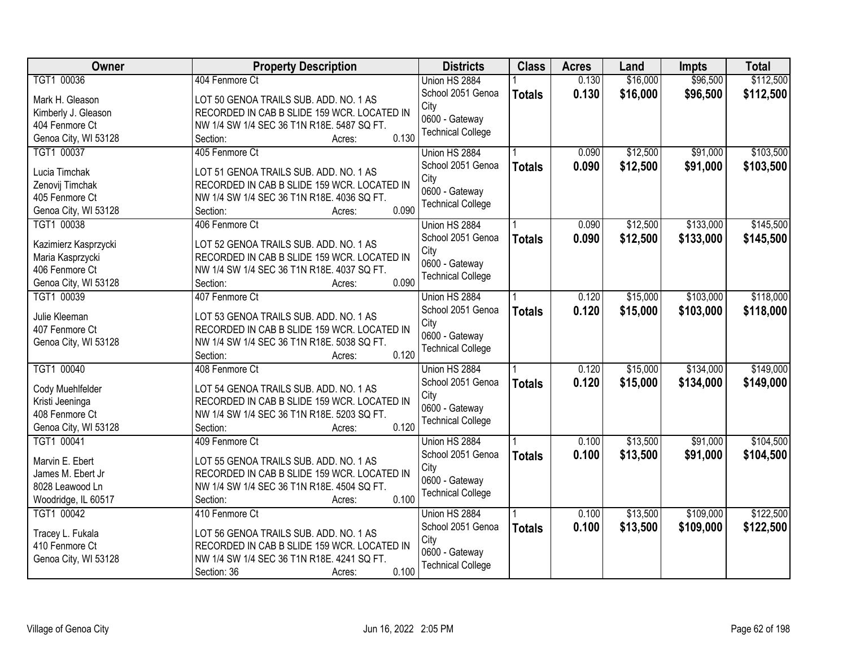| <b>Owner</b>         | <b>Property Description</b>                 | <b>Districts</b>         | <b>Class</b>  | <b>Acres</b> | Land     | <b>Impts</b> | <b>Total</b> |
|----------------------|---------------------------------------------|--------------------------|---------------|--------------|----------|--------------|--------------|
| TGT1 00036           | 404 Fenmore Ct                              | Union HS 2884            |               | 0.130        | \$16,000 | \$96,500     | \$112,500    |
| Mark H. Gleason      | LOT 50 GENOA TRAILS SUB. ADD. NO. 1 AS      | School 2051 Genoa        | <b>Totals</b> | 0.130        | \$16,000 | \$96,500     | \$112,500    |
| Kimberly J. Gleason  | RECORDED IN CAB B SLIDE 159 WCR. LOCATED IN | City                     |               |              |          |              |              |
| 404 Fenmore Ct       | NW 1/4 SW 1/4 SEC 36 T1N R18E. 5487 SQ FT.  | 0600 - Gateway           |               |              |          |              |              |
| Genoa City, WI 53128 | 0.130<br>Section:<br>Acres:                 | <b>Technical College</b> |               |              |          |              |              |
| TGT1 00037           | 405 Fenmore Ct                              | Union HS 2884            |               | 0.090        | \$12,500 | \$91,000     | \$103,500    |
|                      |                                             | School 2051 Genoa        | <b>Totals</b> | 0.090        | \$12,500 | \$91,000     | \$103,500    |
| Lucia Timchak        | LOT 51 GENOA TRAILS SUB. ADD. NO. 1 AS      | City                     |               |              |          |              |              |
| Zenovij Timchak      | RECORDED IN CAB B SLIDE 159 WCR. LOCATED IN | 0600 - Gateway           |               |              |          |              |              |
| 405 Fenmore Ct       | NW 1/4 SW 1/4 SEC 36 T1N R18E. 4036 SQ FT.  | <b>Technical College</b> |               |              |          |              |              |
| Genoa City, WI 53128 | 0.090<br>Section:<br>Acres:                 |                          |               |              |          |              |              |
| TGT1 00038           | 406 Fenmore Ct                              | Union HS 2884            |               | 0.090        | \$12,500 | \$133,000    | \$145,500    |
| Kazimierz Kasprzycki | LOT 52 GENOA TRAILS SUB. ADD. NO. 1 AS      | School 2051 Genoa        | <b>Totals</b> | 0.090        | \$12,500 | \$133,000    | \$145,500    |
| Maria Kasprzycki     | RECORDED IN CAB B SLIDE 159 WCR. LOCATED IN | City                     |               |              |          |              |              |
| 406 Fenmore Ct       | NW 1/4 SW 1/4 SEC 36 T1N R18E. 4037 SQ FT.  | 0600 - Gateway           |               |              |          |              |              |
| Genoa City, WI 53128 | 0.090<br>Section:<br>Acres:                 | <b>Technical College</b> |               |              |          |              |              |
| TGT1 00039           | 407 Fenmore Ct                              | Union HS 2884            |               | 0.120        | \$15,000 | \$103,000    | \$118,000    |
|                      |                                             | School 2051 Genoa        | <b>Totals</b> | 0.120        | \$15,000 | \$103,000    | \$118,000    |
| Julie Kleeman        | LOT 53 GENOA TRAILS SUB. ADD. NO. 1 AS      | City                     |               |              |          |              |              |
| 407 Fenmore Ct       | RECORDED IN CAB B SLIDE 159 WCR. LOCATED IN | 0600 - Gateway           |               |              |          |              |              |
| Genoa City, WI 53128 | NW 1/4 SW 1/4 SEC 36 T1N R18E. 5038 SQ FT.  | <b>Technical College</b> |               |              |          |              |              |
|                      | 0.120<br>Section:<br>Acres:                 |                          |               |              |          |              |              |
| TGT1 00040           | 408 Fenmore Ct                              | Union HS 2884            |               | 0.120        | \$15,000 | \$134,000    | \$149,000    |
| Cody Muehlfelder     | LOT 54 GENOA TRAILS SUB. ADD. NO. 1 AS      | School 2051 Genoa        | <b>Totals</b> | 0.120        | \$15,000 | \$134,000    | \$149,000    |
| Kristi Jeeninga      | RECORDED IN CAB B SLIDE 159 WCR. LOCATED IN | City                     |               |              |          |              |              |
| 408 Fenmore Ct       | NW 1/4 SW 1/4 SEC 36 T1N R18E. 5203 SQ FT.  | 0600 - Gateway           |               |              |          |              |              |
| Genoa City, WI 53128 | 0.120<br>Section:<br>Acres:                 | <b>Technical College</b> |               |              |          |              |              |
| TGT1 00041           | 409 Fenmore Ct                              | Union HS 2884            |               | 0.100        | \$13,500 | \$91,000     | \$104,500    |
|                      |                                             | School 2051 Genoa        | <b>Totals</b> | 0.100        | \$13,500 | \$91,000     | \$104,500    |
| Marvin E. Ebert      | LOT 55 GENOA TRAILS SUB. ADD. NO. 1 AS      | City                     |               |              |          |              |              |
| James M. Ebert Jr    | RECORDED IN CAB B SLIDE 159 WCR. LOCATED IN | 0600 - Gateway           |               |              |          |              |              |
| 8028 Leawood Ln      | NW 1/4 SW 1/4 SEC 36 T1N R18E. 4504 SQ FT.  | <b>Technical College</b> |               |              |          |              |              |
| Woodridge, IL 60517  | 0.100<br>Section:<br>Acres:                 |                          |               |              |          |              |              |
| TGT1 00042           | 410 Fenmore Ct                              | Union HS 2884            |               | 0.100        | \$13,500 | \$109,000    | \$122,500    |
| Tracey L. Fukala     | LOT 56 GENOA TRAILS SUB. ADD. NO. 1 AS      | School 2051 Genoa        | <b>Totals</b> | 0.100        | \$13,500 | \$109,000    | \$122,500    |
| 410 Fenmore Ct       | RECORDED IN CAB B SLIDE 159 WCR. LOCATED IN | City                     |               |              |          |              |              |
| Genoa City, WI 53128 | NW 1/4 SW 1/4 SEC 36 T1N R18E. 4241 SQ FT.  | 0600 - Gateway           |               |              |          |              |              |
|                      | 0.100<br>Section: 36<br>Acres:              | <b>Technical College</b> |               |              |          |              |              |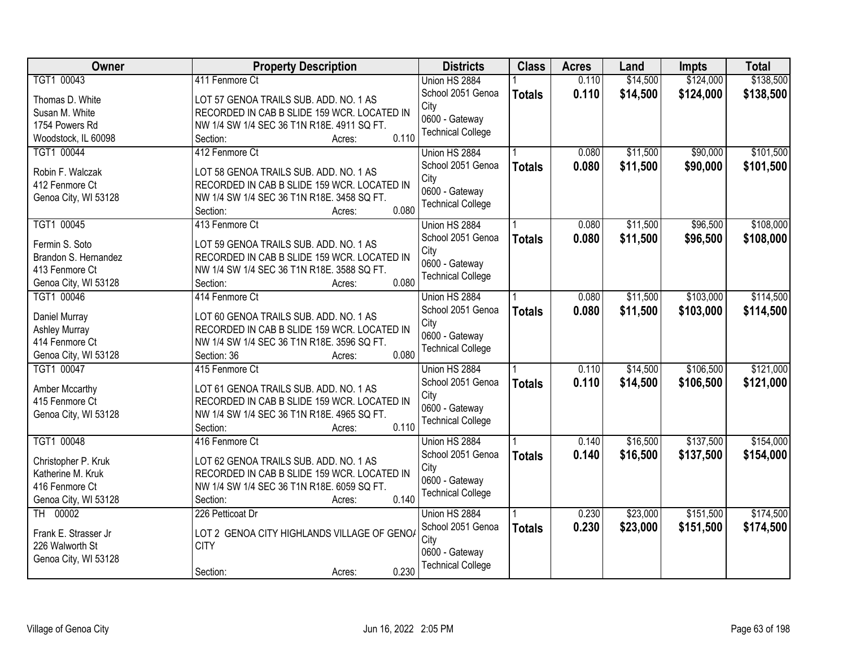| Owner                                 | <b>Property Description</b>                         | <b>Districts</b>                           | <b>Class</b>  | <b>Acres</b> | Land     | <b>Impts</b> | <b>Total</b> |
|---------------------------------------|-----------------------------------------------------|--------------------------------------------|---------------|--------------|----------|--------------|--------------|
| TGT1 00043                            | 411 Fenmore Ct                                      | Union HS 2884                              |               | 0.110        | \$14,500 | \$124,000    | \$138,500    |
| Thomas D. White                       | LOT 57 GENOA TRAILS SUB. ADD. NO. 1 AS              | School 2051 Genoa                          | <b>Totals</b> | 0.110        | \$14,500 | \$124,000    | \$138,500    |
| Susan M. White                        | RECORDED IN CAB B SLIDE 159 WCR. LOCATED IN         | City                                       |               |              |          |              |              |
| 1754 Powers Rd                        | NW 1/4 SW 1/4 SEC 36 T1N R18E. 4911 SQ FT.          | 0600 - Gateway                             |               |              |          |              |              |
| Woodstock, IL 60098                   | 0.110<br>Section:<br>Acres:                         | <b>Technical College</b>                   |               |              |          |              |              |
| TGT1 00044                            | 412 Fenmore Ct                                      | Union HS 2884                              |               | 0.080        | \$11,500 | \$90,000     | \$101,500    |
|                                       |                                                     | School 2051 Genoa                          | <b>Totals</b> | 0.080        | \$11,500 | \$90,000     | \$101,500    |
| Robin F. Walczak                      | LOT 58 GENOA TRAILS SUB. ADD. NO. 1 AS              | City                                       |               |              |          |              |              |
| 412 Fenmore Ct                        | RECORDED IN CAB B SLIDE 159 WCR. LOCATED IN         | 0600 - Gateway                             |               |              |          |              |              |
| Genoa City, WI 53128                  | NW 1/4 SW 1/4 SEC 36 T1N R18E. 3458 SQ FT.<br>0.080 | <b>Technical College</b>                   |               |              |          |              |              |
|                                       | Section:<br>Acres:                                  |                                            |               |              |          |              |              |
| TGT1 00045                            | 413 Fenmore Ct                                      | Union HS 2884                              |               | 0.080        | \$11,500 | \$96,500     | \$108,000    |
| Fermin S. Soto                        | LOT 59 GENOA TRAILS SUB. ADD. NO. 1 AS              | School 2051 Genoa                          | <b>Totals</b> | 0.080        | \$11,500 | \$96,500     | \$108,000    |
| Brandon S. Hernandez                  | RECORDED IN CAB B SLIDE 159 WCR. LOCATED IN         | City                                       |               |              |          |              |              |
| 413 Fenmore Ct                        | NW 1/4 SW 1/4 SEC 36 T1N R18E. 3588 SQ FT.          | 0600 - Gateway<br><b>Technical College</b> |               |              |          |              |              |
| Genoa City, WI 53128                  | 0.080<br>Section:<br>Acres:                         |                                            |               |              |          |              |              |
| TGT1 00046                            | 414 Fenmore Ct                                      | Union HS 2884                              |               | 0.080        | \$11,500 | \$103,000    | \$114,500    |
|                                       | LOT 60 GENOA TRAILS SUB. ADD. NO. 1 AS              | School 2051 Genoa                          | <b>Totals</b> | 0.080        | \$11,500 | \$103,000    | \$114,500    |
| Daniel Murray<br><b>Ashley Murray</b> | RECORDED IN CAB B SLIDE 159 WCR. LOCATED IN         | City                                       |               |              |          |              |              |
| 414 Fenmore Ct                        | NW 1/4 SW 1/4 SEC 36 T1N R18E. 3596 SQ FT.          | 0600 - Gateway                             |               |              |          |              |              |
| Genoa City, WI 53128                  | 0.080<br>Section: 36<br>Acres:                      | <b>Technical College</b>                   |               |              |          |              |              |
| TGT1 00047                            | 415 Fenmore Ct                                      | Union HS 2884                              |               | 0.110        | \$14,500 | \$106,500    | \$121,000    |
|                                       |                                                     | School 2051 Genoa                          |               | 0.110        |          |              |              |
| Amber Mccarthy                        | LOT 61 GENOA TRAILS SUB. ADD. NO. 1 AS              | City                                       | <b>Totals</b> |              | \$14,500 | \$106,500    | \$121,000    |
| 415 Fenmore Ct                        | RECORDED IN CAB B SLIDE 159 WCR. LOCATED IN         | 0600 - Gateway                             |               |              |          |              |              |
| Genoa City, WI 53128                  | NW 1/4 SW 1/4 SEC 36 T1N R18E. 4965 SQ FT.          | <b>Technical College</b>                   |               |              |          |              |              |
|                                       | 0.110<br>Section:<br>Acres:                         |                                            |               |              |          |              |              |
| TGT1 00048                            | 416 Fenmore Ct                                      | Union HS 2884                              |               | 0.140        | \$16,500 | \$137,500    | \$154,000    |
| Christopher P. Kruk                   | LOT 62 GENOA TRAILS SUB. ADD. NO. 1 AS              | School 2051 Genoa                          | <b>Totals</b> | 0.140        | \$16,500 | \$137,500    | \$154,000    |
| Katherine M. Kruk                     | RECORDED IN CAB B SLIDE 159 WCR. LOCATED IN         | City                                       |               |              |          |              |              |
| 416 Fenmore Ct                        | NW 1/4 SW 1/4 SEC 36 T1N R18E. 6059 SQ FT.          | 0600 - Gateway                             |               |              |          |              |              |
| Genoa City, WI 53128                  | 0.140<br>Section:<br>Acres:                         | <b>Technical College</b>                   |               |              |          |              |              |
| TH 00002                              | 226 Petticoat Dr                                    | Union HS 2884                              |               | 0.230        | \$23,000 | \$151,500    | \$174,500    |
|                                       |                                                     | School 2051 Genoa                          | <b>Totals</b> | 0.230        | \$23,000 | \$151,500    | \$174,500    |
| Frank E. Strasser Jr                  | LOT 2 GENOA CITY HIGHLANDS VILLAGE OF GENOA         | City                                       |               |              |          |              |              |
| 226 Walworth St                       | <b>CITY</b>                                         | 0600 - Gateway                             |               |              |          |              |              |
| Genoa City, WI 53128                  |                                                     | <b>Technical College</b>                   |               |              |          |              |              |
|                                       | 0.230<br>Section:<br>Acres:                         |                                            |               |              |          |              |              |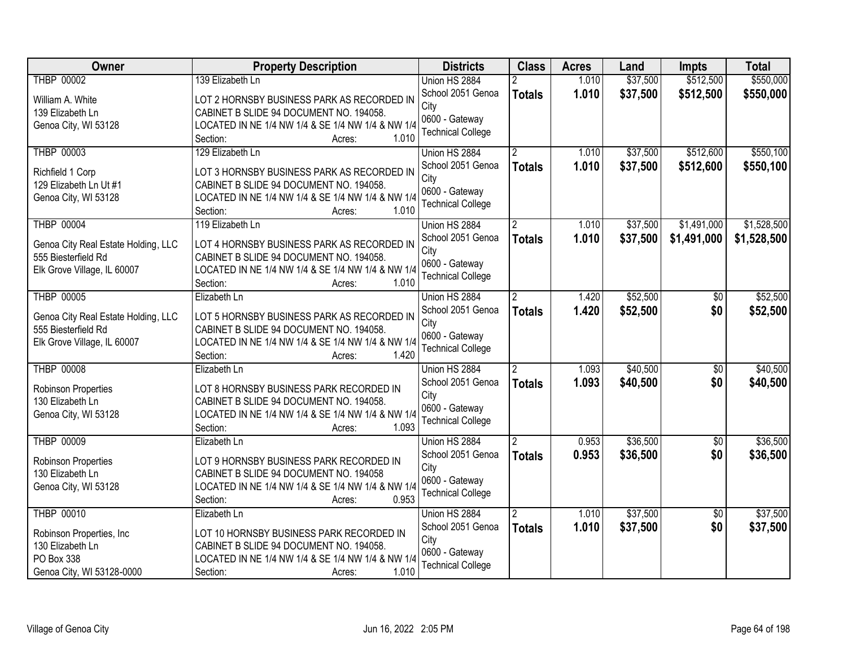| <b>Owner</b>                                               | <b>Property Description</b>                                            | <b>Districts</b>         | <b>Class</b>   | <b>Acres</b> | Land     | Impts           | <b>Total</b> |
|------------------------------------------------------------|------------------------------------------------------------------------|--------------------------|----------------|--------------|----------|-----------------|--------------|
| <b>THBP 00002</b>                                          | 139 Elizabeth Ln                                                       | Union HS 2884            |                | 1.010        | \$37,500 | \$512,500       | \$550,000    |
| William A. White                                           | LOT 2 HORNSBY BUSINESS PARK AS RECORDED IN                             | School 2051 Genoa        | <b>Totals</b>  | 1.010        | \$37,500 | \$512,500       | \$550,000    |
| 139 Elizabeth Ln                                           | CABINET B SLIDE 94 DOCUMENT NO. 194058.                                | City                     |                |              |          |                 |              |
| Genoa City, WI 53128                                       | LOCATED IN NE 1/4 NW 1/4 & SE 1/4 NW 1/4 & NW 1/4                      | 0600 - Gateway           |                |              |          |                 |              |
|                                                            | 1.010<br>Section:<br>Acres:                                            | <b>Technical College</b> |                |              |          |                 |              |
| <b>THBP 00003</b>                                          | 129 Elizabeth Ln                                                       | Union HS 2884            | $\overline{2}$ | 1.010        | \$37,500 | \$512,600       | \$550,100    |
|                                                            | LOT 3 HORNSBY BUSINESS PARK AS RECORDED IN                             | School 2051 Genoa        | <b>Totals</b>  | 1.010        | \$37,500 | \$512,600       | \$550,100    |
| Richfield 1 Corp<br>129 Elizabeth Ln Ut #1                 | CABINET B SLIDE 94 DOCUMENT NO. 194058.                                | City                     |                |              |          |                 |              |
| Genoa City, WI 53128                                       | LOCATED IN NE 1/4 NW 1/4 & SE 1/4 NW 1/4 & NW 1/4                      | 0600 - Gateway           |                |              |          |                 |              |
|                                                            | 1.010<br>Section:<br>Acres:                                            | <b>Technical College</b> |                |              |          |                 |              |
| <b>THBP 00004</b>                                          | 119 Elizabeth Ln                                                       | Union HS 2884            |                | 1.010        | \$37,500 | \$1,491,000     | \$1,528,500  |
|                                                            | LOT 4 HORNSBY BUSINESS PARK AS RECORDED IN                             | School 2051 Genoa        | <b>Totals</b>  | 1.010        | \$37,500 | \$1,491,000     | \$1,528,500  |
| Genoa City Real Estate Holding, LLC<br>555 Biesterfield Rd | CABINET B SLIDE 94 DOCUMENT NO. 194058.                                | City                     |                |              |          |                 |              |
| Elk Grove Village, IL 60007                                | LOCATED IN NE 1/4 NW 1/4 & SE 1/4 NW 1/4 & NW 1/4                      | 0600 - Gateway           |                |              |          |                 |              |
|                                                            | 1.010<br>Section:<br>Acres:                                            | <b>Technical College</b> |                |              |          |                 |              |
| <b>THBP 00005</b>                                          | Elizabeth Ln                                                           | Union HS 2884            | $\overline{2}$ | 1.420        | \$52,500 | \$0             | \$52,500     |
|                                                            |                                                                        | School 2051 Genoa        | <b>Totals</b>  | 1.420        | \$52,500 | \$0             | \$52,500     |
| Genoa City Real Estate Holding, LLC                        | LOT 5 HORNSBY BUSINESS PARK AS RECORDED IN                             | City                     |                |              |          |                 |              |
| 555 Biesterfield Rd                                        | CABINET B SLIDE 94 DOCUMENT NO. 194058.                                | 0600 - Gateway           |                |              |          |                 |              |
| Elk Grove Village, IL 60007                                | LOCATED IN NE 1/4 NW 1/4 & SE 1/4 NW 1/4 & NW 1/4                      | <b>Technical College</b> |                |              |          |                 |              |
|                                                            | 1.420<br>Section:<br>Acres:                                            |                          |                |              |          |                 |              |
| <b>THBP 00008</b>                                          | Elizabeth Ln                                                           | Union HS 2884            | $\overline{2}$ | 1.093        | \$40,500 | $\overline{50}$ | \$40,500     |
| Robinson Properties                                        | LOT 8 HORNSBY BUSINESS PARK RECORDED IN                                | School 2051 Genoa        | <b>Totals</b>  | 1.093        | \$40,500 | \$0             | \$40,500     |
| 130 Elizabeth Ln                                           | CABINET B SLIDE 94 DOCUMENT NO. 194058.                                | City                     |                |              |          |                 |              |
| Genoa City, WI 53128                                       | LOCATED IN NE 1/4 NW 1/4 & SE 1/4 NW 1/4 & NW 1/4                      | 0600 - Gateway           |                |              |          |                 |              |
|                                                            | 1.093<br>Section:<br>Acres:                                            | <b>Technical College</b> |                |              |          |                 |              |
| <b>THBP 00009</b>                                          | Elizabeth Ln                                                           | Union HS 2884            | $\overline{2}$ | 0.953        | \$36,500 | $\overline{50}$ | \$36,500     |
| Robinson Properties                                        | LOT 9 HORNSBY BUSINESS PARK RECORDED IN                                | School 2051 Genoa        | <b>Totals</b>  | 0.953        | \$36,500 | \$0             | \$36,500     |
| 130 Elizabeth Ln                                           | CABINET B SLIDE 94 DOCUMENT NO. 194058                                 | City                     |                |              |          |                 |              |
| Genoa City, WI 53128                                       | LOCATED IN NE 1/4 NW 1/4 & SE 1/4 NW 1/4 & NW 1/4                      | 0600 - Gateway           |                |              |          |                 |              |
|                                                            | 0.953<br>Section:<br>Acres:                                            | <b>Technical College</b> |                |              |          |                 |              |
| <b>THBP 00010</b>                                          | Elizabeth Ln                                                           | Union HS 2884            | $\overline{2}$ | 1.010        | \$37,500 | $\overline{30}$ | \$37,500     |
|                                                            |                                                                        | School 2051 Genoa        | <b>Totals</b>  | 1.010        | \$37,500 | \$0             | \$37,500     |
| Robinson Properties, Inc                                   | LOT 10 HORNSBY BUSINESS PARK RECORDED IN                               | City                     |                |              |          |                 |              |
| 130 Elizabeth Ln<br>PO Box 338                             | CABINET B SLIDE 94 DOCUMENT NO. 194058.                                | 0600 - Gateway           |                |              |          |                 |              |
| Genoa City, WI 53128-0000                                  | LOCATED IN NE 1/4 NW 1/4 & SE 1/4 NW 1/4 & NW 1/4<br>1.010<br>Section: | <b>Technical College</b> |                |              |          |                 |              |
|                                                            | Acres:                                                                 |                          |                |              |          |                 |              |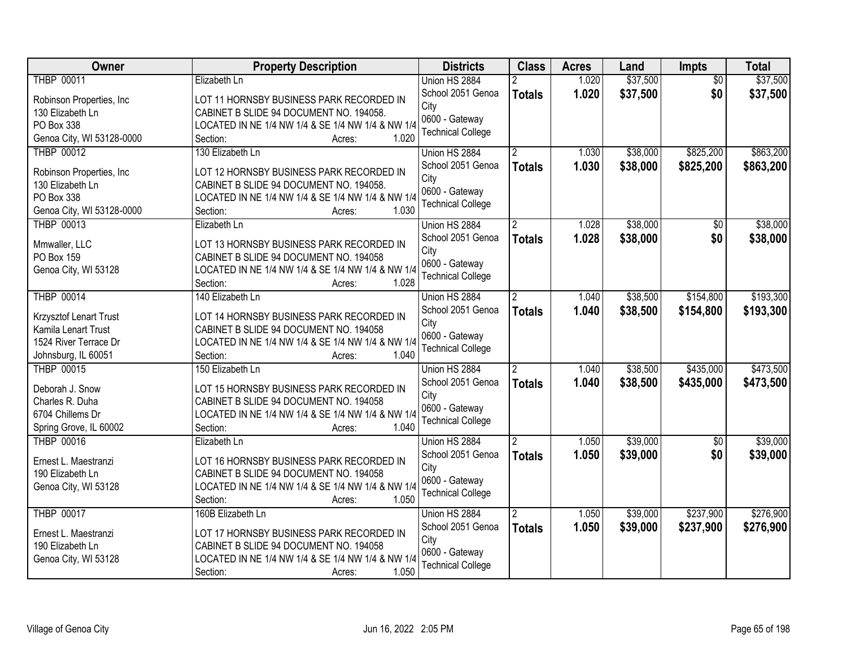| Owner                     | <b>Property Description</b>                       | <b>Districts</b>         | <b>Class</b>   | <b>Acres</b> | Land     | Impts           | <b>Total</b> |
|---------------------------|---------------------------------------------------|--------------------------|----------------|--------------|----------|-----------------|--------------|
| <b>THBP 00011</b>         | Elizabeth Ln                                      | Union HS 2884            |                | 1.020        | \$37,500 | $\overline{50}$ | \$37,500     |
| Robinson Properties, Inc. | LOT 11 HORNSBY BUSINESS PARK RECORDED IN          | School 2051 Genoa        | <b>Totals</b>  | 1.020        | \$37,500 | \$0             | \$37,500     |
| 130 Elizabeth Ln          | CABINET B SLIDE 94 DOCUMENT NO. 194058.           | City                     |                |              |          |                 |              |
| PO Box 338                | LOCATED IN NE 1/4 NW 1/4 & SE 1/4 NW 1/4 & NW 1/4 | 0600 - Gateway           |                |              |          |                 |              |
| Genoa City, WI 53128-0000 | 1.020<br>Section:<br>Acres:                       | <b>Technical College</b> |                |              |          |                 |              |
| <b>THBP 00012</b>         | 130 Elizabeth Ln                                  | Union HS 2884            |                | 1.030        | \$38,000 | \$825,200       | \$863,200    |
|                           |                                                   | School 2051 Genoa        | <b>Totals</b>  | 1.030        | \$38,000 | \$825,200       | \$863,200    |
| Robinson Properties, Inc. | LOT 12 HORNSBY BUSINESS PARK RECORDED IN          | City                     |                |              |          |                 |              |
| 130 Elizabeth Ln          | CABINET B SLIDE 94 DOCUMENT NO. 194058.           | 0600 - Gateway           |                |              |          |                 |              |
| PO Box 338                | LOCATED IN NE 1/4 NW 1/4 & SE 1/4 NW 1/4 & NW 1/4 | <b>Technical College</b> |                |              |          |                 |              |
| Genoa City, WI 53128-0000 | 1.030<br>Section:<br>Acres:                       |                          |                |              |          |                 |              |
| <b>THBP 00013</b>         | Elizabeth Ln                                      | Union HS 2884            |                | 1.028        | \$38,000 | $\overline{50}$ | \$38,000     |
| Mmwaller, LLC             | LOT 13 HORNSBY BUSINESS PARK RECORDED IN          | School 2051 Genoa        | <b>Totals</b>  | 1.028        | \$38,000 | \$0             | \$38,000     |
| PO Box 159                | CABINET B SLIDE 94 DOCUMENT NO. 194058            | City                     |                |              |          |                 |              |
| Genoa City, WI 53128      | LOCATED IN NE 1/4 NW 1/4 & SE 1/4 NW 1/4 & NW 1/4 | 0600 - Gateway           |                |              |          |                 |              |
|                           | Section:<br>1.028<br>Acres:                       | <b>Technical College</b> |                |              |          |                 |              |
| <b>THBP 00014</b>         | 140 Elizabeth Ln                                  | Union HS 2884            | $\overline{2}$ | 1.040        | \$38,500 | \$154,800       | \$193,300    |
|                           |                                                   | School 2051 Genoa        | <b>Totals</b>  | 1.040        | \$38,500 | \$154,800       | \$193,300    |
| Krzysztof Lenart Trust    | LOT 14 HORNSBY BUSINESS PARK RECORDED IN          | City                     |                |              |          |                 |              |
| Kamila Lenart Trust       | CABINET B SLIDE 94 DOCUMENT NO. 194058            | 0600 - Gateway           |                |              |          |                 |              |
| 1524 River Terrace Dr     | LOCATED IN NE 1/4 NW 1/4 & SE 1/4 NW 1/4 & NW 1/4 | <b>Technical College</b> |                |              |          |                 |              |
| Johnsburg, IL 60051       | 1.040<br>Section:<br>Acres:                       |                          |                |              |          |                 |              |
| <b>THBP 00015</b>         | 150 Elizabeth Ln                                  | Union HS 2884            |                | 1.040        | \$38,500 | \$435,000       | \$473,500    |
| Deborah J. Snow           | LOT 15 HORNSBY BUSINESS PARK RECORDED IN          | School 2051 Genoa        | <b>Totals</b>  | 1.040        | \$38,500 | \$435,000       | \$473,500    |
| Charles R. Duha           | CABINET B SLIDE 94 DOCUMENT NO. 194058            | City                     |                |              |          |                 |              |
| 6704 Chillems Dr          | LOCATED IN NE 1/4 NW 1/4 & SE 1/4 NW 1/4 & NW 1/4 | 0600 - Gateway           |                |              |          |                 |              |
| Spring Grove, IL 60002    | 1.040<br>Section:<br>Acres:                       | <b>Technical College</b> |                |              |          |                 |              |
| <b>THBP 00016</b>         | Elizabeth Ln                                      | Union HS 2884            | $\overline{2}$ | 1.050        | \$39,000 | $\overline{50}$ | \$39,000     |
|                           |                                                   | School 2051 Genoa        | <b>Totals</b>  | 1.050        | \$39,000 | \$0             | \$39,000     |
| Ernest L. Maestranzi      | LOT 16 HORNSBY BUSINESS PARK RECORDED IN          | City                     |                |              |          |                 |              |
| 190 Elizabeth Ln          | CABINET B SLIDE 94 DOCUMENT NO. 194058            | 0600 - Gateway           |                |              |          |                 |              |
| Genoa City, WI 53128      | LOCATED IN NE 1/4 NW 1/4 & SE 1/4 NW 1/4 & NW 1/4 | <b>Technical College</b> |                |              |          |                 |              |
|                           | 1.050<br>Section:<br>Acres:                       |                          |                |              |          |                 |              |
| <b>THBP 00017</b>         | 160B Elizabeth Ln                                 | Union HS 2884            | 2              | 1.050        | \$39,000 | \$237,900       | \$276,900    |
| Ernest L. Maestranzi      | LOT 17 HORNSBY BUSINESS PARK RECORDED IN          | School 2051 Genoa        | <b>Totals</b>  | 1.050        | \$39,000 | \$237,900       | \$276,900    |
| 190 Elizabeth Ln          | CABINET B SLIDE 94 DOCUMENT NO. 194058            | City                     |                |              |          |                 |              |
| Genoa City, WI 53128      | LOCATED IN NE 1/4 NW 1/4 & SE 1/4 NW 1/4 & NW 1/4 | 0600 - Gateway           |                |              |          |                 |              |
|                           | 1.050<br>Section:<br>Acres:                       | <b>Technical College</b> |                |              |          |                 |              |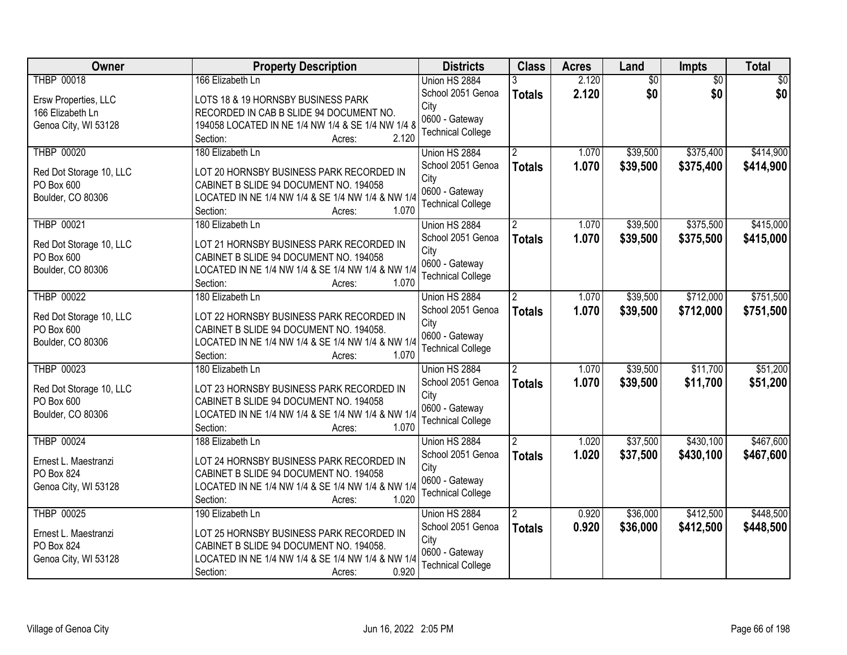| <b>Owner</b>                          | <b>Property Description</b>                                                         | <b>Districts</b>                   | <b>Class</b>   | <b>Acres</b>   | Land            | <b>Impts</b>    | <b>Total</b> |
|---------------------------------------|-------------------------------------------------------------------------------------|------------------------------------|----------------|----------------|-----------------|-----------------|--------------|
| <b>THBP 00018</b>                     | 166 Elizabeth Ln                                                                    | Union HS 2884                      |                | 2.120          | $\overline{50}$ | $\overline{50}$ | \$0          |
| Ersw Properties, LLC                  | LOTS 18 & 19 HORNSBY BUSINESS PARK                                                  | School 2051 Genoa                  | <b>Totals</b>  | 2.120          | \$0             | \$0             | \$0          |
| 166 Elizabeth Ln                      | RECORDED IN CAB B SLIDE 94 DOCUMENT NO.                                             | City                               |                |                |                 |                 |              |
| Genoa City, WI 53128                  | 194058 LOCATED IN NE 1/4 NW 1/4 & SE 1/4 NW 1/4 8                                   | 0600 - Gateway                     |                |                |                 |                 |              |
|                                       | 2.120<br>Section:<br>Acres:                                                         | <b>Technical College</b>           |                |                |                 |                 |              |
| <b>THBP 00020</b>                     | 180 Elizabeth Ln                                                                    | Union HS 2884                      |                | 1.070          | \$39,500        | \$375,400       | \$414,900    |
| Red Dot Storage 10, LLC               | LOT 20 HORNSBY BUSINESS PARK RECORDED IN                                            | School 2051 Genoa                  | <b>Totals</b>  | 1.070          | \$39,500        | \$375,400       | \$414,900    |
| PO Box 600                            | CABINET B SLIDE 94 DOCUMENT NO. 194058                                              | City                               |                |                |                 |                 |              |
| Boulder, CO 80306                     | LOCATED IN NE 1/4 NW 1/4 & SE 1/4 NW 1/4 & NW 1/4                                   | 0600 - Gateway                     |                |                |                 |                 |              |
|                                       | 1.070<br>Section:<br>Acres:                                                         | <b>Technical College</b>           |                |                |                 |                 |              |
| <b>THBP 00021</b>                     | 180 Elizabeth Ln                                                                    | Union HS 2884                      |                | 1.070          | \$39,500        | \$375,500       | \$415,000    |
| Red Dot Storage 10, LLC               | LOT 21 HORNSBY BUSINESS PARK RECORDED IN                                            | School 2051 Genoa                  | <b>Totals</b>  | 1.070          | \$39,500        | \$375,500       | \$415,000    |
| PO Box 600                            | CABINET B SLIDE 94 DOCUMENT NO. 194058                                              | City                               |                |                |                 |                 |              |
| Boulder, CO 80306                     | LOCATED IN NE 1/4 NW 1/4 & SE 1/4 NW 1/4 & NW 1/4                                   | 0600 - Gateway                     |                |                |                 |                 |              |
|                                       | 1.070<br>Section:<br>Acres:                                                         | <b>Technical College</b>           |                |                |                 |                 |              |
| <b>THBP 00022</b>                     | 180 Elizabeth Ln                                                                    | Union HS 2884                      | $\overline{2}$ | 1.070          | \$39,500        | \$712,000       | \$751,500    |
|                                       |                                                                                     | School 2051 Genoa                  | <b>Totals</b>  | 1.070          | \$39,500        | \$712,000       | \$751,500    |
| Red Dot Storage 10, LLC<br>PO Box 600 | LOT 22 HORNSBY BUSINESS PARK RECORDED IN<br>CABINET B SLIDE 94 DOCUMENT NO. 194058. | City                               |                |                |                 |                 |              |
| Boulder, CO 80306                     | LOCATED IN NE 1/4 NW 1/4 & SE 1/4 NW 1/4 & NW 1/4                                   | 0600 - Gateway                     |                |                |                 |                 |              |
|                                       | 1.070<br>Section:<br>Acres:                                                         | <b>Technical College</b>           |                |                |                 |                 |              |
| <b>THBP 00023</b>                     | 180 Elizabeth Ln                                                                    | Union HS 2884                      | $\mathcal{P}$  | 1.070          | \$39,500        | \$11,700        | \$51,200     |
|                                       |                                                                                     | School 2051 Genoa                  | <b>Totals</b>  | 1.070          | \$39,500        | \$11,700        | \$51,200     |
| Red Dot Storage 10, LLC               | LOT 23 HORNSBY BUSINESS PARK RECORDED IN                                            | City                               |                |                |                 |                 |              |
| PO Box 600                            | CABINET B SLIDE 94 DOCUMENT NO. 194058                                              | 0600 - Gateway                     |                |                |                 |                 |              |
| Boulder, CO 80306                     | LOCATED IN NE 1/4 NW 1/4 & SE 1/4 NW 1/4 & NW 1/4                                   | <b>Technical College</b>           |                |                |                 |                 |              |
| <b>THBP 00024</b>                     | Section:<br>1.070<br>Acres:                                                         |                                    |                |                |                 |                 | \$467,600    |
|                                       | 188 Elizabeth Ln                                                                    | Union HS 2884<br>School 2051 Genoa | $\overline{2}$ | 1.020<br>1.020 | \$37,500        | \$430,100       |              |
| Ernest L. Maestranzi                  | LOT 24 HORNSBY BUSINESS PARK RECORDED IN                                            | City                               | <b>Totals</b>  |                | \$37,500        | \$430,100       | \$467,600    |
| PO Box 824                            | CABINET B SLIDE 94 DOCUMENT NO. 194058                                              | 0600 - Gateway                     |                |                |                 |                 |              |
| Genoa City, WI 53128                  | LOCATED IN NE 1/4 NW 1/4 & SE 1/4 NW 1/4 & NW 1/4                                   | <b>Technical College</b>           |                |                |                 |                 |              |
|                                       | 1.020<br>Section:<br>Acres:                                                         |                                    |                |                |                 |                 |              |
| <b>THBP 00025</b>                     | 190 Elizabeth Ln                                                                    | Union HS 2884                      | $\mathcal{P}$  | 0.920          | \$36,000        | \$412,500       | \$448,500    |
| Ernest L. Maestranzi                  | LOT 25 HORNSBY BUSINESS PARK RECORDED IN                                            | School 2051 Genoa                  | <b>Totals</b>  | 0.920          | \$36,000        | \$412,500       | \$448,500    |
| PO Box 824                            | CABINET B SLIDE 94 DOCUMENT NO. 194058.                                             | City                               |                |                |                 |                 |              |
| Genoa City, WI 53128                  | LOCATED IN NE 1/4 NW 1/4 & SE 1/4 NW 1/4 & NW 1/4                                   | 0600 - Gateway                     |                |                |                 |                 |              |
|                                       | 0.920<br>Section:<br>Acres:                                                         | <b>Technical College</b>           |                |                |                 |                 |              |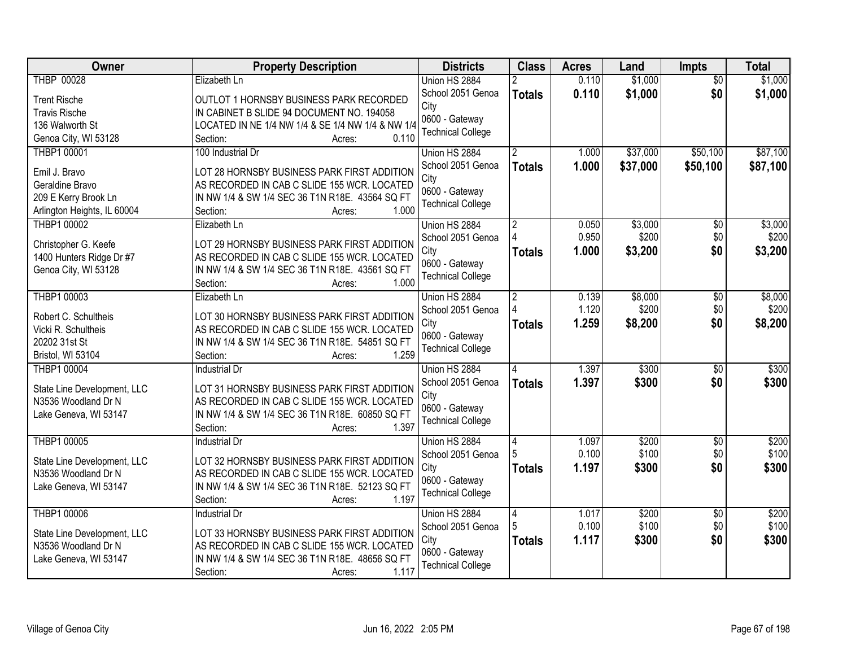| Owner                                   | <b>Property Description</b>                                                                    | <b>Districts</b>         | <b>Class</b>   | <b>Acres</b> | Land     | Impts           | <b>Total</b> |
|-----------------------------------------|------------------------------------------------------------------------------------------------|--------------------------|----------------|--------------|----------|-----------------|--------------|
| <b>THBP 00028</b>                       | Elizabeth Ln                                                                                   | Union HS 2884            |                | 0.110        | \$1,000  | $\overline{50}$ | \$1,000      |
| <b>Trent Rische</b>                     | OUTLOT 1 HORNSBY BUSINESS PARK RECORDED                                                        | School 2051 Genoa        | <b>Totals</b>  | 0.110        | \$1,000  | \$0             | \$1,000      |
| <b>Travis Rische</b>                    | IN CABINET B SLIDE 94 DOCUMENT NO. 194058                                                      | City                     |                |              |          |                 |              |
| 136 Walworth St                         | LOCATED IN NE 1/4 NW 1/4 & SE 1/4 NW 1/4 & NW 1/4                                              | 0600 - Gateway           |                |              |          |                 |              |
| Genoa City, WI 53128                    | 0.110<br>Section:<br>Acres:                                                                    | <b>Technical College</b> |                |              |          |                 |              |
| <b>THBP1 00001</b>                      | 100 Industrial Dr                                                                              | Union HS 2884            |                | 1.000        | \$37,000 | \$50,100        | \$87,100     |
|                                         |                                                                                                | School 2051 Genoa        | <b>Totals</b>  | 1.000        | \$37,000 | \$50,100        | \$87,100     |
| Emil J. Bravo                           | LOT 28 HORNSBY BUSINESS PARK FIRST ADDITION                                                    | City                     |                |              |          |                 |              |
| Geraldine Bravo                         | AS RECORDED IN CAB C SLIDE 155 WCR. LOCATED                                                    | 0600 - Gateway           |                |              |          |                 |              |
| 209 E Kerry Brook Ln                    | IN NW 1/4 & SW 1/4 SEC 36 T1N R18E. 43564 SQ FT                                                | <b>Technical College</b> |                |              |          |                 |              |
| Arlington Heights, IL 60004             | 1.000<br>Section:<br>Acres:                                                                    |                          |                |              |          |                 |              |
| THBP1 00002                             | Elizabeth Ln                                                                                   | Union HS 2884            | $\overline{2}$ | 0.050        | \$3,000  | \$0             | \$3,000      |
| Christopher G. Keefe                    | LOT 29 HORNSBY BUSINESS PARK FIRST ADDITION                                                    | School 2051 Genoa        |                | 0.950        | \$200    | \$0             | \$200        |
| 1400 Hunters Ridge Dr #7                | AS RECORDED IN CAB C SLIDE 155 WCR. LOCATED                                                    | City                     | <b>Totals</b>  | 1.000        | \$3,200  | \$0             | \$3,200      |
| Genoa City, WI 53128                    | IN NW 1/4 & SW 1/4 SEC 36 T1N R18E. 43561 SQ FT                                                | 0600 - Gateway           |                |              |          |                 |              |
|                                         | Section:<br>1.000<br>Acres:                                                                    | <b>Technical College</b> |                |              |          |                 |              |
| THBP1 00003                             | Elizabeth Ln                                                                                   | Union HS 2884            | $\overline{2}$ | 0.139        | \$8,000  | \$0             | \$8,000      |
|                                         |                                                                                                | School 2051 Genoa        |                | 1.120        | \$200    | \$0             | \$200        |
| Robert C. Schultheis                    | LOT 30 HORNSBY BUSINESS PARK FIRST ADDITION                                                    | City                     | <b>Totals</b>  | 1.259        | \$8,200  | \$0             | \$8,200      |
| Vicki R. Schultheis<br>20202 31st St    | AS RECORDED IN CAB C SLIDE 155 WCR. LOCATED<br>IN NW 1/4 & SW 1/4 SEC 36 T1N R18E. 54851 SQ FT | 0600 - Gateway           |                |              |          |                 |              |
|                                         | 1.259<br>Section:                                                                              | <b>Technical College</b> |                |              |          |                 |              |
| Bristol, WI 53104<br><b>THBP1 00004</b> | Acres:<br><b>Industrial Dr</b>                                                                 |                          | 4              | 1.397        | \$300    | $\overline{50}$ | \$300        |
|                                         |                                                                                                | Union HS 2884            |                |              |          |                 |              |
| State Line Development, LLC             | LOT 31 HORNSBY BUSINESS PARK FIRST ADDITION                                                    | School 2051 Genoa        | <b>Totals</b>  | 1.397        | \$300    | \$0             | \$300        |
| N3536 Woodland Dr N                     | AS RECORDED IN CAB C SLIDE 155 WCR. LOCATED                                                    | City<br>0600 - Gateway   |                |              |          |                 |              |
| Lake Geneva, WI 53147                   | IN NW 1/4 & SW 1/4 SEC 36 T1N R18E. 60850 SQ FT                                                | <b>Technical College</b> |                |              |          |                 |              |
|                                         | 1.397<br>Section:<br>Acres:                                                                    |                          |                |              |          |                 |              |
| THBP1 00005                             | Industrial Dr                                                                                  | Union HS 2884            | 4              | 1.097        | \$200    | $\overline{60}$ | \$200        |
| State Line Development, LLC             | LOT 32 HORNSBY BUSINESS PARK FIRST ADDITION                                                    | School 2051 Genoa        |                | 0.100        | \$100    | \$0             | \$100        |
| N3536 Woodland Dr N                     | AS RECORDED IN CAB C SLIDE 155 WCR. LOCATED                                                    | City                     | <b>Totals</b>  | 1.197        | \$300    | \$0             | \$300        |
| Lake Geneva, WI 53147                   | IN NW 1/4 & SW 1/4 SEC 36 T1N R18E. 52123 SQ FT                                                | 0600 - Gateway           |                |              |          |                 |              |
|                                         | 1.197<br>Section:<br>Acres:                                                                    | <b>Technical College</b> |                |              |          |                 |              |
| <b>THBP1 00006</b>                      | <b>Industrial Dr</b>                                                                           | Union HS 2884            | 14             | 1.017        | \$200    | $\overline{50}$ | \$200        |
|                                         |                                                                                                | School 2051 Genoa        |                | 0.100        | \$100    | \$0             | \$100        |
| State Line Development, LLC             | LOT 33 HORNSBY BUSINESS PARK FIRST ADDITION                                                    | City                     | <b>Totals</b>  | 1.117        | \$300    | \$0             | \$300        |
| N3536 Woodland Dr N                     | AS RECORDED IN CAB C SLIDE 155 WCR. LOCATED                                                    | 0600 - Gateway           |                |              |          |                 |              |
| Lake Geneva, WI 53147                   | IN NW 1/4 & SW 1/4 SEC 36 T1N R18E. 48656 SQ FT                                                | <b>Technical College</b> |                |              |          |                 |              |
|                                         | 1.117<br>Section:<br>Acres:                                                                    |                          |                |              |          |                 |              |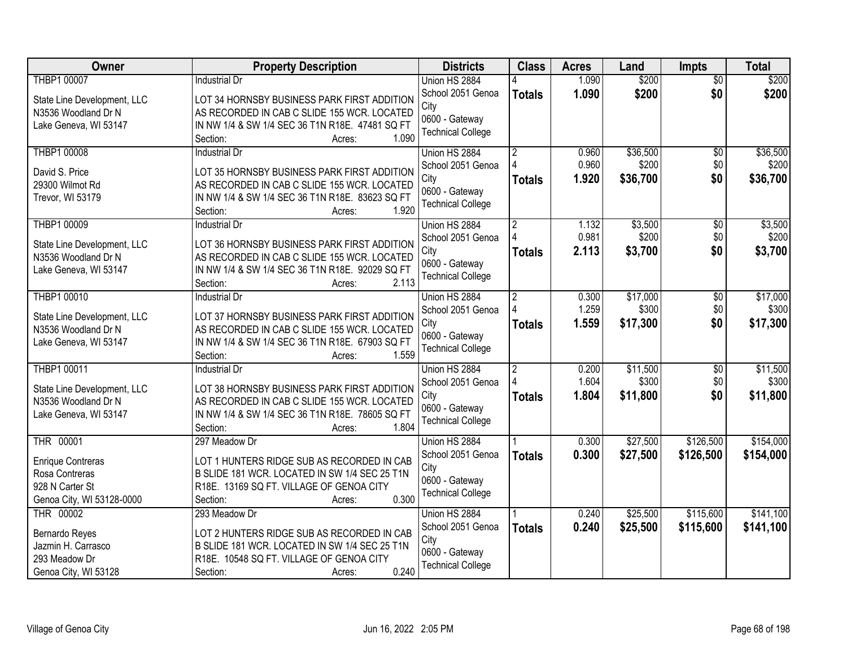| Owner                       | <b>Property Description</b>                                                    | <b>Districts</b>         | <b>Class</b>   | <b>Acres</b> | Land     | Impts           | <b>Total</b> |
|-----------------------------|--------------------------------------------------------------------------------|--------------------------|----------------|--------------|----------|-----------------|--------------|
| <b>THBP1 00007</b>          | <b>Industrial Dr</b>                                                           | Union HS 2884            |                | 1.090        | \$200    | $\overline{50}$ | \$200        |
| State Line Development, LLC | LOT 34 HORNSBY BUSINESS PARK FIRST ADDITION                                    | School 2051 Genoa        | <b>Totals</b>  | 1.090        | \$200    | \$0             | \$200        |
| N3536 Woodland Dr N         | AS RECORDED IN CAB C SLIDE 155 WCR. LOCATED                                    | City                     |                |              |          |                 |              |
| Lake Geneva, WI 53147       | IN NW 1/4 & SW 1/4 SEC 36 T1N R18E. 47481 SQ FT                                | 0600 - Gateway           |                |              |          |                 |              |
|                             | 1.090<br>Section:<br>Acres:                                                    | <b>Technical College</b> |                |              |          |                 |              |
| <b>THBP1 00008</b>          | <b>Industrial Dr</b>                                                           | Union HS 2884            | $\overline{2}$ | 0.960        | \$36,500 | $\overline{30}$ | \$36,500     |
|                             |                                                                                | School 2051 Genoa        |                | 0.960        | \$200    | \$0             | \$200        |
| David S. Price              | LOT 35 HORNSBY BUSINESS PARK FIRST ADDITION                                    | City                     | <b>Totals</b>  | 1.920        | \$36,700 | \$0             | \$36,700     |
| 29300 Wilmot Rd             | AS RECORDED IN CAB C SLIDE 155 WCR. LOCATED                                    | 0600 - Gateway           |                |              |          |                 |              |
| Trevor, WI 53179            | IN NW 1/4 & SW 1/4 SEC 36 T1N R18E. 83623 SQ FT<br>1.920<br>Section:<br>Acres: | <b>Technical College</b> |                |              |          |                 |              |
| <b>THBP1 00009</b>          | <b>Industrial Dr</b>                                                           | Union HS 2884            | $\overline{2}$ | 1.132        | \$3,500  | \$0             | \$3,500      |
|                             |                                                                                | School 2051 Genoa        |                | 0.981        | \$200    | \$0             | \$200        |
| State Line Development, LLC | LOT 36 HORNSBY BUSINESS PARK FIRST ADDITION                                    | City                     | <b>Totals</b>  | 2.113        | \$3,700  | \$0             | \$3,700      |
| N3536 Woodland Dr N         | AS RECORDED IN CAB C SLIDE 155 WCR. LOCATED                                    | 0600 - Gateway           |                |              |          |                 |              |
| Lake Geneva, WI 53147       | IN NW 1/4 & SW 1/4 SEC 36 T1N R18E. 92029 SQ FT                                | <b>Technical College</b> |                |              |          |                 |              |
|                             | 2.113<br>Section:<br>Acres:                                                    |                          |                |              |          |                 |              |
| <b>THBP1 00010</b>          | <b>Industrial Dr</b>                                                           | Union HS 2884            | $\overline{2}$ | 0.300        | \$17,000 | $\overline{50}$ | \$17,000     |
| State Line Development, LLC | LOT 37 HORNSBY BUSINESS PARK FIRST ADDITION                                    | School 2051 Genoa        |                | 1.259        | \$300    | \$0             | \$300        |
| N3536 Woodland Dr N         | AS RECORDED IN CAB C SLIDE 155 WCR. LOCATED                                    | City                     | <b>Totals</b>  | 1.559        | \$17,300 | \$0             | \$17,300     |
| Lake Geneva, WI 53147       | IN NW 1/4 & SW 1/4 SEC 36 T1N R18E. 67903 SQ FT                                | 0600 - Gateway           |                |              |          |                 |              |
|                             | 1.559<br>Section:<br>Acres:                                                    | <b>Technical College</b> |                |              |          |                 |              |
| THBP1 00011                 | <b>Industrial Dr</b>                                                           | Union HS 2884            | $\overline{2}$ | 0.200        | \$11,500 | $\overline{50}$ | \$11,500     |
|                             |                                                                                | School 2051 Genoa        |                | 1.604        | \$300    | \$0             | \$300        |
| State Line Development, LLC | LOT 38 HORNSBY BUSINESS PARK FIRST ADDITION                                    | City                     | <b>Totals</b>  | 1.804        | \$11,800 | \$0             | \$11,800     |
| N3536 Woodland Dr N         | AS RECORDED IN CAB C SLIDE 155 WCR. LOCATED                                    | 0600 - Gateway           |                |              |          |                 |              |
| Lake Geneva, WI 53147       | IN NW 1/4 & SW 1/4 SEC 36 T1N R18E. 78605 SQ FT                                | <b>Technical College</b> |                |              |          |                 |              |
|                             | 1.804<br>Section:<br>Acres:                                                    |                          |                |              |          |                 |              |
| THR 00001                   | 297 Meadow Dr                                                                  | Union HS 2884            |                | 0.300        | \$27,500 | \$126,500       | \$154,000    |
| <b>Enrique Contreras</b>    | LOT 1 HUNTERS RIDGE SUB AS RECORDED IN CAB                                     | School 2051 Genoa        | <b>Totals</b>  | 0.300        | \$27,500 | \$126,500       | \$154,000    |
| Rosa Contreras              | B SLIDE 181 WCR. LOCATED IN SW 1/4 SEC 25 T1N                                  | City                     |                |              |          |                 |              |
| 928 N Carter St             | R18E. 13169 SQ FT. VILLAGE OF GENOA CITY                                       | 0600 - Gateway           |                |              |          |                 |              |
| Genoa City, WI 53128-0000   | 0.300<br>Section:<br>Acres:                                                    | <b>Technical College</b> |                |              |          |                 |              |
| THR 00002                   | 293 Meadow Dr                                                                  | Union HS 2884            |                | 0.240        | \$25,500 | \$115,600       | \$141,100    |
| Bernardo Reyes              | LOT 2 HUNTERS RIDGE SUB AS RECORDED IN CAB                                     | School 2051 Genoa        | <b>Totals</b>  | 0.240        | \$25,500 | \$115,600       | \$141,100    |
| Jazmin H. Carrasco          | B SLIDE 181 WCR. LOCATED IN SW 1/4 SEC 25 T1N                                  | City                     |                |              |          |                 |              |
| 293 Meadow Dr               | R18E. 10548 SQ FT. VILLAGE OF GENOA CITY                                       | 0600 - Gateway           |                |              |          |                 |              |
| Genoa City, WI 53128        | 0.240<br>Section:<br>Acres:                                                    | <b>Technical College</b> |                |              |          |                 |              |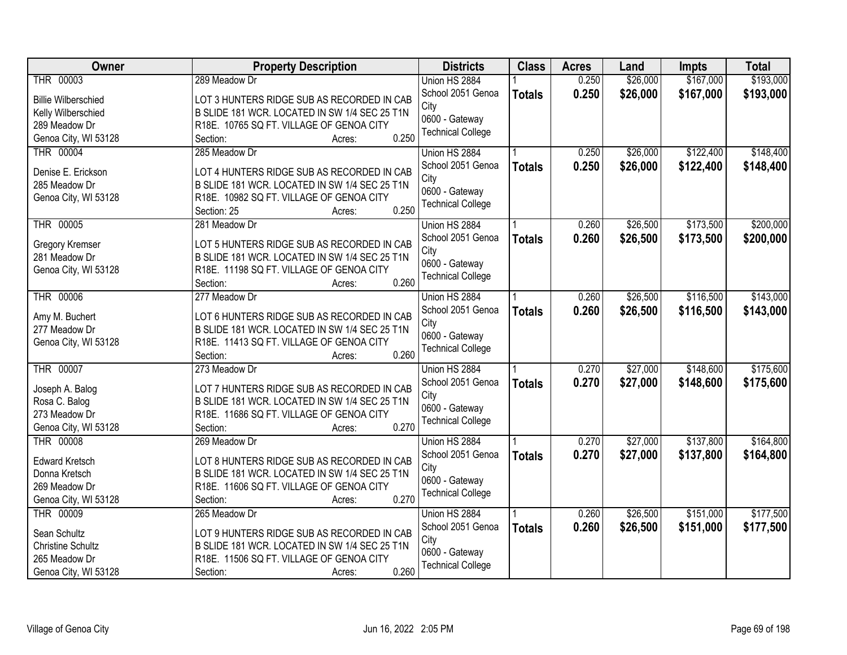| Owner                                    | <b>Property Description</b>                       | <b>Districts</b>         | <b>Class</b>  | <b>Acres</b> | Land     | Impts     | <b>Total</b> |
|------------------------------------------|---------------------------------------------------|--------------------------|---------------|--------------|----------|-----------|--------------|
| THR 00003                                | 289 Meadow Dr                                     | Union HS 2884            |               | 0.250        | \$26,000 | \$167,000 | \$193,000    |
| <b>Billie Wilberschied</b>               | LOT 3 HUNTERS RIDGE SUB AS RECORDED IN CAB        | School 2051 Genoa        | <b>Totals</b> | 0.250        | \$26,000 | \$167,000 | \$193,000    |
| Kelly Wilberschied                       | B SLIDE 181 WCR. LOCATED IN SW 1/4 SEC 25 T1N     | City                     |               |              |          |           |              |
| 289 Meadow Dr                            | R18E. 10765 SQ FT. VILLAGE OF GENOA CITY          | 0600 - Gateway           |               |              |          |           |              |
| Genoa City, WI 53128                     | 0.250<br>Section:<br>Acres:                       | <b>Technical College</b> |               |              |          |           |              |
| <b>THR 00004</b>                         | 285 Meadow Dr                                     | Union HS 2884            |               | 0.250        | \$26,000 | \$122,400 | \$148,400    |
|                                          |                                                   | School 2051 Genoa        | <b>Totals</b> | 0.250        | \$26,000 | \$122,400 | \$148,400    |
| Denise E. Erickson                       | LOT 4 HUNTERS RIDGE SUB AS RECORDED IN CAB        | City                     |               |              |          |           |              |
| 285 Meadow Dr                            | B SLIDE 181 WCR. LOCATED IN SW 1/4 SEC 25 T1N     | 0600 - Gateway           |               |              |          |           |              |
| Genoa City, WI 53128                     | R18E. 10982 SQ FT. VILLAGE OF GENOA CITY          | <b>Technical College</b> |               |              |          |           |              |
|                                          | 0.250<br>Section: 25<br>Acres:                    |                          |               |              |          |           |              |
| THR 00005                                | 281 Meadow Dr                                     | Union HS 2884            |               | 0.260        | \$26,500 | \$173,500 | \$200,000    |
| <b>Gregory Kremser</b>                   | LOT 5 HUNTERS RIDGE SUB AS RECORDED IN CAB        | School 2051 Genoa        | <b>Totals</b> | 0.260        | \$26,500 | \$173,500 | \$200,000    |
| 281 Meadow Dr                            | B SLIDE 181 WCR. LOCATED IN SW 1/4 SEC 25 T1N     | City                     |               |              |          |           |              |
| Genoa City, WI 53128                     | R18E. 11198 SQ FT. VILLAGE OF GENOA CITY          | 0600 - Gateway           |               |              |          |           |              |
|                                          | 0.260<br>Section:<br>Acres:                       | <b>Technical College</b> |               |              |          |           |              |
| <b>THR 00006</b>                         | 277 Meadow Dr                                     | Union HS 2884            |               | 0.260        | \$26,500 | \$116,500 | \$143,000    |
|                                          |                                                   | School 2051 Genoa        | <b>Totals</b> | 0.260        | \$26,500 | \$116,500 | \$143,000    |
| Amy M. Buchert                           | LOT 6 HUNTERS RIDGE SUB AS RECORDED IN CAB        | City                     |               |              |          |           |              |
| 277 Meadow Dr                            | B SLIDE 181 WCR. LOCATED IN SW 1/4 SEC 25 T1N     | 0600 - Gateway           |               |              |          |           |              |
| Genoa City, WI 53128                     | R18E. 11413 SQ FT. VILLAGE OF GENOA CITY          | <b>Technical College</b> |               |              |          |           |              |
|                                          | 0.260<br>Section:<br>Acres:                       |                          |               |              |          |           |              |
| THR 00007                                | 273 Meadow Dr                                     | Union HS 2884            |               | 0.270        | \$27,000 | \$148,600 | \$175,600    |
| Joseph A. Balog                          | LOT 7 HUNTERS RIDGE SUB AS RECORDED IN CAB        | School 2051 Genoa        | <b>Totals</b> | 0.270        | \$27,000 | \$148,600 | \$175,600    |
| Rosa C. Balog                            | B SLIDE 181 WCR. LOCATED IN SW 1/4 SEC 25 T1N     | City                     |               |              |          |           |              |
| 273 Meadow Dr                            | R18E. 11686 SQ FT. VILLAGE OF GENOA CITY          | 0600 - Gateway           |               |              |          |           |              |
| Genoa City, WI 53128                     | 0.270<br>Section:<br>Acres:                       | <b>Technical College</b> |               |              |          |           |              |
| THR 00008                                | 269 Meadow Dr                                     | Union HS 2884            |               | 0.270        | \$27,000 | \$137,800 | \$164,800    |
|                                          |                                                   | School 2051 Genoa        | <b>Totals</b> | 0.270        | \$27,000 | \$137,800 | \$164,800    |
| <b>Edward Kretsch</b>                    | LOT 8 HUNTERS RIDGE SUB AS RECORDED IN CAB        | City                     |               |              |          |           |              |
| Donna Kretsch                            | B SLIDE 181 WCR. LOCATED IN SW 1/4 SEC 25 T1N     | 0600 - Gateway           |               |              |          |           |              |
| 269 Meadow Dr                            | R18E. 11606 SQ FT. VILLAGE OF GENOA CITY<br>0.270 | <b>Technical College</b> |               |              |          |           |              |
| Genoa City, WI 53128<br><b>THR 00009</b> | Section:<br>Acres:                                |                          |               |              |          |           |              |
|                                          | 265 Meadow Dr                                     | Union HS 2884            |               | 0.260        | \$26,500 | \$151,000 | \$177,500    |
| Sean Schultz                             | LOT 9 HUNTERS RIDGE SUB AS RECORDED IN CAB        | School 2051 Genoa        | <b>Totals</b> | 0.260        | \$26,500 | \$151,000 | \$177,500    |
| <b>Christine Schultz</b>                 | B SLIDE 181 WCR. LOCATED IN SW 1/4 SEC 25 T1N     | City                     |               |              |          |           |              |
| 265 Meadow Dr                            | R18E. 11506 SQ FT. VILLAGE OF GENOA CITY          | 0600 - Gateway           |               |              |          |           |              |
| Genoa City, WI 53128                     | 0.260<br>Section:<br>Acres:                       | <b>Technical College</b> |               |              |          |           |              |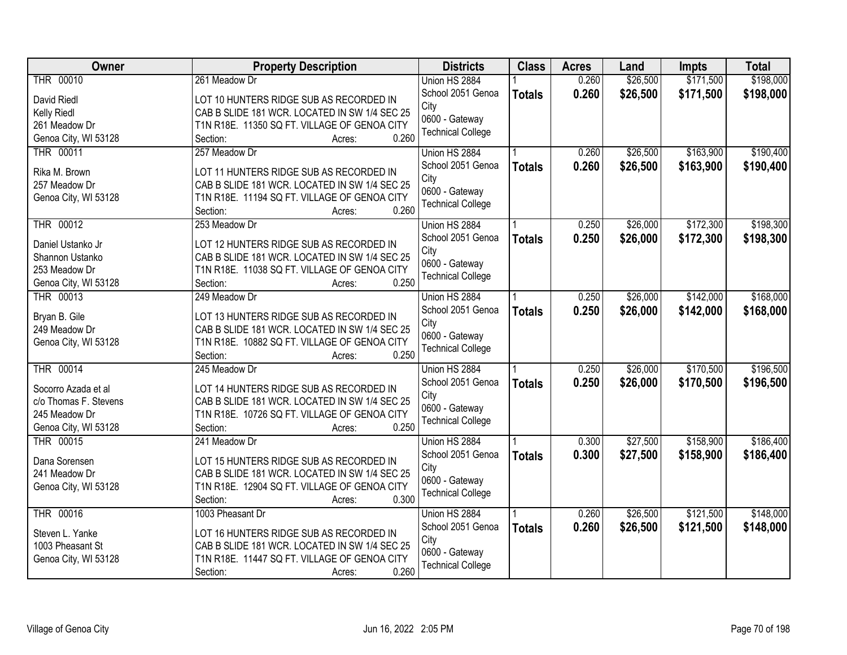| Owner                 | <b>Property Description</b>                           | <b>Districts</b>         | <b>Class</b>  | <b>Acres</b> | Land     | <b>Impts</b> | <b>Total</b> |
|-----------------------|-------------------------------------------------------|--------------------------|---------------|--------------|----------|--------------|--------------|
| <b>THR 00010</b>      | 261 Meadow Dr                                         | Union HS 2884            |               | 0.260        | \$26,500 | \$171,500    | \$198,000    |
| David Riedl           | LOT 10 HUNTERS RIDGE SUB AS RECORDED IN               | School 2051 Genoa        | <b>Totals</b> | 0.260        | \$26,500 | \$171,500    | \$198,000    |
| Kelly Riedl           | CAB B SLIDE 181 WCR. LOCATED IN SW 1/4 SEC 25         | City                     |               |              |          |              |              |
| 261 Meadow Dr         | T1N R18E. 11350 SQ FT. VILLAGE OF GENOA CITY          | 0600 - Gateway           |               |              |          |              |              |
| Genoa City, WI 53128  | 0.260<br>Section:<br>Acres:                           | <b>Technical College</b> |               |              |          |              |              |
| THR 00011             | 257 Meadow Dr                                         | Union HS 2884            |               | 0.260        | \$26,500 | \$163,900    | \$190,400    |
|                       |                                                       | School 2051 Genoa        | <b>Totals</b> | 0.260        | \$26,500 | \$163,900    | \$190,400    |
| Rika M. Brown         | LOT 11 HUNTERS RIDGE SUB AS RECORDED IN               | City                     |               |              |          |              |              |
| 257 Meadow Dr         | CAB B SLIDE 181 WCR. LOCATED IN SW 1/4 SEC 25         | 0600 - Gateway           |               |              |          |              |              |
| Genoa City, WI 53128  | T1N R18E. 11194 SQ FT. VILLAGE OF GENOA CITY<br>0.260 | <b>Technical College</b> |               |              |          |              |              |
| <b>THR 00012</b>      | Section:<br>Acres:<br>253 Meadow Dr                   | Union HS 2884            |               | 0.250        | \$26,000 | \$172,300    | \$198,300    |
|                       |                                                       | School 2051 Genoa        |               |              |          |              |              |
| Daniel Ustanko Jr     | LOT 12 HUNTERS RIDGE SUB AS RECORDED IN               | City                     | <b>Totals</b> | 0.250        | \$26,000 | \$172,300    | \$198,300    |
| Shannon Ustanko       | CAB B SLIDE 181 WCR. LOCATED IN SW 1/4 SEC 25         | 0600 - Gateway           |               |              |          |              |              |
| 253 Meadow Dr         | T1N R18E. 11038 SQ FT. VILLAGE OF GENOA CITY          | <b>Technical College</b> |               |              |          |              |              |
| Genoa City, WI 53128  | 0.250<br>Section:<br>Acres:                           |                          |               |              |          |              |              |
| THR 00013             | 249 Meadow Dr                                         | Union HS 2884            |               | 0.250        | \$26,000 | \$142,000    | \$168,000    |
| Bryan B. Gile         | LOT 13 HUNTERS RIDGE SUB AS RECORDED IN               | School 2051 Genoa        | <b>Totals</b> | 0.250        | \$26,000 | \$142,000    | \$168,000    |
| 249 Meadow Dr         | CAB B SLIDE 181 WCR. LOCATED IN SW 1/4 SEC 25         | City                     |               |              |          |              |              |
| Genoa City, WI 53128  | T1N R18E. 10882 SQ FT. VILLAGE OF GENOA CITY          | 0600 - Gateway           |               |              |          |              |              |
|                       | 0.250<br>Section:<br>Acres:                           | <b>Technical College</b> |               |              |          |              |              |
| <b>THR 00014</b>      | 245 Meadow Dr                                         | Union HS 2884            |               | 0.250        | \$26,000 | \$170,500    | \$196,500    |
|                       |                                                       | School 2051 Genoa        | <b>Totals</b> | 0.250        | \$26,000 | \$170,500    | \$196,500    |
| Socorro Azada et al   | LOT 14 HUNTERS RIDGE SUB AS RECORDED IN               | City                     |               |              |          |              |              |
| c/o Thomas F. Stevens | CAB B SLIDE 181 WCR. LOCATED IN SW 1/4 SEC 25         | 0600 - Gateway           |               |              |          |              |              |
| 245 Meadow Dr         | T1N R18E. 10726 SQ FT. VILLAGE OF GENOA CITY          | <b>Technical College</b> |               |              |          |              |              |
| Genoa City, WI 53128  | 0.250<br>Section:<br>Acres:                           |                          |               |              |          |              |              |
| THR 00015             | 241 Meadow Dr                                         | Union HS 2884            |               | 0.300        | \$27,500 | \$158,900    | \$186,400    |
| Dana Sorensen         | LOT 15 HUNTERS RIDGE SUB AS RECORDED IN               | School 2051 Genoa        | <b>Totals</b> | 0.300        | \$27,500 | \$158,900    | \$186,400    |
| 241 Meadow Dr         | CAB B SLIDE 181 WCR. LOCATED IN SW 1/4 SEC 25         | City                     |               |              |          |              |              |
| Genoa City, WI 53128  | T1N R18E. 12904 SQ FT. VILLAGE OF GENOA CITY          | 0600 - Gateway           |               |              |          |              |              |
|                       | 0.300<br>Section:<br>Acres:                           | <b>Technical College</b> |               |              |          |              |              |
| THR 00016             | 1003 Pheasant Dr                                      | Union HS 2884            |               | 0.260        | \$26,500 | \$121,500    | \$148,000    |
|                       |                                                       | School 2051 Genoa        | <b>Totals</b> | 0.260        | \$26,500 | \$121,500    | \$148,000    |
| Steven L. Yanke       | LOT 16 HUNTERS RIDGE SUB AS RECORDED IN               | City                     |               |              |          |              |              |
| 1003 Pheasant St      | CAB B SLIDE 181 WCR. LOCATED IN SW 1/4 SEC 25         | 0600 - Gateway           |               |              |          |              |              |
| Genoa City, WI 53128  | T1N R18E. 11447 SQ FT. VILLAGE OF GENOA CITY          | <b>Technical College</b> |               |              |          |              |              |
|                       | 0.260<br>Section:<br>Acres:                           |                          |               |              |          |              |              |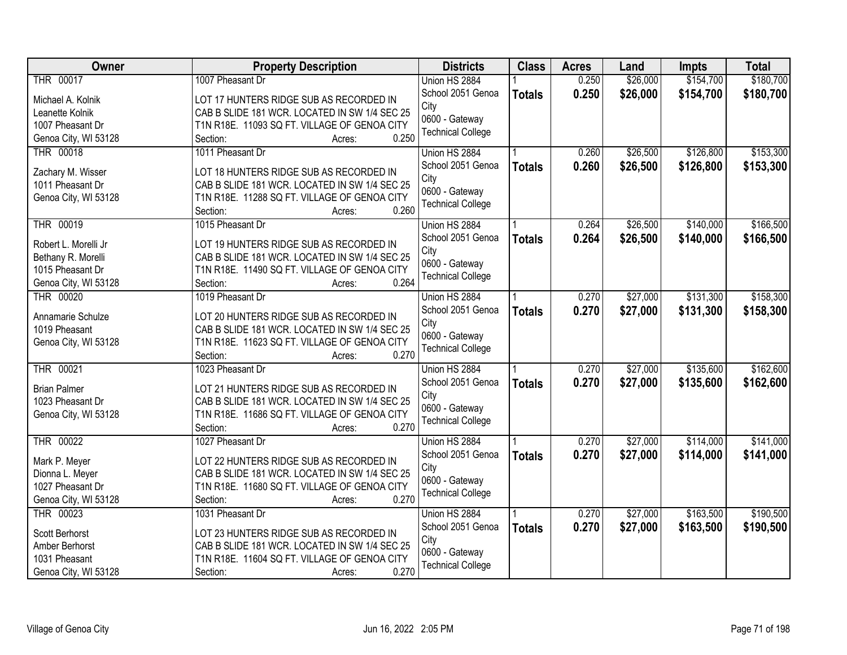| <b>Owner</b>                        | <b>Property Description</b>                                                              | <b>Districts</b>          | <b>Class</b>  | <b>Acres</b> | Land     | <b>Impts</b> | <b>Total</b> |
|-------------------------------------|------------------------------------------------------------------------------------------|---------------------------|---------------|--------------|----------|--------------|--------------|
| THR 00017                           | 1007 Pheasant Dr                                                                         | Union HS 2884             |               | 0.250        | \$26,000 | \$154,700    | \$180,700    |
| Michael A. Kolnik                   | LOT 17 HUNTERS RIDGE SUB AS RECORDED IN                                                  | School 2051 Genoa         | <b>Totals</b> | 0.250        | \$26,000 | \$154,700    | \$180,700    |
| Leanette Kolnik                     | CAB B SLIDE 181 WCR. LOCATED IN SW 1/4 SEC 25                                            | City                      |               |              |          |              |              |
| 1007 Pheasant Dr                    | T1N R18E. 11093 SQ FT. VILLAGE OF GENOA CITY                                             | 0600 - Gateway            |               |              |          |              |              |
| Genoa City, WI 53128                | 0.250<br>Section:<br>Acres:                                                              | <b>Technical College</b>  |               |              |          |              |              |
| <b>THR 00018</b>                    | 1011 Pheasant Dr                                                                         | Union HS 2884             |               | 0.260        | \$26,500 | \$126,800    | \$153,300    |
|                                     |                                                                                          | School 2051 Genoa         | <b>Totals</b> | 0.260        | \$26,500 | \$126,800    | \$153,300    |
| Zachary M. Wisser                   | LOT 18 HUNTERS RIDGE SUB AS RECORDED IN                                                  | City                      |               |              |          |              |              |
| 1011 Pheasant Dr                    | CAB B SLIDE 181 WCR. LOCATED IN SW 1/4 SEC 25                                            | 0600 - Gateway            |               |              |          |              |              |
| Genoa City, WI 53128                | T1N R18E. 11288 SQ FT. VILLAGE OF GENOA CITY                                             | <b>Technical College</b>  |               |              |          |              |              |
|                                     | 0.260<br>Section:<br>Acres:                                                              |                           |               |              |          |              |              |
| THR 00019                           | 1015 Pheasant Dr                                                                         | Union HS 2884             |               | 0.264        | \$26,500 | \$140,000    | \$166,500    |
| Robert L. Morelli Jr                | LOT 19 HUNTERS RIDGE SUB AS RECORDED IN                                                  | School 2051 Genoa         | <b>Totals</b> | 0.264        | \$26,500 | \$140,000    | \$166,500    |
| Bethany R. Morelli                  | CAB B SLIDE 181 WCR. LOCATED IN SW 1/4 SEC 25                                            | City                      |               |              |          |              |              |
| 1015 Pheasant Dr                    | T1N R18E. 11490 SQ FT. VILLAGE OF GENOA CITY                                             | 0600 - Gateway            |               |              |          |              |              |
| Genoa City, WI 53128                | 0.264<br>Section:<br>Acres:                                                              | <b>Technical College</b>  |               |              |          |              |              |
| THR 00020                           | 1019 Pheasant Dr                                                                         | Union HS 2884             |               | 0.270        | \$27,000 | \$131,300    | \$158,300    |
|                                     |                                                                                          | School 2051 Genoa         | <b>Totals</b> | 0.270        | \$27,000 | \$131,300    | \$158,300    |
| Annamarie Schulze                   | LOT 20 HUNTERS RIDGE SUB AS RECORDED IN                                                  | City                      |               |              |          |              |              |
| 1019 Pheasant                       | CAB B SLIDE 181 WCR. LOCATED IN SW 1/4 SEC 25                                            | 0600 - Gateway            |               |              |          |              |              |
| Genoa City, WI 53128                | T1N R18E. 11623 SQ FT. VILLAGE OF GENOA CITY                                             | <b>Technical College</b>  |               |              |          |              |              |
|                                     | 0.270<br>Section:<br>Acres:                                                              |                           |               |              |          |              |              |
| <b>THR 00021</b>                    | 1023 Pheasant Dr                                                                         | Union HS 2884             |               | 0.270        | \$27,000 | \$135,600    | \$162,600    |
| <b>Brian Palmer</b>                 | LOT 21 HUNTERS RIDGE SUB AS RECORDED IN                                                  | School 2051 Genoa         | <b>Totals</b> | 0.270        | \$27,000 | \$135,600    | \$162,600    |
| 1023 Pheasant Dr                    | CAB B SLIDE 181 WCR. LOCATED IN SW 1/4 SEC 25                                            | City                      |               |              |          |              |              |
| Genoa City, WI 53128                | T1N R18E. 11686 SQ FT. VILLAGE OF GENOA CITY                                             | 0600 - Gateway            |               |              |          |              |              |
|                                     | 0.270<br>Section:<br>Acres:                                                              | <b>Technical College</b>  |               |              |          |              |              |
| THR 00022                           | 1027 Pheasant Dr                                                                         | Union HS 2884             |               | 0.270        | \$27,000 | \$114,000    | \$141,000    |
|                                     |                                                                                          | School 2051 Genoa         | <b>Totals</b> | 0.270        | \$27,000 | \$114,000    | \$141,000    |
| Mark P. Meyer                       | LOT 22 HUNTERS RIDGE SUB AS RECORDED IN<br>CAB B SLIDE 181 WCR. LOCATED IN SW 1/4 SEC 25 | City                      |               |              |          |              |              |
| Dionna L. Meyer<br>1027 Pheasant Dr | T1N R18E. 11680 SQ FT. VILLAGE OF GENOA CITY                                             | 0600 - Gateway            |               |              |          |              |              |
|                                     | 0.270<br>Section:                                                                        | <b>Technical College</b>  |               |              |          |              |              |
| Genoa City, WI 53128<br>THR 00023   | Acres:<br>1031 Pheasant Dr                                                               | Union HS 2884             |               | 0.270        | \$27,000 | \$163,500    | \$190,500    |
|                                     |                                                                                          |                           |               |              |          |              |              |
| Scott Berhorst                      | LOT 23 HUNTERS RIDGE SUB AS RECORDED IN                                                  | School 2051 Genoa<br>City | <b>Totals</b> | 0.270        | \$27,000 | \$163,500    | \$190,500    |
| Amber Berhorst                      | CAB B SLIDE 181 WCR. LOCATED IN SW 1/4 SEC 25                                            | 0600 - Gateway            |               |              |          |              |              |
| 1031 Pheasant                       | T1N R18E. 11604 SQ FT. VILLAGE OF GENOA CITY                                             | <b>Technical College</b>  |               |              |          |              |              |
| Genoa City, WI 53128                | 0.270<br>Section:<br>Acres:                                                              |                           |               |              |          |              |              |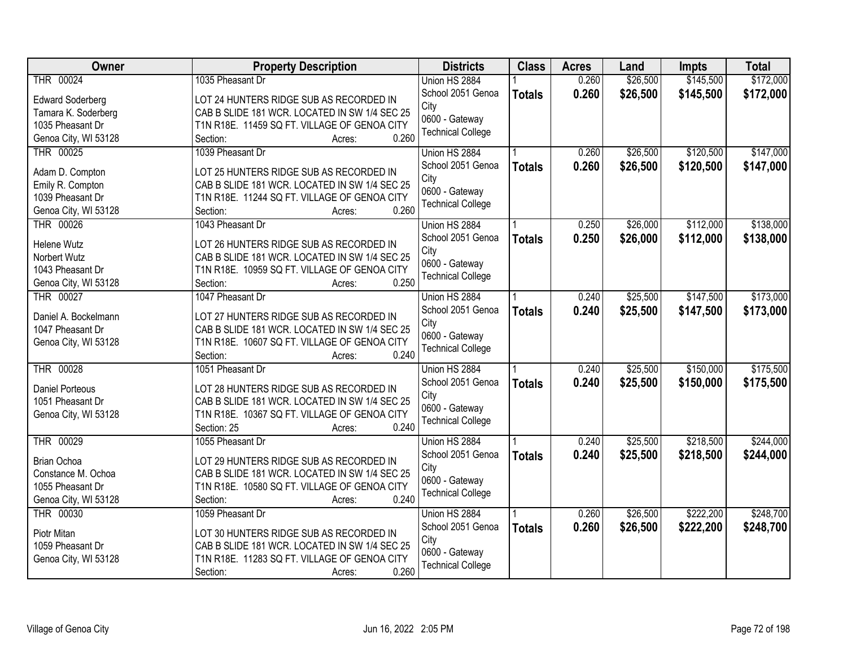| \$145,500<br>\$172,000<br>THR 00024<br>1035 Pheasant Dr<br>0.260<br>\$26,500<br>Union HS 2884<br>School 2051 Genoa<br>0.260<br>\$26,500<br>\$145,500<br><b>Totals</b><br>LOT 24 HUNTERS RIDGE SUB AS RECORDED IN<br><b>Edward Soderberg</b><br>City<br>CAB B SLIDE 181 WCR. LOCATED IN SW 1/4 SEC 25<br>Tamara K. Soderberg<br>0600 - Gateway<br>1035 Pheasant Dr<br>T1N R18E. 11459 SQ FT. VILLAGE OF GENOA CITY<br><b>Technical College</b><br>0.260<br>Genoa City, WI 53128<br>Section:<br>Acres:<br>THR 00025<br>\$26,500<br>\$120,500<br>1039 Pheasant Dr<br>0.260<br>Union HS 2884<br>School 2051 Genoa<br>0.260<br>\$26,500<br>\$120,500<br><b>Totals</b><br>Adam D. Compton<br>LOT 25 HUNTERS RIDGE SUB AS RECORDED IN<br>City<br>Emily R. Compton<br>CAB B SLIDE 181 WCR. LOCATED IN SW 1/4 SEC 25<br>0600 - Gateway<br>1039 Pheasant Dr<br>T1N R18E. 11244 SQ FT. VILLAGE OF GENOA CITY<br><b>Technical College</b><br>0.260<br>Genoa City, WI 53128<br>Section:<br>Acres:<br>\$112,000<br>THR 00026<br>1043 Pheasant Dr<br>0.250<br>\$26,000<br>Union HS 2884<br>\$26,000<br>School 2051 Genoa<br>0.250<br>\$112,000<br><b>Totals</b><br>LOT 26 HUNTERS RIDGE SUB AS RECORDED IN<br>Helene Wutz<br>City<br>CAB B SLIDE 181 WCR. LOCATED IN SW 1/4 SEC 25<br>Norbert Wutz<br>0600 - Gateway<br>1043 Pheasant Dr<br>T1N R18E. 10959 SQ FT. VILLAGE OF GENOA CITY<br><b>Technical College</b><br>0.250<br>Genoa City, WI 53128<br>Section:<br>Acres:<br>\$147,500<br>THR 00027<br>1047 Pheasant Dr<br>0.240<br>\$25,500<br>Union HS 2884<br>School 2051 Genoa<br>0.240<br>\$25,500<br>\$147,500<br><b>Totals</b><br>Daniel A. Bockelmann<br>LOT 27 HUNTERS RIDGE SUB AS RECORDED IN<br>City<br>1047 Pheasant Dr<br>CAB B SLIDE 181 WCR. LOCATED IN SW 1/4 SEC 25<br>0600 - Gateway<br>Genoa City, WI 53128<br>T1N R18E. 10607 SQ FT. VILLAGE OF GENOA CITY<br><b>Technical College</b><br>0.240<br>Section:<br>Acres:<br><b>THR 00028</b><br>\$25,500<br>\$150,000<br>1051 Pheasant Dr<br>0.240<br>Union HS 2884<br>0.240<br>School 2051 Genoa<br>\$25,500<br>\$150,000<br><b>Totals</b><br><b>Daniel Porteous</b><br>LOT 28 HUNTERS RIDGE SUB AS RECORDED IN<br>City<br>1051 Pheasant Dr<br>CAB B SLIDE 181 WCR. LOCATED IN SW 1/4 SEC 25<br>0600 - Gateway<br>Genoa City, WI 53128<br>T1N R18E. 10367 SQ FT. VILLAGE OF GENOA CITY<br><b>Technical College</b><br>0.240<br>Section: 25<br>Acres:<br>\$218,500<br>THR 00029<br>\$25,500<br>1055 Pheasant Dr<br>0.240<br>Union HS 2884<br>School 2051 Genoa<br>0.240<br>\$25,500<br>\$218,500<br><b>Totals</b><br><b>Brian Ochoa</b><br>LOT 29 HUNTERS RIDGE SUB AS RECORDED IN<br>City<br>CAB B SLIDE 181 WCR. LOCATED IN SW 1/4 SEC 25<br>Constance M. Ochoa<br>0600 - Gateway<br>1055 Pheasant Dr<br>T1N R18E. 10580 SQ FT. VILLAGE OF GENOA CITY<br><b>Technical College</b><br>Genoa City, WI 53128<br>0.240<br>Section:<br>Acres:<br>THR 00030<br>0.260<br>\$26,500<br>\$222,200<br>1059 Pheasant Dr<br>Union HS 2884<br>0.260<br>School 2051 Genoa<br>\$26,500<br>\$222,200<br><b>Totals</b><br>LOT 30 HUNTERS RIDGE SUB AS RECORDED IN<br>Piotr Mitan<br>City<br>1059 Pheasant Dr<br>CAB B SLIDE 181 WCR. LOCATED IN SW 1/4 SEC 25<br>0600 - Gateway<br>T1N R18E. 11283 SQ FT. VILLAGE OF GENOA CITY<br>Genoa City, WI 53128<br><b>Technical College</b> | <b>Owner</b> | <b>Property Description</b> | <b>Districts</b> | <b>Class</b> | <b>Acres</b> | Land | <b>Impts</b> | <b>Total</b> |
|--------------------------------------------------------------------------------------------------------------------------------------------------------------------------------------------------------------------------------------------------------------------------------------------------------------------------------------------------------------------------------------------------------------------------------------------------------------------------------------------------------------------------------------------------------------------------------------------------------------------------------------------------------------------------------------------------------------------------------------------------------------------------------------------------------------------------------------------------------------------------------------------------------------------------------------------------------------------------------------------------------------------------------------------------------------------------------------------------------------------------------------------------------------------------------------------------------------------------------------------------------------------------------------------------------------------------------------------------------------------------------------------------------------------------------------------------------------------------------------------------------------------------------------------------------------------------------------------------------------------------------------------------------------------------------------------------------------------------------------------------------------------------------------------------------------------------------------------------------------------------------------------------------------------------------------------------------------------------------------------------------------------------------------------------------------------------------------------------------------------------------------------------------------------------------------------------------------------------------------------------------------------------------------------------------------------------------------------------------------------------------------------------------------------------------------------------------------------------------------------------------------------------------------------------------------------------------------------------------------------------------------------------------------------------------------------------------------------------------------------------------------------------------------------------------------------------------------------------------------------------------------------------------------------------------------------------------------------------------------------------------------------------------------------------------------------------------------------------------------------------------------------------------------------------------------------------------------------------------------------------------------------------------------------------------------------------|--------------|-----------------------------|------------------|--------------|--------------|------|--------------|--------------|
|                                                                                                                                                                                                                                                                                                                                                                                                                                                                                                                                                                                                                                                                                                                                                                                                                                                                                                                                                                                                                                                                                                                                                                                                                                                                                                                                                                                                                                                                                                                                                                                                                                                                                                                                                                                                                                                                                                                                                                                                                                                                                                                                                                                                                                                                                                                                                                                                                                                                                                                                                                                                                                                                                                                                                                                                                                                                                                                                                                                                                                                                                                                                                                                                                                                                                                                          |              |                             |                  |              |              |      |              |              |
|                                                                                                                                                                                                                                                                                                                                                                                                                                                                                                                                                                                                                                                                                                                                                                                                                                                                                                                                                                                                                                                                                                                                                                                                                                                                                                                                                                                                                                                                                                                                                                                                                                                                                                                                                                                                                                                                                                                                                                                                                                                                                                                                                                                                                                                                                                                                                                                                                                                                                                                                                                                                                                                                                                                                                                                                                                                                                                                                                                                                                                                                                                                                                                                                                                                                                                                          |              |                             |                  |              |              |      |              | \$172,000    |
|                                                                                                                                                                                                                                                                                                                                                                                                                                                                                                                                                                                                                                                                                                                                                                                                                                                                                                                                                                                                                                                                                                                                                                                                                                                                                                                                                                                                                                                                                                                                                                                                                                                                                                                                                                                                                                                                                                                                                                                                                                                                                                                                                                                                                                                                                                                                                                                                                                                                                                                                                                                                                                                                                                                                                                                                                                                                                                                                                                                                                                                                                                                                                                                                                                                                                                                          |              |                             |                  |              |              |      |              |              |
| \$147,000<br>\$147,000                                                                                                                                                                                                                                                                                                                                                                                                                                                                                                                                                                                                                                                                                                                                                                                                                                                                                                                                                                                                                                                                                                                                                                                                                                                                                                                                                                                                                                                                                                                                                                                                                                                                                                                                                                                                                                                                                                                                                                                                                                                                                                                                                                                                                                                                                                                                                                                                                                                                                                                                                                                                                                                                                                                                                                                                                                                                                                                                                                                                                                                                                                                                                                                                                                                                                                   |              |                             |                  |              |              |      |              |              |
|                                                                                                                                                                                                                                                                                                                                                                                                                                                                                                                                                                                                                                                                                                                                                                                                                                                                                                                                                                                                                                                                                                                                                                                                                                                                                                                                                                                                                                                                                                                                                                                                                                                                                                                                                                                                                                                                                                                                                                                                                                                                                                                                                                                                                                                                                                                                                                                                                                                                                                                                                                                                                                                                                                                                                                                                                                                                                                                                                                                                                                                                                                                                                                                                                                                                                                                          |              |                             |                  |              |              |      |              |              |
|                                                                                                                                                                                                                                                                                                                                                                                                                                                                                                                                                                                                                                                                                                                                                                                                                                                                                                                                                                                                                                                                                                                                                                                                                                                                                                                                                                                                                                                                                                                                                                                                                                                                                                                                                                                                                                                                                                                                                                                                                                                                                                                                                                                                                                                                                                                                                                                                                                                                                                                                                                                                                                                                                                                                                                                                                                                                                                                                                                                                                                                                                                                                                                                                                                                                                                                          |              |                             |                  |              |              |      |              |              |
|                                                                                                                                                                                                                                                                                                                                                                                                                                                                                                                                                                                                                                                                                                                                                                                                                                                                                                                                                                                                                                                                                                                                                                                                                                                                                                                                                                                                                                                                                                                                                                                                                                                                                                                                                                                                                                                                                                                                                                                                                                                                                                                                                                                                                                                                                                                                                                                                                                                                                                                                                                                                                                                                                                                                                                                                                                                                                                                                                                                                                                                                                                                                                                                                                                                                                                                          |              |                             |                  |              |              |      |              |              |
| \$138,000<br>\$138,000<br>\$173,000<br>\$173,000<br>\$175,500<br>\$175,500<br>\$244,000<br>\$244,000<br>\$248,700<br>\$248,700                                                                                                                                                                                                                                                                                                                                                                                                                                                                                                                                                                                                                                                                                                                                                                                                                                                                                                                                                                                                                                                                                                                                                                                                                                                                                                                                                                                                                                                                                                                                                                                                                                                                                                                                                                                                                                                                                                                                                                                                                                                                                                                                                                                                                                                                                                                                                                                                                                                                                                                                                                                                                                                                                                                                                                                                                                                                                                                                                                                                                                                                                                                                                                                           |              |                             |                  |              |              |      |              |              |
|                                                                                                                                                                                                                                                                                                                                                                                                                                                                                                                                                                                                                                                                                                                                                                                                                                                                                                                                                                                                                                                                                                                                                                                                                                                                                                                                                                                                                                                                                                                                                                                                                                                                                                                                                                                                                                                                                                                                                                                                                                                                                                                                                                                                                                                                                                                                                                                                                                                                                                                                                                                                                                                                                                                                                                                                                                                                                                                                                                                                                                                                                                                                                                                                                                                                                                                          |              |                             |                  |              |              |      |              |              |
|                                                                                                                                                                                                                                                                                                                                                                                                                                                                                                                                                                                                                                                                                                                                                                                                                                                                                                                                                                                                                                                                                                                                                                                                                                                                                                                                                                                                                                                                                                                                                                                                                                                                                                                                                                                                                                                                                                                                                                                                                                                                                                                                                                                                                                                                                                                                                                                                                                                                                                                                                                                                                                                                                                                                                                                                                                                                                                                                                                                                                                                                                                                                                                                                                                                                                                                          |              |                             |                  |              |              |      |              |              |
|                                                                                                                                                                                                                                                                                                                                                                                                                                                                                                                                                                                                                                                                                                                                                                                                                                                                                                                                                                                                                                                                                                                                                                                                                                                                                                                                                                                                                                                                                                                                                                                                                                                                                                                                                                                                                                                                                                                                                                                                                                                                                                                                                                                                                                                                                                                                                                                                                                                                                                                                                                                                                                                                                                                                                                                                                                                                                                                                                                                                                                                                                                                                                                                                                                                                                                                          |              |                             |                  |              |              |      |              |              |
|                                                                                                                                                                                                                                                                                                                                                                                                                                                                                                                                                                                                                                                                                                                                                                                                                                                                                                                                                                                                                                                                                                                                                                                                                                                                                                                                                                                                                                                                                                                                                                                                                                                                                                                                                                                                                                                                                                                                                                                                                                                                                                                                                                                                                                                                                                                                                                                                                                                                                                                                                                                                                                                                                                                                                                                                                                                                                                                                                                                                                                                                                                                                                                                                                                                                                                                          |              |                             |                  |              |              |      |              |              |
|                                                                                                                                                                                                                                                                                                                                                                                                                                                                                                                                                                                                                                                                                                                                                                                                                                                                                                                                                                                                                                                                                                                                                                                                                                                                                                                                                                                                                                                                                                                                                                                                                                                                                                                                                                                                                                                                                                                                                                                                                                                                                                                                                                                                                                                                                                                                                                                                                                                                                                                                                                                                                                                                                                                                                                                                                                                                                                                                                                                                                                                                                                                                                                                                                                                                                                                          |              |                             |                  |              |              |      |              |              |
|                                                                                                                                                                                                                                                                                                                                                                                                                                                                                                                                                                                                                                                                                                                                                                                                                                                                                                                                                                                                                                                                                                                                                                                                                                                                                                                                                                                                                                                                                                                                                                                                                                                                                                                                                                                                                                                                                                                                                                                                                                                                                                                                                                                                                                                                                                                                                                                                                                                                                                                                                                                                                                                                                                                                                                                                                                                                                                                                                                                                                                                                                                                                                                                                                                                                                                                          |              |                             |                  |              |              |      |              |              |
|                                                                                                                                                                                                                                                                                                                                                                                                                                                                                                                                                                                                                                                                                                                                                                                                                                                                                                                                                                                                                                                                                                                                                                                                                                                                                                                                                                                                                                                                                                                                                                                                                                                                                                                                                                                                                                                                                                                                                                                                                                                                                                                                                                                                                                                                                                                                                                                                                                                                                                                                                                                                                                                                                                                                                                                                                                                                                                                                                                                                                                                                                                                                                                                                                                                                                                                          |              |                             |                  |              |              |      |              |              |
|                                                                                                                                                                                                                                                                                                                                                                                                                                                                                                                                                                                                                                                                                                                                                                                                                                                                                                                                                                                                                                                                                                                                                                                                                                                                                                                                                                                                                                                                                                                                                                                                                                                                                                                                                                                                                                                                                                                                                                                                                                                                                                                                                                                                                                                                                                                                                                                                                                                                                                                                                                                                                                                                                                                                                                                                                                                                                                                                                                                                                                                                                                                                                                                                                                                                                                                          |              |                             |                  |              |              |      |              |              |
|                                                                                                                                                                                                                                                                                                                                                                                                                                                                                                                                                                                                                                                                                                                                                                                                                                                                                                                                                                                                                                                                                                                                                                                                                                                                                                                                                                                                                                                                                                                                                                                                                                                                                                                                                                                                                                                                                                                                                                                                                                                                                                                                                                                                                                                                                                                                                                                                                                                                                                                                                                                                                                                                                                                                                                                                                                                                                                                                                                                                                                                                                                                                                                                                                                                                                                                          |              |                             |                  |              |              |      |              |              |
|                                                                                                                                                                                                                                                                                                                                                                                                                                                                                                                                                                                                                                                                                                                                                                                                                                                                                                                                                                                                                                                                                                                                                                                                                                                                                                                                                                                                                                                                                                                                                                                                                                                                                                                                                                                                                                                                                                                                                                                                                                                                                                                                                                                                                                                                                                                                                                                                                                                                                                                                                                                                                                                                                                                                                                                                                                                                                                                                                                                                                                                                                                                                                                                                                                                                                                                          |              |                             |                  |              |              |      |              |              |
|                                                                                                                                                                                                                                                                                                                                                                                                                                                                                                                                                                                                                                                                                                                                                                                                                                                                                                                                                                                                                                                                                                                                                                                                                                                                                                                                                                                                                                                                                                                                                                                                                                                                                                                                                                                                                                                                                                                                                                                                                                                                                                                                                                                                                                                                                                                                                                                                                                                                                                                                                                                                                                                                                                                                                                                                                                                                                                                                                                                                                                                                                                                                                                                                                                                                                                                          |              |                             |                  |              |              |      |              |              |
|                                                                                                                                                                                                                                                                                                                                                                                                                                                                                                                                                                                                                                                                                                                                                                                                                                                                                                                                                                                                                                                                                                                                                                                                                                                                                                                                                                                                                                                                                                                                                                                                                                                                                                                                                                                                                                                                                                                                                                                                                                                                                                                                                                                                                                                                                                                                                                                                                                                                                                                                                                                                                                                                                                                                                                                                                                                                                                                                                                                                                                                                                                                                                                                                                                                                                                                          |              |                             |                  |              |              |      |              |              |
|                                                                                                                                                                                                                                                                                                                                                                                                                                                                                                                                                                                                                                                                                                                                                                                                                                                                                                                                                                                                                                                                                                                                                                                                                                                                                                                                                                                                                                                                                                                                                                                                                                                                                                                                                                                                                                                                                                                                                                                                                                                                                                                                                                                                                                                                                                                                                                                                                                                                                                                                                                                                                                                                                                                                                                                                                                                                                                                                                                                                                                                                                                                                                                                                                                                                                                                          |              |                             |                  |              |              |      |              |              |
|                                                                                                                                                                                                                                                                                                                                                                                                                                                                                                                                                                                                                                                                                                                                                                                                                                                                                                                                                                                                                                                                                                                                                                                                                                                                                                                                                                                                                                                                                                                                                                                                                                                                                                                                                                                                                                                                                                                                                                                                                                                                                                                                                                                                                                                                                                                                                                                                                                                                                                                                                                                                                                                                                                                                                                                                                                                                                                                                                                                                                                                                                                                                                                                                                                                                                                                          |              |                             |                  |              |              |      |              |              |
|                                                                                                                                                                                                                                                                                                                                                                                                                                                                                                                                                                                                                                                                                                                                                                                                                                                                                                                                                                                                                                                                                                                                                                                                                                                                                                                                                                                                                                                                                                                                                                                                                                                                                                                                                                                                                                                                                                                                                                                                                                                                                                                                                                                                                                                                                                                                                                                                                                                                                                                                                                                                                                                                                                                                                                                                                                                                                                                                                                                                                                                                                                                                                                                                                                                                                                                          |              |                             |                  |              |              |      |              |              |
|                                                                                                                                                                                                                                                                                                                                                                                                                                                                                                                                                                                                                                                                                                                                                                                                                                                                                                                                                                                                                                                                                                                                                                                                                                                                                                                                                                                                                                                                                                                                                                                                                                                                                                                                                                                                                                                                                                                                                                                                                                                                                                                                                                                                                                                                                                                                                                                                                                                                                                                                                                                                                                                                                                                                                                                                                                                                                                                                                                                                                                                                                                                                                                                                                                                                                                                          |              |                             |                  |              |              |      |              |              |
|                                                                                                                                                                                                                                                                                                                                                                                                                                                                                                                                                                                                                                                                                                                                                                                                                                                                                                                                                                                                                                                                                                                                                                                                                                                                                                                                                                                                                                                                                                                                                                                                                                                                                                                                                                                                                                                                                                                                                                                                                                                                                                                                                                                                                                                                                                                                                                                                                                                                                                                                                                                                                                                                                                                                                                                                                                                                                                                                                                                                                                                                                                                                                                                                                                                                                                                          |              |                             |                  |              |              |      |              |              |
|                                                                                                                                                                                                                                                                                                                                                                                                                                                                                                                                                                                                                                                                                                                                                                                                                                                                                                                                                                                                                                                                                                                                                                                                                                                                                                                                                                                                                                                                                                                                                                                                                                                                                                                                                                                                                                                                                                                                                                                                                                                                                                                                                                                                                                                                                                                                                                                                                                                                                                                                                                                                                                                                                                                                                                                                                                                                                                                                                                                                                                                                                                                                                                                                                                                                                                                          |              |                             |                  |              |              |      |              |              |
|                                                                                                                                                                                                                                                                                                                                                                                                                                                                                                                                                                                                                                                                                                                                                                                                                                                                                                                                                                                                                                                                                                                                                                                                                                                                                                                                                                                                                                                                                                                                                                                                                                                                                                                                                                                                                                                                                                                                                                                                                                                                                                                                                                                                                                                                                                                                                                                                                                                                                                                                                                                                                                                                                                                                                                                                                                                                                                                                                                                                                                                                                                                                                                                                                                                                                                                          |              |                             |                  |              |              |      |              |              |
|                                                                                                                                                                                                                                                                                                                                                                                                                                                                                                                                                                                                                                                                                                                                                                                                                                                                                                                                                                                                                                                                                                                                                                                                                                                                                                                                                                                                                                                                                                                                                                                                                                                                                                                                                                                                                                                                                                                                                                                                                                                                                                                                                                                                                                                                                                                                                                                                                                                                                                                                                                                                                                                                                                                                                                                                                                                                                                                                                                                                                                                                                                                                                                                                                                                                                                                          |              |                             |                  |              |              |      |              |              |
|                                                                                                                                                                                                                                                                                                                                                                                                                                                                                                                                                                                                                                                                                                                                                                                                                                                                                                                                                                                                                                                                                                                                                                                                                                                                                                                                                                                                                                                                                                                                                                                                                                                                                                                                                                                                                                                                                                                                                                                                                                                                                                                                                                                                                                                                                                                                                                                                                                                                                                                                                                                                                                                                                                                                                                                                                                                                                                                                                                                                                                                                                                                                                                                                                                                                                                                          |              |                             |                  |              |              |      |              |              |
|                                                                                                                                                                                                                                                                                                                                                                                                                                                                                                                                                                                                                                                                                                                                                                                                                                                                                                                                                                                                                                                                                                                                                                                                                                                                                                                                                                                                                                                                                                                                                                                                                                                                                                                                                                                                                                                                                                                                                                                                                                                                                                                                                                                                                                                                                                                                                                                                                                                                                                                                                                                                                                                                                                                                                                                                                                                                                                                                                                                                                                                                                                                                                                                                                                                                                                                          |              |                             |                  |              |              |      |              |              |
|                                                                                                                                                                                                                                                                                                                                                                                                                                                                                                                                                                                                                                                                                                                                                                                                                                                                                                                                                                                                                                                                                                                                                                                                                                                                                                                                                                                                                                                                                                                                                                                                                                                                                                                                                                                                                                                                                                                                                                                                                                                                                                                                                                                                                                                                                                                                                                                                                                                                                                                                                                                                                                                                                                                                                                                                                                                                                                                                                                                                                                                                                                                                                                                                                                                                                                                          |              |                             |                  |              |              |      |              |              |
|                                                                                                                                                                                                                                                                                                                                                                                                                                                                                                                                                                                                                                                                                                                                                                                                                                                                                                                                                                                                                                                                                                                                                                                                                                                                                                                                                                                                                                                                                                                                                                                                                                                                                                                                                                                                                                                                                                                                                                                                                                                                                                                                                                                                                                                                                                                                                                                                                                                                                                                                                                                                                                                                                                                                                                                                                                                                                                                                                                                                                                                                                                                                                                                                                                                                                                                          |              |                             |                  |              |              |      |              |              |
|                                                                                                                                                                                                                                                                                                                                                                                                                                                                                                                                                                                                                                                                                                                                                                                                                                                                                                                                                                                                                                                                                                                                                                                                                                                                                                                                                                                                                                                                                                                                                                                                                                                                                                                                                                                                                                                                                                                                                                                                                                                                                                                                                                                                                                                                                                                                                                                                                                                                                                                                                                                                                                                                                                                                                                                                                                                                                                                                                                                                                                                                                                                                                                                                                                                                                                                          |              |                             |                  |              |              |      |              |              |
|                                                                                                                                                                                                                                                                                                                                                                                                                                                                                                                                                                                                                                                                                                                                                                                                                                                                                                                                                                                                                                                                                                                                                                                                                                                                                                                                                                                                                                                                                                                                                                                                                                                                                                                                                                                                                                                                                                                                                                                                                                                                                                                                                                                                                                                                                                                                                                                                                                                                                                                                                                                                                                                                                                                                                                                                                                                                                                                                                                                                                                                                                                                                                                                                                                                                                                                          |              |                             |                  |              |              |      |              |              |
|                                                                                                                                                                                                                                                                                                                                                                                                                                                                                                                                                                                                                                                                                                                                                                                                                                                                                                                                                                                                                                                                                                                                                                                                                                                                                                                                                                                                                                                                                                                                                                                                                                                                                                                                                                                                                                                                                                                                                                                                                                                                                                                                                                                                                                                                                                                                                                                                                                                                                                                                                                                                                                                                                                                                                                                                                                                                                                                                                                                                                                                                                                                                                                                                                                                                                                                          |              |                             |                  |              |              |      |              |              |
|                                                                                                                                                                                                                                                                                                                                                                                                                                                                                                                                                                                                                                                                                                                                                                                                                                                                                                                                                                                                                                                                                                                                                                                                                                                                                                                                                                                                                                                                                                                                                                                                                                                                                                                                                                                                                                                                                                                                                                                                                                                                                                                                                                                                                                                                                                                                                                                                                                                                                                                                                                                                                                                                                                                                                                                                                                                                                                                                                                                                                                                                                                                                                                                                                                                                                                                          |              |                             |                  |              |              |      |              |              |
|                                                                                                                                                                                                                                                                                                                                                                                                                                                                                                                                                                                                                                                                                                                                                                                                                                                                                                                                                                                                                                                                                                                                                                                                                                                                                                                                                                                                                                                                                                                                                                                                                                                                                                                                                                                                                                                                                                                                                                                                                                                                                                                                                                                                                                                                                                                                                                                                                                                                                                                                                                                                                                                                                                                                                                                                                                                                                                                                                                                                                                                                                                                                                                                                                                                                                                                          |              | 0.260<br>Section:<br>Acres: |                  |              |              |      |              |              |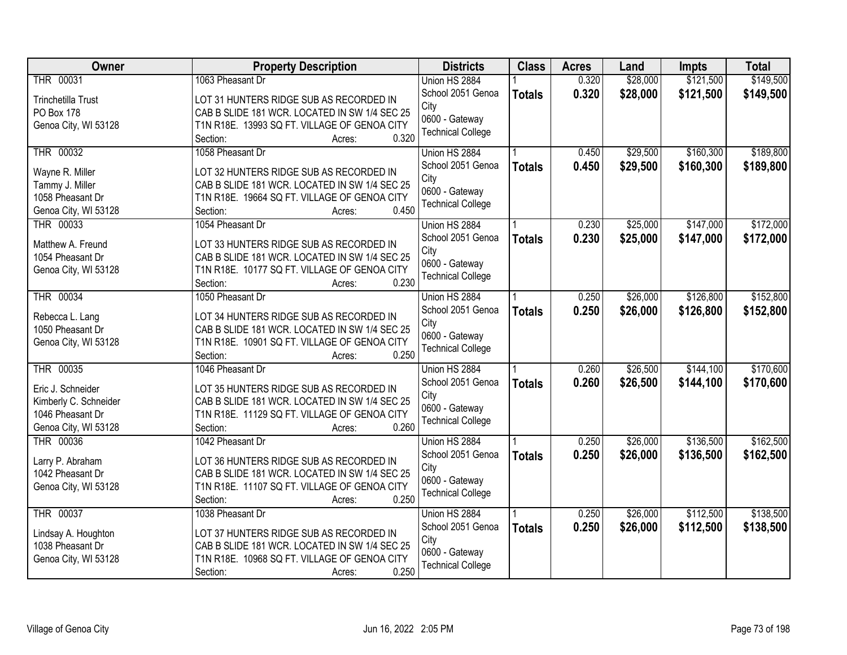| <b>Owner</b>              | <b>Property Description</b>                   | <b>Districts</b>         | <b>Class</b>  | <b>Acres</b> | Land     | <b>Impts</b> | <b>Total</b> |
|---------------------------|-----------------------------------------------|--------------------------|---------------|--------------|----------|--------------|--------------|
| THR 00031                 | 1063 Pheasant Dr                              | Union HS 2884            |               | 0.320        | \$28,000 | \$121,500    | \$149,500    |
| <b>Trinchetilla Trust</b> | LOT 31 HUNTERS RIDGE SUB AS RECORDED IN       | School 2051 Genoa        | <b>Totals</b> | 0.320        | \$28,000 | \$121,500    | \$149,500    |
| PO Box 178                | CAB B SLIDE 181 WCR. LOCATED IN SW 1/4 SEC 25 | City                     |               |              |          |              |              |
| Genoa City, WI 53128      | T1N R18E. 13993 SQ FT. VILLAGE OF GENOA CITY  | 0600 - Gateway           |               |              |          |              |              |
|                           | 0.320<br>Section:<br>Acres:                   | <b>Technical College</b> |               |              |          |              |              |
| THR 00032                 | 1058 Pheasant Dr                              | Union HS 2884            |               | 0.450        | \$29,500 | \$160,300    | \$189,800    |
| Wayne R. Miller           | LOT 32 HUNTERS RIDGE SUB AS RECORDED IN       | School 2051 Genoa        | <b>Totals</b> | 0.450        | \$29,500 | \$160,300    | \$189,800    |
| Tammy J. Miller           | CAB B SLIDE 181 WCR. LOCATED IN SW 1/4 SEC 25 | City                     |               |              |          |              |              |
| 1058 Pheasant Dr          | T1N R18E. 19664 SQ FT. VILLAGE OF GENOA CITY  | 0600 - Gateway           |               |              |          |              |              |
| Genoa City, WI 53128      | 0.450<br>Section:<br>Acres:                   | <b>Technical College</b> |               |              |          |              |              |
| THR 00033                 | 1054 Pheasant Dr                              | Union HS 2884            |               | 0.230        | \$25,000 | \$147,000    | \$172,000    |
|                           |                                               | School 2051 Genoa        | <b>Totals</b> | 0.230        | \$25,000 | \$147,000    | \$172,000    |
| Matthew A. Freund         | LOT 33 HUNTERS RIDGE SUB AS RECORDED IN       | City                     |               |              |          |              |              |
| 1054 Pheasant Dr          | CAB B SLIDE 181 WCR. LOCATED IN SW 1/4 SEC 25 | 0600 - Gateway           |               |              |          |              |              |
| Genoa City, WI 53128      | T1N R18E. 10177 SQ FT. VILLAGE OF GENOA CITY  | <b>Technical College</b> |               |              |          |              |              |
|                           | 0.230<br>Section:<br>Acres:                   |                          |               |              |          |              |              |
| <b>THR 00034</b>          | 1050 Pheasant Dr                              | Union HS 2884            |               | 0.250        | \$26,000 | \$126,800    | \$152,800    |
| Rebecca L. Lang           | LOT 34 HUNTERS RIDGE SUB AS RECORDED IN       | School 2051 Genoa        | <b>Totals</b> | 0.250        | \$26,000 | \$126,800    | \$152,800    |
| 1050 Pheasant Dr          | CAB B SLIDE 181 WCR. LOCATED IN SW 1/4 SEC 25 | City<br>0600 - Gateway   |               |              |          |              |              |
| Genoa City, WI 53128      | T1N R18E. 10901 SQ FT. VILLAGE OF GENOA CITY  |                          |               |              |          |              |              |
|                           | 0.250<br>Section:<br>Acres:                   | <b>Technical College</b> |               |              |          |              |              |
| <b>THR 00035</b>          | 1046 Pheasant Dr                              | Union HS 2884            |               | 0.260        | \$26,500 | \$144,100    | \$170,600    |
| Eric J. Schneider         | LOT 35 HUNTERS RIDGE SUB AS RECORDED IN       | School 2051 Genoa        | <b>Totals</b> | 0.260        | \$26,500 | \$144,100    | \$170,600    |
| Kimberly C. Schneider     | CAB B SLIDE 181 WCR. LOCATED IN SW 1/4 SEC 25 | City                     |               |              |          |              |              |
| 1046 Pheasant Dr          | T1N R18E. 11129 SQ FT. VILLAGE OF GENOA CITY  | 0600 - Gateway           |               |              |          |              |              |
| Genoa City, WI 53128      | 0.260<br>Section:<br>Acres:                   | <b>Technical College</b> |               |              |          |              |              |
| THR 00036                 | 1042 Pheasant Dr                              | Union HS 2884            |               | 0.250        | \$26,000 | \$136,500    | \$162,500    |
|                           |                                               | School 2051 Genoa        |               | 0.250        | \$26,000 | \$136,500    | \$162,500    |
| Larry P. Abraham          | LOT 36 HUNTERS RIDGE SUB AS RECORDED IN       | City                     | <b>Totals</b> |              |          |              |              |
| 1042 Pheasant Dr          | CAB B SLIDE 181 WCR. LOCATED IN SW 1/4 SEC 25 | 0600 - Gateway           |               |              |          |              |              |
| Genoa City, WI 53128      | T1N R18E. 11107 SQ FT. VILLAGE OF GENOA CITY  | <b>Technical College</b> |               |              |          |              |              |
|                           | 0.250<br>Section:<br>Acres:                   |                          |               |              |          |              |              |
| <b>THR 00037</b>          | 1038 Pheasant Dr                              | Union HS 2884            |               | 0.250        | \$26,000 | \$112,500    | \$138,500    |
| Lindsay A. Houghton       | LOT 37 HUNTERS RIDGE SUB AS RECORDED IN       | School 2051 Genoa        | <b>Totals</b> | 0.250        | \$26,000 | \$112,500    | \$138,500    |
| 1038 Pheasant Dr          | CAB B SLIDE 181 WCR. LOCATED IN SW 1/4 SEC 25 | City                     |               |              |          |              |              |
| Genoa City, WI 53128      | T1N R18E. 10968 SQ FT. VILLAGE OF GENOA CITY  | 0600 - Gateway           |               |              |          |              |              |
|                           | 0.250<br>Section:<br>Acres:                   | <b>Technical College</b> |               |              |          |              |              |
|                           |                                               |                          |               |              |          |              |              |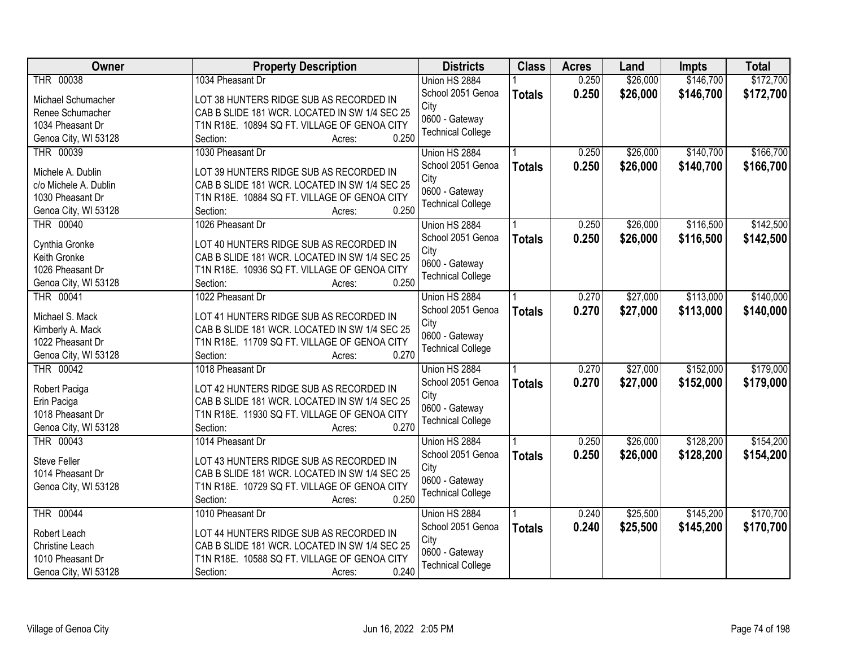| Owner                 | <b>Property Description</b>                   | <b>Districts</b>         | <b>Class</b>  | <b>Acres</b> | Land     | Impts     | <b>Total</b> |
|-----------------------|-----------------------------------------------|--------------------------|---------------|--------------|----------|-----------|--------------|
| THR 00038             | 1034 Pheasant Dr                              | Union HS 2884            |               | 0.250        | \$26,000 | \$146,700 | \$172,700    |
| Michael Schumacher    | LOT 38 HUNTERS RIDGE SUB AS RECORDED IN       | School 2051 Genoa        | <b>Totals</b> | 0.250        | \$26,000 | \$146,700 | \$172,700    |
| Renee Schumacher      | CAB B SLIDE 181 WCR. LOCATED IN SW 1/4 SEC 25 | City                     |               |              |          |           |              |
| 1034 Pheasant Dr      | T1N R18E. 10894 SQ FT. VILLAGE OF GENOA CITY  | 0600 - Gateway           |               |              |          |           |              |
| Genoa City, WI 53128  | 0.250<br>Section:<br>Acres:                   | <b>Technical College</b> |               |              |          |           |              |
| THR 00039             | 1030 Pheasant Dr                              | Union HS 2884            |               | 0.250        | \$26,000 | \$140,700 | \$166,700    |
|                       |                                               | School 2051 Genoa        | <b>Totals</b> | 0.250        | \$26,000 | \$140,700 | \$166,700    |
| Michele A. Dublin     | LOT 39 HUNTERS RIDGE SUB AS RECORDED IN       | City                     |               |              |          |           |              |
| c/o Michele A. Dublin | CAB B SLIDE 181 WCR. LOCATED IN SW 1/4 SEC 25 | 0600 - Gateway           |               |              |          |           |              |
| 1030 Pheasant Dr      | T1N R18E. 10884 SQ FT. VILLAGE OF GENOA CITY  | <b>Technical College</b> |               |              |          |           |              |
| Genoa City, WI 53128  | 0.250<br>Section:<br>Acres:                   |                          |               |              |          |           |              |
| THR 00040             | 1026 Pheasant Dr                              | Union HS 2884            |               | 0.250        | \$26,000 | \$116,500 | \$142,500    |
| Cynthia Gronke        | LOT 40 HUNTERS RIDGE SUB AS RECORDED IN       | School 2051 Genoa        | <b>Totals</b> | 0.250        | \$26,000 | \$116,500 | \$142,500    |
| Keith Gronke          | CAB B SLIDE 181 WCR. LOCATED IN SW 1/4 SEC 25 | City                     |               |              |          |           |              |
| 1026 Pheasant Dr      | T1N R18E. 10936 SQ FT. VILLAGE OF GENOA CITY  | 0600 - Gateway           |               |              |          |           |              |
| Genoa City, WI 53128  | 0.250<br>Section:<br>Acres:                   | <b>Technical College</b> |               |              |          |           |              |
| THR 00041             | 1022 Pheasant Dr                              | Union HS 2884            |               | 0.270        | \$27,000 | \$113,000 | \$140,000    |
|                       |                                               | School 2051 Genoa        | <b>Totals</b> | 0.270        | \$27,000 | \$113,000 | \$140,000    |
| Michael S. Mack       | LOT 41 HUNTERS RIDGE SUB AS RECORDED IN       | City                     |               |              |          |           |              |
| Kimberly A. Mack      | CAB B SLIDE 181 WCR. LOCATED IN SW 1/4 SEC 25 | 0600 - Gateway           |               |              |          |           |              |
| 1022 Pheasant Dr      | T1N R18E. 11709 SQ FT. VILLAGE OF GENOA CITY  | <b>Technical College</b> |               |              |          |           |              |
| Genoa City, WI 53128  | 0.270<br>Section:<br>Acres:                   |                          |               |              |          |           |              |
| THR 00042             | 1018 Pheasant Dr                              | Union HS 2884            |               | 0.270        | \$27,000 | \$152,000 | \$179,000    |
| Robert Paciga         | LOT 42 HUNTERS RIDGE SUB AS RECORDED IN       | School 2051 Genoa        | <b>Totals</b> | 0.270        | \$27,000 | \$152,000 | \$179,000    |
| Erin Paciga           | CAB B SLIDE 181 WCR. LOCATED IN SW 1/4 SEC 25 | City                     |               |              |          |           |              |
| 1018 Pheasant Dr      | T1N R18E. 11930 SQ FT. VILLAGE OF GENOA CITY  | 0600 - Gateway           |               |              |          |           |              |
| Genoa City, WI 53128  | 0.270<br>Section:<br>Acres:                   | <b>Technical College</b> |               |              |          |           |              |
| THR 00043             | 1014 Pheasant Dr                              | Union HS 2884            |               | 0.250        | \$26,000 | \$128,200 | \$154,200    |
|                       |                                               | School 2051 Genoa        | <b>Totals</b> | 0.250        | \$26,000 | \$128,200 | \$154,200    |
| <b>Steve Feller</b>   | LOT 43 HUNTERS RIDGE SUB AS RECORDED IN       | City                     |               |              |          |           |              |
| 1014 Pheasant Dr      | CAB B SLIDE 181 WCR. LOCATED IN SW 1/4 SEC 25 | 0600 - Gateway           |               |              |          |           |              |
| Genoa City, WI 53128  | T1N R18E. 10729 SQ FT. VILLAGE OF GENOA CITY  | <b>Technical College</b> |               |              |          |           |              |
|                       | 0.250<br>Section:<br>Acres:                   |                          |               |              |          |           |              |
| <b>THR 00044</b>      | 1010 Pheasant Dr                              | Union HS 2884            |               | 0.240        | \$25,500 | \$145,200 | \$170,700    |
| Robert Leach          | LOT 44 HUNTERS RIDGE SUB AS RECORDED IN       | School 2051 Genoa        | <b>Totals</b> | 0.240        | \$25,500 | \$145,200 | \$170,700    |
| Christine Leach       | CAB B SLIDE 181 WCR. LOCATED IN SW 1/4 SEC 25 | City                     |               |              |          |           |              |
| 1010 Pheasant Dr      | T1N R18E. 10588 SQ FT. VILLAGE OF GENOA CITY  | 0600 - Gateway           |               |              |          |           |              |
| Genoa City, WI 53128  | 0.240<br>Section:<br>Acres:                   | <b>Technical College</b> |               |              |          |           |              |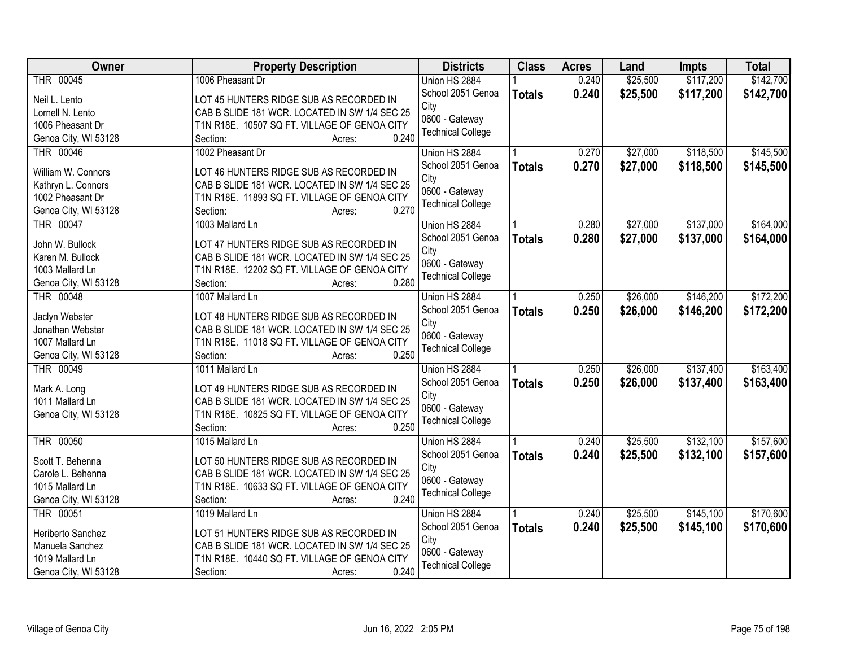| <b>Owner</b>         | <b>Property Description</b>                   | <b>Districts</b>         | <b>Class</b>  | <b>Acres</b> | Land     | Impts     | <b>Total</b> |
|----------------------|-----------------------------------------------|--------------------------|---------------|--------------|----------|-----------|--------------|
| THR 00045            | 1006 Pheasant Dr                              | Union HS 2884            |               | 0.240        | \$25,500 | \$117,200 | \$142,700    |
| Neil L. Lento        | LOT 45 HUNTERS RIDGE SUB AS RECORDED IN       | School 2051 Genoa        | <b>Totals</b> | 0.240        | \$25,500 | \$117,200 | \$142,700    |
| Lornell N. Lento     | CAB B SLIDE 181 WCR. LOCATED IN SW 1/4 SEC 25 | City                     |               |              |          |           |              |
| 1006 Pheasant Dr     | T1N R18E. 10507 SQ FT. VILLAGE OF GENOA CITY  | 0600 - Gateway           |               |              |          |           |              |
| Genoa City, WI 53128 | 0.240<br>Section:<br>Acres:                   | <b>Technical College</b> |               |              |          |           |              |
| <b>THR 00046</b>     | 1002 Pheasant Dr                              | Union HS 2884            |               | 0.270        | \$27,000 | \$118,500 | \$145,500    |
|                      |                                               | School 2051 Genoa        | <b>Totals</b> | 0.270        | \$27,000 | \$118,500 | \$145,500    |
| William W. Connors   | LOT 46 HUNTERS RIDGE SUB AS RECORDED IN       | City                     |               |              |          |           |              |
| Kathryn L. Connors   | CAB B SLIDE 181 WCR. LOCATED IN SW 1/4 SEC 25 | 0600 - Gateway           |               |              |          |           |              |
| 1002 Pheasant Dr     | T1N R18E. 11893 SQ FT. VILLAGE OF GENOA CITY  | <b>Technical College</b> |               |              |          |           |              |
| Genoa City, WI 53128 | 0.270<br>Section:<br>Acres:                   |                          |               |              |          |           |              |
| THR 00047            | 1003 Mallard Ln                               | Union HS 2884            |               | 0.280        | \$27,000 | \$137,000 | \$164,000    |
| John W. Bullock      | LOT 47 HUNTERS RIDGE SUB AS RECORDED IN       | School 2051 Genoa        | <b>Totals</b> | 0.280        | \$27,000 | \$137,000 | \$164,000    |
| Karen M. Bullock     | CAB B SLIDE 181 WCR. LOCATED IN SW 1/4 SEC 25 | City                     |               |              |          |           |              |
| 1003 Mallard Ln      | T1N R18E. 12202 SQ FT. VILLAGE OF GENOA CITY  | 0600 - Gateway           |               |              |          |           |              |
| Genoa City, WI 53128 | 0.280<br>Section:<br>Acres:                   | <b>Technical College</b> |               |              |          |           |              |
| <b>THR 00048</b>     | 1007 Mallard Ln                               | Union HS 2884            |               | 0.250        | \$26,000 | \$146,200 | \$172,200    |
|                      |                                               | School 2051 Genoa        | <b>Totals</b> | 0.250        | \$26,000 | \$146,200 | \$172,200    |
| Jaclyn Webster       | LOT 48 HUNTERS RIDGE SUB AS RECORDED IN       | City                     |               |              |          |           |              |
| Jonathan Webster     | CAB B SLIDE 181 WCR. LOCATED IN SW 1/4 SEC 25 | 0600 - Gateway           |               |              |          |           |              |
| 1007 Mallard Ln      | T1N R18E. 11018 SQ FT. VILLAGE OF GENOA CITY  | <b>Technical College</b> |               |              |          |           |              |
| Genoa City, WI 53128 | 0.250<br>Section:<br>Acres:                   |                          |               |              |          |           |              |
| THR 00049            | 1011 Mallard Ln                               | Union HS 2884            |               | 0.250        | \$26,000 | \$137,400 | \$163,400    |
| Mark A. Long         | LOT 49 HUNTERS RIDGE SUB AS RECORDED IN       | School 2051 Genoa        | <b>Totals</b> | 0.250        | \$26,000 | \$137,400 | \$163,400    |
| 1011 Mallard Ln      | CAB B SLIDE 181 WCR. LOCATED IN SW 1/4 SEC 25 | City                     |               |              |          |           |              |
| Genoa City, WI 53128 | T1N R18E. 10825 SQ FT. VILLAGE OF GENOA CITY  | 0600 - Gateway           |               |              |          |           |              |
|                      | 0.250<br>Section:<br>Acres:                   | <b>Technical College</b> |               |              |          |           |              |
| THR 00050            | 1015 Mallard Ln                               | Union HS 2884            |               | 0.240        | \$25,500 | \$132,100 | \$157,600    |
|                      |                                               | School 2051 Genoa        | <b>Totals</b> | 0.240        | \$25,500 | \$132,100 | \$157,600    |
| Scott T. Behenna     | LOT 50 HUNTERS RIDGE SUB AS RECORDED IN       | City                     |               |              |          |           |              |
| Carole L. Behenna    | CAB B SLIDE 181 WCR. LOCATED IN SW 1/4 SEC 25 | 0600 - Gateway           |               |              |          |           |              |
| 1015 Mallard Ln      | T1N R18E. 10633 SQ FT. VILLAGE OF GENOA CITY  | <b>Technical College</b> |               |              |          |           |              |
| Genoa City, WI 53128 | 0.240<br>Section:<br>Acres:                   |                          |               |              |          |           |              |
| THR 00051            | 1019 Mallard Ln                               | Union HS 2884            |               | 0.240        | \$25,500 | \$145,100 | \$170,600    |
| Heriberto Sanchez    | LOT 51 HUNTERS RIDGE SUB AS RECORDED IN       | School 2051 Genoa        | <b>Totals</b> | 0.240        | \$25,500 | \$145,100 | \$170,600    |
| Manuela Sanchez      | CAB B SLIDE 181 WCR. LOCATED IN SW 1/4 SEC 25 | City                     |               |              |          |           |              |
| 1019 Mallard Ln      | T1N R18E. 10440 SQ FT. VILLAGE OF GENOA CITY  | 0600 - Gateway           |               |              |          |           |              |
| Genoa City, WI 53128 | 0.240<br>Section:<br>Acres:                   | <b>Technical College</b> |               |              |          |           |              |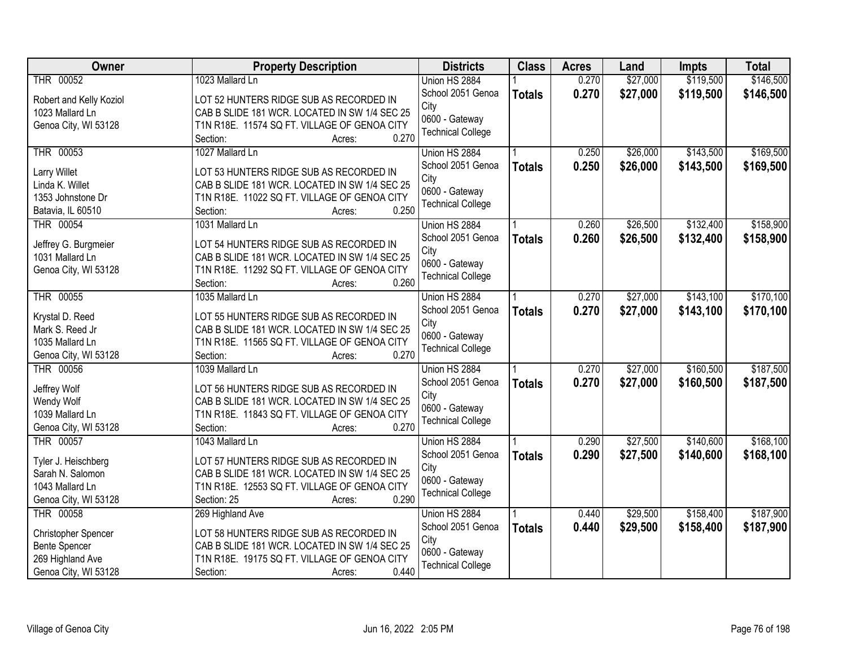| Owner                   | <b>Property Description</b>                   | <b>Districts</b>         | <b>Class</b>  | <b>Acres</b> | Land     | <b>Impts</b> | <b>Total</b> |
|-------------------------|-----------------------------------------------|--------------------------|---------------|--------------|----------|--------------|--------------|
| THR 00052               | 1023 Mallard Ln                               | Union HS 2884            |               | 0.270        | \$27,000 | \$119,500    | \$146,500    |
| Robert and Kelly Koziol | LOT 52 HUNTERS RIDGE SUB AS RECORDED IN       | School 2051 Genoa        | <b>Totals</b> | 0.270        | \$27,000 | \$119,500    | \$146,500    |
| 1023 Mallard Ln         | CAB B SLIDE 181 WCR. LOCATED IN SW 1/4 SEC 25 | City                     |               |              |          |              |              |
| Genoa City, WI 53128    | T1N R18E. 11574 SQ FT. VILLAGE OF GENOA CITY  | 0600 - Gateway           |               |              |          |              |              |
|                         | 0.270<br>Section:<br>Acres:                   | <b>Technical College</b> |               |              |          |              |              |
| THR 00053               | 1027 Mallard Ln                               | Union HS 2884            |               | 0.250        | \$26,000 | \$143,500    | \$169,500    |
|                         |                                               | School 2051 Genoa        | <b>Totals</b> | 0.250        | \$26,000 | \$143,500    | \$169,500    |
| <b>Larry Willet</b>     | LOT 53 HUNTERS RIDGE SUB AS RECORDED IN       | City                     |               |              |          |              |              |
| Linda K. Willet         | CAB B SLIDE 181 WCR. LOCATED IN SW 1/4 SEC 25 | 0600 - Gateway           |               |              |          |              |              |
| 1353 Johnstone Dr       | T1N R18E. 11022 SQ FT. VILLAGE OF GENOA CITY  | <b>Technical College</b> |               |              |          |              |              |
| Batavia, IL 60510       | 0.250<br>Section:<br>Acres:                   |                          |               |              |          |              |              |
| THR 00054               | 1031 Mallard Ln                               | Union HS 2884            |               | 0.260        | \$26,500 | \$132,400    | \$158,900    |
| Jeffrey G. Burgmeier    | LOT 54 HUNTERS RIDGE SUB AS RECORDED IN       | School 2051 Genoa        | <b>Totals</b> | 0.260        | \$26,500 | \$132,400    | \$158,900    |
| 1031 Mallard Ln         | CAB B SLIDE 181 WCR. LOCATED IN SW 1/4 SEC 25 | City                     |               |              |          |              |              |
| Genoa City, WI 53128    | T1N R18E. 11292 SQ FT. VILLAGE OF GENOA CITY  | 0600 - Gateway           |               |              |          |              |              |
|                         | 0.260<br>Section:<br>Acres:                   | <b>Technical College</b> |               |              |          |              |              |
| THR 00055               | 1035 Mallard Ln                               | Union HS 2884            |               | 0.270        | \$27,000 | \$143,100    | \$170,100    |
|                         |                                               | School 2051 Genoa        | <b>Totals</b> | 0.270        | \$27,000 | \$143,100    | \$170,100    |
| Krystal D. Reed         | LOT 55 HUNTERS RIDGE SUB AS RECORDED IN       | City                     |               |              |          |              |              |
| Mark S. Reed Jr         | CAB B SLIDE 181 WCR. LOCATED IN SW 1/4 SEC 25 | 0600 - Gateway           |               |              |          |              |              |
| 1035 Mallard Ln         | T1N R18E. 11565 SQ FT. VILLAGE OF GENOA CITY  | <b>Technical College</b> |               |              |          |              |              |
| Genoa City, WI 53128    | 0.270<br>Section:<br>Acres:                   |                          |               |              |          |              |              |
| <b>THR 00056</b>        | 1039 Mallard Ln                               | Union HS 2884            |               | 0.270        | \$27,000 | \$160,500    | \$187,500    |
| Jeffrey Wolf            | LOT 56 HUNTERS RIDGE SUB AS RECORDED IN       | School 2051 Genoa        | <b>Totals</b> | 0.270        | \$27,000 | \$160,500    | \$187,500    |
| Wendy Wolf              | CAB B SLIDE 181 WCR. LOCATED IN SW 1/4 SEC 25 | City                     |               |              |          |              |              |
| 1039 Mallard Ln         | T1N R18E. 11843 SQ FT. VILLAGE OF GENOA CITY  | 0600 - Gateway           |               |              |          |              |              |
| Genoa City, WI 53128    | 0.270<br>Section:<br>Acres:                   | <b>Technical College</b> |               |              |          |              |              |
| THR 00057               | 1043 Mallard Ln                               | Union HS 2884            |               | 0.290        | \$27,500 | \$140,600    | \$168,100    |
| Tyler J. Heischberg     | LOT 57 HUNTERS RIDGE SUB AS RECORDED IN       | School 2051 Genoa        | <b>Totals</b> | 0.290        | \$27,500 | \$140,600    | \$168,100    |
| Sarah N. Salomon        | CAB B SLIDE 181 WCR. LOCATED IN SW 1/4 SEC 25 | City                     |               |              |          |              |              |
| 1043 Mallard Ln         | T1N R18E. 12553 SQ FT. VILLAGE OF GENOA CITY  | 0600 - Gateway           |               |              |          |              |              |
| Genoa City, WI 53128    | 0.290<br>Section: 25<br>Acres:                | <b>Technical College</b> |               |              |          |              |              |
| THR 00058               | 269 Highland Ave                              | Union HS 2884            |               | 0.440        | \$29,500 | \$158,400    | \$187,900    |
|                         |                                               | School 2051 Genoa        |               | 0.440        |          |              |              |
| Christopher Spencer     | LOT 58 HUNTERS RIDGE SUB AS RECORDED IN       | City                     | <b>Totals</b> |              | \$29,500 | \$158,400    | \$187,900    |
| <b>Bente Spencer</b>    | CAB B SLIDE 181 WCR. LOCATED IN SW 1/4 SEC 25 | 0600 - Gateway           |               |              |          |              |              |
| 269 Highland Ave        | T1N R18E. 19175 SQ FT. VILLAGE OF GENOA CITY  | <b>Technical College</b> |               |              |          |              |              |
| Genoa City, WI 53128    | 0.440<br>Section:<br>Acres:                   |                          |               |              |          |              |              |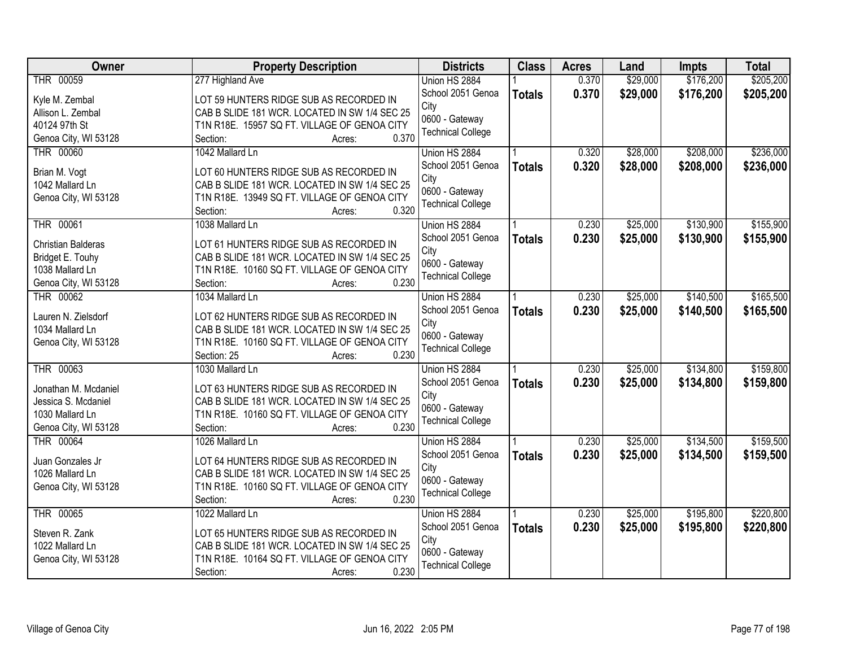| <b>Owner</b>              | <b>Property Description</b>                           | <b>Districts</b>          | <b>Class</b>  | <b>Acres</b> | Land     | Impts     | <b>Total</b> |
|---------------------------|-------------------------------------------------------|---------------------------|---------------|--------------|----------|-----------|--------------|
| THR 00059                 | 277 Highland Ave                                      | Union HS 2884             |               | 0.370        | \$29,000 | \$176,200 | \$205,200    |
| Kyle M. Zembal            | LOT 59 HUNTERS RIDGE SUB AS RECORDED IN               | School 2051 Genoa         | <b>Totals</b> | 0.370        | \$29,000 | \$176,200 | \$205,200    |
| Allison L. Zembal         | CAB B SLIDE 181 WCR. LOCATED IN SW 1/4 SEC 25         | City                      |               |              |          |           |              |
| 40124 97th St             | T1N R18E. 15957 SQ FT. VILLAGE OF GENOA CITY          | 0600 - Gateway            |               |              |          |           |              |
| Genoa City, WI 53128      | 0.370<br>Section:<br>Acres:                           | <b>Technical College</b>  |               |              |          |           |              |
| <b>THR 00060</b>          | 1042 Mallard Ln                                       | Union HS 2884             |               | 0.320        | \$28,000 | \$208,000 | \$236,000    |
|                           |                                                       | School 2051 Genoa         | <b>Totals</b> | 0.320        | \$28,000 | \$208,000 | \$236,000    |
| Brian M. Vogt             | LOT 60 HUNTERS RIDGE SUB AS RECORDED IN               | City                      |               |              |          |           |              |
| 1042 Mallard Ln           | CAB B SLIDE 181 WCR. LOCATED IN SW 1/4 SEC 25         | 0600 - Gateway            |               |              |          |           |              |
| Genoa City, WI 53128      | T1N R18E. 13949 SQ FT. VILLAGE OF GENOA CITY<br>0.320 | <b>Technical College</b>  |               |              |          |           |              |
|                           | Section:<br>Acres:<br>1038 Mallard Ln                 |                           |               | 0.230        |          | \$130,900 | \$155,900    |
| THR 00061                 |                                                       | Union HS 2884             |               |              | \$25,000 |           |              |
| <b>Christian Balderas</b> | LOT 61 HUNTERS RIDGE SUB AS RECORDED IN               | School 2051 Genoa<br>City | <b>Totals</b> | 0.230        | \$25,000 | \$130,900 | \$155,900    |
| Bridget E. Touhy          | CAB B SLIDE 181 WCR. LOCATED IN SW 1/4 SEC 25         | 0600 - Gateway            |               |              |          |           |              |
| 1038 Mallard Ln           | T1N R18E. 10160 SQ FT. VILLAGE OF GENOA CITY          | <b>Technical College</b>  |               |              |          |           |              |
| Genoa City, WI 53128      | 0.230<br>Section:<br>Acres:                           |                           |               |              |          |           |              |
| THR 00062                 | 1034 Mallard Ln                                       | Union HS 2884             |               | 0.230        | \$25,000 | \$140,500 | \$165,500    |
| Lauren N. Zielsdorf       | LOT 62 HUNTERS RIDGE SUB AS RECORDED IN               | School 2051 Genoa         | <b>Totals</b> | 0.230        | \$25,000 | \$140,500 | \$165,500    |
| 1034 Mallard Ln           | CAB B SLIDE 181 WCR. LOCATED IN SW 1/4 SEC 25         | City                      |               |              |          |           |              |
| Genoa City, WI 53128      | T1N R18E. 10160 SQ FT. VILLAGE OF GENOA CITY          | 0600 - Gateway            |               |              |          |           |              |
|                           | 0.230<br>Section: 25<br>Acres:                        | <b>Technical College</b>  |               |              |          |           |              |
| THR 00063                 | 1030 Mallard Ln                                       | Union HS 2884             |               | 0.230        | \$25,000 | \$134,800 | \$159,800    |
|                           |                                                       | School 2051 Genoa         | <b>Totals</b> | 0.230        | \$25,000 | \$134,800 | \$159,800    |
| Jonathan M. Mcdaniel      | LOT 63 HUNTERS RIDGE SUB AS RECORDED IN               | City                      |               |              |          |           |              |
| Jessica S. Mcdaniel       | CAB B SLIDE 181 WCR. LOCATED IN SW 1/4 SEC 25         | 0600 - Gateway            |               |              |          |           |              |
| 1030 Mallard Ln           | T1N R18E. 10160 SQ FT. VILLAGE OF GENOA CITY          | <b>Technical College</b>  |               |              |          |           |              |
| Genoa City, WI 53128      | 0.230<br>Section:<br>Acres:                           |                           |               |              |          |           |              |
| THR 00064                 | 1026 Mallard Ln                                       | Union HS 2884             |               | 0.230        | \$25,000 | \$134,500 | \$159,500    |
| Juan Gonzales Jr          | LOT 64 HUNTERS RIDGE SUB AS RECORDED IN               | School 2051 Genoa         | <b>Totals</b> | 0.230        | \$25,000 | \$134,500 | \$159,500    |
| 1026 Mallard Ln           | CAB B SLIDE 181 WCR. LOCATED IN SW 1/4 SEC 25         | City                      |               |              |          |           |              |
| Genoa City, WI 53128      | T1N R18E. 10160 SQ FT. VILLAGE OF GENOA CITY          | 0600 - Gateway            |               |              |          |           |              |
|                           | 0.230<br>Section:<br>Acres:                           | <b>Technical College</b>  |               |              |          |           |              |
| <b>THR 00065</b>          | 1022 Mallard Ln                                       | Union HS 2884             |               | 0.230        | \$25,000 | \$195,800 | \$220,800    |
|                           |                                                       | School 2051 Genoa         | <b>Totals</b> | 0.230        | \$25,000 | \$195,800 | \$220,800    |
| Steven R. Zank            | LOT 65 HUNTERS RIDGE SUB AS RECORDED IN               | City                      |               |              |          |           |              |
| 1022 Mallard Ln           | CAB B SLIDE 181 WCR. LOCATED IN SW 1/4 SEC 25         | 0600 - Gateway            |               |              |          |           |              |
| Genoa City, WI 53128      | T1N R18E. 10164 SQ FT. VILLAGE OF GENOA CITY          | <b>Technical College</b>  |               |              |          |           |              |
|                           | 0.230<br>Section:<br>Acres:                           |                           |               |              |          |           |              |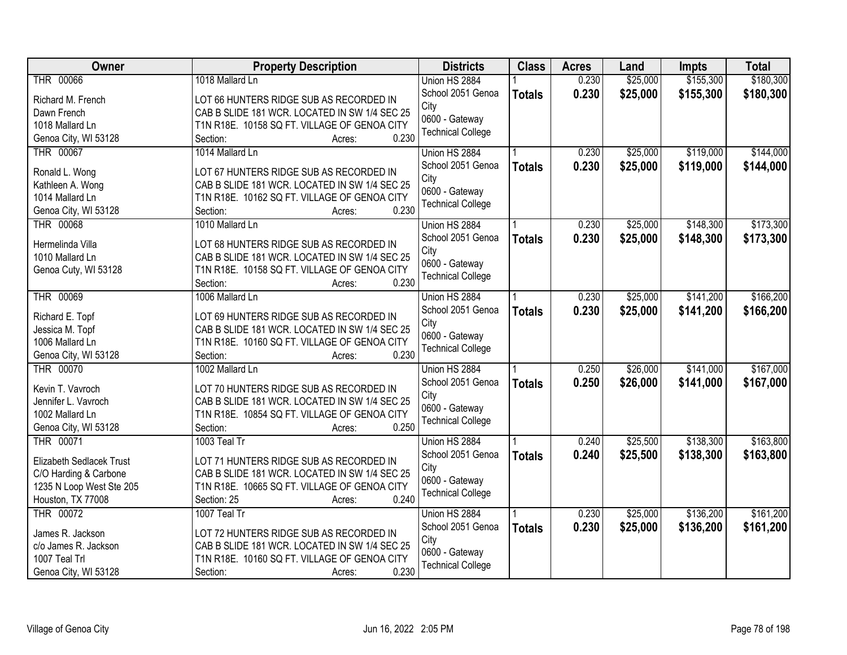| <b>Owner</b>             | <b>Property Description</b>                   | <b>Districts</b>         | <b>Class</b>  | <b>Acres</b> | Land     | <b>Impts</b> | <b>Total</b> |
|--------------------------|-----------------------------------------------|--------------------------|---------------|--------------|----------|--------------|--------------|
| THR 00066                | 1018 Mallard Ln                               | Union HS 2884            |               | 0.230        | \$25,000 | \$155,300    | \$180,300    |
| Richard M. French        | LOT 66 HUNTERS RIDGE SUB AS RECORDED IN       | School 2051 Genoa        | <b>Totals</b> | 0.230        | \$25,000 | \$155,300    | \$180,300    |
| Dawn French              | CAB B SLIDE 181 WCR. LOCATED IN SW 1/4 SEC 25 | City                     |               |              |          |              |              |
| 1018 Mallard Ln          | T1N R18E. 10158 SQ FT. VILLAGE OF GENOA CITY  | 0600 - Gateway           |               |              |          |              |              |
| Genoa City, WI 53128     | 0.230<br>Section:<br>Acres:                   | <b>Technical College</b> |               |              |          |              |              |
| <b>THR 00067</b>         | 1014 Mallard Ln                               | Union HS 2884            |               | 0.230        | \$25,000 | \$119,000    | \$144,000    |
|                          |                                               | School 2051 Genoa        | <b>Totals</b> | 0.230        | \$25,000 | \$119,000    | \$144,000    |
| Ronald L. Wong           | LOT 67 HUNTERS RIDGE SUB AS RECORDED IN       | City                     |               |              |          |              |              |
| Kathleen A. Wong         | CAB B SLIDE 181 WCR. LOCATED IN SW 1/4 SEC 25 | 0600 - Gateway           |               |              |          |              |              |
| 1014 Mallard Ln          | T1N R18E. 10162 SQ FT. VILLAGE OF GENOA CITY  | <b>Technical College</b> |               |              |          |              |              |
| Genoa City, WI 53128     | 0.230<br>Section:<br>Acres:                   |                          |               |              |          |              |              |
| THR 00068                | 1010 Mallard Ln                               | Union HS 2884            |               | 0.230        | \$25,000 | \$148,300    | \$173,300    |
| Hermelinda Villa         | LOT 68 HUNTERS RIDGE SUB AS RECORDED IN       | School 2051 Genoa        | <b>Totals</b> | 0.230        | \$25,000 | \$148,300    | \$173,300    |
| 1010 Mallard Ln          | CAB B SLIDE 181 WCR. LOCATED IN SW 1/4 SEC 25 | City                     |               |              |          |              |              |
| Genoa Cuty, WI 53128     | T1N R18E. 10158 SQ FT. VILLAGE OF GENOA CITY  | 0600 - Gateway           |               |              |          |              |              |
|                          | 0.230<br>Section:<br>Acres:                   | <b>Technical College</b> |               |              |          |              |              |
| <b>THR 00069</b>         | 1006 Mallard Ln                               | Union HS 2884            |               | 0.230        | \$25,000 | \$141,200    | \$166,200    |
|                          |                                               | School 2051 Genoa        | <b>Totals</b> | 0.230        | \$25,000 | \$141,200    | \$166,200    |
| Richard E. Topf          | LOT 69 HUNTERS RIDGE SUB AS RECORDED IN       | City                     |               |              |          |              |              |
| Jessica M. Topf          | CAB B SLIDE 181 WCR. LOCATED IN SW 1/4 SEC 25 | 0600 - Gateway           |               |              |          |              |              |
| 1006 Mallard Ln          | T1N R18E. 10160 SQ FT. VILLAGE OF GENOA CITY  | <b>Technical College</b> |               |              |          |              |              |
| Genoa City, WI 53128     | 0.230<br>Section:<br>Acres:                   |                          |               |              |          |              |              |
| THR 00070                | 1002 Mallard Ln                               | Union HS 2884            |               | 0.250        | \$26,000 | \$141,000    | \$167,000    |
| Kevin T. Vavroch         | LOT 70 HUNTERS RIDGE SUB AS RECORDED IN       | School 2051 Genoa        | <b>Totals</b> | 0.250        | \$26,000 | \$141,000    | \$167,000    |
| Jennifer L. Vavroch      | CAB B SLIDE 181 WCR. LOCATED IN SW 1/4 SEC 25 | City                     |               |              |          |              |              |
| 1002 Mallard Ln          | T1N R18E. 10854 SQ FT. VILLAGE OF GENOA CITY  | 0600 - Gateway           |               |              |          |              |              |
| Genoa City, WI 53128     | 0.250<br>Section:<br>Acres:                   | <b>Technical College</b> |               |              |          |              |              |
| THR 00071                | 1003 Teal Tr                                  | Union HS 2884            |               | 0.240        | \$25,500 | \$138,300    | \$163,800    |
|                          |                                               | School 2051 Genoa        | <b>Totals</b> | 0.240        | \$25,500 | \$138,300    | \$163,800    |
| Elizabeth Sedlacek Trust | LOT 71 HUNTERS RIDGE SUB AS RECORDED IN       | City                     |               |              |          |              |              |
| C/O Harding & Carbone    | CAB B SLIDE 181 WCR. LOCATED IN SW 1/4 SEC 25 | 0600 - Gateway           |               |              |          |              |              |
| 1235 N Loop West Ste 205 | T1N R18E. 10665 SQ FT. VILLAGE OF GENOA CITY  | <b>Technical College</b> |               |              |          |              |              |
| Houston, TX 77008        | 0.240<br>Section: 25<br>Acres:                |                          |               |              |          |              |              |
| THR 00072                | 1007 Teal Tr                                  | Union HS 2884            |               | 0.230        | \$25,000 | \$136,200    | \$161,200    |
| James R. Jackson         | LOT 72 HUNTERS RIDGE SUB AS RECORDED IN       | School 2051 Genoa        | <b>Totals</b> | 0.230        | \$25,000 | \$136,200    | \$161,200    |
| c/o James R. Jackson     | CAB B SLIDE 181 WCR. LOCATED IN SW 1/4 SEC 25 | City                     |               |              |          |              |              |
| 1007 Teal Trl            | T1N R18E. 10160 SQ FT. VILLAGE OF GENOA CITY  | 0600 - Gateway           |               |              |          |              |              |
| Genoa City, WI 53128     | 0.230<br>Section:<br>Acres:                   | <b>Technical College</b> |               |              |          |              |              |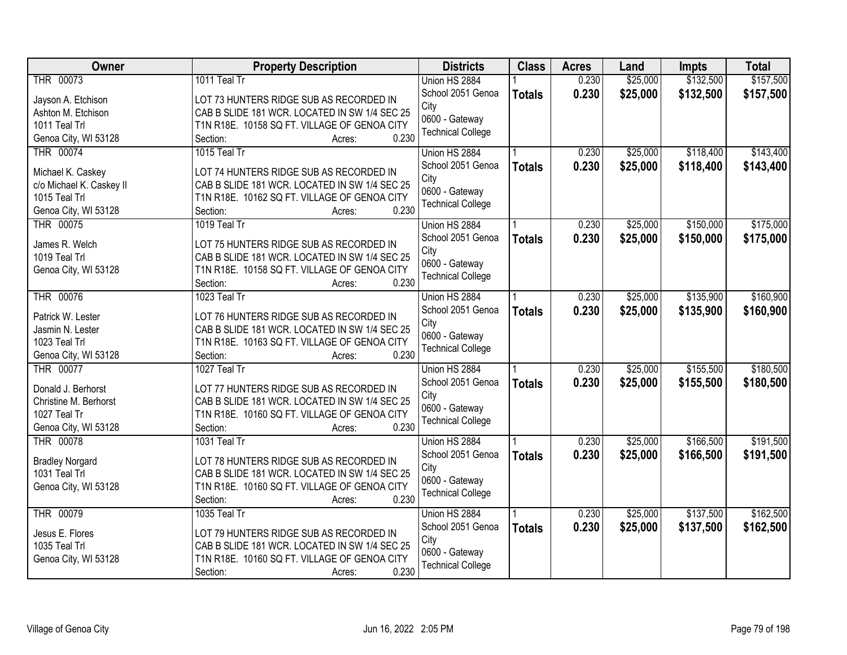| THR 00073<br>0.230<br>\$25,000<br>1011 Teal Tr<br>Union HS 2884<br>School 2051 Genoa<br>0.230<br>\$25,000<br>\$132,500<br><b>Totals</b><br>Jayson A. Etchison<br>LOT 73 HUNTERS RIDGE SUB AS RECORDED IN<br>City<br>CAB B SLIDE 181 WCR. LOCATED IN SW 1/4 SEC 25<br>Ashton M. Etchison<br>0600 - Gateway<br>1011 Teal Trl<br>T1N R18E. 10158 SQ FT. VILLAGE OF GENOA CITY<br><b>Technical College</b><br>0.230<br>Genoa City, WI 53128<br>Section:<br>Acres:<br><b>THR 00074</b><br>\$25,000<br>\$118,400<br>1015 Teal Tr<br>0.230<br>Union HS 2884<br>0.230<br>School 2051 Genoa<br>\$25,000<br>\$118,400<br><b>Totals</b><br>Michael K. Caskey<br>LOT 74 HUNTERS RIDGE SUB AS RECORDED IN<br>City<br>c/o Michael K. Caskey II<br>CAB B SLIDE 181 WCR. LOCATED IN SW 1/4 SEC 25<br>0600 - Gateway<br>1015 Teal Trl<br>T1N R18E. 10162 SQ FT. VILLAGE OF GENOA CITY<br><b>Technical College</b><br>0.230<br>Genoa City, WI 53128<br>Section:<br>Acres:<br>\$150,000<br>THR 00075<br>1019 Teal Tr<br>Union HS 2884<br>0.230<br>\$25,000<br>School 2051 Genoa<br>\$25,000<br>0.230<br>\$150,000<br><b>Totals</b><br>LOT 75 HUNTERS RIDGE SUB AS RECORDED IN<br>James R. Welch<br>City<br>1019 Teal Trl<br>CAB B SLIDE 181 WCR. LOCATED IN SW 1/4 SEC 25<br>0600 - Gateway<br>Genoa City, WI 53128<br>T1N R18E. 10158 SQ FT. VILLAGE OF GENOA CITY<br><b>Technical College</b><br>0.230<br>Section:<br>Acres:<br>THR 00076<br>\$25,000<br>\$135,900<br>1023 Teal Tr<br>Union HS 2884<br>0.230<br>0.230<br>School 2051 Genoa<br>\$25,000<br>\$135,900<br><b>Totals</b><br>Patrick W. Lester<br>LOT 76 HUNTERS RIDGE SUB AS RECORDED IN<br>City<br>CAB B SLIDE 181 WCR. LOCATED IN SW 1/4 SEC 25<br>Jasmin N. Lester<br>0600 - Gateway<br>1023 Teal Trl<br>T1N R18E. 10163 SQ FT. VILLAGE OF GENOA CITY<br><b>Technical College</b><br>0.230<br>Genoa City, WI 53128<br>Section:<br>Acres:<br>\$25,000<br>\$155,500<br>THR 00077<br>1027 Teal Tr<br>0.230<br>Union HS 2884<br>0.230<br>\$25,000<br>\$155,500<br>School 2051 Genoa<br><b>Totals</b><br>Donald J. Berhorst<br>LOT 77 HUNTERS RIDGE SUB AS RECORDED IN<br>City<br>Christine M. Berhorst<br>CAB B SLIDE 181 WCR. LOCATED IN SW 1/4 SEC 25<br>0600 - Gateway<br>1027 Teal Tr<br>T1N R18E. 10160 SQ FT. VILLAGE OF GENOA CITY<br><b>Technical College</b><br>0.230<br>Genoa City, WI 53128<br>Section:<br>Acres:<br><b>THR 00078</b><br>\$25,000<br>\$166,500<br>0.230<br>1031 Teal Tr<br>Union HS 2884<br>School 2051 Genoa<br>0.230<br>\$25,000<br>\$166,500<br><b>Totals</b><br><b>Bradley Norgard</b><br>LOT 78 HUNTERS RIDGE SUB AS RECORDED IN<br>City<br>1031 Teal Trl<br>CAB B SLIDE 181 WCR. LOCATED IN SW 1/4 SEC 25<br>0600 - Gateway<br>T1N R18E. 10160 SQ FT. VILLAGE OF GENOA CITY<br>Genoa City, WI 53128<br><b>Technical College</b><br>0.230<br>Section:<br>Acres:<br><b>THR 00079</b><br>\$25,000<br>\$137,500<br>1035 Teal Tr<br>0.230<br>Union HS 2884 | Owner           | <b>Property Description</b>             | <b>Districts</b>  | <b>Class</b>  | <b>Acres</b> | Land     | <b>Impts</b> | <b>Total</b> |
|----------------------------------------------------------------------------------------------------------------------------------------------------------------------------------------------------------------------------------------------------------------------------------------------------------------------------------------------------------------------------------------------------------------------------------------------------------------------------------------------------------------------------------------------------------------------------------------------------------------------------------------------------------------------------------------------------------------------------------------------------------------------------------------------------------------------------------------------------------------------------------------------------------------------------------------------------------------------------------------------------------------------------------------------------------------------------------------------------------------------------------------------------------------------------------------------------------------------------------------------------------------------------------------------------------------------------------------------------------------------------------------------------------------------------------------------------------------------------------------------------------------------------------------------------------------------------------------------------------------------------------------------------------------------------------------------------------------------------------------------------------------------------------------------------------------------------------------------------------------------------------------------------------------------------------------------------------------------------------------------------------------------------------------------------------------------------------------------------------------------------------------------------------------------------------------------------------------------------------------------------------------------------------------------------------------------------------------------------------------------------------------------------------------------------------------------------------------------------------------------------------------------------------------------------------------------------------------------------------------------------------------------------------------------------------------------------------------------------------------------------------------------------------------------------------------------------------------------------------------------------------------------------------------------------------|-----------------|-----------------------------------------|-------------------|---------------|--------------|----------|--------------|--------------|
| \$157,500                                                                                                                                                                                                                                                                                                                                                                                                                                                                                                                                                                                                                                                                                                                                                                                                                                                                                                                                                                                                                                                                                                                                                                                                                                                                                                                                                                                                                                                                                                                                                                                                                                                                                                                                                                                                                                                                                                                                                                                                                                                                                                                                                                                                                                                                                                                                                                                                                                                                                                                                                                                                                                                                                                                                                                                                                                                                                                                        |                 |                                         |                   |               |              |          | \$132,500    | \$157,500    |
| \$143,400<br>\$143,400<br>\$175,000<br>\$175,000<br>\$160,900<br>\$160,900                                                                                                                                                                                                                                                                                                                                                                                                                                                                                                                                                                                                                                                                                                                                                                                                                                                                                                                                                                                                                                                                                                                                                                                                                                                                                                                                                                                                                                                                                                                                                                                                                                                                                                                                                                                                                                                                                                                                                                                                                                                                                                                                                                                                                                                                                                                                                                                                                                                                                                                                                                                                                                                                                                                                                                                                                                                       |                 |                                         |                   |               |              |          |              |              |
|                                                                                                                                                                                                                                                                                                                                                                                                                                                                                                                                                                                                                                                                                                                                                                                                                                                                                                                                                                                                                                                                                                                                                                                                                                                                                                                                                                                                                                                                                                                                                                                                                                                                                                                                                                                                                                                                                                                                                                                                                                                                                                                                                                                                                                                                                                                                                                                                                                                                                                                                                                                                                                                                                                                                                                                                                                                                                                                                  |                 |                                         |                   |               |              |          |              |              |
|                                                                                                                                                                                                                                                                                                                                                                                                                                                                                                                                                                                                                                                                                                                                                                                                                                                                                                                                                                                                                                                                                                                                                                                                                                                                                                                                                                                                                                                                                                                                                                                                                                                                                                                                                                                                                                                                                                                                                                                                                                                                                                                                                                                                                                                                                                                                                                                                                                                                                                                                                                                                                                                                                                                                                                                                                                                                                                                                  |                 |                                         |                   |               |              |          |              |              |
|                                                                                                                                                                                                                                                                                                                                                                                                                                                                                                                                                                                                                                                                                                                                                                                                                                                                                                                                                                                                                                                                                                                                                                                                                                                                                                                                                                                                                                                                                                                                                                                                                                                                                                                                                                                                                                                                                                                                                                                                                                                                                                                                                                                                                                                                                                                                                                                                                                                                                                                                                                                                                                                                                                                                                                                                                                                                                                                                  |                 |                                         |                   |               |              |          |              |              |
|                                                                                                                                                                                                                                                                                                                                                                                                                                                                                                                                                                                                                                                                                                                                                                                                                                                                                                                                                                                                                                                                                                                                                                                                                                                                                                                                                                                                                                                                                                                                                                                                                                                                                                                                                                                                                                                                                                                                                                                                                                                                                                                                                                                                                                                                                                                                                                                                                                                                                                                                                                                                                                                                                                                                                                                                                                                                                                                                  |                 |                                         |                   |               |              |          |              |              |
|                                                                                                                                                                                                                                                                                                                                                                                                                                                                                                                                                                                                                                                                                                                                                                                                                                                                                                                                                                                                                                                                                                                                                                                                                                                                                                                                                                                                                                                                                                                                                                                                                                                                                                                                                                                                                                                                                                                                                                                                                                                                                                                                                                                                                                                                                                                                                                                                                                                                                                                                                                                                                                                                                                                                                                                                                                                                                                                                  |                 |                                         |                   |               |              |          |              |              |
|                                                                                                                                                                                                                                                                                                                                                                                                                                                                                                                                                                                                                                                                                                                                                                                                                                                                                                                                                                                                                                                                                                                                                                                                                                                                                                                                                                                                                                                                                                                                                                                                                                                                                                                                                                                                                                                                                                                                                                                                                                                                                                                                                                                                                                                                                                                                                                                                                                                                                                                                                                                                                                                                                                                                                                                                                                                                                                                                  |                 |                                         |                   |               |              |          |              |              |
|                                                                                                                                                                                                                                                                                                                                                                                                                                                                                                                                                                                                                                                                                                                                                                                                                                                                                                                                                                                                                                                                                                                                                                                                                                                                                                                                                                                                                                                                                                                                                                                                                                                                                                                                                                                                                                                                                                                                                                                                                                                                                                                                                                                                                                                                                                                                                                                                                                                                                                                                                                                                                                                                                                                                                                                                                                                                                                                                  |                 |                                         |                   |               |              |          |              |              |
|                                                                                                                                                                                                                                                                                                                                                                                                                                                                                                                                                                                                                                                                                                                                                                                                                                                                                                                                                                                                                                                                                                                                                                                                                                                                                                                                                                                                                                                                                                                                                                                                                                                                                                                                                                                                                                                                                                                                                                                                                                                                                                                                                                                                                                                                                                                                                                                                                                                                                                                                                                                                                                                                                                                                                                                                                                                                                                                                  |                 |                                         |                   |               |              |          |              |              |
|                                                                                                                                                                                                                                                                                                                                                                                                                                                                                                                                                                                                                                                                                                                                                                                                                                                                                                                                                                                                                                                                                                                                                                                                                                                                                                                                                                                                                                                                                                                                                                                                                                                                                                                                                                                                                                                                                                                                                                                                                                                                                                                                                                                                                                                                                                                                                                                                                                                                                                                                                                                                                                                                                                                                                                                                                                                                                                                                  |                 |                                         |                   |               |              |          |              |              |
|                                                                                                                                                                                                                                                                                                                                                                                                                                                                                                                                                                                                                                                                                                                                                                                                                                                                                                                                                                                                                                                                                                                                                                                                                                                                                                                                                                                                                                                                                                                                                                                                                                                                                                                                                                                                                                                                                                                                                                                                                                                                                                                                                                                                                                                                                                                                                                                                                                                                                                                                                                                                                                                                                                                                                                                                                                                                                                                                  |                 |                                         |                   |               |              |          |              |              |
|                                                                                                                                                                                                                                                                                                                                                                                                                                                                                                                                                                                                                                                                                                                                                                                                                                                                                                                                                                                                                                                                                                                                                                                                                                                                                                                                                                                                                                                                                                                                                                                                                                                                                                                                                                                                                                                                                                                                                                                                                                                                                                                                                                                                                                                                                                                                                                                                                                                                                                                                                                                                                                                                                                                                                                                                                                                                                                                                  |                 |                                         |                   |               |              |          |              |              |
|                                                                                                                                                                                                                                                                                                                                                                                                                                                                                                                                                                                                                                                                                                                                                                                                                                                                                                                                                                                                                                                                                                                                                                                                                                                                                                                                                                                                                                                                                                                                                                                                                                                                                                                                                                                                                                                                                                                                                                                                                                                                                                                                                                                                                                                                                                                                                                                                                                                                                                                                                                                                                                                                                                                                                                                                                                                                                                                                  |                 |                                         |                   |               |              |          |              |              |
|                                                                                                                                                                                                                                                                                                                                                                                                                                                                                                                                                                                                                                                                                                                                                                                                                                                                                                                                                                                                                                                                                                                                                                                                                                                                                                                                                                                                                                                                                                                                                                                                                                                                                                                                                                                                                                                                                                                                                                                                                                                                                                                                                                                                                                                                                                                                                                                                                                                                                                                                                                                                                                                                                                                                                                                                                                                                                                                                  |                 |                                         |                   |               |              |          |              |              |
|                                                                                                                                                                                                                                                                                                                                                                                                                                                                                                                                                                                                                                                                                                                                                                                                                                                                                                                                                                                                                                                                                                                                                                                                                                                                                                                                                                                                                                                                                                                                                                                                                                                                                                                                                                                                                                                                                                                                                                                                                                                                                                                                                                                                                                                                                                                                                                                                                                                                                                                                                                                                                                                                                                                                                                                                                                                                                                                                  |                 |                                         |                   |               |              |          |              |              |
|                                                                                                                                                                                                                                                                                                                                                                                                                                                                                                                                                                                                                                                                                                                                                                                                                                                                                                                                                                                                                                                                                                                                                                                                                                                                                                                                                                                                                                                                                                                                                                                                                                                                                                                                                                                                                                                                                                                                                                                                                                                                                                                                                                                                                                                                                                                                                                                                                                                                                                                                                                                                                                                                                                                                                                                                                                                                                                                                  |                 |                                         |                   |               |              |          |              |              |
|                                                                                                                                                                                                                                                                                                                                                                                                                                                                                                                                                                                                                                                                                                                                                                                                                                                                                                                                                                                                                                                                                                                                                                                                                                                                                                                                                                                                                                                                                                                                                                                                                                                                                                                                                                                                                                                                                                                                                                                                                                                                                                                                                                                                                                                                                                                                                                                                                                                                                                                                                                                                                                                                                                                                                                                                                                                                                                                                  |                 |                                         |                   |               |              |          |              |              |
|                                                                                                                                                                                                                                                                                                                                                                                                                                                                                                                                                                                                                                                                                                                                                                                                                                                                                                                                                                                                                                                                                                                                                                                                                                                                                                                                                                                                                                                                                                                                                                                                                                                                                                                                                                                                                                                                                                                                                                                                                                                                                                                                                                                                                                                                                                                                                                                                                                                                                                                                                                                                                                                                                                                                                                                                                                                                                                                                  |                 |                                         |                   |               |              |          |              |              |
|                                                                                                                                                                                                                                                                                                                                                                                                                                                                                                                                                                                                                                                                                                                                                                                                                                                                                                                                                                                                                                                                                                                                                                                                                                                                                                                                                                                                                                                                                                                                                                                                                                                                                                                                                                                                                                                                                                                                                                                                                                                                                                                                                                                                                                                                                                                                                                                                                                                                                                                                                                                                                                                                                                                                                                                                                                                                                                                                  |                 |                                         |                   |               |              |          |              |              |
| \$180,500<br>\$180,500<br>\$191,500<br>\$191,500<br>\$162,500                                                                                                                                                                                                                                                                                                                                                                                                                                                                                                                                                                                                                                                                                                                                                                                                                                                                                                                                                                                                                                                                                                                                                                                                                                                                                                                                                                                                                                                                                                                                                                                                                                                                                                                                                                                                                                                                                                                                                                                                                                                                                                                                                                                                                                                                                                                                                                                                                                                                                                                                                                                                                                                                                                                                                                                                                                                                    |                 |                                         |                   |               |              |          |              |              |
|                                                                                                                                                                                                                                                                                                                                                                                                                                                                                                                                                                                                                                                                                                                                                                                                                                                                                                                                                                                                                                                                                                                                                                                                                                                                                                                                                                                                                                                                                                                                                                                                                                                                                                                                                                                                                                                                                                                                                                                                                                                                                                                                                                                                                                                                                                                                                                                                                                                                                                                                                                                                                                                                                                                                                                                                                                                                                                                                  |                 |                                         |                   |               |              |          |              |              |
|                                                                                                                                                                                                                                                                                                                                                                                                                                                                                                                                                                                                                                                                                                                                                                                                                                                                                                                                                                                                                                                                                                                                                                                                                                                                                                                                                                                                                                                                                                                                                                                                                                                                                                                                                                                                                                                                                                                                                                                                                                                                                                                                                                                                                                                                                                                                                                                                                                                                                                                                                                                                                                                                                                                                                                                                                                                                                                                                  |                 |                                         |                   |               |              |          |              |              |
|                                                                                                                                                                                                                                                                                                                                                                                                                                                                                                                                                                                                                                                                                                                                                                                                                                                                                                                                                                                                                                                                                                                                                                                                                                                                                                                                                                                                                                                                                                                                                                                                                                                                                                                                                                                                                                                                                                                                                                                                                                                                                                                                                                                                                                                                                                                                                                                                                                                                                                                                                                                                                                                                                                                                                                                                                                                                                                                                  |                 |                                         |                   |               |              |          |              |              |
|                                                                                                                                                                                                                                                                                                                                                                                                                                                                                                                                                                                                                                                                                                                                                                                                                                                                                                                                                                                                                                                                                                                                                                                                                                                                                                                                                                                                                                                                                                                                                                                                                                                                                                                                                                                                                                                                                                                                                                                                                                                                                                                                                                                                                                                                                                                                                                                                                                                                                                                                                                                                                                                                                                                                                                                                                                                                                                                                  |                 |                                         |                   |               |              |          |              |              |
|                                                                                                                                                                                                                                                                                                                                                                                                                                                                                                                                                                                                                                                                                                                                                                                                                                                                                                                                                                                                                                                                                                                                                                                                                                                                                                                                                                                                                                                                                                                                                                                                                                                                                                                                                                                                                                                                                                                                                                                                                                                                                                                                                                                                                                                                                                                                                                                                                                                                                                                                                                                                                                                                                                                                                                                                                                                                                                                                  |                 |                                         |                   |               |              |          |              |              |
|                                                                                                                                                                                                                                                                                                                                                                                                                                                                                                                                                                                                                                                                                                                                                                                                                                                                                                                                                                                                                                                                                                                                                                                                                                                                                                                                                                                                                                                                                                                                                                                                                                                                                                                                                                                                                                                                                                                                                                                                                                                                                                                                                                                                                                                                                                                                                                                                                                                                                                                                                                                                                                                                                                                                                                                                                                                                                                                                  |                 |                                         |                   |               |              |          |              |              |
|                                                                                                                                                                                                                                                                                                                                                                                                                                                                                                                                                                                                                                                                                                                                                                                                                                                                                                                                                                                                                                                                                                                                                                                                                                                                                                                                                                                                                                                                                                                                                                                                                                                                                                                                                                                                                                                                                                                                                                                                                                                                                                                                                                                                                                                                                                                                                                                                                                                                                                                                                                                                                                                                                                                                                                                                                                                                                                                                  |                 |                                         |                   |               |              |          |              |              |
|                                                                                                                                                                                                                                                                                                                                                                                                                                                                                                                                                                                                                                                                                                                                                                                                                                                                                                                                                                                                                                                                                                                                                                                                                                                                                                                                                                                                                                                                                                                                                                                                                                                                                                                                                                                                                                                                                                                                                                                                                                                                                                                                                                                                                                                                                                                                                                                                                                                                                                                                                                                                                                                                                                                                                                                                                                                                                                                                  |                 |                                         |                   |               |              |          |              |              |
|                                                                                                                                                                                                                                                                                                                                                                                                                                                                                                                                                                                                                                                                                                                                                                                                                                                                                                                                                                                                                                                                                                                                                                                                                                                                                                                                                                                                                                                                                                                                                                                                                                                                                                                                                                                                                                                                                                                                                                                                                                                                                                                                                                                                                                                                                                                                                                                                                                                                                                                                                                                                                                                                                                                                                                                                                                                                                                                                  |                 |                                         |                   |               |              |          |              |              |
|                                                                                                                                                                                                                                                                                                                                                                                                                                                                                                                                                                                                                                                                                                                                                                                                                                                                                                                                                                                                                                                                                                                                                                                                                                                                                                                                                                                                                                                                                                                                                                                                                                                                                                                                                                                                                                                                                                                                                                                                                                                                                                                                                                                                                                                                                                                                                                                                                                                                                                                                                                                                                                                                                                                                                                                                                                                                                                                                  |                 |                                         |                   |               |              |          |              |              |
|                                                                                                                                                                                                                                                                                                                                                                                                                                                                                                                                                                                                                                                                                                                                                                                                                                                                                                                                                                                                                                                                                                                                                                                                                                                                                                                                                                                                                                                                                                                                                                                                                                                                                                                                                                                                                                                                                                                                                                                                                                                                                                                                                                                                                                                                                                                                                                                                                                                                                                                                                                                                                                                                                                                                                                                                                                                                                                                                  |                 |                                         |                   |               |              |          |              |              |
|                                                                                                                                                                                                                                                                                                                                                                                                                                                                                                                                                                                                                                                                                                                                                                                                                                                                                                                                                                                                                                                                                                                                                                                                                                                                                                                                                                                                                                                                                                                                                                                                                                                                                                                                                                                                                                                                                                                                                                                                                                                                                                                                                                                                                                                                                                                                                                                                                                                                                                                                                                                                                                                                                                                                                                                                                                                                                                                                  |                 |                                         |                   |               |              |          |              |              |
|                                                                                                                                                                                                                                                                                                                                                                                                                                                                                                                                                                                                                                                                                                                                                                                                                                                                                                                                                                                                                                                                                                                                                                                                                                                                                                                                                                                                                                                                                                                                                                                                                                                                                                                                                                                                                                                                                                                                                                                                                                                                                                                                                                                                                                                                                                                                                                                                                                                                                                                                                                                                                                                                                                                                                                                                                                                                                                                                  |                 |                                         |                   |               |              |          |              |              |
|                                                                                                                                                                                                                                                                                                                                                                                                                                                                                                                                                                                                                                                                                                                                                                                                                                                                                                                                                                                                                                                                                                                                                                                                                                                                                                                                                                                                                                                                                                                                                                                                                                                                                                                                                                                                                                                                                                                                                                                                                                                                                                                                                                                                                                                                                                                                                                                                                                                                                                                                                                                                                                                                                                                                                                                                                                                                                                                                  | Jesus E. Flores | LOT 79 HUNTERS RIDGE SUB AS RECORDED IN | School 2051 Genoa | <b>Totals</b> | 0.230        | \$25,000 | \$137,500    | \$162,500    |
| City<br>1035 Teal Trl<br>CAB B SLIDE 181 WCR. LOCATED IN SW 1/4 SEC 25                                                                                                                                                                                                                                                                                                                                                                                                                                                                                                                                                                                                                                                                                                                                                                                                                                                                                                                                                                                                                                                                                                                                                                                                                                                                                                                                                                                                                                                                                                                                                                                                                                                                                                                                                                                                                                                                                                                                                                                                                                                                                                                                                                                                                                                                                                                                                                                                                                                                                                                                                                                                                                                                                                                                                                                                                                                           |                 |                                         |                   |               |              |          |              |              |
| 0600 - Gateway<br>Genoa City, WI 53128<br>T1N R18E. 10160 SQ FT. VILLAGE OF GENOA CITY                                                                                                                                                                                                                                                                                                                                                                                                                                                                                                                                                                                                                                                                                                                                                                                                                                                                                                                                                                                                                                                                                                                                                                                                                                                                                                                                                                                                                                                                                                                                                                                                                                                                                                                                                                                                                                                                                                                                                                                                                                                                                                                                                                                                                                                                                                                                                                                                                                                                                                                                                                                                                                                                                                                                                                                                                                           |                 |                                         |                   |               |              |          |              |              |
| <b>Technical College</b><br>0.230<br>Section:<br>Acres:                                                                                                                                                                                                                                                                                                                                                                                                                                                                                                                                                                                                                                                                                                                                                                                                                                                                                                                                                                                                                                                                                                                                                                                                                                                                                                                                                                                                                                                                                                                                                                                                                                                                                                                                                                                                                                                                                                                                                                                                                                                                                                                                                                                                                                                                                                                                                                                                                                                                                                                                                                                                                                                                                                                                                                                                                                                                          |                 |                                         |                   |               |              |          |              |              |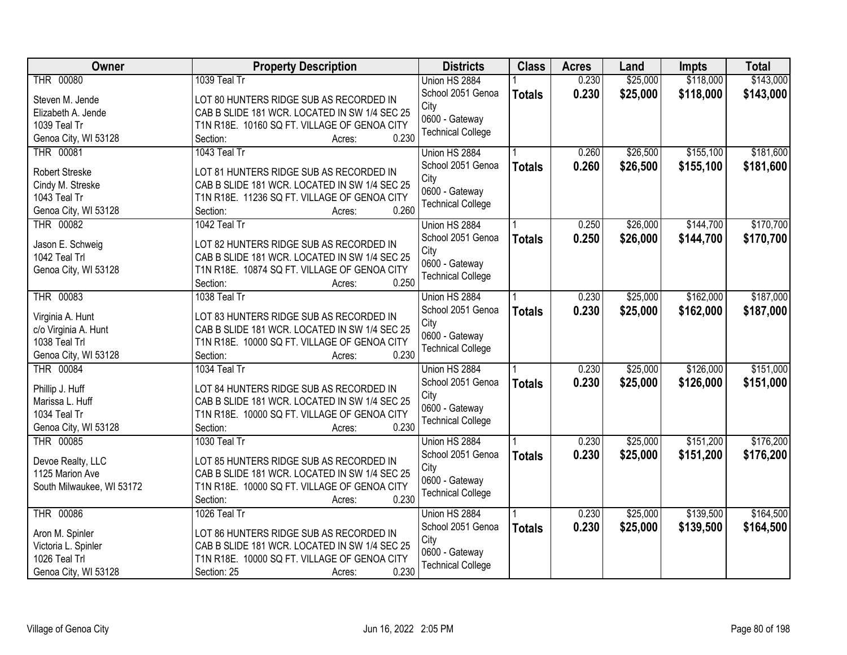| \$143,000<br>THR 00080<br>1039 Teal Tr<br>0.230<br>\$25,000<br>\$118,000<br>Union HS 2884<br>0.230<br>School 2051 Genoa<br>\$25,000<br>\$118,000<br>\$143,000<br><b>Totals</b><br>Steven M. Jende<br>LOT 80 HUNTERS RIDGE SUB AS RECORDED IN<br>City<br>CAB B SLIDE 181 WCR. LOCATED IN SW 1/4 SEC 25<br>Elizabeth A. Jende<br>0600 - Gateway<br>1039 Teal Tr<br>T1N R18E. 10160 SQ FT. VILLAGE OF GENOA CITY<br><b>Technical College</b><br>0.230<br>Genoa City, WI 53128<br>Section:<br>Acres:<br>THR 00081<br>1043 Teal Tr<br>0.260<br>\$26,500<br>\$155,100<br>Union HS 2884<br>0.260<br>School 2051 Genoa<br>\$26,500<br>\$155,100<br>\$181,600<br><b>Totals</b><br><b>Robert Streske</b><br>LOT 81 HUNTERS RIDGE SUB AS RECORDED IN<br>City<br>Cindy M. Streske<br>CAB B SLIDE 181 WCR. LOCATED IN SW 1/4 SEC 25<br>0600 - Gateway<br>1043 Teal Tr<br>T1N R18E. 11236 SQ FT. VILLAGE OF GENOA CITY<br><b>Technical College</b><br>0.260<br>Genoa City, WI 53128<br>Section:<br>Acres:<br><b>THR 00082</b><br>1042 Teal Tr<br>0.250<br>\$26,000<br>\$144,700<br>Union HS 2884<br>School 2051 Genoa<br>0.250<br>\$26,000<br>\$144,700<br>\$170,700<br><b>Totals</b><br>LOT 82 HUNTERS RIDGE SUB AS RECORDED IN<br>Jason E. Schweig<br>City<br>1042 Teal Trl<br>CAB B SLIDE 181 WCR. LOCATED IN SW 1/4 SEC 25<br>0600 - Gateway<br>Genoa City, WI 53128<br>T1N R18E. 10874 SQ FT. VILLAGE OF GENOA CITY<br><b>Technical College</b><br>0.250<br>Section:<br>Acres:<br>THR 00083<br>\$25,000<br>\$162,000<br>1038 Teal Tr<br>Union HS 2884<br>0.230<br>School 2051 Genoa<br>0.230<br>\$25,000<br>\$162,000<br>\$187,000<br><b>Totals</b><br>Virginia A. Hunt<br>LOT 83 HUNTERS RIDGE SUB AS RECORDED IN<br>City<br>c/o Virginia A. Hunt<br>CAB B SLIDE 181 WCR. LOCATED IN SW 1/4 SEC 25<br>0600 - Gateway<br>1038 Teal Trl<br>T1N R18E. 10000 SQ FT. VILLAGE OF GENOA CITY<br><b>Technical College</b><br>0.230<br>Genoa City, WI 53128<br>Section:<br>Acres: | <b>Owner</b>     | <b>Property Description</b> | <b>Districts</b> | <b>Class</b> | <b>Acres</b> | Land     | <b>Impts</b> | <b>Total</b> |
|------------------------------------------------------------------------------------------------------------------------------------------------------------------------------------------------------------------------------------------------------------------------------------------------------------------------------------------------------------------------------------------------------------------------------------------------------------------------------------------------------------------------------------------------------------------------------------------------------------------------------------------------------------------------------------------------------------------------------------------------------------------------------------------------------------------------------------------------------------------------------------------------------------------------------------------------------------------------------------------------------------------------------------------------------------------------------------------------------------------------------------------------------------------------------------------------------------------------------------------------------------------------------------------------------------------------------------------------------------------------------------------------------------------------------------------------------------------------------------------------------------------------------------------------------------------------------------------------------------------------------------------------------------------------------------------------------------------------------------------------------------------------------------------------------------------------------------------------------------------------------------------------------------------------------------------------------------------|------------------|-----------------------------|------------------|--------------|--------------|----------|--------------|--------------|
|                                                                                                                                                                                                                                                                                                                                                                                                                                                                                                                                                                                                                                                                                                                                                                                                                                                                                                                                                                                                                                                                                                                                                                                                                                                                                                                                                                                                                                                                                                                                                                                                                                                                                                                                                                                                                                                                                                                                                                  |                  |                             |                  |              |              |          |              |              |
| \$181,600<br>\$170,700<br>\$187,000                                                                                                                                                                                                                                                                                                                                                                                                                                                                                                                                                                                                                                                                                                                                                                                                                                                                                                                                                                                                                                                                                                                                                                                                                                                                                                                                                                                                                                                                                                                                                                                                                                                                                                                                                                                                                                                                                                                              |                  |                             |                  |              |              |          |              |              |
|                                                                                                                                                                                                                                                                                                                                                                                                                                                                                                                                                                                                                                                                                                                                                                                                                                                                                                                                                                                                                                                                                                                                                                                                                                                                                                                                                                                                                                                                                                                                                                                                                                                                                                                                                                                                                                                                                                                                                                  |                  |                             |                  |              |              |          |              |              |
|                                                                                                                                                                                                                                                                                                                                                                                                                                                                                                                                                                                                                                                                                                                                                                                                                                                                                                                                                                                                                                                                                                                                                                                                                                                                                                                                                                                                                                                                                                                                                                                                                                                                                                                                                                                                                                                                                                                                                                  |                  |                             |                  |              |              |          |              |              |
|                                                                                                                                                                                                                                                                                                                                                                                                                                                                                                                                                                                                                                                                                                                                                                                                                                                                                                                                                                                                                                                                                                                                                                                                                                                                                                                                                                                                                                                                                                                                                                                                                                                                                                                                                                                                                                                                                                                                                                  |                  |                             |                  |              |              |          |              |              |
|                                                                                                                                                                                                                                                                                                                                                                                                                                                                                                                                                                                                                                                                                                                                                                                                                                                                                                                                                                                                                                                                                                                                                                                                                                                                                                                                                                                                                                                                                                                                                                                                                                                                                                                                                                                                                                                                                                                                                                  |                  |                             |                  |              |              |          |              |              |
|                                                                                                                                                                                                                                                                                                                                                                                                                                                                                                                                                                                                                                                                                                                                                                                                                                                                                                                                                                                                                                                                                                                                                                                                                                                                                                                                                                                                                                                                                                                                                                                                                                                                                                                                                                                                                                                                                                                                                                  |                  |                             |                  |              |              |          |              |              |
|                                                                                                                                                                                                                                                                                                                                                                                                                                                                                                                                                                                                                                                                                                                                                                                                                                                                                                                                                                                                                                                                                                                                                                                                                                                                                                                                                                                                                                                                                                                                                                                                                                                                                                                                                                                                                                                                                                                                                                  |                  |                             |                  |              |              |          |              |              |
|                                                                                                                                                                                                                                                                                                                                                                                                                                                                                                                                                                                                                                                                                                                                                                                                                                                                                                                                                                                                                                                                                                                                                                                                                                                                                                                                                                                                                                                                                                                                                                                                                                                                                                                                                                                                                                                                                                                                                                  |                  |                             |                  |              |              |          |              |              |
|                                                                                                                                                                                                                                                                                                                                                                                                                                                                                                                                                                                                                                                                                                                                                                                                                                                                                                                                                                                                                                                                                                                                                                                                                                                                                                                                                                                                                                                                                                                                                                                                                                                                                                                                                                                                                                                                                                                                                                  |                  |                             |                  |              |              |          |              |              |
|                                                                                                                                                                                                                                                                                                                                                                                                                                                                                                                                                                                                                                                                                                                                                                                                                                                                                                                                                                                                                                                                                                                                                                                                                                                                                                                                                                                                                                                                                                                                                                                                                                                                                                                                                                                                                                                                                                                                                                  |                  |                             |                  |              |              |          |              |              |
|                                                                                                                                                                                                                                                                                                                                                                                                                                                                                                                                                                                                                                                                                                                                                                                                                                                                                                                                                                                                                                                                                                                                                                                                                                                                                                                                                                                                                                                                                                                                                                                                                                                                                                                                                                                                                                                                                                                                                                  |                  |                             |                  |              |              |          |              |              |
|                                                                                                                                                                                                                                                                                                                                                                                                                                                                                                                                                                                                                                                                                                                                                                                                                                                                                                                                                                                                                                                                                                                                                                                                                                                                                                                                                                                                                                                                                                                                                                                                                                                                                                                                                                                                                                                                                                                                                                  |                  |                             |                  |              |              |          |              |              |
|                                                                                                                                                                                                                                                                                                                                                                                                                                                                                                                                                                                                                                                                                                                                                                                                                                                                                                                                                                                                                                                                                                                                                                                                                                                                                                                                                                                                                                                                                                                                                                                                                                                                                                                                                                                                                                                                                                                                                                  |                  |                             |                  |              |              |          |              |              |
|                                                                                                                                                                                                                                                                                                                                                                                                                                                                                                                                                                                                                                                                                                                                                                                                                                                                                                                                                                                                                                                                                                                                                                                                                                                                                                                                                                                                                                                                                                                                                                                                                                                                                                                                                                                                                                                                                                                                                                  |                  |                             |                  |              |              |          |              |              |
|                                                                                                                                                                                                                                                                                                                                                                                                                                                                                                                                                                                                                                                                                                                                                                                                                                                                                                                                                                                                                                                                                                                                                                                                                                                                                                                                                                                                                                                                                                                                                                                                                                                                                                                                                                                                                                                                                                                                                                  |                  |                             |                  |              |              |          |              |              |
|                                                                                                                                                                                                                                                                                                                                                                                                                                                                                                                                                                                                                                                                                                                                                                                                                                                                                                                                                                                                                                                                                                                                                                                                                                                                                                                                                                                                                                                                                                                                                                                                                                                                                                                                                                                                                                                                                                                                                                  |                  |                             |                  |              |              |          |              |              |
|                                                                                                                                                                                                                                                                                                                                                                                                                                                                                                                                                                                                                                                                                                                                                                                                                                                                                                                                                                                                                                                                                                                                                                                                                                                                                                                                                                                                                                                                                                                                                                                                                                                                                                                                                                                                                                                                                                                                                                  |                  |                             |                  |              |              |          |              |              |
|                                                                                                                                                                                                                                                                                                                                                                                                                                                                                                                                                                                                                                                                                                                                                                                                                                                                                                                                                                                                                                                                                                                                                                                                                                                                                                                                                                                                                                                                                                                                                                                                                                                                                                                                                                                                                                                                                                                                                                  |                  |                             |                  |              |              |          |              |              |
|                                                                                                                                                                                                                                                                                                                                                                                                                                                                                                                                                                                                                                                                                                                                                                                                                                                                                                                                                                                                                                                                                                                                                                                                                                                                                                                                                                                                                                                                                                                                                                                                                                                                                                                                                                                                                                                                                                                                                                  |                  |                             |                  |              |              |          |              |              |
|                                                                                                                                                                                                                                                                                                                                                                                                                                                                                                                                                                                                                                                                                                                                                                                                                                                                                                                                                                                                                                                                                                                                                                                                                                                                                                                                                                                                                                                                                                                                                                                                                                                                                                                                                                                                                                                                                                                                                                  |                  |                             |                  |              |              |          |              |              |
|                                                                                                                                                                                                                                                                                                                                                                                                                                                                                                                                                                                                                                                                                                                                                                                                                                                                                                                                                                                                                                                                                                                                                                                                                                                                                                                                                                                                                                                                                                                                                                                                                                                                                                                                                                                                                                                                                                                                                                  |                  |                             |                  |              |              |          |              |              |
|                                                                                                                                                                                                                                                                                                                                                                                                                                                                                                                                                                                                                                                                                                                                                                                                                                                                                                                                                                                                                                                                                                                                                                                                                                                                                                                                                                                                                                                                                                                                                                                                                                                                                                                                                                                                                                                                                                                                                                  | <b>THR 00084</b> | 1034 Teal Tr                | Union HS 2884    |              | 0.230        | \$25,000 | \$126,000    | \$151,000    |
| 0.230<br>\$25,000<br>\$126,000<br>\$151,000<br>School 2051 Genoa<br><b>Totals</b><br>Phillip J. Huff<br>LOT 84 HUNTERS RIDGE SUB AS RECORDED IN                                                                                                                                                                                                                                                                                                                                                                                                                                                                                                                                                                                                                                                                                                                                                                                                                                                                                                                                                                                                                                                                                                                                                                                                                                                                                                                                                                                                                                                                                                                                                                                                                                                                                                                                                                                                                  |                  |                             |                  |              |              |          |              |              |
| City<br>Marissa L. Huff<br>CAB B SLIDE 181 WCR. LOCATED IN SW 1/4 SEC 25                                                                                                                                                                                                                                                                                                                                                                                                                                                                                                                                                                                                                                                                                                                                                                                                                                                                                                                                                                                                                                                                                                                                                                                                                                                                                                                                                                                                                                                                                                                                                                                                                                                                                                                                                                                                                                                                                         |                  |                             |                  |              |              |          |              |              |
| 0600 - Gateway<br>1034 Teal Tr<br>T1N R18E. 10000 SQ FT. VILLAGE OF GENOA CITY                                                                                                                                                                                                                                                                                                                                                                                                                                                                                                                                                                                                                                                                                                                                                                                                                                                                                                                                                                                                                                                                                                                                                                                                                                                                                                                                                                                                                                                                                                                                                                                                                                                                                                                                                                                                                                                                                   |                  |                             |                  |              |              |          |              |              |
| <b>Technical College</b><br>0.230<br>Genoa City, WI 53128<br>Section:<br>Acres:                                                                                                                                                                                                                                                                                                                                                                                                                                                                                                                                                                                                                                                                                                                                                                                                                                                                                                                                                                                                                                                                                                                                                                                                                                                                                                                                                                                                                                                                                                                                                                                                                                                                                                                                                                                                                                                                                  |                  |                             |                  |              |              |          |              |              |
| \$25,000<br>\$151,200<br>\$176,200<br><b>THR 00085</b><br>0.230<br>1030 Teal Tr<br>Union HS 2884                                                                                                                                                                                                                                                                                                                                                                                                                                                                                                                                                                                                                                                                                                                                                                                                                                                                                                                                                                                                                                                                                                                                                                                                                                                                                                                                                                                                                                                                                                                                                                                                                                                                                                                                                                                                                                                                 |                  |                             |                  |              |              |          |              |              |
| 0.230<br>\$25,000<br>School 2051 Genoa<br>\$151,200<br>\$176,200<br><b>Totals</b>                                                                                                                                                                                                                                                                                                                                                                                                                                                                                                                                                                                                                                                                                                                                                                                                                                                                                                                                                                                                                                                                                                                                                                                                                                                                                                                                                                                                                                                                                                                                                                                                                                                                                                                                                                                                                                                                                |                  |                             |                  |              |              |          |              |              |
| LOT 85 HUNTERS RIDGE SUB AS RECORDED IN<br>Devoe Realty, LLC<br>City                                                                                                                                                                                                                                                                                                                                                                                                                                                                                                                                                                                                                                                                                                                                                                                                                                                                                                                                                                                                                                                                                                                                                                                                                                                                                                                                                                                                                                                                                                                                                                                                                                                                                                                                                                                                                                                                                             |                  |                             |                  |              |              |          |              |              |
| CAB B SLIDE 181 WCR. LOCATED IN SW 1/4 SEC 25<br>1125 Marion Ave<br>0600 - Gateway                                                                                                                                                                                                                                                                                                                                                                                                                                                                                                                                                                                                                                                                                                                                                                                                                                                                                                                                                                                                                                                                                                                                                                                                                                                                                                                                                                                                                                                                                                                                                                                                                                                                                                                                                                                                                                                                               |                  |                             |                  |              |              |          |              |              |
| South Milwaukee, WI 53172<br>T1N R18E. 10000 SQ FT. VILLAGE OF GENOA CITY<br><b>Technical College</b>                                                                                                                                                                                                                                                                                                                                                                                                                                                                                                                                                                                                                                                                                                                                                                                                                                                                                                                                                                                                                                                                                                                                                                                                                                                                                                                                                                                                                                                                                                                                                                                                                                                                                                                                                                                                                                                            |                  |                             |                  |              |              |          |              |              |
| 0.230<br>Section:<br>Acres:                                                                                                                                                                                                                                                                                                                                                                                                                                                                                                                                                                                                                                                                                                                                                                                                                                                                                                                                                                                                                                                                                                                                                                                                                                                                                                                                                                                                                                                                                                                                                                                                                                                                                                                                                                                                                                                                                                                                      |                  |                             |                  |              |              |          |              |              |
| <b>THR 00086</b><br>\$139,500<br>1026 Teal Tr<br>\$25,000<br>\$164,500<br>Union HS 2884<br>0.230                                                                                                                                                                                                                                                                                                                                                                                                                                                                                                                                                                                                                                                                                                                                                                                                                                                                                                                                                                                                                                                                                                                                                                                                                                                                                                                                                                                                                                                                                                                                                                                                                                                                                                                                                                                                                                                                 |                  |                             |                  |              |              |          |              |              |
| 0.230<br>\$25,000<br>School 2051 Genoa<br>\$139,500<br>\$164,500<br><b>Totals</b><br>Aron M. Spinler<br>LOT 86 HUNTERS RIDGE SUB AS RECORDED IN                                                                                                                                                                                                                                                                                                                                                                                                                                                                                                                                                                                                                                                                                                                                                                                                                                                                                                                                                                                                                                                                                                                                                                                                                                                                                                                                                                                                                                                                                                                                                                                                                                                                                                                                                                                                                  |                  |                             |                  |              |              |          |              |              |
| City<br>Victoria L. Spinler<br>CAB B SLIDE 181 WCR. LOCATED IN SW 1/4 SEC 25                                                                                                                                                                                                                                                                                                                                                                                                                                                                                                                                                                                                                                                                                                                                                                                                                                                                                                                                                                                                                                                                                                                                                                                                                                                                                                                                                                                                                                                                                                                                                                                                                                                                                                                                                                                                                                                                                     |                  |                             |                  |              |              |          |              |              |
| 0600 - Gateway<br>1026 Teal Trl<br>T1N R18E. 10000 SQ FT. VILLAGE OF GENOA CITY                                                                                                                                                                                                                                                                                                                                                                                                                                                                                                                                                                                                                                                                                                                                                                                                                                                                                                                                                                                                                                                                                                                                                                                                                                                                                                                                                                                                                                                                                                                                                                                                                                                                                                                                                                                                                                                                                  |                  |                             |                  |              |              |          |              |              |
| <b>Technical College</b><br>0.230<br>Genoa City, WI 53128<br>Section: 25<br>Acres:                                                                                                                                                                                                                                                                                                                                                                                                                                                                                                                                                                                                                                                                                                                                                                                                                                                                                                                                                                                                                                                                                                                                                                                                                                                                                                                                                                                                                                                                                                                                                                                                                                                                                                                                                                                                                                                                               |                  |                             |                  |              |              |          |              |              |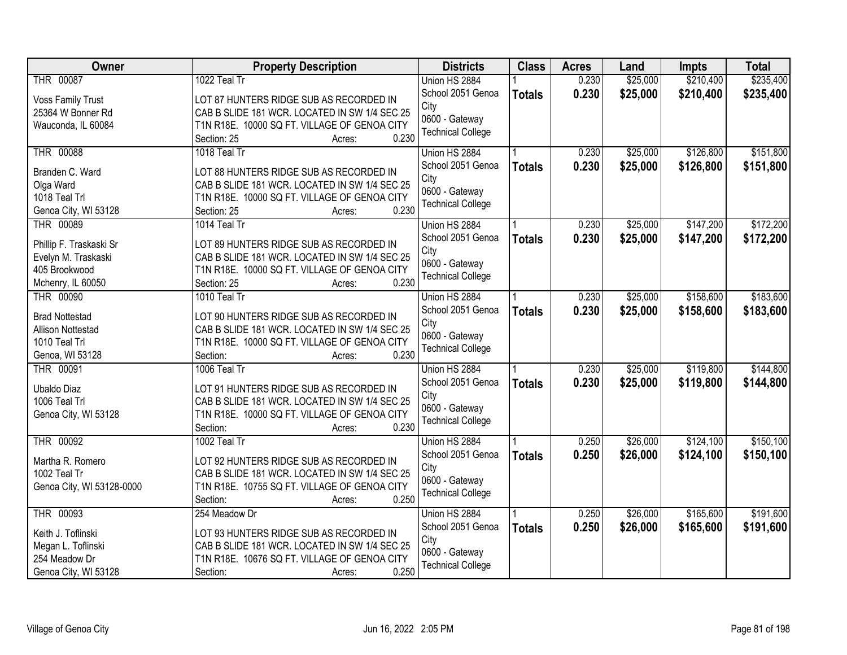| <b>Owner</b>                     | <b>Property Description</b>                                                              | <b>Districts</b>         | <b>Class</b>  | <b>Acres</b> | Land     | Impts     | <b>Total</b> |
|----------------------------------|------------------------------------------------------------------------------------------|--------------------------|---------------|--------------|----------|-----------|--------------|
| THR 00087                        | 1022 Teal Tr                                                                             | Union HS 2884            |               | 0.230        | \$25,000 | \$210,400 | \$235,400    |
| <b>Voss Family Trust</b>         | LOT 87 HUNTERS RIDGE SUB AS RECORDED IN                                                  | School 2051 Genoa        | <b>Totals</b> | 0.230        | \$25,000 | \$210,400 | \$235,400    |
| 25364 W Bonner Rd                | CAB B SLIDE 181 WCR. LOCATED IN SW 1/4 SEC 25                                            | City                     |               |              |          |           |              |
| Wauconda, IL 60084               | T1N R18E. 10000 SQ FT. VILLAGE OF GENOA CITY                                             | 0600 - Gateway           |               |              |          |           |              |
|                                  | 0.230<br>Section: 25<br>Acres:                                                           | <b>Technical College</b> |               |              |          |           |              |
| <b>THR 00088</b>                 | 1018 Teal Tr                                                                             | Union HS 2884            |               | 0.230        | \$25,000 | \$126,800 | \$151,800    |
|                                  |                                                                                          | School 2051 Genoa        | <b>Totals</b> | 0.230        | \$25,000 | \$126,800 | \$151,800    |
| Branden C. Ward                  | LOT 88 HUNTERS RIDGE SUB AS RECORDED IN                                                  | City                     |               |              |          |           |              |
| Olga Ward                        | CAB B SLIDE 181 WCR. LOCATED IN SW 1/4 SEC 25                                            | 0600 - Gateway           |               |              |          |           |              |
| 1018 Teal Trl                    | T1N R18E. 10000 SQ FT. VILLAGE OF GENOA CITY<br>0.230                                    | <b>Technical College</b> |               |              |          |           |              |
| Genoa City, WI 53128             | Section: 25<br>Acres:                                                                    |                          |               |              |          |           |              |
| THR 00089                        | 1014 Teal Tr                                                                             | Union HS 2884            |               | 0.230        | \$25,000 | \$147,200 | \$172,200    |
| Phillip F. Traskaski Sr          | LOT 89 HUNTERS RIDGE SUB AS RECORDED IN                                                  | School 2051 Genoa        | <b>Totals</b> | 0.230        | \$25,000 | \$147,200 | \$172,200    |
| Evelyn M. Traskaski              | CAB B SLIDE 181 WCR. LOCATED IN SW 1/4 SEC 25                                            | City                     |               |              |          |           |              |
| 405 Brookwood                    | T1N R18E. 10000 SQ FT. VILLAGE OF GENOA CITY                                             | 0600 - Gateway           |               |              |          |           |              |
| Mchenry, IL 60050                | 0.230<br>Section: 25<br>Acres:                                                           | <b>Technical College</b> |               |              |          |           |              |
| <b>THR 00090</b>                 | 1010 Teal Tr                                                                             | Union HS 2884            |               | 0.230        | \$25,000 | \$158,600 | \$183,600    |
|                                  |                                                                                          | School 2051 Genoa        | <b>Totals</b> | 0.230        | \$25,000 | \$158,600 | \$183,600    |
| <b>Brad Nottestad</b>            | LOT 90 HUNTERS RIDGE SUB AS RECORDED IN                                                  | City                     |               |              |          |           |              |
| Allison Nottestad                | CAB B SLIDE 181 WCR. LOCATED IN SW 1/4 SEC 25                                            | 0600 - Gateway           |               |              |          |           |              |
| 1010 Teal Trl                    | T1N R18E. 10000 SQ FT. VILLAGE OF GENOA CITY                                             | <b>Technical College</b> |               |              |          |           |              |
| Genoa, WI 53128                  | 0.230<br>Section:<br>Acres:                                                              |                          |               |              |          |           |              |
| THR 00091                        | 1006 Teal Tr                                                                             | Union HS 2884            |               | 0.230        | \$25,000 | \$119,800 | \$144,800    |
| Ubaldo Diaz                      | LOT 91 HUNTERS RIDGE SUB AS RECORDED IN                                                  | School 2051 Genoa        | <b>Totals</b> | 0.230        | \$25,000 | \$119,800 | \$144,800    |
| 1006 Teal Trl                    | CAB B SLIDE 181 WCR. LOCATED IN SW 1/4 SEC 25                                            | City                     |               |              |          |           |              |
| Genoa City, WI 53128             | T1N R18E. 10000 SQ FT. VILLAGE OF GENOA CITY                                             | 0600 - Gateway           |               |              |          |           |              |
|                                  | 0.230<br>Section:<br>Acres:                                                              | <b>Technical College</b> |               |              |          |           |              |
| THR 00092                        | 1002 Teal Tr                                                                             | Union HS 2884            |               | 0.250        | \$26,000 | \$124,100 | \$150,100    |
|                                  |                                                                                          | School 2051 Genoa        | <b>Totals</b> | 0.250        | \$26,000 | \$124,100 | \$150,100    |
| Martha R. Romero<br>1002 Teal Tr | LOT 92 HUNTERS RIDGE SUB AS RECORDED IN<br>CAB B SLIDE 181 WCR. LOCATED IN SW 1/4 SEC 25 | City                     |               |              |          |           |              |
|                                  |                                                                                          | 0600 - Gateway           |               |              |          |           |              |
| Genoa City, WI 53128-0000        | T1N R18E. 10755 SQ FT. VILLAGE OF GENOA CITY<br>0.250                                    | <b>Technical College</b> |               |              |          |           |              |
| <b>THR 00093</b>                 | Section:<br>Acres:                                                                       |                          |               | 0.250        | \$26,000 |           | \$191,600    |
|                                  | 254 Meadow Dr                                                                            | Union HS 2884            |               |              |          | \$165,600 |              |
| Keith J. Toflinski               | LOT 93 HUNTERS RIDGE SUB AS RECORDED IN                                                  | School 2051 Genoa        | <b>Totals</b> | 0.250        | \$26,000 | \$165,600 | \$191,600    |
| Megan L. Toflinski               | CAB B SLIDE 181 WCR. LOCATED IN SW 1/4 SEC 25                                            | City                     |               |              |          |           |              |
| 254 Meadow Dr                    | T1N R18E. 10676 SQ FT. VILLAGE OF GENOA CITY                                             | 0600 - Gateway           |               |              |          |           |              |
| Genoa City, WI 53128             | 0.250<br>Section:<br>Acres:                                                              | <b>Technical College</b> |               |              |          |           |              |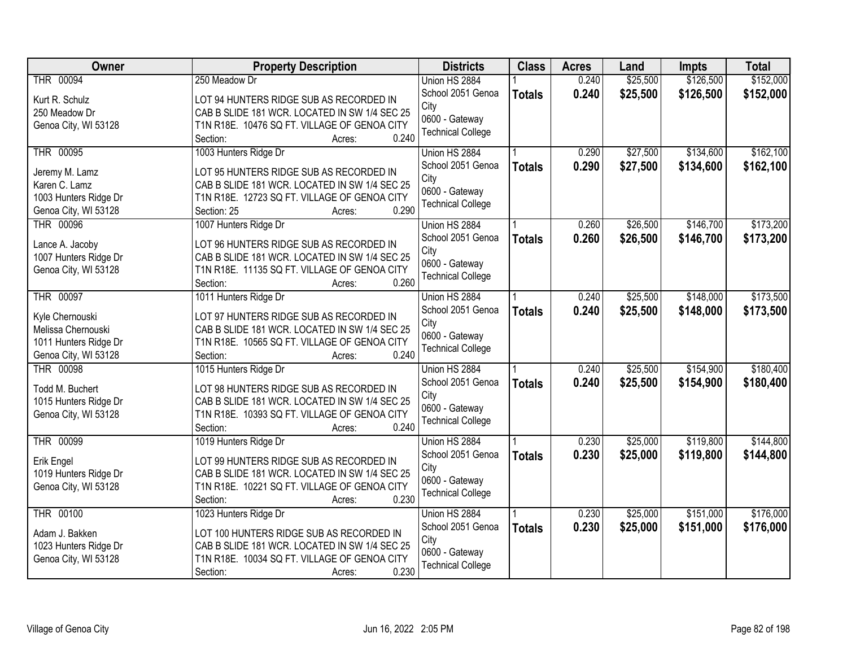| Owner                 | <b>Property Description</b>                   | <b>Districts</b>                           | <b>Class</b>  | <b>Acres</b> | Land     | <b>Impts</b> | <b>Total</b> |
|-----------------------|-----------------------------------------------|--------------------------------------------|---------------|--------------|----------|--------------|--------------|
| THR 00094             | 250 Meadow Dr                                 | Union HS 2884                              |               | 0.240        | \$25,500 | \$126,500    | \$152,000    |
| Kurt R. Schulz        | LOT 94 HUNTERS RIDGE SUB AS RECORDED IN       | School 2051 Genoa                          | <b>Totals</b> | 0.240        | \$25,500 | \$126,500    | \$152,000    |
| 250 Meadow Dr         | CAB B SLIDE 181 WCR. LOCATED IN SW 1/4 SEC 25 | City                                       |               |              |          |              |              |
| Genoa City, WI 53128  | T1N R18E. 10476 SQ FT. VILLAGE OF GENOA CITY  | 0600 - Gateway                             |               |              |          |              |              |
|                       | 0.240<br>Section:<br>Acres:                   | <b>Technical College</b>                   |               |              |          |              |              |
| THR 00095             | 1003 Hunters Ridge Dr                         | Union HS 2884                              |               | 0.290        | \$27,500 | \$134,600    | \$162,100    |
| Jeremy M. Lamz        | LOT 95 HUNTERS RIDGE SUB AS RECORDED IN       | School 2051 Genoa                          | <b>Totals</b> | 0.290        | \$27,500 | \$134,600    | \$162,100    |
| Karen C. Lamz         | CAB B SLIDE 181 WCR. LOCATED IN SW 1/4 SEC 25 | City                                       |               |              |          |              |              |
| 1003 Hunters Ridge Dr | T1N R18E. 12723 SQ FT. VILLAGE OF GENOA CITY  | 0600 - Gateway                             |               |              |          |              |              |
| Genoa City, WI 53128  | 0.290<br>Section: 25<br>Acres:                | <b>Technical College</b>                   |               |              |          |              |              |
| THR 00096             | 1007 Hunters Ridge Dr                         | Union HS 2884                              |               | 0.260        | \$26,500 | \$146,700    | \$173,200    |
|                       |                                               | School 2051 Genoa                          | <b>Totals</b> | 0.260        | \$26,500 | \$146,700    | \$173,200    |
| Lance A. Jacoby       | LOT 96 HUNTERS RIDGE SUB AS RECORDED IN       | City                                       |               |              |          |              |              |
| 1007 Hunters Ridge Dr | CAB B SLIDE 181 WCR. LOCATED IN SW 1/4 SEC 25 | 0600 - Gateway                             |               |              |          |              |              |
| Genoa City, WI 53128  | T1N R18E. 11135 SQ FT. VILLAGE OF GENOA CITY  | <b>Technical College</b>                   |               |              |          |              |              |
|                       | 0.260<br>Section:<br>Acres:                   |                                            |               |              |          |              |              |
| THR 00097             | 1011 Hunters Ridge Dr                         | Union HS 2884                              |               | 0.240        | \$25,500 | \$148,000    | \$173,500    |
| Kyle Chernouski       | LOT 97 HUNTERS RIDGE SUB AS RECORDED IN       | School 2051 Genoa                          | <b>Totals</b> | 0.240        | \$25,500 | \$148,000    | \$173,500    |
| Melissa Chernouski    | CAB B SLIDE 181 WCR. LOCATED IN SW 1/4 SEC 25 | City                                       |               |              |          |              |              |
| 1011 Hunters Ridge Dr | T1N R18E. 10565 SQ FT. VILLAGE OF GENOA CITY  | 0600 - Gateway<br><b>Technical College</b> |               |              |          |              |              |
| Genoa City, WI 53128  | 0.240<br>Section:<br>Acres:                   |                                            |               |              |          |              |              |
| <b>THR 00098</b>      | 1015 Hunters Ridge Dr                         | Union HS 2884                              |               | 0.240        | \$25,500 | \$154,900    | \$180,400    |
| Todd M. Buchert       | LOT 98 HUNTERS RIDGE SUB AS RECORDED IN       | School 2051 Genoa                          | <b>Totals</b> | 0.240        | \$25,500 | \$154,900    | \$180,400    |
| 1015 Hunters Ridge Dr | CAB B SLIDE 181 WCR. LOCATED IN SW 1/4 SEC 25 | City                                       |               |              |          |              |              |
| Genoa City, WI 53128  | T1N R18E. 10393 SQ FT. VILLAGE OF GENOA CITY  | 0600 - Gateway                             |               |              |          |              |              |
|                       | 0.240<br>Section:<br>Acres:                   | <b>Technical College</b>                   |               |              |          |              |              |
| THR 00099             | 1019 Hunters Ridge Dr                         | Union HS 2884                              |               | 0.230        | \$25,000 | \$119,800    | \$144,800    |
| Erik Engel            | LOT 99 HUNTERS RIDGE SUB AS RECORDED IN       | School 2051 Genoa                          | <b>Totals</b> | 0.230        | \$25,000 | \$119,800    | \$144,800    |
| 1019 Hunters Ridge Dr | CAB B SLIDE 181 WCR. LOCATED IN SW 1/4 SEC 25 | City                                       |               |              |          |              |              |
| Genoa City, WI 53128  | T1N R18E. 10221 SQ FT. VILLAGE OF GENOA CITY  | 0600 - Gateway                             |               |              |          |              |              |
|                       | 0.230<br>Section:<br>Acres:                   | <b>Technical College</b>                   |               |              |          |              |              |
| <b>THR 00100</b>      | 1023 Hunters Ridge Dr                         | Union HS 2884                              |               | 0.230        | \$25,000 | \$151,000    | \$176,000    |
|                       |                                               | School 2051 Genoa                          | <b>Totals</b> | 0.230        | \$25,000 | \$151,000    | \$176,000    |
| Adam J. Bakken        | LOT 100 HUNTERS RIDGE SUB AS RECORDED IN      | City                                       |               |              |          |              |              |
| 1023 Hunters Ridge Dr | CAB B SLIDE 181 WCR. LOCATED IN SW 1/4 SEC 25 | 0600 - Gateway                             |               |              |          |              |              |
| Genoa City, WI 53128  | T1N R18E. 10034 SQ FT. VILLAGE OF GENOA CITY  | <b>Technical College</b>                   |               |              |          |              |              |
|                       | 0.230<br>Section:<br>Acres:                   |                                            |               |              |          |              |              |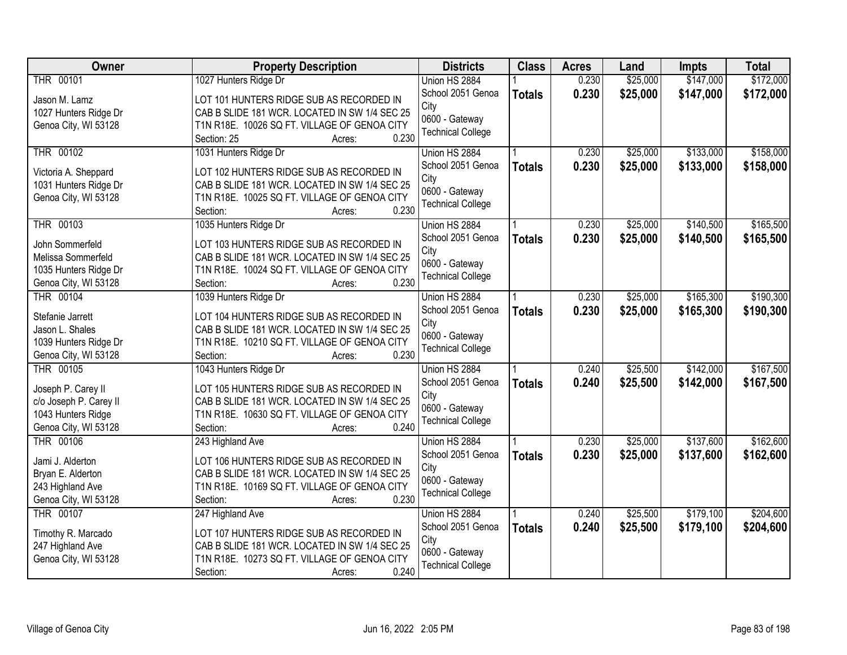| <b>Owner</b>           | <b>Property Description</b>                   | <b>Districts</b>         | <b>Class</b>  | <b>Acres</b> | Land     | <b>Impts</b> | <b>Total</b> |
|------------------------|-----------------------------------------------|--------------------------|---------------|--------------|----------|--------------|--------------|
| THR 00101              | 1027 Hunters Ridge Dr                         | Union HS 2884            |               | 0.230        | \$25,000 | \$147,000    | \$172,000    |
| Jason M. Lamz          | LOT 101 HUNTERS RIDGE SUB AS RECORDED IN      | School 2051 Genoa        | <b>Totals</b> | 0.230        | \$25,000 | \$147,000    | \$172,000    |
| 1027 Hunters Ridge Dr  | CAB B SLIDE 181 WCR. LOCATED IN SW 1/4 SEC 25 | City                     |               |              |          |              |              |
| Genoa City, WI 53128   | T1N R18E. 10026 SQ FT. VILLAGE OF GENOA CITY  | 0600 - Gateway           |               |              |          |              |              |
|                        | 0.230<br>Section: 25<br>Acres:                | <b>Technical College</b> |               |              |          |              |              |
| THR 00102              | 1031 Hunters Ridge Dr                         | Union HS 2884            |               | 0.230        | \$25,000 | \$133,000    | \$158,000    |
| Victoria A. Sheppard   | LOT 102 HUNTERS RIDGE SUB AS RECORDED IN      | School 2051 Genoa        | <b>Totals</b> | 0.230        | \$25,000 | \$133,000    | \$158,000    |
| 1031 Hunters Ridge Dr  | CAB B SLIDE 181 WCR. LOCATED IN SW 1/4 SEC 25 | City                     |               |              |          |              |              |
| Genoa City, WI 53128   | T1N R18E. 10025 SQ FT. VILLAGE OF GENOA CITY  | 0600 - Gateway           |               |              |          |              |              |
|                        | 0.230<br>Section:<br>Acres:                   | <b>Technical College</b> |               |              |          |              |              |
| THR 00103              | 1035 Hunters Ridge Dr                         | Union HS 2884            |               | 0.230        | \$25,000 | \$140,500    | \$165,500    |
| John Sommerfeld        | LOT 103 HUNTERS RIDGE SUB AS RECORDED IN      | School 2051 Genoa        | <b>Totals</b> | 0.230        | \$25,000 | \$140,500    | \$165,500    |
| Melissa Sommerfeld     | CAB B SLIDE 181 WCR. LOCATED IN SW 1/4 SEC 25 | City                     |               |              |          |              |              |
| 1035 Hunters Ridge Dr  | T1N R18E. 10024 SQ FT. VILLAGE OF GENOA CITY  | 0600 - Gateway           |               |              |          |              |              |
| Genoa City, WI 53128   | 0.230<br>Section:<br>Acres:                   | <b>Technical College</b> |               |              |          |              |              |
| <b>THR 00104</b>       | 1039 Hunters Ridge Dr                         | Union HS 2884            |               | 0.230        | \$25,000 | \$165,300    | \$190,300    |
|                        |                                               | School 2051 Genoa        |               | 0.230        |          |              |              |
| Stefanie Jarrett       | LOT 104 HUNTERS RIDGE SUB AS RECORDED IN      | City                     | <b>Totals</b> |              | \$25,000 | \$165,300    | \$190,300    |
| Jason L. Shales        | CAB B SLIDE 181 WCR. LOCATED IN SW 1/4 SEC 25 | 0600 - Gateway           |               |              |          |              |              |
| 1039 Hunters Ridge Dr  | T1N R18E. 10210 SQ FT. VILLAGE OF GENOA CITY  | <b>Technical College</b> |               |              |          |              |              |
| Genoa City, WI 53128   | 0.230<br>Section:<br>Acres:                   |                          |               |              |          |              |              |
| <b>THR 00105</b>       | 1043 Hunters Ridge Dr                         | Union HS 2884            |               | 0.240        | \$25,500 | \$142,000    | \$167,500    |
| Joseph P. Carey II     | LOT 105 HUNTERS RIDGE SUB AS RECORDED IN      | School 2051 Genoa        | <b>Totals</b> | 0.240        | \$25,500 | \$142,000    | \$167,500    |
| c/o Joseph P. Carey II | CAB B SLIDE 181 WCR. LOCATED IN SW 1/4 SEC 25 | City                     |               |              |          |              |              |
| 1043 Hunters Ridge     | T1N R18E. 10630 SQ FT. VILLAGE OF GENOA CITY  | 0600 - Gateway           |               |              |          |              |              |
| Genoa City, WI 53128   | 0.240<br>Section:<br>Acres:                   | <b>Technical College</b> |               |              |          |              |              |
| THR 00106              | 243 Highland Ave                              | Union HS 2884            |               | 0.230        | \$25,000 | \$137,600    | \$162,600    |
|                        |                                               | School 2051 Genoa        | <b>Totals</b> | 0.230        | \$25,000 | \$137,600    | \$162,600    |
| Jami J. Alderton       | LOT 106 HUNTERS RIDGE SUB AS RECORDED IN      | City                     |               |              |          |              |              |
| Bryan E. Alderton      | CAB B SLIDE 181 WCR. LOCATED IN SW 1/4 SEC 25 | 0600 - Gateway           |               |              |          |              |              |
| 243 Highland Ave       | T1N R18E. 10169 SQ FT. VILLAGE OF GENOA CITY  | <b>Technical College</b> |               |              |          |              |              |
| Genoa City, WI 53128   | 0.230<br>Section:<br>Acres:                   |                          |               |              |          |              |              |
| <b>THR 00107</b>       | 247 Highland Ave                              | Union HS 2884            |               | 0.240        | \$25,500 | \$179,100    | \$204,600    |
| Timothy R. Marcado     | LOT 107 HUNTERS RIDGE SUB AS RECORDED IN      | School 2051 Genoa        | <b>Totals</b> | 0.240        | \$25,500 | \$179,100    | \$204,600    |
| 247 Highland Ave       | CAB B SLIDE 181 WCR. LOCATED IN SW 1/4 SEC 25 | City                     |               |              |          |              |              |
| Genoa City, WI 53128   | T1N R18E. 10273 SQ FT. VILLAGE OF GENOA CITY  | 0600 - Gateway           |               |              |          |              |              |
|                        | 0.240<br>Section:<br>Acres:                   | <b>Technical College</b> |               |              |          |              |              |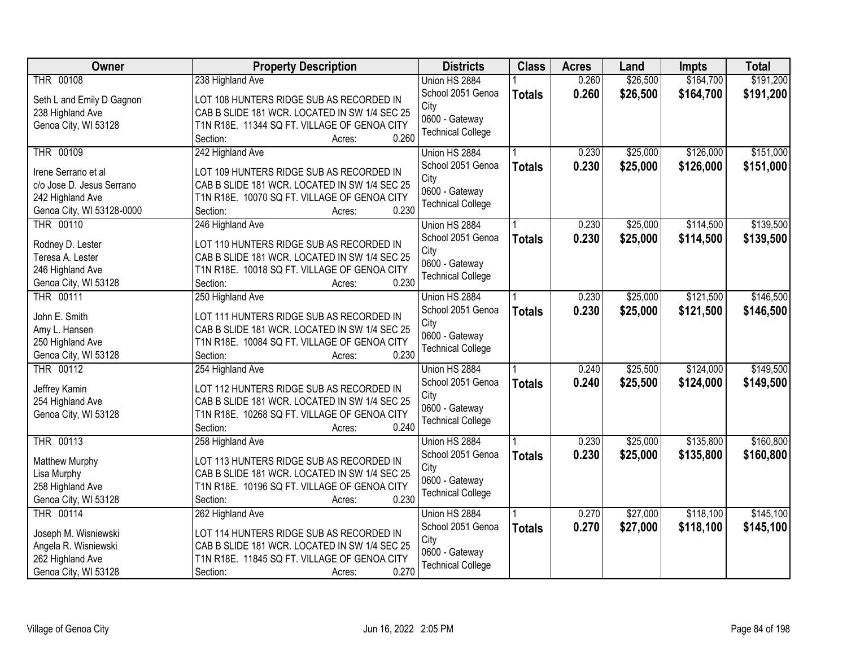| <b>Owner</b>              | <b>Property Description</b>                           | <b>Districts</b>         | <b>Class</b>  | <b>Acres</b> | Land     | Impts     | <b>Total</b> |
|---------------------------|-------------------------------------------------------|--------------------------|---------------|--------------|----------|-----------|--------------|
| THR 00108                 | 238 Highland Ave                                      | Union HS 2884            |               | 0.260        | \$26,500 | \$164,700 | \$191,200    |
| Seth L and Emily D Gagnon | LOT 108 HUNTERS RIDGE SUB AS RECORDED IN              | School 2051 Genoa        | <b>Totals</b> | 0.260        | \$26,500 | \$164,700 | \$191,200    |
| 238 Highland Ave          | CAB B SLIDE 181 WCR. LOCATED IN SW 1/4 SEC 25         | City                     |               |              |          |           |              |
| Genoa City, WI 53128      | T1N R18E. 11344 SQ FT. VILLAGE OF GENOA CITY          | 0600 - Gateway           |               |              |          |           |              |
|                           | 0.260<br>Section:<br>Acres:                           | <b>Technical College</b> |               |              |          |           |              |
| <b>THR 00109</b>          | 242 Highland Ave                                      | Union HS 2884            |               | 0.230        | \$25,000 | \$126,000 | \$151,000    |
|                           |                                                       | School 2051 Genoa        | <b>Totals</b> | 0.230        | \$25,000 | \$126,000 | \$151,000    |
| Irene Serrano et al       | LOT 109 HUNTERS RIDGE SUB AS RECORDED IN              | City                     |               |              |          |           |              |
| c/o Jose D. Jesus Serrano | CAB B SLIDE 181 WCR. LOCATED IN SW 1/4 SEC 25         | 0600 - Gateway           |               |              |          |           |              |
| 242 Highland Ave          | T1N R18E. 10070 SQ FT. VILLAGE OF GENOA CITY<br>0.230 | <b>Technical College</b> |               |              |          |           |              |
| Genoa City, WI 53128-0000 | Section:<br>Acres:                                    |                          |               |              |          |           |              |
| THR 00110                 | 246 Highland Ave                                      | Union HS 2884            |               | 0.230        | \$25,000 | \$114,500 | \$139,500    |
| Rodney D. Lester          | LOT 110 HUNTERS RIDGE SUB AS RECORDED IN              | School 2051 Genoa        | <b>Totals</b> | 0.230        | \$25,000 | \$114,500 | \$139,500    |
| Teresa A. Lester          | CAB B SLIDE 181 WCR. LOCATED IN SW 1/4 SEC 25         | City                     |               |              |          |           |              |
| 246 Highland Ave          | T1N R18E. 10018 SQ FT. VILLAGE OF GENOA CITY          | 0600 - Gateway           |               |              |          |           |              |
| Genoa City, WI 53128      | 0.230<br>Section:<br>Acres:                           | <b>Technical College</b> |               |              |          |           |              |
| <b>THR 00111</b>          | 250 Highland Ave                                      | Union HS 2884            |               | 0.230        | \$25,000 | \$121,500 | \$146,500    |
|                           |                                                       | School 2051 Genoa        | <b>Totals</b> | 0.230        | \$25,000 | \$121,500 | \$146,500    |
| John E. Smith             | LOT 111 HUNTERS RIDGE SUB AS RECORDED IN              | City                     |               |              |          |           |              |
| Amy L. Hansen             | CAB B SLIDE 181 WCR. LOCATED IN SW 1/4 SEC 25         | 0600 - Gateway           |               |              |          |           |              |
| 250 Highland Ave          | T1N R18E. 10084 SQ FT. VILLAGE OF GENOA CITY          | <b>Technical College</b> |               |              |          |           |              |
| Genoa City, WI 53128      | 0.230<br>Section:<br>Acres:                           |                          |               |              |          |           |              |
| <b>THR 00112</b>          | 254 Highland Ave                                      | Union HS 2884            |               | 0.240        | \$25,500 | \$124,000 | \$149,500    |
| Jeffrey Kamin             | LOT 112 HUNTERS RIDGE SUB AS RECORDED IN              | School 2051 Genoa        | <b>Totals</b> | 0.240        | \$25,500 | \$124,000 | \$149,500    |
| 254 Highland Ave          | CAB B SLIDE 181 WCR. LOCATED IN SW 1/4 SEC 25         | City                     |               |              |          |           |              |
| Genoa City, WI 53128      | T1N R18E. 10268 SQ FT. VILLAGE OF GENOA CITY          | 0600 - Gateway           |               |              |          |           |              |
|                           | 0.240<br>Section:<br>Acres:                           | <b>Technical College</b> |               |              |          |           |              |
| THR 00113                 | 258 Highland Ave                                      | Union HS 2884            |               | 0.230        | \$25,000 | \$135,800 | \$160,800    |
| Matthew Murphy            | LOT 113 HUNTERS RIDGE SUB AS RECORDED IN              | School 2051 Genoa        | <b>Totals</b> | 0.230        | \$25,000 | \$135,800 | \$160,800    |
| Lisa Murphy               | CAB B SLIDE 181 WCR. LOCATED IN SW 1/4 SEC 25         | City                     |               |              |          |           |              |
| 258 Highland Ave          | T1N R18E. 10196 SQ FT. VILLAGE OF GENOA CITY          | 0600 - Gateway           |               |              |          |           |              |
| Genoa City, WI 53128      | 0.230<br>Section:<br>Acres:                           | <b>Technical College</b> |               |              |          |           |              |
| THR 00114                 | 262 Highland Ave                                      | Union HS 2884            |               | 0.270        | \$27,000 | \$118,100 | \$145,100    |
|                           |                                                       | School 2051 Genoa        |               | 0.270        | \$27,000 | \$118,100 | \$145,100    |
| Joseph M. Wisniewski      | LOT 114 HUNTERS RIDGE SUB AS RECORDED IN              | City                     | <b>Totals</b> |              |          |           |              |
| Angela R. Wisniewski      | CAB B SLIDE 181 WCR. LOCATED IN SW 1/4 SEC 25         | 0600 - Gateway           |               |              |          |           |              |
| 262 Highland Ave          | T1N R18E. 11845 SQ FT. VILLAGE OF GENOA CITY          | <b>Technical College</b> |               |              |          |           |              |
| Genoa City, WI 53128      | 0.270<br>Section:<br>Acres:                           |                          |               |              |          |           |              |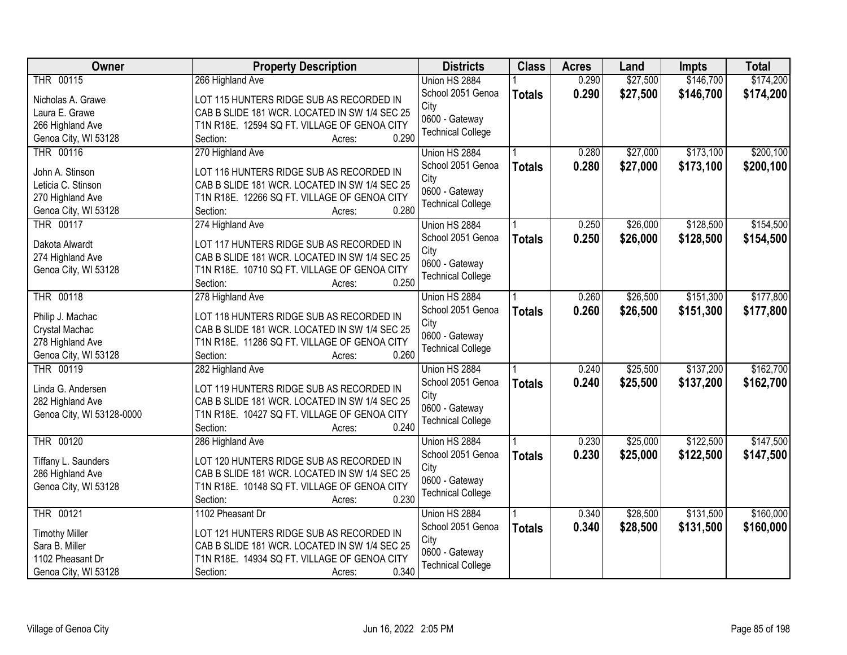| \$27,500<br>\$146,700<br>\$174,200<br>THR 00115<br>0.290<br>266 Highland Ave<br>Union HS 2884<br>School 2051 Genoa<br>0.290<br>\$27,500<br>\$146,700<br>\$174,200<br><b>Totals</b><br>LOT 115 HUNTERS RIDGE SUB AS RECORDED IN<br>Nicholas A. Grawe<br>City<br>CAB B SLIDE 181 WCR. LOCATED IN SW 1/4 SEC 25<br>Laura E. Grawe<br>0600 - Gateway<br>266 Highland Ave<br>T1N R18E. 12594 SQ FT. VILLAGE OF GENOA CITY<br><b>Technical College</b><br>0.290<br>Genoa City, WI 53128<br>Section:<br>Acres:<br><b>THR 00116</b><br>\$27,000<br>\$173,100<br>270 Highland Ave<br>0.280<br>Union HS 2884<br>0.280<br>School 2051 Genoa<br>\$27,000<br>\$173,100<br><b>Totals</b><br>John A. Stinson<br>LOT 116 HUNTERS RIDGE SUB AS RECORDED IN<br>City<br>CAB B SLIDE 181 WCR. LOCATED IN SW 1/4 SEC 25<br>Leticia C. Stinson<br>0600 - Gateway<br>270 Highland Ave<br>T1N R18E. 12266 SQ FT. VILLAGE OF GENOA CITY<br><b>Technical College</b><br>0.280<br>Section:<br>Genoa City, WI 53128<br>Acres:<br>\$26,000<br>\$128,500<br>THR 00117<br>274 Highland Ave<br>Union HS 2884<br>0.250<br>School 2051 Genoa<br>0.250<br>\$26,000<br>\$128,500<br><b>Totals</b><br>LOT 117 HUNTERS RIDGE SUB AS RECORDED IN<br>Dakota Alwardt<br>City<br>274 Highland Ave<br>CAB B SLIDE 181 WCR. LOCATED IN SW 1/4 SEC 25<br>0600 - Gateway<br>T1N R18E. 10710 SQ FT. VILLAGE OF GENOA CITY<br>Genoa City, WI 53128 |
|----------------------------------------------------------------------------------------------------------------------------------------------------------------------------------------------------------------------------------------------------------------------------------------------------------------------------------------------------------------------------------------------------------------------------------------------------------------------------------------------------------------------------------------------------------------------------------------------------------------------------------------------------------------------------------------------------------------------------------------------------------------------------------------------------------------------------------------------------------------------------------------------------------------------------------------------------------------------------------------------------------------------------------------------------------------------------------------------------------------------------------------------------------------------------------------------------------------------------------------------------------------------------------------------------------------------------------------------------------------------------------------------------|
|                                                                                                                                                                                                                                                                                                                                                                                                                                                                                                                                                                                                                                                                                                                                                                                                                                                                                                                                                                                                                                                                                                                                                                                                                                                                                                                                                                                                    |
|                                                                                                                                                                                                                                                                                                                                                                                                                                                                                                                                                                                                                                                                                                                                                                                                                                                                                                                                                                                                                                                                                                                                                                                                                                                                                                                                                                                                    |
|                                                                                                                                                                                                                                                                                                                                                                                                                                                                                                                                                                                                                                                                                                                                                                                                                                                                                                                                                                                                                                                                                                                                                                                                                                                                                                                                                                                                    |
|                                                                                                                                                                                                                                                                                                                                                                                                                                                                                                                                                                                                                                                                                                                                                                                                                                                                                                                                                                                                                                                                                                                                                                                                                                                                                                                                                                                                    |
| \$200,100<br>\$200,100<br>\$154,500<br>\$154,500                                                                                                                                                                                                                                                                                                                                                                                                                                                                                                                                                                                                                                                                                                                                                                                                                                                                                                                                                                                                                                                                                                                                                                                                                                                                                                                                                   |
|                                                                                                                                                                                                                                                                                                                                                                                                                                                                                                                                                                                                                                                                                                                                                                                                                                                                                                                                                                                                                                                                                                                                                                                                                                                                                                                                                                                                    |
|                                                                                                                                                                                                                                                                                                                                                                                                                                                                                                                                                                                                                                                                                                                                                                                                                                                                                                                                                                                                                                                                                                                                                                                                                                                                                                                                                                                                    |
|                                                                                                                                                                                                                                                                                                                                                                                                                                                                                                                                                                                                                                                                                                                                                                                                                                                                                                                                                                                                                                                                                                                                                                                                                                                                                                                                                                                                    |
|                                                                                                                                                                                                                                                                                                                                                                                                                                                                                                                                                                                                                                                                                                                                                                                                                                                                                                                                                                                                                                                                                                                                                                                                                                                                                                                                                                                                    |
|                                                                                                                                                                                                                                                                                                                                                                                                                                                                                                                                                                                                                                                                                                                                                                                                                                                                                                                                                                                                                                                                                                                                                                                                                                                                                                                                                                                                    |
|                                                                                                                                                                                                                                                                                                                                                                                                                                                                                                                                                                                                                                                                                                                                                                                                                                                                                                                                                                                                                                                                                                                                                                                                                                                                                                                                                                                                    |
|                                                                                                                                                                                                                                                                                                                                                                                                                                                                                                                                                                                                                                                                                                                                                                                                                                                                                                                                                                                                                                                                                                                                                                                                                                                                                                                                                                                                    |
|                                                                                                                                                                                                                                                                                                                                                                                                                                                                                                                                                                                                                                                                                                                                                                                                                                                                                                                                                                                                                                                                                                                                                                                                                                                                                                                                                                                                    |
|                                                                                                                                                                                                                                                                                                                                                                                                                                                                                                                                                                                                                                                                                                                                                                                                                                                                                                                                                                                                                                                                                                                                                                                                                                                                                                                                                                                                    |
| <b>Technical College</b>                                                                                                                                                                                                                                                                                                                                                                                                                                                                                                                                                                                                                                                                                                                                                                                                                                                                                                                                                                                                                                                                                                                                                                                                                                                                                                                                                                           |
| 0.250<br>Section:<br>Acres:                                                                                                                                                                                                                                                                                                                                                                                                                                                                                                                                                                                                                                                                                                                                                                                                                                                                                                                                                                                                                                                                                                                                                                                                                                                                                                                                                                        |
| \$177,800<br><b>THR 00118</b><br>0.260<br>\$26,500<br>\$151,300<br>278 Highland Ave<br>Union HS 2884                                                                                                                                                                                                                                                                                                                                                                                                                                                                                                                                                                                                                                                                                                                                                                                                                                                                                                                                                                                                                                                                                                                                                                                                                                                                                               |
| School 2051 Genoa<br>0.260<br>\$26,500<br>\$177,800<br>\$151,300<br><b>Totals</b><br>LOT 118 HUNTERS RIDGE SUB AS RECORDED IN<br>Philip J. Machac                                                                                                                                                                                                                                                                                                                                                                                                                                                                                                                                                                                                                                                                                                                                                                                                                                                                                                                                                                                                                                                                                                                                                                                                                                                  |
| City<br>CAB B SLIDE 181 WCR. LOCATED IN SW 1/4 SEC 25<br>Crystal Machac                                                                                                                                                                                                                                                                                                                                                                                                                                                                                                                                                                                                                                                                                                                                                                                                                                                                                                                                                                                                                                                                                                                                                                                                                                                                                                                            |
| 0600 - Gateway<br>278 Highland Ave<br>T1N R18E. 11286 SQ FT. VILLAGE OF GENOA CITY                                                                                                                                                                                                                                                                                                                                                                                                                                                                                                                                                                                                                                                                                                                                                                                                                                                                                                                                                                                                                                                                                                                                                                                                                                                                                                                 |
| <b>Technical College</b><br>0.260<br>Genoa City, WI 53128<br>Section:<br>Acres:                                                                                                                                                                                                                                                                                                                                                                                                                                                                                                                                                                                                                                                                                                                                                                                                                                                                                                                                                                                                                                                                                                                                                                                                                                                                                                                    |
| \$162,700<br>0.240<br>\$25,500<br>\$137,200<br>THR 00119<br>282 Highland Ave<br>Union HS 2884                                                                                                                                                                                                                                                                                                                                                                                                                                                                                                                                                                                                                                                                                                                                                                                                                                                                                                                                                                                                                                                                                                                                                                                                                                                                                                      |
| 0.240<br>\$137,200<br>School 2051 Genoa<br>\$25,500<br>\$162,700<br><b>Totals</b>                                                                                                                                                                                                                                                                                                                                                                                                                                                                                                                                                                                                                                                                                                                                                                                                                                                                                                                                                                                                                                                                                                                                                                                                                                                                                                                  |
| Linda G. Andersen<br>LOT 119 HUNTERS RIDGE SUB AS RECORDED IN<br>City                                                                                                                                                                                                                                                                                                                                                                                                                                                                                                                                                                                                                                                                                                                                                                                                                                                                                                                                                                                                                                                                                                                                                                                                                                                                                                                              |
| 282 Highland Ave<br>CAB B SLIDE 181 WCR. LOCATED IN SW 1/4 SEC 25<br>0600 - Gateway                                                                                                                                                                                                                                                                                                                                                                                                                                                                                                                                                                                                                                                                                                                                                                                                                                                                                                                                                                                                                                                                                                                                                                                                                                                                                                                |
| Genoa City, WI 53128-0000<br>T1N R18E. 10427 SQ FT. VILLAGE OF GENOA CITY<br><b>Technical College</b>                                                                                                                                                                                                                                                                                                                                                                                                                                                                                                                                                                                                                                                                                                                                                                                                                                                                                                                                                                                                                                                                                                                                                                                                                                                                                              |
| 0.240<br>Section:<br>Acres:                                                                                                                                                                                                                                                                                                                                                                                                                                                                                                                                                                                                                                                                                                                                                                                                                                                                                                                                                                                                                                                                                                                                                                                                                                                                                                                                                                        |
| THR 00120<br>\$25,000<br>\$122,500<br>\$147,500<br>286 Highland Ave<br>0.230<br>Union HS 2884                                                                                                                                                                                                                                                                                                                                                                                                                                                                                                                                                                                                                                                                                                                                                                                                                                                                                                                                                                                                                                                                                                                                                                                                                                                                                                      |
| 0.230<br>\$25,000<br>\$122,500<br>School 2051 Genoa<br>\$147,500<br><b>Totals</b><br>Tiffany L. Saunders<br>LOT 120 HUNTERS RIDGE SUB AS RECORDED IN                                                                                                                                                                                                                                                                                                                                                                                                                                                                                                                                                                                                                                                                                                                                                                                                                                                                                                                                                                                                                                                                                                                                                                                                                                               |
| City<br>286 Highland Ave<br>CAB B SLIDE 181 WCR. LOCATED IN SW 1/4 SEC 25                                                                                                                                                                                                                                                                                                                                                                                                                                                                                                                                                                                                                                                                                                                                                                                                                                                                                                                                                                                                                                                                                                                                                                                                                                                                                                                          |
| 0600 - Gateway<br>Genoa City, WI 53128<br>T1N R18E. 10148 SQ FT. VILLAGE OF GENOA CITY<br><b>Technical College</b>                                                                                                                                                                                                                                                                                                                                                                                                                                                                                                                                                                                                                                                                                                                                                                                                                                                                                                                                                                                                                                                                                                                                                                                                                                                                                 |
| Section:<br>0.230<br>Acres:                                                                                                                                                                                                                                                                                                                                                                                                                                                                                                                                                                                                                                                                                                                                                                                                                                                                                                                                                                                                                                                                                                                                                                                                                                                                                                                                                                        |
| <b>THR 00121</b><br>\$131,500<br>\$160,000<br>0.340<br>\$28,500<br>1102 Pheasant Dr<br>Union HS 2884                                                                                                                                                                                                                                                                                                                                                                                                                                                                                                                                                                                                                                                                                                                                                                                                                                                                                                                                                                                                                                                                                                                                                                                                                                                                                               |
| 0.340<br>\$28,500<br>\$160,000<br>School 2051 Genoa<br>\$131,500<br><b>Totals</b><br><b>Timothy Miller</b><br>LOT 121 HUNTERS RIDGE SUB AS RECORDED IN                                                                                                                                                                                                                                                                                                                                                                                                                                                                                                                                                                                                                                                                                                                                                                                                                                                                                                                                                                                                                                                                                                                                                                                                                                             |
| City<br>Sara B. Miller<br>CAB B SLIDE 181 WCR. LOCATED IN SW 1/4 SEC 25                                                                                                                                                                                                                                                                                                                                                                                                                                                                                                                                                                                                                                                                                                                                                                                                                                                                                                                                                                                                                                                                                                                                                                                                                                                                                                                            |
| 0600 - Gateway<br>1102 Pheasant Dr<br>T1N R18E. 14934 SQ FT. VILLAGE OF GENOA CITY                                                                                                                                                                                                                                                                                                                                                                                                                                                                                                                                                                                                                                                                                                                                                                                                                                                                                                                                                                                                                                                                                                                                                                                                                                                                                                                 |
| <b>Technical College</b><br>0.340<br>Genoa City, WI 53128<br>Section:<br>Acres:                                                                                                                                                                                                                                                                                                                                                                                                                                                                                                                                                                                                                                                                                                                                                                                                                                                                                                                                                                                                                                                                                                                                                                                                                                                                                                                    |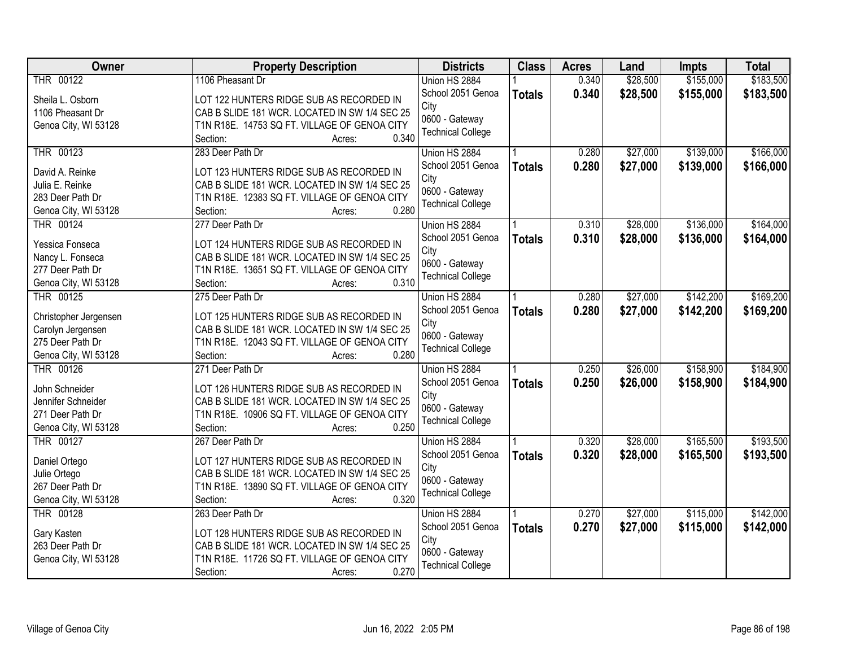| <b>Owner</b>                               | <b>Property Description</b>                                                                   | <b>Districts</b>          | <b>Class</b>  | <b>Acres</b> | Land     | Impts     | <b>Total</b> |
|--------------------------------------------|-----------------------------------------------------------------------------------------------|---------------------------|---------------|--------------|----------|-----------|--------------|
| THR 00122                                  | 1106 Pheasant Dr                                                                              | Union HS 2884             |               | 0.340        | \$28,500 | \$155,000 | \$183,500    |
| Sheila L. Osborn                           | LOT 122 HUNTERS RIDGE SUB AS RECORDED IN                                                      | School 2051 Genoa         | <b>Totals</b> | 0.340        | \$28,500 | \$155,000 | \$183,500    |
| 1106 Pheasant Dr                           | CAB B SLIDE 181 WCR. LOCATED IN SW 1/4 SEC 25                                                 | City                      |               |              |          |           |              |
| Genoa City, WI 53128                       | T1N R18E. 14753 SQ FT. VILLAGE OF GENOA CITY                                                  | 0600 - Gateway            |               |              |          |           |              |
|                                            | 0.340<br>Section:<br>Acres:                                                                   | <b>Technical College</b>  |               |              |          |           |              |
| THR 00123                                  | 283 Deer Path Dr                                                                              | Union HS 2884             |               | 0.280        | \$27,000 | \$139,000 | \$166,000    |
|                                            | LOT 123 HUNTERS RIDGE SUB AS RECORDED IN                                                      | School 2051 Genoa         | <b>Totals</b> | 0.280        | \$27,000 | \$139,000 | \$166,000    |
| David A. Reinke<br>Julia E. Reinke         |                                                                                               | City                      |               |              |          |           |              |
| 283 Deer Path Dr                           | CAB B SLIDE 181 WCR. LOCATED IN SW 1/4 SEC 25<br>T1N R18E. 12383 SQ FT. VILLAGE OF GENOA CITY | 0600 - Gateway            |               |              |          |           |              |
|                                            | 0.280                                                                                         | <b>Technical College</b>  |               |              |          |           |              |
| Genoa City, WI 53128<br>THR 00124          | Section:<br>Acres:<br>277 Deer Path Dr                                                        | Union HS 2884             |               | 0.310        | \$28,000 | \$136,000 | \$164,000    |
|                                            |                                                                                               | School 2051 Genoa         |               |              |          |           |              |
| Yessica Fonseca                            | LOT 124 HUNTERS RIDGE SUB AS RECORDED IN                                                      | City                      | <b>Totals</b> | 0.310        | \$28,000 | \$136,000 | \$164,000    |
| Nancy L. Fonseca                           | CAB B SLIDE 181 WCR. LOCATED IN SW 1/4 SEC 25                                                 | 0600 - Gateway            |               |              |          |           |              |
| 277 Deer Path Dr                           | T1N R18E. 13651 SQ FT. VILLAGE OF GENOA CITY                                                  | <b>Technical College</b>  |               |              |          |           |              |
| Genoa City, WI 53128                       | 0.310<br>Section:<br>Acres:                                                                   |                           |               |              |          |           |              |
| THR 00125                                  | 275 Deer Path Dr                                                                              | Union HS 2884             |               | 0.280        | \$27,000 | \$142,200 | \$169,200    |
|                                            | LOT 125 HUNTERS RIDGE SUB AS RECORDED IN                                                      | School 2051 Genoa         | <b>Totals</b> | 0.280        | \$27,000 | \$142,200 | \$169,200    |
| Christopher Jergensen<br>Carolyn Jergensen | CAB B SLIDE 181 WCR. LOCATED IN SW 1/4 SEC 25                                                 | City                      |               |              |          |           |              |
| 275 Deer Path Dr                           | T1N R18E. 12043 SQ FT. VILLAGE OF GENOA CITY                                                  | 0600 - Gateway            |               |              |          |           |              |
| Genoa City, WI 53128                       | 0.280<br>Section:<br>Acres:                                                                   | <b>Technical College</b>  |               |              |          |           |              |
| THR 00126                                  | 271 Deer Path Dr                                                                              | Union HS 2884             |               | 0.250        | \$26,000 | \$158,900 | \$184,900    |
|                                            |                                                                                               |                           |               |              |          |           |              |
| John Schneider                             | LOT 126 HUNTERS RIDGE SUB AS RECORDED IN                                                      | School 2051 Genoa<br>City | <b>Totals</b> | 0.250        | \$26,000 | \$158,900 | \$184,900    |
| Jennifer Schneider                         | CAB B SLIDE 181 WCR. LOCATED IN SW 1/4 SEC 25                                                 | 0600 - Gateway            |               |              |          |           |              |
| 271 Deer Path Dr                           | T1N R18E. 10906 SQ FT. VILLAGE OF GENOA CITY                                                  | <b>Technical College</b>  |               |              |          |           |              |
| Genoa City, WI 53128                       | 0.250<br>Section:<br>Acres:                                                                   |                           |               |              |          |           |              |
| THR 00127                                  | 267 Deer Path Dr                                                                              | Union HS 2884             |               | 0.320        | \$28,000 | \$165,500 | \$193,500    |
| Daniel Ortego                              | LOT 127 HUNTERS RIDGE SUB AS RECORDED IN                                                      | School 2051 Genoa         | <b>Totals</b> | 0.320        | \$28,000 | \$165,500 | \$193,500    |
| Julie Ortego                               | CAB B SLIDE 181 WCR. LOCATED IN SW 1/4 SEC 25                                                 | City                      |               |              |          |           |              |
| 267 Deer Path Dr                           | T1N R18E. 13890 SQ FT. VILLAGE OF GENOA CITY                                                  | 0600 - Gateway            |               |              |          |           |              |
| Genoa City, WI 53128                       | 0.320<br>Section:<br>Acres:                                                                   | <b>Technical College</b>  |               |              |          |           |              |
| THR 00128                                  | 263 Deer Path Dr                                                                              | Union HS 2884             |               | 0.270        | \$27,000 | \$115,000 | \$142,000    |
|                                            |                                                                                               | School 2051 Genoa         | <b>Totals</b> | 0.270        | \$27,000 | \$115,000 | \$142,000    |
| Gary Kasten                                | LOT 128 HUNTERS RIDGE SUB AS RECORDED IN                                                      | City                      |               |              |          |           |              |
| 263 Deer Path Dr                           | CAB B SLIDE 181 WCR. LOCATED IN SW 1/4 SEC 25                                                 | 0600 - Gateway            |               |              |          |           |              |
| Genoa City, WI 53128                       | T1N R18E. 11726 SQ FT. VILLAGE OF GENOA CITY                                                  | <b>Technical College</b>  |               |              |          |           |              |
|                                            | 0.270<br>Section:<br>Acres:                                                                   |                           |               |              |          |           |              |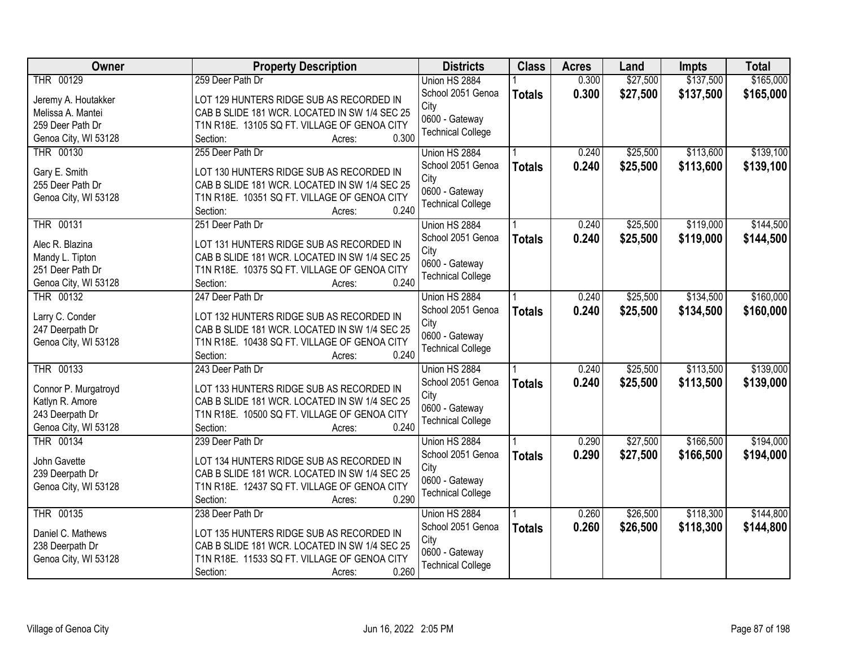| Owner                | <b>Property Description</b>                                       | <b>Districts</b>          | <b>Class</b>  | <b>Acres</b> | Land     | <b>Impts</b> | <b>Total</b> |
|----------------------|-------------------------------------------------------------------|---------------------------|---------------|--------------|----------|--------------|--------------|
| THR 00129            | 259 Deer Path Dr                                                  | Union HS 2884             |               | 0.300        | \$27,500 | \$137,500    | \$165,000    |
| Jeremy A. Houtakker  | LOT 129 HUNTERS RIDGE SUB AS RECORDED IN                          | School 2051 Genoa         | <b>Totals</b> | 0.300        | \$27,500 | \$137,500    | \$165,000    |
| Melissa A. Mantei    | CAB B SLIDE 181 WCR. LOCATED IN SW 1/4 SEC 25                     | City                      |               |              |          |              |              |
| 259 Deer Path Dr     | T1N R18E. 13105 SQ FT. VILLAGE OF GENOA CITY                      | 0600 - Gateway            |               |              |          |              |              |
| Genoa City, WI 53128 | 0.300<br>Section:<br>Acres:                                       | <b>Technical College</b>  |               |              |          |              |              |
| THR 00130            | 255 Deer Path Dr                                                  | Union HS 2884             |               | 0.240        | \$25,500 | \$113,600    | \$139,100    |
|                      |                                                                   | School 2051 Genoa         | <b>Totals</b> | 0.240        | \$25,500 | \$113,600    | \$139,100    |
| Gary E. Smith        | LOT 130 HUNTERS RIDGE SUB AS RECORDED IN                          | City                      |               |              |          |              |              |
| 255 Deer Path Dr     | CAB B SLIDE 181 WCR. LOCATED IN SW 1/4 SEC 25                     | 0600 - Gateway            |               |              |          |              |              |
| Genoa City, WI 53128 | T1N R18E. 10351 SQ FT. VILLAGE OF GENOA CITY                      | <b>Technical College</b>  |               |              |          |              |              |
|                      | 0.240<br>Section:<br>Acres:                                       |                           |               |              |          |              |              |
| <b>THR 00131</b>     | 251 Deer Path Dr                                                  | Union HS 2884             |               | 0.240        | \$25,500 | \$119,000    | \$144,500    |
| Alec R. Blazina      | LOT 131 HUNTERS RIDGE SUB AS RECORDED IN                          | School 2051 Genoa         | <b>Totals</b> | 0.240        | \$25,500 | \$119,000    | \$144,500    |
| Mandy L. Tipton      | CAB B SLIDE 181 WCR. LOCATED IN SW 1/4 SEC 25                     | City                      |               |              |          |              |              |
| 251 Deer Path Dr     | T1N R18E. 10375 SQ FT. VILLAGE OF GENOA CITY                      | 0600 - Gateway            |               |              |          |              |              |
| Genoa City, WI 53128 | 0.240<br>Section:<br>Acres:                                       | <b>Technical College</b>  |               |              |          |              |              |
| <b>THR 00132</b>     | 247 Deer Path Dr                                                  | Union HS 2884             |               | 0.240        | \$25,500 | \$134,500    | \$160,000    |
|                      |                                                                   | School 2051 Genoa         | <b>Totals</b> | 0.240        | \$25,500 | \$134,500    | \$160,000    |
| Larry C. Conder      | LOT 132 HUNTERS RIDGE SUB AS RECORDED IN                          | City                      |               |              |          |              |              |
| 247 Deerpath Dr      | CAB B SLIDE 181 WCR. LOCATED IN SW 1/4 SEC 25                     | 0600 - Gateway            |               |              |          |              |              |
| Genoa City, WI 53128 | T1N R18E. 10438 SQ FT. VILLAGE OF GENOA CITY<br>0.240<br>Section: | <b>Technical College</b>  |               |              |          |              |              |
| <b>THR 00133</b>     | Acres:<br>243 Deer Path Dr                                        | Union HS 2884             |               | 0.240        | \$25,500 | \$113,500    | \$139,000    |
|                      |                                                                   |                           |               |              |          |              |              |
| Connor P. Murgatroyd | LOT 133 HUNTERS RIDGE SUB AS RECORDED IN                          | School 2051 Genoa<br>City | <b>Totals</b> | 0.240        | \$25,500 | \$113,500    | \$139,000    |
| Katlyn R. Amore      | CAB B SLIDE 181 WCR. LOCATED IN SW 1/4 SEC 25                     | 0600 - Gateway            |               |              |          |              |              |
| 243 Deerpath Dr      | T1N R18E. 10500 SQ FT. VILLAGE OF GENOA CITY                      | <b>Technical College</b>  |               |              |          |              |              |
| Genoa City, WI 53128 | 0.240<br>Section:<br>Acres:                                       |                           |               |              |          |              |              |
| THR 00134            | 239 Deer Path Dr                                                  | Union HS 2884             |               | 0.290        | \$27,500 | \$166,500    | \$194,000    |
| John Gavette         | LOT 134 HUNTERS RIDGE SUB AS RECORDED IN                          | School 2051 Genoa         | <b>Totals</b> | 0.290        | \$27,500 | \$166,500    | \$194,000    |
| 239 Deerpath Dr      | CAB B SLIDE 181 WCR. LOCATED IN SW 1/4 SEC 25                     | City                      |               |              |          |              |              |
| Genoa City, WI 53128 | T1N R18E. 12437 SQ FT. VILLAGE OF GENOA CITY                      | 0600 - Gateway            |               |              |          |              |              |
|                      | 0.290<br>Section:<br>Acres:                                       | <b>Technical College</b>  |               |              |          |              |              |
| <b>THR 00135</b>     | 238 Deer Path Dr                                                  | Union HS 2884             |               | 0.260        | \$26,500 | \$118,300    | \$144,800    |
|                      |                                                                   | School 2051 Genoa         | <b>Totals</b> | 0.260        | \$26,500 | \$118,300    | \$144,800    |
| Daniel C. Mathews    | LOT 135 HUNTERS RIDGE SUB AS RECORDED IN                          | City                      |               |              |          |              |              |
| 238 Deerpath Dr      | CAB B SLIDE 181 WCR. LOCATED IN SW 1/4 SEC 25                     | 0600 - Gateway            |               |              |          |              |              |
| Genoa City, WI 53128 | T1N R18E. 11533 SQ FT. VILLAGE OF GENOA CITY                      | <b>Technical College</b>  |               |              |          |              |              |
|                      | 0.260<br>Section:<br>Acres:                                       |                           |               |              |          |              |              |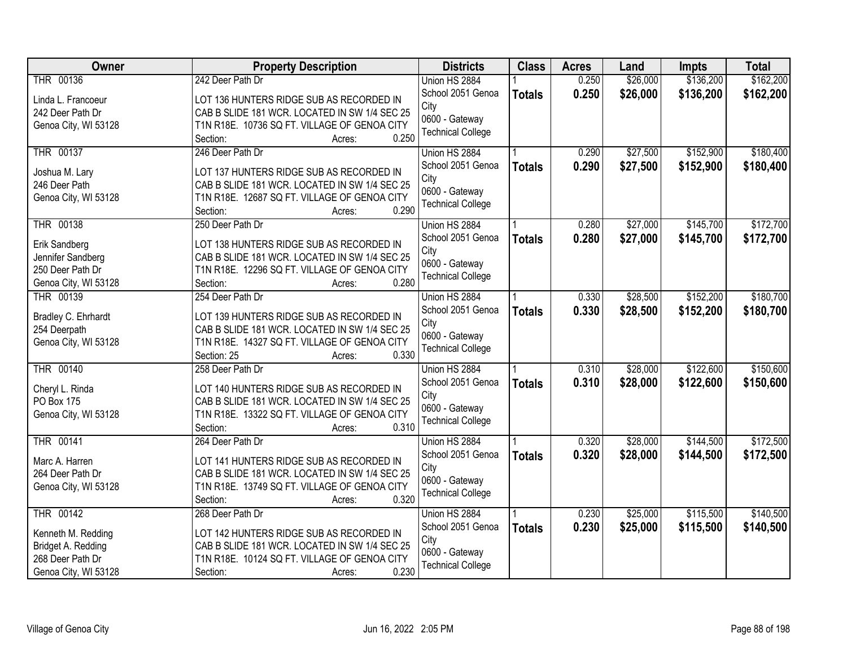| Owner                | <b>Property Description</b>                   | <b>Districts</b>         | <b>Class</b>  | <b>Acres</b> | Land     | <b>Impts</b> | <b>Total</b> |
|----------------------|-----------------------------------------------|--------------------------|---------------|--------------|----------|--------------|--------------|
| THR 00136            | 242 Deer Path Dr                              | Union HS 2884            |               | 0.250        | \$26,000 | \$136,200    | \$162,200    |
| Linda L. Francoeur   | LOT 136 HUNTERS RIDGE SUB AS RECORDED IN      | School 2051 Genoa        | <b>Totals</b> | 0.250        | \$26,000 | \$136,200    | \$162,200    |
| 242 Deer Path Dr     | CAB B SLIDE 181 WCR. LOCATED IN SW 1/4 SEC 25 | City                     |               |              |          |              |              |
| Genoa City, WI 53128 | T1N R18E. 10736 SQ FT. VILLAGE OF GENOA CITY  | 0600 - Gateway           |               |              |          |              |              |
|                      | 0.250<br>Section:<br>Acres:                   | <b>Technical College</b> |               |              |          |              |              |
| <b>THR 00137</b>     | 246 Deer Path Dr                              | Union HS 2884            |               | 0.290        | \$27,500 | \$152,900    | \$180,400    |
|                      |                                               | School 2051 Genoa        | <b>Totals</b> | 0.290        | \$27,500 | \$152,900    | \$180,400    |
| Joshua M. Lary       | LOT 137 HUNTERS RIDGE SUB AS RECORDED IN      | City                     |               |              |          |              |              |
| 246 Deer Path        | CAB B SLIDE 181 WCR. LOCATED IN SW 1/4 SEC 25 | 0600 - Gateway           |               |              |          |              |              |
| Genoa City, WI 53128 | T1N R18E. 12687 SQ FT. VILLAGE OF GENOA CITY  | <b>Technical College</b> |               |              |          |              |              |
|                      | 0.290<br>Section:<br>Acres:                   |                          |               |              |          |              |              |
| THR 00138            | 250 Deer Path Dr                              | Union HS 2884            |               | 0.280        | \$27,000 | \$145,700    | \$172,700    |
| Erik Sandberg        | LOT 138 HUNTERS RIDGE SUB AS RECORDED IN      | School 2051 Genoa        | <b>Totals</b> | 0.280        | \$27,000 | \$145,700    | \$172,700    |
| Jennifer Sandberg    | CAB B SLIDE 181 WCR. LOCATED IN SW 1/4 SEC 25 | City                     |               |              |          |              |              |
| 250 Deer Path Dr     | T1N R18E. 12296 SQ FT. VILLAGE OF GENOA CITY  | 0600 - Gateway           |               |              |          |              |              |
| Genoa City, WI 53128 | 0.280<br>Section:<br>Acres:                   | <b>Technical College</b> |               |              |          |              |              |
| THR 00139            | 254 Deer Path Dr                              | Union HS 2884            |               | 0.330        | \$28,500 | \$152,200    | \$180,700    |
|                      |                                               | School 2051 Genoa        | <b>Totals</b> | 0.330        | \$28,500 | \$152,200    | \$180,700    |
| Bradley C. Ehrhardt  | LOT 139 HUNTERS RIDGE SUB AS RECORDED IN      | City                     |               |              |          |              |              |
| 254 Deerpath         | CAB B SLIDE 181 WCR. LOCATED IN SW 1/4 SEC 25 | 0600 - Gateway           |               |              |          |              |              |
| Genoa City, WI 53128 | T1N R18E. 14327 SQ FT. VILLAGE OF GENOA CITY  | <b>Technical College</b> |               |              |          |              |              |
|                      | 0.330<br>Section: 25<br>Acres:                |                          |               |              |          |              |              |
| <b>THR 00140</b>     | 258 Deer Path Dr                              | Union HS 2884            |               | 0.310        | \$28,000 | \$122,600    | \$150,600    |
| Cheryl L. Rinda      | LOT 140 HUNTERS RIDGE SUB AS RECORDED IN      | School 2051 Genoa        | <b>Totals</b> | 0.310        | \$28,000 | \$122,600    | \$150,600    |
| PO Box 175           | CAB B SLIDE 181 WCR. LOCATED IN SW 1/4 SEC 25 | City                     |               |              |          |              |              |
| Genoa City, WI 53128 | T1N R18E. 13322 SQ FT. VILLAGE OF GENOA CITY  | 0600 - Gateway           |               |              |          |              |              |
|                      | 0.310<br>Section:<br>Acres:                   | <b>Technical College</b> |               |              |          |              |              |
| THR 00141            | 264 Deer Path Dr                              | Union HS 2884            |               | 0.320        | \$28,000 | \$144,500    | \$172,500    |
|                      |                                               | School 2051 Genoa        | <b>Totals</b> | 0.320        | \$28,000 | \$144,500    | \$172,500    |
| Marc A. Harren       | LOT 141 HUNTERS RIDGE SUB AS RECORDED IN      | City                     |               |              |          |              |              |
| 264 Deer Path Dr     | CAB B SLIDE 181 WCR. LOCATED IN SW 1/4 SEC 25 | 0600 - Gateway           |               |              |          |              |              |
| Genoa City, WI 53128 | T1N R18E. 13749 SQ FT. VILLAGE OF GENOA CITY  | <b>Technical College</b> |               |              |          |              |              |
|                      | 0.320<br>Section:<br>Acres:                   |                          |               |              |          |              |              |
| <b>THR 00142</b>     | 268 Deer Path Dr                              | Union HS 2884            |               | 0.230        | \$25,000 | \$115,500    | \$140,500    |
| Kenneth M. Redding   | LOT 142 HUNTERS RIDGE SUB AS RECORDED IN      | School 2051 Genoa        | <b>Totals</b> | 0.230        | \$25,000 | \$115,500    | \$140,500    |
| Bridget A. Redding   | CAB B SLIDE 181 WCR. LOCATED IN SW 1/4 SEC 25 | City                     |               |              |          |              |              |
| 268 Deer Path Dr     | T1N R18E. 10124 SQ FT. VILLAGE OF GENOA CITY  | 0600 - Gateway           |               |              |          |              |              |
| Genoa City, WI 53128 | 0.230<br>Section:<br>Acres:                   | <b>Technical College</b> |               |              |          |              |              |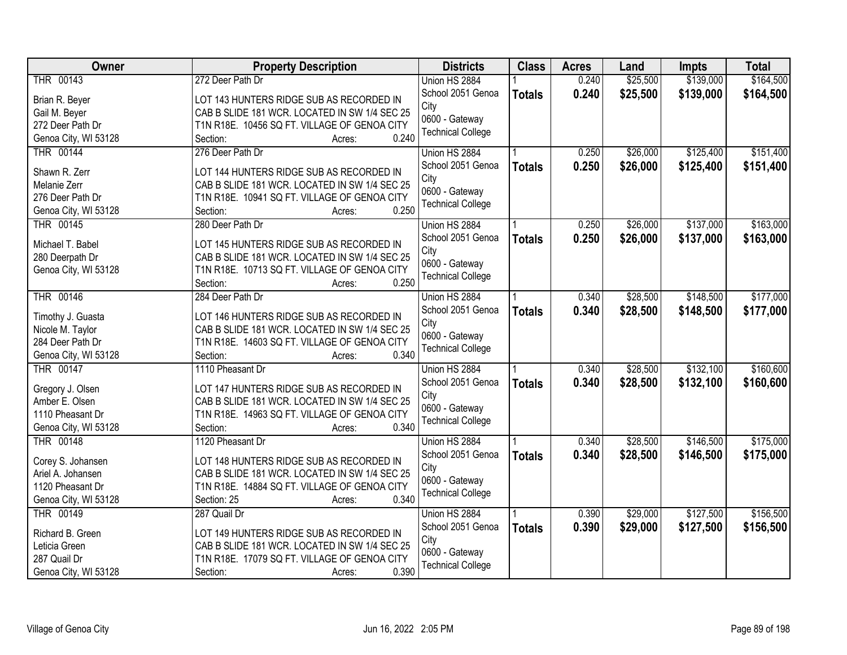| <b>Owner</b>         | <b>Property Description</b>                           | <b>Districts</b>         | <b>Class</b>  | <b>Acres</b> | Land     | <b>Impts</b> | <b>Total</b> |
|----------------------|-------------------------------------------------------|--------------------------|---------------|--------------|----------|--------------|--------------|
| THR 00143            | 272 Deer Path Dr                                      | Union HS 2884            |               | 0.240        | \$25,500 | \$139,000    | \$164,500    |
| Brian R. Beyer       | LOT 143 HUNTERS RIDGE SUB AS RECORDED IN              | School 2051 Genoa        | <b>Totals</b> | 0.240        | \$25,500 | \$139,000    | \$164,500    |
| Gail M. Beyer        | CAB B SLIDE 181 WCR. LOCATED IN SW 1/4 SEC 25         | City                     |               |              |          |              |              |
| 272 Deer Path Dr     | T1N R18E. 10456 SQ FT. VILLAGE OF GENOA CITY          | 0600 - Gateway           |               |              |          |              |              |
| Genoa City, WI 53128 | 0.240<br>Section:<br>Acres:                           | <b>Technical College</b> |               |              |          |              |              |
| <b>THR 00144</b>     | 276 Deer Path Dr                                      | Union HS 2884            |               | 0.250        | \$26,000 | \$125,400    | \$151,400    |
|                      |                                                       | School 2051 Genoa        |               | 0.250        | \$26,000 | \$125,400    | \$151,400    |
| Shawn R. Zerr        | LOT 144 HUNTERS RIDGE SUB AS RECORDED IN              | City                     | <b>Totals</b> |              |          |              |              |
| Melanie Zerr         | CAB B SLIDE 181 WCR. LOCATED IN SW 1/4 SEC 25         | 0600 - Gateway           |               |              |          |              |              |
| 276 Deer Path Dr     | T1N R18E. 10941 SQ FT. VILLAGE OF GENOA CITY          | <b>Technical College</b> |               |              |          |              |              |
| Genoa City, WI 53128 | 0.250<br>Section:<br>Acres:                           |                          |               |              |          |              |              |
| THR 00145            | 280 Deer Path Dr                                      | Union HS 2884            |               | 0.250        | \$26,000 | \$137,000    | \$163,000    |
| Michael T. Babel     | LOT 145 HUNTERS RIDGE SUB AS RECORDED IN              | School 2051 Genoa        | <b>Totals</b> | 0.250        | \$26,000 | \$137,000    | \$163,000    |
| 280 Deerpath Dr      | CAB B SLIDE 181 WCR. LOCATED IN SW 1/4 SEC 25         | City                     |               |              |          |              |              |
| Genoa City, WI 53128 | T1N R18E. 10713 SQ FT. VILLAGE OF GENOA CITY          | 0600 - Gateway           |               |              |          |              |              |
|                      | 0.250<br>Section:<br>Acres:                           | <b>Technical College</b> |               |              |          |              |              |
| THR 00146            | 284 Deer Path Dr                                      | Union HS 2884            |               | 0.340        | \$28,500 | \$148,500    | \$177,000    |
|                      |                                                       | School 2051 Genoa        |               |              |          |              |              |
| Timothy J. Guasta    | LOT 146 HUNTERS RIDGE SUB AS RECORDED IN              |                          | <b>Totals</b> | 0.340        | \$28,500 | \$148,500    | \$177,000    |
| Nicole M. Taylor     | CAB B SLIDE 181 WCR. LOCATED IN SW 1/4 SEC 25         | City<br>0600 - Gateway   |               |              |          |              |              |
| 284 Deer Path Dr     | T1N R18E. 14603 SQ FT. VILLAGE OF GENOA CITY          | <b>Technical College</b> |               |              |          |              |              |
| Genoa City, WI 53128 | 0.340<br>Section:<br>Acres:                           |                          |               |              |          |              |              |
| <b>THR 00147</b>     | 1110 Pheasant Dr                                      | Union HS 2884            |               | 0.340        | \$28,500 | \$132,100    | \$160,600    |
|                      |                                                       | School 2051 Genoa        | <b>Totals</b> | 0.340        | \$28,500 | \$132,100    | \$160,600    |
| Gregory J. Olsen     | LOT 147 HUNTERS RIDGE SUB AS RECORDED IN              | City                     |               |              |          |              |              |
| Amber E. Olsen       | CAB B SLIDE 181 WCR. LOCATED IN SW 1/4 SEC 25         | 0600 - Gateway           |               |              |          |              |              |
| 1110 Pheasant Dr     | T1N R18E. 14963 SQ FT. VILLAGE OF GENOA CITY<br>0.340 | <b>Technical College</b> |               |              |          |              |              |
| Genoa City, WI 53128 | Section:<br>Acres:                                    |                          |               |              |          |              |              |
| THR 00148            | 1120 Pheasant Dr                                      | Union HS 2884            |               | 0.340        | \$28,500 | \$146,500    | \$175,000    |
| Corey S. Johansen    | LOT 148 HUNTERS RIDGE SUB AS RECORDED IN              | School 2051 Genoa        | <b>Totals</b> | 0.340        | \$28,500 | \$146,500    | \$175,000    |
| Ariel A. Johansen    | CAB B SLIDE 181 WCR. LOCATED IN SW 1/4 SEC 25         | City                     |               |              |          |              |              |
| 1120 Pheasant Dr     | T1N R18E. 14884 SQ FT. VILLAGE OF GENOA CITY          | 0600 - Gateway           |               |              |          |              |              |
| Genoa City, WI 53128 | 0.340<br>Section: 25<br>Acres:                        | <b>Technical College</b> |               |              |          |              |              |
| THR 00149            | 287 Quail Dr                                          | Union HS 2884            |               | 0.390        | \$29,000 | \$127,500    | \$156,500    |
|                      |                                                       | School 2051 Genoa        | <b>Totals</b> | 0.390        | \$29,000 | \$127,500    | \$156,500    |
| Richard B. Green     | LOT 149 HUNTERS RIDGE SUB AS RECORDED IN              | City                     |               |              |          |              |              |
| Leticia Green        | CAB B SLIDE 181 WCR. LOCATED IN SW 1/4 SEC 25         | 0600 - Gateway           |               |              |          |              |              |
| 287 Quail Dr         | T1N R18E. 17079 SQ FT. VILLAGE OF GENOA CITY          | <b>Technical College</b> |               |              |          |              |              |
| Genoa City, WI 53128 | 0.390<br>Section:<br>Acres:                           |                          |               |              |          |              |              |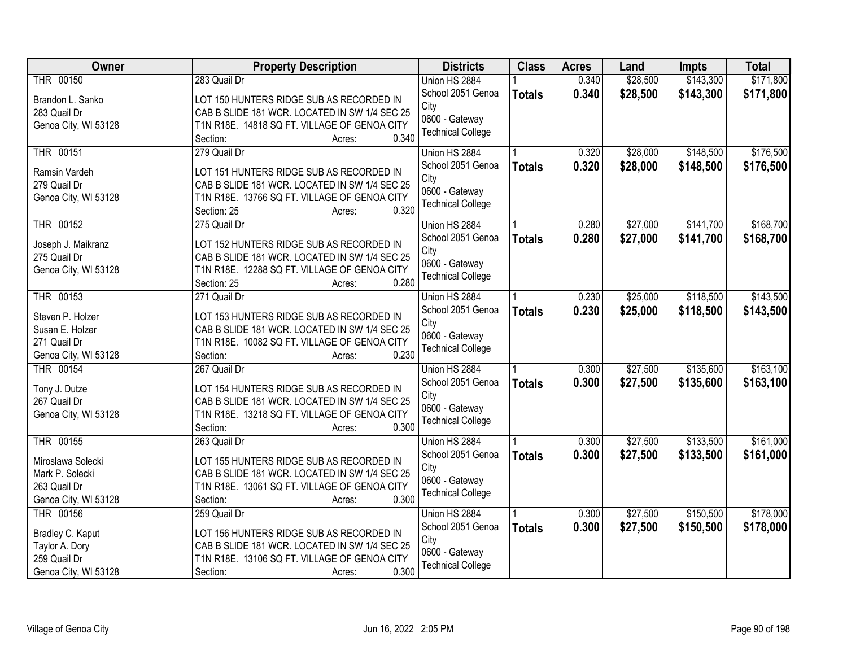| <b>Owner</b>                   | <b>Property Description</b>                                                                   | <b>Districts</b>         | <b>Class</b>  | <b>Acres</b> | Land     | Impts     | <b>Total</b> |
|--------------------------------|-----------------------------------------------------------------------------------------------|--------------------------|---------------|--------------|----------|-----------|--------------|
| THR 00150                      | 283 Quail Dr                                                                                  | Union HS 2884            |               | 0.340        | \$28,500 | \$143,300 | \$171,800    |
| Brandon L. Sanko               | LOT 150 HUNTERS RIDGE SUB AS RECORDED IN                                                      | School 2051 Genoa        | <b>Totals</b> | 0.340        | \$28,500 | \$143,300 | \$171,800    |
| 283 Quail Dr                   | CAB B SLIDE 181 WCR. LOCATED IN SW 1/4 SEC 25                                                 | City                     |               |              |          |           |              |
| Genoa City, WI 53128           | T1N R18E. 14818 SQ FT. VILLAGE OF GENOA CITY                                                  | 0600 - Gateway           |               |              |          |           |              |
|                                | 0.340<br>Section:<br>Acres:                                                                   | <b>Technical College</b> |               |              |          |           |              |
| <b>THR 00151</b>               | 279 Quail Dr                                                                                  | Union HS 2884            |               | 0.320        | \$28,000 | \$148,500 | \$176,500    |
|                                | LOT 151 HUNTERS RIDGE SUB AS RECORDED IN                                                      | School 2051 Genoa        | <b>Totals</b> | 0.320        | \$28,000 | \$148,500 | \$176,500    |
| Ramsin Vardeh<br>279 Quail Dr  | CAB B SLIDE 181 WCR. LOCATED IN SW 1/4 SEC 25                                                 | City                     |               |              |          |           |              |
| Genoa City, WI 53128           | T1N R18E. 13766 SQ FT. VILLAGE OF GENOA CITY                                                  | 0600 - Gateway           |               |              |          |           |              |
|                                | 0.320<br>Section: 25<br>Acres:                                                                | <b>Technical College</b> |               |              |          |           |              |
| <b>THR 00152</b>               | 275 Quail Dr                                                                                  | Union HS 2884            |               | 0.280        | \$27,000 | \$141,700 | \$168,700    |
|                                |                                                                                               | School 2051 Genoa        | <b>Totals</b> | 0.280        | \$27,000 | \$141,700 | \$168,700    |
| Joseph J. Maikranz             | LOT 152 HUNTERS RIDGE SUB AS RECORDED IN                                                      | City                     |               |              |          |           |              |
| 275 Quail Dr                   | CAB B SLIDE 181 WCR. LOCATED IN SW 1/4 SEC 25                                                 | 0600 - Gateway           |               |              |          |           |              |
| Genoa City, WI 53128           | T1N R18E. 12288 SQ FT. VILLAGE OF GENOA CITY<br>0.280<br>Section: 25                          | <b>Technical College</b> |               |              |          |           |              |
| THR 00153                      | Acres:<br>271 Quail Dr                                                                        | Union HS 2884            |               | 0.230        | \$25,000 | \$118,500 | \$143,500    |
|                                |                                                                                               | School 2051 Genoa        |               |              |          |           |              |
| Steven P. Holzer               | LOT 153 HUNTERS RIDGE SUB AS RECORDED IN                                                      | City                     | <b>Totals</b> | 0.230        | \$25,000 | \$118,500 | \$143,500    |
| Susan E. Holzer                | CAB B SLIDE 181 WCR. LOCATED IN SW 1/4 SEC 25                                                 | 0600 - Gateway           |               |              |          |           |              |
| 271 Quail Dr                   | T1N R18E. 10082 SQ FT. VILLAGE OF GENOA CITY                                                  | <b>Technical College</b> |               |              |          |           |              |
| Genoa City, WI 53128           | 0.230<br>Section:<br>Acres:                                                                   |                          |               |              |          |           |              |
| <b>THR 00154</b>               | 267 Quail Dr                                                                                  | Union HS 2884            |               | 0.300        | \$27,500 | \$135,600 | \$163,100    |
| Tony J. Dutze                  | LOT 154 HUNTERS RIDGE SUB AS RECORDED IN                                                      | School 2051 Genoa        | <b>Totals</b> | 0.300        | \$27,500 | \$135,600 | \$163,100    |
| 267 Quail Dr                   | CAB B SLIDE 181 WCR. LOCATED IN SW 1/4 SEC 25                                                 | City                     |               |              |          |           |              |
| Genoa City, WI 53128           | T1N R18E. 13218 SQ FT. VILLAGE OF GENOA CITY                                                  | 0600 - Gateway           |               |              |          |           |              |
|                                | 0.300<br>Section:<br>Acres:                                                                   | <b>Technical College</b> |               |              |          |           |              |
| THR 00155                      | 263 Quail Dr                                                                                  | Union HS 2884            |               | 0.300        | \$27,500 | \$133,500 | \$161,000    |
| Miroslawa Solecki              | LOT 155 HUNTERS RIDGE SUB AS RECORDED IN                                                      | School 2051 Genoa        | <b>Totals</b> | 0.300        | \$27,500 | \$133,500 | \$161,000    |
| Mark P. Solecki                | CAB B SLIDE 181 WCR. LOCATED IN SW 1/4 SEC 25                                                 | City                     |               |              |          |           |              |
| 263 Quail Dr                   | T1N R18E. 13061 SQ FT. VILLAGE OF GENOA CITY                                                  | 0600 - Gateway           |               |              |          |           |              |
| Genoa City, WI 53128           | 0.300<br>Section:<br>Acres:                                                                   | <b>Technical College</b> |               |              |          |           |              |
| <b>THR 00156</b>               | 259 Quail Dr                                                                                  | Union HS 2884            |               | 0.300        | \$27,500 | \$150,500 | \$178,000    |
|                                |                                                                                               | School 2051 Genoa        | <b>Totals</b> | 0.300        | \$27,500 | \$150,500 | \$178,000    |
| Bradley C. Kaput               | LOT 156 HUNTERS RIDGE SUB AS RECORDED IN                                                      | City                     |               |              |          |           |              |
| Taylor A. Dory<br>259 Quail Dr | CAB B SLIDE 181 WCR. LOCATED IN SW 1/4 SEC 25<br>T1N R18E. 13106 SQ FT. VILLAGE OF GENOA CITY | 0600 - Gateway           |               |              |          |           |              |
| Genoa City, WI 53128           | 0.300<br>Section:                                                                             | <b>Technical College</b> |               |              |          |           |              |
|                                | Acres:                                                                                        |                          |               |              |          |           |              |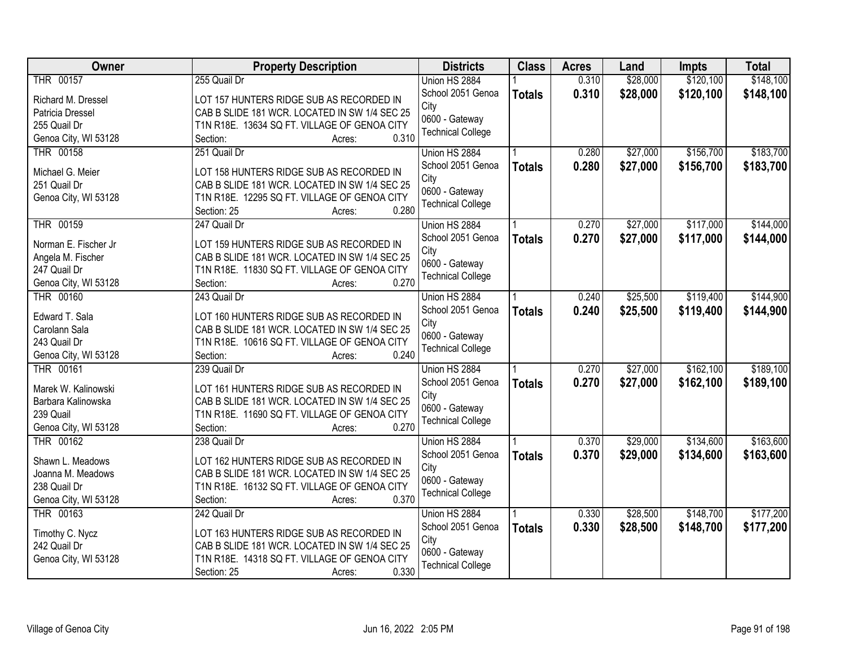| <b>Owner</b>         | <b>Property Description</b>                   | <b>Districts</b>         | <b>Class</b>  | <b>Acres</b> | Land     | <b>Impts</b> | <b>Total</b> |
|----------------------|-----------------------------------------------|--------------------------|---------------|--------------|----------|--------------|--------------|
| THR 00157            | 255 Quail Dr                                  | Union HS 2884            |               | 0.310        | \$28,000 | \$120,100    | \$148,100    |
| Richard M. Dressel   | LOT 157 HUNTERS RIDGE SUB AS RECORDED IN      | School 2051 Genoa        | <b>Totals</b> | 0.310        | \$28,000 | \$120,100    | \$148,100    |
| Patricia Dressel     | CAB B SLIDE 181 WCR. LOCATED IN SW 1/4 SEC 25 | City                     |               |              |          |              |              |
| 255 Quail Dr         | T1N R18E. 13634 SQ FT. VILLAGE OF GENOA CITY  | 0600 - Gateway           |               |              |          |              |              |
| Genoa City, WI 53128 | 0.310<br>Section:<br>Acres:                   | <b>Technical College</b> |               |              |          |              |              |
| THR 00158            | 251 Quail Dr                                  | Union HS 2884            |               | 0.280        | \$27,000 | \$156,700    | \$183,700    |
|                      |                                               | School 2051 Genoa        | <b>Totals</b> | 0.280        | \$27,000 | \$156,700    | \$183,700    |
| Michael G. Meier     | LOT 158 HUNTERS RIDGE SUB AS RECORDED IN      | City                     |               |              |          |              |              |
| 251 Quail Dr         | CAB B SLIDE 181 WCR. LOCATED IN SW 1/4 SEC 25 | 0600 - Gateway           |               |              |          |              |              |
| Genoa City, WI 53128 | T1N R18E. 12295 SQ FT. VILLAGE OF GENOA CITY  | <b>Technical College</b> |               |              |          |              |              |
|                      | 0.280<br>Section: 25<br>Acres:                |                          |               |              |          |              |              |
| THR 00159            | 247 Quail Dr                                  | Union HS 2884            |               | 0.270        | \$27,000 | \$117,000    | \$144,000    |
| Norman E. Fischer Jr | LOT 159 HUNTERS RIDGE SUB AS RECORDED IN      | School 2051 Genoa        | <b>Totals</b> | 0.270        | \$27,000 | \$117,000    | \$144,000    |
| Angela M. Fischer    | CAB B SLIDE 181 WCR. LOCATED IN SW 1/4 SEC 25 | City                     |               |              |          |              |              |
| 247 Quail Dr         | T1N R18E. 11830 SQ FT. VILLAGE OF GENOA CITY  | 0600 - Gateway           |               |              |          |              |              |
| Genoa City, WI 53128 | 0.270<br>Section:<br>Acres:                   | <b>Technical College</b> |               |              |          |              |              |
| THR 00160            | 243 Quail Dr                                  | Union HS 2884            |               | 0.240        | \$25,500 | \$119,400    | \$144,900    |
|                      |                                               | School 2051 Genoa        | <b>Totals</b> | 0.240        | \$25,500 | \$119,400    | \$144,900    |
| Edward T. Sala       | LOT 160 HUNTERS RIDGE SUB AS RECORDED IN      | City                     |               |              |          |              |              |
| Carolann Sala        | CAB B SLIDE 181 WCR. LOCATED IN SW 1/4 SEC 25 | 0600 - Gateway           |               |              |          |              |              |
| 243 Quail Dr         | T1N R18E. 10616 SQ FT. VILLAGE OF GENOA CITY  | <b>Technical College</b> |               |              |          |              |              |
| Genoa City, WI 53128 | 0.240<br>Section:<br>Acres:                   |                          |               |              |          |              |              |
| <b>THR 00161</b>     | 239 Quail Dr                                  | Union HS 2884            |               | 0.270        | \$27,000 | \$162,100    | \$189,100    |
| Marek W. Kalinowski  | LOT 161 HUNTERS RIDGE SUB AS RECORDED IN      | School 2051 Genoa        | <b>Totals</b> | 0.270        | \$27,000 | \$162,100    | \$189,100    |
| Barbara Kalinowska   | CAB B SLIDE 181 WCR. LOCATED IN SW 1/4 SEC 25 | City                     |               |              |          |              |              |
| 239 Quail            | T1N R18E. 11690 SQ FT. VILLAGE OF GENOA CITY  | 0600 - Gateway           |               |              |          |              |              |
| Genoa City, WI 53128 | 0.270<br>Section:<br>Acres:                   | <b>Technical College</b> |               |              |          |              |              |
| THR 00162            | 238 Quail Dr                                  | Union HS 2884            |               | 0.370        | \$29,000 | \$134,600    | \$163,600    |
|                      |                                               | School 2051 Genoa        | <b>Totals</b> | 0.370        | \$29,000 | \$134,600    | \$163,600    |
| Shawn L. Meadows     | LOT 162 HUNTERS RIDGE SUB AS RECORDED IN      | City                     |               |              |          |              |              |
| Joanna M. Meadows    | CAB B SLIDE 181 WCR. LOCATED IN SW 1/4 SEC 25 | 0600 - Gateway           |               |              |          |              |              |
| 238 Quail Dr         | T1N R18E. 16132 SQ FT. VILLAGE OF GENOA CITY  | <b>Technical College</b> |               |              |          |              |              |
| Genoa City, WI 53128 | 0.370<br>Section:<br>Acres:                   |                          |               |              |          |              |              |
| THR 00163            | 242 Quail Dr                                  | Union HS 2884            |               | 0.330        | \$28,500 | \$148,700    | \$177,200    |
| Timothy C. Nycz      | LOT 163 HUNTERS RIDGE SUB AS RECORDED IN      | School 2051 Genoa        | <b>Totals</b> | 0.330        | \$28,500 | \$148,700    | \$177,200    |
| 242 Quail Dr         | CAB B SLIDE 181 WCR. LOCATED IN SW 1/4 SEC 25 | City                     |               |              |          |              |              |
| Genoa City, WI 53128 | T1N R18E. 14318 SQ FT. VILLAGE OF GENOA CITY  | 0600 - Gateway           |               |              |          |              |              |
|                      | 0.330<br>Section: 25<br>Acres:                | <b>Technical College</b> |               |              |          |              |              |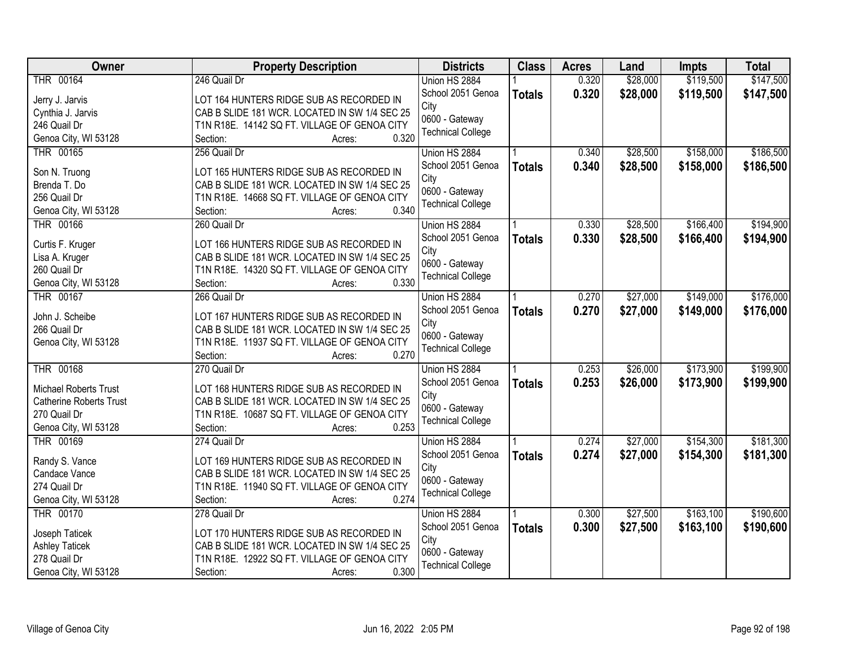| Owner                          | <b>Property Description</b>                   | <b>Districts</b>         | <b>Class</b>  | <b>Acres</b> | Land     | <b>Impts</b> | <b>Total</b> |
|--------------------------------|-----------------------------------------------|--------------------------|---------------|--------------|----------|--------------|--------------|
| THR 00164                      | 246 Quail Dr                                  | Union HS 2884            |               | 0.320        | \$28,000 | \$119,500    | \$147,500    |
| Jerry J. Jarvis                | LOT 164 HUNTERS RIDGE SUB AS RECORDED IN      | School 2051 Genoa        | <b>Totals</b> | 0.320        | \$28,000 | \$119,500    | \$147,500    |
| Cynthia J. Jarvis              | CAB B SLIDE 181 WCR. LOCATED IN SW 1/4 SEC 25 | City                     |               |              |          |              |              |
| 246 Quail Dr                   | T1N R18E. 14142 SQ FT. VILLAGE OF GENOA CITY  | 0600 - Gateway           |               |              |          |              |              |
| Genoa City, WI 53128           | 0.320<br>Section:<br>Acres:                   | <b>Technical College</b> |               |              |          |              |              |
| THR 00165                      | 256 Quail Dr                                  | Union HS 2884            |               | 0.340        | \$28,500 | \$158,000    | \$186,500    |
|                                |                                               | School 2051 Genoa        | <b>Totals</b> | 0.340        | \$28,500 | \$158,000    | \$186,500    |
| Son N. Truong                  | LOT 165 HUNTERS RIDGE SUB AS RECORDED IN      | City                     |               |              |          |              |              |
| Brenda T. Do                   | CAB B SLIDE 181 WCR. LOCATED IN SW 1/4 SEC 25 | 0600 - Gateway           |               |              |          |              |              |
| 256 Quail Dr                   | T1N R18E. 14668 SQ FT. VILLAGE OF GENOA CITY  | <b>Technical College</b> |               |              |          |              |              |
| Genoa City, WI 53128           | 0.340<br>Section:<br>Acres:                   |                          |               |              |          |              |              |
| THR 00166                      | 260 Quail Dr                                  | Union HS 2884            |               | 0.330        | \$28,500 | \$166,400    | \$194,900    |
| Curtis F. Kruger               | LOT 166 HUNTERS RIDGE SUB AS RECORDED IN      | School 2051 Genoa        | <b>Totals</b> | 0.330        | \$28,500 | \$166,400    | \$194,900    |
| Lisa A. Kruger                 | CAB B SLIDE 181 WCR. LOCATED IN SW 1/4 SEC 25 | City                     |               |              |          |              |              |
| 260 Quail Dr                   | T1N R18E. 14320 SQ FT. VILLAGE OF GENOA CITY  | 0600 - Gateway           |               |              |          |              |              |
| Genoa City, WI 53128           | 0.330<br>Section:<br>Acres:                   | <b>Technical College</b> |               |              |          |              |              |
| <b>THR 00167</b>               | 266 Quail Dr                                  | Union HS 2884            |               | 0.270        | \$27,000 | \$149,000    | \$176,000    |
|                                |                                               | School 2051 Genoa        | <b>Totals</b> | 0.270        | \$27,000 | \$149,000    | \$176,000    |
| John J. Scheibe                | LOT 167 HUNTERS RIDGE SUB AS RECORDED IN      | City                     |               |              |          |              |              |
| 266 Quail Dr                   | CAB B SLIDE 181 WCR. LOCATED IN SW 1/4 SEC 25 | 0600 - Gateway           |               |              |          |              |              |
| Genoa City, WI 53128           | T1N R18E. 11937 SQ FT. VILLAGE OF GENOA CITY  | <b>Technical College</b> |               |              |          |              |              |
|                                | 0.270<br>Section:<br>Acres:                   |                          |               |              |          |              |              |
| <b>THR 00168</b>               | 270 Quail Dr                                  | Union HS 2884            |               | 0.253        | \$26,000 | \$173,900    | \$199,900    |
| Michael Roberts Trust          | LOT 168 HUNTERS RIDGE SUB AS RECORDED IN      | School 2051 Genoa        | <b>Totals</b> | 0.253        | \$26,000 | \$173,900    | \$199,900    |
| <b>Catherine Roberts Trust</b> | CAB B SLIDE 181 WCR. LOCATED IN SW 1/4 SEC 25 | City                     |               |              |          |              |              |
| 270 Quail Dr                   | T1N R18E. 10687 SQ FT. VILLAGE OF GENOA CITY  | 0600 - Gateway           |               |              |          |              |              |
| Genoa City, WI 53128           | 0.253<br>Section:<br>Acres:                   | <b>Technical College</b> |               |              |          |              |              |
| THR 00169                      | 274 Quail Dr                                  | Union HS 2884            |               | 0.274        | \$27,000 | \$154,300    | \$181,300    |
|                                |                                               | School 2051 Genoa        | <b>Totals</b> | 0.274        | \$27,000 | \$154,300    | \$181,300    |
| Randy S. Vance                 | LOT 169 HUNTERS RIDGE SUB AS RECORDED IN      | City                     |               |              |          |              |              |
| Candace Vance                  | CAB B SLIDE 181 WCR. LOCATED IN SW 1/4 SEC 25 | 0600 - Gateway           |               |              |          |              |              |
| 274 Quail Dr                   | T1N R18E. 11940 SQ FT. VILLAGE OF GENOA CITY  | <b>Technical College</b> |               |              |          |              |              |
| Genoa City, WI 53128           | 0.274<br>Section:<br>Acres:                   |                          |               |              |          |              |              |
| <b>THR 00170</b>               | 278 Quail Dr                                  | Union HS 2884            |               | 0.300        | \$27,500 | \$163,100    | \$190,600    |
| Joseph Taticek                 | LOT 170 HUNTERS RIDGE SUB AS RECORDED IN      | School 2051 Genoa        | <b>Totals</b> | 0.300        | \$27,500 | \$163,100    | \$190,600    |
| <b>Ashley Taticek</b>          | CAB B SLIDE 181 WCR. LOCATED IN SW 1/4 SEC 25 | City                     |               |              |          |              |              |
| 278 Quail Dr                   | T1N R18E. 12922 SQ FT. VILLAGE OF GENOA CITY  | 0600 - Gateway           |               |              |          |              |              |
| Genoa City, WI 53128           | 0.300<br>Section:<br>Acres:                   | <b>Technical College</b> |               |              |          |              |              |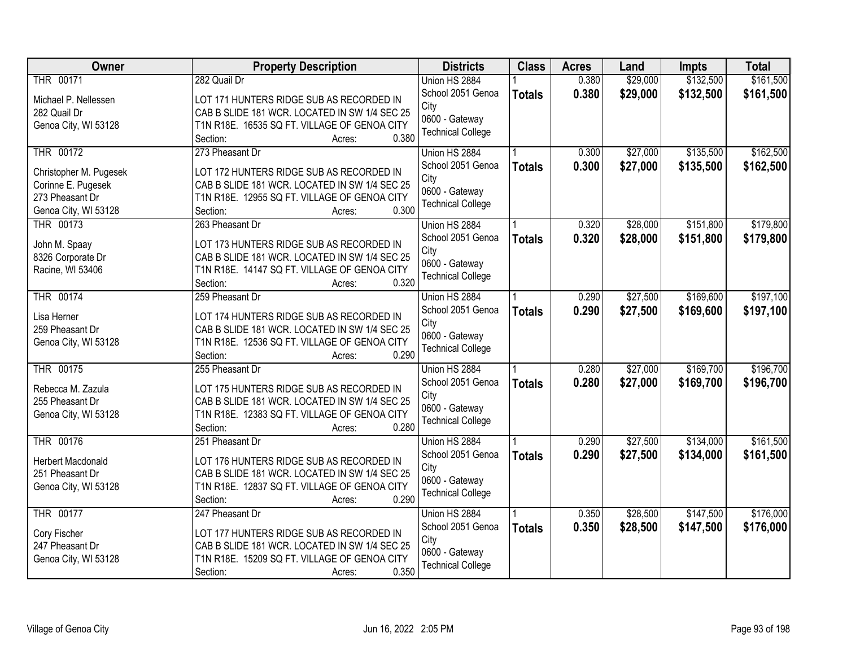| Owner                    | <b>Property Description</b>                   | <b>Districts</b>         | <b>Class</b>  | <b>Acres</b> | Land     | <b>Impts</b> | <b>Total</b> |
|--------------------------|-----------------------------------------------|--------------------------|---------------|--------------|----------|--------------|--------------|
| THR 00171                | 282 Quail Dr                                  | Union HS 2884            |               | 0.380        | \$29,000 | \$132,500    | \$161,500    |
| Michael P. Nellessen     | LOT 171 HUNTERS RIDGE SUB AS RECORDED IN      | School 2051 Genoa        | <b>Totals</b> | 0.380        | \$29,000 | \$132,500    | \$161,500    |
| 282 Quail Dr             | CAB B SLIDE 181 WCR. LOCATED IN SW 1/4 SEC 25 | City                     |               |              |          |              |              |
| Genoa City, WI 53128     | T1N R18E. 16535 SQ FT. VILLAGE OF GENOA CITY  | 0600 - Gateway           |               |              |          |              |              |
|                          | 0.380<br>Section:<br>Acres:                   | <b>Technical College</b> |               |              |          |              |              |
| THR 00172                | 273 Pheasant Dr                               | Union HS 2884            |               | 0.300        | \$27,000 | \$135,500    | \$162,500    |
|                          |                                               | School 2051 Genoa        | <b>Totals</b> | 0.300        | \$27,000 | \$135,500    | \$162,500    |
| Christopher M. Pugesek   | LOT 172 HUNTERS RIDGE SUB AS RECORDED IN      | City                     |               |              |          |              |              |
| Corinne E. Pugesek       | CAB B SLIDE 181 WCR. LOCATED IN SW 1/4 SEC 25 | 0600 - Gateway           |               |              |          |              |              |
| 273 Pheasant Dr          | T1N R18E. 12955 SQ FT. VILLAGE OF GENOA CITY  | <b>Technical College</b> |               |              |          |              |              |
| Genoa City, WI 53128     | 0.300<br>Section:<br>Acres:                   |                          |               |              |          |              |              |
| THR 00173                | 263 Pheasant Dr                               | Union HS 2884            |               | 0.320        | \$28,000 | \$151,800    | \$179,800    |
| John M. Spaay            | LOT 173 HUNTERS RIDGE SUB AS RECORDED IN      | School 2051 Genoa        | <b>Totals</b> | 0.320        | \$28,000 | \$151,800    | \$179,800    |
| 8326 Corporate Dr        | CAB B SLIDE 181 WCR. LOCATED IN SW 1/4 SEC 25 | City                     |               |              |          |              |              |
| Racine, WI 53406         | T1N R18E. 14147 SQ FT. VILLAGE OF GENOA CITY  | 0600 - Gateway           |               |              |          |              |              |
|                          | 0.320<br>Section:<br>Acres:                   | <b>Technical College</b> |               |              |          |              |              |
| THR 00174                | 259 Pheasant Dr                               | Union HS 2884            |               | 0.290        | \$27,500 | \$169,600    | \$197,100    |
|                          |                                               | School 2051 Genoa        | <b>Totals</b> | 0.290        | \$27,500 | \$169,600    | \$197,100    |
| Lisa Herner              | LOT 174 HUNTERS RIDGE SUB AS RECORDED IN      | City                     |               |              |          |              |              |
| 259 Pheasant Dr          | CAB B SLIDE 181 WCR. LOCATED IN SW 1/4 SEC 25 | 0600 - Gateway           |               |              |          |              |              |
| Genoa City, WI 53128     | T1N R18E. 12536 SQ FT. VILLAGE OF GENOA CITY  | <b>Technical College</b> |               |              |          |              |              |
|                          | 0.290<br>Section:<br>Acres:                   |                          |               |              |          |              |              |
| THR 00175                | 255 Pheasant Dr                               | Union HS 2884            |               | 0.280        | \$27,000 | \$169,700    | \$196,700    |
| Rebecca M. Zazula        | LOT 175 HUNTERS RIDGE SUB AS RECORDED IN      | School 2051 Genoa        | <b>Totals</b> | 0.280        | \$27,000 | \$169,700    | \$196,700    |
| 255 Pheasant Dr          | CAB B SLIDE 181 WCR. LOCATED IN SW 1/4 SEC 25 | City                     |               |              |          |              |              |
| Genoa City, WI 53128     | T1N R18E. 12383 SQ FT. VILLAGE OF GENOA CITY  | 0600 - Gateway           |               |              |          |              |              |
|                          | 0.280<br>Section:<br>Acres:                   | <b>Technical College</b> |               |              |          |              |              |
| THR 00176                | 251 Pheasant Dr                               | Union HS 2884            |               | 0.290        | \$27,500 | \$134,000    | \$161,500    |
| <b>Herbert Macdonald</b> | LOT 176 HUNTERS RIDGE SUB AS RECORDED IN      | School 2051 Genoa        | <b>Totals</b> | 0.290        | \$27,500 | \$134,000    | \$161,500    |
| 251 Pheasant Dr          | CAB B SLIDE 181 WCR. LOCATED IN SW 1/4 SEC 25 | City                     |               |              |          |              |              |
| Genoa City, WI 53128     | T1N R18E. 12837 SQ FT. VILLAGE OF GENOA CITY  | 0600 - Gateway           |               |              |          |              |              |
|                          | 0.290<br>Section:<br>Acres:                   | <b>Technical College</b> |               |              |          |              |              |
| THR 00177                | 247 Pheasant Dr                               | Union HS 2884            |               | 0.350        | \$28,500 | \$147,500    | \$176,000    |
|                          |                                               | School 2051 Genoa        |               | 0.350        | \$28,500 | \$147,500    | \$176,000    |
| Cory Fischer             | LOT 177 HUNTERS RIDGE SUB AS RECORDED IN      | City                     | <b>Totals</b> |              |          |              |              |
| 247 Pheasant Dr          | CAB B SLIDE 181 WCR. LOCATED IN SW 1/4 SEC 25 | 0600 - Gateway           |               |              |          |              |              |
| Genoa City, WI 53128     | T1N R18E. 15209 SQ FT. VILLAGE OF GENOA CITY  | <b>Technical College</b> |               |              |          |              |              |
|                          | 0.350<br>Section:<br>Acres:                   |                          |               |              |          |              |              |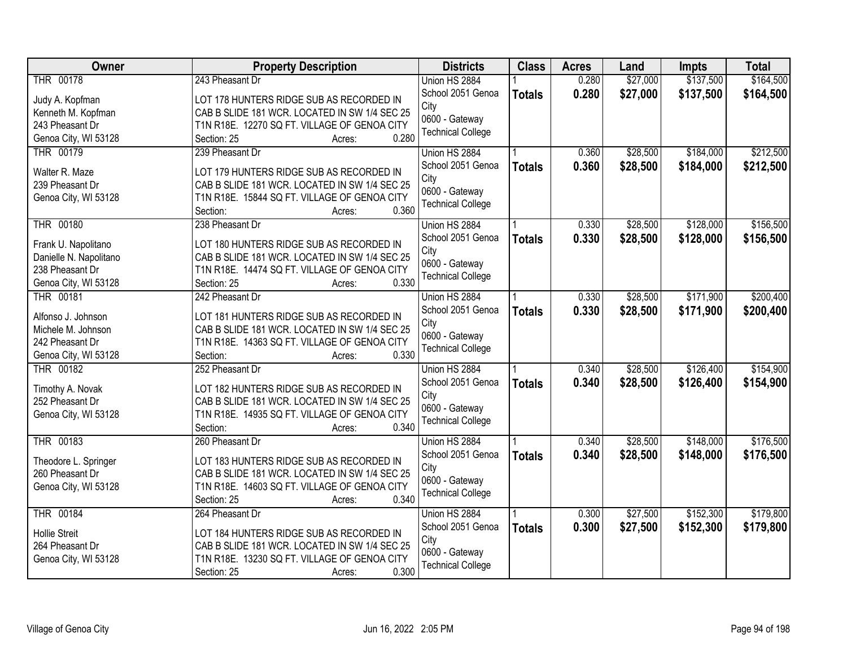| <b>Owner</b>           | <b>Property Description</b>                   | <b>Districts</b>         | <b>Class</b>  | <b>Acres</b> | Land     | <b>Impts</b> | <b>Total</b> |
|------------------------|-----------------------------------------------|--------------------------|---------------|--------------|----------|--------------|--------------|
| THR 00178              | 243 Pheasant Dr                               | Union HS 2884            |               | 0.280        | \$27,000 | \$137,500    | \$164,500    |
| Judy A. Kopfman        | LOT 178 HUNTERS RIDGE SUB AS RECORDED IN      | School 2051 Genoa        | <b>Totals</b> | 0.280        | \$27,000 | \$137,500    | \$164,500    |
| Kenneth M. Kopfman     | CAB B SLIDE 181 WCR. LOCATED IN SW 1/4 SEC 25 | City                     |               |              |          |              |              |
| 243 Pheasant Dr        | T1N R18E. 12270 SQ FT. VILLAGE OF GENOA CITY  | 0600 - Gateway           |               |              |          |              |              |
| Genoa City, WI 53128   | 0.280<br>Section: 25<br>Acres:                | <b>Technical College</b> |               |              |          |              |              |
| <b>THR 00179</b>       | 239 Pheasant Dr                               | Union HS 2884            |               | 0.360        | \$28,500 | \$184,000    | \$212,500    |
|                        |                                               | School 2051 Genoa        | <b>Totals</b> | 0.360        | \$28,500 | \$184,000    | \$212,500    |
| Walter R. Maze         | LOT 179 HUNTERS RIDGE SUB AS RECORDED IN      | City                     |               |              |          |              |              |
| 239 Pheasant Dr        | CAB B SLIDE 181 WCR. LOCATED IN SW 1/4 SEC 25 | 0600 - Gateway           |               |              |          |              |              |
| Genoa City, WI 53128   | T1N R18E. 15844 SQ FT. VILLAGE OF GENOA CITY  | <b>Technical College</b> |               |              |          |              |              |
|                        | 0.360<br>Section:<br>Acres:                   |                          |               |              |          |              |              |
| <b>THR 00180</b>       | 238 Pheasant Dr                               | Union HS 2884            |               | 0.330        | \$28,500 | \$128,000    | \$156,500    |
| Frank U. Napolitano    | LOT 180 HUNTERS RIDGE SUB AS RECORDED IN      | School 2051 Genoa        | <b>Totals</b> | 0.330        | \$28,500 | \$128,000    | \$156,500    |
| Danielle N. Napolitano | CAB B SLIDE 181 WCR. LOCATED IN SW 1/4 SEC 25 | City                     |               |              |          |              |              |
| 238 Pheasant Dr        | T1N R18E. 14474 SQ FT. VILLAGE OF GENOA CITY  | 0600 - Gateway           |               |              |          |              |              |
| Genoa City, WI 53128   | 0.330<br>Section: 25<br>Acres:                | <b>Technical College</b> |               |              |          |              |              |
| <b>THR 00181</b>       | 242 Pheasant Dr                               | Union HS 2884            |               | 0.330        | \$28,500 | \$171,900    | \$200,400    |
|                        |                                               | School 2051 Genoa        | <b>Totals</b> | 0.330        | \$28,500 | \$171,900    | \$200,400    |
| Alfonso J. Johnson     | LOT 181 HUNTERS RIDGE SUB AS RECORDED IN      | City                     |               |              |          |              |              |
| Michele M. Johnson     | CAB B SLIDE 181 WCR. LOCATED IN SW 1/4 SEC 25 | 0600 - Gateway           |               |              |          |              |              |
| 242 Pheasant Dr        | T1N R18E. 14363 SQ FT. VILLAGE OF GENOA CITY  | <b>Technical College</b> |               |              |          |              |              |
| Genoa City, WI 53128   | 0.330<br>Section:<br>Acres:                   |                          |               |              |          |              |              |
| <b>THR 00182</b>       | 252 Pheasant Dr                               | Union HS 2884            |               | 0.340        | \$28,500 | \$126,400    | \$154,900    |
| Timothy A. Novak       | LOT 182 HUNTERS RIDGE SUB AS RECORDED IN      | School 2051 Genoa        | <b>Totals</b> | 0.340        | \$28,500 | \$126,400    | \$154,900    |
| 252 Pheasant Dr        | CAB B SLIDE 181 WCR. LOCATED IN SW 1/4 SEC 25 | City                     |               |              |          |              |              |
| Genoa City, WI 53128   | T1N R18E. 14935 SQ FT. VILLAGE OF GENOA CITY  | 0600 - Gateway           |               |              |          |              |              |
|                        | 0.340<br>Section:<br>Acres:                   | <b>Technical College</b> |               |              |          |              |              |
| THR 00183              | 260 Pheasant Dr                               | Union HS 2884            |               | 0.340        | \$28,500 | \$148,000    | \$176,500    |
|                        |                                               | School 2051 Genoa        | <b>Totals</b> | 0.340        | \$28,500 | \$148,000    | \$176,500    |
| Theodore L. Springer   | LOT 183 HUNTERS RIDGE SUB AS RECORDED IN      | City                     |               |              |          |              |              |
| 260 Pheasant Dr        | CAB B SLIDE 181 WCR. LOCATED IN SW 1/4 SEC 25 | 0600 - Gateway           |               |              |          |              |              |
| Genoa City, WI 53128   | T1N R18E. 14603 SQ FT. VILLAGE OF GENOA CITY  | <b>Technical College</b> |               |              |          |              |              |
|                        | 0.340<br>Section: 25<br>Acres:                |                          |               |              |          |              |              |
| <b>THR 00184</b>       | 264 Pheasant Dr                               | Union HS 2884            |               | 0.300        | \$27,500 | \$152,300    | \$179,800    |
| <b>Hollie Streit</b>   | LOT 184 HUNTERS RIDGE SUB AS RECORDED IN      | School 2051 Genoa        | <b>Totals</b> | 0.300        | \$27,500 | \$152,300    | \$179,800    |
| 264 Pheasant Dr        | CAB B SLIDE 181 WCR. LOCATED IN SW 1/4 SEC 25 | City                     |               |              |          |              |              |
| Genoa City, WI 53128   | T1N R18E. 13230 SQ FT. VILLAGE OF GENOA CITY  | 0600 - Gateway           |               |              |          |              |              |
|                        | 0.300<br>Section: 25<br>Acres:                | <b>Technical College</b> |               |              |          |              |              |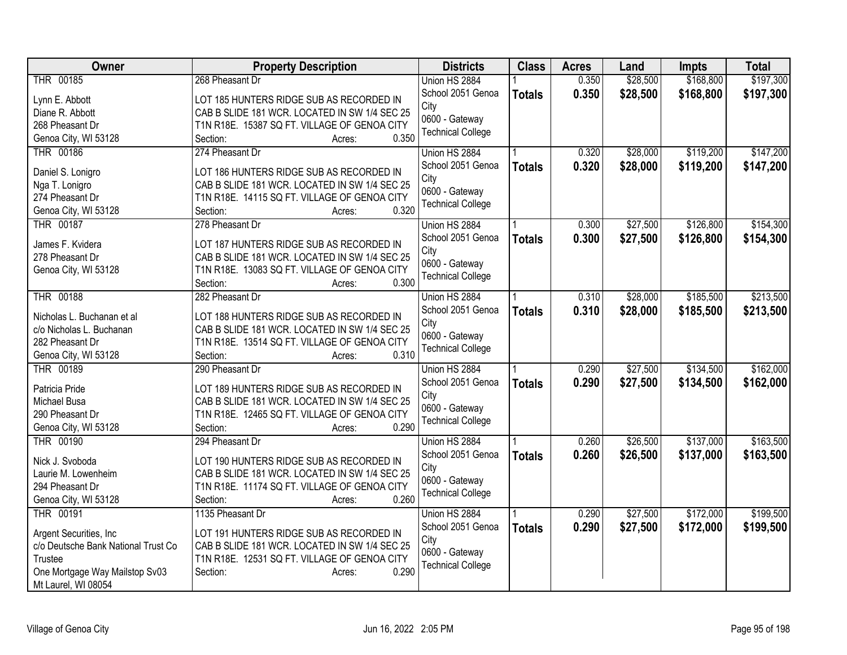| Owner                               | <b>Property Description</b>                   | <b>Districts</b>         | <b>Class</b>  | <b>Acres</b> | Land     | <b>Impts</b> | <b>Total</b> |
|-------------------------------------|-----------------------------------------------|--------------------------|---------------|--------------|----------|--------------|--------------|
| THR 00185                           | 268 Pheasant Dr                               | Union HS 2884            |               | 0.350        | \$28,500 | \$168,800    | \$197,300    |
| Lynn E. Abbott                      | LOT 185 HUNTERS RIDGE SUB AS RECORDED IN      | School 2051 Genoa        | <b>Totals</b> | 0.350        | \$28,500 | \$168,800    | \$197,300    |
| Diane R. Abbott                     | CAB B SLIDE 181 WCR. LOCATED IN SW 1/4 SEC 25 | City                     |               |              |          |              |              |
| 268 Pheasant Dr                     | T1N R18E. 15387 SQ FT. VILLAGE OF GENOA CITY  | 0600 - Gateway           |               |              |          |              |              |
| Genoa City, WI 53128                | 0.350<br>Section:<br>Acres:                   | <b>Technical College</b> |               |              |          |              |              |
| <b>THR 00186</b>                    | 274 Pheasant Dr                               | Union HS 2884            |               | 0.320        | \$28,000 | \$119,200    | \$147,200    |
|                                     | LOT 186 HUNTERS RIDGE SUB AS RECORDED IN      | School 2051 Genoa        | <b>Totals</b> | 0.320        | \$28,000 | \$119,200    | \$147,200    |
| Daniel S. Lonigro<br>Nga T. Lonigro | CAB B SLIDE 181 WCR. LOCATED IN SW 1/4 SEC 25 | City                     |               |              |          |              |              |
| 274 Pheasant Dr                     | T1N R18E. 14115 SQ FT. VILLAGE OF GENOA CITY  | 0600 - Gateway           |               |              |          |              |              |
| Genoa City, WI 53128                | 0.320<br>Section:<br>Acres:                   | <b>Technical College</b> |               |              |          |              |              |
| <b>THR 00187</b>                    | 278 Pheasant Dr                               | Union HS 2884            |               | 0.300        | \$27,500 | \$126,800    | \$154,300    |
|                                     |                                               | School 2051 Genoa        | <b>Totals</b> | 0.300        | \$27,500 | \$126,800    | \$154,300    |
| James F. Kvidera                    | LOT 187 HUNTERS RIDGE SUB AS RECORDED IN      | City                     |               |              |          |              |              |
| 278 Pheasant Dr                     | CAB B SLIDE 181 WCR. LOCATED IN SW 1/4 SEC 25 | 0600 - Gateway           |               |              |          |              |              |
| Genoa City, WI 53128                | T1N R18E. 13083 SQ FT. VILLAGE OF GENOA CITY  | <b>Technical College</b> |               |              |          |              |              |
|                                     | 0.300<br>Section:<br>Acres:                   |                          |               |              |          |              |              |
| <b>THR 00188</b>                    | 282 Pheasant Dr                               | Union HS 2884            |               | 0.310        | \$28,000 | \$185,500    | \$213,500    |
| Nicholas L. Buchanan et al          | LOT 188 HUNTERS RIDGE SUB AS RECORDED IN      | School 2051 Genoa        | <b>Totals</b> | 0.310        | \$28,000 | \$185,500    | \$213,500    |
| c/o Nicholas L. Buchanan            | CAB B SLIDE 181 WCR. LOCATED IN SW 1/4 SEC 25 | City<br>0600 - Gateway   |               |              |          |              |              |
| 282 Pheasant Dr                     | T1N R18E. 13514 SQ FT. VILLAGE OF GENOA CITY  | <b>Technical College</b> |               |              |          |              |              |
| Genoa City, WI 53128                | 0.310<br>Section:<br>Acres:                   |                          |               |              |          |              |              |
| <b>THR 00189</b>                    | 290 Pheasant Dr                               | Union HS 2884            |               | 0.290        | \$27,500 | \$134,500    | \$162,000    |
| Patricia Pride                      | LOT 189 HUNTERS RIDGE SUB AS RECORDED IN      | School 2051 Genoa        | <b>Totals</b> | 0.290        | \$27,500 | \$134,500    | \$162,000    |
| Michael Busa                        | CAB B SLIDE 181 WCR. LOCATED IN SW 1/4 SEC 25 | City                     |               |              |          |              |              |
| 290 Pheasant Dr                     | T1N R18E. 12465 SQ FT. VILLAGE OF GENOA CITY  | 0600 - Gateway           |               |              |          |              |              |
| Genoa City, WI 53128                | 0.290<br>Section:<br>Acres:                   | <b>Technical College</b> |               |              |          |              |              |
| THR 00190                           | 294 Pheasant Dr                               | Union HS 2884            |               | 0.260        | \$26,500 | \$137,000    | \$163,500    |
| Nick J. Svoboda                     | LOT 190 HUNTERS RIDGE SUB AS RECORDED IN      | School 2051 Genoa        | <b>Totals</b> | 0.260        | \$26,500 | \$137,000    | \$163,500    |
| Laurie M. Lowenheim                 | CAB B SLIDE 181 WCR. LOCATED IN SW 1/4 SEC 25 | City                     |               |              |          |              |              |
| 294 Pheasant Dr                     | T1N R18E. 11174 SQ FT. VILLAGE OF GENOA CITY  | 0600 - Gateway           |               |              |          |              |              |
| Genoa City, WI 53128                | 0.260<br>Section:<br>Acres:                   | <b>Technical College</b> |               |              |          |              |              |
| <b>THR 00191</b>                    | 1135 Pheasant Dr                              | Union HS 2884            |               | 0.290        | \$27,500 | \$172,000    | \$199,500    |
|                                     |                                               | School 2051 Genoa        | <b>Totals</b> | 0.290        | \$27,500 | \$172,000    | \$199,500    |
| Argent Securities, Inc.             | LOT 191 HUNTERS RIDGE SUB AS RECORDED IN      | City                     |               |              |          |              |              |
| c/o Deutsche Bank National Trust Co | CAB B SLIDE 181 WCR. LOCATED IN SW 1/4 SEC 25 | 0600 - Gateway           |               |              |          |              |              |
| Trustee                             | T1N R18E. 12531 SQ FT. VILLAGE OF GENOA CITY  | <b>Technical College</b> |               |              |          |              |              |
| One Mortgage Way Mailstop Sv03      | 0.290<br>Section:<br>Acres:                   |                          |               |              |          |              |              |
| Mt Laurel, WI 08054                 |                                               |                          |               |              |          |              |              |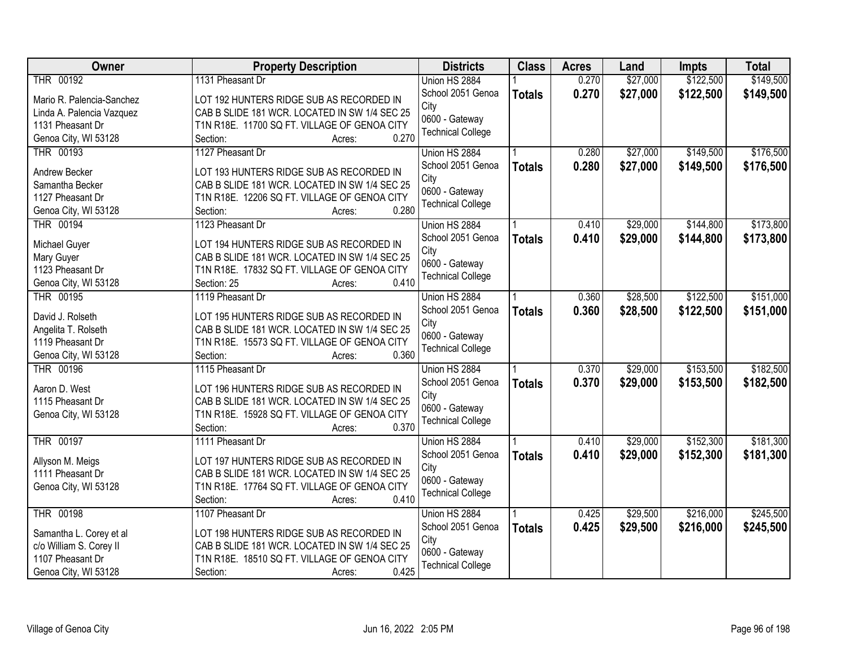| Owner                                | <b>Property Description</b>                                                               | <b>Districts</b>                           | <b>Class</b>  | <b>Acres</b> | Land     | <b>Impts</b> | <b>Total</b> |
|--------------------------------------|-------------------------------------------------------------------------------------------|--------------------------------------------|---------------|--------------|----------|--------------|--------------|
| THR 00192                            | 1131 Pheasant Dr                                                                          | Union HS 2884                              |               | 0.270        | \$27,000 | \$122,500    | \$149,500    |
| Mario R. Palencia-Sanchez            | LOT 192 HUNTERS RIDGE SUB AS RECORDED IN                                                  | School 2051 Genoa                          | <b>Totals</b> | 0.270        | \$27,000 | \$122,500    | \$149,500    |
| Linda A. Palencia Vazquez            | CAB B SLIDE 181 WCR. LOCATED IN SW 1/4 SEC 25                                             | City                                       |               |              |          |              |              |
| 1131 Pheasant Dr                     | T1N R18E. 11700 SQ FT. VILLAGE OF GENOA CITY                                              | 0600 - Gateway<br><b>Technical College</b> |               |              |          |              |              |
| Genoa City, WI 53128                 | 0.270<br>Section:<br>Acres:                                                               |                                            |               |              |          |              |              |
| THR 00193                            | 1127 Pheasant Dr                                                                          | Union HS 2884                              |               | 0.280        | \$27,000 | \$149,500    | \$176,500    |
| Andrew Becker                        | LOT 193 HUNTERS RIDGE SUB AS RECORDED IN                                                  | School 2051 Genoa                          | <b>Totals</b> | 0.280        | \$27,000 | \$149,500    | \$176,500    |
| Samantha Becker                      | CAB B SLIDE 181 WCR. LOCATED IN SW 1/4 SEC 25                                             | City                                       |               |              |          |              |              |
| 1127 Pheasant Dr                     | T1N R18E. 12206 SQ FT. VILLAGE OF GENOA CITY                                              | 0600 - Gateway                             |               |              |          |              |              |
| Genoa City, WI 53128                 | 0.280<br>Section:<br>Acres:                                                               | <b>Technical College</b>                   |               |              |          |              |              |
| <b>THR 00194</b>                     | 1123 Pheasant Dr                                                                          | Union HS 2884                              |               | 0.410        | \$29,000 | \$144,800    | \$173,800    |
|                                      |                                                                                           | School 2051 Genoa                          | <b>Totals</b> | 0.410        | \$29,000 | \$144,800    | \$173,800    |
| Michael Guyer                        | LOT 194 HUNTERS RIDGE SUB AS RECORDED IN                                                  | City                                       |               |              |          |              |              |
| Mary Guyer                           | CAB B SLIDE 181 WCR. LOCATED IN SW 1/4 SEC 25                                             | 0600 - Gateway                             |               |              |          |              |              |
| 1123 Pheasant Dr                     | T1N R18E. 17832 SQ FT. VILLAGE OF GENOA CITY                                              | <b>Technical College</b>                   |               |              |          |              |              |
| Genoa City, WI 53128                 | 0.410<br>Section: 25<br>Acres:                                                            |                                            |               |              |          |              |              |
| THR 00195                            | 1119 Pheasant Dr                                                                          | Union HS 2884                              |               | 0.360        | \$28,500 | \$122,500    | \$151,000    |
| David J. Rolseth                     | LOT 195 HUNTERS RIDGE SUB AS RECORDED IN                                                  | School 2051 Genoa                          | <b>Totals</b> | 0.360        | \$28,500 | \$122,500    | \$151,000    |
| Angelita T. Rolseth                  | CAB B SLIDE 181 WCR. LOCATED IN SW 1/4 SEC 25                                             | City                                       |               |              |          |              |              |
| 1119 Pheasant Dr                     | T1N R18E. 15573 SQ FT. VILLAGE OF GENOA CITY                                              | 0600 - Gateway<br><b>Technical College</b> |               |              |          |              |              |
| Genoa City, WI 53128                 | 0.360<br>Section:<br>Acres:                                                               |                                            |               |              |          |              |              |
| <b>THR 00196</b>                     | 1115 Pheasant Dr                                                                          | Union HS 2884                              |               | 0.370        | \$29,000 | \$153,500    | \$182,500    |
| Aaron D. West                        | LOT 196 HUNTERS RIDGE SUB AS RECORDED IN                                                  | School 2051 Genoa                          | <b>Totals</b> | 0.370        | \$29,000 | \$153,500    | \$182,500    |
| 1115 Pheasant Dr                     | CAB B SLIDE 181 WCR. LOCATED IN SW 1/4 SEC 25                                             | City                                       |               |              |          |              |              |
| Genoa City, WI 53128                 | T1N R18E. 15928 SQ FT. VILLAGE OF GENOA CITY                                              | 0600 - Gateway                             |               |              |          |              |              |
|                                      | 0.370<br>Section:<br>Acres:                                                               | <b>Technical College</b>                   |               |              |          |              |              |
| THR 00197                            | 1111 Pheasant Dr                                                                          | Union HS 2884                              |               | 0.410        | \$29,000 | \$152,300    | \$181,300    |
|                                      |                                                                                           | School 2051 Genoa                          | <b>Totals</b> | 0.410        | \$29,000 | \$152,300    | \$181,300    |
| Allyson M. Meigs<br>1111 Pheasant Dr | LOT 197 HUNTERS RIDGE SUB AS RECORDED IN<br>CAB B SLIDE 181 WCR. LOCATED IN SW 1/4 SEC 25 | City                                       |               |              |          |              |              |
| Genoa City, WI 53128                 | T1N R18E. 17764 SQ FT. VILLAGE OF GENOA CITY                                              | 0600 - Gateway                             |               |              |          |              |              |
|                                      | 0.410<br>Section:<br>Acres:                                                               | <b>Technical College</b>                   |               |              |          |              |              |
| <b>THR 00198</b>                     | 1107 Pheasant Dr                                                                          | Union HS 2884                              |               | 0.425        | \$29,500 | \$216,000    | \$245,500    |
|                                      |                                                                                           | School 2051 Genoa                          |               | 0.425        | \$29,500 | \$216,000    | \$245,500    |
| Samantha L. Corey et al              | LOT 198 HUNTERS RIDGE SUB AS RECORDED IN                                                  | City                                       | <b>Totals</b> |              |          |              |              |
| c/o William S. Corey II              | CAB B SLIDE 181 WCR. LOCATED IN SW 1/4 SEC 25                                             | 0600 - Gateway                             |               |              |          |              |              |
| 1107 Pheasant Dr                     | T1N R18E. 18510 SQ FT. VILLAGE OF GENOA CITY                                              | <b>Technical College</b>                   |               |              |          |              |              |
| Genoa City, WI 53128                 | 0.425<br>Section:<br>Acres:                                                               |                                            |               |              |          |              |              |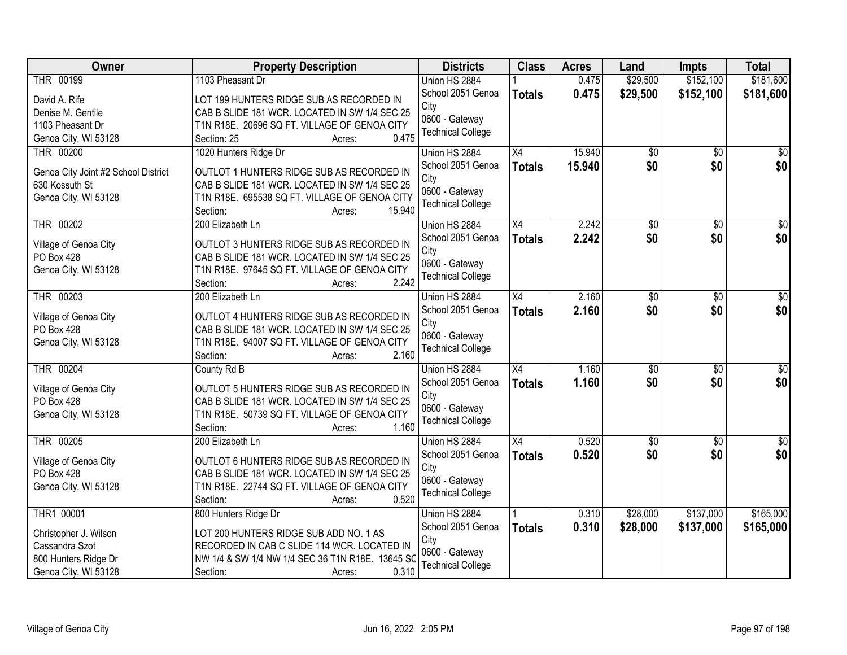| <b>Owner</b>                        | <b>Property Description</b>                                                 | <b>Districts</b>         | <b>Class</b>    | <b>Acres</b> | Land            | <b>Impts</b>    | <b>Total</b>    |
|-------------------------------------|-----------------------------------------------------------------------------|--------------------------|-----------------|--------------|-----------------|-----------------|-----------------|
| THR 00199                           | 1103 Pheasant Dr                                                            | Union HS 2884            |                 | 0.475        | \$29,500        | \$152,100       | \$181,600       |
| David A. Rife                       | LOT 199 HUNTERS RIDGE SUB AS RECORDED IN                                    | School 2051 Genoa        | <b>Totals</b>   | 0.475        | \$29,500        | \$152,100       | \$181,600       |
| Denise M. Gentile                   | CAB B SLIDE 181 WCR. LOCATED IN SW 1/4 SEC 25                               | City<br>0600 - Gateway   |                 |              |                 |                 |                 |
| 1103 Pheasant Dr                    | T1N R18E. 20696 SQ FT. VILLAGE OF GENOA CITY                                | <b>Technical College</b> |                 |              |                 |                 |                 |
| Genoa City, WI 53128                | 0.475<br>Section: 25<br>Acres:                                              |                          |                 |              |                 |                 |                 |
| THR 00200                           | 1020 Hunters Ridge Dr                                                       | Union HS 2884            | $\overline{X4}$ | 15.940       | $\overline{50}$ | $\overline{30}$ | $\sqrt{50}$     |
| Genoa City Joint #2 School District | OUTLOT 1 HUNTERS RIDGE SUB AS RECORDED IN                                   | School 2051 Genoa        | <b>Totals</b>   | 15.940       | \$0             | \$0             | \$0             |
| 630 Kossuth St                      | CAB B SLIDE 181 WCR. LOCATED IN SW 1/4 SEC 25                               | City                     |                 |              |                 |                 |                 |
| Genoa City, WI 53128                | T1N R18E. 695538 SQ FT. VILLAGE OF GENOA CITY                               | 0600 - Gateway           |                 |              |                 |                 |                 |
|                                     | 15.940<br>Section:<br>Acres:                                                | <b>Technical College</b> |                 |              |                 |                 |                 |
| THR 00202                           | 200 Elizabeth Ln                                                            | Union HS 2884            | $\overline{X4}$ | 2.242        | \$0             | $\overline{50}$ | $\overline{50}$ |
| Village of Genoa City               | OUTLOT 3 HUNTERS RIDGE SUB AS RECORDED IN                                   | School 2051 Genoa        | <b>Totals</b>   | 2.242        | \$0             | \$0             | \$0             |
| PO Box 428                          | CAB B SLIDE 181 WCR. LOCATED IN SW 1/4 SEC 25                               | City                     |                 |              |                 |                 |                 |
| Genoa City, WI 53128                | T1N R18E. 97645 SQ FT. VILLAGE OF GENOA CITY                                | 0600 - Gateway           |                 |              |                 |                 |                 |
|                                     | 2.242<br>Section:<br>Acres:                                                 | <b>Technical College</b> |                 |              |                 |                 |                 |
| THR 00203                           | 200 Elizabeth Ln                                                            | Union HS 2884            | $\overline{X4}$ | 2.160        | \$0             | \$0             | \$0             |
| Village of Genoa City               | OUTLOT 4 HUNTERS RIDGE SUB AS RECORDED IN                                   | School 2051 Genoa        | <b>Totals</b>   | 2.160        | \$0             | \$0             | \$0             |
| PO Box 428                          | CAB B SLIDE 181 WCR. LOCATED IN SW 1/4 SEC 25                               | City                     |                 |              |                 |                 |                 |
| Genoa City, WI 53128                | T1N R18E. 94007 SQ FT. VILLAGE OF GENOA CITY                                | 0600 - Gateway           |                 |              |                 |                 |                 |
|                                     | 2.160<br>Section:<br>Acres:                                                 | <b>Technical College</b> |                 |              |                 |                 |                 |
| <b>THR 00204</b>                    | County Rd B                                                                 | Union HS 2884            | $\overline{X4}$ | 1.160        | $\overline{50}$ | $\overline{50}$ | \$0             |
|                                     |                                                                             | School 2051 Genoa        | <b>Totals</b>   | 1.160        | \$0             | \$0             | \$0             |
| Village of Genoa City               | OUTLOT 5 HUNTERS RIDGE SUB AS RECORDED IN                                   | City                     |                 |              |                 |                 |                 |
| PO Box 428                          | CAB B SLIDE 181 WCR. LOCATED IN SW 1/4 SEC 25                               | 0600 - Gateway           |                 |              |                 |                 |                 |
| Genoa City, WI 53128                | T1N R18E. 50739 SQ FT. VILLAGE OF GENOA CITY<br>1.160<br>Section:<br>Acres: | <b>Technical College</b> |                 |              |                 |                 |                 |
| THR 00205                           | 200 Elizabeth Ln                                                            | Union HS 2884            | X4              | 0.520        | $\sqrt{50}$     | $\sqrt{6}$      | $\sqrt{60}$     |
|                                     |                                                                             | School 2051 Genoa        | <b>Totals</b>   | 0.520        | \$0             | \$0             | \$0             |
| Village of Genoa City               | OUTLOT 6 HUNTERS RIDGE SUB AS RECORDED IN                                   | City                     |                 |              |                 |                 |                 |
| PO Box 428                          | CAB B SLIDE 181 WCR. LOCATED IN SW 1/4 SEC 25                               | 0600 - Gateway           |                 |              |                 |                 |                 |
| Genoa City, WI 53128                | T1N R18E. 22744 SQ FT. VILLAGE OF GENOA CITY                                | <b>Technical College</b> |                 |              |                 |                 |                 |
|                                     | 0.520<br>Section:<br>Acres:                                                 |                          |                 |              |                 |                 |                 |
| THR1 00001                          | 800 Hunters Ridge Dr                                                        | Union HS 2884            |                 | 0.310        | \$28,000        | \$137,000       | \$165,000       |
| Christopher J. Wilson               | LOT 200 HUNTERS RIDGE SUB ADD NO. 1 AS                                      | School 2051 Genoa        | <b>Totals</b>   | 0.310        | \$28,000        | \$137,000       | \$165,000       |
| Cassandra Szot                      | RECORDED IN CAB C SLIDE 114 WCR. LOCATED IN                                 | City<br>0600 - Gateway   |                 |              |                 |                 |                 |
| 800 Hunters Ridge Dr                | NW 1/4 & SW 1/4 NW 1/4 SEC 36 T1N R18E. 13645 SO                            | <b>Technical College</b> |                 |              |                 |                 |                 |
| Genoa City, WI 53128                | 0.310<br>Section:<br>Acres:                                                 |                          |                 |              |                 |                 |                 |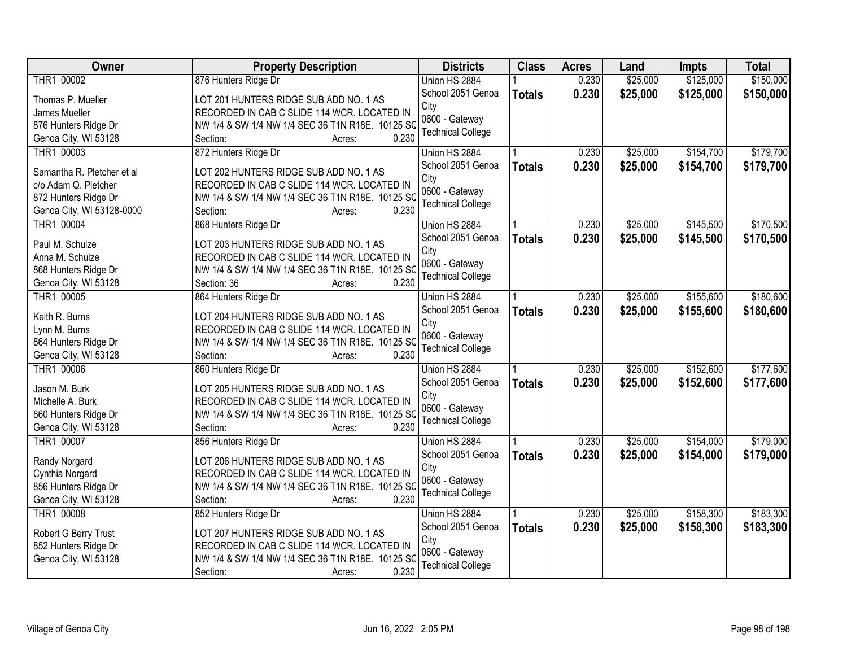| Owner                      | <b>Property Description</b>                      | <b>Districts</b>         | <b>Class</b>  | <b>Acres</b> | Land     | Impts     | <b>Total</b> |
|----------------------------|--------------------------------------------------|--------------------------|---------------|--------------|----------|-----------|--------------|
| THR1 00002                 | 876 Hunters Ridge Dr                             | Union HS 2884            |               | 0.230        | \$25,000 | \$125,000 | \$150,000    |
| Thomas P. Mueller          | LOT 201 HUNTERS RIDGE SUB ADD NO. 1 AS           | School 2051 Genoa        | <b>Totals</b> | 0.230        | \$25,000 | \$125,000 | \$150,000    |
| James Mueller              | RECORDED IN CAB C SLIDE 114 WCR. LOCATED IN      | City                     |               |              |          |           |              |
| 876 Hunters Ridge Dr       | NW 1/4 & SW 1/4 NW 1/4 SEC 36 T1N R18E. 10125 SC | 0600 - Gateway           |               |              |          |           |              |
| Genoa City, WI 53128       | 0.230<br>Section:<br>Acres:                      | <b>Technical College</b> |               |              |          |           |              |
| THR1 00003                 | 872 Hunters Ridge Dr                             | Union HS 2884            |               | 0.230        | \$25,000 | \$154,700 | \$179,700    |
|                            |                                                  | School 2051 Genoa        | <b>Totals</b> | 0.230        | \$25,000 | \$154,700 | \$179,700    |
| Samantha R. Pletcher et al | LOT 202 HUNTERS RIDGE SUB ADD NO. 1 AS           | City                     |               |              |          |           |              |
| c/o Adam Q. Pletcher       | RECORDED IN CAB C SLIDE 114 WCR. LOCATED IN      | 0600 - Gateway           |               |              |          |           |              |
| 872 Hunters Ridge Dr       | NW 1/4 & SW 1/4 NW 1/4 SEC 36 T1N R18E. 10125 SC | <b>Technical College</b> |               |              |          |           |              |
| Genoa City, WI 53128-0000  | 0.230<br>Section:<br>Acres:                      |                          |               |              |          |           |              |
| THR1 00004                 | 868 Hunters Ridge Dr                             | Union HS 2884            |               | 0.230        | \$25,000 | \$145,500 | \$170,500    |
| Paul M. Schulze            | LOT 203 HUNTERS RIDGE SUB ADD NO. 1 AS           | School 2051 Genoa        | <b>Totals</b> | 0.230        | \$25,000 | \$145,500 | \$170,500    |
| Anna M. Schulze            | RECORDED IN CAB C SLIDE 114 WCR. LOCATED IN      | City                     |               |              |          |           |              |
| 868 Hunters Ridge Dr       | NW 1/4 & SW 1/4 NW 1/4 SEC 36 T1N R18E. 10125 SC | 0600 - Gateway           |               |              |          |           |              |
| Genoa City, WI 53128       | 0.230<br>Section: 36<br>Acres:                   | <b>Technical College</b> |               |              |          |           |              |
| THR1 00005                 | 864 Hunters Ridge Dr                             | Union HS 2884            |               | 0.230        | \$25,000 | \$155,600 | \$180,600    |
|                            |                                                  | School 2051 Genoa        | <b>Totals</b> | 0.230        | \$25,000 | \$155,600 | \$180,600    |
| Keith R. Burns             | LOT 204 HUNTERS RIDGE SUB ADD NO. 1 AS           | City                     |               |              |          |           |              |
| Lynn M. Burns              | RECORDED IN CAB C SLIDE 114 WCR. LOCATED IN      | 0600 - Gateway           |               |              |          |           |              |
| 864 Hunters Ridge Dr       | NW 1/4 & SW 1/4 NW 1/4 SEC 36 T1N R18E. 10125 SC | <b>Technical College</b> |               |              |          |           |              |
| Genoa City, WI 53128       | 0.230<br>Section:<br>Acres:                      |                          |               |              |          |           |              |
| THR1 00006                 | 860 Hunters Ridge Dr                             | Union HS 2884            |               | 0.230        | \$25,000 | \$152,600 | \$177,600    |
| Jason M. Burk              | LOT 205 HUNTERS RIDGE SUB ADD NO. 1 AS           | School 2051 Genoa        | <b>Totals</b> | 0.230        | \$25,000 | \$152,600 | \$177,600    |
| Michelle A. Burk           | RECORDED IN CAB C SLIDE 114 WCR. LOCATED IN      | City                     |               |              |          |           |              |
| 860 Hunters Ridge Dr       | NW 1/4 & SW 1/4 NW 1/4 SEC 36 T1N R18E. 10125 SC | 0600 - Gateway           |               |              |          |           |              |
| Genoa City, WI 53128       | 0.230<br>Section:<br>Acres:                      | <b>Technical College</b> |               |              |          |           |              |
| THR1 00007                 | 856 Hunters Ridge Dr                             | Union HS 2884            |               | 0.230        | \$25,000 | \$154,000 | \$179,000    |
|                            |                                                  | School 2051 Genoa        | <b>Totals</b> | 0.230        | \$25,000 | \$154,000 | \$179,000    |
| Randy Norgard              | LOT 206 HUNTERS RIDGE SUB ADD NO. 1 AS           | City                     |               |              |          |           |              |
| Cynthia Norgard            | RECORDED IN CAB C SLIDE 114 WCR. LOCATED IN      | 0600 - Gateway           |               |              |          |           |              |
| 856 Hunters Ridge Dr       | NW 1/4 & SW 1/4 NW 1/4 SEC 36 T1N R18E. 10125 SC | <b>Technical College</b> |               |              |          |           |              |
| Genoa City, WI 53128       | 0.230<br>Section:<br>Acres:                      |                          |               |              |          |           |              |
| THR1 00008                 | 852 Hunters Ridge Dr                             | Union HS 2884            |               | 0.230        | \$25,000 | \$158,300 | \$183,300    |
| Robert G Berry Trust       | LOT 207 HUNTERS RIDGE SUB ADD NO. 1 AS           | School 2051 Genoa        | <b>Totals</b> | 0.230        | \$25,000 | \$158,300 | \$183,300    |
| 852 Hunters Ridge Dr       | RECORDED IN CAB C SLIDE 114 WCR. LOCATED IN      | City                     |               |              |          |           |              |
| Genoa City, WI 53128       | NW 1/4 & SW 1/4 NW 1/4 SEC 36 T1N R18E. 10125 SC | 0600 - Gateway           |               |              |          |           |              |
|                            | 0.230<br>Section:<br>Acres:                      | <b>Technical College</b> |               |              |          |           |              |
|                            |                                                  |                          |               |              |          |           |              |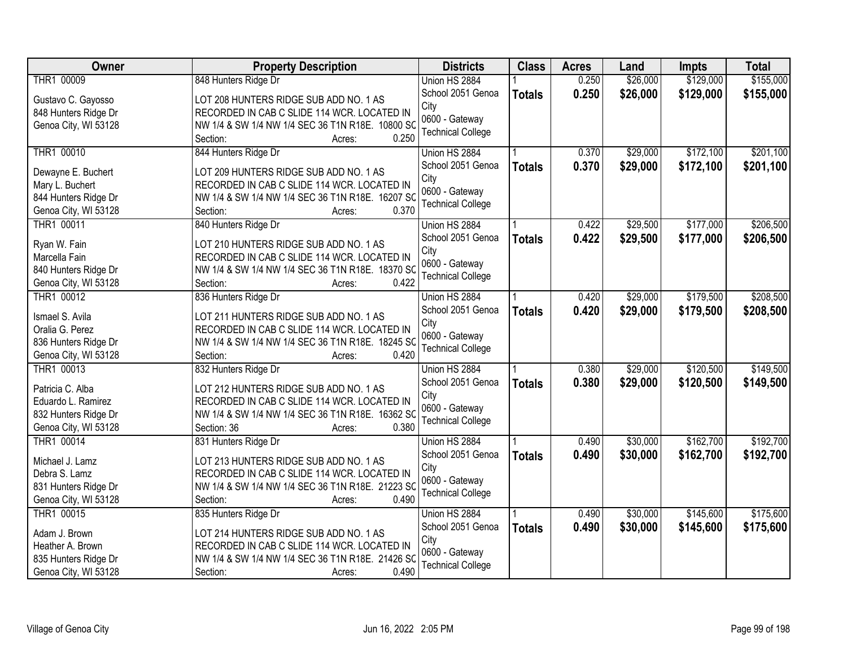| Owner                | <b>Property Description</b>                               | <b>Districts</b>         | <b>Class</b>  | <b>Acres</b> | Land     | <b>Impts</b> | <b>Total</b> |
|----------------------|-----------------------------------------------------------|--------------------------|---------------|--------------|----------|--------------|--------------|
| THR1 00009           | 848 Hunters Ridge Dr                                      | Union HS 2884            |               | 0.250        | \$26,000 | \$129,000    | \$155,000    |
| Gustavo C. Gayosso   | LOT 208 HUNTERS RIDGE SUB ADD NO. 1 AS                    | School 2051 Genoa        | <b>Totals</b> | 0.250        | \$26,000 | \$129,000    | \$155,000    |
| 848 Hunters Ridge Dr | RECORDED IN CAB C SLIDE 114 WCR. LOCATED IN               | City                     |               |              |          |              |              |
| Genoa City, WI 53128 | NW 1/4 & SW 1/4 NW 1/4 SEC 36 T1N R18E. 10800 SC          | 0600 - Gateway           |               |              |          |              |              |
|                      | 0.250<br>Section:<br>Acres:                               | <b>Technical College</b> |               |              |          |              |              |
| THR1 00010           | 844 Hunters Ridge Dr                                      | Union HS 2884            |               | 0.370        | \$29,000 | \$172,100    | \$201,100    |
|                      |                                                           | School 2051 Genoa        | <b>Totals</b> | 0.370        | \$29,000 | \$172,100    | \$201,100    |
| Dewayne E. Buchert   | LOT 209 HUNTERS RIDGE SUB ADD NO. 1 AS                    | City                     |               |              |          |              |              |
| Mary L. Buchert      | RECORDED IN CAB C SLIDE 114 WCR. LOCATED IN               | 0600 - Gateway           |               |              |          |              |              |
| 844 Hunters Ridge Dr | NW 1/4 & SW 1/4 NW 1/4 SEC 36 T1N R18E. 16207 SC<br>0.370 | <b>Technical College</b> |               |              |          |              |              |
| Genoa City, WI 53128 | Section:<br>Acres:                                        |                          |               |              |          |              |              |
| THR1 00011           | 840 Hunters Ridge Dr                                      | Union HS 2884            |               | 0.422        | \$29,500 | \$177,000    | \$206,500    |
| Ryan W. Fain         | LOT 210 HUNTERS RIDGE SUB ADD NO. 1 AS                    | School 2051 Genoa        | <b>Totals</b> | 0.422        | \$29,500 | \$177,000    | \$206,500    |
| Marcella Fain        | RECORDED IN CAB C SLIDE 114 WCR. LOCATED IN               | City                     |               |              |          |              |              |
| 840 Hunters Ridge Dr | NW 1/4 & SW 1/4 NW 1/4 SEC 36 T1N R18E. 18370 SC          | 0600 - Gateway           |               |              |          |              |              |
| Genoa City, WI 53128 | 0.422<br>Section:<br>Acres:                               | <b>Technical College</b> |               |              |          |              |              |
| THR1 00012           | 836 Hunters Ridge Dr                                      | Union HS 2884            |               | 0.420        | \$29,000 | \$179,500    | \$208,500    |
|                      |                                                           | School 2051 Genoa        | <b>Totals</b> | 0.420        | \$29,000 | \$179,500    | \$208,500    |
| Ismael S. Avila      | LOT 211 HUNTERS RIDGE SUB ADD NO. 1 AS                    | City                     |               |              |          |              |              |
| Oralia G. Perez      | RECORDED IN CAB C SLIDE 114 WCR. LOCATED IN               | 0600 - Gateway           |               |              |          |              |              |
| 836 Hunters Ridge Dr | NW 1/4 & SW 1/4 NW 1/4 SEC 36 T1N R18E. 18245 SC          | <b>Technical College</b> |               |              |          |              |              |
| Genoa City, WI 53128 | 0.420<br>Section:<br>Acres:                               |                          |               |              |          |              |              |
| THR1 00013           | 832 Hunters Ridge Dr                                      | Union HS 2884            |               | 0.380        | \$29,000 | \$120,500    | \$149,500    |
| Patricia C. Alba     | LOT 212 HUNTERS RIDGE SUB ADD NO. 1 AS                    | School 2051 Genoa        | <b>Totals</b> | 0.380        | \$29,000 | \$120,500    | \$149,500    |
| Eduardo L. Ramirez   | RECORDED IN CAB C SLIDE 114 WCR. LOCATED IN               | City                     |               |              |          |              |              |
| 832 Hunters Ridge Dr | NW 1/4 & SW 1/4 NW 1/4 SEC 36 T1N R18E. 16362 SC          | 0600 - Gateway           |               |              |          |              |              |
| Genoa City, WI 53128 | Section: 36<br>0.380<br>Acres:                            | <b>Technical College</b> |               |              |          |              |              |
| THR1 00014           | 831 Hunters Ridge Dr                                      | Union HS 2884            |               | 0.490        | \$30,000 | \$162,700    | \$192,700    |
| Michael J. Lamz      | LOT 213 HUNTERS RIDGE SUB ADD NO. 1 AS                    | School 2051 Genoa        | <b>Totals</b> | 0.490        | \$30,000 | \$162,700    | \$192,700    |
| Debra S. Lamz        | RECORDED IN CAB C SLIDE 114 WCR. LOCATED IN               | City                     |               |              |          |              |              |
| 831 Hunters Ridge Dr | NW 1/4 & SW 1/4 NW 1/4 SEC 36 T1N R18E. 21223 SC          | 0600 - Gateway           |               |              |          |              |              |
| Genoa City, WI 53128 | 0.490<br>Section:<br>Acres:                               | <b>Technical College</b> |               |              |          |              |              |
| THR1 00015           | 835 Hunters Ridge Dr                                      | Union HS 2884            |               | 0.490        | \$30,000 | \$145,600    | \$175,600    |
|                      |                                                           | School 2051 Genoa        | <b>Totals</b> | 0.490        | \$30,000 | \$145,600    | \$175,600    |
| Adam J. Brown        | LOT 214 HUNTERS RIDGE SUB ADD NO. 1 AS                    | City                     |               |              |          |              |              |
| Heather A. Brown     | RECORDED IN CAB C SLIDE 114 WCR. LOCATED IN               | 0600 - Gateway           |               |              |          |              |              |
| 835 Hunters Ridge Dr | NW 1/4 & SW 1/4 NW 1/4 SEC 36 T1N R18E. 21426 SC          | <b>Technical College</b> |               |              |          |              |              |
| Genoa City, WI 53128 | 0.490<br>Section:<br>Acres:                               |                          |               |              |          |              |              |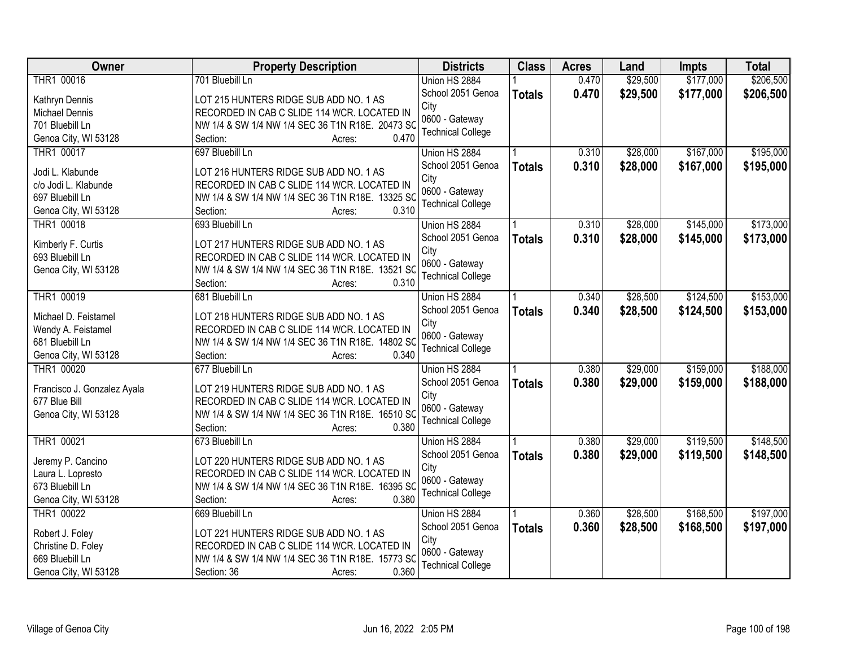| Owner                                 | <b>Property Description</b>                      | <b>Districts</b>         | <b>Class</b>  | <b>Acres</b> | Land     | <b>Impts</b> | <b>Total</b> |
|---------------------------------------|--------------------------------------------------|--------------------------|---------------|--------------|----------|--------------|--------------|
| THR1 00016                            | 701 Bluebill Ln                                  | Union HS 2884            |               | 0.470        | \$29,500 | \$177,000    | \$206,500    |
| Kathryn Dennis                        | LOT 215 HUNTERS RIDGE SUB ADD NO. 1 AS           | School 2051 Genoa        | <b>Totals</b> | 0.470        | \$29,500 | \$177,000    | \$206,500    |
| Michael Dennis                        | RECORDED IN CAB C SLIDE 114 WCR. LOCATED IN      | City                     |               |              |          |              |              |
| 701 Bluebill Ln                       | NW 1/4 & SW 1/4 NW 1/4 SEC 36 T1N R18E. 20473 SC | 0600 - Gateway           |               |              |          |              |              |
| Genoa City, WI 53128                  | 0.470<br>Section:<br>Acres:                      | <b>Technical College</b> |               |              |          |              |              |
| THR1 00017                            | 697 Bluebill Ln                                  | Union HS 2884            |               | 0.310        | \$28,000 | \$167,000    | \$195,000    |
|                                       |                                                  | School 2051 Genoa        | <b>Totals</b> | 0.310        | \$28,000 | \$167,000    | \$195,000    |
| Jodi L. Klabunde                      | LOT 216 HUNTERS RIDGE SUB ADD NO. 1 AS           | City                     |               |              |          |              |              |
| c/o Jodi L. Klabunde                  | RECORDED IN CAB C SLIDE 114 WCR. LOCATED IN      | 0600 - Gateway           |               |              |          |              |              |
| 697 Bluebill Ln                       | NW 1/4 & SW 1/4 NW 1/4 SEC 36 T1N R18E. 13325 SC | <b>Technical College</b> |               |              |          |              |              |
| Genoa City, WI 53128                  | 0.310<br>Section:<br>Acres:                      |                          |               |              |          |              |              |
| THR1 00018                            | 693 Bluebill Ln                                  | Union HS 2884            |               | 0.310        | \$28,000 | \$145,000    | \$173,000    |
| Kimberly F. Curtis                    | LOT 217 HUNTERS RIDGE SUB ADD NO. 1 AS           | School 2051 Genoa        | <b>Totals</b> | 0.310        | \$28,000 | \$145,000    | \$173,000    |
| 693 Bluebill Ln                       | RECORDED IN CAB C SLIDE 114 WCR. LOCATED IN      | City                     |               |              |          |              |              |
| Genoa City, WI 53128                  | NW 1/4 & SW 1/4 NW 1/4 SEC 36 T1N R18E. 13521 SC | 0600 - Gateway           |               |              |          |              |              |
|                                       | 0.310<br>Section:<br>Acres:                      | <b>Technical College</b> |               |              |          |              |              |
| THR1 00019                            | 681 Bluebill Ln                                  | Union HS 2884            |               | 0.340        | \$28,500 | \$124,500    | \$153,000    |
|                                       |                                                  | School 2051 Genoa        | <b>Totals</b> | 0.340        | \$28,500 | \$124,500    | \$153,000    |
| Michael D. Feistamel                  | LOT 218 HUNTERS RIDGE SUB ADD NO. 1 AS           | City                     |               |              |          |              |              |
| Wendy A. Feistamel                    | RECORDED IN CAB C SLIDE 114 WCR. LOCATED IN      | 0600 - Gateway           |               |              |          |              |              |
| 681 Bluebill Ln                       | NW 1/4 & SW 1/4 NW 1/4 SEC 36 T1N R18E. 14802 SC | <b>Technical College</b> |               |              |          |              |              |
| Genoa City, WI 53128                  | 0.340<br>Section:<br>Acres:                      |                          |               |              |          |              |              |
| THR1 00020                            | 677 Bluebill Ln                                  | Union HS 2884            |               | 0.380        | \$29,000 | \$159,000    | \$188,000    |
| Francisco J. Gonzalez Ayala           | LOT 219 HUNTERS RIDGE SUB ADD NO. 1 AS           | School 2051 Genoa        | <b>Totals</b> | 0.380        | \$29,000 | \$159,000    | \$188,000    |
| 677 Blue Bill                         | RECORDED IN CAB C SLIDE 114 WCR. LOCATED IN      | City                     |               |              |          |              |              |
| Genoa City, WI 53128                  | NW 1/4 & SW 1/4 NW 1/4 SEC 36 T1N R18E. 16510 SC | 0600 - Gateway           |               |              |          |              |              |
|                                       | 0.380<br>Section:<br>Acres:                      | <b>Technical College</b> |               |              |          |              |              |
| THR1 00021                            | 673 Bluebill Ln                                  | Union HS 2884            |               | 0.380        | \$29,000 | \$119,500    | \$148,500    |
|                                       |                                                  | School 2051 Genoa        |               |              |          |              |              |
| Jeremy P. Cancino                     | LOT 220 HUNTERS RIDGE SUB ADD NO. 1 AS           | City                     | <b>Totals</b> | 0.380        | \$29,000 | \$119,500    | \$148,500    |
| Laura L. Lopresto                     | RECORDED IN CAB C SLIDE 114 WCR. LOCATED IN      | 0600 - Gateway           |               |              |          |              |              |
| 673 Bluebill Ln                       | NW 1/4 & SW 1/4 NW 1/4 SEC 36 T1N R18E. 16395 SC | <b>Technical College</b> |               |              |          |              |              |
| Genoa City, WI 53128                  | 0.380<br>Section:<br>Acres:                      |                          |               |              |          |              |              |
| THR1 00022                            | 669 Bluebill Ln                                  | Union HS 2884            |               | 0.360        | \$28,500 | \$168,500    | \$197,000    |
|                                       | LOT 221 HUNTERS RIDGE SUB ADD NO. 1 AS           | School 2051 Genoa        | <b>Totals</b> | 0.360        | \$28,500 | \$168,500    | \$197,000    |
| Robert J. Foley                       | RECORDED IN CAB C SLIDE 114 WCR. LOCATED IN      | City                     |               |              |          |              |              |
| Christine D. Foley<br>669 Bluebill Ln | NW 1/4 & SW 1/4 NW 1/4 SEC 36 T1N R18E. 15773 SC | 0600 - Gateway           |               |              |          |              |              |
|                                       | 0.360                                            | <b>Technical College</b> |               |              |          |              |              |
| Genoa City, WI 53128                  | Section: 36<br>Acres:                            |                          |               |              |          |              |              |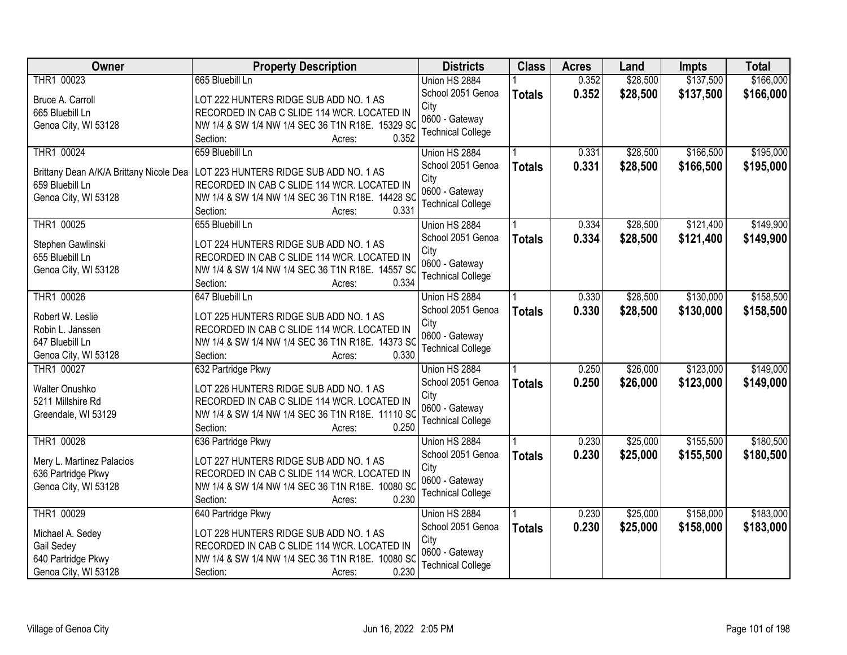| Owner                                   | <b>Property Description</b>                                                           | <b>Districts</b>          | <b>Class</b>  | <b>Acres</b> | Land     | Impts     | <b>Total</b> |
|-----------------------------------------|---------------------------------------------------------------------------------------|---------------------------|---------------|--------------|----------|-----------|--------------|
| THR1 00023                              | 665 Bluebill Ln                                                                       | Union HS 2884             |               | 0.352        | \$28,500 | \$137,500 | \$166,000    |
| Bruce A. Carroll                        | LOT 222 HUNTERS RIDGE SUB ADD NO. 1 AS                                                | School 2051 Genoa         | <b>Totals</b> | 0.352        | \$28,500 | \$137,500 | \$166,000    |
| 665 Bluebill Ln                         | RECORDED IN CAB C SLIDE 114 WCR. LOCATED IN                                           | City                      |               |              |          |           |              |
| Genoa City, WI 53128                    | NW 1/4 & SW 1/4 NW 1/4 SEC 36 T1N R18E. 15329 SO                                      | 0600 - Gateway            |               |              |          |           |              |
|                                         | 0.352<br>Section:<br>Acres:                                                           | <b>Technical College</b>  |               |              |          |           |              |
| THR1 00024                              | 659 Bluebill Ln                                                                       | Union HS 2884             |               | 0.331        | \$28,500 | \$166,500 | \$195,000    |
| Brittany Dean A/K/A Brittany Nicole Dea | LOT 223 HUNTERS RIDGE SUB ADD NO. 1 AS                                                | School 2051 Genoa         | <b>Totals</b> | 0.331        | \$28,500 | \$166,500 | \$195,000    |
| 659 Bluebill Ln                         | RECORDED IN CAB C SLIDE 114 WCR. LOCATED IN                                           | City                      |               |              |          |           |              |
| Genoa City, WI 53128                    | NW 1/4 & SW 1/4 NW 1/4 SEC 36 T1N R18E. 14428 SC                                      | 0600 - Gateway            |               |              |          |           |              |
|                                         | 0.331<br>Section:<br>Acres:                                                           | <b>Technical College</b>  |               |              |          |           |              |
| THR1 00025                              | 655 Bluebill Ln                                                                       | Union HS 2884             |               | 0.334        | \$28,500 | \$121,400 | \$149,900    |
|                                         |                                                                                       | School 2051 Genoa         | <b>Totals</b> | 0.334        | \$28,500 | \$121,400 | \$149,900    |
| Stephen Gawlinski                       | LOT 224 HUNTERS RIDGE SUB ADD NO. 1 AS                                                | City                      |               |              |          |           |              |
| 655 Bluebill Ln                         | RECORDED IN CAB C SLIDE 114 WCR. LOCATED IN                                           | 0600 - Gateway            |               |              |          |           |              |
| Genoa City, WI 53128                    | NW 1/4 & SW 1/4 NW 1/4 SEC 36 T1N R18E. 14557 SC                                      | <b>Technical College</b>  |               |              |          |           |              |
|                                         | 0.334<br>Section:<br>Acres:                                                           |                           |               |              |          |           |              |
| THR1 00026                              | 647 Bluebill Ln                                                                       | Union HS 2884             |               | 0.330        | \$28,500 | \$130,000 | \$158,500    |
| Robert W. Leslie                        | LOT 225 HUNTERS RIDGE SUB ADD NO. 1 AS                                                | School 2051 Genoa         | <b>Totals</b> | 0.330        | \$28,500 | \$130,000 | \$158,500    |
| Robin L. Janssen                        | RECORDED IN CAB C SLIDE 114 WCR. LOCATED IN                                           | City<br>0600 - Gateway    |               |              |          |           |              |
| 647 Bluebill Ln                         | NW 1/4 & SW 1/4 NW 1/4 SEC 36 T1N R18E. 14373 SO                                      | <b>Technical College</b>  |               |              |          |           |              |
| Genoa City, WI 53128                    | 0.330<br>Section:<br>Acres:                                                           |                           |               |              |          |           |              |
| THR1 00027                              | 632 Partridge Pkwy                                                                    | Union HS 2884             |               | 0.250        | \$26,000 | \$123,000 | \$149,000    |
| Walter Onushko                          | LOT 226 HUNTERS RIDGE SUB ADD NO. 1 AS                                                | School 2051 Genoa         | <b>Totals</b> | 0.250        | \$26,000 | \$123,000 | \$149,000    |
| 5211 Millshire Rd                       | RECORDED IN CAB C SLIDE 114 WCR. LOCATED IN                                           | City                      |               |              |          |           |              |
| Greendale, WI 53129                     | NW 1/4 & SW 1/4 NW 1/4 SEC 36 T1N R18E. 11110 SC                                      | 0600 - Gateway            |               |              |          |           |              |
|                                         | 0.250<br>Section:<br>Acres:                                                           | <b>Technical College</b>  |               |              |          |           |              |
| THR1 00028                              | 636 Partridge Pkwy                                                                    | Union HS 2884             |               | 0.230        | \$25,000 | \$155,500 | \$180,500    |
|                                         |                                                                                       | School 2051 Genoa         | <b>Totals</b> | 0.230        | \$25,000 | \$155,500 | \$180,500    |
| Mery L. Martinez Palacios               | LOT 227 HUNTERS RIDGE SUB ADD NO. 1 AS<br>RECORDED IN CAB C SLIDE 114 WCR. LOCATED IN | City                      |               |              |          |           |              |
| 636 Partridge Pkwy                      |                                                                                       | 0600 - Gateway            |               |              |          |           |              |
| Genoa City, WI 53128                    | NW 1/4 & SW 1/4 NW 1/4 SEC 36 T1N R18E. 10080 SC<br>0.230<br>Section:                 | <b>Technical College</b>  |               |              |          |           |              |
| THR1 00029                              | Acres:<br>640 Partridge Pkwy                                                          | Union HS 2884             |               | 0.230        | \$25,000 | \$158,000 | \$183,000    |
|                                         |                                                                                       |                           |               |              |          |           |              |
| Michael A. Sedey                        | LOT 228 HUNTERS RIDGE SUB ADD NO. 1 AS                                                | School 2051 Genoa<br>City | <b>Totals</b> | 0.230        | \$25,000 | \$158,000 | \$183,000    |
| Gail Sedey                              | RECORDED IN CAB C SLIDE 114 WCR. LOCATED IN                                           | 0600 - Gateway            |               |              |          |           |              |
| 640 Partridge Pkwy                      | NW 1/4 & SW 1/4 NW 1/4 SEC 36 T1N R18E. 10080 SC                                      | <b>Technical College</b>  |               |              |          |           |              |
| Genoa City, WI 53128                    | 0.230<br>Section:<br>Acres:                                                           |                           |               |              |          |           |              |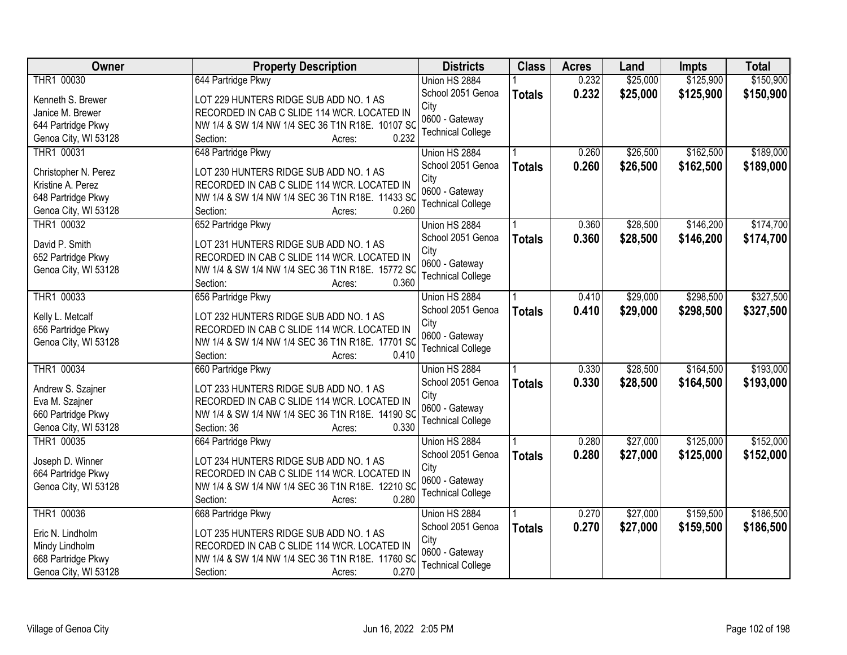| <b>Owner</b>         | <b>Property Description</b>                      | <b>Districts</b>         | <b>Class</b>  | <b>Acres</b> | Land     | <b>Impts</b> | <b>Total</b> |
|----------------------|--------------------------------------------------|--------------------------|---------------|--------------|----------|--------------|--------------|
| THR1 00030           | 644 Partridge Pkwy                               | Union HS 2884            |               | 0.232        | \$25,000 | \$125,900    | \$150,900    |
| Kenneth S. Brewer    | LOT 229 HUNTERS RIDGE SUB ADD NO. 1 AS           | School 2051 Genoa        | <b>Totals</b> | 0.232        | \$25,000 | \$125,900    | \$150,900    |
| Janice M. Brewer     | RECORDED IN CAB C SLIDE 114 WCR. LOCATED IN      | City                     |               |              |          |              |              |
| 644 Partridge Pkwy   | NW 1/4 & SW 1/4 NW 1/4 SEC 36 T1N R18E. 10107 SC | 0600 - Gateway           |               |              |          |              |              |
| Genoa City, WI 53128 | 0.232<br>Section:<br>Acres:                      | <b>Technical College</b> |               |              |          |              |              |
| THR1 00031           | 648 Partridge Pkwy                               | Union HS 2884            |               | 0.260        | \$26,500 | \$162,500    | \$189,000    |
|                      |                                                  | School 2051 Genoa        | <b>Totals</b> | 0.260        | \$26,500 | \$162,500    | \$189,000    |
| Christopher N. Perez | LOT 230 HUNTERS RIDGE SUB ADD NO. 1 AS           | City                     |               |              |          |              |              |
| Kristine A. Perez    | RECORDED IN CAB C SLIDE 114 WCR. LOCATED IN      | 0600 - Gateway           |               |              |          |              |              |
| 648 Partridge Pkwy   | NW 1/4 & SW 1/4 NW 1/4 SEC 36 T1N R18E. 11433 SC | <b>Technical College</b> |               |              |          |              |              |
| Genoa City, WI 53128 | 0.260<br>Section:<br>Acres:                      |                          |               |              |          |              |              |
| THR1 00032           | 652 Partridge Pkwy                               | Union HS 2884            |               | 0.360        | \$28,500 | \$146,200    | \$174,700    |
| David P. Smith       | LOT 231 HUNTERS RIDGE SUB ADD NO. 1 AS           | School 2051 Genoa        | <b>Totals</b> | 0.360        | \$28,500 | \$146,200    | \$174,700    |
| 652 Partridge Pkwy   | RECORDED IN CAB C SLIDE 114 WCR. LOCATED IN      | City                     |               |              |          |              |              |
| Genoa City, WI 53128 | NW 1/4 & SW 1/4 NW 1/4 SEC 36 T1N R18E. 15772 SC | 0600 - Gateway           |               |              |          |              |              |
|                      | 0.360<br>Section:<br>Acres:                      | <b>Technical College</b> |               |              |          |              |              |
| THR1 00033           | 656 Partridge Pkwy                               | Union HS 2884            |               | 0.410        | \$29,000 | \$298,500    | \$327,500    |
|                      |                                                  | School 2051 Genoa        | <b>Totals</b> | 0.410        | \$29,000 | \$298,500    | \$327,500    |
| Kelly L. Metcalf     | LOT 232 HUNTERS RIDGE SUB ADD NO. 1 AS           | City                     |               |              |          |              |              |
| 656 Partridge Pkwy   | RECORDED IN CAB C SLIDE 114 WCR. LOCATED IN      | 0600 - Gateway           |               |              |          |              |              |
| Genoa City, WI 53128 | NW 1/4 & SW 1/4 NW 1/4 SEC 36 T1N R18E. 17701 SC | <b>Technical College</b> |               |              |          |              |              |
|                      | 0.410<br>Section:<br>Acres:                      |                          |               |              |          |              |              |
| THR1 00034           | 660 Partridge Pkwy                               | Union HS 2884            |               | 0.330        | \$28,500 | \$164,500    | \$193,000    |
| Andrew S. Szajner    | LOT 233 HUNTERS RIDGE SUB ADD NO. 1 AS           | School 2051 Genoa        | <b>Totals</b> | 0.330        | \$28,500 | \$164,500    | \$193,000    |
| Eva M. Szajner       | RECORDED IN CAB C SLIDE 114 WCR. LOCATED IN      | City                     |               |              |          |              |              |
| 660 Partridge Pkwy   | NW 1/4 & SW 1/4 NW 1/4 SEC 36 T1N R18E. 14190 SC | 0600 - Gateway           |               |              |          |              |              |
| Genoa City, WI 53128 | 0.330<br>Section: 36<br>Acres:                   | <b>Technical College</b> |               |              |          |              |              |
| THR1 00035           | 664 Partridge Pkwy                               | Union HS 2884            |               | 0.280        | \$27,000 | \$125,000    | \$152,000    |
|                      |                                                  | School 2051 Genoa        | <b>Totals</b> | 0.280        | \$27,000 | \$125,000    | \$152,000    |
| Joseph D. Winner     | LOT 234 HUNTERS RIDGE SUB ADD NO. 1 AS           | City                     |               |              |          |              |              |
| 664 Partridge Pkwy   | RECORDED IN CAB C SLIDE 114 WCR. LOCATED IN      | 0600 - Gateway           |               |              |          |              |              |
| Genoa City, WI 53128 | NW 1/4 & SW 1/4 NW 1/4 SEC 36 T1N R18E. 12210 SC | <b>Technical College</b> |               |              |          |              |              |
|                      | 0.280<br>Section:<br>Acres:                      |                          |               |              |          |              |              |
| THR1 00036           | 668 Partridge Pkwy                               | Union HS 2884            |               | 0.270        | \$27,000 | \$159,500    | \$186,500    |
| Eric N. Lindholm     | LOT 235 HUNTERS RIDGE SUB ADD NO. 1 AS           | School 2051 Genoa        | <b>Totals</b> | 0.270        | \$27,000 | \$159,500    | \$186,500    |
| Mindy Lindholm       | RECORDED IN CAB C SLIDE 114 WCR. LOCATED IN      | City                     |               |              |          |              |              |
| 668 Partridge Pkwy   | NW 1/4 & SW 1/4 NW 1/4 SEC 36 T1N R18E. 11760 SC | 0600 - Gateway           |               |              |          |              |              |
| Genoa City, WI 53128 | 0.270<br>Section:<br>Acres:                      | <b>Technical College</b> |               |              |          |              |              |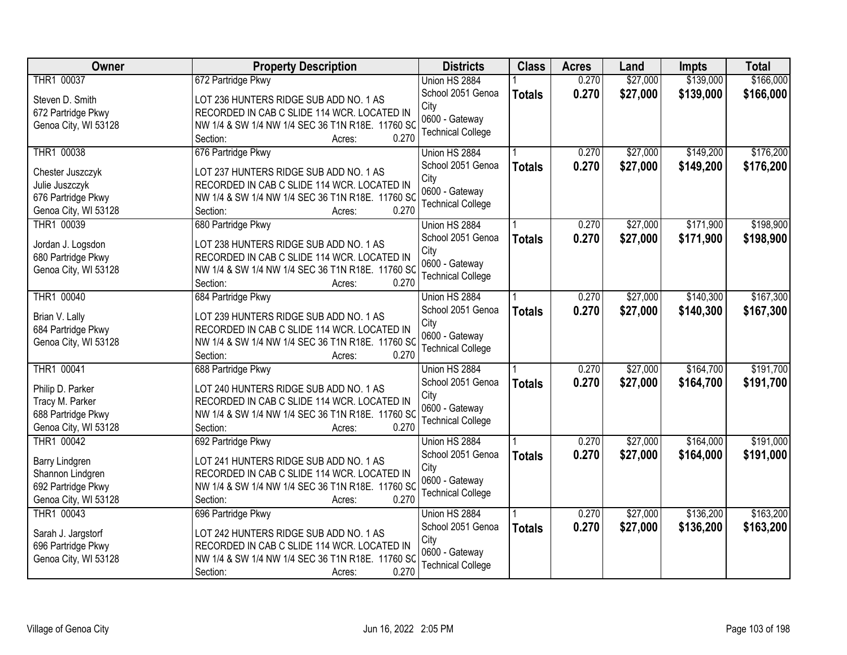| <b>Owner</b>         | <b>Property Description</b>                      | <b>Districts</b>                           | <b>Class</b>  | <b>Acres</b> | Land     | Impts     | <b>Total</b> |
|----------------------|--------------------------------------------------|--------------------------------------------|---------------|--------------|----------|-----------|--------------|
| THR1 00037           | 672 Partridge Pkwy                               | Union HS 2884                              |               | 0.270        | \$27,000 | \$139,000 | \$166,000    |
| Steven D. Smith      | LOT 236 HUNTERS RIDGE SUB ADD NO. 1 AS           | School 2051 Genoa                          | <b>Totals</b> | 0.270        | \$27,000 | \$139,000 | \$166,000    |
| 672 Partridge Pkwy   | RECORDED IN CAB C SLIDE 114 WCR. LOCATED IN      | City                                       |               |              |          |           |              |
| Genoa City, WI 53128 | NW 1/4 & SW 1/4 NW 1/4 SEC 36 T1N R18E. 11760 SC | 0600 - Gateway                             |               |              |          |           |              |
|                      | 0.270<br>Section:<br>Acres:                      | <b>Technical College</b>                   |               |              |          |           |              |
| THR1 00038           | 676 Partridge Pkwy                               | Union HS 2884                              |               | 0.270        | \$27,000 | \$149,200 | \$176,200    |
| Chester Juszczyk     | LOT 237 HUNTERS RIDGE SUB ADD NO. 1 AS           | School 2051 Genoa                          | <b>Totals</b> | 0.270        | \$27,000 | \$149,200 | \$176,200    |
| Julie Juszczyk       | RECORDED IN CAB C SLIDE 114 WCR. LOCATED IN      | City                                       |               |              |          |           |              |
| 676 Partridge Pkwy   | NW 1/4 & SW 1/4 NW 1/4 SEC 36 T1N R18E. 11760 SC | 0600 - Gateway                             |               |              |          |           |              |
| Genoa City, WI 53128 | 0.270<br>Section:<br>Acres:                      | <b>Technical College</b>                   |               |              |          |           |              |
| THR1 00039           | 680 Partridge Pkwy                               | Union HS 2884                              |               | 0.270        | \$27,000 | \$171,900 | \$198,900    |
|                      |                                                  | School 2051 Genoa                          | <b>Totals</b> | 0.270        | \$27,000 | \$171,900 | \$198,900    |
| Jordan J. Logsdon    | LOT 238 HUNTERS RIDGE SUB ADD NO. 1 AS           | City                                       |               |              |          |           |              |
| 680 Partridge Pkwy   | RECORDED IN CAB C SLIDE 114 WCR. LOCATED IN      | 0600 - Gateway                             |               |              |          |           |              |
| Genoa City, WI 53128 | NW 1/4 & SW 1/4 NW 1/4 SEC 36 T1N R18E. 11760 SC | <b>Technical College</b>                   |               |              |          |           |              |
|                      | 0.270<br>Section:<br>Acres:                      |                                            |               |              |          |           |              |
| THR1 00040           | 684 Partridge Pkwy                               | Union HS 2884                              |               | 0.270        | \$27,000 | \$140,300 | \$167,300    |
| Brian V. Lally       | LOT 239 HUNTERS RIDGE SUB ADD NO. 1 AS           | School 2051 Genoa                          | <b>Totals</b> | 0.270        | \$27,000 | \$140,300 | \$167,300    |
| 684 Partridge Pkwy   | RECORDED IN CAB C SLIDE 114 WCR. LOCATED IN      | City                                       |               |              |          |           |              |
| Genoa City, WI 53128 | NW 1/4 & SW 1/4 NW 1/4 SEC 36 T1N R18E. 11760 SC | 0600 - Gateway<br><b>Technical College</b> |               |              |          |           |              |
|                      | 0.270<br>Section:<br>Acres:                      |                                            |               |              |          |           |              |
| THR1 00041           | 688 Partridge Pkwy                               | Union HS 2884                              |               | 0.270        | \$27,000 | \$164,700 | \$191,700    |
| Philip D. Parker     | LOT 240 HUNTERS RIDGE SUB ADD NO. 1 AS           | School 2051 Genoa                          | <b>Totals</b> | 0.270        | \$27,000 | \$164,700 | \$191,700    |
| Tracy M. Parker      | RECORDED IN CAB C SLIDE 114 WCR. LOCATED IN      | City                                       |               |              |          |           |              |
| 688 Partridge Pkwy   | NW 1/4 & SW 1/4 NW 1/4 SEC 36 T1N R18E. 11760 SC | 0600 - Gateway                             |               |              |          |           |              |
| Genoa City, WI 53128 | 0.270<br>Section:<br>Acres:                      | <b>Technical College</b>                   |               |              |          |           |              |
| THR1 00042           | 692 Partridge Pkwy                               | Union HS 2884                              |               | 0.270        | \$27,000 | \$164,000 | \$191,000    |
|                      |                                                  | School 2051 Genoa                          | <b>Totals</b> | 0.270        | \$27,000 | \$164,000 | \$191,000    |
| Barry Lindgren       | LOT 241 HUNTERS RIDGE SUB ADD NO. 1 AS           | City                                       |               |              |          |           |              |
| Shannon Lindgren     | RECORDED IN CAB C SLIDE 114 WCR. LOCATED IN      | 0600 - Gateway                             |               |              |          |           |              |
| 692 Partridge Pkwy   | NW 1/4 & SW 1/4 NW 1/4 SEC 36 T1N R18E. 11760 SC | <b>Technical College</b>                   |               |              |          |           |              |
| Genoa City, WI 53128 | 0.270<br>Section:<br>Acres:                      |                                            |               |              |          |           |              |
| THR1 00043           | 696 Partridge Pkwy                               | Union HS 2884                              |               | 0.270        | \$27,000 | \$136,200 | \$163,200    |
| Sarah J. Jargstorf   | LOT 242 HUNTERS RIDGE SUB ADD NO. 1 AS           | School 2051 Genoa                          | <b>Totals</b> | 0.270        | \$27,000 | \$136,200 | \$163,200    |
| 696 Partridge Pkwy   | RECORDED IN CAB C SLIDE 114 WCR. LOCATED IN      | City                                       |               |              |          |           |              |
| Genoa City, WI 53128 | NW 1/4 & SW 1/4 NW 1/4 SEC 36 T1N R18E. 11760 SC | 0600 - Gateway                             |               |              |          |           |              |
|                      | 0.270<br>Section:<br>Acres:                      | <b>Technical College</b>                   |               |              |          |           |              |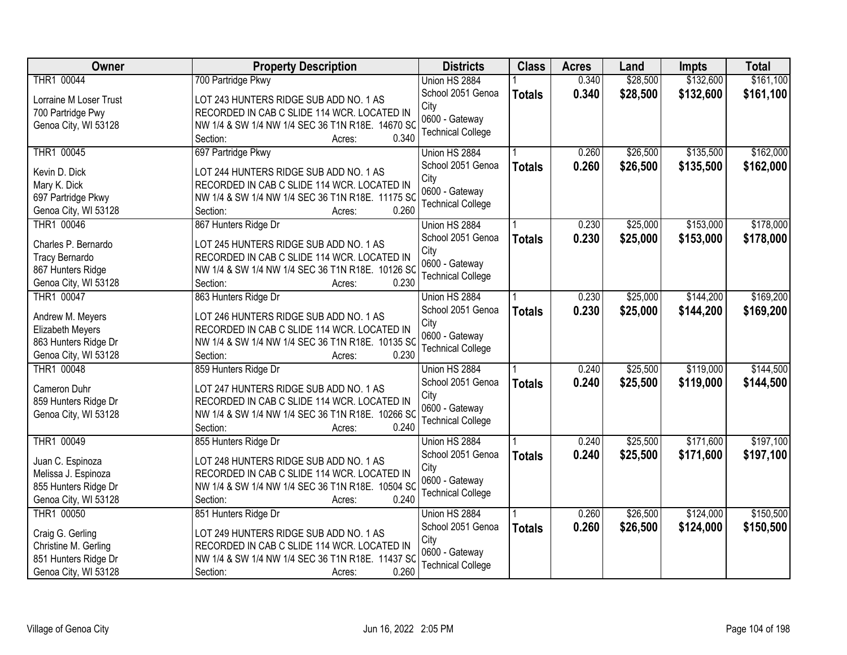| Owner                              | <b>Property Description</b>                                                           | <b>Districts</b>         | <b>Class</b>  | <b>Acres</b> | Land     | <b>Impts</b> | <b>Total</b> |
|------------------------------------|---------------------------------------------------------------------------------------|--------------------------|---------------|--------------|----------|--------------|--------------|
| THR1 00044                         | 700 Partridge Pkwy                                                                    | Union HS 2884            |               | 0.340        | \$28,500 | \$132,600    | \$161,100    |
| Lorraine M Loser Trust             | LOT 243 HUNTERS RIDGE SUB ADD NO. 1 AS                                                | School 2051 Genoa        | <b>Totals</b> | 0.340        | \$28,500 | \$132,600    | \$161,100    |
| 700 Partridge Pwy                  | RECORDED IN CAB C SLIDE 114 WCR. LOCATED IN                                           | City                     |               |              |          |              |              |
| Genoa City, WI 53128               | NW 1/4 & SW 1/4 NW 1/4 SEC 36 T1N R18E. 14670 SC                                      | 0600 - Gateway           |               |              |          |              |              |
|                                    | 0.340<br>Section:<br>Acres:                                                           | <b>Technical College</b> |               |              |          |              |              |
| THR1 00045                         | 697 Partridge Pkwy                                                                    | Union HS 2884            |               | 0.260        | \$26,500 | \$135,500    | \$162,000    |
|                                    |                                                                                       | School 2051 Genoa        | <b>Totals</b> | 0.260        | \$26,500 | \$135,500    | \$162,000    |
| Kevin D. Dick                      | LOT 244 HUNTERS RIDGE SUB ADD NO. 1 AS<br>RECORDED IN CAB C SLIDE 114 WCR. LOCATED IN | City                     |               |              |          |              |              |
| Mary K. Dick                       | NW 1/4 & SW 1/4 NW 1/4 SEC 36 T1N R18E. 11175 SC                                      | 0600 - Gateway           |               |              |          |              |              |
| 697 Partridge Pkwy                 | 0.260<br>Section:                                                                     | <b>Technical College</b> |               |              |          |              |              |
| Genoa City, WI 53128<br>THR1 00046 | Acres:<br>867 Hunters Ridge Dr                                                        | Union HS 2884            |               | 0.230        | \$25,000 | \$153,000    | \$178,000    |
|                                    |                                                                                       | School 2051 Genoa        |               |              |          |              |              |
| Charles P. Bernardo                | LOT 245 HUNTERS RIDGE SUB ADD NO. 1 AS                                                | City                     | <b>Totals</b> | 0.230        | \$25,000 | \$153,000    | \$178,000    |
| Tracy Bernardo                     | RECORDED IN CAB C SLIDE 114 WCR. LOCATED IN                                           | 0600 - Gateway           |               |              |          |              |              |
| 867 Hunters Ridge                  | NW 1/4 & SW 1/4 NW 1/4 SEC 36 T1N R18E. 10126 SC                                      | <b>Technical College</b> |               |              |          |              |              |
| Genoa City, WI 53128               | 0.230<br>Section:<br>Acres:                                                           |                          |               |              |          |              |              |
| THR1 00047                         | 863 Hunters Ridge Dr                                                                  | Union HS 2884            |               | 0.230        | \$25,000 | \$144,200    | \$169,200    |
| Andrew M. Meyers                   | LOT 246 HUNTERS RIDGE SUB ADD NO. 1 AS                                                | School 2051 Genoa        | <b>Totals</b> | 0.230        | \$25,000 | \$144,200    | \$169,200    |
| Elizabeth Meyers                   | RECORDED IN CAB C SLIDE 114 WCR. LOCATED IN                                           | City                     |               |              |          |              |              |
| 863 Hunters Ridge Dr               | NW 1/4 & SW 1/4 NW 1/4 SEC 36 T1N R18E. 10135 SC                                      | 0600 - Gateway           |               |              |          |              |              |
| Genoa City, WI 53128               | 0.230<br>Section:<br>Acres:                                                           | <b>Technical College</b> |               |              |          |              |              |
| THR1 00048                         | 859 Hunters Ridge Dr                                                                  | Union HS 2884            |               | 0.240        | \$25,500 | \$119,000    | \$144,500    |
|                                    |                                                                                       | School 2051 Genoa        |               | 0.240        | \$25,500 | \$119,000    | \$144,500    |
| Cameron Duhr                       | LOT 247 HUNTERS RIDGE SUB ADD NO. 1 AS                                                | City                     | <b>Totals</b> |              |          |              |              |
| 859 Hunters Ridge Dr               | RECORDED IN CAB C SLIDE 114 WCR. LOCATED IN                                           | 0600 - Gateway           |               |              |          |              |              |
| Genoa City, WI 53128               | NW 1/4 & SW 1/4 NW 1/4 SEC 36 T1N R18E. 10266 SC                                      | <b>Technical College</b> |               |              |          |              |              |
|                                    | 0.240<br>Section:<br>Acres:                                                           |                          |               |              |          |              |              |
| THR1 00049                         | 855 Hunters Ridge Dr                                                                  | Union HS 2884            |               | 0.240        | \$25,500 | \$171,600    | \$197,100    |
| Juan C. Espinoza                   | LOT 248 HUNTERS RIDGE SUB ADD NO. 1 AS                                                | School 2051 Genoa        | <b>Totals</b> | 0.240        | \$25,500 | \$171,600    | \$197,100    |
| Melissa J. Espinoza                | RECORDED IN CAB C SLIDE 114 WCR. LOCATED IN                                           | City                     |               |              |          |              |              |
| 855 Hunters Ridge Dr               | NW 1/4 & SW 1/4 NW 1/4 SEC 36 T1N R18E. 10504 SC                                      | 0600 - Gateway           |               |              |          |              |              |
| Genoa City, WI 53128               | 0.240<br>Section:<br>Acres:                                                           | <b>Technical College</b> |               |              |          |              |              |
| THR1 00050                         | 851 Hunters Ridge Dr                                                                  | Union HS 2884            |               | 0.260        | \$26,500 | \$124,000    | \$150,500    |
|                                    |                                                                                       | School 2051 Genoa        | <b>Totals</b> | 0.260        | \$26,500 | \$124,000    | \$150,500    |
| Craig G. Gerling                   | LOT 249 HUNTERS RIDGE SUB ADD NO. 1 AS                                                | City                     |               |              |          |              |              |
| Christine M. Gerling               | RECORDED IN CAB C SLIDE 114 WCR. LOCATED IN                                           | 0600 - Gateway           |               |              |          |              |              |
| 851 Hunters Ridge Dr               | NW 1/4 & SW 1/4 NW 1/4 SEC 36 T1N R18E. 11437 SC                                      | <b>Technical College</b> |               |              |          |              |              |
| Genoa City, WI 53128               | 0.260<br>Section:<br>Acres:                                                           |                          |               |              |          |              |              |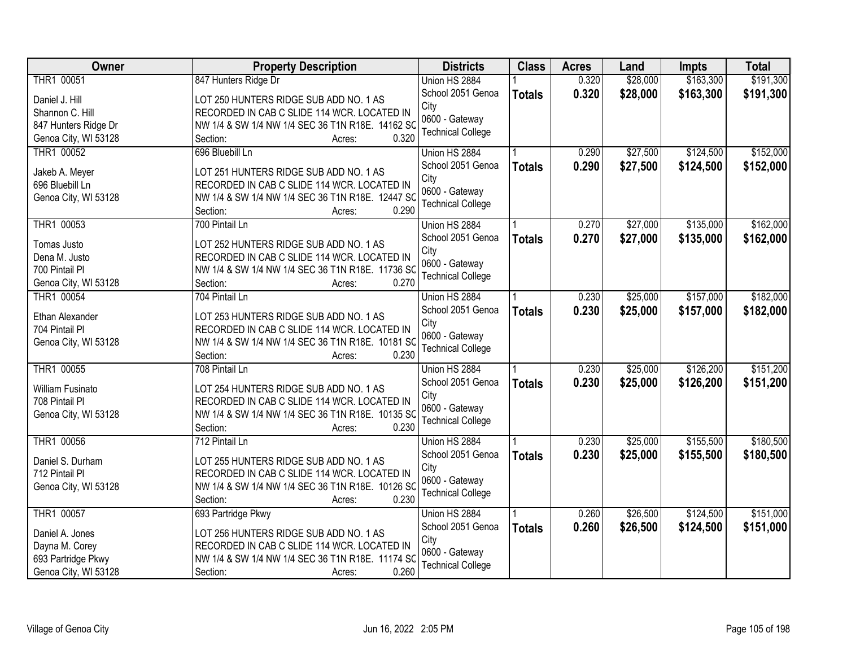| Owner                   | <b>Property Description</b>                      | <b>Districts</b>         | <b>Class</b>  | <b>Acres</b> | Land     | Impts     | <b>Total</b> |
|-------------------------|--------------------------------------------------|--------------------------|---------------|--------------|----------|-----------|--------------|
| THR1 00051              | 847 Hunters Ridge Dr                             | Union HS 2884            |               | 0.320        | \$28,000 | \$163,300 | \$191,300    |
| Daniel J. Hill          | LOT 250 HUNTERS RIDGE SUB ADD NO. 1 AS           | School 2051 Genoa        | <b>Totals</b> | 0.320        | \$28,000 | \$163,300 | \$191,300    |
| Shannon C. Hill         | RECORDED IN CAB C SLIDE 114 WCR. LOCATED IN      | City                     |               |              |          |           |              |
| 847 Hunters Ridge Dr    | NW 1/4 & SW 1/4 NW 1/4 SEC 36 T1N R18E. 14162 SC | 0600 - Gateway           |               |              |          |           |              |
| Genoa City, WI 53128    | 0.320<br>Section:<br>Acres:                      | <b>Technical College</b> |               |              |          |           |              |
| THR1 00052              | 696 Bluebill Ln                                  | Union HS 2884            |               | 0.290        | \$27,500 | \$124,500 | \$152,000    |
|                         |                                                  | School 2051 Genoa        | <b>Totals</b> | 0.290        | \$27,500 | \$124,500 | \$152,000    |
| Jakeb A. Meyer          | LOT 251 HUNTERS RIDGE SUB ADD NO. 1 AS           | City                     |               |              |          |           |              |
| 696 Bluebill Ln         | RECORDED IN CAB C SLIDE 114 WCR. LOCATED IN      | 0600 - Gateway           |               |              |          |           |              |
| Genoa City, WI 53128    | NW 1/4 & SW 1/4 NW 1/4 SEC 36 T1N R18E. 12447 SC | <b>Technical College</b> |               |              |          |           |              |
|                         | 0.290<br>Section:<br>Acres:                      |                          |               |              |          |           |              |
| THR1 00053              | 700 Pintail Ln                                   | Union HS 2884            |               | 0.270        | \$27,000 | \$135,000 | \$162,000    |
| Tomas Justo             | LOT 252 HUNTERS RIDGE SUB ADD NO. 1 AS           | School 2051 Genoa        | <b>Totals</b> | 0.270        | \$27,000 | \$135,000 | \$162,000    |
| Dena M. Justo           | RECORDED IN CAB C SLIDE 114 WCR. LOCATED IN      | City                     |               |              |          |           |              |
| 700 Pintail Pl          | NW 1/4 & SW 1/4 NW 1/4 SEC 36 T1N R18E. 11736 SC | 0600 - Gateway           |               |              |          |           |              |
| Genoa City, WI 53128    | 0.270<br>Section:<br>Acres:                      | <b>Technical College</b> |               |              |          |           |              |
| THR1 00054              | 704 Pintail Ln                                   | Union HS 2884            |               | 0.230        | \$25,000 | \$157,000 | \$182,000    |
|                         |                                                  | School 2051 Genoa        | <b>Totals</b> | 0.230        | \$25,000 | \$157,000 | \$182,000    |
| Ethan Alexander         | LOT 253 HUNTERS RIDGE SUB ADD NO. 1 AS           | City                     |               |              |          |           |              |
| 704 Pintail Pl          | RECORDED IN CAB C SLIDE 114 WCR. LOCATED IN      | 0600 - Gateway           |               |              |          |           |              |
| Genoa City, WI 53128    | NW 1/4 & SW 1/4 NW 1/4 SEC 36 T1N R18E. 10181 SC | <b>Technical College</b> |               |              |          |           |              |
|                         | 0.230<br>Section:<br>Acres:                      |                          |               |              |          |           |              |
| THR1 00055              | 708 Pintail Ln                                   | Union HS 2884            |               | 0.230        | \$25,000 | \$126,200 | \$151,200    |
| <b>William Fusinato</b> | LOT 254 HUNTERS RIDGE SUB ADD NO. 1 AS           | School 2051 Genoa        | <b>Totals</b> | 0.230        | \$25,000 | \$126,200 | \$151,200    |
| 708 Pintail Pl          | RECORDED IN CAB C SLIDE 114 WCR. LOCATED IN      | City                     |               |              |          |           |              |
| Genoa City, WI 53128    | NW 1/4 & SW 1/4 NW 1/4 SEC 36 T1N R18E. 10135 SC | 0600 - Gateway           |               |              |          |           |              |
|                         | 0.230<br>Section:<br>Acres:                      | <b>Technical College</b> |               |              |          |           |              |
| THR1 00056              | 712 Pintail Ln                                   | Union HS 2884            |               | 0.230        | \$25,000 | \$155,500 | \$180,500    |
|                         |                                                  | School 2051 Genoa        | <b>Totals</b> | 0.230        | \$25,000 | \$155,500 | \$180,500    |
| Daniel S. Durham        | LOT 255 HUNTERS RIDGE SUB ADD NO. 1 AS           | City                     |               |              |          |           |              |
| 712 Pintail Pl          | RECORDED IN CAB C SLIDE 114 WCR. LOCATED IN      | 0600 - Gateway           |               |              |          |           |              |
| Genoa City, WI 53128    | NW 1/4 & SW 1/4 NW 1/4 SEC 36 T1N R18E. 10126 SC | <b>Technical College</b> |               |              |          |           |              |
|                         | 0.230<br>Section:<br>Acres:                      |                          |               |              |          |           |              |
| THR1 00057              | 693 Partridge Pkwy                               | Union HS 2884            |               | 0.260        | \$26,500 | \$124,500 | \$151,000    |
| Daniel A. Jones         | LOT 256 HUNTERS RIDGE SUB ADD NO. 1 AS           | School 2051 Genoa        | <b>Totals</b> | 0.260        | \$26,500 | \$124,500 | \$151,000    |
| Dayna M. Corey          | RECORDED IN CAB C SLIDE 114 WCR. LOCATED IN      | City                     |               |              |          |           |              |
| 693 Partridge Pkwy      | NW 1/4 & SW 1/4 NW 1/4 SEC 36 T1N R18E. 11174 SC | 0600 - Gateway           |               |              |          |           |              |
| Genoa City, WI 53128    | 0.260<br>Section:<br>Acres:                      | <b>Technical College</b> |               |              |          |           |              |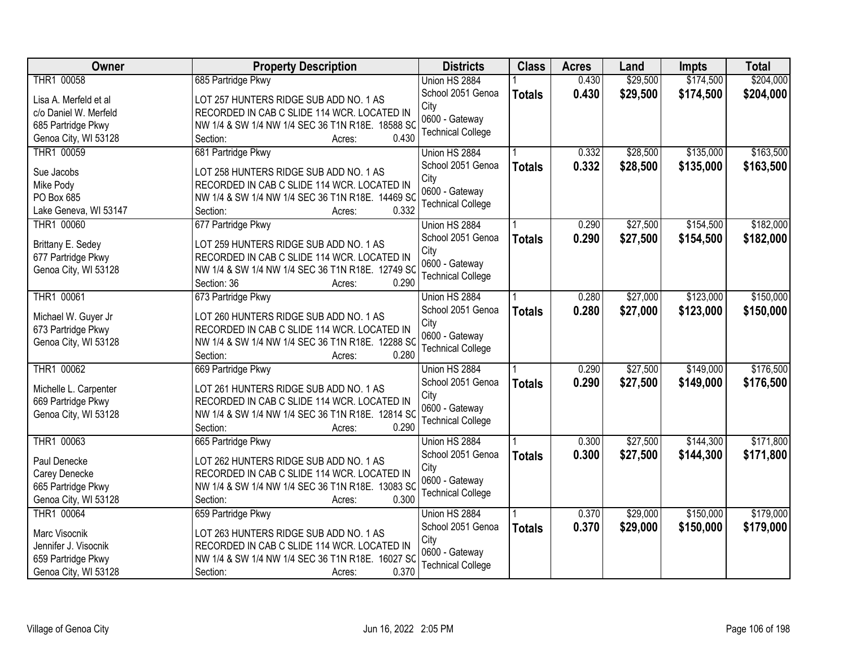| <b>Owner</b>          | <b>Property Description</b>                      | <b>Districts</b>         | <b>Class</b>  | <b>Acres</b> | Land     | <b>Impts</b> | <b>Total</b> |
|-----------------------|--------------------------------------------------|--------------------------|---------------|--------------|----------|--------------|--------------|
| THR1 00058            | 685 Partridge Pkwy                               | Union HS 2884            |               | 0.430        | \$29,500 | \$174,500    | \$204,000    |
| Lisa A. Merfeld et al | LOT 257 HUNTERS RIDGE SUB ADD NO. 1 AS           | School 2051 Genoa        | <b>Totals</b> | 0.430        | \$29,500 | \$174,500    | \$204,000    |
| c/o Daniel W. Merfeld | RECORDED IN CAB C SLIDE 114 WCR. LOCATED IN      | City                     |               |              |          |              |              |
| 685 Partridge Pkwy    | NW 1/4 & SW 1/4 NW 1/4 SEC 36 T1N R18E. 18588 SC | 0600 - Gateway           |               |              |          |              |              |
| Genoa City, WI 53128  | 0.430<br>Section:<br>Acres:                      | <b>Technical College</b> |               |              |          |              |              |
| THR1 00059            | 681 Partridge Pkwy                               | Union HS 2884            |               | 0.332        | \$28,500 | \$135,000    | \$163,500    |
|                       |                                                  | School 2051 Genoa        | <b>Totals</b> | 0.332        | \$28,500 | \$135,000    | \$163,500    |
| Sue Jacobs            | LOT 258 HUNTERS RIDGE SUB ADD NO. 1 AS           | City                     |               |              |          |              |              |
| Mike Pody             | RECORDED IN CAB C SLIDE 114 WCR. LOCATED IN      | 0600 - Gateway           |               |              |          |              |              |
| PO Box 685            | NW 1/4 & SW 1/4 NW 1/4 SEC 36 T1N R18E. 14469 SC | <b>Technical College</b> |               |              |          |              |              |
| Lake Geneva, WI 53147 | 0.332<br>Section:<br>Acres:                      |                          |               |              |          |              |              |
| THR1 00060            | 677 Partridge Pkwy                               | Union HS 2884            |               | 0.290        | \$27,500 | \$154,500    | \$182,000    |
| Brittany E. Sedey     | LOT 259 HUNTERS RIDGE SUB ADD NO. 1 AS           | School 2051 Genoa        | <b>Totals</b> | 0.290        | \$27,500 | \$154,500    | \$182,000    |
| 677 Partridge Pkwy    | RECORDED IN CAB C SLIDE 114 WCR. LOCATED IN      | City                     |               |              |          |              |              |
| Genoa City, WI 53128  | NW 1/4 & SW 1/4 NW 1/4 SEC 36 T1N R18E. 12749 SC | 0600 - Gateway           |               |              |          |              |              |
|                       | 0.290<br>Section: 36<br>Acres:                   | <b>Technical College</b> |               |              |          |              |              |
| THR1 00061            | 673 Partridge Pkwy                               | Union HS 2884            |               | 0.280        | \$27,000 | \$123,000    | \$150,000    |
|                       |                                                  | School 2051 Genoa        | <b>Totals</b> | 0.280        | \$27,000 | \$123,000    | \$150,000    |
| Michael W. Guyer Jr   | LOT 260 HUNTERS RIDGE SUB ADD NO. 1 AS           | City                     |               |              |          |              |              |
| 673 Partridge Pkwy    | RECORDED IN CAB C SLIDE 114 WCR. LOCATED IN      | 0600 - Gateway           |               |              |          |              |              |
| Genoa City, WI 53128  | NW 1/4 & SW 1/4 NW 1/4 SEC 36 T1N R18E. 12288 SG | <b>Technical College</b> |               |              |          |              |              |
|                       | 0.280<br>Section:<br>Acres:                      |                          |               |              |          |              |              |
| THR1 00062            | 669 Partridge Pkwy                               | Union HS 2884            |               | 0.290        | \$27,500 | \$149,000    | \$176,500    |
| Michelle L. Carpenter | LOT 261 HUNTERS RIDGE SUB ADD NO. 1 AS           | School 2051 Genoa        | <b>Totals</b> | 0.290        | \$27,500 | \$149,000    | \$176,500    |
| 669 Partridge Pkwy    | RECORDED IN CAB C SLIDE 114 WCR. LOCATED IN      | City                     |               |              |          |              |              |
| Genoa City, WI 53128  | NW 1/4 & SW 1/4 NW 1/4 SEC 36 T1N R18E. 12814 SC | 0600 - Gateway           |               |              |          |              |              |
|                       | 0.290<br>Section:<br>Acres:                      | <b>Technical College</b> |               |              |          |              |              |
| THR1 00063            | 665 Partridge Pkwy                               | Union HS 2884            |               | 0.300        | \$27,500 | \$144,300    | \$171,800    |
|                       |                                                  | School 2051 Genoa        | <b>Totals</b> | 0.300        | \$27,500 | \$144,300    | \$171,800    |
| Paul Denecke          | LOT 262 HUNTERS RIDGE SUB ADD NO. 1 AS           | City                     |               |              |          |              |              |
| Carey Denecke         | RECORDED IN CAB C SLIDE 114 WCR. LOCATED IN      | 0600 - Gateway           |               |              |          |              |              |
| 665 Partridge Pkwy    | NW 1/4 & SW 1/4 NW 1/4 SEC 36 T1N R18E. 13083 SQ | <b>Technical College</b> |               |              |          |              |              |
| Genoa City, WI 53128  | 0.300<br>Section:<br>Acres:                      |                          |               |              |          |              |              |
| THR1 00064            | 659 Partridge Pkwy                               | Union HS 2884            |               | 0.370        | \$29,000 | \$150,000    | \$179,000    |
| Marc Visocnik         | LOT 263 HUNTERS RIDGE SUB ADD NO. 1 AS           | School 2051 Genoa        | <b>Totals</b> | 0.370        | \$29,000 | \$150,000    | \$179,000    |
| Jennifer J. Visocnik  | RECORDED IN CAB C SLIDE 114 WCR. LOCATED IN      | City                     |               |              |          |              |              |
| 659 Partridge Pkwy    | NW 1/4 & SW 1/4 NW 1/4 SEC 36 T1N R18E. 16027 SQ | 0600 - Gateway           |               |              |          |              |              |
| Genoa City, WI 53128  | 0.370<br>Section:<br>Acres:                      | <b>Technical College</b> |               |              |          |              |              |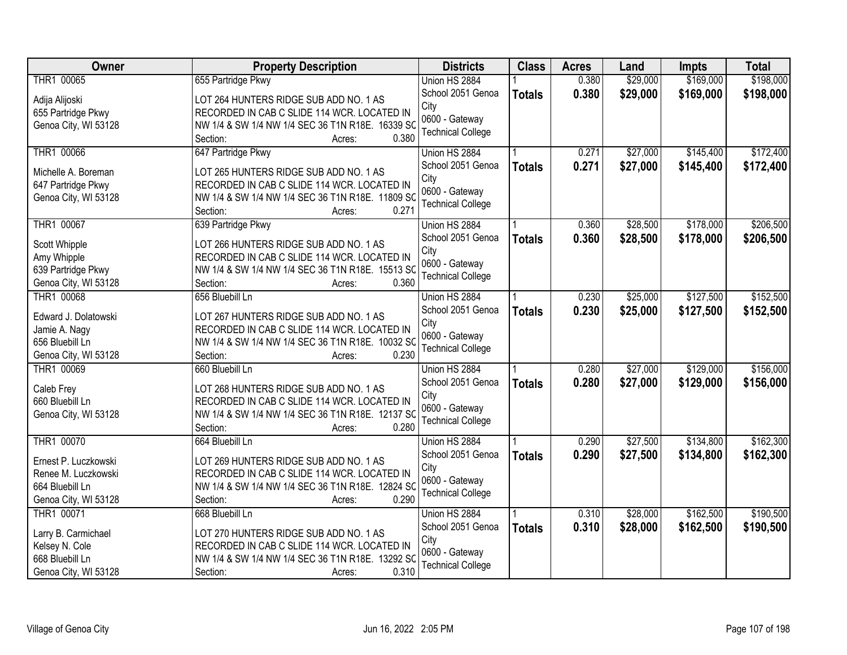| \$169,000<br>\$198,000<br>THR1 00065<br>0.380<br>\$29,000<br>655 Partridge Pkwy<br>Union HS 2884<br>School 2051 Genoa<br>0.380<br>\$29,000<br>\$169,000<br><b>Totals</b><br>LOT 264 HUNTERS RIDGE SUB ADD NO. 1 AS<br>Adija Alijoski<br>City<br>655 Partridge Pkwy<br>RECORDED IN CAB C SLIDE 114 WCR. LOCATED IN<br>0600 - Gateway<br>NW 1/4 & SW 1/4 NW 1/4 SEC 36 T1N R18E. 16339 SC<br>Genoa City, WI 53128<br><b>Technical College</b><br>0.380<br>Section:<br>Acres:<br>\$27,000<br>\$145,400<br>THR1 00066<br>647 Partridge Pkwy<br>0.271<br>Union HS 2884<br>School 2051 Genoa<br>0.271<br>\$27,000<br>\$145,400<br><b>Totals</b><br>Michelle A. Boreman<br>LOT 265 HUNTERS RIDGE SUB ADD NO. 1 AS<br>City<br>RECORDED IN CAB C SLIDE 114 WCR. LOCATED IN<br>647 Partridge Pkwy<br>0600 - Gateway<br>Genoa City, WI 53128<br>NW 1/4 & SW 1/4 NW 1/4 SEC 36 T1N R18E. 11809 SC<br><b>Technical College</b><br>0.271<br>Section:<br>Acres:<br>THR1 00067<br>639 Partridge Pkwy<br>\$28,500<br>\$178,000<br>Union HS 2884<br>0.360<br>School 2051 Genoa<br>0.360<br>\$28,500<br>\$178,000<br><b>Totals</b><br>LOT 266 HUNTERS RIDGE SUB ADD NO. 1 AS<br>Scott Whipple<br>City<br>Amy Whipple<br>RECORDED IN CAB C SLIDE 114 WCR. LOCATED IN<br>0600 - Gateway<br>639 Partridge Pkwy<br>NW 1/4 & SW 1/4 NW 1/4 SEC 36 T1N R18E. 15513 SC<br><b>Technical College</b><br>Genoa City, WI 53128<br>Section:<br>0.360<br>Acres:<br>THR1 00068<br>656 Bluebill Ln<br>0.230<br>\$25,000<br>\$127,500<br>Union HS 2884<br>School 2051 Genoa<br>0.230<br>\$25,000<br>\$127,500<br><b>Totals</b><br>LOT 267 HUNTERS RIDGE SUB ADD NO. 1 AS<br>Edward J. Dolatowski<br>City<br>Jamie A. Nagy<br>RECORDED IN CAB C SLIDE 114 WCR. LOCATED IN<br>0600 - Gateway<br>656 Bluebill Ln<br>NW 1/4 & SW 1/4 NW 1/4 SEC 36 T1N R18E. 10032 SQ<br><b>Technical College</b><br>0.230<br>Genoa City, WI 53128<br>Section:<br>Acres:<br>THR1 00069<br>\$27,000<br>\$129,000<br>0.280<br>660 Bluebill Ln<br>Union HS 2884<br>0.280<br>School 2051 Genoa<br>\$27,000<br>\$129,000<br><b>Totals</b><br>Caleb Frey<br>LOT 268 HUNTERS RIDGE SUB ADD NO. 1 AS<br>City<br>RECORDED IN CAB C SLIDE 114 WCR. LOCATED IN<br>660 Bluebill Ln<br>0600 - Gateway<br>Genoa City, WI 53128<br>NW 1/4 & SW 1/4 NW 1/4 SEC 36 T1N R18E. 12137 SC<br><b>Technical College</b><br>0.280<br>Section:<br>Acres:<br>\$27,500<br>\$134,800<br>THR1 00070<br>0.290<br>664 Bluebill Ln<br>Union HS 2884<br>0.290<br>\$27,500<br>School 2051 Genoa<br>\$134,800<br><b>Totals</b><br>LOT 269 HUNTERS RIDGE SUB ADD NO. 1 AS<br>Ernest P. Luczkowski<br>City<br>RECORDED IN CAB C SLIDE 114 WCR. LOCATED IN<br>Renee M. Luczkowski<br>0600 - Gateway<br>664 Bluebill Ln<br>NW 1/4 & SW 1/4 NW 1/4 SEC 36 T1N R18E. 12824 SC<br><b>Technical College</b><br>Genoa City, WI 53128<br>0.290<br>Section:<br>Acres:<br>\$162,500<br>THR1 00071<br>\$28,000<br>668 Bluebill Ln<br>Union HS 2884<br>0.310<br>0.310<br>\$28,000<br>\$162,500<br>School 2051 Genoa<br><b>Totals</b><br>LOT 270 HUNTERS RIDGE SUB ADD NO. 1 AS<br>Larry B. Carmichael<br>City<br>Kelsey N. Cole<br>RECORDED IN CAB C SLIDE 114 WCR. LOCATED IN<br>0600 - Gateway<br>668 Bluebill Ln<br>NW 1/4 & SW 1/4 NW 1/4 SEC 36 T1N R18E. 13292 SC | <b>Owner</b>         | <b>Property Description</b> | <b>Districts</b>         | <b>Class</b> | <b>Acres</b> | Land | <b>Impts</b> | <b>Total</b> |
|-----------------------------------------------------------------------------------------------------------------------------------------------------------------------------------------------------------------------------------------------------------------------------------------------------------------------------------------------------------------------------------------------------------------------------------------------------------------------------------------------------------------------------------------------------------------------------------------------------------------------------------------------------------------------------------------------------------------------------------------------------------------------------------------------------------------------------------------------------------------------------------------------------------------------------------------------------------------------------------------------------------------------------------------------------------------------------------------------------------------------------------------------------------------------------------------------------------------------------------------------------------------------------------------------------------------------------------------------------------------------------------------------------------------------------------------------------------------------------------------------------------------------------------------------------------------------------------------------------------------------------------------------------------------------------------------------------------------------------------------------------------------------------------------------------------------------------------------------------------------------------------------------------------------------------------------------------------------------------------------------------------------------------------------------------------------------------------------------------------------------------------------------------------------------------------------------------------------------------------------------------------------------------------------------------------------------------------------------------------------------------------------------------------------------------------------------------------------------------------------------------------------------------------------------------------------------------------------------------------------------------------------------------------------------------------------------------------------------------------------------------------------------------------------------------------------------------------------------------------------------------------------------------------------------------------------------------------------------------------------------------------------------------------------------------------------------------------------------------------------------------------------------------------------------------------------------------------------------------------------------------------------|----------------------|-----------------------------|--------------------------|--------------|--------------|------|--------------|--------------|
|                                                                                                                                                                                                                                                                                                                                                                                                                                                                                                                                                                                                                                                                                                                                                                                                                                                                                                                                                                                                                                                                                                                                                                                                                                                                                                                                                                                                                                                                                                                                                                                                                                                                                                                                                                                                                                                                                                                                                                                                                                                                                                                                                                                                                                                                                                                                                                                                                                                                                                                                                                                                                                                                                                                                                                                                                                                                                                                                                                                                                                                                                                                                                                                                                                                                 |                      |                             |                          |              |              |      |              |              |
| \$172,400<br>\$172,400<br>\$206,500<br>\$206,500                                                                                                                                                                                                                                                                                                                                                                                                                                                                                                                                                                                                                                                                                                                                                                                                                                                                                                                                                                                                                                                                                                                                                                                                                                                                                                                                                                                                                                                                                                                                                                                                                                                                                                                                                                                                                                                                                                                                                                                                                                                                                                                                                                                                                                                                                                                                                                                                                                                                                                                                                                                                                                                                                                                                                                                                                                                                                                                                                                                                                                                                                                                                                                                                                |                      |                             |                          |              |              |      |              | \$198,000    |
|                                                                                                                                                                                                                                                                                                                                                                                                                                                                                                                                                                                                                                                                                                                                                                                                                                                                                                                                                                                                                                                                                                                                                                                                                                                                                                                                                                                                                                                                                                                                                                                                                                                                                                                                                                                                                                                                                                                                                                                                                                                                                                                                                                                                                                                                                                                                                                                                                                                                                                                                                                                                                                                                                                                                                                                                                                                                                                                                                                                                                                                                                                                                                                                                                                                                 |                      |                             |                          |              |              |      |              |              |
|                                                                                                                                                                                                                                                                                                                                                                                                                                                                                                                                                                                                                                                                                                                                                                                                                                                                                                                                                                                                                                                                                                                                                                                                                                                                                                                                                                                                                                                                                                                                                                                                                                                                                                                                                                                                                                                                                                                                                                                                                                                                                                                                                                                                                                                                                                                                                                                                                                                                                                                                                                                                                                                                                                                                                                                                                                                                                                                                                                                                                                                                                                                                                                                                                                                                 |                      |                             |                          |              |              |      |              |              |
|                                                                                                                                                                                                                                                                                                                                                                                                                                                                                                                                                                                                                                                                                                                                                                                                                                                                                                                                                                                                                                                                                                                                                                                                                                                                                                                                                                                                                                                                                                                                                                                                                                                                                                                                                                                                                                                                                                                                                                                                                                                                                                                                                                                                                                                                                                                                                                                                                                                                                                                                                                                                                                                                                                                                                                                                                                                                                                                                                                                                                                                                                                                                                                                                                                                                 |                      |                             |                          |              |              |      |              |              |
|                                                                                                                                                                                                                                                                                                                                                                                                                                                                                                                                                                                                                                                                                                                                                                                                                                                                                                                                                                                                                                                                                                                                                                                                                                                                                                                                                                                                                                                                                                                                                                                                                                                                                                                                                                                                                                                                                                                                                                                                                                                                                                                                                                                                                                                                                                                                                                                                                                                                                                                                                                                                                                                                                                                                                                                                                                                                                                                                                                                                                                                                                                                                                                                                                                                                 |                      |                             |                          |              |              |      |              |              |
|                                                                                                                                                                                                                                                                                                                                                                                                                                                                                                                                                                                                                                                                                                                                                                                                                                                                                                                                                                                                                                                                                                                                                                                                                                                                                                                                                                                                                                                                                                                                                                                                                                                                                                                                                                                                                                                                                                                                                                                                                                                                                                                                                                                                                                                                                                                                                                                                                                                                                                                                                                                                                                                                                                                                                                                                                                                                                                                                                                                                                                                                                                                                                                                                                                                                 |                      |                             |                          |              |              |      |              |              |
|                                                                                                                                                                                                                                                                                                                                                                                                                                                                                                                                                                                                                                                                                                                                                                                                                                                                                                                                                                                                                                                                                                                                                                                                                                                                                                                                                                                                                                                                                                                                                                                                                                                                                                                                                                                                                                                                                                                                                                                                                                                                                                                                                                                                                                                                                                                                                                                                                                                                                                                                                                                                                                                                                                                                                                                                                                                                                                                                                                                                                                                                                                                                                                                                                                                                 |                      |                             |                          |              |              |      |              |              |
|                                                                                                                                                                                                                                                                                                                                                                                                                                                                                                                                                                                                                                                                                                                                                                                                                                                                                                                                                                                                                                                                                                                                                                                                                                                                                                                                                                                                                                                                                                                                                                                                                                                                                                                                                                                                                                                                                                                                                                                                                                                                                                                                                                                                                                                                                                                                                                                                                                                                                                                                                                                                                                                                                                                                                                                                                                                                                                                                                                                                                                                                                                                                                                                                                                                                 |                      |                             |                          |              |              |      |              |              |
|                                                                                                                                                                                                                                                                                                                                                                                                                                                                                                                                                                                                                                                                                                                                                                                                                                                                                                                                                                                                                                                                                                                                                                                                                                                                                                                                                                                                                                                                                                                                                                                                                                                                                                                                                                                                                                                                                                                                                                                                                                                                                                                                                                                                                                                                                                                                                                                                                                                                                                                                                                                                                                                                                                                                                                                                                                                                                                                                                                                                                                                                                                                                                                                                                                                                 |                      |                             |                          |              |              |      |              |              |
|                                                                                                                                                                                                                                                                                                                                                                                                                                                                                                                                                                                                                                                                                                                                                                                                                                                                                                                                                                                                                                                                                                                                                                                                                                                                                                                                                                                                                                                                                                                                                                                                                                                                                                                                                                                                                                                                                                                                                                                                                                                                                                                                                                                                                                                                                                                                                                                                                                                                                                                                                                                                                                                                                                                                                                                                                                                                                                                                                                                                                                                                                                                                                                                                                                                                 |                      |                             |                          |              |              |      |              |              |
|                                                                                                                                                                                                                                                                                                                                                                                                                                                                                                                                                                                                                                                                                                                                                                                                                                                                                                                                                                                                                                                                                                                                                                                                                                                                                                                                                                                                                                                                                                                                                                                                                                                                                                                                                                                                                                                                                                                                                                                                                                                                                                                                                                                                                                                                                                                                                                                                                                                                                                                                                                                                                                                                                                                                                                                                                                                                                                                                                                                                                                                                                                                                                                                                                                                                 |                      |                             |                          |              |              |      |              |              |
| \$152,500<br>\$152,500<br>\$156,000<br>\$156,000<br>\$162,300<br>\$162,300<br>\$190,500<br>\$190,500                                                                                                                                                                                                                                                                                                                                                                                                                                                                                                                                                                                                                                                                                                                                                                                                                                                                                                                                                                                                                                                                                                                                                                                                                                                                                                                                                                                                                                                                                                                                                                                                                                                                                                                                                                                                                                                                                                                                                                                                                                                                                                                                                                                                                                                                                                                                                                                                                                                                                                                                                                                                                                                                                                                                                                                                                                                                                                                                                                                                                                                                                                                                                            |                      |                             |                          |              |              |      |              |              |
|                                                                                                                                                                                                                                                                                                                                                                                                                                                                                                                                                                                                                                                                                                                                                                                                                                                                                                                                                                                                                                                                                                                                                                                                                                                                                                                                                                                                                                                                                                                                                                                                                                                                                                                                                                                                                                                                                                                                                                                                                                                                                                                                                                                                                                                                                                                                                                                                                                                                                                                                                                                                                                                                                                                                                                                                                                                                                                                                                                                                                                                                                                                                                                                                                                                                 |                      |                             |                          |              |              |      |              |              |
|                                                                                                                                                                                                                                                                                                                                                                                                                                                                                                                                                                                                                                                                                                                                                                                                                                                                                                                                                                                                                                                                                                                                                                                                                                                                                                                                                                                                                                                                                                                                                                                                                                                                                                                                                                                                                                                                                                                                                                                                                                                                                                                                                                                                                                                                                                                                                                                                                                                                                                                                                                                                                                                                                                                                                                                                                                                                                                                                                                                                                                                                                                                                                                                                                                                                 |                      |                             |                          |              |              |      |              |              |
|                                                                                                                                                                                                                                                                                                                                                                                                                                                                                                                                                                                                                                                                                                                                                                                                                                                                                                                                                                                                                                                                                                                                                                                                                                                                                                                                                                                                                                                                                                                                                                                                                                                                                                                                                                                                                                                                                                                                                                                                                                                                                                                                                                                                                                                                                                                                                                                                                                                                                                                                                                                                                                                                                                                                                                                                                                                                                                                                                                                                                                                                                                                                                                                                                                                                 |                      |                             |                          |              |              |      |              |              |
|                                                                                                                                                                                                                                                                                                                                                                                                                                                                                                                                                                                                                                                                                                                                                                                                                                                                                                                                                                                                                                                                                                                                                                                                                                                                                                                                                                                                                                                                                                                                                                                                                                                                                                                                                                                                                                                                                                                                                                                                                                                                                                                                                                                                                                                                                                                                                                                                                                                                                                                                                                                                                                                                                                                                                                                                                                                                                                                                                                                                                                                                                                                                                                                                                                                                 |                      |                             |                          |              |              |      |              |              |
|                                                                                                                                                                                                                                                                                                                                                                                                                                                                                                                                                                                                                                                                                                                                                                                                                                                                                                                                                                                                                                                                                                                                                                                                                                                                                                                                                                                                                                                                                                                                                                                                                                                                                                                                                                                                                                                                                                                                                                                                                                                                                                                                                                                                                                                                                                                                                                                                                                                                                                                                                                                                                                                                                                                                                                                                                                                                                                                                                                                                                                                                                                                                                                                                                                                                 |                      |                             |                          |              |              |      |              |              |
|                                                                                                                                                                                                                                                                                                                                                                                                                                                                                                                                                                                                                                                                                                                                                                                                                                                                                                                                                                                                                                                                                                                                                                                                                                                                                                                                                                                                                                                                                                                                                                                                                                                                                                                                                                                                                                                                                                                                                                                                                                                                                                                                                                                                                                                                                                                                                                                                                                                                                                                                                                                                                                                                                                                                                                                                                                                                                                                                                                                                                                                                                                                                                                                                                                                                 |                      |                             |                          |              |              |      |              |              |
|                                                                                                                                                                                                                                                                                                                                                                                                                                                                                                                                                                                                                                                                                                                                                                                                                                                                                                                                                                                                                                                                                                                                                                                                                                                                                                                                                                                                                                                                                                                                                                                                                                                                                                                                                                                                                                                                                                                                                                                                                                                                                                                                                                                                                                                                                                                                                                                                                                                                                                                                                                                                                                                                                                                                                                                                                                                                                                                                                                                                                                                                                                                                                                                                                                                                 |                      |                             |                          |              |              |      |              |              |
|                                                                                                                                                                                                                                                                                                                                                                                                                                                                                                                                                                                                                                                                                                                                                                                                                                                                                                                                                                                                                                                                                                                                                                                                                                                                                                                                                                                                                                                                                                                                                                                                                                                                                                                                                                                                                                                                                                                                                                                                                                                                                                                                                                                                                                                                                                                                                                                                                                                                                                                                                                                                                                                                                                                                                                                                                                                                                                                                                                                                                                                                                                                                                                                                                                                                 |                      |                             |                          |              |              |      |              |              |
|                                                                                                                                                                                                                                                                                                                                                                                                                                                                                                                                                                                                                                                                                                                                                                                                                                                                                                                                                                                                                                                                                                                                                                                                                                                                                                                                                                                                                                                                                                                                                                                                                                                                                                                                                                                                                                                                                                                                                                                                                                                                                                                                                                                                                                                                                                                                                                                                                                                                                                                                                                                                                                                                                                                                                                                                                                                                                                                                                                                                                                                                                                                                                                                                                                                                 |                      |                             |                          |              |              |      |              |              |
|                                                                                                                                                                                                                                                                                                                                                                                                                                                                                                                                                                                                                                                                                                                                                                                                                                                                                                                                                                                                                                                                                                                                                                                                                                                                                                                                                                                                                                                                                                                                                                                                                                                                                                                                                                                                                                                                                                                                                                                                                                                                                                                                                                                                                                                                                                                                                                                                                                                                                                                                                                                                                                                                                                                                                                                                                                                                                                                                                                                                                                                                                                                                                                                                                                                                 |                      |                             |                          |              |              |      |              |              |
|                                                                                                                                                                                                                                                                                                                                                                                                                                                                                                                                                                                                                                                                                                                                                                                                                                                                                                                                                                                                                                                                                                                                                                                                                                                                                                                                                                                                                                                                                                                                                                                                                                                                                                                                                                                                                                                                                                                                                                                                                                                                                                                                                                                                                                                                                                                                                                                                                                                                                                                                                                                                                                                                                                                                                                                                                                                                                                                                                                                                                                                                                                                                                                                                                                                                 |                      |                             |                          |              |              |      |              |              |
|                                                                                                                                                                                                                                                                                                                                                                                                                                                                                                                                                                                                                                                                                                                                                                                                                                                                                                                                                                                                                                                                                                                                                                                                                                                                                                                                                                                                                                                                                                                                                                                                                                                                                                                                                                                                                                                                                                                                                                                                                                                                                                                                                                                                                                                                                                                                                                                                                                                                                                                                                                                                                                                                                                                                                                                                                                                                                                                                                                                                                                                                                                                                                                                                                                                                 |                      |                             |                          |              |              |      |              |              |
|                                                                                                                                                                                                                                                                                                                                                                                                                                                                                                                                                                                                                                                                                                                                                                                                                                                                                                                                                                                                                                                                                                                                                                                                                                                                                                                                                                                                                                                                                                                                                                                                                                                                                                                                                                                                                                                                                                                                                                                                                                                                                                                                                                                                                                                                                                                                                                                                                                                                                                                                                                                                                                                                                                                                                                                                                                                                                                                                                                                                                                                                                                                                                                                                                                                                 |                      |                             |                          |              |              |      |              |              |
|                                                                                                                                                                                                                                                                                                                                                                                                                                                                                                                                                                                                                                                                                                                                                                                                                                                                                                                                                                                                                                                                                                                                                                                                                                                                                                                                                                                                                                                                                                                                                                                                                                                                                                                                                                                                                                                                                                                                                                                                                                                                                                                                                                                                                                                                                                                                                                                                                                                                                                                                                                                                                                                                                                                                                                                                                                                                                                                                                                                                                                                                                                                                                                                                                                                                 |                      |                             |                          |              |              |      |              |              |
|                                                                                                                                                                                                                                                                                                                                                                                                                                                                                                                                                                                                                                                                                                                                                                                                                                                                                                                                                                                                                                                                                                                                                                                                                                                                                                                                                                                                                                                                                                                                                                                                                                                                                                                                                                                                                                                                                                                                                                                                                                                                                                                                                                                                                                                                                                                                                                                                                                                                                                                                                                                                                                                                                                                                                                                                                                                                                                                                                                                                                                                                                                                                                                                                                                                                 |                      |                             |                          |              |              |      |              |              |
|                                                                                                                                                                                                                                                                                                                                                                                                                                                                                                                                                                                                                                                                                                                                                                                                                                                                                                                                                                                                                                                                                                                                                                                                                                                                                                                                                                                                                                                                                                                                                                                                                                                                                                                                                                                                                                                                                                                                                                                                                                                                                                                                                                                                                                                                                                                                                                                                                                                                                                                                                                                                                                                                                                                                                                                                                                                                                                                                                                                                                                                                                                                                                                                                                                                                 |                      |                             |                          |              |              |      |              |              |
|                                                                                                                                                                                                                                                                                                                                                                                                                                                                                                                                                                                                                                                                                                                                                                                                                                                                                                                                                                                                                                                                                                                                                                                                                                                                                                                                                                                                                                                                                                                                                                                                                                                                                                                                                                                                                                                                                                                                                                                                                                                                                                                                                                                                                                                                                                                                                                                                                                                                                                                                                                                                                                                                                                                                                                                                                                                                                                                                                                                                                                                                                                                                                                                                                                                                 |                      |                             |                          |              |              |      |              |              |
|                                                                                                                                                                                                                                                                                                                                                                                                                                                                                                                                                                                                                                                                                                                                                                                                                                                                                                                                                                                                                                                                                                                                                                                                                                                                                                                                                                                                                                                                                                                                                                                                                                                                                                                                                                                                                                                                                                                                                                                                                                                                                                                                                                                                                                                                                                                                                                                                                                                                                                                                                                                                                                                                                                                                                                                                                                                                                                                                                                                                                                                                                                                                                                                                                                                                 |                      |                             |                          |              |              |      |              |              |
|                                                                                                                                                                                                                                                                                                                                                                                                                                                                                                                                                                                                                                                                                                                                                                                                                                                                                                                                                                                                                                                                                                                                                                                                                                                                                                                                                                                                                                                                                                                                                                                                                                                                                                                                                                                                                                                                                                                                                                                                                                                                                                                                                                                                                                                                                                                                                                                                                                                                                                                                                                                                                                                                                                                                                                                                                                                                                                                                                                                                                                                                                                                                                                                                                                                                 |                      |                             |                          |              |              |      |              |              |
|                                                                                                                                                                                                                                                                                                                                                                                                                                                                                                                                                                                                                                                                                                                                                                                                                                                                                                                                                                                                                                                                                                                                                                                                                                                                                                                                                                                                                                                                                                                                                                                                                                                                                                                                                                                                                                                                                                                                                                                                                                                                                                                                                                                                                                                                                                                                                                                                                                                                                                                                                                                                                                                                                                                                                                                                                                                                                                                                                                                                                                                                                                                                                                                                                                                                 |                      |                             |                          |              |              |      |              |              |
|                                                                                                                                                                                                                                                                                                                                                                                                                                                                                                                                                                                                                                                                                                                                                                                                                                                                                                                                                                                                                                                                                                                                                                                                                                                                                                                                                                                                                                                                                                                                                                                                                                                                                                                                                                                                                                                                                                                                                                                                                                                                                                                                                                                                                                                                                                                                                                                                                                                                                                                                                                                                                                                                                                                                                                                                                                                                                                                                                                                                                                                                                                                                                                                                                                                                 |                      |                             |                          |              |              |      |              |              |
|                                                                                                                                                                                                                                                                                                                                                                                                                                                                                                                                                                                                                                                                                                                                                                                                                                                                                                                                                                                                                                                                                                                                                                                                                                                                                                                                                                                                                                                                                                                                                                                                                                                                                                                                                                                                                                                                                                                                                                                                                                                                                                                                                                                                                                                                                                                                                                                                                                                                                                                                                                                                                                                                                                                                                                                                                                                                                                                                                                                                                                                                                                                                                                                                                                                                 |                      |                             |                          |              |              |      |              |              |
| Acres:                                                                                                                                                                                                                                                                                                                                                                                                                                                                                                                                                                                                                                                                                                                                                                                                                                                                                                                                                                                                                                                                                                                                                                                                                                                                                                                                                                                                                                                                                                                                                                                                                                                                                                                                                                                                                                                                                                                                                                                                                                                                                                                                                                                                                                                                                                                                                                                                                                                                                                                                                                                                                                                                                                                                                                                                                                                                                                                                                                                                                                                                                                                                                                                                                                                          | Genoa City, WI 53128 | 0.310<br>Section:           | <b>Technical College</b> |              |              |      |              |              |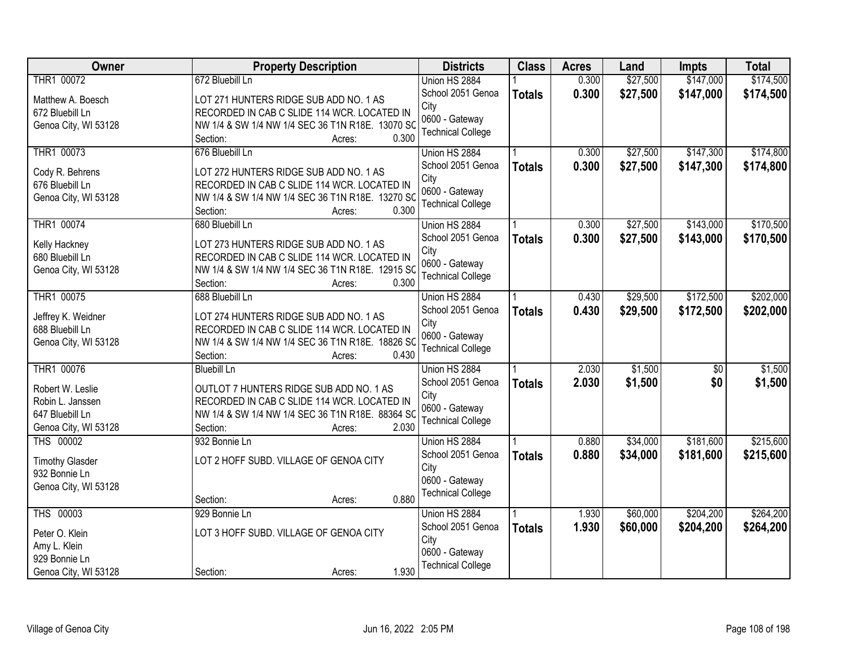| THR1 00072<br>672 Bluebill Ln<br>\$27,500<br>\$147,000<br>Union HS 2884<br>0.300<br>School 2051 Genoa<br>0.300<br>\$27,500<br>\$147,000<br><b>Totals</b><br>LOT 271 HUNTERS RIDGE SUB ADD NO. 1 AS<br>Matthew A. Boesch<br>City<br>RECORDED IN CAB C SLIDE 114 WCR. LOCATED IN<br>672 Bluebill Ln<br>0600 - Gateway<br>NW 1/4 & SW 1/4 NW 1/4 SEC 36 T1N R18E. 13070 SC<br>Genoa City, WI 53128<br><b>Technical College</b><br>0.300 | Owner | <b>Property Description</b> | <b>Districts</b> | <b>Class</b> | <b>Acres</b> | Land | <b>Impts</b> | <b>Total</b> |
|--------------------------------------------------------------------------------------------------------------------------------------------------------------------------------------------------------------------------------------------------------------------------------------------------------------------------------------------------------------------------------------------------------------------------------------|-------|-----------------------------|------------------|--------------|--------------|------|--------------|--------------|
|                                                                                                                                                                                                                                                                                                                                                                                                                                      |       |                             |                  |              |              |      |              | \$174,500    |
|                                                                                                                                                                                                                                                                                                                                                                                                                                      |       |                             |                  |              |              |      |              | \$174,500    |
|                                                                                                                                                                                                                                                                                                                                                                                                                                      |       |                             |                  |              |              |      |              |              |
|                                                                                                                                                                                                                                                                                                                                                                                                                                      |       |                             |                  |              |              |      |              |              |
|                                                                                                                                                                                                                                                                                                                                                                                                                                      |       | Section:<br>Acres:          |                  |              |              |      |              |              |
| THR1 00073<br>\$27,500<br>\$147,300<br>676 Bluebill Ln<br>0.300<br>Union HS 2884                                                                                                                                                                                                                                                                                                                                                     |       |                             |                  |              |              |      |              | \$174,800    |
| School 2051 Genoa<br>0.300<br>\$27,500<br>\$147,300<br><b>Totals</b><br>Cody R. Behrens<br>LOT 272 HUNTERS RIDGE SUB ADD NO. 1 AS                                                                                                                                                                                                                                                                                                    |       |                             |                  |              |              |      |              | \$174,800    |
| City<br>676 Bluebill Ln<br>RECORDED IN CAB C SLIDE 114 WCR. LOCATED IN                                                                                                                                                                                                                                                                                                                                                               |       |                             |                  |              |              |      |              |              |
| 0600 - Gateway<br>Genoa City, WI 53128<br>NW 1/4 & SW 1/4 NW 1/4 SEC 36 T1N R18E. 13270 SC                                                                                                                                                                                                                                                                                                                                           |       |                             |                  |              |              |      |              |              |
| <b>Technical College</b><br>0.300<br>Section:<br>Acres:                                                                                                                                                                                                                                                                                                                                                                              |       |                             |                  |              |              |      |              |              |
| THR1 00074<br>\$143,000<br>0.300<br>\$27,500<br>680 Bluebill Ln<br>Union HS 2884                                                                                                                                                                                                                                                                                                                                                     |       |                             |                  |              |              |      |              | \$170,500    |
| School 2051 Genoa<br>\$27,500<br>0.300<br>\$143,000<br><b>Totals</b><br>LOT 273 HUNTERS RIDGE SUB ADD NO. 1 AS                                                                                                                                                                                                                                                                                                                       |       |                             |                  |              |              |      |              | \$170,500    |
| Kelly Hackney<br>City<br>680 Bluebill Ln<br>RECORDED IN CAB C SLIDE 114 WCR. LOCATED IN                                                                                                                                                                                                                                                                                                                                              |       |                             |                  |              |              |      |              |              |
| 0600 - Gateway<br>NW 1/4 & SW 1/4 NW 1/4 SEC 36 T1N R18E. 12915 SC                                                                                                                                                                                                                                                                                                                                                                   |       |                             |                  |              |              |      |              |              |
| Genoa City, WI 53128<br><b>Technical College</b><br>0.300<br>Section:                                                                                                                                                                                                                                                                                                                                                                |       |                             |                  |              |              |      |              |              |
| Acres:<br>THR1 00075<br>\$29,500<br>\$172,500<br>688 Bluebill Ln<br>Union HS 2884<br>0.430                                                                                                                                                                                                                                                                                                                                           |       |                             |                  |              |              |      |              | \$202,000    |
| School 2051 Genoa                                                                                                                                                                                                                                                                                                                                                                                                                    |       |                             |                  |              |              |      |              |              |
| 0.430<br>\$29,500<br>\$172,500<br><b>Totals</b><br>LOT 274 HUNTERS RIDGE SUB ADD NO. 1 AS<br>Jeffrey K. Weidner<br>City                                                                                                                                                                                                                                                                                                              |       |                             |                  |              |              |      |              | \$202,000    |
| 688 Bluebill Ln<br>RECORDED IN CAB C SLIDE 114 WCR. LOCATED IN<br>0600 - Gateway                                                                                                                                                                                                                                                                                                                                                     |       |                             |                  |              |              |      |              |              |
| NW 1/4 & SW 1/4 NW 1/4 SEC 36 T1N R18E. 18826 SO<br>Genoa City, WI 53128<br><b>Technical College</b>                                                                                                                                                                                                                                                                                                                                 |       |                             |                  |              |              |      |              |              |
| 0.430<br>Section:<br>Acres:                                                                                                                                                                                                                                                                                                                                                                                                          |       |                             |                  |              |              |      |              |              |
| THR1 00076<br>\$1,500<br><b>Bluebill Ln</b><br>2.030<br>Union HS 2884<br>\$0                                                                                                                                                                                                                                                                                                                                                         |       |                             |                  |              |              |      |              | \$1,500      |
| 2.030<br>School 2051 Genoa<br>\$1,500<br>\$0<br><b>Totals</b><br>Robert W. Leslie<br>OUTLOT 7 HUNTERS RIDGE SUB ADD NO. 1 AS                                                                                                                                                                                                                                                                                                         |       |                             |                  |              |              |      |              | \$1,500      |
| City<br>Robin L. Janssen<br>RECORDED IN CAB C SLIDE 114 WCR. LOCATED IN                                                                                                                                                                                                                                                                                                                                                              |       |                             |                  |              |              |      |              |              |
| 0600 - Gateway<br>647 Bluebill Ln<br>NW 1/4 & SW 1/4 NW 1/4 SEC 36 T1N R18E. 88364 SC                                                                                                                                                                                                                                                                                                                                                |       |                             |                  |              |              |      |              |              |
| <b>Technical College</b><br>Genoa City, WI 53128<br>2.030<br>Section:<br>Acres:                                                                                                                                                                                                                                                                                                                                                      |       |                             |                  |              |              |      |              |              |
| <b>THS 00002</b><br>\$34,000<br>\$181,600<br>932 Bonnie Ln<br>0.880<br>Union HS 2884                                                                                                                                                                                                                                                                                                                                                 |       |                             |                  |              |              |      |              | \$215,600    |
| School 2051 Genoa<br>0.880<br>\$34,000<br>\$181,600                                                                                                                                                                                                                                                                                                                                                                                  |       |                             |                  |              |              |      |              | \$215,600    |
| <b>Totals</b><br>LOT 2 HOFF SUBD. VILLAGE OF GENOA CITY<br><b>Timothy Glasder</b><br>City                                                                                                                                                                                                                                                                                                                                            |       |                             |                  |              |              |      |              |              |
| 932 Bonnie Ln<br>0600 - Gateway                                                                                                                                                                                                                                                                                                                                                                                                      |       |                             |                  |              |              |      |              |              |
| Genoa City, WI 53128<br><b>Technical College</b>                                                                                                                                                                                                                                                                                                                                                                                     |       |                             |                  |              |              |      |              |              |
| 0.880<br>Section:<br>Acres:                                                                                                                                                                                                                                                                                                                                                                                                          |       |                             |                  |              |              |      |              |              |
| THS 00003<br>\$60,000<br>\$204,200<br>929 Bonnie Ln<br>1.930<br>Union HS 2884                                                                                                                                                                                                                                                                                                                                                        |       |                             |                  |              |              |      |              | \$264,200    |
| School 2051 Genoa<br>1.930<br>\$60,000<br>\$204,200<br><b>Totals</b><br>LOT 3 HOFF SUBD. VILLAGE OF GENOA CITY<br>Peter O. Klein                                                                                                                                                                                                                                                                                                     |       |                             |                  |              |              |      |              | \$264,200    |
| City<br>Amy L. Klein                                                                                                                                                                                                                                                                                                                                                                                                                 |       |                             |                  |              |              |      |              |              |
| 0600 - Gateway<br>929 Bonnie Ln                                                                                                                                                                                                                                                                                                                                                                                                      |       |                             |                  |              |              |      |              |              |
| <b>Technical College</b><br>1.930<br>Genoa City, WI 53128<br>Section:<br>Acres:                                                                                                                                                                                                                                                                                                                                                      |       |                             |                  |              |              |      |              |              |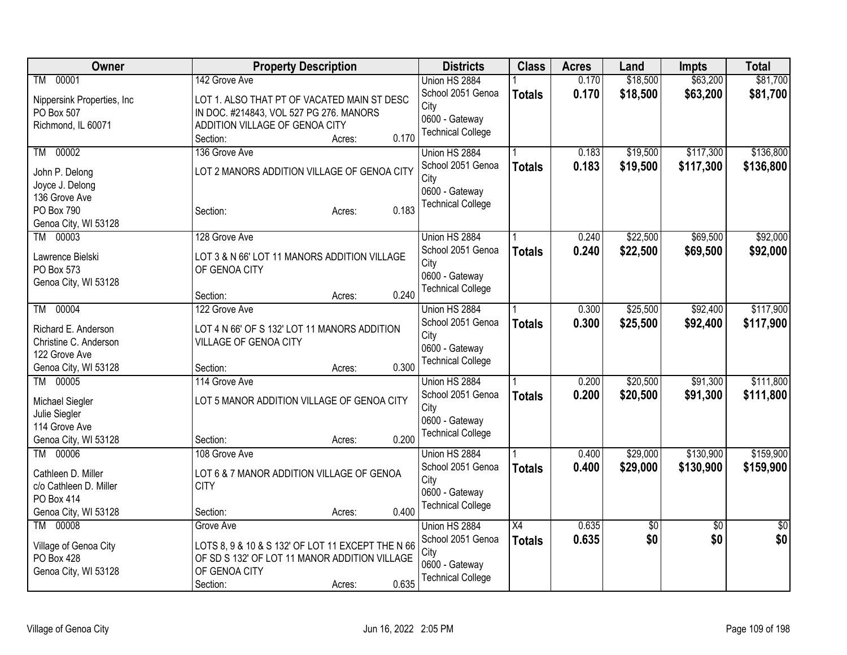| <b>Owner</b>               | <b>Property Description</b>                       | <b>Districts</b>         | <b>Class</b>    | <b>Acres</b> | Land     | <b>Impts</b>    | <b>Total</b> |
|----------------------------|---------------------------------------------------|--------------------------|-----------------|--------------|----------|-----------------|--------------|
| 00001<br>TM                | 142 Grove Ave                                     | Union HS 2884            |                 | 0.170        | \$18,500 | \$63,200        | \$81,700     |
| Nippersink Properties, Inc | LOT 1. ALSO THAT PT OF VACATED MAIN ST DESC       | School 2051 Genoa        | <b>Totals</b>   | 0.170        | \$18,500 | \$63,200        | \$81,700     |
| PO Box 507                 | IN DOC. #214843, VOL 527 PG 276. MANORS           | City                     |                 |              |          |                 |              |
| Richmond, IL 60071         | ADDITION VILLAGE OF GENOA CITY                    | 0600 - Gateway           |                 |              |          |                 |              |
|                            | 0.170<br>Section:<br>Acres:                       | <b>Technical College</b> |                 |              |          |                 |              |
| 00002<br>TM                | 136 Grove Ave                                     | Union HS 2884            |                 | 0.183        | \$19,500 | \$117,300       | \$136,800    |
|                            |                                                   | School 2051 Genoa        | <b>Totals</b>   | 0.183        | \$19,500 | \$117,300       | \$136,800    |
| John P. Delong             | LOT 2 MANORS ADDITION VILLAGE OF GENOA CITY       | City                     |                 |              |          |                 |              |
| Joyce J. Delong            |                                                   | 0600 - Gateway           |                 |              |          |                 |              |
| 136 Grove Ave              |                                                   | <b>Technical College</b> |                 |              |          |                 |              |
| PO Box 790                 | 0.183<br>Section:<br>Acres:                       |                          |                 |              |          |                 |              |
| Genoa City, WI 53128       |                                                   |                          |                 |              |          |                 |              |
| 00003<br>TM                | 128 Grove Ave                                     | Union HS 2884            |                 | 0.240        | \$22,500 | \$69,500        | \$92,000     |
| Lawrence Bielski           | LOT 3 & N 66' LOT 11 MANORS ADDITION VILLAGE      | School 2051 Genoa        | <b>Totals</b>   | 0.240        | \$22,500 | \$69,500        | \$92,000     |
| PO Box 573                 | OF GENOA CITY                                     | City                     |                 |              |          |                 |              |
| Genoa City, WI 53128       |                                                   | 0600 - Gateway           |                 |              |          |                 |              |
|                            | 0.240<br>Section:<br>Acres:                       | <b>Technical College</b> |                 |              |          |                 |              |
| 00004<br>TM                | 122 Grove Ave                                     | Union HS 2884            |                 | 0.300        | \$25,500 | \$92,400        | \$117,900    |
|                            |                                                   | School 2051 Genoa        | <b>Totals</b>   | 0.300        | \$25,500 | \$92,400        | \$117,900    |
| Richard E. Anderson        | LOT 4 N 66' OF S 132' LOT 11 MANORS ADDITION      | City                     |                 |              |          |                 |              |
| Christine C. Anderson      | VILLAGE OF GENOA CITY                             | 0600 - Gateway           |                 |              |          |                 |              |
| 122 Grove Ave              |                                                   | <b>Technical College</b> |                 |              |          |                 |              |
| Genoa City, WI 53128       | 0.300<br>Section:<br>Acres:                       |                          |                 |              |          |                 |              |
| TM 00005                   | 114 Grove Ave                                     | Union HS 2884            |                 | 0.200        | \$20,500 | \$91,300        | \$111,800    |
| Michael Siegler            | LOT 5 MANOR ADDITION VILLAGE OF GENOA CITY        | School 2051 Genoa        | <b>Totals</b>   | 0.200        | \$20,500 | \$91,300        | \$111,800    |
| Julie Siegler              |                                                   | City                     |                 |              |          |                 |              |
| 114 Grove Ave              |                                                   | 0600 - Gateway           |                 |              |          |                 |              |
| Genoa City, WI 53128       | 0.200<br>Section:<br>Acres:                       | <b>Technical College</b> |                 |              |          |                 |              |
| 00006<br>TM                | 108 Grove Ave                                     | Union HS 2884            |                 | 0.400        | \$29,000 | \$130,900       | \$159,900    |
| Cathleen D. Miller         | LOT 6 & 7 MANOR ADDITION VILLAGE OF GENOA         | School 2051 Genoa        | <b>Totals</b>   | 0.400        | \$29,000 | \$130,900       | \$159,900    |
| c/o Cathleen D. Miller     | <b>CITY</b>                                       | City                     |                 |              |          |                 |              |
| PO Box 414                 |                                                   | 0600 - Gateway           |                 |              |          |                 |              |
| Genoa City, WI 53128       | 0.400<br>Section:<br>Acres:                       | <b>Technical College</b> |                 |              |          |                 |              |
| 00008<br><b>TM</b>         | Grove Ave                                         | Union HS 2884            | $\overline{X4}$ | 0.635        | \$0      | $\overline{30}$ | \$0          |
|                            |                                                   | School 2051 Genoa        |                 | 0.635        | \$0      | \$0             | \$0          |
| Village of Genoa City      | LOTS 8, 9 & 10 & S 132' OF LOT 11 EXCEPT THE N 66 |                          | <b>Totals</b>   |              |          |                 |              |
| <b>PO Box 428</b>          | OF SD S 132' OF LOT 11 MANOR ADDITION VILLAGE     | City<br>0600 - Gateway   |                 |              |          |                 |              |
| Genoa City, WI 53128       | OF GENOA CITY                                     | <b>Technical College</b> |                 |              |          |                 |              |
|                            | 0.635<br>Section:<br>Acres:                       |                          |                 |              |          |                 |              |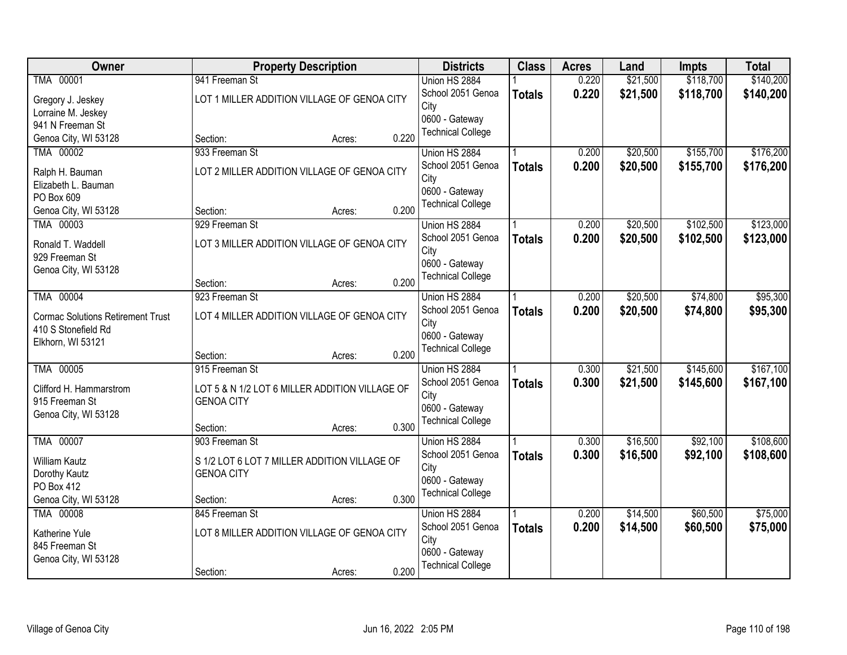| Owner                                                           | <b>Property Description</b>                    | <b>Districts</b>         | <b>Class</b>  | <b>Acres</b> | Land     | <b>Impts</b> | <b>Total</b> |
|-----------------------------------------------------------------|------------------------------------------------|--------------------------|---------------|--------------|----------|--------------|--------------|
| TMA 00001                                                       | 941 Freeman St                                 | Union HS 2884            |               | 0.220        | \$21,500 | \$118,700    | \$140,200    |
| Gregory J. Jeskey                                               | LOT 1 MILLER ADDITION VILLAGE OF GENOA CITY    | School 2051 Genoa        | <b>Totals</b> | 0.220        | \$21,500 | \$118,700    | \$140,200    |
| Lorraine M. Jeskey                                              |                                                | City                     |               |              |          |              |              |
| 941 N Freeman St                                                |                                                | 0600 - Gateway           |               |              |          |              |              |
| Genoa City, WI 53128                                            | 0.220<br>Section:<br>Acres:                    | <b>Technical College</b> |               |              |          |              |              |
| TMA 00002                                                       | 933 Freeman St                                 | Union HS 2884            |               | 0.200        | \$20,500 | \$155,700    | \$176,200    |
| Ralph H. Bauman                                                 | LOT 2 MILLER ADDITION VILLAGE OF GENOA CITY    | School 2051 Genoa        | <b>Totals</b> | 0.200        | \$20,500 | \$155,700    | \$176,200    |
| Elizabeth L. Bauman                                             |                                                | City                     |               |              |          |              |              |
| PO Box 609                                                      |                                                | 0600 - Gateway           |               |              |          |              |              |
| Genoa City, WI 53128                                            | 0.200<br>Section:<br>Acres:                    | <b>Technical College</b> |               |              |          |              |              |
| TMA 00003                                                       | 929 Freeman St                                 | Union HS 2884            |               | 0.200        | \$20,500 | \$102,500    | \$123,000    |
| Ronald T. Waddell                                               | LOT 3 MILLER ADDITION VILLAGE OF GENOA CITY    | School 2051 Genoa        | <b>Totals</b> | 0.200        | \$20,500 | \$102,500    | \$123,000    |
| 929 Freeman St                                                  |                                                | City                     |               |              |          |              |              |
| Genoa City, WI 53128                                            |                                                | 0600 - Gateway           |               |              |          |              |              |
|                                                                 | 0.200<br>Section:<br>Acres:                    | <b>Technical College</b> |               |              |          |              |              |
| TMA 00004                                                       | 923 Freeman St                                 | Union HS 2884            |               | 0.200        | \$20,500 | \$74,800     | \$95,300     |
|                                                                 |                                                | School 2051 Genoa        | <b>Totals</b> | 0.200        | \$20,500 | \$74,800     | \$95,300     |
| <b>Cormac Solutions Retirement Trust</b><br>410 S Stonefield Rd | LOT 4 MILLER ADDITION VILLAGE OF GENOA CITY    | City                     |               |              |          |              |              |
| Elkhorn, WI 53121                                               |                                                | 0600 - Gateway           |               |              |          |              |              |
|                                                                 | 0.200<br>Section:<br>Acres:                    | <b>Technical College</b> |               |              |          |              |              |
| TMA 00005                                                       | 915 Freeman St                                 | Union HS 2884            |               | 0.300        | \$21,500 | \$145,600    | \$167,100    |
|                                                                 |                                                | School 2051 Genoa        | <b>Totals</b> | 0.300        | \$21,500 | \$145,600    | \$167,100    |
| Clifford H. Hammarstrom                                         | LOT 5 & N 1/2 LOT 6 MILLER ADDITION VILLAGE OF | City                     |               |              |          |              |              |
| 915 Freeman St                                                  | <b>GENOA CITY</b>                              | 0600 - Gateway           |               |              |          |              |              |
| Genoa City, WI 53128                                            | 0.300<br>Section:<br>Acres:                    | <b>Technical College</b> |               |              |          |              |              |
| TMA 00007                                                       | 903 Freeman St                                 | Union HS 2884            |               | 0.300        | \$16,500 | \$92,100     | \$108,600    |
|                                                                 |                                                | School 2051 Genoa        | <b>Totals</b> | 0.300        | \$16,500 | \$92,100     | \$108,600    |
| <b>William Kautz</b>                                            | S 1/2 LOT 6 LOT 7 MILLER ADDITION VILLAGE OF   | City                     |               |              |          |              |              |
| Dorothy Kautz                                                   | <b>GENOA CITY</b>                              | 0600 - Gateway           |               |              |          |              |              |
| PO Box 412                                                      |                                                | <b>Technical College</b> |               |              |          |              |              |
| Genoa City, WI 53128                                            | 0.300<br>Section:<br>Acres:                    |                          |               |              |          |              |              |
| TMA 00008                                                       | 845 Freeman St                                 | Union HS 2884            |               | 0.200        | \$14,500 | \$60,500     | \$75,000     |
| Katherine Yule                                                  | LOT 8 MILLER ADDITION VILLAGE OF GENOA CITY    | School 2051 Genoa        | <b>Totals</b> | 0.200        | \$14,500 | \$60,500     | \$75,000     |
| 845 Freeman St                                                  |                                                | City<br>0600 - Gateway   |               |              |          |              |              |
| Genoa City, WI 53128                                            |                                                | <b>Technical College</b> |               |              |          |              |              |
|                                                                 | 0.200<br>Section:<br>Acres:                    |                          |               |              |          |              |              |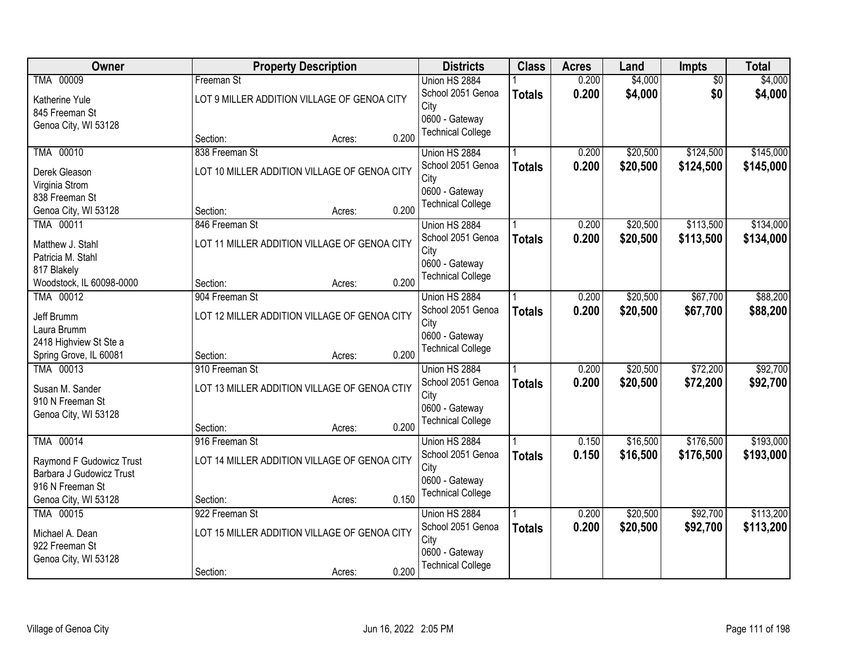| Owner                    |                | <b>Property Description</b>                  |       | <b>Districts</b>                           | <b>Class</b>  | <b>Acres</b> | Land     | Impts           | <b>Total</b> |
|--------------------------|----------------|----------------------------------------------|-------|--------------------------------------------|---------------|--------------|----------|-----------------|--------------|
| TMA 00009                | Freeman St     |                                              |       | Union HS 2884                              |               | 0.200        | \$4,000  | $\overline{50}$ | \$4,000      |
| Katherine Yule           |                | LOT 9 MILLER ADDITION VILLAGE OF GENOA CITY  |       | School 2051 Genoa                          | <b>Totals</b> | 0.200        | \$4,000  | \$0             | \$4,000      |
| 845 Freeman St           |                |                                              |       | City                                       |               |              |          |                 |              |
| Genoa City, WI 53128     |                |                                              |       | 0600 - Gateway<br><b>Technical College</b> |               |              |          |                 |              |
|                          | Section:       | Acres:                                       | 0.200 |                                            |               |              |          |                 |              |
| TMA 00010                | 838 Freeman St |                                              |       | Union HS 2884                              |               | 0.200        | \$20,500 | \$124,500       | \$145,000    |
| Derek Gleason            |                | LOT 10 MILLER ADDITION VILLAGE OF GENOA CITY |       | School 2051 Genoa                          | <b>Totals</b> | 0.200        | \$20,500 | \$124,500       | \$145,000    |
| Virginia Strom           |                |                                              |       | City                                       |               |              |          |                 |              |
| 838 Freeman St           |                |                                              |       | 0600 - Gateway<br><b>Technical College</b> |               |              |          |                 |              |
| Genoa City, WI 53128     | Section:       | Acres:                                       | 0.200 |                                            |               |              |          |                 |              |
| TMA 00011                | 846 Freeman St |                                              |       | Union HS 2884                              |               | 0.200        | \$20,500 | \$113,500       | \$134,000    |
| Matthew J. Stahl         |                | LOT 11 MILLER ADDITION VILLAGE OF GENOA CITY |       | School 2051 Genoa                          | <b>Totals</b> | 0.200        | \$20,500 | \$113,500       | \$134,000    |
| Patricia M. Stahl        |                |                                              |       | City<br>0600 - Gateway                     |               |              |          |                 |              |
| 817 Blakely              |                |                                              |       | <b>Technical College</b>                   |               |              |          |                 |              |
| Woodstock, IL 60098-0000 | Section:       | Acres:                                       | 0.200 |                                            |               |              |          |                 |              |
| TMA 00012                | 904 Freeman St |                                              |       | Union HS 2884                              |               | 0.200        | \$20,500 | \$67,700        | \$88,200     |
| Jeff Brumm               |                | LOT 12 MILLER ADDITION VILLAGE OF GENOA CITY |       | School 2051 Genoa                          | <b>Totals</b> | 0.200        | \$20,500 | \$67,700        | \$88,200     |
| Laura Brumm              |                |                                              |       | City<br>0600 - Gateway                     |               |              |          |                 |              |
| 2418 Highview St Ste a   |                |                                              |       | <b>Technical College</b>                   |               |              |          |                 |              |
| Spring Grove, IL 60081   | Section:       | Acres:                                       | 0.200 |                                            |               |              |          |                 |              |
| TMA 00013                | 910 Freeman St |                                              |       | Union HS 2884                              |               | 0.200        | \$20,500 | \$72,200        | \$92,700     |
| Susan M. Sander          |                | LOT 13 MILLER ADDITION VILLAGE OF GENOA CTIY |       | School 2051 Genoa                          | <b>Totals</b> | 0.200        | \$20,500 | \$72,200        | \$92,700     |
| 910 N Freeman St         |                |                                              |       | City<br>0600 - Gateway                     |               |              |          |                 |              |
| Genoa City, WI 53128     |                |                                              |       | <b>Technical College</b>                   |               |              |          |                 |              |
|                          | Section:       | Acres:                                       | 0.200 |                                            |               |              |          |                 |              |
| TMA 00014                | 916 Freeman St |                                              |       | Union HS 2884                              |               | 0.150        | \$16,500 | \$176,500       | \$193,000    |
| Raymond F Gudowicz Trust |                | LOT 14 MILLER ADDITION VILLAGE OF GENOA CITY |       | School 2051 Genoa                          | <b>Totals</b> | 0.150        | \$16,500 | \$176,500       | \$193,000    |
| Barbara J Gudowicz Trust |                |                                              |       | City<br>0600 - Gateway                     |               |              |          |                 |              |
| 916 N Freeman St         |                |                                              |       | <b>Technical College</b>                   |               |              |          |                 |              |
| Genoa City, WI 53128     | Section:       | Acres:                                       | 0.150 |                                            |               |              |          |                 |              |
| TMA 00015                | 922 Freeman St |                                              |       | Union HS 2884                              |               | 0.200        | \$20,500 | \$92,700        | \$113,200    |
| Michael A. Dean          |                | LOT 15 MILLER ADDITION VILLAGE OF GENOA CITY |       | School 2051 Genoa<br>City                  | <b>Totals</b> | 0.200        | \$20,500 | \$92,700        | \$113,200    |
| 922 Freeman St           |                |                                              |       | 0600 - Gateway                             |               |              |          |                 |              |
| Genoa City, WI 53128     |                |                                              |       | <b>Technical College</b>                   |               |              |          |                 |              |
|                          | Section:       | Acres:                                       | 0.200 |                                            |               |              |          |                 |              |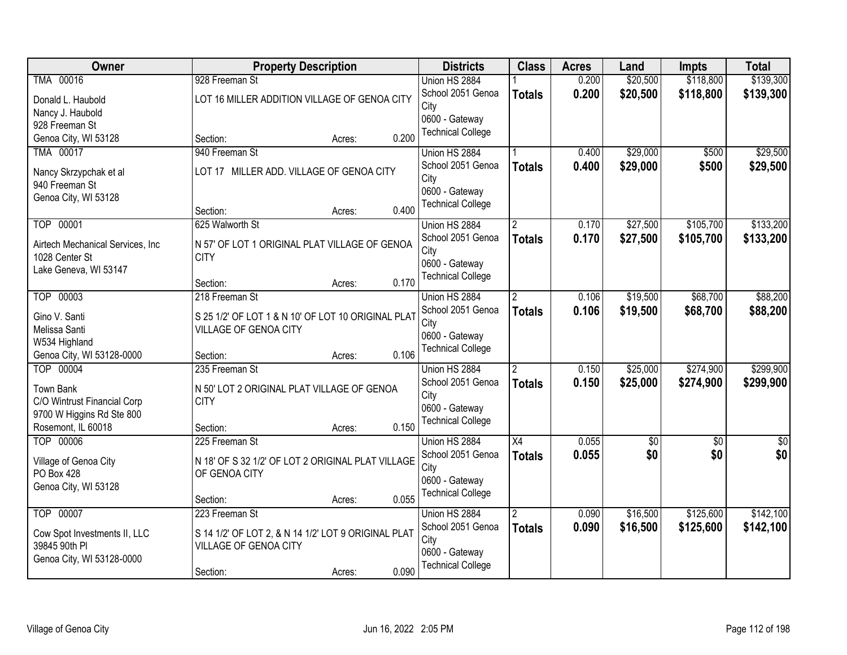| Owner                            | <b>Property Description</b>                         |        |       | <b>Districts</b>                           | <b>Class</b>         | <b>Acres</b> | Land     | <b>Impts</b> | <b>Total</b>  |
|----------------------------------|-----------------------------------------------------|--------|-------|--------------------------------------------|----------------------|--------------|----------|--------------|---------------|
| TMA 00016                        | 928 Freeman St                                      |        |       | Union HS 2884                              |                      | 0.200        | \$20,500 | \$118,800    | \$139,300     |
| Donald L. Haubold                | LOT 16 MILLER ADDITION VILLAGE OF GENOA CITY        |        |       | School 2051 Genoa                          | <b>Totals</b>        | 0.200        | \$20,500 | \$118,800    | \$139,300     |
| Nancy J. Haubold                 |                                                     |        |       | City                                       |                      |              |          |              |               |
| 928 Freeman St                   |                                                     |        |       | 0600 - Gateway                             |                      |              |          |              |               |
| Genoa City, WI 53128             | Section:                                            | Acres: | 0.200 | <b>Technical College</b>                   |                      |              |          |              |               |
| TMA 00017                        | 940 Freeman St                                      |        |       | Union HS 2884                              |                      | 0.400        | \$29,000 | \$500        | \$29,500      |
| Nancy Skrzypchak et al           | LOT 17 MILLER ADD. VILLAGE OF GENOA CITY            |        |       | School 2051 Genoa                          | <b>Totals</b>        | 0.400        | \$29,000 | \$500        | \$29,500      |
| 940 Freeman St                   |                                                     |        |       | City                                       |                      |              |          |              |               |
| Genoa City, WI 53128             |                                                     |        |       | 0600 - Gateway<br><b>Technical College</b> |                      |              |          |              |               |
|                                  | Section:                                            | Acres: | 0.400 |                                            |                      |              |          |              |               |
| TOP 00001                        | 625 Walworth St                                     |        |       | Union HS 2884                              | $\overline{2}$       | 0.170        | \$27,500 | \$105,700    | \$133,200     |
| Airtech Mechanical Services, Inc | N 57' OF LOT 1 ORIGINAL PLAT VILLAGE OF GENOA       |        |       | School 2051 Genoa                          | <b>Totals</b>        | 0.170        | \$27,500 | \$105,700    | \$133,200     |
| 1028 Center St                   | <b>CITY</b>                                         |        |       | City                                       |                      |              |          |              |               |
| Lake Geneva, WI 53147            |                                                     |        |       | 0600 - Gateway<br><b>Technical College</b> |                      |              |          |              |               |
|                                  | Section:                                            | Acres: | 0.170 |                                            |                      |              |          |              |               |
| TOP 00003                        | 218 Freeman St                                      |        |       | Union HS 2884                              | $\mathbf{2}^{\circ}$ | 0.106        | \$19,500 | \$68,700     | \$88,200      |
| Gino V. Santi                    | S 25 1/2' OF LOT 1 & N 10' OF LOT 10 ORIGINAL PLAT  |        |       | School 2051 Genoa                          | <b>Totals</b>        | 0.106        | \$19,500 | \$68,700     | \$88,200      |
| Melissa Santi                    | VILLAGE OF GENOA CITY                               |        |       | City                                       |                      |              |          |              |               |
| W534 Highland                    |                                                     |        |       | 0600 - Gateway<br><b>Technical College</b> |                      |              |          |              |               |
| Genoa City, WI 53128-0000        | Section:                                            | Acres: | 0.106 |                                            |                      |              |          |              |               |
| <b>TOP 00004</b>                 | 235 Freeman St                                      |        |       | Union HS 2884                              | $\overline{2}$       | 0.150        | \$25,000 | \$274,900    | \$299,900     |
| <b>Town Bank</b>                 | N 50' LOT 2 ORIGINAL PLAT VILLAGE OF GENOA          |        |       | School 2051 Genoa                          | <b>Totals</b>        | 0.150        | \$25,000 | \$274,900    | \$299,900     |
| C/O Wintrust Financial Corp      | <b>CITY</b>                                         |        |       | City                                       |                      |              |          |              |               |
| 9700 W Higgins Rd Ste 800        |                                                     |        |       | 0600 - Gateway<br><b>Technical College</b> |                      |              |          |              |               |
| Rosemont, IL 60018               | Section:                                            | Acres: | 0.150 |                                            |                      |              |          |              |               |
| <b>TOP 00006</b>                 | 225 Freeman St                                      |        |       | Union HS 2884                              | $\overline{X4}$      | 0.055        | \$0      | $\sqrt{6}$   | $\frac{6}{3}$ |
| Village of Genoa City            | N 18' OF S 32 1/2' OF LOT 2 ORIGINAL PLAT VILLAGE   |        |       | School 2051 Genoa                          | <b>Totals</b>        | 0.055        | \$0      | \$0          | \$0           |
| PO Box 428                       | OF GENOA CITY                                       |        |       | City<br>0600 - Gateway                     |                      |              |          |              |               |
| Genoa City, WI 53128             |                                                     |        |       | <b>Technical College</b>                   |                      |              |          |              |               |
|                                  | Section:                                            | Acres: | 0.055 |                                            |                      |              |          |              |               |
| TOP 00007                        | 223 Freeman St                                      |        |       | Union HS 2884                              | $\mathfrak{p}$       | 0.090        | \$16,500 | \$125,600    | \$142,100     |
| Cow Spot Investments II, LLC     | S 14 1/2' OF LOT 2, & N 14 1/2' LOT 9 ORIGINAL PLAT |        |       | School 2051 Genoa                          | <b>Totals</b>        | 0.090        | \$16,500 | \$125,600    | \$142,100     |
| 39845 90th PI                    | VILLAGE OF GENOA CITY                               |        |       | City<br>0600 - Gateway                     |                      |              |          |              |               |
| Genoa City, WI 53128-0000        |                                                     |        |       | <b>Technical College</b>                   |                      |              |          |              |               |
|                                  | Section:                                            | Acres: | 0.090 |                                            |                      |              |          |              |               |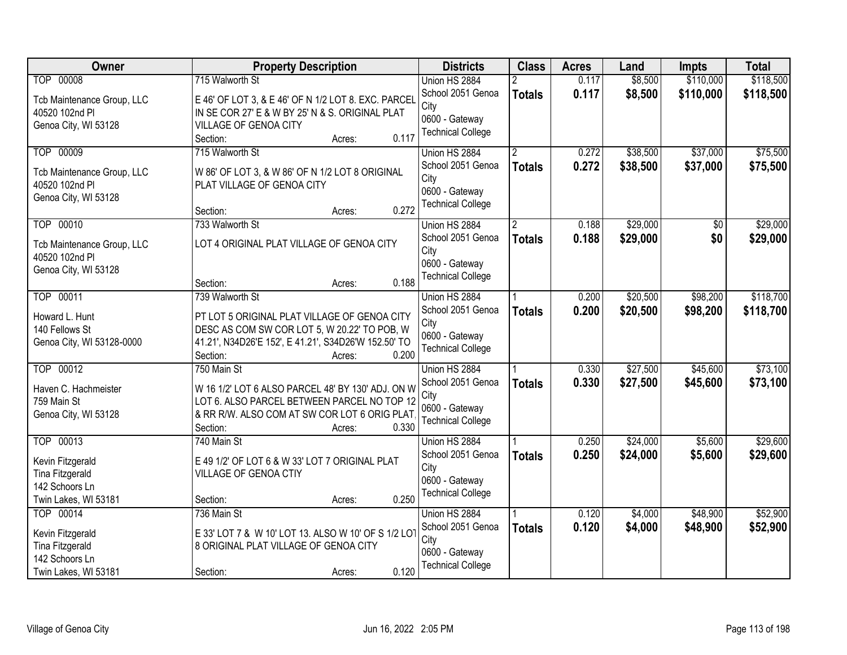| Owner                      | <b>Property Description</b>                          | <b>Districts</b>         | <b>Class</b>  | <b>Acres</b> | Land     | <b>Impts</b>    | <b>Total</b> |
|----------------------------|------------------------------------------------------|--------------------------|---------------|--------------|----------|-----------------|--------------|
| <b>TOP 00008</b>           | 715 Walworth St                                      | Union HS 2884            |               | 0.117        | \$8,500  | \$110,000       | \$118,500    |
| Tcb Maintenance Group, LLC | E 46' OF LOT 3, & E 46' OF N 1/2 LOT 8. EXC. PARCEL  | School 2051 Genoa        | <b>Totals</b> | 0.117        | \$8,500  | \$110,000       | \$118,500    |
| 40520 102nd Pl             | IN SE COR 27' E & W BY 25' N & S. ORIGINAL PLAT      | City                     |               |              |          |                 |              |
| Genoa City, WI 53128       | VILLAGE OF GENOA CITY                                | 0600 - Gateway           |               |              |          |                 |              |
|                            | 0.117<br>Section:<br>Acres:                          | <b>Technical College</b> |               |              |          |                 |              |
| TOP 00009                  | 715 Walworth St                                      | Union HS 2884            |               | 0.272        | \$38,500 | \$37,000        | \$75,500     |
|                            |                                                      | School 2051 Genoa        | <b>Totals</b> | 0.272        | \$38,500 | \$37,000        | \$75,500     |
| Tcb Maintenance Group, LLC | W 86' OF LOT 3, & W 86' OF N 1/2 LOT 8 ORIGINAL      | City                     |               |              |          |                 |              |
| 40520 102nd PI             | PLAT VILLAGE OF GENOA CITY                           | 0600 - Gateway           |               |              |          |                 |              |
| Genoa City, WI 53128       |                                                      | <b>Technical College</b> |               |              |          |                 |              |
|                            | 0.272<br>Section:<br>Acres:                          |                          |               |              |          |                 |              |
| TOP 00010                  | 733 Walworth St                                      | Union HS 2884            |               | 0.188        | \$29,000 | $\overline{50}$ | \$29,000     |
| Tcb Maintenance Group, LLC | LOT 4 ORIGINAL PLAT VILLAGE OF GENOA CITY            | School 2051 Genoa        | <b>Totals</b> | 0.188        | \$29,000 | \$0             | \$29,000     |
| 40520 102nd PI             |                                                      | City                     |               |              |          |                 |              |
| Genoa City, WI 53128       |                                                      | 0600 - Gateway           |               |              |          |                 |              |
|                            | 0.188<br>Section:<br>Acres:                          | <b>Technical College</b> |               |              |          |                 |              |
| TOP 00011                  | 739 Walworth St                                      | Union HS 2884            |               | 0.200        | \$20,500 | \$98,200        | \$118,700    |
|                            |                                                      | School 2051 Genoa        | <b>Totals</b> | 0.200        | \$20,500 | \$98,200        | \$118,700    |
| Howard L. Hunt             | PT LOT 5 ORIGINAL PLAT VILLAGE OF GENOA CITY         | City                     |               |              |          |                 |              |
| 140 Fellows St             | DESC AS COM SW COR LOT 5, W 20.22' TO POB, W         | 0600 - Gateway           |               |              |          |                 |              |
| Genoa City, WI 53128-0000  | 41.21', N34D26'E 152', E 41.21', S34D26'W 152.50' TO | <b>Technical College</b> |               |              |          |                 |              |
|                            | 0.200<br>Section:<br>Acres:                          |                          |               |              |          |                 |              |
| TOP 00012                  | 750 Main St                                          | Union HS 2884            |               | 0.330        | \$27,500 | \$45,600        | \$73,100     |
| Haven C. Hachmeister       | W 16 1/2' LOT 6 ALSO PARCEL 48' BY 130' ADJ. ON W    | School 2051 Genoa        | <b>Totals</b> | 0.330        | \$27,500 | \$45,600        | \$73,100     |
| 759 Main St                | LOT 6. ALSO PARCEL BETWEEN PARCEL NO TOP 12          | City                     |               |              |          |                 |              |
| Genoa City, WI 53128       | & RR R/W. ALSO COM AT SW COR LOT 6 ORIG PLAT         | 0600 - Gateway           |               |              |          |                 |              |
|                            | 0.330<br>Section:<br>Acres:                          | <b>Technical College</b> |               |              |          |                 |              |
| TOP 00013                  | 740 Main St                                          | Union HS 2884            |               | 0.250        | \$24,000 | \$5,600         | \$29,600     |
|                            |                                                      | School 2051 Genoa        | <b>Totals</b> | 0.250        | \$24,000 | \$5,600         | \$29,600     |
| Kevin Fitzgerald           | E 49 1/2' OF LOT 6 & W 33' LOT 7 ORIGINAL PLAT       | City                     |               |              |          |                 |              |
| <b>Tina Fitzgerald</b>     | VILLAGE OF GENOA CTIY                                | 0600 - Gateway           |               |              |          |                 |              |
| 142 Schoors Ln             |                                                      | <b>Technical College</b> |               |              |          |                 |              |
| Twin Lakes, WI 53181       | 0.250<br>Section:<br>Acres:                          |                          |               |              |          |                 |              |
| TOP 00014                  | 736 Main St                                          | Union HS 2884            |               | 0.120        | \$4,000  | \$48,900        | \$52,900     |
| Kevin Fitzgerald           | E 33' LOT 7 & W 10' LOT 13. ALSO W 10' OF S 1/2 LOT  | School 2051 Genoa        | <b>Totals</b> | 0.120        | \$4,000  | \$48,900        | \$52,900     |
| Tina Fitzgerald            | 8 ORIGINAL PLAT VILLAGE OF GENOA CITY                | City                     |               |              |          |                 |              |
| 142 Schoors Ln             |                                                      | 0600 - Gateway           |               |              |          |                 |              |
| Twin Lakes, WI 53181       | 0.120<br>Section:<br>Acres:                          | <b>Technical College</b> |               |              |          |                 |              |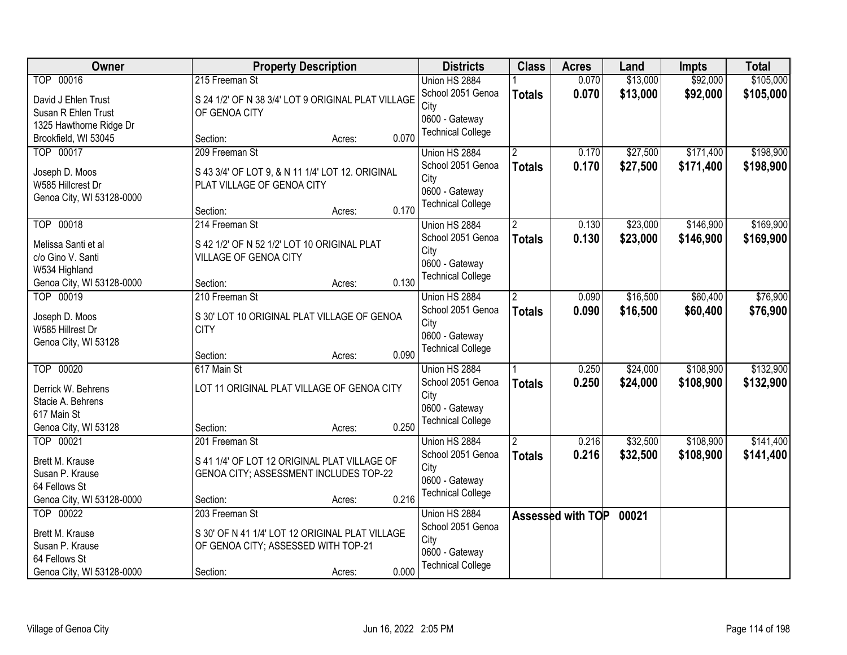| Owner                               | <b>Property Description</b>                                                    | <b>Districts</b>         | <b>Class</b>         | <b>Acres</b>      | Land     | <b>Impts</b> | <b>Total</b> |
|-------------------------------------|--------------------------------------------------------------------------------|--------------------------|----------------------|-------------------|----------|--------------|--------------|
| TOP 00016                           | 215 Freeman St                                                                 | Union HS 2884            |                      | 0.070             | \$13,000 | \$92,000     | \$105,000    |
| David J Ehlen Trust                 | S 24 1/2' OF N 38 3/4' LOT 9 ORIGINAL PLAT VILLAGE                             | School 2051 Genoa        | <b>Totals</b>        | 0.070             | \$13,000 | \$92,000     | \$105,000    |
| Susan R Ehlen Trust                 | OF GENOA CITY                                                                  | City                     |                      |                   |          |              |              |
| 1325 Hawthorne Ridge Dr             |                                                                                | 0600 - Gateway           |                      |                   |          |              |              |
| Brookfield, WI 53045                | 0.070<br>Section:<br>Acres:                                                    | <b>Technical College</b> |                      |                   |          |              |              |
| TOP 00017                           | 209 Freeman St                                                                 | Union HS 2884            |                      | 0.170             | \$27,500 | \$171,400    | \$198,900    |
|                                     |                                                                                | School 2051 Genoa        | <b>Totals</b>        | 0.170             | \$27,500 | \$171,400    | \$198,900    |
| Joseph D. Moos<br>W585 Hillcrest Dr | S 43 3/4' OF LOT 9, & N 11 1/4' LOT 12. ORIGINAL<br>PLAT VILLAGE OF GENOA CITY | City                     |                      |                   |          |              |              |
| Genoa City, WI 53128-0000           |                                                                                | 0600 - Gateway           |                      |                   |          |              |              |
|                                     | 0.170<br>Section:<br>Acres:                                                    | <b>Technical College</b> |                      |                   |          |              |              |
| TOP 00018                           | 214 Freeman St                                                                 | Union HS 2884            | $\overline{2}$       | 0.130             | \$23,000 | \$146,900    | \$169,900    |
| Melissa Santi et al                 | S 42 1/2' OF N 52 1/2' LOT 10 ORIGINAL PLAT                                    | School 2051 Genoa        | <b>Totals</b>        | 0.130             | \$23,000 | \$146,900    | \$169,900    |
| c/o Gino V. Santi                   | VILLAGE OF GENOA CITY                                                          | City                     |                      |                   |          |              |              |
| W534 Highland                       |                                                                                | 0600 - Gateway           |                      |                   |          |              |              |
| Genoa City, WI 53128-0000           | 0.130<br>Section:<br>Acres:                                                    | <b>Technical College</b> |                      |                   |          |              |              |
| TOP 00019                           | 210 Freeman St                                                                 | Union HS 2884            | $\mathbf{2}^{\circ}$ | 0.090             | \$16,500 | \$60,400     | \$76,900     |
|                                     |                                                                                | School 2051 Genoa        | <b>Totals</b>        | 0.090             | \$16,500 | \$60,400     | \$76,900     |
| Joseph D. Moos                      | S 30' LOT 10 ORIGINAL PLAT VILLAGE OF GENOA                                    | City                     |                      |                   |          |              |              |
| W585 Hillrest Dr                    | <b>CITY</b>                                                                    | 0600 - Gateway           |                      |                   |          |              |              |
| Genoa City, WI 53128                |                                                                                | <b>Technical College</b> |                      |                   |          |              |              |
|                                     | 0.090<br>Section:<br>Acres:                                                    |                          |                      |                   |          |              |              |
| TOP 00020                           | 617 Main St                                                                    | Union HS 2884            |                      | 0.250             | \$24,000 | \$108,900    | \$132,900    |
| Derrick W. Behrens                  | LOT 11 ORIGINAL PLAT VILLAGE OF GENOA CITY                                     | School 2051 Genoa        | <b>Totals</b>        | 0.250             | \$24,000 | \$108,900    | \$132,900    |
| Stacie A. Behrens                   |                                                                                | City<br>0600 - Gateway   |                      |                   |          |              |              |
| 617 Main St                         |                                                                                | <b>Technical College</b> |                      |                   |          |              |              |
| Genoa City, WI 53128                | 0.250<br>Section:<br>Acres:                                                    |                          |                      |                   |          |              |              |
| TOP 00021                           | 201 Freeman St                                                                 | Union HS 2884            | $\overline{2}$       | 0.216             | \$32,500 | \$108,900    | \$141,400    |
| Brett M. Krause                     | S 41 1/4' OF LOT 12 ORIGINAL PLAT VILLAGE OF                                   | School 2051 Genoa        | <b>Totals</b>        | 0.216             | \$32,500 | \$108,900    | \$141,400    |
| Susan P. Krause                     | GENOA CITY; ASSESSMENT INCLUDES TOP-22                                         | City                     |                      |                   |          |              |              |
| 64 Fellows St                       |                                                                                | 0600 - Gateway           |                      |                   |          |              |              |
| Genoa City, WI 53128-0000           | 0.216<br>Section:<br>Acres:                                                    | <b>Technical College</b> |                      |                   |          |              |              |
| TOP 00022                           | 203 Freeman St                                                                 | Union HS 2884            |                      | Assessed with TOP | 00021    |              |              |
| Brett M. Krause                     | S 30' OF N 41 1/4' LOT 12 ORIGINAL PLAT VILLAGE                                | School 2051 Genoa        |                      |                   |          |              |              |
| Susan P. Krause                     | OF GENOA CITY; ASSESSED WITH TOP-21                                            | City                     |                      |                   |          |              |              |
| 64 Fellows St                       |                                                                                | 0600 - Gateway           |                      |                   |          |              |              |
| Genoa City, WI 53128-0000           | 0.000<br>Section:<br>Acres:                                                    | <b>Technical College</b> |                      |                   |          |              |              |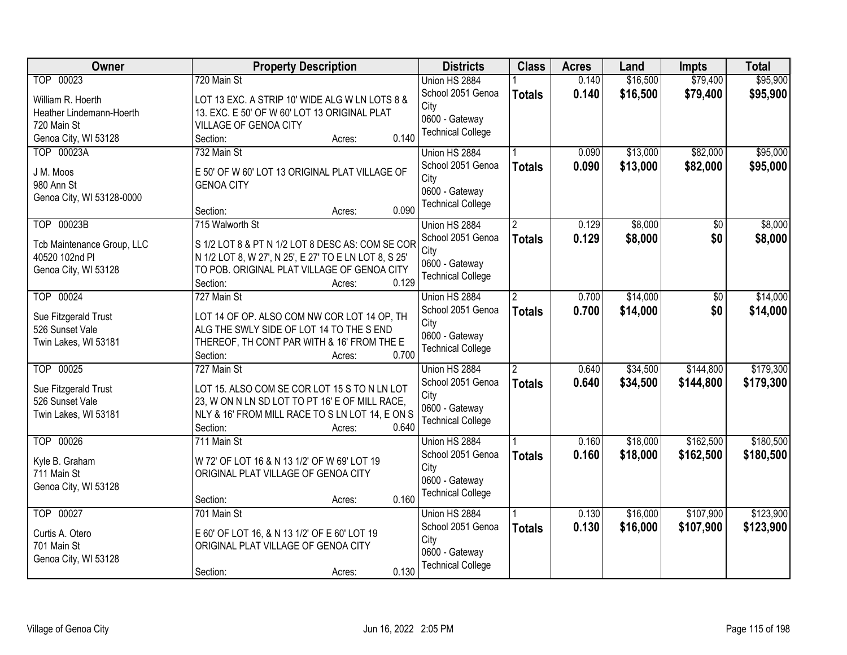| \$79,400<br>\$95,900<br>TOP 00023<br>720 Main St<br>Union HS 2884<br>\$16,500<br>0.140<br>School 2051 Genoa<br>0.140<br>\$16,500<br>\$79,400<br>\$95,900<br><b>Totals</b><br>William R. Hoerth<br>LOT 13 EXC. A STRIP 10' WIDE ALG W LN LOTS 8 &<br>City<br>13. EXC. E 50' OF W 60' LOT 13 ORIGINAL PLAT<br>Heather Lindemann-Hoerth<br>0600 - Gateway<br>720 Main St<br>VILLAGE OF GENOA CITY<br><b>Technical College</b><br>0.140<br>Genoa City, WI 53128<br>Section:<br>Acres:<br>TOP 00023A<br>732 Main St<br>\$13,000<br>\$82,000<br>Union HS 2884<br>0.090<br>0.090<br>School 2051 Genoa<br>\$13,000<br>\$82,000<br><b>Totals</b><br>E 50' OF W 60' LOT 13 ORIGINAL PLAT VILLAGE OF<br>J M. Moos<br>City<br>980 Ann St<br><b>GENOA CITY</b><br>0600 - Gateway<br>Genoa City, WI 53128-0000<br><b>Technical College</b><br>0.090<br>Section:<br>Acres:<br>TOP 00023B<br>\$8,000<br>0.129<br>\$0<br>715 Walworth St<br>Union HS 2884<br>$\overline{2}$<br>School 2051 Genoa<br>0.129<br>\$8,000<br>\$0<br><b>Totals</b><br>S 1/2 LOT 8 & PT N 1/2 LOT 8 DESC AS: COM SE COR<br>Tcb Maintenance Group, LLC<br>City<br>40520 102nd PI<br>N 1/2 LOT 8, W 27', N 25', E 27' TO E LN LOT 8, S 25'<br>0600 - Gateway<br>TO POB. ORIGINAL PLAT VILLAGE OF GENOA CITY<br>Genoa City, WI 53128<br><b>Technical College</b><br>0.129<br>Section:<br>Acres:<br>TOP 00024<br>\$14,000<br>727 Main St<br>Union HS 2884<br>0.700<br>\$0<br>$\mathbf{2}^{\circ}$<br>School 2051 Genoa<br>0.700<br>\$0<br>\$14,000<br><b>Totals</b><br>LOT 14 OF OP. ALSO COM NW COR LOT 14 OP, TH<br>Sue Fitzgerald Trust<br>City<br>526 Sunset Vale<br>ALG THE SWLY SIDE OF LOT 14 TO THE S END<br>0600 - Gateway<br>THEREOF, TH CONT PAR WITH & 16' FROM THE E<br>Twin Lakes, WI 53181<br><b>Technical College</b><br>0.700<br>Section:<br>Acres:<br>\$144,800<br>TOP 00025<br>727 Main St<br>0.640<br>\$34,500<br>Union HS 2884<br>$\overline{2}$<br>0.640<br>School 2051 Genoa<br>\$34,500<br>\$144,800<br><b>Totals</b><br>Sue Fitzgerald Trust<br>LOT 15. ALSO COM SE COR LOT 15 S TO N LN LOT<br>City<br>526 Sunset Vale<br>23, W ON N LN SD LOT TO PT 16' E OF MILL RACE,<br>0600 - Gateway<br>NLY & 16' FROM MILL RACE TO S LN LOT 14, E ON S<br>Twin Lakes, WI 53181<br><b>Technical College</b><br>Section:<br>0.640<br>Acres:<br>TOP 00026<br>\$162,500<br>711 Main St<br>0.160<br>\$18,000<br>Union HS 2884<br>School 2051 Genoa<br>0.160<br>\$18,000<br>\$162,500<br><b>Totals</b><br>Kyle B. Graham<br>W 72' OF LOT 16 & N 13 1/2' OF W 69' LOT 19<br>City<br>711 Main St<br>ORIGINAL PLAT VILLAGE OF GENOA CITY<br>0600 - Gateway<br>Genoa City, WI 53128<br><b>Technical College</b><br>0.160<br>Section:<br>Acres:<br>TOP 00027<br>\$16,000<br>\$107,900<br>701 Main St<br>Union HS 2884<br>0.130<br>0.130<br>School 2051 Genoa<br>\$16,000<br>\$107,900<br><b>Totals</b><br>E 60' OF LOT 16, & N 13 1/2' OF E 60' LOT 19<br>Curtis A. Otero<br>City<br>701 Main St<br>ORIGINAL PLAT VILLAGE OF GENOA CITY<br>0600 - Gateway<br>Genoa City, WI 53128<br><b>Technical College</b> | Owner | <b>Property Description</b> | <b>Districts</b> | <b>Class</b> | <b>Acres</b> | Land | <b>Impts</b> | <b>Total</b> |
|-------------------------------------------------------------------------------------------------------------------------------------------------------------------------------------------------------------------------------------------------------------------------------------------------------------------------------------------------------------------------------------------------------------------------------------------------------------------------------------------------------------------------------------------------------------------------------------------------------------------------------------------------------------------------------------------------------------------------------------------------------------------------------------------------------------------------------------------------------------------------------------------------------------------------------------------------------------------------------------------------------------------------------------------------------------------------------------------------------------------------------------------------------------------------------------------------------------------------------------------------------------------------------------------------------------------------------------------------------------------------------------------------------------------------------------------------------------------------------------------------------------------------------------------------------------------------------------------------------------------------------------------------------------------------------------------------------------------------------------------------------------------------------------------------------------------------------------------------------------------------------------------------------------------------------------------------------------------------------------------------------------------------------------------------------------------------------------------------------------------------------------------------------------------------------------------------------------------------------------------------------------------------------------------------------------------------------------------------------------------------------------------------------------------------------------------------------------------------------------------------------------------------------------------------------------------------------------------------------------------------------------------------------------------------------------------------------------------------------------------------------------------------------------------------------------------------------------------------------------------------------------------------------------------------------------------------------------------------------------------------------------------------------------------------------------------------|-------|-----------------------------|------------------|--------------|--------------|------|--------------|--------------|
|                                                                                                                                                                                                                                                                                                                                                                                                                                                                                                                                                                                                                                                                                                                                                                                                                                                                                                                                                                                                                                                                                                                                                                                                                                                                                                                                                                                                                                                                                                                                                                                                                                                                                                                                                                                                                                                                                                                                                                                                                                                                                                                                                                                                                                                                                                                                                                                                                                                                                                                                                                                                                                                                                                                                                                                                                                                                                                                                                                                                                                                                         |       |                             |                  |              |              |      |              |              |
|                                                                                                                                                                                                                                                                                                                                                                                                                                                                                                                                                                                                                                                                                                                                                                                                                                                                                                                                                                                                                                                                                                                                                                                                                                                                                                                                                                                                                                                                                                                                                                                                                                                                                                                                                                                                                                                                                                                                                                                                                                                                                                                                                                                                                                                                                                                                                                                                                                                                                                                                                                                                                                                                                                                                                                                                                                                                                                                                                                                                                                                                         |       |                             |                  |              |              |      |              |              |
|                                                                                                                                                                                                                                                                                                                                                                                                                                                                                                                                                                                                                                                                                                                                                                                                                                                                                                                                                                                                                                                                                                                                                                                                                                                                                                                                                                                                                                                                                                                                                                                                                                                                                                                                                                                                                                                                                                                                                                                                                                                                                                                                                                                                                                                                                                                                                                                                                                                                                                                                                                                                                                                                                                                                                                                                                                                                                                                                                                                                                                                                         |       |                             |                  |              |              |      |              |              |
|                                                                                                                                                                                                                                                                                                                                                                                                                                                                                                                                                                                                                                                                                                                                                                                                                                                                                                                                                                                                                                                                                                                                                                                                                                                                                                                                                                                                                                                                                                                                                                                                                                                                                                                                                                                                                                                                                                                                                                                                                                                                                                                                                                                                                                                                                                                                                                                                                                                                                                                                                                                                                                                                                                                                                                                                                                                                                                                                                                                                                                                                         |       |                             |                  |              |              |      |              |              |
| \$95,000<br>\$95,000<br>\$8,000<br>\$8,000<br>\$14,000<br>\$14,000                                                                                                                                                                                                                                                                                                                                                                                                                                                                                                                                                                                                                                                                                                                                                                                                                                                                                                                                                                                                                                                                                                                                                                                                                                                                                                                                                                                                                                                                                                                                                                                                                                                                                                                                                                                                                                                                                                                                                                                                                                                                                                                                                                                                                                                                                                                                                                                                                                                                                                                                                                                                                                                                                                                                                                                                                                                                                                                                                                                                      |       |                             |                  |              |              |      |              |              |
|                                                                                                                                                                                                                                                                                                                                                                                                                                                                                                                                                                                                                                                                                                                                                                                                                                                                                                                                                                                                                                                                                                                                                                                                                                                                                                                                                                                                                                                                                                                                                                                                                                                                                                                                                                                                                                                                                                                                                                                                                                                                                                                                                                                                                                                                                                                                                                                                                                                                                                                                                                                                                                                                                                                                                                                                                                                                                                                                                                                                                                                                         |       |                             |                  |              |              |      |              |              |
|                                                                                                                                                                                                                                                                                                                                                                                                                                                                                                                                                                                                                                                                                                                                                                                                                                                                                                                                                                                                                                                                                                                                                                                                                                                                                                                                                                                                                                                                                                                                                                                                                                                                                                                                                                                                                                                                                                                                                                                                                                                                                                                                                                                                                                                                                                                                                                                                                                                                                                                                                                                                                                                                                                                                                                                                                                                                                                                                                                                                                                                                         |       |                             |                  |              |              |      |              |              |
|                                                                                                                                                                                                                                                                                                                                                                                                                                                                                                                                                                                                                                                                                                                                                                                                                                                                                                                                                                                                                                                                                                                                                                                                                                                                                                                                                                                                                                                                                                                                                                                                                                                                                                                                                                                                                                                                                                                                                                                                                                                                                                                                                                                                                                                                                                                                                                                                                                                                                                                                                                                                                                                                                                                                                                                                                                                                                                                                                                                                                                                                         |       |                             |                  |              |              |      |              |              |
|                                                                                                                                                                                                                                                                                                                                                                                                                                                                                                                                                                                                                                                                                                                                                                                                                                                                                                                                                                                                                                                                                                                                                                                                                                                                                                                                                                                                                                                                                                                                                                                                                                                                                                                                                                                                                                                                                                                                                                                                                                                                                                                                                                                                                                                                                                                                                                                                                                                                                                                                                                                                                                                                                                                                                                                                                                                                                                                                                                                                                                                                         |       |                             |                  |              |              |      |              |              |
|                                                                                                                                                                                                                                                                                                                                                                                                                                                                                                                                                                                                                                                                                                                                                                                                                                                                                                                                                                                                                                                                                                                                                                                                                                                                                                                                                                                                                                                                                                                                                                                                                                                                                                                                                                                                                                                                                                                                                                                                                                                                                                                                                                                                                                                                                                                                                                                                                                                                                                                                                                                                                                                                                                                                                                                                                                                                                                                                                                                                                                                                         |       |                             |                  |              |              |      |              |              |
|                                                                                                                                                                                                                                                                                                                                                                                                                                                                                                                                                                                                                                                                                                                                                                                                                                                                                                                                                                                                                                                                                                                                                                                                                                                                                                                                                                                                                                                                                                                                                                                                                                                                                                                                                                                                                                                                                                                                                                                                                                                                                                                                                                                                                                                                                                                                                                                                                                                                                                                                                                                                                                                                                                                                                                                                                                                                                                                                                                                                                                                                         |       |                             |                  |              |              |      |              |              |
|                                                                                                                                                                                                                                                                                                                                                                                                                                                                                                                                                                                                                                                                                                                                                                                                                                                                                                                                                                                                                                                                                                                                                                                                                                                                                                                                                                                                                                                                                                                                                                                                                                                                                                                                                                                                                                                                                                                                                                                                                                                                                                                                                                                                                                                                                                                                                                                                                                                                                                                                                                                                                                                                                                                                                                                                                                                                                                                                                                                                                                                                         |       |                             |                  |              |              |      |              |              |
|                                                                                                                                                                                                                                                                                                                                                                                                                                                                                                                                                                                                                                                                                                                                                                                                                                                                                                                                                                                                                                                                                                                                                                                                                                                                                                                                                                                                                                                                                                                                                                                                                                                                                                                                                                                                                                                                                                                                                                                                                                                                                                                                                                                                                                                                                                                                                                                                                                                                                                                                                                                                                                                                                                                                                                                                                                                                                                                                                                                                                                                                         |       |                             |                  |              |              |      |              |              |
|                                                                                                                                                                                                                                                                                                                                                                                                                                                                                                                                                                                                                                                                                                                                                                                                                                                                                                                                                                                                                                                                                                                                                                                                                                                                                                                                                                                                                                                                                                                                                                                                                                                                                                                                                                                                                                                                                                                                                                                                                                                                                                                                                                                                                                                                                                                                                                                                                                                                                                                                                                                                                                                                                                                                                                                                                                                                                                                                                                                                                                                                         |       |                             |                  |              |              |      |              |              |
|                                                                                                                                                                                                                                                                                                                                                                                                                                                                                                                                                                                                                                                                                                                                                                                                                                                                                                                                                                                                                                                                                                                                                                                                                                                                                                                                                                                                                                                                                                                                                                                                                                                                                                                                                                                                                                                                                                                                                                                                                                                                                                                                                                                                                                                                                                                                                                                                                                                                                                                                                                                                                                                                                                                                                                                                                                                                                                                                                                                                                                                                         |       |                             |                  |              |              |      |              |              |
|                                                                                                                                                                                                                                                                                                                                                                                                                                                                                                                                                                                                                                                                                                                                                                                                                                                                                                                                                                                                                                                                                                                                                                                                                                                                                                                                                                                                                                                                                                                                                                                                                                                                                                                                                                                                                                                                                                                                                                                                                                                                                                                                                                                                                                                                                                                                                                                                                                                                                                                                                                                                                                                                                                                                                                                                                                                                                                                                                                                                                                                                         |       |                             |                  |              |              |      |              |              |
|                                                                                                                                                                                                                                                                                                                                                                                                                                                                                                                                                                                                                                                                                                                                                                                                                                                                                                                                                                                                                                                                                                                                                                                                                                                                                                                                                                                                                                                                                                                                                                                                                                                                                                                                                                                                                                                                                                                                                                                                                                                                                                                                                                                                                                                                                                                                                                                                                                                                                                                                                                                                                                                                                                                                                                                                                                                                                                                                                                                                                                                                         |       |                             |                  |              |              |      |              |              |
|                                                                                                                                                                                                                                                                                                                                                                                                                                                                                                                                                                                                                                                                                                                                                                                                                                                                                                                                                                                                                                                                                                                                                                                                                                                                                                                                                                                                                                                                                                                                                                                                                                                                                                                                                                                                                                                                                                                                                                                                                                                                                                                                                                                                                                                                                                                                                                                                                                                                                                                                                                                                                                                                                                                                                                                                                                                                                                                                                                                                                                                                         |       |                             |                  |              |              |      |              |              |
| \$179,300<br>\$179,300<br>\$180,500<br>\$180,500<br>\$123,900<br>\$123,900                                                                                                                                                                                                                                                                                                                                                                                                                                                                                                                                                                                                                                                                                                                                                                                                                                                                                                                                                                                                                                                                                                                                                                                                                                                                                                                                                                                                                                                                                                                                                                                                                                                                                                                                                                                                                                                                                                                                                                                                                                                                                                                                                                                                                                                                                                                                                                                                                                                                                                                                                                                                                                                                                                                                                                                                                                                                                                                                                                                              |       |                             |                  |              |              |      |              |              |
|                                                                                                                                                                                                                                                                                                                                                                                                                                                                                                                                                                                                                                                                                                                                                                                                                                                                                                                                                                                                                                                                                                                                                                                                                                                                                                                                                                                                                                                                                                                                                                                                                                                                                                                                                                                                                                                                                                                                                                                                                                                                                                                                                                                                                                                                                                                                                                                                                                                                                                                                                                                                                                                                                                                                                                                                                                                                                                                                                                                                                                                                         |       |                             |                  |              |              |      |              |              |
|                                                                                                                                                                                                                                                                                                                                                                                                                                                                                                                                                                                                                                                                                                                                                                                                                                                                                                                                                                                                                                                                                                                                                                                                                                                                                                                                                                                                                                                                                                                                                                                                                                                                                                                                                                                                                                                                                                                                                                                                                                                                                                                                                                                                                                                                                                                                                                                                                                                                                                                                                                                                                                                                                                                                                                                                                                                                                                                                                                                                                                                                         |       |                             |                  |              |              |      |              |              |
|                                                                                                                                                                                                                                                                                                                                                                                                                                                                                                                                                                                                                                                                                                                                                                                                                                                                                                                                                                                                                                                                                                                                                                                                                                                                                                                                                                                                                                                                                                                                                                                                                                                                                                                                                                                                                                                                                                                                                                                                                                                                                                                                                                                                                                                                                                                                                                                                                                                                                                                                                                                                                                                                                                                                                                                                                                                                                                                                                                                                                                                                         |       |                             |                  |              |              |      |              |              |
|                                                                                                                                                                                                                                                                                                                                                                                                                                                                                                                                                                                                                                                                                                                                                                                                                                                                                                                                                                                                                                                                                                                                                                                                                                                                                                                                                                                                                                                                                                                                                                                                                                                                                                                                                                                                                                                                                                                                                                                                                                                                                                                                                                                                                                                                                                                                                                                                                                                                                                                                                                                                                                                                                                                                                                                                                                                                                                                                                                                                                                                                         |       |                             |                  |              |              |      |              |              |
|                                                                                                                                                                                                                                                                                                                                                                                                                                                                                                                                                                                                                                                                                                                                                                                                                                                                                                                                                                                                                                                                                                                                                                                                                                                                                                                                                                                                                                                                                                                                                                                                                                                                                                                                                                                                                                                                                                                                                                                                                                                                                                                                                                                                                                                                                                                                                                                                                                                                                                                                                                                                                                                                                                                                                                                                                                                                                                                                                                                                                                                                         |       |                             |                  |              |              |      |              |              |
|                                                                                                                                                                                                                                                                                                                                                                                                                                                                                                                                                                                                                                                                                                                                                                                                                                                                                                                                                                                                                                                                                                                                                                                                                                                                                                                                                                                                                                                                                                                                                                                                                                                                                                                                                                                                                                                                                                                                                                                                                                                                                                                                                                                                                                                                                                                                                                                                                                                                                                                                                                                                                                                                                                                                                                                                                                                                                                                                                                                                                                                                         |       |                             |                  |              |              |      |              |              |
|                                                                                                                                                                                                                                                                                                                                                                                                                                                                                                                                                                                                                                                                                                                                                                                                                                                                                                                                                                                                                                                                                                                                                                                                                                                                                                                                                                                                                                                                                                                                                                                                                                                                                                                                                                                                                                                                                                                                                                                                                                                                                                                                                                                                                                                                                                                                                                                                                                                                                                                                                                                                                                                                                                                                                                                                                                                                                                                                                                                                                                                                         |       |                             |                  |              |              |      |              |              |
|                                                                                                                                                                                                                                                                                                                                                                                                                                                                                                                                                                                                                                                                                                                                                                                                                                                                                                                                                                                                                                                                                                                                                                                                                                                                                                                                                                                                                                                                                                                                                                                                                                                                                                                                                                                                                                                                                                                                                                                                                                                                                                                                                                                                                                                                                                                                                                                                                                                                                                                                                                                                                                                                                                                                                                                                                                                                                                                                                                                                                                                                         |       |                             |                  |              |              |      |              |              |
|                                                                                                                                                                                                                                                                                                                                                                                                                                                                                                                                                                                                                                                                                                                                                                                                                                                                                                                                                                                                                                                                                                                                                                                                                                                                                                                                                                                                                                                                                                                                                                                                                                                                                                                                                                                                                                                                                                                                                                                                                                                                                                                                                                                                                                                                                                                                                                                                                                                                                                                                                                                                                                                                                                                                                                                                                                                                                                                                                                                                                                                                         |       |                             |                  |              |              |      |              |              |
|                                                                                                                                                                                                                                                                                                                                                                                                                                                                                                                                                                                                                                                                                                                                                                                                                                                                                                                                                                                                                                                                                                                                                                                                                                                                                                                                                                                                                                                                                                                                                                                                                                                                                                                                                                                                                                                                                                                                                                                                                                                                                                                                                                                                                                                                                                                                                                                                                                                                                                                                                                                                                                                                                                                                                                                                                                                                                                                                                                                                                                                                         |       |                             |                  |              |              |      |              |              |
|                                                                                                                                                                                                                                                                                                                                                                                                                                                                                                                                                                                                                                                                                                                                                                                                                                                                                                                                                                                                                                                                                                                                                                                                                                                                                                                                                                                                                                                                                                                                                                                                                                                                                                                                                                                                                                                                                                                                                                                                                                                                                                                                                                                                                                                                                                                                                                                                                                                                                                                                                                                                                                                                                                                                                                                                                                                                                                                                                                                                                                                                         |       |                             |                  |              |              |      |              |              |
|                                                                                                                                                                                                                                                                                                                                                                                                                                                                                                                                                                                                                                                                                                                                                                                                                                                                                                                                                                                                                                                                                                                                                                                                                                                                                                                                                                                                                                                                                                                                                                                                                                                                                                                                                                                                                                                                                                                                                                                                                                                                                                                                                                                                                                                                                                                                                                                                                                                                                                                                                                                                                                                                                                                                                                                                                                                                                                                                                                                                                                                                         |       |                             |                  |              |              |      |              |              |
|                                                                                                                                                                                                                                                                                                                                                                                                                                                                                                                                                                                                                                                                                                                                                                                                                                                                                                                                                                                                                                                                                                                                                                                                                                                                                                                                                                                                                                                                                                                                                                                                                                                                                                                                                                                                                                                                                                                                                                                                                                                                                                                                                                                                                                                                                                                                                                                                                                                                                                                                                                                                                                                                                                                                                                                                                                                                                                                                                                                                                                                                         |       |                             |                  |              |              |      |              |              |
|                                                                                                                                                                                                                                                                                                                                                                                                                                                                                                                                                                                                                                                                                                                                                                                                                                                                                                                                                                                                                                                                                                                                                                                                                                                                                                                                                                                                                                                                                                                                                                                                                                                                                                                                                                                                                                                                                                                                                                                                                                                                                                                                                                                                                                                                                                                                                                                                                                                                                                                                                                                                                                                                                                                                                                                                                                                                                                                                                                                                                                                                         |       |                             |                  |              |              |      |              |              |
|                                                                                                                                                                                                                                                                                                                                                                                                                                                                                                                                                                                                                                                                                                                                                                                                                                                                                                                                                                                                                                                                                                                                                                                                                                                                                                                                                                                                                                                                                                                                                                                                                                                                                                                                                                                                                                                                                                                                                                                                                                                                                                                                                                                                                                                                                                                                                                                                                                                                                                                                                                                                                                                                                                                                                                                                                                                                                                                                                                                                                                                                         |       |                             |                  |              |              |      |              |              |
|                                                                                                                                                                                                                                                                                                                                                                                                                                                                                                                                                                                                                                                                                                                                                                                                                                                                                                                                                                                                                                                                                                                                                                                                                                                                                                                                                                                                                                                                                                                                                                                                                                                                                                                                                                                                                                                                                                                                                                                                                                                                                                                                                                                                                                                                                                                                                                                                                                                                                                                                                                                                                                                                                                                                                                                                                                                                                                                                                                                                                                                                         |       |                             |                  |              |              |      |              |              |
|                                                                                                                                                                                                                                                                                                                                                                                                                                                                                                                                                                                                                                                                                                                                                                                                                                                                                                                                                                                                                                                                                                                                                                                                                                                                                                                                                                                                                                                                                                                                                                                                                                                                                                                                                                                                                                                                                                                                                                                                                                                                                                                                                                                                                                                                                                                                                                                                                                                                                                                                                                                                                                                                                                                                                                                                                                                                                                                                                                                                                                                                         |       |                             |                  |              |              |      |              |              |
|                                                                                                                                                                                                                                                                                                                                                                                                                                                                                                                                                                                                                                                                                                                                                                                                                                                                                                                                                                                                                                                                                                                                                                                                                                                                                                                                                                                                                                                                                                                                                                                                                                                                                                                                                                                                                                                                                                                                                                                                                                                                                                                                                                                                                                                                                                                                                                                                                                                                                                                                                                                                                                                                                                                                                                                                                                                                                                                                                                                                                                                                         |       | 0.130<br>Section:<br>Acres: |                  |              |              |      |              |              |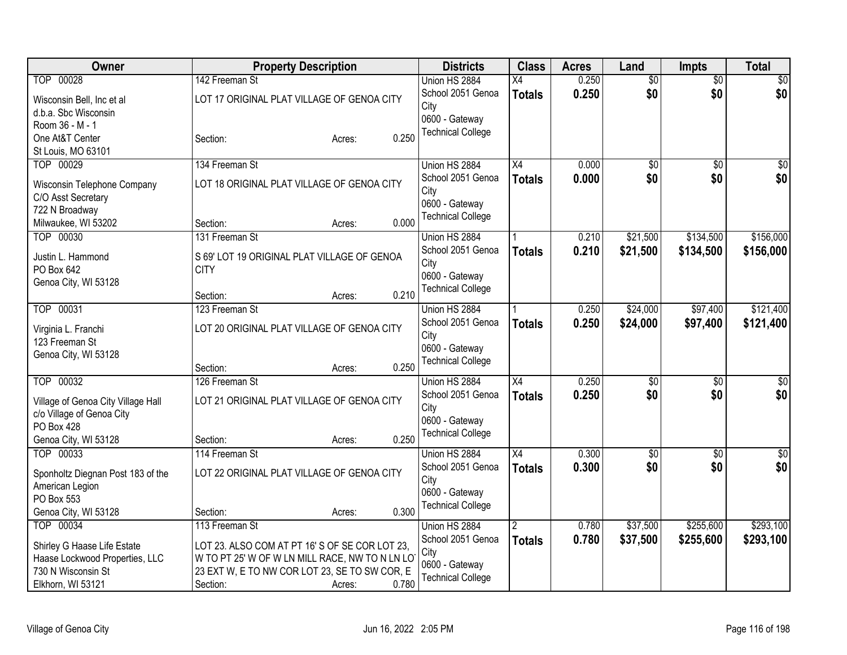| Owner                              | <b>Property Description</b>                    | <b>Districts</b>         | <b>Class</b>    | <b>Acres</b> | Land            | Impts           | <b>Total</b> |
|------------------------------------|------------------------------------------------|--------------------------|-----------------|--------------|-----------------|-----------------|--------------|
| TOP 00028                          | 142 Freeman St                                 | Union HS 2884            | $\overline{X4}$ | 0.250        | $\overline{60}$ | $\overline{50}$ | \$0          |
| Wisconsin Bell, Inc et al          | LOT 17 ORIGINAL PLAT VILLAGE OF GENOA CITY     | School 2051 Genoa        | <b>Totals</b>   | 0.250        | \$0             | \$0             | \$0          |
| d.b.a. Sbc Wisconsin               |                                                | City                     |                 |              |                 |                 |              |
| Room 36 - M - 1                    |                                                | 0600 - Gateway           |                 |              |                 |                 |              |
| One At&T Center                    | 0.250<br>Section:<br>Acres:                    | <b>Technical College</b> |                 |              |                 |                 |              |
| St Louis, MO 63101                 |                                                |                          |                 |              |                 |                 |              |
| TOP 00029                          | 134 Freeman St                                 | Union HS 2884            | X4              | 0.000        | $\sqrt{50}$     | $\overline{50}$ | \$0          |
| Wisconsin Telephone Company        | LOT 18 ORIGINAL PLAT VILLAGE OF GENOA CITY     | School 2051 Genoa        | <b>Totals</b>   | 0.000        | \$0             | \$0             | \$0          |
| C/O Asst Secretary                 |                                                | City                     |                 |              |                 |                 |              |
| 722 N Broadway                     |                                                | 0600 - Gateway           |                 |              |                 |                 |              |
| Milwaukee, WI 53202                | 0.000<br>Section:<br>Acres:                    | <b>Technical College</b> |                 |              |                 |                 |              |
| TOP 00030                          | 131 Freeman St                                 | Union HS 2884            |                 | 0.210        | \$21,500        | \$134,500       | \$156,000    |
|                                    |                                                | School 2051 Genoa        | <b>Totals</b>   | 0.210        | \$21,500        | \$134,500       | \$156,000    |
| Justin L. Hammond                  | S 69' LOT 19 ORIGINAL PLAT VILLAGE OF GENOA    | City                     |                 |              |                 |                 |              |
| PO Box 642                         | <b>CITY</b>                                    | 0600 - Gateway           |                 |              |                 |                 |              |
| Genoa City, WI 53128               | 0.210<br>Section:<br>Acres:                    | <b>Technical College</b> |                 |              |                 |                 |              |
| TOP 00031                          | 123 Freeman St                                 | Union HS 2884            |                 | 0.250        | \$24,000        | \$97,400        | \$121,400    |
|                                    |                                                | School 2051 Genoa        |                 | 0.250        |                 |                 |              |
| Virginia L. Franchi                | LOT 20 ORIGINAL PLAT VILLAGE OF GENOA CITY     | City                     | <b>Totals</b>   |              | \$24,000        | \$97,400        | \$121,400    |
| 123 Freeman St                     |                                                | 0600 - Gateway           |                 |              |                 |                 |              |
| Genoa City, WI 53128               |                                                | <b>Technical College</b> |                 |              |                 |                 |              |
|                                    | 0.250<br>Section:<br>Acres:                    |                          |                 |              |                 |                 |              |
| TOP 00032                          | 126 Freeman St                                 | Union HS 2884            | $\overline{X4}$ | 0.250        | \$0             | \$0             | \$0          |
| Village of Genoa City Village Hall | LOT 21 ORIGINAL PLAT VILLAGE OF GENOA CITY     | School 2051 Genoa        | <b>Totals</b>   | 0.250        | \$0             | \$0             | \$0          |
| c/o Village of Genoa City          |                                                | City                     |                 |              |                 |                 |              |
| PO Box 428                         |                                                | 0600 - Gateway           |                 |              |                 |                 |              |
| Genoa City, WI 53128               | 0.250<br>Section:<br>Acres:                    | <b>Technical College</b> |                 |              |                 |                 |              |
| TOP 00033                          | 114 Freeman St                                 | Union HS 2884            | $\overline{X4}$ | 0.300        | $\overline{60}$ | $\overline{50}$ | \$0          |
|                                    | LOT 22 ORIGINAL PLAT VILLAGE OF GENOA CITY     | School 2051 Genoa        | <b>Totals</b>   | 0.300        | \$0             | \$0             | \$0          |
| Sponholtz Diegnan Post 183 of the  |                                                | City                     |                 |              |                 |                 |              |
| American Legion<br>PO Box 553      |                                                | 0600 - Gateway           |                 |              |                 |                 |              |
| Genoa City, WI 53128               | 0.300<br>Section:<br>Acres:                    | <b>Technical College</b> |                 |              |                 |                 |              |
| TOP 00034                          | 113 Freeman St                                 | Union HS 2884            | $\overline{2}$  | 0.780        | \$37,500        | \$255,600       | \$293,100    |
|                                    |                                                | School 2051 Genoa        |                 | 0.780        | \$37,500        | \$255,600       | \$293,100    |
| Shirley G Haase Life Estate        | LOT 23. ALSO COM AT PT 16'S OF SE COR LOT 23,  | City                     | <b>Totals</b>   |              |                 |                 |              |
| Haase Lockwood Properties, LLC     | W TO PT 25' W OF W LN MILL RACE, NW TO N LN LO | 0600 - Gateway           |                 |              |                 |                 |              |
| 730 N Wisconsin St                 | 23 EXT W, E TO NW COR LOT 23, SE TO SW COR, E  | <b>Technical College</b> |                 |              |                 |                 |              |
| Elkhorn, WI 53121                  | 0.780<br>Section:<br>Acres:                    |                          |                 |              |                 |                 |              |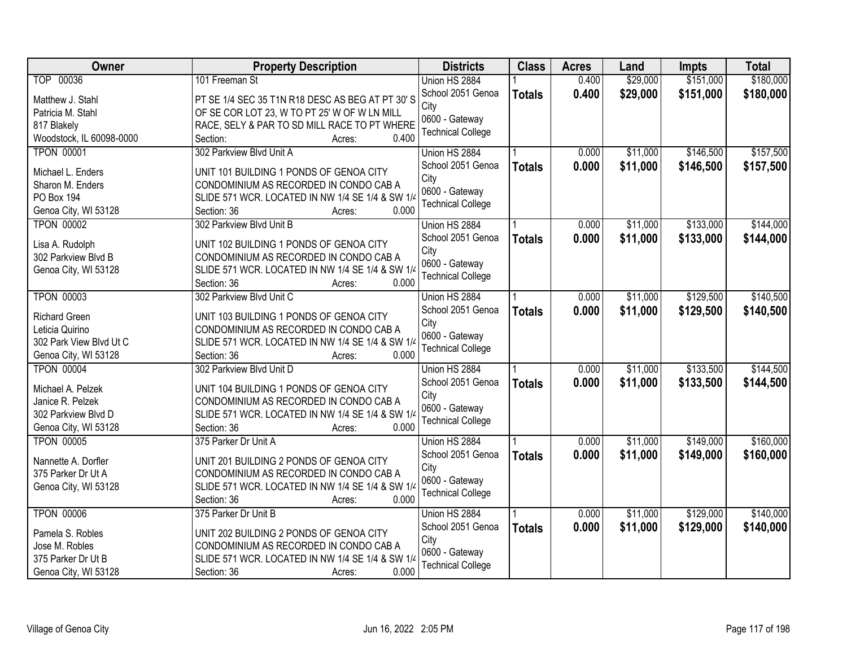| Owner                                | <b>Property Description</b>                                                                | <b>Districts</b>          | <b>Class</b>  | <b>Acres</b> | Land     | Impts     | <b>Total</b> |
|--------------------------------------|--------------------------------------------------------------------------------------------|---------------------------|---------------|--------------|----------|-----------|--------------|
| TOP 00036                            | 101 Freeman St                                                                             | Union HS 2884             |               | 0.400        | \$29,000 | \$151,000 | \$180,000    |
| Matthew J. Stahl                     | PT SE 1/4 SEC 35 T1N R18 DESC AS BEG AT PT 30'S                                            | School 2051 Genoa<br>City | <b>Totals</b> | 0.400        | \$29,000 | \$151,000 | \$180,000    |
| Patricia M. Stahl                    | OF SE COR LOT 23, W TO PT 25' W OF W LN MILL                                               | 0600 - Gateway            |               |              |          |           |              |
| 817 Blakely                          | RACE, SELY & PAR TO SD MILL RACE TO PT WHERE                                               | <b>Technical College</b>  |               |              |          |           |              |
| Woodstock, IL 60098-0000             | 0.400<br>Section:<br>Acres:                                                                |                           |               |              |          |           |              |
| <b>TPON 00001</b>                    | 302 Parkview Blvd Unit A                                                                   | Union HS 2884             |               | 0.000        | \$11,000 | \$146,500 | \$157,500    |
| Michael L. Enders                    | UNIT 101 BUILDING 1 PONDS OF GENOA CITY                                                    | School 2051 Genoa         | <b>Totals</b> | 0.000        | \$11,000 | \$146,500 | \$157,500    |
| Sharon M. Enders                     | CONDOMINIUM AS RECORDED IN CONDO CAB A                                                     | City                      |               |              |          |           |              |
| PO Box 194                           | SLIDE 571 WCR. LOCATED IN NW 1/4 SE 1/4 & SW 1/4                                           | 0600 - Gateway            |               |              |          |           |              |
| Genoa City, WI 53128                 | 0.000<br>Section: 36<br>Acres:                                                             | <b>Technical College</b>  |               |              |          |           |              |
| <b>TPON 00002</b>                    | 302 Parkview Blvd Unit B                                                                   | Union HS 2884             |               | 0.000        | \$11,000 | \$133,000 | \$144,000    |
|                                      |                                                                                            | School 2051 Genoa         |               | 0.000        | \$11,000 | \$133,000 | \$144,000    |
| Lisa A. Rudolph                      | UNIT 102 BUILDING 1 PONDS OF GENOA CITY                                                    | City                      | <b>Totals</b> |              |          |           |              |
| 302 Parkview Blvd B                  | CONDOMINIUM AS RECORDED IN CONDO CAB A                                                     | 0600 - Gateway            |               |              |          |           |              |
| Genoa City, WI 53128                 | SLIDE 571 WCR. LOCATED IN NW 1/4 SE 1/4 & SW 1/4                                           | <b>Technical College</b>  |               |              |          |           |              |
|                                      | Section: 36<br>0.000<br>Acres:                                                             |                           |               |              |          |           |              |
| <b>TPON 00003</b>                    | 302 Parkview Blvd Unit C                                                                   | Union HS 2884             |               | 0.000        | \$11,000 | \$129,500 | \$140,500    |
| <b>Richard Green</b>                 | UNIT 103 BUILDING 1 PONDS OF GENOA CITY                                                    | School 2051 Genoa         | <b>Totals</b> | 0.000        | \$11,000 | \$129,500 | \$140,500    |
| Leticia Quirino                      | CONDOMINIUM AS RECORDED IN CONDO CAB A                                                     | City                      |               |              |          |           |              |
| 302 Park View Blvd Ut C              | SLIDE 571 WCR. LOCATED IN NW 1/4 SE 1/4 & SW 1/4                                           | 0600 - Gateway            |               |              |          |           |              |
| Genoa City, WI 53128                 | 0.000<br>Section: 36<br>Acres:                                                             | <b>Technical College</b>  |               |              |          |           |              |
| <b>TPON 00004</b>                    | 302 Parkview Blvd Unit D                                                                   | Union HS 2884             |               | 0.000        | \$11,000 | \$133,500 | \$144,500    |
|                                      |                                                                                            | School 2051 Genoa         | <b>Totals</b> | 0.000        | \$11,000 | \$133,500 | \$144,500    |
| Michael A. Pelzek                    | UNIT 104 BUILDING 1 PONDS OF GENOA CITY                                                    | City                      |               |              |          |           |              |
| Janice R. Pelzek                     | CONDOMINIUM AS RECORDED IN CONDO CAB A                                                     | 0600 - Gateway            |               |              |          |           |              |
| 302 Parkview Blvd D                  | SLIDE 571 WCR. LOCATED IN NW 1/4 SE 1/4 & SW 1/4                                           | <b>Technical College</b>  |               |              |          |           |              |
| Genoa City, WI 53128                 | Section: 36<br>0.000<br>Acres:                                                             |                           |               |              |          |           |              |
| <b>TPON 00005</b>                    | 375 Parker Dr Unit A                                                                       | Union HS 2884             |               | 0.000        | \$11,000 | \$149,000 | \$160,000    |
| Nannette A. Dorfler                  | UNIT 201 BUILDING 2 PONDS OF GENOA CITY                                                    | School 2051 Genoa         | <b>Totals</b> | 0.000        | \$11,000 | \$149,000 | \$160,000    |
| 375 Parker Dr Ut A                   | CONDOMINIUM AS RECORDED IN CONDO CAB A                                                     | City                      |               |              |          |           |              |
| Genoa City, WI 53128                 | SLIDE 571 WCR. LOCATED IN NW 1/4 SE 1/4 & SW 1/4                                           | 0600 - Gateway            |               |              |          |           |              |
|                                      | 0.000<br>Section: 36<br>Acres:                                                             | <b>Technical College</b>  |               |              |          |           |              |
| <b>TPON 00006</b>                    | 375 Parker Dr Unit B                                                                       | Union HS 2884             |               | 0.000        | \$11,000 | \$129,000 | \$140,000    |
|                                      |                                                                                            | School 2051 Genoa         | <b>Totals</b> | 0.000        | \$11,000 | \$129,000 | \$140,000    |
| Pamela S. Robles                     | UNIT 202 BUILDING 2 PONDS OF GENOA CITY                                                    | City                      |               |              |          |           |              |
| Jose M. Robles<br>375 Parker Dr Ut B | CONDOMINIUM AS RECORDED IN CONDO CAB A<br>SLIDE 571 WCR. LOCATED IN NW 1/4 SE 1/4 & SW 1/4 | 0600 - Gateway            |               |              |          |           |              |
|                                      | 0.000                                                                                      | <b>Technical College</b>  |               |              |          |           |              |
| Genoa City, WI 53128                 | Section: 36<br>Acres:                                                                      |                           |               |              |          |           |              |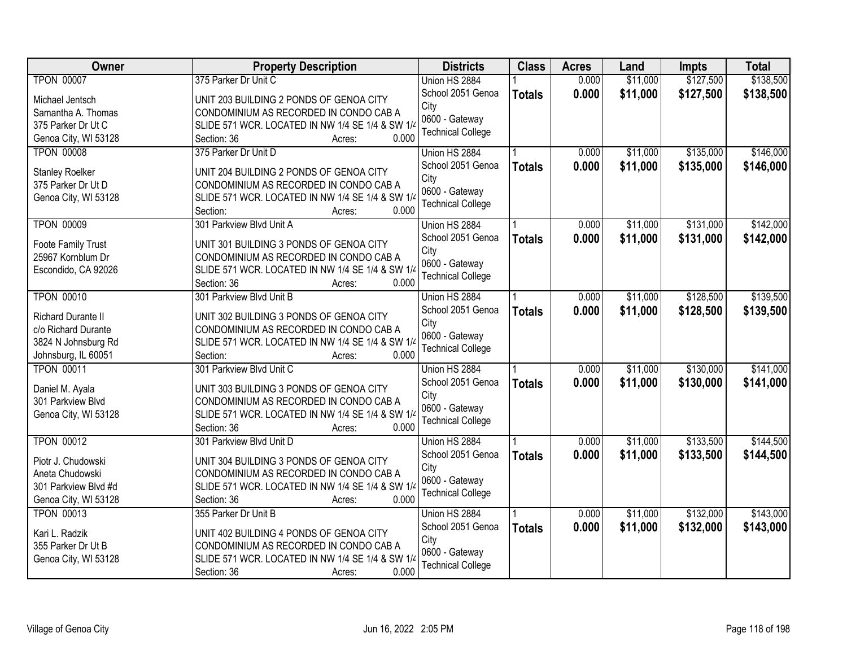| Owner                  | <b>Property Description</b>                                              | <b>Districts</b>         | <b>Class</b>  | <b>Acres</b> | Land     | <b>Impts</b> | <b>Total</b> |
|------------------------|--------------------------------------------------------------------------|--------------------------|---------------|--------------|----------|--------------|--------------|
| <b>TPON 00007</b>      | 375 Parker Dr Unit C                                                     | Union HS 2884            |               | 0.000        | \$11,000 | \$127,500    | \$138,500    |
| Michael Jentsch        | UNIT 203 BUILDING 2 PONDS OF GENOA CITY                                  | School 2051 Genoa        | <b>Totals</b> | 0.000        | \$11,000 | \$127,500    | \$138,500    |
| Samantha A. Thomas     | CONDOMINIUM AS RECORDED IN CONDO CAB A                                   | City                     |               |              |          |              |              |
| 375 Parker Dr Ut C     | SLIDE 571 WCR. LOCATED IN NW 1/4 SE 1/4 & SW 1/4                         | 0600 - Gateway           |               |              |          |              |              |
| Genoa City, WI 53128   | 0.000<br>Section: 36<br>Acres:                                           | <b>Technical College</b> |               |              |          |              |              |
| <b>TPON 00008</b>      | 375 Parker Dr Unit D                                                     | Union HS 2884            |               | 0.000        | \$11,000 | \$135,000    | \$146,000    |
|                        |                                                                          | School 2051 Genoa        | <b>Totals</b> | 0.000        | \$11,000 | \$135,000    | \$146,000    |
| <b>Stanley Roelker</b> | UNIT 204 BUILDING 2 PONDS OF GENOA CITY                                  | City                     |               |              |          |              |              |
| 375 Parker Dr Ut D     | CONDOMINIUM AS RECORDED IN CONDO CAB A                                   | 0600 - Gateway           |               |              |          |              |              |
| Genoa City, WI 53128   | SLIDE 571 WCR. LOCATED IN NW 1/4 SE 1/4 & SW 1/4<br>0.000<br>Section:    | <b>Technical College</b> |               |              |          |              |              |
| <b>TPON 00009</b>      | Acres:<br>301 Parkview Blvd Unit A                                       | Union HS 2884            |               | 0.000        | \$11,000 | \$131,000    | \$142,000    |
|                        |                                                                          | School 2051 Genoa        |               | 0.000        | \$11,000 | \$131,000    | \$142,000    |
| Foote Family Trust     | UNIT 301 BUILDING 3 PONDS OF GENOA CITY                                  | City                     | <b>Totals</b> |              |          |              |              |
| 25967 Kornblum Dr      | CONDOMINIUM AS RECORDED IN CONDO CAB A                                   | 0600 - Gateway           |               |              |          |              |              |
| Escondido, CA 92026    | SLIDE 571 WCR. LOCATED IN NW 1/4 SE 1/4 & SW 1/4                         | <b>Technical College</b> |               |              |          |              |              |
|                        | Section: 36<br>0.000<br>Acres:                                           |                          |               |              |          |              |              |
| <b>TPON 00010</b>      | 301 Parkview Blvd Unit B                                                 | Union HS 2884            |               | 0.000        | \$11,000 | \$128,500    | \$139,500    |
| Richard Durante II     | UNIT 302 BUILDING 3 PONDS OF GENOA CITY                                  | School 2051 Genoa        | <b>Totals</b> | 0.000        | \$11,000 | \$128,500    | \$139,500    |
| c/o Richard Durante    | CONDOMINIUM AS RECORDED IN CONDO CAB A                                   | City                     |               |              |          |              |              |
| 3824 N Johnsburg Rd    | SLIDE 571 WCR. LOCATED IN NW 1/4 SE 1/4 & SW 1/4                         | 0600 - Gateway           |               |              |          |              |              |
| Johnsburg, IL 60051    | 0.000<br>Section:<br>Acres:                                              | <b>Technical College</b> |               |              |          |              |              |
| <b>TPON 00011</b>      | 301 Parkview Blvd Unit C                                                 | Union HS 2884            |               | 0.000        | \$11,000 | \$130,000    | \$141,000    |
|                        |                                                                          | School 2051 Genoa        | <b>Totals</b> | 0.000        | \$11,000 | \$130,000    | \$141,000    |
| Daniel M. Ayala        | UNIT 303 BUILDING 3 PONDS OF GENOA CITY                                  | City                     |               |              |          |              |              |
| 301 Parkview Blvd      | CONDOMINIUM AS RECORDED IN CONDO CAB A                                   | 0600 - Gateway           |               |              |          |              |              |
| Genoa City, WI 53128   | SLIDE 571 WCR. LOCATED IN NW 1/4 SE 1/4 & SW 1/4<br>Section: 36<br>0.000 | <b>Technical College</b> |               |              |          |              |              |
| <b>TPON 00012</b>      | Acres:<br>301 Parkview Blvd Unit D                                       | Union HS 2884            |               | 0.000        | \$11,000 | \$133,500    | \$144,500    |
|                        |                                                                          | School 2051 Genoa        |               | 0.000        | \$11,000 | \$133,500    | \$144,500    |
| Piotr J. Chudowski     | UNIT 304 BUILDING 3 PONDS OF GENOA CITY                                  | City                     | <b>Totals</b> |              |          |              |              |
| Aneta Chudowski        | CONDOMINIUM AS RECORDED IN CONDO CAB A                                   | 0600 - Gateway           |               |              |          |              |              |
| 301 Parkview Blvd #d   | SLIDE 571 WCR. LOCATED IN NW 1/4 SE 1/4 & SW 1/4                         | <b>Technical College</b> |               |              |          |              |              |
| Genoa City, WI 53128   | 0.000<br>Section: 36<br>Acres:                                           |                          |               |              |          |              |              |
| <b>TPON 00013</b>      | 355 Parker Dr Unit B                                                     | Union HS 2884            |               | 0.000        | \$11,000 | \$132,000    | \$143,000    |
| Kari L. Radzik         | UNIT 402 BUILDING 4 PONDS OF GENOA CITY                                  | School 2051 Genoa        | <b>Totals</b> | 0.000        | \$11,000 | \$132,000    | \$143,000    |
| 355 Parker Dr Ut B     | CONDOMINIUM AS RECORDED IN CONDO CAB A                                   | City                     |               |              |          |              |              |
| Genoa City, WI 53128   | SLIDE 571 WCR. LOCATED IN NW 1/4 SE 1/4 & SW 1/4                         | 0600 - Gateway           |               |              |          |              |              |
|                        | 0.000<br>Section: 36<br>Acres:                                           | <b>Technical College</b> |               |              |          |              |              |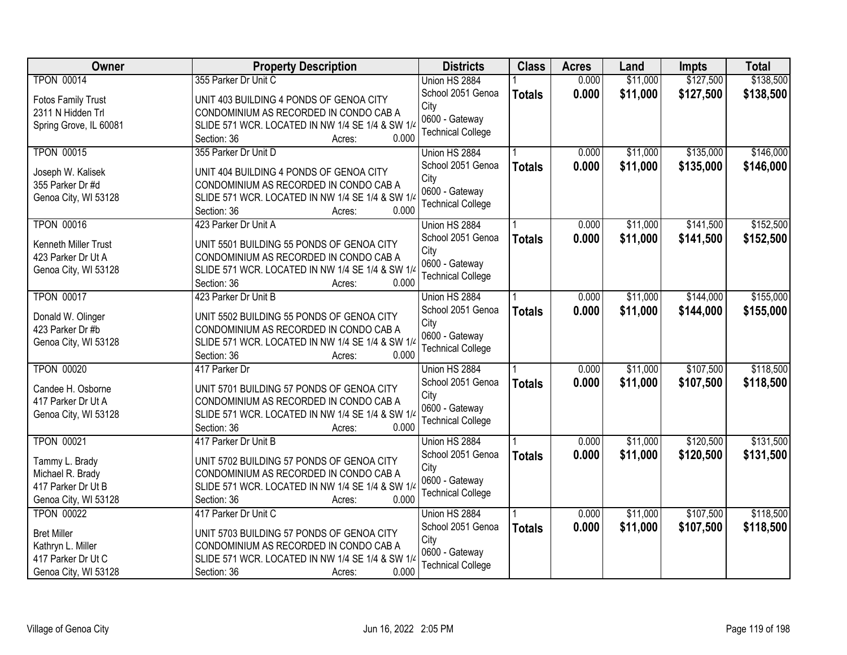| Owner                     | <b>Property Description</b>                      | <b>Districts</b>         | <b>Class</b>  | <b>Acres</b> | Land     | <b>Impts</b> | <b>Total</b> |
|---------------------------|--------------------------------------------------|--------------------------|---------------|--------------|----------|--------------|--------------|
| <b>TPON 00014</b>         | 355 Parker Dr Unit C                             | Union HS 2884            |               | 0.000        | \$11,000 | \$127,500    | \$138,500    |
| <b>Fotos Family Trust</b> | UNIT 403 BUILDING 4 PONDS OF GENOA CITY          | School 2051 Genoa        | <b>Totals</b> | 0.000        | \$11,000 | \$127,500    | \$138,500    |
| 2311 N Hidden Trl         | CONDOMINIUM AS RECORDED IN CONDO CAB A           | City                     |               |              |          |              |              |
| Spring Grove, IL 60081    | SLIDE 571 WCR. LOCATED IN NW 1/4 SE 1/4 & SW 1/4 | 0600 - Gateway           |               |              |          |              |              |
|                           | 0.000<br>Section: 36<br>Acres:                   | <b>Technical College</b> |               |              |          |              |              |
| <b>TPON 00015</b>         | 355 Parker Dr Unit D                             | Union HS 2884            |               | 0.000        | \$11,000 | \$135,000    | \$146,000    |
|                           |                                                  | School 2051 Genoa        | <b>Totals</b> | 0.000        | \$11,000 | \$135,000    | \$146,000    |
| Joseph W. Kalisek         | UNIT 404 BUILDING 4 PONDS OF GENOA CITY          | City                     |               |              |          |              |              |
| 355 Parker Dr #d          | CONDOMINIUM AS RECORDED IN CONDO CAB A           | 0600 - Gateway           |               |              |          |              |              |
| Genoa City, WI 53128      | SLIDE 571 WCR. LOCATED IN NW 1/4 SE 1/4 & SW 1/4 | <b>Technical College</b> |               |              |          |              |              |
|                           | 0.000<br>Section: 36<br>Acres:                   |                          |               |              |          |              |              |
| <b>TPON 00016</b>         | 423 Parker Dr Unit A                             | Union HS 2884            |               | 0.000        | \$11,000 | \$141,500    | \$152,500    |
| Kenneth Miller Trust      | UNIT 5501 BUILDING 55 PONDS OF GENOA CITY        | School 2051 Genoa        | <b>Totals</b> | 0.000        | \$11,000 | \$141,500    | \$152,500    |
| 423 Parker Dr Ut A        | CONDOMINIUM AS RECORDED IN CONDO CAB A           | City                     |               |              |          |              |              |
| Genoa City, WI 53128      | SLIDE 571 WCR. LOCATED IN NW 1/4 SE 1/4 & SW 1/4 | 0600 - Gateway           |               |              |          |              |              |
|                           | Section: 36<br>0.000<br>Acres:                   | <b>Technical College</b> |               |              |          |              |              |
| <b>TPON 00017</b>         | 423 Parker Dr Unit B                             | Union HS 2884            |               | 0.000        | \$11,000 | \$144,000    | \$155,000    |
|                           |                                                  | School 2051 Genoa        | <b>Totals</b> | 0.000        | \$11,000 | \$144,000    | \$155,000    |
| Donald W. Olinger         | UNIT 5502 BUILDING 55 PONDS OF GENOA CITY        | City                     |               |              |          |              |              |
| 423 Parker Dr #b          | CONDOMINIUM AS RECORDED IN CONDO CAB A           | 0600 - Gateway           |               |              |          |              |              |
| Genoa City, WI 53128      | SLIDE 571 WCR. LOCATED IN NW 1/4 SE 1/4 & SW 1/4 | <b>Technical College</b> |               |              |          |              |              |
|                           | 0.000<br>Section: 36<br>Acres:                   |                          |               |              |          |              |              |
| <b>TPON 00020</b>         | 417 Parker Dr                                    | Union HS 2884            |               | 0.000        | \$11,000 | \$107,500    | \$118,500    |
| Candee H. Osborne         | UNIT 5701 BUILDING 57 PONDS OF GENOA CITY        | School 2051 Genoa        | <b>Totals</b> | 0.000        | \$11,000 | \$107,500    | \$118,500    |
| 417 Parker Dr Ut A        | CONDOMINIUM AS RECORDED IN CONDO CAB A           | City                     |               |              |          |              |              |
| Genoa City, WI 53128      | SLIDE 571 WCR. LOCATED IN NW 1/4 SE 1/4 & SW 1/4 | 0600 - Gateway           |               |              |          |              |              |
|                           | Section: 36<br>0.000<br>Acres:                   | <b>Technical College</b> |               |              |          |              |              |
| <b>TPON 00021</b>         | 417 Parker Dr Unit B                             | Union HS 2884            |               | 0.000        | \$11,000 | \$120,500    | \$131,500    |
| Tammy L. Brady            | UNIT 5702 BUILDING 57 PONDS OF GENOA CITY        | School 2051 Genoa        | <b>Totals</b> | 0.000        | \$11,000 | \$120,500    | \$131,500    |
| Michael R. Brady          | CONDOMINIUM AS RECORDED IN CONDO CAB A           | City                     |               |              |          |              |              |
| 417 Parker Dr Ut B        | SLIDE 571 WCR. LOCATED IN NW 1/4 SE 1/4 & SW 1/4 | 0600 - Gateway           |               |              |          |              |              |
| Genoa City, WI 53128      | 0.000<br>Section: 36<br>Acres:                   | <b>Technical College</b> |               |              |          |              |              |
| <b>TPON 00022</b>         | 417 Parker Dr Unit C                             | Union HS 2884            |               | 0.000        | \$11,000 | \$107,500    | \$118,500    |
|                           |                                                  | School 2051 Genoa        | <b>Totals</b> | 0.000        | \$11,000 | \$107,500    | \$118,500    |
| <b>Bret Miller</b>        | UNIT 5703 BUILDING 57 PONDS OF GENOA CITY        | City                     |               |              |          |              |              |
| Kathryn L. Miller         | CONDOMINIUM AS RECORDED IN CONDO CAB A           | 0600 - Gateway           |               |              |          |              |              |
| 417 Parker Dr Ut C        | SLIDE 571 WCR. LOCATED IN NW 1/4 SE 1/4 & SW 1/4 | <b>Technical College</b> |               |              |          |              |              |
| Genoa City, WI 53128      | 0.000<br>Section: 36<br>Acres:                   |                          |               |              |          |              |              |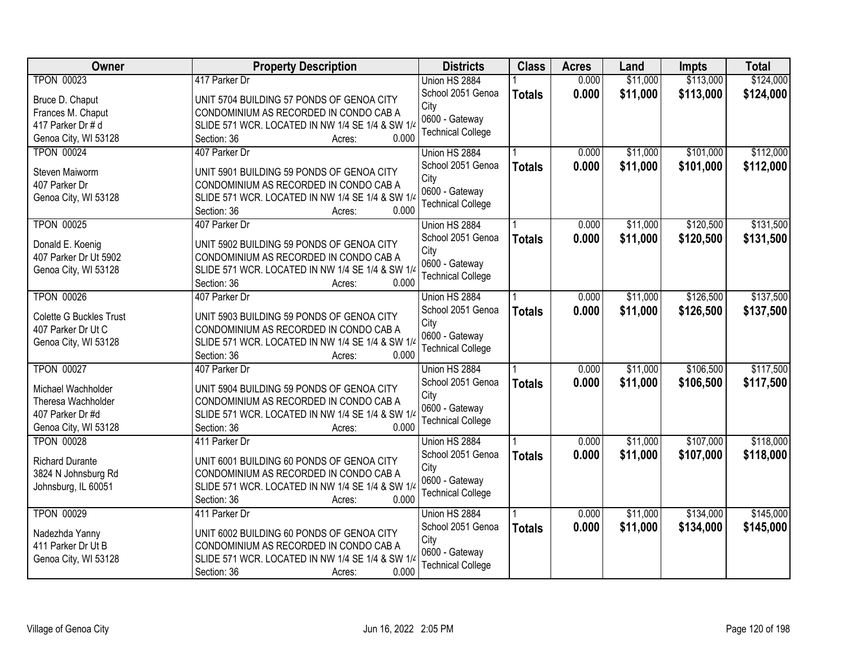| Owner                   | <b>Property Description</b>                      | <b>Districts</b>         | <b>Class</b>  | <b>Acres</b> | Land     | <b>Impts</b> | <b>Total</b> |
|-------------------------|--------------------------------------------------|--------------------------|---------------|--------------|----------|--------------|--------------|
| <b>TPON 00023</b>       | 417 Parker Dr                                    | Union HS 2884            |               | 0.000        | \$11,000 | \$113,000    | \$124,000    |
| Bruce D. Chaput         | UNIT 5704 BUILDING 57 PONDS OF GENOA CITY        | School 2051 Genoa        | <b>Totals</b> | 0.000        | \$11,000 | \$113,000    | \$124,000    |
| Frances M. Chaput       | CONDOMINIUM AS RECORDED IN CONDO CAB A           | City                     |               |              |          |              |              |
| 417 Parker Dr # d       | SLIDE 571 WCR. LOCATED IN NW 1/4 SE 1/4 & SW 1/4 | 0600 - Gateway           |               |              |          |              |              |
| Genoa City, WI 53128    | 0.000<br>Section: 36<br>Acres:                   | <b>Technical College</b> |               |              |          |              |              |
| <b>TPON 00024</b>       | 407 Parker Dr                                    | Union HS 2884            |               | 0.000        | \$11,000 | \$101,000    | \$112,000    |
|                         |                                                  | School 2051 Genoa        | <b>Totals</b> | 0.000        | \$11,000 | \$101,000    | \$112,000    |
| Steven Maiworm          | UNIT 5901 BUILDING 59 PONDS OF GENOA CITY        | City                     |               |              |          |              |              |
| 407 Parker Dr           | CONDOMINIUM AS RECORDED IN CONDO CAB A           | 0600 - Gateway           |               |              |          |              |              |
| Genoa City, WI 53128    | SLIDE 571 WCR. LOCATED IN NW 1/4 SE 1/4 & SW 1/4 | <b>Technical College</b> |               |              |          |              |              |
|                         | 0.000<br>Section: 36<br>Acres:                   |                          |               |              |          |              |              |
| <b>TPON 00025</b>       | 407 Parker Dr                                    | Union HS 2884            |               | 0.000        | \$11,000 | \$120,500    | \$131,500    |
| Donald E. Koenig        | UNIT 5902 BUILDING 59 PONDS OF GENOA CITY        | School 2051 Genoa        | <b>Totals</b> | 0.000        | \$11,000 | \$120,500    | \$131,500    |
| 407 Parker Dr Ut 5902   | CONDOMINIUM AS RECORDED IN CONDO CAB A           | City                     |               |              |          |              |              |
| Genoa City, WI 53128    | SLIDE 571 WCR. LOCATED IN NW 1/4 SE 1/4 & SW 1/4 | 0600 - Gateway           |               |              |          |              |              |
|                         | 0.000<br>Section: 36<br>Acres:                   | <b>Technical College</b> |               |              |          |              |              |
| <b>TPON 00026</b>       | 407 Parker Dr                                    | Union HS 2884            |               | 0.000        | \$11,000 | \$126,500    | \$137,500    |
|                         |                                                  | School 2051 Genoa        | <b>Totals</b> | 0.000        | \$11,000 | \$126,500    | \$137,500    |
| Colette G Buckles Trust | UNIT 5903 BUILDING 59 PONDS OF GENOA CITY        | City                     |               |              |          |              |              |
| 407 Parker Dr Ut C      | CONDOMINIUM AS RECORDED IN CONDO CAB A           | 0600 - Gateway           |               |              |          |              |              |
| Genoa City, WI 53128    | SLIDE 571 WCR. LOCATED IN NW 1/4 SE 1/4 & SW 1/4 | <b>Technical College</b> |               |              |          |              |              |
|                         | 0.000<br>Section: 36<br>Acres:                   |                          |               |              |          |              |              |
| <b>TPON 00027</b>       | 407 Parker Dr                                    | Union HS 2884            |               | 0.000        | \$11,000 | \$106,500    | \$117,500    |
| Michael Wachholder      | UNIT 5904 BUILDING 59 PONDS OF GENOA CITY        | School 2051 Genoa        | <b>Totals</b> | 0.000        | \$11,000 | \$106,500    | \$117,500    |
| Theresa Wachholder      | CONDOMINIUM AS RECORDED IN CONDO CAB A           | City                     |               |              |          |              |              |
| 407 Parker Dr #d        | SLIDE 571 WCR. LOCATED IN NW 1/4 SE 1/4 & SW 1/4 | 0600 - Gateway           |               |              |          |              |              |
| Genoa City, WI 53128    | Section: 36<br>0.000<br>Acres:                   | <b>Technical College</b> |               |              |          |              |              |
| <b>TPON 00028</b>       | 411 Parker Dr                                    | Union HS 2884            |               | 0.000        | \$11,000 | \$107,000    | \$118,000    |
|                         |                                                  | School 2051 Genoa        | <b>Totals</b> | 0.000        | \$11,000 | \$107,000    | \$118,000    |
| <b>Richard Durante</b>  | UNIT 6001 BUILDING 60 PONDS OF GENOA CITY        | City                     |               |              |          |              |              |
| 3824 N Johnsburg Rd     | CONDOMINIUM AS RECORDED IN CONDO CAB A           | 0600 - Gateway           |               |              |          |              |              |
| Johnsburg, IL 60051     | SLIDE 571 WCR. LOCATED IN NW 1/4 SE 1/4 & SW 1/4 | <b>Technical College</b> |               |              |          |              |              |
|                         | 0.000<br>Section: 36<br>Acres:                   |                          |               |              |          |              |              |
| <b>TPON 00029</b>       | 411 Parker Dr                                    | Union HS 2884            |               | 0.000        | \$11,000 | \$134,000    | \$145,000    |
| Nadezhda Yanny          | UNIT 6002 BUILDING 60 PONDS OF GENOA CITY        | School 2051 Genoa        | <b>Totals</b> | 0.000        | \$11,000 | \$134,000    | \$145,000    |
| 411 Parker Dr Ut B      | CONDOMINIUM AS RECORDED IN CONDO CAB A           | City                     |               |              |          |              |              |
| Genoa City, WI 53128    | SLIDE 571 WCR. LOCATED IN NW 1/4 SE 1/4 & SW 1/4 | 0600 - Gateway           |               |              |          |              |              |
|                         | 0.000<br>Section: 36<br>Acres:                   | <b>Technical College</b> |               |              |          |              |              |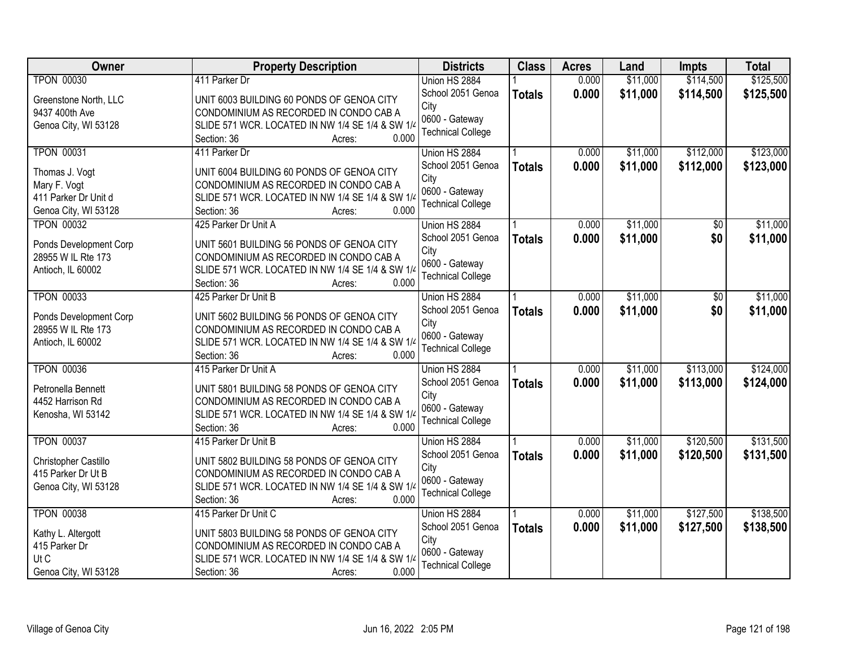| Owner                  | <b>Property Description</b>                      | <b>Districts</b>         | <b>Class</b>  | <b>Acres</b> | Land     | <b>Impts</b> | <b>Total</b> |
|------------------------|--------------------------------------------------|--------------------------|---------------|--------------|----------|--------------|--------------|
| <b>TPON 00030</b>      | 411 Parker Dr                                    | Union HS 2884            |               | 0.000        | \$11,000 | \$114,500    | \$125,500    |
| Greenstone North, LLC  | UNIT 6003 BUILDING 60 PONDS OF GENOA CITY        | School 2051 Genoa        | <b>Totals</b> | 0.000        | \$11,000 | \$114,500    | \$125,500    |
| 9437 400th Ave         | CONDOMINIUM AS RECORDED IN CONDO CAB A           | City                     |               |              |          |              |              |
| Genoa City, WI 53128   | SLIDE 571 WCR. LOCATED IN NW 1/4 SE 1/4 & SW 1/4 | 0600 - Gateway           |               |              |          |              |              |
|                        | 0.000<br>Section: 36<br>Acres:                   | <b>Technical College</b> |               |              |          |              |              |
| <b>TPON 00031</b>      | 411 Parker Dr                                    | Union HS 2884            |               | 0.000        | \$11,000 | \$112,000    | \$123,000    |
|                        |                                                  | School 2051 Genoa        | <b>Totals</b> | 0.000        | \$11,000 | \$112,000    | \$123,000    |
| Thomas J. Vogt         | UNIT 6004 BUILDING 60 PONDS OF GENOA CITY        | City                     |               |              |          |              |              |
| Mary F. Vogt           | CONDOMINIUM AS RECORDED IN CONDO CAB A           | 0600 - Gateway           |               |              |          |              |              |
| 411 Parker Dr Unit d   | SLIDE 571 WCR. LOCATED IN NW 1/4 SE 1/4 & SW 1/4 | <b>Technical College</b> |               |              |          |              |              |
| Genoa City, WI 53128   | 0.000<br>Section: 36<br>Acres:                   |                          |               |              |          |              |              |
| <b>TPON 00032</b>      | 425 Parker Dr Unit A                             | Union HS 2884            |               | 0.000        | \$11,000 | \$0          | \$11,000     |
| Ponds Development Corp | UNIT 5601 BUILDING 56 PONDS OF GENOA CITY        | School 2051 Genoa        | <b>Totals</b> | 0.000        | \$11,000 | \$0          | \$11,000     |
| 28955 W IL Rte 173     | CONDOMINIUM AS RECORDED IN CONDO CAB A           | City                     |               |              |          |              |              |
| Antioch, IL 60002      | SLIDE 571 WCR. LOCATED IN NW 1/4 SE 1/4 & SW 1/4 | 0600 - Gateway           |               |              |          |              |              |
|                        | 0.000<br>Section: 36<br>Acres:                   | <b>Technical College</b> |               |              |          |              |              |
| <b>TPON 00033</b>      | 425 Parker Dr Unit B                             | Union HS 2884            |               | 0.000        | \$11,000 | $\sqrt[6]{}$ | \$11,000     |
|                        |                                                  | School 2051 Genoa        | <b>Totals</b> | 0.000        | \$11,000 | \$0          | \$11,000     |
| Ponds Development Corp | UNIT 5602 BUILDING 56 PONDS OF GENOA CITY        | City                     |               |              |          |              |              |
| 28955 W IL Rte 173     | CONDOMINIUM AS RECORDED IN CONDO CAB A           | 0600 - Gateway           |               |              |          |              |              |
| Antioch, IL 60002      | SLIDE 571 WCR. LOCATED IN NW 1/4 SE 1/4 & SW 1/4 | <b>Technical College</b> |               |              |          |              |              |
|                        | 0.000<br>Section: 36<br>Acres:                   |                          |               |              |          |              |              |
| <b>TPON 00036</b>      | 415 Parker Dr Unit A                             | Union HS 2884            |               | 0.000        | \$11,000 | \$113,000    | \$124,000    |
| Petronella Bennett     | UNIT 5801 BUILDING 58 PONDS OF GENOA CITY        | School 2051 Genoa        | <b>Totals</b> | 0.000        | \$11,000 | \$113,000    | \$124,000    |
| 4452 Harrison Rd       | CONDOMINIUM AS RECORDED IN CONDO CAB A           | City                     |               |              |          |              |              |
| Kenosha, WI 53142      | SLIDE 571 WCR. LOCATED IN NW 1/4 SE 1/4 & SW 1/4 | 0600 - Gateway           |               |              |          |              |              |
|                        | Section: 36<br>0.000<br>Acres:                   | <b>Technical College</b> |               |              |          |              |              |
| <b>TPON 00037</b>      | 415 Parker Dr Unit B                             |                          |               | 0.000        | \$11,000 | \$120,500    | \$131,500    |
|                        |                                                  | Union HS 2884            |               |              |          |              |              |
| Christopher Castillo   | UNIT 5802 BUILDING 58 PONDS OF GENOA CITY        | School 2051 Genoa        | <b>Totals</b> | 0.000        | \$11,000 | \$120,500    | \$131,500    |
| 415 Parker Dr Ut B     | CONDOMINIUM AS RECORDED IN CONDO CAB A           | City                     |               |              |          |              |              |
| Genoa City, WI 53128   | SLIDE 571 WCR. LOCATED IN NW 1/4 SE 1/4 & SW 1/4 | 0600 - Gateway           |               |              |          |              |              |
|                        | 0.000<br>Section: 36<br>Acres:                   | <b>Technical College</b> |               |              |          |              |              |
| <b>TPON 00038</b>      | 415 Parker Dr Unit C                             | Union HS 2884            |               | 0.000        | \$11,000 | \$127,500    | \$138,500    |
|                        |                                                  | School 2051 Genoa        | <b>Totals</b> | 0.000        | \$11,000 | \$127,500    | \$138,500    |
| Kathy L. Altergott     | UNIT 5803 BUILDING 58 PONDS OF GENOA CITY        | City                     |               |              |          |              |              |
| 415 Parker Dr          | CONDOMINIUM AS RECORDED IN CONDO CAB A           | 0600 - Gateway           |               |              |          |              |              |
| Ut C                   | SLIDE 571 WCR. LOCATED IN NW 1/4 SE 1/4 & SW 1/4 | <b>Technical College</b> |               |              |          |              |              |
| Genoa City, WI 53128   | 0.000<br>Section: 36<br>Acres:                   |                          |               |              |          |              |              |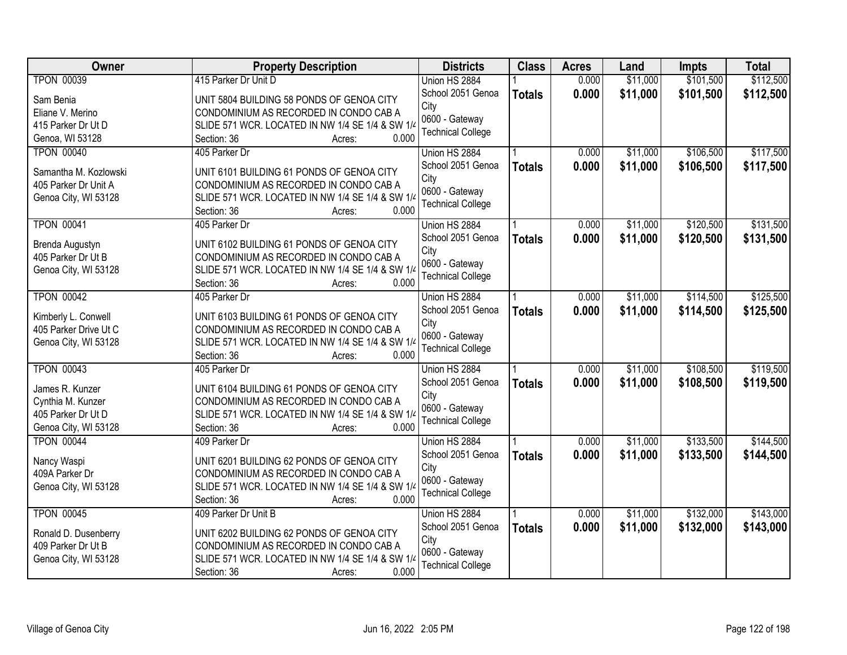| <b>Owner</b>          | <b>Property Description</b>                               | <b>Districts</b>         | <b>Class</b>  | <b>Acres</b> | Land     | <b>Impts</b> | <b>Total</b> |
|-----------------------|-----------------------------------------------------------|--------------------------|---------------|--------------|----------|--------------|--------------|
| <b>TPON 00039</b>     | 415 Parker Dr Unit D                                      | Union HS 2884            |               | 0.000        | \$11,000 | \$101,500    | \$112,500    |
| Sam Benia             | UNIT 5804 BUILDING 58 PONDS OF GENOA CITY                 | School 2051 Genoa        | <b>Totals</b> | 0.000        | \$11,000 | \$101,500    | \$112,500    |
| Eliane V. Merino      | CONDOMINIUM AS RECORDED IN CONDO CAB A                    | City                     |               |              |          |              |              |
| 415 Parker Dr Ut D    | SLIDE 571 WCR. LOCATED IN NW 1/4 SE 1/4 & SW 1/4          | 0600 - Gateway           |               |              |          |              |              |
| Genoa, WI 53128       | 0.000<br>Section: 36<br>Acres:                            | <b>Technical College</b> |               |              |          |              |              |
| <b>TPON 00040</b>     | 405 Parker Dr                                             | Union HS 2884            |               | 0.000        | \$11,000 | \$106,500    | \$117,500    |
|                       |                                                           | School 2051 Genoa        |               | 0.000        | \$11,000 | \$106,500    | \$117,500    |
| Samantha M. Kozlowski | UNIT 6101 BUILDING 61 PONDS OF GENOA CITY                 | City                     | <b>Totals</b> |              |          |              |              |
| 405 Parker Dr Unit A  | CONDOMINIUM AS RECORDED IN CONDO CAB A                    | 0600 - Gateway           |               |              |          |              |              |
| Genoa City, WI 53128  | SLIDE 571 WCR. LOCATED IN NW 1/4 SE 1/4 & SW 1/4          | <b>Technical College</b> |               |              |          |              |              |
|                       | 0.000<br>Section: 36<br>Acres:                            |                          |               |              |          |              |              |
| <b>TPON 00041</b>     | 405 Parker Dr                                             | Union HS 2884            |               | 0.000        | \$11,000 | \$120,500    | \$131,500    |
|                       | UNIT 6102 BUILDING 61 PONDS OF GENOA CITY                 | School 2051 Genoa        | <b>Totals</b> | 0.000        | \$11,000 | \$120,500    | \$131,500    |
| Brenda Augustyn       |                                                           | City                     |               |              |          |              |              |
| 405 Parker Dr Ut B    | CONDOMINIUM AS RECORDED IN CONDO CAB A                    | 0600 - Gateway           |               |              |          |              |              |
| Genoa City, WI 53128  | SLIDE 571 WCR. LOCATED IN NW 1/4 SE 1/4 & SW 1/4<br>0.000 | <b>Technical College</b> |               |              |          |              |              |
|                       | Section: 36<br>Acres:                                     |                          |               |              |          |              |              |
| <b>TPON 00042</b>     | 405 Parker Dr                                             | Union HS 2884            |               | 0.000        | \$11,000 | \$114,500    | \$125,500    |
| Kimberly L. Conwell   | UNIT 6103 BUILDING 61 PONDS OF GENOA CITY                 | School 2051 Genoa        | <b>Totals</b> | 0.000        | \$11,000 | \$114,500    | \$125,500    |
| 405 Parker Drive Ut C | CONDOMINIUM AS RECORDED IN CONDO CAB A                    | City                     |               |              |          |              |              |
| Genoa City, WI 53128  | SLIDE 571 WCR. LOCATED IN NW 1/4 SE 1/4 & SW 1/4          | 0600 - Gateway           |               |              |          |              |              |
|                       | 0.000<br>Section: 36<br>Acres:                            | <b>Technical College</b> |               |              |          |              |              |
| <b>TPON 00043</b>     | 405 Parker Dr                                             | Union HS 2884            |               | 0.000        | \$11,000 | \$108,500    | \$119,500    |
|                       |                                                           | School 2051 Genoa        | <b>Totals</b> | 0.000        | \$11,000 | \$108,500    | \$119,500    |
| James R. Kunzer       | UNIT 6104 BUILDING 61 PONDS OF GENOA CITY                 | City                     |               |              |          |              |              |
| Cynthia M. Kunzer     | CONDOMINIUM AS RECORDED IN CONDO CAB A                    | 0600 - Gateway           |               |              |          |              |              |
| 405 Parker Dr Ut D    | SLIDE 571 WCR. LOCATED IN NW 1/4 SE 1/4 & SW 1/4          | <b>Technical College</b> |               |              |          |              |              |
| Genoa City, WI 53128  | 0.000<br>Section: 36<br>Acres:                            |                          |               |              |          |              |              |
| <b>TPON 00044</b>     | 409 Parker Dr                                             | Union HS 2884            |               | 0.000        | \$11,000 | \$133,500    | \$144,500    |
| Nancy Waspi           | UNIT 6201 BUILDING 62 PONDS OF GENOA CITY                 | School 2051 Genoa        | <b>Totals</b> | 0.000        | \$11,000 | \$133,500    | \$144,500    |
| 409A Parker Dr        | CONDOMINIUM AS RECORDED IN CONDO CAB A                    | City                     |               |              |          |              |              |
| Genoa City, WI 53128  | SLIDE 571 WCR. LOCATED IN NW 1/4 SE 1/4 & SW 1/4          | 0600 - Gateway           |               |              |          |              |              |
|                       | 0.000<br>Section: 36<br>Acres:                            | <b>Technical College</b> |               |              |          |              |              |
| <b>TPON 00045</b>     | 409 Parker Dr Unit B                                      | Union HS 2884            |               | 0.000        | \$11,000 | \$132,000    | \$143,000    |
|                       |                                                           | School 2051 Genoa        | <b>Totals</b> | 0.000        | \$11,000 | \$132,000    | \$143,000    |
| Ronald D. Dusenberry  | UNIT 6202 BUILDING 62 PONDS OF GENOA CITY                 | City                     |               |              |          |              |              |
| 409 Parker Dr Ut B    | CONDOMINIUM AS RECORDED IN CONDO CAB A                    | 0600 - Gateway           |               |              |          |              |              |
| Genoa City, WI 53128  | SLIDE 571 WCR. LOCATED IN NW 1/4 SE 1/4 & SW 1/4          | <b>Technical College</b> |               |              |          |              |              |
|                       | 0.000<br>Section: 36<br>Acres:                            |                          |               |              |          |              |              |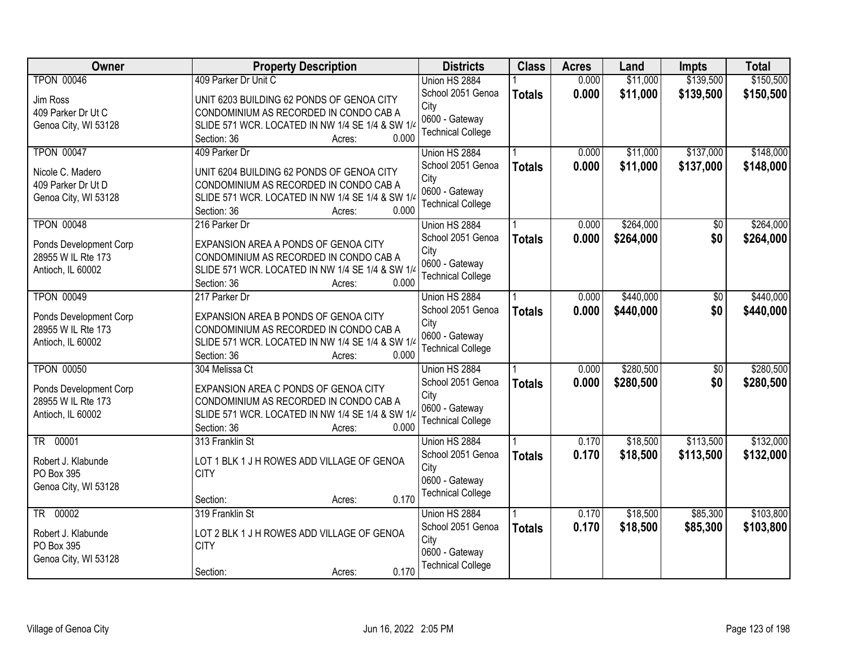| Owner                                        | <b>Property Description</b>                                                                | <b>Districts</b>         | <b>Class</b>  | <b>Acres</b> | Land      | <b>Impts</b>    | <b>Total</b> |
|----------------------------------------------|--------------------------------------------------------------------------------------------|--------------------------|---------------|--------------|-----------|-----------------|--------------|
| <b>TPON 00046</b>                            | 409 Parker Dr Unit C                                                                       | Union HS 2884            |               | 0.000        | \$11,000  | \$139,500       | \$150,500    |
| Jim Ross                                     | UNIT 6203 BUILDING 62 PONDS OF GENOA CITY                                                  | School 2051 Genoa        | <b>Totals</b> | 0.000        | \$11,000  | \$139,500       | \$150,500    |
| 409 Parker Dr Ut C                           | CONDOMINIUM AS RECORDED IN CONDO CAB A                                                     | City                     |               |              |           |                 |              |
| Genoa City, WI 53128                         | SLIDE 571 WCR. LOCATED IN NW 1/4 SE 1/4 & SW 1/4                                           | 0600 - Gateway           |               |              |           |                 |              |
|                                              | 0.000<br>Section: 36<br>Acres:                                                             | <b>Technical College</b> |               |              |           |                 |              |
| <b>TPON 00047</b>                            | 409 Parker Dr                                                                              | Union HS 2884            |               | 0.000        | \$11,000  | \$137,000       | \$148,000    |
| Nicole C. Madero                             | UNIT 6204 BUILDING 62 PONDS OF GENOA CITY                                                  | School 2051 Genoa        | <b>Totals</b> | 0.000        | \$11,000  | \$137,000       | \$148,000    |
| 409 Parker Dr Ut D                           | CONDOMINIUM AS RECORDED IN CONDO CAB A                                                     | City                     |               |              |           |                 |              |
| Genoa City, WI 53128                         | SLIDE 571 WCR. LOCATED IN NW 1/4 SE 1/4 & SW 1/4                                           | 0600 - Gateway           |               |              |           |                 |              |
|                                              | 0.000<br>Section: 36<br>Acres:                                                             | <b>Technical College</b> |               |              |           |                 |              |
| <b>TPON 00048</b>                            | 216 Parker Dr                                                                              | Union HS 2884            |               | 0.000        | \$264,000 | \$0             | \$264,000    |
| Ponds Development Corp                       | EXPANSION AREA A PONDS OF GENOA CITY                                                       | School 2051 Genoa        | <b>Totals</b> | 0.000        | \$264,000 | \$0             | \$264,000    |
| 28955 W IL Rte 173                           | CONDOMINIUM AS RECORDED IN CONDO CAB A                                                     | City                     |               |              |           |                 |              |
| Antioch, IL 60002                            | SLIDE 571 WCR. LOCATED IN NW 1/4 SE 1/4 & SW 1/4                                           | 0600 - Gateway           |               |              |           |                 |              |
|                                              | 0.000<br>Section: 36<br>Acres:                                                             | <b>Technical College</b> |               |              |           |                 |              |
| <b>TPON 00049</b>                            | 217 Parker Dr                                                                              | Union HS 2884            |               | 0.000        | \$440,000 | $\sqrt[6]{}$    | \$440,000    |
|                                              |                                                                                            | School 2051 Genoa        | <b>Totals</b> | 0.000        | \$440,000 | \$0             | \$440,000    |
| Ponds Development Corp<br>28955 W IL Rte 173 | EXPANSION AREA B PONDS OF GENOA CITY                                                       | City                     |               |              |           |                 |              |
| Antioch, IL 60002                            | CONDOMINIUM AS RECORDED IN CONDO CAB A<br>SLIDE 571 WCR. LOCATED IN NW 1/4 SE 1/4 & SW 1/4 | 0600 - Gateway           |               |              |           |                 |              |
|                                              | 0.000<br>Section: 36<br>Acres:                                                             | <b>Technical College</b> |               |              |           |                 |              |
| <b>TPON 00050</b>                            | 304 Melissa Ct                                                                             | Union HS 2884            |               | 0.000        | \$280,500 | $\overline{50}$ | \$280,500    |
|                                              |                                                                                            | School 2051 Genoa        | <b>Totals</b> | 0.000        | \$280,500 | \$0             | \$280,500    |
| Ponds Development Corp                       | EXPANSION AREA C PONDS OF GENOA CITY                                                       | City                     |               |              |           |                 |              |
| 28955 W IL Rte 173                           | CONDOMINIUM AS RECORDED IN CONDO CAB A                                                     | 0600 - Gateway           |               |              |           |                 |              |
| Antioch, IL 60002                            | SLIDE 571 WCR. LOCATED IN NW 1/4 SE 1/4 & SW 1/4                                           | <b>Technical College</b> |               |              |           |                 |              |
|                                              | Section: 36<br>0.000<br>Acres:                                                             |                          |               |              |           |                 |              |
| TR 00001                                     | 313 Franklin St                                                                            | Union HS 2884            |               | 0.170        | \$18,500  | \$113,500       | \$132,000    |
| Robert J. Klabunde                           | LOT 1 BLK 1 J H ROWES ADD VILLAGE OF GENOA                                                 | School 2051 Genoa        | <b>Totals</b> | 0.170        | \$18,500  | \$113,500       | \$132,000    |
| PO Box 395                                   | <b>CITY</b>                                                                                | City                     |               |              |           |                 |              |
| Genoa City, WI 53128                         |                                                                                            | 0600 - Gateway           |               |              |           |                 |              |
|                                              | 0.170<br>Section:<br>Acres:                                                                | <b>Technical College</b> |               |              |           |                 |              |
| TR 00002                                     | 319 Franklin St                                                                            | Union HS 2884            |               | 0.170        | \$18,500  | \$85,300        | \$103,800    |
| Robert J. Klabunde                           | LOT 2 BLK 1 J H ROWES ADD VILLAGE OF GENOA                                                 | School 2051 Genoa        | <b>Totals</b> | 0.170        | \$18,500  | \$85,300        | \$103,800    |
| PO Box 395                                   | <b>CITY</b>                                                                                | City                     |               |              |           |                 |              |
| Genoa City, WI 53128                         |                                                                                            | 0600 - Gateway           |               |              |           |                 |              |
|                                              | 0.170<br>Section:<br>Acres:                                                                | <b>Technical College</b> |               |              |           |                 |              |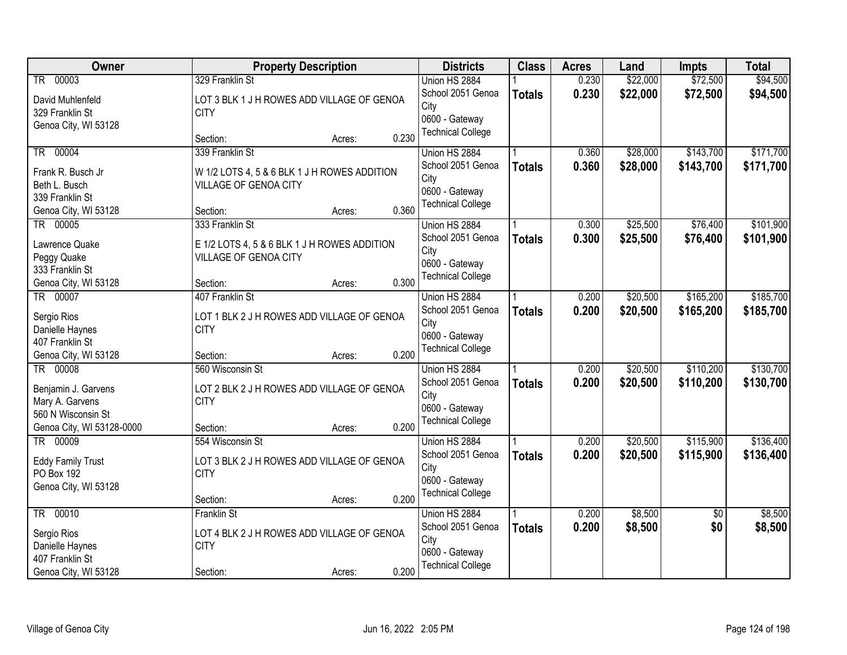| Owner                            | <b>Property Description</b>                  |        |       | <b>Districts</b>         | <b>Class</b>  | <b>Acres</b> | Land     | <b>Impts</b>    | <b>Total</b> |
|----------------------------------|----------------------------------------------|--------|-------|--------------------------|---------------|--------------|----------|-----------------|--------------|
| TR 00003                         | 329 Franklin St                              |        |       | Union HS 2884            |               | 0.230        | \$22,000 | \$72,500        | \$94,500     |
| David Muhlenfeld                 | LOT 3 BLK 1 J H ROWES ADD VILLAGE OF GENOA   |        |       | School 2051 Genoa        | <b>Totals</b> | 0.230        | \$22,000 | \$72,500        | \$94,500     |
| 329 Franklin St                  | <b>CITY</b>                                  |        |       | City                     |               |              |          |                 |              |
| Genoa City, WI 53128             |                                              |        |       | 0600 - Gateway           |               |              |          |                 |              |
|                                  | Section:                                     | Acres: | 0.230 | <b>Technical College</b> |               |              |          |                 |              |
| 00004<br><b>TR</b>               | 339 Franklin St                              |        |       | Union HS 2884            |               | 0.360        | \$28,000 | \$143,700       | \$171,700    |
| Frank R. Busch Jr                | W 1/2 LOTS 4, 5 & 6 BLK 1 J H ROWES ADDITION |        |       | School 2051 Genoa        | <b>Totals</b> | 0.360        | \$28,000 | \$143,700       | \$171,700    |
| Beth L. Busch                    | VILLAGE OF GENOA CITY                        |        |       | City                     |               |              |          |                 |              |
| 339 Franklin St                  |                                              |        |       | 0600 - Gateway           |               |              |          |                 |              |
| Genoa City, WI 53128             | Section:                                     | Acres: | 0.360 | <b>Technical College</b> |               |              |          |                 |              |
| TR 00005                         | 333 Franklin St                              |        |       | Union HS 2884            |               | 0.300        | \$25,500 | \$76,400        | \$101,900    |
| Lawrence Quake                   | E 1/2 LOTS 4, 5 & 6 BLK 1 J H ROWES ADDITION |        |       | School 2051 Genoa        | <b>Totals</b> | 0.300        | \$25,500 | \$76,400        | \$101,900    |
| Peggy Quake                      | VILLAGE OF GENOA CITY                        |        |       | City                     |               |              |          |                 |              |
| 333 Franklin St                  |                                              |        |       | 0600 - Gateway           |               |              |          |                 |              |
| Genoa City, WI 53128             | Section:                                     | Acres: | 0.300 | <b>Technical College</b> |               |              |          |                 |              |
| TR 00007                         | 407 Franklin St                              |        |       | Union HS 2884            |               | 0.200        | \$20,500 | \$165,200       | \$185,700    |
|                                  |                                              |        |       | School 2051 Genoa        | <b>Totals</b> | 0.200        | \$20,500 | \$165,200       | \$185,700    |
| Sergio Rios                      | LOT 1 BLK 2 J H ROWES ADD VILLAGE OF GENOA   |        |       | City                     |               |              |          |                 |              |
| Danielle Haynes                  | <b>CITY</b>                                  |        |       | 0600 - Gateway           |               |              |          |                 |              |
| 407 Franklin St                  |                                              |        | 0.200 | <b>Technical College</b> |               |              |          |                 |              |
| Genoa City, WI 53128<br>TR 00008 | Section:<br>560 Wisconsin St                 | Acres: |       | Union HS 2884            |               | 0.200        | \$20,500 | \$110,200       | \$130,700    |
|                                  |                                              |        |       | School 2051 Genoa        |               | 0.200        | \$20,500 | \$110,200       |              |
| Benjamin J. Garvens              | LOT 2 BLK 2 J H ROWES ADD VILLAGE OF GENOA   |        |       | City                     | <b>Totals</b> |              |          |                 | \$130,700    |
| Mary A. Garvens                  | <b>CITY</b>                                  |        |       | 0600 - Gateway           |               |              |          |                 |              |
| 560 N Wisconsin St               |                                              |        |       | <b>Technical College</b> |               |              |          |                 |              |
| Genoa City, WI 53128-0000        | Section:                                     | Acres: | 0.200 |                          |               |              |          |                 |              |
| TR 00009                         | 554 Wisconsin St                             |        |       | Union HS 2884            |               | 0.200        | \$20,500 | \$115,900       | \$136,400    |
| <b>Eddy Family Trust</b>         | LOT 3 BLK 2 J H ROWES ADD VILLAGE OF GENOA   |        |       | School 2051 Genoa        | <b>Totals</b> | 0.200        | \$20,500 | \$115,900       | \$136,400    |
| PO Box 192                       | <b>CITY</b>                                  |        |       | City                     |               |              |          |                 |              |
| Genoa City, WI 53128             |                                              |        |       | 0600 - Gateway           |               |              |          |                 |              |
|                                  | Section:                                     | Acres: | 0.200 | <b>Technical College</b> |               |              |          |                 |              |
| TR 00010                         | <b>Franklin St</b>                           |        |       | Union HS 2884            |               | 0.200        | \$8,500  | $\overline{50}$ | \$8,500      |
| Sergio Rios                      | LOT 4 BLK 2 J H ROWES ADD VILLAGE OF GENOA   |        |       | School 2051 Genoa        | <b>Totals</b> | 0.200        | \$8,500  | \$0             | \$8,500      |
| Danielle Haynes                  | <b>CITY</b>                                  |        |       | City                     |               |              |          |                 |              |
| 407 Franklin St                  |                                              |        |       | 0600 - Gateway           |               |              |          |                 |              |
| Genoa City, WI 53128             | Section:                                     | Acres: | 0.200 | <b>Technical College</b> |               |              |          |                 |              |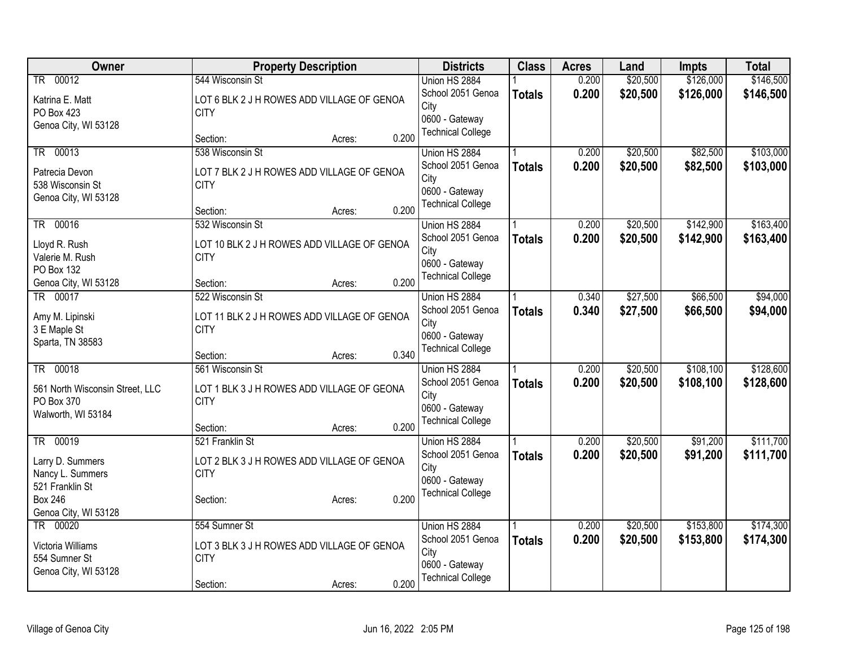| Owner                           | <b>Property Description</b>                 | <b>Districts</b>                           | <b>Class</b>  | <b>Acres</b>   | Land     | <b>Impts</b> | <b>Total</b> |
|---------------------------------|---------------------------------------------|--------------------------------------------|---------------|----------------|----------|--------------|--------------|
| TR 00012                        | 544 Wisconsin St                            | Union HS 2884                              |               | 0.200          | \$20,500 | \$126,000    | \$146,500    |
| Katrina E. Matt                 | LOT 6 BLK 2 J H ROWES ADD VILLAGE OF GENOA  | School 2051 Genoa                          | <b>Totals</b> | 0.200          | \$20,500 | \$126,000    | \$146,500    |
| PO Box 423                      | <b>CITY</b>                                 | City                                       |               |                |          |              |              |
| Genoa City, WI 53128            |                                             | 0600 - Gateway<br><b>Technical College</b> |               |                |          |              |              |
|                                 | 0.200<br>Section:<br>Acres:                 |                                            |               |                |          |              |              |
| TR 00013                        | 538 Wisconsin St                            | Union HS 2884                              |               | 0.200          | \$20,500 | \$82,500     | \$103,000    |
| Patrecia Devon                  | LOT 7 BLK 2 J H ROWES ADD VILLAGE OF GENOA  | School 2051 Genoa                          | <b>Totals</b> | 0.200          | \$20,500 | \$82,500     | \$103,000    |
| 538 Wisconsin St                | <b>CITY</b>                                 | City                                       |               |                |          |              |              |
| Genoa City, WI 53128            |                                             | 0600 - Gateway<br><b>Technical College</b> |               |                |          |              |              |
|                                 | 0.200<br>Section:<br>Acres:                 |                                            |               |                |          |              |              |
| TR 00016                        | 532 Wisconsin St                            | Union HS 2884                              |               | 0.200          | \$20,500 | \$142,900    | \$163,400    |
| Lloyd R. Rush                   | LOT 10 BLK 2 J H ROWES ADD VILLAGE OF GENOA | School 2051 Genoa                          | <b>Totals</b> | 0.200          | \$20,500 | \$142,900    | \$163,400    |
| Valerie M. Rush                 | <b>CITY</b>                                 | City                                       |               |                |          |              |              |
| PO Box 132                      |                                             | 0600 - Gateway<br><b>Technical College</b> |               |                |          |              |              |
| Genoa City, WI 53128            | 0.200<br>Section:<br>Acres:                 |                                            |               |                |          |              |              |
| TR 00017                        | 522 Wisconsin St                            | Union HS 2884                              |               | 0.340          | \$27,500 | \$66,500     | \$94,000     |
| Amy M. Lipinski                 | LOT 11 BLK 2 J H ROWES ADD VILLAGE OF GENOA | School 2051 Genoa                          | <b>Totals</b> | 0.340          | \$27,500 | \$66,500     | \$94,000     |
| 3 E Maple St                    | <b>CITY</b>                                 | City<br>0600 - Gateway                     |               |                |          |              |              |
| Sparta, TN 38583                |                                             | <b>Technical College</b>                   |               |                |          |              |              |
|                                 | 0.340<br>Section:<br>Acres:                 |                                            |               |                |          |              |              |
| TR 00018                        | 561 Wisconsin St                            | Union HS 2884                              |               | 0.200          | \$20,500 | \$108,100    | \$128,600    |
| 561 North Wisconsin Street, LLC | LOT 1 BLK 3 J H ROWES ADD VILLAGE OF GEONA  | School 2051 Genoa                          | <b>Totals</b> | 0.200          | \$20,500 | \$108,100    | \$128,600    |
| PO Box 370                      | <b>CITY</b>                                 | City<br>0600 - Gateway                     |               |                |          |              |              |
| Walworth, WI 53184              |                                             | <b>Technical College</b>                   |               |                |          |              |              |
|                                 | 0.200<br>Section:<br>Acres:                 |                                            |               |                |          |              |              |
| TR 00019                        | 521 Franklin St                             | Union HS 2884                              |               | 0.200          | \$20,500 | \$91,200     | \$111,700    |
| Larry D. Summers                | LOT 2 BLK 3 J H ROWES ADD VILLAGE OF GENOA  | School 2051 Genoa                          | <b>Totals</b> | 0.200          | \$20,500 | \$91,200     | \$111,700    |
| Nancy L. Summers                | <b>CITY</b>                                 | City<br>0600 - Gateway                     |               |                |          |              |              |
| 521 Franklin St                 |                                             | <b>Technical College</b>                   |               |                |          |              |              |
| <b>Box 246</b>                  | 0.200<br>Section:<br>Acres:                 |                                            |               |                |          |              |              |
| Genoa City, WI 53128            |                                             |                                            |               |                |          |              |              |
| TR 00020                        | 554 Sumner St                               | Union HS 2884<br>School 2051 Genoa         |               | 0.200<br>0.200 | \$20,500 | \$153,800    | \$174,300    |
| Victoria Williams               | LOT 3 BLK 3 J H ROWES ADD VILLAGE OF GENOA  | City                                       | <b>Totals</b> |                | \$20,500 | \$153,800    | \$174,300    |
| 554 Sumner St                   | <b>CITY</b>                                 | 0600 - Gateway                             |               |                |          |              |              |
| Genoa City, WI 53128            |                                             | <b>Technical College</b>                   |               |                |          |              |              |
|                                 | 0.200<br>Section:<br>Acres:                 |                                            |               |                |          |              |              |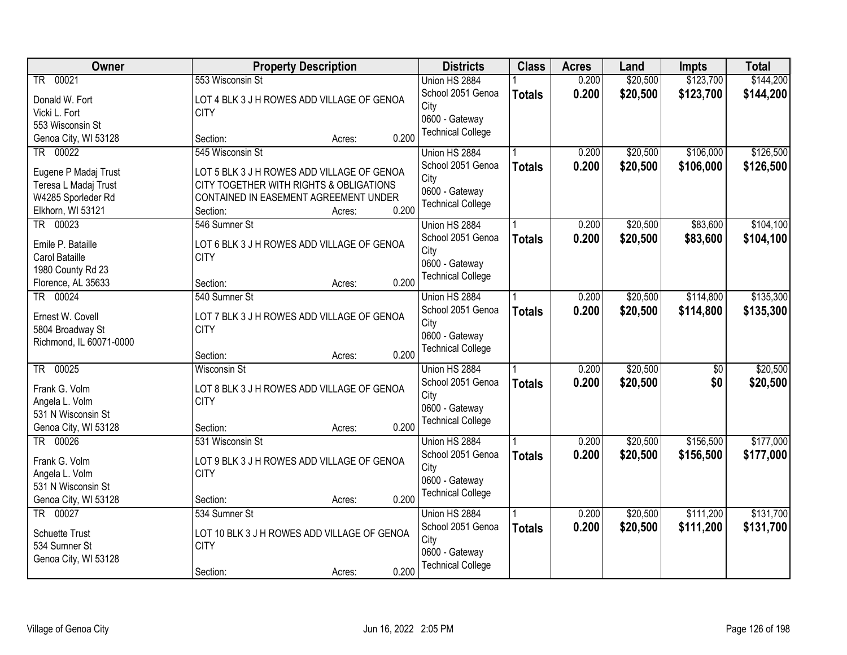| Owner                           | <b>Property Description</b>                 | <b>Districts</b>         | <b>Class</b>  | <b>Acres</b> | Land     | <b>Impts</b>    | <b>Total</b> |
|---------------------------------|---------------------------------------------|--------------------------|---------------|--------------|----------|-----------------|--------------|
| TR 00021                        | 553 Wisconsin St                            | Union HS 2884            |               | 0.200        | \$20,500 | \$123,700       | \$144,200    |
| Donald W. Fort                  | LOT 4 BLK 3 J H ROWES ADD VILLAGE OF GENOA  | School 2051 Genoa        | <b>Totals</b> | 0.200        | \$20,500 | \$123,700       | \$144,200    |
| Vicki L. Fort                   | <b>CITY</b>                                 | City                     |               |              |          |                 |              |
| 553 Wisconsin St                |                                             | 0600 - Gateway           |               |              |          |                 |              |
| Genoa City, WI 53128            | 0.200<br>Section:<br>Acres:                 | <b>Technical College</b> |               |              |          |                 |              |
| TR 00022                        | 545 Wisconsin St                            | Union HS 2884            |               | 0.200        | \$20,500 | \$106,000       | \$126,500    |
| Eugene P Madaj Trust            | LOT 5 BLK 3 J H ROWES ADD VILLAGE OF GENOA  | School 2051 Genoa        | <b>Totals</b> | 0.200        | \$20,500 | \$106,000       | \$126,500    |
| Teresa L Madaj Trust            | CITY TOGETHER WITH RIGHTS & OBLIGATIONS     | City                     |               |              |          |                 |              |
| W4285 Sporleder Rd              | CONTAINED IN EASEMENT AGREEMENT UNDER       | 0600 - Gateway           |               |              |          |                 |              |
| Elkhorn, WI 53121               | 0.200<br>Section:<br>Acres:                 | <b>Technical College</b> |               |              |          |                 |              |
| TR 00023                        | 546 Sumner St                               | Union HS 2884            |               | 0.200        | \$20,500 | \$83,600        | \$104,100    |
|                                 |                                             | School 2051 Genoa        | <b>Totals</b> | 0.200        | \$20,500 | \$83,600        | \$104,100    |
| Emile P. Bataille               | LOT 6 BLK 3 J H ROWES ADD VILLAGE OF GENOA  | City                     |               |              |          |                 |              |
| Carol Bataille                  | <b>CITY</b>                                 | 0600 - Gateway           |               |              |          |                 |              |
| 1980 County Rd 23               | 0.200<br>Section:                           | <b>Technical College</b> |               |              |          |                 |              |
| Florence, AL 35633<br>TR 00024  | Acres:<br>540 Sumner St                     | Union HS 2884            |               | 0.200        | \$20,500 | \$114,800       | \$135,300    |
|                                 |                                             | School 2051 Genoa        |               |              |          |                 |              |
| Ernest W. Covell                | LOT 7 BLK 3 J H ROWES ADD VILLAGE OF GENOA  | City                     | <b>Totals</b> | 0.200        | \$20,500 | \$114,800       | \$135,300    |
| 5804 Broadway St                | <b>CITY</b>                                 | 0600 - Gateway           |               |              |          |                 |              |
| Richmond, IL 60071-0000         |                                             | <b>Technical College</b> |               |              |          |                 |              |
|                                 | 0.200<br>Section:<br>Acres:                 |                          |               |              |          |                 |              |
| 00025<br>$\overline{\text{TR}}$ | <b>Wisconsin St</b>                         | Union HS 2884            |               | 0.200        | \$20,500 | $\overline{50}$ | \$20,500     |
| Frank G. Volm                   | LOT 8 BLK 3 J H ROWES ADD VILLAGE OF GENOA  | School 2051 Genoa        | <b>Totals</b> | 0.200        | \$20,500 | \$0             | \$20,500     |
| Angela L. Volm                  | <b>CITY</b>                                 | City                     |               |              |          |                 |              |
| 531 N Wisconsin St              |                                             | 0600 - Gateway           |               |              |          |                 |              |
| Genoa City, WI 53128            | 0.200<br>Section:<br>Acres:                 | <b>Technical College</b> |               |              |          |                 |              |
| TR 00026                        | 531 Wisconsin St                            | Union HS 2884            |               | 0.200        | \$20,500 | \$156,500       | \$177,000    |
| Frank G. Volm                   | LOT 9 BLK 3 J H ROWES ADD VILLAGE OF GENOA  | School 2051 Genoa        | <b>Totals</b> | 0.200        | \$20,500 | \$156,500       | \$177,000    |
| Angela L. Volm                  | <b>CITY</b>                                 | City                     |               |              |          |                 |              |
| 531 N Wisconsin St              |                                             | 0600 - Gateway           |               |              |          |                 |              |
| Genoa City, WI 53128            | 0.200<br>Section:<br>Acres:                 | <b>Technical College</b> |               |              |          |                 |              |
| TR 00027                        | 534 Sumner St                               | Union HS 2884            |               | 0.200        | \$20,500 | \$111,200       | \$131,700    |
|                                 |                                             | School 2051 Genoa        | <b>Totals</b> | 0.200        | \$20,500 | \$111,200       | \$131,700    |
| <b>Schuette Trust</b>           | LOT 10 BLK 3 J H ROWES ADD VILLAGE OF GENOA | City                     |               |              |          |                 |              |
| 534 Sumner St                   | <b>CITY</b>                                 | 0600 - Gateway           |               |              |          |                 |              |
| Genoa City, WI 53128            | 0.200                                       | <b>Technical College</b> |               |              |          |                 |              |
|                                 | Section:<br>Acres:                          |                          |               |              |          |                 |              |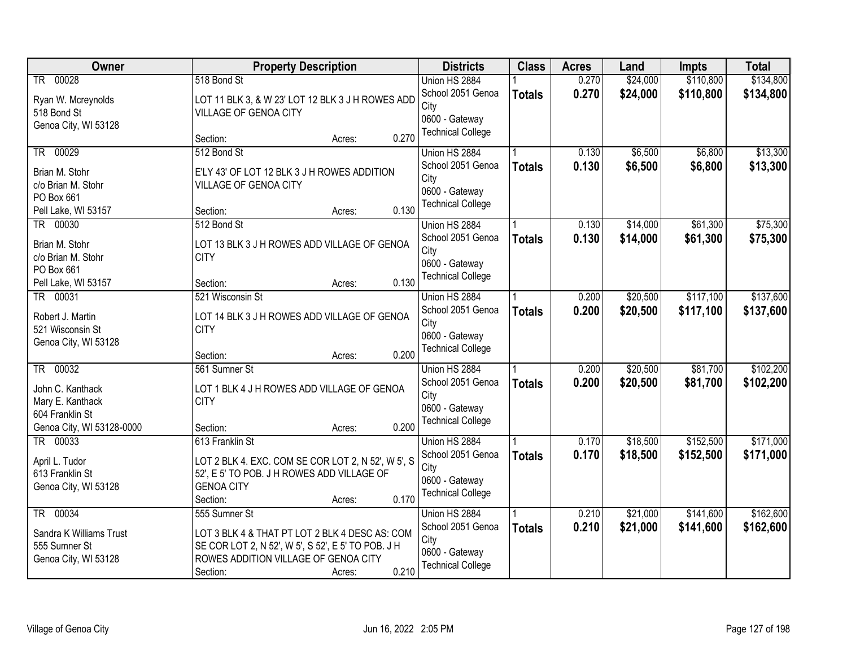| Owner                     |                       | <b>Property Description</b>                        |       | <b>Districts</b>         | <b>Class</b>  | <b>Acres</b> | Land     | <b>Impts</b> | <b>Total</b> |
|---------------------------|-----------------------|----------------------------------------------------|-------|--------------------------|---------------|--------------|----------|--------------|--------------|
| TR 00028                  | 518 Bond St           |                                                    |       | Union HS 2884            |               | 0.270        | \$24,000 | \$110,800    | \$134,800    |
| Ryan W. Mcreynolds        |                       | LOT 11 BLK 3, & W 23' LOT 12 BLK 3 J H ROWES ADD   |       | School 2051 Genoa        | <b>Totals</b> | 0.270        | \$24,000 | \$110,800    | \$134,800    |
| 518 Bond St               | VILLAGE OF GENOA CITY |                                                    |       | City                     |               |              |          |              |              |
| Genoa City, WI 53128      |                       |                                                    |       | 0600 - Gateway           |               |              |          |              |              |
|                           | Section:              | Acres:                                             | 0.270 | <b>Technical College</b> |               |              |          |              |              |
| TR 00029                  | 512 Bond St           |                                                    |       | Union HS 2884            |               | 0.130        | \$6,500  | \$6,800      | \$13,300     |
| Brian M. Stohr            |                       | E'LY 43' OF LOT 12 BLK 3 J H ROWES ADDITION        |       | School 2051 Genoa        | <b>Totals</b> | 0.130        | \$6,500  | \$6,800      | \$13,300     |
| c/o Brian M. Stohr        | VILLAGE OF GENOA CITY |                                                    |       | City                     |               |              |          |              |              |
| PO Box 661                |                       |                                                    |       | 0600 - Gateway           |               |              |          |              |              |
| Pell Lake, WI 53157       | Section:              | Acres:                                             | 0.130 | <b>Technical College</b> |               |              |          |              |              |
| TR 00030                  | 512 Bond St           |                                                    |       | Union HS 2884            |               | 0.130        | \$14,000 | \$61,300     | \$75,300     |
| Brian M. Stohr            |                       | LOT 13 BLK 3 J H ROWES ADD VILLAGE OF GENOA        |       | School 2051 Genoa        | <b>Totals</b> | 0.130        | \$14,000 | \$61,300     | \$75,300     |
| c/o Brian M. Stohr        | <b>CITY</b>           |                                                    |       | City                     |               |              |          |              |              |
| PO Box 661                |                       |                                                    |       | 0600 - Gateway           |               |              |          |              |              |
| Pell Lake, WI 53157       | Section:              | Acres:                                             | 0.130 | <b>Technical College</b> |               |              |          |              |              |
| TR 00031                  | 521 Wisconsin St      |                                                    |       | Union HS 2884            |               | 0.200        | \$20,500 | \$117,100    | \$137,600    |
| Robert J. Martin          |                       | LOT 14 BLK 3 J H ROWES ADD VILLAGE OF GENOA        |       | School 2051 Genoa        | <b>Totals</b> | 0.200        | \$20,500 | \$117,100    | \$137,600    |
| 521 Wisconsin St          | <b>CITY</b>           |                                                    |       | City                     |               |              |          |              |              |
| Genoa City, WI 53128      |                       |                                                    |       | 0600 - Gateway           |               |              |          |              |              |
|                           | Section:              | Acres:                                             | 0.200 | <b>Technical College</b> |               |              |          |              |              |
| TR 00032                  | 561 Sumner St         |                                                    |       | Union HS 2884            |               | 0.200        | \$20,500 | \$81,700     | \$102,200    |
| John C. Kanthack          |                       | LOT 1 BLK 4 J H ROWES ADD VILLAGE OF GENOA         |       | School 2051 Genoa        | <b>Totals</b> | 0.200        | \$20,500 | \$81,700     | \$102,200    |
| Mary E. Kanthack          | <b>CITY</b>           |                                                    |       | City                     |               |              |          |              |              |
| 604 Franklin St           |                       |                                                    |       | 0600 - Gateway           |               |              |          |              |              |
| Genoa City, WI 53128-0000 | Section:              | Acres:                                             | 0.200 | <b>Technical College</b> |               |              |          |              |              |
| TR 00033                  | 613 Franklin St       |                                                    |       | Union HS 2884            |               | 0.170        | \$18,500 | \$152,500    | \$171,000    |
| April L. Tudor            |                       | LOT 2 BLK 4. EXC. COM SE COR LOT 2, N 52', W 5', S |       | School 2051 Genoa        | <b>Totals</b> | 0.170        | \$18,500 | \$152,500    | \$171,000    |
| 613 Franklin St           |                       | 52', E 5' TO POB. J H ROWES ADD VILLAGE OF         |       | City                     |               |              |          |              |              |
| Genoa City, WI 53128      | <b>GENOA CITY</b>     |                                                    |       | 0600 - Gateway           |               |              |          |              |              |
|                           | Section:              | Acres:                                             | 0.170 | <b>Technical College</b> |               |              |          |              |              |
| TR 00034                  | 555 Sumner St         |                                                    |       | Union HS 2884            |               | 0.210        | \$21,000 | \$141,600    | \$162,600    |
| Sandra K Williams Trust   |                       | LOT 3 BLK 4 & THAT PT LOT 2 BLK 4 DESC AS: COM     |       | School 2051 Genoa        | <b>Totals</b> | 0.210        | \$21,000 | \$141,600    | \$162,600    |
| 555 Sumner St             |                       | SE COR LOT 2, N 52', W 5', S 52', E 5' TO POB. J H |       | City                     |               |              |          |              |              |
| Genoa City, WI 53128      |                       | ROWES ADDITION VILLAGE OF GENOA CITY               |       | 0600 - Gateway           |               |              |          |              |              |
|                           | Section:              | Acres:                                             | 0.210 | <b>Technical College</b> |               |              |          |              |              |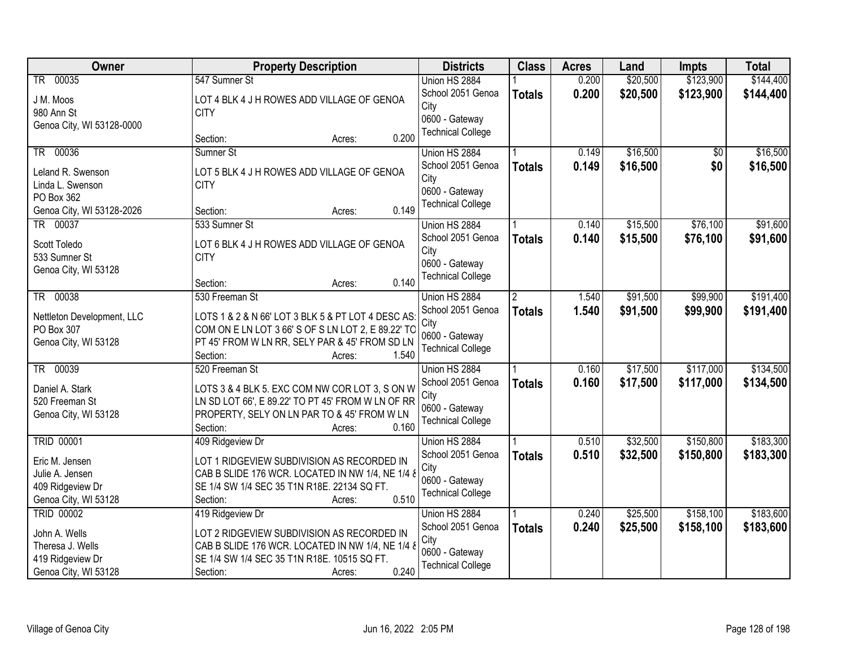| Owner                              | <b>Property Description</b>                        | <b>Districts</b>         | <b>Class</b>         | <b>Acres</b> | Land     | <b>Impts</b> | <b>Total</b> |
|------------------------------------|----------------------------------------------------|--------------------------|----------------------|--------------|----------|--------------|--------------|
| TR 00035                           | 547 Sumner St                                      | Union HS 2884            |                      | 0.200        | \$20,500 | \$123,900    | \$144,400    |
| J M. Moos                          | LOT 4 BLK 4 J H ROWES ADD VILLAGE OF GENOA         | School 2051 Genoa        | <b>Totals</b>        | 0.200        | \$20,500 | \$123,900    | \$144,400    |
| 980 Ann St                         | <b>CITY</b>                                        | City                     |                      |              |          |              |              |
| Genoa City, WI 53128-0000          |                                                    | 0600 - Gateway           |                      |              |          |              |              |
|                                    | 0.200<br>Section:<br>Acres:                        | <b>Technical College</b> |                      |              |          |              |              |
| 00036<br>$\overline{\text{TR}}$    | Sumner St                                          | Union HS 2884            |                      | 0.149        | \$16,500 | \$0          | \$16,500     |
| Leland R. Swenson                  | LOT 5 BLK 4 J H ROWES ADD VILLAGE OF GENOA         | School 2051 Genoa        | <b>Totals</b>        | 0.149        | \$16,500 | \$0          | \$16,500     |
| Linda L. Swenson                   | <b>CITY</b>                                        | City                     |                      |              |          |              |              |
| PO Box 362                         |                                                    | 0600 - Gateway           |                      |              |          |              |              |
| Genoa City, WI 53128-2026          | 0.149<br>Section:<br>Acres:                        | <b>Technical College</b> |                      |              |          |              |              |
| TR 00037                           | 533 Sumner St                                      | Union HS 2884            |                      | 0.140        | \$15,500 | \$76,100     | \$91,600     |
| Scott Toledo                       | LOT 6 BLK 4 J H ROWES ADD VILLAGE OF GENOA         | School 2051 Genoa        | <b>Totals</b>        | 0.140        | \$15,500 | \$76,100     | \$91,600     |
| 533 Sumner St                      | <b>CITY</b>                                        | City                     |                      |              |          |              |              |
| Genoa City, WI 53128               |                                                    | 0600 - Gateway           |                      |              |          |              |              |
|                                    | 0.140<br>Section:<br>Acres:                        | <b>Technical College</b> |                      |              |          |              |              |
| TR 00038                           | 530 Freeman St                                     | Union HS 2884            | $\mathbf{2}^{\circ}$ | 1.540        | \$91,500 | \$99,900     | \$191,400    |
| Nettleton Development, LLC         | LOTS 1 & 2 & N 66' LOT 3 BLK 5 & PT LOT 4 DESC AS: | School 2051 Genoa        | <b>Totals</b>        | 1.540        | \$91,500 | \$99,900     | \$191,400    |
| PO Box 307                         | COM ON E LN LOT 3 66' S OF S LN LOT 2, E 89.22' TO | City                     |                      |              |          |              |              |
| Genoa City, WI 53128               | PT 45' FROM W LN RR, SELY PAR & 45' FROM SD LN     | 0600 - Gateway           |                      |              |          |              |              |
|                                    | 1.540<br>Section:<br>Acres:                        | <b>Technical College</b> |                      |              |          |              |              |
| $-00039$<br>$\overline{\text{TR}}$ | 520 Freeman St                                     | Union HS 2884            |                      | 0.160        | \$17,500 | \$117,000    | \$134,500    |
| Daniel A. Stark                    | LOTS 3 & 4 BLK 5. EXC COM NW COR LOT 3, S ON W     | School 2051 Genoa        | <b>Totals</b>        | 0.160        | \$17,500 | \$117,000    | \$134,500    |
| 520 Freeman St                     | LN SD LOT 66', E 89.22' TO PT 45' FROM W LN OF RR  | City                     |                      |              |          |              |              |
| Genoa City, WI 53128               | PROPERTY, SELY ON LN PAR TO & 45' FROM W LN        | 0600 - Gateway           |                      |              |          |              |              |
|                                    | 0.160<br>Section:<br>Acres:                        | <b>Technical College</b> |                      |              |          |              |              |
| <b>TRID 00001</b>                  | 409 Ridgeview Dr                                   | Union HS 2884            |                      | 0.510        | \$32,500 | \$150,800    | \$183,300    |
| Eric M. Jensen                     | LOT 1 RIDGEVIEW SUBDIVISION AS RECORDED IN         | School 2051 Genoa        | <b>Totals</b>        | 0.510        | \$32,500 | \$150,800    | \$183,300    |
| Julie A. Jensen                    | CAB B SLIDE 176 WCR. LOCATED IN NW 1/4, NE 1/4 &   | City                     |                      |              |          |              |              |
| 409 Ridgeview Dr                   | SE 1/4 SW 1/4 SEC 35 T1N R18E. 22134 SQ FT.        | 0600 - Gateway           |                      |              |          |              |              |
| Genoa City, WI 53128               | 0.510<br>Section:<br>Acres:                        | <b>Technical College</b> |                      |              |          |              |              |
| <b>TRID 00002</b>                  | 419 Ridgeview Dr                                   | Union HS 2884            |                      | 0.240        | \$25,500 | \$158,100    | \$183,600    |
| John A. Wells                      | LOT 2 RIDGEVIEW SUBDIVISION AS RECORDED IN         | School 2051 Genoa        | <b>Totals</b>        | 0.240        | \$25,500 | \$158,100    | \$183,600    |
| Theresa J. Wells                   | CAB B SLIDE 176 WCR. LOCATED IN NW 1/4, NE 1/4 &   | City                     |                      |              |          |              |              |
| 419 Ridgeview Dr                   | SE 1/4 SW 1/4 SEC 35 T1N R18E. 10515 SQ FT.        | 0600 - Gateway           |                      |              |          |              |              |
| Genoa City, WI 53128               | 0.240<br>Section:<br>Acres:                        | <b>Technical College</b> |                      |              |          |              |              |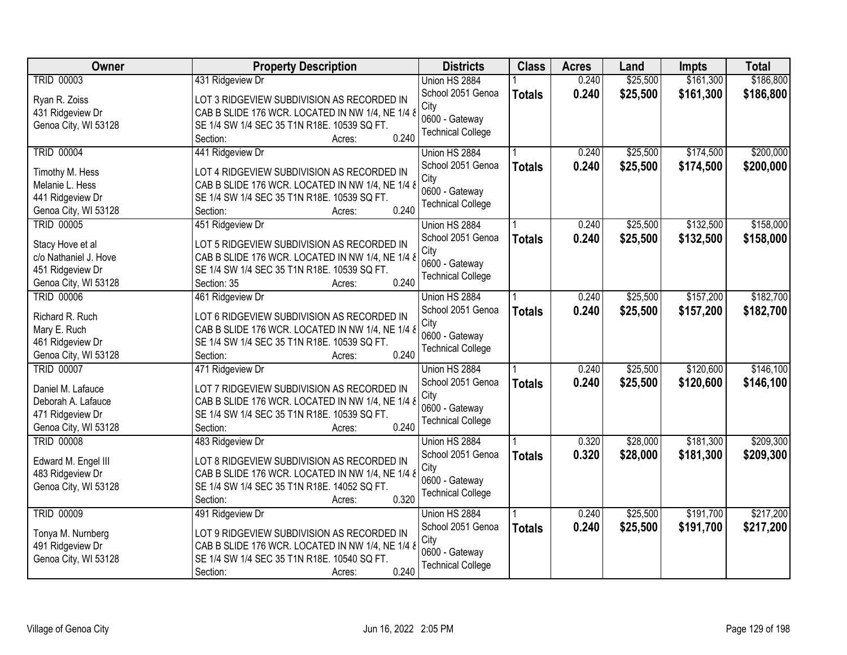| Owner                 | <b>Property Description</b>                      | <b>Districts</b>         | <b>Class</b>  | <b>Acres</b> | Land     | Impts     | <b>Total</b> |
|-----------------------|--------------------------------------------------|--------------------------|---------------|--------------|----------|-----------|--------------|
| <b>TRID 00003</b>     | 431 Ridgeview Dr                                 | Union HS 2884            |               | 0.240        | \$25,500 | \$161,300 | \$186,800    |
| Ryan R. Zoiss         | LOT 3 RIDGEVIEW SUBDIVISION AS RECORDED IN       | School 2051 Genoa        | <b>Totals</b> | 0.240        | \$25,500 | \$161,300 | \$186,800    |
| 431 Ridgeview Dr      | CAB B SLIDE 176 WCR. LOCATED IN NW 1/4, NE 1/4 & | City                     |               |              |          |           |              |
| Genoa City, WI 53128  | SE 1/4 SW 1/4 SEC 35 T1N R18E. 10539 SQ FT.      | 0600 - Gateway           |               |              |          |           |              |
|                       | 0.240<br>Section:<br>Acres:                      | <b>Technical College</b> |               |              |          |           |              |
| <b>TRID 00004</b>     | 441 Ridgeview Dr                                 | Union HS 2884            |               | 0.240        | \$25,500 | \$174,500 | \$200,000    |
|                       |                                                  | School 2051 Genoa        | <b>Totals</b> | 0.240        | \$25,500 | \$174,500 | \$200,000    |
| Timothy M. Hess       | LOT 4 RIDGEVIEW SUBDIVISION AS RECORDED IN       | City                     |               |              |          |           |              |
| Melanie L. Hess       | CAB B SLIDE 176 WCR. LOCATED IN NW 1/4, NE 1/4 & | 0600 - Gateway           |               |              |          |           |              |
| 441 Ridgeview Dr      | SE 1/4 SW 1/4 SEC 35 T1N R18E. 10539 SQ FT.      | <b>Technical College</b> |               |              |          |           |              |
| Genoa City, WI 53128  | 0.240<br>Section:<br>Acres:                      |                          |               |              |          |           |              |
| <b>TRID 00005</b>     | 451 Ridgeview Dr                                 | Union HS 2884            |               | 0.240        | \$25,500 | \$132,500 | \$158,000    |
| Stacy Hove et al      | LOT 5 RIDGEVIEW SUBDIVISION AS RECORDED IN       | School 2051 Genoa        | <b>Totals</b> | 0.240        | \$25,500 | \$132,500 | \$158,000    |
| c/o Nathaniel J. Hove | CAB B SLIDE 176 WCR. LOCATED IN NW 1/4, NE 1/4 & | City                     |               |              |          |           |              |
| 451 Ridgeview Dr      | SE 1/4 SW 1/4 SEC 35 T1N R18E. 10539 SQ FT.      | 0600 - Gateway           |               |              |          |           |              |
| Genoa City, WI 53128  | 0.240<br>Section: 35<br>Acres:                   | <b>Technical College</b> |               |              |          |           |              |
| <b>TRID 00006</b>     | 461 Ridgeview Dr                                 | Union HS 2884            |               | 0.240        | \$25,500 | \$157,200 | \$182,700    |
|                       |                                                  | School 2051 Genoa        | <b>Totals</b> | 0.240        | \$25,500 | \$157,200 | \$182,700    |
| Richard R. Ruch       | LOT 6 RIDGEVIEW SUBDIVISION AS RECORDED IN       | City                     |               |              |          |           |              |
| Mary E. Ruch          | CAB B SLIDE 176 WCR. LOCATED IN NW 1/4, NE 1/4 & | 0600 - Gateway           |               |              |          |           |              |
| 461 Ridgeview Dr      | SE 1/4 SW 1/4 SEC 35 T1N R18E. 10539 SQ FT.      | <b>Technical College</b> |               |              |          |           |              |
| Genoa City, WI 53128  | 0.240<br>Section:<br>Acres:                      |                          |               |              |          |           |              |
| <b>TRID 00007</b>     | 471 Ridgeview Dr                                 | Union HS 2884            |               | 0.240        | \$25,500 | \$120,600 | \$146,100    |
| Daniel M. Lafauce     | LOT 7 RIDGEVIEW SUBDIVISION AS RECORDED IN       | School 2051 Genoa        | <b>Totals</b> | 0.240        | \$25,500 | \$120,600 | \$146,100    |
| Deborah A. Lafauce    | CAB B SLIDE 176 WCR. LOCATED IN NW 1/4, NE 1/4 8 | City                     |               |              |          |           |              |
| 471 Ridgeview Dr      | SE 1/4 SW 1/4 SEC 35 T1N R18E. 10539 SQ FT.      | 0600 - Gateway           |               |              |          |           |              |
| Genoa City, WI 53128  | 0.240<br>Section:<br>Acres:                      | <b>Technical College</b> |               |              |          |           |              |
| <b>TRID 00008</b>     |                                                  |                          |               | 0.320        | \$28,000 | \$181,300 | \$209,300    |
|                       | 483 Ridgeview Dr                                 | Union HS 2884            |               |              |          |           |              |
| Edward M. Engel III   | LOT 8 RIDGEVIEW SUBDIVISION AS RECORDED IN       | School 2051 Genoa        | <b>Totals</b> | 0.320        | \$28,000 | \$181,300 | \$209,300    |
| 483 Ridgeview Dr      | CAB B SLIDE 176 WCR. LOCATED IN NW 1/4, NE 1/4 8 | City                     |               |              |          |           |              |
| Genoa City, WI 53128  | SE 1/4 SW 1/4 SEC 35 T1N R18E. 14052 SQ FT.      | 0600 - Gateway           |               |              |          |           |              |
|                       | 0.320<br>Section:<br>Acres:                      | <b>Technical College</b> |               |              |          |           |              |
| <b>TRID 00009</b>     | 491 Ridgeview Dr                                 | Union HS 2884            |               | 0.240        | \$25,500 | \$191,700 | \$217,200    |
|                       |                                                  | School 2051 Genoa        | <b>Totals</b> | 0.240        | \$25,500 | \$191,700 | \$217,200    |
| Tonya M. Nurnberg     | LOT 9 RIDGEVIEW SUBDIVISION AS RECORDED IN       | City                     |               |              |          |           |              |
| 491 Ridgeview Dr      | CAB B SLIDE 176 WCR. LOCATED IN NW 1/4, NE 1/4 & | 0600 - Gateway           |               |              |          |           |              |
| Genoa City, WI 53128  | SE 1/4 SW 1/4 SEC 35 T1N R18E. 10540 SQ FT.      | <b>Technical College</b> |               |              |          |           |              |
|                       | 0.240<br>Section:<br>Acres:                      |                          |               |              |          |           |              |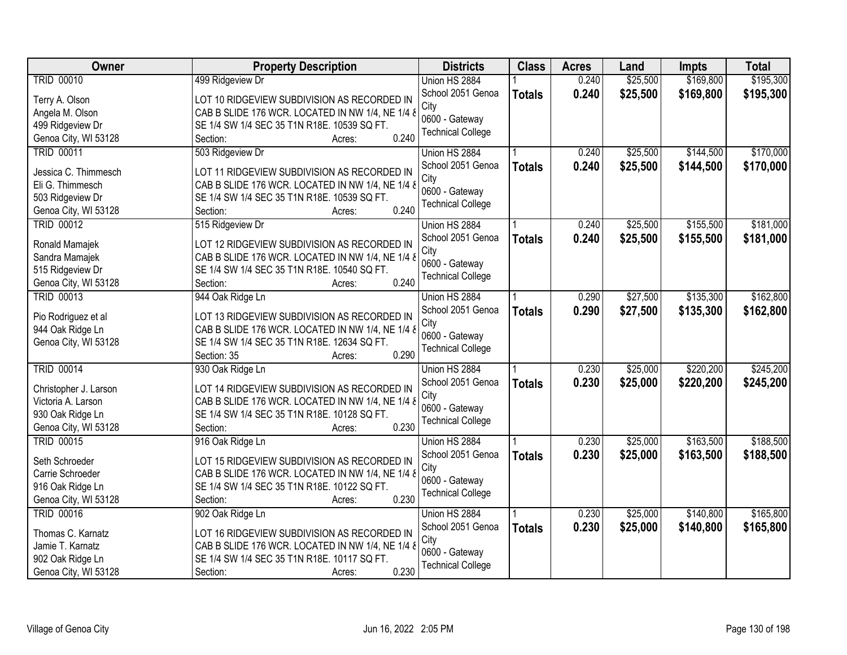| <b>Owner</b>          | <b>Property Description</b>                          | <b>Districts</b>         | <b>Class</b>  | <b>Acres</b> | Land     | <b>Impts</b> | <b>Total</b> |
|-----------------------|------------------------------------------------------|--------------------------|---------------|--------------|----------|--------------|--------------|
| <b>TRID 00010</b>     | 499 Ridgeview Dr                                     | Union HS 2884            |               | 0.240        | \$25,500 | \$169,800    | \$195,300    |
| Terry A. Olson        | LOT 10 RIDGEVIEW SUBDIVISION AS RECORDED IN          | School 2051 Genoa        | <b>Totals</b> | 0.240        | \$25,500 | \$169,800    | \$195,300    |
| Angela M. Olson       | CAB B SLIDE 176 WCR. LOCATED IN NW 1/4, NE 1/4 &     | City                     |               |              |          |              |              |
| 499 Ridgeview Dr      | SE 1/4 SW 1/4 SEC 35 T1N R18E. 10539 SQ FT.          | 0600 - Gateway           |               |              |          |              |              |
| Genoa City, WI 53128  | 0.240<br>Section:<br>Acres:                          | <b>Technical College</b> |               |              |          |              |              |
| <b>TRID 00011</b>     | 503 Ridgeview Dr                                     | Union HS 2884            |               | 0.240        | \$25,500 | \$144,500    | \$170,000    |
|                       |                                                      | School 2051 Genoa        | <b>Totals</b> | 0.240        | \$25,500 | \$144,500    | \$170,000    |
| Jessica C. Thimmesch  | LOT 11 RIDGEVIEW SUBDIVISION AS RECORDED IN          | City                     |               |              |          |              |              |
| Eli G. Thimmesch      | CAB B SLIDE 176 WCR. LOCATED IN NW 1/4, NE 1/4 &     | 0600 - Gateway           |               |              |          |              |              |
| 503 Ridgeview Dr      | SE 1/4 SW 1/4 SEC 35 T1N R18E. 10539 SQ FT.<br>0.240 | <b>Technical College</b> |               |              |          |              |              |
| Genoa City, WI 53128  | Section:<br>Acres:                                   |                          |               |              |          |              |              |
| <b>TRID 00012</b>     | 515 Ridgeview Dr                                     | Union HS 2884            |               | 0.240        | \$25,500 | \$155,500    | \$181,000    |
| Ronald Mamajek        | LOT 12 RIDGEVIEW SUBDIVISION AS RECORDED IN          | School 2051 Genoa        | <b>Totals</b> | 0.240        | \$25,500 | \$155,500    | \$181,000    |
| Sandra Mamajek        | CAB B SLIDE 176 WCR. LOCATED IN NW 1/4, NE 1/4 &     | City                     |               |              |          |              |              |
| 515 Ridgeview Dr      | SE 1/4 SW 1/4 SEC 35 T1N R18E. 10540 SQ FT.          | 0600 - Gateway           |               |              |          |              |              |
| Genoa City, WI 53128  | 0.240<br>Section:<br>Acres:                          | <b>Technical College</b> |               |              |          |              |              |
| <b>TRID 00013</b>     | 944 Oak Ridge Ln                                     | Union HS 2884            |               | 0.290        | \$27,500 | \$135,300    | \$162,800    |
|                       |                                                      | School 2051 Genoa        | <b>Totals</b> | 0.290        | \$27,500 | \$135,300    | \$162,800    |
| Pio Rodriguez et al   | LOT 13 RIDGEVIEW SUBDIVISION AS RECORDED IN          | City                     |               |              |          |              |              |
| 944 Oak Ridge Ln      | CAB B SLIDE 176 WCR. LOCATED IN NW 1/4, NE 1/4 &     | 0600 - Gateway           |               |              |          |              |              |
| Genoa City, WI 53128  | SE 1/4 SW 1/4 SEC 35 T1N R18E. 12634 SQ FT.<br>0.290 | <b>Technical College</b> |               |              |          |              |              |
|                       | Section: 35<br>Acres:                                |                          |               |              |          |              |              |
| <b>TRID 00014</b>     | 930 Oak Ridge Ln                                     | Union HS 2884            |               | 0.230        | \$25,000 | \$220,200    | \$245,200    |
| Christopher J. Larson | LOT 14 RIDGEVIEW SUBDIVISION AS RECORDED IN          | School 2051 Genoa        | <b>Totals</b> | 0.230        | \$25,000 | \$220,200    | \$245,200    |
| Victoria A. Larson    | CAB B SLIDE 176 WCR. LOCATED IN NW 1/4, NE 1/4 &     | City                     |               |              |          |              |              |
| 930 Oak Ridge Ln      | SE 1/4 SW 1/4 SEC 35 T1N R18E. 10128 SQ FT.          | 0600 - Gateway           |               |              |          |              |              |
| Genoa City, WI 53128  | 0.230<br>Section:<br>Acres:                          | <b>Technical College</b> |               |              |          |              |              |
| <b>TRID 00015</b>     | 916 Oak Ridge Ln                                     | Union HS 2884            |               | 0.230        | \$25,000 | \$163,500    | \$188,500    |
| Seth Schroeder        | LOT 15 RIDGEVIEW SUBDIVISION AS RECORDED IN          | School 2051 Genoa        | <b>Totals</b> | 0.230        | \$25,000 | \$163,500    | \$188,500    |
| Carrie Schroeder      | CAB B SLIDE 176 WCR. LOCATED IN NW 1/4, NE 1/4 &     | City                     |               |              |          |              |              |
| 916 Oak Ridge Ln      | SE 1/4 SW 1/4 SEC 35 T1N R18E. 10122 SQ FT.          | 0600 - Gateway           |               |              |          |              |              |
| Genoa City, WI 53128  | 0.230<br>Section:<br>Acres:                          | <b>Technical College</b> |               |              |          |              |              |
| <b>TRID 00016</b>     | 902 Oak Ridge Ln                                     | Union HS 2884            |               | 0.230        | \$25,000 | \$140,800    | \$165,800    |
|                       |                                                      | School 2051 Genoa        | <b>Totals</b> | 0.230        | \$25,000 | \$140,800    | \$165,800    |
| Thomas C. Karnatz     | LOT 16 RIDGEVIEW SUBDIVISION AS RECORDED IN          | City                     |               |              |          |              |              |
| Jamie T. Karnatz      | CAB B SLIDE 176 WCR. LOCATED IN NW 1/4, NE 1/4 &     | 0600 - Gateway           |               |              |          |              |              |
| 902 Oak Ridge Ln      | SE 1/4 SW 1/4 SEC 35 T1N R18E. 10117 SQ FT.          | <b>Technical College</b> |               |              |          |              |              |
| Genoa City, WI 53128  | 0.230<br>Section:<br>Acres:                          |                          |               |              |          |              |              |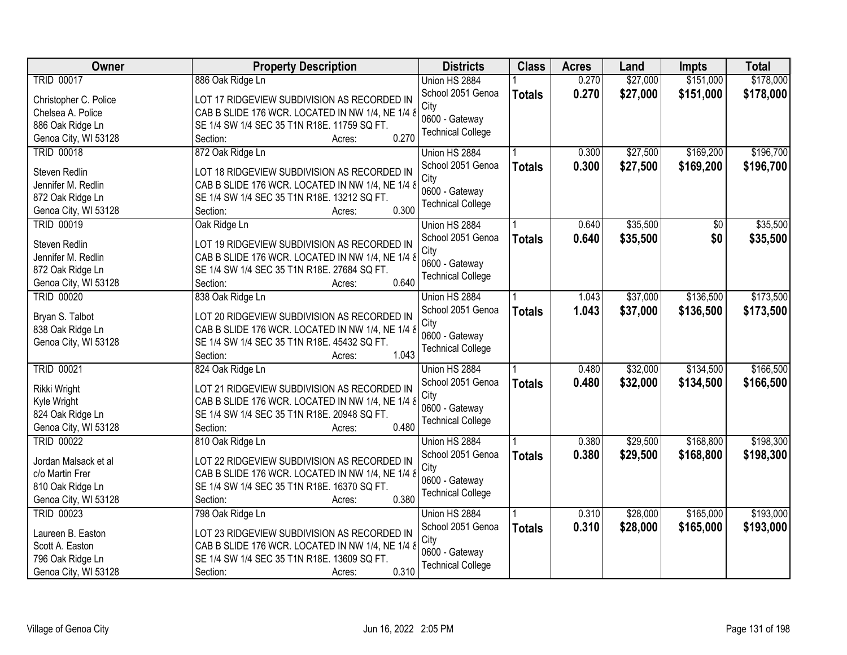| Owner                 | <b>Property Description</b>                          | <b>Districts</b>         | <b>Class</b>  | <b>Acres</b> | Land     | Impts     | <b>Total</b> |
|-----------------------|------------------------------------------------------|--------------------------|---------------|--------------|----------|-----------|--------------|
| <b>TRID 00017</b>     | 886 Oak Ridge Ln                                     | Union HS 2884            |               | 0.270        | \$27,000 | \$151,000 | \$178,000    |
| Christopher C. Police | LOT 17 RIDGEVIEW SUBDIVISION AS RECORDED IN          | School 2051 Genoa        | <b>Totals</b> | 0.270        | \$27,000 | \$151,000 | \$178,000    |
| Chelsea A. Police     | CAB B SLIDE 176 WCR. LOCATED IN NW 1/4, NE 1/4 &     | City                     |               |              |          |           |              |
| 886 Oak Ridge Ln      | SE 1/4 SW 1/4 SEC 35 T1N R18E. 11759 SQ FT.          | 0600 - Gateway           |               |              |          |           |              |
| Genoa City, WI 53128  | 0.270<br>Section:<br>Acres:                          | <b>Technical College</b> |               |              |          |           |              |
| <b>TRID 00018</b>     | 872 Oak Ridge Ln                                     | Union HS 2884            |               | 0.300        | \$27,500 | \$169,200 | \$196,700    |
|                       |                                                      | School 2051 Genoa        |               | 0.300        | \$27,500 | \$169,200 | \$196,700    |
| Steven Redlin         | LOT 18 RIDGEVIEW SUBDIVISION AS RECORDED IN          | City                     | <b>Totals</b> |              |          |           |              |
| Jennifer M. Redlin    | CAB B SLIDE 176 WCR. LOCATED IN NW 1/4, NE 1/4 &     | 0600 - Gateway           |               |              |          |           |              |
| 872 Oak Ridge Ln      | SE 1/4 SW 1/4 SEC 35 T1N R18E. 13212 SQ FT.          | <b>Technical College</b> |               |              |          |           |              |
| Genoa City, WI 53128  | 0.300<br>Section:<br>Acres:                          |                          |               |              |          |           |              |
| <b>TRID 00019</b>     | Oak Ridge Ln                                         | Union HS 2884            |               | 0.640        | \$35,500 | \$0       | \$35,500     |
|                       |                                                      | School 2051 Genoa        | <b>Totals</b> | 0.640        | \$35,500 | \$0       | \$35,500     |
| Steven Redlin         | LOT 19 RIDGEVIEW SUBDIVISION AS RECORDED IN          | City                     |               |              |          |           |              |
| Jennifer M. Redlin    | CAB B SLIDE 176 WCR. LOCATED IN NW 1/4, NE 1/4 &     | 0600 - Gateway           |               |              |          |           |              |
| 872 Oak Ridge Ln      | SE 1/4 SW 1/4 SEC 35 T1N R18E. 27684 SQ FT.<br>0.640 | <b>Technical College</b> |               |              |          |           |              |
| Genoa City, WI 53128  | Section:<br>Acres:                                   |                          |               |              |          |           |              |
| <b>TRID 00020</b>     | 838 Oak Ridge Ln                                     | Union HS 2884            |               | 1.043        | \$37,000 | \$136,500 | \$173,500    |
| Bryan S. Talbot       | LOT 20 RIDGEVIEW SUBDIVISION AS RECORDED IN          | School 2051 Genoa        | <b>Totals</b> | 1.043        | \$37,000 | \$136,500 | \$173,500    |
| 838 Oak Ridge Ln      | CAB B SLIDE 176 WCR. LOCATED IN NW 1/4, NE 1/4 &     | City                     |               |              |          |           |              |
| Genoa City, WI 53128  | SE 1/4 SW 1/4 SEC 35 T1N R18E. 45432 SQ FT.          | 0600 - Gateway           |               |              |          |           |              |
|                       | 1.043<br>Section:<br>Acres:                          | <b>Technical College</b> |               |              |          |           |              |
| <b>TRID 00021</b>     | 824 Oak Ridge Ln                                     | Union HS 2884            |               | 0.480        | \$32,000 | \$134,500 | \$166,500    |
|                       |                                                      | School 2051 Genoa        | <b>Totals</b> | 0.480        | \$32,000 | \$134,500 | \$166,500    |
| Rikki Wright          | LOT 21 RIDGEVIEW SUBDIVISION AS RECORDED IN          | City                     |               |              |          |           |              |
| Kyle Wright           | CAB B SLIDE 176 WCR. LOCATED IN NW 1/4, NE 1/4 8     | 0600 - Gateway           |               |              |          |           |              |
| 824 Oak Ridge Ln      | SE 1/4 SW 1/4 SEC 35 T1N R18E. 20948 SQ FT.          | <b>Technical College</b> |               |              |          |           |              |
| Genoa City, WI 53128  | 0.480<br>Section:<br>Acres:                          |                          |               |              |          |           |              |
| <b>TRID 00022</b>     | 810 Oak Ridge Ln                                     | Union HS 2884            |               | 0.380        | \$29,500 | \$168,800 | \$198,300    |
| Jordan Malsack et al  | LOT 22 RIDGEVIEW SUBDIVISION AS RECORDED IN          | School 2051 Genoa        | <b>Totals</b> | 0.380        | \$29,500 | \$168,800 | \$198,300    |
| c/o Martin Frer       | CAB B SLIDE 176 WCR. LOCATED IN NW 1/4, NE 1/4 &     | City                     |               |              |          |           |              |
| 810 Oak Ridge Ln      | SE 1/4 SW 1/4 SEC 35 T1N R18E. 16370 SQ FT.          | 0600 - Gateway           |               |              |          |           |              |
| Genoa City, WI 53128  | 0.380<br>Section:<br>Acres:                          | <b>Technical College</b> |               |              |          |           |              |
| <b>TRID 00023</b>     | 798 Oak Ridge Ln                                     | Union HS 2884            |               | 0.310        | \$28,000 | \$165,000 | \$193,000    |
|                       |                                                      | School 2051 Genoa        | <b>Totals</b> | 0.310        | \$28,000 | \$165,000 | \$193,000    |
| Laureen B. Easton     | LOT 23 RIDGEVIEW SUBDIVISION AS RECORDED IN          | City                     |               |              |          |           |              |
| Scott A. Easton       | CAB B SLIDE 176 WCR. LOCATED IN NW 1/4, NE 1/4 &     | 0600 - Gateway           |               |              |          |           |              |
| 796 Oak Ridge Ln      | SE 1/4 SW 1/4 SEC 35 T1N R18E. 13609 SQ FT.          | <b>Technical College</b> |               |              |          |           |              |
| Genoa City, WI 53128  | 0.310<br>Section:<br>Acres:                          |                          |               |              |          |           |              |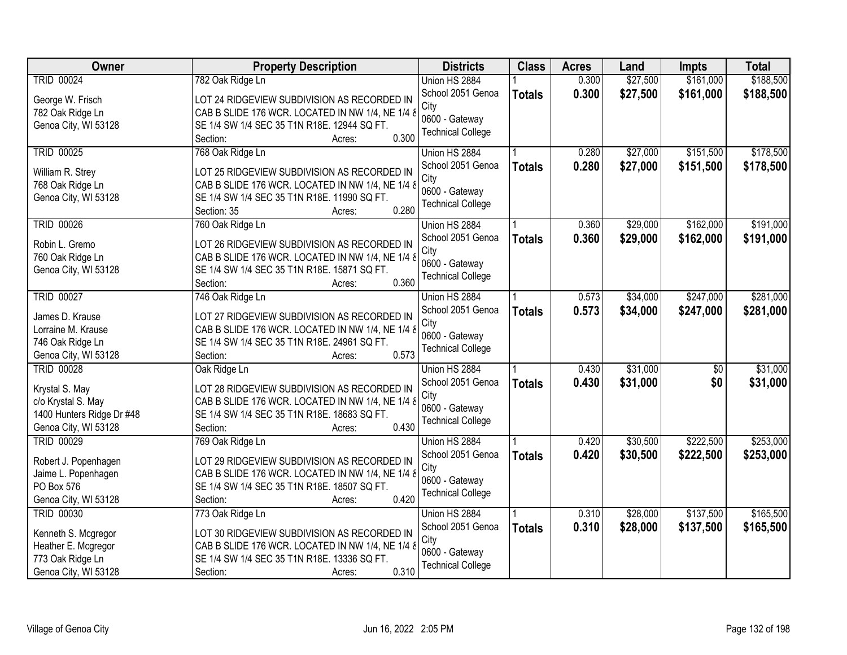| Owner                     | <b>Property Description</b>                      | <b>Districts</b>                           | <b>Class</b>  | <b>Acres</b> | Land     | Impts     | <b>Total</b> |
|---------------------------|--------------------------------------------------|--------------------------------------------|---------------|--------------|----------|-----------|--------------|
| <b>TRID 00024</b>         | 782 Oak Ridge Ln                                 | Union HS 2884                              |               | 0.300        | \$27,500 | \$161,000 | \$188,500    |
| George W. Frisch          | LOT 24 RIDGEVIEW SUBDIVISION AS RECORDED IN      | School 2051 Genoa                          | <b>Totals</b> | 0.300        | \$27,500 | \$161,000 | \$188,500    |
| 782 Oak Ridge Ln          | CAB B SLIDE 176 WCR. LOCATED IN NW 1/4, NE 1/4 & | City                                       |               |              |          |           |              |
| Genoa City, WI 53128      | SE 1/4 SW 1/4 SEC 35 T1N R18E. 12944 SQ FT.      | 0600 - Gateway                             |               |              |          |           |              |
|                           | 0.300<br>Section:<br>Acres:                      | <b>Technical College</b>                   |               |              |          |           |              |
| <b>TRID 00025</b>         | 768 Oak Ridge Ln                                 | Union HS 2884                              |               | 0.280        | \$27,000 | \$151,500 | \$178,500    |
|                           |                                                  | School 2051 Genoa                          | <b>Totals</b> | 0.280        | \$27,000 | \$151,500 | \$178,500    |
| William R. Strey          | LOT 25 RIDGEVIEW SUBDIVISION AS RECORDED IN      | City                                       |               |              |          |           |              |
| 768 Oak Ridge Ln          | CAB B SLIDE 176 WCR. LOCATED IN NW 1/4, NE 1/4 & | 0600 - Gateway                             |               |              |          |           |              |
| Genoa City, WI 53128      | SE 1/4 SW 1/4 SEC 35 T1N R18E. 11990 SQ FT.      | <b>Technical College</b>                   |               |              |          |           |              |
|                           | 0.280<br>Section: 35<br>Acres:                   |                                            |               |              |          |           |              |
| <b>TRID 00026</b>         | 760 Oak Ridge Ln                                 | Union HS 2884                              |               | 0.360        | \$29,000 | \$162,000 | \$191,000    |
| Robin L. Gremo            | LOT 26 RIDGEVIEW SUBDIVISION AS RECORDED IN      | School 2051 Genoa                          | <b>Totals</b> | 0.360        | \$29,000 | \$162,000 | \$191,000    |
| 760 Oak Ridge Ln          | CAB B SLIDE 176 WCR. LOCATED IN NW 1/4, NE 1/4 & | City                                       |               |              |          |           |              |
| Genoa City, WI 53128      | SE 1/4 SW 1/4 SEC 35 T1N R18E. 15871 SQ FT.      | 0600 - Gateway                             |               |              |          |           |              |
|                           | 0.360<br>Section:<br>Acres:                      | <b>Technical College</b>                   |               |              |          |           |              |
| <b>TRID 00027</b>         | 746 Oak Ridge Ln                                 | Union HS 2884                              |               | 0.573        | \$34,000 | \$247,000 | \$281,000    |
|                           |                                                  | School 2051 Genoa                          | <b>Totals</b> | 0.573        | \$34,000 | \$247,000 | \$281,000    |
| James D. Krause           | LOT 27 RIDGEVIEW SUBDIVISION AS RECORDED IN      | City                                       |               |              |          |           |              |
| Lorraine M. Krause        | CAB B SLIDE 176 WCR. LOCATED IN NW 1/4, NE 1/4 & | 0600 - Gateway                             |               |              |          |           |              |
| 746 Oak Ridge Ln          | SE 1/4 SW 1/4 SEC 35 T1N R18E. 24961 SQ FT.      | <b>Technical College</b>                   |               |              |          |           |              |
| Genoa City, WI 53128      | 0.573<br>Section:<br>Acres:                      |                                            |               |              |          |           |              |
| <b>TRID 00028</b>         | Oak Ridge Ln                                     | Union HS 2884                              |               | 0.430        | \$31,000 | \$0       | \$31,000     |
| Krystal S. May            | LOT 28 RIDGEVIEW SUBDIVISION AS RECORDED IN      | School 2051 Genoa                          | <b>Totals</b> | 0.430        | \$31,000 | \$0       | \$31,000     |
| c/o Krystal S. May        | CAB B SLIDE 176 WCR. LOCATED IN NW 1/4, NE 1/4 8 | City                                       |               |              |          |           |              |
| 1400 Hunters Ridge Dr #48 | SE 1/4 SW 1/4 SEC 35 T1N R18E. 18683 SQ FT.      | 0600 - Gateway                             |               |              |          |           |              |
| Genoa City, WI 53128      | 0.430<br>Section:<br>Acres:                      | <b>Technical College</b>                   |               |              |          |           |              |
| <b>TRID 00029</b>         | 769 Oak Ridge Ln                                 | Union HS 2884                              |               | 0.420        | \$30,500 | \$222,500 | \$253,000    |
|                           |                                                  | School 2051 Genoa                          | <b>Totals</b> | 0.420        | \$30,500 | \$222,500 | \$253,000    |
| Robert J. Popenhagen      | LOT 29 RIDGEVIEW SUBDIVISION AS RECORDED IN      | City                                       |               |              |          |           |              |
| Jaime L. Popenhagen       | CAB B SLIDE 176 WCR. LOCATED IN NW 1/4, NE 1/4 & | 0600 - Gateway                             |               |              |          |           |              |
| PO Box 576                | SE 1/4 SW 1/4 SEC 35 T1N R18E. 18507 SQ FT.      | <b>Technical College</b>                   |               |              |          |           |              |
| Genoa City, WI 53128      | 0.420<br>Section:<br>Acres:                      |                                            |               |              |          |           |              |
| <b>TRID 00030</b>         | 773 Oak Ridge Ln                                 | Union HS 2884                              |               | 0.310        | \$28,000 | \$137,500 | \$165,500    |
| Kenneth S. Mcgregor       | LOT 30 RIDGEVIEW SUBDIVISION AS RECORDED IN      | School 2051 Genoa                          | <b>Totals</b> | 0.310        | \$28,000 | \$137,500 | \$165,500    |
| Heather E. Mcgregor       | CAB B SLIDE 176 WCR. LOCATED IN NW 1/4, NE 1/4 & | City                                       |               |              |          |           |              |
| 773 Oak Ridge Ln          | SE 1/4 SW 1/4 SEC 35 T1N R18E. 13336 SQ FT.      | 0600 - Gateway<br><b>Technical College</b> |               |              |          |           |              |
| Genoa City, WI 53128      | 0.310<br>Section:<br>Acres:                      |                                            |               |              |          |           |              |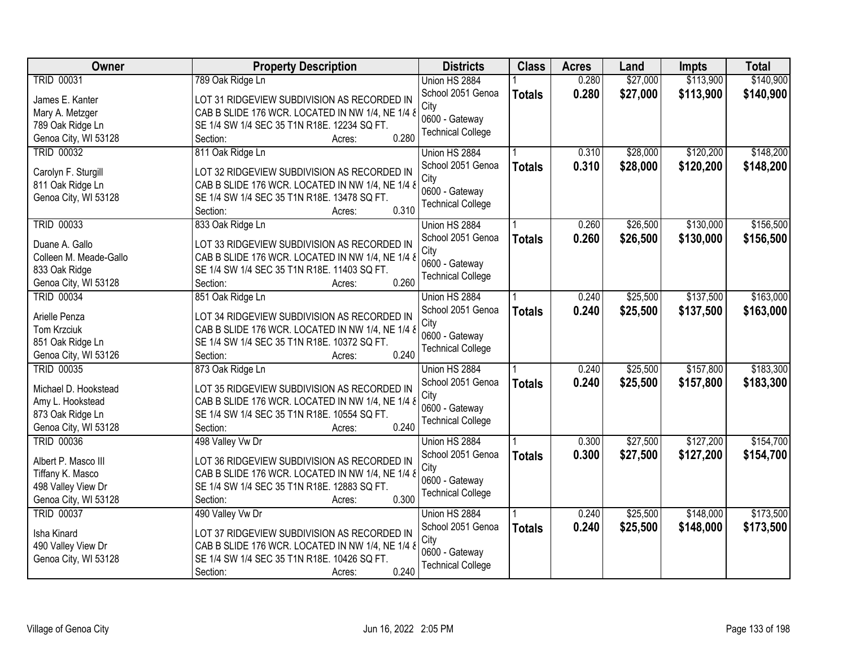| Owner                  | <b>Property Description</b>                      | <b>Districts</b>         | <b>Class</b>  | <b>Acres</b> | Land     | Impts     | <b>Total</b> |
|------------------------|--------------------------------------------------|--------------------------|---------------|--------------|----------|-----------|--------------|
| <b>TRID 00031</b>      | 789 Oak Ridge Ln                                 | Union HS 2884            |               | 0.280        | \$27,000 | \$113,900 | \$140,900    |
| James E. Kanter        | LOT 31 RIDGEVIEW SUBDIVISION AS RECORDED IN      | School 2051 Genoa        | <b>Totals</b> | 0.280        | \$27,000 | \$113,900 | \$140,900    |
| Mary A. Metzger        | CAB B SLIDE 176 WCR. LOCATED IN NW 1/4, NE 1/4 & | City                     |               |              |          |           |              |
| 789 Oak Ridge Ln       | SE 1/4 SW 1/4 SEC 35 T1N R18E. 12234 SQ FT.      | 0600 - Gateway           |               |              |          |           |              |
| Genoa City, WI 53128   | 0.280<br>Section:<br>Acres:                      | <b>Technical College</b> |               |              |          |           |              |
| <b>TRID 00032</b>      | 811 Oak Ridge Ln                                 | Union HS 2884            |               | 0.310        | \$28,000 | \$120,200 | \$148,200    |
|                        |                                                  | School 2051 Genoa        | <b>Totals</b> | 0.310        | \$28,000 | \$120,200 | \$148,200    |
| Carolyn F. Sturgill    | LOT 32 RIDGEVIEW SUBDIVISION AS RECORDED IN      | City                     |               |              |          |           |              |
| 811 Oak Ridge Ln       | CAB B SLIDE 176 WCR. LOCATED IN NW 1/4, NE 1/4 & | 0600 - Gateway           |               |              |          |           |              |
| Genoa City, WI 53128   | SE 1/4 SW 1/4 SEC 35 T1N R18E. 13478 SQ FT.      | <b>Technical College</b> |               |              |          |           |              |
|                        | 0.310<br>Section:<br>Acres:                      |                          |               |              |          |           |              |
| <b>TRID 00033</b>      | 833 Oak Ridge Ln                                 | Union HS 2884            |               | 0.260        | \$26,500 | \$130,000 | \$156,500    |
| Duane A. Gallo         | LOT 33 RIDGEVIEW SUBDIVISION AS RECORDED IN      | School 2051 Genoa        | <b>Totals</b> | 0.260        | \$26,500 | \$130,000 | \$156,500    |
| Colleen M. Meade-Gallo | CAB B SLIDE 176 WCR. LOCATED IN NW 1/4, NE 1/4 & | City                     |               |              |          |           |              |
| 833 Oak Ridge          | SE 1/4 SW 1/4 SEC 35 T1N R18E. 11403 SQ FT.      | 0600 - Gateway           |               |              |          |           |              |
| Genoa City, WI 53128   | 0.260<br>Section:<br>Acres:                      | <b>Technical College</b> |               |              |          |           |              |
| <b>TRID 00034</b>      | 851 Oak Ridge Ln                                 | Union HS 2884            |               | 0.240        | \$25,500 | \$137,500 | \$163,000    |
|                        |                                                  | School 2051 Genoa        | <b>Totals</b> | 0.240        | \$25,500 | \$137,500 | \$163,000    |
| Arielle Penza          | LOT 34 RIDGEVIEW SUBDIVISION AS RECORDED IN      | City                     |               |              |          |           |              |
| Tom Krzciuk            | CAB B SLIDE 176 WCR. LOCATED IN NW 1/4, NE 1/4 & | 0600 - Gateway           |               |              |          |           |              |
| 851 Oak Ridge Ln       | SE 1/4 SW 1/4 SEC 35 T1N R18E. 10372 SQ FT.      | <b>Technical College</b> |               |              |          |           |              |
| Genoa City, WI 53126   | Section:<br>0.240<br>Acres:                      |                          |               |              |          |           |              |
| <b>TRID 00035</b>      | 873 Oak Ridge Ln                                 | Union HS 2884            |               | 0.240        | \$25,500 | \$157,800 | \$183,300    |
| Michael D. Hookstead   | LOT 35 RIDGEVIEW SUBDIVISION AS RECORDED IN      | School 2051 Genoa        | <b>Totals</b> | 0.240        | \$25,500 | \$157,800 | \$183,300    |
| Amy L. Hookstead       | CAB B SLIDE 176 WCR. LOCATED IN NW 1/4, NE 1/4 & | City                     |               |              |          |           |              |
| 873 Oak Ridge Ln       | SE 1/4 SW 1/4 SEC 35 T1N R18E. 10554 SQ FT.      | 0600 - Gateway           |               |              |          |           |              |
| Genoa City, WI 53128   | 0.240<br>Section:<br>Acres:                      | <b>Technical College</b> |               |              |          |           |              |
| <b>TRID 00036</b>      | 498 Valley Vw Dr                                 | Union HS 2884            |               | 0.300        | \$27,500 | \$127,200 | \$154,700    |
|                        |                                                  | School 2051 Genoa        | <b>Totals</b> | 0.300        | \$27,500 | \$127,200 | \$154,700    |
| Albert P. Masco III    | LOT 36 RIDGEVIEW SUBDIVISION AS RECORDED IN      | City                     |               |              |          |           |              |
| Tiffany K. Masco       | CAB B SLIDE 176 WCR. LOCATED IN NW 1/4, NE 1/4 & | 0600 - Gateway           |               |              |          |           |              |
| 498 Valley View Dr     | SE 1/4 SW 1/4 SEC 35 T1N R18E. 12883 SQ FT.      | <b>Technical College</b> |               |              |          |           |              |
| Genoa City, WI 53128   | 0.300<br>Section:<br>Acres:                      |                          |               |              |          |           |              |
| <b>TRID 00037</b>      | 490 Valley Vw Dr                                 | Union HS 2884            |               | 0.240        | \$25,500 | \$148,000 | \$173,500    |
| Isha Kinard            | LOT 37 RIDGEVIEW SUBDIVISION AS RECORDED IN      | School 2051 Genoa        | <b>Totals</b> | 0.240        | \$25,500 | \$148,000 | \$173,500    |
| 490 Valley View Dr     | CAB B SLIDE 176 WCR. LOCATED IN NW 1/4, NE 1/4 & | City                     |               |              |          |           |              |
| Genoa City, WI 53128   | SE 1/4 SW 1/4 SEC 35 T1N R18E. 10426 SQ FT.      | 0600 - Gateway           |               |              |          |           |              |
|                        | 0.240<br>Section:<br>Acres:                      | <b>Technical College</b> |               |              |          |           |              |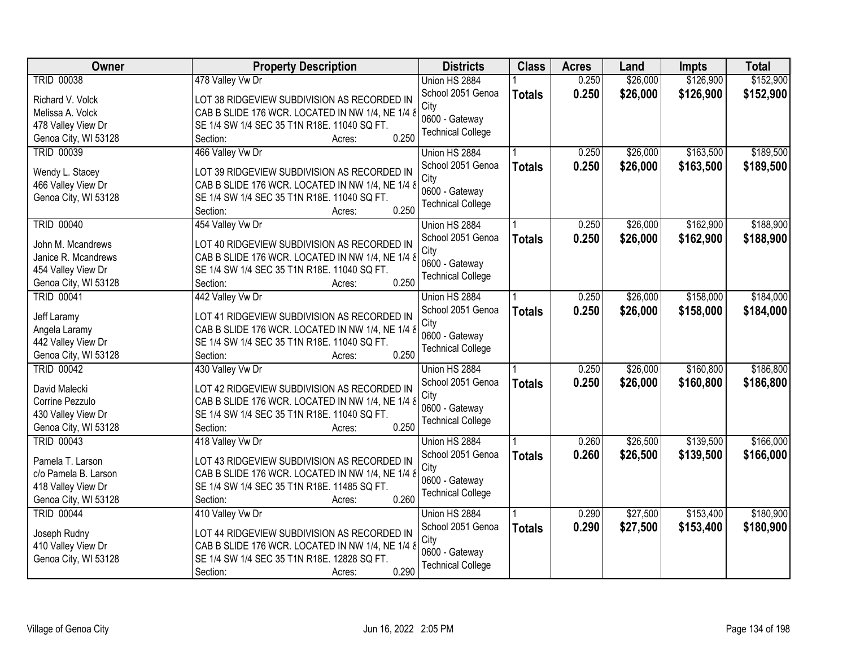| Owner                | <b>Property Description</b>                      | <b>Districts</b>         | <b>Class</b>  | <b>Acres</b> | Land     | Impts     | <b>Total</b> |
|----------------------|--------------------------------------------------|--------------------------|---------------|--------------|----------|-----------|--------------|
| <b>TRID 00038</b>    | 478 Valley Vw Dr                                 | Union HS 2884            |               | 0.250        | \$26,000 | \$126,900 | \$152,900    |
| Richard V. Volck     | LOT 38 RIDGEVIEW SUBDIVISION AS RECORDED IN      | School 2051 Genoa        | <b>Totals</b> | 0.250        | \$26,000 | \$126,900 | \$152,900    |
| Melissa A. Volck     | CAB B SLIDE 176 WCR. LOCATED IN NW 1/4, NE 1/4 & | City                     |               |              |          |           |              |
| 478 Valley View Dr   | SE 1/4 SW 1/4 SEC 35 T1N R18E. 11040 SQ FT.      | 0600 - Gateway           |               |              |          |           |              |
| Genoa City, WI 53128 | 0.250<br>Section:<br>Acres:                      | <b>Technical College</b> |               |              |          |           |              |
| <b>TRID 00039</b>    | 466 Valley Vw Dr                                 | Union HS 2884            |               | 0.250        | \$26,000 | \$163,500 | \$189,500    |
| Wendy L. Stacey      | LOT 39 RIDGEVIEW SUBDIVISION AS RECORDED IN      | School 2051 Genoa        | <b>Totals</b> | 0.250        | \$26,000 | \$163,500 | \$189,500    |
| 466 Valley View Dr   | CAB B SLIDE 176 WCR. LOCATED IN NW 1/4, NE 1/4 & | City                     |               |              |          |           |              |
| Genoa City, WI 53128 | SE 1/4 SW 1/4 SEC 35 T1N R18E. 11040 SQ FT.      | 0600 - Gateway           |               |              |          |           |              |
|                      | 0.250<br>Section:<br>Acres:                      | <b>Technical College</b> |               |              |          |           |              |
| <b>TRID 00040</b>    | 454 Valley Vw Dr                                 | Union HS 2884            |               | 0.250        | \$26,000 | \$162,900 | \$188,900    |
|                      |                                                  | School 2051 Genoa        | <b>Totals</b> | 0.250        | \$26,000 | \$162,900 | \$188,900    |
| John M. Mcandrews    | LOT 40 RIDGEVIEW SUBDIVISION AS RECORDED IN      | City                     |               |              |          |           |              |
| Janice R. Mcandrews  | CAB B SLIDE 176 WCR. LOCATED IN NW 1/4, NE 1/4 & | 0600 - Gateway           |               |              |          |           |              |
| 454 Valley View Dr   | SE 1/4 SW 1/4 SEC 35 T1N R18E. 11040 SQ FT.      | <b>Technical College</b> |               |              |          |           |              |
| Genoa City, WI 53128 | 0.250<br>Section:<br>Acres:                      |                          |               |              |          |           |              |
| <b>TRID 00041</b>    | 442 Valley Vw Dr                                 | Union HS 2884            |               | 0.250        | \$26,000 | \$158,000 | \$184,000    |
| Jeff Laramy          | LOT 41 RIDGEVIEW SUBDIVISION AS RECORDED IN      | School 2051 Genoa        | <b>Totals</b> | 0.250        | \$26,000 | \$158,000 | \$184,000    |
| Angela Laramy        | CAB B SLIDE 176 WCR. LOCATED IN NW 1/4, NE 1/4 & | City                     |               |              |          |           |              |
| 442 Valley View Dr   | SE 1/4 SW 1/4 SEC 35 T1N R18E. 11040 SQ FT.      | 0600 - Gateway           |               |              |          |           |              |
| Genoa City, WI 53128 | 0.250<br>Section:<br>Acres:                      | <b>Technical College</b> |               |              |          |           |              |
| <b>TRID 00042</b>    | 430 Valley Vw Dr                                 | Union HS 2884            |               | 0.250        | \$26,000 | \$160,800 | \$186,800    |
| David Malecki        | LOT 42 RIDGEVIEW SUBDIVISION AS RECORDED IN      | School 2051 Genoa        | <b>Totals</b> | 0.250        | \$26,000 | \$160,800 | \$186,800    |
| Corrine Pezzulo      | CAB B SLIDE 176 WCR. LOCATED IN NW 1/4, NE 1/4 & | City                     |               |              |          |           |              |
| 430 Valley View Dr   | SE 1/4 SW 1/4 SEC 35 T1N R18E. 11040 SQ FT.      | 0600 - Gateway           |               |              |          |           |              |
| Genoa City, WI 53128 | 0.250<br>Section:<br>Acres:                      | <b>Technical College</b> |               |              |          |           |              |
| <b>TRID 00043</b>    | 418 Valley Vw Dr                                 | Union HS 2884            |               | 0.260        | \$26,500 | \$139,500 | \$166,000    |
|                      |                                                  | School 2051 Genoa        | <b>Totals</b> | 0.260        | \$26,500 | \$139,500 | \$166,000    |
| Pamela T. Larson     | LOT 43 RIDGEVIEW SUBDIVISION AS RECORDED IN      | City                     |               |              |          |           |              |
| c/o Pamela B. Larson | CAB B SLIDE 176 WCR. LOCATED IN NW 1/4, NE 1/4 & | 0600 - Gateway           |               |              |          |           |              |
| 418 Valley View Dr   | SE 1/4 SW 1/4 SEC 35 T1N R18E. 11485 SQ FT.      | <b>Technical College</b> |               |              |          |           |              |
| Genoa City, WI 53128 | 0.260<br>Section:<br>Acres:                      |                          |               |              |          |           |              |
| <b>TRID 00044</b>    | 410 Valley Vw Dr                                 | Union HS 2884            |               | 0.290        | \$27,500 | \$153,400 | \$180,900    |
| Joseph Rudny         | LOT 44 RIDGEVIEW SUBDIVISION AS RECORDED IN      | School 2051 Genoa        | <b>Totals</b> | 0.290        | \$27,500 | \$153,400 | \$180,900    |
| 410 Valley View Dr   | CAB B SLIDE 176 WCR. LOCATED IN NW 1/4, NE 1/4 & | City                     |               |              |          |           |              |
| Genoa City, WI 53128 | SE 1/4 SW 1/4 SEC 35 T1N R18E. 12828 SQ FT.      | 0600 - Gateway           |               |              |          |           |              |
|                      | 0.290<br>Section:<br>Acres:                      | <b>Technical College</b> |               |              |          |           |              |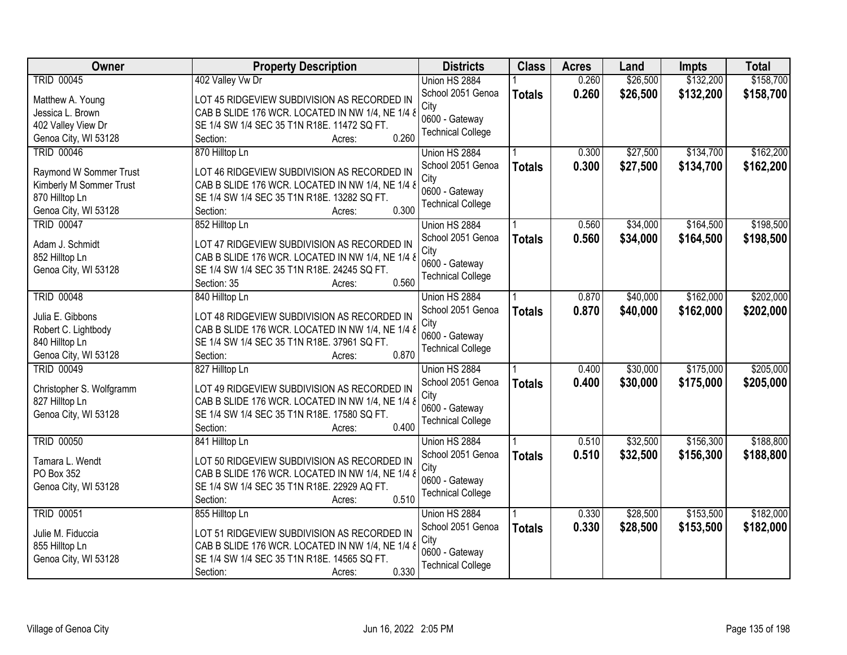| Owner                    | <b>Property Description</b>                                                                     | <b>Districts</b>         | <b>Class</b>  | <b>Acres</b> | Land     | Impts     | <b>Total</b> |
|--------------------------|-------------------------------------------------------------------------------------------------|--------------------------|---------------|--------------|----------|-----------|--------------|
| <b>TRID 00045</b>        | 402 Valley Vw Dr                                                                                | Union HS 2884            |               | 0.260        | \$26,500 | \$132,200 | \$158,700    |
| Matthew A. Young         | LOT 45 RIDGEVIEW SUBDIVISION AS RECORDED IN                                                     | School 2051 Genoa        | <b>Totals</b> | 0.260        | \$26,500 | \$132,200 | \$158,700    |
| Jessica L. Brown         | CAB B SLIDE 176 WCR. LOCATED IN NW 1/4, NE 1/4 &                                                | City                     |               |              |          |           |              |
| 402 Valley View Dr       | SE 1/4 SW 1/4 SEC 35 T1N R18E. 11472 SQ FT.                                                     | 0600 - Gateway           |               |              |          |           |              |
| Genoa City, WI 53128     | 0.260<br>Section:<br>Acres:                                                                     | <b>Technical College</b> |               |              |          |           |              |
| <b>TRID 00046</b>        | 870 Hilltop Ln                                                                                  | Union HS 2884            |               | 0.300        | \$27,500 | \$134,700 | \$162,200    |
|                          |                                                                                                 | School 2051 Genoa        | <b>Totals</b> | 0.300        | \$27,500 | \$134,700 | \$162,200    |
| Raymond W Sommer Trust   | LOT 46 RIDGEVIEW SUBDIVISION AS RECORDED IN                                                     | City                     |               |              |          |           |              |
| Kimberly M Sommer Trust  | CAB B SLIDE 176 WCR. LOCATED IN NW 1/4, NE 1/4 &                                                | 0600 - Gateway           |               |              |          |           |              |
| 870 Hilltop Ln           | SE 1/4 SW 1/4 SEC 35 T1N R18E. 13282 SQ FT.                                                     | <b>Technical College</b> |               |              |          |           |              |
| Genoa City, WI 53128     | 0.300<br>Section:<br>Acres:                                                                     |                          |               |              |          |           |              |
| <b>TRID 00047</b>        | 852 Hilltop Ln                                                                                  | Union HS 2884            |               | 0.560        | \$34,000 | \$164,500 | \$198,500    |
| Adam J. Schmidt          | LOT 47 RIDGEVIEW SUBDIVISION AS RECORDED IN                                                     | School 2051 Genoa        | <b>Totals</b> | 0.560        | \$34,000 | \$164,500 | \$198,500    |
| 852 Hilltop Ln           | CAB B SLIDE 176 WCR. LOCATED IN NW 1/4, NE 1/4 &                                                | City                     |               |              |          |           |              |
| Genoa City, WI 53128     | SE 1/4 SW 1/4 SEC 35 T1N R18E. 24245 SQ FT.                                                     | 0600 - Gateway           |               |              |          |           |              |
|                          | 0.560<br>Section: 35<br>Acres:                                                                  | <b>Technical College</b> |               |              |          |           |              |
| <b>TRID 00048</b>        | 840 Hilltop Ln                                                                                  | Union HS 2884            |               | 0.870        | \$40,000 | \$162,000 | \$202,000    |
|                          |                                                                                                 | School 2051 Genoa        | <b>Totals</b> | 0.870        | \$40,000 | \$162,000 | \$202,000    |
| Julia E. Gibbons         | LOT 48 RIDGEVIEW SUBDIVISION AS RECORDED IN                                                     | City                     |               |              |          |           |              |
| Robert C. Lightbody      | CAB B SLIDE 176 WCR. LOCATED IN NW 1/4, NE 1/4 &                                                | 0600 - Gateway           |               |              |          |           |              |
| 840 Hilltop Ln           | SE 1/4 SW 1/4 SEC 35 T1N R18E. 37961 SQ FT.                                                     | <b>Technical College</b> |               |              |          |           |              |
| Genoa City, WI 53128     | 0.870<br>Section:<br>Acres:                                                                     |                          |               |              |          |           |              |
| <b>TRID 00049</b>        | 827 Hilltop Ln                                                                                  | Union HS 2884            |               | 0.400        | \$30,000 | \$175,000 | \$205,000    |
| Christopher S. Wolfgramm | LOT 49 RIDGEVIEW SUBDIVISION AS RECORDED IN                                                     | School 2051 Genoa        | <b>Totals</b> | 0.400        | \$30,000 | \$175,000 | \$205,000    |
| 827 Hilltop Ln           | CAB B SLIDE 176 WCR. LOCATED IN NW 1/4, NE 1/4 8                                                | City                     |               |              |          |           |              |
| Genoa City, WI 53128     | SE 1/4 SW 1/4 SEC 35 T1N R18E. 17580 SQ FT.                                                     | 0600 - Gateway           |               |              |          |           |              |
|                          | 0.400<br>Section:<br>Acres:                                                                     | <b>Technical College</b> |               |              |          |           |              |
| <b>TRID 00050</b>        | 841 Hilltop Ln                                                                                  | Union HS 2884            |               | 0.510        | \$32,500 | \$156,300 | \$188,800    |
|                          |                                                                                                 | School 2051 Genoa        | <b>Totals</b> | 0.510        | \$32,500 | \$156,300 | \$188,800    |
| Tamara L. Wendt          | LOT 50 RIDGEVIEW SUBDIVISION AS RECORDED IN                                                     | City                     |               |              |          |           |              |
| PO Box 352               | CAB B SLIDE 176 WCR. LOCATED IN NW 1/4, NE 1/4 &<br>SE 1/4 SW 1/4 SEC 35 T1N R18E. 22929 AQ FT. | 0600 - Gateway           |               |              |          |           |              |
| Genoa City, WI 53128     | 0.510                                                                                           | <b>Technical College</b> |               |              |          |           |              |
|                          | Section:<br>Acres:                                                                              |                          |               | 0.330        | \$28,500 | \$153,500 | \$182,000    |
| <b>TRID 00051</b>        | 855 Hilltop Ln                                                                                  | Union HS 2884            |               |              |          |           |              |
| Julie M. Fiduccia        | LOT 51 RIDGEVIEW SUBDIVISION AS RECORDED IN                                                     | School 2051 Genoa        | <b>Totals</b> | 0.330        | \$28,500 | \$153,500 | \$182,000    |
| 855 Hilltop Ln           | CAB B SLIDE 176 WCR. LOCATED IN NW 1/4, NE 1/4 &                                                | City<br>0600 - Gateway   |               |              |          |           |              |
| Genoa City, WI 53128     | SE 1/4 SW 1/4 SEC 35 T1N R18E. 14565 SQ FT.                                                     |                          |               |              |          |           |              |
|                          | 0.330<br>Section:<br>Acres:                                                                     | <b>Technical College</b> |               |              |          |           |              |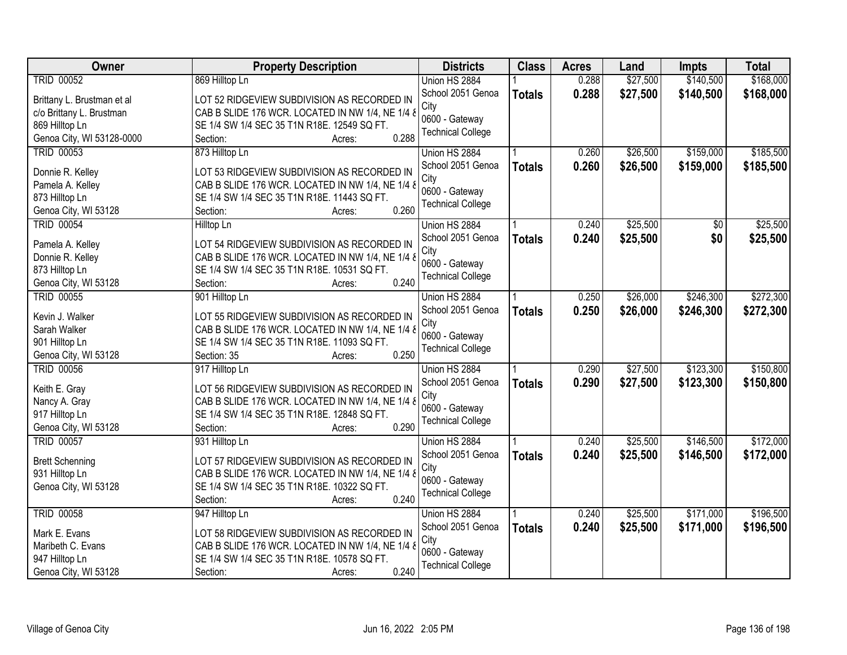| Owner                      | <b>Property Description</b>                                                                     | <b>Districts</b>         | <b>Class</b>  | <b>Acres</b> | Land     | <b>Impts</b> | <b>Total</b> |
|----------------------------|-------------------------------------------------------------------------------------------------|--------------------------|---------------|--------------|----------|--------------|--------------|
| <b>TRID 00052</b>          | 869 Hilltop Ln                                                                                  | Union HS 2884            |               | 0.288        | \$27,500 | \$140,500    | \$168,000    |
| Brittany L. Brustman et al | LOT 52 RIDGEVIEW SUBDIVISION AS RECORDED IN                                                     | School 2051 Genoa        | <b>Totals</b> | 0.288        | \$27,500 | \$140,500    | \$168,000    |
| c/o Brittany L. Brustman   | CAB B SLIDE 176 WCR. LOCATED IN NW 1/4, NE 1/4 &                                                | City                     |               |              |          |              |              |
| 869 Hilltop Ln             | SE 1/4 SW 1/4 SEC 35 T1N R18E. 12549 SQ FT.                                                     | 0600 - Gateway           |               |              |          |              |              |
| Genoa City, WI 53128-0000  | 0.288<br>Section:<br>Acres:                                                                     | <b>Technical College</b> |               |              |          |              |              |
| <b>TRID 00053</b>          | 873 Hilltop Ln                                                                                  | Union HS 2884            |               | 0.260        | \$26,500 | \$159,000    | \$185,500    |
|                            |                                                                                                 | School 2051 Genoa        | <b>Totals</b> | 0.260        | \$26,500 | \$159,000    | \$185,500    |
| Donnie R. Kelley           | LOT 53 RIDGEVIEW SUBDIVISION AS RECORDED IN                                                     | City                     |               |              |          |              |              |
| Pamela A. Kelley           | CAB B SLIDE 176 WCR. LOCATED IN NW 1/4, NE 1/4 &                                                | 0600 - Gateway           |               |              |          |              |              |
| 873 Hilltop Ln             | SE 1/4 SW 1/4 SEC 35 T1N R18E. 11443 SQ FT.                                                     | <b>Technical College</b> |               |              |          |              |              |
| Genoa City, WI 53128       | 0.260<br>Section:<br>Acres:                                                                     |                          |               |              |          |              |              |
| <b>TRID 00054</b>          | Hilltop Ln                                                                                      | Union HS 2884            |               | 0.240        | \$25,500 | \$0          | \$25,500     |
| Pamela A. Kelley           | LOT 54 RIDGEVIEW SUBDIVISION AS RECORDED IN                                                     | School 2051 Genoa        | <b>Totals</b> | 0.240        | \$25,500 | \$0          | \$25,500     |
| Donnie R. Kelley           | CAB B SLIDE 176 WCR. LOCATED IN NW 1/4, NE 1/4 &                                                | City                     |               |              |          |              |              |
| 873 Hilltop Ln             | SE 1/4 SW 1/4 SEC 35 T1N R18E. 10531 SQ FT.                                                     | 0600 - Gateway           |               |              |          |              |              |
| Genoa City, WI 53128       | 0.240<br>Section:<br>Acres:                                                                     | <b>Technical College</b> |               |              |          |              |              |
| <b>TRID 00055</b>          | 901 Hilltop Ln                                                                                  | Union HS 2884            |               | 0.250        | \$26,000 | \$246,300    | \$272,300    |
|                            |                                                                                                 | School 2051 Genoa        | <b>Totals</b> | 0.250        | \$26,000 | \$246,300    | \$272,300    |
| Kevin J. Walker            | LOT 55 RIDGEVIEW SUBDIVISION AS RECORDED IN                                                     | City                     |               |              |          |              |              |
| Sarah Walker               | CAB B SLIDE 176 WCR. LOCATED IN NW 1/4, NE 1/4 &                                                | 0600 - Gateway           |               |              |          |              |              |
| 901 Hilltop Ln             | SE 1/4 SW 1/4 SEC 35 T1N R18E. 11093 SQ FT.                                                     | <b>Technical College</b> |               |              |          |              |              |
| Genoa City, WI 53128       | 0.250<br>Section: 35<br>Acres:                                                                  |                          |               |              |          |              |              |
| <b>TRID 00056</b>          | 917 Hilltop Ln                                                                                  | Union HS 2884            |               | 0.290        | \$27,500 | \$123,300    | \$150,800    |
| Keith E. Gray              | LOT 56 RIDGEVIEW SUBDIVISION AS RECORDED IN                                                     | School 2051 Genoa        | <b>Totals</b> | 0.290        | \$27,500 | \$123,300    | \$150,800    |
| Nancy A. Gray              | CAB B SLIDE 176 WCR. LOCATED IN NW 1/4, NE 1/4 &                                                | City                     |               |              |          |              |              |
| 917 Hilltop Ln             | SE 1/4 SW 1/4 SEC 35 T1N R18E. 12848 SQ FT.                                                     | 0600 - Gateway           |               |              |          |              |              |
| Genoa City, WI 53128       | 0.290<br>Section:<br>Acres:                                                                     | <b>Technical College</b> |               |              |          |              |              |
| <b>TRID 00057</b>          | 931 Hilltop Ln                                                                                  | Union HS 2884            |               | 0.240        | \$25,500 | \$146,500    | \$172,000    |
|                            |                                                                                                 | School 2051 Genoa        | <b>Totals</b> | 0.240        | \$25,500 | \$146,500    | \$172,000    |
| <b>Brett Schenning</b>     | LOT 57 RIDGEVIEW SUBDIVISION AS RECORDED IN                                                     | City                     |               |              |          |              |              |
| 931 Hilltop Ln             | CAB B SLIDE 176 WCR. LOCATED IN NW 1/4, NE 1/4 &<br>SE 1/4 SW 1/4 SEC 35 T1N R18E. 10322 SQ FT. | 0600 - Gateway           |               |              |          |              |              |
| Genoa City, WI 53128       | 0.240                                                                                           | <b>Technical College</b> |               |              |          |              |              |
|                            | Section:<br>Acres:                                                                              |                          |               |              |          |              |              |
| <b>TRID 00058</b>          | 947 Hilltop Ln                                                                                  | Union HS 2884            |               | 0.240        | \$25,500 | \$171,000    | \$196,500    |
| Mark E. Evans              | LOT 58 RIDGEVIEW SUBDIVISION AS RECORDED IN                                                     | School 2051 Genoa        | <b>Totals</b> | 0.240        | \$25,500 | \$171,000    | \$196,500    |
| Maribeth C. Evans          | CAB B SLIDE 176 WCR. LOCATED IN NW 1/4, NE 1/4 &                                                | City<br>0600 - Gateway   |               |              |          |              |              |
| 947 Hilltop Ln             | SE 1/4 SW 1/4 SEC 35 T1N R18E. 10578 SQ FT.                                                     |                          |               |              |          |              |              |
| Genoa City, WI 53128       | 0.240<br>Section:<br>Acres:                                                                     | <b>Technical College</b> |               |              |          |              |              |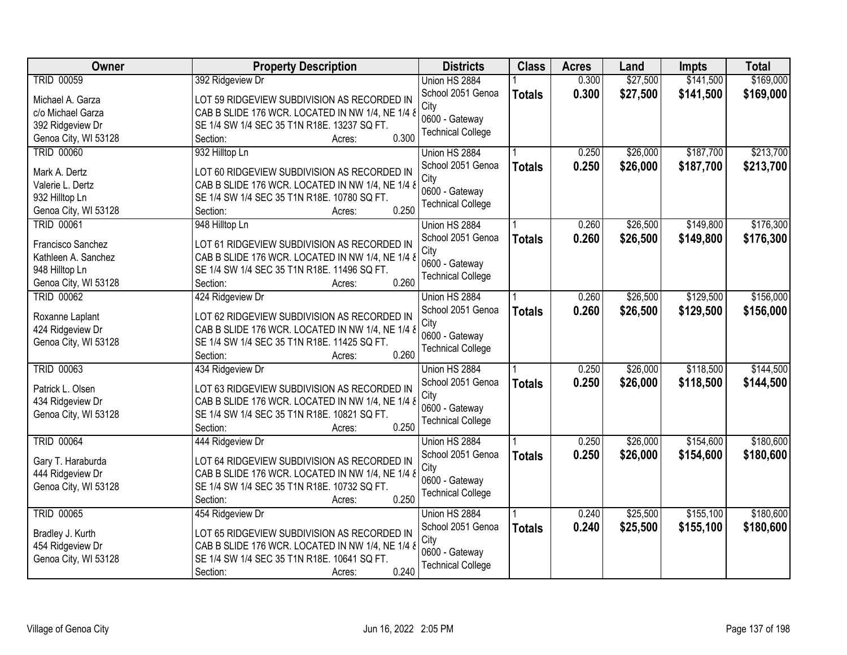| Owner                                    | <b>Property Description</b>                                                                     | <b>Districts</b>         | <b>Class</b>  | <b>Acres</b> | Land     | Impts     | <b>Total</b> |
|------------------------------------------|-------------------------------------------------------------------------------------------------|--------------------------|---------------|--------------|----------|-----------|--------------|
| <b>TRID 00059</b>                        | 392 Ridgeview Dr                                                                                | Union HS 2884            |               | 0.300        | \$27,500 | \$141,500 | \$169,000    |
| Michael A. Garza                         | LOT 59 RIDGEVIEW SUBDIVISION AS RECORDED IN                                                     | School 2051 Genoa        | <b>Totals</b> | 0.300        | \$27,500 | \$141,500 | \$169,000    |
| c/o Michael Garza                        | CAB B SLIDE 176 WCR. LOCATED IN NW 1/4, NE 1/4 &                                                | City                     |               |              |          |           |              |
| 392 Ridgeview Dr                         | SE 1/4 SW 1/4 SEC 35 T1N R18E. 13237 SQ FT.                                                     | 0600 - Gateway           |               |              |          |           |              |
| Genoa City, WI 53128                     | 0.300<br>Section:<br>Acres:                                                                     | <b>Technical College</b> |               |              |          |           |              |
| <b>TRID 00060</b>                        | 932 Hilltop Ln                                                                                  | Union HS 2884            |               | 0.250        | \$26,000 | \$187,700 | \$213,700    |
|                                          |                                                                                                 | School 2051 Genoa        | <b>Totals</b> | 0.250        | \$26,000 | \$187,700 | \$213,700    |
| Mark A. Dertz                            | LOT 60 RIDGEVIEW SUBDIVISION AS RECORDED IN                                                     | City                     |               |              |          |           |              |
| Valerie L. Dertz                         | CAB B SLIDE 176 WCR. LOCATED IN NW 1/4, NE 1/4 &                                                | 0600 - Gateway           |               |              |          |           |              |
| 932 Hilltop Ln                           | SE 1/4 SW 1/4 SEC 35 T1N R18E. 10780 SQ FT.                                                     | <b>Technical College</b> |               |              |          |           |              |
| Genoa City, WI 53128                     | 0.250<br>Section:<br>Acres:                                                                     |                          |               |              |          |           |              |
| <b>TRID 00061</b>                        | 948 Hilltop Ln                                                                                  | Union HS 2884            |               | 0.260        | \$26,500 | \$149,800 | \$176,300    |
| Francisco Sanchez                        | LOT 61 RIDGEVIEW SUBDIVISION AS RECORDED IN                                                     | School 2051 Genoa        | <b>Totals</b> | 0.260        | \$26,500 | \$149,800 | \$176,300    |
| Kathleen A. Sanchez                      | CAB B SLIDE 176 WCR. LOCATED IN NW 1/4, NE 1/4 &                                                | City                     |               |              |          |           |              |
| 948 Hilltop Ln                           | SE 1/4 SW 1/4 SEC 35 T1N R18E. 11496 SQ FT.                                                     | 0600 - Gateway           |               |              |          |           |              |
| Genoa City, WI 53128                     | 0.260<br>Section:<br>Acres:                                                                     | <b>Technical College</b> |               |              |          |           |              |
| <b>TRID 00062</b>                        | 424 Ridgeview Dr                                                                                | Union HS 2884            |               | 0.260        | \$26,500 | \$129,500 | \$156,000    |
|                                          |                                                                                                 | School 2051 Genoa        | <b>Totals</b> | 0.260        | \$26,500 | \$129,500 | \$156,000    |
| Roxanne Laplant                          | LOT 62 RIDGEVIEW SUBDIVISION AS RECORDED IN<br>CAB B SLIDE 176 WCR. LOCATED IN NW 1/4, NE 1/4 & | City                     |               |              |          |           |              |
| 424 Ridgeview Dr<br>Genoa City, WI 53128 | SE 1/4 SW 1/4 SEC 35 T1N R18E. 11425 SQ FT.                                                     | 0600 - Gateway           |               |              |          |           |              |
|                                          | 0.260<br>Section:<br>Acres:                                                                     | <b>Technical College</b> |               |              |          |           |              |
| <b>TRID 00063</b>                        | 434 Ridgeview Dr                                                                                | Union HS 2884            |               | 0.250        | \$26,000 | \$118,500 | \$144,500    |
|                                          |                                                                                                 | School 2051 Genoa        |               | 0.250        | \$26,000 | \$118,500 | \$144,500    |
| Patrick L. Olsen                         | LOT 63 RIDGEVIEW SUBDIVISION AS RECORDED IN                                                     | City                     | <b>Totals</b> |              |          |           |              |
| 434 Ridgeview Dr                         | CAB B SLIDE 176 WCR. LOCATED IN NW 1/4, NE 1/4 8                                                | 0600 - Gateway           |               |              |          |           |              |
| Genoa City, WI 53128                     | SE 1/4 SW 1/4 SEC 35 T1N R18E. 10821 SQ FT.                                                     | <b>Technical College</b> |               |              |          |           |              |
|                                          | 0.250<br>Section:<br>Acres:                                                                     |                          |               |              |          |           |              |
| <b>TRID 00064</b>                        | 444 Ridgeview Dr                                                                                | Union HS 2884            |               | 0.250        | \$26,000 | \$154,600 | \$180,600    |
| Gary T. Haraburda                        | LOT 64 RIDGEVIEW SUBDIVISION AS RECORDED IN                                                     | School 2051 Genoa        | <b>Totals</b> | 0.250        | \$26,000 | \$154,600 | \$180,600    |
| 444 Ridgeview Dr                         | CAB B SLIDE 176 WCR. LOCATED IN NW 1/4, NE 1/4 &                                                | City                     |               |              |          |           |              |
| Genoa City, WI 53128                     | SE 1/4 SW 1/4 SEC 35 T1N R18E. 10732 SQ FT.                                                     | 0600 - Gateway           |               |              |          |           |              |
|                                          | 0.250<br>Section:<br>Acres:                                                                     | <b>Technical College</b> |               |              |          |           |              |
| <b>TRID 00065</b>                        | 454 Ridgeview Dr                                                                                | Union HS 2884            |               | 0.240        | \$25,500 | \$155,100 | \$180,600    |
|                                          |                                                                                                 | School 2051 Genoa        | <b>Totals</b> | 0.240        | \$25,500 | \$155,100 | \$180,600    |
| Bradley J. Kurth                         | LOT 65 RIDGEVIEW SUBDIVISION AS RECORDED IN                                                     | City                     |               |              |          |           |              |
| 454 Ridgeview Dr                         | CAB B SLIDE 176 WCR. LOCATED IN NW 1/4, NE 1/4 &                                                | 0600 - Gateway           |               |              |          |           |              |
| Genoa City, WI 53128                     | SE 1/4 SW 1/4 SEC 35 T1N R18E. 10641 SQ FT.                                                     | <b>Technical College</b> |               |              |          |           |              |
|                                          | 0.240<br>Section:<br>Acres:                                                                     |                          |               |              |          |           |              |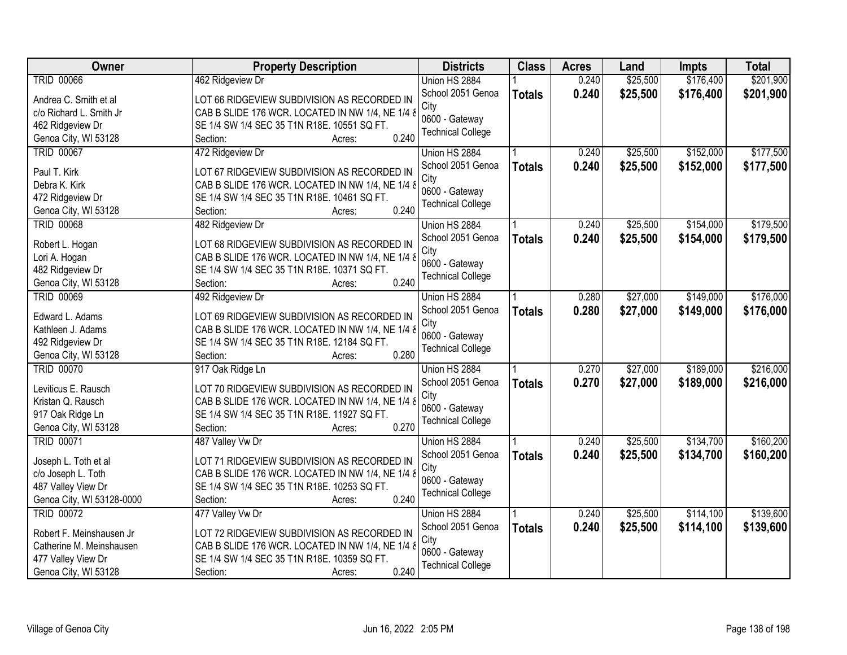| Owner                                     | <b>Property Description</b>                                      | <b>Districts</b>         | <b>Class</b>  | <b>Acres</b> | Land     | <b>Impts</b> | <b>Total</b> |
|-------------------------------------------|------------------------------------------------------------------|--------------------------|---------------|--------------|----------|--------------|--------------|
| <b>TRID 00066</b>                         | 462 Ridgeview Dr                                                 | Union HS 2884            |               | 0.240        | \$25,500 | \$176,400    | \$201,900    |
| Andrea C. Smith et al                     | LOT 66 RIDGEVIEW SUBDIVISION AS RECORDED IN                      | School 2051 Genoa        | <b>Totals</b> | 0.240        | \$25,500 | \$176,400    | \$201,900    |
| c/o Richard L. Smith Jr                   | CAB B SLIDE 176 WCR. LOCATED IN NW 1/4, NE 1/4 &                 | City                     |               |              |          |              |              |
| 462 Ridgeview Dr                          | SE 1/4 SW 1/4 SEC 35 T1N R18E. 10551 SQ FT.                      | 0600 - Gateway           |               |              |          |              |              |
| Genoa City, WI 53128                      | 0.240<br>Section:<br>Acres:                                      | <b>Technical College</b> |               |              |          |              |              |
| <b>TRID 00067</b>                         | 472 Ridgeview Dr                                                 | Union HS 2884            |               | 0.240        | \$25,500 | \$152,000    | \$177,500    |
|                                           |                                                                  | School 2051 Genoa        | <b>Totals</b> | 0.240        | \$25,500 | \$152,000    | \$177,500    |
| Paul T. Kirk                              | LOT 67 RIDGEVIEW SUBDIVISION AS RECORDED IN                      | City                     |               |              |          |              |              |
| Debra K. Kirk                             | CAB B SLIDE 176 WCR. LOCATED IN NW 1/4, NE 1/4 &                 | 0600 - Gateway           |               |              |          |              |              |
| 472 Ridgeview Dr                          | SE 1/4 SW 1/4 SEC 35 T1N R18E. 10461 SQ FT.<br>0.240             | <b>Technical College</b> |               |              |          |              |              |
| Genoa City, WI 53128                      | Section:<br>Acres:                                               |                          |               |              |          |              |              |
| <b>TRID 00068</b>                         | 482 Ridgeview Dr                                                 | Union HS 2884            |               | 0.240        | \$25,500 | \$154,000    | \$179,500    |
| Robert L. Hogan                           | LOT 68 RIDGEVIEW SUBDIVISION AS RECORDED IN                      | School 2051 Genoa        | <b>Totals</b> | 0.240        | \$25,500 | \$154,000    | \$179,500    |
| Lori A. Hogan                             | CAB B SLIDE 176 WCR. LOCATED IN NW 1/4, NE 1/4 &                 | City                     |               |              |          |              |              |
| 482 Ridgeview Dr                          | SE 1/4 SW 1/4 SEC 35 T1N R18E. 10371 SQ FT.                      | 0600 - Gateway           |               |              |          |              |              |
| Genoa City, WI 53128                      | 0.240<br>Section:<br>Acres:                                      | <b>Technical College</b> |               |              |          |              |              |
| <b>TRID 00069</b>                         | 492 Ridgeview Dr                                                 | Union HS 2884            |               | 0.280        | \$27,000 | \$149,000    | \$176,000    |
|                                           |                                                                  | School 2051 Genoa        | <b>Totals</b> | 0.280        | \$27,000 | \$149,000    | \$176,000    |
| Edward L. Adams                           | LOT 69 RIDGEVIEW SUBDIVISION AS RECORDED IN                      | City                     |               |              |          |              |              |
| Kathleen J. Adams                         | CAB B SLIDE 176 WCR. LOCATED IN NW 1/4, NE 1/4 &                 | 0600 - Gateway           |               |              |          |              |              |
| 492 Ridgeview Dr                          | SE 1/4 SW 1/4 SEC 35 T1N R18E. 12184 SQ FT.<br>0.280<br>Section: | <b>Technical College</b> |               |              |          |              |              |
| Genoa City, WI 53128<br><b>TRID 00070</b> | Acres:                                                           |                          |               | 0.270        | \$27,000 | \$189,000    | \$216,000    |
|                                           | 917 Oak Ridge Ln                                                 | Union HS 2884            |               |              |          |              |              |
| Leviticus E. Rausch                       | LOT 70 RIDGEVIEW SUBDIVISION AS RECORDED IN                      | School 2051 Genoa        | <b>Totals</b> | 0.270        | \$27,000 | \$189,000    | \$216,000    |
| Kristan Q. Rausch                         | CAB B SLIDE 176 WCR. LOCATED IN NW 1/4, NE 1/4 &                 | City<br>0600 - Gateway   |               |              |          |              |              |
| 917 Oak Ridge Ln                          | SE 1/4 SW 1/4 SEC 35 T1N R18E. 11927 SQ FT.                      | <b>Technical College</b> |               |              |          |              |              |
| Genoa City, WI 53128                      | 0.270<br>Section:<br>Acres:                                      |                          |               |              |          |              |              |
| <b>TRID 00071</b>                         | 487 Valley Vw Dr                                                 | Union HS 2884            |               | 0.240        | \$25,500 | \$134,700    | \$160,200    |
| Joseph L. Toth et al                      | LOT 71 RIDGEVIEW SUBDIVISION AS RECORDED IN                      | School 2051 Genoa        | <b>Totals</b> | 0.240        | \$25,500 | \$134,700    | \$160,200    |
| c/o Joseph L. Toth                        | CAB B SLIDE 176 WCR. LOCATED IN NW 1/4, NE 1/4 &                 | City                     |               |              |          |              |              |
| 487 Valley View Dr                        | SE 1/4 SW 1/4 SEC 35 T1N R18E. 10253 SQ FT.                      | 0600 - Gateway           |               |              |          |              |              |
| Genoa City, WI 53128-0000                 | 0.240<br>Section:<br>Acres:                                      | <b>Technical College</b> |               |              |          |              |              |
| <b>TRID 00072</b>                         | 477 Valley Vw Dr                                                 | Union HS 2884            |               | 0.240        | \$25,500 | \$114,100    | \$139,600    |
|                                           |                                                                  | School 2051 Genoa        | <b>Totals</b> | 0.240        | \$25,500 | \$114,100    | \$139,600    |
| Robert F. Meinshausen Jr                  | LOT 72 RIDGEVIEW SUBDIVISION AS RECORDED IN                      | City                     |               |              |          |              |              |
| Catherine M. Meinshausen                  | CAB B SLIDE 176 WCR. LOCATED IN NW 1/4, NE 1/4 &                 | 0600 - Gateway           |               |              |          |              |              |
| 477 Valley View Dr                        | SE 1/4 SW 1/4 SEC 35 T1N R18E. 10359 SQ FT.                      | <b>Technical College</b> |               |              |          |              |              |
| Genoa City, WI 53128                      | 0.240<br>Section:<br>Acres:                                      |                          |               |              |          |              |              |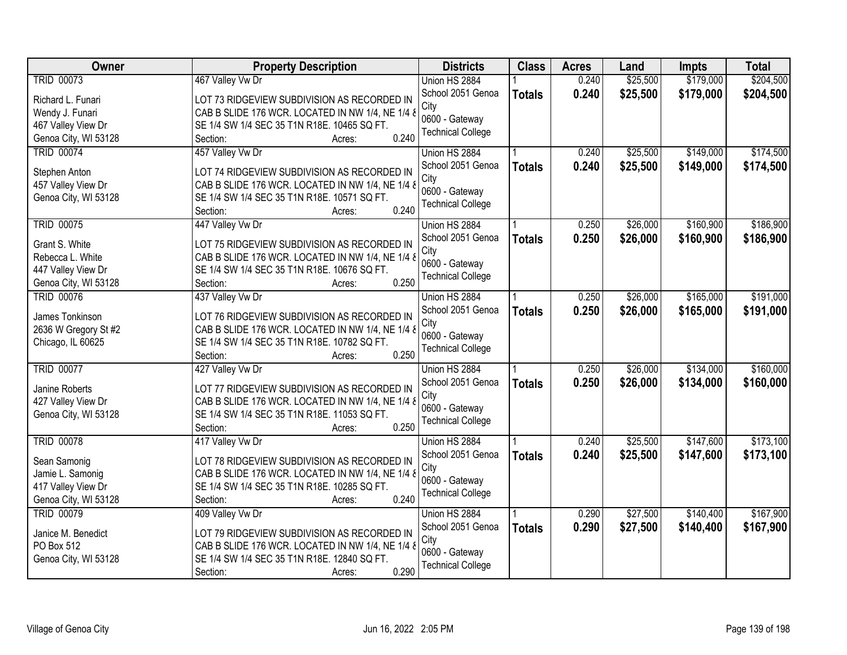| Owner                | <b>Property Description</b>                          | <b>Districts</b>                           | <b>Class</b>  | <b>Acres</b> | Land     | Impts     | <b>Total</b> |
|----------------------|------------------------------------------------------|--------------------------------------------|---------------|--------------|----------|-----------|--------------|
| <b>TRID 00073</b>    | 467 Valley Vw Dr                                     | Union HS 2884                              |               | 0.240        | \$25,500 | \$179,000 | \$204,500    |
| Richard L. Funari    | LOT 73 RIDGEVIEW SUBDIVISION AS RECORDED IN          | School 2051 Genoa                          | <b>Totals</b> | 0.240        | \$25,500 | \$179,000 | \$204,500    |
| Wendy J. Funari      | CAB B SLIDE 176 WCR. LOCATED IN NW 1/4, NE 1/4 &     | City                                       |               |              |          |           |              |
| 467 Valley View Dr   | SE 1/4 SW 1/4 SEC 35 T1N R18E. 10465 SQ FT.          | 0600 - Gateway                             |               |              |          |           |              |
| Genoa City, WI 53128 | 0.240<br>Section:<br>Acres:                          | <b>Technical College</b>                   |               |              |          |           |              |
| <b>TRID 00074</b>    | 457 Valley Vw Dr                                     | Union HS 2884                              |               | 0.240        | \$25,500 | \$149,000 | \$174,500    |
|                      |                                                      | School 2051 Genoa                          | <b>Totals</b> | 0.240        | \$25,500 | \$149,000 | \$174,500    |
| Stephen Anton        | LOT 74 RIDGEVIEW SUBDIVISION AS RECORDED IN          | City                                       |               |              |          |           |              |
| 457 Valley View Dr   | CAB B SLIDE 176 WCR. LOCATED IN NW 1/4, NE 1/4 &     | 0600 - Gateway                             |               |              |          |           |              |
| Genoa City, WI 53128 | SE 1/4 SW 1/4 SEC 35 T1N R18E. 10571 SQ FT.<br>0.240 | <b>Technical College</b>                   |               |              |          |           |              |
|                      | Section:<br>Acres:                                   |                                            |               |              |          |           |              |
| <b>TRID 00075</b>    | 447 Valley Vw Dr                                     | Union HS 2884                              |               | 0.250        | \$26,000 | \$160,900 | \$186,900    |
| Grant S. White       | LOT 75 RIDGEVIEW SUBDIVISION AS RECORDED IN          | School 2051 Genoa                          | <b>Totals</b> | 0.250        | \$26,000 | \$160,900 | \$186,900    |
| Rebecca L. White     | CAB B SLIDE 176 WCR. LOCATED IN NW 1/4, NE 1/4 &     | City                                       |               |              |          |           |              |
| 447 Valley View Dr   | SE 1/4 SW 1/4 SEC 35 T1N R18E. 10676 SQ FT.          | 0600 - Gateway                             |               |              |          |           |              |
| Genoa City, WI 53128 | 0.250<br>Section:<br>Acres:                          | <b>Technical College</b>                   |               |              |          |           |              |
| <b>TRID 00076</b>    | 437 Valley Vw Dr                                     | Union HS 2884                              |               | 0.250        | \$26,000 | \$165,000 | \$191,000    |
|                      |                                                      | School 2051 Genoa                          | <b>Totals</b> | 0.250        | \$26,000 | \$165,000 | \$191,000    |
| James Tonkinson      | LOT 76 RIDGEVIEW SUBDIVISION AS RECORDED IN          | City                                       |               |              |          |           |              |
| 2636 W Gregory St #2 | CAB B SLIDE 176 WCR. LOCATED IN NW 1/4, NE 1/4 &     | 0600 - Gateway                             |               |              |          |           |              |
| Chicago, IL 60625    | SE 1/4 SW 1/4 SEC 35 T1N R18E. 10782 SQ FT.<br>0.250 | <b>Technical College</b>                   |               |              |          |           |              |
|                      | Section:<br>Acres:                                   |                                            |               |              |          |           |              |
| <b>TRID 00077</b>    | 427 Valley Vw Dr                                     | Union HS 2884                              |               | 0.250        | \$26,000 | \$134,000 | \$160,000    |
| Janine Roberts       | LOT 77 RIDGEVIEW SUBDIVISION AS RECORDED IN          | School 2051 Genoa                          | <b>Totals</b> | 0.250        | \$26,000 | \$134,000 | \$160,000    |
| 427 Valley View Dr   | CAB B SLIDE 176 WCR. LOCATED IN NW 1/4, NE 1/4 8     | City                                       |               |              |          |           |              |
| Genoa City, WI 53128 | SE 1/4 SW 1/4 SEC 35 T1N R18E. 11053 SQ FT.          | 0600 - Gateway<br><b>Technical College</b> |               |              |          |           |              |
|                      | 0.250<br>Section:<br>Acres:                          |                                            |               |              |          |           |              |
| <b>TRID 00078</b>    | 417 Valley Vw Dr                                     | Union HS 2884                              |               | 0.240        | \$25,500 | \$147,600 | \$173,100    |
| Sean Samonig         | LOT 78 RIDGEVIEW SUBDIVISION AS RECORDED IN          | School 2051 Genoa                          | <b>Totals</b> | 0.240        | \$25,500 | \$147,600 | \$173,100    |
| Jamie L. Samonig     | CAB B SLIDE 176 WCR. LOCATED IN NW 1/4, NE 1/4 &     | City                                       |               |              |          |           |              |
| 417 Valley View Dr   | SE 1/4 SW 1/4 SEC 35 T1N R18E. 10285 SQ FT.          | 0600 - Gateway                             |               |              |          |           |              |
| Genoa City, WI 53128 | 0.240<br>Section:<br>Acres:                          | <b>Technical College</b>                   |               |              |          |           |              |
| <b>TRID 00079</b>    | 409 Valley Vw Dr                                     | Union HS 2884                              |               | 0.290        | \$27,500 | \$140,400 | \$167,900    |
|                      |                                                      | School 2051 Genoa                          | <b>Totals</b> | 0.290        | \$27,500 | \$140,400 | \$167,900    |
| Janice M. Benedict   | LOT 79 RIDGEVIEW SUBDIVISION AS RECORDED IN          | City                                       |               |              |          |           |              |
| PO Box 512           | CAB B SLIDE 176 WCR. LOCATED IN NW 1/4, NE 1/4 &     | 0600 - Gateway                             |               |              |          |           |              |
| Genoa City, WI 53128 | SE 1/4 SW 1/4 SEC 35 T1N R18E. 12840 SQ FT.          | <b>Technical College</b>                   |               |              |          |           |              |
|                      | 0.290<br>Section:<br>Acres:                          |                                            |               |              |          |           |              |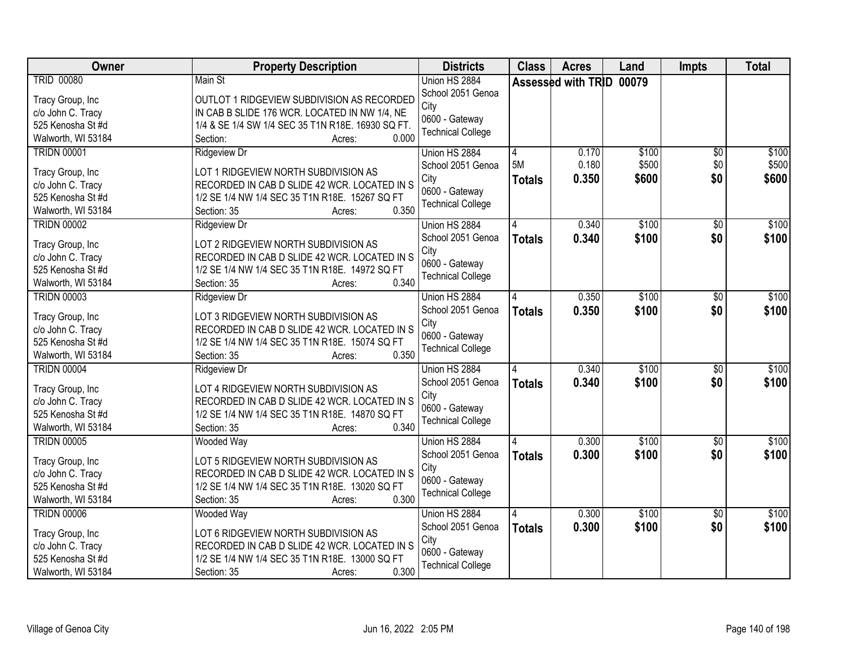| Owner                                                                                                  | <b>Property Description</b>                                                                                                                                                                     | <b>Districts</b>                                                                         | <b>Class</b>             | <b>Acres</b>             | Land                    | <b>Impts</b>                  | <b>Total</b>            |
|--------------------------------------------------------------------------------------------------------|-------------------------------------------------------------------------------------------------------------------------------------------------------------------------------------------------|------------------------------------------------------------------------------------------|--------------------------|--------------------------|-------------------------|-------------------------------|-------------------------|
| <b>TRID 00080</b><br>Tracy Group, Inc<br>c/o John C. Tracy                                             | Main St<br>OUTLOT 1 RIDGEVIEW SUBDIVISION AS RECORDED<br>IN CAB B SLIDE 176 WCR. LOCATED IN NW 1/4, NE                                                                                          | Union HS 2884<br>School 2051 Genoa<br>City                                               |                          | Assessed with TRID 00079 |                         |                               |                         |
| 525 Kenosha St #d<br>Walworth, WI 53184                                                                | 1/4 & SE 1/4 SW 1/4 SEC 35 T1N R18E. 16930 SQ FT.<br>0.000<br>Section:<br>Acres:                                                                                                                | 0600 - Gateway<br><b>Technical College</b>                                               |                          |                          |                         |                               |                         |
| <b>TRIDN 00001</b><br>Tracy Group, Inc<br>c/o John C. Tracy<br>525 Kenosha St #d<br>Walworth, WI 53184 | <b>Ridgeview Dr</b><br>LOT 1 RIDGEVIEW NORTH SUBDIVISION AS<br>RECORDED IN CAB D SLIDE 42 WCR. LOCATED IN S<br>1/2 SE 1/4 NW 1/4 SEC 35 T1N R18E. 15267 SQ FT<br>0.350<br>Section: 35<br>Acres: | Union HS 2884<br>School 2051 Genoa<br>City<br>0600 - Gateway<br><b>Technical College</b> | 4<br>5M<br><b>Totals</b> | 0.170<br>0.180<br>0.350  | \$100<br>\$500<br>\$600 | $\overline{50}$<br>\$0<br>\$0 | \$100<br>\$500<br>\$600 |
| <b>TRIDN 00002</b><br>Tracy Group, Inc<br>c/o John C. Tracy<br>525 Kenosha St #d<br>Walworth, WI 53184 | <b>Ridgeview Dr</b><br>LOT 2 RIDGEVIEW NORTH SUBDIVISION AS<br>RECORDED IN CAB D SLIDE 42 WCR. LOCATED IN S<br>1/2 SE 1/4 NW 1/4 SEC 35 T1N R18E. 14972 SQ FT<br>0.340<br>Section: 35<br>Acres: | Union HS 2884<br>School 2051 Genoa<br>City<br>0600 - Gateway<br><b>Technical College</b> | <b>Totals</b>            | 0.340<br>0.340           | \$100<br>\$100          | \$0<br>\$0                    | \$100<br>\$100          |
| <b>TRIDN 00003</b><br>Tracy Group, Inc<br>c/o John C. Tracy<br>525 Kenosha St #d<br>Walworth, WI 53184 | <b>Ridgeview Dr</b><br>LOT 3 RIDGEVIEW NORTH SUBDIVISION AS<br>RECORDED IN CAB D SLIDE 42 WCR. LOCATED IN S<br>1/2 SE 1/4 NW 1/4 SEC 35 T1N R18E. 15074 SQ FT<br>0.350<br>Section: 35<br>Acres: | Union HS 2884<br>School 2051 Genoa<br>City<br>0600 - Gateway<br><b>Technical College</b> | <b>Totals</b>            | 0.350<br>0.350           | \$100<br>\$100          | \$0<br>\$0                    | \$100<br>\$100          |
| <b>TRIDN 00004</b><br>Tracy Group, Inc<br>c/o John C. Tracy<br>525 Kenosha St #d<br>Walworth, WI 53184 | <b>Ridgeview Dr</b><br>LOT 4 RIDGEVIEW NORTH SUBDIVISION AS<br>RECORDED IN CAB D SLIDE 42 WCR. LOCATED IN S<br>1/2 SE 1/4 NW 1/4 SEC 35 T1N R18E. 14870 SQ FT<br>0.340<br>Section: 35<br>Acres: | Union HS 2884<br>School 2051 Genoa<br>City<br>0600 - Gateway<br><b>Technical College</b> | <b>Totals</b>            | 0.340<br>0.340           | \$100<br>\$100          | \$0<br>\$0                    | \$100<br>\$100          |
| <b>TRIDN 00005</b><br>Tracy Group, Inc<br>c/o John C. Tracy<br>525 Kenosha St #d<br>Walworth, WI 53184 | Wooded Way<br>LOT 5 RIDGEVIEW NORTH SUBDIVISION AS<br>RECORDED IN CAB D SLIDE 42 WCR. LOCATED IN S<br>1/2 SE 1/4 NW 1/4 SEC 35 T1N R18E. 13020 SQ FT<br>0.300<br>Section: 35<br>Acres:          | Union HS 2884<br>School 2051 Genoa<br>City<br>0600 - Gateway<br><b>Technical College</b> | <b>Totals</b>            | 0.300<br>0.300           | \$100<br>\$100          | $\overline{50}$<br>\$0        | \$100<br>\$100          |
| <b>TRIDN 00006</b><br>Tracy Group, Inc<br>c/o John C. Tracy<br>525 Kenosha St #d<br>Walworth, WI 53184 | <b>Wooded Way</b><br>LOT 6 RIDGEVIEW NORTH SUBDIVISION AS<br>RECORDED IN CAB D SLIDE 42 WCR. LOCATED IN S<br>1/2 SE 1/4 NW 1/4 SEC 35 T1N R18E. 13000 SQ FT<br>0.300<br>Section: 35<br>Acres:   | Union HS 2884<br>School 2051 Genoa<br>City<br>0600 - Gateway<br><b>Technical College</b> | <b>Totals</b>            | 0.300<br>0.300           | \$100<br>\$100          | $\overline{50}$<br>\$0        | \$100<br>\$100          |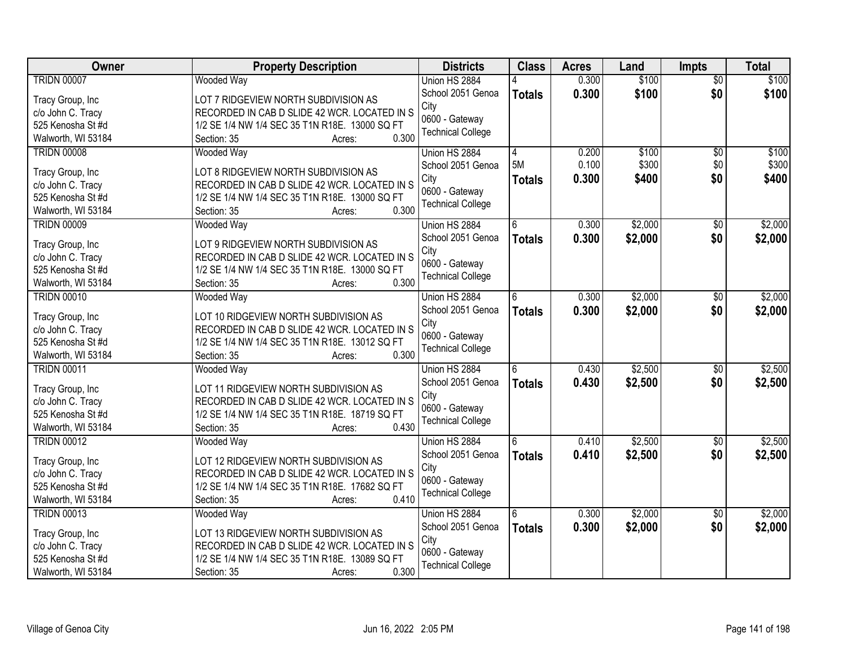| Owner              | <b>Property Description</b>                    | <b>Districts</b>         | <b>Class</b>  | <b>Acres</b> | Land    | <b>Impts</b>    | <b>Total</b> |
|--------------------|------------------------------------------------|--------------------------|---------------|--------------|---------|-----------------|--------------|
| <b>TRIDN 00007</b> | <b>Wooded Way</b>                              | Union HS 2884            |               | 0.300        | \$100   | $\overline{30}$ | \$100        |
| Tracy Group, Inc   | LOT 7 RIDGEVIEW NORTH SUBDIVISION AS           | School 2051 Genoa        | <b>Totals</b> | 0.300        | \$100   | \$0             | \$100        |
| c/o John C. Tracy  | RECORDED IN CAB D SLIDE 42 WCR. LOCATED IN S   | City                     |               |              |         |                 |              |
| 525 Kenosha St #d  | 1/2 SE 1/4 NW 1/4 SEC 35 T1N R18E. 13000 SQ FT | 0600 - Gateway           |               |              |         |                 |              |
| Walworth, WI 53184 | 0.300<br>Section: 35<br>Acres:                 | <b>Technical College</b> |               |              |         |                 |              |
| <b>TRIDN 00008</b> | <b>Wooded Way</b>                              | Union HS 2884            | 4             | 0.200        | \$100   | $\overline{50}$ | \$100        |
|                    |                                                | School 2051 Genoa        | 5M            | 0.100        | \$300   | \$0             | \$300        |
| Tracy Group, Inc   | LOT 8 RIDGEVIEW NORTH SUBDIVISION AS           | City                     | <b>Totals</b> | 0.300        | \$400   | \$0             | \$400        |
| c/o John C. Tracy  | RECORDED IN CAB D SLIDE 42 WCR. LOCATED IN S   | 0600 - Gateway           |               |              |         |                 |              |
| 525 Kenosha St #d  | 1/2 SE 1/4 NW 1/4 SEC 35 T1N R18E. 13000 SQ FT | <b>Technical College</b> |               |              |         |                 |              |
| Walworth, WI 53184 | 0.300<br>Section: 35<br>Acres:                 |                          |               |              |         |                 |              |
| <b>TRIDN 00009</b> | <b>Wooded Way</b>                              | Union HS 2884            | 6             | 0.300        | \$2,000 | \$0             | \$2,000      |
| Tracy Group, Inc   | LOT 9 RIDGEVIEW NORTH SUBDIVISION AS           | School 2051 Genoa        | <b>Totals</b> | 0.300        | \$2,000 | \$0             | \$2,000      |
| c/o John C. Tracy  | RECORDED IN CAB D SLIDE 42 WCR. LOCATED IN S   | City                     |               |              |         |                 |              |
| 525 Kenosha St #d  | 1/2 SE 1/4 NW 1/4 SEC 35 T1N R18E. 13000 SQ FT | 0600 - Gateway           |               |              |         |                 |              |
| Walworth, WI 53184 | 0.300<br>Section: 35<br>Acres:                 | <b>Technical College</b> |               |              |         |                 |              |
| <b>TRIDN 00010</b> | <b>Wooded Way</b>                              | Union HS 2884            | 6             | 0.300        | \$2,000 | \$0             | \$2,000      |
|                    |                                                | School 2051 Genoa        |               | 0.300        | \$2,000 | \$0             |              |
| Tracy Group, Inc   | LOT 10 RIDGEVIEW NORTH SUBDIVISION AS          | City                     | <b>Totals</b> |              |         |                 | \$2,000      |
| c/o John C. Tracy  | RECORDED IN CAB D SLIDE 42 WCR. LOCATED IN S   | 0600 - Gateway           |               |              |         |                 |              |
| 525 Kenosha St #d  | 1/2 SE 1/4 NW 1/4 SEC 35 T1N R18E. 13012 SQ FT | <b>Technical College</b> |               |              |         |                 |              |
| Walworth, WI 53184 | 0.300<br>Section: 35<br>Acres:                 |                          |               |              |         |                 |              |
| <b>TRIDN 00011</b> | <b>Wooded Way</b>                              | Union HS 2884            | 6             | 0.430        | \$2,500 | $\overline{50}$ | \$2,500      |
|                    |                                                | School 2051 Genoa        | <b>Totals</b> | 0.430        | \$2,500 | \$0             | \$2,500      |
| Tracy Group, Inc   | LOT 11 RIDGEVIEW NORTH SUBDIVISION AS          | City                     |               |              |         |                 |              |
| c/o John C. Tracy  | RECORDED IN CAB D SLIDE 42 WCR. LOCATED IN S   | 0600 - Gateway           |               |              |         |                 |              |
| 525 Kenosha St #d  | 1/2 SE 1/4 NW 1/4 SEC 35 T1N R18E. 18719 SQ FT | <b>Technical College</b> |               |              |         |                 |              |
| Walworth, WI 53184 | 0.430<br>Section: 35<br>Acres:                 |                          |               |              |         |                 |              |
| <b>TRIDN 00012</b> | Wooded Way                                     | Union HS 2884            | 6             | 0.410        | \$2,500 | \$0             | \$2,500      |
| Tracy Group, Inc   | LOT 12 RIDGEVIEW NORTH SUBDIVISION AS          | School 2051 Genoa        | <b>Totals</b> | 0.410        | \$2,500 | \$0             | \$2,500      |
| c/o John C. Tracy  | RECORDED IN CAB D SLIDE 42 WCR. LOCATED IN S   | City                     |               |              |         |                 |              |
| 525 Kenosha St #d  | 1/2 SE 1/4 NW 1/4 SEC 35 T1N R18E. 17682 SQ FT | 0600 - Gateway           |               |              |         |                 |              |
| Walworth, WI 53184 | 0.410<br>Section: 35<br>Acres:                 | <b>Technical College</b> |               |              |         |                 |              |
| <b>TRIDN 00013</b> | <b>Wooded Way</b>                              | Union HS 2884            | 6             | 0.300        | \$2,000 | $\overline{30}$ | \$2,000      |
|                    |                                                | School 2051 Genoa        | <b>Totals</b> | 0.300        | \$2,000 | \$0             | \$2,000      |
| Tracy Group, Inc   | LOT 13 RIDGEVIEW NORTH SUBDIVISION AS          | City                     |               |              |         |                 |              |
| c/o John C. Tracy  | RECORDED IN CAB D SLIDE 42 WCR. LOCATED IN S   | 0600 - Gateway           |               |              |         |                 |              |
| 525 Kenosha St #d  | 1/2 SE 1/4 NW 1/4 SEC 35 T1N R18E. 13089 SQ FT | <b>Technical College</b> |               |              |         |                 |              |
| Walworth, WI 53184 | 0.300<br>Section: 35<br>Acres:                 |                          |               |              |         |                 |              |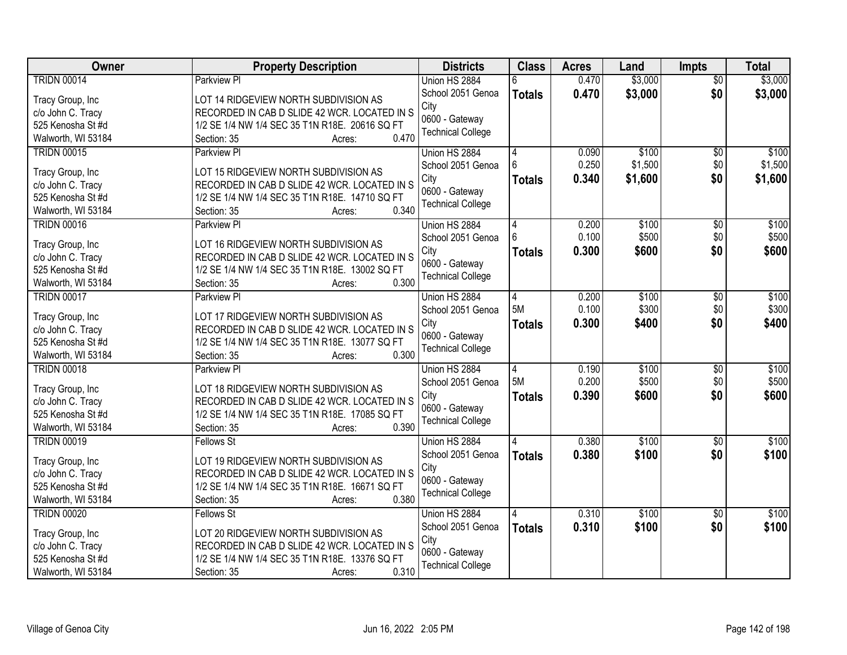| <b>Owner</b>       | <b>Property Description</b>                             | <b>Districts</b>         | <b>Class</b>  | <b>Acres</b>   | Land    | <b>Impts</b>    | <b>Total</b> |
|--------------------|---------------------------------------------------------|--------------------------|---------------|----------------|---------|-----------------|--------------|
| <b>TRIDN 00014</b> | <b>Parkview PI</b>                                      | Union HS 2884            | 6             | 0.470          | \$3,000 | $\overline{50}$ | \$3,000      |
| Tracy Group, Inc   | LOT 14 RIDGEVIEW NORTH SUBDIVISION AS                   | School 2051 Genoa        | <b>Totals</b> | 0.470          | \$3,000 | \$0             | \$3,000      |
| c/o John C. Tracy  | RECORDED IN CAB D SLIDE 42 WCR. LOCATED IN S            | City                     |               |                |         |                 |              |
| 525 Kenosha St #d  | 1/2 SE 1/4 NW 1/4 SEC 35 T1N R18E. 20616 SQ FT          | 0600 - Gateway           |               |                |         |                 |              |
| Walworth, WI 53184 | 0.470<br>Section: 35<br>Acres:                          | <b>Technical College</b> |               |                |         |                 |              |
| <b>TRIDN 00015</b> | Parkview PI                                             | Union HS 2884            |               | 0.090          | \$100   | $\sqrt{6}$      | \$100        |
| Tracy Group, Inc   | LOT 15 RIDGEVIEW NORTH SUBDIVISION AS                   | School 2051 Genoa        |               | 0.250          | \$1,500 | \$0             | \$1,500      |
| c/o John C. Tracy  | RECORDED IN CAB D SLIDE 42 WCR. LOCATED IN S            | City                     | <b>Totals</b> | 0.340          | \$1,600 | \$0             | \$1,600      |
| 525 Kenosha St #d  | 1/2 SE 1/4 NW 1/4 SEC 35 T1N R18E. 14710 SQ FT          | 0600 - Gateway           |               |                |         |                 |              |
| Walworth, WI 53184 | 0.340<br>Section: 35<br>Acres:                          | <b>Technical College</b> |               |                |         |                 |              |
| <b>TRIDN 00016</b> | Parkview PI                                             | Union HS 2884            |               | 0.200          | \$100   | \$0             | \$100        |
|                    |                                                         | School 2051 Genoa        |               | 0.100          | \$500   | \$0             | \$500        |
| Tracy Group, Inc   | LOT 16 RIDGEVIEW NORTH SUBDIVISION AS                   | City                     | <b>Totals</b> | 0.300          | \$600   | \$0             | \$600        |
| c/o John C. Tracy  | RECORDED IN CAB D SLIDE 42 WCR. LOCATED IN S            | 0600 - Gateway           |               |                |         |                 |              |
| 525 Kenosha St #d  | 1/2 SE 1/4 NW 1/4 SEC 35 T1N R18E. 13002 SQ FT<br>0.300 | <b>Technical College</b> |               |                |         |                 |              |
| Walworth, WI 53184 | Section: 35<br>Acres:                                   |                          |               |                |         |                 |              |
| <b>TRIDN 00017</b> | Parkview PI                                             | Union HS 2884            | 4<br>5M       | 0.200<br>0.100 | \$100   | $\sqrt[6]{3}$   | \$100        |
| Tracy Group, Inc   | LOT 17 RIDGEVIEW NORTH SUBDIVISION AS                   | School 2051 Genoa        |               |                | \$300   | \$0             | \$300        |
| c/o John C. Tracy  | RECORDED IN CAB D SLIDE 42 WCR. LOCATED IN S            | City<br>0600 - Gateway   | <b>Totals</b> | 0.300          | \$400   | \$0             | \$400        |
| 525 Kenosha St #d  | 1/2 SE 1/4 NW 1/4 SEC 35 T1N R18E. 13077 SQ FT          | <b>Technical College</b> |               |                |         |                 |              |
| Walworth, WI 53184 | 0.300<br>Section: 35<br>Acres:                          |                          |               |                |         |                 |              |
| <b>TRIDN 00018</b> | <b>Parkview PI</b>                                      | Union HS 2884            |               | 0.190          | \$100   | $\overline{50}$ | \$100        |
| Tracy Group, Inc   | LOT 18 RIDGEVIEW NORTH SUBDIVISION AS                   | School 2051 Genoa        | 5M            | 0.200          | \$500   | \$0             | \$500        |
| c/o John C. Tracy  | RECORDED IN CAB D SLIDE 42 WCR. LOCATED IN S            | City                     | <b>Totals</b> | 0.390          | \$600   | \$0             | \$600        |
| 525 Kenosha St #d  | 1/2 SE 1/4 NW 1/4 SEC 35 T1N R18E. 17085 SQ FT          | 0600 - Gateway           |               |                |         |                 |              |
| Walworth, WI 53184 | 0.390<br>Section: 35<br>Acres:                          | <b>Technical College</b> |               |                |         |                 |              |
| <b>TRIDN 00019</b> | <b>Fellows St</b>                                       | Union HS 2884            |               | 0.380          | \$100   | $\sqrt{6}$      | \$100        |
|                    |                                                         | School 2051 Genoa        |               | 0.380          | \$100   | \$0             | \$100        |
| Tracy Group, Inc   | LOT 19 RIDGEVIEW NORTH SUBDIVISION AS                   | City                     | <b>Totals</b> |                |         |                 |              |
| c/o John C. Tracy  | RECORDED IN CAB D SLIDE 42 WCR. LOCATED IN S            | 0600 - Gateway           |               |                |         |                 |              |
| 525 Kenosha St#d   | 1/2 SE 1/4 NW 1/4 SEC 35 T1N R18E. 16671 SQ FT          | <b>Technical College</b> |               |                |         |                 |              |
| Walworth, WI 53184 | 0.380<br>Section: 35<br>Acres:                          |                          |               |                |         |                 |              |
| <b>TRIDN 00020</b> | <b>Fellows St</b>                                       | Union HS 2884            |               | 0.310          | \$100   | $\overline{60}$ | \$100        |
| Tracy Group, Inc   | LOT 20 RIDGEVIEW NORTH SUBDIVISION AS                   | School 2051 Genoa        | <b>Totals</b> | 0.310          | \$100   | \$0             | \$100        |
| c/o John C. Tracy  | RECORDED IN CAB D SLIDE 42 WCR. LOCATED IN S            | City                     |               |                |         |                 |              |
| 525 Kenosha St #d  | 1/2 SE 1/4 NW 1/4 SEC 35 T1N R18E. 13376 SQ FT          | 0600 - Gateway           |               |                |         |                 |              |
| Walworth, WI 53184 | 0.310<br>Section: 35<br>Acres:                          | <b>Technical College</b> |               |                |         |                 |              |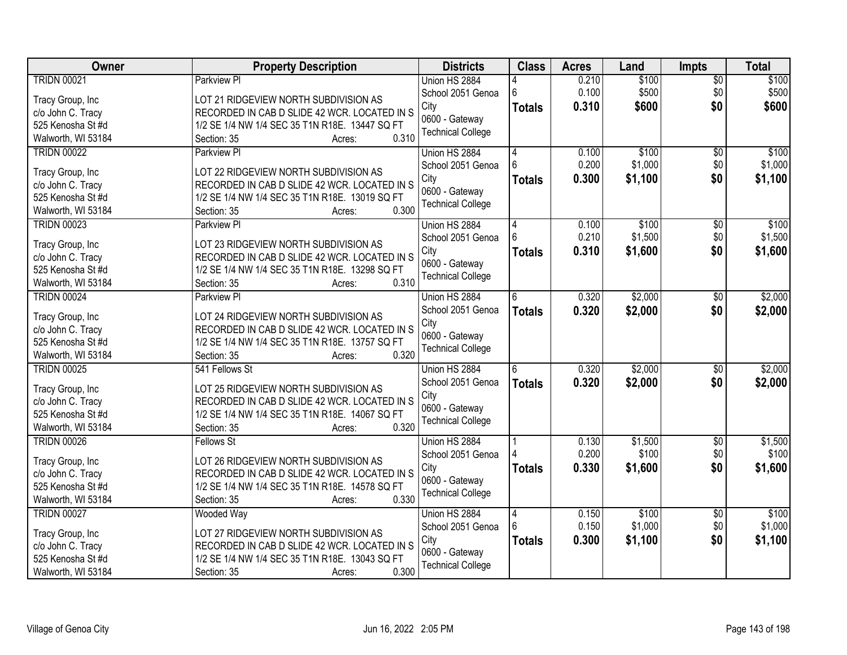| Owner              | <b>Property Description</b>                    | <b>Districts</b>         | <b>Class</b>  | <b>Acres</b> | Land    | <b>Impts</b>    | <b>Total</b> |
|--------------------|------------------------------------------------|--------------------------|---------------|--------------|---------|-----------------|--------------|
| <b>TRIDN 00021</b> | <b>Parkview PI</b>                             | Union HS 2884            |               | 0.210        | \$100   | $\overline{50}$ | \$100        |
| Tracy Group, Inc   | LOT 21 RIDGEVIEW NORTH SUBDIVISION AS          | School 2051 Genoa        | 6             | 0.100        | \$500   | \$0             | \$500        |
| c/o John C. Tracy  | RECORDED IN CAB D SLIDE 42 WCR. LOCATED IN S   | City                     | <b>Totals</b> | 0.310        | \$600   | \$0             | \$600        |
| 525 Kenosha St #d  | 1/2 SE 1/4 NW 1/4 SEC 35 T1N R18E. 13447 SQ FT | 0600 - Gateway           |               |              |         |                 |              |
| Walworth, WI 53184 | 0.310<br>Section: 35<br>Acres:                 | <b>Technical College</b> |               |              |         |                 |              |
| <b>TRIDN 00022</b> | <b>Parkview PI</b>                             | Union HS 2884            | 4             | 0.100        | \$100   | $\overline{50}$ | \$100        |
|                    |                                                | School 2051 Genoa        |               | 0.200        | \$1,000 | \$0             | \$1,000      |
| Tracy Group, Inc   | LOT 22 RIDGEVIEW NORTH SUBDIVISION AS          | City                     | <b>Totals</b> | 0.300        | \$1,100 | \$0             | \$1,100      |
| c/o John C. Tracy  | RECORDED IN CAB D SLIDE 42 WCR. LOCATED IN S   | 0600 - Gateway           |               |              |         |                 |              |
| 525 Kenosha St #d  | 1/2 SE 1/4 NW 1/4 SEC 35 T1N R18E. 13019 SQ FT | <b>Technical College</b> |               |              |         |                 |              |
| Walworth, WI 53184 | 0.300<br>Section: 35<br>Acres:                 |                          |               |              |         |                 |              |
| <b>TRIDN 00023</b> | Parkview Pl                                    | Union HS 2884            | 4             | 0.100        | \$100   | \$0             | \$100        |
| Tracy Group, Inc   | LOT 23 RIDGEVIEW NORTH SUBDIVISION AS          | School 2051 Genoa        |               | 0.210        | \$1,500 | \$0             | \$1,500      |
| c/o John C. Tracy  | RECORDED IN CAB D SLIDE 42 WCR. LOCATED IN S   | City                     | <b>Totals</b> | 0.310        | \$1,600 | \$0             | \$1,600      |
| 525 Kenosha St #d  | 1/2 SE 1/4 NW 1/4 SEC 35 T1N R18E. 13298 SQ FT | 0600 - Gateway           |               |              |         |                 |              |
| Walworth, WI 53184 | 0.310<br>Section: 35<br>Acres:                 | <b>Technical College</b> |               |              |         |                 |              |
| <b>TRIDN 00024</b> | Parkview PI                                    | Union HS 2884            | 6             | 0.320        | \$2,000 | \$0             | \$2,000      |
|                    |                                                | School 2051 Genoa        | <b>Totals</b> | 0.320        | \$2,000 | \$0             | \$2,000      |
| Tracy Group, Inc   | LOT 24 RIDGEVIEW NORTH SUBDIVISION AS          | City                     |               |              |         |                 |              |
| c/o John C. Tracy  | RECORDED IN CAB D SLIDE 42 WCR. LOCATED IN S   | 0600 - Gateway           |               |              |         |                 |              |
| 525 Kenosha St #d  | 1/2 SE 1/4 NW 1/4 SEC 35 T1N R18E. 13757 SQ FT | <b>Technical College</b> |               |              |         |                 |              |
| Walworth, WI 53184 | 0.320<br>Section: 35<br>Acres:                 |                          |               |              |         |                 |              |
| <b>TRIDN 00025</b> | 541 Fellows St                                 | Union HS 2884            | ĥ             | 0.320        | \$2,000 | $\overline{30}$ | \$2,000      |
| Tracy Group, Inc   | LOT 25 RIDGEVIEW NORTH SUBDIVISION AS          | School 2051 Genoa        | <b>Totals</b> | 0.320        | \$2,000 | \$0             | \$2,000      |
| c/o John C. Tracy  | RECORDED IN CAB D SLIDE 42 WCR. LOCATED IN S   | City                     |               |              |         |                 |              |
| 525 Kenosha St #d  | 1/2 SE 1/4 NW 1/4 SEC 35 T1N R18E. 14067 SQ FT | 0600 - Gateway           |               |              |         |                 |              |
| Walworth, WI 53184 | 0.320<br>Section: 35<br>Acres:                 | <b>Technical College</b> |               |              |         |                 |              |
| <b>TRIDN 00026</b> | <b>Fellows St</b>                              | Union HS 2884            |               | 0.130        | \$1,500 | $\overline{60}$ | \$1,500      |
|                    |                                                | School 2051 Genoa        |               | 0.200        | \$100   | \$0             | \$100        |
| Tracy Group, Inc   | LOT 26 RIDGEVIEW NORTH SUBDIVISION AS          | City                     | <b>Totals</b> | 0.330        | \$1,600 | \$0             | \$1,600      |
| c/o John C. Tracy  | RECORDED IN CAB D SLIDE 42 WCR. LOCATED IN S   | 0600 - Gateway           |               |              |         |                 |              |
| 525 Kenosha St #d  | 1/2 SE 1/4 NW 1/4 SEC 35 T1N R18E. 14578 SQ FT | <b>Technical College</b> |               |              |         |                 |              |
| Walworth, WI 53184 | 0.330<br>Section: 35<br>Acres:                 |                          |               |              |         |                 |              |
| <b>TRIDN 00027</b> | Wooded Way                                     | Union HS 2884            | 14            | 0.150        | \$100   | $\overline{30}$ | \$100        |
| Tracy Group, Inc   | LOT 27 RIDGEVIEW NORTH SUBDIVISION AS          | School 2051 Genoa        |               | 0.150        | \$1,000 | \$0             | \$1,000      |
| c/o John C. Tracy  | RECORDED IN CAB D SLIDE 42 WCR. LOCATED IN S   | City                     | Totals        | 0.300        | \$1,100 | \$0             | \$1,100      |
| 525 Kenosha St #d  | 1/2 SE 1/4 NW 1/4 SEC 35 T1N R18E. 13043 SQ FT | 0600 - Gateway           |               |              |         |                 |              |
| Walworth, WI 53184 | 0.300<br>Section: 35<br>Acres:                 | <b>Technical College</b> |               |              |         |                 |              |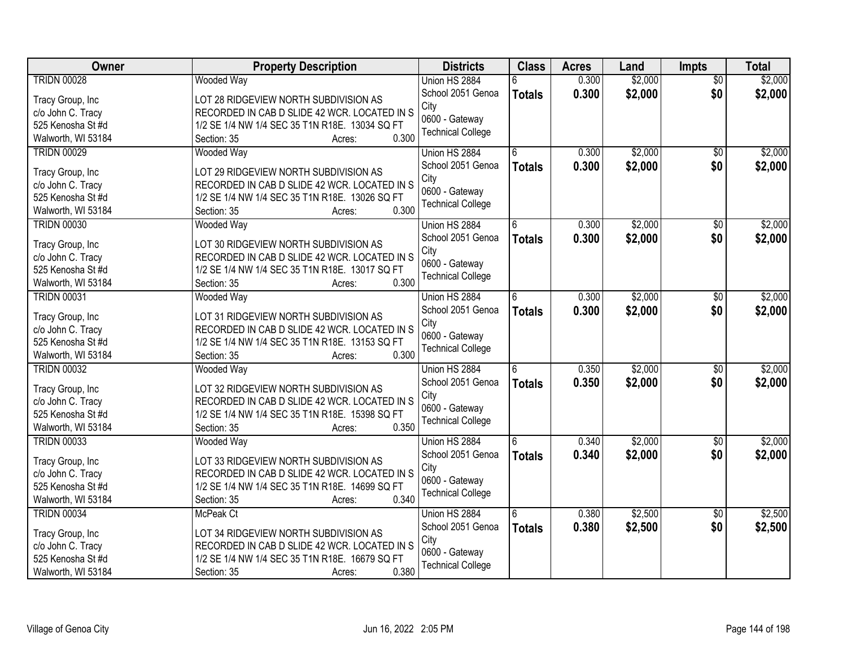| Owner              | <b>Property Description</b>                    | <b>Districts</b>         | <b>Class</b>  | <b>Acres</b> | Land    | Impts           | <b>Total</b> |
|--------------------|------------------------------------------------|--------------------------|---------------|--------------|---------|-----------------|--------------|
| <b>TRIDN 00028</b> | <b>Wooded Way</b>                              | Union HS 2884            | 6             | 0.300        | \$2,000 | $\overline{50}$ | \$2,000      |
| Tracy Group, Inc   | LOT 28 RIDGEVIEW NORTH SUBDIVISION AS          | School 2051 Genoa        | <b>Totals</b> | 0.300        | \$2,000 | \$0             | \$2,000      |
| c/o John C. Tracy  | RECORDED IN CAB D SLIDE 42 WCR. LOCATED IN S   | City                     |               |              |         |                 |              |
| 525 Kenosha St #d  | 1/2 SE 1/4 NW 1/4 SEC 35 T1N R18E. 13034 SQ FT | 0600 - Gateway           |               |              |         |                 |              |
| Walworth, WI 53184 | 0.300<br>Section: 35<br>Acres:                 | <b>Technical College</b> |               |              |         |                 |              |
| <b>TRIDN 00029</b> | <b>Wooded Way</b>                              | Union HS 2884            | 6             | 0.300        | \$2,000 | \$0             | \$2,000      |
|                    |                                                | School 2051 Genoa        |               |              |         |                 |              |
| Tracy Group, Inc   | LOT 29 RIDGEVIEW NORTH SUBDIVISION AS          | City                     | <b>Totals</b> | 0.300        | \$2,000 | \$0             | \$2,000      |
| c/o John C. Tracy  | RECORDED IN CAB D SLIDE 42 WCR. LOCATED IN S   |                          |               |              |         |                 |              |
| 525 Kenosha St #d  | 1/2 SE 1/4 NW 1/4 SEC 35 T1N R18E. 13026 SQ FT | 0600 - Gateway           |               |              |         |                 |              |
| Walworth, WI 53184 | 0.300<br>Section: 35<br>Acres:                 | <b>Technical College</b> |               |              |         |                 |              |
| <b>TRIDN 00030</b> | Wooded Way                                     | Union HS 2884            |               | 0.300        | \$2,000 | $\sqrt[6]{30}$  | \$2,000      |
|                    |                                                | School 2051 Genoa        | <b>Totals</b> | 0.300        | \$2,000 | \$0             | \$2,000      |
| Tracy Group, Inc   | LOT 30 RIDGEVIEW NORTH SUBDIVISION AS          | City                     |               |              |         |                 |              |
| c/o John C. Tracy  | RECORDED IN CAB D SLIDE 42 WCR. LOCATED IN S   | 0600 - Gateway           |               |              |         |                 |              |
| 525 Kenosha St #d  | 1/2 SE 1/4 NW 1/4 SEC 35 T1N R18E. 13017 SQ FT | <b>Technical College</b> |               |              |         |                 |              |
| Walworth, WI 53184 | 0.300<br>Section: 35<br>Acres:                 |                          |               |              |         |                 |              |
| <b>TRIDN 00031</b> | <b>Wooded Way</b>                              | Union HS 2884            | 6             | 0.300        | \$2,000 | $\frac{1}{20}$  | \$2,000      |
| Tracy Group, Inc   | LOT 31 RIDGEVIEW NORTH SUBDIVISION AS          | School 2051 Genoa        | <b>Totals</b> | 0.300        | \$2,000 | \$0             | \$2,000      |
| c/o John C. Tracy  | RECORDED IN CAB D SLIDE 42 WCR. LOCATED IN S   | City                     |               |              |         |                 |              |
| 525 Kenosha St #d  | 1/2 SE 1/4 NW 1/4 SEC 35 T1N R18E. 13153 SQ FT | 0600 - Gateway           |               |              |         |                 |              |
| Walworth, WI 53184 | 0.300<br>Section: 35<br>Acres:                 | <b>Technical College</b> |               |              |         |                 |              |
| <b>TRIDN 00032</b> | <b>Wooded Way</b>                              | Union HS 2884            | 6             | 0.350        | \$2,000 | $\overline{50}$ | \$2,000      |
|                    |                                                | School 2051 Genoa        | <b>Totals</b> | 0.350        | \$2,000 | \$0             | \$2,000      |
| Tracy Group, Inc   | LOT 32 RIDGEVIEW NORTH SUBDIVISION AS          | City                     |               |              |         |                 |              |
| c/o John C. Tracy  | RECORDED IN CAB D SLIDE 42 WCR. LOCATED IN S   | 0600 - Gateway           |               |              |         |                 |              |
| 525 Kenosha St #d  | 1/2 SE 1/4 NW 1/4 SEC 35 T1N R18E. 15398 SQ FT | <b>Technical College</b> |               |              |         |                 |              |
| Walworth, WI 53184 | 0.350<br>Section: 35<br>Acres:                 |                          |               |              |         |                 |              |
| <b>TRIDN 00033</b> | Wooded Way                                     | Union HS 2884            | 6             | 0.340        | \$2,000 | $\overline{60}$ | \$2,000      |
| Tracy Group, Inc   | LOT 33 RIDGEVIEW NORTH SUBDIVISION AS          | School 2051 Genoa        | <b>Totals</b> | 0.340        | \$2,000 | \$0             | \$2,000      |
| c/o John C. Tracy  | RECORDED IN CAB D SLIDE 42 WCR. LOCATED IN S   | City                     |               |              |         |                 |              |
| 525 Kenosha St #d  | 1/2 SE 1/4 NW 1/4 SEC 35 T1N R18E. 14699 SQ FT | 0600 - Gateway           |               |              |         |                 |              |
| Walworth, WI 53184 | 0.340<br>Section: 35<br>Acres:                 | <b>Technical College</b> |               |              |         |                 |              |
| <b>TRIDN 00034</b> | McPeak Ct                                      | Union HS 2884            | 6             | 0.380        | \$2,500 | $\overline{30}$ | \$2,500      |
|                    |                                                | School 2051 Genoa        |               | 0.380        | \$2,500 | \$0             | \$2,500      |
| Tracy Group, Inc   | LOT 34 RIDGEVIEW NORTH SUBDIVISION AS          | City                     | <b>Totals</b> |              |         |                 |              |
| c/o John C. Tracy  | RECORDED IN CAB D SLIDE 42 WCR. LOCATED IN S   | 0600 - Gateway           |               |              |         |                 |              |
| 525 Kenosha St #d  | 1/2 SE 1/4 NW 1/4 SEC 35 T1N R18E. 16679 SQ FT | <b>Technical College</b> |               |              |         |                 |              |
| Walworth, WI 53184 | 0.380<br>Section: 35<br>Acres:                 |                          |               |              |         |                 |              |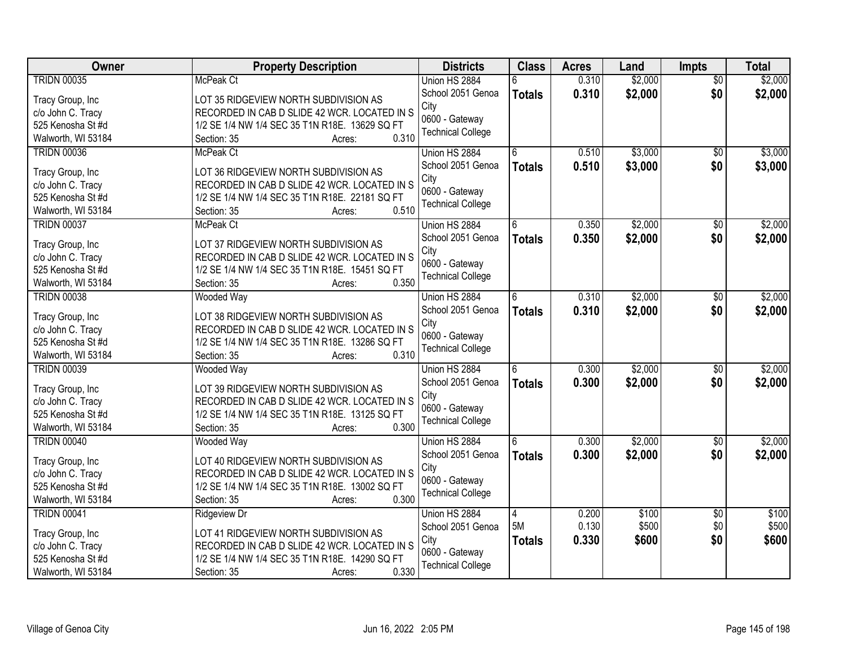| Owner              | <b>Property Description</b>                             | <b>Districts</b>         | <b>Class</b>  | <b>Acres</b> | Land    | Impts           | <b>Total</b> |
|--------------------|---------------------------------------------------------|--------------------------|---------------|--------------|---------|-----------------|--------------|
| <b>TRIDN 00035</b> | McPeak Ct                                               | Union HS 2884            |               | 0.310        | \$2,000 | $\overline{50}$ | \$2,000      |
| Tracy Group, Inc   | LOT 35 RIDGEVIEW NORTH SUBDIVISION AS                   | School 2051 Genoa        | <b>Totals</b> | 0.310        | \$2,000 | \$0             | \$2,000      |
| c/o John C. Tracy  | RECORDED IN CAB D SLIDE 42 WCR. LOCATED IN S            | City                     |               |              |         |                 |              |
| 525 Kenosha St #d  | 1/2 SE 1/4 NW 1/4 SEC 35 T1N R18E. 13629 SQ FT          | 0600 - Gateway           |               |              |         |                 |              |
| Walworth, WI 53184 | 0.310<br>Section: 35<br>Acres:                          | <b>Technical College</b> |               |              |         |                 |              |
| <b>TRIDN 00036</b> | McPeak Ct                                               | Union HS 2884            | 6             | 0.510        | \$3,000 | $\overline{50}$ | \$3,000      |
|                    |                                                         | School 2051 Genoa        |               |              |         |                 |              |
| Tracy Group, Inc   | LOT 36 RIDGEVIEW NORTH SUBDIVISION AS                   | City                     | <b>Totals</b> | 0.510        | \$3,000 | \$0             | \$3,000      |
| c/o John C. Tracy  | RECORDED IN CAB D SLIDE 42 WCR. LOCATED IN S            | 0600 - Gateway           |               |              |         |                 |              |
| 525 Kenosha St #d  | 1/2 SE 1/4 NW 1/4 SEC 35 T1N R18E. 22181 SQ FT          |                          |               |              |         |                 |              |
| Walworth, WI 53184 | 0.510<br>Section: 35<br>Acres:                          | <b>Technical College</b> |               |              |         |                 |              |
| <b>TRIDN 00037</b> | McPeak Ct                                               | Union HS 2884            |               | 0.350        | \$2,000 | \$0             | \$2,000      |
|                    |                                                         | School 2051 Genoa        | <b>Totals</b> | 0.350        | \$2,000 | \$0             | \$2,000      |
| Tracy Group, Inc   | LOT 37 RIDGEVIEW NORTH SUBDIVISION AS                   | City                     |               |              |         |                 |              |
| c/o John C. Tracy  | RECORDED IN CAB D SLIDE 42 WCR. LOCATED IN S            | 0600 - Gateway           |               |              |         |                 |              |
| 525 Kenosha St #d  | 1/2 SE 1/4 NW 1/4 SEC 35 T1N R18E. 15451 SQ FT<br>0.350 | <b>Technical College</b> |               |              |         |                 |              |
| Walworth, WI 53184 | Section: 35<br>Acres:                                   |                          |               |              |         |                 |              |
| <b>TRIDN 00038</b> | <b>Wooded Way</b>                                       | Union HS 2884            | 6             | 0.310        | \$2,000 | \$0             | \$2,000      |
| Tracy Group, Inc   | LOT 38 RIDGEVIEW NORTH SUBDIVISION AS                   | School 2051 Genoa        | <b>Totals</b> | 0.310        | \$2,000 | \$0             | \$2,000      |
| c/o John C. Tracy  | RECORDED IN CAB D SLIDE 42 WCR. LOCATED IN S            | City                     |               |              |         |                 |              |
| 525 Kenosha St #d  | 1/2 SE 1/4 NW 1/4 SEC 35 T1N R18E. 13286 SQ FT          | 0600 - Gateway           |               |              |         |                 |              |
| Walworth, WI 53184 | 0.310<br>Section: 35<br>Acres:                          | <b>Technical College</b> |               |              |         |                 |              |
| <b>TRIDN 00039</b> | Wooded Way                                              | Union HS 2884            | 6             | 0.300        | \$2,000 | \$0             | \$2,000      |
|                    |                                                         | School 2051 Genoa        | <b>Totals</b> | 0.300        | \$2,000 | \$0             | \$2,000      |
| Tracy Group, Inc   | LOT 39 RIDGEVIEW NORTH SUBDIVISION AS                   | City                     |               |              |         |                 |              |
| c/o John C. Tracy  | RECORDED IN CAB D SLIDE 42 WCR. LOCATED IN S            | 0600 - Gateway           |               |              |         |                 |              |
| 525 Kenosha St #d  | 1/2 SE 1/4 NW 1/4 SEC 35 T1N R18E. 13125 SQ FT          | <b>Technical College</b> |               |              |         |                 |              |
| Walworth, WI 53184 | 0.300<br>Section: 35<br>Acres:                          |                          |               |              |         |                 |              |
| <b>TRIDN 00040</b> | Wooded Way                                              | Union HS 2884            | 16            | 0.300        | \$2,000 | $\overline{50}$ | \$2,000      |
| Tracy Group, Inc   | LOT 40 RIDGEVIEW NORTH SUBDIVISION AS                   | School 2051 Genoa        | <b>Totals</b> | 0.300        | \$2,000 | \$0             | \$2,000      |
| c/o John C. Tracy  | RECORDED IN CAB D SLIDE 42 WCR. LOCATED IN S            | City                     |               |              |         |                 |              |
| 525 Kenosha St #d  | 1/2 SE 1/4 NW 1/4 SEC 35 T1N R18E. 13002 SQ FT          | 0600 - Gateway           |               |              |         |                 |              |
| Walworth, WI 53184 | 0.300<br>Section: 35<br>Acres:                          | <b>Technical College</b> |               |              |         |                 |              |
| <b>TRIDN 00041</b> | <b>Ridgeview Dr</b>                                     | Union HS 2884            | 4             | 0.200        | \$100   | $\overline{50}$ | \$100        |
|                    |                                                         | School 2051 Genoa        | 5M            | 0.130        | \$500   | \$0             | \$500        |
| Tracy Group, Inc   | LOT 41 RIDGEVIEW NORTH SUBDIVISION AS                   | City                     | <b>Totals</b> | 0.330        | \$600   | \$0             | \$600        |
| c/o John C. Tracy  | RECORDED IN CAB D SLIDE 42 WCR. LOCATED IN S            | 0600 - Gateway           |               |              |         |                 |              |
| 525 Kenosha St #d  | 1/2 SE 1/4 NW 1/4 SEC 35 T1N R18E. 14290 SQ FT          | <b>Technical College</b> |               |              |         |                 |              |
| Walworth, WI 53184 | 0.330<br>Section: 35<br>Acres:                          |                          |               |              |         |                 |              |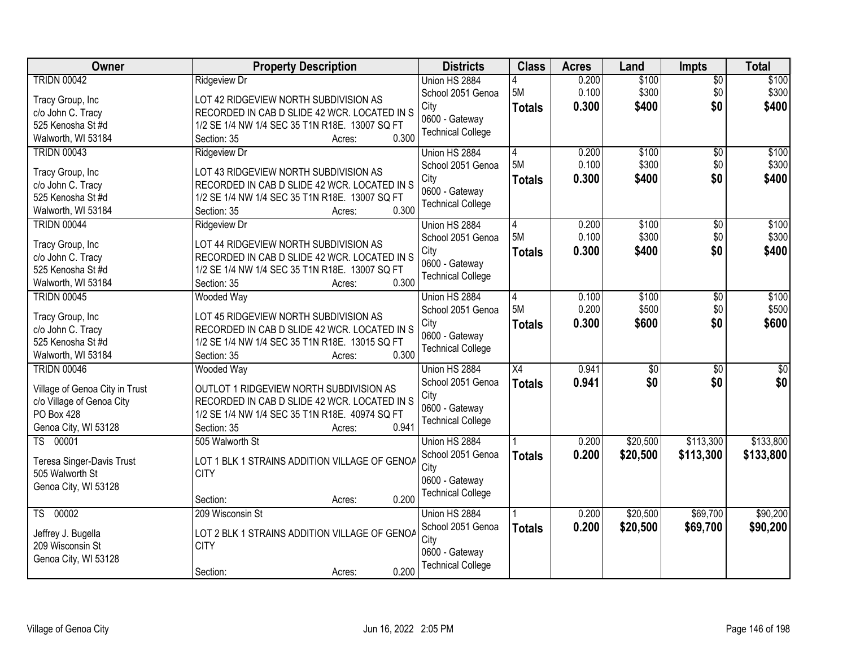| Owner<br><b>Class</b><br><b>Property Description</b><br><b>Districts</b><br><b>Acres</b><br>Land<br><b>Impts</b>                      | <b>Total</b>                 |
|---------------------------------------------------------------------------------------------------------------------------------------|------------------------------|
| <b>TRIDN 00042</b><br>Union HS 2884<br>0.200<br>\$100<br><b>Ridgeview Dr</b>                                                          | \$100<br>$\overline{50}$     |
| 0.100<br>\$300<br>5M<br>School 2051 Genoa<br>LOT 42 RIDGEVIEW NORTH SUBDIVISION AS<br>Tracy Group, Inc                                | \$300<br>\$0                 |
| 0.300<br>City<br>\$400<br><b>Totals</b><br>RECORDED IN CAB D SLIDE 42 WCR. LOCATED IN S<br>c/o John C. Tracy                          | \$0<br>\$400                 |
| 0600 - Gateway<br>525 Kenosha St #d<br>1/2 SE 1/4 NW 1/4 SEC 35 T1N R18E. 13007 SQ FT                                                 |                              |
| <b>Technical College</b><br>0.300<br>Walworth, WI 53184<br>Section: 35<br>Acres:                                                      |                              |
| \$100<br><b>TRIDN 00043</b><br>0.200<br><b>Ridgeview Dr</b><br>Union HS 2884<br>4                                                     | \$100<br>$\overline{50}$     |
| 5M<br>0.100<br>\$300<br>School 2051 Genoa                                                                                             | \$300<br>\$0                 |
| LOT 43 RIDGEVIEW NORTH SUBDIVISION AS<br>Tracy Group, Inc<br>0.300<br>City<br>\$400<br><b>Totals</b>                                  | \$0<br>\$400                 |
| RECORDED IN CAB D SLIDE 42 WCR. LOCATED IN S<br>c/o John C. Tracy<br>0600 - Gateway                                                   |                              |
| 525 Kenosha St #d<br>1/2 SE 1/4 NW 1/4 SEC 35 T1N R18E. 13007 SQ FT<br><b>Technical College</b><br>0.300                              |                              |
| Walworth, WI 53184<br>Section: 35<br>Acres:                                                                                           |                              |
| <b>TRIDN 00044</b><br>Union HS 2884<br>0.200<br>\$100<br><b>Ridgeview Dr</b><br>5M<br>0.100<br>\$300                                  | \$100<br>\$0<br>\$0<br>\$300 |
| School 2051 Genoa<br>LOT 44 RIDGEVIEW NORTH SUBDIVISION AS<br>Tracy Group, Inc<br>City                                                | \$0                          |
| Totals<br>0.300<br>\$400<br>c/o John C. Tracy<br>RECORDED IN CAB D SLIDE 42 WCR. LOCATED IN S<br>0600 - Gateway                       | \$400                        |
| 525 Kenosha St #d<br>1/2 SE 1/4 NW 1/4 SEC 35 T1N R18E. 13007 SQ FT<br><b>Technical College</b>                                       |                              |
| 0.300<br>Section: 35<br>Walworth, WI 53184<br>Acres:                                                                                  |                              |
| <b>TRIDN 00045</b><br>\$100<br><b>Wooded Way</b><br>Union HS 2884<br>0.100<br>4                                                       | \$100<br>\$0                 |
| 5M<br>0.200<br>\$500<br>School 2051 Genoa<br>LOT 45 RIDGEVIEW NORTH SUBDIVISION AS<br>Tracy Group, Inc                                | \$500<br>\$0                 |
| 0.300<br>\$600<br>City<br><b>Totals</b><br>c/o John C. Tracy<br>RECORDED IN CAB D SLIDE 42 WCR. LOCATED IN S                          | \$0<br>\$600                 |
| 0600 - Gateway<br>525 Kenosha St #d<br>1/2 SE 1/4 NW 1/4 SEC 35 T1N R18E. 13015 SQ FT                                                 |                              |
| <b>Technical College</b><br>Walworth, WI 53184<br>0.300<br>Section: 35<br>Acres:                                                      |                              |
| $\overline{X4}$<br>0.941<br>$\overline{50}$<br><b>TRIDN 00046</b><br>Union HS 2884<br>Wooded Way                                      | $\sqrt{50}$<br>\$0           |
| 0.941<br>\$0<br>School 2051 Genoa<br><b>Totals</b>                                                                                    | \$0<br>\$0                   |
| Village of Genoa City in Trust<br>OUTLOT 1 RIDGEVIEW NORTH SUBDIVISION AS<br>City                                                     |                              |
| c/o Village of Genoa City<br>RECORDED IN CAB D SLIDE 42 WCR. LOCATED IN S<br>0600 - Gateway                                           |                              |
| PO Box 428<br>1/2 SE 1/4 NW 1/4 SEC 35 T1N R18E. 40974 SQ FT<br><b>Technical College</b>                                              |                              |
| Genoa City, WI 53128<br>0.941<br>Section: 35<br>Acres:                                                                                |                              |
| TS 00001<br>\$20,500<br>505 Walworth St<br>Union HS 2884<br>0.200                                                                     | \$133,800<br>\$113,300       |
| 0.200<br>\$20,500<br>School 2051 Genoa<br><b>Totals</b><br>LOT 1 BLK 1 STRAINS ADDITION VILLAGE OF GENOA<br>Teresa Singer-Davis Trust | \$113,300<br>\$133,800       |
| City<br>505 Walworth St<br><b>CITY</b>                                                                                                |                              |
| 0600 - Gateway<br>Genoa City, WI 53128<br><b>Technical College</b>                                                                    |                              |
| 0.200<br>Section:<br>Acres:                                                                                                           |                              |
| TS 00002<br>\$20,500<br>209 Wisconsin St<br>Union HS 2884<br>0.200                                                                    | \$69,700<br>\$90,200         |
| 0.200<br>School 2051 Genoa<br>\$20,500<br><b>Totals</b><br>LOT 2 BLK 1 STRAINS ADDITION VILLAGE OF GENOA<br>Jeffrey J. Bugella        | \$69,700<br>\$90,200         |
| City<br>209 Wisconsin St<br><b>CITY</b>                                                                                               |                              |
| 0600 - Gateway<br>Genoa City, WI 53128                                                                                                |                              |
| <b>Technical College</b><br>0.200<br>Section:<br>Acres:                                                                               |                              |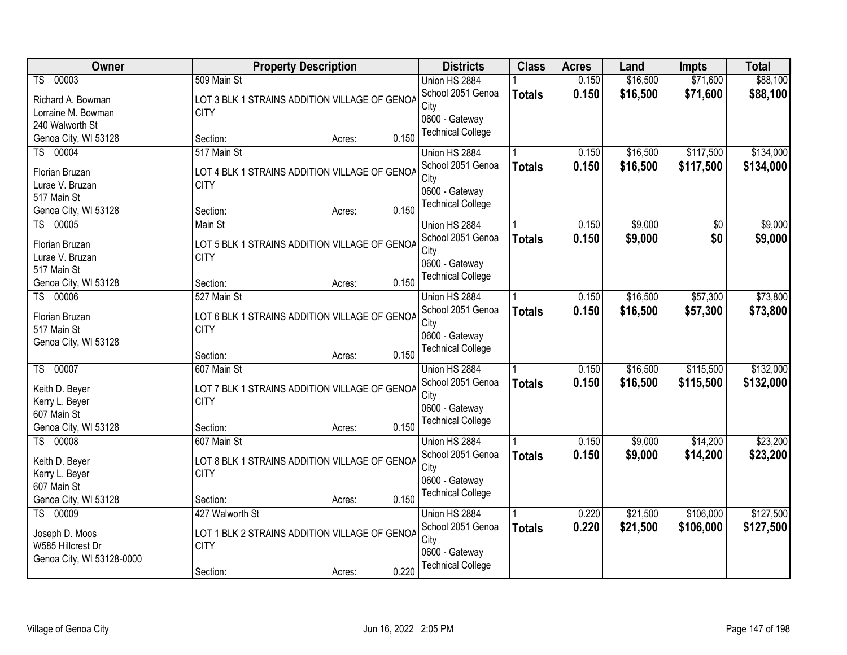| Owner                     |                 | <b>Property Description</b>                   |       | <b>Districts</b>         | <b>Class</b>  | <b>Acres</b> | Land     | <b>Impts</b> | <b>Total</b> |
|---------------------------|-----------------|-----------------------------------------------|-------|--------------------------|---------------|--------------|----------|--------------|--------------|
| TS 00003                  | 509 Main St     |                                               |       | Union HS 2884            |               | 0.150        | \$16,500 | \$71,600     | \$88,100     |
| Richard A. Bowman         |                 | LOT 3 BLK 1 STRAINS ADDITION VILLAGE OF GENOA |       | School 2051 Genoa        | <b>Totals</b> | 0.150        | \$16,500 | \$71,600     | \$88,100     |
| Lorraine M. Bowman        | <b>CITY</b>     |                                               |       | City                     |               |              |          |              |              |
| 240 Walworth St           |                 |                                               |       | 0600 - Gateway           |               |              |          |              |              |
| Genoa City, WI 53128      | Section:        | Acres:                                        | 0.150 | <b>Technical College</b> |               |              |          |              |              |
| TS 00004                  | 517 Main St     |                                               |       | Union HS 2884            |               | 0.150        | \$16,500 | \$117,500    | \$134,000    |
| Florian Bruzan            |                 | LOT 4 BLK 1 STRAINS ADDITION VILLAGE OF GENOA |       | School 2051 Genoa        | <b>Totals</b> | 0.150        | \$16,500 | \$117,500    | \$134,000    |
| Lurae V. Bruzan           | <b>CITY</b>     |                                               |       | City                     |               |              |          |              |              |
| 517 Main St               |                 |                                               |       | 0600 - Gateway           |               |              |          |              |              |
| Genoa City, WI 53128      | Section:        | Acres:                                        | 0.150 | <b>Technical College</b> |               |              |          |              |              |
| TS 00005                  | Main St         |                                               |       | Union HS 2884            |               | 0.150        | \$9,000  | \$0          | \$9,000      |
| Florian Bruzan            |                 | LOT 5 BLK 1 STRAINS ADDITION VILLAGE OF GENOA |       | School 2051 Genoa        | <b>Totals</b> | 0.150        | \$9,000  | \$0          | \$9,000      |
| Lurae V. Bruzan           | <b>CITY</b>     |                                               |       | City                     |               |              |          |              |              |
| 517 Main St               |                 |                                               |       | 0600 - Gateway           |               |              |          |              |              |
| Genoa City, WI 53128      | Section:        | Acres:                                        | 0.150 | <b>Technical College</b> |               |              |          |              |              |
| TS 00006                  | 527 Main St     |                                               |       | Union HS 2884            |               | 0.150        | \$16,500 | \$57,300     | \$73,800     |
| Florian Bruzan            |                 | LOT 6 BLK 1 STRAINS ADDITION VILLAGE OF GENOA |       | School 2051 Genoa        | <b>Totals</b> | 0.150        | \$16,500 | \$57,300     | \$73,800     |
| 517 Main St               | <b>CITY</b>     |                                               |       | City                     |               |              |          |              |              |
| Genoa City, WI 53128      |                 |                                               |       | 0600 - Gateway           |               |              |          |              |              |
|                           | Section:        | Acres:                                        | 0.150 | <b>Technical College</b> |               |              |          |              |              |
| TS 00007                  | 607 Main St     |                                               |       | Union HS 2884            |               | 0.150        | \$16,500 | \$115,500    | \$132,000    |
| Keith D. Beyer            |                 | LOT 7 BLK 1 STRAINS ADDITION VILLAGE OF GENOA |       | School 2051 Genoa        | <b>Totals</b> | 0.150        | \$16,500 | \$115,500    | \$132,000    |
| Kerry L. Beyer            | <b>CITY</b>     |                                               |       | City                     |               |              |          |              |              |
| 607 Main St               |                 |                                               |       | 0600 - Gateway           |               |              |          |              |              |
| Genoa City, WI 53128      | Section:        | Acres:                                        | 0.150 | <b>Technical College</b> |               |              |          |              |              |
| TS 00008                  | 607 Main St     |                                               |       | Union HS 2884            |               | 0.150        | \$9,000  | \$14,200     | \$23,200     |
| Keith D. Beyer            |                 | LOT 8 BLK 1 STRAINS ADDITION VILLAGE OF GENOA |       | School 2051 Genoa        | <b>Totals</b> | 0.150        | \$9,000  | \$14,200     | \$23,200     |
| Kerry L. Beyer            | <b>CITY</b>     |                                               |       | City                     |               |              |          |              |              |
| 607 Main St               |                 |                                               |       | 0600 - Gateway           |               |              |          |              |              |
| Genoa City, WI 53128      | Section:        | Acres:                                        | 0.150 | <b>Technical College</b> |               |              |          |              |              |
| TS 00009                  | 427 Walworth St |                                               |       | Union HS 2884            |               | 0.220        | \$21,500 | \$106,000    | \$127,500    |
| Joseph D. Moos            |                 | LOT 1 BLK 2 STRAINS ADDITION VILLAGE OF GENOA |       | School 2051 Genoa        | <b>Totals</b> | 0.220        | \$21,500 | \$106,000    | \$127,500    |
| W585 Hillcrest Dr         | <b>CITY</b>     |                                               |       | City                     |               |              |          |              |              |
| Genoa City, WI 53128-0000 |                 |                                               |       | 0600 - Gateway           |               |              |          |              |              |
|                           | Section:        | Acres:                                        | 0.220 | <b>Technical College</b> |               |              |          |              |              |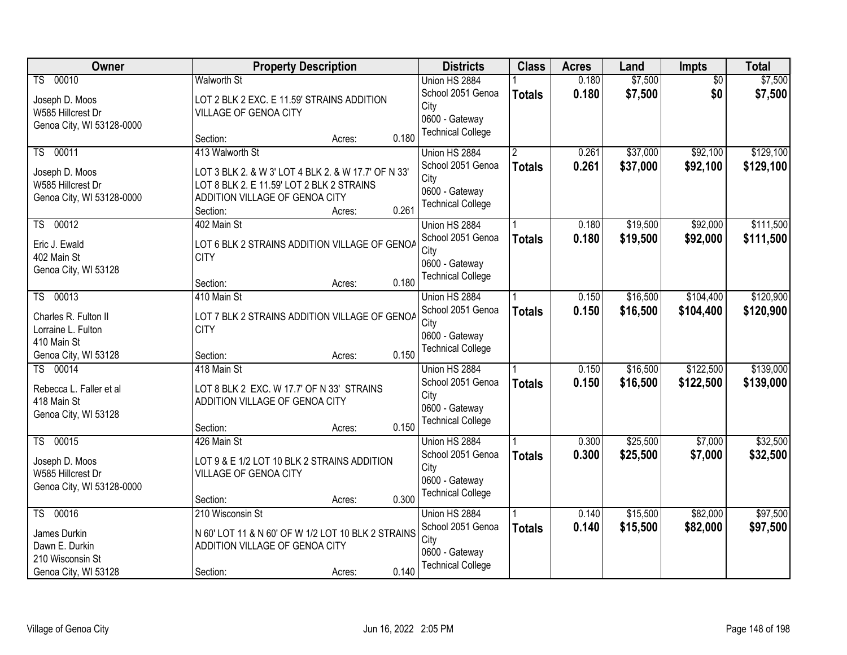| Owner                             | <b>Property Description</b>                                  | <b>Districts</b>         | <b>Class</b>  | <b>Acres</b> | Land     | Impts           | <b>Total</b> |
|-----------------------------------|--------------------------------------------------------------|--------------------------|---------------|--------------|----------|-----------------|--------------|
| TS 00010                          | <b>Walworth St</b>                                           | Union HS 2884            |               | 0.180        | \$7,500  | $\overline{50}$ | \$7,500      |
| Joseph D. Moos                    | LOT 2 BLK 2 EXC. E 11.59' STRAINS ADDITION                   | School 2051 Genoa        | <b>Totals</b> | 0.180        | \$7,500  | \$0             | \$7,500      |
| W585 Hillcrest Dr                 | VILLAGE OF GENOA CITY                                        | City                     |               |              |          |                 |              |
| Genoa City, WI 53128-0000         |                                                              | 0600 - Gateway           |               |              |          |                 |              |
|                                   | 0.180<br>Section:<br>Acres:                                  | <b>Technical College</b> |               |              |          |                 |              |
| TS 00011                          | 413 Walworth St                                              | Union HS 2884            |               | 0.261        | \$37,000 | \$92,100        | \$129,100    |
| Joseph D. Moos                    | LOT 3 BLK 2. & W 3' LOT 4 BLK 2. & W 17.7' OF N 33'          | School 2051 Genoa        | <b>Totals</b> | 0.261        | \$37,000 | \$92,100        | \$129,100    |
| W585 Hillcrest Dr                 | LOT 8 BLK 2. E 11.59' LOT 2 BLK 2 STRAINS                    | City                     |               |              |          |                 |              |
| Genoa City, WI 53128-0000         | ADDITION VILLAGE OF GENOA CITY                               | 0600 - Gateway           |               |              |          |                 |              |
|                                   | 0.261<br>Section:<br>Acres:                                  | <b>Technical College</b> |               |              |          |                 |              |
| TS 00012                          | 402 Main St                                                  | Union HS 2884            |               | 0.180        | \$19,500 | \$92,000        | \$111,500    |
| Eric J. Ewald                     | LOT 6 BLK 2 STRAINS ADDITION VILLAGE OF GENOA                | School 2051 Genoa        | <b>Totals</b> | 0.180        | \$19,500 | \$92,000        | \$111,500    |
| 402 Main St                       | <b>CITY</b>                                                  | City                     |               |              |          |                 |              |
| Genoa City, WI 53128              |                                                              | 0600 - Gateway           |               |              |          |                 |              |
|                                   | 0.180<br>Section:<br>Acres:                                  | <b>Technical College</b> |               |              |          |                 |              |
| TS 00013                          | 410 Main St                                                  | Union HS 2884            |               | 0.150        | \$16,500 | \$104,400       | \$120,900    |
|                                   |                                                              | School 2051 Genoa        | <b>Totals</b> | 0.150        | \$16,500 | \$104,400       | \$120,900    |
| Charles R. Fulton II              | LOT 7 BLK 2 STRAINS ADDITION VILLAGE OF GENOA<br><b>CITY</b> | City                     |               |              |          |                 |              |
| Lorraine L. Fulton<br>410 Main St |                                                              | 0600 - Gateway           |               |              |          |                 |              |
| Genoa City, WI 53128              | 0.150<br>Section:<br>Acres:                                  | <b>Technical College</b> |               |              |          |                 |              |
| TS 00014                          | 418 Main St                                                  | Union HS 2884            |               | 0.150        | \$16,500 | \$122,500       | \$139,000    |
|                                   |                                                              | School 2051 Genoa        | <b>Totals</b> | 0.150        | \$16,500 | \$122,500       | \$139,000    |
| Rebecca L. Faller et al           | LOT 8 BLK 2 EXC. W 17.7' OF N 33' STRAINS                    | City                     |               |              |          |                 |              |
| 418 Main St                       | ADDITION VILLAGE OF GENOA CITY                               | 0600 - Gateway           |               |              |          |                 |              |
| Genoa City, WI 53128              |                                                              | <b>Technical College</b> |               |              |          |                 |              |
|                                   | 0.150<br>Section:<br>Acres:                                  |                          |               |              |          |                 |              |
| TS 00015                          | 426 Main St                                                  | Union HS 2884            |               | 0.300        | \$25,500 | \$7,000         | \$32,500     |
| Joseph D. Moos                    | LOT 9 & E 1/2 LOT 10 BLK 2 STRAINS ADDITION                  | School 2051 Genoa        | <b>Totals</b> | 0.300        | \$25,500 | \$7,000         | \$32,500     |
| W585 Hillcrest Dr                 | VILLAGE OF GENOA CITY                                        | City<br>0600 - Gateway   |               |              |          |                 |              |
| Genoa City, WI 53128-0000         |                                                              | <b>Technical College</b> |               |              |          |                 |              |
|                                   | 0.300<br>Section:<br>Acres:                                  |                          |               |              |          |                 |              |
| TS 00016                          | 210 Wisconsin St                                             | Union HS 2884            |               | 0.140        | \$15,500 | \$82,000        | \$97,500     |
| James Durkin                      | N 60' LOT 11 & N 60' OF W 1/2 LOT 10 BLK 2 STRAINS           | School 2051 Genoa        | <b>Totals</b> | 0.140        | \$15,500 | \$82,000        | \$97,500     |
| Dawn E. Durkin                    | ADDITION VILLAGE OF GENOA CITY                               | City                     |               |              |          |                 |              |
| 210 Wisconsin St                  |                                                              | 0600 - Gateway           |               |              |          |                 |              |
| Genoa City, WI 53128              | 0.140<br>Section:<br>Acres:                                  | <b>Technical College</b> |               |              |          |                 |              |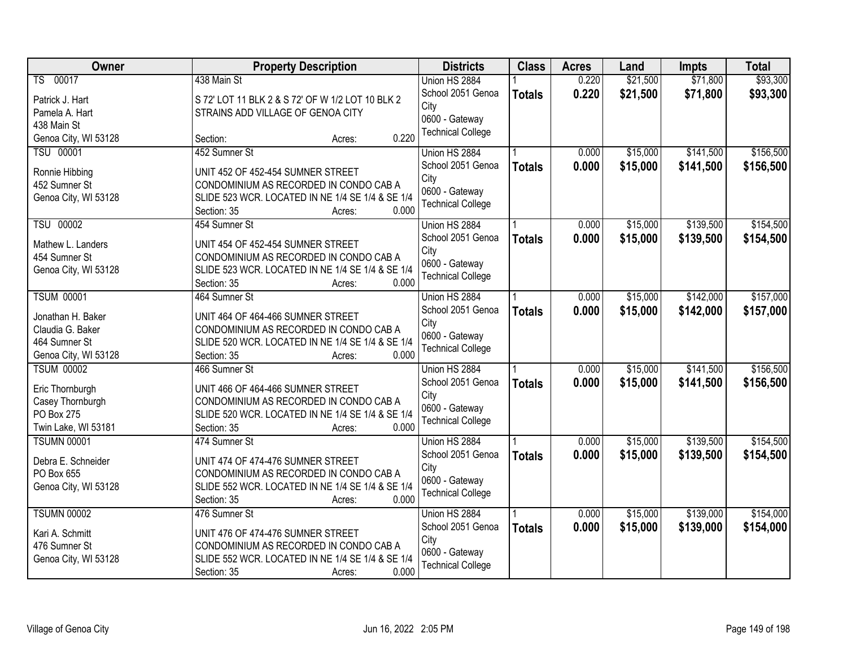| Owner                           | <b>Property Description</b>                                                                | <b>Districts</b>         | <b>Class</b>  | <b>Acres</b> | Land     | <b>Impts</b> | <b>Total</b> |
|---------------------------------|--------------------------------------------------------------------------------------------|--------------------------|---------------|--------------|----------|--------------|--------------|
| TS 00017                        | 438 Main St                                                                                | Union HS 2884            |               | 0.220        | \$21,500 | \$71,800     | \$93,300     |
| Patrick J. Hart                 | S 72' LOT 11 BLK 2 & S 72' OF W 1/2 LOT 10 BLK 2                                           | School 2051 Genoa        | <b>Totals</b> | 0.220        | \$21,500 | \$71,800     | \$93,300     |
| Pamela A. Hart                  | STRAINS ADD VILLAGE OF GENOA CITY                                                          | City                     |               |              |          |              |              |
| 438 Main St                     |                                                                                            | 0600 - Gateway           |               |              |          |              |              |
| Genoa City, WI 53128            | 0.220<br>Section:<br>Acres:                                                                | <b>Technical College</b> |               |              |          |              |              |
| <b>TSU 00001</b>                | 452 Sumner St                                                                              | Union HS 2884            |               | 0.000        | \$15,000 | \$141,500    | \$156,500    |
|                                 |                                                                                            | School 2051 Genoa        | <b>Totals</b> | 0.000        | \$15,000 | \$141,500    | \$156,500    |
| Ronnie Hibbing<br>452 Sumner St | UNIT 452 OF 452-454 SUMNER STREET<br>CONDOMINIUM AS RECORDED IN CONDO CAB A                | City                     |               |              |          |              |              |
| Genoa City, WI 53128            | SLIDE 523 WCR. LOCATED IN NE 1/4 SE 1/4 & SE 1/4                                           | 0600 - Gateway           |               |              |          |              |              |
|                                 | 0.000<br>Section: 35<br>Acres:                                                             | <b>Technical College</b> |               |              |          |              |              |
| <b>TSU 00002</b>                | 454 Sumner St                                                                              | Union HS 2884            |               | 0.000        | \$15,000 | \$139,500    | \$154,500    |
|                                 |                                                                                            | School 2051 Genoa        | <b>Totals</b> | 0.000        | \$15,000 | \$139,500    | \$154,500    |
| Mathew L. Landers               | UNIT 454 OF 452-454 SUMNER STREET                                                          | City                     |               |              |          |              |              |
| 454 Sumner St                   | CONDOMINIUM AS RECORDED IN CONDO CAB A                                                     | 0600 - Gateway           |               |              |          |              |              |
| Genoa City, WI 53128            | SLIDE 523 WCR. LOCATED IN NE 1/4 SE 1/4 & SE 1/4                                           | <b>Technical College</b> |               |              |          |              |              |
|                                 | 0.000<br>Section: 35<br>Acres:                                                             |                          |               |              |          |              |              |
| <b>TSUM 00001</b>               | 464 Sumner St                                                                              | Union HS 2884            |               | 0.000        | \$15,000 | \$142,000    | \$157,000    |
| Jonathan H. Baker               | UNIT 464 OF 464-466 SUMNER STREET                                                          | School 2051 Genoa        | <b>Totals</b> | 0.000        | \$15,000 | \$142,000    | \$157,000    |
| Claudia G. Baker                | CONDOMINIUM AS RECORDED IN CONDO CAB A                                                     | City                     |               |              |          |              |              |
| 464 Sumner St                   | SLIDE 520 WCR. LOCATED IN NE 1/4 SE 1/4 & SE 1/4                                           | 0600 - Gateway           |               |              |          |              |              |
| Genoa City, WI 53128            | 0.000<br>Section: 35<br>Acres:                                                             | <b>Technical College</b> |               |              |          |              |              |
| <b>TSUM 00002</b>               | 466 Sumner St                                                                              | Union HS 2884            |               | 0.000        | \$15,000 | \$141,500    | \$156,500    |
|                                 |                                                                                            | School 2051 Genoa        | <b>Totals</b> | 0.000        | \$15,000 | \$141,500    | \$156,500    |
| Eric Thornburgh                 | UNIT 466 OF 464-466 SUMNER STREET                                                          | City                     |               |              |          |              |              |
| Casey Thornburgh<br>PO Box 275  | CONDOMINIUM AS RECORDED IN CONDO CAB A<br>SLIDE 520 WCR. LOCATED IN NE 1/4 SE 1/4 & SE 1/4 | 0600 - Gateway           |               |              |          |              |              |
| Twin Lake, WI 53181             | 0.000<br>Section: 35<br>Acres:                                                             | <b>Technical College</b> |               |              |          |              |              |
| <b>TSUMN 00001</b>              | 474 Sumner St                                                                              | Union HS 2884            |               | 0.000        | \$15,000 | \$139,500    | \$154,500    |
|                                 |                                                                                            | School 2051 Genoa        |               | 0.000        | \$15,000 | \$139,500    | \$154,500    |
| Debra E. Schneider              | UNIT 474 OF 474-476 SUMNER STREET                                                          | City                     | <b>Totals</b> |              |          |              |              |
| PO Box 655                      | CONDOMINIUM AS RECORDED IN CONDO CAB A                                                     | 0600 - Gateway           |               |              |          |              |              |
| Genoa City, WI 53128            | SLIDE 552 WCR. LOCATED IN NE 1/4 SE 1/4 & SE 1/4                                           | <b>Technical College</b> |               |              |          |              |              |
|                                 | 0.000<br>Section: 35<br>Acres:                                                             |                          |               |              |          |              |              |
| <b>TSUMN 00002</b>              | 476 Sumner St                                                                              | Union HS 2884            |               | 0.000        | \$15,000 | \$139,000    | \$154,000    |
| Kari A. Schmitt                 | UNIT 476 OF 474-476 SUMNER STREET                                                          | School 2051 Genoa        | <b>Totals</b> | 0.000        | \$15,000 | \$139,000    | \$154,000    |
| 476 Sumner St                   | CONDOMINIUM AS RECORDED IN CONDO CAB A                                                     | City                     |               |              |          |              |              |
| Genoa City, WI 53128            | SLIDE 552 WCR. LOCATED IN NE 1/4 SE 1/4 & SE 1/4                                           | 0600 - Gateway           |               |              |          |              |              |
|                                 | 0.000<br>Section: 35<br>Acres:                                                             | <b>Technical College</b> |               |              |          |              |              |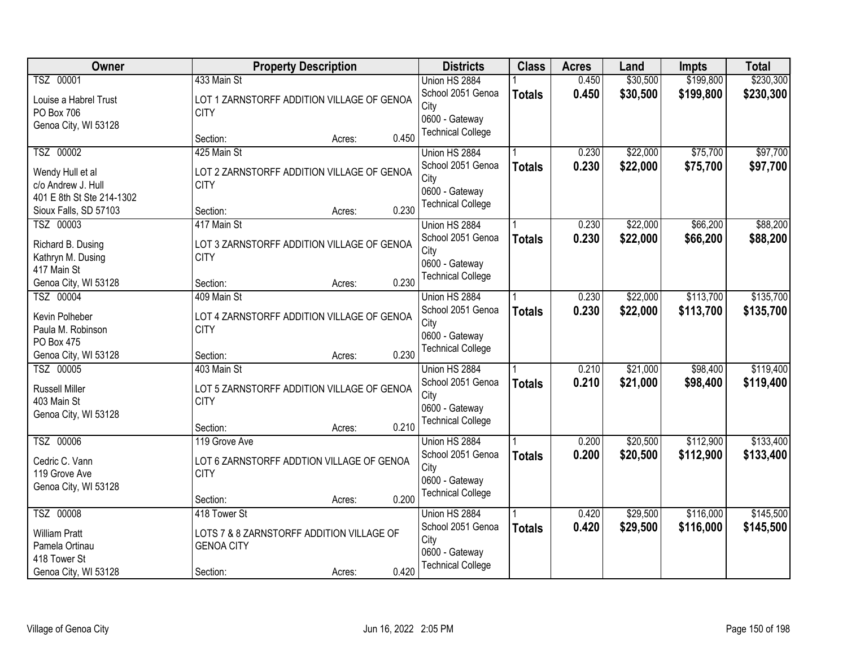| Owner                     |                                            | <b>Property Description</b> |       | <b>Districts</b>         | <b>Class</b>  | <b>Acres</b> | Land     | <b>Impts</b> | <b>Total</b> |
|---------------------------|--------------------------------------------|-----------------------------|-------|--------------------------|---------------|--------------|----------|--------------|--------------|
| TSZ 00001                 | 433 Main St                                |                             |       | Union HS 2884            |               | 0.450        | \$30,500 | \$199,800    | \$230,300    |
| Louise a Habrel Trust     | LOT 1 ZARNSTORFF ADDITION VILLAGE OF GENOA |                             |       | School 2051 Genoa        | <b>Totals</b> | 0.450        | \$30,500 | \$199,800    | \$230,300    |
| PO Box 706                | <b>CITY</b>                                |                             |       | City                     |               |              |          |              |              |
| Genoa City, WI 53128      |                                            |                             |       | 0600 - Gateway           |               |              |          |              |              |
|                           | Section:                                   | Acres:                      | 0.450 | <b>Technical College</b> |               |              |          |              |              |
| TSZ 00002                 | 425 Main St                                |                             |       | Union HS 2884            |               | 0.230        | \$22,000 | \$75,700     | \$97,700     |
| Wendy Hull et al          | LOT 2 ZARNSTORFF ADDITION VILLAGE OF GENOA |                             |       | School 2051 Genoa        | <b>Totals</b> | 0.230        | \$22,000 | \$75,700     | \$97,700     |
| c/o Andrew J. Hull        | <b>CITY</b>                                |                             |       | City                     |               |              |          |              |              |
| 401 E 8th St Ste 214-1302 |                                            |                             |       | 0600 - Gateway           |               |              |          |              |              |
| Sioux Falls, SD 57103     | Section:                                   | Acres:                      | 0.230 | <b>Technical College</b> |               |              |          |              |              |
| TSZ 00003                 | 417 Main St                                |                             |       | Union HS 2884            |               | 0.230        | \$22,000 | \$66,200     | \$88,200     |
| Richard B. Dusing         | LOT 3 ZARNSTORFF ADDITION VILLAGE OF GENOA |                             |       | School 2051 Genoa        | <b>Totals</b> | 0.230        | \$22,000 | \$66,200     | \$88,200     |
| Kathryn M. Dusing         | <b>CITY</b>                                |                             |       | City                     |               |              |          |              |              |
| 417 Main St               |                                            |                             |       | 0600 - Gateway           |               |              |          |              |              |
| Genoa City, WI 53128      | Section:                                   | Acres:                      | 0.230 | <b>Technical College</b> |               |              |          |              |              |
| TSZ 00004                 | 409 Main St                                |                             |       | Union HS 2884            |               | 0.230        | \$22,000 | \$113,700    | \$135,700    |
| Kevin Polheber            | LOT 4 ZARNSTORFF ADDITION VILLAGE OF GENOA |                             |       | School 2051 Genoa        | <b>Totals</b> | 0.230        | \$22,000 | \$113,700    | \$135,700    |
| Paula M. Robinson         | <b>CITY</b>                                |                             |       | City                     |               |              |          |              |              |
| PO Box 475                |                                            |                             |       | 0600 - Gateway           |               |              |          |              |              |
| Genoa City, WI 53128      | Section:                                   | Acres:                      | 0.230 | <b>Technical College</b> |               |              |          |              |              |
| TSZ 00005                 | 403 Main St                                |                             |       | Union HS 2884            |               | 0.210        | \$21,000 | \$98,400     | \$119,400    |
| <b>Russell Miller</b>     | LOT 5 ZARNSTORFF ADDITION VILLAGE OF GENOA |                             |       | School 2051 Genoa        | <b>Totals</b> | 0.210        | \$21,000 | \$98,400     | \$119,400    |
| 403 Main St               | <b>CITY</b>                                |                             |       | City                     |               |              |          |              |              |
| Genoa City, WI 53128      |                                            |                             |       | 0600 - Gateway           |               |              |          |              |              |
|                           | Section:                                   | Acres:                      | 0.210 | <b>Technical College</b> |               |              |          |              |              |
| TSZ 00006                 | 119 Grove Ave                              |                             |       | Union HS 2884            |               | 0.200        | \$20,500 | \$112,900    | \$133,400    |
| Cedric C. Vann            | LOT 6 ZARNSTORFF ADDTION VILLAGE OF GENOA  |                             |       | School 2051 Genoa        | <b>Totals</b> | 0.200        | \$20,500 | \$112,900    | \$133,400    |
| 119 Grove Ave             | <b>CITY</b>                                |                             |       | City                     |               |              |          |              |              |
| Genoa City, WI 53128      |                                            |                             |       | 0600 - Gateway           |               |              |          |              |              |
|                           | Section:                                   | Acres:                      | 0.200 | <b>Technical College</b> |               |              |          |              |              |
| TSZ 00008                 | 418 Tower St                               |                             |       | Union HS 2884            |               | 0.420        | \$29,500 | \$116,000    | \$145,500    |
| <b>William Pratt</b>      | LOTS 7 & 8 ZARNSTORFF ADDITION VILLAGE OF  |                             |       | School 2051 Genoa        | <b>Totals</b> | 0.420        | \$29,500 | \$116,000    | \$145,500    |
| Pamela Ortinau            | <b>GENOA CITY</b>                          |                             |       | City                     |               |              |          |              |              |
| 418 Tower St              |                                            |                             |       | 0600 - Gateway           |               |              |          |              |              |
| Genoa City, WI 53128      | Section:                                   | Acres:                      | 0.420 | <b>Technical College</b> |               |              |          |              |              |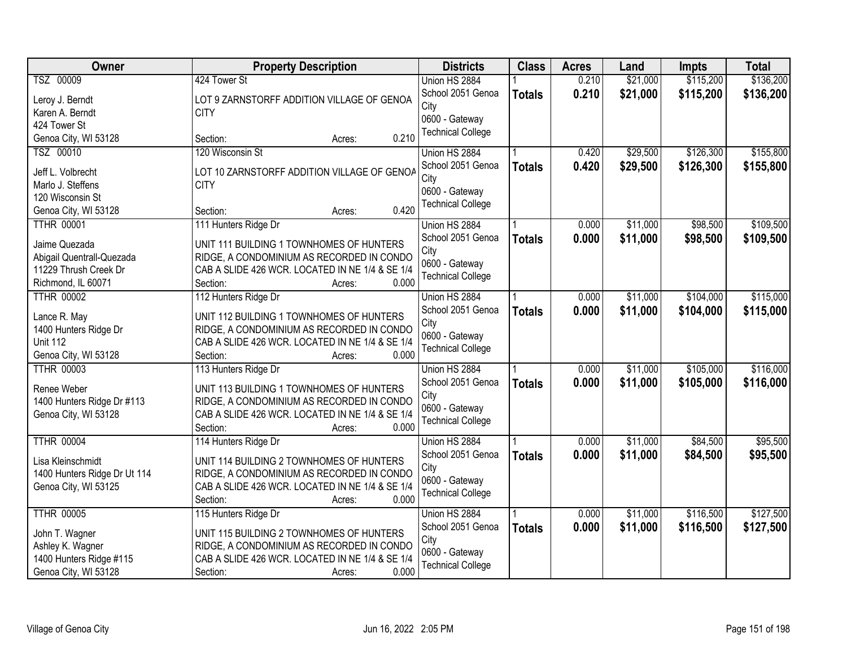| Owner                        | <b>Property Description</b>                     | <b>Districts</b>          | <b>Class</b>  | <b>Acres</b> | Land     | Impts     | <b>Total</b> |
|------------------------------|-------------------------------------------------|---------------------------|---------------|--------------|----------|-----------|--------------|
| TSZ 00009                    | 424 Tower St                                    | Union HS 2884             |               | 0.210        | \$21,000 | \$115,200 | \$136,200    |
| Leroy J. Berndt              | LOT 9 ZARNSTORFF ADDITION VILLAGE OF GENOA      | School 2051 Genoa         | <b>Totals</b> | 0.210        | \$21,000 | \$115,200 | \$136,200    |
| Karen A. Berndt              | <b>CITY</b>                                     | City                      |               |              |          |           |              |
| 424 Tower St                 |                                                 | 0600 - Gateway            |               |              |          |           |              |
| Genoa City, WI 53128         | 0.210<br>Section:<br>Acres:                     | <b>Technical College</b>  |               |              |          |           |              |
| TSZ 00010                    | 120 Wisconsin St                                | Union HS 2884             |               | 0.420        | \$29,500 | \$126,300 | \$155,800    |
|                              |                                                 | School 2051 Genoa         | <b>Totals</b> | 0.420        | \$29,500 | \$126,300 | \$155,800    |
| Jeff L. Volbrecht            | LOT 10 ZARNSTORFF ADDITION VILLAGE OF GENOA     | City                      |               |              |          |           |              |
| Marlo J. Steffens            | <b>CITY</b>                                     | 0600 - Gateway            |               |              |          |           |              |
| 120 Wisconsin St             |                                                 | <b>Technical College</b>  |               |              |          |           |              |
| Genoa City, WI 53128         | 0.420<br>Section:<br>Acres:                     |                           |               |              |          |           |              |
| <b>TTHR 00001</b>            | 111 Hunters Ridge Dr                            | Union HS 2884             |               | 0.000        | \$11,000 | \$98,500  | \$109,500    |
| Jaime Quezada                | UNIT 111 BUILDING 1 TOWNHOMES OF HUNTERS        | School 2051 Genoa         | <b>Totals</b> | 0.000        | \$11,000 | \$98,500  | \$109,500    |
| Abigail Quentrall-Quezada    | RIDGE, A CONDOMINIUM AS RECORDED IN CONDO       | City                      |               |              |          |           |              |
| 11229 Thrush Creek Dr        | CAB A SLIDE 426 WCR. LOCATED IN NE 1/4 & SE 1/4 | 0600 - Gateway            |               |              |          |           |              |
| Richmond, IL 60071           | Section:<br>0.000<br>Acres:                     | <b>Technical College</b>  |               |              |          |           |              |
| <b>TTHR 00002</b>            | 112 Hunters Ridge Dr                            | Union HS 2884             |               | 0.000        | \$11,000 | \$104,000 | \$115,000    |
|                              |                                                 | School 2051 Genoa         | <b>Totals</b> | 0.000        | \$11,000 | \$104,000 | \$115,000    |
| Lance R. May                 | UNIT 112 BUILDING 1 TOWNHOMES OF HUNTERS        | City                      |               |              |          |           |              |
| 1400 Hunters Ridge Dr        | RIDGE, A CONDOMINIUM AS RECORDED IN CONDO       | 0600 - Gateway            |               |              |          |           |              |
| <b>Unit 112</b>              | CAB A SLIDE 426 WCR. LOCATED IN NE 1/4 & SE 1/4 | <b>Technical College</b>  |               |              |          |           |              |
| Genoa City, WI 53128         | 0.000<br>Section:<br>Acres:                     |                           |               |              |          |           |              |
| <b>TTHR 00003</b>            | 113 Hunters Ridge Dr                            | Union HS 2884             |               | 0.000        | \$11,000 | \$105,000 | \$116,000    |
| Renee Weber                  | UNIT 113 BUILDING 1 TOWNHOMES OF HUNTERS        | School 2051 Genoa         | <b>Totals</b> | 0.000        | \$11,000 | \$105,000 | \$116,000    |
| 1400 Hunters Ridge Dr #113   | RIDGE, A CONDOMINIUM AS RECORDED IN CONDO       | City                      |               |              |          |           |              |
| Genoa City, WI 53128         | CAB A SLIDE 426 WCR. LOCATED IN NE 1/4 & SE 1/4 | 0600 - Gateway            |               |              |          |           |              |
|                              | Section:<br>0.000<br>Acres:                     | <b>Technical College</b>  |               |              |          |           |              |
| <b>TTHR 00004</b>            | 114 Hunters Ridge Dr                            | Union HS 2884             |               | 0.000        | \$11,000 | \$84,500  | \$95,500     |
|                              |                                                 |                           |               |              |          |           |              |
| Lisa Kleinschmidt            | UNIT 114 BUILDING 2 TOWNHOMES OF HUNTERS        | School 2051 Genoa<br>City | <b>Totals</b> | 0.000        | \$11,000 | \$84,500  | \$95,500     |
| 1400 Hunters Ridge Dr Ut 114 | RIDGE, A CONDOMINIUM AS RECORDED IN CONDO       | 0600 - Gateway            |               |              |          |           |              |
| Genoa City, WI 53125         | CAB A SLIDE 426 WCR. LOCATED IN NE 1/4 & SE 1/4 |                           |               |              |          |           |              |
|                              | 0.000<br>Section:<br>Acres:                     | <b>Technical College</b>  |               |              |          |           |              |
| <b>TTHR 00005</b>            | 115 Hunters Ridge Dr                            | Union HS 2884             |               | 0.000        | \$11,000 | \$116,500 | \$127,500    |
|                              |                                                 | School 2051 Genoa         | <b>Totals</b> | 0.000        | \$11,000 | \$116,500 | \$127,500    |
| John T. Wagner               | UNIT 115 BUILDING 2 TOWNHOMES OF HUNTERS        | City                      |               |              |          |           |              |
| Ashley K. Wagner             | RIDGE, A CONDOMINIUM AS RECORDED IN CONDO       | 0600 - Gateway            |               |              |          |           |              |
| 1400 Hunters Ridge #115      | CAB A SLIDE 426 WCR. LOCATED IN NE 1/4 & SE 1/4 | <b>Technical College</b>  |               |              |          |           |              |
| Genoa City, WI 53128         | 0.000<br>Section:<br>Acres:                     |                           |               |              |          |           |              |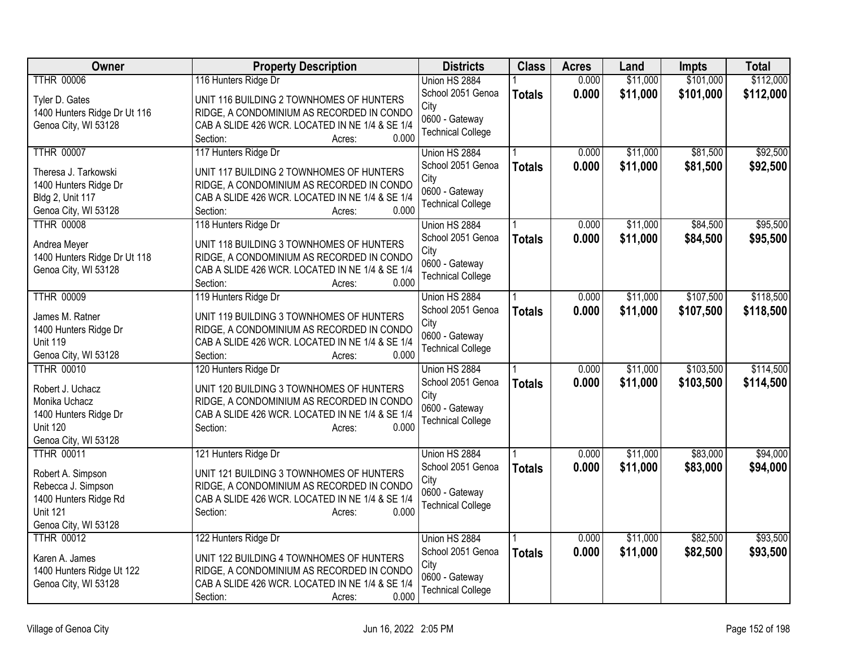| Owner                                        | <b>Property Description</b>                                                           | <b>Districts</b>         | <b>Class</b>  | <b>Acres</b> | Land     | <b>Impts</b> | <b>Total</b> |
|----------------------------------------------|---------------------------------------------------------------------------------------|--------------------------|---------------|--------------|----------|--------------|--------------|
| <b>TTHR 00006</b>                            | 116 Hunters Ridge Dr                                                                  | Union HS 2884            |               | 0.000        | \$11,000 | \$101,000    | \$112,000    |
| Tyler D. Gates                               | UNIT 116 BUILDING 2 TOWNHOMES OF HUNTERS                                              | School 2051 Genoa        | <b>Totals</b> | 0.000        | \$11,000 | \$101,000    | \$112,000    |
| 1400 Hunters Ridge Dr Ut 116                 | RIDGE, A CONDOMINIUM AS RECORDED IN CONDO                                             | City                     |               |              |          |              |              |
| Genoa City, WI 53128                         | CAB A SLIDE 426 WCR. LOCATED IN NE 1/4 & SE 1/4                                       | 0600 - Gateway           |               |              |          |              |              |
|                                              | Section:<br>0.000<br>Acres:                                                           | <b>Technical College</b> |               |              |          |              |              |
| <b>TTHR 00007</b>                            | 117 Hunters Ridge Dr                                                                  | Union HS 2884            |               | 0.000        | \$11,000 | \$81,500     | \$92,500     |
| Theresa J. Tarkowski                         | UNIT 117 BUILDING 2 TOWNHOMES OF HUNTERS                                              | School 2051 Genoa        | <b>Totals</b> | 0.000        | \$11,000 | \$81,500     | \$92,500     |
| 1400 Hunters Ridge Dr                        | RIDGE, A CONDOMINIUM AS RECORDED IN CONDO                                             | City                     |               |              |          |              |              |
| <b>Bldg 2, Unit 117</b>                      | CAB A SLIDE 426 WCR. LOCATED IN NE 1/4 & SE 1/4                                       | 0600 - Gateway           |               |              |          |              |              |
| Genoa City, WI 53128                         | 0.000<br>Section:<br>Acres:                                                           | <b>Technical College</b> |               |              |          |              |              |
| <b>TTHR 00008</b>                            | 118 Hunters Ridge Dr                                                                  | Union HS 2884            |               | 0.000        | \$11,000 | \$84,500     | \$95,500     |
|                                              |                                                                                       | School 2051 Genoa        | <b>Totals</b> | 0.000        | \$11,000 | \$84,500     | \$95,500     |
| Andrea Meyer<br>1400 Hunters Ridge Dr Ut 118 | UNIT 118 BUILDING 3 TOWNHOMES OF HUNTERS<br>RIDGE, A CONDOMINIUM AS RECORDED IN CONDO | City                     |               |              |          |              |              |
| Genoa City, WI 53128                         | CAB A SLIDE 426 WCR. LOCATED IN NE 1/4 & SE 1/4                                       | 0600 - Gateway           |               |              |          |              |              |
|                                              | Section:<br>0.000<br>Acres:                                                           | <b>Technical College</b> |               |              |          |              |              |
| <b>TTHR 00009</b>                            | 119 Hunters Ridge Dr                                                                  | Union HS 2884            |               | 0.000        | \$11,000 | \$107,500    | \$118,500    |
|                                              |                                                                                       | School 2051 Genoa        | <b>Totals</b> | 0.000        | \$11,000 | \$107,500    | \$118,500    |
| James M. Ratner                              | UNIT 119 BUILDING 3 TOWNHOMES OF HUNTERS                                              | City                     |               |              |          |              |              |
| 1400 Hunters Ridge Dr                        | RIDGE, A CONDOMINIUM AS RECORDED IN CONDO                                             | 0600 - Gateway           |               |              |          |              |              |
| <b>Unit 119</b><br>Genoa City, WI 53128      | CAB A SLIDE 426 WCR. LOCATED IN NE 1/4 & SE 1/4<br>0.000                              | <b>Technical College</b> |               |              |          |              |              |
| <b>TTHR 00010</b>                            | Section:<br>Acres:<br>120 Hunters Ridge Dr                                            | Union HS 2884            |               | 0.000        | \$11,000 | \$103,500    | \$114,500    |
|                                              |                                                                                       | School 2051 Genoa        | <b>Totals</b> | 0.000        | \$11,000 | \$103,500    | \$114,500    |
| Robert J. Uchacz                             | UNIT 120 BUILDING 3 TOWNHOMES OF HUNTERS                                              | City                     |               |              |          |              |              |
| Monika Uchacz                                | RIDGE, A CONDOMINIUM AS RECORDED IN CONDO                                             | 0600 - Gateway           |               |              |          |              |              |
| 1400 Hunters Ridge Dr                        | CAB A SLIDE 426 WCR. LOCATED IN NE 1/4 & SE 1/4                                       | <b>Technical College</b> |               |              |          |              |              |
| <b>Unit 120</b>                              | 0.000<br>Section:<br>Acres:                                                           |                          |               |              |          |              |              |
| Genoa City, WI 53128                         |                                                                                       |                          |               |              |          |              |              |
| <b>TTHR 00011</b>                            | 121 Hunters Ridge Dr                                                                  | Union HS 2884            |               | 0.000        | \$11,000 | \$83,000     | \$94,000     |
| Robert A. Simpson                            | UNIT 121 BUILDING 3 TOWNHOMES OF HUNTERS                                              | School 2051 Genoa        | <b>Totals</b> | 0.000        | \$11,000 | \$83,000     | \$94,000     |
| Rebecca J. Simpson                           | RIDGE, A CONDOMINIUM AS RECORDED IN CONDO                                             | City<br>0600 - Gateway   |               |              |          |              |              |
| 1400 Hunters Ridge Rd                        | CAB A SLIDE 426 WCR. LOCATED IN NE 1/4 & SE 1/4                                       | <b>Technical College</b> |               |              |          |              |              |
| <b>Unit 121</b>                              | Section:<br>0.000<br>Acres:                                                           |                          |               |              |          |              |              |
| Genoa City, WI 53128                         |                                                                                       |                          |               |              |          |              |              |
| <b>TTHR 00012</b>                            | 122 Hunters Ridge Dr                                                                  | Union HS 2884            |               | 0.000        | \$11,000 | \$82,500     | \$93,500     |
| Karen A. James                               | UNIT 122 BUILDING 4 TOWNHOMES OF HUNTERS                                              | School 2051 Genoa        | <b>Totals</b> | 0.000        | \$11,000 | \$82,500     | \$93,500     |
| 1400 Hunters Ridge Ut 122                    | RIDGE, A CONDOMINIUM AS RECORDED IN CONDO                                             | City                     |               |              |          |              |              |
| Genoa City, WI 53128                         | CAB A SLIDE 426 WCR. LOCATED IN NE 1/4 & SE 1/4                                       | 0600 - Gateway           |               |              |          |              |              |
|                                              | 0.000<br>Section:<br>Acres:                                                           | <b>Technical College</b> |               |              |          |              |              |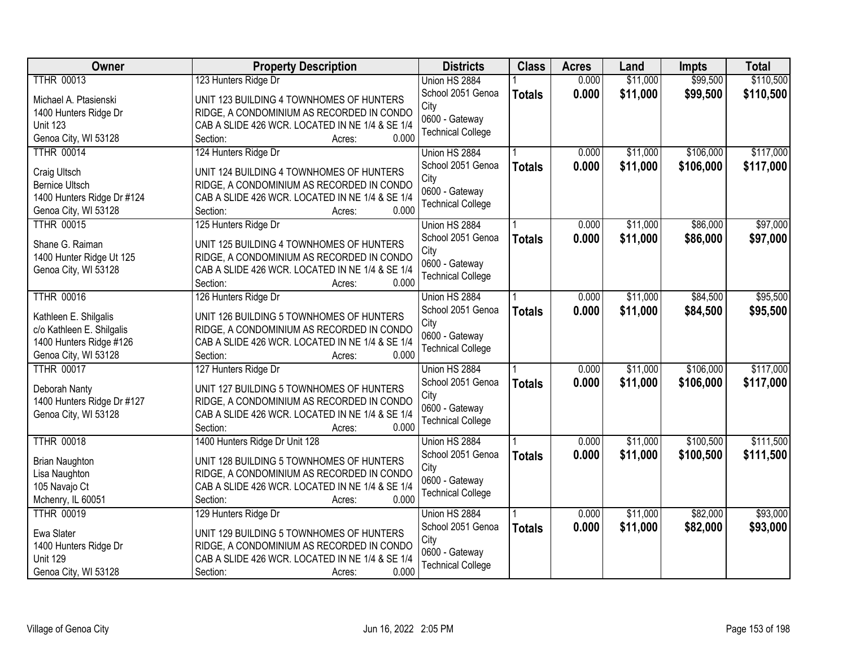| Owner                                  | <b>Property Description</b>                              | <b>Districts</b>         | <b>Class</b>  | <b>Acres</b> | Land     | <b>Impts</b> | <b>Total</b> |
|----------------------------------------|----------------------------------------------------------|--------------------------|---------------|--------------|----------|--------------|--------------|
| <b>TTHR 00013</b>                      | 123 Hunters Ridge Dr                                     | Union HS 2884            |               | 0.000        | \$11,000 | \$99,500     | \$110,500    |
| Michael A. Ptasienski                  | UNIT 123 BUILDING 4 TOWNHOMES OF HUNTERS                 | School 2051 Genoa        | <b>Totals</b> | 0.000        | \$11,000 | \$99,500     | \$110,500    |
| 1400 Hunters Ridge Dr                  | RIDGE, A CONDOMINIUM AS RECORDED IN CONDO                | City                     |               |              |          |              |              |
| <b>Unit 123</b>                        | CAB A SLIDE 426 WCR. LOCATED IN NE 1/4 & SE 1/4          | 0600 - Gateway           |               |              |          |              |              |
| Genoa City, WI 53128                   | 0.000<br>Section:<br>Acres:                              | <b>Technical College</b> |               |              |          |              |              |
| <b>TTHR 00014</b>                      | 124 Hunters Ridge Dr                                     | Union HS 2884            |               | 0.000        | \$11,000 | \$106,000    | \$117,000    |
|                                        |                                                          | School 2051 Genoa        | <b>Totals</b> | 0.000        | \$11,000 | \$106,000    | \$117,000    |
| Craig Ultsch                           | UNIT 124 BUILDING 4 TOWNHOMES OF HUNTERS                 | City                     |               |              |          |              |              |
| <b>Bernice Ultsch</b>                  | RIDGE, A CONDOMINIUM AS RECORDED IN CONDO                | 0600 - Gateway           |               |              |          |              |              |
| 1400 Hunters Ridge Dr #124             | CAB A SLIDE 426 WCR. LOCATED IN NE 1/4 & SE 1/4          | <b>Technical College</b> |               |              |          |              |              |
| Genoa City, WI 53128                   | Section:<br>0.000<br>Acres:                              |                          |               |              |          |              |              |
| <b>TTHR 00015</b>                      | 125 Hunters Ridge Dr                                     | Union HS 2884            |               | 0.000        | \$11,000 | \$86,000     | \$97,000     |
| Shane G. Raiman                        | UNIT 125 BUILDING 4 TOWNHOMES OF HUNTERS                 | School 2051 Genoa        | <b>Totals</b> | 0.000        | \$11,000 | \$86,000     | \$97,000     |
| 1400 Hunter Ridge Ut 125               | RIDGE, A CONDOMINIUM AS RECORDED IN CONDO                | City                     |               |              |          |              |              |
| Genoa City, WI 53128                   | CAB A SLIDE 426 WCR. LOCATED IN NE 1/4 & SE 1/4          | 0600 - Gateway           |               |              |          |              |              |
|                                        | 0.000<br>Section:<br>Acres:                              | <b>Technical College</b> |               |              |          |              |              |
| <b>TTHR 00016</b>                      | 126 Hunters Ridge Dr                                     | Union HS 2884            |               | 0.000        | \$11,000 | \$84,500     | \$95,500     |
|                                        |                                                          | School 2051 Genoa        | <b>Totals</b> | 0.000        | \$11,000 | \$84,500     | \$95,500     |
| Kathleen E. Shilgalis                  | UNIT 126 BUILDING 5 TOWNHOMES OF HUNTERS                 | City                     |               |              |          |              |              |
| c/o Kathleen E. Shilgalis              | RIDGE, A CONDOMINIUM AS RECORDED IN CONDO                | 0600 - Gateway           |               |              |          |              |              |
| 1400 Hunters Ridge #126                | CAB A SLIDE 426 WCR. LOCATED IN NE 1/4 & SE 1/4          | <b>Technical College</b> |               |              |          |              |              |
| Genoa City, WI 53128                   | Section:<br>0.000<br>Acres:                              |                          |               |              |          |              |              |
| <b>TTHR 00017</b>                      | 127 Hunters Ridge Dr                                     | Union HS 2884            |               | 0.000        | \$11,000 | \$106,000    | \$117,000    |
| Deborah Nanty                          | UNIT 127 BUILDING 5 TOWNHOMES OF HUNTERS                 | School 2051 Genoa        | <b>Totals</b> | 0.000        | \$11,000 | \$106,000    | \$117,000    |
| 1400 Hunters Ridge Dr #127             | RIDGE, A CONDOMINIUM AS RECORDED IN CONDO                | City                     |               |              |          |              |              |
| Genoa City, WI 53128                   | CAB A SLIDE 426 WCR. LOCATED IN NE 1/4 & SE 1/4          | 0600 - Gateway           |               |              |          |              |              |
|                                        | 0.000<br>Section:<br>Acres:                              | <b>Technical College</b> |               |              |          |              |              |
| <b>TTHR 00018</b>                      | 1400 Hunters Ridge Dr Unit 128                           | Union HS 2884            |               | 0.000        | \$11,000 | \$100,500    | \$111,500    |
|                                        |                                                          | School 2051 Genoa        | <b>Totals</b> | 0.000        | \$11,000 | \$100,500    | \$111,500    |
| <b>Brian Naughton</b>                  | UNIT 128 BUILDING 5 TOWNHOMES OF HUNTERS                 | City                     |               |              |          |              |              |
| Lisa Naughton                          | RIDGE, A CONDOMINIUM AS RECORDED IN CONDO                | 0600 - Gateway           |               |              |          |              |              |
| 105 Navajo Ct                          | CAB A SLIDE 426 WCR. LOCATED IN NE 1/4 & SE 1/4<br>0.000 | <b>Technical College</b> |               |              |          |              |              |
| Mchenry, IL 60051<br><b>TTHR 00019</b> | Section:<br>Acres:                                       |                          |               |              | \$11,000 | \$82,000     | \$93,000     |
|                                        | 129 Hunters Ridge Dr                                     | Union HS 2884            |               | 0.000        |          |              |              |
| Ewa Slater                             | UNIT 129 BUILDING 5 TOWNHOMES OF HUNTERS                 | School 2051 Genoa        | <b>Totals</b> | 0.000        | \$11,000 | \$82,000     | \$93,000     |
| 1400 Hunters Ridge Dr                  | RIDGE, A CONDOMINIUM AS RECORDED IN CONDO                | City                     |               |              |          |              |              |
| <b>Unit 129</b>                        | CAB A SLIDE 426 WCR. LOCATED IN NE 1/4 & SE 1/4          | 0600 - Gateway           |               |              |          |              |              |
| Genoa City, WI 53128                   | 0.000<br>Section:<br>Acres:                              | <b>Technical College</b> |               |              |          |              |              |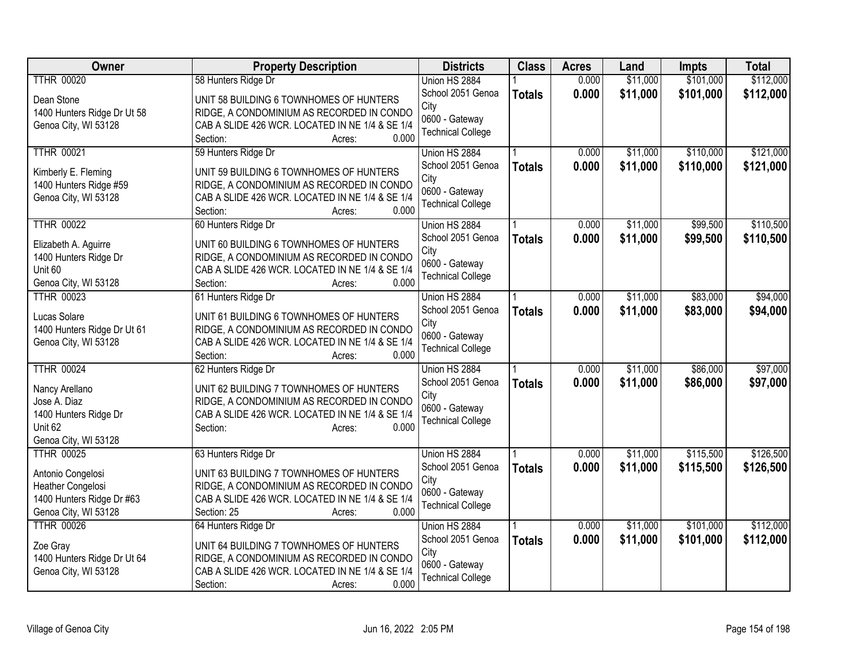| Owner                                         | <b>Property Description</b>                                                                  | <b>Districts</b>         | <b>Class</b>  | <b>Acres</b> | Land     | Impts     | <b>Total</b> |
|-----------------------------------------------|----------------------------------------------------------------------------------------------|--------------------------|---------------|--------------|----------|-----------|--------------|
| <b>TTHR 00020</b>                             | 58 Hunters Ridge Dr                                                                          | Union HS 2884            |               | 0.000        | \$11,000 | \$101,000 | \$112,000    |
| Dean Stone                                    | UNIT 58 BUILDING 6 TOWNHOMES OF HUNTERS                                                      | School 2051 Genoa        | <b>Totals</b> | 0.000        | \$11,000 | \$101,000 | \$112,000    |
| 1400 Hunters Ridge Dr Ut 58                   | RIDGE, A CONDOMINIUM AS RECORDED IN CONDO                                                    | City                     |               |              |          |           |              |
| Genoa City, WI 53128                          | CAB A SLIDE 426 WCR. LOCATED IN NE 1/4 & SE 1/4                                              | 0600 - Gateway           |               |              |          |           |              |
|                                               | Section:<br>0.000<br>Acres:                                                                  | <b>Technical College</b> |               |              |          |           |              |
| <b>TTHR 00021</b>                             | 59 Hunters Ridge Dr                                                                          | Union HS 2884            |               | 0.000        | \$11,000 | \$110,000 | \$121,000    |
|                                               | UNIT 59 BUILDING 6 TOWNHOMES OF HUNTERS                                                      | School 2051 Genoa        | <b>Totals</b> | 0.000        | \$11,000 | \$110,000 | \$121,000    |
| Kimberly E. Fleming<br>1400 Hunters Ridge #59 | RIDGE, A CONDOMINIUM AS RECORDED IN CONDO                                                    | City                     |               |              |          |           |              |
| Genoa City, WI 53128                          | CAB A SLIDE 426 WCR. LOCATED IN NE 1/4 & SE 1/4                                              | 0600 - Gateway           |               |              |          |           |              |
|                                               | Section:<br>0.000<br>Acres:                                                                  | <b>Technical College</b> |               |              |          |           |              |
| <b>TTHR 00022</b>                             | 60 Hunters Ridge Dr                                                                          | Union HS 2884            |               | 0.000        | \$11,000 | \$99,500  | \$110,500    |
|                                               |                                                                                              | School 2051 Genoa        | <b>Totals</b> | 0.000        | \$11,000 | \$99,500  | \$110,500    |
| Elizabeth A. Aguirre                          | UNIT 60 BUILDING 6 TOWNHOMES OF HUNTERS                                                      | City                     |               |              |          |           |              |
| 1400 Hunters Ridge Dr<br>Unit 60              | RIDGE, A CONDOMINIUM AS RECORDED IN CONDO<br>CAB A SLIDE 426 WCR. LOCATED IN NE 1/4 & SE 1/4 | 0600 - Gateway           |               |              |          |           |              |
| Genoa City, WI 53128                          | 0.000<br>Section:<br>Acres:                                                                  | <b>Technical College</b> |               |              |          |           |              |
| <b>TTHR 00023</b>                             | 61 Hunters Ridge Dr                                                                          | Union HS 2884            |               | 0.000        | \$11,000 | \$83,000  | \$94,000     |
|                                               |                                                                                              | School 2051 Genoa        | <b>Totals</b> | 0.000        | \$11,000 | \$83,000  | \$94,000     |
| Lucas Solare                                  | UNIT 61 BUILDING 6 TOWNHOMES OF HUNTERS                                                      | City                     |               |              |          |           |              |
| 1400 Hunters Ridge Dr Ut 61                   | RIDGE, A CONDOMINIUM AS RECORDED IN CONDO                                                    | 0600 - Gateway           |               |              |          |           |              |
| Genoa City, WI 53128                          | CAB A SLIDE 426 WCR. LOCATED IN NE 1/4 & SE 1/4                                              | <b>Technical College</b> |               |              |          |           |              |
|                                               | 0.000<br>Section:<br>Acres:                                                                  |                          |               |              |          |           |              |
| <b>TTHR 00024</b>                             | 62 Hunters Ridge Dr                                                                          | Union HS 2884            |               | 0.000        | \$11,000 | \$86,000  | \$97,000     |
| Nancy Arellano                                | UNIT 62 BUILDING 7 TOWNHOMES OF HUNTERS                                                      | School 2051 Genoa        | <b>Totals</b> | 0.000        | \$11,000 | \$86,000  | \$97,000     |
| Jose A. Diaz                                  | RIDGE, A CONDOMINIUM AS RECORDED IN CONDO                                                    | City<br>0600 - Gateway   |               |              |          |           |              |
| 1400 Hunters Ridge Dr                         | CAB A SLIDE 426 WCR. LOCATED IN NE 1/4 & SE 1/4                                              | <b>Technical College</b> |               |              |          |           |              |
| Unit 62                                       | Section:<br>0.000<br>Acres:                                                                  |                          |               |              |          |           |              |
| Genoa City, WI 53128                          |                                                                                              |                          |               |              |          |           |              |
| <b>TTHR 00025</b>                             | 63 Hunters Ridge Dr                                                                          | Union HS 2884            |               | 0.000        | \$11,000 | \$115,500 | \$126,500    |
| Antonio Congelosi                             | UNIT 63 BUILDING 7 TOWNHOMES OF HUNTERS                                                      | School 2051 Genoa        | <b>Totals</b> | 0.000        | \$11,000 | \$115,500 | \$126,500    |
| Heather Congelosi                             | RIDGE, A CONDOMINIUM AS RECORDED IN CONDO                                                    | City                     |               |              |          |           |              |
| 1400 Hunters Ridge Dr #63                     | CAB A SLIDE 426 WCR. LOCATED IN NE 1/4 & SE 1/4                                              | 0600 - Gateway           |               |              |          |           |              |
| Genoa City, WI 53128                          | 0.000<br>Section: 25<br>Acres:                                                               | <b>Technical College</b> |               |              |          |           |              |
| <b>TTHR 00026</b>                             | 64 Hunters Ridge Dr                                                                          | Union HS 2884            |               | 0.000        | \$11,000 | \$101,000 | \$112,000    |
| Zoe Gray                                      | UNIT 64 BUILDING 7 TOWNHOMES OF HUNTERS                                                      | School 2051 Genoa        | <b>Totals</b> | 0.000        | \$11,000 | \$101,000 | \$112,000    |
| 1400 Hunters Ridge Dr Ut 64                   | RIDGE, A CONDOMINIUM AS RECORDED IN CONDO                                                    | City                     |               |              |          |           |              |
| Genoa City, WI 53128                          | CAB A SLIDE 426 WCR. LOCATED IN NE 1/4 & SE 1/4                                              | 0600 - Gateway           |               |              |          |           |              |
|                                               | 0.000<br>Section:<br>Acres:                                                                  | <b>Technical College</b> |               |              |          |           |              |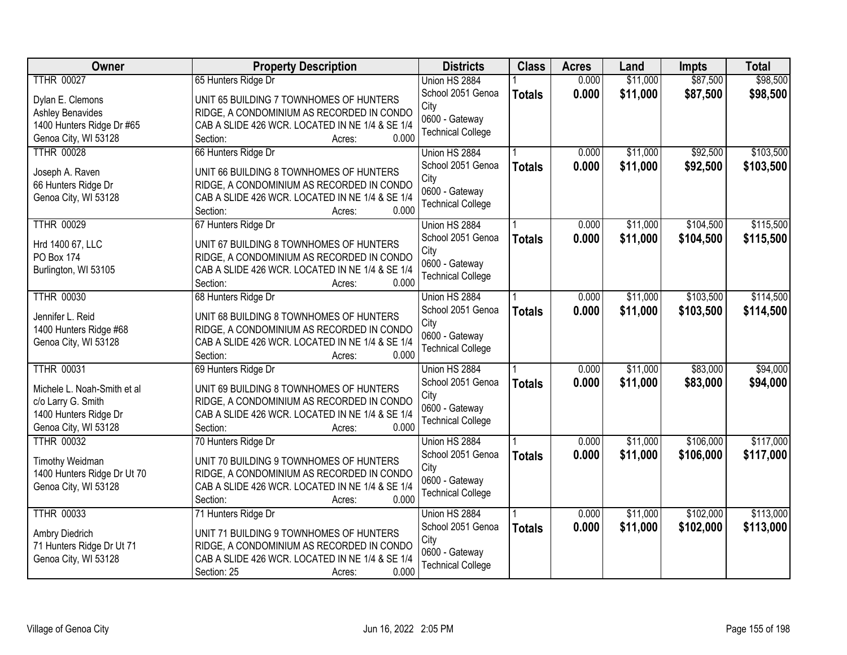| Owner                                     | <b>Property Description</b>                              | <b>Districts</b>                   | <b>Class</b>  | <b>Acres</b> | Land     | Impts     | <b>Total</b> |
|-------------------------------------------|----------------------------------------------------------|------------------------------------|---------------|--------------|----------|-----------|--------------|
| <b>TTHR 00027</b>                         | 65 Hunters Ridge Dr                                      | Union HS 2884                      |               | 0.000        | \$11,000 | \$87,500  | \$98,500     |
| Dylan E. Clemons                          | UNIT 65 BUILDING 7 TOWNHOMES OF HUNTERS                  | School 2051 Genoa                  | <b>Totals</b> | 0.000        | \$11,000 | \$87,500  | \$98,500     |
| <b>Ashley Benavides</b>                   | RIDGE, A CONDOMINIUM AS RECORDED IN CONDO                | City                               |               |              |          |           |              |
| 1400 Hunters Ridge Dr #65                 | CAB A SLIDE 426 WCR. LOCATED IN NE 1/4 & SE 1/4          | 0600 - Gateway                     |               |              |          |           |              |
| Genoa City, WI 53128                      | 0.000<br>Section:<br>Acres:                              | <b>Technical College</b>           |               |              |          |           |              |
| <b>TTHR 00028</b>                         | 66 Hunters Ridge Dr                                      | Union HS 2884                      |               | 0.000        | \$11,000 | \$92,500  | \$103,500    |
|                                           |                                                          | School 2051 Genoa                  | <b>Totals</b> | 0.000        | \$11,000 | \$92,500  | \$103,500    |
| Joseph A. Raven                           | UNIT 66 BUILDING 8 TOWNHOMES OF HUNTERS                  | City                               |               |              |          |           |              |
| 66 Hunters Ridge Dr                       | RIDGE, A CONDOMINIUM AS RECORDED IN CONDO                | 0600 - Gateway                     |               |              |          |           |              |
| Genoa City, WI 53128                      | CAB A SLIDE 426 WCR. LOCATED IN NE 1/4 & SE 1/4<br>0.000 | <b>Technical College</b>           |               |              |          |           |              |
| <b>TTHR 00029</b>                         | Section:<br>Acres:                                       |                                    |               | 0.000        | \$11,000 | \$104,500 | \$115,500    |
|                                           | 67 Hunters Ridge Dr                                      | Union HS 2884<br>School 2051 Genoa |               |              |          |           |              |
| Hrd 1400 67, LLC                          | UNIT 67 BUILDING 8 TOWNHOMES OF HUNTERS                  | City                               | <b>Totals</b> | 0.000        | \$11,000 | \$104,500 | \$115,500    |
| <b>PO Box 174</b>                         | RIDGE, A CONDOMINIUM AS RECORDED IN CONDO                | 0600 - Gateway                     |               |              |          |           |              |
| Burlington, WI 53105                      | CAB A SLIDE 426 WCR. LOCATED IN NE 1/4 & SE 1/4          | <b>Technical College</b>           |               |              |          |           |              |
|                                           | 0.000<br>Section:<br>Acres:                              |                                    |               |              |          |           |              |
| <b>TTHR 00030</b>                         | 68 Hunters Ridge Dr                                      | Union HS 2884                      |               | 0.000        | \$11,000 | \$103,500 | \$114,500    |
| Jennifer L. Reid                          | UNIT 68 BUILDING 8 TOWNHOMES OF HUNTERS                  | School 2051 Genoa                  | <b>Totals</b> | 0.000        | \$11,000 | \$103,500 | \$114,500    |
| 1400 Hunters Ridge #68                    | RIDGE, A CONDOMINIUM AS RECORDED IN CONDO                | City                               |               |              |          |           |              |
| Genoa City, WI 53128                      | CAB A SLIDE 426 WCR. LOCATED IN NE 1/4 & SE 1/4          | 0600 - Gateway                     |               |              |          |           |              |
|                                           | 0.000<br>Section:<br>Acres:                              | <b>Technical College</b>           |               |              |          |           |              |
| <b>TTHR 00031</b>                         | 69 Hunters Ridge Dr                                      | Union HS 2884                      |               | 0.000        | \$11,000 | \$83,000  | \$94,000     |
|                                           |                                                          | School 2051 Genoa                  | <b>Totals</b> | 0.000        | \$11,000 | \$83,000  | \$94,000     |
| Michele L. Noah-Smith et al               | UNIT 69 BUILDING 8 TOWNHOMES OF HUNTERS                  | City                               |               |              |          |           |              |
| c/o Larry G. Smith                        | RIDGE, A CONDOMINIUM AS RECORDED IN CONDO                | 0600 - Gateway                     |               |              |          |           |              |
| 1400 Hunters Ridge Dr                     | CAB A SLIDE 426 WCR. LOCATED IN NE 1/4 & SE 1/4<br>0.000 | <b>Technical College</b>           |               |              |          |           |              |
| Genoa City, WI 53128<br><b>TTHR 00032</b> | Section:<br>Acres:                                       |                                    |               | 0.000        | \$11,000 | \$106,000 | \$117,000    |
|                                           | 70 Hunters Ridge Dr                                      | Union HS 2884<br>School 2051 Genoa |               |              |          |           |              |
| Timothy Weidman                           | UNIT 70 BUILDING 9 TOWNHOMES OF HUNTERS                  | City                               | <b>Totals</b> | 0.000        | \$11,000 | \$106,000 | \$117,000    |
| 1400 Hunters Ridge Dr Ut 70               | RIDGE, A CONDOMINIUM AS RECORDED IN CONDO                | 0600 - Gateway                     |               |              |          |           |              |
| Genoa City, WI 53128                      | CAB A SLIDE 426 WCR. LOCATED IN NE 1/4 & SE 1/4          | <b>Technical College</b>           |               |              |          |           |              |
|                                           | 0.000<br>Section:<br>Acres:                              |                                    |               |              |          |           |              |
| <b>TTHR 00033</b>                         | 71 Hunters Ridge Dr                                      | Union HS 2884                      |               | 0.000        | \$11,000 | \$102,000 | \$113,000    |
| Ambry Diedrich                            | UNIT 71 BUILDING 9 TOWNHOMES OF HUNTERS                  | School 2051 Genoa                  | <b>Totals</b> | 0.000        | \$11,000 | \$102,000 | \$113,000    |
| 71 Hunters Ridge Dr Ut 71                 | RIDGE, A CONDOMINIUM AS RECORDED IN CONDO                | City                               |               |              |          |           |              |
| Genoa City, WI 53128                      | CAB A SLIDE 426 WCR. LOCATED IN NE 1/4 & SE 1/4          | 0600 - Gateway                     |               |              |          |           |              |
|                                           | 0.000<br>Section: 25<br>Acres:                           | <b>Technical College</b>           |               |              |          |           |              |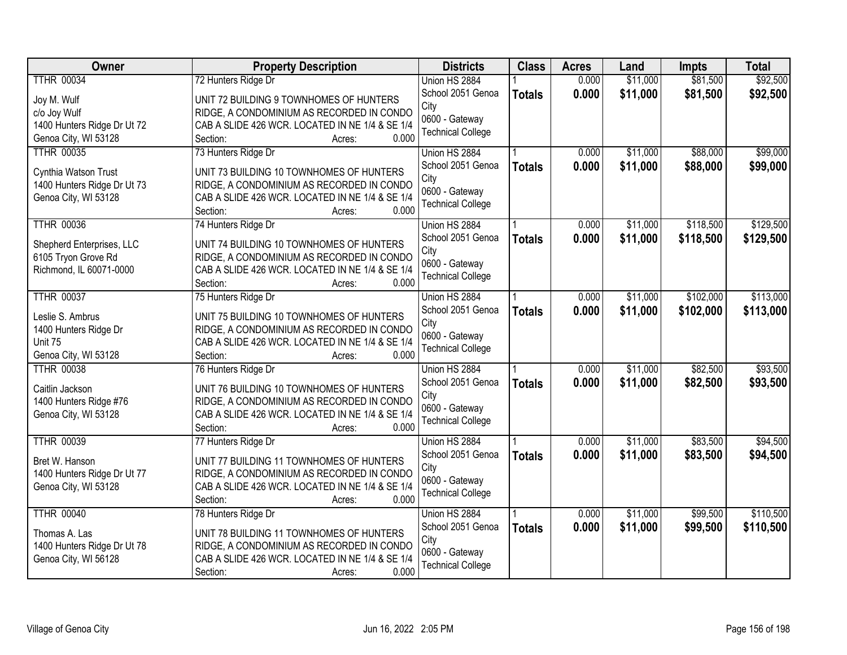| Owner                       | <b>Property Description</b>                                          | <b>Districts</b>                   | <b>Class</b>  | <b>Acres</b> | Land     | <b>Impts</b> | <b>Total</b> |
|-----------------------------|----------------------------------------------------------------------|------------------------------------|---------------|--------------|----------|--------------|--------------|
| <b>TTHR 00034</b>           | 72 Hunters Ridge Dr                                                  | Union HS 2884                      |               | 0.000        | \$11,000 | \$81,500     | \$92,500     |
| Joy M. Wulf                 | UNIT 72 BUILDING 9 TOWNHOMES OF HUNTERS                              | School 2051 Genoa                  | <b>Totals</b> | 0.000        | \$11,000 | \$81,500     | \$92,500     |
| c/o Joy Wulf                | RIDGE, A CONDOMINIUM AS RECORDED IN CONDO                            | City                               |               |              |          |              |              |
| 1400 Hunters Ridge Dr Ut 72 | CAB A SLIDE 426 WCR. LOCATED IN NE 1/4 & SE 1/4                      | 0600 - Gateway                     |               |              |          |              |              |
| Genoa City, WI 53128        | 0.000<br>Section:<br>Acres:                                          | <b>Technical College</b>           |               |              |          |              |              |
| <b>TTHR 00035</b>           | 73 Hunters Ridge Dr                                                  | Union HS 2884                      |               | 0.000        | \$11,000 | \$88,000     | \$99,000     |
|                             |                                                                      | School 2051 Genoa                  | <b>Totals</b> | 0.000        | \$11,000 | \$88,000     | \$99,000     |
| Cynthia Watson Trust        | UNIT 73 BUILDING 10 TOWNHOMES OF HUNTERS                             | City                               |               |              |          |              |              |
| 1400 Hunters Ridge Dr Ut 73 | RIDGE, A CONDOMINIUM AS RECORDED IN CONDO                            | 0600 - Gateway                     |               |              |          |              |              |
| Genoa City, WI 53128        | CAB A SLIDE 426 WCR. LOCATED IN NE 1/4 & SE 1/4<br>0.000<br>Section: | <b>Technical College</b>           |               |              |          |              |              |
| <b>TTHR 00036</b>           | Acres:<br>74 Hunters Ridge Dr                                        | Union HS 2884                      |               | 0.000        | \$11,000 | \$118,500    | \$129,500    |
|                             |                                                                      | School 2051 Genoa                  |               | 0.000        | \$11,000 | \$118,500    | \$129,500    |
| Shepherd Enterprises, LLC   | UNIT 74 BUILDING 10 TOWNHOMES OF HUNTERS                             | City                               | <b>Totals</b> |              |          |              |              |
| 6105 Tryon Grove Rd         | RIDGE, A CONDOMINIUM AS RECORDED IN CONDO                            | 0600 - Gateway                     |               |              |          |              |              |
| Richmond, IL 60071-0000     | CAB A SLIDE 426 WCR. LOCATED IN NE 1/4 & SE 1/4                      | <b>Technical College</b>           |               |              |          |              |              |
|                             | 0.000<br>Section:<br>Acres:                                          |                                    |               |              |          |              |              |
| <b>TTHR 00037</b>           | 75 Hunters Ridge Dr                                                  | Union HS 2884                      |               | 0.000        | \$11,000 | \$102,000    | \$113,000    |
| Leslie S. Ambrus            | UNIT 75 BUILDING 10 TOWNHOMES OF HUNTERS                             | School 2051 Genoa                  | <b>Totals</b> | 0.000        | \$11,000 | \$102,000    | \$113,000    |
| 1400 Hunters Ridge Dr       | RIDGE, A CONDOMINIUM AS RECORDED IN CONDO                            | City                               |               |              |          |              |              |
| Unit 75                     | CAB A SLIDE 426 WCR. LOCATED IN NE 1/4 & SE 1/4                      | 0600 - Gateway                     |               |              |          |              |              |
| Genoa City, WI 53128        | 0.000<br>Section:<br>Acres:                                          | <b>Technical College</b>           |               |              |          |              |              |
| <b>TTHR 00038</b>           | 76 Hunters Ridge Dr                                                  | Union HS 2884                      |               | 0.000        | \$11,000 | \$82,500     | \$93,500     |
|                             |                                                                      | School 2051 Genoa                  | <b>Totals</b> | 0.000        | \$11,000 | \$82,500     | \$93,500     |
| Caitlin Jackson             | UNIT 76 BUILDING 10 TOWNHOMES OF HUNTERS                             | City                               |               |              |          |              |              |
| 1400 Hunters Ridge #76      | RIDGE, A CONDOMINIUM AS RECORDED IN CONDO                            | 0600 - Gateway                     |               |              |          |              |              |
| Genoa City, WI 53128        | CAB A SLIDE 426 WCR. LOCATED IN NE 1/4 & SE 1/4                      | <b>Technical College</b>           |               |              |          |              |              |
| <b>TTHR 00039</b>           | 0.000<br>Section:<br>Acres:                                          |                                    |               | 0.000        | \$11,000 | \$83,500     |              |
|                             | 77 Hunters Ridge Dr                                                  | Union HS 2884<br>School 2051 Genoa |               | 0.000        |          |              | \$94,500     |
| Bret W. Hanson              | UNIT 77 BUILDING 11 TOWNHOMES OF HUNTERS                             | City                               | <b>Totals</b> |              | \$11,000 | \$83,500     | \$94,500     |
| 1400 Hunters Ridge Dr Ut 77 | RIDGE, A CONDOMINIUM AS RECORDED IN CONDO                            | 0600 - Gateway                     |               |              |          |              |              |
| Genoa City, WI 53128        | CAB A SLIDE 426 WCR. LOCATED IN NE 1/4 & SE 1/4                      | <b>Technical College</b>           |               |              |          |              |              |
|                             | 0.000<br>Section:<br>Acres:                                          |                                    |               |              |          |              |              |
| <b>TTHR 00040</b>           | 78 Hunters Ridge Dr                                                  | Union HS 2884                      |               | 0.000        | \$11,000 | \$99,500     | \$110,500    |
| Thomas A. Las               | UNIT 78 BUILDING 11 TOWNHOMES OF HUNTERS                             | School 2051 Genoa                  | <b>Totals</b> | 0.000        | \$11,000 | \$99,500     | \$110,500    |
| 1400 Hunters Ridge Dr Ut 78 | RIDGE, A CONDOMINIUM AS RECORDED IN CONDO                            | City                               |               |              |          |              |              |
| Genoa City, WI 56128        | CAB A SLIDE 426 WCR. LOCATED IN NE 1/4 & SE 1/4                      | 0600 - Gateway                     |               |              |          |              |              |
|                             | 0.000<br>Section:<br>Acres:                                          | <b>Technical College</b>           |               |              |          |              |              |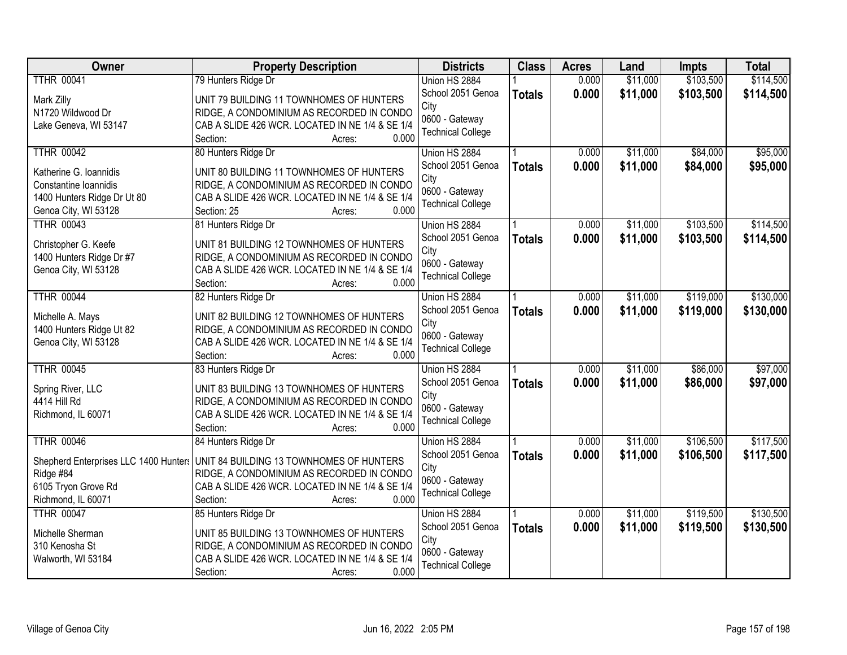| Owner                                 | <b>Property Description</b>                                          | <b>Districts</b>         | <b>Class</b>  | <b>Acres</b> | Land     | Impts     | <b>Total</b> |
|---------------------------------------|----------------------------------------------------------------------|--------------------------|---------------|--------------|----------|-----------|--------------|
| <b>TTHR 00041</b>                     | 79 Hunters Ridge Dr                                                  | Union HS 2884            |               | 0.000        | \$11,000 | \$103,500 | \$114,500    |
| Mark Zilly                            | UNIT 79 BUILDING 11 TOWNHOMES OF HUNTERS                             | School 2051 Genoa        | <b>Totals</b> | 0.000        | \$11,000 | \$103,500 | \$114,500    |
| N1720 Wildwood Dr                     | RIDGE, A CONDOMINIUM AS RECORDED IN CONDO                            | City                     |               |              |          |           |              |
| Lake Geneva, WI 53147                 | CAB A SLIDE 426 WCR. LOCATED IN NE 1/4 & SE 1/4                      | 0600 - Gateway           |               |              |          |           |              |
|                                       | 0.000<br>Section:<br>Acres:                                          | <b>Technical College</b> |               |              |          |           |              |
| <b>TTHR 00042</b>                     | 80 Hunters Ridge Dr                                                  | Union HS 2884            |               | 0.000        | \$11,000 | \$84,000  | \$95,000     |
| Katherine G. Ioannidis                | UNIT 80 BUILDING 11 TOWNHOMES OF HUNTERS                             | School 2051 Genoa        | <b>Totals</b> | 0.000        | \$11,000 | \$84,000  | \$95,000     |
| Constantine Ioannidis                 | RIDGE, A CONDOMINIUM AS RECORDED IN CONDO                            | City                     |               |              |          |           |              |
| 1400 Hunters Ridge Dr Ut 80           | CAB A SLIDE 426 WCR. LOCATED IN NE 1/4 & SE 1/4                      | 0600 - Gateway           |               |              |          |           |              |
| Genoa City, WI 53128                  | 0.000<br>Section: 25<br>Acres:                                       | <b>Technical College</b> |               |              |          |           |              |
| <b>TTHR 00043</b>                     | 81 Hunters Ridge Dr                                                  | Union HS 2884            |               | 0.000        | \$11,000 | \$103,500 | \$114,500    |
| Christopher G. Keefe                  | UNIT 81 BUILDING 12 TOWNHOMES OF HUNTERS                             | School 2051 Genoa        | <b>Totals</b> | 0.000        | \$11,000 | \$103,500 | \$114,500    |
| 1400 Hunters Ridge Dr #7              | RIDGE, A CONDOMINIUM AS RECORDED IN CONDO                            | City                     |               |              |          |           |              |
| Genoa City, WI 53128                  | CAB A SLIDE 426 WCR. LOCATED IN NE 1/4 & SE 1/4                      | 0600 - Gateway           |               |              |          |           |              |
|                                       | 0.000<br>Section:<br>Acres:                                          | <b>Technical College</b> |               |              |          |           |              |
| <b>TTHR 00044</b>                     | 82 Hunters Ridge Dr                                                  | Union HS 2884            |               | 0.000        | \$11,000 | \$119,000 | \$130,000    |
|                                       |                                                                      | School 2051 Genoa        | <b>Totals</b> | 0.000        | \$11,000 | \$119,000 | \$130,000    |
| Michelle A. Mays                      | UNIT 82 BUILDING 12 TOWNHOMES OF HUNTERS                             | City                     |               |              |          |           |              |
| 1400 Hunters Ridge Ut 82              | RIDGE, A CONDOMINIUM AS RECORDED IN CONDO                            | 0600 - Gateway           |               |              |          |           |              |
| Genoa City, WI 53128                  | CAB A SLIDE 426 WCR. LOCATED IN NE 1/4 & SE 1/4<br>0.000<br>Section: | <b>Technical College</b> |               |              |          |           |              |
| <b>TTHR 00045</b>                     | Acres:<br>83 Hunters Ridge Dr                                        | Union HS 2884            |               | 0.000        | \$11,000 | \$86,000  | \$97,000     |
|                                       |                                                                      | School 2051 Genoa        |               | 0.000        | \$11,000 | \$86,000  | \$97,000     |
| Spring River, LLC                     | UNIT 83 BUILDING 13 TOWNHOMES OF HUNTERS                             | City                     | <b>Totals</b> |              |          |           |              |
| 4414 Hill Rd                          | RIDGE, A CONDOMINIUM AS RECORDED IN CONDO                            | 0600 - Gateway           |               |              |          |           |              |
| Richmond, IL 60071                    | CAB A SLIDE 426 WCR. LOCATED IN NE 1/4 & SE 1/4                      | <b>Technical College</b> |               |              |          |           |              |
|                                       | 0.000<br>Section:<br>Acres:                                          |                          |               |              |          |           |              |
| <b>TTHR 00046</b>                     | 84 Hunters Ridge Dr                                                  | Union HS 2884            |               | 0.000        | \$11,000 | \$106,500 | \$117,500    |
| Shepherd Enterprises LLC 1400 Hunters | UNIT 84 BUILDING 13 TOWNHOMES OF HUNTERS                             | School 2051 Genoa        | <b>Totals</b> | 0.000        | \$11,000 | \$106,500 | \$117,500    |
| Ridge #84                             | RIDGE, A CONDOMINIUM AS RECORDED IN CONDO                            | City                     |               |              |          |           |              |
| 6105 Tryon Grove Rd                   | CAB A SLIDE 426 WCR. LOCATED IN NE 1/4 & SE 1/4                      | 0600 - Gateway           |               |              |          |           |              |
| Richmond, IL 60071                    | 0.000<br>Section:<br>Acres:                                          | <b>Technical College</b> |               |              |          |           |              |
| <b>TTHR 00047</b>                     | 85 Hunters Ridge Dr                                                  | Union HS 2884            |               | 0.000        | \$11,000 | \$119,500 | \$130,500    |
| Michelle Sherman                      | UNIT 85 BUILDING 13 TOWNHOMES OF HUNTERS                             | School 2051 Genoa        | <b>Totals</b> | 0.000        | \$11,000 | \$119,500 | \$130,500    |
| 310 Kenosha St                        | RIDGE, A CONDOMINIUM AS RECORDED IN CONDO                            | City                     |               |              |          |           |              |
| Walworth, WI 53184                    | CAB A SLIDE 426 WCR. LOCATED IN NE 1/4 & SE 1/4                      | 0600 - Gateway           |               |              |          |           |              |
|                                       | 0.000<br>Section:<br>Acres:                                          | <b>Technical College</b> |               |              |          |           |              |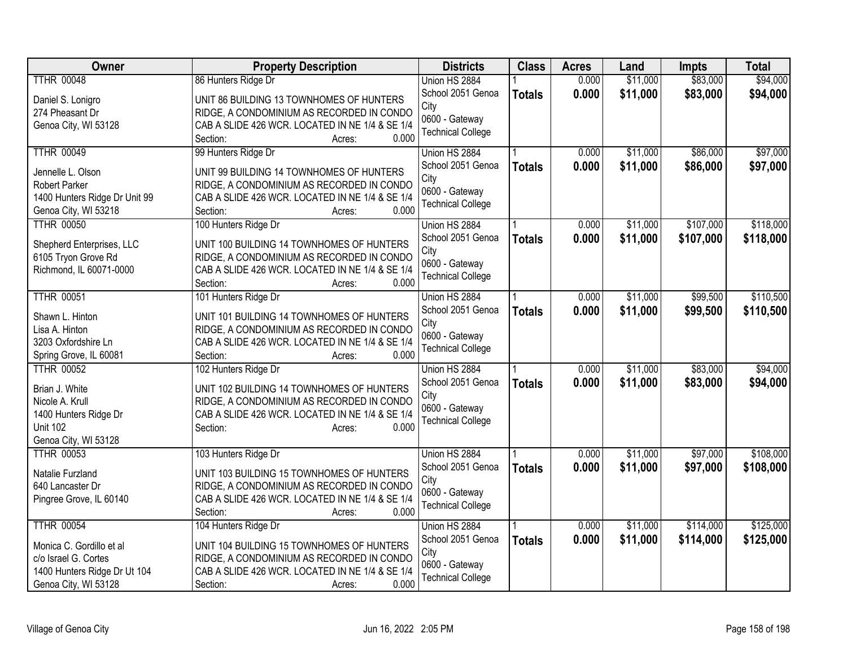| Owner                             | <b>Property Description</b>                              | <b>Districts</b>         | <b>Class</b>  | <b>Acres</b> | Land     | <b>Impts</b> | <b>Total</b> |
|-----------------------------------|----------------------------------------------------------|--------------------------|---------------|--------------|----------|--------------|--------------|
| <b>TTHR 00048</b>                 | 86 Hunters Ridge Dr                                      | Union HS 2884            |               | 0.000        | \$11,000 | \$83,000     | \$94,000     |
| Daniel S. Lonigro                 | UNIT 86 BUILDING 13 TOWNHOMES OF HUNTERS                 | School 2051 Genoa        | <b>Totals</b> | 0.000        | \$11,000 | \$83,000     | \$94,000     |
| 274 Pheasant Dr                   | RIDGE, A CONDOMINIUM AS RECORDED IN CONDO                | City                     |               |              |          |              |              |
| Genoa City, WI 53128              | CAB A SLIDE 426 WCR. LOCATED IN NE 1/4 & SE 1/4          | 0600 - Gateway           |               |              |          |              |              |
|                                   | 0.000<br>Section:<br>Acres:                              | <b>Technical College</b> |               |              |          |              |              |
| <b>TTHR 00049</b>                 | 99 Hunters Ridge Dr                                      | Union HS 2884            |               | 0.000        | \$11,000 | \$86,000     | \$97,000     |
|                                   |                                                          | School 2051 Genoa        | <b>Totals</b> | 0.000        | \$11,000 | \$86,000     | \$97,000     |
| Jennelle L. Olson                 | UNIT 99 BUILDING 14 TOWNHOMES OF HUNTERS                 | City                     |               |              |          |              |              |
| <b>Robert Parker</b>              | RIDGE, A CONDOMINIUM AS RECORDED IN CONDO                | 0600 - Gateway           |               |              |          |              |              |
| 1400 Hunters Ridge Dr Unit 99     | CAB A SLIDE 426 WCR. LOCATED IN NE 1/4 & SE 1/4          | <b>Technical College</b> |               |              |          |              |              |
| Genoa City, WI 53218              | Section:<br>0.000<br>Acres:                              |                          |               |              |          |              |              |
| <b>TTHR 00050</b>                 | 100 Hunters Ridge Dr                                     | Union HS 2884            |               | 0.000        | \$11,000 | \$107,000    | \$118,000    |
| Shepherd Enterprises, LLC         | UNIT 100 BUILDING 14 TOWNHOMES OF HUNTERS                | School 2051 Genoa        | <b>Totals</b> | 0.000        | \$11,000 | \$107,000    | \$118,000    |
| 6105 Tryon Grove Rd               | RIDGE, A CONDOMINIUM AS RECORDED IN CONDO                | City<br>0600 - Gateway   |               |              |          |              |              |
| Richmond, IL 60071-0000           | CAB A SLIDE 426 WCR. LOCATED IN NE 1/4 & SE 1/4          | <b>Technical College</b> |               |              |          |              |              |
|                                   | 0.000<br>Section:<br>Acres:                              |                          |               |              |          |              |              |
| <b>TTHR 00051</b>                 | 101 Hunters Ridge Dr                                     | Union HS 2884            |               | 0.000        | \$11,000 | \$99,500     | \$110,500    |
|                                   | UNIT 101 BUILDING 14 TOWNHOMES OF HUNTERS                | School 2051 Genoa        | <b>Totals</b> | 0.000        | \$11,000 | \$99,500     | \$110,500    |
| Shawn L. Hinton<br>Lisa A. Hinton | RIDGE, A CONDOMINIUM AS RECORDED IN CONDO                | City                     |               |              |          |              |              |
| 3203 Oxfordshire Ln               | CAB A SLIDE 426 WCR. LOCATED IN NE 1/4 & SE 1/4          | 0600 - Gateway           |               |              |          |              |              |
| Spring Grove, IL 60081            | 0.000<br>Section:<br>Acres:                              | <b>Technical College</b> |               |              |          |              |              |
| <b>TTHR 00052</b>                 | 102 Hunters Ridge Dr                                     | Union HS 2884            |               | 0.000        | \$11,000 | \$83,000     | \$94,000     |
|                                   |                                                          | School 2051 Genoa        |               | 0.000        | \$11,000 | \$83,000     | \$94,000     |
| Brian J. White                    | UNIT 102 BUILDING 14 TOWNHOMES OF HUNTERS                | City                     | <b>Totals</b> |              |          |              |              |
| Nicole A. Krull                   | RIDGE, A CONDOMINIUM AS RECORDED IN CONDO                | 0600 - Gateway           |               |              |          |              |              |
| 1400 Hunters Ridge Dr             | CAB A SLIDE 426 WCR. LOCATED IN NE 1/4 & SE 1/4          | <b>Technical College</b> |               |              |          |              |              |
| <b>Unit 102</b>                   | 0.000<br>Section:<br>Acres:                              |                          |               |              |          |              |              |
| Genoa City, WI 53128              |                                                          |                          |               |              |          |              |              |
| <b>TTHR 00053</b>                 | 103 Hunters Ridge Dr                                     | Union HS 2884            |               | 0.000        | \$11,000 | \$97,000     | \$108,000    |
| Natalie Furzland                  | UNIT 103 BUILDING 15 TOWNHOMES OF HUNTERS                | School 2051 Genoa        | <b>Totals</b> | 0.000        | \$11,000 | \$97,000     | \$108,000    |
| 640 Lancaster Dr                  | RIDGE, A CONDOMINIUM AS RECORDED IN CONDO                | City                     |               |              |          |              |              |
| Pingree Grove, IL 60140           | CAB A SLIDE 426 WCR. LOCATED IN NE 1/4 & SE 1/4          | 0600 - Gateway           |               |              |          |              |              |
|                                   | 0.000<br>Section:<br>Acres:                              | <b>Technical College</b> |               |              |          |              |              |
| <b>TTHR 00054</b>                 | 104 Hunters Ridge Dr                                     | Union HS 2884            |               | 0.000        | \$11,000 | \$114,000    | \$125,000    |
|                                   |                                                          | School 2051 Genoa        | <b>Totals</b> | 0.000        | \$11,000 | \$114,000    | \$125,000    |
| Monica C. Gordillo et al          | UNIT 104 BUILDING 15 TOWNHOMES OF HUNTERS                | City                     |               |              |          |              |              |
| c/o Israel G. Cortes              | RIDGE, A CONDOMINIUM AS RECORDED IN CONDO                | 0600 - Gateway           |               |              |          |              |              |
| 1400 Hunters Ridge Dr Ut 104      | CAB A SLIDE 426 WCR. LOCATED IN NE 1/4 & SE 1/4<br>0.000 | <b>Technical College</b> |               |              |          |              |              |
| Genoa City, WI 53128              | Section:<br>Acres:                                       |                          |               |              |          |              |              |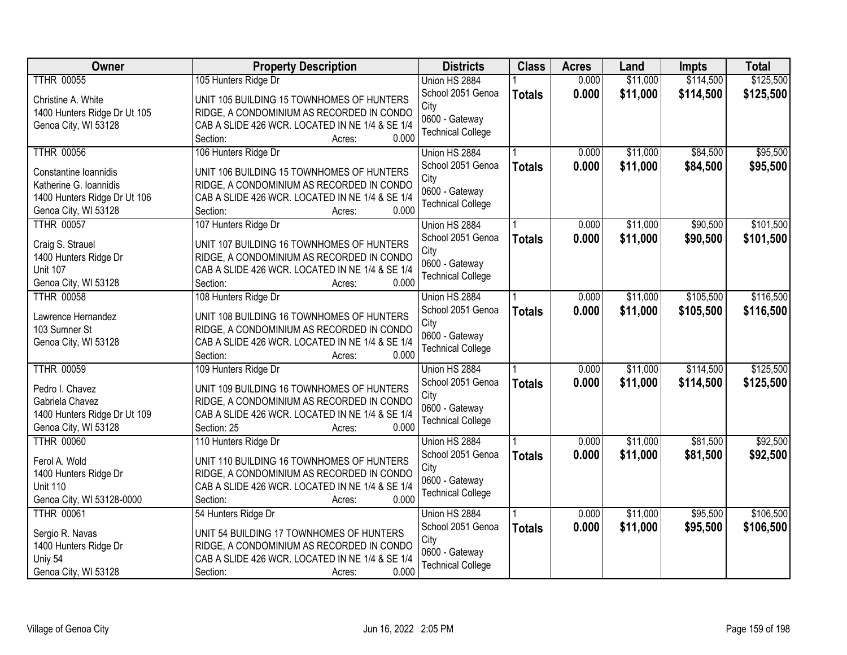| Owner                        | <b>Property Description</b>                     | <b>Districts</b>         | <b>Class</b>  | <b>Acres</b> | Land     | Impts     | <b>Total</b> |
|------------------------------|-------------------------------------------------|--------------------------|---------------|--------------|----------|-----------|--------------|
| <b>TTHR 00055</b>            | 105 Hunters Ridge Dr                            | Union HS 2884            |               | 0.000        | \$11,000 | \$114,500 | \$125,500    |
| Christine A. White           | UNIT 105 BUILDING 15 TOWNHOMES OF HUNTERS       | School 2051 Genoa        | <b>Totals</b> | 0.000        | \$11,000 | \$114,500 | \$125,500    |
| 1400 Hunters Ridge Dr Ut 105 | RIDGE, A CONDOMINIUM AS RECORDED IN CONDO       | City                     |               |              |          |           |              |
| Genoa City, WI 53128         | CAB A SLIDE 426 WCR. LOCATED IN NE 1/4 & SE 1/4 | 0600 - Gateway           |               |              |          |           |              |
|                              | Section:<br>0.000<br>Acres:                     | <b>Technical College</b> |               |              |          |           |              |
| <b>TTHR 00056</b>            | 106 Hunters Ridge Dr                            | Union HS 2884            |               | 0.000        | \$11,000 | \$84,500  | \$95,500     |
|                              |                                                 | School 2051 Genoa        | <b>Totals</b> | 0.000        | \$11,000 | \$84,500  | \$95,500     |
| Constantine Ioannidis        | UNIT 106 BUILDING 15 TOWNHOMES OF HUNTERS       | City                     |               |              |          |           |              |
| Katherine G. Ioannidis       | RIDGE, A CONDOMINIUM AS RECORDED IN CONDO       | 0600 - Gateway           |               |              |          |           |              |
| 1400 Hunters Ridge Dr Ut 106 | CAB A SLIDE 426 WCR. LOCATED IN NE 1/4 & SE 1/4 | <b>Technical College</b> |               |              |          |           |              |
| Genoa City, WI 53128         | 0.000<br>Section:<br>Acres:                     |                          |               |              |          |           |              |
| <b>TTHR 00057</b>            | 107 Hunters Ridge Dr                            | Union HS 2884            |               | 0.000        | \$11,000 | \$90,500  | \$101,500    |
| Craig S. Strauel             | UNIT 107 BUILDING 16 TOWNHOMES OF HUNTERS       | School 2051 Genoa        | <b>Totals</b> | 0.000        | \$11,000 | \$90,500  | \$101,500    |
| 1400 Hunters Ridge Dr        | RIDGE, A CONDOMINIUM AS RECORDED IN CONDO       | City                     |               |              |          |           |              |
| <b>Unit 107</b>              | CAB A SLIDE 426 WCR. LOCATED IN NE 1/4 & SE 1/4 | 0600 - Gateway           |               |              |          |           |              |
| Genoa City, WI 53128         | 0.000<br>Section:<br>Acres:                     | <b>Technical College</b> |               |              |          |           |              |
| <b>TTHR 00058</b>            | 108 Hunters Ridge Dr                            | Union HS 2884            |               | 0.000        | \$11,000 | \$105,500 | \$116,500    |
|                              |                                                 | School 2051 Genoa        | <b>Totals</b> | 0.000        | \$11,000 | \$105,500 | \$116,500    |
| Lawrence Hernandez           | UNIT 108 BUILDING 16 TOWNHOMES OF HUNTERS       | City                     |               |              |          |           |              |
| 103 Sumner St                | RIDGE, A CONDOMINIUM AS RECORDED IN CONDO       | 0600 - Gateway           |               |              |          |           |              |
| Genoa City, WI 53128         | CAB A SLIDE 426 WCR. LOCATED IN NE 1/4 & SE 1/4 | <b>Technical College</b> |               |              |          |           |              |
|                              | 0.000<br>Section:<br>Acres:                     |                          |               |              |          |           |              |
| <b>TTHR 00059</b>            | 109 Hunters Ridge Dr                            | Union HS 2884            |               | 0.000        | \$11,000 | \$114,500 | \$125,500    |
| Pedro I. Chavez              | UNIT 109 BUILDING 16 TOWNHOMES OF HUNTERS       | School 2051 Genoa        | <b>Totals</b> | 0.000        | \$11,000 | \$114,500 | \$125,500    |
| Gabriela Chavez              | RIDGE, A CONDOMINIUM AS RECORDED IN CONDO       | City                     |               |              |          |           |              |
| 1400 Hunters Ridge Dr Ut 109 | CAB A SLIDE 426 WCR. LOCATED IN NE 1/4 & SE 1/4 | 0600 - Gateway           |               |              |          |           |              |
| Genoa City, WI 53128         | Section: 25<br>0.000<br>Acres:                  | <b>Technical College</b> |               |              |          |           |              |
| <b>TTHR 00060</b>            | 110 Hunters Ridge Dr                            | Union HS 2884            |               | 0.000        | \$11,000 | \$81,500  | \$92,500     |
|                              |                                                 | School 2051 Genoa        | <b>Totals</b> | 0.000        | \$11,000 | \$81,500  | \$92,500     |
| Ferol A. Wold                | UNIT 110 BUILDING 16 TOWNHOMES OF HUNTERS       | City                     |               |              |          |           |              |
| 1400 Hunters Ridge Dr        | RIDGE, A CONDOMINIUM AS RECORDED IN CONDO       | 0600 - Gateway           |               |              |          |           |              |
| <b>Unit 110</b>              | CAB A SLIDE 426 WCR. LOCATED IN NE 1/4 & SE 1/4 | <b>Technical College</b> |               |              |          |           |              |
| Genoa City, WI 53128-0000    | 0.000<br>Section:<br>Acres:                     |                          |               |              |          |           |              |
| <b>TTHR 00061</b>            | 54 Hunters Ridge Dr                             | Union HS 2884            |               | 0.000        | \$11,000 | \$95,500  | \$106,500    |
| Sergio R. Navas              | UNIT 54 BUILDING 17 TOWNHOMES OF HUNTERS        | School 2051 Genoa        | <b>Totals</b> | 0.000        | \$11,000 | \$95,500  | \$106,500    |
| 1400 Hunters Ridge Dr        | RIDGE, A CONDOMINIUM AS RECORDED IN CONDO       | City                     |               |              |          |           |              |
| Uniy 54                      | CAB A SLIDE 426 WCR. LOCATED IN NE 1/4 & SE 1/4 | 0600 - Gateway           |               |              |          |           |              |
| Genoa City, WI 53128         | 0.000<br>Section:<br>Acres:                     | <b>Technical College</b> |               |              |          |           |              |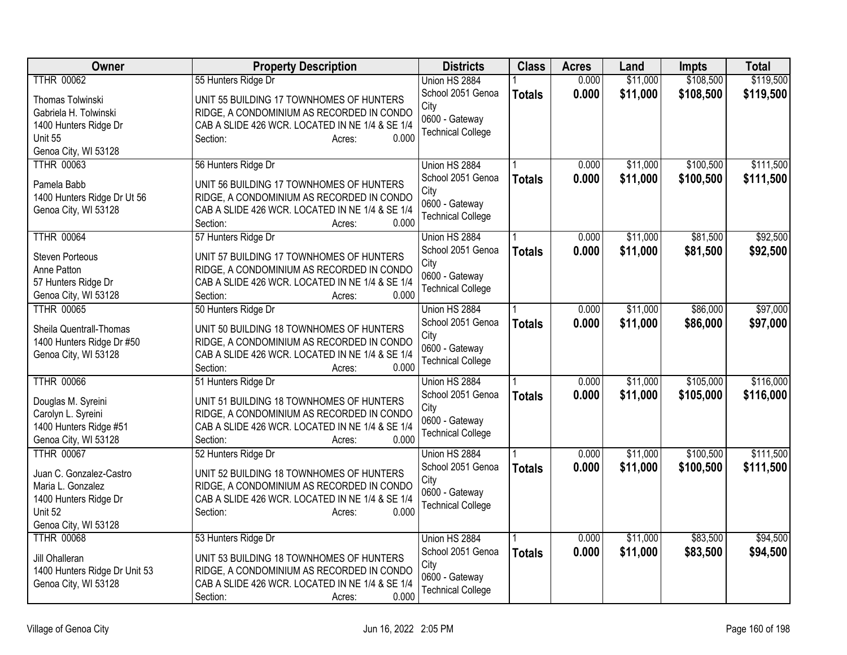| Owner                                           | <b>Property Description</b>                                                           | <b>Districts</b>         | <b>Class</b>  | <b>Acres</b> | Land     | <b>Impts</b> | <b>Total</b> |
|-------------------------------------------------|---------------------------------------------------------------------------------------|--------------------------|---------------|--------------|----------|--------------|--------------|
| <b>TTHR 00062</b>                               | 55 Hunters Ridge Dr                                                                   | Union HS 2884            |               | 0.000        | \$11,000 | \$108,500    | \$119,500    |
| Thomas Tolwinski                                | UNIT 55 BUILDING 17 TOWNHOMES OF HUNTERS                                              | School 2051 Genoa        | <b>Totals</b> | 0.000        | \$11,000 | \$108,500    | \$119,500    |
| Gabriela H. Tolwinski                           | RIDGE, A CONDOMINIUM AS RECORDED IN CONDO                                             | City                     |               |              |          |              |              |
| 1400 Hunters Ridge Dr                           | CAB A SLIDE 426 WCR. LOCATED IN NE 1/4 & SE 1/4                                       | 0600 - Gateway           |               |              |          |              |              |
| Unit 55                                         | 0.000<br>Section:<br>Acres:                                                           | <b>Technical College</b> |               |              |          |              |              |
| Genoa City, WI 53128                            |                                                                                       |                          |               |              |          |              |              |
| <b>TTHR 00063</b>                               | 56 Hunters Ridge Dr                                                                   | Union HS 2884            |               | 0.000        | \$11,000 | \$100,500    | \$111,500    |
|                                                 |                                                                                       | School 2051 Genoa        | <b>Totals</b> | 0.000        | \$11,000 | \$100,500    | \$111,500    |
| Pamela Babb                                     | UNIT 56 BUILDING 17 TOWNHOMES OF HUNTERS                                              | City                     |               |              |          |              |              |
| 1400 Hunters Ridge Dr Ut 56                     | RIDGE, A CONDOMINIUM AS RECORDED IN CONDO                                             | 0600 - Gateway           |               |              |          |              |              |
| Genoa City, WI 53128                            | CAB A SLIDE 426 WCR. LOCATED IN NE 1/4 & SE 1/4<br>0.000<br>Section:                  | <b>Technical College</b> |               |              |          |              |              |
|                                                 | Acres:                                                                                |                          |               |              |          |              |              |
| <b>TTHR 00064</b>                               | 57 Hunters Ridge Dr                                                                   | Union HS 2884            |               | 0.000        | \$11,000 | \$81,500     | \$92,500     |
| <b>Steven Porteous</b>                          | UNIT 57 BUILDING 17 TOWNHOMES OF HUNTERS                                              | School 2051 Genoa        | <b>Totals</b> | 0.000        | \$11,000 | \$81,500     | \$92,500     |
| Anne Patton                                     | RIDGE, A CONDOMINIUM AS RECORDED IN CONDO                                             | City<br>0600 - Gateway   |               |              |          |              |              |
| 57 Hunters Ridge Dr                             | CAB A SLIDE 426 WCR. LOCATED IN NE 1/4 & SE 1/4                                       | <b>Technical College</b> |               |              |          |              |              |
| Genoa City, WI 53128                            | 0.000<br>Section:<br>Acres:                                                           |                          |               |              |          |              |              |
| <b>TTHR 00065</b>                               | 50 Hunters Ridge Dr                                                                   | Union HS 2884            |               | 0.000        | \$11,000 | \$86,000     | \$97,000     |
| Sheila Quentrall-Thomas                         | UNIT 50 BUILDING 18 TOWNHOMES OF HUNTERS                                              | School 2051 Genoa        | <b>Totals</b> | 0.000        | \$11,000 | \$86,000     | \$97,000     |
| 1400 Hunters Ridge Dr #50                       | RIDGE, A CONDOMINIUM AS RECORDED IN CONDO                                             | City                     |               |              |          |              |              |
| Genoa City, WI 53128                            | CAB A SLIDE 426 WCR. LOCATED IN NE 1/4 & SE 1/4                                       | 0600 - Gateway           |               |              |          |              |              |
|                                                 | Section:<br>0.000<br>Acres:                                                           | <b>Technical College</b> |               |              |          |              |              |
| <b>TTHR 00066</b>                               | 51 Hunters Ridge Dr                                                                   | Union HS 2884            |               | 0.000        | \$11,000 | \$105,000    | \$116,000    |
|                                                 |                                                                                       | School 2051 Genoa        | <b>Totals</b> | 0.000        | \$11,000 | \$105,000    | \$116,000    |
| Douglas M. Syreini                              | UNIT 51 BUILDING 18 TOWNHOMES OF HUNTERS                                              | City                     |               |              |          |              |              |
| Carolyn L. Syreini                              | RIDGE, A CONDOMINIUM AS RECORDED IN CONDO                                             | 0600 - Gateway           |               |              |          |              |              |
| 1400 Hunters Ridge #51                          | CAB A SLIDE 426 WCR. LOCATED IN NE 1/4 & SE 1/4                                       | <b>Technical College</b> |               |              |          |              |              |
| Genoa City, WI 53128                            | Section:<br>0.000<br>Acres:                                                           |                          |               |              |          |              |              |
| <b>TTHR 00067</b>                               | 52 Hunters Ridge Dr                                                                   | Union HS 2884            |               | 0.000        | \$11,000 | \$100,500    | \$111,500    |
| Juan C. Gonzalez-Castro                         | UNIT 52 BUILDING 18 TOWNHOMES OF HUNTERS                                              | School 2051 Genoa        | <b>Totals</b> | 0.000        | \$11,000 | \$100,500    | \$111,500    |
| Maria L. Gonzalez                               | RIDGE, A CONDOMINIUM AS RECORDED IN CONDO                                             | City                     |               |              |          |              |              |
| 1400 Hunters Ridge Dr                           | CAB A SLIDE 426 WCR. LOCATED IN NE 1/4 & SE 1/4                                       | 0600 - Gateway           |               |              |          |              |              |
| Unit 52                                         | Section:<br>0.000<br>Acres:                                                           | <b>Technical College</b> |               |              |          |              |              |
| Genoa City, WI 53128                            |                                                                                       |                          |               |              |          |              |              |
| <b>TTHR 00068</b>                               | 53 Hunters Ridge Dr                                                                   | Union HS 2884            |               | 0.000        | \$11,000 | \$83,500     | \$94,500     |
|                                                 |                                                                                       | School 2051 Genoa        | <b>Totals</b> | 0.000        | \$11,000 | \$83,500     | \$94,500     |
| Jill Ohalleran<br>1400 Hunters Ridge Dr Unit 53 | UNIT 53 BUILDING 18 TOWNHOMES OF HUNTERS<br>RIDGE, A CONDOMINIUM AS RECORDED IN CONDO | City                     |               |              |          |              |              |
|                                                 |                                                                                       | 0600 - Gateway           |               |              |          |              |              |
| Genoa City, WI 53128                            | CAB A SLIDE 426 WCR. LOCATED IN NE 1/4 & SE 1/4<br>0.000                              | <b>Technical College</b> |               |              |          |              |              |
|                                                 | Section:<br>Acres:                                                                    |                          |               |              |          |              |              |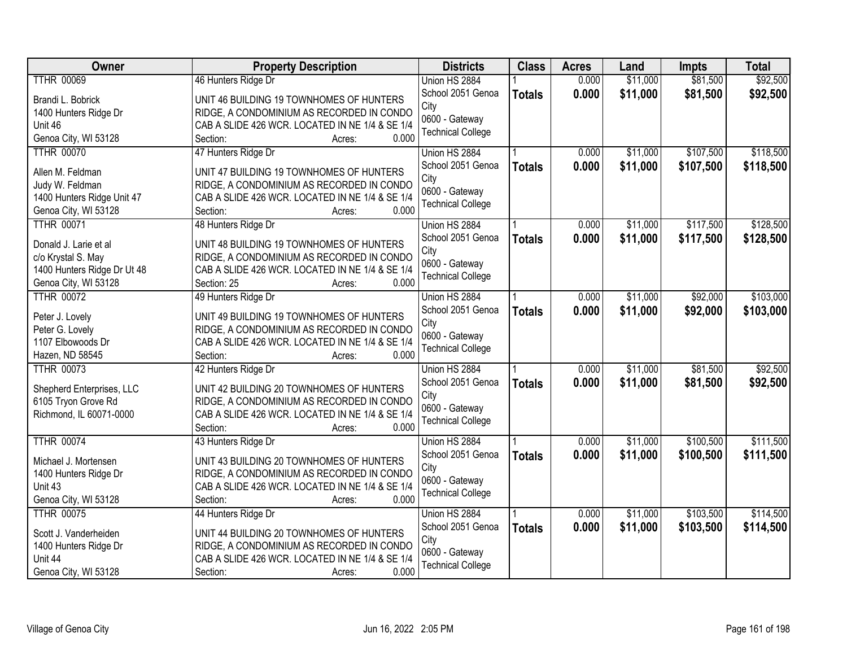| <b>Owner</b>                       | <b>Property Description</b>                                                           | <b>Districts</b>         | <b>Class</b>  | <b>Acres</b> | Land     | <b>Impts</b> | <b>Total</b> |
|------------------------------------|---------------------------------------------------------------------------------------|--------------------------|---------------|--------------|----------|--------------|--------------|
| <b>TTHR 00069</b>                  | 46 Hunters Ridge Dr                                                                   | Union HS 2884            |               | 0.000        | \$11,000 | \$81,500     | \$92,500     |
| Brandi L. Bobrick                  | UNIT 46 BUILDING 19 TOWNHOMES OF HUNTERS                                              | School 2051 Genoa        | <b>Totals</b> | 0.000        | \$11,000 | \$81,500     | \$92,500     |
| 1400 Hunters Ridge Dr              | RIDGE, A CONDOMINIUM AS RECORDED IN CONDO                                             | City                     |               |              |          |              |              |
| Unit 46                            | CAB A SLIDE 426 WCR. LOCATED IN NE 1/4 & SE 1/4                                       | 0600 - Gateway           |               |              |          |              |              |
| Genoa City, WI 53128               | 0.000<br>Section:<br>Acres:                                                           | <b>Technical College</b> |               |              |          |              |              |
| <b>TTHR 00070</b>                  | 47 Hunters Ridge Dr                                                                   | Union HS 2884            |               | 0.000        | \$11,000 | \$107,500    | \$118,500    |
|                                    |                                                                                       | School 2051 Genoa        | <b>Totals</b> | 0.000        | \$11,000 | \$107,500    | \$118,500    |
| Allen M. Feldman                   | UNIT 47 BUILDING 19 TOWNHOMES OF HUNTERS                                              | City                     |               |              |          |              |              |
| Judy W. Feldman                    | RIDGE, A CONDOMINIUM AS RECORDED IN CONDO                                             | 0600 - Gateway           |               |              |          |              |              |
| 1400 Hunters Ridge Unit 47         | CAB A SLIDE 426 WCR. LOCATED IN NE 1/4 & SE 1/4                                       | <b>Technical College</b> |               |              |          |              |              |
| Genoa City, WI 53128               | 0.000<br>Section:<br>Acres:                                                           |                          |               |              |          |              |              |
| <b>TTHR 00071</b>                  | 48 Hunters Ridge Dr                                                                   | Union HS 2884            |               | 0.000        | \$11,000 | \$117,500    | \$128,500    |
| Donald J. Larie et al              | UNIT 48 BUILDING 19 TOWNHOMES OF HUNTERS                                              | School 2051 Genoa        | <b>Totals</b> | 0.000        | \$11,000 | \$117,500    | \$128,500    |
| c/o Krystal S. May                 | RIDGE, A CONDOMINIUM AS RECORDED IN CONDO                                             | City                     |               |              |          |              |              |
| 1400 Hunters Ridge Dr Ut 48        | CAB A SLIDE 426 WCR. LOCATED IN NE 1/4 & SE 1/4                                       | 0600 - Gateway           |               |              |          |              |              |
| Genoa City, WI 53128               | 0.000<br>Section: 25<br>Acres:                                                        | <b>Technical College</b> |               |              |          |              |              |
| <b>TTHR 00072</b>                  | 49 Hunters Ridge Dr                                                                   | Union HS 2884            |               | 0.000        | \$11,000 | \$92,000     | \$103,000    |
|                                    |                                                                                       | School 2051 Genoa        | <b>Totals</b> | 0.000        | \$11,000 | \$92,000     | \$103,000    |
| Peter J. Lovely<br>Peter G. Lovely | UNIT 49 BUILDING 19 TOWNHOMES OF HUNTERS<br>RIDGE, A CONDOMINIUM AS RECORDED IN CONDO | City                     |               |              |          |              |              |
| 1107 Elbowoods Dr                  | CAB A SLIDE 426 WCR. LOCATED IN NE 1/4 & SE 1/4                                       | 0600 - Gateway           |               |              |          |              |              |
| Hazen, ND 58545                    | 0.000<br>Section:<br>Acres:                                                           | <b>Technical College</b> |               |              |          |              |              |
| <b>TTHR 00073</b>                  | 42 Hunters Ridge Dr                                                                   | Union HS 2884            |               | 0.000        | \$11,000 | \$81,500     | \$92,500     |
|                                    |                                                                                       | School 2051 Genoa        | <b>Totals</b> | 0.000        | \$11,000 | \$81,500     | \$92,500     |
| Shepherd Enterprises, LLC          | UNIT 42 BUILDING 20 TOWNHOMES OF HUNTERS                                              | City                     |               |              |          |              |              |
| 6105 Tryon Grove Rd                | RIDGE, A CONDOMINIUM AS RECORDED IN CONDO                                             | 0600 - Gateway           |               |              |          |              |              |
| Richmond, IL 60071-0000            | CAB A SLIDE 426 WCR. LOCATED IN NE 1/4 & SE 1/4                                       | <b>Technical College</b> |               |              |          |              |              |
|                                    | 0.000<br>Section:<br>Acres:                                                           |                          |               |              |          |              |              |
| <b>TTHR 00074</b>                  | 43 Hunters Ridge Dr                                                                   | Union HS 2884            |               | 0.000        | \$11,000 | \$100,500    | \$111,500    |
| Michael J. Mortensen               | UNIT 43 BUILDING 20 TOWNHOMES OF HUNTERS                                              | School 2051 Genoa        | <b>Totals</b> | 0.000        | \$11,000 | \$100,500    | \$111,500    |
| 1400 Hunters Ridge Dr              | RIDGE, A CONDOMINIUM AS RECORDED IN CONDO                                             | City                     |               |              |          |              |              |
| Unit 43                            | CAB A SLIDE 426 WCR. LOCATED IN NE 1/4 & SE 1/4                                       | 0600 - Gateway           |               |              |          |              |              |
| Genoa City, WI 53128               | 0.000<br>Section:<br>Acres:                                                           | <b>Technical College</b> |               |              |          |              |              |
| <b>TTHR 00075</b>                  | 44 Hunters Ridge Dr                                                                   | Union HS 2884            |               | 0.000        | \$11,000 | \$103,500    | \$114,500    |
|                                    |                                                                                       | School 2051 Genoa        | <b>Totals</b> | 0.000        | \$11,000 | \$103,500    | \$114,500    |
| Scott J. Vanderheiden              | UNIT 44 BUILDING 20 TOWNHOMES OF HUNTERS                                              | City                     |               |              |          |              |              |
| 1400 Hunters Ridge Dr              | RIDGE, A CONDOMINIUM AS RECORDED IN CONDO                                             | 0600 - Gateway           |               |              |          |              |              |
| Unit 44                            | CAB A SLIDE 426 WCR. LOCATED IN NE 1/4 & SE 1/4                                       | <b>Technical College</b> |               |              |          |              |              |
| Genoa City, WI 53128               | 0.000<br>Section:<br>Acres:                                                           |                          |               |              |          |              |              |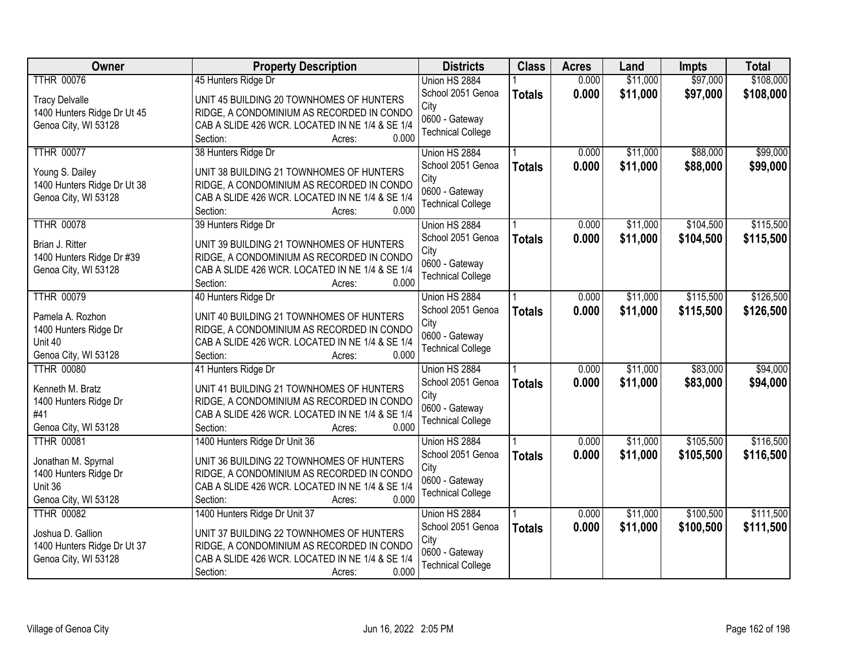| <b>Owner</b>                | <b>Property Description</b>                     | <b>Districts</b>         | <b>Class</b>  | <b>Acres</b> | Land     | Impts     | <b>Total</b> |
|-----------------------------|-------------------------------------------------|--------------------------|---------------|--------------|----------|-----------|--------------|
| <b>TTHR 00076</b>           | 45 Hunters Ridge Dr                             | Union HS 2884            |               | 0.000        | \$11,000 | \$97,000  | \$108,000    |
| <b>Tracy Delvalle</b>       | UNIT 45 BUILDING 20 TOWNHOMES OF HUNTERS        | School 2051 Genoa        | <b>Totals</b> | 0.000        | \$11,000 | \$97,000  | \$108,000    |
| 1400 Hunters Ridge Dr Ut 45 | RIDGE, A CONDOMINIUM AS RECORDED IN CONDO       | City                     |               |              |          |           |              |
| Genoa City, WI 53128        | CAB A SLIDE 426 WCR. LOCATED IN NE 1/4 & SE 1/4 | 0600 - Gateway           |               |              |          |           |              |
|                             | Section:<br>0.000<br>Acres:                     | <b>Technical College</b> |               |              |          |           |              |
| <b>TTHR 00077</b>           | 38 Hunters Ridge Dr                             | Union HS 2884            |               | 0.000        | \$11,000 | \$88,000  | \$99,000     |
| Young S. Dailey             | UNIT 38 BUILDING 21 TOWNHOMES OF HUNTERS        | School 2051 Genoa        | <b>Totals</b> | 0.000        | \$11,000 | \$88,000  | \$99,000     |
| 1400 Hunters Ridge Dr Ut 38 | RIDGE, A CONDOMINIUM AS RECORDED IN CONDO       | City                     |               |              |          |           |              |
| Genoa City, WI 53128        | CAB A SLIDE 426 WCR. LOCATED IN NE 1/4 & SE 1/4 | 0600 - Gateway           |               |              |          |           |              |
|                             | 0.000<br>Section:<br>Acres:                     | <b>Technical College</b> |               |              |          |           |              |
| <b>TTHR 00078</b>           | 39 Hunters Ridge Dr                             | Union HS 2884            |               | 0.000        | \$11,000 | \$104,500 | \$115,500    |
| Brian J. Ritter             | UNIT 39 BUILDING 21 TOWNHOMES OF HUNTERS        | School 2051 Genoa        | <b>Totals</b> | 0.000        | \$11,000 | \$104,500 | \$115,500    |
| 1400 Hunters Ridge Dr #39   | RIDGE, A CONDOMINIUM AS RECORDED IN CONDO       | City                     |               |              |          |           |              |
| Genoa City, WI 53128        | CAB A SLIDE 426 WCR. LOCATED IN NE 1/4 & SE 1/4 | 0600 - Gateway           |               |              |          |           |              |
|                             | Section:<br>0.000<br>Acres:                     | <b>Technical College</b> |               |              |          |           |              |
| <b>TTHR 00079</b>           | 40 Hunters Ridge Dr                             | Union HS 2884            |               | 0.000        | \$11,000 | \$115,500 | \$126,500    |
| Pamela A. Rozhon            | UNIT 40 BUILDING 21 TOWNHOMES OF HUNTERS        | School 2051 Genoa        | <b>Totals</b> | 0.000        | \$11,000 | \$115,500 | \$126,500    |
| 1400 Hunters Ridge Dr       | RIDGE, A CONDOMINIUM AS RECORDED IN CONDO       | City                     |               |              |          |           |              |
| Unit 40                     | CAB A SLIDE 426 WCR. LOCATED IN NE 1/4 & SE 1/4 | 0600 - Gateway           |               |              |          |           |              |
| Genoa City, WI 53128        | 0.000<br>Section:<br>Acres:                     | <b>Technical College</b> |               |              |          |           |              |
| <b>TTHR 00080</b>           | 41 Hunters Ridge Dr                             | Union HS 2884            |               | 0.000        | \$11,000 | \$83,000  | \$94,000     |
| Kenneth M. Bratz            | UNIT 41 BUILDING 21 TOWNHOMES OF HUNTERS        | School 2051 Genoa        | <b>Totals</b> | 0.000        | \$11,000 | \$83,000  | \$94,000     |
| 1400 Hunters Ridge Dr       | RIDGE, A CONDOMINIUM AS RECORDED IN CONDO       | City                     |               |              |          |           |              |
| #41                         | CAB A SLIDE 426 WCR. LOCATED IN NE 1/4 & SE 1/4 | 0600 - Gateway           |               |              |          |           |              |
| Genoa City, WI 53128        | 0.000<br>Section:<br>Acres:                     | <b>Technical College</b> |               |              |          |           |              |
| <b>TTHR 00081</b>           | 1400 Hunters Ridge Dr Unit 36                   | Union HS 2884            |               | 0.000        | \$11,000 | \$105,500 | \$116,500    |
| Jonathan M. Spyrnal         | UNIT 36 BUILDING 22 TOWNHOMES OF HUNTERS        | School 2051 Genoa        | <b>Totals</b> | 0.000        | \$11,000 | \$105,500 | \$116,500    |
| 1400 Hunters Ridge Dr       | RIDGE, A CONDOMINIUM AS RECORDED IN CONDO       | City                     |               |              |          |           |              |
| Unit 36                     | CAB A SLIDE 426 WCR. LOCATED IN NE 1/4 & SE 1/4 | 0600 - Gateway           |               |              |          |           |              |
| Genoa City, WI 53128        | 0.000<br>Section:<br>Acres:                     | <b>Technical College</b> |               |              |          |           |              |
| <b>TTHR 00082</b>           | 1400 Hunters Ridge Dr Unit 37                   | Union HS 2884            |               | 0.000        | \$11,000 | \$100,500 | \$111,500    |
| Joshua D. Gallion           | UNIT 37 BUILDING 22 TOWNHOMES OF HUNTERS        | School 2051 Genoa        | <b>Totals</b> | 0.000        | \$11,000 | \$100,500 | \$111,500    |
| 1400 Hunters Ridge Dr Ut 37 | RIDGE, A CONDOMINIUM AS RECORDED IN CONDO       | City                     |               |              |          |           |              |
| Genoa City, WI 53128        | CAB A SLIDE 426 WCR. LOCATED IN NE 1/4 & SE 1/4 | 0600 - Gateway           |               |              |          |           |              |
|                             | 0.000<br>Section:<br>Acres:                     | <b>Technical College</b> |               |              |          |           |              |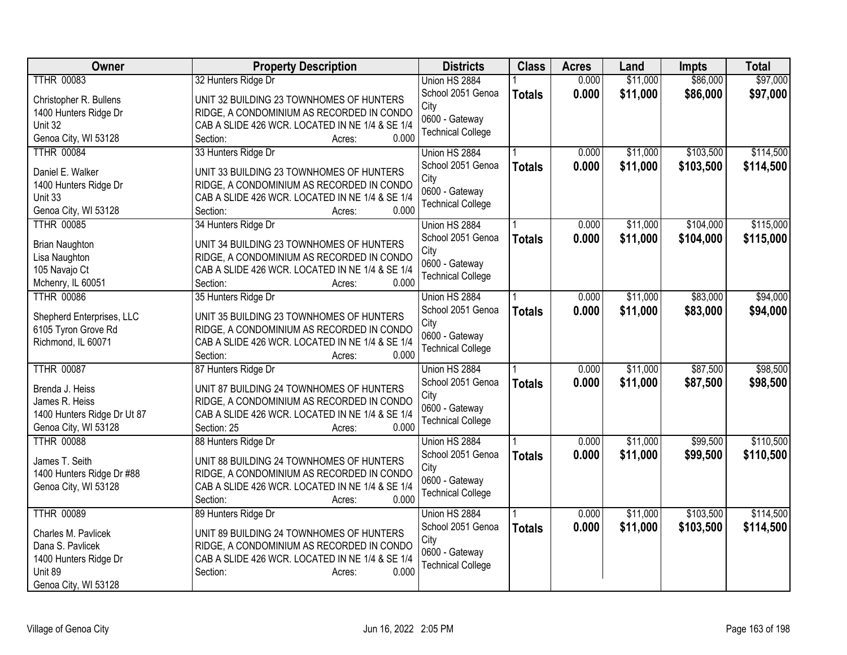| Owner                            | <b>Property Description</b>                                                                  | <b>Districts</b>         | <b>Class</b>  | <b>Acres</b> | Land     | <b>Impts</b> | <b>Total</b> |
|----------------------------------|----------------------------------------------------------------------------------------------|--------------------------|---------------|--------------|----------|--------------|--------------|
| <b>TTHR 00083</b>                | 32 Hunters Ridge Dr                                                                          | Union HS 2884            |               | 0.000        | \$11,000 | \$86,000     | \$97,000     |
| Christopher R. Bullens           | UNIT 32 BUILDING 23 TOWNHOMES OF HUNTERS                                                     | School 2051 Genoa        | <b>Totals</b> | 0.000        | \$11,000 | \$86,000     | \$97,000     |
| 1400 Hunters Ridge Dr            | RIDGE, A CONDOMINIUM AS RECORDED IN CONDO                                                    | City                     |               |              |          |              |              |
| Unit 32                          | CAB A SLIDE 426 WCR. LOCATED IN NE 1/4 & SE 1/4                                              | 0600 - Gateway           |               |              |          |              |              |
| Genoa City, WI 53128             | 0.000<br>Section:<br>Acres:                                                                  | <b>Technical College</b> |               |              |          |              |              |
| <b>TTHR 00084</b>                | 33 Hunters Ridge Dr                                                                          | Union HS 2884            |               | 0.000        | \$11,000 | \$103,500    | \$114,500    |
|                                  |                                                                                              | School 2051 Genoa        | <b>Totals</b> | 0.000        | \$11,000 | \$103,500    | \$114,500    |
| Daniel E. Walker                 | UNIT 33 BUILDING 23 TOWNHOMES OF HUNTERS<br>RIDGE, A CONDOMINIUM AS RECORDED IN CONDO        | City                     |               |              |          |              |              |
| 1400 Hunters Ridge Dr<br>Unit 33 | CAB A SLIDE 426 WCR. LOCATED IN NE 1/4 & SE 1/4                                              | 0600 - Gateway           |               |              |          |              |              |
| Genoa City, WI 53128             | Section:<br>0.000<br>Acres:                                                                  | <b>Technical College</b> |               |              |          |              |              |
| <b>TTHR 00085</b>                | 34 Hunters Ridge Dr                                                                          | Union HS 2884            |               | 0.000        | \$11,000 | \$104,000    | \$115,000    |
|                                  |                                                                                              | School 2051 Genoa        | <b>Totals</b> | 0.000        | \$11,000 | \$104,000    | \$115,000    |
| <b>Brian Naughton</b>            | UNIT 34 BUILDING 23 TOWNHOMES OF HUNTERS                                                     | City                     |               |              |          |              |              |
| Lisa Naughton                    | RIDGE, A CONDOMINIUM AS RECORDED IN CONDO                                                    | 0600 - Gateway           |               |              |          |              |              |
| 105 Navajo Ct                    | CAB A SLIDE 426 WCR. LOCATED IN NE 1/4 & SE 1/4                                              | <b>Technical College</b> |               |              |          |              |              |
| Mchenry, IL 60051                | 0.000<br>Section:<br>Acres:                                                                  |                          |               |              |          |              |              |
| <b>TTHR 00086</b>                | 35 Hunters Ridge Dr                                                                          | Union HS 2884            |               | 0.000        | \$11,000 | \$83,000     | \$94,000     |
| Shepherd Enterprises, LLC        | UNIT 35 BUILDING 23 TOWNHOMES OF HUNTERS                                                     | School 2051 Genoa        | <b>Totals</b> | 0.000        | \$11,000 | \$83,000     | \$94,000     |
| 6105 Tyron Grove Rd              | RIDGE, A CONDOMINIUM AS RECORDED IN CONDO                                                    | City<br>0600 - Gateway   |               |              |          |              |              |
| Richmond, IL 60071               | CAB A SLIDE 426 WCR. LOCATED IN NE 1/4 & SE 1/4                                              | <b>Technical College</b> |               |              |          |              |              |
|                                  | 0.000<br>Section:<br>Acres:                                                                  |                          |               |              |          |              |              |
| <b>TTHR 00087</b>                | 87 Hunters Ridge Dr                                                                          | Union HS 2884            |               | 0.000        | \$11,000 | \$87,500     | \$98,500     |
| Brenda J. Heiss                  | UNIT 87 BUILDING 24 TOWNHOMES OF HUNTERS                                                     | School 2051 Genoa        | <b>Totals</b> | 0.000        | \$11,000 | \$87,500     | \$98,500     |
| James R. Heiss                   | RIDGE, A CONDOMINIUM AS RECORDED IN CONDO                                                    | City                     |               |              |          |              |              |
| 1400 Hunters Ridge Dr Ut 87      | CAB A SLIDE 426 WCR. LOCATED IN NE 1/4 & SE 1/4                                              | 0600 - Gateway           |               |              |          |              |              |
| Genoa City, WI 53128             | 0.000<br>Section: 25<br>Acres:                                                               | <b>Technical College</b> |               |              |          |              |              |
| <b>TTHR 00088</b>                | 88 Hunters Ridge Dr                                                                          | Union HS 2884            |               | 0.000        | \$11,000 | \$99,500     | \$110,500    |
| James T. Seith                   | UNIT 88 BUILDING 24 TOWNHOMES OF HUNTERS                                                     | School 2051 Genoa        | <b>Totals</b> | 0.000        | \$11,000 | \$99,500     | \$110,500    |
| 1400 Hunters Ridge Dr #88        | RIDGE, A CONDOMINIUM AS RECORDED IN CONDO                                                    | City                     |               |              |          |              |              |
| Genoa City, WI 53128             | CAB A SLIDE 426 WCR. LOCATED IN NE 1/4 & SE 1/4                                              | 0600 - Gateway           |               |              |          |              |              |
|                                  | Section:<br>0.000<br>Acres:                                                                  | <b>Technical College</b> |               |              |          |              |              |
| <b>TTHR 00089</b>                | 89 Hunters Ridge Dr                                                                          | Union HS 2884            |               | 0.000        | \$11,000 | \$103,500    | \$114,500    |
|                                  |                                                                                              | School 2051 Genoa        | <b>Totals</b> | 0.000        | \$11,000 | \$103,500    | \$114,500    |
| Charles M. Pavlicek              | UNIT 89 BUILDING 24 TOWNHOMES OF HUNTERS                                                     | City                     |               |              |          |              |              |
| Dana S. Pavlicek                 | RIDGE, A CONDOMINIUM AS RECORDED IN CONDO<br>CAB A SLIDE 426 WCR. LOCATED IN NE 1/4 & SE 1/4 | 0600 - Gateway           |               |              |          |              |              |
| 1400 Hunters Ridge Dr<br>Unit 89 | 0.000<br>Section:<br>Acres:                                                                  | <b>Technical College</b> |               |              |          |              |              |
| Genoa City, WI 53128             |                                                                                              |                          |               |              |          |              |              |
|                                  |                                                                                              |                          |               |              |          |              |              |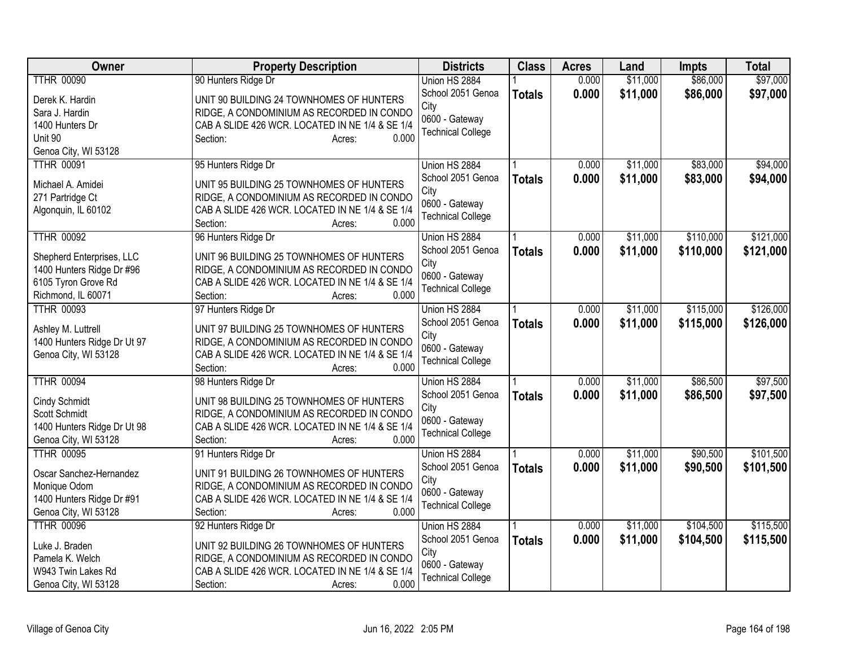| Owner                                     | <b>Property Description</b>                              | <b>Districts</b>          | <b>Class</b>  | <b>Acres</b> | Land     | Impts     | <b>Total</b> |
|-------------------------------------------|----------------------------------------------------------|---------------------------|---------------|--------------|----------|-----------|--------------|
| <b>TTHR 00090</b>                         | 90 Hunters Ridge Dr                                      | Union HS 2884             |               | 0.000        | \$11,000 | \$86,000  | \$97,000     |
| Derek K. Hardin                           | UNIT 90 BUILDING 24 TOWNHOMES OF HUNTERS                 | School 2051 Genoa         | <b>Totals</b> | 0.000        | \$11,000 | \$86,000  | \$97,000     |
| Sara J. Hardin                            | RIDGE, A CONDOMINIUM AS RECORDED IN CONDO                | City                      |               |              |          |           |              |
| 1400 Hunters Dr                           | CAB A SLIDE 426 WCR. LOCATED IN NE 1/4 & SE 1/4          | 0600 - Gateway            |               |              |          |           |              |
| Unit 90                                   | 0.000<br>Section:<br>Acres:                              | <b>Technical College</b>  |               |              |          |           |              |
| Genoa City, WI 53128                      |                                                          |                           |               |              |          |           |              |
| <b>TTHR 00091</b>                         | 95 Hunters Ridge Dr                                      | Union HS 2884             |               | 0.000        | \$11,000 | \$83,000  | \$94,000     |
| Michael A. Amidei                         | UNIT 95 BUILDING 25 TOWNHOMES OF HUNTERS                 | School 2051 Genoa         | <b>Totals</b> | 0.000        | \$11,000 | \$83,000  | \$94,000     |
|                                           | RIDGE, A CONDOMINIUM AS RECORDED IN CONDO                | City                      |               |              |          |           |              |
| 271 Partridge Ct<br>Algonquin, IL 60102   | CAB A SLIDE 426 WCR. LOCATED IN NE 1/4 & SE 1/4          | 0600 - Gateway            |               |              |          |           |              |
|                                           | 0.000<br>Section:<br>Acres:                              | <b>Technical College</b>  |               |              |          |           |              |
| <b>TTHR 00092</b>                         | 96 Hunters Ridge Dr                                      | Union HS 2884             |               | 0.000        | \$11,000 | \$110,000 | \$121,000    |
|                                           |                                                          | School 2051 Genoa         |               |              |          |           |              |
| Shepherd Enterprises, LLC                 | UNIT 96 BUILDING 25 TOWNHOMES OF HUNTERS                 | City                      | <b>Totals</b> | 0.000        | \$11,000 | \$110,000 | \$121,000    |
| 1400 Hunters Ridge Dr #96                 | RIDGE, A CONDOMINIUM AS RECORDED IN CONDO                | 0600 - Gateway            |               |              |          |           |              |
| 6105 Tyron Grove Rd                       | CAB A SLIDE 426 WCR. LOCATED IN NE 1/4 & SE 1/4          | <b>Technical College</b>  |               |              |          |           |              |
| Richmond, IL 60071                        | 0.000<br>Section:<br>Acres:                              |                           |               |              |          |           |              |
| <b>TTHR 00093</b>                         | 97 Hunters Ridge Dr                                      | Union HS 2884             |               | 0.000        | \$11,000 | \$115,000 | \$126,000    |
| Ashley M. Luttrell                        | UNIT 97 BUILDING 25 TOWNHOMES OF HUNTERS                 | School 2051 Genoa         | <b>Totals</b> | 0.000        | \$11,000 | \$115,000 | \$126,000    |
| 1400 Hunters Ridge Dr Ut 97               | RIDGE, A CONDOMINIUM AS RECORDED IN CONDO                | City                      |               |              |          |           |              |
| Genoa City, WI 53128                      | CAB A SLIDE 426 WCR. LOCATED IN NE 1/4 & SE 1/4          | 0600 - Gateway            |               |              |          |           |              |
|                                           | 0.000<br>Section:<br>Acres:                              | <b>Technical College</b>  |               |              |          |           |              |
| <b>TTHR 00094</b>                         | 98 Hunters Ridge Dr                                      | Union HS 2884             |               | 0.000        | \$11,000 | \$86,500  | \$97,500     |
|                                           |                                                          | School 2051 Genoa         | <b>Totals</b> | 0.000        | \$11,000 | \$86,500  | \$97,500     |
| Cindy Schmidt                             | UNIT 98 BUILDING 25 TOWNHOMES OF HUNTERS                 | City                      |               |              |          |           |              |
| Scott Schmidt                             | RIDGE, A CONDOMINIUM AS RECORDED IN CONDO                | 0600 - Gateway            |               |              |          |           |              |
| 1400 Hunters Ridge Dr Ut 98               | CAB A SLIDE 426 WCR. LOCATED IN NE 1/4 & SE 1/4<br>0.000 | <b>Technical College</b>  |               |              |          |           |              |
| Genoa City, WI 53128<br><b>TTHR 00095</b> | Section:<br>Acres:                                       |                           |               | 0.000        | \$11,000 | \$90,500  | \$101,500    |
|                                           | 91 Hunters Ridge Dr                                      | Union HS 2884             |               |              |          |           |              |
| Oscar Sanchez-Hernandez                   | UNIT 91 BUILDING 26 TOWNHOMES OF HUNTERS                 | School 2051 Genoa<br>City | <b>Totals</b> | 0.000        | \$11,000 | \$90,500  | \$101,500    |
| Monique Odom                              | RIDGE, A CONDOMINIUM AS RECORDED IN CONDO                | 0600 - Gateway            |               |              |          |           |              |
| 1400 Hunters Ridge Dr #91                 | CAB A SLIDE 426 WCR. LOCATED IN NE 1/4 & SE 1/4          | <b>Technical College</b>  |               |              |          |           |              |
| Genoa City, WI 53128                      | 0.000<br>Section:<br>Acres:                              |                           |               |              |          |           |              |
| <b>TTHR 00096</b>                         | 92 Hunters Ridge Dr                                      | Union HS 2884             |               | 0.000        | \$11,000 | \$104,500 | \$115,500    |
| Luke J. Braden                            | UNIT 92 BUILDING 26 TOWNHOMES OF HUNTERS                 | School 2051 Genoa         | <b>Totals</b> | 0.000        | \$11,000 | \$104,500 | \$115,500    |
| Pamela K. Welch                           | RIDGE, A CONDOMINIUM AS RECORDED IN CONDO                | City                      |               |              |          |           |              |
| W943 Twin Lakes Rd                        | CAB A SLIDE 426 WCR. LOCATED IN NE 1/4 & SE 1/4          | 0600 - Gateway            |               |              |          |           |              |
| Genoa City, WI 53128                      | 0.000<br>Section:<br>Acres:                              | <b>Technical College</b>  |               |              |          |           |              |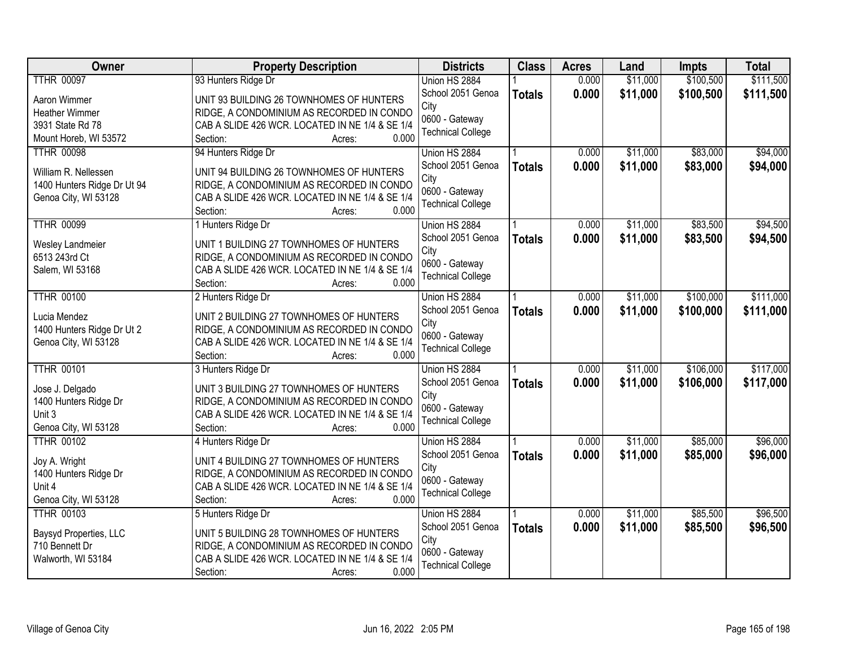| Owner                       | <b>Property Description</b>                     | <b>Districts</b>         | <b>Class</b>  | <b>Acres</b> | Land     | Impts     | <b>Total</b> |
|-----------------------------|-------------------------------------------------|--------------------------|---------------|--------------|----------|-----------|--------------|
| <b>TTHR 00097</b>           | 93 Hunters Ridge Dr                             | Union HS 2884            |               | 0.000        | \$11,000 | \$100,500 | \$111,500    |
| Aaron Wimmer                | UNIT 93 BUILDING 26 TOWNHOMES OF HUNTERS        | School 2051 Genoa        | <b>Totals</b> | 0.000        | \$11,000 | \$100,500 | \$111,500    |
| <b>Heather Wimmer</b>       | RIDGE, A CONDOMINIUM AS RECORDED IN CONDO       | City                     |               |              |          |           |              |
| 3931 State Rd 78            | CAB A SLIDE 426 WCR. LOCATED IN NE 1/4 & SE 1/4 | 0600 - Gateway           |               |              |          |           |              |
| Mount Horeb, WI 53572       | 0.000<br>Section:<br>Acres:                     | <b>Technical College</b> |               |              |          |           |              |
| <b>TTHR 00098</b>           | 94 Hunters Ridge Dr                             | Union HS 2884            |               | 0.000        | \$11,000 | \$83,000  | \$94,000     |
|                             |                                                 | School 2051 Genoa        | <b>Totals</b> | 0.000        | \$11,000 | \$83,000  | \$94,000     |
| William R. Nellessen        | UNIT 94 BUILDING 26 TOWNHOMES OF HUNTERS        | City                     |               |              |          |           |              |
| 1400 Hunters Ridge Dr Ut 94 | RIDGE, A CONDOMINIUM AS RECORDED IN CONDO       | 0600 - Gateway           |               |              |          |           |              |
| Genoa City, WI 53128        | CAB A SLIDE 426 WCR. LOCATED IN NE 1/4 & SE 1/4 | <b>Technical College</b> |               |              |          |           |              |
|                             | 0.000<br>Section:<br>Acres:                     |                          |               |              |          |           |              |
| <b>TTHR 00099</b>           | 1 Hunters Ridge Dr                              | Union HS 2884            |               | 0.000        | \$11,000 | \$83,500  | \$94,500     |
| Wesley Landmeier            | UNIT 1 BUILDING 27 TOWNHOMES OF HUNTERS         | School 2051 Genoa        | <b>Totals</b> | 0.000        | \$11,000 | \$83,500  | \$94,500     |
| 6513 243rd Ct               | RIDGE, A CONDOMINIUM AS RECORDED IN CONDO       | City                     |               |              |          |           |              |
| Salem, WI 53168             | CAB A SLIDE 426 WCR. LOCATED IN NE 1/4 & SE 1/4 | 0600 - Gateway           |               |              |          |           |              |
|                             | Section:<br>0.000<br>Acres:                     | <b>Technical College</b> |               |              |          |           |              |
| <b>TTHR 00100</b>           | 2 Hunters Ridge Dr                              | Union HS 2884            |               | 0.000        | \$11,000 | \$100,000 | \$111,000    |
|                             |                                                 | School 2051 Genoa        | <b>Totals</b> | 0.000        | \$11,000 | \$100,000 | \$111,000    |
| Lucia Mendez                | UNIT 2 BUILDING 27 TOWNHOMES OF HUNTERS         | City                     |               |              |          |           |              |
| 1400 Hunters Ridge Dr Ut 2  | RIDGE, A CONDOMINIUM AS RECORDED IN CONDO       | 0600 - Gateway           |               |              |          |           |              |
| Genoa City, WI 53128        | CAB A SLIDE 426 WCR. LOCATED IN NE 1/4 & SE 1/4 | <b>Technical College</b> |               |              |          |           |              |
|                             | Section:<br>0.000<br>Acres:                     |                          |               |              |          |           |              |
| <b>TTHR 00101</b>           | 3 Hunters Ridge Dr                              | Union HS 2884            |               | 0.000        | \$11,000 | \$106,000 | \$117,000    |
| Jose J. Delgado             | UNIT 3 BUILDING 27 TOWNHOMES OF HUNTERS         | School 2051 Genoa        | <b>Totals</b> | 0.000        | \$11,000 | \$106,000 | \$117,000    |
| 1400 Hunters Ridge Dr       | RIDGE, A CONDOMINIUM AS RECORDED IN CONDO       | City                     |               |              |          |           |              |
| Unit 3                      | CAB A SLIDE 426 WCR. LOCATED IN NE 1/4 & SE 1/4 | 0600 - Gateway           |               |              |          |           |              |
| Genoa City, WI 53128        | 0.000<br>Section:<br>Acres:                     | <b>Technical College</b> |               |              |          |           |              |
| <b>TTHR 00102</b>           | 4 Hunters Ridge Dr                              | Union HS 2884            |               | 0.000        | \$11,000 | \$85,000  | \$96,000     |
|                             |                                                 | School 2051 Genoa        | <b>Totals</b> | 0.000        | \$11,000 | \$85,000  | \$96,000     |
| Joy A. Wright               | UNIT 4 BUILDING 27 TOWNHOMES OF HUNTERS         | City                     |               |              |          |           |              |
| 1400 Hunters Ridge Dr       | RIDGE, A CONDOMINIUM AS RECORDED IN CONDO       | 0600 - Gateway           |               |              |          |           |              |
| Unit 4                      | CAB A SLIDE 426 WCR. LOCATED IN NE 1/4 & SE 1/4 | <b>Technical College</b> |               |              |          |           |              |
| Genoa City, WI 53128        | 0.000<br>Section:<br>Acres:                     |                          |               |              |          |           |              |
| <b>TTHR 00103</b>           | 5 Hunters Ridge Dr                              | Union HS 2884            |               | 0.000        | \$11,000 | \$85,500  | \$96,500     |
| Baysyd Properties, LLC      | UNIT 5 BUILDING 28 TOWNHOMES OF HUNTERS         | School 2051 Genoa        | <b>Totals</b> | 0.000        | \$11,000 | \$85,500  | \$96,500     |
| 710 Bennett Dr              | RIDGE, A CONDOMINIUM AS RECORDED IN CONDO       | City                     |               |              |          |           |              |
| Walworth, WI 53184          | CAB A SLIDE 426 WCR. LOCATED IN NE 1/4 & SE 1/4 | 0600 - Gateway           |               |              |          |           |              |
|                             | 0.000<br>Section:<br>Acres:                     | <b>Technical College</b> |               |              |          |           |              |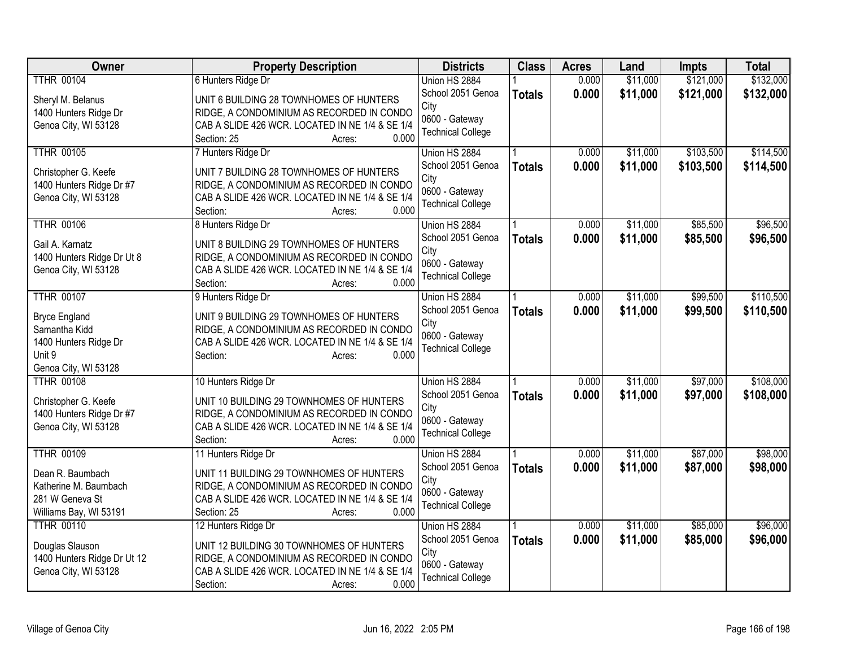| <b>Owner</b>                | <b>Property Description</b>                     | <b>Districts</b>         | <b>Class</b>  | <b>Acres</b> | Land     | Impts     | <b>Total</b> |
|-----------------------------|-------------------------------------------------|--------------------------|---------------|--------------|----------|-----------|--------------|
| <b>TTHR 00104</b>           | 6 Hunters Ridge Dr                              | Union HS 2884            |               | 0.000        | \$11,000 | \$121,000 | \$132,000    |
| Sheryl M. Belanus           | UNIT 6 BUILDING 28 TOWNHOMES OF HUNTERS         | School 2051 Genoa        | <b>Totals</b> | 0.000        | \$11,000 | \$121,000 | \$132,000    |
| 1400 Hunters Ridge Dr       | RIDGE, A CONDOMINIUM AS RECORDED IN CONDO       | City                     |               |              |          |           |              |
| Genoa City, WI 53128        | CAB A SLIDE 426 WCR. LOCATED IN NE 1/4 & SE 1/4 | 0600 - Gateway           |               |              |          |           |              |
|                             | Section: 25<br>0.000<br>Acres:                  | <b>Technical College</b> |               |              |          |           |              |
| <b>TTHR 00105</b>           | 7 Hunters Ridge Dr                              | Union HS 2884            |               | 0.000        | \$11,000 | \$103,500 | \$114,500    |
| Christopher G. Keefe        | UNIT 7 BUILDING 28 TOWNHOMES OF HUNTERS         | School 2051 Genoa        | <b>Totals</b> | 0.000        | \$11,000 | \$103,500 | \$114,500    |
| 1400 Hunters Ridge Dr #7    | RIDGE, A CONDOMINIUM AS RECORDED IN CONDO       | City                     |               |              |          |           |              |
| Genoa City, WI 53128        | CAB A SLIDE 426 WCR. LOCATED IN NE 1/4 & SE 1/4 | 0600 - Gateway           |               |              |          |           |              |
|                             | 0.000<br>Section:<br>Acres:                     | <b>Technical College</b> |               |              |          |           |              |
| <b>TTHR 00106</b>           | 8 Hunters Ridge Dr                              | Union HS 2884            |               | 0.000        | \$11,000 | \$85,500  | \$96,500     |
| Gail A. Karnatz             | UNIT 8 BUILDING 29 TOWNHOMES OF HUNTERS         | School 2051 Genoa        | <b>Totals</b> | 0.000        | \$11,000 | \$85,500  | \$96,500     |
| 1400 Hunters Ridge Dr Ut 8  | RIDGE, A CONDOMINIUM AS RECORDED IN CONDO       | City                     |               |              |          |           |              |
| Genoa City, WI 53128        | CAB A SLIDE 426 WCR. LOCATED IN NE 1/4 & SE 1/4 | 0600 - Gateway           |               |              |          |           |              |
|                             | 0.000<br>Section:<br>Acres:                     | <b>Technical College</b> |               |              |          |           |              |
| <b>TTHR 00107</b>           | 9 Hunters Ridge Dr                              | Union HS 2884            |               | 0.000        | \$11,000 | \$99,500  | \$110,500    |
| <b>Bryce England</b>        | UNIT 9 BUILDING 29 TOWNHOMES OF HUNTERS         | School 2051 Genoa        | <b>Totals</b> | 0.000        | \$11,000 | \$99,500  | \$110,500    |
| Samantha Kidd               | RIDGE, A CONDOMINIUM AS RECORDED IN CONDO       | City                     |               |              |          |           |              |
| 1400 Hunters Ridge Dr       | CAB A SLIDE 426 WCR. LOCATED IN NE 1/4 & SE 1/4 | 0600 - Gateway           |               |              |          |           |              |
| Unit 9                      | 0.000<br>Section:<br>Acres:                     | <b>Technical College</b> |               |              |          |           |              |
| Genoa City, WI 53128        |                                                 |                          |               |              |          |           |              |
| <b>TTHR 00108</b>           | 10 Hunters Ridge Dr                             | Union HS 2884            |               | 0.000        | \$11,000 | \$97,000  | \$108,000    |
| Christopher G. Keefe        | UNIT 10 BUILDING 29 TOWNHOMES OF HUNTERS        | School 2051 Genoa        | <b>Totals</b> | 0.000        | \$11,000 | \$97,000  | \$108,000    |
| 1400 Hunters Ridge Dr #7    | RIDGE, A CONDOMINIUM AS RECORDED IN CONDO       | City                     |               |              |          |           |              |
| Genoa City, WI 53128        | CAB A SLIDE 426 WCR. LOCATED IN NE 1/4 & SE 1/4 | 0600 - Gateway           |               |              |          |           |              |
|                             | 0.000<br>Section:<br>Acres:                     | <b>Technical College</b> |               |              |          |           |              |
| <b>TTHR 00109</b>           | 11 Hunters Ridge Dr                             | Union HS 2884            |               | 0.000        | \$11,000 | \$87,000  | \$98,000     |
| Dean R. Baumbach            | UNIT 11 BUILDING 29 TOWNHOMES OF HUNTERS        | School 2051 Genoa        | <b>Totals</b> | 0.000        | \$11,000 | \$87,000  | \$98,000     |
| Katherine M. Baumbach       | RIDGE, A CONDOMINIUM AS RECORDED IN CONDO       | City                     |               |              |          |           |              |
| 281 W Geneva St             | CAB A SLIDE 426 WCR. LOCATED IN NE 1/4 & SE 1/4 | 0600 - Gateway           |               |              |          |           |              |
| Williams Bay, WI 53191      | 0.000<br>Section: 25<br>Acres:                  | <b>Technical College</b> |               |              |          |           |              |
| <b>TTHR 00110</b>           | 12 Hunters Ridge Dr                             | Union HS 2884            |               | 0.000        | \$11,000 | \$85,000  | \$96,000     |
| Douglas Slauson             | UNIT 12 BUILDING 30 TOWNHOMES OF HUNTERS        | School 2051 Genoa        | <b>Totals</b> | 0.000        | \$11,000 | \$85,000  | \$96,000     |
| 1400 Hunters Ridge Dr Ut 12 | RIDGE, A CONDOMINIUM AS RECORDED IN CONDO       | City                     |               |              |          |           |              |
| Genoa City, WI 53128        | CAB A SLIDE 426 WCR. LOCATED IN NE 1/4 & SE 1/4 | 0600 - Gateway           |               |              |          |           |              |
|                             | 0.000<br>Section:<br>Acres:                     | <b>Technical College</b> |               |              |          |           |              |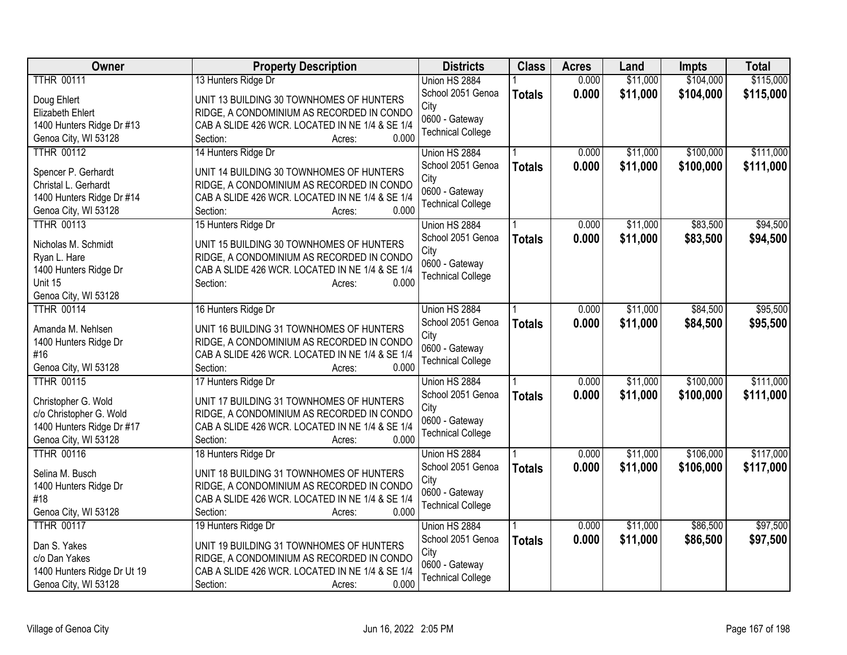| Owner                                     | <b>Property Description</b>                              | <b>Districts</b>         | <b>Class</b>  | <b>Acres</b> | Land     | Impts     | <b>Total</b> |
|-------------------------------------------|----------------------------------------------------------|--------------------------|---------------|--------------|----------|-----------|--------------|
| <b>TTHR 00111</b>                         | 13 Hunters Ridge Dr                                      | Union HS 2884            |               | 0.000        | \$11,000 | \$104,000 | \$115,000    |
| Doug Ehlert                               | UNIT 13 BUILDING 30 TOWNHOMES OF HUNTERS                 | School 2051 Genoa        | <b>Totals</b> | 0.000        | \$11,000 | \$104,000 | \$115,000    |
| Elizabeth Ehlert                          | RIDGE, A CONDOMINIUM AS RECORDED IN CONDO                | City                     |               |              |          |           |              |
| 1400 Hunters Ridge Dr #13                 | CAB A SLIDE 426 WCR. LOCATED IN NE 1/4 & SE 1/4          | 0600 - Gateway           |               |              |          |           |              |
| Genoa City, WI 53128                      | Section:<br>0.000<br>Acres:                              | <b>Technical College</b> |               |              |          |           |              |
| <b>TTHR 00112</b>                         | 14 Hunters Ridge Dr                                      | Union HS 2884            |               | 0.000        | \$11,000 | \$100,000 | \$111,000    |
|                                           |                                                          | School 2051 Genoa        | <b>Totals</b> | 0.000        | \$11,000 | \$100,000 | \$111,000    |
| Spencer P. Gerhardt                       | UNIT 14 BUILDING 30 TOWNHOMES OF HUNTERS                 | City                     |               |              |          |           |              |
| Christal L. Gerhardt                      | RIDGE, A CONDOMINIUM AS RECORDED IN CONDO                | 0600 - Gateway           |               |              |          |           |              |
| 1400 Hunters Ridge Dr #14                 | CAB A SLIDE 426 WCR. LOCATED IN NE 1/4 & SE 1/4          | <b>Technical College</b> |               |              |          |           |              |
| Genoa City, WI 53128                      | 0.000<br>Section:<br>Acres:                              |                          |               |              |          |           |              |
| <b>TTHR 00113</b>                         | 15 Hunters Ridge Dr                                      | Union HS 2884            |               | 0.000        | \$11,000 | \$83,500  | \$94,500     |
| Nicholas M. Schmidt                       | UNIT 15 BUILDING 30 TOWNHOMES OF HUNTERS                 | School 2051 Genoa        | <b>Totals</b> | 0.000        | \$11,000 | \$83,500  | \$94,500     |
| Ryan L. Hare                              | RIDGE, A CONDOMINIUM AS RECORDED IN CONDO                | City                     |               |              |          |           |              |
| 1400 Hunters Ridge Dr                     | CAB A SLIDE 426 WCR. LOCATED IN NE 1/4 & SE 1/4          | 0600 - Gateway           |               |              |          |           |              |
| Unit 15                                   | Section:<br>0.000<br>Acres:                              | <b>Technical College</b> |               |              |          |           |              |
| Genoa City, WI 53128                      |                                                          |                          |               |              |          |           |              |
| <b>TTHR 00114</b>                         | 16 Hunters Ridge Dr                                      | Union HS 2884            |               | 0.000        | \$11,000 | \$84,500  | \$95,500     |
|                                           |                                                          | School 2051 Genoa        | <b>Totals</b> | 0.000        | \$11,000 | \$84,500  | \$95,500     |
| Amanda M. Nehlsen                         | UNIT 16 BUILDING 31 TOWNHOMES OF HUNTERS                 | City                     |               |              |          |           |              |
| 1400 Hunters Ridge Dr                     | RIDGE, A CONDOMINIUM AS RECORDED IN CONDO                | 0600 - Gateway           |               |              |          |           |              |
| #16                                       | CAB A SLIDE 426 WCR. LOCATED IN NE 1/4 & SE 1/4<br>0.000 | <b>Technical College</b> |               |              |          |           |              |
| Genoa City, WI 53128<br><b>TTHR 00115</b> | Section:<br>Acres:                                       |                          |               | 0.000        | \$11,000 | \$100,000 | \$111,000    |
|                                           | 17 Hunters Ridge Dr                                      | Union HS 2884            |               |              |          |           |              |
| Christopher G. Wold                       | UNIT 17 BUILDING 31 TOWNHOMES OF HUNTERS                 | School 2051 Genoa        | <b>Totals</b> | 0.000        | \$11,000 | \$100,000 | \$111,000    |
| c/o Christopher G. Wold                   | RIDGE, A CONDOMINIUM AS RECORDED IN CONDO                | City<br>0600 - Gateway   |               |              |          |           |              |
| 1400 Hunters Ridge Dr #17                 | CAB A SLIDE 426 WCR. LOCATED IN NE 1/4 & SE 1/4          | <b>Technical College</b> |               |              |          |           |              |
| Genoa City, WI 53128                      | 0.000<br>Section:<br>Acres:                              |                          |               |              |          |           |              |
| <b>TTHR 00116</b>                         | 18 Hunters Ridge Dr                                      | Union HS 2884            |               | 0.000        | \$11,000 | \$106,000 | \$117,000    |
| Selina M. Busch                           | UNIT 18 BUILDING 31 TOWNHOMES OF HUNTERS                 | School 2051 Genoa        | <b>Totals</b> | 0.000        | \$11,000 | \$106,000 | \$117,000    |
| 1400 Hunters Ridge Dr                     | RIDGE, A CONDOMINIUM AS RECORDED IN CONDO                | City                     |               |              |          |           |              |
| #18                                       | CAB A SLIDE 426 WCR. LOCATED IN NE 1/4 & SE 1/4          | 0600 - Gateway           |               |              |          |           |              |
| Genoa City, WI 53128                      | 0.000<br>Section:<br>Acres:                              | <b>Technical College</b> |               |              |          |           |              |
| <b>TTHR 00117</b>                         | 19 Hunters Ridge Dr                                      | Union HS 2884            |               | 0.000        | \$11,000 | \$86,500  | \$97,500     |
|                                           |                                                          | School 2051 Genoa        | <b>Totals</b> | 0.000        | \$11,000 | \$86,500  | \$97,500     |
| Dan S. Yakes                              | UNIT 19 BUILDING 31 TOWNHOMES OF HUNTERS                 | City                     |               |              |          |           |              |
| c/o Dan Yakes                             | RIDGE, A CONDOMINIUM AS RECORDED IN CONDO                | 0600 - Gateway           |               |              |          |           |              |
| 1400 Hunters Ridge Dr Ut 19               | CAB A SLIDE 426 WCR. LOCATED IN NE 1/4 & SE 1/4          | <b>Technical College</b> |               |              |          |           |              |
| Genoa City, WI 53128                      | 0.000<br>Section:<br>Acres:                              |                          |               |              |          |           |              |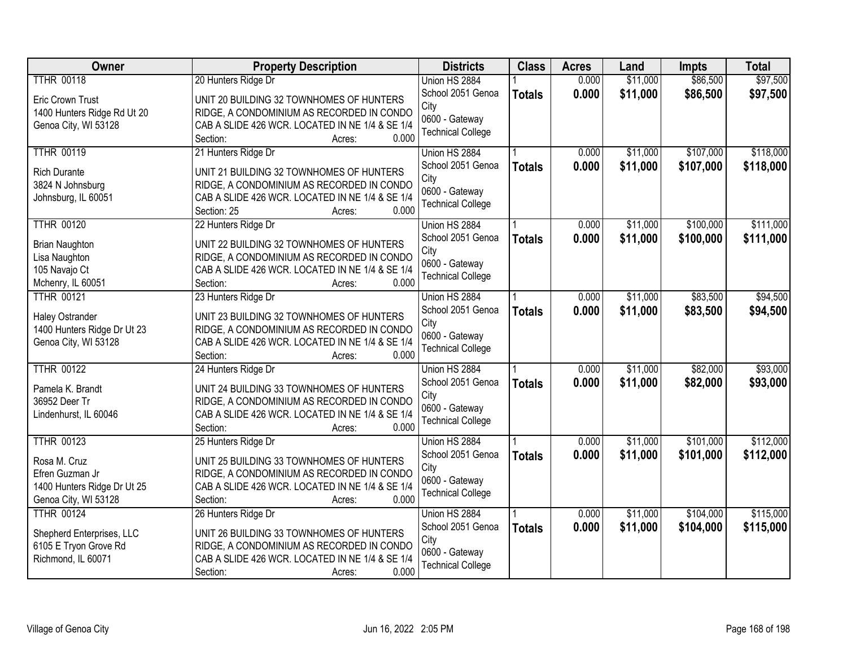| <b>Owner</b>                | <b>Property Description</b>                                          | <b>Districts</b>         | <b>Class</b>  | <b>Acres</b> | Land     | Impts     | <b>Total</b> |
|-----------------------------|----------------------------------------------------------------------|--------------------------|---------------|--------------|----------|-----------|--------------|
| <b>TTHR 00118</b>           | 20 Hunters Ridge Dr                                                  | Union HS 2884            |               | 0.000        | \$11,000 | \$86,500  | \$97,500     |
| <b>Eric Crown Trust</b>     | UNIT 20 BUILDING 32 TOWNHOMES OF HUNTERS                             | School 2051 Genoa        | <b>Totals</b> | 0.000        | \$11,000 | \$86,500  | \$97,500     |
| 1400 Hunters Ridge Rd Ut 20 | RIDGE, A CONDOMINIUM AS RECORDED IN CONDO                            | City                     |               |              |          |           |              |
| Genoa City, WI 53128        | CAB A SLIDE 426 WCR. LOCATED IN NE 1/4 & SE 1/4                      | 0600 - Gateway           |               |              |          |           |              |
|                             | 0.000<br>Section:<br>Acres:                                          | <b>Technical College</b> |               |              |          |           |              |
| <b>TTHR 00119</b>           | 21 Hunters Ridge Dr                                                  | Union HS 2884            |               | 0.000        | \$11,000 | \$107,000 | \$118,000    |
| <b>Rich Durante</b>         | UNIT 21 BUILDING 32 TOWNHOMES OF HUNTERS                             | School 2051 Genoa        | <b>Totals</b> | 0.000        | \$11,000 | \$107,000 | \$118,000    |
| 3824 N Johnsburg            | RIDGE, A CONDOMINIUM AS RECORDED IN CONDO                            | City                     |               |              |          |           |              |
| Johnsburg, IL 60051         | CAB A SLIDE 426 WCR. LOCATED IN NE 1/4 & SE 1/4                      | 0600 - Gateway           |               |              |          |           |              |
|                             | 0.000<br>Section: 25<br>Acres:                                       | <b>Technical College</b> |               |              |          |           |              |
| <b>TTHR 00120</b>           | 22 Hunters Ridge Dr                                                  | Union HS 2884            |               | 0.000        | \$11,000 | \$100,000 | \$111,000    |
| <b>Brian Naughton</b>       | UNIT 22 BUILDING 32 TOWNHOMES OF HUNTERS                             | School 2051 Genoa        | <b>Totals</b> | 0.000        | \$11,000 | \$100,000 | \$111,000    |
| Lisa Naughton               | RIDGE, A CONDOMINIUM AS RECORDED IN CONDO                            | City                     |               |              |          |           |              |
| 105 Navajo Ct               | CAB A SLIDE 426 WCR. LOCATED IN NE 1/4 & SE 1/4                      | 0600 - Gateway           |               |              |          |           |              |
| Mchenry, IL 60051           | 0.000<br>Section:<br>Acres:                                          | <b>Technical College</b> |               |              |          |           |              |
| <b>TTHR 00121</b>           | 23 Hunters Ridge Dr                                                  | Union HS 2884            |               | 0.000        | \$11,000 | \$83,500  | \$94,500     |
|                             |                                                                      | School 2051 Genoa        | <b>Totals</b> | 0.000        | \$11,000 | \$83,500  | \$94,500     |
| <b>Haley Ostrander</b>      | UNIT 23 BUILDING 32 TOWNHOMES OF HUNTERS                             | City                     |               |              |          |           |              |
| 1400 Hunters Ridge Dr Ut 23 | RIDGE, A CONDOMINIUM AS RECORDED IN CONDO                            | 0600 - Gateway           |               |              |          |           |              |
| Genoa City, WI 53128        | CAB A SLIDE 426 WCR. LOCATED IN NE 1/4 & SE 1/4<br>0.000<br>Section: | <b>Technical College</b> |               |              |          |           |              |
| <b>TTHR 00122</b>           | Acres:<br>24 Hunters Ridge Dr                                        | Union HS 2884            |               | 0.000        | \$11,000 | \$82,000  | \$93,000     |
|                             |                                                                      | School 2051 Genoa        |               | 0.000        | \$11,000 | \$82,000  | \$93,000     |
| Pamela K. Brandt            | UNIT 24 BUILDING 33 TOWNHOMES OF HUNTERS                             | City                     | <b>Totals</b> |              |          |           |              |
| 36952 Deer Tr               | RIDGE, A CONDOMINIUM AS RECORDED IN CONDO                            | 0600 - Gateway           |               |              |          |           |              |
| Lindenhurst, IL 60046       | CAB A SLIDE 426 WCR. LOCATED IN NE 1/4 & SE 1/4                      | <b>Technical College</b> |               |              |          |           |              |
|                             | 0.000<br>Section:<br>Acres:                                          |                          |               |              |          |           |              |
| <b>TTHR 00123</b>           | 25 Hunters Ridge Dr                                                  | Union HS 2884            |               | 0.000        | \$11,000 | \$101,000 | \$112,000    |
| Rosa M. Cruz                | UNIT 25 BUILDING 33 TOWNHOMES OF HUNTERS                             | School 2051 Genoa        | <b>Totals</b> | 0.000        | \$11,000 | \$101,000 | \$112,000    |
| Efren Guzman Jr             | RIDGE, A CONDOMINIUM AS RECORDED IN CONDO                            | City                     |               |              |          |           |              |
| 1400 Hunters Ridge Dr Ut 25 | CAB A SLIDE 426 WCR. LOCATED IN NE 1/4 & SE 1/4                      | 0600 - Gateway           |               |              |          |           |              |
| Genoa City, WI 53128        | 0.000<br>Section:<br>Acres:                                          | <b>Technical College</b> |               |              |          |           |              |
| <b>TTHR 00124</b>           | 26 Hunters Ridge Dr                                                  | Union HS 2884            |               | 0.000        | \$11,000 | \$104,000 | \$115,000    |
| Shepherd Enterprises, LLC   | UNIT 26 BUILDING 33 TOWNHOMES OF HUNTERS                             | School 2051 Genoa        | <b>Totals</b> | 0.000        | \$11,000 | \$104,000 | \$115,000    |
| 6105 E Tryon Grove Rd       | RIDGE, A CONDOMINIUM AS RECORDED IN CONDO                            | City                     |               |              |          |           |              |
| Richmond, IL 60071          | CAB A SLIDE 426 WCR. LOCATED IN NE 1/4 & SE 1/4                      | 0600 - Gateway           |               |              |          |           |              |
|                             | 0.000<br>Section:<br>Acres:                                          | <b>Technical College</b> |               |              |          |           |              |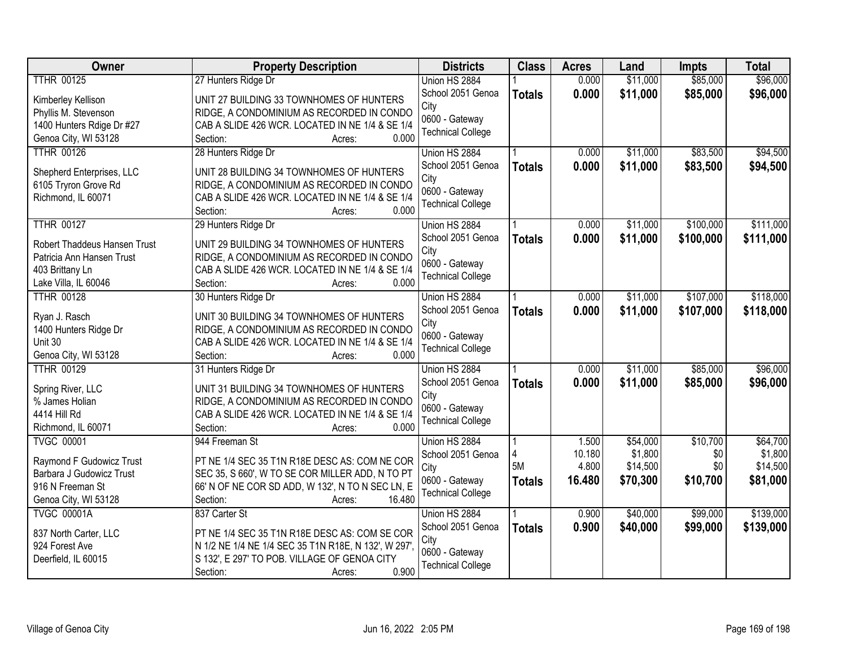| Owner                        | <b>Property Description</b>                         | <b>Districts</b>         | <b>Class</b>  | <b>Acres</b> | Land     | <b>Impts</b> | <b>Total</b> |
|------------------------------|-----------------------------------------------------|--------------------------|---------------|--------------|----------|--------------|--------------|
| <b>TTHR 00125</b>            | 27 Hunters Ridge Dr                                 | Union HS 2884            |               | 0.000        | \$11,000 | \$85,000     | \$96,000     |
| Kimberley Kellison           | UNIT 27 BUILDING 33 TOWNHOMES OF HUNTERS            | School 2051 Genoa        | <b>Totals</b> | 0.000        | \$11,000 | \$85,000     | \$96,000     |
| Phyllis M. Stevenson         | RIDGE, A CONDOMINIUM AS RECORDED IN CONDO           | City                     |               |              |          |              |              |
| 1400 Hunters Rdige Dr #27    | CAB A SLIDE 426 WCR. LOCATED IN NE 1/4 & SE 1/4     | 0600 - Gateway           |               |              |          |              |              |
| Genoa City, WI 53128         | 0.000<br>Section:<br>Acres:                         | <b>Technical College</b> |               |              |          |              |              |
| <b>TTHR 00126</b>            | 28 Hunters Ridge Dr                                 | Union HS 2884            |               | 0.000        | \$11,000 | \$83,500     | \$94,500     |
|                              |                                                     | School 2051 Genoa        | <b>Totals</b> | 0.000        | \$11,000 | \$83,500     | \$94,500     |
| Shepherd Enterprises, LLC    | UNIT 28 BUILDING 34 TOWNHOMES OF HUNTERS            | City                     |               |              |          |              |              |
| 6105 Tryron Grove Rd         | RIDGE, A CONDOMINIUM AS RECORDED IN CONDO           | 0600 - Gateway           |               |              |          |              |              |
| Richmond, IL 60071           | CAB A SLIDE 426 WCR. LOCATED IN NE 1/4 & SE 1/4     | <b>Technical College</b> |               |              |          |              |              |
|                              | 0.000<br>Section:<br>Acres:                         |                          |               |              |          |              |              |
| <b>TTHR 00127</b>            | 29 Hunters Ridge Dr                                 | Union HS 2884            |               | 0.000        | \$11,000 | \$100,000    | \$111,000    |
| Robert Thaddeus Hansen Trust | UNIT 29 BUILDING 34 TOWNHOMES OF HUNTERS            | School 2051 Genoa        | <b>Totals</b> | 0.000        | \$11,000 | \$100,000    | \$111,000    |
| Patricia Ann Hansen Trust    | RIDGE, A CONDOMINIUM AS RECORDED IN CONDO           | City                     |               |              |          |              |              |
| 403 Brittany Ln              | CAB A SLIDE 426 WCR. LOCATED IN NE 1/4 & SE 1/4     | 0600 - Gateway           |               |              |          |              |              |
| Lake Villa, IL 60046         | Section:<br>0.000<br>Acres:                         | <b>Technical College</b> |               |              |          |              |              |
| <b>TTHR 00128</b>            | 30 Hunters Ridge Dr                                 | Union HS 2884            |               | 0.000        | \$11,000 | \$107,000    | \$118,000    |
|                              |                                                     | School 2051 Genoa        | <b>Totals</b> | 0.000        | \$11,000 | \$107,000    | \$118,000    |
| Ryan J. Rasch                | UNIT 30 BUILDING 34 TOWNHOMES OF HUNTERS            | City                     |               |              |          |              |              |
| 1400 Hunters Ridge Dr        | RIDGE, A CONDOMINIUM AS RECORDED IN CONDO           | 0600 - Gateway           |               |              |          |              |              |
| Unit 30                      | CAB A SLIDE 426 WCR. LOCATED IN NE 1/4 & SE 1/4     | <b>Technical College</b> |               |              |          |              |              |
| Genoa City, WI 53128         | 0.000<br>Section:<br>Acres:                         |                          |               |              |          |              |              |
| <b>TTHR 00129</b>            | 31 Hunters Ridge Dr                                 | Union HS 2884            |               | 0.000        | \$11,000 | \$85,000     | \$96,000     |
| Spring River, LLC            | UNIT 31 BUILDING 34 TOWNHOMES OF HUNTERS            | School 2051 Genoa        | <b>Totals</b> | 0.000        | \$11,000 | \$85,000     | \$96,000     |
| % James Holian               | RIDGE, A CONDOMINIUM AS RECORDED IN CONDO           | City                     |               |              |          |              |              |
| 4414 Hill Rd                 | CAB A SLIDE 426 WCR. LOCATED IN NE 1/4 & SE 1/4     | 0600 - Gateway           |               |              |          |              |              |
| Richmond, IL 60071           | 0.000<br>Section:<br>Acres:                         | <b>Technical College</b> |               |              |          |              |              |
| <b>TVGC 00001</b>            | 944 Freeman St                                      | Union HS 2884            |               | 1.500        | \$54,000 | \$10,700     | \$64,700     |
|                              |                                                     | School 2051 Genoa        | 4             | 10.180       | \$1,800  | \$0          | \$1,800      |
| Raymond F Gudowicz Trust     | PT NE 1/4 SEC 35 T1N R18E DESC AS: COM NE COR       | City                     | 5M            | 4.800        | \$14,500 | \$0          | \$14,500     |
| Barbara J Gudowicz Trust     | SEC 35, S 660', W TO SE COR MILLER ADD, N TO PT     | 0600 - Gateway           | <b>Totals</b> | 16.480       | \$70,300 | \$10,700     | \$81,000     |
| 916 N Freeman St             | 66' N OF NE COR SD ADD, W 132', N TO N SEC LN, E    | <b>Technical College</b> |               |              |          |              |              |
| Genoa City, WI 53128         | 16.480<br>Section:<br>Acres:                        |                          |               |              |          |              |              |
| <b>TVGC 00001A</b>           | 837 Carter St                                       | Union HS 2884            |               | 0.900        | \$40,000 | \$99,000     | \$139,000    |
| 837 North Carter, LLC        | PT NE 1/4 SEC 35 T1N R18E DESC AS: COM SE COR       | School 2051 Genoa        | <b>Totals</b> | 0.900        | \$40,000 | \$99,000     | \$139,000    |
| 924 Forest Ave               | N 1/2 NE 1/4 NE 1/4 SEC 35 T1N R18E, N 132', W 297' | City                     |               |              |          |              |              |
| Deerfield, IL 60015          | S 132', E 297' TO POB. VILLAGE OF GENOA CITY        | 0600 - Gateway           |               |              |          |              |              |
|                              | 0.900<br>Section:<br>Acres:                         | <b>Technical College</b> |               |              |          |              |              |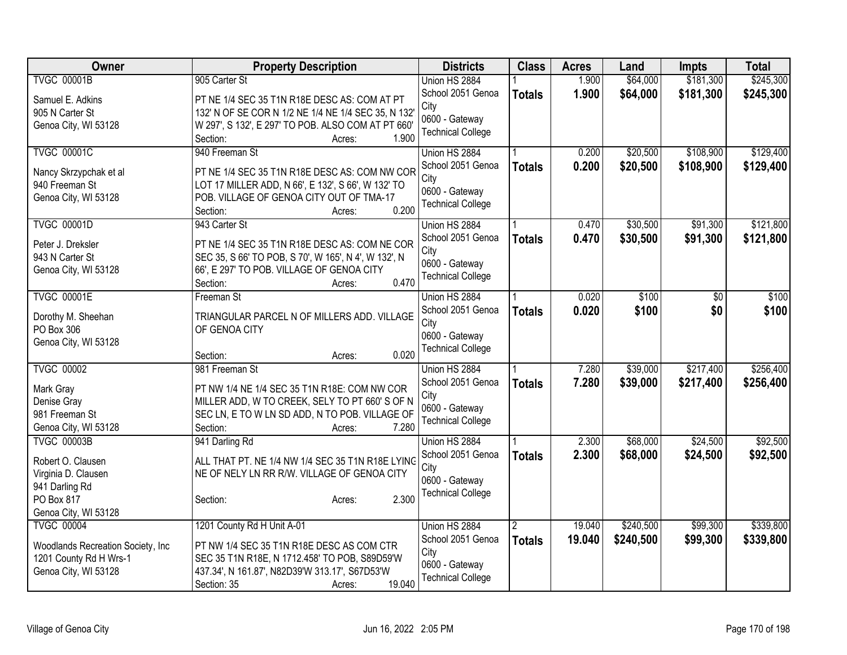| <b>Class</b><br>Owner<br><b>Property Description</b><br><b>Districts</b><br><b>Acres</b><br>Land<br><b>Impts</b>                                                   | <b>Total</b> |
|--------------------------------------------------------------------------------------------------------------------------------------------------------------------|--------------|
| \$181,300<br><b>TVGC 00001B</b><br>905 Carter St<br>Union HS 2884<br>1.900<br>\$64,000                                                                             | \$245,300    |
| 1.900<br>\$64,000<br>School 2051 Genoa<br>\$181,300<br><b>Totals</b><br>Samuel E. Adkins<br>PT NE 1/4 SEC 35 T1N R18E DESC AS: COM AT PT                           | \$245,300    |
| City<br>132' N OF SE COR N 1/2 NE 1/4 NE 1/4 SEC 35, N 132'<br>905 N Carter St                                                                                     |              |
| 0600 - Gateway<br>W 297', S 132', E 297' TO POB. ALSO COM AT PT 660'<br>Genoa City, WI 53128                                                                       |              |
| <b>Technical College</b><br>1.900<br>Section:<br>Acres:                                                                                                            |              |
| <b>TVGC 00001C</b><br>\$108,900<br>940 Freeman St<br>\$20,500<br>Union HS 2884<br>0.200                                                                            | \$129,400    |
| 0.200<br>School 2051 Genoa<br>\$20,500<br>\$108,900<br><b>Totals</b>                                                                                               | \$129,400    |
| PT NE 1/4 SEC 35 T1N R18E DESC AS: COM NW COR<br>Nancy Skrzypchak et al<br>City                                                                                    |              |
| LOT 17 MILLER ADD, N 66', E 132', S 66', W 132' TO<br>940 Freeman St<br>0600 - Gateway<br>Genoa City, WI 53128<br>POB. VILLAGE OF GENOA CITY OUT OF TMA-17         |              |
| <b>Technical College</b><br>0.200<br>Section:<br>Acres:                                                                                                            |              |
| <b>TVGC 00001D</b><br>\$30,500<br>\$91,300<br>943 Carter St<br>Union HS 2884<br>0.470                                                                              | \$121,800    |
| 0.470<br>School 2051 Genoa<br>\$30,500<br>\$91,300<br><b>Totals</b>                                                                                                | \$121,800    |
| PT NE 1/4 SEC 35 T1N R18E DESC AS: COM NE COR<br>Peter J. Dreksler<br>City                                                                                         |              |
| 943 N Carter St<br>SEC 35, S 66' TO POB, S 70', W 165', N 4', W 132', N<br>0600 - Gateway                                                                          |              |
| 66', E 297' TO POB. VILLAGE OF GENOA CITY<br>Genoa City, WI 53128<br><b>Technical College</b><br>0.470                                                             |              |
| Section:<br>Acres:                                                                                                                                                 |              |
| <b>TVGC 00001E</b><br>\$100<br>Freeman St<br>Union HS 2884<br>0.020                                                                                                | \$100<br>\$0 |
| 0.020<br>\$100<br>School 2051 Genoa<br>\$0<br><b>Totals</b><br>Dorothy M. Sheehan<br>TRIANGULAR PARCEL N OF MILLERS ADD. VILLAGE<br>City                           | \$100        |
| PO Box 306<br>OF GENOA CITY<br>0600 - Gateway                                                                                                                      |              |
| Genoa City, WI 53128<br><b>Technical College</b>                                                                                                                   |              |
| 0.020<br>Section:<br>Acres:                                                                                                                                        |              |
| <b>TVGC 00002</b><br>\$217,400<br>7.280<br>\$39,000<br>981 Freeman St<br>Union HS 2884                                                                             | \$256,400    |
| 7.280<br>\$39,000<br>School 2051 Genoa<br>\$217,400<br><b>Totals</b><br>Mark Gray<br>PT NW 1/4 NE 1/4 SEC 35 T1N R18E: COM NW COR                                  | \$256,400    |
| City<br>MILLER ADD, W TO CREEK, SELY TO PT 660' S OF N<br>Denise Gray                                                                                              |              |
| 0600 - Gateway<br>SEC LN, E TO W LN SD ADD, N TO POB. VILLAGE OF<br>981 Freeman St                                                                                 |              |
| <b>Technical College</b><br>7.280<br>Genoa City, WI 53128<br>Section:<br>Acres:                                                                                    |              |
| \$68,000<br>\$24,500<br><b>TVGC 00003B</b><br>941 Darling Rd<br>Union HS 2884<br>2.300                                                                             | \$92,500     |
| School 2051 Genoa<br>2.300<br>\$68,000<br>\$24,500<br><b>Totals</b><br>Robert O. Clausen<br>ALL THAT PT. NE 1/4 NW 1/4 SEC 35 T1N R18E LYING                       | \$92,500     |
| City<br>Virginia D. Clausen<br>NE OF NELY LN RR R/W. VILLAGE OF GENOA CITY                                                                                         |              |
| 0600 - Gateway<br>941 Darling Rd                                                                                                                                   |              |
| <b>Technical College</b><br>2.300<br>PO Box 817<br>Section:<br>Acres:                                                                                              |              |
| Genoa City, WI 53128                                                                                                                                               |              |
| 1201 County Rd H Unit A-01<br>\$240,500<br>\$99,300<br><b>TVGC 00004</b><br>Union HS 2884<br>19.040<br>2                                                           | \$339,800    |
| School 2051 Genoa<br>19.040<br>\$99,300<br>\$240,500<br><b>Totals</b>                                                                                              | \$339,800    |
| Woodlands Recreation Society, Inc.<br>PT NW 1/4 SEC 35 T1N R18E DESC AS COM CTR<br>City<br>1201 County Rd H Wrs-1<br>SEC 35 T1N R18E, N 1712.458' TO POB, S89D59'W |              |
| 0600 - Gateway<br>Genoa City, WI 53128<br>437.34', N 161.87', N82D39'W 313.17', S67D53'W                                                                           |              |
| <b>Technical College</b><br>19.040<br>Section: 35<br>Acres:                                                                                                        |              |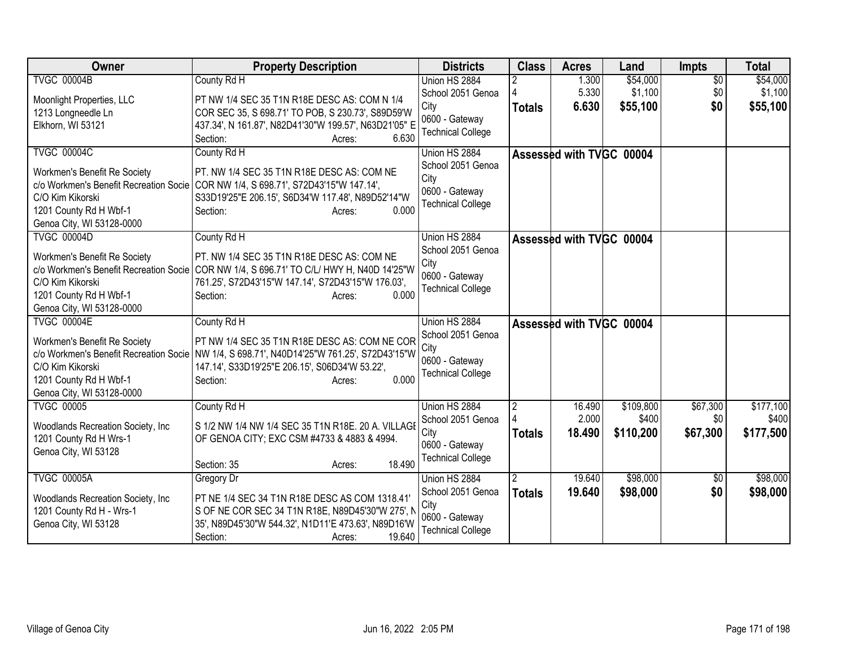| Owner                                  | <b>Property Description</b>                                                                | <b>Districts</b>         | <b>Class</b>   | <b>Acres</b>             | Land      | <b>Impts</b>    | <b>Total</b> |
|----------------------------------------|--------------------------------------------------------------------------------------------|--------------------------|----------------|--------------------------|-----------|-----------------|--------------|
| <b>TVGC 00004B</b>                     | County Rd H                                                                                | Union HS 2884            |                | 1.300                    | \$54,000  | $\overline{50}$ | \$54,000     |
| Moonlight Properties, LLC              | PT NW 1/4 SEC 35 T1N R18E DESC AS: COM N 1/4                                               | School 2051 Genoa        |                | 5.330                    | \$1,100   | \$0             | \$1,100      |
| 1213 Longneedle Ln                     | COR SEC 35, S 698.71' TO POB, S 230.73', S89D59'W                                          | City                     | <b>Totals</b>  | 6.630                    | \$55,100  | \$0             | \$55,100     |
| Elkhorn, WI 53121                      | 437.34', N 161.87', N82D41'30"W 199.57', N63D21'05" E                                      | 0600 - Gateway           |                |                          |           |                 |              |
|                                        | 6.630<br>Section:<br>Acres:                                                                | <b>Technical College</b> |                |                          |           |                 |              |
| <b>TVGC 00004C</b>                     | County Rd H                                                                                | Union HS 2884            |                | Assessed with TVGC 00004 |           |                 |              |
| Workmen's Benefit Re Society           | PT. NW 1/4 SEC 35 T1N R18E DESC AS: COM NE                                                 | School 2051 Genoa        |                |                          |           |                 |              |
| c/o Workmen's Benefit Recreation Socie | COR NW 1/4, S 698.71', S72D43'15"W 147.14',                                                | City                     |                |                          |           |                 |              |
| C/O Kim Kikorski                       | S33D19'25"E 206.15', S6D34'W 117.48', N89D52'14"W                                          | 0600 - Gateway           |                |                          |           |                 |              |
| 1201 County Rd H Wbf-1                 | Section:<br>0.000<br>Acres:                                                                | <b>Technical College</b> |                |                          |           |                 |              |
| Genoa City, WI 53128-0000              |                                                                                            |                          |                |                          |           |                 |              |
| <b>TVGC 00004D</b>                     | County Rd H                                                                                | Union HS 2884            |                | Assessed with TVGC 00004 |           |                 |              |
| Workmen's Benefit Re Society           | PT. NW 1/4 SEC 35 T1N R18E DESC AS: COM NE                                                 | School 2051 Genoa        |                |                          |           |                 |              |
|                                        | c/o Workmen's Benefit Recreation Socie COR NW 1/4, S 696.71' TO C/L/ HWY H, N40D 14'25"W   | City                     |                |                          |           |                 |              |
| C/O Kim Kikorski                       | 761.25', S72D43'15"W 147.14', S72D43'15"W 176.03',                                         | 0600 - Gateway           |                |                          |           |                 |              |
| 1201 County Rd H Wbf-1                 | Section:<br>0.000<br>Acres:                                                                | <b>Technical College</b> |                |                          |           |                 |              |
| Genoa City, WI 53128-0000              |                                                                                            |                          |                |                          |           |                 |              |
| <b>TVGC 00004E</b>                     | County Rd H                                                                                | Union HS 2884            |                | Assessed with TVGC 00004 |           |                 |              |
| Workmen's Benefit Re Society           | PT NW 1/4 SEC 35 T1N R18E DESC AS: COM NE COR                                              | School 2051 Genoa        |                |                          |           |                 |              |
|                                        | c/o Workmen's Benefit Recreation Socie NW 1/4, S 698.71', N40D14'25"W 761.25', S72D43'15"W | City                     |                |                          |           |                 |              |
| C/O Kim Kikorski                       | 147.14', S33D19'25"E 206.15', S06D34'W 53.22',                                             | 0600 - Gateway           |                |                          |           |                 |              |
| 1201 County Rd H Wbf-1                 | 0.000<br>Section:<br>Acres:                                                                | <b>Technical College</b> |                |                          |           |                 |              |
| Genoa City, WI 53128-0000              |                                                                                            |                          |                |                          |           |                 |              |
| <b>TVGC 00005</b>                      | County Rd H                                                                                | Union HS 2884            | $\overline{2}$ | 16.490                   | \$109,800 | \$67,300        | \$177,100    |
| Woodlands Recreation Society, Inc.     | S 1/2 NW 1/4 NW 1/4 SEC 35 T1N R18E. 20 A. VILLAGE                                         | School 2051 Genoa        |                | 2.000                    | \$400     | \$0             | \$400        |
| 1201 County Rd H Wrs-1                 | OF GENOA CITY; EXC CSM #4733 & 4883 & 4994.                                                | City                     | <b>Totals</b>  | 18.490                   | \$110,200 | \$67,300        | \$177,500    |
| Genoa City, WI 53128                   |                                                                                            | 0600 - Gateway           |                |                          |           |                 |              |
|                                        | 18.490<br>Section: 35<br>Acres:                                                            | <b>Technical College</b> |                |                          |           |                 |              |
| <b>TVGC 00005A</b>                     | Gregory Dr                                                                                 | Union HS 2884            | $\overline{2}$ | 19.640                   | \$98,000  | \$0             | \$98,000     |
|                                        |                                                                                            | School 2051 Genoa        | <b>Totals</b>  | 19.640                   | \$98,000  | \$0             | \$98,000     |
| Woodlands Recreation Society, Inc.     | PT NE 1/4 SEC 34 T1N R18E DESC AS COM 1318.41'                                             | City                     |                |                          |           |                 |              |
| 1201 County Rd H - Wrs-1               | S OF NE COR SEC 34 T1N R18E, N89D45'30"W 275', N                                           | 0600 - Gateway           |                |                          |           |                 |              |
| Genoa City, WI 53128                   | 35', N89D45'30"W 544.32', N1D11'E 473.63', N89D16'W                                        | <b>Technical College</b> |                |                          |           |                 |              |
|                                        | 19.640<br>Section:<br>Acres:                                                               |                          |                |                          |           |                 |              |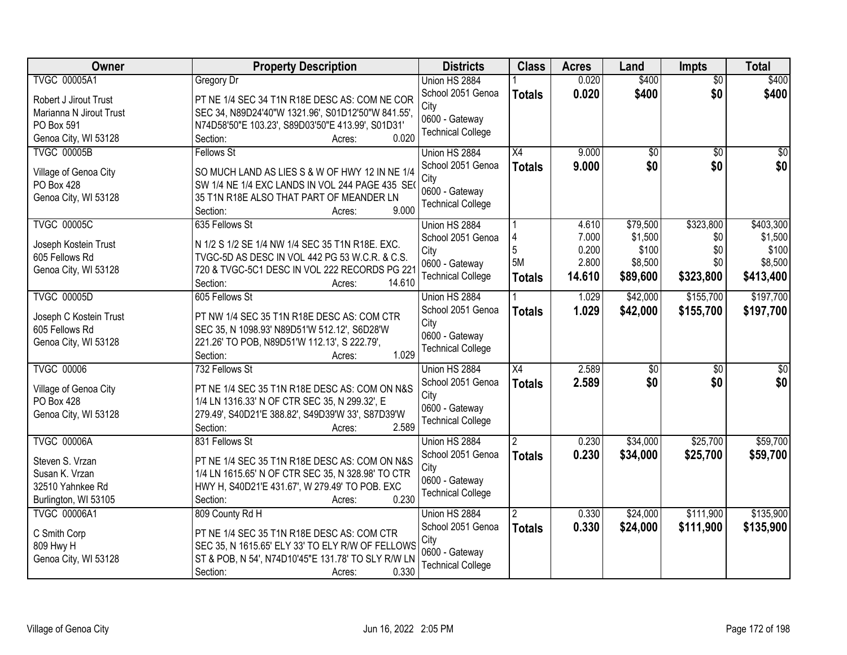| Owner                               | <b>Property Description</b>                                                                 | <b>Districts</b>         | <b>Class</b>    | <b>Acres</b> | Land            | Impts           | <b>Total</b>    |
|-------------------------------------|---------------------------------------------------------------------------------------------|--------------------------|-----------------|--------------|-----------------|-----------------|-----------------|
| <b>TVGC 00005A1</b>                 | Gregory Dr                                                                                  | Union HS 2884            |                 | 0.020        | \$400           | $\overline{50}$ | \$400           |
| Robert J Jirout Trust               | PT NE 1/4 SEC 34 T1N R18E DESC AS: COM NE COR                                               | School 2051 Genoa        | <b>Totals</b>   | 0.020        | \$400           | \$0             | \$400           |
| Marianna N Jirout Trust             | SEC 34, N89D24'40"W 1321.96', S01D12'50"W 841.55',                                          | City                     |                 |              |                 |                 |                 |
| PO Box 591                          | N74D58'50"E 103.23', S89D03'50"E 413.99', S01D31'                                           | 0600 - Gateway           |                 |              |                 |                 |                 |
| Genoa City, WI 53128                | 0.020<br>Section:<br>Acres:                                                                 | <b>Technical College</b> |                 |              |                 |                 |                 |
| <b>TVGC 00005B</b>                  | <b>Fellows St</b>                                                                           | Union HS 2884            | X4              | 9.000        | $\overline{50}$ | $\overline{30}$ | $\overline{50}$ |
|                                     |                                                                                             | School 2051 Genoa        | <b>Totals</b>   | 9.000        | \$0             | \$0             | \$0             |
| Village of Genoa City<br>PO Box 428 | SO MUCH LAND AS LIES S & W OF HWY 12 IN NE 1/4                                              | City                     |                 |              |                 |                 |                 |
| Genoa City, WI 53128                | SW 1/4 NE 1/4 EXC LANDS IN VOL 244 PAGE 435 SE(<br>35 T1N R18E ALSO THAT PART OF MEANDER LN | 0600 - Gateway           |                 |              |                 |                 |                 |
|                                     | 9.000<br>Section:<br>Acres:                                                                 | <b>Technical College</b> |                 |              |                 |                 |                 |
| <b>TVGC 00005C</b>                  | 635 Fellows St                                                                              | Union HS 2884            |                 | 4.610        | \$79,500        | \$323,800       | \$403,300       |
|                                     |                                                                                             | School 2051 Genoa        | 4               | 7.000        | \$1,500         | \$0             | \$1,500         |
| Joseph Kostein Trust                | N 1/2 S 1/2 SE 1/4 NW 1/4 SEC 35 T1N R18E. EXC.                                             | City                     | 5               | 0.200        | \$100           | \$0             | \$100           |
| 605 Fellows Rd                      | TVGC-5D AS DESC IN VOL 442 PG 53 W.C.R. & C.S.                                              | 0600 - Gateway           | 5M              | 2.800        | \$8,500         | \$0             | \$8,500         |
| Genoa City, WI 53128                | 720 & TVGC-5C1 DESC IN VOL 222 RECORDS PG 221                                               | <b>Technical College</b> | <b>Totals</b>   | 14.610       | \$89,600        | \$323,800       | \$413,400       |
|                                     | 14.610<br>Section:<br>Acres:                                                                |                          |                 |              |                 |                 |                 |
| <b>TVGC 00005D</b>                  | 605 Fellows St                                                                              | Union HS 2884            |                 | 1.029        | \$42,000        | \$155,700       | \$197,700       |
| Joseph C Kostein Trust              | PT NW 1/4 SEC 35 T1N R18E DESC AS: COM CTR                                                  | School 2051 Genoa        | <b>Totals</b>   | 1.029        | \$42,000        | \$155,700       | \$197,700       |
| 605 Fellows Rd                      | SEC 35, N 1098.93' N89D51'W 512.12', S6D28'W                                                | City<br>0600 - Gateway   |                 |              |                 |                 |                 |
| Genoa City, WI 53128                | 221.26' TO POB, N89D51'W 112.13', S 222.79',                                                | <b>Technical College</b> |                 |              |                 |                 |                 |
|                                     | 1.029<br>Section:<br>Acres:                                                                 |                          |                 |              |                 |                 |                 |
| <b>TVGC 00006</b>                   | 732 Fellows St                                                                              | Union HS 2884            | $\overline{X4}$ | 2.589        | $\overline{50}$ | $\overline{50}$ | $\overline{50}$ |
| Village of Genoa City               | PT NE 1/4 SEC 35 T1N R18E DESC AS: COM ON N&S                                               | School 2051 Genoa        | <b>Totals</b>   | 2.589        | \$0             | \$0             | \$0             |
| <b>PO Box 428</b>                   | 1/4 LN 1316.33' N OF CTR SEC 35, N 299.32', E                                               | City                     |                 |              |                 |                 |                 |
| Genoa City, WI 53128                | 279.49', S40D21'E 388.82', S49D39'W 33', S87D39'W                                           | 0600 - Gateway           |                 |              |                 |                 |                 |
|                                     | 2.589<br>Section:<br>Acres:                                                                 | <b>Technical College</b> |                 |              |                 |                 |                 |
| <b>TVGC 00006A</b>                  | 831 Fellows St                                                                              | Union HS 2884            | $\overline{2}$  | 0.230        | \$34,000        | \$25,700        | \$59,700        |
| Steven S. Vrzan                     | PT NE 1/4 SEC 35 T1N R18E DESC AS: COM ON N&S                                               | School 2051 Genoa        | <b>Totals</b>   | 0.230        | \$34,000        | \$25,700        | \$59,700        |
| Susan K. Vrzan                      | 1/4 LN 1615.65' N OF CTR SEC 35, N 328.98' TO CTR                                           | City                     |                 |              |                 |                 |                 |
| 32510 Yahnkee Rd                    | HWY H, S40D21'E 431.67', W 279.49' TO POB. EXC                                              | 0600 - Gateway           |                 |              |                 |                 |                 |
| Burlington, WI 53105                | 0.230<br>Section:<br>Acres:                                                                 | <b>Technical College</b> |                 |              |                 |                 |                 |
| <b>TVGC 00006A1</b>                 | 809 County Rd H                                                                             | Union HS 2884            | $\overline{2}$  | 0.330        | \$24,000        | \$111,900       | \$135,900       |
|                                     |                                                                                             | School 2051 Genoa        | <b>Totals</b>   | 0.330        | \$24,000        | \$111,900       | \$135,900       |
| C Smith Corp                        | PT NE 1/4 SEC 35 T1N R18E DESC AS: COM CTR                                                  | City                     |                 |              |                 |                 |                 |
| 809 Hwy H                           | SEC 35, N 1615.65' ELY 33' TO ELY R/W OF FELLOWS                                            | 0600 - Gateway           |                 |              |                 |                 |                 |
| Genoa City, WI 53128                | ST & POB, N 54', N74D10'45"E 131.78' TO SLY R/W LN                                          | <b>Technical College</b> |                 |              |                 |                 |                 |
|                                     | 0.330<br>Section:<br>Acres:                                                                 |                          |                 |              |                 |                 |                 |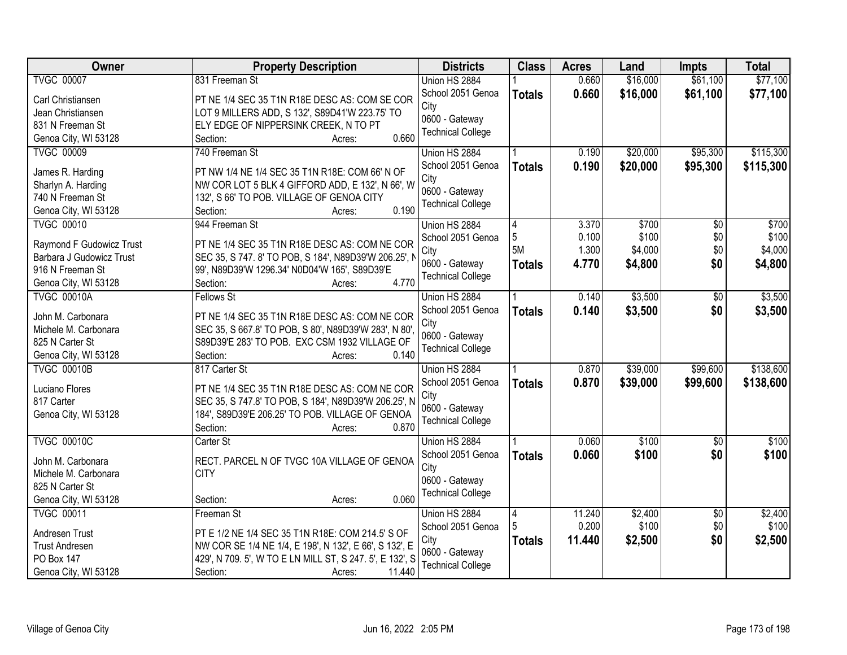| <b>Owner</b>                              | <b>Property Description</b>                              | <b>Districts</b>                   | <b>Class</b>  | <b>Acres</b> | Land     | <b>Impts</b>    | <b>Total</b> |
|-------------------------------------------|----------------------------------------------------------|------------------------------------|---------------|--------------|----------|-----------------|--------------|
| <b>TVGC 00007</b>                         | 831 Freeman St                                           | Union HS 2884                      |               | 0.660        | \$16,000 | \$61,100        | \$77,100     |
| Carl Christiansen                         | PT NE 1/4 SEC 35 T1N R18E DESC AS: COM SE COR            | School 2051 Genoa                  | <b>Totals</b> | 0.660        | \$16,000 | \$61,100        | \$77,100     |
| Jean Christiansen                         | LOT 9 MILLERS ADD, S 132', S89D41'W 223.75' TO           | City                               |               |              |          |                 |              |
| 831 N Freeman St                          | ELY EDGE OF NIPPERSINK CREEK, N TO PT                    | 0600 - Gateway                     |               |              |          |                 |              |
| Genoa City, WI 53128                      | 0.660<br>Section:<br>Acres:                              | <b>Technical College</b>           |               |              |          |                 |              |
| <b>TVGC 00009</b>                         | 740 Freeman St                                           | Union HS 2884                      |               | 0.190        | \$20,000 | \$95,300        | \$115,300    |
|                                           |                                                          | School 2051 Genoa                  | <b>Totals</b> | 0.190        | \$20,000 | \$95,300        | \$115,300    |
| James R. Harding                          | PT NW 1/4 NE 1/4 SEC 35 T1N R18E: COM 66' N OF           | City                               |               |              |          |                 |              |
| Sharlyn A. Harding                        | NW COR LOT 5 BLK 4 GIFFORD ADD, E 132', N 66', W         | 0600 - Gateway                     |               |              |          |                 |              |
| 740 N Freeman St                          | 132', S 66' TO POB. VILLAGE OF GENOA CITY<br>0.190       | <b>Technical College</b>           |               |              |          |                 |              |
| Genoa City, WI 53128<br><b>TVGC 00010</b> | Section:<br>Acres:<br>944 Freeman St                     |                                    |               | 3.370        | \$700    | $\overline{50}$ | \$700        |
|                                           |                                                          | Union HS 2884<br>School 2051 Genoa | 4<br>5        | 0.100        | \$100    | \$0             | \$100        |
| Raymond F Gudowicz Trust                  | PT NE 1/4 SEC 35 T1N R18E DESC AS: COM NE COR            | City                               | 5M            | 1.300        | \$4,000  | \$0             | \$4,000      |
| Barbara J Gudowicz Trust                  | SEC 35, S 747. 8' TO POB, S 184', N89D39'W 206.25', N    | 0600 - Gateway                     | <b>Totals</b> | 4.770        | \$4,800  | \$0             | \$4,800      |
| 916 N Freeman St                          | 99', N89D39'W 1296.34' N0D04'W 165', S89D39'E            | <b>Technical College</b>           |               |              |          |                 |              |
| Genoa City, WI 53128                      | 4.770<br>Section:<br>Acres:                              |                                    |               |              |          |                 |              |
| <b>TVGC 00010A</b>                        | <b>Fellows St</b>                                        | Union HS 2884                      |               | 0.140        | \$3,500  | \$0             | \$3,500      |
| John M. Carbonara                         | PT NE 1/4 SEC 35 T1N R18E DESC AS: COM NE COR            | School 2051 Genoa                  | <b>Totals</b> | 0.140        | \$3,500  | \$0             | \$3,500      |
| Michele M. Carbonara                      | SEC 35, S 667.8' TO POB, S 80', N89D39'W 283', N 80',    | City                               |               |              |          |                 |              |
| 825 N Carter St                           | S89D39'E 283' TO POB. EXC CSM 1932 VILLAGE OF            | 0600 - Gateway                     |               |              |          |                 |              |
| Genoa City, WI 53128                      | 0.140<br>Section:<br>Acres:                              | <b>Technical College</b>           |               |              |          |                 |              |
| <b>TVGC 00010B</b>                        | 817 Carter St                                            | Union HS 2884                      |               | 0.870        | \$39,000 | \$99,600        | \$138,600    |
|                                           |                                                          | School 2051 Genoa                  | <b>Totals</b> | 0.870        | \$39,000 | \$99,600        | \$138,600    |
| Luciano Flores                            | PT NE 1/4 SEC 35 T1N R18E DESC AS: COM NE COR            | City                               |               |              |          |                 |              |
| 817 Carter                                | SEC 35, S 747.8' TO POB, S 184', N89D39'W 206.25', N     | 0600 - Gateway                     |               |              |          |                 |              |
| Genoa City, WI 53128                      | 184', S89D39'E 206.25' TO POB. VILLAGE OF GENOA          | <b>Technical College</b>           |               |              |          |                 |              |
|                                           | 0.870<br>Section:<br>Acres:                              |                                    |               |              |          |                 |              |
| <b>TVGC 00010C</b>                        | Carter St                                                | Union HS 2884                      |               | 0.060        | \$100    | $\overline{50}$ | \$100        |
| John M. Carbonara                         | RECT. PARCEL N OF TVGC 10A VILLAGE OF GENOA              | School 2051 Genoa                  | <b>Totals</b> | 0.060        | \$100    | \$0             | \$100        |
| Michele M. Carbonara                      | <b>CITY</b>                                              | City                               |               |              |          |                 |              |
| 825 N Carter St                           |                                                          | 0600 - Gateway                     |               |              |          |                 |              |
| Genoa City, WI 53128                      | 0.060<br>Section:<br>Acres:                              | <b>Technical College</b>           |               |              |          |                 |              |
| <b>TVGC 00011</b>                         | Freeman St                                               | Union HS 2884                      | 4             | 11.240       | \$2,400  | $\overline{50}$ | \$2,400      |
| Andresen Trust                            | PT E 1/2 NE 1/4 SEC 35 T1N R18E: COM 214.5' S OF         | School 2051 Genoa                  |               | 0.200        | \$100    | \$0             | \$100        |
| <b>Trust Andresen</b>                     | NW COR SE 1/4 NE 1/4, E 198', N 132', E 66', S 132', E   | City                               | <b>Totals</b> | 11.440       | \$2,500  | \$0             | \$2,500      |
| PO Box 147                                | 429', N 709. 5', W TO E LN MILL ST, S 247. 5', E 132', S | 0600 - Gateway                     |               |              |          |                 |              |
| Genoa City, WI 53128                      | 11.440<br>Section:<br>Acres:                             | <b>Technical College</b>           |               |              |          |                 |              |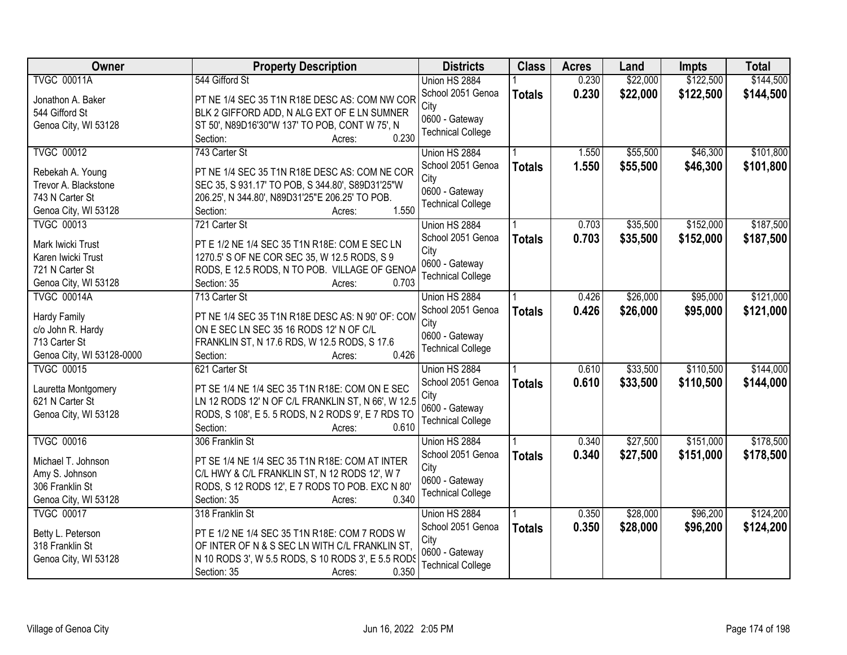| Owner                     | <b>Property Description</b>                        | <b>Districts</b>         | <b>Class</b>  | <b>Acres</b> | Land     | <b>Impts</b> | <b>Total</b> |
|---------------------------|----------------------------------------------------|--------------------------|---------------|--------------|----------|--------------|--------------|
| <b>TVGC 00011A</b>        | 544 Gifford St                                     | Union HS 2884            |               | 0.230        | \$22,000 | \$122,500    | \$144,500    |
| Jonathon A. Baker         | PT NE 1/4 SEC 35 T1N R18E DESC AS: COM NW COR      | School 2051 Genoa        | <b>Totals</b> | 0.230        | \$22,000 | \$122,500    | \$144,500    |
| 544 Gifford St            | BLK 2 GIFFORD ADD, N ALG EXT OF E LN SUMNER        | City                     |               |              |          |              |              |
| Genoa City, WI 53128      | ST 50', N89D16'30"W 137' TO POB, CONT W 75', N     | 0600 - Gateway           |               |              |          |              |              |
|                           | 0.230<br>Section:<br>Acres:                        | <b>Technical College</b> |               |              |          |              |              |
| <b>TVGC 00012</b>         | 743 Carter St                                      | Union HS 2884            |               | 1.550        | \$55,500 | \$46,300     | \$101,800    |
|                           |                                                    | School 2051 Genoa        | <b>Totals</b> | 1.550        | \$55,500 | \$46,300     | \$101,800    |
| Rebekah A. Young          | PT NE 1/4 SEC 35 T1N R18E DESC AS: COM NE COR      | City                     |               |              |          |              |              |
| Trevor A. Blackstone      | SEC 35, S 931.17' TO POB, S 344.80', S89D31'25"W   | 0600 - Gateway           |               |              |          |              |              |
| 743 N Carter St           | 206.25', N 344.80', N89D31'25"E 206.25' TO POB.    | <b>Technical College</b> |               |              |          |              |              |
| Genoa City, WI 53128      | 1.550<br>Section:<br>Acres:                        |                          |               |              |          |              |              |
| <b>TVGC 00013</b>         | 721 Carter St                                      | Union HS 2884            |               | 0.703        | \$35,500 | \$152,000    | \$187,500    |
| Mark Iwicki Trust         | PT E 1/2 NE 1/4 SEC 35 T1N R18E: COM E SEC LN      | School 2051 Genoa        | <b>Totals</b> | 0.703        | \$35,500 | \$152,000    | \$187,500    |
| Karen Iwicki Trust        | 1270.5' S OF NE COR SEC 35, W 12.5 RODS, S 9       | City                     |               |              |          |              |              |
| 721 N Carter St           | RODS, E 12.5 RODS, N TO POB. VILLAGE OF GENOA      | 0600 - Gateway           |               |              |          |              |              |
| Genoa City, WI 53128      | 0.703<br>Section: 35<br>Acres:                     | <b>Technical College</b> |               |              |          |              |              |
| <b>TVGC 00014A</b>        | 713 Carter St                                      | Union HS 2884            | 1.            | 0.426        | \$26,000 | \$95,000     | \$121,000    |
|                           |                                                    | School 2051 Genoa        | <b>Totals</b> | 0.426        | \$26,000 | \$95,000     | \$121,000    |
| <b>Hardy Family</b>       | PT NE 1/4 SEC 35 T1N R18E DESC AS: N 90' OF: COM   | City                     |               |              |          |              |              |
| c/o John R. Hardy         | ON E SEC LN SEC 35 16 RODS 12' N OF C/L            | 0600 - Gateway           |               |              |          |              |              |
| 713 Carter St             | FRANKLIN ST, N 17.6 RDS, W 12.5 RODS, S 17.6       | <b>Technical College</b> |               |              |          |              |              |
| Genoa City, WI 53128-0000 | 0.426<br>Section:<br>Acres:                        |                          |               |              |          |              |              |
| <b>TVGC 00015</b>         | 621 Carter St                                      | Union HS 2884            |               | 0.610        | \$33,500 | \$110,500    | \$144,000    |
| Lauretta Montgomery       | PT SE 1/4 NE 1/4 SEC 35 T1N R18E: COM ON E SEC     | School 2051 Genoa        | <b>Totals</b> | 0.610        | \$33,500 | \$110,500    | \$144,000    |
| 621 N Carter St           | LN 12 RODS 12' N OF C/L FRANKLIN ST, N 66', W 12.5 | City                     |               |              |          |              |              |
| Genoa City, WI 53128      | RODS, S 108', E 5. 5 RODS, N 2 RODS 9', E 7 RDS TO | 0600 - Gateway           |               |              |          |              |              |
|                           | 0.610<br>Section:<br>Acres:                        | <b>Technical College</b> |               |              |          |              |              |
| <b>TVGC 00016</b>         | 306 Franklin St                                    | Union HS 2884            |               | 0.340        | \$27,500 | \$151,000    | \$178,500    |
|                           |                                                    | School 2051 Genoa        | <b>Totals</b> | 0.340        | \$27,500 | \$151,000    | \$178,500    |
| Michael T. Johnson        | PT SE 1/4 NE 1/4 SEC 35 T1N R18E: COM AT INTER     | City                     |               |              |          |              |              |
| Amy S. Johnson            | C/L HWY & C/L FRANKLIN ST, N 12 RODS 12', W 7      | 0600 - Gateway           |               |              |          |              |              |
| 306 Franklin St           | RODS, S 12 RODS 12', E 7 RODS TO POB. EXC N 80'    | <b>Technical College</b> |               |              |          |              |              |
| Genoa City, WI 53128      | 0.340<br>Section: 35<br>Acres:                     |                          |               |              |          |              |              |
| <b>TVGC 00017</b>         | 318 Franklin St                                    | Union HS 2884            |               | 0.350        | \$28,000 | \$96,200     | \$124,200    |
| Betty L. Peterson         | PT E 1/2 NE 1/4 SEC 35 T1N R18E: COM 7 RODS W      | School 2051 Genoa        | <b>Totals</b> | 0.350        | \$28,000 | \$96,200     | \$124,200    |
| 318 Franklin St           | OF INTER OF N & S SEC LN WITH C/L FRANKLIN ST,     | City                     |               |              |          |              |              |
| Genoa City, WI 53128      | N 10 RODS 3', W 5.5 RODS, S 10 RODS 3', E 5.5 RODS | 0600 - Gateway           |               |              |          |              |              |
|                           | 0.350<br>Section: 35<br>Acres:                     | <b>Technical College</b> |               |              |          |              |              |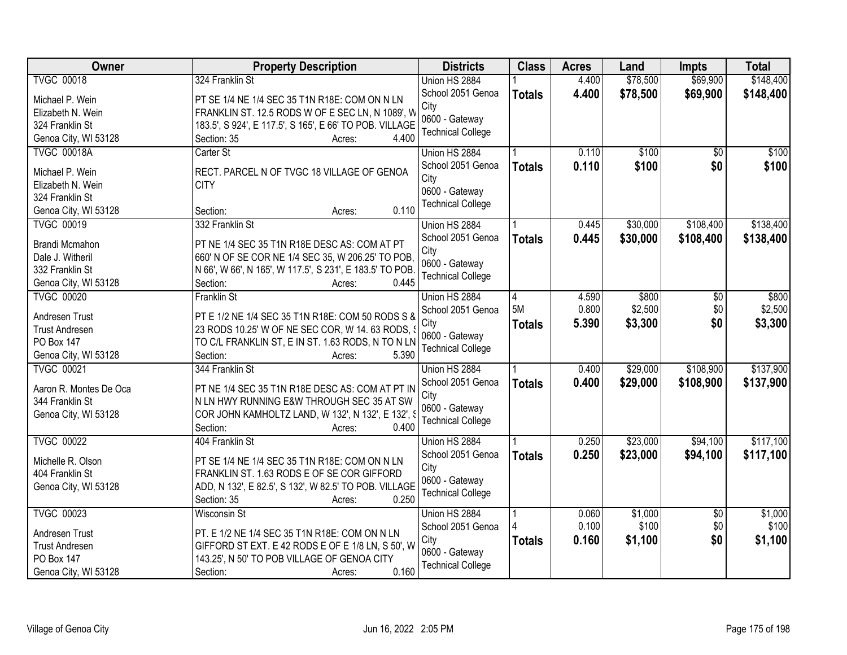| <b>TVGC 00018</b><br>\$78,500<br>\$69,900<br>\$148,400<br>324 Franklin St<br>Union HS 2884<br>4.400<br>School 2051 Genoa<br>4.400<br>\$78,500<br>\$69,900<br>\$148,400<br><b>Totals</b><br>Michael P. Wein<br>PT SE 1/4 NE 1/4 SEC 35 T1N R18E: COM ON N LN<br>City<br>FRANKLIN ST. 12.5 RODS W OF E SEC LN, N 1089', W<br>Elizabeth N. Wein<br>0600 - Gateway<br>183.5', S 924', E 117.5', S 165', E 66' TO POB. VILLAGE<br>324 Franklin St<br><b>Technical College</b><br>4.400<br>Genoa City, WI 53128<br>Section: 35<br>Acres:<br>\$100<br><b>TVGC 00018A</b><br>\$100<br>Carter St<br>Union HS 2884<br>0.110<br>\$0<br>0.110<br>\$100<br>\$0<br>\$100<br>School 2051 Genoa<br><b>Totals</b><br>Michael P. Wein<br>RECT. PARCEL N OF TVGC 18 VILLAGE OF GENOA<br>City<br><b>CITY</b><br>Elizabeth N. Wein<br>0600 - Gateway<br>324 Franklin St<br><b>Technical College</b><br>0.110<br>Genoa City, WI 53128<br>Section:<br>Acres:<br>\$30,000<br>\$108,400<br>\$138,400<br><b>TVGC 00019</b><br>332 Franklin St<br>Union HS 2884<br>0.445<br>School 2051 Genoa<br>\$30,000<br>\$108,400<br>0.445<br>\$138,400<br><b>Totals</b><br>Brandi Mcmahon<br>PT NE 1/4 SEC 35 T1N R18E DESC AS: COM AT PT<br>City<br>660' N OF SE COR NE 1/4 SEC 35, W 206.25' TO POB,<br>Dale J. Witheril<br>0600 - Gateway<br>332 Franklin St<br>N 66', W 66', N 165', W 117.5', S 231', E 183.5' TO POB.<br><b>Technical College</b><br>0.445<br>Genoa City, WI 53128<br>Section:<br>Acres:<br>\$800<br>\$800<br><b>TVGC 00020</b><br><b>Franklin St</b><br>4.590<br>Union HS 2884<br>$\sqrt[6]{}$<br> 4<br>\$2,500<br>5M<br>0.800<br>\$2,500<br>\$0<br>School 2051 Genoa<br>PT E 1/2 NE 1/4 SEC 35 T1N R18E: COM 50 RODS S &<br>Andresen Trust<br>5.390<br>\$3,300<br>\$0<br>\$3,300<br>City |
|-----------------------------------------------------------------------------------------------------------------------------------------------------------------------------------------------------------------------------------------------------------------------------------------------------------------------------------------------------------------------------------------------------------------------------------------------------------------------------------------------------------------------------------------------------------------------------------------------------------------------------------------------------------------------------------------------------------------------------------------------------------------------------------------------------------------------------------------------------------------------------------------------------------------------------------------------------------------------------------------------------------------------------------------------------------------------------------------------------------------------------------------------------------------------------------------------------------------------------------------------------------------------------------------------------------------------------------------------------------------------------------------------------------------------------------------------------------------------------------------------------------------------------------------------------------------------------------------------------------------------------------------------------------------------------------------------------------------------------------------------------------------------------|
|                                                                                                                                                                                                                                                                                                                                                                                                                                                                                                                                                                                                                                                                                                                                                                                                                                                                                                                                                                                                                                                                                                                                                                                                                                                                                                                                                                                                                                                                                                                                                                                                                                                                                                                                                                             |
|                                                                                                                                                                                                                                                                                                                                                                                                                                                                                                                                                                                                                                                                                                                                                                                                                                                                                                                                                                                                                                                                                                                                                                                                                                                                                                                                                                                                                                                                                                                                                                                                                                                                                                                                                                             |
|                                                                                                                                                                                                                                                                                                                                                                                                                                                                                                                                                                                                                                                                                                                                                                                                                                                                                                                                                                                                                                                                                                                                                                                                                                                                                                                                                                                                                                                                                                                                                                                                                                                                                                                                                                             |
|                                                                                                                                                                                                                                                                                                                                                                                                                                                                                                                                                                                                                                                                                                                                                                                                                                                                                                                                                                                                                                                                                                                                                                                                                                                                                                                                                                                                                                                                                                                                                                                                                                                                                                                                                                             |
|                                                                                                                                                                                                                                                                                                                                                                                                                                                                                                                                                                                                                                                                                                                                                                                                                                                                                                                                                                                                                                                                                                                                                                                                                                                                                                                                                                                                                                                                                                                                                                                                                                                                                                                                                                             |
|                                                                                                                                                                                                                                                                                                                                                                                                                                                                                                                                                                                                                                                                                                                                                                                                                                                                                                                                                                                                                                                                                                                                                                                                                                                                                                                                                                                                                                                                                                                                                                                                                                                                                                                                                                             |
|                                                                                                                                                                                                                                                                                                                                                                                                                                                                                                                                                                                                                                                                                                                                                                                                                                                                                                                                                                                                                                                                                                                                                                                                                                                                                                                                                                                                                                                                                                                                                                                                                                                                                                                                                                             |
|                                                                                                                                                                                                                                                                                                                                                                                                                                                                                                                                                                                                                                                                                                                                                                                                                                                                                                                                                                                                                                                                                                                                                                                                                                                                                                                                                                                                                                                                                                                                                                                                                                                                                                                                                                             |
|                                                                                                                                                                                                                                                                                                                                                                                                                                                                                                                                                                                                                                                                                                                                                                                                                                                                                                                                                                                                                                                                                                                                                                                                                                                                                                                                                                                                                                                                                                                                                                                                                                                                                                                                                                             |
|                                                                                                                                                                                                                                                                                                                                                                                                                                                                                                                                                                                                                                                                                                                                                                                                                                                                                                                                                                                                                                                                                                                                                                                                                                                                                                                                                                                                                                                                                                                                                                                                                                                                                                                                                                             |
|                                                                                                                                                                                                                                                                                                                                                                                                                                                                                                                                                                                                                                                                                                                                                                                                                                                                                                                                                                                                                                                                                                                                                                                                                                                                                                                                                                                                                                                                                                                                                                                                                                                                                                                                                                             |
|                                                                                                                                                                                                                                                                                                                                                                                                                                                                                                                                                                                                                                                                                                                                                                                                                                                                                                                                                                                                                                                                                                                                                                                                                                                                                                                                                                                                                                                                                                                                                                                                                                                                                                                                                                             |
|                                                                                                                                                                                                                                                                                                                                                                                                                                                                                                                                                                                                                                                                                                                                                                                                                                                                                                                                                                                                                                                                                                                                                                                                                                                                                                                                                                                                                                                                                                                                                                                                                                                                                                                                                                             |
|                                                                                                                                                                                                                                                                                                                                                                                                                                                                                                                                                                                                                                                                                                                                                                                                                                                                                                                                                                                                                                                                                                                                                                                                                                                                                                                                                                                                                                                                                                                                                                                                                                                                                                                                                                             |
|                                                                                                                                                                                                                                                                                                                                                                                                                                                                                                                                                                                                                                                                                                                                                                                                                                                                                                                                                                                                                                                                                                                                                                                                                                                                                                                                                                                                                                                                                                                                                                                                                                                                                                                                                                             |
|                                                                                                                                                                                                                                                                                                                                                                                                                                                                                                                                                                                                                                                                                                                                                                                                                                                                                                                                                                                                                                                                                                                                                                                                                                                                                                                                                                                                                                                                                                                                                                                                                                                                                                                                                                             |
|                                                                                                                                                                                                                                                                                                                                                                                                                                                                                                                                                                                                                                                                                                                                                                                                                                                                                                                                                                                                                                                                                                                                                                                                                                                                                                                                                                                                                                                                                                                                                                                                                                                                                                                                                                             |
|                                                                                                                                                                                                                                                                                                                                                                                                                                                                                                                                                                                                                                                                                                                                                                                                                                                                                                                                                                                                                                                                                                                                                                                                                                                                                                                                                                                                                                                                                                                                                                                                                                                                                                                                                                             |
| <b>Totals</b><br>23 RODS 10.25' W OF NE SEC COR, W 14. 63 RODS, \$<br><b>Trust Andresen</b>                                                                                                                                                                                                                                                                                                                                                                                                                                                                                                                                                                                                                                                                                                                                                                                                                                                                                                                                                                                                                                                                                                                                                                                                                                                                                                                                                                                                                                                                                                                                                                                                                                                                                 |
| 0600 - Gateway<br>TO C/L FRANKLIN ST, E IN ST. 1.63 RODS, N TO N LN<br>PO Box 147                                                                                                                                                                                                                                                                                                                                                                                                                                                                                                                                                                                                                                                                                                                                                                                                                                                                                                                                                                                                                                                                                                                                                                                                                                                                                                                                                                                                                                                                                                                                                                                                                                                                                           |
| <b>Technical College</b><br>5.390<br>Section:<br>Genoa City, WI 53128<br>Acres:                                                                                                                                                                                                                                                                                                                                                                                                                                                                                                                                                                                                                                                                                                                                                                                                                                                                                                                                                                                                                                                                                                                                                                                                                                                                                                                                                                                                                                                                                                                                                                                                                                                                                             |
| \$29,000<br>\$108,900<br>\$137,900<br><b>TVGC 00021</b><br>344 Franklin St<br>0.400<br>Union HS 2884                                                                                                                                                                                                                                                                                                                                                                                                                                                                                                                                                                                                                                                                                                                                                                                                                                                                                                                                                                                                                                                                                                                                                                                                                                                                                                                                                                                                                                                                                                                                                                                                                                                                        |
| 0.400<br>\$29,000<br>\$108,900<br>School 2051 Genoa<br>\$137,900<br><b>Totals</b>                                                                                                                                                                                                                                                                                                                                                                                                                                                                                                                                                                                                                                                                                                                                                                                                                                                                                                                                                                                                                                                                                                                                                                                                                                                                                                                                                                                                                                                                                                                                                                                                                                                                                           |
| Aaron R. Montes De Oca<br>PT NE 1/4 SEC 35 T1N R18E DESC AS: COM AT PT IN<br>City                                                                                                                                                                                                                                                                                                                                                                                                                                                                                                                                                                                                                                                                                                                                                                                                                                                                                                                                                                                                                                                                                                                                                                                                                                                                                                                                                                                                                                                                                                                                                                                                                                                                                           |
| 344 Franklin St<br>N LN HWY RUNNING E&W THROUGH SEC 35 AT SW<br>0600 - Gateway                                                                                                                                                                                                                                                                                                                                                                                                                                                                                                                                                                                                                                                                                                                                                                                                                                                                                                                                                                                                                                                                                                                                                                                                                                                                                                                                                                                                                                                                                                                                                                                                                                                                                              |
| Genoa City, WI 53128<br>COR JOHN KAMHOLTZ LAND, W 132', N 132', E 132', S<br><b>Technical College</b>                                                                                                                                                                                                                                                                                                                                                                                                                                                                                                                                                                                                                                                                                                                                                                                                                                                                                                                                                                                                                                                                                                                                                                                                                                                                                                                                                                                                                                                                                                                                                                                                                                                                       |
| 0.400<br>Section:<br>Acres:                                                                                                                                                                                                                                                                                                                                                                                                                                                                                                                                                                                                                                                                                                                                                                                                                                                                                                                                                                                                                                                                                                                                                                                                                                                                                                                                                                                                                                                                                                                                                                                                                                                                                                                                                 |
| \$23,000<br><b>TVGC 00022</b><br>0.250<br>\$94,100<br>\$117,100<br>404 Franklin St<br>Union HS 2884                                                                                                                                                                                                                                                                                                                                                                                                                                                                                                                                                                                                                                                                                                                                                                                                                                                                                                                                                                                                                                                                                                                                                                                                                                                                                                                                                                                                                                                                                                                                                                                                                                                                         |
| School 2051 Genoa<br>0.250<br>\$23,000<br>\$94,100<br>\$117,100<br><b>Totals</b><br>Michelle R. Olson<br>PT SE 1/4 NE 1/4 SEC 35 T1N R18E: COM ON N LN                                                                                                                                                                                                                                                                                                                                                                                                                                                                                                                                                                                                                                                                                                                                                                                                                                                                                                                                                                                                                                                                                                                                                                                                                                                                                                                                                                                                                                                                                                                                                                                                                      |
| City<br>404 Franklin St<br>FRANKLIN ST. 1.63 RODS E OF SE COR GIFFORD                                                                                                                                                                                                                                                                                                                                                                                                                                                                                                                                                                                                                                                                                                                                                                                                                                                                                                                                                                                                                                                                                                                                                                                                                                                                                                                                                                                                                                                                                                                                                                                                                                                                                                       |
| 0600 - Gateway<br>Genoa City, WI 53128<br>ADD, N 132', E 82.5', S 132', W 82.5' TO POB. VILLAGE                                                                                                                                                                                                                                                                                                                                                                                                                                                                                                                                                                                                                                                                                                                                                                                                                                                                                                                                                                                                                                                                                                                                                                                                                                                                                                                                                                                                                                                                                                                                                                                                                                                                             |
| <b>Technical College</b><br>0.250<br>Section: 35<br>Acres:                                                                                                                                                                                                                                                                                                                                                                                                                                                                                                                                                                                                                                                                                                                                                                                                                                                                                                                                                                                                                                                                                                                                                                                                                                                                                                                                                                                                                                                                                                                                                                                                                                                                                                                  |
| <b>TVGC 00023</b><br>\$1,000<br>\$1,000<br><b>Wisconsin St</b><br>0.060<br>$\overline{50}$<br>Union HS 2884                                                                                                                                                                                                                                                                                                                                                                                                                                                                                                                                                                                                                                                                                                                                                                                                                                                                                                                                                                                                                                                                                                                                                                                                                                                                                                                                                                                                                                                                                                                                                                                                                                                                 |
| 0.100<br>\$100<br>\$100<br>\$0<br>School 2051 Genoa<br>Andresen Trust<br>PT. E 1/2 NE 1/4 SEC 35 T1N R18E: COM ON N LN                                                                                                                                                                                                                                                                                                                                                                                                                                                                                                                                                                                                                                                                                                                                                                                                                                                                                                                                                                                                                                                                                                                                                                                                                                                                                                                                                                                                                                                                                                                                                                                                                                                      |
| \$0<br>0.160<br>\$1,100<br>\$1,100<br>City<br><b>Totals</b><br><b>Trust Andresen</b><br>GIFFORD ST EXT. E 42 RODS E OF E 1/8 LN, S 50', W                                                                                                                                                                                                                                                                                                                                                                                                                                                                                                                                                                                                                                                                                                                                                                                                                                                                                                                                                                                                                                                                                                                                                                                                                                                                                                                                                                                                                                                                                                                                                                                                                                   |
| 0600 - Gateway<br><b>PO Box 147</b><br>143.25', N 50' TO POB VILLAGE OF GENOA CITY                                                                                                                                                                                                                                                                                                                                                                                                                                                                                                                                                                                                                                                                                                                                                                                                                                                                                                                                                                                                                                                                                                                                                                                                                                                                                                                                                                                                                                                                                                                                                                                                                                                                                          |
| <b>Technical College</b><br>0.160<br>Genoa City, WI 53128<br>Section:<br>Acres:                                                                                                                                                                                                                                                                                                                                                                                                                                                                                                                                                                                                                                                                                                                                                                                                                                                                                                                                                                                                                                                                                                                                                                                                                                                                                                                                                                                                                                                                                                                                                                                                                                                                                             |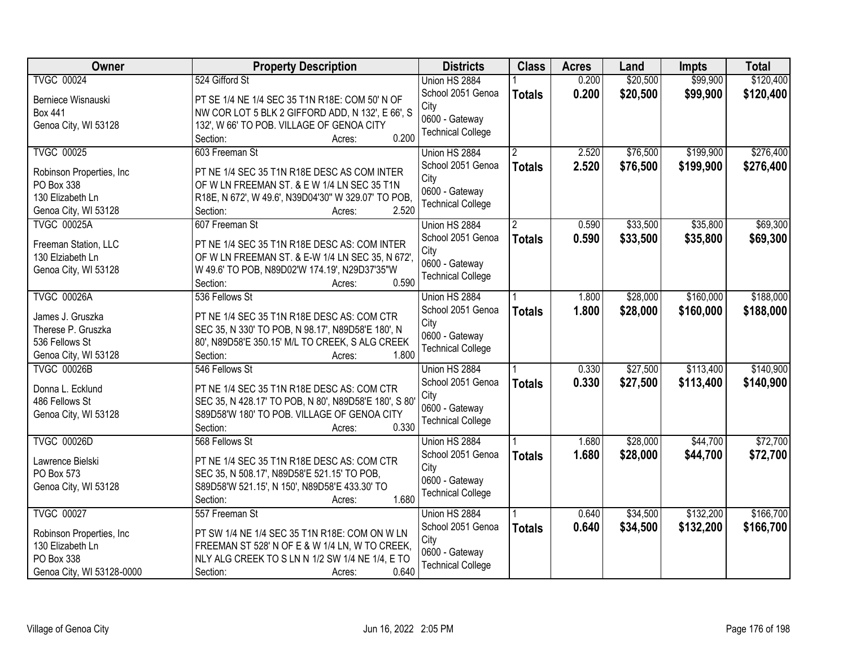| Owner                     | <b>Property Description</b>                           | <b>Districts</b>         | <b>Class</b>  | <b>Acres</b> | Land     | Impts     | <b>Total</b> |
|---------------------------|-------------------------------------------------------|--------------------------|---------------|--------------|----------|-----------|--------------|
| <b>TVGC 00024</b>         | 524 Gifford St                                        | Union HS 2884            |               | 0.200        | \$20,500 | \$99,900  | \$120,400    |
| Berniece Wisnauski        | PT SE 1/4 NE 1/4 SEC 35 T1N R18E: COM 50' N OF        | School 2051 Genoa        | <b>Totals</b> | 0.200        | \$20,500 | \$99,900  | \$120,400    |
| <b>Box 441</b>            | NW COR LOT 5 BLK 2 GIFFORD ADD, N 132', E 66', S      | City                     |               |              |          |           |              |
| Genoa City, WI 53128      | 132', W 66' TO POB. VILLAGE OF GENOA CITY             | 0600 - Gateway           |               |              |          |           |              |
|                           | 0.200<br>Section:<br>Acres:                           | <b>Technical College</b> |               |              |          |           |              |
| <b>TVGC 00025</b>         | 603 Freeman St                                        | Union HS 2884            |               | 2.520        | \$76,500 | \$199,900 | \$276,400    |
|                           |                                                       | School 2051 Genoa        | <b>Totals</b> | 2.520        | \$76,500 | \$199,900 | \$276,400    |
| Robinson Properties, Inc. | PT NE 1/4 SEC 35 T1N R18E DESC AS COM INTER           | City                     |               |              |          |           |              |
| PO Box 338                | OF W LN FREEMAN ST. & E W 1/4 LN SEC 35 T1N           | 0600 - Gateway           |               |              |          |           |              |
| 130 Elizabeth Ln          | R18E, N 672', W 49.6', N39D04'30" W 329.07' TO POB,   | <b>Technical College</b> |               |              |          |           |              |
| Genoa City, WI 53128      | 2.520<br>Section:<br>Acres:                           |                          |               |              |          |           |              |
| <b>TVGC 00025A</b>        | 607 Freeman St                                        | Union HS 2884            |               | 0.590        | \$33,500 | \$35,800  | \$69,300     |
| Freeman Station, LLC      | PT NE 1/4 SEC 35 T1N R18E DESC AS: COM INTER          | School 2051 Genoa        | <b>Totals</b> | 0.590        | \$33,500 | \$35,800  | \$69,300     |
| 130 Elziabeth Ln          | OF W LN FREEMAN ST. & E-W 1/4 LN SEC 35, N 672',      | City                     |               |              |          |           |              |
| Genoa City, WI 53128      | W 49.6' TO POB, N89D02'W 174.19', N29D37'35"W         | 0600 - Gateway           |               |              |          |           |              |
|                           | 0.590<br>Section:<br>Acres:                           | <b>Technical College</b> |               |              |          |           |              |
| <b>TVGC 00026A</b>        | 536 Fellows St                                        | Union HS 2884            |               | 1.800        | \$28,000 | \$160,000 | \$188,000    |
|                           |                                                       | School 2051 Genoa        | <b>Totals</b> | 1.800        | \$28,000 | \$160,000 | \$188,000    |
| James J. Gruszka          | PT NE 1/4 SEC 35 T1N R18E DESC AS: COM CTR            | City                     |               |              |          |           |              |
| Therese P. Gruszka        | SEC 35, N 330' TO POB, N 98.17', N89D58'E 180', N     | 0600 - Gateway           |               |              |          |           |              |
| 536 Fellows St            | 80', N89D58'E 350.15' M/L TO CREEK, S ALG CREEK       | <b>Technical College</b> |               |              |          |           |              |
| Genoa City, WI 53128      | 1.800<br>Section:<br>Acres:                           |                          |               |              |          |           |              |
| <b>TVGC 00026B</b>        | 546 Fellows St                                        | Union HS 2884            |               | 0.330        | \$27,500 | \$113,400 | \$140,900    |
| Donna L. Ecklund          | PT NE 1/4 SEC 35 T1N R18E DESC AS: COM CTR            | School 2051 Genoa        | <b>Totals</b> | 0.330        | \$27,500 | \$113,400 | \$140,900    |
| 486 Fellows St            | SEC 35, N 428.17' TO POB, N 80', N89D58'E 180', S 80' | City                     |               |              |          |           |              |
| Genoa City, WI 53128      | S89D58'W 180' TO POB. VILLAGE OF GENOA CITY           | 0600 - Gateway           |               |              |          |           |              |
|                           | 0.330<br>Section:<br>Acres:                           | <b>Technical College</b> |               |              |          |           |              |
| <b>TVGC 00026D</b>        | 568 Fellows St                                        | Union HS 2884            |               | 1.680        | \$28,000 | \$44,700  | \$72,700     |
|                           |                                                       | School 2051 Genoa        | <b>Totals</b> | 1.680        | \$28,000 | \$44,700  | \$72,700     |
| Lawrence Bielski          | PT NE 1/4 SEC 35 T1N R18E DESC AS: COM CTR            | City                     |               |              |          |           |              |
| PO Box 573                | SEC 35, N 508.17', N89D58'E 521.15' TO POB,           | 0600 - Gateway           |               |              |          |           |              |
| Genoa City, WI 53128      | S89D58'W 521.15', N 150', N89D58'E 433.30' TO         | <b>Technical College</b> |               |              |          |           |              |
|                           | 1.680<br>Section:<br>Acres:                           |                          |               |              |          |           |              |
| <b>TVGC 00027</b>         | 557 Freeman St                                        | Union HS 2884            |               | 0.640        | \$34,500 | \$132,200 | \$166,700    |
| Robinson Properties, Inc. | PT SW 1/4 NE 1/4 SEC 35 T1N R18E: COM ON W LN         | School 2051 Genoa        | <b>Totals</b> | 0.640        | \$34,500 | \$132,200 | \$166,700    |
| 130 Elizabeth Ln          | FREEMAN ST 528' N OF E & W 1/4 LN, W TO CREEK,        | City                     |               |              |          |           |              |
| PO Box 338                | NLY ALG CREEK TO S LN N 1/2 SW 1/4 NE 1/4, E TO       | 0600 - Gateway           |               |              |          |           |              |
| Genoa City, WI 53128-0000 | 0.640<br>Section:<br>Acres:                           | <b>Technical College</b> |               |              |          |           |              |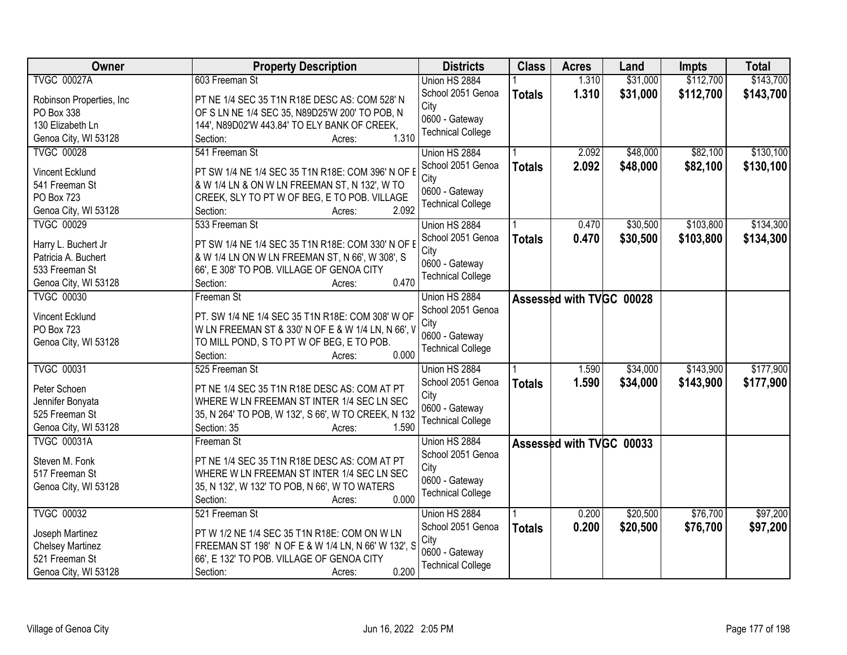| Owner                     | <b>Property Description</b>                         | <b>Districts</b>         | <b>Class</b>  | <b>Acres</b>             | Land     | <b>Impts</b> | <b>Total</b> |
|---------------------------|-----------------------------------------------------|--------------------------|---------------|--------------------------|----------|--------------|--------------|
| <b>TVGC 00027A</b>        | 603 Freeman St                                      | Union HS 2884            |               | 1.310                    | \$31,000 | \$112,700    | \$143,700    |
| Robinson Properties, Inc. | PT NE 1/4 SEC 35 T1N R18E DESC AS: COM 528' N       | School 2051 Genoa        | <b>Totals</b> | 1.310                    | \$31,000 | \$112,700    | \$143,700    |
| PO Box 338                | OF S LN NE 1/4 SEC 35, N89D25'W 200' TO POB, N      | City                     |               |                          |          |              |              |
| 130 Elizabeth Ln          | 144', N89D02'W 443.84' TO ELY BANK OF CREEK,        | 0600 - Gateway           |               |                          |          |              |              |
| Genoa City, WI 53128      | 1.310<br>Section:<br>Acres:                         | <b>Technical College</b> |               |                          |          |              |              |
| <b>TVGC 00028</b>         | 541 Freeman St                                      | Union HS 2884            |               | 2.092                    | \$48,000 | \$82,100     | \$130,100    |
|                           |                                                     | School 2051 Genoa        | <b>Totals</b> | 2.092                    | \$48,000 | \$82,100     | \$130,100    |
| Vincent Ecklund           | PT SW 1/4 NE 1/4 SEC 35 T1N R18E: COM 396' N OF E   | City                     |               |                          |          |              |              |
| 541 Freeman St            | & W 1/4 LN & ON W LN FREEMAN ST, N 132', W TO       | 0600 - Gateway           |               |                          |          |              |              |
| PO Box 723                | CREEK, SLY TO PT W OF BEG, E TO POB. VILLAGE        | <b>Technical College</b> |               |                          |          |              |              |
| Genoa City, WI 53128      | 2.092<br>Section:<br>Acres:                         |                          |               |                          |          |              |              |
| <b>TVGC 00029</b>         | 533 Freeman St                                      | Union HS 2884            |               | 0.470                    | \$30,500 | \$103,800    | \$134,300    |
| Harry L. Buchert Jr       | PT SW 1/4 NE 1/4 SEC 35 T1N R18E: COM 330' N OF I   | School 2051 Genoa        | <b>Totals</b> | 0.470                    | \$30,500 | \$103,800    | \$134,300    |
| Patricia A. Buchert       | & W 1/4 LN ON W LN FREEMAN ST, N 66', W 308', S     | City                     |               |                          |          |              |              |
| 533 Freeman St            | 66', E 308' TO POB. VILLAGE OF GENOA CITY           | 0600 - Gateway           |               |                          |          |              |              |
|                           | 0.470<br>Section:                                   | <b>Technical College</b> |               |                          |          |              |              |
| Genoa City, WI 53128      | Acres:                                              |                          |               |                          |          |              |              |
| <b>TVGC 00030</b>         | Freeman St                                          | Union HS 2884            |               | Assessed with TVGC 00028 |          |              |              |
| Vincent Ecklund           | PT. SW 1/4 NE 1/4 SEC 35 T1N R18E: COM 308' W OF    | School 2051 Genoa        |               |                          |          |              |              |
| PO Box 723                | W LN FREEMAN ST & 330' N OF E & W 1/4 LN, N 66', V  | City                     |               |                          |          |              |              |
| Genoa City, WI 53128      | TO MILL POND, S TO PT W OF BEG, E TO POB.           | 0600 - Gateway           |               |                          |          |              |              |
|                           | 0.000<br>Section:<br>Acres:                         | <b>Technical College</b> |               |                          |          |              |              |
| <b>TVGC 00031</b>         | 525 Freeman St                                      | Union HS 2884            |               | 1.590                    | \$34,000 | \$143,900    | \$177,900    |
|                           |                                                     | School 2051 Genoa        | <b>Totals</b> | 1.590                    | \$34,000 | \$143,900    | \$177,900    |
| Peter Schoen              | PT NE 1/4 SEC 35 T1N R18E DESC AS: COM AT PT        | City                     |               |                          |          |              |              |
| Jennifer Bonyata          | WHERE W LN FREEMAN ST INTER 1/4 SEC LN SEC          | 0600 - Gateway           |               |                          |          |              |              |
| 525 Freeman St            | 35, N 264' TO POB, W 132', S 66', W TO CREEK, N 132 | <b>Technical College</b> |               |                          |          |              |              |
| Genoa City, WI 53128      | Section: 35<br>1.590<br>Acres:                      |                          |               |                          |          |              |              |
| <b>TVGC 00031A</b>        | Freeman St                                          | Union HS 2884            |               | Assessed with TVGC 00033 |          |              |              |
| Steven M. Fonk            | PT NE 1/4 SEC 35 T1N R18E DESC AS: COM AT PT        | School 2051 Genoa        |               |                          |          |              |              |
| 517 Freeman St            | WHERE W LN FREEMAN ST INTER 1/4 SEC LN SEC          | City                     |               |                          |          |              |              |
| Genoa City, WI 53128      | 35, N 132', W 132' TO POB, N 66', W TO WATERS       | 0600 - Gateway           |               |                          |          |              |              |
|                           | 0.000<br>Section:<br>Acres:                         | <b>Technical College</b> |               |                          |          |              |              |
| <b>TVGC 00032</b>         | 521 Freeman St                                      | Union HS 2884            |               | 0.200                    | \$20,500 | \$76,700     | \$97,200     |
|                           |                                                     | School 2051 Genoa        | <b>Totals</b> | 0.200                    | \$20,500 | \$76,700     | \$97,200     |
| Joseph Martinez           | PT W 1/2 NE 1/4 SEC 35 T1N R18E: COM ON W LN        | City                     |               |                          |          |              |              |
| <b>Chelsey Martinez</b>   | FREEMAN ST 198' N OF E & W 1/4 LN, N 66' W 132', S  | 0600 - Gateway           |               |                          |          |              |              |
| 521 Freeman St            | 66', E 132' TO POB. VILLAGE OF GENOA CITY           | <b>Technical College</b> |               |                          |          |              |              |
| Genoa City, WI 53128      | 0.200<br>Section:<br>Acres:                         |                          |               |                          |          |              |              |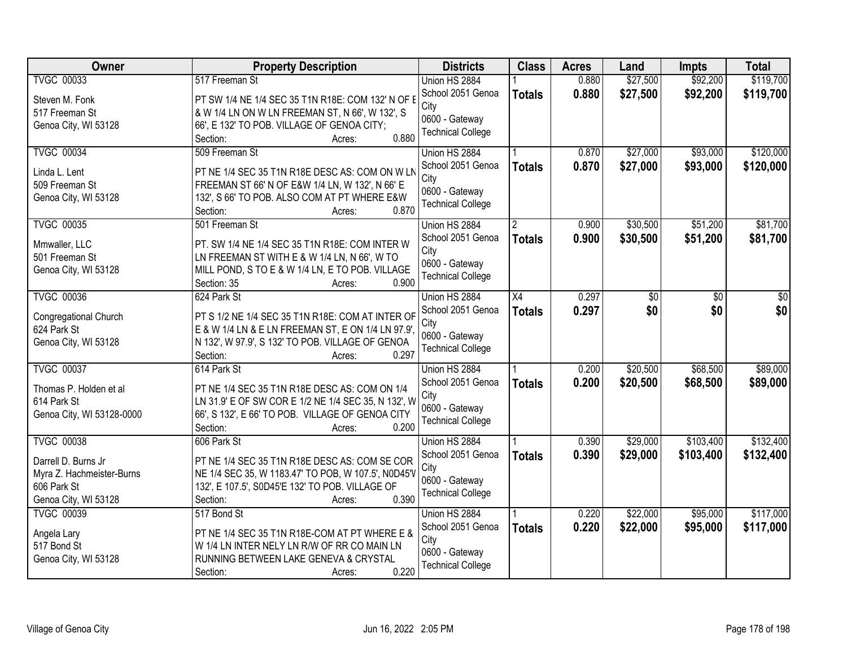| <b>Owner</b>              | <b>Property Description</b>                         | <b>Districts</b>         | <b>Class</b>  | <b>Acres</b> | Land     | Impts     | <b>Total</b> |
|---------------------------|-----------------------------------------------------|--------------------------|---------------|--------------|----------|-----------|--------------|
| <b>TVGC 00033</b>         | 517 Freeman St                                      | Union HS 2884            |               | 0.880        | \$27,500 | \$92,200  | \$119,700    |
| Steven M. Fonk            | PT SW 1/4 NE 1/4 SEC 35 T1N R18E: COM 132' N OF I   | School 2051 Genoa        | <b>Totals</b> | 0.880        | \$27,500 | \$92,200  | \$119,700    |
| 517 Freeman St            | & W 1/4 LN ON W LN FREEMAN ST, N 66', W 132', S     | City                     |               |              |          |           |              |
| Genoa City, WI 53128      | 66', E 132' TO POB. VILLAGE OF GENOA CITY;          | 0600 - Gateway           |               |              |          |           |              |
|                           | 0.880<br>Section:<br>Acres:                         | <b>Technical College</b> |               |              |          |           |              |
| <b>TVGC 00034</b>         | 509 Freeman St                                      | Union HS 2884            |               | 0.870        | \$27,000 | \$93,000  | \$120,000    |
|                           |                                                     | School 2051 Genoa        | <b>Totals</b> | 0.870        | \$27,000 | \$93,000  | \$120,000    |
| Linda L. Lent             | PT NE 1/4 SEC 35 T1N R18E DESC AS: COM ON W LN      | City                     |               |              |          |           |              |
| 509 Freeman St            | FREEMAN ST 66' N OF E&W 1/4 LN, W 132', N 66' E     | 0600 - Gateway           |               |              |          |           |              |
| Genoa City, WI 53128      | 132', S 66' TO POB. ALSO COM AT PT WHERE E&W        | <b>Technical College</b> |               |              |          |           |              |
|                           | 0.870<br>Section:<br>Acres:                         |                          |               |              |          |           |              |
| <b>TVGC 00035</b>         | 501 Freeman St                                      | Union HS 2884            |               | 0.900        | \$30,500 | \$51,200  | \$81,700     |
| Mmwaller, LLC             | PT. SW 1/4 NE 1/4 SEC 35 T1N R18E: COM INTER W      | School 2051 Genoa        | <b>Totals</b> | 0.900        | \$30,500 | \$51,200  | \$81,700     |
| 501 Freeman St            | LN FREEMAN ST WITH E & W 1/4 LN, N 66', W TO        | City                     |               |              |          |           |              |
| Genoa City, WI 53128      | MILL POND, S TO E & W 1/4 LN, E TO POB. VILLAGE     | 0600 - Gateway           |               |              |          |           |              |
|                           | Section: 35<br>0.900<br>Acres:                      | <b>Technical College</b> |               |              |          |           |              |
| <b>TVGC 00036</b>         | 624 Park St                                         | Union HS 2884            | X4            | 0.297        | \$0      | \$0       | \$0          |
|                           |                                                     | School 2051 Genoa        | <b>Totals</b> | 0.297        | \$0      | \$0       | \$0          |
| Congregational Church     | PT S 1/2 NE 1/4 SEC 35 T1N R18E: COM AT INTER OF    | City                     |               |              |          |           |              |
| 624 Park St               | E & W 1/4 LN & E LN FREEMAN ST, E ON 1/4 LN 97.9',  | 0600 - Gateway           |               |              |          |           |              |
| Genoa City, WI 53128      | N 132', W 97.9', S 132' TO POB. VILLAGE OF GENOA    | <b>Technical College</b> |               |              |          |           |              |
|                           | 0.297<br>Section:<br>Acres:                         |                          |               |              |          |           |              |
| <b>TVGC 00037</b>         | 614 Park St                                         | Union HS 2884            |               | 0.200        | \$20,500 | \$68,500  | \$89,000     |
| Thomas P. Holden et al    | PT NE 1/4 SEC 35 T1N R18E DESC AS: COM ON 1/4       | School 2051 Genoa        | <b>Totals</b> | 0.200        | \$20,500 | \$68,500  | \$89,000     |
| 614 Park St               | LN 31.9' E OF SW COR E 1/2 NE 1/4 SEC 35, N 132', W | City                     |               |              |          |           |              |
| Genoa City, WI 53128-0000 | 66', S 132', E 66' TO POB. VILLAGE OF GENOA CITY    | 0600 - Gateway           |               |              |          |           |              |
|                           | 0.200<br>Section:<br>Acres:                         | <b>Technical College</b> |               |              |          |           |              |
| <b>TVGC 00038</b>         | 606 Park St                                         | Union HS 2884            |               | 0.390        | \$29,000 | \$103,400 | \$132,400    |
| Darrell D. Burns Jr       | PT NE 1/4 SEC 35 T1N R18E DESC AS: COM SE COR       | School 2051 Genoa        | <b>Totals</b> | 0.390        | \$29,000 | \$103,400 | \$132,400    |
| Myra Z. Hachmeister-Burns | NE 1/4 SEC 35, W 1183.47' TO POB, W 107.5', N0D45'V | City                     |               |              |          |           |              |
| 606 Park St               | 132', E 107.5', S0D45'E 132' TO POB. VILLAGE OF     | 0600 - Gateway           |               |              |          |           |              |
| Genoa City, WI 53128      | 0.390<br>Section:<br>Acres:                         | <b>Technical College</b> |               |              |          |           |              |
| <b>TVGC 00039</b>         | 517 Bond St                                         | Union HS 2884            |               | 0.220        | \$22,000 | \$95,000  | \$117,000    |
|                           |                                                     | School 2051 Genoa        |               | 0.220        | \$22,000 | \$95,000  | \$117,000    |
| Angela Lary               | PT NE 1/4 SEC 35 T1N R18E-COM AT PT WHERE E &       | City                     | <b>Totals</b> |              |          |           |              |
| 517 Bond St               | W 1/4 LN INTER NELY LN R/W OF RR CO MAIN LN         | 0600 - Gateway           |               |              |          |           |              |
| Genoa City, WI 53128      | RUNNING BETWEEN LAKE GENEVA & CRYSTAL               | <b>Technical College</b> |               |              |          |           |              |
|                           | 0.220<br>Section:<br>Acres:                         |                          |               |              |          |           |              |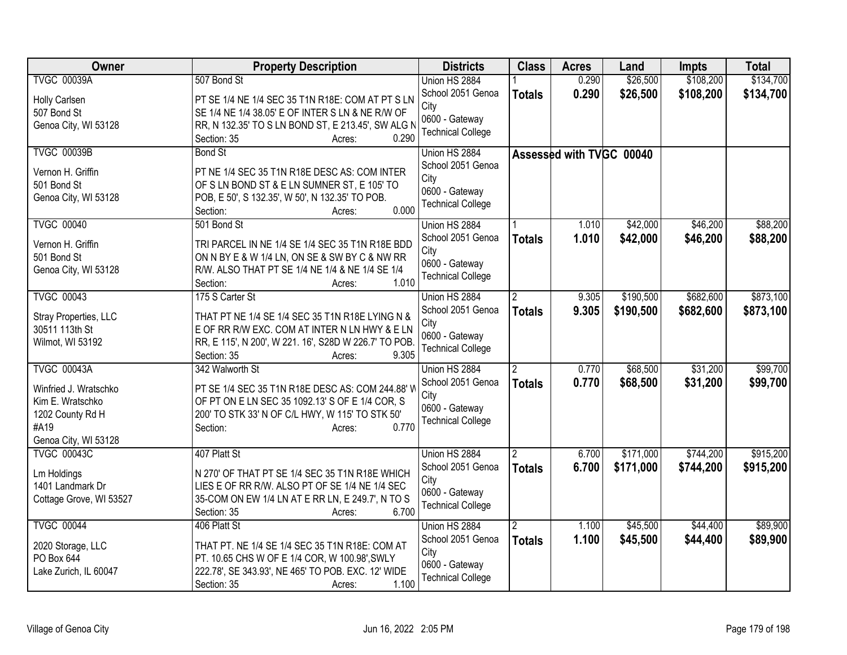| <b>TVGC 00039A</b><br>507 Bond St<br>Union HS 2884<br>0.290<br>0.290<br>\$26,500<br>School 2051 Genoa<br>\$108,200<br><b>Totals</b><br>PT SE 1/4 NE 1/4 SEC 35 T1N R18E: COM AT PT S LN<br>Holly Carlsen<br>City<br>507 Bond St<br>SE 1/4 NE 1/4 38.05' E OF INTER S LN & NE R/W OF<br>0600 - Gateway<br>Genoa City, WI 53128<br>RR, N 132.35' TO S LN BOND ST, E 213.45', SW ALG N<br><b>Technical College</b><br>Section: 35<br>0.290<br>Acres:<br><b>TVGC 00039B</b><br><b>Bond St</b><br>Union HS 2884<br>Assessed with TVGC 00040<br>School 2051 Genoa<br>Vernon H. Griffin<br>PT NE 1/4 SEC 35 T1N R18E DESC AS: COM INTER<br>City<br>501 Bond St<br>OF S LN BOND ST & E LN SUMNER ST, E 105' TO<br>0600 - Gateway<br>Genoa City, WI 53128<br>POB, E 50', S 132.35', W 50', N 132.35' TO POB.<br><b>Technical College</b><br>0.000<br>Section:<br>Acres:<br><b>TVGC 00040</b><br>\$42,000<br>\$46,200<br>501 Bond St<br>Union HS 2884<br>1.010<br>School 2051 Genoa<br>1.010<br>\$42,000<br>\$46,200<br><b>Totals</b><br>Vernon H. Griffin<br>TRI PARCEL IN NE 1/4 SE 1/4 SEC 35 T1N R18E BDD<br>City<br>501 Bond St<br>ON N BY E & W 1/4 LN, ON SE & SW BY C & NW RR<br>0600 - Gateway<br>Genoa City, WI 53128<br>R/W. ALSO THAT PT SE 1/4 NE 1/4 & NE 1/4 SE 1/4<br><b>Technical College</b><br>1.010<br>Section:<br>Acres:<br>\$682,600<br><b>TVGC 00043</b><br>175 S Carter St<br>\$190,500<br>Union HS 2884<br>$\overline{2}$<br>9.305<br>School 2051 Genoa<br>9.305<br>\$190,500<br>\$682,600<br><b>Totals</b><br>THAT PT NE 1/4 SE 1/4 SEC 35 T1N R18E LYING N &<br>Stray Properties, LLC<br>City<br>E OF RR R/W EXC. COM AT INTER N LN HWY & E LN<br>30511 113th St<br>0600 - Gateway<br>RR, E 115', N 200', W 221. 16', S28D W 226.7' TO POB.<br>Wilmot, WI 53192<br><b>Technical College</b><br>9.305<br>Section: 35<br>Acres:<br><b>TVGC 00043A</b><br>342 Walworth St<br>0.770<br>\$68,500<br>\$31,200<br>Union HS 2884<br>0.770<br>School 2051 Genoa<br>\$68,500<br>\$31,200<br><b>Totals</b><br>PT SE 1/4 SEC 35 T1N R18E DESC AS: COM 244.88' W<br>Winfried J. Wratschko<br>City<br>Kim E. Wratschko<br>OF PT ON E LN SEC 35 1092.13' S OF E 1/4 COR, S<br>0600 - Gateway<br>1202 County Rd H<br>200' TO STK 33' N OF C/L HWY, W 115' TO STK 50'<br><b>Technical College</b><br>#A19<br>0.770<br>Section:<br>Acres:<br>Genoa City, WI 53128<br><b>TVGC 00043C</b><br>407 Platt St<br>\$171,000<br>\$744,200<br>Union HS 2884<br>$\mathfrak{p}$<br>6.700<br>School 2051 Genoa<br>6.700<br>\$171,000<br>\$744,200<br><b>Totals</b><br>N 270' OF THAT PT SE 1/4 SEC 35 T1N R18E WHICH<br>Lm Holdings<br>City<br>1401 Landmark Dr<br>LIES E OF RR R/W. ALSO PT OF SE 1/4 NE 1/4 SEC<br>0600 - Gateway<br>Cottage Grove, WI 53527<br>35-COM ON EW 1/4 LN AT E RR LN, E 249.7', N TO S<br><b>Technical College</b><br>6.700<br>Section: 35<br>Acres:<br><b>TVGC 00044</b><br>\$45,500<br>\$44,400<br>406 Platt St<br>Union HS 2884<br>1.100<br>School 2051 Genoa<br>1.100<br>\$45,500<br>\$44,400<br>\$89,900<br><b>Totals</b><br>THAT PT. NE 1/4 SE 1/4 SEC 35 T1N R18E: COM AT<br>2020 Storage, LLC<br>City<br>PO Box 644<br>PT. 10.65 CHS W OF E 1/4 COR, W 100.98', SWLY<br>0600 - Gateway<br>Lake Zurich, IL 60047<br>222.78', SE 343.93', NE 465' TO POB. EXC. 12' WIDE | Owner | <b>Property Description</b> | <b>Districts</b>         | <b>Class</b> | <b>Acres</b> | Land     | <b>Impts</b> | <b>Total</b> |
|----------------------------------------------------------------------------------------------------------------------------------------------------------------------------------------------------------------------------------------------------------------------------------------------------------------------------------------------------------------------------------------------------------------------------------------------------------------------------------------------------------------------------------------------------------------------------------------------------------------------------------------------------------------------------------------------------------------------------------------------------------------------------------------------------------------------------------------------------------------------------------------------------------------------------------------------------------------------------------------------------------------------------------------------------------------------------------------------------------------------------------------------------------------------------------------------------------------------------------------------------------------------------------------------------------------------------------------------------------------------------------------------------------------------------------------------------------------------------------------------------------------------------------------------------------------------------------------------------------------------------------------------------------------------------------------------------------------------------------------------------------------------------------------------------------------------------------------------------------------------------------------------------------------------------------------------------------------------------------------------------------------------------------------------------------------------------------------------------------------------------------------------------------------------------------------------------------------------------------------------------------------------------------------------------------------------------------------------------------------------------------------------------------------------------------------------------------------------------------------------------------------------------------------------------------------------------------------------------------------------------------------------------------------------------------------------------------------------------------------------------------------------------------------------------------------------------------------------------------------------------------------------------------------------------------------------------------------------------------------------------------------------------------------------------------------------------------------------------------------------------------------------------------------------------------------------------------------------------------------------------------------------------------------------|-------|-----------------------------|--------------------------|--------------|--------------|----------|--------------|--------------|
|                                                                                                                                                                                                                                                                                                                                                                                                                                                                                                                                                                                                                                                                                                                                                                                                                                                                                                                                                                                                                                                                                                                                                                                                                                                                                                                                                                                                                                                                                                                                                                                                                                                                                                                                                                                                                                                                                                                                                                                                                                                                                                                                                                                                                                                                                                                                                                                                                                                                                                                                                                                                                                                                                                                                                                                                                                                                                                                                                                                                                                                                                                                                                                                                                                                                                              |       |                             |                          |              |              | \$26,500 | \$108,200    | \$134,700    |
| \$88,200<br>\$873,100<br>\$99,700<br>\$915,200                                                                                                                                                                                                                                                                                                                                                                                                                                                                                                                                                                                                                                                                                                                                                                                                                                                                                                                                                                                                                                                                                                                                                                                                                                                                                                                                                                                                                                                                                                                                                                                                                                                                                                                                                                                                                                                                                                                                                                                                                                                                                                                                                                                                                                                                                                                                                                                                                                                                                                                                                                                                                                                                                                                                                                                                                                                                                                                                                                                                                                                                                                                                                                                                                                               |       |                             |                          |              |              |          |              | \$134,700    |
| \$88,200<br>\$873,100                                                                                                                                                                                                                                                                                                                                                                                                                                                                                                                                                                                                                                                                                                                                                                                                                                                                                                                                                                                                                                                                                                                                                                                                                                                                                                                                                                                                                                                                                                                                                                                                                                                                                                                                                                                                                                                                                                                                                                                                                                                                                                                                                                                                                                                                                                                                                                                                                                                                                                                                                                                                                                                                                                                                                                                                                                                                                                                                                                                                                                                                                                                                                                                                                                                                        |       |                             |                          |              |              |          |              |              |
|                                                                                                                                                                                                                                                                                                                                                                                                                                                                                                                                                                                                                                                                                                                                                                                                                                                                                                                                                                                                                                                                                                                                                                                                                                                                                                                                                                                                                                                                                                                                                                                                                                                                                                                                                                                                                                                                                                                                                                                                                                                                                                                                                                                                                                                                                                                                                                                                                                                                                                                                                                                                                                                                                                                                                                                                                                                                                                                                                                                                                                                                                                                                                                                                                                                                                              |       |                             |                          |              |              |          |              |              |
|                                                                                                                                                                                                                                                                                                                                                                                                                                                                                                                                                                                                                                                                                                                                                                                                                                                                                                                                                                                                                                                                                                                                                                                                                                                                                                                                                                                                                                                                                                                                                                                                                                                                                                                                                                                                                                                                                                                                                                                                                                                                                                                                                                                                                                                                                                                                                                                                                                                                                                                                                                                                                                                                                                                                                                                                                                                                                                                                                                                                                                                                                                                                                                                                                                                                                              |       |                             |                          |              |              |          |              |              |
|                                                                                                                                                                                                                                                                                                                                                                                                                                                                                                                                                                                                                                                                                                                                                                                                                                                                                                                                                                                                                                                                                                                                                                                                                                                                                                                                                                                                                                                                                                                                                                                                                                                                                                                                                                                                                                                                                                                                                                                                                                                                                                                                                                                                                                                                                                                                                                                                                                                                                                                                                                                                                                                                                                                                                                                                                                                                                                                                                                                                                                                                                                                                                                                                                                                                                              |       |                             |                          |              |              |          |              |              |
|                                                                                                                                                                                                                                                                                                                                                                                                                                                                                                                                                                                                                                                                                                                                                                                                                                                                                                                                                                                                                                                                                                                                                                                                                                                                                                                                                                                                                                                                                                                                                                                                                                                                                                                                                                                                                                                                                                                                                                                                                                                                                                                                                                                                                                                                                                                                                                                                                                                                                                                                                                                                                                                                                                                                                                                                                                                                                                                                                                                                                                                                                                                                                                                                                                                                                              |       |                             |                          |              |              |          |              |              |
|                                                                                                                                                                                                                                                                                                                                                                                                                                                                                                                                                                                                                                                                                                                                                                                                                                                                                                                                                                                                                                                                                                                                                                                                                                                                                                                                                                                                                                                                                                                                                                                                                                                                                                                                                                                                                                                                                                                                                                                                                                                                                                                                                                                                                                                                                                                                                                                                                                                                                                                                                                                                                                                                                                                                                                                                                                                                                                                                                                                                                                                                                                                                                                                                                                                                                              |       |                             |                          |              |              |          |              |              |
|                                                                                                                                                                                                                                                                                                                                                                                                                                                                                                                                                                                                                                                                                                                                                                                                                                                                                                                                                                                                                                                                                                                                                                                                                                                                                                                                                                                                                                                                                                                                                                                                                                                                                                                                                                                                                                                                                                                                                                                                                                                                                                                                                                                                                                                                                                                                                                                                                                                                                                                                                                                                                                                                                                                                                                                                                                                                                                                                                                                                                                                                                                                                                                                                                                                                                              |       |                             |                          |              |              |          |              |              |
|                                                                                                                                                                                                                                                                                                                                                                                                                                                                                                                                                                                                                                                                                                                                                                                                                                                                                                                                                                                                                                                                                                                                                                                                                                                                                                                                                                                                                                                                                                                                                                                                                                                                                                                                                                                                                                                                                                                                                                                                                                                                                                                                                                                                                                                                                                                                                                                                                                                                                                                                                                                                                                                                                                                                                                                                                                                                                                                                                                                                                                                                                                                                                                                                                                                                                              |       |                             |                          |              |              |          |              |              |
|                                                                                                                                                                                                                                                                                                                                                                                                                                                                                                                                                                                                                                                                                                                                                                                                                                                                                                                                                                                                                                                                                                                                                                                                                                                                                                                                                                                                                                                                                                                                                                                                                                                                                                                                                                                                                                                                                                                                                                                                                                                                                                                                                                                                                                                                                                                                                                                                                                                                                                                                                                                                                                                                                                                                                                                                                                                                                                                                                                                                                                                                                                                                                                                                                                                                                              |       |                             |                          |              |              |          |              |              |
|                                                                                                                                                                                                                                                                                                                                                                                                                                                                                                                                                                                                                                                                                                                                                                                                                                                                                                                                                                                                                                                                                                                                                                                                                                                                                                                                                                                                                                                                                                                                                                                                                                                                                                                                                                                                                                                                                                                                                                                                                                                                                                                                                                                                                                                                                                                                                                                                                                                                                                                                                                                                                                                                                                                                                                                                                                                                                                                                                                                                                                                                                                                                                                                                                                                                                              |       |                             |                          |              |              |          |              |              |
|                                                                                                                                                                                                                                                                                                                                                                                                                                                                                                                                                                                                                                                                                                                                                                                                                                                                                                                                                                                                                                                                                                                                                                                                                                                                                                                                                                                                                                                                                                                                                                                                                                                                                                                                                                                                                                                                                                                                                                                                                                                                                                                                                                                                                                                                                                                                                                                                                                                                                                                                                                                                                                                                                                                                                                                                                                                                                                                                                                                                                                                                                                                                                                                                                                                                                              |       |                             |                          |              |              |          |              |              |
|                                                                                                                                                                                                                                                                                                                                                                                                                                                                                                                                                                                                                                                                                                                                                                                                                                                                                                                                                                                                                                                                                                                                                                                                                                                                                                                                                                                                                                                                                                                                                                                                                                                                                                                                                                                                                                                                                                                                                                                                                                                                                                                                                                                                                                                                                                                                                                                                                                                                                                                                                                                                                                                                                                                                                                                                                                                                                                                                                                                                                                                                                                                                                                                                                                                                                              |       |                             |                          |              |              |          |              |              |
|                                                                                                                                                                                                                                                                                                                                                                                                                                                                                                                                                                                                                                                                                                                                                                                                                                                                                                                                                                                                                                                                                                                                                                                                                                                                                                                                                                                                                                                                                                                                                                                                                                                                                                                                                                                                                                                                                                                                                                                                                                                                                                                                                                                                                                                                                                                                                                                                                                                                                                                                                                                                                                                                                                                                                                                                                                                                                                                                                                                                                                                                                                                                                                                                                                                                                              |       |                             |                          |              |              |          |              |              |
|                                                                                                                                                                                                                                                                                                                                                                                                                                                                                                                                                                                                                                                                                                                                                                                                                                                                                                                                                                                                                                                                                                                                                                                                                                                                                                                                                                                                                                                                                                                                                                                                                                                                                                                                                                                                                                                                                                                                                                                                                                                                                                                                                                                                                                                                                                                                                                                                                                                                                                                                                                                                                                                                                                                                                                                                                                                                                                                                                                                                                                                                                                                                                                                                                                                                                              |       |                             |                          |              |              |          |              |              |
|                                                                                                                                                                                                                                                                                                                                                                                                                                                                                                                                                                                                                                                                                                                                                                                                                                                                                                                                                                                                                                                                                                                                                                                                                                                                                                                                                                                                                                                                                                                                                                                                                                                                                                                                                                                                                                                                                                                                                                                                                                                                                                                                                                                                                                                                                                                                                                                                                                                                                                                                                                                                                                                                                                                                                                                                                                                                                                                                                                                                                                                                                                                                                                                                                                                                                              |       |                             |                          |              |              |          |              |              |
|                                                                                                                                                                                                                                                                                                                                                                                                                                                                                                                                                                                                                                                                                                                                                                                                                                                                                                                                                                                                                                                                                                                                                                                                                                                                                                                                                                                                                                                                                                                                                                                                                                                                                                                                                                                                                                                                                                                                                                                                                                                                                                                                                                                                                                                                                                                                                                                                                                                                                                                                                                                                                                                                                                                                                                                                                                                                                                                                                                                                                                                                                                                                                                                                                                                                                              |       |                             |                          |              |              |          |              |              |
| \$99,700<br>\$915,200<br>\$89,900                                                                                                                                                                                                                                                                                                                                                                                                                                                                                                                                                                                                                                                                                                                                                                                                                                                                                                                                                                                                                                                                                                                                                                                                                                                                                                                                                                                                                                                                                                                                                                                                                                                                                                                                                                                                                                                                                                                                                                                                                                                                                                                                                                                                                                                                                                                                                                                                                                                                                                                                                                                                                                                                                                                                                                                                                                                                                                                                                                                                                                                                                                                                                                                                                                                            |       |                             |                          |              |              |          |              |              |
|                                                                                                                                                                                                                                                                                                                                                                                                                                                                                                                                                                                                                                                                                                                                                                                                                                                                                                                                                                                                                                                                                                                                                                                                                                                                                                                                                                                                                                                                                                                                                                                                                                                                                                                                                                                                                                                                                                                                                                                                                                                                                                                                                                                                                                                                                                                                                                                                                                                                                                                                                                                                                                                                                                                                                                                                                                                                                                                                                                                                                                                                                                                                                                                                                                                                                              |       |                             |                          |              |              |          |              |              |
|                                                                                                                                                                                                                                                                                                                                                                                                                                                                                                                                                                                                                                                                                                                                                                                                                                                                                                                                                                                                                                                                                                                                                                                                                                                                                                                                                                                                                                                                                                                                                                                                                                                                                                                                                                                                                                                                                                                                                                                                                                                                                                                                                                                                                                                                                                                                                                                                                                                                                                                                                                                                                                                                                                                                                                                                                                                                                                                                                                                                                                                                                                                                                                                                                                                                                              |       |                             |                          |              |              |          |              |              |
|                                                                                                                                                                                                                                                                                                                                                                                                                                                                                                                                                                                                                                                                                                                                                                                                                                                                                                                                                                                                                                                                                                                                                                                                                                                                                                                                                                                                                                                                                                                                                                                                                                                                                                                                                                                                                                                                                                                                                                                                                                                                                                                                                                                                                                                                                                                                                                                                                                                                                                                                                                                                                                                                                                                                                                                                                                                                                                                                                                                                                                                                                                                                                                                                                                                                                              |       |                             |                          |              |              |          |              |              |
|                                                                                                                                                                                                                                                                                                                                                                                                                                                                                                                                                                                                                                                                                                                                                                                                                                                                                                                                                                                                                                                                                                                                                                                                                                                                                                                                                                                                                                                                                                                                                                                                                                                                                                                                                                                                                                                                                                                                                                                                                                                                                                                                                                                                                                                                                                                                                                                                                                                                                                                                                                                                                                                                                                                                                                                                                                                                                                                                                                                                                                                                                                                                                                                                                                                                                              |       |                             |                          |              |              |          |              |              |
|                                                                                                                                                                                                                                                                                                                                                                                                                                                                                                                                                                                                                                                                                                                                                                                                                                                                                                                                                                                                                                                                                                                                                                                                                                                                                                                                                                                                                                                                                                                                                                                                                                                                                                                                                                                                                                                                                                                                                                                                                                                                                                                                                                                                                                                                                                                                                                                                                                                                                                                                                                                                                                                                                                                                                                                                                                                                                                                                                                                                                                                                                                                                                                                                                                                                                              |       |                             |                          |              |              |          |              |              |
|                                                                                                                                                                                                                                                                                                                                                                                                                                                                                                                                                                                                                                                                                                                                                                                                                                                                                                                                                                                                                                                                                                                                                                                                                                                                                                                                                                                                                                                                                                                                                                                                                                                                                                                                                                                                                                                                                                                                                                                                                                                                                                                                                                                                                                                                                                                                                                                                                                                                                                                                                                                                                                                                                                                                                                                                                                                                                                                                                                                                                                                                                                                                                                                                                                                                                              |       |                             |                          |              |              |          |              |              |
|                                                                                                                                                                                                                                                                                                                                                                                                                                                                                                                                                                                                                                                                                                                                                                                                                                                                                                                                                                                                                                                                                                                                                                                                                                                                                                                                                                                                                                                                                                                                                                                                                                                                                                                                                                                                                                                                                                                                                                                                                                                                                                                                                                                                                                                                                                                                                                                                                                                                                                                                                                                                                                                                                                                                                                                                                                                                                                                                                                                                                                                                                                                                                                                                                                                                                              |       |                             |                          |              |              |          |              |              |
|                                                                                                                                                                                                                                                                                                                                                                                                                                                                                                                                                                                                                                                                                                                                                                                                                                                                                                                                                                                                                                                                                                                                                                                                                                                                                                                                                                                                                                                                                                                                                                                                                                                                                                                                                                                                                                                                                                                                                                                                                                                                                                                                                                                                                                                                                                                                                                                                                                                                                                                                                                                                                                                                                                                                                                                                                                                                                                                                                                                                                                                                                                                                                                                                                                                                                              |       |                             |                          |              |              |          |              |              |
|                                                                                                                                                                                                                                                                                                                                                                                                                                                                                                                                                                                                                                                                                                                                                                                                                                                                                                                                                                                                                                                                                                                                                                                                                                                                                                                                                                                                                                                                                                                                                                                                                                                                                                                                                                                                                                                                                                                                                                                                                                                                                                                                                                                                                                                                                                                                                                                                                                                                                                                                                                                                                                                                                                                                                                                                                                                                                                                                                                                                                                                                                                                                                                                                                                                                                              |       |                             |                          |              |              |          |              |              |
|                                                                                                                                                                                                                                                                                                                                                                                                                                                                                                                                                                                                                                                                                                                                                                                                                                                                                                                                                                                                                                                                                                                                                                                                                                                                                                                                                                                                                                                                                                                                                                                                                                                                                                                                                                                                                                                                                                                                                                                                                                                                                                                                                                                                                                                                                                                                                                                                                                                                                                                                                                                                                                                                                                                                                                                                                                                                                                                                                                                                                                                                                                                                                                                                                                                                                              |       |                             |                          |              |              |          |              |              |
|                                                                                                                                                                                                                                                                                                                                                                                                                                                                                                                                                                                                                                                                                                                                                                                                                                                                                                                                                                                                                                                                                                                                                                                                                                                                                                                                                                                                                                                                                                                                                                                                                                                                                                                                                                                                                                                                                                                                                                                                                                                                                                                                                                                                                                                                                                                                                                                                                                                                                                                                                                                                                                                                                                                                                                                                                                                                                                                                                                                                                                                                                                                                                                                                                                                                                              |       |                             |                          |              |              |          |              |              |
|                                                                                                                                                                                                                                                                                                                                                                                                                                                                                                                                                                                                                                                                                                                                                                                                                                                                                                                                                                                                                                                                                                                                                                                                                                                                                                                                                                                                                                                                                                                                                                                                                                                                                                                                                                                                                                                                                                                                                                                                                                                                                                                                                                                                                                                                                                                                                                                                                                                                                                                                                                                                                                                                                                                                                                                                                                                                                                                                                                                                                                                                                                                                                                                                                                                                                              |       |                             |                          |              |              |          |              |              |
|                                                                                                                                                                                                                                                                                                                                                                                                                                                                                                                                                                                                                                                                                                                                                                                                                                                                                                                                                                                                                                                                                                                                                                                                                                                                                                                                                                                                                                                                                                                                                                                                                                                                                                                                                                                                                                                                                                                                                                                                                                                                                                                                                                                                                                                                                                                                                                                                                                                                                                                                                                                                                                                                                                                                                                                                                                                                                                                                                                                                                                                                                                                                                                                                                                                                                              |       |                             |                          |              |              |          |              |              |
|                                                                                                                                                                                                                                                                                                                                                                                                                                                                                                                                                                                                                                                                                                                                                                                                                                                                                                                                                                                                                                                                                                                                                                                                                                                                                                                                                                                                                                                                                                                                                                                                                                                                                                                                                                                                                                                                                                                                                                                                                                                                                                                                                                                                                                                                                                                                                                                                                                                                                                                                                                                                                                                                                                                                                                                                                                                                                                                                                                                                                                                                                                                                                                                                                                                                                              |       |                             |                          |              |              |          |              |              |
|                                                                                                                                                                                                                                                                                                                                                                                                                                                                                                                                                                                                                                                                                                                                                                                                                                                                                                                                                                                                                                                                                                                                                                                                                                                                                                                                                                                                                                                                                                                                                                                                                                                                                                                                                                                                                                                                                                                                                                                                                                                                                                                                                                                                                                                                                                                                                                                                                                                                                                                                                                                                                                                                                                                                                                                                                                                                                                                                                                                                                                                                                                                                                                                                                                                                                              |       |                             |                          |              |              |          |              |              |
|                                                                                                                                                                                                                                                                                                                                                                                                                                                                                                                                                                                                                                                                                                                                                                                                                                                                                                                                                                                                                                                                                                                                                                                                                                                                                                                                                                                                                                                                                                                                                                                                                                                                                                                                                                                                                                                                                                                                                                                                                                                                                                                                                                                                                                                                                                                                                                                                                                                                                                                                                                                                                                                                                                                                                                                                                                                                                                                                                                                                                                                                                                                                                                                                                                                                                              |       |                             |                          |              |              |          |              |              |
|                                                                                                                                                                                                                                                                                                                                                                                                                                                                                                                                                                                                                                                                                                                                                                                                                                                                                                                                                                                                                                                                                                                                                                                                                                                                                                                                                                                                                                                                                                                                                                                                                                                                                                                                                                                                                                                                                                                                                                                                                                                                                                                                                                                                                                                                                                                                                                                                                                                                                                                                                                                                                                                                                                                                                                                                                                                                                                                                                                                                                                                                                                                                                                                                                                                                                              |       |                             |                          |              |              |          |              |              |
|                                                                                                                                                                                                                                                                                                                                                                                                                                                                                                                                                                                                                                                                                                                                                                                                                                                                                                                                                                                                                                                                                                                                                                                                                                                                                                                                                                                                                                                                                                                                                                                                                                                                                                                                                                                                                                                                                                                                                                                                                                                                                                                                                                                                                                                                                                                                                                                                                                                                                                                                                                                                                                                                                                                                                                                                                                                                                                                                                                                                                                                                                                                                                                                                                                                                                              |       |                             |                          |              |              |          |              |              |
| Acres:                                                                                                                                                                                                                                                                                                                                                                                                                                                                                                                                                                                                                                                                                                                                                                                                                                                                                                                                                                                                                                                                                                                                                                                                                                                                                                                                                                                                                                                                                                                                                                                                                                                                                                                                                                                                                                                                                                                                                                                                                                                                                                                                                                                                                                                                                                                                                                                                                                                                                                                                                                                                                                                                                                                                                                                                                                                                                                                                                                                                                                                                                                                                                                                                                                                                                       |       | 1.100<br>Section: 35        | <b>Technical College</b> |              |              |          |              |              |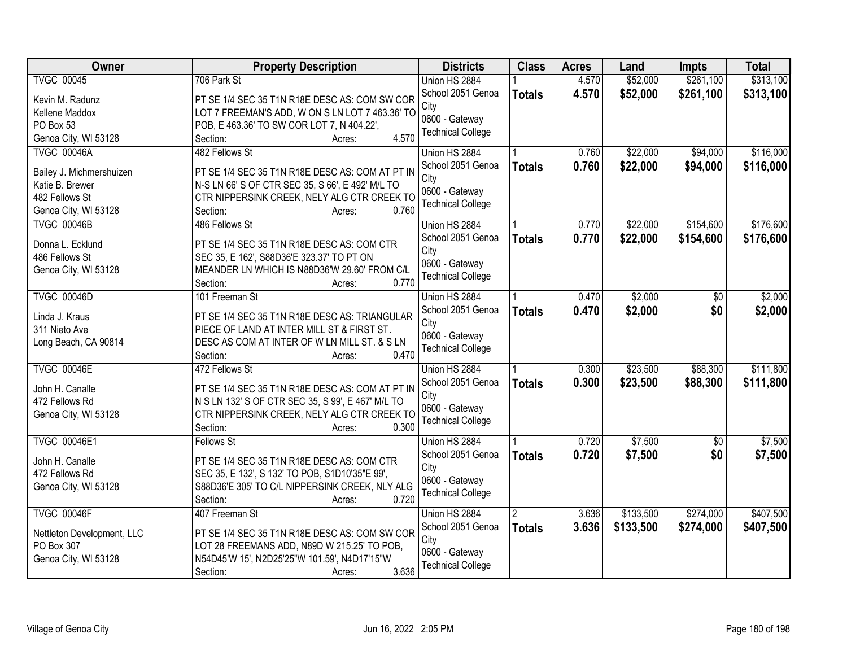| <b>Owner</b>                                | <b>Property Description</b>                                      | <b>Districts</b>          | <b>Class</b>  | <b>Acres</b> | Land      | Impts           | <b>Total</b> |
|---------------------------------------------|------------------------------------------------------------------|---------------------------|---------------|--------------|-----------|-----------------|--------------|
| <b>TVGC 00045</b>                           | 706 Park St                                                      | Union HS 2884             |               | 4.570        | \$52,000  | \$261,100       | \$313,100    |
| Kevin M. Radunz                             | PT SE 1/4 SEC 35 T1N R18E DESC AS: COM SW COR                    | School 2051 Genoa         | <b>Totals</b> | 4.570        | \$52,000  | \$261,100       | \$313,100    |
| Kellene Maddox                              | LOT 7 FREEMAN'S ADD, W ON S LN LOT 7 463.36' TO                  | City                      |               |              |           |                 |              |
| PO Box 53                                   | POB, E 463.36' TO SW COR LOT 7, N 404.22',                       | 0600 - Gateway            |               |              |           |                 |              |
| Genoa City, WI 53128                        | 4.570<br>Section:<br>Acres:                                      | <b>Technical College</b>  |               |              |           |                 |              |
| <b>TVGC 00046A</b>                          | 482 Fellows St                                                   | Union HS 2884             |               | 0.760        | \$22,000  | \$94,000        | \$116,000    |
|                                             |                                                                  | School 2051 Genoa         | <b>Totals</b> | 0.760        | \$22,000  | \$94,000        | \$116,000    |
| Bailey J. Michmershuizen<br>Katie B. Brewer | PT SE 1/4 SEC 35 T1N R18E DESC AS: COM AT PT IN                  | City                      |               |              |           |                 |              |
| 482 Fellows St                              | N-S LN 66' S OF CTR SEC 35, S 66', E 492' M/L TO                 | 0600 - Gateway            |               |              |           |                 |              |
|                                             | CTR NIPPERSINK CREEK, NELY ALG CTR CREEK TO<br>0.760<br>Section: | <b>Technical College</b>  |               |              |           |                 |              |
| Genoa City, WI 53128<br><b>TVGC 00046B</b>  | Acres:<br>486 Fellows St                                         | Union HS 2884             |               | 0.770        | \$22,000  | \$154,600       | \$176,600    |
|                                             |                                                                  |                           |               |              |           |                 |              |
| Donna L. Ecklund                            | PT SE 1/4 SEC 35 T1N R18E DESC AS: COM CTR                       | School 2051 Genoa<br>City | <b>Totals</b> | 0.770        | \$22,000  | \$154,600       | \$176,600    |
| 486 Fellows St                              | SEC 35, E 162', S88D36'E 323.37' TO PT ON                        | 0600 - Gateway            |               |              |           |                 |              |
| Genoa City, WI 53128                        | MEANDER LN WHICH IS N88D36'W 29.60' FROM C/L                     | <b>Technical College</b>  |               |              |           |                 |              |
|                                             | 0.770<br>Section:<br>Acres:                                      |                           |               |              |           |                 |              |
| <b>TVGC 00046D</b>                          | 101 Freeman St                                                   | Union HS 2884             |               | 0.470        | \$2,000   | $\sqrt[6]{}$    | \$2,000      |
| Linda J. Kraus                              | PT SE 1/4 SEC 35 T1N R18E DESC AS: TRIANGULAR                    | School 2051 Genoa         | <b>Totals</b> | 0.470        | \$2,000   | \$0             | \$2,000      |
| 311 Nieto Ave                               | PIECE OF LAND AT INTER MILL ST & FIRST ST.                       | City                      |               |              |           |                 |              |
| Long Beach, CA 90814                        | DESC AS COM AT INTER OF W LN MILL ST. & S LN                     | 0600 - Gateway            |               |              |           |                 |              |
|                                             | 0.470<br>Section:<br>Acres:                                      | <b>Technical College</b>  |               |              |           |                 |              |
| <b>TVGC 00046E</b>                          | 472 Fellows St                                                   | Union HS 2884             |               | 0.300        | \$23,500  | \$88,300        | \$111,800    |
|                                             |                                                                  | School 2051 Genoa         |               | 0.300        |           | \$88,300        |              |
| John H. Canalle                             | PT SE 1/4 SEC 35 T1N R18E DESC AS: COM AT PT IN                  | City                      | <b>Totals</b> |              | \$23,500  |                 | \$111,800    |
| 472 Fellows Rd                              | N S LN 132' S OF CTR SEC 35, S 99', E 467' M/L TO                | 0600 - Gateway            |               |              |           |                 |              |
| Genoa City, WI 53128                        | CTR NIPPERSINK CREEK, NELY ALG CTR CREEK TO                      | <b>Technical College</b>  |               |              |           |                 |              |
|                                             | 0.300<br>Section:<br>Acres:                                      |                           |               |              |           |                 |              |
| <b>TVGC 00046E1</b>                         | Fellows St                                                       | Union HS 2884             |               | 0.720        | \$7,500   | $\overline{50}$ | \$7,500      |
| John H. Canalle                             | PT SE 1/4 SEC 35 T1N R18E DESC AS: COM CTR                       | School 2051 Genoa         | <b>Totals</b> | 0.720        | \$7,500   | \$0             | \$7,500      |
| 472 Fellows Rd                              | SEC 35, E 132', S 132' TO POB, S1D10'35"E 99',                   | City                      |               |              |           |                 |              |
| Genoa City, WI 53128                        | S88D36'E 305' TO C/L NIPPERSINK CREEK, NLY ALG                   | 0600 - Gateway            |               |              |           |                 |              |
|                                             | 0.720<br>Section:<br>Acres:                                      | <b>Technical College</b>  |               |              |           |                 |              |
| <b>TVGC 00046F</b>                          | 407 Freeman St                                                   | Union HS 2884             | 2             | 3.636        | \$133,500 | \$274,000       | \$407,500    |
|                                             |                                                                  | School 2051 Genoa         | <b>Totals</b> | 3.636        | \$133,500 | \$274,000       | \$407,500    |
| Nettleton Development, LLC                  | PT SE 1/4 SEC 35 T1N R18E DESC AS: COM SW COR                    | City                      |               |              |           |                 |              |
| PO Box 307                                  | LOT 28 FREEMANS ADD, N89D W 215.25' TO POB,                      | 0600 - Gateway            |               |              |           |                 |              |
| Genoa City, WI 53128                        | N54D45'W 15', N2D25'25"W 101.59', N4D17'15"W                     | <b>Technical College</b>  |               |              |           |                 |              |
|                                             | 3.636<br>Section:<br>Acres:                                      |                           |               |              |           |                 |              |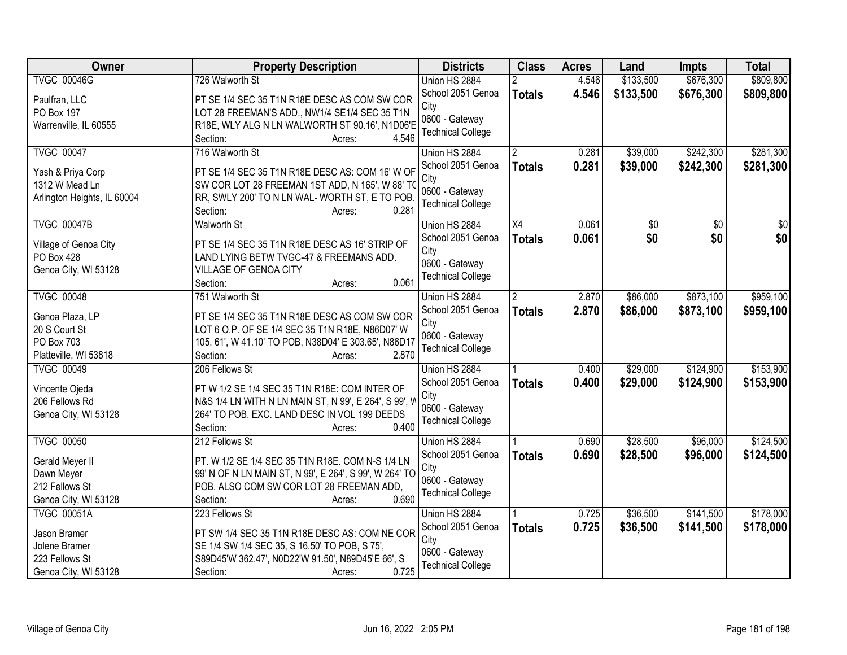| Owner                               | <b>Property Description</b>                                      | <b>Districts</b>         | <b>Class</b>         | <b>Acres</b> | Land            | <b>Impts</b>    | <b>Total</b>    |
|-------------------------------------|------------------------------------------------------------------|--------------------------|----------------------|--------------|-----------------|-----------------|-----------------|
| <b>TVGC 00046G</b>                  | 726 Walworth St                                                  | Union HS 2884            |                      | 4.546        | \$133,500       | \$676,300       | \$809,800       |
| Paulfran, LLC                       | PT SE 1/4 SEC 35 T1N R18E DESC AS COM SW COR                     | School 2051 Genoa        | <b>Totals</b>        | 4.546        | \$133,500       | \$676,300       | \$809,800       |
| PO Box 197                          | LOT 28 FREEMAN'S ADD., NW1/4 SE1/4 SEC 35 T1N                    | City                     |                      |              |                 |                 |                 |
| Warrenville, IL 60555               | R18E, WLY ALG N LN WALWORTH ST 90.16', N1D06'E                   | 0600 - Gateway           |                      |              |                 |                 |                 |
|                                     | 4.546<br>Section:<br>Acres:                                      | <b>Technical College</b> |                      |              |                 |                 |                 |
| <b>TVGC 00047</b>                   | 716 Walworth St                                                  | Union HS 2884            | 2                    | 0.281        | \$39,000        | \$242,300       | \$281,300       |
|                                     | PT SE 1/4 SEC 35 T1N R18E DESC AS: COM 16' W OF                  | School 2051 Genoa        | <b>Totals</b>        | 0.281        | \$39,000        | \$242,300       | \$281,300       |
| Yash & Priya Corp<br>1312 W Mead Ln | SW COR LOT 28 FREEMAN 1ST ADD, N 165', W 88' TO                  | City                     |                      |              |                 |                 |                 |
| Arlington Heights, IL 60004         | RR, SWLY 200' TO N LN WAL-WORTH ST, E TO POB.                    | 0600 - Gateway           |                      |              |                 |                 |                 |
|                                     | 0.281<br>Section:<br>Acres:                                      | <b>Technical College</b> |                      |              |                 |                 |                 |
| <b>TVGC 00047B</b>                  | <b>Walworth St</b>                                               | Union HS 2884            | $\overline{X4}$      | 0.061        | $\overline{50}$ | $\overline{50}$ | $\overline{50}$ |
|                                     |                                                                  | School 2051 Genoa        | <b>Totals</b>        | 0.061        | \$0             | \$0             | \$0             |
| Village of Genoa City               | PT SE 1/4 SEC 35 T1N R18E DESC AS 16' STRIP OF                   | City                     |                      |              |                 |                 |                 |
| PO Box 428                          | LAND LYING BETW TVGC-47 & FREEMANS ADD.<br>VILLAGE OF GENOA CITY | 0600 - Gateway           |                      |              |                 |                 |                 |
| Genoa City, WI 53128                | 0.061<br>Section:<br>Acres:                                      | <b>Technical College</b> |                      |              |                 |                 |                 |
| <b>TVGC 00048</b>                   | 751 Walworth St                                                  | Union HS 2884            | $\mathbf{2}^{\circ}$ | 2.870        | \$86,000        | \$873,100       | \$959,100       |
|                                     |                                                                  | School 2051 Genoa        |                      | 2.870        |                 |                 |                 |
| Genoa Plaza, LP                     | PT SE 1/4 SEC 35 T1N R18E DESC AS COM SW COR                     | City                     | <b>Totals</b>        |              | \$86,000        | \$873,100       | \$959,100       |
| 20 S Court St                       | LOT 6 O.P. OF SE 1/4 SEC 35 T1N R18E, N86D07' W                  | 0600 - Gateway           |                      |              |                 |                 |                 |
| PO Box 703                          | 105. 61', W 41.10' TO POB, N38D04' E 303.65', N86D17             | <b>Technical College</b> |                      |              |                 |                 |                 |
| Platteville, WI 53818               | 2.870<br>Section:<br>Acres:                                      |                          |                      |              |                 |                 |                 |
| <b>TVGC 00049</b>                   | 206 Fellows St                                                   | Union HS 2884            |                      | 0.400        | \$29,000        | \$124,900       | \$153,900       |
| Vincente Ojeda                      | PT W 1/2 SE 1/4 SEC 35 T1N R18E: COM INTER OF                    | School 2051 Genoa        | <b>Totals</b>        | 0.400        | \$29,000        | \$124,900       | \$153,900       |
| 206 Fellows Rd                      | N&S 1/4 LN WITH N LN MAIN ST, N 99', E 264', S 99', W            | City                     |                      |              |                 |                 |                 |
| Genoa City, WI 53128                | 264' TO POB. EXC. LAND DESC IN VOL 199 DEEDS                     | 0600 - Gateway           |                      |              |                 |                 |                 |
|                                     | 0.400<br>Section:<br>Acres:                                      | <b>Technical College</b> |                      |              |                 |                 |                 |
| <b>TVGC 00050</b>                   | 212 Fellows St                                                   | Union HS 2884            |                      | 0.690        | \$28,500        | \$96,000        | \$124,500       |
| Gerald Meyer II                     | PT. W 1/2 SE 1/4 SEC 35 T1N R18E. COM N-S 1/4 LN                 | School 2051 Genoa        | <b>Totals</b>        | 0.690        | \$28,500        | \$96,000        | \$124,500       |
| Dawn Meyer                          | 99' N OF N LN MAIN ST, N 99', E 264', S 99', W 264' TO           | City                     |                      |              |                 |                 |                 |
| 212 Fellows St                      | POB. ALSO COM SW COR LOT 28 FREEMAN ADD,                         | 0600 - Gateway           |                      |              |                 |                 |                 |
| Genoa City, WI 53128                | 0.690<br>Section:<br>Acres:                                      | <b>Technical College</b> |                      |              |                 |                 |                 |
| <b>TVGC 00051A</b>                  | 223 Fellows St                                                   | Union HS 2884            |                      | 0.725        | \$36,500        | \$141,500       | \$178,000       |
| Jason Bramer                        | PT SW 1/4 SEC 35 T1N R18E DESC AS: COM NE COR                    | School 2051 Genoa        | <b>Totals</b>        | 0.725        | \$36,500        | \$141,500       | \$178,000       |
| Jolene Bramer                       | SE 1/4 SW 1/4 SEC 35, S 16.50' TO POB, S 75',                    | City                     |                      |              |                 |                 |                 |
| 223 Fellows St                      | S89D45'W 362.47', N0D22'W 91.50', N89D45'E 66', S                | 0600 - Gateway           |                      |              |                 |                 |                 |
| Genoa City, WI 53128                | 0.725<br>Section:<br>Acres:                                      | <b>Technical College</b> |                      |              |                 |                 |                 |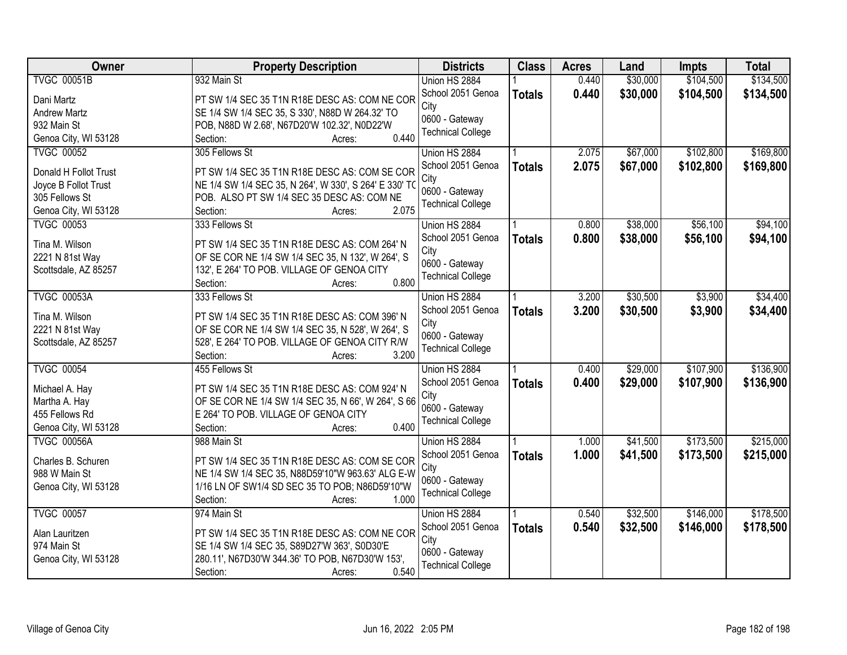| Owner                 | <b>Property Description</b>                                                                      | <b>Districts</b>         | <b>Class</b>  | <b>Acres</b> | Land     | <b>Impts</b> | <b>Total</b> |
|-----------------------|--------------------------------------------------------------------------------------------------|--------------------------|---------------|--------------|----------|--------------|--------------|
| <b>TVGC 00051B</b>    | 932 Main St                                                                                      | Union HS 2884            |               | 0.440        | \$30,000 | \$104,500    | \$134,500    |
| Dani Martz            | PT SW 1/4 SEC 35 T1N R18E DESC AS: COM NE COR                                                    | School 2051 Genoa        | <b>Totals</b> | 0.440        | \$30,000 | \$104,500    | \$134,500    |
| <b>Andrew Martz</b>   | SE 1/4 SW 1/4 SEC 35, S 330', N88D W 264.32' TO                                                  | City                     |               |              |          |              |              |
| 932 Main St           | POB, N88D W 2.68', N67D20'W 102.32', N0D22'W                                                     | 0600 - Gateway           |               |              |          |              |              |
| Genoa City, WI 53128  | 0.440<br>Section:<br>Acres:                                                                      | <b>Technical College</b> |               |              |          |              |              |
| <b>TVGC 00052</b>     | 305 Fellows St                                                                                   | Union HS 2884            |               | 2.075        | \$67,000 | \$102,800    | \$169,800    |
|                       |                                                                                                  | School 2051 Genoa        | <b>Totals</b> | 2.075        | \$67,000 | \$102,800    | \$169,800    |
| Donald H Follot Trust | PT SW 1/4 SEC 35 T1N R18E DESC AS: COM SE COR                                                    | City                     |               |              |          |              |              |
| Joyce B Follot Trust  | NE 1/4 SW 1/4 SEC 35, N 264', W 330', S 264' E 330' TO                                           | 0600 - Gateway           |               |              |          |              |              |
| 305 Fellows St        | POB. ALSO PT SW 1/4 SEC 35 DESC AS: COM NE<br>2.075                                              | <b>Technical College</b> |               |              |          |              |              |
| Genoa City, WI 53128  | Section:<br>Acres:                                                                               |                          |               |              |          |              |              |
| <b>TVGC 00053</b>     | 333 Fellows St                                                                                   | Union HS 2884            |               | 0.800        | \$38,000 | \$56,100     | \$94,100     |
| Tina M. Wilson        | PT SW 1/4 SEC 35 T1N R18E DESC AS: COM 264' N                                                    | School 2051 Genoa        | <b>Totals</b> | 0.800        | \$38,000 | \$56,100     | \$94,100     |
| 2221 N 81st Way       | OF SE COR NE 1/4 SW 1/4 SEC 35, N 132', W 264', S                                                | City<br>0600 - Gateway   |               |              |          |              |              |
| Scottsdale, AZ 85257  | 132', E 264' TO POB. VILLAGE OF GENOA CITY                                                       | <b>Technical College</b> |               |              |          |              |              |
|                       | 0.800<br>Section:<br>Acres:                                                                      |                          |               |              |          |              |              |
| <b>TVGC 00053A</b>    | 333 Fellows St                                                                                   | Union HS 2884            |               | 3.200        | \$30,500 | \$3,900      | \$34,400     |
| Tina M. Wilson        | PT SW 1/4 SEC 35 T1N R18E DESC AS: COM 396' N                                                    | School 2051 Genoa        | <b>Totals</b> | 3.200        | \$30,500 | \$3,900      | \$34,400     |
| 2221 N 81st Way       | OF SE COR NE 1/4 SW 1/4 SEC 35, N 528', W 264', S                                                | City                     |               |              |          |              |              |
| Scottsdale, AZ 85257  | 528', E 264' TO POB. VILLAGE OF GENOA CITY R/W                                                   | 0600 - Gateway           |               |              |          |              |              |
|                       | 3.200<br>Section:<br>Acres:                                                                      | <b>Technical College</b> |               |              |          |              |              |
| <b>TVGC 00054</b>     | 455 Fellows St                                                                                   | Union HS 2884            |               | 0.400        | \$29,000 | \$107,900    | \$136,900    |
|                       |                                                                                                  | School 2051 Genoa        | <b>Totals</b> | 0.400        | \$29,000 | \$107,900    | \$136,900    |
| Michael A. Hay        | PT SW 1/4 SEC 35 T1N R18E DESC AS: COM 924' N                                                    | City                     |               |              |          |              |              |
| Martha A. Hay         | OF SE COR NE 1/4 SW 1/4 SEC 35, N 66', W 264', S 66                                              | 0600 - Gateway           |               |              |          |              |              |
| 455 Fellows Rd        | E 264' TO POB. VILLAGE OF GENOA CITY                                                             | <b>Technical College</b> |               |              |          |              |              |
| Genoa City, WI 53128  | 0.400<br>Section:<br>Acres:                                                                      |                          |               |              |          |              |              |
| <b>TVGC 00056A</b>    | 988 Main St                                                                                      | Union HS 2884            |               | 1.000        | \$41,500 | \$173,500    | \$215,000    |
| Charles B. Schuren    | PT SW 1/4 SEC 35 T1N R18E DESC AS: COM SE COR                                                    | School 2051 Genoa        | <b>Totals</b> | 1.000        | \$41,500 | \$173,500    | \$215,000    |
| 988 W Main St         | NE 1/4 SW 1/4 SEC 35, N88D59'10"W 963.63' ALG E-W                                                | City                     |               |              |          |              |              |
| Genoa City, WI 53128  | 1/16 LN OF SW1/4 SD SEC 35 TO POB; N86D59'10"W                                                   | 0600 - Gateway           |               |              |          |              |              |
|                       | 1.000<br>Section:<br>Acres:                                                                      | <b>Technical College</b> |               |              |          |              |              |
| <b>TVGC 00057</b>     | 974 Main St                                                                                      | Union HS 2884            |               | 0.540        | \$32,500 | \$146,000    | \$178,500    |
|                       |                                                                                                  | School 2051 Genoa        | <b>Totals</b> | 0.540        | \$32,500 | \$146,000    | \$178,500    |
| Alan Lauritzen        | PT SW 1/4 SEC 35 T1N R18E DESC AS: COM NE COR                                                    | City                     |               |              |          |              |              |
| 974 Main St           | SE 1/4 SW 1/4 SEC 35, S89D27'W 363', S0D30'E<br>280.11', N67D30'W 344.36' TO POB, N67D30'W 153', | 0600 - Gateway           |               |              |          |              |              |
| Genoa City, WI 53128  | 0.540<br>Section:<br>Acres:                                                                      | <b>Technical College</b> |               |              |          |              |              |
|                       |                                                                                                  |                          |               |              |          |              |              |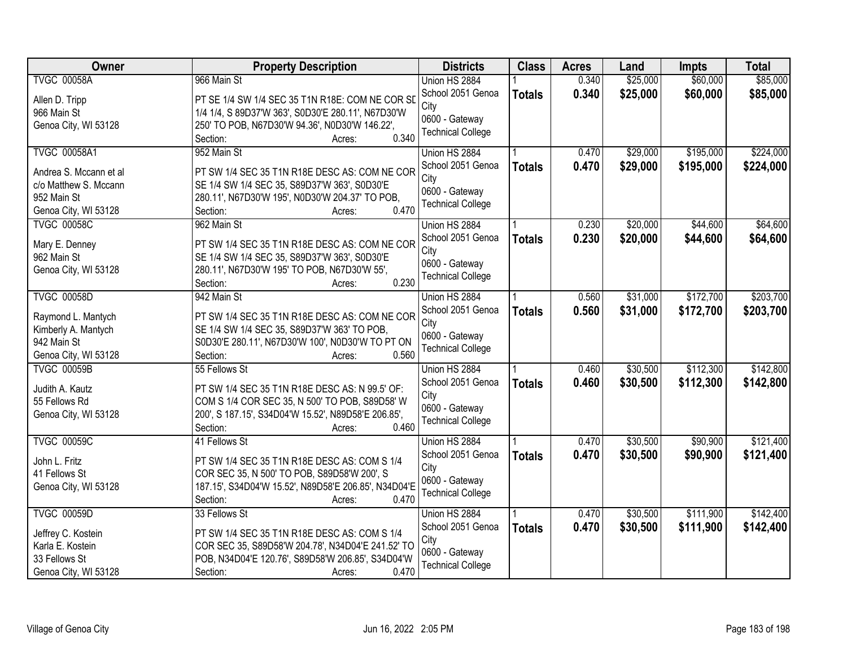| Owner                  | <b>Property Description</b>                                                                           | <b>Districts</b>         | <b>Class</b>  | <b>Acres</b> | Land     | <b>Impts</b> | <b>Total</b> |
|------------------------|-------------------------------------------------------------------------------------------------------|--------------------------|---------------|--------------|----------|--------------|--------------|
| <b>TVGC 00058A</b>     | 966 Main St                                                                                           | Union HS 2884            |               | 0.340        | \$25,000 | \$60,000     | \$85,000     |
| Allen D. Tripp         | PT SE 1/4 SW 1/4 SEC 35 T1N R18E: COM NE COR SD                                                       | School 2051 Genoa        | <b>Totals</b> | 0.340        | \$25,000 | \$60,000     | \$85,000     |
| 966 Main St            | 1/4 1/4, S 89D37'W 363', S0D30'E 280.11', N67D30'W                                                    | City                     |               |              |          |              |              |
| Genoa City, WI 53128   | 250' TO POB, N67D30'W 94.36', N0D30'W 146.22',                                                        | 0600 - Gateway           |               |              |          |              |              |
|                        | 0.340<br>Section:<br>Acres:                                                                           | <b>Technical College</b> |               |              |          |              |              |
| <b>TVGC 00058A1</b>    | 952 Main St                                                                                           | Union HS 2884            |               | 0.470        | \$29,000 | \$195,000    | \$224,000    |
|                        |                                                                                                       | School 2051 Genoa        | <b>Totals</b> | 0.470        | \$29,000 | \$195,000    | \$224,000    |
| Andrea S. Mccann et al | PT SW 1/4 SEC 35 T1N R18E DESC AS: COM NE COR                                                         | City                     |               |              |          |              |              |
| c/o Matthew S. Mccann  | SE 1/4 SW 1/4 SEC 35, S89D37'W 363', S0D30'E                                                          | 0600 - Gateway           |               |              |          |              |              |
| 952 Main St            | 280.11', N67D30'W 195', N0D30'W 204.37' TO POB,                                                       | <b>Technical College</b> |               |              |          |              |              |
| Genoa City, WI 53128   | 0.470<br>Section:<br>Acres:                                                                           |                          |               |              |          |              |              |
| <b>TVGC 00058C</b>     | 962 Main St                                                                                           | Union HS 2884            |               | 0.230        | \$20,000 | \$44,600     | \$64,600     |
| Mary E. Denney         | PT SW 1/4 SEC 35 T1N R18E DESC AS: COM NE COR                                                         | School 2051 Genoa        | <b>Totals</b> | 0.230        | \$20,000 | \$44,600     | \$64,600     |
| 962 Main St            | SE 1/4 SW 1/4 SEC 35, S89D37'W 363', S0D30'E                                                          | City                     |               |              |          |              |              |
| Genoa City, WI 53128   | 280.11', N67D30'W 195' TO POB, N67D30'W 55',                                                          | 0600 - Gateway           |               |              |          |              |              |
|                        | 0.230<br>Section:<br>Acres:                                                                           | <b>Technical College</b> |               |              |          |              |              |
| <b>TVGC 00058D</b>     | 942 Main St                                                                                           | Union HS 2884            |               | 0.560        | \$31,000 | \$172,700    | \$203,700    |
|                        |                                                                                                       | School 2051 Genoa        |               | 0.560        | \$31,000 | \$172,700    | \$203,700    |
| Raymond L. Mantych     | PT SW 1/4 SEC 35 T1N R18E DESC AS: COM NE COR                                                         | City                     | <b>Totals</b> |              |          |              |              |
| Kimberly A. Mantych    | SE 1/4 SW 1/4 SEC 35, S89D37'W 363' TO POB,                                                           | 0600 - Gateway           |               |              |          |              |              |
| 942 Main St            | S0D30'E 280.11', N67D30'W 100', N0D30'W TO PT ON                                                      | <b>Technical College</b> |               |              |          |              |              |
| Genoa City, WI 53128   | 0.560<br>Section:<br>Acres:                                                                           |                          |               |              |          |              |              |
| <b>TVGC 00059B</b>     | 55 Fellows St                                                                                         | Union HS 2884            |               | 0.460        | \$30,500 | \$112,300    | \$142,800    |
| Judith A. Kautz        | PT SW 1/4 SEC 35 T1N R18E DESC AS: N 99.5' OF:                                                        | School 2051 Genoa        | <b>Totals</b> | 0.460        | \$30,500 | \$112,300    | \$142,800    |
| 55 Fellows Rd          |                                                                                                       | City                     |               |              |          |              |              |
| Genoa City, WI 53128   | COM S 1/4 COR SEC 35, N 500' TO POB, S89D58' W<br>200', S 187.15', S34D04'W 15.52', N89D58'E 206.85', | 0600 - Gateway           |               |              |          |              |              |
|                        | 0.460<br>Section:<br>Acres:                                                                           | <b>Technical College</b> |               |              |          |              |              |
|                        |                                                                                                       |                          |               |              |          |              |              |
| <b>TVGC 00059C</b>     | 41 Fellows St                                                                                         | Union HS 2884            |               | 0.470        | \$30,500 | \$90,900     | \$121,400    |
| John L. Fritz          | PT SW 1/4 SEC 35 T1N R18E DESC AS: COM S 1/4                                                          | School 2051 Genoa        | <b>Totals</b> | 0.470        | \$30,500 | \$90,900     | \$121,400    |
| 41 Fellows St          | COR SEC 35, N 500' TO POB, S89D58'W 200', S                                                           | City                     |               |              |          |              |              |
| Genoa City, WI 53128   | 187.15', S34D04'W 15.52', N89D58'E 206.85', N34D04'E                                                  | 0600 - Gateway           |               |              |          |              |              |
|                        | 0.470<br>Section:<br>Acres:                                                                           | <b>Technical College</b> |               |              |          |              |              |
| <b>TVGC 00059D</b>     | 33 Fellows St                                                                                         | Union HS 2884            |               | 0.470        | \$30,500 | \$111,900    | \$142,400    |
|                        |                                                                                                       | School 2051 Genoa        | <b>Totals</b> | 0.470        | \$30,500 | \$111,900    | \$142,400    |
| Jeffrey C. Kostein     | PT SW 1/4 SEC 35 T1N R18E DESC AS: COM S 1/4                                                          | City                     |               |              |          |              |              |
| Karla E. Kostein       | COR SEC 35, S89D58'W 204.78', N34D04'E 241.52' TO                                                     | 0600 - Gateway           |               |              |          |              |              |
| 33 Fellows St          | POB, N34D04'E 120.76', S89D58'W 206.85', S34D04'W                                                     | <b>Technical College</b> |               |              |          |              |              |
| Genoa City, WI 53128   | 0.470<br>Section:<br>Acres:                                                                           |                          |               |              |          |              |              |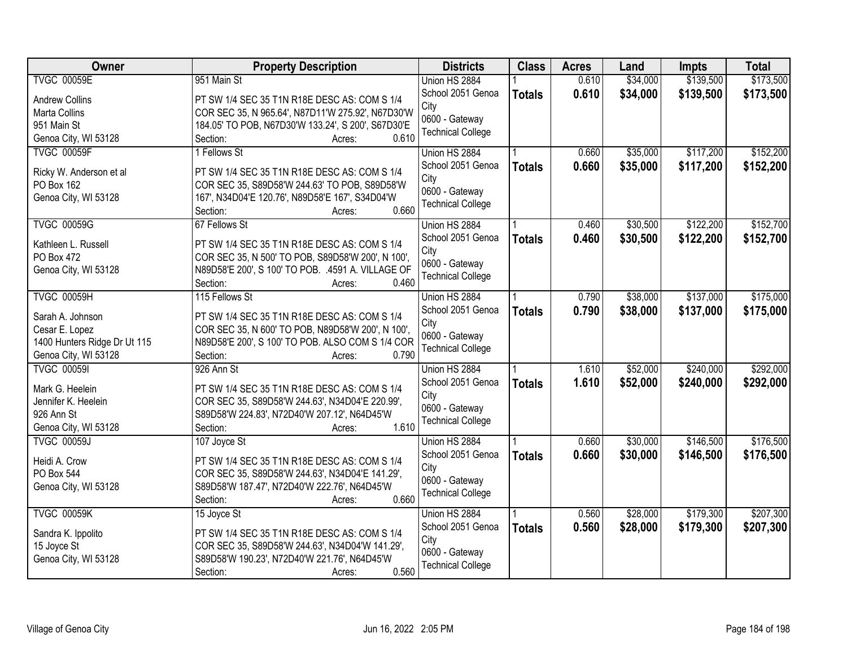| <b>Owner</b>                 | <b>Property Description</b>                           | <b>Districts</b>         | <b>Class</b>  | <b>Acres</b> | Land     | <b>Impts</b> | <b>Total</b> |
|------------------------------|-------------------------------------------------------|--------------------------|---------------|--------------|----------|--------------|--------------|
| <b>TVGC 00059E</b>           | 951 Main St                                           | Union HS 2884            |               | 0.610        | \$34,000 | \$139,500    | \$173,500    |
| <b>Andrew Collins</b>        | PT SW 1/4 SEC 35 T1N R18E DESC AS: COM S 1/4          | School 2051 Genoa        | <b>Totals</b> | 0.610        | \$34,000 | \$139,500    | \$173,500    |
| Marta Collins                | COR SEC 35, N 965.64', N87D11'W 275.92', N67D30'W     | City                     |               |              |          |              |              |
| 951 Main St                  | 184.05' TO POB, N67D30'W 133.24', S 200', S67D30'E    | 0600 - Gateway           |               |              |          |              |              |
| Genoa City, WI 53128         | 0.610<br>Section:<br>Acres:                           | <b>Technical College</b> |               |              |          |              |              |
| <b>TVGC 00059F</b>           | 1 Fellows St                                          | Union HS 2884            |               | 0.660        | \$35,000 | \$117,200    | \$152,200    |
|                              |                                                       | School 2051 Genoa        | <b>Totals</b> | 0.660        | \$35,000 | \$117,200    | \$152,200    |
| Ricky W. Anderson et al      | PT SW 1/4 SEC 35 T1N R18E DESC AS: COM S 1/4          | City                     |               |              |          |              |              |
| PO Box 162                   | COR SEC 35, S89D58'W 244.63' TO POB, S89D58'W         | 0600 - Gateway           |               |              |          |              |              |
| Genoa City, WI 53128         | 167', N34D04'E 120.76', N89D58'E 167', S34D04'W       | <b>Technical College</b> |               |              |          |              |              |
|                              | 0.660<br>Section:<br>Acres:                           |                          |               |              |          |              |              |
| <b>TVGC 00059G</b>           | 67 Fellows St                                         | Union HS 2884            |               | 0.460        | \$30,500 | \$122,200    | \$152,700    |
| Kathleen L. Russell          | PT SW 1/4 SEC 35 T1N R18E DESC AS: COM S 1/4          | School 2051 Genoa        | <b>Totals</b> | 0.460        | \$30,500 | \$122,200    | \$152,700    |
| PO Box 472                   | COR SEC 35, N 500' TO POB, S89D58'W 200', N 100',     | City                     |               |              |          |              |              |
| Genoa City, WI 53128         | N89D58'E 200', S 100' TO POB. .4591 A. VILLAGE OF     | 0600 - Gateway           |               |              |          |              |              |
|                              | 0.460<br>Section:<br>Acres:                           | <b>Technical College</b> |               |              |          |              |              |
| <b>TVGC 00059H</b>           | 115 Fellows St                                        | Union HS 2884            |               | 0.790        | \$38,000 | \$137,000    | \$175,000    |
|                              |                                                       | School 2051 Genoa        | <b>Totals</b> | 0.790        | \$38,000 | \$137,000    | \$175,000    |
| Sarah A. Johnson             | PT SW 1/4 SEC 35 T1N R18E DESC AS: COM S 1/4          | City                     |               |              |          |              |              |
| Cesar E. Lopez               | COR SEC 35, N 600' TO POB, N89D58'W 200', N 100',     | 0600 - Gateway           |               |              |          |              |              |
| 1400 Hunters Ridge Dr Ut 115 | N89D58'E 200', S 100' TO POB. ALSO COM S 1/4 COR      | <b>Technical College</b> |               |              |          |              |              |
| Genoa City, WI 53128         | 0.790<br>Section:<br>Acres:                           |                          |               |              |          |              |              |
| <b>TVGC 000591</b>           | 926 Ann St                                            | Union HS 2884            |               | 1.610        | \$52,000 | \$240,000    | \$292,000    |
| Mark G. Heelein              | PT SW 1/4 SEC 35 T1N R18E DESC AS: COM S 1/4          | School 2051 Genoa        | <b>Totals</b> | 1.610        | \$52,000 | \$240,000    | \$292,000    |
| Jennifer K. Heelein          | COR SEC 35, S89D58'W 244.63', N34D04'E 220.99',       | City                     |               |              |          |              |              |
| 926 Ann St                   | S89D58'W 224.83', N72D40'W 207.12', N64D45'W          | 0600 - Gateway           |               |              |          |              |              |
| Genoa City, WI 53128         | 1.610<br>Section:<br>Acres:                           | <b>Technical College</b> |               |              |          |              |              |
| <b>TVGC 00059J</b>           | 107 Joyce St                                          | Union HS 2884            |               | 0.660        | \$30,000 | \$146,500    | \$176,500    |
|                              |                                                       | School 2051 Genoa        | <b>Totals</b> | 0.660        | \$30,000 | \$146,500    | \$176,500    |
| Heidi A. Crow                | PT SW 1/4 SEC 35 T1N R18E DESC AS: COM S 1/4          | City                     |               |              |          |              |              |
| PO Box 544                   | COR SEC 35, S89D58'W 244.63', N34D04'E 141.29',       | 0600 - Gateway           |               |              |          |              |              |
| Genoa City, WI 53128         | S89D58'W 187.47', N72D40'W 222.76', N64D45'W<br>0.660 | <b>Technical College</b> |               |              |          |              |              |
|                              | Section:<br>Acres:                                    |                          |               |              |          |              |              |
| <b>TVGC 00059K</b>           | 15 Joyce St                                           | Union HS 2884            |               | 0.560        | \$28,000 | \$179,300    | \$207,300    |
| Sandra K. Ippolito           | PT SW 1/4 SEC 35 T1N R18E DESC AS: COM S 1/4          | School 2051 Genoa        | <b>Totals</b> | 0.560        | \$28,000 | \$179,300    | \$207,300    |
| 15 Joyce St                  | COR SEC 35, S89D58'W 244.63', N34D04'W 141.29',       | City                     |               |              |          |              |              |
| Genoa City, WI 53128         | S89D58'W 190.23', N72D40'W 221.76', N64D45'W          | 0600 - Gateway           |               |              |          |              |              |
|                              | 0.560<br>Section:<br>Acres:                           | <b>Technical College</b> |               |              |          |              |              |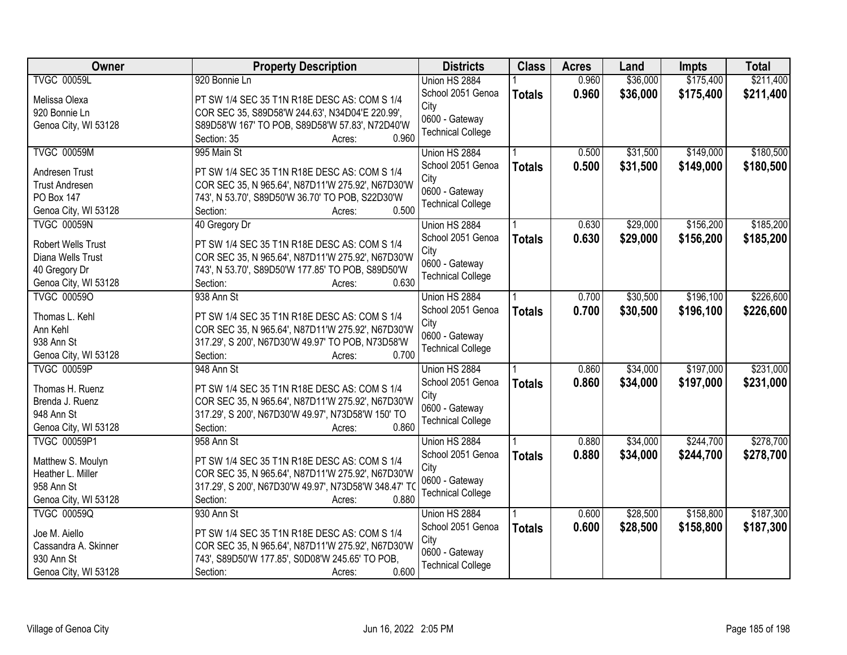| <b>Owner</b>              | <b>Property Description</b>                           | <b>Districts</b>         | <b>Class</b>  | <b>Acres</b> | Land     | Impts     | <b>Total</b> |
|---------------------------|-------------------------------------------------------|--------------------------|---------------|--------------|----------|-----------|--------------|
| <b>TVGC 00059L</b>        | 920 Bonnie Ln                                         | Union HS 2884            |               | 0.960        | \$36,000 | \$175,400 | \$211,400    |
| Melissa Olexa             | PT SW 1/4 SEC 35 T1N R18E DESC AS: COM S 1/4          | School 2051 Genoa        | <b>Totals</b> | 0.960        | \$36,000 | \$175,400 | \$211,400    |
| 920 Bonnie Ln             | COR SEC 35, S89D58'W 244.63', N34D04'E 220.99',       | City                     |               |              |          |           |              |
| Genoa City, WI 53128      | S89D58'W 167' TO POB, S89D58'W 57.83', N72D40'W       | 0600 - Gateway           |               |              |          |           |              |
|                           | 0.960<br>Section: 35<br>Acres:                        | <b>Technical College</b> |               |              |          |           |              |
| <b>TVGC 00059M</b>        | 995 Main St                                           | Union HS 2884            |               | 0.500        | \$31,500 | \$149,000 | \$180,500    |
|                           |                                                       | School 2051 Genoa        | <b>Totals</b> | 0.500        | \$31,500 | \$149,000 | \$180,500    |
| Andresen Trust            | PT SW 1/4 SEC 35 T1N R18E DESC AS: COM S 1/4          | City                     |               |              |          |           |              |
| <b>Trust Andresen</b>     | COR SEC 35, N 965.64', N87D11'W 275.92', N67D30'W     | 0600 - Gateway           |               |              |          |           |              |
| PO Box 147                | 743', N 53.70', S89D50'W 36.70' TO POB, S22D30'W      | <b>Technical College</b> |               |              |          |           |              |
| Genoa City, WI 53128      | 0.500<br>Section:<br>Acres:                           |                          |               |              |          |           |              |
| <b>TVGC 00059N</b>        | 40 Gregory Dr                                         | Union HS 2884            |               | 0.630        | \$29,000 | \$156,200 | \$185,200    |
| <b>Robert Wells Trust</b> | PT SW 1/4 SEC 35 T1N R18E DESC AS: COM S 1/4          | School 2051 Genoa        | <b>Totals</b> | 0.630        | \$29,000 | \$156,200 | \$185,200    |
| Diana Wells Trust         | COR SEC 35, N 965.64', N87D11'W 275.92', N67D30'W     | City                     |               |              |          |           |              |
| 40 Gregory Dr             | 743', N 53.70', S89D50'W 177.85' TO POB, S89D50'W     | 0600 - Gateway           |               |              |          |           |              |
| Genoa City, WI 53128      | 0.630<br>Section:<br>Acres:                           | <b>Technical College</b> |               |              |          |           |              |
| <b>TVGC 000590</b>        | 938 Ann St                                            | Union HS 2884            |               | 0.700        | \$30,500 | \$196,100 | \$226,600    |
|                           |                                                       | School 2051 Genoa        | <b>Totals</b> | 0.700        | \$30,500 | \$196,100 | \$226,600    |
| Thomas L. Kehl            | PT SW 1/4 SEC 35 T1N R18E DESC AS: COM S 1/4          | City                     |               |              |          |           |              |
| Ann Kehl                  | COR SEC 35, N 965.64', N87D11'W 275.92', N67D30'W     | 0600 - Gateway           |               |              |          |           |              |
| 938 Ann St                | 317.29', S 200', N67D30'W 49.97' TO POB, N73D58'W     | <b>Technical College</b> |               |              |          |           |              |
| Genoa City, WI 53128      | 0.700<br>Section:<br>Acres:                           |                          |               |              |          |           |              |
| <b>TVGC 00059P</b>        | 948 Ann St                                            | Union HS 2884            |               | 0.860        | \$34,000 | \$197,000 | \$231,000    |
| Thomas H. Ruenz           | PT SW 1/4 SEC 35 T1N R18E DESC AS: COM S 1/4          | School 2051 Genoa        | <b>Totals</b> | 0.860        | \$34,000 | \$197,000 | \$231,000    |
| Brenda J. Ruenz           | COR SEC 35, N 965.64', N87D11'W 275.92', N67D30'W     | City                     |               |              |          |           |              |
| 948 Ann St                | 317.29', S 200', N67D30'W 49.97', N73D58'W 150' TO    | 0600 - Gateway           |               |              |          |           |              |
| Genoa City, WI 53128      | 0.860<br>Section:<br>Acres:                           | <b>Technical College</b> |               |              |          |           |              |
| <b>TVGC 00059P1</b>       | 958 Ann St                                            | Union HS 2884            |               | 0.880        | \$34,000 | \$244,700 | \$278,700    |
|                           |                                                       | School 2051 Genoa        | <b>Totals</b> | 0.880        | \$34,000 | \$244,700 | \$278,700    |
| Matthew S. Moulyn         | PT SW 1/4 SEC 35 T1N R18E DESC AS: COM S 1/4          | City                     |               |              |          |           |              |
| Heather L. Miller         | COR SEC 35, N 965.64', N87D11'W 275.92', N67D30'W     | 0600 - Gateway           |               |              |          |           |              |
| 958 Ann St                | 317.29', S 200', N67D30'W 49.97', N73D58'W 348.47' TO | <b>Technical College</b> |               |              |          |           |              |
| Genoa City, WI 53128      | Section:<br>0.880<br>Acres:                           |                          |               |              |          |           |              |
| <b>TVGC 00059Q</b>        | 930 Ann St                                            | Union HS 2884            |               | 0.600        | \$28,500 | \$158,800 | \$187,300    |
| Joe M. Aiello             | PT SW 1/4 SEC 35 T1N R18E DESC AS: COM S 1/4          | School 2051 Genoa        | <b>Totals</b> | 0.600        | \$28,500 | \$158,800 | \$187,300    |
| Cassandra A. Skinner      | COR SEC 35, N 965.64', N87D11'W 275.92', N67D30'W     | City                     |               |              |          |           |              |
| 930 Ann St                | 743', S89D50'W 177.85', S0D08'W 245.65' TO POB,       | 0600 - Gateway           |               |              |          |           |              |
| Genoa City, WI 53128      | 0.600<br>Section:<br>Acres:                           | <b>Technical College</b> |               |              |          |           |              |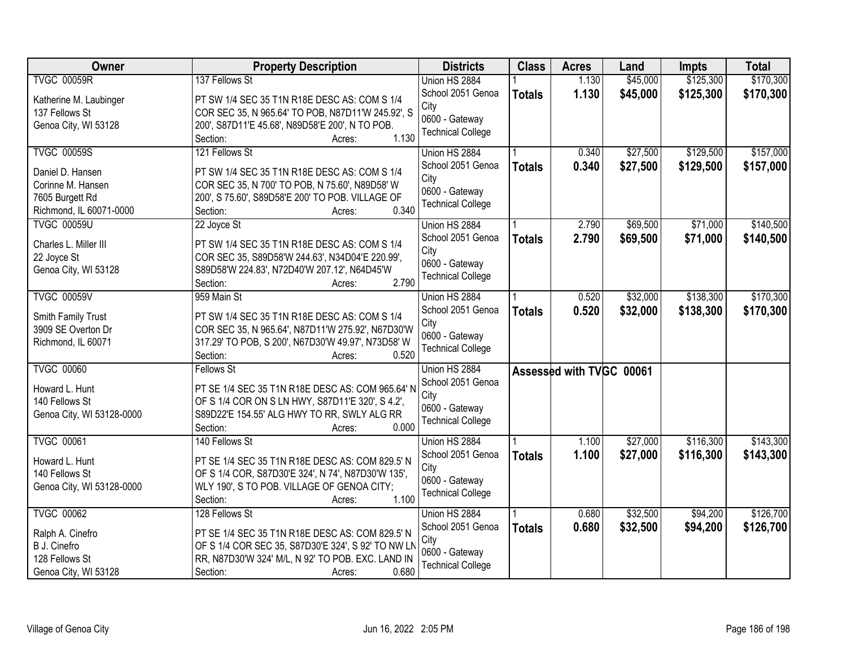| Owner                     | <b>Property Description</b>                               | <b>Districts</b>         | <b>Class</b>  | <b>Acres</b>             | Land     | <b>Impts</b> | <b>Total</b> |
|---------------------------|-----------------------------------------------------------|--------------------------|---------------|--------------------------|----------|--------------|--------------|
| <b>TVGC 00059R</b>        | 137 Fellows St                                            | Union HS 2884            |               | 1.130                    | \$45,000 | \$125,300    | \$170,300    |
| Katherine M. Laubinger    | PT SW 1/4 SEC 35 T1N R18E DESC AS: COM S 1/4              | School 2051 Genoa        | <b>Totals</b> | 1.130                    | \$45,000 | \$125,300    | \$170,300    |
| 137 Fellows St            | COR SEC 35, N 965.64' TO POB, N87D11'W 245.92', S         | City                     |               |                          |          |              |              |
| Genoa City, WI 53128      | 200', S87D11'E 45.68', N89D58'E 200', N TO POB.           | 0600 - Gateway           |               |                          |          |              |              |
|                           | 1.130<br>Section:<br>Acres:                               | <b>Technical College</b> |               |                          |          |              |              |
| <b>TVGC 00059S</b>        | 121 Fellows St                                            | Union HS 2884            |               | 0.340                    | \$27,500 | \$129,500    | \$157,000    |
|                           |                                                           | School 2051 Genoa        | <b>Totals</b> | 0.340                    | \$27,500 | \$129,500    | \$157,000    |
| Daniel D. Hansen          | PT SW 1/4 SEC 35 T1N R18E DESC AS: COM S 1/4              | City                     |               |                          |          |              |              |
| Corinne M. Hansen         | COR SEC 35, N 700' TO POB, N 75.60', N89D58' W            | 0600 - Gateway           |               |                          |          |              |              |
| 7605 Burgett Rd           | 200', S 75.60', S89D58'E 200' TO POB. VILLAGE OF<br>0.340 | <b>Technical College</b> |               |                          |          |              |              |
| Richmond, IL 60071-0000   | Section:<br>Acres:                                        |                          |               |                          |          |              |              |
| <b>TVGC 00059U</b>        | 22 Joyce St                                               | Union HS 2884            |               | 2.790                    | \$69,500 | \$71,000     | \$140,500    |
| Charles L. Miller III     | PT SW 1/4 SEC 35 T1N R18E DESC AS: COM S 1/4              | School 2051 Genoa        | <b>Totals</b> | 2.790                    | \$69,500 | \$71,000     | \$140,500    |
| 22 Joyce St               | COR SEC 35, S89D58'W 244.63', N34D04'E 220.99',           | City                     |               |                          |          |              |              |
| Genoa City, WI 53128      | S89D58'W 224.83', N72D40'W 207.12', N64D45'W              | 0600 - Gateway           |               |                          |          |              |              |
|                           | 2.790<br>Section:<br>Acres:                               | <b>Technical College</b> |               |                          |          |              |              |
| <b>TVGC 00059V</b>        | 959 Main St                                               | Union HS 2884            |               | 0.520                    | \$32,000 | \$138,300    | \$170,300    |
|                           |                                                           | School 2051 Genoa        | <b>Totals</b> | 0.520                    | \$32,000 | \$138,300    | \$170,300    |
| Smith Family Trust        | PT SW 1/4 SEC 35 T1N R18E DESC AS: COM S 1/4              | City                     |               |                          |          |              |              |
| 3909 SE Overton Dr        | COR SEC 35, N 965.64', N87D11'W 275.92', N67D30'W         | 0600 - Gateway           |               |                          |          |              |              |
| Richmond, IL 60071        | 317.29' TO POB, S 200', N67D30'W 49.97', N73D58' W        | <b>Technical College</b> |               |                          |          |              |              |
|                           | 0.520<br>Section:<br>Acres:                               |                          |               |                          |          |              |              |
| <b>TVGC 00060</b>         | <b>Fellows St</b>                                         | Union HS 2884            |               | Assessed with TVGC 00061 |          |              |              |
| Howard L. Hunt            | PT SE 1/4 SEC 35 T1N R18E DESC AS: COM 965.64' N          | School 2051 Genoa        |               |                          |          |              |              |
| 140 Fellows St            | OF S 1/4 COR ON S LN HWY, S87D11'E 320', S 4.2',          | City                     |               |                          |          |              |              |
| Genoa City, WI 53128-0000 | S89D22'E 154.55' ALG HWY TO RR, SWLY ALG RR               | 0600 - Gateway           |               |                          |          |              |              |
|                           | 0.000<br>Section:<br>Acres:                               | <b>Technical College</b> |               |                          |          |              |              |
| <b>TVGC 00061</b>         | 140 Fellows St                                            | Union HS 2884            |               | 1.100                    | \$27,000 | \$116,300    | \$143,300    |
| Howard L. Hunt            | PT SE 1/4 SEC 35 T1N R18E DESC AS: COM 829.5' N           | School 2051 Genoa        | <b>Totals</b> | 1.100                    | \$27,000 | \$116,300    | \$143,300    |
| 140 Fellows St            | OF S 1/4 COR, S87D30'E 324', N 74', N87D30'W 135',        | City                     |               |                          |          |              |              |
| Genoa City, WI 53128-0000 | WLY 190', S TO POB. VILLAGE OF GENOA CITY;                | 0600 - Gateway           |               |                          |          |              |              |
|                           | 1.100<br>Section:<br>Acres:                               | <b>Technical College</b> |               |                          |          |              |              |
| <b>TVGC 00062</b>         | 128 Fellows St                                            | Union HS 2884            |               | 0.680                    | \$32,500 | \$94,200     | \$126,700    |
|                           |                                                           | School 2051 Genoa        | <b>Totals</b> | 0.680                    | \$32,500 | \$94,200     | \$126,700    |
| Ralph A. Cinefro          | PT SE 1/4 SEC 35 T1N R18E DESC AS: COM 829.5' N           | City                     |               |                          |          |              |              |
| B J. Cinefro              | OF S 1/4 COR SEC 35, S87D30'E 324', S 92' TO NW LN        | 0600 - Gateway           |               |                          |          |              |              |
| 128 Fellows St            | RR, N87D30'W 324' M/L, N 92' TO POB. EXC. LAND IN         | <b>Technical College</b> |               |                          |          |              |              |
| Genoa City, WI 53128      | 0.680<br>Section:<br>Acres:                               |                          |               |                          |          |              |              |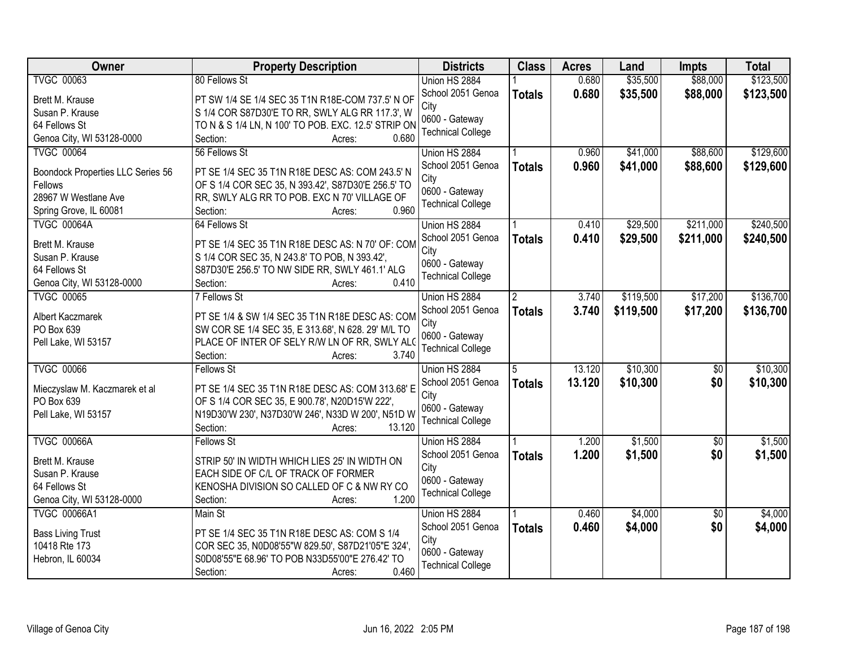| Owner                                       | <b>Property Description</b>                                                                        | <b>Districts</b>         | <b>Class</b>   | <b>Acres</b> | Land      | <b>Impts</b>    | <b>Total</b> |
|---------------------------------------------|----------------------------------------------------------------------------------------------------|--------------------------|----------------|--------------|-----------|-----------------|--------------|
| <b>TVGC 00063</b>                           | 80 Fellows St                                                                                      | Union HS 2884            |                | 0.680        | \$35,500  | \$88,000        | \$123,500    |
| Brett M. Krause                             | PT SW 1/4 SE 1/4 SEC 35 T1N R18E-COM 737.5' N OF                                                   | School 2051 Genoa        | <b>Totals</b>  | 0.680        | \$35,500  | \$88,000        | \$123,500    |
| Susan P. Krause                             | S 1/4 COR S87D30'E TO RR, SWLY ALG RR 117.3', W                                                    | City<br>0600 - Gateway   |                |              |           |                 |              |
| 64 Fellows St                               | TO N & S 1/4 LN, N 100' TO POB. EXC. 12.5' STRIP ON                                                | <b>Technical College</b> |                |              |           |                 |              |
| Genoa City, WI 53128-0000                   | 0.680<br>Section:<br>Acres:                                                                        |                          |                |              |           |                 |              |
| <b>TVGC 00064</b>                           | 56 Fellows St                                                                                      | Union HS 2884            |                | 0.960        | \$41,000  | \$88,600        | \$129,600    |
| Boondock Properties LLC Series 56           | PT SE 1/4 SEC 35 T1N R18E DESC AS: COM 243.5' N                                                    | School 2051 Genoa        | <b>Totals</b>  | 0.960        | \$41,000  | \$88,600        | \$129,600    |
| Fellows                                     | OF S 1/4 COR SEC 35, N 393.42', S87D30'E 256.5' TO                                                 | City                     |                |              |           |                 |              |
| 28967 W Westlane Ave                        | RR, SWLY ALG RR TO POB. EXC N 70' VILLAGE OF                                                       | 0600 - Gateway           |                |              |           |                 |              |
| Spring Grove, IL 60081                      | 0.960<br>Section:<br>Acres:                                                                        | <b>Technical College</b> |                |              |           |                 |              |
| <b>TVGC 00064A</b>                          | 64 Fellows St                                                                                      | Union HS 2884            |                | 0.410        | \$29,500  | \$211,000       | \$240,500    |
|                                             |                                                                                                    | School 2051 Genoa        | <b>Totals</b>  | 0.410        | \$29,500  | \$211,000       | \$240,500    |
| Brett M. Krause                             | PT SE 1/4 SEC 35 T1N R18E DESC AS: N 70' OF: COM                                                   | City                     |                |              |           |                 |              |
| Susan P. Krause                             | S 1/4 COR SEC 35, N 243.8' TO POB, N 393.42',                                                      | 0600 - Gateway           |                |              |           |                 |              |
| 64 Fellows St                               | S87D30'E 256.5' TO NW SIDE RR, SWLY 461.1' ALG                                                     | <b>Technical College</b> |                |              |           |                 |              |
| Genoa City, WI 53128-0000                   | 0.410<br>Section:<br>Acres:                                                                        |                          |                |              |           |                 |              |
| <b>TVGC 00065</b>                           | 7 Fellows St                                                                                       | Union HS 2884            | $\overline{2}$ | 3.740        | \$119,500 | \$17,200        | \$136,700    |
| Albert Kaczmarek                            | PT SE 1/4 & SW 1/4 SEC 35 T1N R18E DESC AS: COM                                                    | School 2051 Genoa        | <b>Totals</b>  | 3.740        | \$119,500 | \$17,200        | \$136,700    |
| PO Box 639                                  | SW COR SE 1/4 SEC 35, E 313.68', N 628. 29' M/L TO                                                 | City                     |                |              |           |                 |              |
| Pell Lake, WI 53157                         | PLACE OF INTER OF SELY R/W LN OF RR, SWLY ALO                                                      | 0600 - Gateway           |                |              |           |                 |              |
|                                             | 3.740<br>Section:<br>Acres:                                                                        | <b>Technical College</b> |                |              |           |                 |              |
| <b>TVGC 00066</b>                           | <b>Fellows St</b>                                                                                  | Union HS 2884            | 5              | 13.120       | \$10,300  | $\overline{50}$ | \$10,300     |
|                                             |                                                                                                    | School 2051 Genoa        | <b>Totals</b>  | 13.120       | \$10,300  | \$0             | \$10,300     |
| Mieczyslaw M. Kaczmarek et al<br>PO Box 639 | PT SE 1/4 SEC 35 T1N R18E DESC AS: COM 313.68' E<br>OF S 1/4 COR SEC 35, E 900.78', N20D15'W 222', | City                     |                |              |           |                 |              |
| Pell Lake, WI 53157                         | N19D30'W 230', N37D30'W 246', N33D W 200', N51D W                                                  | 0600 - Gateway           |                |              |           |                 |              |
|                                             | 13.120<br>Section:<br>Acres:                                                                       | <b>Technical College</b> |                |              |           |                 |              |
| <b>TVGC 00066A</b>                          | <b>Fellows St</b>                                                                                  | Union HS 2884            |                | 1.200        | \$1,500   | $\overline{50}$ | \$1,500      |
|                                             |                                                                                                    | School 2051 Genoa        | <b>Totals</b>  | 1.200        | \$1,500   | \$0             | \$1,500      |
| Brett M. Krause                             | STRIP 50' IN WIDTH WHICH LIES 25' IN WIDTH ON                                                      | City                     |                |              |           |                 |              |
| Susan P. Krause                             | EACH SIDE OF C/L OF TRACK OF FORMER                                                                | 0600 - Gateway           |                |              |           |                 |              |
| 64 Fellows St                               | KENOSHA DIVISION SO CALLED OF C & NW RY CO                                                         | <b>Technical College</b> |                |              |           |                 |              |
| Genoa City, WI 53128-0000                   | 1.200<br>Section:<br>Acres:                                                                        |                          |                |              |           |                 |              |
| <b>TVGC 00066A1</b>                         | Main St                                                                                            | Union HS 2884            |                | 0.460        | \$4,000   | $\overline{50}$ | \$4,000      |
| <b>Bass Living Trust</b>                    | PT SE 1/4 SEC 35 T1N R18E DESC AS: COM S 1/4                                                       | School 2051 Genoa        | <b>Totals</b>  | 0.460        | \$4,000   | \$0             | \$4,000      |
| 10418 Rte 173                               | COR SEC 35, N0D08'55"W 829.50', S87D21'05"E 324',                                                  | City                     |                |              |           |                 |              |
| Hebron, IL 60034                            | S0D08'55"E 68.96' TO POB N33D55'00"E 276.42' TO                                                    | 0600 - Gateway           |                |              |           |                 |              |
|                                             | 0.460<br>Section:<br>Acres:                                                                        | <b>Technical College</b> |                |              |           |                 |              |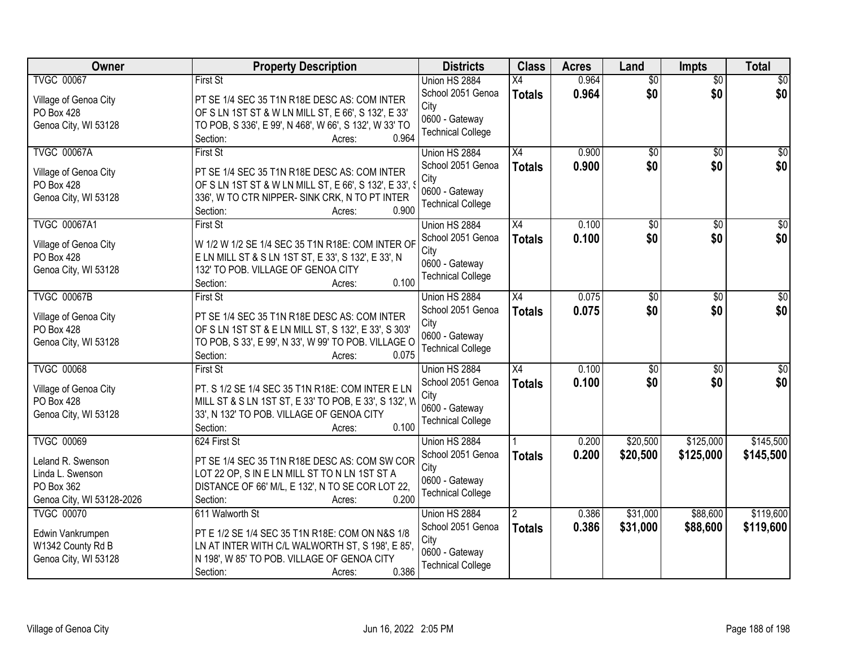| Owner                                 | <b>Property Description</b>                                                                         | <b>Districts</b>         | <b>Class</b>    | <b>Acres</b> | Land            | Impts           | <b>Total</b>    |
|---------------------------------------|-----------------------------------------------------------------------------------------------------|--------------------------|-----------------|--------------|-----------------|-----------------|-----------------|
| <b>TVGC 00067</b>                     | <b>First St</b>                                                                                     | Union HS 2884            | X4              | 0.964        | $\overline{50}$ | $\overline{50}$ | $\overline{50}$ |
| Village of Genoa City                 | PT SE 1/4 SEC 35 T1N R18E DESC AS: COM INTER                                                        | School 2051 Genoa        | <b>Totals</b>   | 0.964        | \$0             | \$0             | \$0             |
| PO Box 428                            | OF S LN 1ST ST & W LN MILL ST, E 66', S 132', E 33'                                                 | City                     |                 |              |                 |                 |                 |
| Genoa City, WI 53128                  | TO POB, S 336', E 99', N 468', W 66', S 132', W 33' TO                                              | 0600 - Gateway           |                 |              |                 |                 |                 |
|                                       | 0.964<br>Section:<br>Acres:                                                                         | <b>Technical College</b> |                 |              |                 |                 |                 |
| <b>TVGC 00067A</b>                    | First St                                                                                            | Union HS 2884            | $\overline{X4}$ | 0.900        | $\overline{50}$ | $\overline{30}$ | $\overline{50}$ |
| Village of Genoa City                 | PT SE 1/4 SEC 35 T1N R18E DESC AS: COM INTER                                                        | School 2051 Genoa        | <b>Totals</b>   | 0.900        | \$0             | \$0             | \$0             |
| PO Box 428                            | OF S LN 1ST ST & W LN MILL ST, E 66', S 132', E 33', S                                              | City                     |                 |              |                 |                 |                 |
| Genoa City, WI 53128                  | 336', W TO CTR NIPPER- SINK CRK, N TO PT INTER                                                      | 0600 - Gateway           |                 |              |                 |                 |                 |
|                                       | 0.900<br>Section:<br>Acres:                                                                         | <b>Technical College</b> |                 |              |                 |                 |                 |
| <b>TVGC 00067A1</b>                   | <b>First St</b>                                                                                     | Union HS 2884            | X4              | 0.100        | \$0             | $\overline{50}$ | $\overline{50}$ |
|                                       |                                                                                                     | School 2051 Genoa        | <b>Totals</b>   | 0.100        | \$0             | \$0             | \$0             |
| Village of Genoa City                 | W 1/2 W 1/2 SE 1/4 SEC 35 T1N R18E: COM INTER OF                                                    | City                     |                 |              |                 |                 |                 |
| PO Box 428                            | E LN MILL ST & S LN 1ST ST, E 33', S 132', E 33', N                                                 | 0600 - Gateway           |                 |              |                 |                 |                 |
| Genoa City, WI 53128                  | 132' TO POB. VILLAGE OF GENOA CITY                                                                  | <b>Technical College</b> |                 |              |                 |                 |                 |
|                                       | 0.100<br>Section:<br>Acres:                                                                         |                          |                 |              |                 |                 |                 |
| <b>TVGC 00067B</b>                    | <b>First St</b>                                                                                     | Union HS 2884            | $\overline{X4}$ | 0.075        | \$0             | \$0             | \$0             |
| Village of Genoa City                 | PT SE 1/4 SEC 35 T1N R18E DESC AS: COM INTER                                                        | School 2051 Genoa        | <b>Totals</b>   | 0.075        | \$0             | \$0             | \$0             |
| PO Box 428                            | OF S LN 1ST ST & E LN MILL ST, S 132', E 33', S 303'                                                | City<br>0600 - Gateway   |                 |              |                 |                 |                 |
| Genoa City, WI 53128                  | TO POB, S 33', E 99', N 33', W 99' TO POB. VILLAGE O                                                | <b>Technical College</b> |                 |              |                 |                 |                 |
|                                       | 0.075<br>Section:<br>Acres:                                                                         |                          |                 |              |                 |                 |                 |
| <b>TVGC 00068</b>                     | <b>First St</b>                                                                                     | Union HS 2884            | $\overline{X4}$ | 0.100        | \$0             | $\overline{50}$ | \$0             |
| Village of Genoa City                 | PT. S 1/2 SE 1/4 SEC 35 T1N R18E: COM INTER E LN                                                    | School 2051 Genoa        | <b>Totals</b>   | 0.100        | \$0             | \$0             | \$0             |
| PO Box 428                            | MILL ST & S LN 1ST ST, E 33' TO POB, E 33', S 132', W                                               | City                     |                 |              |                 |                 |                 |
| Genoa City, WI 53128                  | 33', N 132' TO POB. VILLAGE OF GENOA CITY                                                           | 0600 - Gateway           |                 |              |                 |                 |                 |
|                                       | Section:<br>0.100<br>Acres:                                                                         | <b>Technical College</b> |                 |              |                 |                 |                 |
| <b>TVGC 00069</b>                     | 624 First St                                                                                        | Union HS 2884            |                 | 0.200        | \$20,500        | \$125,000       | \$145,500       |
| Leland R. Swenson                     | PT SE 1/4 SEC 35 T1N R18E DESC AS: COM SW COR                                                       | School 2051 Genoa        | <b>Totals</b>   | 0.200        | \$20,500        | \$125,000       | \$145,500       |
| Linda L. Swenson                      | LOT 22 OP, S IN E LN MILL ST TO N LN 1ST ST A                                                       | City                     |                 |              |                 |                 |                 |
| PO Box 362                            | DISTANCE OF 66' M/L, E 132', N TO SE COR LOT 22,                                                    | 0600 - Gateway           |                 |              |                 |                 |                 |
| Genoa City, WI 53128-2026             | 0.200<br>Section:<br>Acres:                                                                         | <b>Technical College</b> |                 |              |                 |                 |                 |
| <b>TVGC 00070</b>                     | 611 Walworth St                                                                                     | Union HS 2884            | 2               | 0.386        | \$31,000        | \$88,600        | \$119,600       |
|                                       |                                                                                                     | School 2051 Genoa        | <b>Totals</b>   | 0.386        | \$31,000        | \$88,600        | \$119,600       |
| Edwin Vankrumpen<br>W1342 County Rd B | PT E 1/2 SE 1/4 SEC 35 T1N R18E: COM ON N&S 1/8<br>LN AT INTER WITH C/L WALWORTH ST, S 198', E 85', | City                     |                 |              |                 |                 |                 |
| Genoa City, WI 53128                  | N 198', W 85' TO POB. VILLAGE OF GENOA CITY                                                         | 0600 - Gateway           |                 |              |                 |                 |                 |
|                                       | 0.386<br>Section:<br>Acres:                                                                         | <b>Technical College</b> |                 |              |                 |                 |                 |
|                                       |                                                                                                     |                          |                 |              |                 |                 |                 |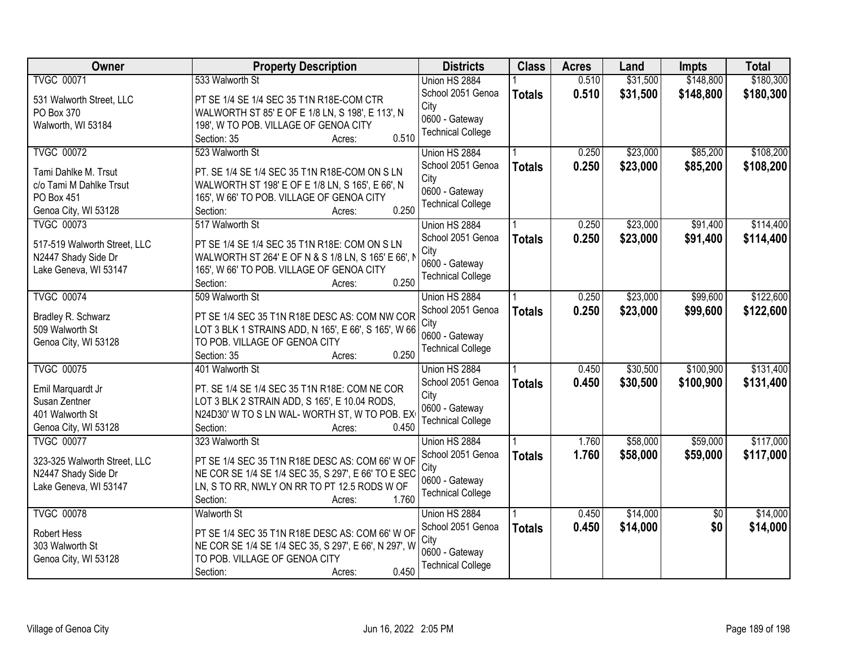| Owner                        | <b>Property Description</b>                           | <b>Districts</b>         | <b>Class</b>  | <b>Acres</b> | Land     | <b>Impts</b>    | <b>Total</b> |
|------------------------------|-------------------------------------------------------|--------------------------|---------------|--------------|----------|-----------------|--------------|
| <b>TVGC 00071</b>            | 533 Walworth St                                       | Union HS 2884            |               | 0.510        | \$31,500 | \$148,800       | \$180,300    |
| 531 Walworth Street, LLC     | PT SE 1/4 SE 1/4 SEC 35 T1N R18E-COM CTR              | School 2051 Genoa        | <b>Totals</b> | 0.510        | \$31,500 | \$148,800       | \$180,300    |
| PO Box 370                   | WALWORTH ST 85' E OF E 1/8 LN, S 198', E 113', N      | City                     |               |              |          |                 |              |
| Walworth, WI 53184           | 198', W TO POB. VILLAGE OF GENOA CITY                 | 0600 - Gateway           |               |              |          |                 |              |
|                              | 0.510<br>Section: 35<br>Acres:                        | <b>Technical College</b> |               |              |          |                 |              |
| <b>TVGC 00072</b>            | 523 Walworth St                                       | Union HS 2884            |               | 0.250        | \$23,000 | \$85,200        | \$108,200    |
| Tami Dahlke M. Trsut         | PT. SE 1/4 SE 1/4 SEC 35 T1N R18E-COM ON S LN         | School 2051 Genoa        | <b>Totals</b> | 0.250        | \$23,000 | \$85,200        | \$108,200    |
| c/o Tami M Dahlke Trsut      | WALWORTH ST 198' E OF E 1/8 LN, S 165', E 66', N      | City                     |               |              |          |                 |              |
| PO Box 451                   | 165', W 66' TO POB. VILLAGE OF GENOA CITY             | 0600 - Gateway           |               |              |          |                 |              |
| Genoa City, WI 53128         | 0.250<br>Section:<br>Acres:                           | <b>Technical College</b> |               |              |          |                 |              |
| <b>TVGC 00073</b>            | 517 Walworth St                                       | Union HS 2884            |               | 0.250        | \$23,000 | \$91,400        | \$114,400    |
|                              |                                                       | School 2051 Genoa        | <b>Totals</b> | 0.250        | \$23,000 | \$91,400        | \$114,400    |
| 517-519 Walworth Street, LLC | PT SE 1/4 SE 1/4 SEC 35 T1N R18E: COM ON S LN         | City                     |               |              |          |                 |              |
| N2447 Shady Side Dr          | WALWORTH ST 264' E OF N & S 1/8 LN, S 165' E 66', N   | 0600 - Gateway           |               |              |          |                 |              |
| Lake Geneva, WI 53147        | 165', W 66' TO POB. VILLAGE OF GENOA CITY             | <b>Technical College</b> |               |              |          |                 |              |
|                              | 0.250<br>Section:<br>Acres:                           |                          |               |              |          |                 |              |
| <b>TVGC 00074</b>            | 509 Walworth St                                       | Union HS 2884            |               | 0.250        | \$23,000 | \$99,600        | \$122,600    |
| Bradley R. Schwarz           | PT SE 1/4 SEC 35 T1N R18E DESC AS: COM NW COR         | School 2051 Genoa        | <b>Totals</b> | 0.250        | \$23,000 | \$99,600        | \$122,600    |
| 509 Walworth St              | LOT 3 BLK 1 STRAINS ADD, N 165', E 66', S 165', W 66  | City<br>0600 - Gateway   |               |              |          |                 |              |
| Genoa City, WI 53128         | TO POB. VILLAGE OF GENOA CITY                         | <b>Technical College</b> |               |              |          |                 |              |
|                              | 0.250<br>Section: 35<br>Acres:                        |                          |               |              |          |                 |              |
| <b>TVGC 00075</b>            | 401 Walworth St                                       | Union HS 2884            |               | 0.450        | \$30,500 | \$100,900       | \$131,400    |
| Emil Marquardt Jr            | PT. SE 1/4 SE 1/4 SEC 35 T1N R18E: COM NE COR         | School 2051 Genoa        | <b>Totals</b> | 0.450        | \$30,500 | \$100,900       | \$131,400    |
| Susan Zentner                | LOT 3 BLK 2 STRAIN ADD, S 165', E 10.04 RODS,         | City                     |               |              |          |                 |              |
| 401 Walworth St              | N24D30' W TO S LN WAL-WORTH ST, W TO POB. EX          | 0600 - Gateway           |               |              |          |                 |              |
| Genoa City, WI 53128         | Section:<br>0.450<br>Acres:                           | <b>Technical College</b> |               |              |          |                 |              |
| <b>TVGC 00077</b>            | 323 Walworth St                                       | Union HS 2884            |               | 1.760        | \$58,000 | \$59,000        | \$117,000    |
|                              |                                                       | School 2051 Genoa        | <b>Totals</b> | 1.760        | \$58,000 | \$59,000        | \$117,000    |
| 323-325 Walworth Street, LLC | PT SE 1/4 SEC 35 T1N R18E DESC AS: COM 66' W OF       | City                     |               |              |          |                 |              |
| N2447 Shady Side Dr          | NE COR SE 1/4 SE 1/4 SEC 35, S 297', E 66' TO E SEC   | 0600 - Gateway           |               |              |          |                 |              |
| Lake Geneva, WI 53147        | LN, S TO RR, NWLY ON RR TO PT 12.5 RODS W OF          | <b>Technical College</b> |               |              |          |                 |              |
|                              | 1.760<br>Section:<br>Acres:                           |                          |               |              |          |                 |              |
| <b>TVGC 00078</b>            | <b>Walworth St</b>                                    | Union HS 2884            |               | 0.450        | \$14,000 | $\overline{50}$ | \$14,000     |
| <b>Robert Hess</b>           | PT SE 1/4 SEC 35 T1N R18E DESC AS: COM 66' W OF       | School 2051 Genoa        | <b>Totals</b> | 0.450        | \$14,000 | \$0             | \$14,000     |
| 303 Walworth St              | NE COR SE 1/4 SE 1/4 SEC 35, S 297', E 66', N 297', W | City<br>0600 - Gateway   |               |              |          |                 |              |
| Genoa City, WI 53128         | TO POB. VILLAGE OF GENOA CITY                         | <b>Technical College</b> |               |              |          |                 |              |
|                              | 0.450<br>Section:<br>Acres:                           |                          |               |              |          |                 |              |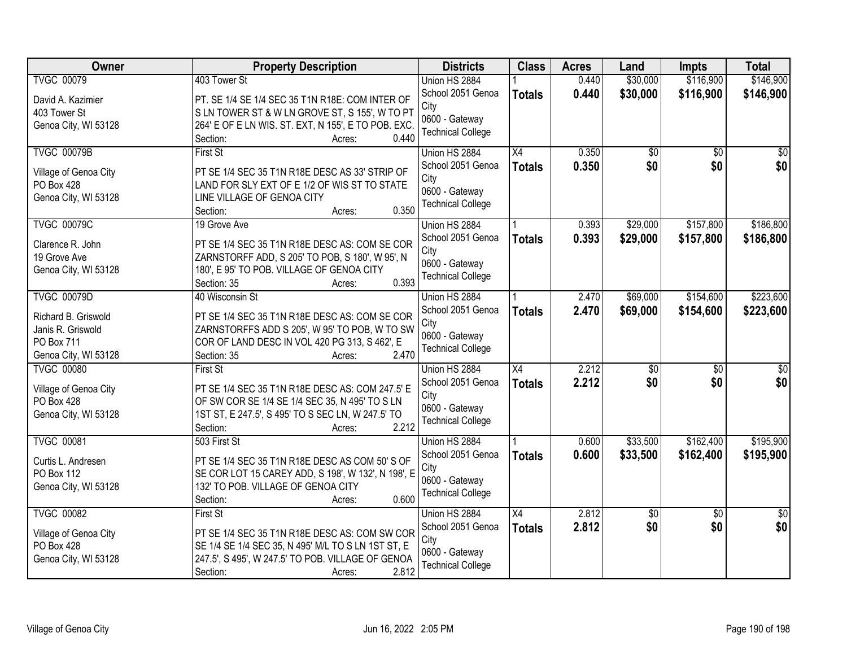| <b>Owner</b>          | <b>Property Description</b>                         | <b>Districts</b>         | <b>Class</b>    | <b>Acres</b> | Land            | <b>Impts</b>    | <b>Total</b>    |
|-----------------------|-----------------------------------------------------|--------------------------|-----------------|--------------|-----------------|-----------------|-----------------|
| <b>TVGC 00079</b>     | 403 Tower St                                        | Union HS 2884            |                 | 0.440        | \$30,000        | \$116,900       | \$146,900       |
| David A. Kazimier     | PT. SE 1/4 SE 1/4 SEC 35 T1N R18E: COM INTER OF     | School 2051 Genoa        | <b>Totals</b>   | 0.440        | \$30,000        | \$116,900       | \$146,900       |
| 403 Tower St          | SLN TOWER ST & W LN GROVE ST, S 155', W TO PT       | City                     |                 |              |                 |                 |                 |
| Genoa City, WI 53128  | 264' E OF E LN WIS. ST. EXT, N 155', E TO POB. EXC. | 0600 - Gateway           |                 |              |                 |                 |                 |
|                       | 0.440<br>Section:<br>Acres:                         | <b>Technical College</b> |                 |              |                 |                 |                 |
| <b>TVGC 00079B</b>    | First St                                            | Union HS 2884            | X4              | 0.350        | $\overline{60}$ | $\overline{50}$ | \$0             |
| Village of Genoa City | PT SE 1/4 SEC 35 T1N R18E DESC AS 33' STRIP OF      | School 2051 Genoa        | <b>Totals</b>   | 0.350        | \$0             | \$0             | \$0             |
| <b>PO Box 428</b>     | LAND FOR SLY EXT OF E 1/2 OF WIS ST TO STATE        | City                     |                 |              |                 |                 |                 |
| Genoa City, WI 53128  | LINE VILLAGE OF GENOA CITY                          | 0600 - Gateway           |                 |              |                 |                 |                 |
|                       | 0.350<br>Section:<br>Acres:                         | <b>Technical College</b> |                 |              |                 |                 |                 |
| <b>TVGC 00079C</b>    | 19 Grove Ave                                        | Union HS 2884            |                 | 0.393        | \$29,000        | \$157,800       | \$186,800       |
| Clarence R. John      | PT SE 1/4 SEC 35 T1N R18E DESC AS: COM SE COR       | School 2051 Genoa        | <b>Totals</b>   | 0.393        | \$29,000        | \$157,800       | \$186,800       |
| 19 Grove Ave          | ZARNSTORFF ADD, S 205' TO POB, S 180', W 95', N     | City                     |                 |              |                 |                 |                 |
| Genoa City, WI 53128  | 180', E 95' TO POB. VILLAGE OF GENOA CITY           | 0600 - Gateway           |                 |              |                 |                 |                 |
|                       | 0.393<br>Section: 35<br>Acres:                      | <b>Technical College</b> |                 |              |                 |                 |                 |
| <b>TVGC 00079D</b>    | 40 Wisconsin St                                     | Union HS 2884            |                 | 2.470        | \$69,000        | \$154,600       | \$223,600       |
| Richard B. Griswold   | PT SE 1/4 SEC 35 T1N R18E DESC AS: COM SE COR       | School 2051 Genoa        | <b>Totals</b>   | 2.470        | \$69,000        | \$154,600       | \$223,600       |
| Janis R. Griswold     | ZARNSTORFFS ADD S 205', W 95' TO POB, W TO SW       | City                     |                 |              |                 |                 |                 |
| <b>PO Box 711</b>     | COR OF LAND DESC IN VOL 420 PG 313, S 462', E       | 0600 - Gateway           |                 |              |                 |                 |                 |
| Genoa City, WI 53128  | 2.470<br>Section: 35<br>Acres:                      | <b>Technical College</b> |                 |              |                 |                 |                 |
| <b>TVGC 00080</b>     | <b>First St</b>                                     | Union HS 2884            | $\overline{X4}$ | 2.212        | $\sqrt{50}$     | \$0             | \$0             |
|                       |                                                     | School 2051 Genoa        | <b>Totals</b>   | 2.212        | \$0             | \$0             | \$0             |
| Village of Genoa City | PT SE 1/4 SEC 35 T1N R18E DESC AS: COM 247.5' E     | City                     |                 |              |                 |                 |                 |
| PO Box 428            | OF SW COR SE 1/4 SE 1/4 SEC 35, N 495' TO S LN      | 0600 - Gateway           |                 |              |                 |                 |                 |
| Genoa City, WI 53128  | 1ST ST, E 247.5', S 495' TO S SEC LN, W 247.5' TO   | <b>Technical College</b> |                 |              |                 |                 |                 |
| <b>TVGC 00081</b>     | 2.212<br>Section:<br>Acres:<br>503 First St         | Union HS 2884            |                 | 0.600        | \$33,500        | \$162,400       | \$195,900       |
|                       |                                                     | School 2051 Genoa        |                 | 0.600        | \$33,500        | \$162,400       | \$195,900       |
| Curtis L. Andresen    | PT SE 1/4 SEC 35 T1N R18E DESC AS COM 50'S OF       | City                     | <b>Totals</b>   |              |                 |                 |                 |
| <b>PO Box 112</b>     | SE COR LOT 15 CAREY ADD, S 198', W 132', N 198', E  | 0600 - Gateway           |                 |              |                 |                 |                 |
| Genoa City, WI 53128  | 132' TO POB. VILLAGE OF GENOA CITY                  | <b>Technical College</b> |                 |              |                 |                 |                 |
|                       | 0.600<br>Section:<br>Acres:                         |                          |                 |              |                 |                 |                 |
| <b>TVGC 00082</b>     | <b>First St</b>                                     | Union HS 2884            | X4              | 2.812        | $\sqrt{$0}$     | $\overline{50}$ | $\overline{50}$ |
| Village of Genoa City | PT SE 1/4 SEC 35 T1N R18E DESC AS: COM SW COR       | School 2051 Genoa        | <b>Totals</b>   | 2.812        | \$0             | \$0             | \$0             |
| PO Box 428            | SE 1/4 SE 1/4 SEC 35, N 495' M/L TO S LN 1ST ST, E  | City                     |                 |              |                 |                 |                 |
| Genoa City, WI 53128  | 247.5', S 495', W 247.5' TO POB. VILLAGE OF GENOA   | 0600 - Gateway           |                 |              |                 |                 |                 |
|                       | 2.812<br>Section:<br>Acres:                         | <b>Technical College</b> |                 |              |                 |                 |                 |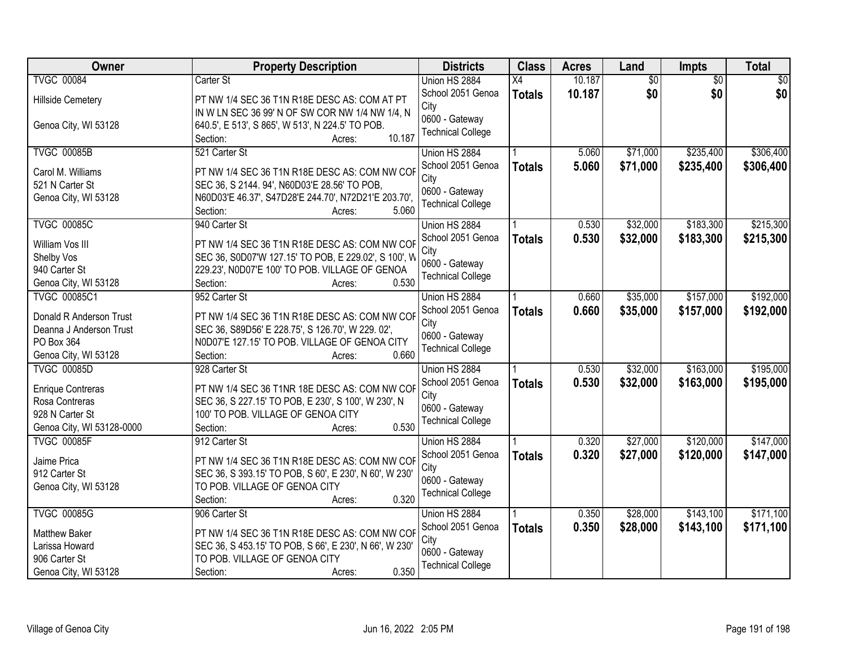| Owner                     | <b>Property Description</b>                                   | <b>Districts</b>          | <b>Class</b>    | <b>Acres</b> | Land            | <b>Impts</b>    | <b>Total</b> |
|---------------------------|---------------------------------------------------------------|---------------------------|-----------------|--------------|-----------------|-----------------|--------------|
| <b>TVGC 00084</b>         | Carter St                                                     | Union HS 2884             | $\overline{X4}$ | 10.187       | $\overline{50}$ | $\overline{50}$ | \$0          |
| <b>Hillside Cemetery</b>  | PT NW 1/4 SEC 36 T1N R18E DESC AS: COM AT PT                  | School 2051 Genoa         | <b>Totals</b>   | 10.187       | \$0             | \$0             | \$0          |
|                           | IN W LN SEC 36 99' N OF SW COR NW 1/4 NW 1/4, N               | City                      |                 |              |                 |                 |              |
| Genoa City, WI 53128      | 640.5', E 513', S 865', W 513', N 224.5' TO POB.              | 0600 - Gateway            |                 |              |                 |                 |              |
|                           | 10.187<br>Section:<br>Acres:                                  | <b>Technical College</b>  |                 |              |                 |                 |              |
| <b>TVGC 00085B</b>        | 521 Carter St                                                 | Union HS 2884             |                 | 5.060        | \$71,000        | \$235,400       | \$306,400    |
|                           |                                                               | School 2051 Genoa         | <b>Totals</b>   | 5.060        | \$71,000        | \$235,400       | \$306,400    |
| Carol M. Williams         | PT NW 1/4 SEC 36 T1N R18E DESC AS: COM NW COF                 | City                      |                 |              |                 |                 |              |
| 521 N Carter St           | SEC 36, S 2144. 94', N60D03'E 28.56' TO POB,                  | 0600 - Gateway            |                 |              |                 |                 |              |
| Genoa City, WI 53128      | N60D03'E 46.37', S47D28'E 244.70', N72D21'E 203.70',<br>5.060 | <b>Technical College</b>  |                 |              |                 |                 |              |
| <b>TVGC 00085C</b>        | Section:<br>Acres:<br>940 Carter St                           | Union HS 2884             |                 | 0.530        | \$32,000        | \$183,300       | \$215,300    |
|                           |                                                               |                           |                 |              |                 |                 |              |
| William Vos III           | PT NW 1/4 SEC 36 T1N R18E DESC AS: COM NW COF                 | School 2051 Genoa<br>City | <b>Totals</b>   | 0.530        | \$32,000        | \$183,300       | \$215,300    |
| Shelby Vos                | SEC 36, S0D07'W 127.15' TO POB, E 229.02', S 100', W          | 0600 - Gateway            |                 |              |                 |                 |              |
| 940 Carter St             | 229.23', N0D07'E 100' TO POB. VILLAGE OF GENOA                |                           |                 |              |                 |                 |              |
| Genoa City, WI 53128      | 0.530<br>Section:<br>Acres:                                   | <b>Technical College</b>  |                 |              |                 |                 |              |
| <b>TVGC 00085C1</b>       | 952 Carter St                                                 | Union HS 2884             |                 | 0.660        | \$35,000        | \$157,000       | \$192,000    |
| Donald R Anderson Trust   | PT NW 1/4 SEC 36 T1N R18E DESC AS: COM NW COF                 | School 2051 Genoa         | <b>Totals</b>   | 0.660        | \$35,000        | \$157,000       | \$192,000    |
| Deanna J Anderson Trust   | SEC 36, S89D56' E 228.75', S 126.70', W 229. 02',             | City                      |                 |              |                 |                 |              |
| PO Box 364                | N0D07'E 127.15' TO POB. VILLAGE OF GENOA CITY                 | 0600 - Gateway            |                 |              |                 |                 |              |
| Genoa City, WI 53128      | 0.660<br>Section:<br>Acres:                                   | <b>Technical College</b>  |                 |              |                 |                 |              |
| <b>TVGC 00085D</b>        | 928 Carter St                                                 | Union HS 2884             |                 | 0.530        | \$32,000        | \$163,000       | \$195,000    |
|                           |                                                               | School 2051 Genoa         |                 | 0.530        | \$32,000        | \$163,000       | \$195,000    |
| <b>Enrique Contreras</b>  | PT NW 1/4 SEC 36 T1NR 18E DESC AS: COM NW COF                 | City                      | <b>Totals</b>   |              |                 |                 |              |
| Rosa Contreras            | SEC 36, S 227.15' TO POB, E 230', S 100', W 230', N           | 0600 - Gateway            |                 |              |                 |                 |              |
| 928 N Carter St           | 100' TO POB. VILLAGE OF GENOA CITY                            | <b>Technical College</b>  |                 |              |                 |                 |              |
| Genoa City, WI 53128-0000 | 0.530<br>Section:<br>Acres:                                   |                           |                 |              |                 |                 |              |
| <b>TVGC 00085F</b>        | 912 Carter St                                                 | Union HS 2884             |                 | 0.320        | \$27,000        | \$120,000       | \$147,000    |
| Jaime Prica               | PT NW 1/4 SEC 36 T1N R18E DESC AS: COM NW COF                 | School 2051 Genoa         | <b>Totals</b>   | 0.320        | \$27,000        | \$120,000       | \$147,000    |
| 912 Carter St             | SEC 36, S 393.15' TO POB, S 60', E 230', N 60', W 230'        | City                      |                 |              |                 |                 |              |
| Genoa City, WI 53128      | TO POB. VILLAGE OF GENOA CITY                                 | 0600 - Gateway            |                 |              |                 |                 |              |
|                           | 0.320<br>Section:<br>Acres:                                   | <b>Technical College</b>  |                 |              |                 |                 |              |
| <b>TVGC 00085G</b>        | 906 Carter St                                                 | Union HS 2884             |                 | 0.350        | \$28,000        | \$143,100       | \$171,100    |
|                           |                                                               | School 2051 Genoa         | <b>Totals</b>   | 0.350        | \$28,000        | \$143,100       | \$171,100    |
| Matthew Baker             | PT NW 1/4 SEC 36 T1N R18E DESC AS: COM NW COF                 | City                      |                 |              |                 |                 |              |
| Larissa Howard            | SEC 36, S 453.15' TO POB, S 66', E 230', N 66', W 230'        | 0600 - Gateway            |                 |              |                 |                 |              |
| 906 Carter St             | TO POB. VILLAGE OF GENOA CITY                                 | <b>Technical College</b>  |                 |              |                 |                 |              |
| Genoa City, WI 53128      | 0.350<br>Section:<br>Acres:                                   |                           |                 |              |                 |                 |              |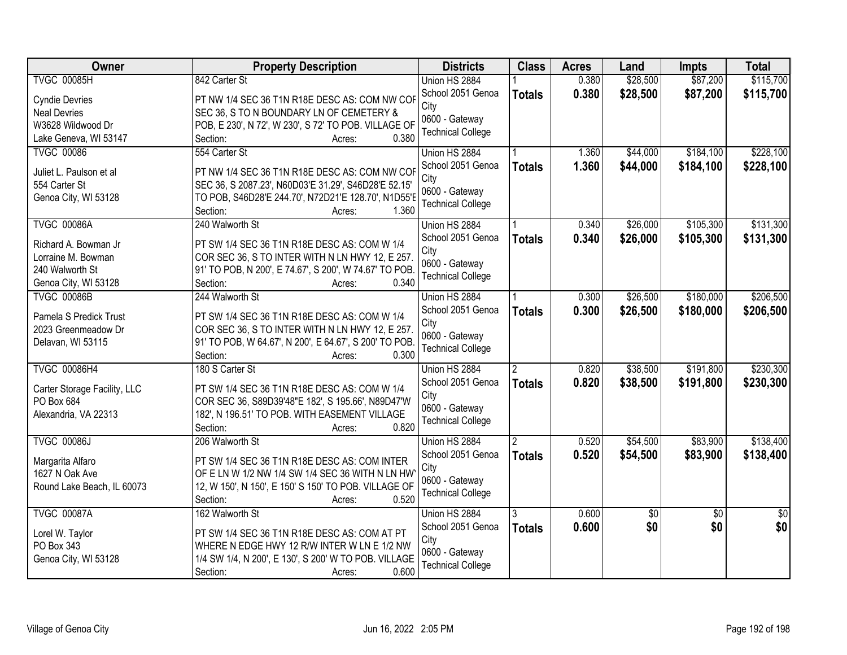| <b>Owner</b>                       | <b>Property Description</b>                                                                         | <b>Districts</b>          | <b>Class</b>   | <b>Acres</b> | Land            | Impts           | <b>Total</b> |
|------------------------------------|-----------------------------------------------------------------------------------------------------|---------------------------|----------------|--------------|-----------------|-----------------|--------------|
| <b>TVGC 00085H</b>                 | 842 Carter St                                                                                       | Union HS 2884             |                | 0.380        | \$28,500        | \$87,200        | \$115,700    |
| <b>Cyndie Devries</b>              | PT NW 1/4 SEC 36 T1N R18E DESC AS: COM NW COF                                                       | School 2051 Genoa<br>City | <b>Totals</b>  | 0.380        | \$28,500        | \$87,200        | \$115,700    |
| <b>Neal Devries</b>                | SEC 36, S TO N BOUNDARY LN OF CEMETERY &                                                            | 0600 - Gateway            |                |              |                 |                 |              |
| W3628 Wildwood Dr                  | POB, E 230', N 72', W 230', S 72' TO POB. VILLAGE OF                                                | <b>Technical College</b>  |                |              |                 |                 |              |
| Lake Geneva, WI 53147              | 0.380<br>Section:<br>Acres:                                                                         |                           |                |              |                 |                 |              |
| <b>TVGC 00086</b>                  | 554 Carter St                                                                                       | Union HS 2884             |                | 1.360        | \$44,000        | \$184,100       | \$228,100    |
| Juliet L. Paulson et al            | PT NW 1/4 SEC 36 T1N R18E DESC AS: COM NW COF                                                       | School 2051 Genoa         | <b>Totals</b>  | 1.360        | \$44,000        | \$184,100       | \$228,100    |
| 554 Carter St                      | SEC 36, S 2087.23', N60D03'E 31.29', S46D28'E 52.15'                                                | City                      |                |              |                 |                 |              |
| Genoa City, WI 53128               | TO POB, S46D28'E 244.70', N72D21'E 128.70', N1D55'E                                                 | 0600 - Gateway            |                |              |                 |                 |              |
|                                    | 1.360<br>Section:<br>Acres:                                                                         | <b>Technical College</b>  |                |              |                 |                 |              |
| <b>TVGC 00086A</b>                 | 240 Walworth St                                                                                     | Union HS 2884             |                | 0.340        | \$26,000        | \$105,300       | \$131,300    |
| Richard A. Bowman Jr               | PT SW 1/4 SEC 36 T1N R18E DESC AS: COM W 1/4                                                        | School 2051 Genoa         | <b>Totals</b>  | 0.340        | \$26,000        | \$105,300       | \$131,300    |
| Lorraine M. Bowman                 | COR SEC 36, S TO INTER WITH N LN HWY 12, E 257.                                                     | City                      |                |              |                 |                 |              |
| 240 Walworth St                    | 91' TO POB, N 200', E 74.67', S 200', W 74.67' TO POB.                                              | 0600 - Gateway            |                |              |                 |                 |              |
| Genoa City, WI 53128               | Section:<br>0.340<br>Acres:                                                                         | <b>Technical College</b>  |                |              |                 |                 |              |
| <b>TVGC 00086B</b>                 | 244 Walworth St                                                                                     | Union HS 2884             |                | 0.300        | \$26,500        | \$180,000       | \$206,500    |
|                                    |                                                                                                     | School 2051 Genoa         | <b>Totals</b>  | 0.300        | \$26,500        | \$180,000       | \$206,500    |
| Pamela S Predick Trust             | PT SW 1/4 SEC 36 T1N R18E DESC AS: COM W 1/4                                                        | City                      |                |              |                 |                 |              |
| 2023 Greenmeadow Dr                | COR SEC 36, S TO INTER WITH N LN HWY 12, E 257.                                                     | 0600 - Gateway            |                |              |                 |                 |              |
| Delavan, WI 53115                  | 91' TO POB, W 64.67', N 200', E 64.67', S 200' TO POB.                                              | <b>Technical College</b>  |                |              |                 |                 |              |
|                                    | 0.300<br>Section:<br>Acres:                                                                         |                           |                |              |                 |                 |              |
| <b>TVGC 00086H4</b>                | 180 S Carter St                                                                                     | Union HS 2884             | $\mathcal{P}$  | 0.820        | \$38,500        | \$191,800       | \$230,300    |
| Carter Storage Facility, LLC       | PT SW 1/4 SEC 36 T1N R18E DESC AS: COM W 1/4                                                        | School 2051 Genoa         | <b>Totals</b>  | 0.820        | \$38,500        | \$191,800       | \$230,300    |
| PO Box 684                         | COR SEC 36, S89D39'48"E 182', S 195.66', N89D47'W                                                   | City                      |                |              |                 |                 |              |
| Alexandria, VA 22313               | 182', N 196.51' TO POB. WITH EASEMENT VILLAGE                                                       | 0600 - Gateway            |                |              |                 |                 |              |
|                                    | 0.820<br>Section:<br>Acres:                                                                         | <b>Technical College</b>  |                |              |                 |                 |              |
| <b>TVGC 00086J</b>                 | 206 Walworth St                                                                                     | Union HS 2884             | $\overline{2}$ | 0.520        | \$54,500        | \$83,900        | \$138,400    |
| Margarita Alfaro                   | PT SW 1/4 SEC 36 T1N R18E DESC AS: COM INTER                                                        | School 2051 Genoa         | <b>Totals</b>  | 0.520        | \$54,500        | \$83,900        | \$138,400    |
| 1627 N Oak Ave                     | OF E LN W 1/2 NW 1/4 SW 1/4 SEC 36 WITH N LN HW                                                     | City                      |                |              |                 |                 |              |
| Round Lake Beach, IL 60073         | 12, W 150', N 150', E 150' S 150' TO POB. VILLAGE OF                                                | 0600 - Gateway            |                |              |                 |                 |              |
|                                    | 0.520<br>Section:<br>Acres:                                                                         | <b>Technical College</b>  |                |              |                 |                 |              |
| <b>TVGC 00087A</b>                 | 162 Walworth St                                                                                     | Union HS 2884             | 3              | 0.600        | $\overline{50}$ | $\overline{50}$ | $\sqrt{30}$  |
|                                    |                                                                                                     | School 2051 Genoa         | <b>Totals</b>  | 0.600        | \$0             | \$0             | \$0          |
| Lorel W. Taylor                    | PT SW 1/4 SEC 36 T1N R18E DESC AS: COM AT PT                                                        | City                      |                |              |                 |                 |              |
| PO Box 343<br>Genoa City, WI 53128 | WHERE N EDGE HWY 12 R/W INTER W LN E 1/2 NW<br>1/4 SW 1/4, N 200', E 130', S 200' W TO POB. VILLAGE | 0600 - Gateway            |                |              |                 |                 |              |
|                                    | 0.600<br>Section:<br>Acres:                                                                         | <b>Technical College</b>  |                |              |                 |                 |              |
|                                    |                                                                                                     |                           |                |              |                 |                 |              |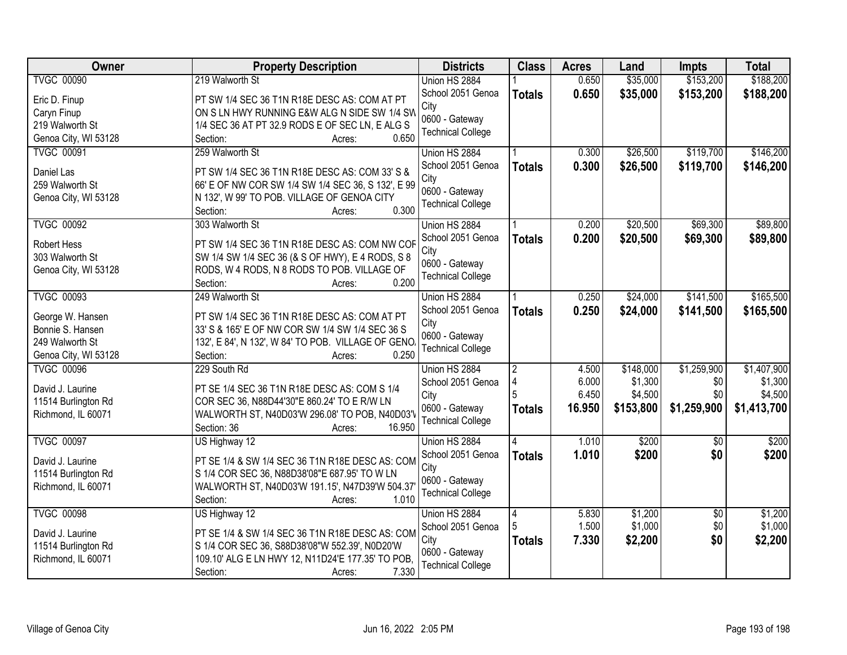| Owner                                     | <b>Property Description</b>                                 | <b>Districts</b>         | <b>Class</b>        | <b>Acres</b> | Land      | Impts           | <b>Total</b> |
|-------------------------------------------|-------------------------------------------------------------|--------------------------|---------------------|--------------|-----------|-----------------|--------------|
| <b>TVGC 00090</b>                         | 219 Walworth St                                             | Union HS 2884            |                     | 0.650        | \$35,000  | \$153,200       | \$188,200    |
| Eric D. Finup                             | PT SW 1/4 SEC 36 T1N R18E DESC AS: COM AT PT                | School 2051 Genoa        | <b>Totals</b>       | 0.650        | \$35,000  | \$153,200       | \$188,200    |
| Caryn Finup                               | ON S LN HWY RUNNING E&W ALG N SIDE SW 1/4 SW                | City                     |                     |              |           |                 |              |
| 219 Walworth St                           | 1/4 SEC 36 AT PT 32.9 RODS E OF SEC LN, E ALG S             | 0600 - Gateway           |                     |              |           |                 |              |
| Genoa City, WI 53128                      | 0.650<br>Section:<br>Acres:                                 | <b>Technical College</b> |                     |              |           |                 |              |
| <b>TVGC 00091</b>                         | 259 Walworth St                                             | Union HS 2884            |                     | 0.300        | \$26,500  | \$119,700       | \$146,200    |
|                                           |                                                             | School 2051 Genoa        | <b>Totals</b>       | 0.300        | \$26,500  | \$119,700       | \$146,200    |
| Daniel Las                                | PT SW 1/4 SEC 36 T1N R18E DESC AS: COM 33' S &              | City                     |                     |              |           |                 |              |
| 259 Walworth St                           | 66' E OF NW COR SW 1/4 SW 1/4 SEC 36, S 132', E 99          | 0600 - Gateway           |                     |              |           |                 |              |
| Genoa City, WI 53128                      | N 132', W 99' TO POB. VILLAGE OF GENOA CITY<br>0.300        | <b>Technical College</b> |                     |              |           |                 |              |
|                                           | Section:<br>Acres:                                          |                          |                     |              |           |                 |              |
| <b>TVGC 00092</b>                         | 303 Walworth St                                             | Union HS 2884            |                     | 0.200        | \$20,500  | \$69,300        | \$89,800     |
| <b>Robert Hess</b>                        | PT SW 1/4 SEC 36 T1N R18E DESC AS: COM NW COF               | School 2051 Genoa        | <b>Totals</b>       | 0.200        | \$20,500  | \$69,300        | \$89,800     |
| 303 Walworth St                           | SW 1/4 SW 1/4 SEC 36 (& S OF HWY), E 4 RODS, S 8            | City                     |                     |              |           |                 |              |
| Genoa City, WI 53128                      | RODS, W 4 RODS, N 8 RODS TO POB. VILLAGE OF                 | 0600 - Gateway           |                     |              |           |                 |              |
|                                           | 0.200<br>Section:<br>Acres:                                 | <b>Technical College</b> |                     |              |           |                 |              |
| <b>TVGC 00093</b>                         | 249 Walworth St                                             | Union HS 2884            |                     | 0.250        | \$24,000  | \$141,500       | \$165,500    |
|                                           |                                                             | School 2051 Genoa        | <b>Totals</b>       | 0.250        | \$24,000  | \$141,500       | \$165,500    |
| George W. Hansen                          | PT SW 1/4 SEC 36 T1N R18E DESC AS: COM AT PT                | City                     |                     |              |           |                 |              |
| Bonnie S. Hansen<br>249 Walworth St       | 33' S & 165' E OF NW COR SW 1/4 SW 1/4 SEC 36 S             | 0600 - Gateway           |                     |              |           |                 |              |
|                                           | 132', E 84', N 132', W 84' TO POB. VILLAGE OF GENO<br>0.250 | <b>Technical College</b> |                     |              |           |                 |              |
| Genoa City, WI 53128<br><b>TVGC 00096</b> | Section:<br>Acres:<br>229 South Rd                          |                          |                     | 4.500        | \$148,000 | \$1,259,900     | \$1,407,900  |
|                                           |                                                             | Union HS 2884            | $\overline{2}$<br>4 | 6.000        | \$1,300   | \$0             | \$1,300      |
| David J. Laurine                          | PT SE 1/4 SEC 36 T1N R18E DESC AS: COM S 1/4                | School 2051 Genoa        | 5                   | 6.450        | \$4,500   | \$0             | \$4,500      |
| 11514 Burlington Rd                       | COR SEC 36, N88D44'30"E 860.24' TO E R/W LN                 | City<br>0600 - Gateway   |                     | 16.950       | \$153,800 |                 |              |
| Richmond, IL 60071                        | WALWORTH ST, N40D03'W 296.08' TO POB, N40D03'V              | <b>Technical College</b> | <b>Totals</b>       |              |           | \$1,259,900     | \$1,413,700  |
|                                           | 16.950<br>Section: 36<br>Acres:                             |                          |                     |              |           |                 |              |
| <b>TVGC 00097</b>                         | US Highway 12                                               | Union HS 2884            | 4                   | 1.010        | \$200     | $\sqrt{6}$      | \$200        |
| David J. Laurine                          | PT SE 1/4 & SW 1/4 SEC 36 T1N R18E DESC AS: COM             | School 2051 Genoa        | <b>Totals</b>       | 1.010        | \$200     | \$0             | \$200        |
| 11514 Burlington Rd                       | S 1/4 COR SEC 36, N88D38'08"E 687.95' TO W LN               | City                     |                     |              |           |                 |              |
| Richmond, IL 60071                        | WALWORTH ST, N40D03'W 191.15', N47D39'W 504.37              | 0600 - Gateway           |                     |              |           |                 |              |
|                                           | 1.010<br>Section:<br>Acres:                                 | <b>Technical College</b> |                     |              |           |                 |              |
| <b>TVGC 00098</b>                         | US Highway 12                                               | Union HS 2884            | 4                   | 5.830        | \$1,200   | $\overline{50}$ | \$1,200      |
|                                           |                                                             | School 2051 Genoa        |                     | 1.500        | \$1,000   | \$0             | \$1,000      |
| David J. Laurine                          | PT SE 1/4 & SW 1/4 SEC 36 T1N R18E DESC AS: COM             | City                     |                     | 7.330        | \$2,200   | \$0             | \$2,200      |
| 11514 Burlington Rd                       | S 1/4 COR SEC 36, S88D38'08"W 552.39', N0D20'W              | 0600 - Gateway           | <b>Totals</b>       |              |           |                 |              |
| Richmond, IL 60071                        | 109.10' ALG E LN HWY 12, N11D24'E 177.35' TO POB,           | <b>Technical College</b> |                     |              |           |                 |              |
|                                           | 7.330<br>Section:<br>Acres:                                 |                          |                     |              |           |                 |              |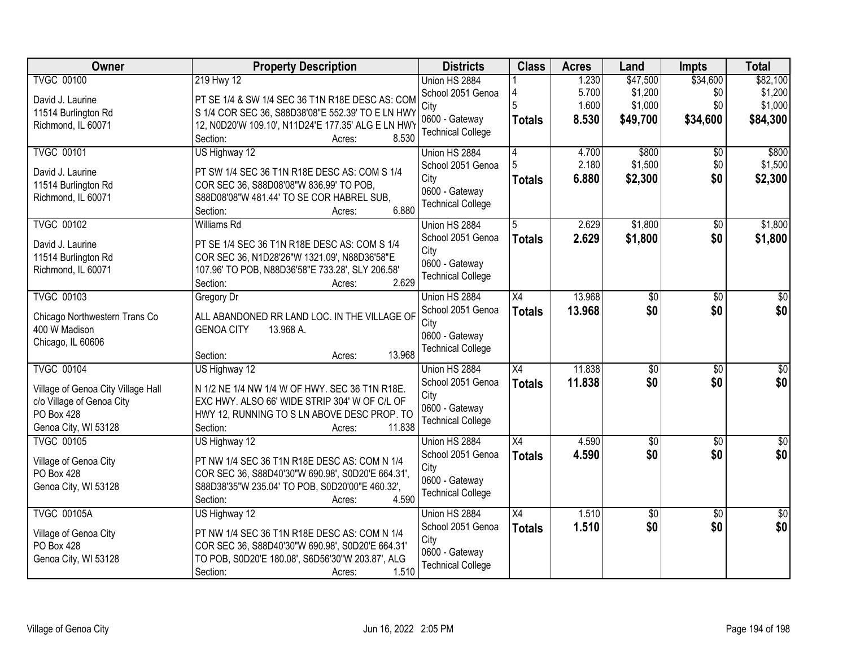| Owner                                          | <b>Property Description</b>                        | <b>Districts</b>                   | <b>Class</b>    | <b>Acres</b> | Land            | <b>Impts</b>    | <b>Total</b>         |
|------------------------------------------------|----------------------------------------------------|------------------------------------|-----------------|--------------|-----------------|-----------------|----------------------|
| <b>TVGC 00100</b>                              | 219 Hwy 12                                         | Union HS 2884                      |                 | 1.230        | \$47,500        | \$34,600        | \$82,100             |
| David J. Laurine                               | PT SE 1/4 & SW 1/4 SEC 36 T1N R18E DESC AS: COM    | School 2051 Genoa                  |                 | 5.700        | \$1,200         | \$0             | \$1,200              |
| 11514 Burlington Rd                            | S 1/4 COR SEC 36, S88D38'08"E 552.39' TO E LN HWY  | City                               | 5               | 1.600        | \$1,000         | \$0             | \$1,000              |
| Richmond, IL 60071                             | 12, N0D20'W 109.10', N11D24'E 177.35' ALG E LN HWY | 0600 - Gateway                     | <b>Totals</b>   | 8.530        | \$49,700        | \$34,600        | \$84,300             |
|                                                | 8.530<br>Section:<br>Acres:                        | <b>Technical College</b>           |                 |              |                 |                 |                      |
| <b>TVGC 00101</b>                              | US Highway 12                                      | Union HS 2884                      | 4               | 4.700        | \$800           | \$0             | \$800                |
| David J. Laurine                               | PT SW 1/4 SEC 36 T1N R18E DESC AS: COM S 1/4       | School 2051 Genoa                  | 5               | 2.180        | \$1,500         | \$0             | \$1,500              |
| 11514 Burlington Rd                            | COR SEC 36, S88D08'08"W 836.99' TO POB,            | City                               | <b>Totals</b>   | 6.880        | \$2,300         | \$0             | \$2,300              |
| Richmond, IL 60071                             | S88D08'08"W 481.44' TO SE COR HABREL SUB,          | 0600 - Gateway                     |                 |              |                 |                 |                      |
|                                                | 6.880<br>Section:<br>Acres:                        | <b>Technical College</b>           |                 |              |                 |                 |                      |
| <b>TVGC 00102</b>                              | <b>Williams Rd</b>                                 | Union HS 2884                      | 5               | 2.629        | \$1,800         | \$0             | \$1,800              |
| David J. Laurine                               | PT SE 1/4 SEC 36 T1N R18E DESC AS: COM S 1/4       | School 2051 Genoa                  | <b>Totals</b>   | 2.629        | \$1,800         | \$0             | \$1,800              |
| 11514 Burlington Rd                            | COR SEC 36, N1D28'26"W 1321.09', N88D36'58"E       | City                               |                 |              |                 |                 |                      |
| Richmond, IL 60071                             | 107.96' TO POB, N88D36'58"E 733.28', SLY 206.58'   | 0600 - Gateway                     |                 |              |                 |                 |                      |
|                                                | 2.629<br>Section:<br>Acres:                        | <b>Technical College</b>           |                 |              |                 |                 |                      |
| <b>TVGC 00103</b>                              | Gregory Dr                                         | Union HS 2884                      | X4              | 13.968       | \$0             | \$0             | \$0                  |
|                                                | ALL ABANDONED RR LAND LOC. IN THE VILLAGE OF       | School 2051 Genoa                  | <b>Totals</b>   | 13.968       | \$0             | \$0             | \$0                  |
| Chicago Northwestern Trans Co<br>400 W Madison | 13.968 A.<br><b>GENOA CITY</b>                     | City                               |                 |              |                 |                 |                      |
| Chicago, IL 60606                              |                                                    | 0600 - Gateway                     |                 |              |                 |                 |                      |
|                                                | 13.968<br>Section:<br>Acres:                       | <b>Technical College</b>           |                 |              |                 |                 |                      |
| <b>TVGC 00104</b>                              | US Highway 12                                      | Union HS 2884                      | $\overline{X4}$ | 11.838       | $\overline{50}$ | $\overline{50}$ | $\overline{\$0}$     |
|                                                |                                                    | School 2051 Genoa                  | <b>Totals</b>   | 11.838       | \$0             | \$0             | \$0                  |
| Village of Genoa City Village Hall             | N 1/2 NE 1/4 NW 1/4 W OF HWY. SEC 36 T1N R18E.     | City                               |                 |              |                 |                 |                      |
| c/o Village of Genoa City                      | EXC HWY. ALSO 66' WIDE STRIP 304' W OF C/L OF      | 0600 - Gateway                     |                 |              |                 |                 |                      |
| PO Box 428                                     | HWY 12, RUNNING TO S LN ABOVE DESC PROP. TO        | <b>Technical College</b>           |                 |              |                 |                 |                      |
| Genoa City, WI 53128<br><b>TVGC 00105</b>      | 11.838<br>Section:<br>Acres:<br>US Highway 12      |                                    | $\overline{X4}$ | 4.590        | \$0             | $\overline{50}$ |                      |
|                                                |                                                    | Union HS 2884<br>School 2051 Genoa |                 | 4.590        | \$0             | \$0             | $\frac{6}{3}$<br>\$0 |
| Village of Genoa City                          | PT NW 1/4 SEC 36 T1N R18E DESC AS: COM N 1/4       | City                               | <b>Totals</b>   |              |                 |                 |                      |
| PO Box 428                                     | COR SEC 36, S88D40'30"W 690.98', S0D20'E 664.31',  | 0600 - Gateway                     |                 |              |                 |                 |                      |
| Genoa City, WI 53128                           | S88D38'35"W 235.04' TO POB, S0D20'00"E 460.32',    | <b>Technical College</b>           |                 |              |                 |                 |                      |
|                                                | 4.590<br>Section:<br>Acres:                        |                                    |                 |              |                 |                 |                      |
| <b>TVGC 00105A</b>                             | US Highway 12                                      | Union HS 2884                      | $\overline{X4}$ | 1.510        | $\sqrt{50}$     | $\overline{50}$ | $\overline{50}$      |
| Village of Genoa City                          | PT NW 1/4 SEC 36 T1N R18E DESC AS: COM N 1/4       | School 2051 Genoa                  | <b>Totals</b>   | 1.510        | \$0             | \$0             | \$0                  |
| PO Box 428                                     | COR SEC 36, S88D40'30"W 690.98', S0D20'E 664.31'   | City                               |                 |              |                 |                 |                      |
| Genoa City, WI 53128                           | TO POB, S0D20'E 180.08', S6D56'30"W 203.87', ALG   | 0600 - Gateway                     |                 |              |                 |                 |                      |
|                                                | 1.510<br>Section:<br>Acres:                        | <b>Technical College</b>           |                 |              |                 |                 |                      |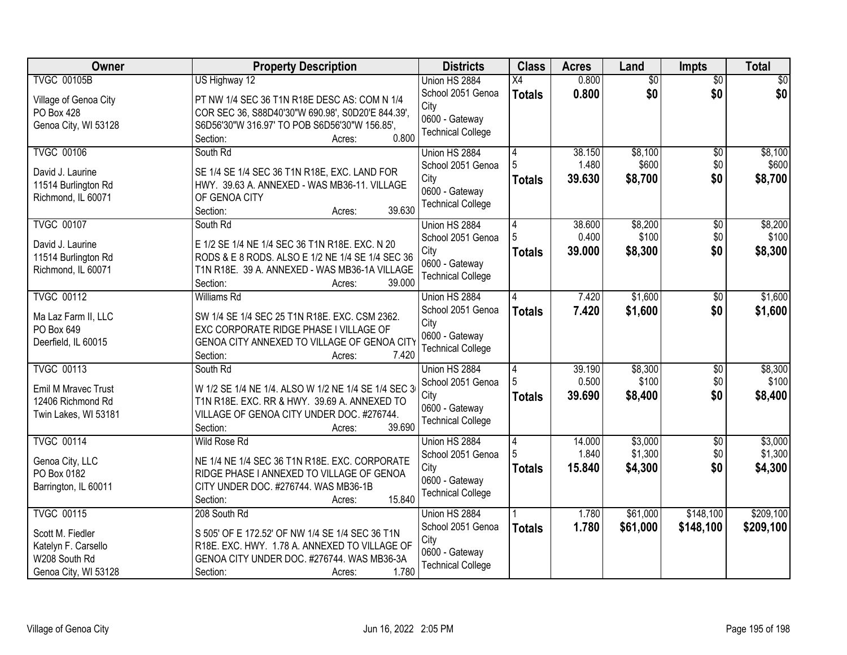| Owner                 | <b>Property Description</b>                         | <b>Districts</b>         | <b>Class</b>   | <b>Acres</b> | Land     | <b>Impts</b>    | <b>Total</b> |
|-----------------------|-----------------------------------------------------|--------------------------|----------------|--------------|----------|-----------------|--------------|
| <b>TVGC 00105B</b>    | US Highway 12                                       | Union HS 2884            | X4             | 0.800        | \$0      | $\overline{30}$ | \$0          |
| Village of Genoa City | PT NW 1/4 SEC 36 T1N R18E DESC AS: COM N 1/4        | School 2051 Genoa        | <b>Totals</b>  | 0.800        | \$0      | \$0             | \$0          |
| PO Box 428            | COR SEC 36, S88D40'30"W 690.98', S0D20'E 844.39',   | City                     |                |              |          |                 |              |
| Genoa City, WI 53128  | S6D56'30"W 316.97' TO POB S6D56'30"W 156.85',       | 0600 - Gateway           |                |              |          |                 |              |
|                       | 0.800<br>Section:<br>Acres:                         | <b>Technical College</b> |                |              |          |                 |              |
| <b>TVGC 00106</b>     | South Rd                                            | Union HS 2884            | 4              | 38.150       | \$8,100  | $\overline{50}$ | \$8,100      |
| David J. Laurine      | SE 1/4 SE 1/4 SEC 36 T1N R18E, EXC. LAND FOR        | School 2051 Genoa        |                | 1.480        | \$600    | \$0             | \$600        |
| 11514 Burlington Rd   | HWY. 39.63 A. ANNEXED - WAS MB36-11. VILLAGE        | City                     | <b>Totals</b>  | 39.630       | \$8,700  | \$0             | \$8,700      |
| Richmond, IL 60071    | OF GENOA CITY                                       | 0600 - Gateway           |                |              |          |                 |              |
|                       | 39.630<br>Section:<br>Acres:                        | <b>Technical College</b> |                |              |          |                 |              |
| <b>TVGC 00107</b>     | South Rd                                            | Union HS 2884            | 4              | 38.600       | \$8,200  | $\overline{50}$ | \$8,200      |
| David J. Laurine      | E 1/2 SE 1/4 NE 1/4 SEC 36 T1N R18E. EXC. N 20      | School 2051 Genoa        |                | 0.400        | \$100    | \$0             | \$100        |
| 11514 Burlington Rd   | RODS & E 8 RODS. ALSO E 1/2 NE 1/4 SE 1/4 SEC 36    | City                     | <b>Totals</b>  | 39.000       | \$8,300  | \$0             | \$8,300      |
| Richmond, IL 60071    | T1N R18E. 39 A. ANNEXED - WAS MB36-1A VILLAGE       | 0600 - Gateway           |                |              |          |                 |              |
|                       | Section:<br>39.000<br>Acres:                        | <b>Technical College</b> |                |              |          |                 |              |
| <b>TVGC 00112</b>     | <b>Williams Rd</b>                                  | Union HS 2884            | 4              | 7.420        | \$1,600  | \$0             | \$1,600      |
| Ma Laz Farm II, LLC   | SW 1/4 SE 1/4 SEC 25 T1N R18E. EXC. CSM 2362.       | School 2051 Genoa        | <b>Totals</b>  | 7.420        | \$1,600  | \$0             | \$1,600      |
| PO Box 649            | EXC CORPORATE RIDGE PHASE I VILLAGE OF              | City                     |                |              |          |                 |              |
| Deerfield, IL 60015   | GENOA CITY ANNEXED TO VILLAGE OF GENOA CITY         | 0600 - Gateway           |                |              |          |                 |              |
|                       | 7.420<br>Section:<br>Acres:                         | <b>Technical College</b> |                |              |          |                 |              |
| <b>TVGC 00113</b>     | South Rd                                            | Union HS 2884            | $\overline{4}$ | 39.190       | \$8,300  | $\overline{50}$ | \$8,300      |
| Emil M Mravec Trust   | W 1/2 SE 1/4 NE 1/4. ALSO W 1/2 NE 1/4 SE 1/4 SEC 3 | School 2051 Genoa        |                | 0.500        | \$100    | \$0             | \$100        |
| 12406 Richmond Rd     | T1N R18E. EXC. RR & HWY. 39.69 A. ANNEXED TO        | City                     | <b>Totals</b>  | 39.690       | \$8,400  | \$0             | \$8,400      |
| Twin Lakes, WI 53181  | VILLAGE OF GENOA CITY UNDER DOC. #276744.           | 0600 - Gateway           |                |              |          |                 |              |
|                       | 39.690<br>Section:<br>Acres:                        | <b>Technical College</b> |                |              |          |                 |              |
| <b>TVGC 00114</b>     | Wild Rose Rd                                        | Union HS 2884            | 4              | 14.000       | \$3,000  | $\overline{50}$ | \$3,000      |
| Genoa City, LLC       | NE 1/4 NE 1/4 SEC 36 T1N R18E. EXC. CORPORATE       | School 2051 Genoa        |                | 1.840        | \$1,300  | \$0             | \$1,300      |
| PO Box 0182           | RIDGE PHASE I ANNEXED TO VILLAGE OF GENOA           | City                     | <b>Totals</b>  | 15.840       | \$4,300  | \$0             | \$4,300      |
| Barrington, IL 60011  | CITY UNDER DOC. #276744. WAS MB36-1B                | 0600 - Gateway           |                |              |          |                 |              |
|                       | 15.840<br>Section:<br>Acres:                        | <b>Technical College</b> |                |              |          |                 |              |
| <b>TVGC 00115</b>     | 208 South Rd                                        | Union HS 2884            |                | 1.780        | \$61,000 | \$148,100       | \$209,100    |
| Scott M. Fiedler      | S 505' OF E 172.52' OF NW 1/4 SE 1/4 SEC 36 T1N     | School 2051 Genoa        | <b>Totals</b>  | 1.780        | \$61,000 | \$148,100       | \$209,100    |
| Katelyn F. Carsello   | R18E. EXC. HWY. 1.78 A. ANNEXED TO VILLAGE OF       | City                     |                |              |          |                 |              |
| W208 South Rd         | GENOA CITY UNDER DOC. #276744. WAS MB36-3A          | 0600 - Gateway           |                |              |          |                 |              |
| Genoa City, WI 53128  | 1.780<br>Section:<br>Acres:                         | <b>Technical College</b> |                |              |          |                 |              |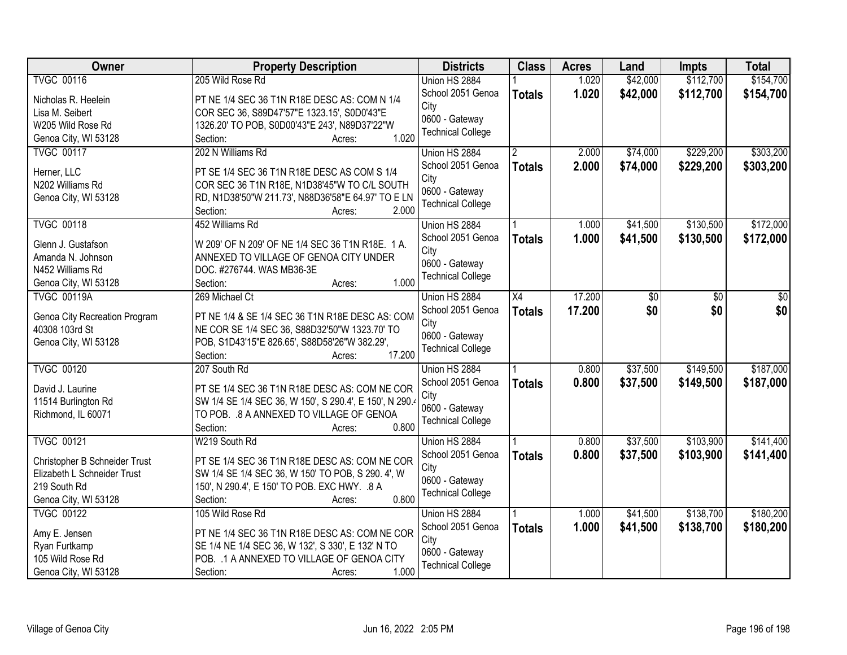| <b>Owner</b>                  | <b>Property Description</b>                             | <b>Districts</b>         | <b>Class</b>  | <b>Acres</b> | Land     | <b>Impts</b> | <b>Total</b> |
|-------------------------------|---------------------------------------------------------|--------------------------|---------------|--------------|----------|--------------|--------------|
| <b>TVGC 00116</b>             | 205 Wild Rose Rd                                        | Union HS 2884            |               | 1.020        | \$42,000 | \$112,700    | \$154,700    |
| Nicholas R. Heelein           | PT NE 1/4 SEC 36 T1N R18E DESC AS: COM N 1/4            | School 2051 Genoa        | <b>Totals</b> | 1.020        | \$42,000 | \$112,700    | \$154,700    |
| Lisa M. Seibert               | COR SEC 36, S89D47'57"E 1323.15', S0D0'43"E             | City                     |               |              |          |              |              |
| W205 Wild Rose Rd             | 1326.20' TO POB, S0D00'43"E 243', N89D37'22"W           | 0600 - Gateway           |               |              |          |              |              |
| Genoa City, WI 53128          | 1.020<br>Section:<br>Acres:                             | <b>Technical College</b> |               |              |          |              |              |
| <b>TVGC 00117</b>             | 202 N Williams Rd                                       | Union HS 2884            |               | 2.000        | \$74,000 | \$229,200    | \$303,200    |
|                               |                                                         | School 2051 Genoa        | <b>Totals</b> | 2.000        | \$74,000 | \$229,200    | \$303,200    |
| Herner, LLC                   | PT SE 1/4 SEC 36 T1N R18E DESC AS COM S 1/4             | City                     |               |              |          |              |              |
| N202 Williams Rd              | COR SEC 36 T1N R18E, N1D38'45"W TO C/L SOUTH            | 0600 - Gateway           |               |              |          |              |              |
| Genoa City, WI 53128          | RD, N1D38'50"W 211.73', N88D36'58"E 64.97' TO E LN      | <b>Technical College</b> |               |              |          |              |              |
|                               | 2.000<br>Section:<br>Acres:                             |                          |               |              |          |              |              |
| <b>TVGC 00118</b>             | 452 Williams Rd                                         | Union HS 2884            |               | 1.000        | \$41,500 | \$130,500    | \$172,000    |
| Glenn J. Gustafson            | W 209' OF N 209' OF NE 1/4 SEC 36 T1N R18E. 1 A.        | School 2051 Genoa        | <b>Totals</b> | 1.000        | \$41,500 | \$130,500    | \$172,000    |
| Amanda N. Johnson             | ANNEXED TO VILLAGE OF GENOA CITY UNDER                  | City                     |               |              |          |              |              |
| N452 Williams Rd              | DOC. #276744. WAS MB36-3E                               | 0600 - Gateway           |               |              |          |              |              |
| Genoa City, WI 53128          | 1.000<br>Section:<br>Acres:                             | <b>Technical College</b> |               |              |          |              |              |
| <b>TVGC 00119A</b>            | 269 Michael Ct                                          | Union HS 2884            | X4            | 17.200       | \$0      | $\sqrt[6]{}$ | \$0          |
|                               |                                                         | School 2051 Genoa        | <b>Totals</b> | 17.200       | \$0      | \$0          | \$0          |
| Genoa City Recreation Program | PT NE 1/4 & SE 1/4 SEC 36 T1N R18E DESC AS: COM         | City                     |               |              |          |              |              |
| 40308 103rd St                | NE COR SE 1/4 SEC 36, S88D32'50"W 1323.70' TO           | 0600 - Gateway           |               |              |          |              |              |
| Genoa City, WI 53128          | POB, S1D43'15"E 826.65', S88D58'26"W 382.29',           | <b>Technical College</b> |               |              |          |              |              |
|                               | 17.200<br>Section:<br>Acres:                            |                          |               |              |          |              |              |
| <b>TVGC 00120</b>             | 207 South Rd                                            | Union HS 2884            |               | 0.800        | \$37,500 | \$149,500    | \$187,000    |
| David J. Laurine              | PT SE 1/4 SEC 36 T1N R18E DESC AS: COM NE COR           | School 2051 Genoa        | <b>Totals</b> | 0.800        | \$37,500 | \$149,500    | \$187,000    |
| 11514 Burlington Rd           | SW 1/4 SE 1/4 SEC 36, W 150', S 290.4', E 150', N 290.4 | City                     |               |              |          |              |              |
| Richmond, IL 60071            | TO POB. . 8 A ANNEXED TO VILLAGE OF GENOA               | 0600 - Gateway           |               |              |          |              |              |
|                               | 0.800<br>Section:<br>Acres:                             | <b>Technical College</b> |               |              |          |              |              |
| <b>TVGC 00121</b>             | W219 South Rd                                           | Union HS 2884            |               | 0.800        | \$37,500 | \$103,900    | \$141,400    |
|                               |                                                         | School 2051 Genoa        | <b>Totals</b> | 0.800        | \$37,500 | \$103,900    | \$141,400    |
| Christopher B Schneider Trust | PT SE 1/4 SEC 36 T1N R18E DESC AS: COM NE COR           | City                     |               |              |          |              |              |
| Elizabeth L Schneider Trust   | SW 1/4 SE 1/4 SEC 36, W 150' TO POB, S 290. 4', W       | 0600 - Gateway           |               |              |          |              |              |
| 219 South Rd                  | 150', N 290.4', E 150' TO POB. EXC HWY. .8 A<br>0.800   | <b>Technical College</b> |               |              |          |              |              |
| Genoa City, WI 53128          | Section:<br>Acres:                                      |                          |               |              |          |              |              |
| <b>TVGC 00122</b>             | 105 Wild Rose Rd                                        | Union HS 2884            |               | 1.000        | \$41,500 | \$138,700    | \$180,200    |
| Amy E. Jensen                 | PT NE 1/4 SEC 36 T1N R18E DESC AS: COM NE COR           | School 2051 Genoa        | <b>Totals</b> | 1.000        | \$41,500 | \$138,700    | \$180,200    |
| Ryan Furtkamp                 | SE 1/4 NE 1/4 SEC 36, W 132', S 330', E 132' N TO       | City                     |               |              |          |              |              |
| 105 Wild Rose Rd              | POB. . 1 A ANNEXED TO VILLAGE OF GENOA CITY             | 0600 - Gateway           |               |              |          |              |              |
| Genoa City, WI 53128          | 1.000<br>Section:<br>Acres:                             | <b>Technical College</b> |               |              |          |              |              |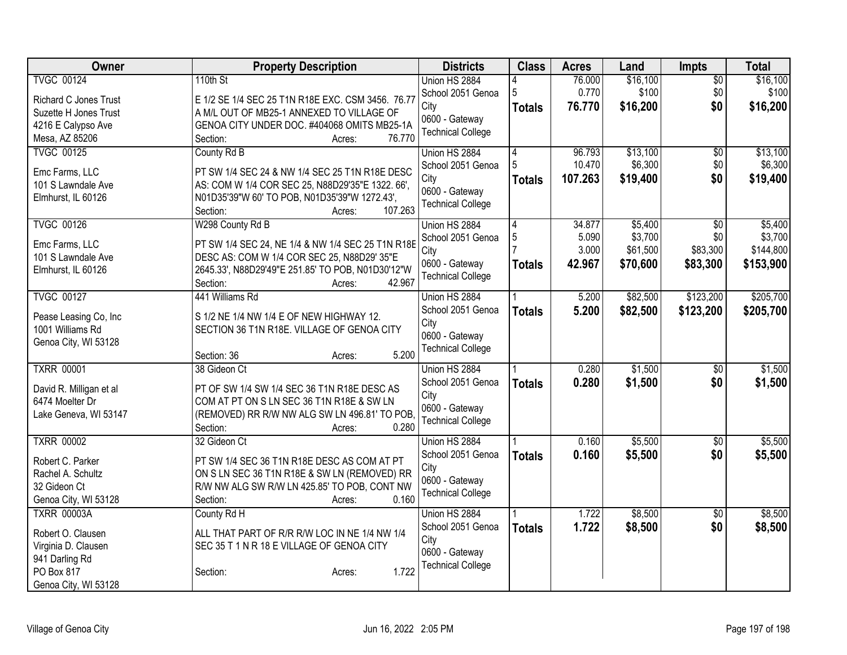| Owner                   | <b>Property Description</b>                       | <b>Districts</b>                           | <b>Class</b>  | <b>Acres</b> | Land     | <b>Impts</b>    | <b>Total</b> |
|-------------------------|---------------------------------------------------|--------------------------------------------|---------------|--------------|----------|-----------------|--------------|
| <b>TVGC 00124</b>       | 110th St                                          | Union HS 2884                              |               | 76.000       | \$16,100 | $\overline{50}$ | \$16,100     |
| Richard C Jones Trust   | E 1/2 SE 1/4 SEC 25 T1N R18E EXC. CSM 3456. 76.77 | School 2051 Genoa                          | 5             | 0.770        | \$100    | \$0             | \$100        |
| Suzette H Jones Trust   | A M/L OUT OF MB25-1 ANNEXED TO VILLAGE OF         | City                                       | <b>Totals</b> | 76.770       | \$16,200 | \$0             | \$16,200     |
| 4216 E Calypso Ave      | GENOA CITY UNDER DOC. #404068 OMITS MB25-1A       | 0600 - Gateway<br><b>Technical College</b> |               |              |          |                 |              |
| Mesa, AZ 85206          | 76.770<br>Section:<br>Acres:                      |                                            |               |              |          |                 |              |
| <b>TVGC 00125</b>       | County Rd B                                       | Union HS 2884                              | 4             | 96.793       | \$13,100 | \$0             | \$13,100     |
| Emc Farms, LLC          | PT SW 1/4 SEC 24 & NW 1/4 SEC 25 T1N R18E DESC    | School 2051 Genoa                          | 5             | 10.470       | \$6,300  | \$0             | \$6,300      |
| 101 S Lawndale Ave      | AS: COM W 1/4 COR SEC 25, N88D29'35"E 1322. 66',  | City                                       | <b>Totals</b> | 107.263      | \$19,400 | \$0             | \$19,400     |
| Elmhurst, IL 60126      | N01D35'39"W 60' TO POB, N01D35'39"W 1272.43',     | 0600 - Gateway                             |               |              |          |                 |              |
|                         | 107.263<br>Section:<br>Acres:                     | <b>Technical College</b>                   |               |              |          |                 |              |
| <b>TVGC 00126</b>       | W298 County Rd B                                  | Union HS 2884                              | 4             | 34.877       | \$5,400  | \$0             | \$5,400      |
| Emc Farms, LLC          | PT SW 1/4 SEC 24, NE 1/4 & NW 1/4 SEC 25 T1N R18E | School 2051 Genoa                          | 5             | 5.090        | \$3,700  | \$0             | \$3,700      |
| 101 S Lawndale Ave      | DESC AS: COM W 1/4 COR SEC 25, N88D29' 35"E       | City                                       |               | 3.000        | \$61,500 | \$83,300        | \$144,800    |
| Elmhurst, IL 60126      | 2645.33', N88D29'49"E 251.85' TO POB, N01D30'12"W | 0600 - Gateway                             | <b>Totals</b> | 42.967       | \$70,600 | \$83,300        | \$153,900    |
|                         | 42.967<br>Section:<br>Acres:                      | <b>Technical College</b>                   |               |              |          |                 |              |
| <b>TVGC 00127</b>       | 441 Williams Rd                                   | Union HS 2884                              |               | 5.200        | \$82,500 | \$123,200       | \$205,700    |
| Pease Leasing Co, Inc   | S 1/2 NE 1/4 NW 1/4 E OF NEW HIGHWAY 12.          | School 2051 Genoa                          | <b>Totals</b> | 5.200        | \$82,500 | \$123,200       | \$205,700    |
| 1001 Williams Rd        | SECTION 36 T1N R18E. VILLAGE OF GENOA CITY        | City                                       |               |              |          |                 |              |
| Genoa City, WI 53128    |                                                   | 0600 - Gateway                             |               |              |          |                 |              |
|                         | 5.200<br>Section: 36<br>Acres:                    | <b>Technical College</b>                   |               |              |          |                 |              |
| <b>TXRR 00001</b>       | 38 Gideon Ct                                      | Union HS 2884                              |               | 0.280        | \$1,500  | $\overline{50}$ | \$1,500      |
| David R. Milligan et al | PT OF SW 1/4 SW 1/4 SEC 36 T1N R18E DESC AS       | School 2051 Genoa                          | <b>Totals</b> | 0.280        | \$1,500  | \$0             | \$1,500      |
| 6474 Moelter Dr         | COM AT PT ON S LN SEC 36 T1N R18E & SW LN         | City                                       |               |              |          |                 |              |
| Lake Geneva, WI 53147   | (REMOVED) RR R/W NW ALG SW LN 496.81' TO POB,     | 0600 - Gateway                             |               |              |          |                 |              |
|                         | 0.280<br>Section:<br>Acres:                       | <b>Technical College</b>                   |               |              |          |                 |              |
| <b>TXRR 00002</b>       | 32 Gideon Ct                                      | Union HS 2884                              |               | 0.160        | \$5,500  | $\overline{60}$ | \$5,500      |
| Robert C. Parker        | PT SW 1/4 SEC 36 T1N R18E DESC AS COM AT PT       | School 2051 Genoa                          | <b>Totals</b> | 0.160        | \$5,500  | \$0             | \$5,500      |
| Rachel A. Schultz       | ON S LN SEC 36 T1N R18E & SW LN (REMOVED) RR      | City                                       |               |              |          |                 |              |
| 32 Gideon Ct            | R/W NW ALG SW R/W LN 425.85' TO POB, CONT NW      | 0600 - Gateway                             |               |              |          |                 |              |
| Genoa City, WI 53128    | 0.160<br>Section:<br>Acres:                       | <b>Technical College</b>                   |               |              |          |                 |              |
| <b>TXRR 00003A</b>      | County Rd H                                       | Union HS 2884                              |               | 1.722        | \$8,500  | $\overline{50}$ | \$8,500      |
| Robert O. Clausen       | ALL THAT PART OF R/R R/W LOC IN NE 1/4 NW 1/4     | School 2051 Genoa                          | <b>Totals</b> | 1.722        | \$8,500  | \$0             | \$8,500      |
| Virginia D. Clausen     | SEC 35 T 1 N R 18 E VILLAGE OF GENOA CITY         | City                                       |               |              |          |                 |              |
| 941 Darling Rd          |                                                   | 0600 - Gateway                             |               |              |          |                 |              |
| PO Box 817              | 1.722<br>Section:<br>Acres:                       | <b>Technical College</b>                   |               |              |          |                 |              |
| Genoa City, WI 53128    |                                                   |                                            |               |              |          |                 |              |